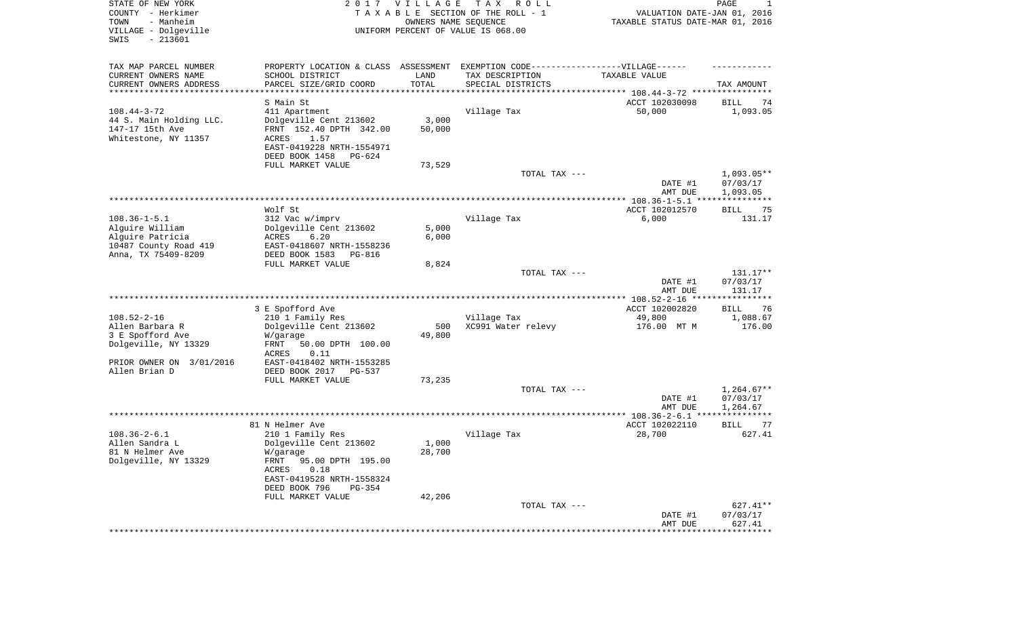| TAX MAP PARCEL NUMBER<br>EXEMPTION CODE------------------VILLAGE------<br>PROPERTY LOCATION & CLASS ASSESSMENT<br>CURRENT OWNERS NAME<br>SCHOOL DISTRICT<br>TAX DESCRIPTION<br>LAND<br>TAXABLE VALUE<br>TOTAL<br>CURRENT OWNERS ADDRESS<br>PARCEL SIZE/GRID COORD<br>SPECIAL DISTRICTS<br>TAX AMOUNT<br>**********************<br>S Main St<br>ACCT 102030098<br>BILL<br>74<br>$108.44 - 3 - 72$<br>Village Tax<br>411 Apartment<br>50,000<br>1,093.05<br>3,000<br>44 S. Main Holding LLC.<br>Dolgeville Cent 213602<br>FRNT 152.40 DPTH 342.00<br>50,000<br>147-17 15th Ave<br>Whitestone, NY 11357<br>ACRES<br>1.57<br>EAST-0419228 NRTH-1554971<br>DEED BOOK 1458<br>PG-624<br>FULL MARKET VALUE<br>73,529<br>TOTAL TAX ---<br>$1,093.05**$<br>07/03/17<br>DATE #1<br>1,093.05<br>AMT DUE<br>Wolf St<br>ACCT 102012570<br><b>BILL</b><br>75<br>$108.36 - 1 - 5.1$<br>Village Tax<br>312 Vac w/imprv<br>6,000<br>131.17<br>Alguire William<br>Dolgeville Cent 213602<br>5,000<br>6,000<br>Alquire Patricia<br>ACRES<br>6.20<br>10487 County Road 419<br>EAST-0418607 NRTH-1558236<br>Anna, TX 75409-8209<br>DEED BOOK 1583<br><b>PG-816</b><br>FULL MARKET VALUE<br>8,824<br>TOTAL TAX ---<br>131.17**<br>DATE #1<br>07/03/17<br>131.17<br>AMT DUE<br>3 E Spofford Ave<br>ACCT 102002820<br><b>BILL</b><br>76<br>$108.52 - 2 - 16$<br>1,088.67<br>210 1 Family Res<br>Village Tax<br>49,800<br>Allen Barbara R<br>Dolgeville Cent 213602<br>XC991 Water relevy<br>500<br>176.00 MT M<br>176.00<br>3 E Spofford Ave<br>49,800<br>W/garage<br>Dolgeville, NY 13329<br>FRNT<br>50.00 DPTH 100.00<br>ACRES<br>0.11<br>PRIOR OWNER ON 3/01/2016<br>EAST-0418402 NRTH-1553285<br>Allen Brian D<br>DEED BOOK 2017<br><b>PG-537</b><br>FULL MARKET VALUE<br>73,235<br>TOTAL TAX ---<br>$1,264.67**$<br>DATE #1<br>07/03/17<br>1,264.67<br>AMT DUE<br>81 N Helmer Ave<br>ACCT 102022110<br><b>BILL</b><br>77<br>$108.36 - 2 - 6.1$<br>210 1 Family Res<br>Village Tax<br>28,700<br>627.41<br>1,000<br>Allen Sandra L<br>Dolgeville Cent 213602<br>28,700<br>81 N Helmer Ave<br>W/garage<br>Dolgeville, NY 13329<br>FRNT 95.00 DPTH 195.00<br>ACRES<br>0.18<br>EAST-0419528 NRTH-1558324<br>DEED BOOK 796<br>PG-354<br>FULL MARKET VALUE<br>42,206<br>$627.41**$<br>TOTAL TAX ---<br>DATE #1<br>07/03/17<br>627.41<br>AMT DUE<br>*************<br>******************** | STATE OF NEW YORK<br>COUNTY - Herkimer<br>- Manheim<br>TOWN<br>VILLAGE - Dolgeville<br>$-213601$<br>SWIS | 2 0 1 7 | <b>VILLAGE</b><br>OWNERS NAME SEQUENCE | TAX ROLL<br>TAXABLE SECTION OF THE ROLL - 1<br>UNIFORM PERCENT OF VALUE IS 068.00 | VALUATION DATE-JAN 01, 2016<br>TAXABLE STATUS DATE-MAR 01, 2016 | PAGE<br>1 |
|----------------------------------------------------------------------------------------------------------------------------------------------------------------------------------------------------------------------------------------------------------------------------------------------------------------------------------------------------------------------------------------------------------------------------------------------------------------------------------------------------------------------------------------------------------------------------------------------------------------------------------------------------------------------------------------------------------------------------------------------------------------------------------------------------------------------------------------------------------------------------------------------------------------------------------------------------------------------------------------------------------------------------------------------------------------------------------------------------------------------------------------------------------------------------------------------------------------------------------------------------------------------------------------------------------------------------------------------------------------------------------------------------------------------------------------------------------------------------------------------------------------------------------------------------------------------------------------------------------------------------------------------------------------------------------------------------------------------------------------------------------------------------------------------------------------------------------------------------------------------------------------------------------------------------------------------------------------------------------------------------------------------------------------------------------------------------------------------------------------------------------------------------------------------------------------------------------------------------------------------------------------------------------------------------------------------------------------------------------------|----------------------------------------------------------------------------------------------------------|---------|----------------------------------------|-----------------------------------------------------------------------------------|-----------------------------------------------------------------|-----------|
|                                                                                                                                                                                                                                                                                                                                                                                                                                                                                                                                                                                                                                                                                                                                                                                                                                                                                                                                                                                                                                                                                                                                                                                                                                                                                                                                                                                                                                                                                                                                                                                                                                                                                                                                                                                                                                                                                                                                                                                                                                                                                                                                                                                                                                                                                                                                                                |                                                                                                          |         |                                        |                                                                                   |                                                                 |           |
|                                                                                                                                                                                                                                                                                                                                                                                                                                                                                                                                                                                                                                                                                                                                                                                                                                                                                                                                                                                                                                                                                                                                                                                                                                                                                                                                                                                                                                                                                                                                                                                                                                                                                                                                                                                                                                                                                                                                                                                                                                                                                                                                                                                                                                                                                                                                                                |                                                                                                          |         |                                        |                                                                                   |                                                                 |           |
|                                                                                                                                                                                                                                                                                                                                                                                                                                                                                                                                                                                                                                                                                                                                                                                                                                                                                                                                                                                                                                                                                                                                                                                                                                                                                                                                                                                                                                                                                                                                                                                                                                                                                                                                                                                                                                                                                                                                                                                                                                                                                                                                                                                                                                                                                                                                                                |                                                                                                          |         |                                        |                                                                                   |                                                                 |           |
|                                                                                                                                                                                                                                                                                                                                                                                                                                                                                                                                                                                                                                                                                                                                                                                                                                                                                                                                                                                                                                                                                                                                                                                                                                                                                                                                                                                                                                                                                                                                                                                                                                                                                                                                                                                                                                                                                                                                                                                                                                                                                                                                                                                                                                                                                                                                                                |                                                                                                          |         |                                        |                                                                                   |                                                                 |           |
|                                                                                                                                                                                                                                                                                                                                                                                                                                                                                                                                                                                                                                                                                                                                                                                                                                                                                                                                                                                                                                                                                                                                                                                                                                                                                                                                                                                                                                                                                                                                                                                                                                                                                                                                                                                                                                                                                                                                                                                                                                                                                                                                                                                                                                                                                                                                                                |                                                                                                          |         |                                        |                                                                                   |                                                                 |           |
|                                                                                                                                                                                                                                                                                                                                                                                                                                                                                                                                                                                                                                                                                                                                                                                                                                                                                                                                                                                                                                                                                                                                                                                                                                                                                                                                                                                                                                                                                                                                                                                                                                                                                                                                                                                                                                                                                                                                                                                                                                                                                                                                                                                                                                                                                                                                                                |                                                                                                          |         |                                        |                                                                                   |                                                                 |           |
|                                                                                                                                                                                                                                                                                                                                                                                                                                                                                                                                                                                                                                                                                                                                                                                                                                                                                                                                                                                                                                                                                                                                                                                                                                                                                                                                                                                                                                                                                                                                                                                                                                                                                                                                                                                                                                                                                                                                                                                                                                                                                                                                                                                                                                                                                                                                                                |                                                                                                          |         |                                        |                                                                                   |                                                                 |           |
|                                                                                                                                                                                                                                                                                                                                                                                                                                                                                                                                                                                                                                                                                                                                                                                                                                                                                                                                                                                                                                                                                                                                                                                                                                                                                                                                                                                                                                                                                                                                                                                                                                                                                                                                                                                                                                                                                                                                                                                                                                                                                                                                                                                                                                                                                                                                                                |                                                                                                          |         |                                        |                                                                                   |                                                                 |           |
|                                                                                                                                                                                                                                                                                                                                                                                                                                                                                                                                                                                                                                                                                                                                                                                                                                                                                                                                                                                                                                                                                                                                                                                                                                                                                                                                                                                                                                                                                                                                                                                                                                                                                                                                                                                                                                                                                                                                                                                                                                                                                                                                                                                                                                                                                                                                                                |                                                                                                          |         |                                        |                                                                                   |                                                                 |           |
|                                                                                                                                                                                                                                                                                                                                                                                                                                                                                                                                                                                                                                                                                                                                                                                                                                                                                                                                                                                                                                                                                                                                                                                                                                                                                                                                                                                                                                                                                                                                                                                                                                                                                                                                                                                                                                                                                                                                                                                                                                                                                                                                                                                                                                                                                                                                                                |                                                                                                          |         |                                        |                                                                                   |                                                                 |           |
|                                                                                                                                                                                                                                                                                                                                                                                                                                                                                                                                                                                                                                                                                                                                                                                                                                                                                                                                                                                                                                                                                                                                                                                                                                                                                                                                                                                                                                                                                                                                                                                                                                                                                                                                                                                                                                                                                                                                                                                                                                                                                                                                                                                                                                                                                                                                                                |                                                                                                          |         |                                        |                                                                                   |                                                                 |           |
|                                                                                                                                                                                                                                                                                                                                                                                                                                                                                                                                                                                                                                                                                                                                                                                                                                                                                                                                                                                                                                                                                                                                                                                                                                                                                                                                                                                                                                                                                                                                                                                                                                                                                                                                                                                                                                                                                                                                                                                                                                                                                                                                                                                                                                                                                                                                                                |                                                                                                          |         |                                        |                                                                                   |                                                                 |           |
|                                                                                                                                                                                                                                                                                                                                                                                                                                                                                                                                                                                                                                                                                                                                                                                                                                                                                                                                                                                                                                                                                                                                                                                                                                                                                                                                                                                                                                                                                                                                                                                                                                                                                                                                                                                                                                                                                                                                                                                                                                                                                                                                                                                                                                                                                                                                                                |                                                                                                          |         |                                        |                                                                                   |                                                                 |           |
|                                                                                                                                                                                                                                                                                                                                                                                                                                                                                                                                                                                                                                                                                                                                                                                                                                                                                                                                                                                                                                                                                                                                                                                                                                                                                                                                                                                                                                                                                                                                                                                                                                                                                                                                                                                                                                                                                                                                                                                                                                                                                                                                                                                                                                                                                                                                                                |                                                                                                          |         |                                        |                                                                                   |                                                                 |           |
|                                                                                                                                                                                                                                                                                                                                                                                                                                                                                                                                                                                                                                                                                                                                                                                                                                                                                                                                                                                                                                                                                                                                                                                                                                                                                                                                                                                                                                                                                                                                                                                                                                                                                                                                                                                                                                                                                                                                                                                                                                                                                                                                                                                                                                                                                                                                                                |                                                                                                          |         |                                        |                                                                                   |                                                                 |           |
|                                                                                                                                                                                                                                                                                                                                                                                                                                                                                                                                                                                                                                                                                                                                                                                                                                                                                                                                                                                                                                                                                                                                                                                                                                                                                                                                                                                                                                                                                                                                                                                                                                                                                                                                                                                                                                                                                                                                                                                                                                                                                                                                                                                                                                                                                                                                                                |                                                                                                          |         |                                        |                                                                                   |                                                                 |           |
|                                                                                                                                                                                                                                                                                                                                                                                                                                                                                                                                                                                                                                                                                                                                                                                                                                                                                                                                                                                                                                                                                                                                                                                                                                                                                                                                                                                                                                                                                                                                                                                                                                                                                                                                                                                                                                                                                                                                                                                                                                                                                                                                                                                                                                                                                                                                                                |                                                                                                          |         |                                        |                                                                                   |                                                                 |           |
|                                                                                                                                                                                                                                                                                                                                                                                                                                                                                                                                                                                                                                                                                                                                                                                                                                                                                                                                                                                                                                                                                                                                                                                                                                                                                                                                                                                                                                                                                                                                                                                                                                                                                                                                                                                                                                                                                                                                                                                                                                                                                                                                                                                                                                                                                                                                                                |                                                                                                          |         |                                        |                                                                                   |                                                                 |           |
|                                                                                                                                                                                                                                                                                                                                                                                                                                                                                                                                                                                                                                                                                                                                                                                                                                                                                                                                                                                                                                                                                                                                                                                                                                                                                                                                                                                                                                                                                                                                                                                                                                                                                                                                                                                                                                                                                                                                                                                                                                                                                                                                                                                                                                                                                                                                                                |                                                                                                          |         |                                        |                                                                                   |                                                                 |           |
|                                                                                                                                                                                                                                                                                                                                                                                                                                                                                                                                                                                                                                                                                                                                                                                                                                                                                                                                                                                                                                                                                                                                                                                                                                                                                                                                                                                                                                                                                                                                                                                                                                                                                                                                                                                                                                                                                                                                                                                                                                                                                                                                                                                                                                                                                                                                                                |                                                                                                          |         |                                        |                                                                                   |                                                                 |           |
|                                                                                                                                                                                                                                                                                                                                                                                                                                                                                                                                                                                                                                                                                                                                                                                                                                                                                                                                                                                                                                                                                                                                                                                                                                                                                                                                                                                                                                                                                                                                                                                                                                                                                                                                                                                                                                                                                                                                                                                                                                                                                                                                                                                                                                                                                                                                                                |                                                                                                          |         |                                        |                                                                                   |                                                                 |           |
|                                                                                                                                                                                                                                                                                                                                                                                                                                                                                                                                                                                                                                                                                                                                                                                                                                                                                                                                                                                                                                                                                                                                                                                                                                                                                                                                                                                                                                                                                                                                                                                                                                                                                                                                                                                                                                                                                                                                                                                                                                                                                                                                                                                                                                                                                                                                                                |                                                                                                          |         |                                        |                                                                                   |                                                                 |           |
|                                                                                                                                                                                                                                                                                                                                                                                                                                                                                                                                                                                                                                                                                                                                                                                                                                                                                                                                                                                                                                                                                                                                                                                                                                                                                                                                                                                                                                                                                                                                                                                                                                                                                                                                                                                                                                                                                                                                                                                                                                                                                                                                                                                                                                                                                                                                                                |                                                                                                          |         |                                        |                                                                                   |                                                                 |           |
|                                                                                                                                                                                                                                                                                                                                                                                                                                                                                                                                                                                                                                                                                                                                                                                                                                                                                                                                                                                                                                                                                                                                                                                                                                                                                                                                                                                                                                                                                                                                                                                                                                                                                                                                                                                                                                                                                                                                                                                                                                                                                                                                                                                                                                                                                                                                                                |                                                                                                          |         |                                        |                                                                                   |                                                                 |           |
|                                                                                                                                                                                                                                                                                                                                                                                                                                                                                                                                                                                                                                                                                                                                                                                                                                                                                                                                                                                                                                                                                                                                                                                                                                                                                                                                                                                                                                                                                                                                                                                                                                                                                                                                                                                                                                                                                                                                                                                                                                                                                                                                                                                                                                                                                                                                                                |                                                                                                          |         |                                        |                                                                                   |                                                                 |           |
|                                                                                                                                                                                                                                                                                                                                                                                                                                                                                                                                                                                                                                                                                                                                                                                                                                                                                                                                                                                                                                                                                                                                                                                                                                                                                                                                                                                                                                                                                                                                                                                                                                                                                                                                                                                                                                                                                                                                                                                                                                                                                                                                                                                                                                                                                                                                                                |                                                                                                          |         |                                        |                                                                                   |                                                                 |           |
|                                                                                                                                                                                                                                                                                                                                                                                                                                                                                                                                                                                                                                                                                                                                                                                                                                                                                                                                                                                                                                                                                                                                                                                                                                                                                                                                                                                                                                                                                                                                                                                                                                                                                                                                                                                                                                                                                                                                                                                                                                                                                                                                                                                                                                                                                                                                                                |                                                                                                          |         |                                        |                                                                                   |                                                                 |           |
|                                                                                                                                                                                                                                                                                                                                                                                                                                                                                                                                                                                                                                                                                                                                                                                                                                                                                                                                                                                                                                                                                                                                                                                                                                                                                                                                                                                                                                                                                                                                                                                                                                                                                                                                                                                                                                                                                                                                                                                                                                                                                                                                                                                                                                                                                                                                                                |                                                                                                          |         |                                        |                                                                                   |                                                                 |           |
|                                                                                                                                                                                                                                                                                                                                                                                                                                                                                                                                                                                                                                                                                                                                                                                                                                                                                                                                                                                                                                                                                                                                                                                                                                                                                                                                                                                                                                                                                                                                                                                                                                                                                                                                                                                                                                                                                                                                                                                                                                                                                                                                                                                                                                                                                                                                                                |                                                                                                          |         |                                        |                                                                                   |                                                                 |           |
|                                                                                                                                                                                                                                                                                                                                                                                                                                                                                                                                                                                                                                                                                                                                                                                                                                                                                                                                                                                                                                                                                                                                                                                                                                                                                                                                                                                                                                                                                                                                                                                                                                                                                                                                                                                                                                                                                                                                                                                                                                                                                                                                                                                                                                                                                                                                                                |                                                                                                          |         |                                        |                                                                                   |                                                                 |           |
|                                                                                                                                                                                                                                                                                                                                                                                                                                                                                                                                                                                                                                                                                                                                                                                                                                                                                                                                                                                                                                                                                                                                                                                                                                                                                                                                                                                                                                                                                                                                                                                                                                                                                                                                                                                                                                                                                                                                                                                                                                                                                                                                                                                                                                                                                                                                                                |                                                                                                          |         |                                        |                                                                                   |                                                                 |           |
|                                                                                                                                                                                                                                                                                                                                                                                                                                                                                                                                                                                                                                                                                                                                                                                                                                                                                                                                                                                                                                                                                                                                                                                                                                                                                                                                                                                                                                                                                                                                                                                                                                                                                                                                                                                                                                                                                                                                                                                                                                                                                                                                                                                                                                                                                                                                                                |                                                                                                          |         |                                        |                                                                                   |                                                                 |           |
|                                                                                                                                                                                                                                                                                                                                                                                                                                                                                                                                                                                                                                                                                                                                                                                                                                                                                                                                                                                                                                                                                                                                                                                                                                                                                                                                                                                                                                                                                                                                                                                                                                                                                                                                                                                                                                                                                                                                                                                                                                                                                                                                                                                                                                                                                                                                                                |                                                                                                          |         |                                        |                                                                                   |                                                                 |           |
|                                                                                                                                                                                                                                                                                                                                                                                                                                                                                                                                                                                                                                                                                                                                                                                                                                                                                                                                                                                                                                                                                                                                                                                                                                                                                                                                                                                                                                                                                                                                                                                                                                                                                                                                                                                                                                                                                                                                                                                                                                                                                                                                                                                                                                                                                                                                                                |                                                                                                          |         |                                        |                                                                                   |                                                                 |           |
|                                                                                                                                                                                                                                                                                                                                                                                                                                                                                                                                                                                                                                                                                                                                                                                                                                                                                                                                                                                                                                                                                                                                                                                                                                                                                                                                                                                                                                                                                                                                                                                                                                                                                                                                                                                                                                                                                                                                                                                                                                                                                                                                                                                                                                                                                                                                                                |                                                                                                          |         |                                        |                                                                                   |                                                                 |           |
|                                                                                                                                                                                                                                                                                                                                                                                                                                                                                                                                                                                                                                                                                                                                                                                                                                                                                                                                                                                                                                                                                                                                                                                                                                                                                                                                                                                                                                                                                                                                                                                                                                                                                                                                                                                                                                                                                                                                                                                                                                                                                                                                                                                                                                                                                                                                                                |                                                                                                          |         |                                        |                                                                                   |                                                                 |           |
|                                                                                                                                                                                                                                                                                                                                                                                                                                                                                                                                                                                                                                                                                                                                                                                                                                                                                                                                                                                                                                                                                                                                                                                                                                                                                                                                                                                                                                                                                                                                                                                                                                                                                                                                                                                                                                                                                                                                                                                                                                                                                                                                                                                                                                                                                                                                                                |                                                                                                          |         |                                        |                                                                                   |                                                                 |           |
|                                                                                                                                                                                                                                                                                                                                                                                                                                                                                                                                                                                                                                                                                                                                                                                                                                                                                                                                                                                                                                                                                                                                                                                                                                                                                                                                                                                                                                                                                                                                                                                                                                                                                                                                                                                                                                                                                                                                                                                                                                                                                                                                                                                                                                                                                                                                                                |                                                                                                          |         |                                        |                                                                                   |                                                                 |           |
|                                                                                                                                                                                                                                                                                                                                                                                                                                                                                                                                                                                                                                                                                                                                                                                                                                                                                                                                                                                                                                                                                                                                                                                                                                                                                                                                                                                                                                                                                                                                                                                                                                                                                                                                                                                                                                                                                                                                                                                                                                                                                                                                                                                                                                                                                                                                                                |                                                                                                          |         |                                        |                                                                                   |                                                                 |           |
|                                                                                                                                                                                                                                                                                                                                                                                                                                                                                                                                                                                                                                                                                                                                                                                                                                                                                                                                                                                                                                                                                                                                                                                                                                                                                                                                                                                                                                                                                                                                                                                                                                                                                                                                                                                                                                                                                                                                                                                                                                                                                                                                                                                                                                                                                                                                                                |                                                                                                          |         |                                        |                                                                                   |                                                                 |           |
|                                                                                                                                                                                                                                                                                                                                                                                                                                                                                                                                                                                                                                                                                                                                                                                                                                                                                                                                                                                                                                                                                                                                                                                                                                                                                                                                                                                                                                                                                                                                                                                                                                                                                                                                                                                                                                                                                                                                                                                                                                                                                                                                                                                                                                                                                                                                                                |                                                                                                          |         |                                        |                                                                                   |                                                                 |           |
|                                                                                                                                                                                                                                                                                                                                                                                                                                                                                                                                                                                                                                                                                                                                                                                                                                                                                                                                                                                                                                                                                                                                                                                                                                                                                                                                                                                                                                                                                                                                                                                                                                                                                                                                                                                                                                                                                                                                                                                                                                                                                                                                                                                                                                                                                                                                                                |                                                                                                          |         |                                        |                                                                                   |                                                                 |           |
|                                                                                                                                                                                                                                                                                                                                                                                                                                                                                                                                                                                                                                                                                                                                                                                                                                                                                                                                                                                                                                                                                                                                                                                                                                                                                                                                                                                                                                                                                                                                                                                                                                                                                                                                                                                                                                                                                                                                                                                                                                                                                                                                                                                                                                                                                                                                                                |                                                                                                          |         |                                        |                                                                                   |                                                                 |           |
|                                                                                                                                                                                                                                                                                                                                                                                                                                                                                                                                                                                                                                                                                                                                                                                                                                                                                                                                                                                                                                                                                                                                                                                                                                                                                                                                                                                                                                                                                                                                                                                                                                                                                                                                                                                                                                                                                                                                                                                                                                                                                                                                                                                                                                                                                                                                                                |                                                                                                          |         |                                        |                                                                                   |                                                                 |           |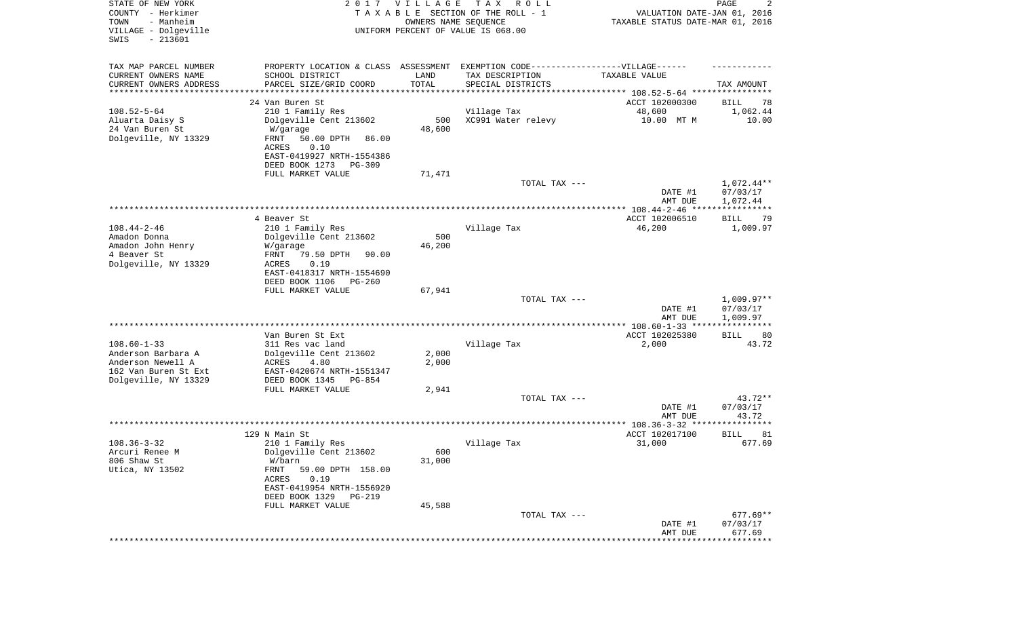| STATE OF NEW YORK<br>COUNTY - Herkimer<br>- Manheim<br>TOWN<br>VILLAGE - Dolgeville<br>$-213601$<br>SWIS | 2017                                                                                                 | <b>VILLAGE</b><br>OWNERS NAME SEQUENCE | T A X<br>R O L L<br>TAXABLE SECTION OF THE ROLL - 1<br>UNIFORM PERCENT OF VALUE IS 068.00 | VALUATION DATE-JAN 01, 2016<br>TAXABLE STATUS DATE-MAR 01, 2016 | PAGE<br>2                         |
|----------------------------------------------------------------------------------------------------------|------------------------------------------------------------------------------------------------------|----------------------------------------|-------------------------------------------------------------------------------------------|-----------------------------------------------------------------|-----------------------------------|
| TAX MAP PARCEL NUMBER<br>CURRENT OWNERS NAME                                                             | PROPERTY LOCATION & CLASS ASSESSMENT EXEMPTION CODE-----------------VILLAGE------<br>SCHOOL DISTRICT | LAND                                   | TAX DESCRIPTION                                                                           | TAXABLE VALUE                                                   |                                   |
| CURRENT OWNERS ADDRESS                                                                                   | PARCEL SIZE/GRID COORD                                                                               | TOTAL                                  | SPECIAL DISTRICTS                                                                         |                                                                 | TAX AMOUNT                        |
| ********************                                                                                     |                                                                                                      |                                        |                                                                                           |                                                                 |                                   |
|                                                                                                          | 24 Van Buren St                                                                                      |                                        |                                                                                           | ACCT 102000300                                                  | BILL<br>78                        |
| $108.52 - 5 - 64$<br>Aluarta Daisy S                                                                     | 210 1 Family Res<br>Dolgeville Cent 213602                                                           | 500                                    | Village Tax<br>XC991 Water relevy                                                         | 48,600<br>10.00 MT M                                            | 1,062.44<br>10.00                 |
| 24 Van Buren St                                                                                          | W/garage                                                                                             | 48,600                                 |                                                                                           |                                                                 |                                   |
| Dolgeville, NY 13329                                                                                     | FRNT<br>50.00 DPTH<br>86.00                                                                          |                                        |                                                                                           |                                                                 |                                   |
|                                                                                                          | 0.10<br>ACRES                                                                                        |                                        |                                                                                           |                                                                 |                                   |
|                                                                                                          | EAST-0419927 NRTH-1554386                                                                            |                                        |                                                                                           |                                                                 |                                   |
|                                                                                                          | DEED BOOK 1273<br>$PG-309$                                                                           |                                        |                                                                                           |                                                                 |                                   |
|                                                                                                          | FULL MARKET VALUE                                                                                    | 71,471                                 | TOTAL TAX ---                                                                             |                                                                 | 1,072.44**                        |
|                                                                                                          |                                                                                                      |                                        |                                                                                           | DATE #1                                                         | 07/03/17                          |
|                                                                                                          |                                                                                                      |                                        |                                                                                           | AMT DUE                                                         | 1,072.44                          |
|                                                                                                          |                                                                                                      |                                        |                                                                                           |                                                                 | * * * * * *                       |
|                                                                                                          | 4 Beaver St                                                                                          |                                        |                                                                                           | ACCT 102006510                                                  | BILL<br>79                        |
| $108.44 - 2 - 46$                                                                                        | 210 1 Family Res                                                                                     |                                        | Village Tax                                                                               | 46,200                                                          | 1,009.97                          |
| Amadon Donna<br>Amadon John Henry                                                                        | Dolgeville Cent 213602<br>W/garage                                                                   | 500<br>46,200                          |                                                                                           |                                                                 |                                   |
| 4 Beaver St                                                                                              | 79.50 DPTH<br>FRNT<br>90.00                                                                          |                                        |                                                                                           |                                                                 |                                   |
| Dolgeville, NY 13329                                                                                     | ACRES<br>0.19                                                                                        |                                        |                                                                                           |                                                                 |                                   |
|                                                                                                          | EAST-0418317 NRTH-1554690                                                                            |                                        |                                                                                           |                                                                 |                                   |
|                                                                                                          | DEED BOOK 1106<br>$PG-260$                                                                           |                                        |                                                                                           |                                                                 |                                   |
|                                                                                                          | FULL MARKET VALUE                                                                                    | 67,941                                 |                                                                                           |                                                                 |                                   |
|                                                                                                          |                                                                                                      |                                        | TOTAL TAX ---                                                                             | DATE #1                                                         | $1,009.97**$<br>07/03/17          |
|                                                                                                          |                                                                                                      |                                        |                                                                                           | AMT DUE                                                         | 1,009.97                          |
|                                                                                                          |                                                                                                      |                                        |                                                                                           |                                                                 |                                   |
|                                                                                                          | Van Buren St Ext                                                                                     |                                        |                                                                                           | ACCT 102025380                                                  | BILL<br>80                        |
| $108.60 - 1 - 33$                                                                                        | 311 Res vac land                                                                                     |                                        | Village Tax                                                                               | 2,000                                                           | 43.72                             |
| Anderson Barbara A                                                                                       | Dolgeville Cent 213602                                                                               | 2,000                                  |                                                                                           |                                                                 |                                   |
| Anderson Newell A<br>162 Van Buren St Ext                                                                | ACRES<br>4.80<br>EAST-0420674 NRTH-1551347                                                           | 2,000                                  |                                                                                           |                                                                 |                                   |
| Dolgeville, NY 13329                                                                                     | DEED BOOK 1345<br>PG-854                                                                             |                                        |                                                                                           |                                                                 |                                   |
|                                                                                                          | FULL MARKET VALUE                                                                                    | 2,941                                  |                                                                                           |                                                                 |                                   |
|                                                                                                          |                                                                                                      |                                        | TOTAL TAX ---                                                                             |                                                                 | 43.72**                           |
|                                                                                                          |                                                                                                      |                                        |                                                                                           | DATE #1                                                         | 07/03/17                          |
|                                                                                                          |                                                                                                      |                                        |                                                                                           | AMT DUE                                                         | 43.72<br>* * * * * * * *          |
|                                                                                                          | 129 N Main St                                                                                        |                                        |                                                                                           | ACCT 102017100                                                  | 81<br><b>BILL</b>                 |
| $108.36 - 3 - 32$                                                                                        | 210 1 Family Res                                                                                     |                                        | Village Tax                                                                               | 31,000                                                          | 677.69                            |
| Arcuri Renee M                                                                                           | Dolgeville Cent 213602                                                                               | 600                                    |                                                                                           |                                                                 |                                   |
| 806 Shaw St                                                                                              | W/barn                                                                                               | 31,000                                 |                                                                                           |                                                                 |                                   |
| Utica, NY 13502                                                                                          | FRNT<br>59.00 DPTH 158.00                                                                            |                                        |                                                                                           |                                                                 |                                   |
|                                                                                                          | ACRES<br>0.19<br>EAST-0419954 NRTH-1556920                                                           |                                        |                                                                                           |                                                                 |                                   |
|                                                                                                          | DEED BOOK 1329<br>PG-219                                                                             |                                        |                                                                                           |                                                                 |                                   |
|                                                                                                          | FULL MARKET VALUE                                                                                    | 45,588                                 |                                                                                           |                                                                 |                                   |
|                                                                                                          |                                                                                                      |                                        | TOTAL TAX ---                                                                             |                                                                 | $677.69**$                        |
|                                                                                                          |                                                                                                      |                                        |                                                                                           | DATE #1                                                         | 07/03/17                          |
|                                                                                                          |                                                                                                      |                                        |                                                                                           | AMT DUE                                                         | 677.69<br>*********************** |
|                                                                                                          |                                                                                                      |                                        |                                                                                           |                                                                 |                                   |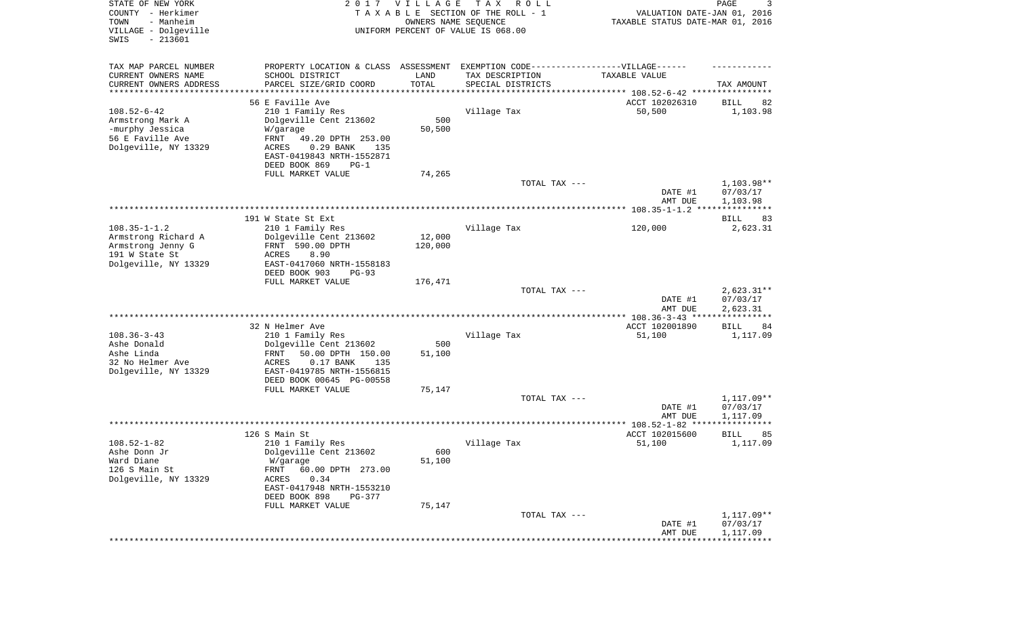| STATE OF NEW YORK<br>COUNTY - Herkimer<br>TOWN<br>- Manheim<br>VILLAGE - Dolgeville<br>$-213601$<br>SWIS | 2017                                                     | <b>VILLAGE</b><br>OWNERS NAME SEQUENCE | T A X<br>R O L L<br>TAXABLE SECTION OF THE ROLL - 1<br>UNIFORM PERCENT OF VALUE IS 068.00 | VALUATION DATE-JAN 01, 2016<br>TAXABLE STATUS DATE-MAR 01, 2016 | 3<br>PAGE                         |
|----------------------------------------------------------------------------------------------------------|----------------------------------------------------------|----------------------------------------|-------------------------------------------------------------------------------------------|-----------------------------------------------------------------|-----------------------------------|
| TAX MAP PARCEL NUMBER                                                                                    | PROPERTY LOCATION & CLASS ASSESSMENT                     |                                        | EXEMPTION CODE------------------VILLAGE------                                             |                                                                 |                                   |
| CURRENT OWNERS NAME                                                                                      | SCHOOL DISTRICT                                          | LAND                                   | TAX DESCRIPTION                                                                           | TAXABLE VALUE                                                   |                                   |
| CURRENT OWNERS ADDRESS<br>*******************                                                            | PARCEL SIZE/GRID COORD                                   | TOTAL                                  | SPECIAL DISTRICTS                                                                         | **************************** 108.52-6-42 ******                 | TAX AMOUNT                        |
|                                                                                                          | 56 E Faville Ave                                         |                                        |                                                                                           | ACCT 102026310                                                  | 82<br>BILL                        |
| $108.52 - 6 - 42$                                                                                        | 210 1 Family Res                                         |                                        | Village Tax                                                                               | 50,500                                                          | 1,103.98                          |
| Armstrong Mark A                                                                                         | Dolgeville Cent 213602                                   | 500                                    |                                                                                           |                                                                 |                                   |
| -murphy Jessica                                                                                          | W/garage                                                 | 50,500                                 |                                                                                           |                                                                 |                                   |
| 56 E Faville Ave                                                                                         | FRNT<br>49.20 DPTH 253.00                                |                                        |                                                                                           |                                                                 |                                   |
| Dolgeville, NY 13329                                                                                     | 0.29 BANK<br>ACRES<br>135                                |                                        |                                                                                           |                                                                 |                                   |
|                                                                                                          | EAST-0419843 NRTH-1552871                                |                                        |                                                                                           |                                                                 |                                   |
|                                                                                                          | DEED BOOK 869<br>$PG-1$<br>FULL MARKET VALUE             | 74,265                                 |                                                                                           |                                                                 |                                   |
|                                                                                                          |                                                          |                                        | TOTAL TAX ---                                                                             |                                                                 | 1,103.98**                        |
|                                                                                                          |                                                          |                                        |                                                                                           | DATE #1                                                         | 07/03/17                          |
|                                                                                                          |                                                          |                                        |                                                                                           | AMT DUE                                                         | 1,103.98                          |
|                                                                                                          |                                                          |                                        |                                                                                           |                                                                 | ***********                       |
|                                                                                                          | 191 W State St Ext                                       |                                        |                                                                                           |                                                                 | BILL<br>83                        |
| $108.35 - 1 - 1.2$<br>Armstrong Richard A                                                                | 210 1 Family Res<br>Dolgeville Cent 213602               | 12,000                                 | Village Tax                                                                               | 120,000                                                         | 2,623.31                          |
| Armstrong Jenny G                                                                                        | FRNT 590.00 DPTH                                         | 120,000                                |                                                                                           |                                                                 |                                   |
| 191 W State St                                                                                           | 8.90<br><b>ACRES</b>                                     |                                        |                                                                                           |                                                                 |                                   |
| Dolgeville, NY 13329                                                                                     | EAST-0417060 NRTH-1558183                                |                                        |                                                                                           |                                                                 |                                   |
|                                                                                                          | DEED BOOK 903<br>$PG-93$                                 |                                        |                                                                                           |                                                                 |                                   |
|                                                                                                          | FULL MARKET VALUE                                        | 176,471                                |                                                                                           |                                                                 |                                   |
|                                                                                                          |                                                          |                                        | TOTAL TAX ---                                                                             | DATE #1                                                         | $2,623.31**$<br>07/03/17          |
|                                                                                                          |                                                          |                                        |                                                                                           | AMT DUE                                                         | 2,623.31                          |
|                                                                                                          |                                                          |                                        |                                                                                           | ************* 108.36-3-43 ****                                  | * * * * * * * * * * *             |
|                                                                                                          | 32 N Helmer Ave                                          |                                        |                                                                                           | ACCT 102001890                                                  | BILL<br>84                        |
| $108.36 - 3 - 43$                                                                                        | 210 1 Family Res                                         |                                        | Village Tax                                                                               | 51,100                                                          | 1,117.09                          |
| Ashe Donald                                                                                              | Dolgeville Cent 213602                                   | 500                                    |                                                                                           |                                                                 |                                   |
| Ashe Linda<br>32 No Helmer Ave                                                                           | 50.00 DPTH 150.00<br>FRNT<br><b>ACRES</b><br>$0.17$ BANK | 51,100                                 |                                                                                           |                                                                 |                                   |
| Dolgeville, NY 13329                                                                                     | 135<br>EAST-0419785 NRTH-1556815                         |                                        |                                                                                           |                                                                 |                                   |
|                                                                                                          | DEED BOOK 00645 PG-00558                                 |                                        |                                                                                           |                                                                 |                                   |
|                                                                                                          | FULL MARKET VALUE                                        | 75,147                                 |                                                                                           |                                                                 |                                   |
|                                                                                                          |                                                          |                                        | TOTAL TAX ---                                                                             |                                                                 | 1,117.09**                        |
|                                                                                                          |                                                          |                                        |                                                                                           | DATE #1                                                         | 07/03/17                          |
|                                                                                                          |                                                          |                                        |                                                                                           | AMT DUE                                                         | 1,117.09<br>* * * * * * * * * * * |
|                                                                                                          | 126 S Main St                                            |                                        |                                                                                           | ACCT 102015600                                                  | BILL<br>85                        |
| $108.52 - 1 - 82$                                                                                        | 210 1 Family Res                                         |                                        | Village Tax                                                                               | 51,100                                                          | 1,117.09                          |
| Ashe Donn Jr                                                                                             | Dolgeville Cent 213602                                   | 600                                    |                                                                                           |                                                                 |                                   |
| Ward Diane                                                                                               | W/garage                                                 | 51,100                                 |                                                                                           |                                                                 |                                   |
| 126 S Main St                                                                                            | 60.00 DPTH 273.00<br>FRNT                                |                                        |                                                                                           |                                                                 |                                   |
| Dolgeville, NY 13329                                                                                     | 0.34<br>ACRES                                            |                                        |                                                                                           |                                                                 |                                   |
|                                                                                                          | EAST-0417948 NRTH-1553210<br>DEED BOOK 898<br>PG-377     |                                        |                                                                                           |                                                                 |                                   |
|                                                                                                          | FULL MARKET VALUE                                        | 75,147                                 |                                                                                           |                                                                 |                                   |
|                                                                                                          |                                                          |                                        | TOTAL TAX ---                                                                             |                                                                 | 1,117.09**                        |
|                                                                                                          |                                                          |                                        |                                                                                           | DATE #1                                                         | 07/03/17                          |
|                                                                                                          |                                                          |                                        |                                                                                           | AMT DUE                                                         | 1,117.09                          |
|                                                                                                          |                                                          |                                        |                                                                                           |                                                                 |                                   |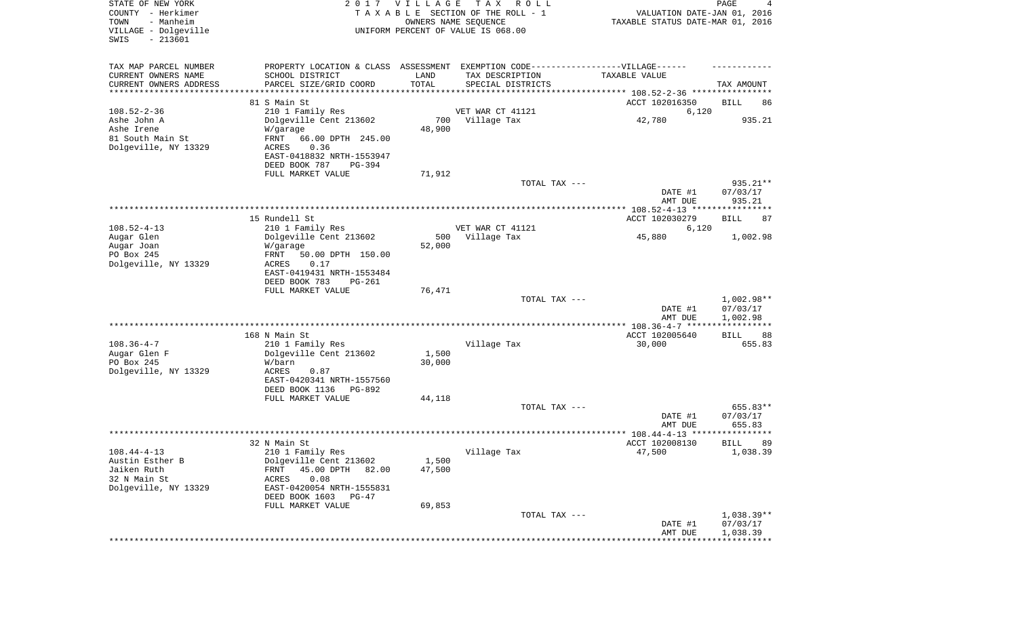| STATE OF NEW YORK<br>COUNTY - Herkimer<br>TOWN<br>- Manheim<br>VILLAGE - Dolgeville<br>SWIS<br>$-213601$ |                                            | 2017 VILLAGE  | T A X<br>R O L L<br>TAXABLE SECTION OF THE ROLL - 1<br>OWNERS NAME SEQUENCE<br>UNIFORM PERCENT OF VALUE IS 068.00 | VALUATION DATE-JAN 01, 2016<br>TAXABLE STATUS DATE-MAR 01, 2016 | PAGE<br>4              |
|----------------------------------------------------------------------------------------------------------|--------------------------------------------|---------------|-------------------------------------------------------------------------------------------------------------------|-----------------------------------------------------------------|------------------------|
| TAX MAP PARCEL NUMBER                                                                                    |                                            |               | PROPERTY LOCATION & CLASS ASSESSMENT EXEMPTION CODE----------------VILLAGE------                                  |                                                                 |                        |
| CURRENT OWNERS NAME<br>CURRENT OWNERS ADDRESS                                                            | SCHOOL DISTRICT                            | LAND<br>TOTAL | TAX DESCRIPTION                                                                                                   | TAXABLE VALUE                                                   |                        |
| *********************                                                                                    | PARCEL SIZE/GRID COORD                     |               | SPECIAL DISTRICTS                                                                                                 |                                                                 | TAX AMOUNT             |
|                                                                                                          | 81 S Main St                               |               |                                                                                                                   | ACCT 102016350                                                  | BILL<br>86             |
| $108.52 - 2 - 36$                                                                                        | 210 1 Family Res                           |               | VET WAR CT 41121                                                                                                  | 6,120                                                           |                        |
| Ashe John A                                                                                              | Dolgeville Cent 213602                     |               | 700 Village Tax                                                                                                   | 42,780                                                          | 935.21                 |
| Ashe Irene                                                                                               | W/garage                                   | 48,900        |                                                                                                                   |                                                                 |                        |
| 81 South Main St<br>Dolgeville, NY 13329                                                                 | FRNT<br>66.00 DPTH 245.00<br>ACRES<br>0.36 |               |                                                                                                                   |                                                                 |                        |
|                                                                                                          | EAST-0418832 NRTH-1553947                  |               |                                                                                                                   |                                                                 |                        |
|                                                                                                          | DEED BOOK 787<br>PG-394                    |               |                                                                                                                   |                                                                 |                        |
|                                                                                                          | FULL MARKET VALUE                          | 71,912        |                                                                                                                   |                                                                 |                        |
|                                                                                                          |                                            |               | TOTAL TAX ---                                                                                                     |                                                                 | 935.21**               |
|                                                                                                          |                                            |               |                                                                                                                   | DATE #1<br>AMT DUE                                              | 07/03/17<br>935.21     |
|                                                                                                          |                                            |               |                                                                                                                   |                                                                 |                        |
|                                                                                                          | 15 Rundell St                              |               |                                                                                                                   | ACCT 102030279                                                  | BILL<br>87             |
| $108.52 - 4 - 13$                                                                                        | 210 1 Family Res                           |               | VET WAR CT 41121                                                                                                  | 6,120                                                           |                        |
| Augar Glen                                                                                               | Dolgeville Cent 213602                     | 500           | Village Tax                                                                                                       | 45,880                                                          | 1,002.98               |
| Augar Joan<br>PO Box 245                                                                                 | W/garage<br>FRNT<br>50.00 DPTH 150.00      | 52,000        |                                                                                                                   |                                                                 |                        |
| Dolgeville, NY 13329                                                                                     | ACRES<br>0.17                              |               |                                                                                                                   |                                                                 |                        |
|                                                                                                          | EAST-0419431 NRTH-1553484                  |               |                                                                                                                   |                                                                 |                        |
|                                                                                                          | DEED BOOK 783<br><b>PG-261</b>             |               |                                                                                                                   |                                                                 |                        |
|                                                                                                          | FULL MARKET VALUE                          | 76,471        |                                                                                                                   |                                                                 |                        |
|                                                                                                          |                                            |               | TOTAL TAX ---                                                                                                     | DATE #1                                                         | 1,002.98**<br>07/03/17 |
|                                                                                                          |                                            |               |                                                                                                                   | AMT DUE                                                         | 1,002.98               |
|                                                                                                          |                                            |               |                                                                                                                   |                                                                 | ***********            |
|                                                                                                          | 168 N Main St                              |               |                                                                                                                   | ACCT 102005640                                                  | BILL<br>88             |
| $108.36 - 4 - 7$<br>Augar Glen F                                                                         | 210 1 Family Res<br>Dolgeville Cent 213602 | 1,500         | Village Tax                                                                                                       | 30,000                                                          | 655.83                 |
| PO Box 245                                                                                               | W/barn                                     | 30,000        |                                                                                                                   |                                                                 |                        |
| Dolgeville, NY 13329                                                                                     | ACRES<br>0.87                              |               |                                                                                                                   |                                                                 |                        |
|                                                                                                          | EAST-0420341 NRTH-1557560                  |               |                                                                                                                   |                                                                 |                        |
|                                                                                                          | DEED BOOK 1136<br>PG-892                   |               |                                                                                                                   |                                                                 |                        |
|                                                                                                          | FULL MARKET VALUE                          | 44,118        | TOTAL TAX ---                                                                                                     |                                                                 | 655.83**               |
|                                                                                                          |                                            |               |                                                                                                                   | DATE #1                                                         | 07/03/17               |
|                                                                                                          |                                            |               |                                                                                                                   | AMT DUE                                                         | 655.83                 |
|                                                                                                          |                                            |               |                                                                                                                   |                                                                 | *****                  |
|                                                                                                          | 32 N Main St                               |               |                                                                                                                   | ACCT 102008130                                                  | 89<br>BILL             |
| $108.44 - 4 - 13$<br>Austin Esther B                                                                     | 210 1 Family Res<br>Dolgeville Cent 213602 | 1,500         | Village Tax                                                                                                       | 47,500                                                          | 1,038.39               |
| Jaiken Ruth                                                                                              | 45.00 DPTH<br>FRNT<br>82.00                | 47,500        |                                                                                                                   |                                                                 |                        |
| 32 N Main St                                                                                             | 0.08<br>ACRES                              |               |                                                                                                                   |                                                                 |                        |
| Dolgeville, NY 13329                                                                                     | EAST-0420054 NRTH-1555831                  |               |                                                                                                                   |                                                                 |                        |
|                                                                                                          | DEED BOOK 1603 PG-47                       |               |                                                                                                                   |                                                                 |                        |
|                                                                                                          | FULL MARKET VALUE                          | 69,853        | TOTAL TAX ---                                                                                                     |                                                                 | 1,038.39**             |
|                                                                                                          |                                            |               |                                                                                                                   | DATE #1                                                         | 07/03/17               |
|                                                                                                          |                                            |               |                                                                                                                   | AMT DUE                                                         | 1,038.39               |
|                                                                                                          |                                            |               |                                                                                                                   |                                                                 | * * * * * * * * * * *  |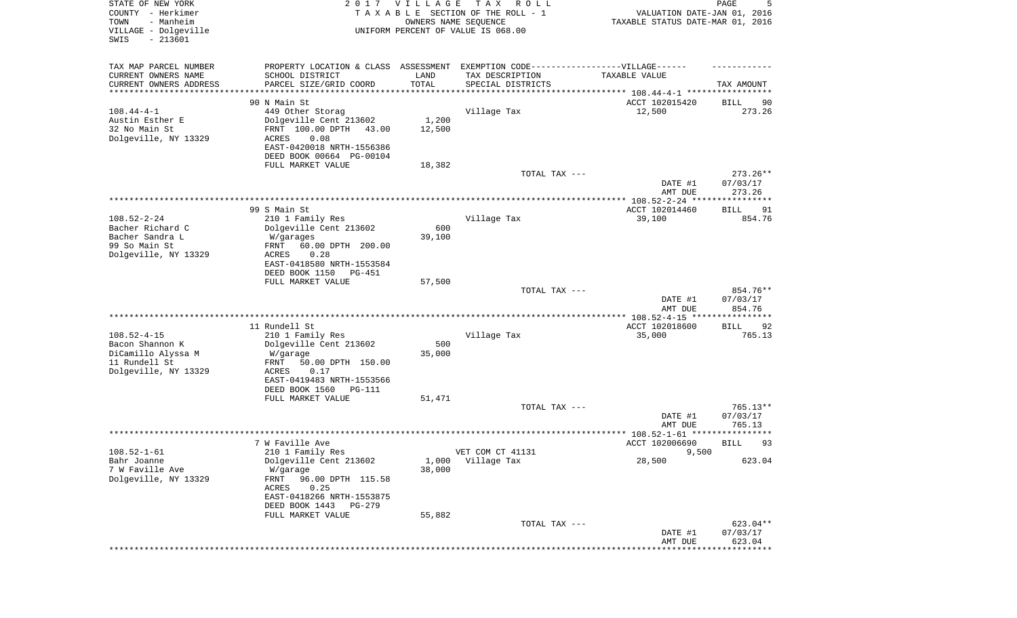| STATE OF NEW YORK<br>COUNTY - Herkimer<br>- Manheim<br>TOWN<br>VILLAGE - Dolgeville<br>SWIS<br>$-213601$ |                                                                                                                                                                                                     | 2017 VILLAGE                           | T A X<br>R O L L<br>TAXABLE SECTION OF THE ROLL - 1<br>OWNERS NAME SEQUENCE<br>UNIFORM PERCENT OF VALUE IS 068.00        | VALUATION DATE-JAN 01, 2016<br>TAXABLE STATUS DATE-MAR 01, 2016 | 5<br>PAGE                           |
|----------------------------------------------------------------------------------------------------------|-----------------------------------------------------------------------------------------------------------------------------------------------------------------------------------------------------|----------------------------------------|--------------------------------------------------------------------------------------------------------------------------|-----------------------------------------------------------------|-------------------------------------|
| TAX MAP PARCEL NUMBER<br>CURRENT OWNERS NAME<br>CURRENT OWNERS ADDRESS<br>*********************          | SCHOOL DISTRICT<br>PARCEL SIZE/GRID COORD                                                                                                                                                           | LAND<br>TOTAL<br>* * * * * * * * * * * | PROPERTY LOCATION & CLASS ASSESSMENT EXEMPTION CODE----------------VILLAGE------<br>TAX DESCRIPTION<br>SPECIAL DISTRICTS | TAXABLE VALUE                                                   | TAX AMOUNT                          |
| $108.44 - 4 - 1$<br>Austin Esther E<br>32 No Main St<br>Dolgeville, NY 13329                             | 90 N Main St<br>449 Other Storag<br>Dolgeville Cent 213602<br>FRNT 100.00 DPTH<br>43.00<br>ACRES<br>0.08<br>EAST-0420018 NRTH-1556386<br>DEED BOOK 00664 PG-00104<br>FULL MARKET VALUE              | 1,200<br>12,500<br>18,382              | Village Tax                                                                                                              | ACCT 102015420<br>12,500                                        | 90<br>BILL<br>273.26                |
|                                                                                                          |                                                                                                                                                                                                     |                                        | TOTAL TAX ---                                                                                                            | DATE #1<br>AMT DUE                                              | $273.26**$<br>07/03/17<br>273.26    |
| $108.52 - 2 - 24$<br>Bacher Richard C<br>Bacher Sandra L<br>99 So Main St<br>Dolgeville, NY 13329        | 99 S Main St<br>210 1 Family Res<br>Dolgeville Cent 213602<br>W/garages<br>60.00 DPTH 200.00<br>FRNT<br>ACRES<br>0.28<br>EAST-0418580 NRTH-1553584<br>DEED BOOK 1150<br>PG-451<br>FULL MARKET VALUE | 600<br>39,100<br>57,500                | Village Tax                                                                                                              | ACCT 102014460<br>39,100                                        | 91<br>BILL<br>854.76                |
|                                                                                                          |                                                                                                                                                                                                     |                                        | TOTAL TAX ---                                                                                                            | DATE #1<br>AMT DUE                                              | 854.76**<br>07/03/17<br>854.76      |
| $108.52 - 4 - 15$<br>Bacon Shannon K<br>DiCamillo Alyssa M<br>11 Rundell St<br>Dolgeville, NY 13329      | 11 Rundell St<br>210 1 Family Res<br>Dolgeville Cent 213602<br>W/garage<br>50.00 DPTH 150.00<br>FRNT<br>ACRES<br>0.17<br>EAST-0419483 NRTH-1553566<br>DEED BOOK 1560<br>PG-111                      | 500<br>35,000                          | Village Tax                                                                                                              | ************ 108.52-4-15 ****<br>ACCT 102018600<br>35,000       | ***********<br>92<br>BILL<br>765.13 |
|                                                                                                          | FULL MARKET VALUE                                                                                                                                                                                   | 51,471                                 | TOTAL TAX ---                                                                                                            | DATE #1<br>AMT DUE                                              | 765.13**<br>07/03/17<br>765.13      |
|                                                                                                          |                                                                                                                                                                                                     |                                        |                                                                                                                          |                                                                 | ******                              |
| $108.52 - 1 - 61$<br>Bahr Joanne<br>7 W Faville Ave<br>Dolgeville, NY 13329                              | 7 W Faville Ave<br>210 1 Family Res<br>Dolgeville Cent 213602<br>W/garage<br>96.00 DPTH 115.58<br>FRNT<br>0.25<br>ACRES<br>EAST-0418266 NRTH-1553875<br>DEED BOOK 1443 PG-279<br>FULL MARKET VALUE  | 1,000<br>38,000<br>55,882              | VET COM CT 41131<br>Village Tax                                                                                          | ACCT 102006690<br>9,500<br>28,500                               | 93<br>BILL<br>623.04                |
|                                                                                                          |                                                                                                                                                                                                     |                                        | TOTAL TAX ---                                                                                                            | DATE #1<br>AMT DUE                                              | 623.04**<br>07/03/17<br>623.04      |
|                                                                                                          |                                                                                                                                                                                                     |                                        |                                                                                                                          |                                                                 |                                     |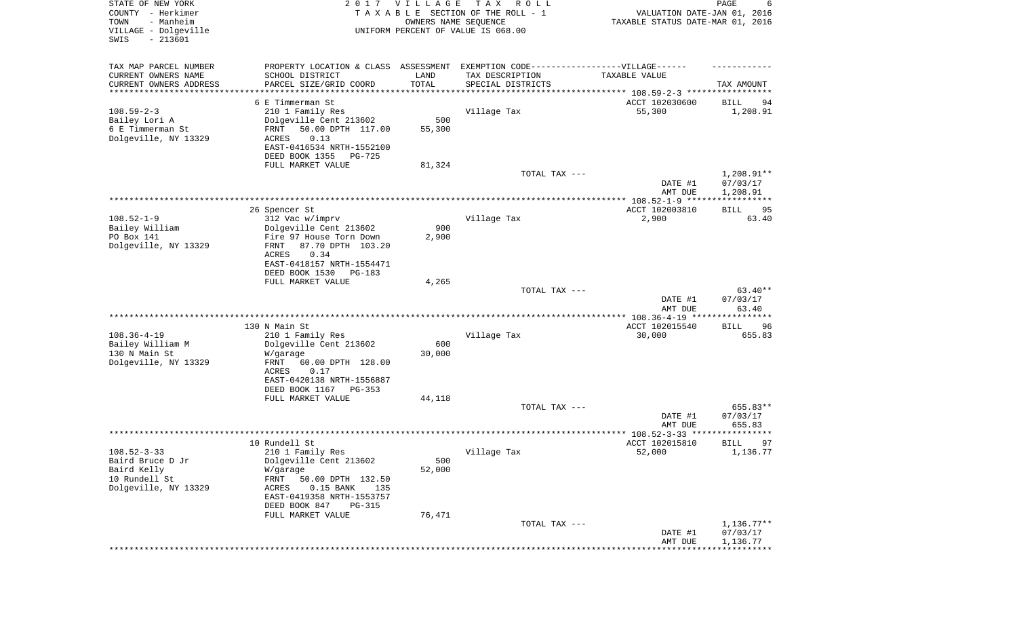| STATE OF NEW YORK<br>COUNTY - Herkimer<br>- Manheim<br>TOWN<br>VILLAGE - Dolgeville<br>SWIS<br>$-213601$ |                                                                                                                                                                  | 2017 VILLAGE<br>OWNERS NAME SEQUENCE | T A X<br>R O L L<br>TAXABLE SECTION OF THE ROLL - 1<br>UNIFORM PERCENT OF VALUE IS 068.00       | VALUATION DATE-JAN 01, 2016<br>TAXABLE STATUS DATE-MAR 01, 2016 | PAGE<br>6                          |
|----------------------------------------------------------------------------------------------------------|------------------------------------------------------------------------------------------------------------------------------------------------------------------|--------------------------------------|-------------------------------------------------------------------------------------------------|-----------------------------------------------------------------|------------------------------------|
| TAX MAP PARCEL NUMBER<br>CURRENT OWNERS NAME<br>CURRENT OWNERS ADDRESS<br>********************           | PROPERTY LOCATION & CLASS ASSESSMENT EXEMPTION CODE-----------------VILLAGE------<br>SCHOOL DISTRICT<br>PARCEL SIZE/GRID COORD<br>****************               | LAND<br>TOTAL<br>**********          | TAX DESCRIPTION<br>SPECIAL DISTRICTS<br>************************************ 108.59-2-3 ******* | TAXABLE VALUE                                                   | TAX AMOUNT                         |
|                                                                                                          | 6 E Timmerman St                                                                                                                                                 |                                      |                                                                                                 | ACCT 102030600                                                  | BILL<br>94                         |
| $108.59 - 2 - 3$<br>Bailey Lori A<br>6 E Timmerman St<br>Dolgeville, NY 13329                            | 210 1 Family Res<br>Dolgeville Cent 213602<br>50.00 DPTH 117.00<br>FRNT<br>ACRES<br>0.13<br>EAST-0416534 NRTH-1552100<br>DEED BOOK 1355<br>PG-725                | 500<br>55,300                        | Village Tax                                                                                     | 55,300                                                          | 1,208.91                           |
|                                                                                                          | FULL MARKET VALUE                                                                                                                                                | 81,324                               |                                                                                                 |                                                                 |                                    |
|                                                                                                          |                                                                                                                                                                  |                                      | TOTAL TAX ---                                                                                   | DATE #1<br>AMT DUE                                              | 1,208.91**<br>07/03/17<br>1,208.91 |
|                                                                                                          |                                                                                                                                                                  |                                      |                                                                                                 |                                                                 |                                    |
| $108.52 - 1 - 9$<br>Bailey William<br>PO Box 141                                                         | 26 Spencer St<br>312 Vac w/imprv<br>Dolgeville Cent 213602                                                                                                       | 900<br>2,900                         | Village Tax                                                                                     | ACCT 102003810<br>2,900                                         | 95<br><b>BILL</b><br>63.40         |
| Dolgeville, NY 13329                                                                                     | Fire 97 House Torn Down<br>87.70 DPTH 103.20<br>FRNT<br>0.34<br>ACRES<br>EAST-0418157 NRTH-1554471<br>DEED BOOK 1530<br>PG-183                                   |                                      |                                                                                                 |                                                                 |                                    |
|                                                                                                          | FULL MARKET VALUE                                                                                                                                                | 4,265                                | TOTAL TAX ---                                                                                   | DATE #1<br>AMT DUE                                              | $63.40**$<br>07/03/17<br>63.40     |
|                                                                                                          |                                                                                                                                                                  |                                      |                                                                                                 | ********** 108.36-4-19 ****                                     | *******                            |
| $108.36 - 4 - 19$<br>Bailey William M<br>130 N Main St<br>Dolgeville, NY 13329                           | 130 N Main St<br>210 1 Family Res<br>Dolgeville Cent 213602<br>W/garage<br>FRNT<br>60.00 DPTH 128.00<br>ACRES<br>0.17<br>EAST-0420138 NRTH-1556887               | 600<br>30,000                        | Village Tax                                                                                     | ACCT 102015540<br>30,000                                        | 96<br>BILL<br>655.83               |
|                                                                                                          | DEED BOOK 1167 PG-353                                                                                                                                            |                                      |                                                                                                 |                                                                 |                                    |
|                                                                                                          | FULL MARKET VALUE                                                                                                                                                | 44,118                               | TOTAL TAX ---                                                                                   | DATE #1<br>AMT DUE                                              | 655.83**<br>07/03/17<br>655.83     |
|                                                                                                          |                                                                                                                                                                  |                                      |                                                                                                 |                                                                 | ******                             |
| $108.52 - 3 - 33$<br>Baird Bruce D Jr<br>Baird Kelly<br>10 Rundell St<br>Dolgeville, NY 13329            | 10 Rundell St<br>210 1 Family Res<br>Dolgeville Cent 213602<br>W/garage<br>FRNT<br>50.00 DPTH 132.50<br>ACRES<br>$0.15$ BANK<br>135<br>EAST-0419358 NRTH-1553757 | 500<br>52,000                        | Village Tax                                                                                     | ACCT 102015810<br>52,000                                        | 97<br>BILL<br>1,136.77             |
|                                                                                                          | DEED BOOK 847<br><b>PG-315</b>                                                                                                                                   |                                      |                                                                                                 |                                                                 |                                    |
|                                                                                                          | FULL MARKET VALUE                                                                                                                                                | 76,471                               | TOTAL TAX ---                                                                                   | DATE #1                                                         | $1,136.77**$<br>07/03/17           |
|                                                                                                          |                                                                                                                                                                  |                                      |                                                                                                 | AMT DUE                                                         | 1,136.77                           |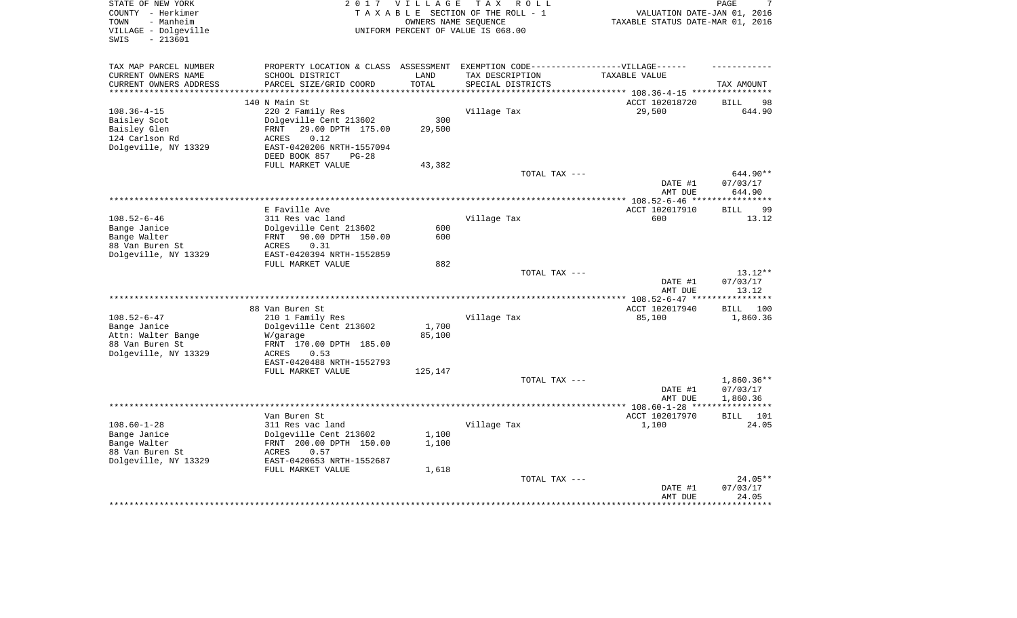| STATE OF NEW YORK<br>COUNTY - Herkimer<br>- Manheim<br>TOWN<br>VILLAGE - Dolgeville<br>$-213601$<br>SWIS | 2 0 1 7                                    | VILLAGE       | T A X<br>R O L L<br>TAXABLE SECTION OF THE ROLL - 1<br>OWNERS NAME SEQUENCE<br>UNIFORM PERCENT OF VALUE IS 068.00 | VALUATION DATE-JAN 01, 2016<br>TAXABLE STATUS DATE-MAR 01, 2016 | PAGE<br>7          |
|----------------------------------------------------------------------------------------------------------|--------------------------------------------|---------------|-------------------------------------------------------------------------------------------------------------------|-----------------------------------------------------------------|--------------------|
| TAX MAP PARCEL NUMBER                                                                                    | PROPERTY LOCATION & CLASS                  |               | ASSESSMENT EXEMPTION CODE------------------VILLAGE------                                                          |                                                                 |                    |
| CURRENT OWNERS NAME<br>CURRENT OWNERS ADDRESS                                                            | SCHOOL DISTRICT<br>PARCEL SIZE/GRID COORD  | LAND<br>TOTAL | TAX DESCRIPTION<br>SPECIAL DISTRICTS                                                                              | TAXABLE VALUE                                                   | TAX AMOUNT         |
| ********************                                                                                     |                                            |               |                                                                                                                   |                                                                 |                    |
|                                                                                                          | 140 N Main St                              |               |                                                                                                                   | ACCT 102018720                                                  | 98<br><b>BILL</b>  |
| $108.36 - 4 - 15$<br>Baisley Scot                                                                        | 220 2 Family Res<br>Dolgeville Cent 213602 | 300           | Village Tax                                                                                                       | 29,500                                                          | 644.90             |
| Baisley Glen                                                                                             | 29.00 DPTH 175.00<br><b>FRNT</b>           | 29,500        |                                                                                                                   |                                                                 |                    |
| 124 Carlson Rd                                                                                           | <b>ACRES</b><br>0.12                       |               |                                                                                                                   |                                                                 |                    |
| Dolgeville, NY 13329                                                                                     | EAST-0420206 NRTH-1557094                  |               |                                                                                                                   |                                                                 |                    |
|                                                                                                          | DEED BOOK 857<br>$PG-28$                   |               |                                                                                                                   |                                                                 |                    |
|                                                                                                          | FULL MARKET VALUE                          | 43,382        |                                                                                                                   |                                                                 |                    |
|                                                                                                          |                                            |               | TOTAL TAX ---                                                                                                     |                                                                 | 644.90**           |
|                                                                                                          |                                            |               |                                                                                                                   | DATE #1                                                         | 07/03/17           |
|                                                                                                          |                                            |               |                                                                                                                   | AMT DUE                                                         | 644.90<br>******** |
|                                                                                                          | E Faville Ave                              |               |                                                                                                                   | ACCT 102017910                                                  | <b>BILL</b><br>99  |
| $108.52 - 6 - 46$                                                                                        | 311 Res vac land                           |               | Village Tax                                                                                                       | 600                                                             | 13.12              |
| Bange Janice                                                                                             | Dolgeville Cent 213602                     | 600           |                                                                                                                   |                                                                 |                    |
| Bange Walter                                                                                             | FRNT<br>90.00 DPTH 150.00                  | 600           |                                                                                                                   |                                                                 |                    |
| 88 Van Buren St                                                                                          | ACRES<br>0.31                              |               |                                                                                                                   |                                                                 |                    |
| Dolgeville, NY 13329                                                                                     | EAST-0420394 NRTH-1552859                  |               |                                                                                                                   |                                                                 |                    |
|                                                                                                          | FULL MARKET VALUE                          | 882           |                                                                                                                   |                                                                 |                    |
|                                                                                                          |                                            |               | TOTAL TAX ---                                                                                                     |                                                                 | 13.12**            |
|                                                                                                          |                                            |               |                                                                                                                   | DATE #1                                                         | 07/03/17           |
|                                                                                                          |                                            |               |                                                                                                                   | AMT DUE                                                         | 13.12              |
|                                                                                                          |                                            |               |                                                                                                                   | ***** $108.52 - 6 - 47$ **                                      |                    |
|                                                                                                          | 88 Van Buren St                            |               |                                                                                                                   | ACCT 102017940                                                  | <b>BILL</b><br>100 |
| $108.52 - 6 - 47$                                                                                        | 210 1 Family Res                           |               | Village Tax                                                                                                       | 85,100                                                          | 1,860.36           |
| Bange Janice                                                                                             | Dolgeville Cent 213602                     | 1,700         |                                                                                                                   |                                                                 |                    |
| Attn: Walter Bange                                                                                       | W/garage                                   | 85,100        |                                                                                                                   |                                                                 |                    |
| 88 Van Buren St                                                                                          | FRNT 170.00 DPTH 185.00                    |               |                                                                                                                   |                                                                 |                    |
| Dolgeville, NY 13329                                                                                     | ACRES<br>0.53<br>EAST-0420488 NRTH-1552793 |               |                                                                                                                   |                                                                 |                    |
|                                                                                                          | FULL MARKET VALUE                          | 125,147       |                                                                                                                   |                                                                 |                    |
|                                                                                                          |                                            |               | TOTAL TAX ---                                                                                                     |                                                                 | $1,860.36**$       |
|                                                                                                          |                                            |               |                                                                                                                   | DATE #1                                                         | 07/03/17           |
|                                                                                                          |                                            |               |                                                                                                                   | AMT DUE                                                         | 1,860.36           |
|                                                                                                          |                                            |               |                                                                                                                   |                                                                 | *****              |
|                                                                                                          | Van Buren St                               |               |                                                                                                                   | ACCT 102017970                                                  | 101<br><b>BILL</b> |
| $108.60 - 1 - 28$                                                                                        | 311 Res vac land                           |               | Village Tax                                                                                                       | 1,100                                                           | 24.05              |
| Bange Janice                                                                                             | Dolgeville Cent 213602                     | 1,100         |                                                                                                                   |                                                                 |                    |
| Bange Walter                                                                                             | FRNT 200.00 DPTH 150.00                    | 1,100         |                                                                                                                   |                                                                 |                    |
| 88 Van Buren St                                                                                          | ACRES<br>0.57                              |               |                                                                                                                   |                                                                 |                    |
| Dolgeville, NY 13329                                                                                     | EAST-0420653 NRTH-1552687                  |               |                                                                                                                   |                                                                 |                    |
|                                                                                                          | FULL MARKET VALUE                          | 1,618         |                                                                                                                   |                                                                 |                    |
|                                                                                                          |                                            |               | TOTAL TAX ---                                                                                                     |                                                                 | 24.05**            |
|                                                                                                          |                                            |               |                                                                                                                   | DATE #1                                                         | 07/03/17           |
|                                                                                                          |                                            |               |                                                                                                                   | AMT DUE                                                         | 24.05<br>******    |
|                                                                                                          |                                            |               |                                                                                                                   |                                                                 |                    |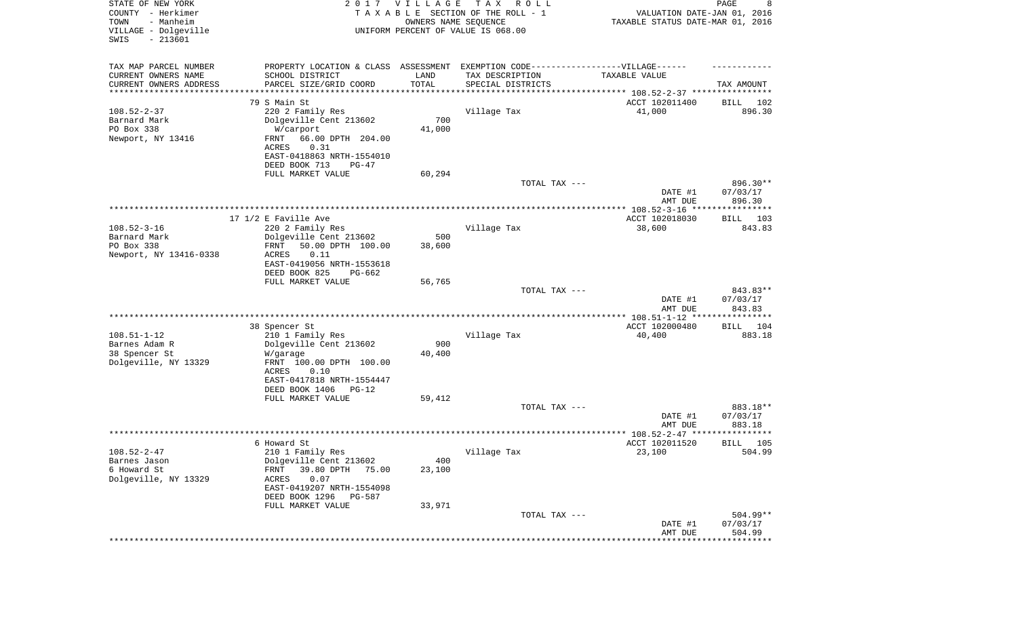| STATE OF NEW YORK<br>COUNTY - Herkimer<br>- Manheim<br>TOWN<br>VILLAGE - Dolgeville<br>SWIS<br>$-213601$ |                                                                                   | 2017 VILLAGE<br>OWNERS NAME SEQUENCE | T A X<br>R O L L<br>TAXABLE SECTION OF THE ROLL - 1<br>UNIFORM PERCENT OF VALUE IS 068.00 | VALUATION DATE-JAN 01, 2016<br>TAXABLE STATUS DATE-MAR 01, 2016      | PAGE<br>8               |
|----------------------------------------------------------------------------------------------------------|-----------------------------------------------------------------------------------|--------------------------------------|-------------------------------------------------------------------------------------------|----------------------------------------------------------------------|-------------------------|
| TAX MAP PARCEL NUMBER                                                                                    | PROPERTY LOCATION & CLASS ASSESSMENT EXEMPTION CODE-----------------VILLAGE------ |                                      |                                                                                           |                                                                      |                         |
| CURRENT OWNERS NAME                                                                                      | SCHOOL DISTRICT                                                                   | LAND                                 | TAX DESCRIPTION                                                                           | TAXABLE VALUE                                                        |                         |
| CURRENT OWNERS ADDRESS                                                                                   | PARCEL SIZE/GRID COORD                                                            | TOTAL                                | SPECIAL DISTRICTS                                                                         |                                                                      | TAX AMOUNT              |
| *******************                                                                                      |                                                                                   |                                      |                                                                                           | ************************************** 108.52-2-37 ***************** |                         |
| $108.52 - 2 - 37$                                                                                        | 79 S Main St<br>220 2 Family Res                                                  |                                      | Village Tax                                                                               | ACCT 102011400<br>41,000                                             | BILL<br>102<br>896.30   |
| Barnard Mark                                                                                             | Dolgeville Cent 213602                                                            | 700                                  |                                                                                           |                                                                      |                         |
| PO Box 338                                                                                               | W/carport                                                                         | 41,000                               |                                                                                           |                                                                      |                         |
| Newport, NY 13416                                                                                        | 66.00 DPTH 204.00<br>FRNT                                                         |                                      |                                                                                           |                                                                      |                         |
|                                                                                                          | 0.31<br>ACRES                                                                     |                                      |                                                                                           |                                                                      |                         |
|                                                                                                          | EAST-0418863 NRTH-1554010                                                         |                                      |                                                                                           |                                                                      |                         |
|                                                                                                          | DEED BOOK 713<br>PG-47                                                            |                                      |                                                                                           |                                                                      |                         |
|                                                                                                          | FULL MARKET VALUE                                                                 | 60,294                               | TOTAL TAX ---                                                                             |                                                                      | 896.30**                |
|                                                                                                          |                                                                                   |                                      |                                                                                           | DATE #1                                                              | 07/03/17                |
|                                                                                                          |                                                                                   |                                      |                                                                                           | AMT DUE                                                              | 896.30                  |
|                                                                                                          |                                                                                   |                                      |                                                                                           |                                                                      |                         |
|                                                                                                          | 17 $1/2$ E Faville Ave                                                            |                                      |                                                                                           | ACCT 102018030                                                       | BILL 103                |
| $108.52 - 3 - 16$                                                                                        | 220 2 Family Res                                                                  |                                      | Village Tax                                                                               | 38,600                                                               | 843.83                  |
| Barnard Mark                                                                                             | Dolgeville Cent 213602                                                            | 500                                  |                                                                                           |                                                                      |                         |
| PO Box 338<br>Newport, NY 13416-0338                                                                     | 50.00 DPTH 100.00<br>FRNT<br>0.11<br>ACRES                                        | 38,600                               |                                                                                           |                                                                      |                         |
|                                                                                                          | EAST-0419056 NRTH-1553618                                                         |                                      |                                                                                           |                                                                      |                         |
|                                                                                                          | DEED BOOK 825<br>PG-662                                                           |                                      |                                                                                           |                                                                      |                         |
|                                                                                                          | FULL MARKET VALUE                                                                 | 56,765                               |                                                                                           |                                                                      |                         |
|                                                                                                          |                                                                                   |                                      | TOTAL TAX ---                                                                             |                                                                      | 843.83**                |
|                                                                                                          |                                                                                   |                                      |                                                                                           | DATE #1<br>AMT DUE                                                   | 07/03/17<br>843.83      |
|                                                                                                          |                                                                                   |                                      |                                                                                           | ************ 108.51-1-12 *****************                           |                         |
|                                                                                                          | 38 Spencer St                                                                     |                                      |                                                                                           | ACCT 102000480                                                       | 104<br>BILL             |
| $108.51 - 1 - 12$                                                                                        | 210 1 Family Res                                                                  |                                      | Village Tax                                                                               | 40,400                                                               | 883.18                  |
| Barnes Adam R                                                                                            | Dolgeville Cent 213602                                                            | 900                                  |                                                                                           |                                                                      |                         |
| 38 Spencer St                                                                                            | W/garage                                                                          | 40,400                               |                                                                                           |                                                                      |                         |
| Dolgeville, NY 13329                                                                                     | FRNT 100.00 DPTH 100.00<br>ACRES<br>0.10                                          |                                      |                                                                                           |                                                                      |                         |
|                                                                                                          | EAST-0417818 NRTH-1554447                                                         |                                      |                                                                                           |                                                                      |                         |
|                                                                                                          | DEED BOOK 1406<br>PG-12                                                           |                                      |                                                                                           |                                                                      |                         |
|                                                                                                          | FULL MARKET VALUE                                                                 | 59,412                               |                                                                                           |                                                                      |                         |
|                                                                                                          |                                                                                   |                                      | TOTAL TAX ---                                                                             |                                                                      | 883.18**                |
|                                                                                                          |                                                                                   |                                      |                                                                                           | DATE #1                                                              | 07/03/17                |
|                                                                                                          |                                                                                   |                                      |                                                                                           | AMT DUE                                                              | 883.18<br>*****         |
|                                                                                                          | 6 Howard St                                                                       |                                      |                                                                                           | ACCT 102011520                                                       | 105<br>BILL             |
| $108.52 - 2 - 47$                                                                                        | 210 1 Family Res                                                                  |                                      | Village Tax                                                                               | 23,100                                                               | 504.99                  |
| Barnes Jason                                                                                             | Dolgeville Cent 213602                                                            | 400                                  |                                                                                           |                                                                      |                         |
| 6 Howard St                                                                                              | 39.80 DPTH<br>FRNT<br>75.00                                                       | 23,100                               |                                                                                           |                                                                      |                         |
| Dolgeville, NY 13329                                                                                     | 0.07<br>ACRES                                                                     |                                      |                                                                                           |                                                                      |                         |
|                                                                                                          | EAST-0419207 NRTH-1554098                                                         |                                      |                                                                                           |                                                                      |                         |
|                                                                                                          | DEED BOOK 1296<br>PG-587<br>FULL MARKET VALUE                                     | 33,971                               |                                                                                           |                                                                      |                         |
|                                                                                                          |                                                                                   |                                      | TOTAL TAX ---                                                                             |                                                                      | $504.99**$              |
|                                                                                                          |                                                                                   |                                      |                                                                                           | DATE #1                                                              | 07/03/17                |
|                                                                                                          |                                                                                   |                                      |                                                                                           | AMT DUE                                                              | 504.99                  |
|                                                                                                          |                                                                                   |                                      |                                                                                           |                                                                      | * * * * * * * * * * * * |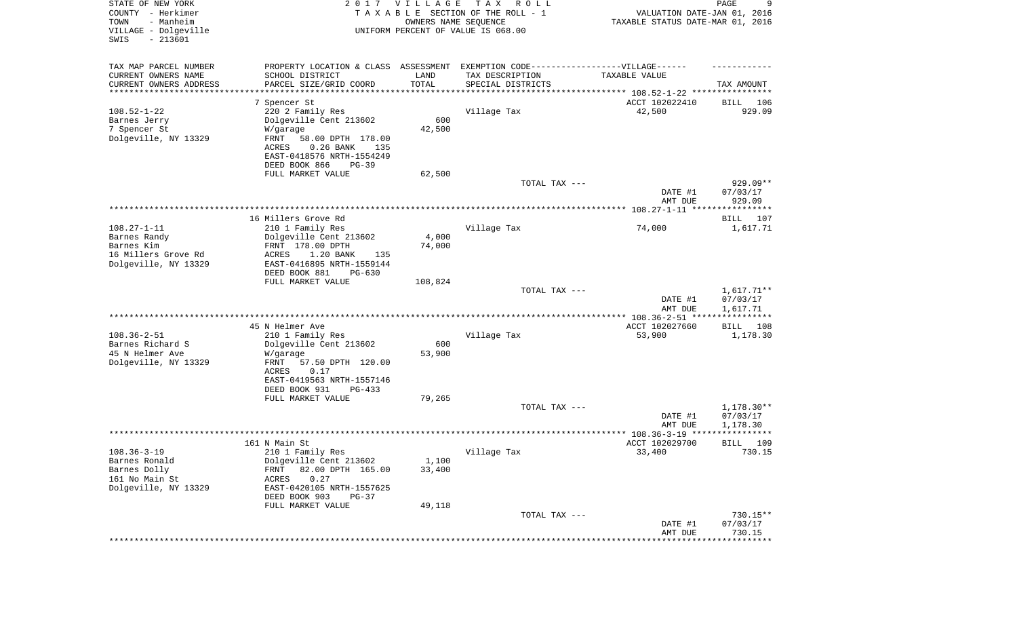| STATE OF NEW YORK<br>COUNTY - Herkimer<br>- Manheim<br>TOWN<br>VILLAGE - Dolgeville<br>SWIS<br>$-213601$ |                                                                                   | 2017 VILLAGE<br>OWNERS NAME SEQUENCE | T A X<br>R O L L<br>TAXABLE SECTION OF THE ROLL - 1<br>UNIFORM PERCENT OF VALUE IS 068.00 | VALUATION DATE-JAN 01, 2016<br>TAXABLE STATUS DATE-MAR 01, 2016 | PAGE<br>9                     |
|----------------------------------------------------------------------------------------------------------|-----------------------------------------------------------------------------------|--------------------------------------|-------------------------------------------------------------------------------------------|-----------------------------------------------------------------|-------------------------------|
| TAX MAP PARCEL NUMBER                                                                                    | PROPERTY LOCATION & CLASS ASSESSMENT EXEMPTION CODE-----------------VILLAGE------ |                                      |                                                                                           |                                                                 |                               |
| CURRENT OWNERS NAME                                                                                      | SCHOOL DISTRICT                                                                   | LAND                                 | TAX DESCRIPTION                                                                           | TAXABLE VALUE                                                   |                               |
| CURRENT OWNERS ADDRESS                                                                                   | PARCEL SIZE/GRID COORD                                                            | TOTAL                                | SPECIAL DISTRICTS                                                                         |                                                                 | TAX AMOUNT                    |
| ********************                                                                                     |                                                                                   | **********                           |                                                                                           | ********************************* 108.52-1-22 ****************  |                               |
| $108.52 - 1 - 22$                                                                                        | 7 Spencer St                                                                      |                                      |                                                                                           | ACCT 102022410                                                  | BILL<br>106<br>929.09         |
| Barnes Jerry                                                                                             | 220 2 Family Res<br>Dolgeville Cent 213602                                        | 600                                  | Village Tax                                                                               | 42,500                                                          |                               |
| 7 Spencer St                                                                                             | W/garage                                                                          | 42,500                               |                                                                                           |                                                                 |                               |
| Dolgeville, NY 13329                                                                                     | FRNT<br>58.00 DPTH 178.00                                                         |                                      |                                                                                           |                                                                 |                               |
|                                                                                                          | $0.26$ BANK<br>ACRES<br>135                                                       |                                      |                                                                                           |                                                                 |                               |
|                                                                                                          | EAST-0418576 NRTH-1554249                                                         |                                      |                                                                                           |                                                                 |                               |
|                                                                                                          | DEED BOOK 866<br>$PG-39$                                                          |                                      |                                                                                           |                                                                 |                               |
|                                                                                                          | FULL MARKET VALUE                                                                 | 62,500                               |                                                                                           |                                                                 |                               |
|                                                                                                          |                                                                                   |                                      | TOTAL TAX ---                                                                             |                                                                 | $929.09**$<br>07/03/17        |
|                                                                                                          |                                                                                   |                                      |                                                                                           | DATE #1<br>AMT DUE                                              | 929.09                        |
|                                                                                                          |                                                                                   |                                      |                                                                                           |                                                                 |                               |
|                                                                                                          | 16 Millers Grove Rd                                                               |                                      |                                                                                           |                                                                 | BILL<br>107                   |
| $108.27 - 1 - 11$                                                                                        | 210 1 Family Res                                                                  |                                      | Village Tax                                                                               | 74,000                                                          | 1,617.71                      |
| Barnes Randy                                                                                             | Dolgeville Cent 213602                                                            | 4,000                                |                                                                                           |                                                                 |                               |
| Barnes Kim                                                                                               | FRNT 178.00 DPTH                                                                  | 74,000                               |                                                                                           |                                                                 |                               |
| 16 Millers Grove Rd<br>Dolgeville, NY 13329                                                              | 1.20 BANK<br>ACRES<br>135<br>EAST-0416895 NRTH-1559144                            |                                      |                                                                                           |                                                                 |                               |
|                                                                                                          | DEED BOOK 881<br>$PG-630$                                                         |                                      |                                                                                           |                                                                 |                               |
|                                                                                                          | FULL MARKET VALUE                                                                 | 108,824                              |                                                                                           |                                                                 |                               |
|                                                                                                          |                                                                                   |                                      | TOTAL TAX ---                                                                             |                                                                 | $1,617.71**$                  |
|                                                                                                          |                                                                                   |                                      |                                                                                           | DATE #1                                                         | 07/03/17                      |
|                                                                                                          |                                                                                   |                                      |                                                                                           | AMT DUE                                                         | 1,617.71<br>************      |
|                                                                                                          | 45 N Helmer Ave                                                                   |                                      |                                                                                           | ************ 108.36-2-51 ****<br>ACCT 102027660                 | BILL<br>108                   |
| $108.36 - 2 - 51$                                                                                        | 210 1 Family Res                                                                  |                                      | Village Tax                                                                               | 53,900                                                          | 1,178.30                      |
| Barnes Richard S                                                                                         | Dolgeville Cent 213602                                                            | 600                                  |                                                                                           |                                                                 |                               |
| 45 N Helmer Ave                                                                                          | W/garage                                                                          | 53,900                               |                                                                                           |                                                                 |                               |
| Dolgeville, NY 13329                                                                                     | FRNT<br>57.50 DPTH 120.00                                                         |                                      |                                                                                           |                                                                 |                               |
|                                                                                                          | ACRES<br>0.17                                                                     |                                      |                                                                                           |                                                                 |                               |
|                                                                                                          | EAST-0419563 NRTH-1557146                                                         |                                      |                                                                                           |                                                                 |                               |
|                                                                                                          | DEED BOOK 931<br>PG-433<br>FULL MARKET VALUE                                      | 79,265                               |                                                                                           |                                                                 |                               |
|                                                                                                          |                                                                                   |                                      | TOTAL TAX ---                                                                             |                                                                 | 1,178.30**                    |
|                                                                                                          |                                                                                   |                                      |                                                                                           | DATE #1                                                         | 07/03/17                      |
|                                                                                                          |                                                                                   |                                      |                                                                                           | AMT DUE                                                         | 1,178.30                      |
|                                                                                                          |                                                                                   |                                      |                                                                                           | ***************** 108.36-3-19 ****                              | *****                         |
|                                                                                                          | 161 N Main St                                                                     |                                      |                                                                                           | ACCT 102029700                                                  | 109<br>BILL                   |
| $108.36 - 3 - 19$                                                                                        | 210 1 Family Res<br>Dolgeville Cent 213602                                        |                                      | Village Tax                                                                               | 33,400                                                          | 730.15                        |
| Barnes Ronald<br>Barnes Dolly                                                                            | 82.00 DPTH 165.00<br><b>FRNT</b>                                                  | 1,100<br>33,400                      |                                                                                           |                                                                 |                               |
| 161 No Main St                                                                                           | 0.27<br>ACRES                                                                     |                                      |                                                                                           |                                                                 |                               |
| Dolgeville, NY 13329                                                                                     | EAST-0420105 NRTH-1557625                                                         |                                      |                                                                                           |                                                                 |                               |
|                                                                                                          | DEED BOOK 903<br>$PG-37$                                                          |                                      |                                                                                           |                                                                 |                               |
|                                                                                                          | FULL MARKET VALUE                                                                 | 49,118                               |                                                                                           |                                                                 |                               |
|                                                                                                          |                                                                                   |                                      | TOTAL TAX ---                                                                             |                                                                 | 730.15**                      |
|                                                                                                          |                                                                                   |                                      |                                                                                           | DATE #1                                                         | 07/03/17                      |
|                                                                                                          |                                                                                   |                                      |                                                                                           | AMT DUE                                                         | 730.15<br>* * * * * * * * * * |
|                                                                                                          |                                                                                   |                                      |                                                                                           |                                                                 |                               |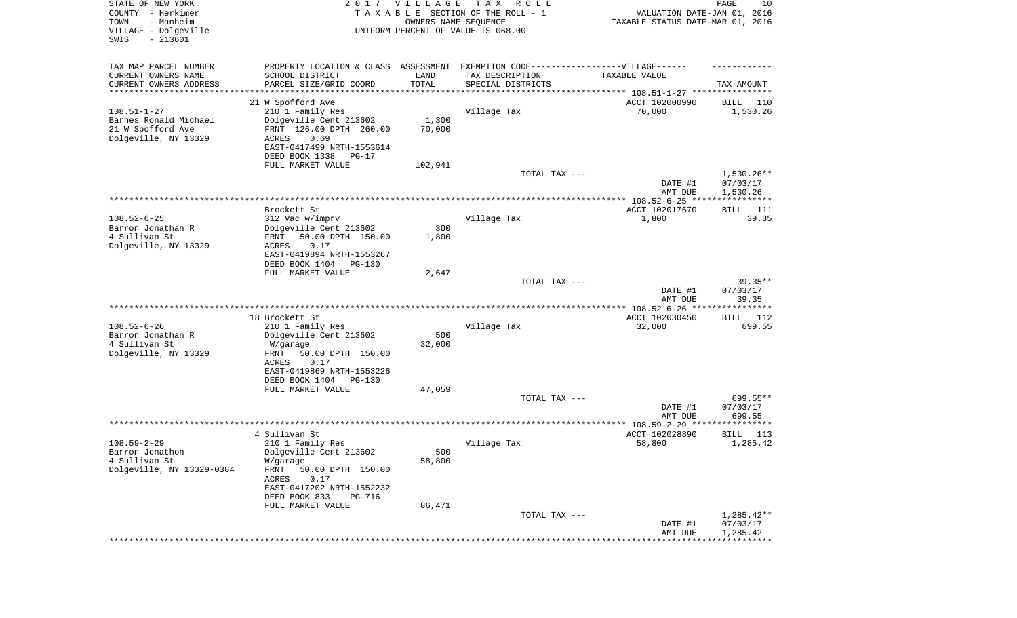|                                                               |                                                                                  |                       |                                                     | DATE #1<br>AMT DUE               | 07/03/17<br>1,285.42    |
|---------------------------------------------------------------|----------------------------------------------------------------------------------|-----------------------|-----------------------------------------------------|----------------------------------|-------------------------|
|                                                               |                                                                                  |                       | TOTAL TAX ---                                       |                                  | $1,285.42**$            |
|                                                               | DEED BOOK 833<br>PG-716<br>FULL MARKET VALUE                                     | 86,471                |                                                     |                                  |                         |
|                                                               | FRNT<br>50.00 DPTH 150.00<br>ACRES<br>0.17<br>EAST-0417202 NRTH-1552232          |                       |                                                     |                                  |                         |
| Barron Jonathon<br>4 Sullivan St<br>Dolgeville, NY 13329-0384 | Dolgeville Cent 213602<br>W/garage                                               | 500<br>58,800         |                                                     |                                  |                         |
| $108.59 - 2 - 29$                                             | 210 1 Family Res                                                                 |                       | Village Tax                                         | 58,800                           | 1,285.42                |
|                                                               | 4 Sullivan St                                                                    |                       |                                                     | ACCT 102028890                   | BILL<br>113             |
|                                                               |                                                                                  |                       |                                                     | AMT DUE                          | 699.55<br>**********    |
|                                                               |                                                                                  |                       |                                                     | DATE #1                          | 07/03/17                |
|                                                               | FULL MARKET VALUE                                                                | 47,059                | TOTAL TAX ---                                       |                                  | 699.55**                |
|                                                               | DEED BOOK 1404<br>PG-130                                                         |                       |                                                     |                                  |                         |
|                                                               | EAST-0419869 NRTH-1553226                                                        |                       |                                                     |                                  |                         |
| Dolgeville, NY 13329                                          | 50.00 DPTH 150.00<br>FRNT<br><b>ACRES</b><br>0.17                                |                       |                                                     |                                  |                         |
| 4 Sullivan St                                                 | W/garage                                                                         | 32,000                |                                                     |                                  |                         |
| $108.52 - 6 - 26$<br>Barron Jonathan R                        | 210 1 Family Res<br>Dolgeville Cent 213602                                       | 500                   | Village Tax                                         | 32,000                           | 699.55                  |
|                                                               | 18 Brockett St                                                                   |                       |                                                     | ACCT 102030450                   | BILL 112                |
|                                                               |                                                                                  |                       |                                                     | AMT DUE                          | 39.35                   |
|                                                               |                                                                                  |                       |                                                     | DATE #1                          | 07/03/17                |
|                                                               | FULL MARKET VALUE                                                                | 2,647                 | TOTAL TAX ---                                       |                                  | $39.35**$               |
|                                                               | DEED BOOK 1404<br><b>PG-130</b>                                                  |                       |                                                     |                                  |                         |
|                                                               | EAST-0419894 NRTH-1553267                                                        |                       |                                                     |                                  |                         |
| 4 Sullivan St<br>Dolgeville, NY 13329                         | 50.00 DPTH 150.00<br>FRNT<br>0.17<br>ACRES                                       | 1,800                 |                                                     |                                  |                         |
| Barron Jonathan R                                             | Dolgeville Cent 213602                                                           | 300                   |                                                     |                                  |                         |
| $108.52 - 6 - 25$                                             | Brockett St<br>312 Vac w/imprv                                                   |                       | Village Tax                                         | ACCT 102017670<br>1,800          | 111<br>BILL<br>39.35    |
|                                                               |                                                                                  |                       |                                                     |                                  |                         |
|                                                               |                                                                                  |                       |                                                     | DATE #1<br>AMT DUE               | 07/03/17<br>1,530.26    |
|                                                               |                                                                                  |                       | TOTAL TAX ---                                       |                                  | $1,530.26**$            |
|                                                               | DEED BOOK 1338<br>PG-17<br>FULL MARKET VALUE                                     | 102,941               |                                                     |                                  |                         |
|                                                               | EAST-0417499 NRTH-1553614                                                        |                       |                                                     |                                  |                         |
| 21 W Spofford Ave<br>Dolgeville, NY 13329                     | FRNT 126.00 DPTH 260.00<br>ACRES<br>0.69                                         | 70,000                |                                                     |                                  |                         |
| Barnes Ronald Michael                                         | Dolgeville Cent 213602                                                           | 1,300                 |                                                     |                                  |                         |
| $108.51 - 1 - 27$                                             | 21 W Spofford Ave<br>210 1 Family Res                                            |                       | Village Tax                                         | ACCT 102000990<br>70,000         | 110<br>BILL<br>1,530.26 |
| ********************                                          |                                                                                  | * * * * * * * * * * * |                                                     |                                  |                         |
| CURRENT OWNERS NAME<br>CURRENT OWNERS ADDRESS                 | SCHOOL DISTRICT<br>PARCEL SIZE/GRID COORD                                        | LAND<br>TOTAL         | TAX DESCRIPTION<br>SPECIAL DISTRICTS                | TAXABLE VALUE                    | TAX AMOUNT              |
| TAX MAP PARCEL NUMBER                                         | PROPERTY LOCATION & CLASS ASSESSMENT EXEMPTION CODE----------------VILLAGE------ |                       |                                                     |                                  |                         |
|                                                               |                                                                                  |                       |                                                     |                                  |                         |
| VILLAGE - Dolgeville<br>SWIS<br>$-213601$                     |                                                                                  |                       | UNIFORM PERCENT OF VALUE IS 068.00                  |                                  |                         |
| TOWN<br>- Manheim                                             |                                                                                  | OWNERS NAME SEQUENCE  |                                                     | TAXABLE STATUS DATE-MAR 01, 2016 |                         |
| STATE OF NEW YORK<br>COUNTY - Herkimer                        |                                                                                  | 2017 VILLAGE          | T A X<br>R O L L<br>TAXABLE SECTION OF THE ROLL - 1 | VALUATION DATE-JAN 01, 2016      | PAGE<br>10              |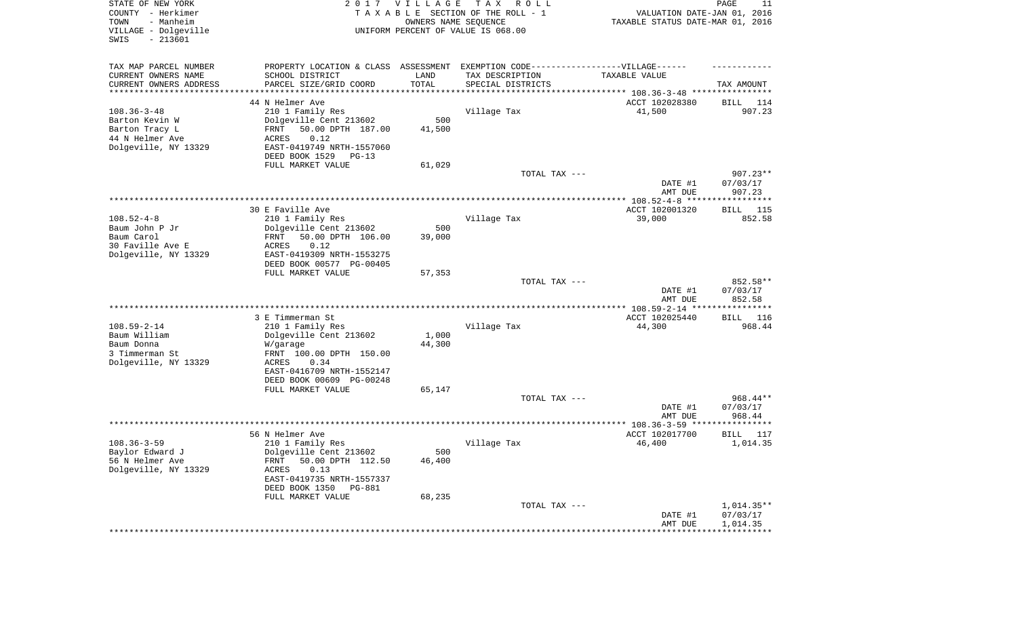| STATE OF NEW YORK<br>COUNTY - Herkimer<br>TOWN<br>- Manheim<br>VILLAGE - Dolgeville<br>SWIS<br>$-213601$ | 2017                                                                                                                                                                                                        | <b>VILLAGE</b><br>OWNERS NAME SEQUENCE | T A X<br>R O L L<br>TAXABLE SECTION OF THE ROLL - 1<br>UNIFORM PERCENT OF VALUE IS 068.00 | VALUATION DATE-JAN 01, 2016<br>TAXABLE STATUS DATE-MAR 01, 2016                  | PAGE<br>11                           |
|----------------------------------------------------------------------------------------------------------|-------------------------------------------------------------------------------------------------------------------------------------------------------------------------------------------------------------|----------------------------------------|-------------------------------------------------------------------------------------------|----------------------------------------------------------------------------------|--------------------------------------|
| TAX MAP PARCEL NUMBER<br>CURRENT OWNERS NAME<br>CURRENT OWNERS ADDRESS<br>********************           | PROPERTY LOCATION & CLASS ASSESSMENT EXEMPTION CODE----------------VILLAGE------<br>SCHOOL DISTRICT<br>PARCEL SIZE/GRID COORD                                                                               | LAND<br>TOTAL                          | TAX DESCRIPTION<br>SPECIAL DISTRICTS                                                      | TAXABLE VALUE<br>********************************** 108.36-3-48 **************** | TAX AMOUNT                           |
| $108.36 - 3 - 48$<br>Barton Kevin W<br>Barton Tracy L<br>44 N Helmer Ave<br>Dolgeville, NY 13329         | 44 N Helmer Ave<br>210 1 Family Res<br>Dolgeville Cent 213602<br>50.00 DPTH 187.00<br>FRNT<br>ACRES<br>0.12<br>EAST-0419749 NRTH-1557060<br>DEED BOOK 1529<br>$PG-13$<br>FULL MARKET VALUE                  | 500<br>41,500<br>61,029                | Village Tax                                                                               | ACCT 102028380<br>41,500                                                         | 114<br>BILL<br>907.23                |
|                                                                                                          |                                                                                                                                                                                                             |                                        | TOTAL TAX ---                                                                             | DATE #1<br>AMT DUE                                                               | $907.23**$<br>07/03/17<br>907.23     |
| $108.52 - 4 - 8$<br>Baum John P Jr<br>Baum Carol<br>30 Faville Ave E<br>Dolgeville, NY 13329             | 30 E Faville Ave<br>210 1 Family Res<br>Dolgeville Cent 213602<br>50.00 DPTH 106.00<br>FRNT<br>0.12<br>ACRES<br>EAST-0419309 NRTH-1553275<br>DEED BOOK 00577 PG-00405                                       | 500<br>39,000                          | Village Tax                                                                               | ACCT 102001320<br>39,000                                                         | 115<br>BILL<br>852.58                |
|                                                                                                          | FULL MARKET VALUE                                                                                                                                                                                           | 57,353                                 | TOTAL TAX ---                                                                             | DATE #1<br>AMT DUE                                                               | 852.58**<br>07/03/17<br>852.58       |
|                                                                                                          |                                                                                                                                                                                                             |                                        |                                                                                           |                                                                                  |                                      |
| $108.59 - 2 - 14$<br>Baum William<br>Baum Donna<br>3 Timmerman St<br>Dolgeville, NY 13329                | 3 E Timmerman St<br>210 1 Family Res<br>Dolgeville Cent 213602<br>W/garage<br>FRNT 100.00 DPTH 150.00<br><b>ACRES</b><br>0.34<br>EAST-0416709 NRTH-1552147<br>DEED BOOK 00609 PG-00248<br>FULL MARKET VALUE | 1,000<br>44,300<br>65,147              | Village Tax                                                                               | ACCT 102025440<br>44,300                                                         | BILL 116<br>968.44                   |
|                                                                                                          |                                                                                                                                                                                                             |                                        | TOTAL TAX ---                                                                             | DATE #1<br>AMT DUE                                                               | $968.44**$<br>07/03/17<br>968.44     |
|                                                                                                          |                                                                                                                                                                                                             |                                        |                                                                                           |                                                                                  | *********                            |
| $108.36 - 3 - 59$<br>Baylor Edward J<br>56 N Helmer Ave<br>Dolgeville, NY 13329                          | 56 N Helmer Ave<br>210 1 Family Res<br>Dolgeville Cent 213602<br>50.00 DPTH 112.50<br>FRNT<br>0.13<br>ACRES<br>EAST-0419735 NRTH-1557337<br>DEED BOOK 1350 PG-881<br>FULL MARKET VALUE                      | 500<br>46,400<br>68,235                | Village Tax                                                                               | ACCT 102017700<br>46,400                                                         | BILL<br>117<br>1,014.35              |
|                                                                                                          |                                                                                                                                                                                                             |                                        | TOTAL TAX ---                                                                             | DATE #1<br>AMT DUE<br>************************************                       | $1,014.35**$<br>07/03/17<br>1,014.35 |
|                                                                                                          |                                                                                                                                                                                                             |                                        |                                                                                           |                                                                                  |                                      |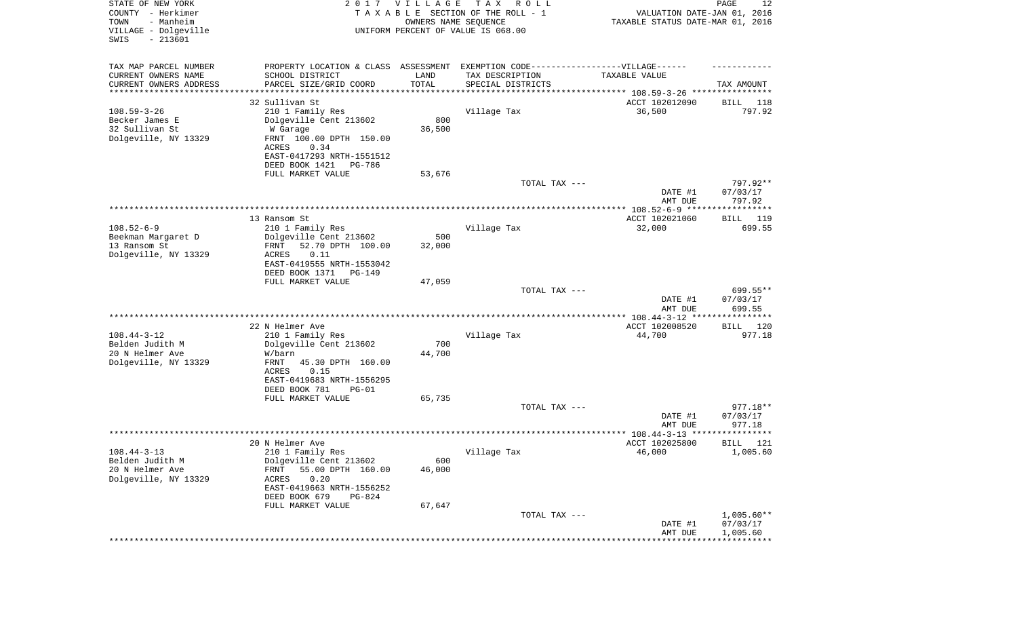| STATE OF NEW YORK<br>COUNTY - Herkimer<br>- Manheim<br>TOWN<br>VILLAGE - Dolgeville<br>SWIS<br>$-213601$ |                                                                                   | 2017 VILLAGE<br>OWNERS NAME SEQUENCE | T A X<br>R O L L<br>TAXABLE SECTION OF THE ROLL - 1<br>UNIFORM PERCENT OF VALUE IS 068.00 | VALUATION DATE-JAN 01, 2016<br>TAXABLE STATUS DATE-MAR 01, 2016 | PAGE<br>12            |
|----------------------------------------------------------------------------------------------------------|-----------------------------------------------------------------------------------|--------------------------------------|-------------------------------------------------------------------------------------------|-----------------------------------------------------------------|-----------------------|
| TAX MAP PARCEL NUMBER                                                                                    | PROPERTY LOCATION & CLASS ASSESSMENT EXEMPTION CODE-----------------VILLAGE------ |                                      |                                                                                           |                                                                 |                       |
| CURRENT OWNERS NAME                                                                                      | SCHOOL DISTRICT                                                                   | LAND                                 | TAX DESCRIPTION                                                                           | TAXABLE VALUE                                                   |                       |
| CURRENT OWNERS ADDRESS<br>*******************                                                            | PARCEL SIZE/GRID COORD                                                            | TOTAL                                | SPECIAL DISTRICTS                                                                         |                                                                 | TAX AMOUNT            |
|                                                                                                          | 32 Sullivan St                                                                    |                                      |                                                                                           | ACCT 102012090                                                  | 118<br>BILL           |
| $108.59 - 3 - 26$                                                                                        | 210 1 Family Res                                                                  |                                      | Village Tax                                                                               | 36,500                                                          | 797.92                |
| Becker James E                                                                                           | Dolgeville Cent 213602                                                            | 800                                  |                                                                                           |                                                                 |                       |
| 32 Sullivan St                                                                                           | W Garage                                                                          | 36,500                               |                                                                                           |                                                                 |                       |
| Dolgeville, NY 13329                                                                                     | FRNT 100.00 DPTH 150.00                                                           |                                      |                                                                                           |                                                                 |                       |
|                                                                                                          | ACRES<br>0.34<br>EAST-0417293 NRTH-1551512                                        |                                      |                                                                                           |                                                                 |                       |
|                                                                                                          | DEED BOOK 1421<br>PG-786                                                          |                                      |                                                                                           |                                                                 |                       |
|                                                                                                          | FULL MARKET VALUE                                                                 | 53,676                               |                                                                                           |                                                                 |                       |
|                                                                                                          |                                                                                   |                                      | TOTAL TAX ---                                                                             |                                                                 | 797.92**              |
|                                                                                                          |                                                                                   |                                      |                                                                                           | DATE #1<br>AMT DUE                                              | 07/03/17<br>797.92    |
|                                                                                                          | 13 Ransom St                                                                      |                                      |                                                                                           | ACCT 102021060                                                  | BILL 119              |
| $108.52 - 6 - 9$                                                                                         | 210 1 Family Res                                                                  |                                      | Village Tax                                                                               | 32,000                                                          | 699.55                |
| Beekman Margaret D                                                                                       | Dolgeville Cent 213602                                                            | 500                                  |                                                                                           |                                                                 |                       |
| 13 Ransom St                                                                                             | 52.70 DPTH 100.00<br>FRNT                                                         | 32,000                               |                                                                                           |                                                                 |                       |
| Dolgeville, NY 13329                                                                                     | 0.11<br>ACRES                                                                     |                                      |                                                                                           |                                                                 |                       |
|                                                                                                          | EAST-0419555 NRTH-1553042<br>DEED BOOK 1371<br>PG-149                             |                                      |                                                                                           |                                                                 |                       |
|                                                                                                          | FULL MARKET VALUE                                                                 | 47,059                               |                                                                                           |                                                                 |                       |
|                                                                                                          |                                                                                   |                                      | TOTAL TAX ---                                                                             |                                                                 | 699.55**              |
|                                                                                                          |                                                                                   |                                      |                                                                                           | DATE #1                                                         | 07/03/17              |
|                                                                                                          |                                                                                   |                                      |                                                                                           | AMT DUE                                                         | 699.55                |
|                                                                                                          | 22 N Helmer Ave                                                                   |                                      |                                                                                           | ************ 108.44-3-12 ****                                   | ************          |
| $108.44 - 3 - 12$                                                                                        | 210 1 Family Res                                                                  |                                      | Village Tax                                                                               | ACCT 102008520<br>44,700                                        | 120<br>BILL<br>977.18 |
| Belden Judith M                                                                                          | Dolgeville Cent 213602                                                            | 700                                  |                                                                                           |                                                                 |                       |
| 20 N Helmer Ave                                                                                          | W/barn                                                                            | 44,700                               |                                                                                           |                                                                 |                       |
| Dolgeville, NY 13329                                                                                     | FRNT<br>45.30 DPTH 160.00                                                         |                                      |                                                                                           |                                                                 |                       |
|                                                                                                          | ACRES<br>0.15                                                                     |                                      |                                                                                           |                                                                 |                       |
|                                                                                                          | EAST-0419683 NRTH-1556295<br>DEED BOOK 781<br>$PG-01$                             |                                      |                                                                                           |                                                                 |                       |
|                                                                                                          | FULL MARKET VALUE                                                                 | 65,735                               |                                                                                           |                                                                 |                       |
|                                                                                                          |                                                                                   |                                      | TOTAL TAX ---                                                                             |                                                                 | 977.18**              |
|                                                                                                          |                                                                                   |                                      |                                                                                           | DATE #1                                                         | 07/03/17              |
|                                                                                                          |                                                                                   |                                      |                                                                                           | AMT DUE                                                         | 977.18<br>*******     |
|                                                                                                          | 20 N Helmer Ave                                                                   |                                      |                                                                                           | ****************** 108.44-3-13 *********<br>ACCT 102025800      | BILL<br>121           |
| $108.44 - 3 - 13$                                                                                        | 210 1 Family Res                                                                  |                                      | Village Tax                                                                               | 46,000                                                          | 1,005.60              |
| Belden Judith M                                                                                          | Dolgeville Cent 213602                                                            | 600                                  |                                                                                           |                                                                 |                       |
| 20 N Helmer Ave                                                                                          | 55.00 DPTH 160.00<br><b>FRNT</b>                                                  | 46,000                               |                                                                                           |                                                                 |                       |
| Dolgeville, NY 13329                                                                                     | 0.20<br><b>ACRES</b>                                                              |                                      |                                                                                           |                                                                 |                       |
|                                                                                                          | EAST-0419663 NRTH-1556252                                                         |                                      |                                                                                           |                                                                 |                       |
|                                                                                                          | DEED BOOK 679<br>PG-824<br>FULL MARKET VALUE                                      | 67,647                               |                                                                                           |                                                                 |                       |
|                                                                                                          |                                                                                   |                                      | TOTAL TAX ---                                                                             |                                                                 | $1,005.60**$          |
|                                                                                                          |                                                                                   |                                      |                                                                                           | DATE #1                                                         | 07/03/17              |
|                                                                                                          |                                                                                   |                                      |                                                                                           | AMT DUE                                                         | 1,005.60              |
|                                                                                                          |                                                                                   |                                      |                                                                                           |                                                                 |                       |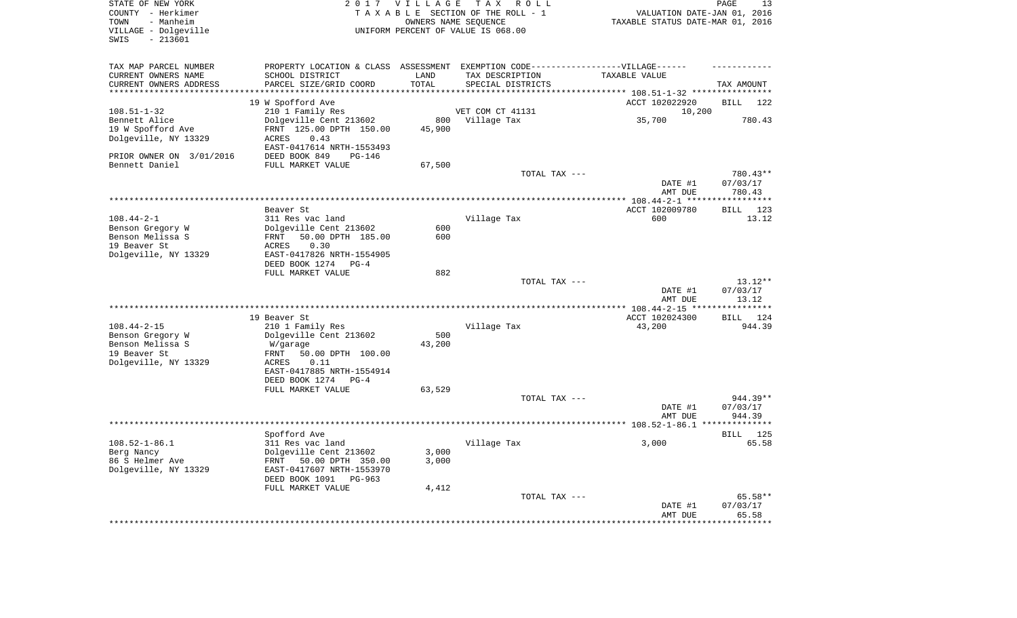| STATE OF NEW YORK<br>COUNTY - Herkimer<br>- Manheim<br>TOWN<br>VILLAGE - Dolgeville |                                                                                   | 2017 VILLAGE       | TAX ROLL<br>TAXABLE SECTION OF THE ROLL - 1<br>OWNERS NAME SEQUENCE<br>UNIFORM PERCENT OF VALUE IS 068.00 | VALUATION DATE-JAN 01, 2016<br>TAXABLE STATUS DATE-MAR 01, 2016             | PAGE<br>13         |
|-------------------------------------------------------------------------------------|-----------------------------------------------------------------------------------|--------------------|-----------------------------------------------------------------------------------------------------------|-----------------------------------------------------------------------------|--------------------|
| $-213601$<br>SWIS                                                                   |                                                                                   |                    |                                                                                                           |                                                                             |                    |
| TAX MAP PARCEL NUMBER                                                               | PROPERTY LOCATION & CLASS ASSESSMENT EXEMPTION CODE-----------------VILLAGE------ |                    |                                                                                                           |                                                                             |                    |
| CURRENT OWNERS NAME                                                                 | SCHOOL DISTRICT                                                                   | LAND               | TAX DESCRIPTION                                                                                           | TAXABLE VALUE                                                               |                    |
| CURRENT OWNERS ADDRESS<br>********************                                      | PARCEL SIZE/GRID COORD<br>********************                                    | TOTAL<br>********* | SPECIAL DISTRICTS                                                                                         |                                                                             | TAX AMOUNT         |
|                                                                                     |                                                                                   |                    |                                                                                                           | **************************** 108.51-1-32 ****************<br>ACCT 102022920 | <b>BILL</b><br>122 |
| $108.51 - 1 - 32$                                                                   | 19 W Spofford Ave<br>210 1 Family Res                                             |                    | VET COM CT 41131                                                                                          | 10,200                                                                      |                    |
| Bennett Alice                                                                       | Dolgeville Cent 213602                                                            | 800                | Village Tax                                                                                               | 35,700                                                                      | 780.43             |
| 19 W Spofford Ave                                                                   | FRNT 125.00 DPTH 150.00                                                           | 45,900             |                                                                                                           |                                                                             |                    |
| Dolgeville, NY 13329                                                                | 0.43<br>ACRES                                                                     |                    |                                                                                                           |                                                                             |                    |
|                                                                                     | EAST-0417614 NRTH-1553493                                                         |                    |                                                                                                           |                                                                             |                    |
| PRIOR OWNER ON 3/01/2016<br>Bennett Daniel                                          | DEED BOOK 849<br>$PG-146$<br>FULL MARKET VALUE                                    | 67,500             |                                                                                                           |                                                                             |                    |
|                                                                                     |                                                                                   |                    | TOTAL TAX ---                                                                                             |                                                                             | 780.43**           |
|                                                                                     |                                                                                   |                    |                                                                                                           | DATE #1                                                                     | 07/03/17           |
|                                                                                     |                                                                                   |                    |                                                                                                           | AMT DUE                                                                     | 780.43             |
| **************************                                                          |                                                                                   |                    |                                                                                                           |                                                                             |                    |
|                                                                                     | Beaver St                                                                         |                    |                                                                                                           | ACCT 102009780                                                              | 123<br>BILL        |
| $108.44 - 2 - 1$                                                                    | 311 Res vac land                                                                  |                    | Village Tax                                                                                               | 600                                                                         | 13.12              |
| Benson Gregory W<br>Benson Melissa S                                                | Dolgeville Cent 213602<br>50.00 DPTH 185.00<br>FRNT                               | 600<br>600         |                                                                                                           |                                                                             |                    |
| 19 Beaver St                                                                        | 0.30<br>ACRES                                                                     |                    |                                                                                                           |                                                                             |                    |
| Dolgeville, NY 13329                                                                | EAST-0417826 NRTH-1554905                                                         |                    |                                                                                                           |                                                                             |                    |
|                                                                                     | DEED BOOK 1274<br>$PG-4$                                                          |                    |                                                                                                           |                                                                             |                    |
|                                                                                     | FULL MARKET VALUE                                                                 | 882                |                                                                                                           |                                                                             |                    |
|                                                                                     |                                                                                   |                    | TOTAL TAX ---                                                                                             |                                                                             | $13.12**$          |
|                                                                                     |                                                                                   |                    |                                                                                                           | DATE #1                                                                     | 07/03/17           |
|                                                                                     |                                                                                   |                    |                                                                                                           | AMT DUE<br>****** 108.44-2-15 **                                            | 13.12              |
|                                                                                     | 19 Beaver St                                                                      |                    |                                                                                                           | ACCT 102024300                                                              | 124<br>BILL        |
| $108.44 - 2 - 15$                                                                   | 210 1 Family Res                                                                  |                    | Village Tax                                                                                               | 43,200                                                                      | 944.39             |
| Benson Gregory W                                                                    | Dolgeville Cent 213602                                                            | 500                |                                                                                                           |                                                                             |                    |
| Benson Melissa S                                                                    | W/garage                                                                          | 43,200             |                                                                                                           |                                                                             |                    |
| 19 Beaver St                                                                        | <b>FRNT</b><br>50.00 DPTH 100.00                                                  |                    |                                                                                                           |                                                                             |                    |
| Dolgeville, NY 13329                                                                | 0.11<br>ACRES                                                                     |                    |                                                                                                           |                                                                             |                    |
|                                                                                     | EAST-0417885 NRTH-1554914<br>DEED BOOK 1274<br>$PG-4$                             |                    |                                                                                                           |                                                                             |                    |
|                                                                                     | FULL MARKET VALUE                                                                 | 63,529             |                                                                                                           |                                                                             |                    |
|                                                                                     |                                                                                   |                    | TOTAL TAX ---                                                                                             |                                                                             | 944.39**           |
|                                                                                     |                                                                                   |                    |                                                                                                           | DATE #1                                                                     | 07/03/17           |
|                                                                                     |                                                                                   |                    |                                                                                                           | AMT DUE                                                                     | 944.39             |
|                                                                                     |                                                                                   |                    |                                                                                                           |                                                                             |                    |
|                                                                                     | Spofford Ave                                                                      |                    |                                                                                                           |                                                                             | 125<br>BILL        |
| $108.52 - 1 - 86.1$                                                                 | 311 Res vac land                                                                  |                    | Village Tax                                                                                               | 3,000                                                                       | 65.58              |
| Berg Nancy<br>86 S Helmer Ave                                                       | Dolgeville Cent 213602<br>FRNT 50.00 DPTH 350.00                                  | 3,000<br>3,000     |                                                                                                           |                                                                             |                    |
| Dolgeville, NY 13329                                                                | EAST-0417607 NRTH-1553970                                                         |                    |                                                                                                           |                                                                             |                    |
|                                                                                     | DEED BOOK 1091<br>PG-963                                                          |                    |                                                                                                           |                                                                             |                    |
|                                                                                     | FULL MARKET VALUE                                                                 | 4,412              |                                                                                                           |                                                                             |                    |
|                                                                                     |                                                                                   |                    | TOTAL TAX ---                                                                                             |                                                                             | 65.58**            |
|                                                                                     |                                                                                   |                    |                                                                                                           | DATE #1                                                                     | 07/03/17           |
|                                                                                     |                                                                                   |                    |                                                                                                           | AMT DUE                                                                     | 65.58              |
|                                                                                     |                                                                                   |                    |                                                                                                           |                                                                             |                    |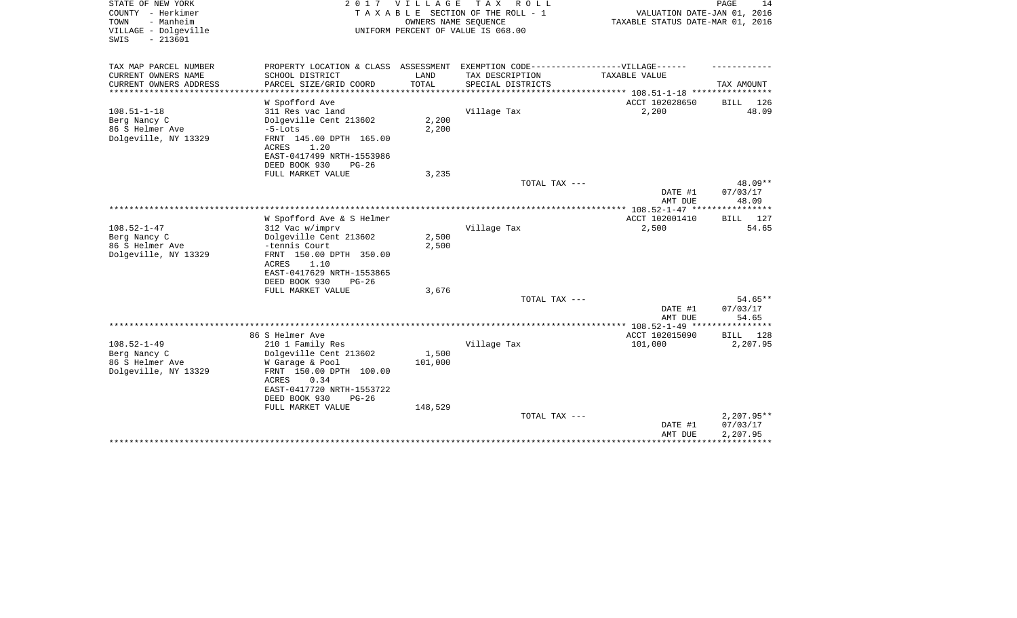| STATE OF NEW YORK<br>COUNTY - Herkimer<br>- Manheim<br>TOWN<br>VILLAGE - Dolgeville<br>$-213601$<br>SWIS | 2 0 1 7                                                                           | VILLAGE<br>OWNERS NAME SEQUENCE | T A X<br>R O L L<br>T A X A B L E SECTION OF THE ROLL - 1<br>UNIFORM PERCENT OF VALUE IS 068.00 | VALUATION DATE-JAN 01, 2016<br>TAXABLE STATUS DATE-MAR 01, 2016              | PAGE<br>14         |
|----------------------------------------------------------------------------------------------------------|-----------------------------------------------------------------------------------|---------------------------------|-------------------------------------------------------------------------------------------------|------------------------------------------------------------------------------|--------------------|
| TAX MAP PARCEL NUMBER                                                                                    | PROPERTY LOCATION & CLASS ASSESSMENT EXEMPTION CODE-----------------VILLAGE------ |                                 |                                                                                                 |                                                                              |                    |
| CURRENT OWNERS NAME<br>CURRENT OWNERS ADDRESS<br>********************                                    | SCHOOL DISTRICT<br>PARCEL SIZE/GRID COORD                                         | LAND<br>TOTAL<br>***********    | TAX DESCRIPTION<br>SPECIAL DISTRICTS                                                            | TAXABLE VALUE                                                                | TAX AMOUNT         |
|                                                                                                          | W Spofford Ave                                                                    |                                 |                                                                                                 | ***************************** 108.51-1-18 ****************<br>ACCT 102028650 | 126<br>BILL        |
| $108.51 - 1 - 18$                                                                                        | 311 Res vac land                                                                  |                                 | Village Tax                                                                                     | 2,200                                                                        | 48.09              |
| Berg Nancy C                                                                                             | Dolgeville Cent 213602                                                            | 2,200                           |                                                                                                 |                                                                              |                    |
| 86 S Helmer Ave                                                                                          | $-5$ -Lots                                                                        | 2,200                           |                                                                                                 |                                                                              |                    |
| Dolgeville, NY 13329                                                                                     | FRNT 145.00 DPTH 165.00<br>ACRES<br>1.20                                          |                                 |                                                                                                 |                                                                              |                    |
|                                                                                                          | EAST-0417499 NRTH-1553986<br>DEED BOOK 930<br>$PG-26$                             |                                 |                                                                                                 |                                                                              |                    |
|                                                                                                          | FULL MARKET VALUE                                                                 | 3,235                           |                                                                                                 |                                                                              |                    |
|                                                                                                          |                                                                                   |                                 | TOTAL TAX ---                                                                                   |                                                                              | 48.09**            |
|                                                                                                          |                                                                                   |                                 |                                                                                                 | DATE #1                                                                      | 07/03/17           |
|                                                                                                          |                                                                                   |                                 |                                                                                                 | AMT DUE                                                                      | 48.09              |
|                                                                                                          |                                                                                   |                                 |                                                                                                 | ACCT 102001410                                                               |                    |
| $108.52 - 1 - 47$                                                                                        | W Spofford Ave & S Helmer<br>312 Vac w/imprv                                      |                                 | Village Tax                                                                                     | 2,500                                                                        | BILL 127<br>54.65  |
| Berg Nancy C                                                                                             | Dolgeville Cent 213602                                                            | 2,500                           |                                                                                                 |                                                                              |                    |
| 86 S Helmer Ave                                                                                          | -tennis Court                                                                     | 2,500                           |                                                                                                 |                                                                              |                    |
| Dolgeville, NY 13329                                                                                     | FRNT 150.00 DPTH 350.00                                                           |                                 |                                                                                                 |                                                                              |                    |
|                                                                                                          | 1.10<br>ACRES                                                                     |                                 |                                                                                                 |                                                                              |                    |
|                                                                                                          | EAST-0417629 NRTH-1553865                                                         |                                 |                                                                                                 |                                                                              |                    |
|                                                                                                          | DEED BOOK 930<br>$PG-26$<br>FULL MARKET VALUE                                     | 3,676                           |                                                                                                 |                                                                              |                    |
|                                                                                                          |                                                                                   |                                 | TOTAL TAX ---                                                                                   |                                                                              | 54.65**            |
|                                                                                                          |                                                                                   |                                 |                                                                                                 | DATE #1                                                                      | 07/03/17           |
|                                                                                                          |                                                                                   |                                 |                                                                                                 | AMT DUE                                                                      | 54.65              |
|                                                                                                          |                                                                                   |                                 |                                                                                                 | ********* 108.52-1-49 ****                                                   | * * * * * * * *    |
|                                                                                                          | 86 S Helmer Ave                                                                   |                                 |                                                                                                 | ACCT 102015090                                                               | <b>BILL</b><br>128 |
| $108.52 - 1 - 49$<br>Berg Nancy C                                                                        | 210 1 Family Res<br>Dolgeville Cent 213602                                        | 1,500                           | Village Tax                                                                                     | 101,000                                                                      | 2,207.95           |
| 86 S Helmer Ave                                                                                          | W Garage & Pool                                                                   | 101,000                         |                                                                                                 |                                                                              |                    |
| Dolgeville, NY 13329                                                                                     | FRNT 150.00 DPTH 100.00                                                           |                                 |                                                                                                 |                                                                              |                    |
|                                                                                                          | 0.34<br>ACRES                                                                     |                                 |                                                                                                 |                                                                              |                    |
|                                                                                                          | EAST-0417720 NRTH-1553722                                                         |                                 |                                                                                                 |                                                                              |                    |
|                                                                                                          | DEED BOOK 930<br>$PG-26$                                                          |                                 |                                                                                                 |                                                                              |                    |
|                                                                                                          | FULL MARKET VALUE                                                                 | 148,529                         | TOTAL TAX ---                                                                                   |                                                                              | $2,207.95**$       |
|                                                                                                          |                                                                                   |                                 |                                                                                                 | DATE #1                                                                      | 07/03/17           |
|                                                                                                          |                                                                                   |                                 |                                                                                                 | AMT DUE                                                                      | 2,207.95           |
|                                                                                                          |                                                                                   |                                 |                                                                                                 |                                                                              |                    |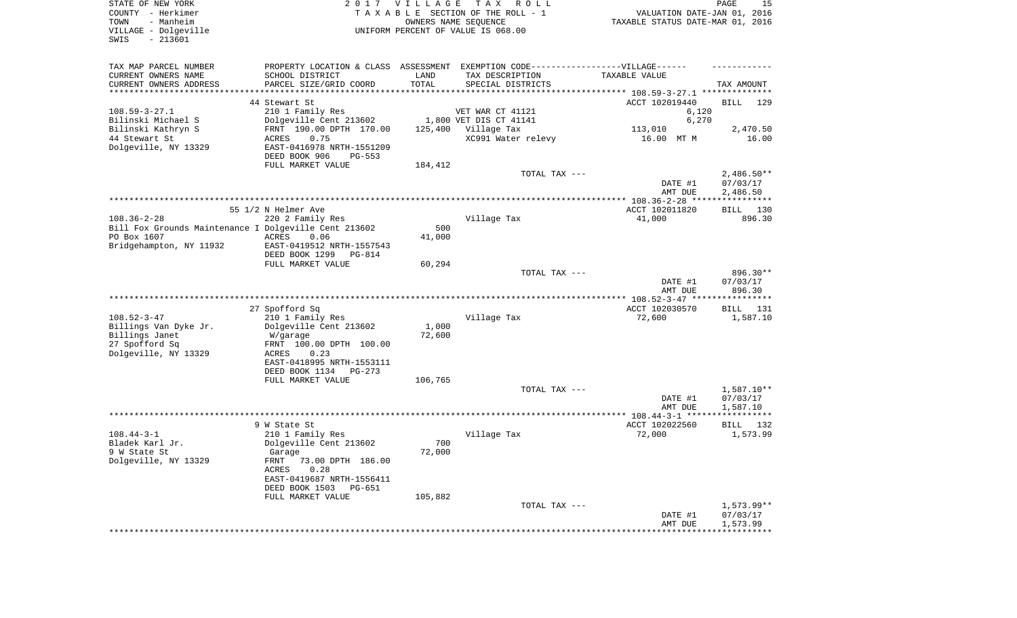| STATE OF NEW YORK<br>COUNTY - Herkimer<br>- Manheim<br>TOWN<br>VILLAGE - Dolgeville<br>$-213601$<br>SWIS |                                                                                  | 2017 VILLAGE | T A X<br>R O L L<br>TAXABLE SECTION OF THE ROLL - 1<br>OWNERS NAME SEQUENCE<br>UNIFORM PERCENT OF VALUE IS 068.00 | VALUATION DATE-JAN 01, 2016<br>TAXABLE STATUS DATE-MAR 01, 2016 | PAGE<br>15           |
|----------------------------------------------------------------------------------------------------------|----------------------------------------------------------------------------------|--------------|-------------------------------------------------------------------------------------------------------------------|-----------------------------------------------------------------|----------------------|
| TAX MAP PARCEL NUMBER                                                                                    | PROPERTY LOCATION & CLASS ASSESSMENT EXEMPTION CODE----------------VILLAGE------ |              |                                                                                                                   |                                                                 |                      |
| CURRENT OWNERS NAME                                                                                      | SCHOOL DISTRICT                                                                  | LAND         | TAX DESCRIPTION                                                                                                   | TAXABLE VALUE                                                   |                      |
| CURRENT OWNERS ADDRESS                                                                                   | PARCEL SIZE/GRID COORD                                                           | TOTAL        | SPECIAL DISTRICTS                                                                                                 |                                                                 | TAX AMOUNT           |
| *********************                                                                                    |                                                                                  |              |                                                                                                                   |                                                                 |                      |
|                                                                                                          | 44 Stewart St                                                                    |              |                                                                                                                   | ACCT 102019440                                                  | <b>BILL</b><br>129   |
| $108.59 - 3 - 27.1$<br>Bilinski Michael S                                                                | 210 1 Family Res<br>Dolgeville Cent 213602                                       |              | VET WAR CT 41121<br>1,800 VET DIS CT 41141                                                                        | 6,120<br>6,270                                                  |                      |
| Bilinski Kathryn S                                                                                       | FRNT 190.00 DPTH 170.00                                                          | 125,400      | Village Tax                                                                                                       | 113,010                                                         | 2,470.50             |
| 44 Stewart St                                                                                            | ACRES<br>0.75                                                                    |              | XC991 Water relevy                                                                                                | 16.00 MT M                                                      | 16.00                |
| Dolgeville, NY 13329                                                                                     | EAST-0416978 NRTH-1551209<br>DEED BOOK 906<br>$PG-553$                           |              |                                                                                                                   |                                                                 |                      |
|                                                                                                          | FULL MARKET VALUE                                                                | 184,412      |                                                                                                                   |                                                                 |                      |
|                                                                                                          |                                                                                  |              | TOTAL TAX ---                                                                                                     |                                                                 | $2,486.50**$         |
|                                                                                                          |                                                                                  |              |                                                                                                                   | DATE #1                                                         | 07/03/17             |
|                                                                                                          |                                                                                  |              |                                                                                                                   | AMT DUE                                                         | 2,486.50             |
|                                                                                                          | 55 1/2 N Helmer Ave                                                              |              |                                                                                                                   | ACCT 102011820                                                  | BILL 130             |
| $108.36 - 2 - 28$                                                                                        | 220 2 Family Res                                                                 |              | Village Tax                                                                                                       | 41,000                                                          | 896.30               |
| Bill Fox Grounds Maintenance I Dolgeville Cent 213602                                                    |                                                                                  | 500          |                                                                                                                   |                                                                 |                      |
| PO Box 1607                                                                                              | ACRES<br>0.06                                                                    | 41,000       |                                                                                                                   |                                                                 |                      |
| Bridgehampton, NY 11932                                                                                  | EAST-0419512 NRTH-1557543                                                        |              |                                                                                                                   |                                                                 |                      |
|                                                                                                          | DEED BOOK 1299<br>PG-814<br>FULL MARKET VALUE                                    | 60,294       |                                                                                                                   |                                                                 |                      |
|                                                                                                          |                                                                                  |              | TOTAL TAX ---                                                                                                     |                                                                 | 896.30**             |
|                                                                                                          |                                                                                  |              |                                                                                                                   | DATE #1<br>AMT DUE                                              | 07/03/17<br>896.30   |
|                                                                                                          |                                                                                  |              |                                                                                                                   |                                                                 |                      |
|                                                                                                          | 27 Spofford Sq                                                                   |              |                                                                                                                   | ACCT 102030570                                                  | BILL 131             |
| $108.52 - 3 - 47$                                                                                        | 210 1 Family Res                                                                 |              | Village Tax                                                                                                       | 72,600                                                          | 1,587.10             |
| Billings Van Dyke Jr.                                                                                    | Dolgeville Cent 213602                                                           | 1,000        |                                                                                                                   |                                                                 |                      |
| Billings Janet                                                                                           | W/garage                                                                         | 72,600       |                                                                                                                   |                                                                 |                      |
| 27 Spofford Sq<br>Dolgeville, NY 13329                                                                   | FRNT 100.00 DPTH 100.00<br>ACRES<br>0.23                                         |              |                                                                                                                   |                                                                 |                      |
|                                                                                                          | EAST-0418995 NRTH-1553111                                                        |              |                                                                                                                   |                                                                 |                      |
|                                                                                                          | DEED BOOK 1134<br>PG-273                                                         |              |                                                                                                                   |                                                                 |                      |
|                                                                                                          | FULL MARKET VALUE                                                                | 106,765      |                                                                                                                   |                                                                 |                      |
|                                                                                                          |                                                                                  |              | TOTAL TAX ---                                                                                                     |                                                                 | 1,587.10**           |
|                                                                                                          |                                                                                  |              |                                                                                                                   | DATE #1                                                         | 07/03/17<br>1,587.10 |
|                                                                                                          |                                                                                  |              |                                                                                                                   | AMT DUE                                                         |                      |
|                                                                                                          | 9 W State St                                                                     |              |                                                                                                                   | ACCT 102022560                                                  | BILL 132             |
| $108.44 - 3 - 1$                                                                                         | 210 1 Family Res                                                                 |              | Village Tax                                                                                                       | 72,000                                                          | 1,573.99             |
| Bladek Karl Jr.                                                                                          | Dolgeville Cent 213602                                                           | 700          |                                                                                                                   |                                                                 |                      |
| 9 W State St                                                                                             | Garage                                                                           | 72,000       |                                                                                                                   |                                                                 |                      |
| Dolgeville, NY 13329                                                                                     | FRNT 73.00 DPTH 186.00<br>0.28<br>ACRES                                          |              |                                                                                                                   |                                                                 |                      |
|                                                                                                          | EAST-0419687 NRTH-1556411                                                        |              |                                                                                                                   |                                                                 |                      |
|                                                                                                          | DEED BOOK 1503 PG-651                                                            |              |                                                                                                                   |                                                                 |                      |
|                                                                                                          | FULL MARKET VALUE                                                                | 105,882      |                                                                                                                   |                                                                 |                      |
|                                                                                                          |                                                                                  |              | TOTAL TAX ---                                                                                                     |                                                                 | 1,573.99**           |
|                                                                                                          |                                                                                  |              |                                                                                                                   | DATE #1                                                         | 07/03/17             |
|                                                                                                          |                                                                                  |              |                                                                                                                   | AMT DUE                                                         | 1,573.99             |
|                                                                                                          |                                                                                  |              |                                                                                                                   |                                                                 |                      |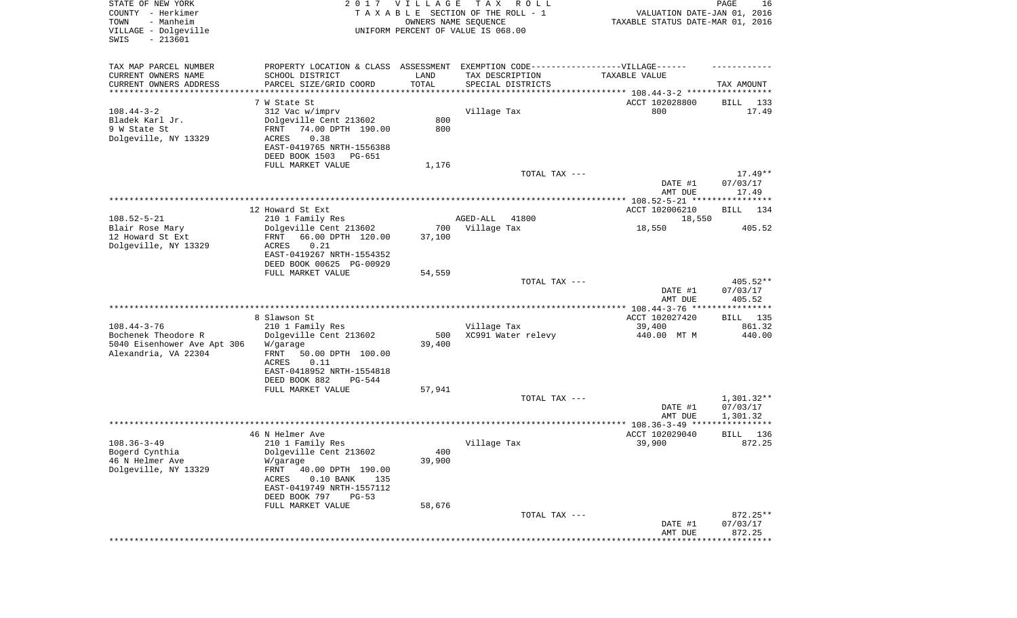| STATE OF NEW YORK<br>COUNTY - Herkimer<br>TOWN<br>- Manheim | 2 0 1 7                                                                          | <b>VILLAGE</b>                 | T A X<br>R O L L<br>TAXABLE SECTION OF THE ROLL - 1<br>OWNERS NAME SEQUENCE | VALUATION DATE-JAN 01, 2016<br>TAXABLE STATUS DATE-MAR 01, 2016 | PAGE<br>16            |
|-------------------------------------------------------------|----------------------------------------------------------------------------------|--------------------------------|-----------------------------------------------------------------------------|-----------------------------------------------------------------|-----------------------|
| VILLAGE - Dolgeville<br>SWIS<br>$-213601$                   |                                                                                  |                                | UNIFORM PERCENT OF VALUE IS 068.00                                          |                                                                 |                       |
| TAX MAP PARCEL NUMBER                                       | PROPERTY LOCATION & CLASS ASSESSMENT EXEMPTION CODE----------------VILLAGE------ |                                |                                                                             |                                                                 |                       |
| CURRENT OWNERS NAME                                         | SCHOOL DISTRICT                                                                  | LAND                           | TAX DESCRIPTION                                                             | TAXABLE VALUE                                                   |                       |
| CURRENT OWNERS ADDRESS<br>*********************             | PARCEL SIZE/GRID COORD                                                           | TOTAL<br>* * * * * * * * * * * | SPECIAL DISTRICTS                                                           | ***************************** 108.44-3-2 *****************      | TAX AMOUNT            |
|                                                             | 7 W State St                                                                     |                                |                                                                             | ACCT 102028800                                                  | BILL<br>133           |
| $108.44 - 3 - 2$                                            | 312 Vac w/imprv                                                                  |                                | Village Tax                                                                 | 800                                                             | 17.49                 |
| Bladek Karl Jr.                                             | Dolgeville Cent 213602                                                           | 800                            |                                                                             |                                                                 |                       |
| 9 W State St                                                | 74.00 DPTH 190.00<br>FRNT                                                        | 800                            |                                                                             |                                                                 |                       |
| Dolgeville, NY 13329                                        | ACRES<br>0.38                                                                    |                                |                                                                             |                                                                 |                       |
|                                                             | EAST-0419765 NRTH-1556388<br>DEED BOOK 1503<br>PG-651                            |                                |                                                                             |                                                                 |                       |
|                                                             | FULL MARKET VALUE                                                                | 1,176                          |                                                                             |                                                                 |                       |
|                                                             |                                                                                  |                                | TOTAL TAX ---                                                               |                                                                 | $17.49**$             |
|                                                             |                                                                                  |                                |                                                                             | DATE #1<br>AMT DUE                                              | 07/03/17<br>17.49     |
|                                                             |                                                                                  |                                |                                                                             |                                                                 |                       |
|                                                             | 12 Howard St Ext                                                                 |                                | 41800                                                                       | ACCT 102006210                                                  | BILL<br>134           |
| $108.52 - 5 - 21$<br>Blair Rose Mary                        | 210 1 Family Res<br>Dolgeville Cent 213602                                       | 700                            | AGED-ALL<br>Village Tax                                                     | 18,550<br>18,550                                                | 405.52                |
| 12 Howard St Ext                                            | 66.00 DPTH 120.00<br>FRNT                                                        | 37,100                         |                                                                             |                                                                 |                       |
| Dolgeville, NY 13329                                        | 0.21<br>ACRES                                                                    |                                |                                                                             |                                                                 |                       |
|                                                             | EAST-0419267 NRTH-1554352                                                        |                                |                                                                             |                                                                 |                       |
|                                                             | DEED BOOK 00625 PG-00929                                                         |                                |                                                                             |                                                                 |                       |
|                                                             | FULL MARKET VALUE                                                                | 54,559                         | TOTAL TAX ---                                                               |                                                                 | $405.52**$            |
|                                                             |                                                                                  |                                |                                                                             | DATE #1<br>AMT DUE                                              | 07/03/17<br>405.52    |
|                                                             |                                                                                  |                                |                                                                             |                                                                 |                       |
|                                                             | 8 Slawson St                                                                     |                                |                                                                             | ACCT 102027420                                                  | BILL 135              |
| $108.44 - 3 - 76$<br>Bochenek Theodore R                    | 210 1 Family Res<br>Dolgeville Cent 213602                                       | 500                            | Village Tax<br>XC991 Water relevy                                           | 39,400<br>440.00 MT M                                           | 861.32<br>440.00      |
| 5040 Eisenhower Ave Apt 306<br>Alexandria, VA 22304         | W/garage<br>FRNT<br>50.00 DPTH 100.00                                            | 39,400                         |                                                                             |                                                                 |                       |
|                                                             | ACRES<br>0.11<br>EAST-0418952 NRTH-1554818                                       |                                |                                                                             |                                                                 |                       |
|                                                             | DEED BOOK 882<br>PG-544<br>FULL MARKET VALUE                                     | 57,941                         |                                                                             |                                                                 |                       |
|                                                             |                                                                                  |                                | TOTAL TAX ---                                                               |                                                                 | $1,301.32**$          |
|                                                             |                                                                                  |                                |                                                                             | DATE #1                                                         | 07/03/17              |
|                                                             |                                                                                  |                                |                                                                             | AMT DUE                                                         | 1,301.32              |
|                                                             |                                                                                  |                                |                                                                             |                                                                 |                       |
| $108.36 - 3 - 49$                                           | 46 N Helmer Ave<br>210 1 Family Res                                              |                                | Village Tax                                                                 | ACCT 102029040<br>39,900                                        | 136<br>BILL<br>872.25 |
| Bogerd Cynthia                                              | Dolgeville Cent 213602                                                           | 400                            |                                                                             |                                                                 |                       |
| 46 N Helmer Ave                                             | W/garage                                                                         | 39,900                         |                                                                             |                                                                 |                       |
| Dolgeville, NY 13329                                        | FRNT<br>40.00 DPTH 190.00                                                        |                                |                                                                             |                                                                 |                       |
|                                                             | ACRES<br>$0.10$ BANK<br>135                                                      |                                |                                                                             |                                                                 |                       |
|                                                             | EAST-0419749 NRTH-1557112                                                        |                                |                                                                             |                                                                 |                       |
|                                                             | DEED BOOK 797<br>$PG-53$<br>FULL MARKET VALUE                                    | 58,676                         |                                                                             |                                                                 |                       |
|                                                             |                                                                                  |                                | TOTAL TAX ---                                                               |                                                                 | 872.25**              |
|                                                             |                                                                                  |                                |                                                                             | DATE #1<br>AMT DUE                                              | 07/03/17<br>872.25    |
|                                                             |                                                                                  |                                |                                                                             |                                                                 | *****************     |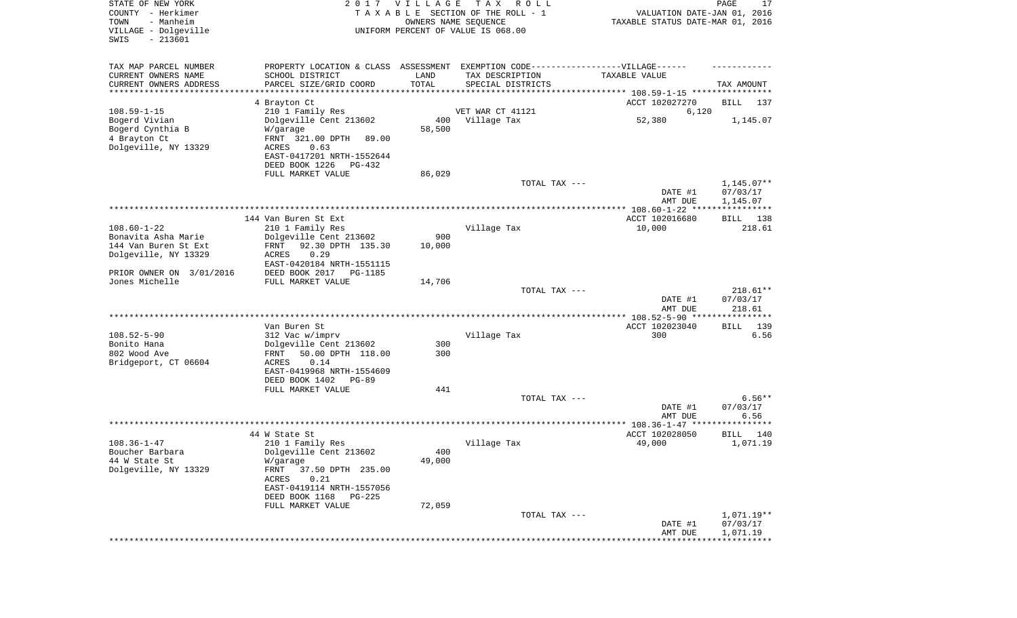| STATE OF NEW YORK<br>COUNTY - Herkimer<br>- Manheim<br>TOWN<br>VILLAGE - Dolgeville<br>$-213601$<br>SWIS |                                                                                                     | 2017 VILLAGE | T A X<br>R O L L<br>TAXABLE SECTION OF THE ROLL - 1<br>OWNERS NAME SEQUENCE<br>UNIFORM PERCENT OF VALUE IS 068.00 | VALUATION DATE-JAN 01, 2016<br>TAXABLE STATUS DATE-MAR 01, 2016 | PAGE<br>17               |
|----------------------------------------------------------------------------------------------------------|-----------------------------------------------------------------------------------------------------|--------------|-------------------------------------------------------------------------------------------------------------------|-----------------------------------------------------------------|--------------------------|
| TAX MAP PARCEL NUMBER<br>CURRENT OWNERS NAME                                                             | PROPERTY LOCATION & CLASS ASSESSMENT EXEMPTION CODE----------------VILLAGE------<br>SCHOOL DISTRICT | LAND         | TAX DESCRIPTION                                                                                                   | TAXABLE VALUE                                                   |                          |
| CURRENT OWNERS ADDRESS                                                                                   | PARCEL SIZE/GRID COORD                                                                              | TOTAL        | SPECIAL DISTRICTS                                                                                                 |                                                                 | TAX AMOUNT               |
| *********************                                                                                    |                                                                                                     | **********   |                                                                                                                   |                                                                 |                          |
| $108.59 - 1 - 15$                                                                                        | 4 Brayton Ct<br>210 1 Family Res                                                                    |              | VET WAR CT 41121                                                                                                  | ACCT 102027270<br>6,120                                         | BILL<br>137              |
| Bogerd Vivian                                                                                            | Dolgeville Cent 213602                                                                              | 400          | Village Tax                                                                                                       | 52,380                                                          | 1,145.07                 |
| Bogerd Cynthia B                                                                                         | W/garage                                                                                            | 58,500       |                                                                                                                   |                                                                 |                          |
| 4 Brayton Ct                                                                                             | FRNT 321.00 DPTH<br>89.00                                                                           |              |                                                                                                                   |                                                                 |                          |
| Dolgeville, NY 13329                                                                                     | 0.63<br>ACRES                                                                                       |              |                                                                                                                   |                                                                 |                          |
|                                                                                                          | EAST-0417201 NRTH-1552644                                                                           |              |                                                                                                                   |                                                                 |                          |
|                                                                                                          | DEED BOOK 1226<br>PG-432                                                                            |              |                                                                                                                   |                                                                 |                          |
|                                                                                                          | FULL MARKET VALUE                                                                                   | 86,029       |                                                                                                                   |                                                                 |                          |
|                                                                                                          |                                                                                                     |              | TOTAL TAX ---                                                                                                     | DATE #1                                                         | $1,145.07**$<br>07/03/17 |
|                                                                                                          |                                                                                                     |              |                                                                                                                   | AMT DUE                                                         | 1,145.07                 |
|                                                                                                          |                                                                                                     |              |                                                                                                                   |                                                                 |                          |
|                                                                                                          | 144 Van Buren St Ext                                                                                |              |                                                                                                                   | ACCT 102016680                                                  | BILL 138                 |
| $108.60 - 1 - 22$                                                                                        | 210 1 Family Res                                                                                    |              | Village Tax                                                                                                       | 10,000                                                          | 218.61                   |
| Bonavita Asha Marie                                                                                      | Dolgeville Cent 213602                                                                              | 900          |                                                                                                                   |                                                                 |                          |
| 144 Van Buren St Ext                                                                                     | 92.30 DPTH 135.30<br>FRNT                                                                           | 10,000       |                                                                                                                   |                                                                 |                          |
| Dolgeville, NY 13329                                                                                     | 0.29<br>ACRES                                                                                       |              |                                                                                                                   |                                                                 |                          |
| PRIOR OWNER ON 3/01/2016                                                                                 | EAST-0420184 NRTH-1551115<br>DEED BOOK 2017<br><b>PG-1185</b>                                       |              |                                                                                                                   |                                                                 |                          |
| Jones Michelle                                                                                           | FULL MARKET VALUE                                                                                   | 14,706       |                                                                                                                   |                                                                 |                          |
|                                                                                                          |                                                                                                     |              | TOTAL TAX ---                                                                                                     |                                                                 | $218.61**$               |
|                                                                                                          |                                                                                                     |              |                                                                                                                   | DATE #1                                                         | 07/03/17                 |
|                                                                                                          |                                                                                                     |              |                                                                                                                   | AMT DUE                                                         | 218.61                   |
|                                                                                                          |                                                                                                     |              |                                                                                                                   | ************** 108.52-5-90 ******                               | *****                    |
| $108.52 - 5 - 90$                                                                                        | Van Buren St<br>312 Vac w/imprv                                                                     |              | Village Tax                                                                                                       | ACCT 102023040<br>300                                           | 139<br>BILL<br>6.56      |
| Bonito Hana                                                                                              | Dolgeville Cent 213602                                                                              | 300          |                                                                                                                   |                                                                 |                          |
| 802 Wood Ave                                                                                             | 50.00 DPTH 118.00<br>FRNT                                                                           | 300          |                                                                                                                   |                                                                 |                          |
| Bridgeport, CT 06604                                                                                     | ACRES<br>0.14                                                                                       |              |                                                                                                                   |                                                                 |                          |
|                                                                                                          | EAST-0419968 NRTH-1554609                                                                           |              |                                                                                                                   |                                                                 |                          |
|                                                                                                          | DEED BOOK 1402<br>PG-89                                                                             |              |                                                                                                                   |                                                                 |                          |
|                                                                                                          | FULL MARKET VALUE                                                                                   | 441          |                                                                                                                   |                                                                 |                          |
|                                                                                                          |                                                                                                     |              | TOTAL TAX ---                                                                                                     | DATE #1                                                         | $6.56**$<br>07/03/17     |
|                                                                                                          |                                                                                                     |              |                                                                                                                   | AMT DUE                                                         | 6.56                     |
|                                                                                                          |                                                                                                     |              |                                                                                                                   |                                                                 | **********               |
|                                                                                                          | 44 W State St                                                                                       |              |                                                                                                                   | ACCT 102028050                                                  | 140<br>BILL              |
| $108.36 - 1 - 47$                                                                                        | 210 1 Family Res                                                                                    |              | Village Tax                                                                                                       | 49,000                                                          | 1,071.19                 |
| Boucher Barbara                                                                                          | Dolgeville Cent 213602                                                                              | 400          |                                                                                                                   |                                                                 |                          |
| 44 W State St                                                                                            | W/garage                                                                                            | 49,000       |                                                                                                                   |                                                                 |                          |
| Dolgeville, NY 13329                                                                                     | FRNT<br>37.50 DPTH 235.00<br>ACRES<br>0.21                                                          |              |                                                                                                                   |                                                                 |                          |
|                                                                                                          | EAST-0419114 NRTH-1557056                                                                           |              |                                                                                                                   |                                                                 |                          |
|                                                                                                          | DEED BOOK 1168<br>PG-225                                                                            |              |                                                                                                                   |                                                                 |                          |
|                                                                                                          | FULL MARKET VALUE                                                                                   | 72,059       |                                                                                                                   |                                                                 |                          |
|                                                                                                          |                                                                                                     |              | TOTAL TAX ---                                                                                                     |                                                                 | $1,071.19**$             |
|                                                                                                          |                                                                                                     |              |                                                                                                                   | DATE #1                                                         | 07/03/17                 |
|                                                                                                          |                                                                                                     |              |                                                                                                                   | AMT DUE                                                         | 1,071.19                 |
|                                                                                                          |                                                                                                     |              |                                                                                                                   |                                                                 |                          |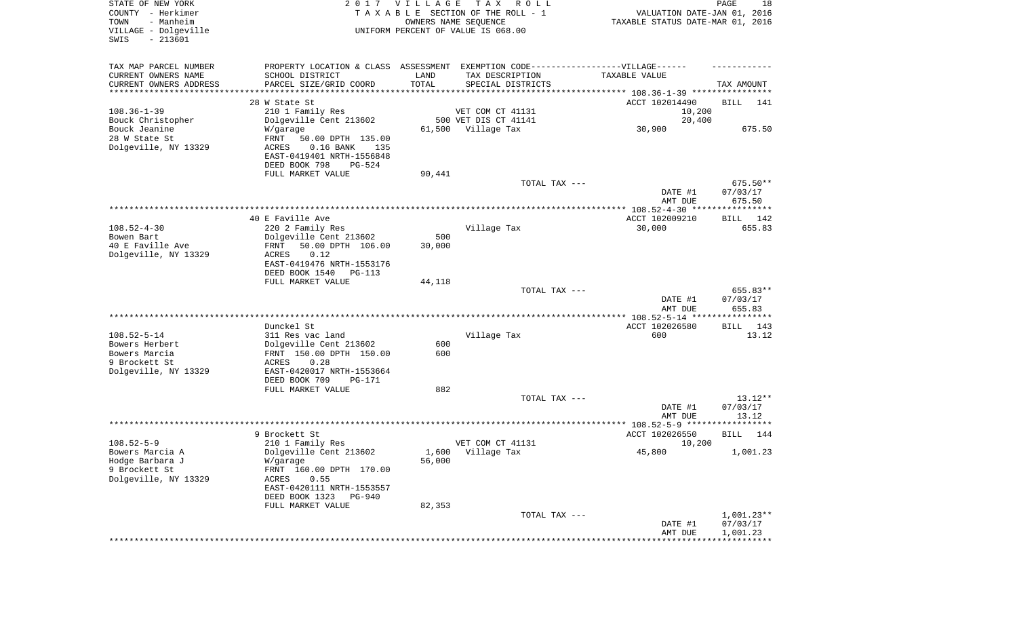| STATE OF NEW YORK<br>COUNTY - Herkimer<br>- Manheim<br>TOWN<br>VILLAGE - Dolgeville<br>$-213601$<br>SWIS |                                                                                   | 2017 VILLAGE | T A X<br>R O L L<br>TAXABLE SECTION OF THE ROLL - 1<br>OWNERS NAME SEQUENCE<br>UNIFORM PERCENT OF VALUE IS 068.00 | VALUATION DATE-JAN 01, 2016<br>TAXABLE STATUS DATE-MAR 01, 2016 | PAGE<br>18            |
|----------------------------------------------------------------------------------------------------------|-----------------------------------------------------------------------------------|--------------|-------------------------------------------------------------------------------------------------------------------|-----------------------------------------------------------------|-----------------------|
| TAX MAP PARCEL NUMBER                                                                                    | PROPERTY LOCATION & CLASS ASSESSMENT EXEMPTION CODE-----------------VILLAGE------ |              |                                                                                                                   |                                                                 |                       |
| CURRENT OWNERS NAME                                                                                      | SCHOOL DISTRICT                                                                   | LAND         | TAX DESCRIPTION                                                                                                   | TAXABLE VALUE                                                   |                       |
| CURRENT OWNERS ADDRESS<br>*********************                                                          | PARCEL SIZE/GRID COORD                                                            | TOTAL        | SPECIAL DISTRICTS                                                                                                 |                                                                 | TAX AMOUNT            |
|                                                                                                          | 28 W State St                                                                     |              |                                                                                                                   | ACCT 102014490                                                  | BILL<br>141           |
| $108.36 - 1 - 39$                                                                                        | 210 1 Family Res                                                                  |              | VET COM CT 41131                                                                                                  | 10,200                                                          |                       |
| Bouck Christopher                                                                                        | Dolgeville Cent 213602                                                            |              | 500 VET DIS CT 41141                                                                                              | 20,400                                                          |                       |
| Bouck Jeanine                                                                                            | W/garage                                                                          | 61,500       | Village Tax                                                                                                       | 30,900                                                          | 675.50                |
| 28 W State St                                                                                            | FRNT<br>50.00 DPTH 135.00                                                         |              |                                                                                                                   |                                                                 |                       |
| Dolgeville, NY 13329                                                                                     | $0.16$ BANK<br>ACRES<br>135                                                       |              |                                                                                                                   |                                                                 |                       |
|                                                                                                          | EAST-0419401 NRTH-1556848                                                         |              |                                                                                                                   |                                                                 |                       |
|                                                                                                          | DEED BOOK 798<br><b>PG-524</b>                                                    |              |                                                                                                                   |                                                                 |                       |
|                                                                                                          | FULL MARKET VALUE                                                                 | 90,441       | TOTAL TAX ---                                                                                                     |                                                                 | 675.50**              |
|                                                                                                          |                                                                                   |              |                                                                                                                   | DATE #1                                                         | 07/03/17              |
|                                                                                                          |                                                                                   |              |                                                                                                                   | AMT DUE                                                         | 675.50                |
|                                                                                                          |                                                                                   |              |                                                                                                                   |                                                                 |                       |
|                                                                                                          | 40 E Faville Ave                                                                  |              |                                                                                                                   | ACCT 102009210                                                  | BILL 142              |
| $108.52 - 4 - 30$                                                                                        | 220 2 Family Res                                                                  |              | Village Tax                                                                                                       | 30,000                                                          | 655.83                |
| Bowen Bart                                                                                               | Dolgeville Cent 213602                                                            | 500          |                                                                                                                   |                                                                 |                       |
| 40 E Faville Ave                                                                                         | 50.00 DPTH 106.00<br>FRNT<br>0.12<br>ACRES                                        | 30,000       |                                                                                                                   |                                                                 |                       |
| Dolgeville, NY 13329                                                                                     | EAST-0419476 NRTH-1553176                                                         |              |                                                                                                                   |                                                                 |                       |
|                                                                                                          | DEED BOOK 1540<br>PG-113                                                          |              |                                                                                                                   |                                                                 |                       |
|                                                                                                          | FULL MARKET VALUE                                                                 | 44,118       |                                                                                                                   |                                                                 |                       |
|                                                                                                          |                                                                                   |              | TOTAL TAX ---                                                                                                     |                                                                 | 655.83**              |
|                                                                                                          |                                                                                   |              |                                                                                                                   | DATE #1                                                         | 07/03/17              |
|                                                                                                          |                                                                                   |              |                                                                                                                   | AMT DUE                                                         | 655.83                |
|                                                                                                          | Dunckel St                                                                        |              |                                                                                                                   | ACCT 102026580                                                  | 143                   |
| $108.52 - 5 - 14$                                                                                        | 311 Res vac land                                                                  |              | Village Tax                                                                                                       | 600                                                             | BILL<br>13.12         |
| Bowers Herbert                                                                                           | Dolgeville Cent 213602                                                            | 600          |                                                                                                                   |                                                                 |                       |
| Bowers Marcia                                                                                            | FRNT 150.00 DPTH 150.00                                                           | 600          |                                                                                                                   |                                                                 |                       |
| 9 Brockett St                                                                                            | ACRES<br>0.28                                                                     |              |                                                                                                                   |                                                                 |                       |
| Dolgeville, NY 13329                                                                                     | EAST-0420017 NRTH-1553664                                                         |              |                                                                                                                   |                                                                 |                       |
|                                                                                                          | DEED BOOK 709<br>PG-171                                                           |              |                                                                                                                   |                                                                 |                       |
|                                                                                                          | FULL MARKET VALUE                                                                 | 882          | TOTAL TAX ---                                                                                                     |                                                                 |                       |
|                                                                                                          |                                                                                   |              |                                                                                                                   | DATE #1                                                         | $13.12**$<br>07/03/17 |
|                                                                                                          |                                                                                   |              |                                                                                                                   | AMT DUE                                                         | 13.12                 |
|                                                                                                          |                                                                                   |              |                                                                                                                   |                                                                 |                       |
|                                                                                                          | 9 Brockett St                                                                     |              |                                                                                                                   | ACCT 102026550                                                  | 144<br>BILL           |
| $108.52 - 5 - 9$                                                                                         | 210 1 Family Res                                                                  |              | VET COM CT 41131                                                                                                  | 10,200                                                          |                       |
| Bowers Marcia A                                                                                          | Dolgeville Cent 213602                                                            |              | 1,600 Village Tax                                                                                                 | 45,800                                                          | 1,001.23              |
| Hodge Barbara J                                                                                          | W/garage                                                                          | 56,000       |                                                                                                                   |                                                                 |                       |
| 9 Brockett St<br>Dolgeville, NY 13329                                                                    | FRNT 160.00 DPTH 170.00<br>0.55                                                   |              |                                                                                                                   |                                                                 |                       |
|                                                                                                          | ACRES<br>EAST-0420111 NRTH-1553557                                                |              |                                                                                                                   |                                                                 |                       |
|                                                                                                          | DEED BOOK 1323<br>PG-940                                                          |              |                                                                                                                   |                                                                 |                       |
|                                                                                                          | FULL MARKET VALUE                                                                 | 82,353       |                                                                                                                   |                                                                 |                       |
|                                                                                                          |                                                                                   |              | TOTAL TAX ---                                                                                                     |                                                                 | $1,001.23**$          |
|                                                                                                          |                                                                                   |              |                                                                                                                   | DATE #1                                                         | 07/03/17              |
|                                                                                                          |                                                                                   |              |                                                                                                                   | AMT DUE                                                         | 1,001.23              |
|                                                                                                          |                                                                                   |              |                                                                                                                   |                                                                 |                       |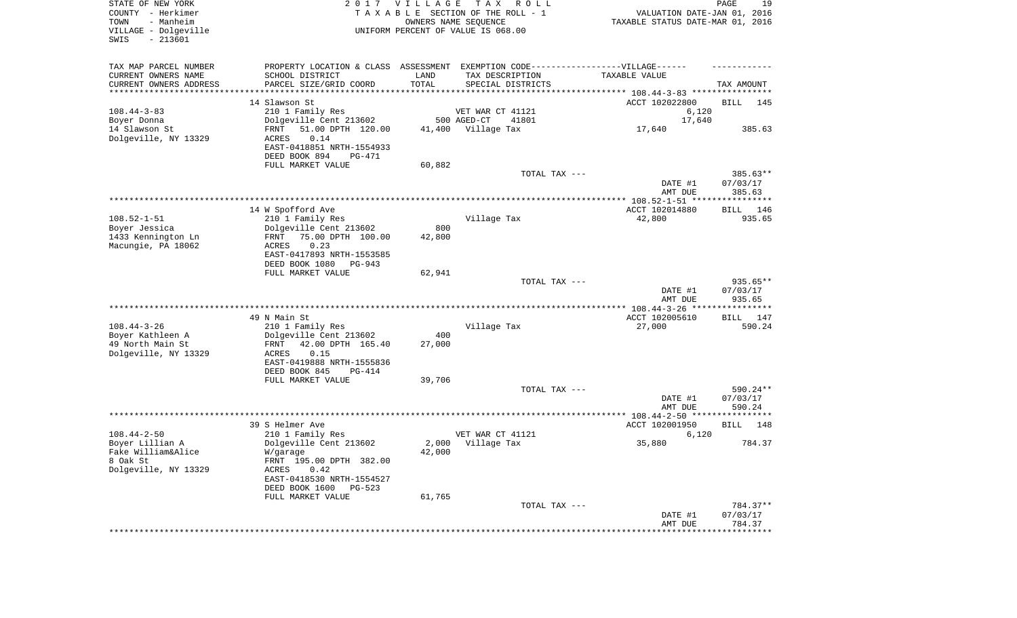| STATE OF NEW YORK<br>COUNTY - Herkimer<br>- Manheim<br>TOWN<br>VILLAGE - Dolgeville<br>$-213601$<br>SWIS | 2017                                       | VILLAGE             | T A X<br>R O L L<br>TAXABLE SECTION OF THE ROLL - 1<br>OWNERS NAME SEQUENCE<br>UNIFORM PERCENT OF VALUE IS 068.00 | VALUATION DATE-JAN 01, 2016<br>TAXABLE STATUS DATE-MAR 01, 2016 | PAGE<br>19         |
|----------------------------------------------------------------------------------------------------------|--------------------------------------------|---------------------|-------------------------------------------------------------------------------------------------------------------|-----------------------------------------------------------------|--------------------|
| TAX MAP PARCEL NUMBER                                                                                    |                                            |                     | PROPERTY LOCATION & CLASS ASSESSMENT EXEMPTION CODE-----------------VILLAGE------                                 |                                                                 |                    |
| CURRENT OWNERS NAME                                                                                      | SCHOOL DISTRICT                            | LAND                | TAX DESCRIPTION                                                                                                   | TAXABLE VALUE                                                   |                    |
| CURRENT OWNERS ADDRESS<br>*********************                                                          | PARCEL SIZE/GRID COORD                     | TOTAL<br>********** | SPECIAL DISTRICTS                                                                                                 |                                                                 | TAX AMOUNT         |
|                                                                                                          | 14 Slawson St                              |                     |                                                                                                                   | ACCT 102022800                                                  | BILL<br>145        |
| $108.44 - 3 - 83$                                                                                        | 210 1 Family Res                           |                     | VET WAR CT 41121                                                                                                  | 6,120                                                           |                    |
| Boyer Donna                                                                                              | Dolgeville Cent 213602                     |                     | 500 AGED-CT<br>41801                                                                                              | 17,640                                                          |                    |
| 14 Slawson St                                                                                            | 51.00 DPTH 120.00<br>FRNT                  | 41,400              | Village Tax                                                                                                       | 17,640                                                          | 385.63             |
| Dolgeville, NY 13329                                                                                     | 0.14<br>ACRES<br>EAST-0418851 NRTH-1554933 |                     |                                                                                                                   |                                                                 |                    |
|                                                                                                          | DEED BOOK 894<br><b>PG-471</b>             |                     |                                                                                                                   |                                                                 |                    |
|                                                                                                          | FULL MARKET VALUE                          | 60,882              |                                                                                                                   |                                                                 |                    |
|                                                                                                          |                                            |                     | TOTAL TAX ---                                                                                                     |                                                                 | $385.63**$         |
|                                                                                                          |                                            |                     |                                                                                                                   | DATE #1                                                         | 07/03/17           |
|                                                                                                          |                                            |                     |                                                                                                                   | AMT DUE                                                         | 385.63             |
|                                                                                                          | 14 W Spofford Ave                          |                     |                                                                                                                   | ACCT 102014880                                                  | BILL<br>146        |
| $108.52 - 1 - 51$                                                                                        | 210 1 Family Res                           |                     | Village Tax                                                                                                       | 42,800                                                          | 935.65             |
| Boyer Jessica                                                                                            | Dolgeville Cent 213602                     | 800                 |                                                                                                                   |                                                                 |                    |
| 1433 Kennington Ln                                                                                       | 75.00 DPTH 100.00<br>FRNT                  | 42,800              |                                                                                                                   |                                                                 |                    |
| Macungie, PA 18062                                                                                       | 0.23<br>ACRES<br>EAST-0417893 NRTH-1553585 |                     |                                                                                                                   |                                                                 |                    |
|                                                                                                          | DEED BOOK 1080<br>PG-943                   |                     |                                                                                                                   |                                                                 |                    |
|                                                                                                          | FULL MARKET VALUE                          | 62,941              |                                                                                                                   |                                                                 |                    |
|                                                                                                          |                                            |                     | TOTAL TAX ---                                                                                                     |                                                                 | $935.65**$         |
|                                                                                                          |                                            |                     |                                                                                                                   | DATE #1                                                         | 07/03/17           |
|                                                                                                          |                                            |                     |                                                                                                                   | AMT DUE                                                         | 935.65             |
|                                                                                                          | 49 N Main St                               |                     |                                                                                                                   | ACCT 102005610                                                  | <b>BILL</b><br>147 |
| $108.44 - 3 - 26$                                                                                        | 210 1 Family Res                           |                     | Village Tax                                                                                                       | 27,000                                                          | 590.24             |
| Boyer Kathleen A                                                                                         | Dolgeville Cent 213602                     | 400                 |                                                                                                                   |                                                                 |                    |
| 49 North Main St                                                                                         | 42.00 DPTH 165.40<br>FRNT                  | 27,000              |                                                                                                                   |                                                                 |                    |
| Dolgeville, NY 13329                                                                                     | ACRES<br>0.15<br>EAST-0419888 NRTH-1555836 |                     |                                                                                                                   |                                                                 |                    |
|                                                                                                          | DEED BOOK 845<br>PG-414                    |                     |                                                                                                                   |                                                                 |                    |
|                                                                                                          | FULL MARKET VALUE                          | 39,706              |                                                                                                                   |                                                                 |                    |
|                                                                                                          |                                            |                     | TOTAL TAX ---                                                                                                     |                                                                 | 590.24**           |
|                                                                                                          |                                            |                     |                                                                                                                   | DATE #1<br>AMT DUE                                              | 07/03/17<br>590.24 |
|                                                                                                          |                                            |                     |                                                                                                                   |                                                                 |                    |
|                                                                                                          | 39 S Helmer Ave                            |                     |                                                                                                                   | ACCT 102001950                                                  | BILL<br>148        |
| $108.44 - 2 - 50$                                                                                        | 210 1 Family Res                           |                     | VET WAR CT 41121                                                                                                  | 6,120                                                           |                    |
| Boyer Lillian A<br>Fake William&Alice                                                                    | Dolgeville Cent 213602                     | 2,000               | Village Tax                                                                                                       | 35,880                                                          | 784.37             |
| 8 Oak St                                                                                                 | W/garage<br>FRNT 195.00 DPTH 382.00        | 42,000              |                                                                                                                   |                                                                 |                    |
| Dolgeville, NY 13329                                                                                     | ACRES<br>0.42                              |                     |                                                                                                                   |                                                                 |                    |
|                                                                                                          | EAST-0418530 NRTH-1554527                  |                     |                                                                                                                   |                                                                 |                    |
|                                                                                                          | DEED BOOK 1600<br>PG-523                   |                     |                                                                                                                   |                                                                 |                    |
|                                                                                                          | FULL MARKET VALUE                          | 61,765              | TOTAL TAX ---                                                                                                     |                                                                 | 784.37**           |
|                                                                                                          |                                            |                     |                                                                                                                   | DATE #1                                                         | 07/03/17           |
|                                                                                                          |                                            |                     |                                                                                                                   | AMT DUE                                                         | 784.37             |
|                                                                                                          |                                            |                     |                                                                                                                   | *****************                                               | **************     |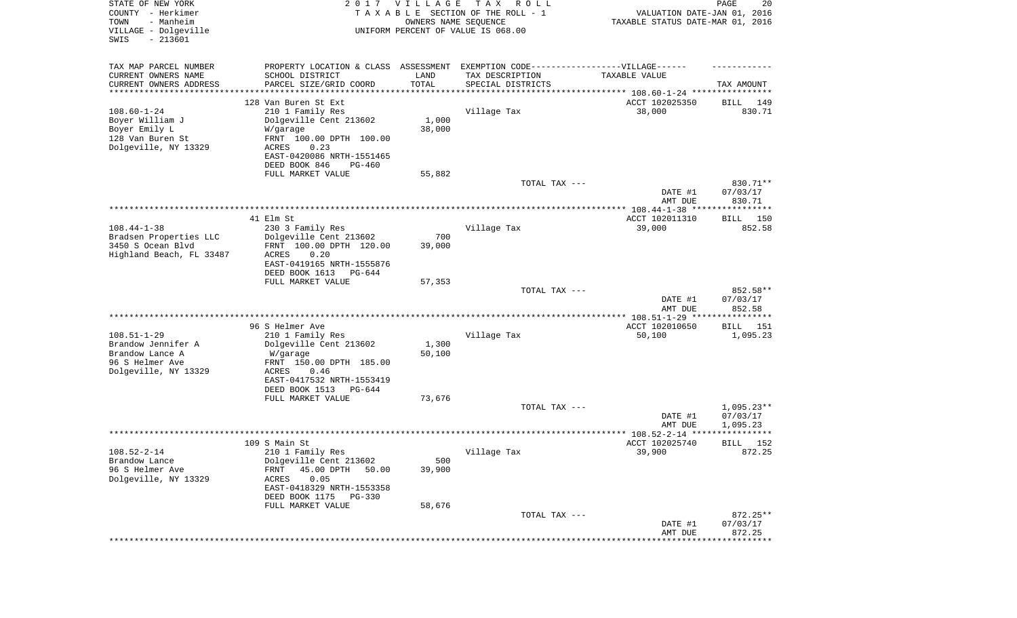| STATE OF NEW YORK<br>COUNTY - Herkimer<br>TOWN<br>- Manheim<br>VILLAGE - Dolgeville<br>SWIS<br>$-213601$ |                                                                                   | 2017 VILLAGE<br>OWNERS NAME SEQUENCE | T A X<br>R O L L<br>TAXABLE SECTION OF THE ROLL - 1<br>UNIFORM PERCENT OF VALUE IS 068.00 | VALUATION DATE-JAN 01, 2016<br>TAXABLE STATUS DATE-MAR 01, 2016      | PAGE<br>20               |
|----------------------------------------------------------------------------------------------------------|-----------------------------------------------------------------------------------|--------------------------------------|-------------------------------------------------------------------------------------------|----------------------------------------------------------------------|--------------------------|
| TAX MAP PARCEL NUMBER                                                                                    | PROPERTY LOCATION & CLASS ASSESSMENT EXEMPTION CODE-----------------VILLAGE------ |                                      |                                                                                           |                                                                      |                          |
| CURRENT OWNERS NAME                                                                                      | SCHOOL DISTRICT                                                                   | LAND                                 | TAX DESCRIPTION                                                                           | TAXABLE VALUE                                                        |                          |
| CURRENT OWNERS ADDRESS<br>*********************                                                          | PARCEL SIZE/GRID COORD                                                            | TOTAL<br>* * * * * * * * * * *       | SPECIAL DISTRICTS                                                                         | ************************************** 108.60-1-24 ***************** | TAX AMOUNT               |
|                                                                                                          | 128 Van Buren St Ext                                                              |                                      |                                                                                           | ACCT 102025350                                                       | 149<br>BILL              |
| $108.60 - 1 - 24$                                                                                        | 210 1 Family Res                                                                  |                                      | Village Tax                                                                               | 38,000                                                               | 830.71                   |
| Boyer William J                                                                                          | Dolgeville Cent 213602                                                            | 1,000                                |                                                                                           |                                                                      |                          |
| Boyer Emily L                                                                                            | W/garage                                                                          | 38,000                               |                                                                                           |                                                                      |                          |
| 128 Van Buren St<br>Dolgeville, NY 13329                                                                 | FRNT 100.00 DPTH 100.00<br>0.23<br>ACRES                                          |                                      |                                                                                           |                                                                      |                          |
|                                                                                                          | EAST-0420086 NRTH-1551465                                                         |                                      |                                                                                           |                                                                      |                          |
|                                                                                                          | DEED BOOK 846<br>PG-460                                                           |                                      |                                                                                           |                                                                      |                          |
|                                                                                                          | FULL MARKET VALUE                                                                 | 55,882                               |                                                                                           |                                                                      |                          |
|                                                                                                          |                                                                                   |                                      | TOTAL TAX ---                                                                             | DATE #1                                                              | 830.71**<br>07/03/17     |
|                                                                                                          |                                                                                   |                                      |                                                                                           | AMT DUE                                                              | 830.71                   |
|                                                                                                          |                                                                                   |                                      |                                                                                           |                                                                      |                          |
|                                                                                                          | 41 Elm St                                                                         |                                      |                                                                                           | ACCT 102011310                                                       | BILL 150                 |
| $108.44 - 1 - 38$<br>Bradsen Properties LLC                                                              | 230 3 Family Res<br>Dolgeville Cent 213602                                        | 700                                  | Village Tax                                                                               | 39,000                                                               | 852.58                   |
| 3450 S Ocean Blvd                                                                                        | FRNT 100.00 DPTH 120.00                                                           | 39,000                               |                                                                                           |                                                                      |                          |
| Highland Beach, FL 33487                                                                                 | ACRES<br>0.20                                                                     |                                      |                                                                                           |                                                                      |                          |
|                                                                                                          | EAST-0419165 NRTH-1555876                                                         |                                      |                                                                                           |                                                                      |                          |
|                                                                                                          | DEED BOOK 1613<br>PG-644<br>FULL MARKET VALUE                                     | 57,353                               |                                                                                           |                                                                      |                          |
|                                                                                                          |                                                                                   |                                      | TOTAL TAX ---                                                                             |                                                                      | 852.58**                 |
|                                                                                                          |                                                                                   |                                      |                                                                                           | DATE #1                                                              | 07/03/17                 |
|                                                                                                          |                                                                                   |                                      |                                                                                           | AMT DUE                                                              | 852.58                   |
|                                                                                                          | 96 S Helmer Ave                                                                   |                                      |                                                                                           | ************* 108.51-1-29 ****************<br>ACCT 102010650         | <b>BILL</b><br>151       |
| $108.51 - 1 - 29$                                                                                        | 210 1 Family Res                                                                  |                                      | Village Tax                                                                               | 50,100                                                               | 1,095.23                 |
| Brandow Jennifer A                                                                                       | Dolgeville Cent 213602                                                            | 1,300                                |                                                                                           |                                                                      |                          |
| Brandow Lance A                                                                                          | W/garage                                                                          | 50,100                               |                                                                                           |                                                                      |                          |
| 96 S Helmer Ave<br>Dolgeville, NY 13329                                                                  | FRNT 150.00 DPTH 185.00<br>ACRES<br>0.46                                          |                                      |                                                                                           |                                                                      |                          |
|                                                                                                          | EAST-0417532 NRTH-1553419                                                         |                                      |                                                                                           |                                                                      |                          |
|                                                                                                          | DEED BOOK 1513<br>PG-644                                                          |                                      |                                                                                           |                                                                      |                          |
|                                                                                                          | FULL MARKET VALUE                                                                 | 73,676                               |                                                                                           |                                                                      |                          |
|                                                                                                          |                                                                                   |                                      | TOTAL TAX ---                                                                             | DATE #1                                                              | $1,095.23**$<br>07/03/17 |
|                                                                                                          |                                                                                   |                                      |                                                                                           | AMT DUE                                                              | 1,095.23                 |
|                                                                                                          |                                                                                   |                                      |                                                                                           | ***************** 108.52-2-14 ****                                   | * * * * * *              |
|                                                                                                          | 109 S Main St                                                                     |                                      |                                                                                           | ACCT 102025740                                                       | 152<br>BILL              |
| $108.52 - 2 - 14$<br>Brandow Lance                                                                       | 210 1 Family Res<br>Dolgeville Cent 213602                                        | 500                                  | Village Tax                                                                               | 39,900                                                               | 872.25                   |
| 96 S Helmer Ave                                                                                          | 45.00 DPTH<br>FRNT<br>50.00                                                       | 39,900                               |                                                                                           |                                                                      |                          |
| Dolgeville, NY 13329                                                                                     | 0.05<br>ACRES                                                                     |                                      |                                                                                           |                                                                      |                          |
|                                                                                                          | EAST-0418329 NRTH-1553358                                                         |                                      |                                                                                           |                                                                      |                          |
|                                                                                                          | DEED BOOK 1175<br><b>PG-330</b>                                                   |                                      |                                                                                           |                                                                      |                          |
|                                                                                                          | FULL MARKET VALUE                                                                 | 58,676                               | TOTAL TAX ---                                                                             |                                                                      | 872.25**                 |
|                                                                                                          |                                                                                   |                                      |                                                                                           | DATE #1                                                              | 07/03/17                 |
|                                                                                                          |                                                                                   |                                      |                                                                                           | AMT DUE                                                              | 872.25                   |
|                                                                                                          |                                                                                   |                                      |                                                                                           |                                                                      | * * * * * * * * * * *    |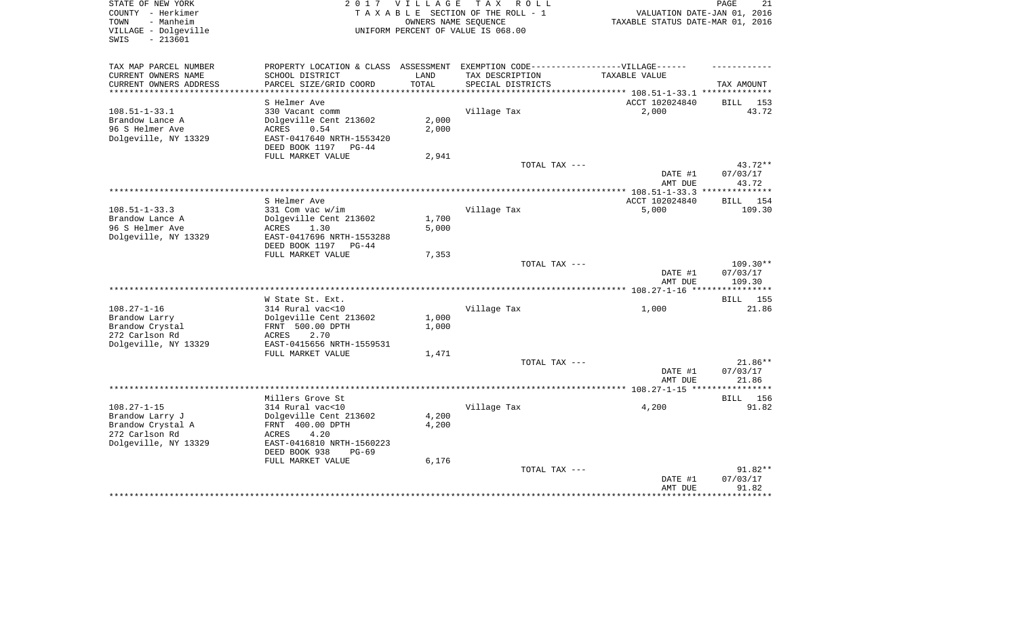| STATE OF NEW YORK<br>COUNTY - Herkimer<br>- Manheim<br>TOWN<br>VILLAGE - Dolgeville<br>$-213601$<br>SWIS |                                                                                                                                | 2017 VILLAGE<br>OWNERS NAME SEQUENCE | TAX ROLL<br>TAXABLE SECTION OF THE ROLL - 1<br>UNIFORM PERCENT OF VALUE IS 068.00 | VALUATION DATE-JAN 01, 2016<br>TAXABLE STATUS DATE-MAR 01, 2016 | PAGE<br>21            |
|----------------------------------------------------------------------------------------------------------|--------------------------------------------------------------------------------------------------------------------------------|--------------------------------------|-----------------------------------------------------------------------------------|-----------------------------------------------------------------|-----------------------|
| TAX MAP PARCEL NUMBER<br>CURRENT OWNERS NAME<br>CURRENT OWNERS ADDRESS                                   | PROPERTY LOCATION & CLASS ASSESSMENT EXEMPTION CODE-----------------VILLAGE------<br>SCHOOL DISTRICT<br>PARCEL SIZE/GRID COORD | LAND<br>TOTAL                        | TAX DESCRIPTION<br>SPECIAL DISTRICTS                                              | TAXABLE VALUE                                                   | TAX AMOUNT            |
| **********************                                                                                   |                                                                                                                                |                                      |                                                                                   |                                                                 |                       |
|                                                                                                          | S Helmer Ave                                                                                                                   |                                      |                                                                                   | ACCT 102024840                                                  | BILL 153              |
| $108.51 - 1 - 33.1$                                                                                      | 330 Vacant comm                                                                                                                |                                      | Village Tax                                                                       | 2,000                                                           | 43.72                 |
| Brandow Lance A                                                                                          | Dolgeville Cent 213602                                                                                                         | 2,000                                |                                                                                   |                                                                 |                       |
| 96 S Helmer Ave<br>Dolgeville, NY 13329                                                                  | ACRES<br>0.54<br>EAST-0417640 NRTH-1553420                                                                                     | 2,000                                |                                                                                   |                                                                 |                       |
|                                                                                                          | DEED BOOK 1197<br>$PG-44$                                                                                                      |                                      |                                                                                   |                                                                 |                       |
|                                                                                                          | FULL MARKET VALUE                                                                                                              | 2,941                                |                                                                                   |                                                                 |                       |
|                                                                                                          |                                                                                                                                |                                      | TOTAL TAX ---                                                                     |                                                                 | $43.72**$             |
|                                                                                                          |                                                                                                                                |                                      |                                                                                   | DATE #1                                                         | 07/03/17              |
|                                                                                                          |                                                                                                                                |                                      |                                                                                   | AMT DUE                                                         | 43.72                 |
|                                                                                                          |                                                                                                                                |                                      |                                                                                   |                                                                 |                       |
| $108.51 - 1 - 33.3$                                                                                      | S Helmer Ave<br>331 Com vac w/im                                                                                               |                                      | Village Tax                                                                       | ACCT 102024840<br>5,000                                         | 154<br>BILL<br>109.30 |
| Brandow Lance A                                                                                          | Dolgeville Cent 213602                                                                                                         | 1,700                                |                                                                                   |                                                                 |                       |
| 96 S Helmer Ave                                                                                          | ACRES<br>1.30                                                                                                                  | 5,000                                |                                                                                   |                                                                 |                       |
| Dolgeville, NY 13329                                                                                     | EAST-0417696 NRTH-1553288                                                                                                      |                                      |                                                                                   |                                                                 |                       |
|                                                                                                          | DEED BOOK 1197 PG-44                                                                                                           |                                      |                                                                                   |                                                                 |                       |
|                                                                                                          | FULL MARKET VALUE                                                                                                              | 7,353                                |                                                                                   |                                                                 |                       |
|                                                                                                          |                                                                                                                                |                                      | TOTAL TAX ---                                                                     | DATE #1                                                         | 109.30**<br>07/03/17  |
|                                                                                                          |                                                                                                                                |                                      |                                                                                   | AMT DUE                                                         | 109.30                |
|                                                                                                          |                                                                                                                                |                                      |                                                                                   | *************** 108.27-1-16 **                                  |                       |
|                                                                                                          | W State St. Ext.                                                                                                               |                                      |                                                                                   |                                                                 | <b>BILL</b><br>155    |
| $108.27 - 1 - 16$                                                                                        | 314 Rural vac<10                                                                                                               |                                      | Village Tax                                                                       | 1,000                                                           | 21.86                 |
| Brandow Larry                                                                                            | Dolgeville Cent 213602                                                                                                         | 1,000                                |                                                                                   |                                                                 |                       |
| Brandow Crystal                                                                                          | FRNT 500.00 DPTH                                                                                                               | 1,000                                |                                                                                   |                                                                 |                       |
| 272 Carlson Rd                                                                                           | ACRES<br>2.70<br>EAST-0415656 NRTH-1559531                                                                                     |                                      |                                                                                   |                                                                 |                       |
| Dolgeville, NY 13329                                                                                     | FULL MARKET VALUE                                                                                                              | 1,471                                |                                                                                   |                                                                 |                       |
|                                                                                                          |                                                                                                                                |                                      | TOTAL TAX ---                                                                     |                                                                 | 21.86**               |
|                                                                                                          |                                                                                                                                |                                      |                                                                                   | DATE #1                                                         | 07/03/17              |
|                                                                                                          |                                                                                                                                |                                      |                                                                                   | AMT DUE                                                         | 21.86                 |
|                                                                                                          |                                                                                                                                |                                      |                                                                                   |                                                                 | * * * * * * * *       |
|                                                                                                          | Millers Grove St                                                                                                               |                                      |                                                                                   |                                                                 | BILL 156              |
| $108.27 - 1 - 15$                                                                                        | 314 Rural vac<10                                                                                                               |                                      | Village Tax                                                                       | 4,200                                                           | 91.82                 |
| Brandow Larry J<br>Brandow Crystal A                                                                     | Dolgeville Cent 213602<br>FRNT 400.00 DPTH                                                                                     | 4,200<br>4,200                       |                                                                                   |                                                                 |                       |
| 272 Carlson Rd                                                                                           | ACRES<br>4.20                                                                                                                  |                                      |                                                                                   |                                                                 |                       |
| Dolgeville, NY 13329                                                                                     | EAST-0416810 NRTH-1560223                                                                                                      |                                      |                                                                                   |                                                                 |                       |
|                                                                                                          | DEED BOOK 938<br>$PG-69$                                                                                                       |                                      |                                                                                   |                                                                 |                       |
|                                                                                                          | FULL MARKET VALUE                                                                                                              | 6,176                                |                                                                                   |                                                                 |                       |
|                                                                                                          |                                                                                                                                |                                      | TOTAL TAX ---                                                                     |                                                                 | 91.82**               |
|                                                                                                          |                                                                                                                                |                                      |                                                                                   | DATE #1                                                         | 07/03/17              |
|                                                                                                          |                                                                                                                                |                                      |                                                                                   | AMT DUE                                                         | 91.82<br>*******      |
|                                                                                                          |                                                                                                                                |                                      |                                                                                   |                                                                 |                       |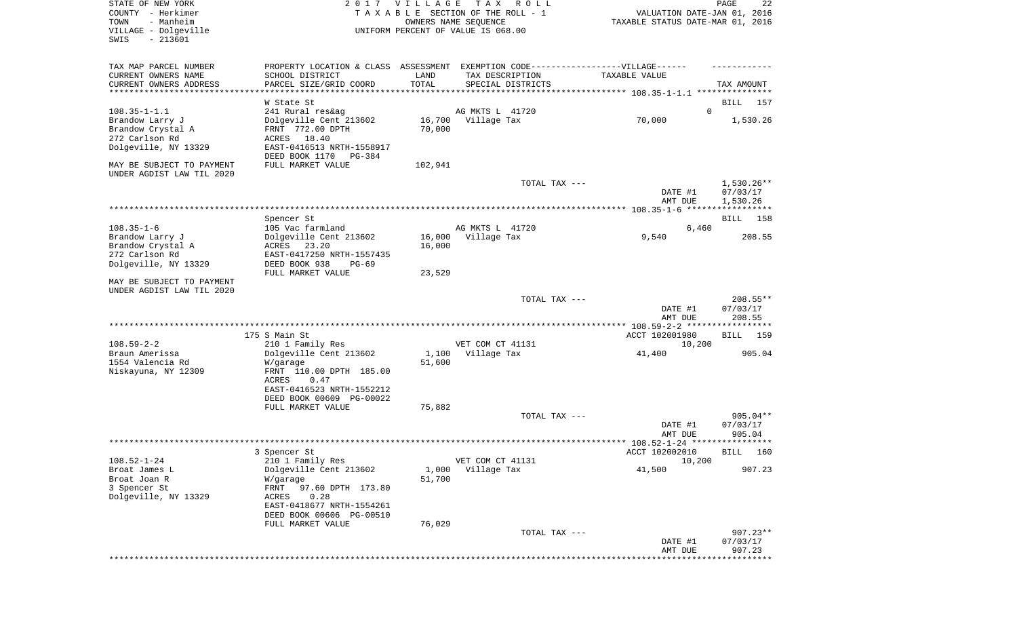| STATE OF NEW YORK<br>COUNTY - Herkimer<br>- Manheim<br>TOWN<br>VILLAGE - Dolgeville<br>$-213601$<br>SWIS |                                                                                           | 2017 VILLAGE     | T A X<br>R O L L<br>TAXABLE SECTION OF THE ROLL - 1<br>OWNERS NAME SEQUENCE<br>UNIFORM PERCENT OF VALUE IS 068.00        | VALUATION DATE-JAN 01, 2016<br>TAXABLE STATUS DATE-MAR 01, 2016 | PAGE<br>22                       |
|----------------------------------------------------------------------------------------------------------|-------------------------------------------------------------------------------------------|------------------|--------------------------------------------------------------------------------------------------------------------------|-----------------------------------------------------------------|----------------------------------|
| TAX MAP PARCEL NUMBER<br>CURRENT OWNERS NAME<br>CURRENT OWNERS ADDRESS<br>************************       | SCHOOL DISTRICT<br>PARCEL SIZE/GRID COORD                                                 | LAND<br>TOTAL    | PROPERTY LOCATION & CLASS ASSESSMENT EXEMPTION CODE----------------VILLAGE------<br>TAX DESCRIPTION<br>SPECIAL DISTRICTS | TAXABLE VALUE                                                   | TAX AMOUNT                       |
| $108.35 - 1 - 1.1$                                                                                       | W State St<br>241 Rural res&ag                                                            |                  | AG MKTS L 41720                                                                                                          | $\Omega$                                                        | BILL<br>157                      |
| Brandow Larry J<br>Brandow Crystal A<br>272 Carlson Rd<br>Dolgeville, NY 13329                           | Dolgeville Cent 213602<br>FRNT 772.00 DPTH<br>ACRES<br>18.40<br>EAST-0416513 NRTH-1558917 | 70,000           | 16,700 Village Tax                                                                                                       | 70,000                                                          | 1,530.26                         |
| MAY BE SUBJECT TO PAYMENT                                                                                | DEED BOOK 1170<br>PG-384<br>FULL MARKET VALUE                                             | 102,941          |                                                                                                                          |                                                                 |                                  |
| UNDER AGDIST LAW TIL 2020                                                                                |                                                                                           |                  | TOTAL TAX ---                                                                                                            |                                                                 | $1,530.26**$                     |
|                                                                                                          |                                                                                           |                  |                                                                                                                          | DATE #1<br>AMT DUE                                              | 07/03/17<br>1,530.26             |
|                                                                                                          | Spencer St                                                                                |                  |                                                                                                                          |                                                                 | 158<br>BILL                      |
| $108.35 - 1 - 6$                                                                                         | 105 Vac farmland                                                                          |                  | AG MKTS L 41720                                                                                                          | 6,460                                                           |                                  |
| Brandow Larry J<br>Brandow Crystal A                                                                     | Dolgeville Cent 213602<br>ACRES<br>23.20                                                  | 16,000<br>16,000 | Village Tax                                                                                                              | 9,540                                                           | 208.55                           |
| 272 Carlson Rd                                                                                           | EAST-0417250 NRTH-1557435                                                                 |                  |                                                                                                                          |                                                                 |                                  |
| Dolgeville, NY 13329                                                                                     | DEED BOOK 938<br>$PG-69$                                                                  |                  |                                                                                                                          |                                                                 |                                  |
| MAY BE SUBJECT TO PAYMENT                                                                                | FULL MARKET VALUE                                                                         | 23,529           |                                                                                                                          |                                                                 |                                  |
| UNDER AGDIST LAW TIL 2020                                                                                |                                                                                           |                  |                                                                                                                          |                                                                 |                                  |
|                                                                                                          |                                                                                           |                  | TOTAL TAX ---                                                                                                            | DATE #1<br>AMT DUE                                              | $208.55**$<br>07/03/17<br>208.55 |
|                                                                                                          |                                                                                           |                  |                                                                                                                          |                                                                 |                                  |
| $108.59 - 2 - 2$                                                                                         | 175 S Main St                                                                             |                  | VET COM CT 41131                                                                                                         | ACCT 102001980<br>10,200                                        | BILL<br>159                      |
| Braun Amerissa                                                                                           | 210 1 Family Res<br>Dolgeville Cent 213602                                                | 1,100            | Village Tax                                                                                                              | 41,400                                                          | 905.04                           |
| 1554 Valencia Rd                                                                                         | W/garage                                                                                  | 51,600           |                                                                                                                          |                                                                 |                                  |
| Niskayuna, NY 12309                                                                                      | FRNT 110.00 DPTH 185.00<br>ACRES<br>0.47                                                  |                  |                                                                                                                          |                                                                 |                                  |
|                                                                                                          | EAST-0416523 NRTH-1552212                                                                 |                  |                                                                                                                          |                                                                 |                                  |
|                                                                                                          | DEED BOOK 00609 PG-00022                                                                  |                  |                                                                                                                          |                                                                 |                                  |
|                                                                                                          | FULL MARKET VALUE                                                                         | 75,882           | TOTAL TAX ---                                                                                                            |                                                                 | $905.04**$                       |
|                                                                                                          |                                                                                           |                  |                                                                                                                          | DATE #1<br>AMT DUE                                              | 07/03/17<br>905.04               |
|                                                                                                          |                                                                                           |                  |                                                                                                                          |                                                                 |                                  |
|                                                                                                          | 3 Spencer St                                                                              |                  |                                                                                                                          | ACCT 102002010                                                  | BILL 160                         |
| $108.52 - 1 - 24$<br>Broat James L                                                                       | 210 1 Family Res<br>Dolgeville Cent 213602                                                | 1,000            | VET COM CT 41131<br>Village Tax                                                                                          | 10,200<br>41,500                                                | 907.23                           |
| Broat Joan R                                                                                             | W/garage                                                                                  | 51,700           |                                                                                                                          |                                                                 |                                  |
| 3 Spencer St                                                                                             | FRNT<br>97.60 DPTH 173.80                                                                 |                  |                                                                                                                          |                                                                 |                                  |
| Dolgeville, NY 13329                                                                                     | ACRES<br>0.28<br>EAST-0418677 NRTH-1554261                                                |                  |                                                                                                                          |                                                                 |                                  |
|                                                                                                          | DEED BOOK 00606 PG-00510                                                                  |                  |                                                                                                                          |                                                                 |                                  |
|                                                                                                          | FULL MARKET VALUE                                                                         | 76,029           |                                                                                                                          |                                                                 |                                  |
|                                                                                                          |                                                                                           |                  | TOTAL TAX ---                                                                                                            | DATE #1                                                         | $907.23**$<br>07/03/17           |
|                                                                                                          |                                                                                           |                  |                                                                                                                          | AMT DUE                                                         | 907.23                           |
|                                                                                                          |                                                                                           |                  |                                                                                                                          |                                                                 | **********                       |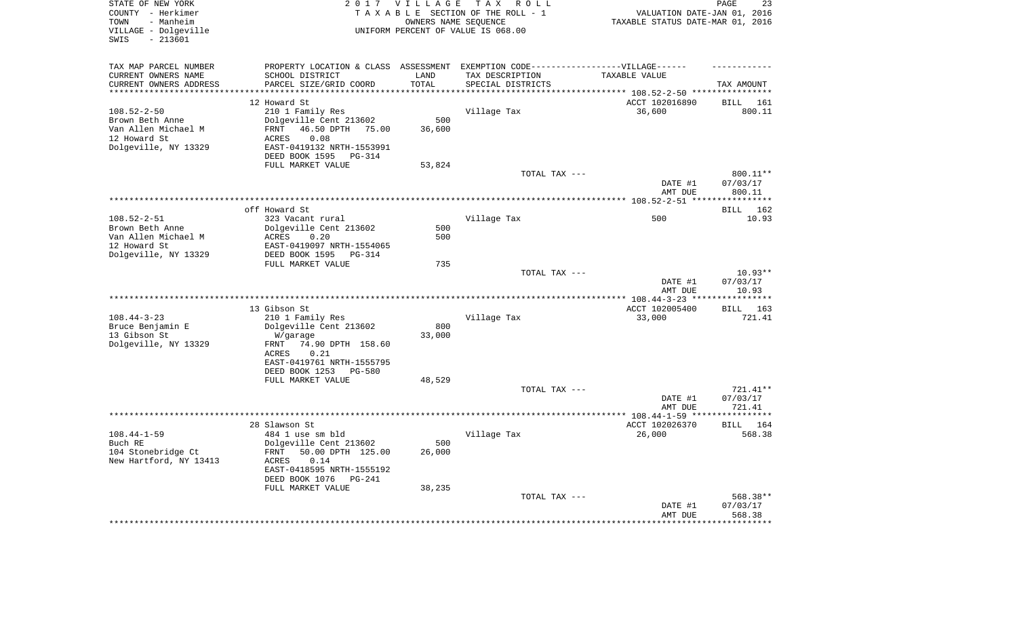| TAX MAP PARCEL NUMBER<br>PROPERTY LOCATION & CLASS ASSESSMENT EXEMPTION CODE-----------------VILLAGE------<br>SCHOOL DISTRICT<br>CURRENT OWNERS NAME<br>LAND<br>TAX DESCRIPTION<br>TAXABLE VALUE<br>PARCEL SIZE/GRID COORD<br>TOTAL<br>CURRENT OWNERS ADDRESS<br>SPECIAL DISTRICTS<br>TAX AMOUNT<br>********************<br>**********<br>**********************<br>************************************** 108.52-2-50 *****************<br>12 Howard St<br>ACCT 102016890<br><b>BILL</b><br>161<br>$108.52 - 2 - 50$<br>210 1 Family Res<br>Village Tax<br>36,600<br>800.11<br>Brown Beth Anne<br>Dolgeville Cent 213602<br>500<br>Van Allen Michael M<br>46.50 DPTH 75.00<br>FRNT<br>36,600<br>12 Howard St<br>0.08<br>ACRES<br>Dolgeville, NY 13329<br>EAST-0419132 NRTH-1553991<br>DEED BOOK 1595<br>PG-314<br>FULL MARKET VALUE<br>53,824<br>TOTAL TAX ---<br>800.11**<br>DATE #1<br>07/03/17<br>800.11<br>AMT DUE<br>***********<br>off Howard St<br>162<br><b>BILL</b><br>$108.52 - 2 - 51$<br>323 Vacant rural<br>Village Tax<br>500<br>10.93<br>Brown Beth Anne<br>Dolgeville Cent 213602<br>500<br>Van Allen Michael M<br>0.20<br>500<br>ACRES<br>12 Howard St<br>EAST-0419097 NRTH-1554065<br>Dolgeville, NY 13329<br>DEED BOOK 1595<br><b>PG-314</b><br>FULL MARKET VALUE<br>735<br>$10.93**$<br>TOTAL TAX ---<br>DATE #1<br>07/03/17<br>AMT DUE<br>10.93<br>* * * * * * * *<br>13 Gibson St<br>ACCT 102005400<br>163<br><b>BILL</b><br>$108.44 - 3 - 23$<br>210 1 Family Res<br>Village Tax<br>33,000<br>721.41<br>Dolgeville Cent 213602<br>800<br>Bruce Benjamin E<br>13 Gibson St<br>33,000<br>W/garage<br>Dolgeville, NY 13329<br>74.90 DPTH 158.60<br>FRNT<br>0.21<br>ACRES<br>EAST-0419761 NRTH-1555795<br>DEED BOOK 1253<br>PG-580<br>FULL MARKET VALUE<br>48,529<br>TOTAL TAX ---<br>721.41**<br>DATE #1<br>07/03/17<br>AMT DUE<br>721.41<br>ACCT 102026370<br>28 Slawson St<br>BILL<br>164<br>$108.44 - 1 - 59$<br>Village Tax<br>26,000<br>484 1 use sm bld<br>568.38<br>Buch RE<br>Dolgeville Cent 213602<br>500<br>104 Stonebridge Ct<br>FRNT<br>50.00 DPTH 125.00<br>26,000<br>New Hartford, NY 13413<br>ACRES<br>0.14<br>EAST-0418595 NRTH-1555192<br>DEED BOOK 1076<br>$PG-241$<br>FULL MARKET VALUE<br>38,235<br>TOTAL TAX ---<br>568.38**<br>07/03/17<br>DATE #1<br>AMT DUE<br>568.38<br>******** | STATE OF NEW YORK<br>COUNTY - Herkimer<br>- Manheim<br>TOWN<br>VILLAGE - Dolgeville<br>$-213601$<br>SWIS | 2017 VILLAGE<br>OWNERS NAME SEQUENCE | TAX ROLL<br>TAXABLE SECTION OF THE ROLL - 1<br>UNIFORM PERCENT OF VALUE IS 068.00 | VALUATION DATE-JAN 01, 2016<br>TAXABLE STATUS DATE-MAR 01, 2016 | 23<br>PAGE |
|---------------------------------------------------------------------------------------------------------------------------------------------------------------------------------------------------------------------------------------------------------------------------------------------------------------------------------------------------------------------------------------------------------------------------------------------------------------------------------------------------------------------------------------------------------------------------------------------------------------------------------------------------------------------------------------------------------------------------------------------------------------------------------------------------------------------------------------------------------------------------------------------------------------------------------------------------------------------------------------------------------------------------------------------------------------------------------------------------------------------------------------------------------------------------------------------------------------------------------------------------------------------------------------------------------------------------------------------------------------------------------------------------------------------------------------------------------------------------------------------------------------------------------------------------------------------------------------------------------------------------------------------------------------------------------------------------------------------------------------------------------------------------------------------------------------------------------------------------------------------------------------------------------------------------------------------------------------------------------------------------------------------------------------------------------------------------------------------------------------------------------------------------------------------------------------------------------------------------------------------------------------------------------------------------------------------------------|----------------------------------------------------------------------------------------------------------|--------------------------------------|-----------------------------------------------------------------------------------|-----------------------------------------------------------------|------------|
|                                                                                                                                                                                                                                                                                                                                                                                                                                                                                                                                                                                                                                                                                                                                                                                                                                                                                                                                                                                                                                                                                                                                                                                                                                                                                                                                                                                                                                                                                                                                                                                                                                                                                                                                                                                                                                                                                                                                                                                                                                                                                                                                                                                                                                                                                                                                 |                                                                                                          |                                      |                                                                                   |                                                                 |            |
|                                                                                                                                                                                                                                                                                                                                                                                                                                                                                                                                                                                                                                                                                                                                                                                                                                                                                                                                                                                                                                                                                                                                                                                                                                                                                                                                                                                                                                                                                                                                                                                                                                                                                                                                                                                                                                                                                                                                                                                                                                                                                                                                                                                                                                                                                                                                 |                                                                                                          |                                      |                                                                                   |                                                                 |            |
|                                                                                                                                                                                                                                                                                                                                                                                                                                                                                                                                                                                                                                                                                                                                                                                                                                                                                                                                                                                                                                                                                                                                                                                                                                                                                                                                                                                                                                                                                                                                                                                                                                                                                                                                                                                                                                                                                                                                                                                                                                                                                                                                                                                                                                                                                                                                 |                                                                                                          |                                      |                                                                                   |                                                                 |            |
|                                                                                                                                                                                                                                                                                                                                                                                                                                                                                                                                                                                                                                                                                                                                                                                                                                                                                                                                                                                                                                                                                                                                                                                                                                                                                                                                                                                                                                                                                                                                                                                                                                                                                                                                                                                                                                                                                                                                                                                                                                                                                                                                                                                                                                                                                                                                 |                                                                                                          |                                      |                                                                                   |                                                                 |            |
|                                                                                                                                                                                                                                                                                                                                                                                                                                                                                                                                                                                                                                                                                                                                                                                                                                                                                                                                                                                                                                                                                                                                                                                                                                                                                                                                                                                                                                                                                                                                                                                                                                                                                                                                                                                                                                                                                                                                                                                                                                                                                                                                                                                                                                                                                                                                 |                                                                                                          |                                      |                                                                                   |                                                                 |            |
|                                                                                                                                                                                                                                                                                                                                                                                                                                                                                                                                                                                                                                                                                                                                                                                                                                                                                                                                                                                                                                                                                                                                                                                                                                                                                                                                                                                                                                                                                                                                                                                                                                                                                                                                                                                                                                                                                                                                                                                                                                                                                                                                                                                                                                                                                                                                 |                                                                                                          |                                      |                                                                                   |                                                                 |            |
|                                                                                                                                                                                                                                                                                                                                                                                                                                                                                                                                                                                                                                                                                                                                                                                                                                                                                                                                                                                                                                                                                                                                                                                                                                                                                                                                                                                                                                                                                                                                                                                                                                                                                                                                                                                                                                                                                                                                                                                                                                                                                                                                                                                                                                                                                                                                 |                                                                                                          |                                      |                                                                                   |                                                                 |            |
|                                                                                                                                                                                                                                                                                                                                                                                                                                                                                                                                                                                                                                                                                                                                                                                                                                                                                                                                                                                                                                                                                                                                                                                                                                                                                                                                                                                                                                                                                                                                                                                                                                                                                                                                                                                                                                                                                                                                                                                                                                                                                                                                                                                                                                                                                                                                 |                                                                                                          |                                      |                                                                                   |                                                                 |            |
|                                                                                                                                                                                                                                                                                                                                                                                                                                                                                                                                                                                                                                                                                                                                                                                                                                                                                                                                                                                                                                                                                                                                                                                                                                                                                                                                                                                                                                                                                                                                                                                                                                                                                                                                                                                                                                                                                                                                                                                                                                                                                                                                                                                                                                                                                                                                 |                                                                                                          |                                      |                                                                                   |                                                                 |            |
|                                                                                                                                                                                                                                                                                                                                                                                                                                                                                                                                                                                                                                                                                                                                                                                                                                                                                                                                                                                                                                                                                                                                                                                                                                                                                                                                                                                                                                                                                                                                                                                                                                                                                                                                                                                                                                                                                                                                                                                                                                                                                                                                                                                                                                                                                                                                 |                                                                                                          |                                      |                                                                                   |                                                                 |            |
|                                                                                                                                                                                                                                                                                                                                                                                                                                                                                                                                                                                                                                                                                                                                                                                                                                                                                                                                                                                                                                                                                                                                                                                                                                                                                                                                                                                                                                                                                                                                                                                                                                                                                                                                                                                                                                                                                                                                                                                                                                                                                                                                                                                                                                                                                                                                 |                                                                                                          |                                      |                                                                                   |                                                                 |            |
|                                                                                                                                                                                                                                                                                                                                                                                                                                                                                                                                                                                                                                                                                                                                                                                                                                                                                                                                                                                                                                                                                                                                                                                                                                                                                                                                                                                                                                                                                                                                                                                                                                                                                                                                                                                                                                                                                                                                                                                                                                                                                                                                                                                                                                                                                                                                 |                                                                                                          |                                      |                                                                                   |                                                                 |            |
|                                                                                                                                                                                                                                                                                                                                                                                                                                                                                                                                                                                                                                                                                                                                                                                                                                                                                                                                                                                                                                                                                                                                                                                                                                                                                                                                                                                                                                                                                                                                                                                                                                                                                                                                                                                                                                                                                                                                                                                                                                                                                                                                                                                                                                                                                                                                 |                                                                                                          |                                      |                                                                                   |                                                                 |            |
|                                                                                                                                                                                                                                                                                                                                                                                                                                                                                                                                                                                                                                                                                                                                                                                                                                                                                                                                                                                                                                                                                                                                                                                                                                                                                                                                                                                                                                                                                                                                                                                                                                                                                                                                                                                                                                                                                                                                                                                                                                                                                                                                                                                                                                                                                                                                 |                                                                                                          |                                      |                                                                                   |                                                                 |            |
|                                                                                                                                                                                                                                                                                                                                                                                                                                                                                                                                                                                                                                                                                                                                                                                                                                                                                                                                                                                                                                                                                                                                                                                                                                                                                                                                                                                                                                                                                                                                                                                                                                                                                                                                                                                                                                                                                                                                                                                                                                                                                                                                                                                                                                                                                                                                 |                                                                                                          |                                      |                                                                                   |                                                                 |            |
|                                                                                                                                                                                                                                                                                                                                                                                                                                                                                                                                                                                                                                                                                                                                                                                                                                                                                                                                                                                                                                                                                                                                                                                                                                                                                                                                                                                                                                                                                                                                                                                                                                                                                                                                                                                                                                                                                                                                                                                                                                                                                                                                                                                                                                                                                                                                 |                                                                                                          |                                      |                                                                                   |                                                                 |            |
|                                                                                                                                                                                                                                                                                                                                                                                                                                                                                                                                                                                                                                                                                                                                                                                                                                                                                                                                                                                                                                                                                                                                                                                                                                                                                                                                                                                                                                                                                                                                                                                                                                                                                                                                                                                                                                                                                                                                                                                                                                                                                                                                                                                                                                                                                                                                 |                                                                                                          |                                      |                                                                                   |                                                                 |            |
|                                                                                                                                                                                                                                                                                                                                                                                                                                                                                                                                                                                                                                                                                                                                                                                                                                                                                                                                                                                                                                                                                                                                                                                                                                                                                                                                                                                                                                                                                                                                                                                                                                                                                                                                                                                                                                                                                                                                                                                                                                                                                                                                                                                                                                                                                                                                 |                                                                                                          |                                      |                                                                                   |                                                                 |            |
|                                                                                                                                                                                                                                                                                                                                                                                                                                                                                                                                                                                                                                                                                                                                                                                                                                                                                                                                                                                                                                                                                                                                                                                                                                                                                                                                                                                                                                                                                                                                                                                                                                                                                                                                                                                                                                                                                                                                                                                                                                                                                                                                                                                                                                                                                                                                 |                                                                                                          |                                      |                                                                                   |                                                                 |            |
|                                                                                                                                                                                                                                                                                                                                                                                                                                                                                                                                                                                                                                                                                                                                                                                                                                                                                                                                                                                                                                                                                                                                                                                                                                                                                                                                                                                                                                                                                                                                                                                                                                                                                                                                                                                                                                                                                                                                                                                                                                                                                                                                                                                                                                                                                                                                 |                                                                                                          |                                      |                                                                                   |                                                                 |            |
|                                                                                                                                                                                                                                                                                                                                                                                                                                                                                                                                                                                                                                                                                                                                                                                                                                                                                                                                                                                                                                                                                                                                                                                                                                                                                                                                                                                                                                                                                                                                                                                                                                                                                                                                                                                                                                                                                                                                                                                                                                                                                                                                                                                                                                                                                                                                 |                                                                                                          |                                      |                                                                                   |                                                                 |            |
|                                                                                                                                                                                                                                                                                                                                                                                                                                                                                                                                                                                                                                                                                                                                                                                                                                                                                                                                                                                                                                                                                                                                                                                                                                                                                                                                                                                                                                                                                                                                                                                                                                                                                                                                                                                                                                                                                                                                                                                                                                                                                                                                                                                                                                                                                                                                 |                                                                                                          |                                      |                                                                                   |                                                                 |            |
|                                                                                                                                                                                                                                                                                                                                                                                                                                                                                                                                                                                                                                                                                                                                                                                                                                                                                                                                                                                                                                                                                                                                                                                                                                                                                                                                                                                                                                                                                                                                                                                                                                                                                                                                                                                                                                                                                                                                                                                                                                                                                                                                                                                                                                                                                                                                 |                                                                                                          |                                      |                                                                                   |                                                                 |            |
|                                                                                                                                                                                                                                                                                                                                                                                                                                                                                                                                                                                                                                                                                                                                                                                                                                                                                                                                                                                                                                                                                                                                                                                                                                                                                                                                                                                                                                                                                                                                                                                                                                                                                                                                                                                                                                                                                                                                                                                                                                                                                                                                                                                                                                                                                                                                 |                                                                                                          |                                      |                                                                                   |                                                                 |            |
|                                                                                                                                                                                                                                                                                                                                                                                                                                                                                                                                                                                                                                                                                                                                                                                                                                                                                                                                                                                                                                                                                                                                                                                                                                                                                                                                                                                                                                                                                                                                                                                                                                                                                                                                                                                                                                                                                                                                                                                                                                                                                                                                                                                                                                                                                                                                 |                                                                                                          |                                      |                                                                                   |                                                                 |            |
|                                                                                                                                                                                                                                                                                                                                                                                                                                                                                                                                                                                                                                                                                                                                                                                                                                                                                                                                                                                                                                                                                                                                                                                                                                                                                                                                                                                                                                                                                                                                                                                                                                                                                                                                                                                                                                                                                                                                                                                                                                                                                                                                                                                                                                                                                                                                 |                                                                                                          |                                      |                                                                                   |                                                                 |            |
|                                                                                                                                                                                                                                                                                                                                                                                                                                                                                                                                                                                                                                                                                                                                                                                                                                                                                                                                                                                                                                                                                                                                                                                                                                                                                                                                                                                                                                                                                                                                                                                                                                                                                                                                                                                                                                                                                                                                                                                                                                                                                                                                                                                                                                                                                                                                 |                                                                                                          |                                      |                                                                                   |                                                                 |            |
|                                                                                                                                                                                                                                                                                                                                                                                                                                                                                                                                                                                                                                                                                                                                                                                                                                                                                                                                                                                                                                                                                                                                                                                                                                                                                                                                                                                                                                                                                                                                                                                                                                                                                                                                                                                                                                                                                                                                                                                                                                                                                                                                                                                                                                                                                                                                 |                                                                                                          |                                      |                                                                                   |                                                                 |            |
|                                                                                                                                                                                                                                                                                                                                                                                                                                                                                                                                                                                                                                                                                                                                                                                                                                                                                                                                                                                                                                                                                                                                                                                                                                                                                                                                                                                                                                                                                                                                                                                                                                                                                                                                                                                                                                                                                                                                                                                                                                                                                                                                                                                                                                                                                                                                 |                                                                                                          |                                      |                                                                                   |                                                                 |            |
|                                                                                                                                                                                                                                                                                                                                                                                                                                                                                                                                                                                                                                                                                                                                                                                                                                                                                                                                                                                                                                                                                                                                                                                                                                                                                                                                                                                                                                                                                                                                                                                                                                                                                                                                                                                                                                                                                                                                                                                                                                                                                                                                                                                                                                                                                                                                 |                                                                                                          |                                      |                                                                                   |                                                                 |            |
|                                                                                                                                                                                                                                                                                                                                                                                                                                                                                                                                                                                                                                                                                                                                                                                                                                                                                                                                                                                                                                                                                                                                                                                                                                                                                                                                                                                                                                                                                                                                                                                                                                                                                                                                                                                                                                                                                                                                                                                                                                                                                                                                                                                                                                                                                                                                 |                                                                                                          |                                      |                                                                                   |                                                                 |            |
|                                                                                                                                                                                                                                                                                                                                                                                                                                                                                                                                                                                                                                                                                                                                                                                                                                                                                                                                                                                                                                                                                                                                                                                                                                                                                                                                                                                                                                                                                                                                                                                                                                                                                                                                                                                                                                                                                                                                                                                                                                                                                                                                                                                                                                                                                                                                 |                                                                                                          |                                      |                                                                                   |                                                                 |            |
|                                                                                                                                                                                                                                                                                                                                                                                                                                                                                                                                                                                                                                                                                                                                                                                                                                                                                                                                                                                                                                                                                                                                                                                                                                                                                                                                                                                                                                                                                                                                                                                                                                                                                                                                                                                                                                                                                                                                                                                                                                                                                                                                                                                                                                                                                                                                 |                                                                                                          |                                      |                                                                                   |                                                                 |            |
|                                                                                                                                                                                                                                                                                                                                                                                                                                                                                                                                                                                                                                                                                                                                                                                                                                                                                                                                                                                                                                                                                                                                                                                                                                                                                                                                                                                                                                                                                                                                                                                                                                                                                                                                                                                                                                                                                                                                                                                                                                                                                                                                                                                                                                                                                                                                 |                                                                                                          |                                      |                                                                                   |                                                                 |            |
|                                                                                                                                                                                                                                                                                                                                                                                                                                                                                                                                                                                                                                                                                                                                                                                                                                                                                                                                                                                                                                                                                                                                                                                                                                                                                                                                                                                                                                                                                                                                                                                                                                                                                                                                                                                                                                                                                                                                                                                                                                                                                                                                                                                                                                                                                                                                 |                                                                                                          |                                      |                                                                                   |                                                                 |            |
|                                                                                                                                                                                                                                                                                                                                                                                                                                                                                                                                                                                                                                                                                                                                                                                                                                                                                                                                                                                                                                                                                                                                                                                                                                                                                                                                                                                                                                                                                                                                                                                                                                                                                                                                                                                                                                                                                                                                                                                                                                                                                                                                                                                                                                                                                                                                 |                                                                                                          |                                      |                                                                                   |                                                                 |            |
|                                                                                                                                                                                                                                                                                                                                                                                                                                                                                                                                                                                                                                                                                                                                                                                                                                                                                                                                                                                                                                                                                                                                                                                                                                                                                                                                                                                                                                                                                                                                                                                                                                                                                                                                                                                                                                                                                                                                                                                                                                                                                                                                                                                                                                                                                                                                 |                                                                                                          |                                      |                                                                                   |                                                                 |            |
|                                                                                                                                                                                                                                                                                                                                                                                                                                                                                                                                                                                                                                                                                                                                                                                                                                                                                                                                                                                                                                                                                                                                                                                                                                                                                                                                                                                                                                                                                                                                                                                                                                                                                                                                                                                                                                                                                                                                                                                                                                                                                                                                                                                                                                                                                                                                 |                                                                                                          |                                      |                                                                                   |                                                                 |            |
|                                                                                                                                                                                                                                                                                                                                                                                                                                                                                                                                                                                                                                                                                                                                                                                                                                                                                                                                                                                                                                                                                                                                                                                                                                                                                                                                                                                                                                                                                                                                                                                                                                                                                                                                                                                                                                                                                                                                                                                                                                                                                                                                                                                                                                                                                                                                 |                                                                                                          |                                      |                                                                                   |                                                                 |            |
|                                                                                                                                                                                                                                                                                                                                                                                                                                                                                                                                                                                                                                                                                                                                                                                                                                                                                                                                                                                                                                                                                                                                                                                                                                                                                                                                                                                                                                                                                                                                                                                                                                                                                                                                                                                                                                                                                                                                                                                                                                                                                                                                                                                                                                                                                                                                 |                                                                                                          |                                      |                                                                                   |                                                                 |            |
|                                                                                                                                                                                                                                                                                                                                                                                                                                                                                                                                                                                                                                                                                                                                                                                                                                                                                                                                                                                                                                                                                                                                                                                                                                                                                                                                                                                                                                                                                                                                                                                                                                                                                                                                                                                                                                                                                                                                                                                                                                                                                                                                                                                                                                                                                                                                 |                                                                                                          |                                      |                                                                                   |                                                                 |            |
|                                                                                                                                                                                                                                                                                                                                                                                                                                                                                                                                                                                                                                                                                                                                                                                                                                                                                                                                                                                                                                                                                                                                                                                                                                                                                                                                                                                                                                                                                                                                                                                                                                                                                                                                                                                                                                                                                                                                                                                                                                                                                                                                                                                                                                                                                                                                 |                                                                                                          |                                      |                                                                                   |                                                                 |            |
|                                                                                                                                                                                                                                                                                                                                                                                                                                                                                                                                                                                                                                                                                                                                                                                                                                                                                                                                                                                                                                                                                                                                                                                                                                                                                                                                                                                                                                                                                                                                                                                                                                                                                                                                                                                                                                                                                                                                                                                                                                                                                                                                                                                                                                                                                                                                 |                                                                                                          |                                      |                                                                                   |                                                                 |            |
|                                                                                                                                                                                                                                                                                                                                                                                                                                                                                                                                                                                                                                                                                                                                                                                                                                                                                                                                                                                                                                                                                                                                                                                                                                                                                                                                                                                                                                                                                                                                                                                                                                                                                                                                                                                                                                                                                                                                                                                                                                                                                                                                                                                                                                                                                                                                 |                                                                                                          |                                      |                                                                                   |                                                                 |            |
|                                                                                                                                                                                                                                                                                                                                                                                                                                                                                                                                                                                                                                                                                                                                                                                                                                                                                                                                                                                                                                                                                                                                                                                                                                                                                                                                                                                                                                                                                                                                                                                                                                                                                                                                                                                                                                                                                                                                                                                                                                                                                                                                                                                                                                                                                                                                 |                                                                                                          |                                      |                                                                                   |                                                                 |            |
|                                                                                                                                                                                                                                                                                                                                                                                                                                                                                                                                                                                                                                                                                                                                                                                                                                                                                                                                                                                                                                                                                                                                                                                                                                                                                                                                                                                                                                                                                                                                                                                                                                                                                                                                                                                                                                                                                                                                                                                                                                                                                                                                                                                                                                                                                                                                 |                                                                                                          |                                      |                                                                                   |                                                                 |            |
|                                                                                                                                                                                                                                                                                                                                                                                                                                                                                                                                                                                                                                                                                                                                                                                                                                                                                                                                                                                                                                                                                                                                                                                                                                                                                                                                                                                                                                                                                                                                                                                                                                                                                                                                                                                                                                                                                                                                                                                                                                                                                                                                                                                                                                                                                                                                 |                                                                                                          |                                      |                                                                                   |                                                                 |            |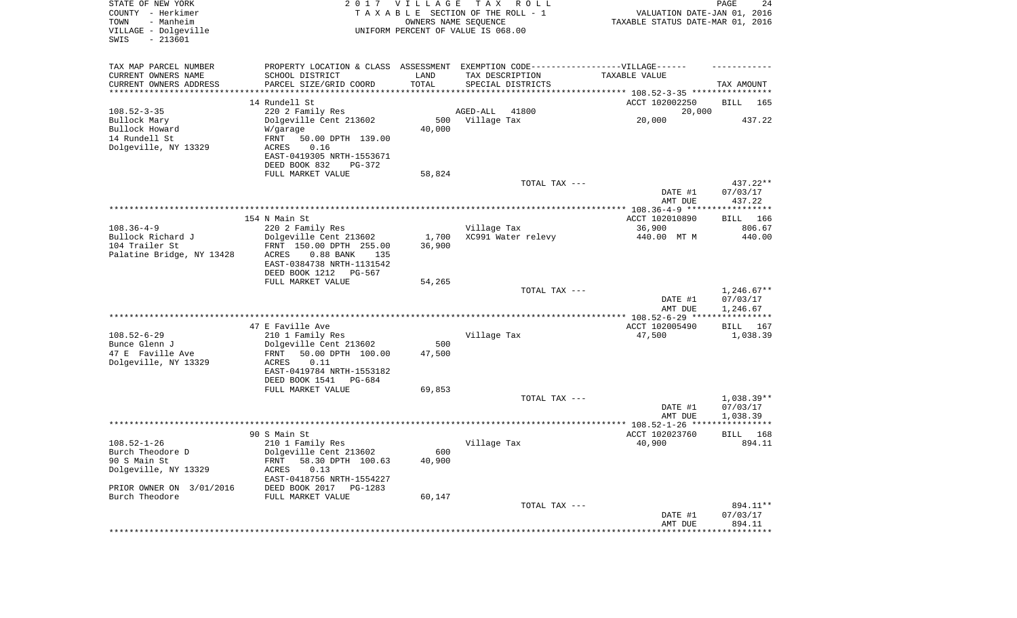| STATE OF NEW YORK<br>COUNTY - Herkimer<br>- Manheim<br>TOWN<br>VILLAGE - Dolgeville<br>$-213601$<br>SWIS |                                                   | 2017 VILLAGE    | T A X<br>R O L L<br>TAXABLE SECTION OF THE ROLL - 1<br>OWNERS NAME SEQUENCE<br>UNIFORM PERCENT OF VALUE IS 068.00 | VALUATION DATE-JAN 01, 2016<br>TAXABLE STATUS DATE-MAR 01, 2016 | PAGE<br>24               |
|----------------------------------------------------------------------------------------------------------|---------------------------------------------------|-----------------|-------------------------------------------------------------------------------------------------------------------|-----------------------------------------------------------------|--------------------------|
| TAX MAP PARCEL NUMBER                                                                                    |                                                   |                 | PROPERTY LOCATION & CLASS ASSESSMENT EXEMPTION CODE-----------------VILLAGE------                                 |                                                                 |                          |
| CURRENT OWNERS NAME                                                                                      | SCHOOL DISTRICT                                   | LAND            | TAX DESCRIPTION                                                                                                   | TAXABLE VALUE                                                   |                          |
| CURRENT OWNERS ADDRESS<br>*********************                                                          | PARCEL SIZE/GRID COORD                            | TOTAL           | SPECIAL DISTRICTS                                                                                                 |                                                                 | TAX AMOUNT               |
|                                                                                                          | 14 Rundell St                                     |                 |                                                                                                                   | ACCT 102002250                                                  | BILL<br>165              |
| $108.52 - 3 - 35$                                                                                        | 220 2 Family Res                                  |                 | 41800<br>AGED-ALL                                                                                                 | 20,000                                                          |                          |
| Bullock Mary                                                                                             | Dolgeville Cent 213602                            | 500             | Village Tax                                                                                                       | 20,000                                                          | 437.22                   |
| Bullock Howard                                                                                           | W/garage                                          | 40,000          |                                                                                                                   |                                                                 |                          |
| 14 Rundell St                                                                                            | FRNT<br>50.00 DPTH 139.00                         |                 |                                                                                                                   |                                                                 |                          |
| Dolgeville, NY 13329                                                                                     | ACRES<br>0.16<br>EAST-0419305 NRTH-1553671        |                 |                                                                                                                   |                                                                 |                          |
|                                                                                                          | DEED BOOK 832<br>PG-372                           |                 |                                                                                                                   |                                                                 |                          |
|                                                                                                          | FULL MARKET VALUE                                 | 58,824          |                                                                                                                   |                                                                 |                          |
|                                                                                                          |                                                   |                 | TOTAL TAX ---                                                                                                     |                                                                 | 437.22**                 |
|                                                                                                          |                                                   |                 |                                                                                                                   | DATE #1<br>AMT DUE                                              | 07/03/17<br>437.22       |
|                                                                                                          |                                                   |                 |                                                                                                                   |                                                                 |                          |
|                                                                                                          | 154 N Main St                                     |                 |                                                                                                                   | ACCT 102010890                                                  | BILL 166                 |
| $108.36 - 4 - 9$<br>Bullock Richard J                                                                    | 220 2 Family Res                                  |                 | Village Tax<br>XC991 Water relevy                                                                                 | 36,900<br>440.00 MT M                                           | 806.67                   |
| 104 Trailer St                                                                                           | Dolgeville Cent 213602<br>FRNT 150.00 DPTH 255.00 | 1,700<br>36,900 |                                                                                                                   |                                                                 | 440.00                   |
| Palatine Bridge, NY 13428                                                                                | ACRES<br>$0.88$ BANK<br>135                       |                 |                                                                                                                   |                                                                 |                          |
|                                                                                                          | EAST-0384738 NRTH-1131542                         |                 |                                                                                                                   |                                                                 |                          |
|                                                                                                          | DEED BOOK 1212 PG-567                             |                 |                                                                                                                   |                                                                 |                          |
|                                                                                                          | FULL MARKET VALUE                                 | 54,265          |                                                                                                                   |                                                                 |                          |
|                                                                                                          |                                                   |                 | TOTAL TAX ---                                                                                                     | DATE #1                                                         | $1,246.67**$<br>07/03/17 |
|                                                                                                          |                                                   |                 |                                                                                                                   | AMT DUE                                                         | 1,246.67                 |
|                                                                                                          |                                                   |                 |                                                                                                                   | ************* 108.52-6-29 ****                                  | * * * * * * * * * * *    |
|                                                                                                          | 47 E Faville Ave                                  |                 |                                                                                                                   | ACCT 102005490                                                  | BILL<br>167              |
| $108.52 - 6 - 29$<br>Bunce Glenn J                                                                       | 210 1 Family Res<br>Dolgeville Cent 213602        | 500             | Village Tax                                                                                                       | 47,500                                                          | 1,038.39                 |
| 47 E Faville Ave                                                                                         | 50.00 DPTH 100.00<br>FRNT                         | 47,500          |                                                                                                                   |                                                                 |                          |
| Dolgeville, NY 13329                                                                                     | ACRES<br>0.11                                     |                 |                                                                                                                   |                                                                 |                          |
|                                                                                                          | EAST-0419784 NRTH-1553182                         |                 |                                                                                                                   |                                                                 |                          |
|                                                                                                          | DEED BOOK 1541<br>PG-684                          |                 |                                                                                                                   |                                                                 |                          |
|                                                                                                          | FULL MARKET VALUE                                 | 69,853          |                                                                                                                   |                                                                 |                          |
|                                                                                                          |                                                   |                 | TOTAL TAX ---                                                                                                     | DATE #1                                                         | $1.038.39**$<br>07/03/17 |
|                                                                                                          |                                                   |                 |                                                                                                                   | AMT DUE                                                         | 1,038.39                 |
|                                                                                                          |                                                   |                 |                                                                                                                   |                                                                 |                          |
|                                                                                                          | 90 S Main St                                      |                 |                                                                                                                   | ACCT 102023760                                                  | 168<br>BILL              |
| $108.52 - 1 - 26$                                                                                        | 210 1 Family Res                                  |                 | Village Tax                                                                                                       | 40,900                                                          | 894.11                   |
| Burch Theodore D<br>90 S Main St                                                                         | Dolgeville Cent 213602<br>58.30 DPTH 100.63       | 600<br>40,900   |                                                                                                                   |                                                                 |                          |
| Dolgeville, NY 13329                                                                                     | FRNT<br>ACRES<br>0.13                             |                 |                                                                                                                   |                                                                 |                          |
|                                                                                                          | EAST-0418756 NRTH-1554227                         |                 |                                                                                                                   |                                                                 |                          |
| PRIOR OWNER ON 3/01/2016                                                                                 | DEED BOOK 2017 PG-1283                            |                 |                                                                                                                   |                                                                 |                          |
| Burch Theodore                                                                                           | FULL MARKET VALUE                                 | 60,147          |                                                                                                                   |                                                                 |                          |
|                                                                                                          |                                                   |                 | TOTAL TAX ---                                                                                                     |                                                                 | 894.11**                 |
|                                                                                                          |                                                   |                 |                                                                                                                   | DATE #1<br>AMT DUE                                              | 07/03/17<br>894.11       |
|                                                                                                          |                                                   |                 |                                                                                                                   |                                                                 |                          |
|                                                                                                          |                                                   |                 |                                                                                                                   |                                                                 |                          |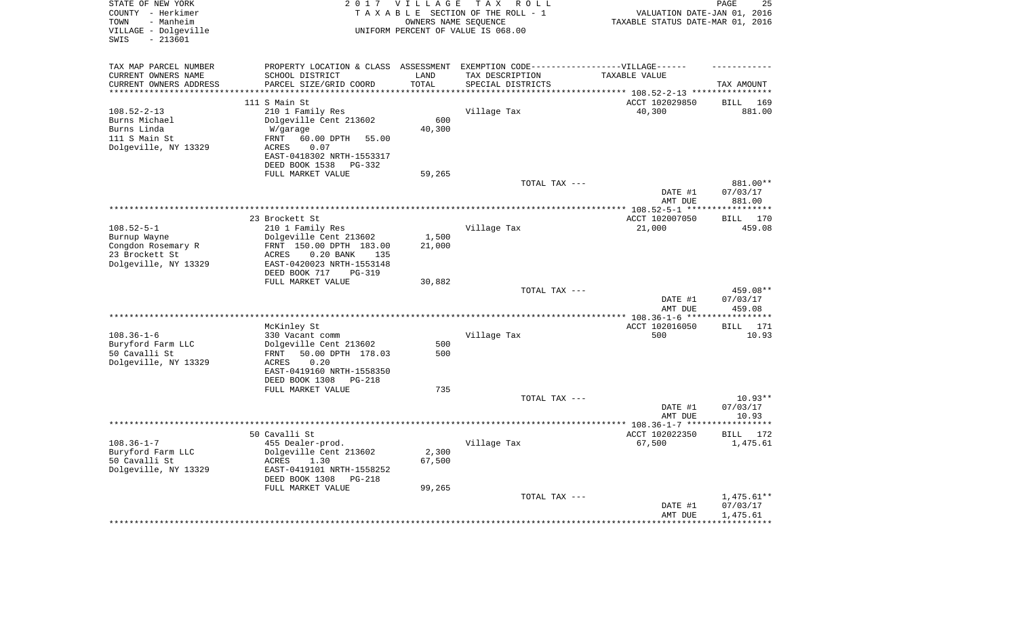| STATE OF NEW YORK<br>COUNTY - Herkimer<br>- Manheim<br>TOWN<br>VILLAGE - Dolgeville<br>$-213601$<br>SWIS | 2 0 1 7                                                                           | <b>VILLAGE</b><br>OWNERS NAME SEQUENCE | T A X<br>R O L L<br>TAXABLE SECTION OF THE ROLL - 1<br>UNIFORM PERCENT OF VALUE IS 068.00 | VALUATION DATE-JAN 01, 2016<br>TAXABLE STATUS DATE-MAR 01, 2016 | 25<br>PAGE               |
|----------------------------------------------------------------------------------------------------------|-----------------------------------------------------------------------------------|----------------------------------------|-------------------------------------------------------------------------------------------|-----------------------------------------------------------------|--------------------------|
| TAX MAP PARCEL NUMBER                                                                                    | PROPERTY LOCATION & CLASS ASSESSMENT EXEMPTION CODE-----------------VILLAGE------ |                                        |                                                                                           |                                                                 |                          |
| CURRENT OWNERS NAME                                                                                      | SCHOOL DISTRICT<br>PARCEL SIZE/GRID COORD                                         | LAND<br>TOTAL                          | TAX DESCRIPTION                                                                           | TAXABLE VALUE                                                   |                          |
| CURRENT OWNERS ADDRESS<br>*********************                                                          | ****************************                                                      | **********                             | SPECIAL DISTRICTS                                                                         |                                                                 | TAX AMOUNT               |
|                                                                                                          | 111 S Main St                                                                     |                                        |                                                                                           | ACCT 102029850                                                  | <b>BILL</b><br>169       |
| $108.52 - 2 - 13$                                                                                        | 210 1 Family Res                                                                  |                                        | Village Tax                                                                               | 40,300                                                          | 881.00                   |
| Burns Michael                                                                                            | Dolgeville Cent 213602                                                            | 600                                    |                                                                                           |                                                                 |                          |
| Burns Linda                                                                                              | W/garage                                                                          | 40,300                                 |                                                                                           |                                                                 |                          |
| 111 S Main St                                                                                            | 60.00 DPTH<br>FRNT<br>55.00                                                       |                                        |                                                                                           |                                                                 |                          |
| Dolgeville, NY 13329                                                                                     | 0.07<br>ACRES<br>EAST-0418302 NRTH-1553317                                        |                                        |                                                                                           |                                                                 |                          |
|                                                                                                          | DEED BOOK 1538<br>PG-332                                                          |                                        |                                                                                           |                                                                 |                          |
|                                                                                                          | FULL MARKET VALUE                                                                 | 59,265                                 |                                                                                           |                                                                 |                          |
|                                                                                                          |                                                                                   |                                        | TOTAL TAX ---                                                                             |                                                                 | 881.00**                 |
|                                                                                                          |                                                                                   |                                        |                                                                                           | DATE #1                                                         | 07/03/17                 |
|                                                                                                          |                                                                                   |                                        |                                                                                           | AMT DUE                                                         | 881.00                   |
|                                                                                                          | 23 Brockett St                                                                    |                                        |                                                                                           | ACCT 102007050                                                  | **********<br>170        |
| $108.52 - 5 - 1$                                                                                         | 210 1 Family Res                                                                  |                                        | Village Tax                                                                               | 21,000                                                          | BILL<br>459.08           |
| Burnup Wayne                                                                                             | Dolgeville Cent 213602                                                            | 1,500                                  |                                                                                           |                                                                 |                          |
| Congdon Rosemary R                                                                                       | FRNT 150.00 DPTH 183.00                                                           | 21,000                                 |                                                                                           |                                                                 |                          |
| 23 Brockett St                                                                                           | ACRES<br>$0.20$ BANK<br>135                                                       |                                        |                                                                                           |                                                                 |                          |
| Dolgeville, NY 13329                                                                                     | EAST-0420023 NRTH-1553148                                                         |                                        |                                                                                           |                                                                 |                          |
|                                                                                                          | DEED BOOK 717<br>$PG-319$<br>FULL MARKET VALUE                                    | 30,882                                 |                                                                                           |                                                                 |                          |
|                                                                                                          |                                                                                   |                                        | TOTAL TAX ---                                                                             |                                                                 | 459.08**                 |
|                                                                                                          |                                                                                   |                                        |                                                                                           | DATE #1                                                         | 07/03/17                 |
|                                                                                                          |                                                                                   |                                        |                                                                                           | AMT DUE                                                         | 459.08                   |
|                                                                                                          |                                                                                   |                                        |                                                                                           |                                                                 | ***********              |
|                                                                                                          | McKinley St                                                                       |                                        |                                                                                           | ACCT 102016050                                                  | BILL<br>171              |
| $108.36 - 1 - 6$<br>Buryford Farm LLC                                                                    | 330 Vacant comm<br>Dolgeville Cent 213602                                         | 500                                    | Village Tax                                                                               | 500                                                             | 10.93                    |
| 50 Cavalli St                                                                                            | 50.00 DPTH 178.03<br>FRNT                                                         | 500                                    |                                                                                           |                                                                 |                          |
| Dolgeville, NY 13329                                                                                     | <b>ACRES</b><br>0.20                                                              |                                        |                                                                                           |                                                                 |                          |
|                                                                                                          | EAST-0419160 NRTH-1558350                                                         |                                        |                                                                                           |                                                                 |                          |
|                                                                                                          | DEED BOOK 1308<br><b>PG-218</b>                                                   |                                        |                                                                                           |                                                                 |                          |
|                                                                                                          | FULL MARKET VALUE                                                                 | 735                                    |                                                                                           |                                                                 |                          |
|                                                                                                          |                                                                                   |                                        | TOTAL TAX ---                                                                             | DATE #1                                                         | $10.93**$<br>07/03/17    |
|                                                                                                          |                                                                                   |                                        |                                                                                           | AMT DUE                                                         | 10.93                    |
|                                                                                                          | ************************                                                          |                                        | *******************************                                                           | *** 108.36-1-7 ***                                              | * * * * * * * *          |
|                                                                                                          | 50 Cavalli St                                                                     |                                        |                                                                                           | ACCT 102022350                                                  | BILL 172                 |
| $108.36 - 1 - 7$                                                                                         | 455 Dealer-prod.                                                                  |                                        | Village Tax                                                                               | 67,500                                                          | 1,475.61                 |
| Buryford Farm LLC<br>50 Cavalli St                                                                       | Dolgeville Cent 213602<br>1.30                                                    | 2,300<br>67,500                        |                                                                                           |                                                                 |                          |
| Dolgeville, NY 13329                                                                                     | ACRES<br>EAST-0419101 NRTH-1558252                                                |                                        |                                                                                           |                                                                 |                          |
|                                                                                                          | DEED BOOK 1308<br>PG-218                                                          |                                        |                                                                                           |                                                                 |                          |
|                                                                                                          | FULL MARKET VALUE                                                                 | 99,265                                 |                                                                                           |                                                                 |                          |
|                                                                                                          |                                                                                   |                                        | TOTAL TAX ---                                                                             |                                                                 | $1,475.61**$             |
|                                                                                                          |                                                                                   |                                        |                                                                                           | DATE #1                                                         | 07/03/17                 |
|                                                                                                          |                                                                                   |                                        |                                                                                           | AMT DUE<br>****************                                     | 1,475.61<br>************ |
|                                                                                                          |                                                                                   |                                        |                                                                                           |                                                                 |                          |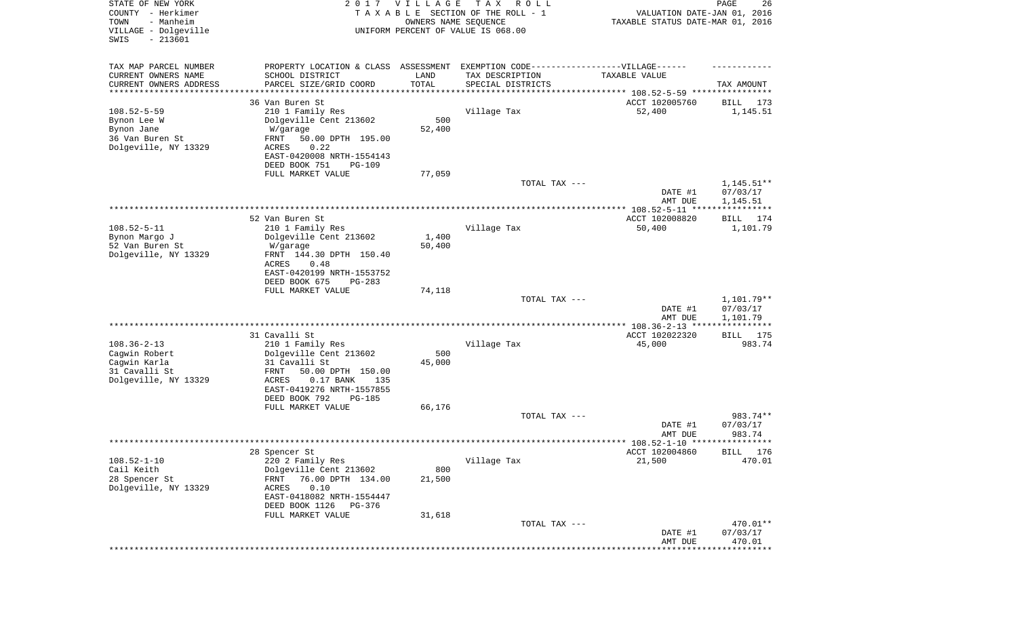| $-213601$<br>SWIS<br>TAX MAP PARCEL NUMBER<br>PROPERTY LOCATION & CLASS<br>ASSESSMENT<br>EXEMPTION CODE-----------------VILLAGE------<br>CURRENT OWNERS NAME<br>SCHOOL DISTRICT<br>LAND<br>TAX DESCRIPTION<br>TAXABLE VALUE<br>TOTAL<br>CURRENT OWNERS ADDRESS<br>PARCEL SIZE/GRID COORD<br>SPECIAL DISTRICTS<br>TAX AMOUNT<br>********************<br>***************************** 108.52-5-59 ****************<br>36 Van Buren St<br>ACCT 102005760<br><b>BILL</b><br>173<br>$108.52 - 5 - 59$<br>210 1 Family Res<br>Village Tax<br>52,400<br>1,145.51<br>Dolgeville Cent 213602<br>500<br>Bynon Lee W<br>52,400<br>Bynon Jane<br>W/garage<br>36 Van Buren St<br>50.00 DPTH 195.00<br>FRNT<br>Dolgeville, NY 13329<br>0.22<br>ACRES<br>EAST-0420008 NRTH-1554143<br>DEED BOOK 751<br><b>PG-109</b><br>FULL MARKET VALUE<br>77,059<br>$1,145.51**$<br>TOTAL TAX ---<br>07/03/17<br>DATE #1<br>AMT DUE<br>1,145.51<br>52 Van Buren St<br>ACCT 102008820<br>174<br>BILL<br>$108.52 - 5 - 11$<br>1,101.79<br>210 1 Family Res<br>Village Tax<br>50,400<br>Bynon Margo J<br>Dolgeville Cent 213602<br>1,400<br>52 Van Buren St<br>50,400<br>W/garage<br>Dolgeville, NY 13329<br>FRNT 144.30 DPTH 150.40<br>ACRES<br>0.48<br>EAST-0420199 NRTH-1553752<br>DEED BOOK 675<br>$PG-283$<br>FULL MARKET VALUE<br>74,118<br>1,101.79**<br>TOTAL TAX ---<br>DATE #1<br>07/03/17<br>AMT DUE<br>1,101.79<br>* * * * * * * * * * *<br>31 Cavalli St<br>ACCT 102022320<br>BILL 175<br>$108.36 - 2 - 13$<br>Village Tax<br>983.74<br>210 1 Family Res<br>45,000<br>500<br>Cagwin Robert<br>Dolgeville Cent 213602<br>Cagwin Karla<br>31 Cavalli St<br>45,000<br>31 Cavalli St<br><b>FRNT</b><br>50.00 DPTH 150.00<br>Dolgeville, NY 13329<br>$0.17$ BANK<br>ACRES<br>135<br>EAST-0419276 NRTH-1557855<br>DEED BOOK 792<br><b>PG-185</b><br>FULL MARKET VALUE<br>66,176<br>TOTAL TAX ---<br>983.74**<br>07/03/17<br>DATE #1<br>983.74<br>AMT DUE<br>28 Spencer St<br>ACCT 102004860<br>BILL 176<br>$108.52 - 1 - 10$<br>Village Tax<br>220 2 Family Res<br>21,500<br>470.01<br>Cail Keith<br>Dolgeville Cent 213602<br>800<br>28 Spencer St<br>76.00 DPTH 134.00<br>21,500<br>FRNT<br>Dolgeville, NY 13329<br>ACRES<br>0.10<br>EAST-0418082 NRTH-1554447<br>DEED BOOK 1126<br>PG-376<br>31,618<br>FULL MARKET VALUE<br>TOTAL TAX ---<br>470.01**<br>DATE #1<br>07/03/17<br>470.01<br>AMT DUE | STATE OF NEW YORK<br>COUNTY - Herkimer<br>- Manheim<br>TOWN<br>VILLAGE - Dolgeville | 2017 | <b>VILLAGE</b><br>OWNERS NAME SEQUENCE | T A X<br>R O L L<br>TAXABLE SECTION OF THE ROLL - 1<br>UNIFORM PERCENT OF VALUE IS 068.00 | VALUATION DATE-JAN 01, 2016<br>TAXABLE STATUS DATE-MAR 01, 2016 | 26<br>PAGE   |
|-------------------------------------------------------------------------------------------------------------------------------------------------------------------------------------------------------------------------------------------------------------------------------------------------------------------------------------------------------------------------------------------------------------------------------------------------------------------------------------------------------------------------------------------------------------------------------------------------------------------------------------------------------------------------------------------------------------------------------------------------------------------------------------------------------------------------------------------------------------------------------------------------------------------------------------------------------------------------------------------------------------------------------------------------------------------------------------------------------------------------------------------------------------------------------------------------------------------------------------------------------------------------------------------------------------------------------------------------------------------------------------------------------------------------------------------------------------------------------------------------------------------------------------------------------------------------------------------------------------------------------------------------------------------------------------------------------------------------------------------------------------------------------------------------------------------------------------------------------------------------------------------------------------------------------------------------------------------------------------------------------------------------------------------------------------------------------------------------------------------------------------------------------------------------------------------------------------------------------------------------------------------------------------------------------------------------------------------------------------------------------|-------------------------------------------------------------------------------------|------|----------------------------------------|-------------------------------------------------------------------------------------------|-----------------------------------------------------------------|--------------|
|                                                                                                                                                                                                                                                                                                                                                                                                                                                                                                                                                                                                                                                                                                                                                                                                                                                                                                                                                                                                                                                                                                                                                                                                                                                                                                                                                                                                                                                                                                                                                                                                                                                                                                                                                                                                                                                                                                                                                                                                                                                                                                                                                                                                                                                                                                                                                                               |                                                                                     |      |                                        |                                                                                           |                                                                 |              |
|                                                                                                                                                                                                                                                                                                                                                                                                                                                                                                                                                                                                                                                                                                                                                                                                                                                                                                                                                                                                                                                                                                                                                                                                                                                                                                                                                                                                                                                                                                                                                                                                                                                                                                                                                                                                                                                                                                                                                                                                                                                                                                                                                                                                                                                                                                                                                                               |                                                                                     |      |                                        |                                                                                           |                                                                 |              |
|                                                                                                                                                                                                                                                                                                                                                                                                                                                                                                                                                                                                                                                                                                                                                                                                                                                                                                                                                                                                                                                                                                                                                                                                                                                                                                                                                                                                                                                                                                                                                                                                                                                                                                                                                                                                                                                                                                                                                                                                                                                                                                                                                                                                                                                                                                                                                                               |                                                                                     |      |                                        |                                                                                           |                                                                 |              |
|                                                                                                                                                                                                                                                                                                                                                                                                                                                                                                                                                                                                                                                                                                                                                                                                                                                                                                                                                                                                                                                                                                                                                                                                                                                                                                                                                                                                                                                                                                                                                                                                                                                                                                                                                                                                                                                                                                                                                                                                                                                                                                                                                                                                                                                                                                                                                                               |                                                                                     |      |                                        |                                                                                           |                                                                 |              |
|                                                                                                                                                                                                                                                                                                                                                                                                                                                                                                                                                                                                                                                                                                                                                                                                                                                                                                                                                                                                                                                                                                                                                                                                                                                                                                                                                                                                                                                                                                                                                                                                                                                                                                                                                                                                                                                                                                                                                                                                                                                                                                                                                                                                                                                                                                                                                                               |                                                                                     |      |                                        |                                                                                           |                                                                 |              |
|                                                                                                                                                                                                                                                                                                                                                                                                                                                                                                                                                                                                                                                                                                                                                                                                                                                                                                                                                                                                                                                                                                                                                                                                                                                                                                                                                                                                                                                                                                                                                                                                                                                                                                                                                                                                                                                                                                                                                                                                                                                                                                                                                                                                                                                                                                                                                                               |                                                                                     |      |                                        |                                                                                           |                                                                 |              |
|                                                                                                                                                                                                                                                                                                                                                                                                                                                                                                                                                                                                                                                                                                                                                                                                                                                                                                                                                                                                                                                                                                                                                                                                                                                                                                                                                                                                                                                                                                                                                                                                                                                                                                                                                                                                                                                                                                                                                                                                                                                                                                                                                                                                                                                                                                                                                                               |                                                                                     |      |                                        |                                                                                           |                                                                 |              |
|                                                                                                                                                                                                                                                                                                                                                                                                                                                                                                                                                                                                                                                                                                                                                                                                                                                                                                                                                                                                                                                                                                                                                                                                                                                                                                                                                                                                                                                                                                                                                                                                                                                                                                                                                                                                                                                                                                                                                                                                                                                                                                                                                                                                                                                                                                                                                                               |                                                                                     |      |                                        |                                                                                           |                                                                 |              |
|                                                                                                                                                                                                                                                                                                                                                                                                                                                                                                                                                                                                                                                                                                                                                                                                                                                                                                                                                                                                                                                                                                                                                                                                                                                                                                                                                                                                                                                                                                                                                                                                                                                                                                                                                                                                                                                                                                                                                                                                                                                                                                                                                                                                                                                                                                                                                                               |                                                                                     |      |                                        |                                                                                           |                                                                 |              |
|                                                                                                                                                                                                                                                                                                                                                                                                                                                                                                                                                                                                                                                                                                                                                                                                                                                                                                                                                                                                                                                                                                                                                                                                                                                                                                                                                                                                                                                                                                                                                                                                                                                                                                                                                                                                                                                                                                                                                                                                                                                                                                                                                                                                                                                                                                                                                                               |                                                                                     |      |                                        |                                                                                           |                                                                 |              |
|                                                                                                                                                                                                                                                                                                                                                                                                                                                                                                                                                                                                                                                                                                                                                                                                                                                                                                                                                                                                                                                                                                                                                                                                                                                                                                                                                                                                                                                                                                                                                                                                                                                                                                                                                                                                                                                                                                                                                                                                                                                                                                                                                                                                                                                                                                                                                                               |                                                                                     |      |                                        |                                                                                           |                                                                 |              |
|                                                                                                                                                                                                                                                                                                                                                                                                                                                                                                                                                                                                                                                                                                                                                                                                                                                                                                                                                                                                                                                                                                                                                                                                                                                                                                                                                                                                                                                                                                                                                                                                                                                                                                                                                                                                                                                                                                                                                                                                                                                                                                                                                                                                                                                                                                                                                                               |                                                                                     |      |                                        |                                                                                           |                                                                 |              |
|                                                                                                                                                                                                                                                                                                                                                                                                                                                                                                                                                                                                                                                                                                                                                                                                                                                                                                                                                                                                                                                                                                                                                                                                                                                                                                                                                                                                                                                                                                                                                                                                                                                                                                                                                                                                                                                                                                                                                                                                                                                                                                                                                                                                                                                                                                                                                                               |                                                                                     |      |                                        |                                                                                           |                                                                 |              |
|                                                                                                                                                                                                                                                                                                                                                                                                                                                                                                                                                                                                                                                                                                                                                                                                                                                                                                                                                                                                                                                                                                                                                                                                                                                                                                                                                                                                                                                                                                                                                                                                                                                                                                                                                                                                                                                                                                                                                                                                                                                                                                                                                                                                                                                                                                                                                                               |                                                                                     |      |                                        |                                                                                           |                                                                 |              |
|                                                                                                                                                                                                                                                                                                                                                                                                                                                                                                                                                                                                                                                                                                                                                                                                                                                                                                                                                                                                                                                                                                                                                                                                                                                                                                                                                                                                                                                                                                                                                                                                                                                                                                                                                                                                                                                                                                                                                                                                                                                                                                                                                                                                                                                                                                                                                                               |                                                                                     |      |                                        |                                                                                           |                                                                 |              |
|                                                                                                                                                                                                                                                                                                                                                                                                                                                                                                                                                                                                                                                                                                                                                                                                                                                                                                                                                                                                                                                                                                                                                                                                                                                                                                                                                                                                                                                                                                                                                                                                                                                                                                                                                                                                                                                                                                                                                                                                                                                                                                                                                                                                                                                                                                                                                                               |                                                                                     |      |                                        |                                                                                           |                                                                 |              |
|                                                                                                                                                                                                                                                                                                                                                                                                                                                                                                                                                                                                                                                                                                                                                                                                                                                                                                                                                                                                                                                                                                                                                                                                                                                                                                                                                                                                                                                                                                                                                                                                                                                                                                                                                                                                                                                                                                                                                                                                                                                                                                                                                                                                                                                                                                                                                                               |                                                                                     |      |                                        |                                                                                           |                                                                 |              |
|                                                                                                                                                                                                                                                                                                                                                                                                                                                                                                                                                                                                                                                                                                                                                                                                                                                                                                                                                                                                                                                                                                                                                                                                                                                                                                                                                                                                                                                                                                                                                                                                                                                                                                                                                                                                                                                                                                                                                                                                                                                                                                                                                                                                                                                                                                                                                                               |                                                                                     |      |                                        |                                                                                           |                                                                 |              |
|                                                                                                                                                                                                                                                                                                                                                                                                                                                                                                                                                                                                                                                                                                                                                                                                                                                                                                                                                                                                                                                                                                                                                                                                                                                                                                                                                                                                                                                                                                                                                                                                                                                                                                                                                                                                                                                                                                                                                                                                                                                                                                                                                                                                                                                                                                                                                                               |                                                                                     |      |                                        |                                                                                           |                                                                 |              |
|                                                                                                                                                                                                                                                                                                                                                                                                                                                                                                                                                                                                                                                                                                                                                                                                                                                                                                                                                                                                                                                                                                                                                                                                                                                                                                                                                                                                                                                                                                                                                                                                                                                                                                                                                                                                                                                                                                                                                                                                                                                                                                                                                                                                                                                                                                                                                                               |                                                                                     |      |                                        |                                                                                           |                                                                 |              |
|                                                                                                                                                                                                                                                                                                                                                                                                                                                                                                                                                                                                                                                                                                                                                                                                                                                                                                                                                                                                                                                                                                                                                                                                                                                                                                                                                                                                                                                                                                                                                                                                                                                                                                                                                                                                                                                                                                                                                                                                                                                                                                                                                                                                                                                                                                                                                                               |                                                                                     |      |                                        |                                                                                           |                                                                 |              |
|                                                                                                                                                                                                                                                                                                                                                                                                                                                                                                                                                                                                                                                                                                                                                                                                                                                                                                                                                                                                                                                                                                                                                                                                                                                                                                                                                                                                                                                                                                                                                                                                                                                                                                                                                                                                                                                                                                                                                                                                                                                                                                                                                                                                                                                                                                                                                                               |                                                                                     |      |                                        |                                                                                           |                                                                 |              |
|                                                                                                                                                                                                                                                                                                                                                                                                                                                                                                                                                                                                                                                                                                                                                                                                                                                                                                                                                                                                                                                                                                                                                                                                                                                                                                                                                                                                                                                                                                                                                                                                                                                                                                                                                                                                                                                                                                                                                                                                                                                                                                                                                                                                                                                                                                                                                                               |                                                                                     |      |                                        |                                                                                           |                                                                 |              |
|                                                                                                                                                                                                                                                                                                                                                                                                                                                                                                                                                                                                                                                                                                                                                                                                                                                                                                                                                                                                                                                                                                                                                                                                                                                                                                                                                                                                                                                                                                                                                                                                                                                                                                                                                                                                                                                                                                                                                                                                                                                                                                                                                                                                                                                                                                                                                                               |                                                                                     |      |                                        |                                                                                           |                                                                 |              |
|                                                                                                                                                                                                                                                                                                                                                                                                                                                                                                                                                                                                                                                                                                                                                                                                                                                                                                                                                                                                                                                                                                                                                                                                                                                                                                                                                                                                                                                                                                                                                                                                                                                                                                                                                                                                                                                                                                                                                                                                                                                                                                                                                                                                                                                                                                                                                                               |                                                                                     |      |                                        |                                                                                           |                                                                 |              |
|                                                                                                                                                                                                                                                                                                                                                                                                                                                                                                                                                                                                                                                                                                                                                                                                                                                                                                                                                                                                                                                                                                                                                                                                                                                                                                                                                                                                                                                                                                                                                                                                                                                                                                                                                                                                                                                                                                                                                                                                                                                                                                                                                                                                                                                                                                                                                                               |                                                                                     |      |                                        |                                                                                           |                                                                 |              |
|                                                                                                                                                                                                                                                                                                                                                                                                                                                                                                                                                                                                                                                                                                                                                                                                                                                                                                                                                                                                                                                                                                                                                                                                                                                                                                                                                                                                                                                                                                                                                                                                                                                                                                                                                                                                                                                                                                                                                                                                                                                                                                                                                                                                                                                                                                                                                                               |                                                                                     |      |                                        |                                                                                           |                                                                 |              |
|                                                                                                                                                                                                                                                                                                                                                                                                                                                                                                                                                                                                                                                                                                                                                                                                                                                                                                                                                                                                                                                                                                                                                                                                                                                                                                                                                                                                                                                                                                                                                                                                                                                                                                                                                                                                                                                                                                                                                                                                                                                                                                                                                                                                                                                                                                                                                                               |                                                                                     |      |                                        |                                                                                           |                                                                 |              |
|                                                                                                                                                                                                                                                                                                                                                                                                                                                                                                                                                                                                                                                                                                                                                                                                                                                                                                                                                                                                                                                                                                                                                                                                                                                                                                                                                                                                                                                                                                                                                                                                                                                                                                                                                                                                                                                                                                                                                                                                                                                                                                                                                                                                                                                                                                                                                                               |                                                                                     |      |                                        |                                                                                           |                                                                 |              |
|                                                                                                                                                                                                                                                                                                                                                                                                                                                                                                                                                                                                                                                                                                                                                                                                                                                                                                                                                                                                                                                                                                                                                                                                                                                                                                                                                                                                                                                                                                                                                                                                                                                                                                                                                                                                                                                                                                                                                                                                                                                                                                                                                                                                                                                                                                                                                                               |                                                                                     |      |                                        |                                                                                           |                                                                 |              |
|                                                                                                                                                                                                                                                                                                                                                                                                                                                                                                                                                                                                                                                                                                                                                                                                                                                                                                                                                                                                                                                                                                                                                                                                                                                                                                                                                                                                                                                                                                                                                                                                                                                                                                                                                                                                                                                                                                                                                                                                                                                                                                                                                                                                                                                                                                                                                                               |                                                                                     |      |                                        |                                                                                           |                                                                 |              |
|                                                                                                                                                                                                                                                                                                                                                                                                                                                                                                                                                                                                                                                                                                                                                                                                                                                                                                                                                                                                                                                                                                                                                                                                                                                                                                                                                                                                                                                                                                                                                                                                                                                                                                                                                                                                                                                                                                                                                                                                                                                                                                                                                                                                                                                                                                                                                                               |                                                                                     |      |                                        |                                                                                           |                                                                 |              |
|                                                                                                                                                                                                                                                                                                                                                                                                                                                                                                                                                                                                                                                                                                                                                                                                                                                                                                                                                                                                                                                                                                                                                                                                                                                                                                                                                                                                                                                                                                                                                                                                                                                                                                                                                                                                                                                                                                                                                                                                                                                                                                                                                                                                                                                                                                                                                                               |                                                                                     |      |                                        |                                                                                           |                                                                 |              |
|                                                                                                                                                                                                                                                                                                                                                                                                                                                                                                                                                                                                                                                                                                                                                                                                                                                                                                                                                                                                                                                                                                                                                                                                                                                                                                                                                                                                                                                                                                                                                                                                                                                                                                                                                                                                                                                                                                                                                                                                                                                                                                                                                                                                                                                                                                                                                                               |                                                                                     |      |                                        |                                                                                           |                                                                 |              |
|                                                                                                                                                                                                                                                                                                                                                                                                                                                                                                                                                                                                                                                                                                                                                                                                                                                                                                                                                                                                                                                                                                                                                                                                                                                                                                                                                                                                                                                                                                                                                                                                                                                                                                                                                                                                                                                                                                                                                                                                                                                                                                                                                                                                                                                                                                                                                                               |                                                                                     |      |                                        |                                                                                           |                                                                 |              |
|                                                                                                                                                                                                                                                                                                                                                                                                                                                                                                                                                                                                                                                                                                                                                                                                                                                                                                                                                                                                                                                                                                                                                                                                                                                                                                                                                                                                                                                                                                                                                                                                                                                                                                                                                                                                                                                                                                                                                                                                                                                                                                                                                                                                                                                                                                                                                                               |                                                                                     |      |                                        |                                                                                           |                                                                 |              |
|                                                                                                                                                                                                                                                                                                                                                                                                                                                                                                                                                                                                                                                                                                                                                                                                                                                                                                                                                                                                                                                                                                                                                                                                                                                                                                                                                                                                                                                                                                                                                                                                                                                                                                                                                                                                                                                                                                                                                                                                                                                                                                                                                                                                                                                                                                                                                                               |                                                                                     |      |                                        |                                                                                           |                                                                 |              |
|                                                                                                                                                                                                                                                                                                                                                                                                                                                                                                                                                                                                                                                                                                                                                                                                                                                                                                                                                                                                                                                                                                                                                                                                                                                                                                                                                                                                                                                                                                                                                                                                                                                                                                                                                                                                                                                                                                                                                                                                                                                                                                                                                                                                                                                                                                                                                                               |                                                                                     |      |                                        |                                                                                           |                                                                 |              |
|                                                                                                                                                                                                                                                                                                                                                                                                                                                                                                                                                                                                                                                                                                                                                                                                                                                                                                                                                                                                                                                                                                                                                                                                                                                                                                                                                                                                                                                                                                                                                                                                                                                                                                                                                                                                                                                                                                                                                                                                                                                                                                                                                                                                                                                                                                                                                                               |                                                                                     |      |                                        |                                                                                           |                                                                 |              |
|                                                                                                                                                                                                                                                                                                                                                                                                                                                                                                                                                                                                                                                                                                                                                                                                                                                                                                                                                                                                                                                                                                                                                                                                                                                                                                                                                                                                                                                                                                                                                                                                                                                                                                                                                                                                                                                                                                                                                                                                                                                                                                                                                                                                                                                                                                                                                                               |                                                                                     |      |                                        |                                                                                           |                                                                 |              |
|                                                                                                                                                                                                                                                                                                                                                                                                                                                                                                                                                                                                                                                                                                                                                                                                                                                                                                                                                                                                                                                                                                                                                                                                                                                                                                                                                                                                                                                                                                                                                                                                                                                                                                                                                                                                                                                                                                                                                                                                                                                                                                                                                                                                                                                                                                                                                                               |                                                                                     |      |                                        |                                                                                           |                                                                 |              |
|                                                                                                                                                                                                                                                                                                                                                                                                                                                                                                                                                                                                                                                                                                                                                                                                                                                                                                                                                                                                                                                                                                                                                                                                                                                                                                                                                                                                                                                                                                                                                                                                                                                                                                                                                                                                                                                                                                                                                                                                                                                                                                                                                                                                                                                                                                                                                                               |                                                                                     |      |                                        |                                                                                           |                                                                 |              |
|                                                                                                                                                                                                                                                                                                                                                                                                                                                                                                                                                                                                                                                                                                                                                                                                                                                                                                                                                                                                                                                                                                                                                                                                                                                                                                                                                                                                                                                                                                                                                                                                                                                                                                                                                                                                                                                                                                                                                                                                                                                                                                                                                                                                                                                                                                                                                                               |                                                                                     |      |                                        |                                                                                           |                                                                 |              |
|                                                                                                                                                                                                                                                                                                                                                                                                                                                                                                                                                                                                                                                                                                                                                                                                                                                                                                                                                                                                                                                                                                                                                                                                                                                                                                                                                                                                                                                                                                                                                                                                                                                                                                                                                                                                                                                                                                                                                                                                                                                                                                                                                                                                                                                                                                                                                                               |                                                                                     |      |                                        |                                                                                           |                                                                 |              |
|                                                                                                                                                                                                                                                                                                                                                                                                                                                                                                                                                                                                                                                                                                                                                                                                                                                                                                                                                                                                                                                                                                                                                                                                                                                                                                                                                                                                                                                                                                                                                                                                                                                                                                                                                                                                                                                                                                                                                                                                                                                                                                                                                                                                                                                                                                                                                                               |                                                                                     |      |                                        |                                                                                           |                                                                 |              |
|                                                                                                                                                                                                                                                                                                                                                                                                                                                                                                                                                                                                                                                                                                                                                                                                                                                                                                                                                                                                                                                                                                                                                                                                                                                                                                                                                                                                                                                                                                                                                                                                                                                                                                                                                                                                                                                                                                                                                                                                                                                                                                                                                                                                                                                                                                                                                                               |                                                                                     |      |                                        |                                                                                           |                                                                 |              |
|                                                                                                                                                                                                                                                                                                                                                                                                                                                                                                                                                                                                                                                                                                                                                                                                                                                                                                                                                                                                                                                                                                                                                                                                                                                                                                                                                                                                                                                                                                                                                                                                                                                                                                                                                                                                                                                                                                                                                                                                                                                                                                                                                                                                                                                                                                                                                                               |                                                                                     |      |                                        |                                                                                           |                                                                 |              |
|                                                                                                                                                                                                                                                                                                                                                                                                                                                                                                                                                                                                                                                                                                                                                                                                                                                                                                                                                                                                                                                                                                                                                                                                                                                                                                                                                                                                                                                                                                                                                                                                                                                                                                                                                                                                                                                                                                                                                                                                                                                                                                                                                                                                                                                                                                                                                                               |                                                                                     |      |                                        |                                                                                           |                                                                 | ************ |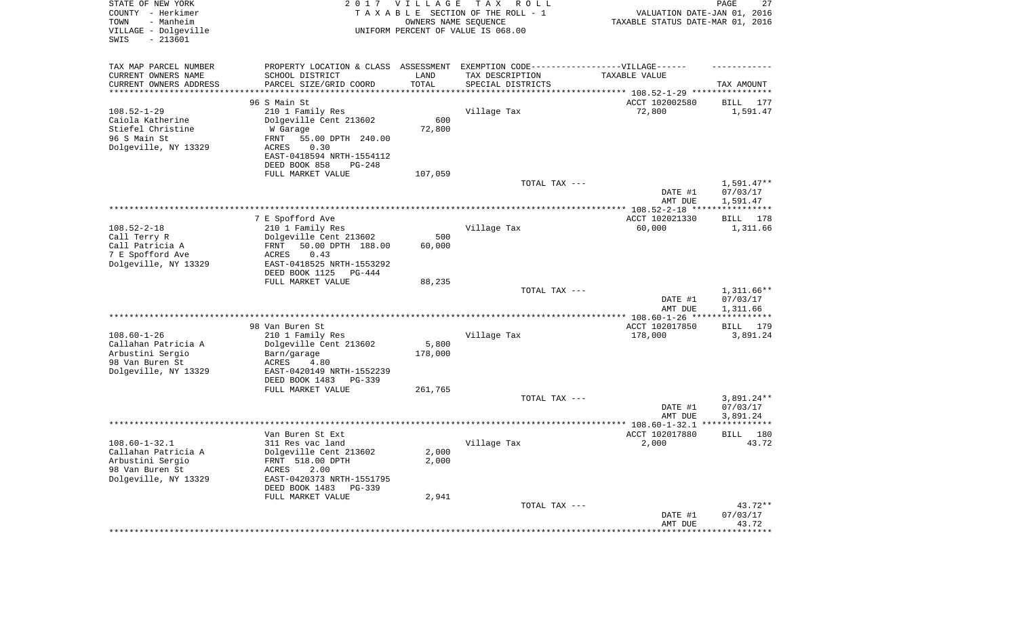| STATE OF NEW YORK<br>COUNTY - Herkimer<br>- Manheim<br>TOWN<br>VILLAGE - Dolgeville<br>SWIS<br>$-213601$  | 2017                                                                                                                                                                              | <b>VILLAGE</b><br>OWNERS NAME SEQUENCE | T A X<br>R O L L<br>TAXABLE SECTION OF THE ROLL - 1<br>UNIFORM PERCENT OF VALUE IS 068.00 | VALUATION DATE-JAN 01, 2016<br>TAXABLE STATUS DATE-MAR 01, 2016             | PAGE<br>27                           |
|-----------------------------------------------------------------------------------------------------------|-----------------------------------------------------------------------------------------------------------------------------------------------------------------------------------|----------------------------------------|-------------------------------------------------------------------------------------------|-----------------------------------------------------------------------------|--------------------------------------|
| TAX MAP PARCEL NUMBER<br>CURRENT OWNERS NAME<br>CURRENT OWNERS ADDRESS<br>********************            | PROPERTY LOCATION & CLASS ASSESSMENT<br>SCHOOL DISTRICT<br>PARCEL SIZE/GRID COORD                                                                                                 | LAND<br>TOTAL                          | EXEMPTION CODE------------------VILLAGE------<br>TAX DESCRIPTION<br>SPECIAL DISTRICTS     | TAXABLE VALUE<br>***************************** 108.52-1-29 **************** | TAX AMOUNT                           |
| $108.52 - 1 - 29$<br>Caiola Katherine<br>Stiefel Christine<br>96 S Main St<br>Dolgeville, NY 13329        | 96 S Main St<br>210 1 Family Res<br>Dolgeville Cent 213602<br>W Garage<br>55.00 DPTH 240.00<br>FRNT<br>0.30<br>ACRES<br>EAST-0418594 NRTH-1554112<br>DEED BOOK 858<br>PG-248      | 600<br>72,800                          | Village Tax                                                                               | ACCT 102002580<br>72,800                                                    | 177<br>BILL<br>1,591.47              |
|                                                                                                           | FULL MARKET VALUE                                                                                                                                                                 | 107,059                                | TOTAL TAX ---                                                                             | DATE #1<br>AMT DUE                                                          | $1,591.47**$<br>07/03/17<br>1,591.47 |
|                                                                                                           |                                                                                                                                                                                   |                                        |                                                                                           |                                                                             |                                      |
| $108.52 - 2 - 18$<br>Call Terry R<br>Call Patricia A<br>7 E Spofford Ave<br>Dolgeville, NY 13329          | 7 E Spofford Ave<br>210 1 Family Res<br>Dolgeville Cent 213602<br>50.00 DPTH 188.00<br>FRNT<br>ACRES<br>0.43<br>EAST-0418525 NRTH-1553292<br>DEED BOOK 1125<br>PG-444             | 500<br>60,000                          | Village Tax                                                                               | ACCT 102021330<br>60,000                                                    | BILL 178<br>1,311.66                 |
|                                                                                                           | FULL MARKET VALUE                                                                                                                                                                 | 88,235                                 |                                                                                           |                                                                             |                                      |
|                                                                                                           |                                                                                                                                                                                   |                                        | TOTAL TAX ---                                                                             | DATE #1<br>AMT DUE                                                          | 1,311.66**<br>07/03/17<br>1,311.66   |
|                                                                                                           |                                                                                                                                                                                   |                                        |                                                                                           | ************** 108.60-1-26 *****                                            | * * * * * * * * * * *                |
| $108.60 - 1 - 26$<br>Callahan Patricia A<br>Arbustini Sergio<br>98 Van Buren St<br>Dolgeville, NY 13329   | 98 Van Buren St<br>210 1 Family Res<br>Dolgeville Cent 213602<br>Barn/garage<br>ACRES<br>4.80<br>EAST-0420149 NRTH-1552239<br>DEED BOOK 1483<br>PG-339                            | 5,800<br>178,000                       | Village Tax                                                                               | ACCT 102017850<br>178,000                                                   | BILL<br>179<br>3,891.24              |
|                                                                                                           | FULL MARKET VALUE                                                                                                                                                                 | 261,765                                | TOTAL TAX ---                                                                             | DATE #1<br>AMT DUE                                                          | $3,891.24**$<br>07/03/17<br>3,891.24 |
|                                                                                                           |                                                                                                                                                                                   |                                        |                                                                                           |                                                                             | *************                        |
| $108.60 - 1 - 32.1$<br>Callahan Patricia A<br>Arbustini Sergio<br>98 Van Buren St<br>Dolgeville, NY 13329 | Van Buren St Ext<br>311 Res vac land<br>Dolgeville Cent 213602<br>FRNT 518.00 DPTH<br>ACRES<br>2.00<br>EAST-0420373 NRTH-1551795<br>DEED BOOK 1483<br>PG-339<br>FULL MARKET VALUE | 2,000<br>2,000<br>2,941                | Village Tax                                                                               | ACCT 102017880<br>2,000                                                     | 180<br>BILL<br>43.72                 |
|                                                                                                           |                                                                                                                                                                                   |                                        | TOTAL TAX ---                                                                             | DATE #1<br>AMT DUE                                                          | $43.72**$<br>07/03/17<br>43.72       |
|                                                                                                           |                                                                                                                                                                                   |                                        |                                                                                           | *********************                                                       | **************                       |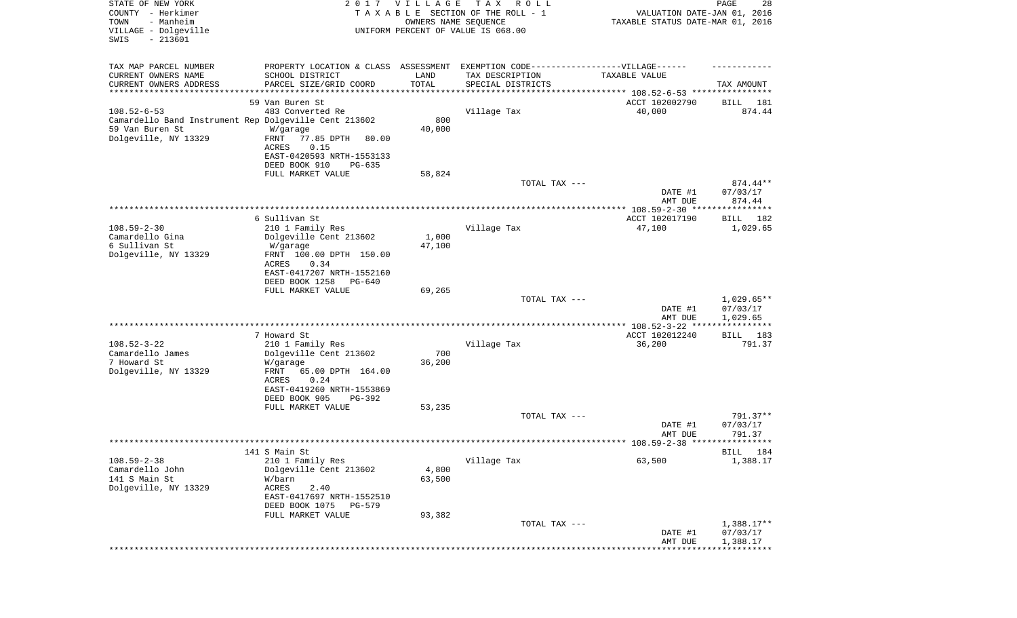| STATE OF NEW YORK<br>COUNTY - Herkimer<br>- Manheim<br>TOWN<br>VILLAGE - Dolgeville<br>SWIS<br>$-213601$ | 2017                                         | VILLAGE<br>OWNERS NAME SEQUENCE | T A X<br>R O L L<br>TAXABLE SECTION OF THE ROLL - 1<br>UNIFORM PERCENT OF VALUE IS 068.00 | VALUATION DATE-JAN 01, 2016<br>TAXABLE STATUS DATE-MAR 01, 2016 | PAGE<br>28           |
|----------------------------------------------------------------------------------------------------------|----------------------------------------------|---------------------------------|-------------------------------------------------------------------------------------------|-----------------------------------------------------------------|----------------------|
| TAX MAP PARCEL NUMBER                                                                                    | PROPERTY LOCATION & CLASS ASSESSMENT         |                                 | EXEMPTION CODE------------------VILLAGE------                                             |                                                                 |                      |
| CURRENT OWNERS NAME<br>CURRENT OWNERS ADDRESS                                                            | SCHOOL DISTRICT<br>PARCEL SIZE/GRID COORD    | LAND<br>TOTAL                   | TAX DESCRIPTION<br>SPECIAL DISTRICTS                                                      | TAXABLE VALUE                                                   | TAX AMOUNT           |
| **********************                                                                                   |                                              | * * * * * * * * * * * * * *     |                                                                                           |                                                                 |                      |
|                                                                                                          | 59 Van Buren St                              |                                 |                                                                                           | ACCT 102002790                                                  | 181<br>BILL          |
| $108.52 - 6 - 53$                                                                                        | 483 Converted Re                             |                                 | Village Tax                                                                               | 40,000                                                          | 874.44               |
| Camardello Band Instrument Rep Dolgeville Cent 213602                                                    |                                              | 800                             |                                                                                           |                                                                 |                      |
| 59 Van Buren St                                                                                          | W/garage                                     | 40,000                          |                                                                                           |                                                                 |                      |
| Dolgeville, NY 13329                                                                                     | FRNT<br>77.85 DPTH<br>80.00<br>ACRES<br>0.15 |                                 |                                                                                           |                                                                 |                      |
|                                                                                                          | EAST-0420593 NRTH-1553133                    |                                 |                                                                                           |                                                                 |                      |
|                                                                                                          | DEED BOOK 910<br>$PG-635$                    |                                 |                                                                                           |                                                                 |                      |
|                                                                                                          | FULL MARKET VALUE                            | 58,824                          |                                                                                           |                                                                 |                      |
|                                                                                                          |                                              |                                 | TOTAL TAX ---                                                                             |                                                                 | $874.44**$           |
|                                                                                                          |                                              |                                 |                                                                                           | DATE #1                                                         | 07/03/17             |
|                                                                                                          |                                              |                                 |                                                                                           | AMT DUE                                                         | 874.44               |
|                                                                                                          |                                              |                                 |                                                                                           |                                                                 |                      |
| $108.59 - 2 - 30$                                                                                        | 6 Sullivan St<br>210 1 Family Res            |                                 | Village Tax                                                                               | ACCT 102017190<br>47,100                                        | BILL 182<br>1,029.65 |
| Camardello Gina                                                                                          | Dolgeville Cent 213602                       | 1,000                           |                                                                                           |                                                                 |                      |
| 6 Sullivan St                                                                                            | W/garage                                     | 47,100                          |                                                                                           |                                                                 |                      |
| Dolgeville, NY 13329                                                                                     | FRNT 100.00 DPTH 150.00                      |                                 |                                                                                           |                                                                 |                      |
|                                                                                                          | ACRES<br>0.34                                |                                 |                                                                                           |                                                                 |                      |
|                                                                                                          | EAST-0417207 NRTH-1552160                    |                                 |                                                                                           |                                                                 |                      |
|                                                                                                          | DEED BOOK 1258<br>PG-640                     |                                 |                                                                                           |                                                                 |                      |
|                                                                                                          | FULL MARKET VALUE                            | 69,265                          | TOTAL TAX ---                                                                             |                                                                 | $1,029.65**$         |
|                                                                                                          |                                              |                                 |                                                                                           | DATE #1                                                         | 07/03/17             |
|                                                                                                          |                                              |                                 |                                                                                           | AMT DUE                                                         | 1,029.65             |
|                                                                                                          |                                              |                                 |                                                                                           |                                                                 | ***********          |
|                                                                                                          | 7 Howard St                                  |                                 |                                                                                           | ACCT 102012240                                                  | BILL 183             |
| $108.52 - 3 - 22$                                                                                        | 210 1 Family Res                             |                                 | Village Tax                                                                               | 36,200                                                          | 791.37               |
| Camardello James                                                                                         | Dolgeville Cent 213602                       | 700                             |                                                                                           |                                                                 |                      |
| 7 Howard St<br>Dolgeville, NY 13329                                                                      | W/garage<br>FRNT<br>65.00 DPTH 164.00        | 36,200                          |                                                                                           |                                                                 |                      |
|                                                                                                          | ACRES<br>0.24                                |                                 |                                                                                           |                                                                 |                      |
|                                                                                                          | EAST-0419260 NRTH-1553869                    |                                 |                                                                                           |                                                                 |                      |
|                                                                                                          | DEED BOOK 905<br>PG-392                      |                                 |                                                                                           |                                                                 |                      |
|                                                                                                          | FULL MARKET VALUE                            | 53,235                          |                                                                                           |                                                                 |                      |
|                                                                                                          |                                              |                                 | TOTAL TAX ---                                                                             |                                                                 | 791.37**             |
|                                                                                                          |                                              |                                 |                                                                                           | DATE #1                                                         | 07/03/17             |
|                                                                                                          |                                              |                                 |                                                                                           | AMT DUE                                                         | 791.37               |
|                                                                                                          | 141 S Main St                                |                                 |                                                                                           |                                                                 | BILL 184             |
| $108.59 - 2 - 38$                                                                                        | 210 1 Family Res                             |                                 | Village Tax                                                                               | 63,500                                                          | 1,388.17             |
| Camardello John                                                                                          | Dolgeville Cent 213602                       | 4,800                           |                                                                                           |                                                                 |                      |
| 141 S Main St                                                                                            | W/barn                                       | 63,500                          |                                                                                           |                                                                 |                      |
| Dolgeville, NY 13329                                                                                     | ACRES<br>2.40                                |                                 |                                                                                           |                                                                 |                      |
|                                                                                                          | EAST-0417697 NRTH-1552510                    |                                 |                                                                                           |                                                                 |                      |
|                                                                                                          | DEED BOOK 1075<br>PG-579                     |                                 |                                                                                           |                                                                 |                      |
|                                                                                                          | FULL MARKET VALUE                            | 93,382                          | TOTAL TAX ---                                                                             |                                                                 | $1,388.17**$         |
|                                                                                                          |                                              |                                 |                                                                                           | DATE #1                                                         | 07/03/17             |
|                                                                                                          |                                              |                                 |                                                                                           | AMT DUE                                                         | 1,388.17             |
|                                                                                                          |                                              |                                 |                                                                                           |                                                                 |                      |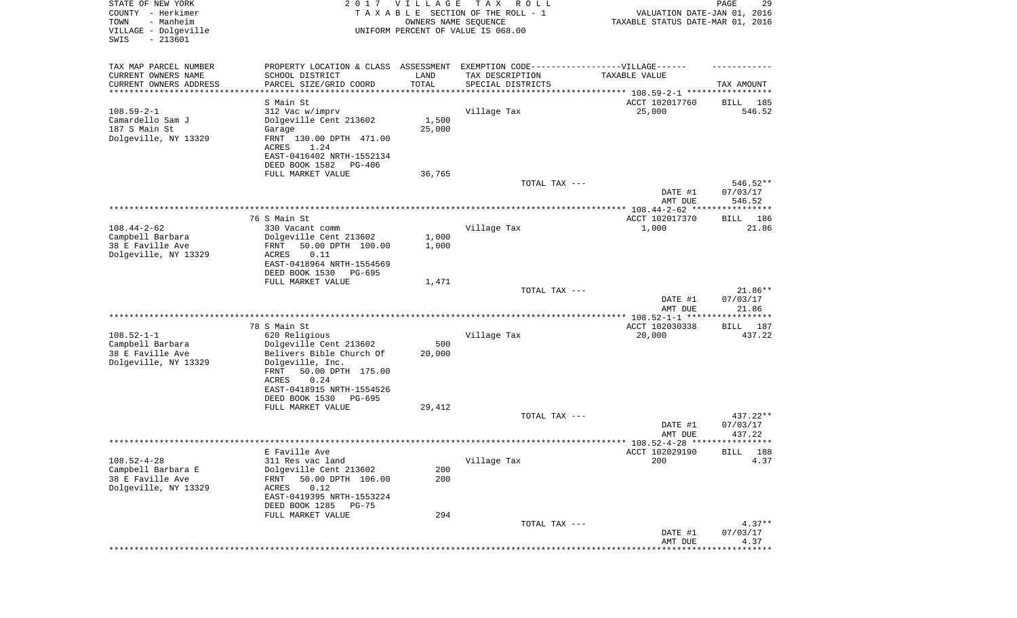| STATE OF NEW YORK<br>COUNTY - Herkimer<br>- Manheim<br>TOWN<br>VILLAGE - Dolgeville<br>$-213601$<br>SWIS |                                                                                  | 2017 VILLAGE<br>OWNERS NAME SEQUENCE | T A X<br>R O L L<br>TAXABLE SECTION OF THE ROLL - 1<br>UNIFORM PERCENT OF VALUE IS 068.00 | VALUATION DATE-JAN 01, 2016<br>TAXABLE STATUS DATE-MAR 01, 2016 | PAGE<br>29                   |
|----------------------------------------------------------------------------------------------------------|----------------------------------------------------------------------------------|--------------------------------------|-------------------------------------------------------------------------------------------|-----------------------------------------------------------------|------------------------------|
| TAX MAP PARCEL NUMBER                                                                                    | PROPERTY LOCATION & CLASS ASSESSMENT EXEMPTION CODE----------------VILLAGE------ |                                      |                                                                                           |                                                                 |                              |
| CURRENT OWNERS NAME<br>CURRENT OWNERS ADDRESS                                                            | SCHOOL DISTRICT<br>PARCEL SIZE/GRID COORD                                        | LAND<br>TOTAL                        | TAX DESCRIPTION<br>SPECIAL DISTRICTS                                                      | TAXABLE VALUE                                                   | TAX AMOUNT                   |
| **********************                                                                                   | ******************                                                               | * * * * * * * * * * *                |                                                                                           |                                                                 |                              |
|                                                                                                          | S Main St                                                                        |                                      |                                                                                           | ACCT 102017760                                                  | BILL<br>185                  |
| $108.59 - 2 - 1$                                                                                         | 312 Vac w/imprv                                                                  |                                      | Village Tax                                                                               | 25,000                                                          | 546.52                       |
| Camardello Sam J                                                                                         | Dolgeville Cent 213602                                                           | 1,500                                |                                                                                           |                                                                 |                              |
| 187 S Main St<br>Dolgeville, NY 13329                                                                    | Garage<br>FRNT 130.00 DPTH 471.00                                                | 25,000                               |                                                                                           |                                                                 |                              |
|                                                                                                          | ACRES<br>1.24                                                                    |                                      |                                                                                           |                                                                 |                              |
|                                                                                                          | EAST-0416402 NRTH-1552134                                                        |                                      |                                                                                           |                                                                 |                              |
|                                                                                                          | DEED BOOK 1582<br>PG-406                                                         |                                      |                                                                                           |                                                                 |                              |
|                                                                                                          | FULL MARKET VALUE                                                                | 36,765                               |                                                                                           |                                                                 |                              |
|                                                                                                          |                                                                                  |                                      | TOTAL TAX ---                                                                             |                                                                 | 546.52**                     |
|                                                                                                          |                                                                                  |                                      |                                                                                           | DATE #1                                                         | 07/03/17                     |
|                                                                                                          |                                                                                  |                                      |                                                                                           | AMT DUE                                                         | 546.52                       |
|                                                                                                          | 76 S Main St                                                                     |                                      |                                                                                           | ACCT 102017370                                                  | 186<br>BILL                  |
| $108.44 - 2 - 62$                                                                                        | 330 Vacant comm                                                                  |                                      | Village Tax                                                                               | 1,000                                                           | 21.86                        |
| Campbell Barbara                                                                                         | Dolgeville Cent 213602                                                           | 1,000                                |                                                                                           |                                                                 |                              |
| 38 E Faville Ave                                                                                         | 50.00 DPTH 100.00<br>FRNT                                                        | 1,000                                |                                                                                           |                                                                 |                              |
| Dolgeville, NY 13329                                                                                     | ACRES<br>0.11                                                                    |                                      |                                                                                           |                                                                 |                              |
|                                                                                                          | EAST-0418964 NRTH-1554569                                                        |                                      |                                                                                           |                                                                 |                              |
|                                                                                                          | DEED BOOK 1530<br>PG-695<br>FULL MARKET VALUE                                    | 1,471                                |                                                                                           |                                                                 |                              |
|                                                                                                          |                                                                                  |                                      | TOTAL TAX ---                                                                             |                                                                 | $21.86**$                    |
|                                                                                                          |                                                                                  |                                      |                                                                                           | DATE #1                                                         | 07/03/17                     |
|                                                                                                          |                                                                                  |                                      |                                                                                           | AMT DUE                                                         | 21.86                        |
|                                                                                                          |                                                                                  |                                      | ***********************************                                                       | ************ 108.52-1-1 *********                               | * * * * * * * *              |
| $108.52 - 1 - 1$                                                                                         | 78 S Main St<br>620 Religious                                                    |                                      | Village Tax                                                                               | ACCT 102030338                                                  | <b>BILL</b><br>187<br>437.22 |
| Campbell Barbara                                                                                         | Dolgeville Cent 213602                                                           | 500                                  |                                                                                           | 20,000                                                          |                              |
| 38 E Faville Ave                                                                                         | Belivers Bible Church Of                                                         | 20,000                               |                                                                                           |                                                                 |                              |
| Dolgeville, NY 13329                                                                                     | Dolgeville, Inc.                                                                 |                                      |                                                                                           |                                                                 |                              |
|                                                                                                          | 50.00 DPTH 175.00<br>FRNT                                                        |                                      |                                                                                           |                                                                 |                              |
|                                                                                                          | ACRES<br>0.24                                                                    |                                      |                                                                                           |                                                                 |                              |
|                                                                                                          | EAST-0418915 NRTH-1554526                                                        |                                      |                                                                                           |                                                                 |                              |
|                                                                                                          | DEED BOOK 1530<br>PG-695<br>FULL MARKET VALUE                                    | 29,412                               |                                                                                           |                                                                 |                              |
|                                                                                                          |                                                                                  |                                      | TOTAL TAX ---                                                                             |                                                                 | 437.22**                     |
|                                                                                                          |                                                                                  |                                      |                                                                                           | DATE #1                                                         | 07/03/17                     |
|                                                                                                          |                                                                                  |                                      |                                                                                           | AMT DUE                                                         | 437.22                       |
|                                                                                                          |                                                                                  |                                      |                                                                                           |                                                                 |                              |
|                                                                                                          | E Faville Ave                                                                    |                                      |                                                                                           | ACCT 102029190                                                  | BILL 188                     |
| $108.52 - 4 - 28$<br>Campbell Barbara E                                                                  | 311 Res vac land<br>Dolgeville Cent 213602                                       | 200                                  | Village Tax                                                                               | 200                                                             | 4.37                         |
| 38 E Faville Ave                                                                                         | 50.00 DPTH 106.00<br>FRNT                                                        | 200                                  |                                                                                           |                                                                 |                              |
| Dolgeville, NY 13329                                                                                     | ACRES<br>0.12                                                                    |                                      |                                                                                           |                                                                 |                              |
|                                                                                                          | EAST-0419395 NRTH-1553224                                                        |                                      |                                                                                           |                                                                 |                              |
|                                                                                                          | DEED BOOK 1285<br>$PG-75$                                                        |                                      |                                                                                           |                                                                 |                              |
|                                                                                                          | FULL MARKET VALUE                                                                | 294                                  |                                                                                           |                                                                 |                              |
|                                                                                                          |                                                                                  |                                      | TOTAL TAX ---                                                                             |                                                                 | $4.37**$                     |
|                                                                                                          |                                                                                  |                                      |                                                                                           | DATE #1<br>AMT DUE                                              | 07/03/17<br>4.37             |
|                                                                                                          |                                                                                  |                                      |                                                                                           |                                                                 | * * * * * * *                |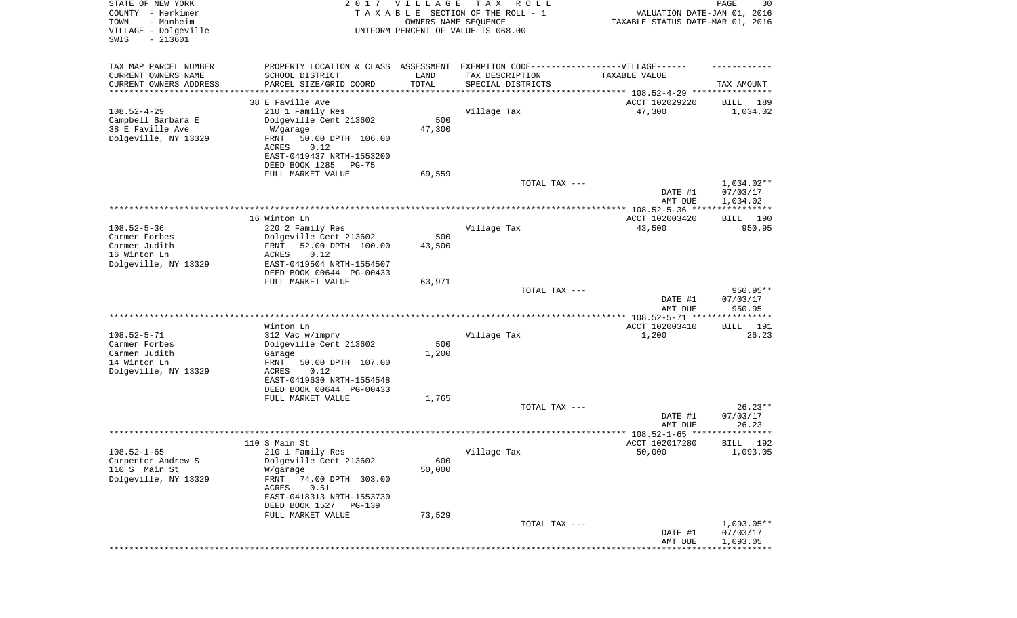| STATE OF NEW YORK<br>COUNTY - Herkimer<br>- Manheim<br>TOWN<br>VILLAGE - Dolgeville<br>$-213601$<br>SWIS |                                                                                   | 2017 VILLAGE<br>OWNERS NAME SEQUENCE | T A X<br>R O L L<br>TAXABLE SECTION OF THE ROLL - 1<br>UNIFORM PERCENT OF VALUE IS 068.00 | VALUATION DATE-JAN 01, 2016<br>TAXABLE STATUS DATE-MAR 01, 2016 | PAGE<br>30               |
|----------------------------------------------------------------------------------------------------------|-----------------------------------------------------------------------------------|--------------------------------------|-------------------------------------------------------------------------------------------|-----------------------------------------------------------------|--------------------------|
| TAX MAP PARCEL NUMBER                                                                                    | PROPERTY LOCATION & CLASS ASSESSMENT EXEMPTION CODE-----------------VILLAGE------ |                                      |                                                                                           |                                                                 |                          |
| CURRENT OWNERS NAME<br>CURRENT OWNERS ADDRESS                                                            | SCHOOL DISTRICT<br>PARCEL SIZE/GRID COORD                                         | LAND<br>TOTAL                        | TAX DESCRIPTION                                                                           | TAXABLE VALUE                                                   |                          |
| *********************                                                                                    |                                                                                   | * * * * * * * * * * *                | SPECIAL DISTRICTS<br>********************************* 108.52-4-29 ****************       |                                                                 | TAX AMOUNT               |
|                                                                                                          | 38 E Faville Ave                                                                  |                                      |                                                                                           | ACCT 102029220                                                  | 189<br>BILL              |
| $108.52 - 4 - 29$                                                                                        | 210 1 Family Res                                                                  |                                      | Village Tax                                                                               | 47,300                                                          | 1,034.02                 |
| Campbell Barbara E<br>38 E Faville Ave                                                                   | Dolgeville Cent 213602                                                            | 500<br>47,300                        |                                                                                           |                                                                 |                          |
| Dolgeville, NY 13329                                                                                     | W/garage<br>FRNT<br>50.00 DPTH 106.00                                             |                                      |                                                                                           |                                                                 |                          |
|                                                                                                          | 0.12<br>ACRES                                                                     |                                      |                                                                                           |                                                                 |                          |
|                                                                                                          | EAST-0419437 NRTH-1553200                                                         |                                      |                                                                                           |                                                                 |                          |
|                                                                                                          | DEED BOOK 1285<br>PG-75<br>FULL MARKET VALUE                                      | 69,559                               |                                                                                           |                                                                 |                          |
|                                                                                                          |                                                                                   |                                      | TOTAL TAX ---                                                                             |                                                                 | 1,034.02**               |
|                                                                                                          |                                                                                   |                                      |                                                                                           | DATE #1                                                         | 07/03/17                 |
|                                                                                                          |                                                                                   |                                      |                                                                                           | AMT DUE                                                         | 1,034.02                 |
|                                                                                                          | 16 Winton Ln                                                                      |                                      |                                                                                           | ACCT 102003420                                                  | BILL 190                 |
| $108.52 - 5 - 36$                                                                                        | 220 2 Family Res                                                                  |                                      | Village Tax                                                                               | 43,500                                                          | 950.95                   |
| Carmen Forbes                                                                                            | Dolgeville Cent 213602                                                            | 500                                  |                                                                                           |                                                                 |                          |
| Carmen Judith<br>16 Winton Ln                                                                            | FRNT<br>52.00 DPTH 100.00<br>ACRES<br>0.12                                        | 43,500                               |                                                                                           |                                                                 |                          |
| Dolgeville, NY 13329                                                                                     | EAST-0419504 NRTH-1554507                                                         |                                      |                                                                                           |                                                                 |                          |
|                                                                                                          | DEED BOOK 00644 PG-00433                                                          |                                      |                                                                                           |                                                                 |                          |
|                                                                                                          | FULL MARKET VALUE                                                                 | 63,971                               | TOTAL TAX ---                                                                             |                                                                 | 950.95**                 |
|                                                                                                          |                                                                                   |                                      |                                                                                           | DATE #1                                                         | 07/03/17                 |
|                                                                                                          |                                                                                   |                                      |                                                                                           | AMT DUE                                                         | 950.95                   |
|                                                                                                          |                                                                                   |                                      |                                                                                           | ************ 108.52-5-71 *****************                      |                          |
| $108.52 - 5 - 71$                                                                                        | Winton Ln<br>312 Vac w/imprv                                                      |                                      | Village Tax                                                                               | ACCT 102003410<br>1,200                                         | 191<br>BILL<br>26.23     |
| Carmen Forbes                                                                                            | Dolgeville Cent 213602                                                            | 500                                  |                                                                                           |                                                                 |                          |
| Carmen Judith                                                                                            | Garage                                                                            | 1,200                                |                                                                                           |                                                                 |                          |
| 14 Winton Ln<br>Dolgeville, NY 13329                                                                     | FRNT<br>50.00 DPTH 107.00<br>ACRES<br>0.12                                        |                                      |                                                                                           |                                                                 |                          |
|                                                                                                          | EAST-0419630 NRTH-1554548                                                         |                                      |                                                                                           |                                                                 |                          |
|                                                                                                          | DEED BOOK 00644 PG-00433                                                          |                                      |                                                                                           |                                                                 |                          |
|                                                                                                          | FULL MARKET VALUE                                                                 | 1,765                                | TOTAL TAX ---                                                                             |                                                                 | $26.23**$                |
|                                                                                                          |                                                                                   |                                      |                                                                                           | DATE #1                                                         | 07/03/17                 |
|                                                                                                          |                                                                                   |                                      |                                                                                           | AMT DUE                                                         | 26.23                    |
|                                                                                                          |                                                                                   |                                      |                                                                                           | ****************** 108.52-1-65 ****************                 |                          |
| $108.52 - 1 - 65$                                                                                        | 110 S Main St<br>210 1 Family Res                                                 |                                      | Village Tax                                                                               | ACCT 102017280<br>50,000                                        | BILL 192<br>1,093.05     |
| Carpenter Andrew S                                                                                       | Dolgeville Cent 213602                                                            | 600                                  |                                                                                           |                                                                 |                          |
| 110 S Main St                                                                                            | W/garage                                                                          | 50,000                               |                                                                                           |                                                                 |                          |
| Dolgeville, NY 13329                                                                                     | FRNT<br>74.00 DPTH 303.00                                                         |                                      |                                                                                           |                                                                 |                          |
|                                                                                                          | ACRES<br>0.51<br>EAST-0418313 NRTH-1553730                                        |                                      |                                                                                           |                                                                 |                          |
|                                                                                                          | DEED BOOK 1527<br>PG-139                                                          |                                      |                                                                                           |                                                                 |                          |
|                                                                                                          | FULL MARKET VALUE                                                                 | 73,529                               |                                                                                           |                                                                 |                          |
|                                                                                                          |                                                                                   |                                      | TOTAL TAX ---                                                                             | DATE #1                                                         | $1,093.05**$<br>07/03/17 |
|                                                                                                          |                                                                                   |                                      |                                                                                           | AMT DUE                                                         | 1,093.05                 |
|                                                                                                          |                                                                                   |                                      |                                                                                           |                                                                 |                          |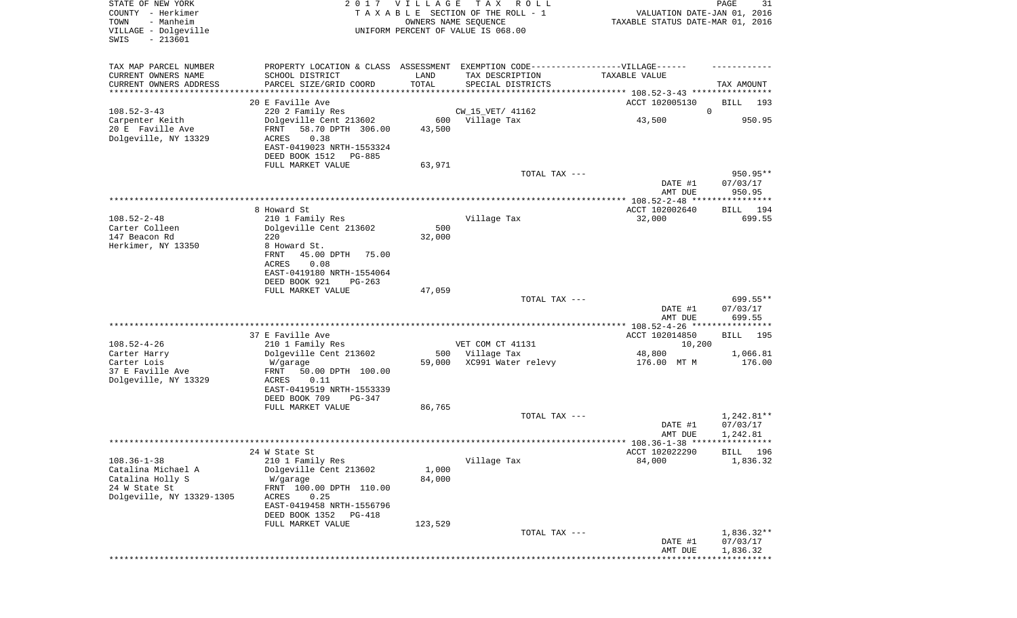| STATE OF NEW YORK<br>COUNTY - Herkimer<br>- Manheim<br>TOWN<br>VILLAGE - Dolgeville<br>$-213601$<br>SWIS |                                                        | 2017 VILLAGE<br>OWNERS NAME SEQUENCE | T A X<br>R O L L<br>TAXABLE SECTION OF THE ROLL - 1<br>UNIFORM PERCENT OF VALUE IS 068.00 | VALUATION DATE-JAN 01, 2016<br>TAXABLE STATUS DATE-MAR 01, 2016 | PAGE<br>31                  |
|----------------------------------------------------------------------------------------------------------|--------------------------------------------------------|--------------------------------------|-------------------------------------------------------------------------------------------|-----------------------------------------------------------------|-----------------------------|
| TAX MAP PARCEL NUMBER                                                                                    |                                                        |                                      | PROPERTY LOCATION & CLASS ASSESSMENT EXEMPTION CODE-----------------VILLAGE------         |                                                                 |                             |
| CURRENT OWNERS NAME                                                                                      | SCHOOL DISTRICT                                        | LAND                                 | TAX DESCRIPTION                                                                           | TAXABLE VALUE                                                   |                             |
| CURRENT OWNERS ADDRESS<br>*********************                                                          | PARCEL SIZE/GRID COORD                                 | TOTAL                                | SPECIAL DISTRICTS                                                                         |                                                                 | TAX AMOUNT                  |
|                                                                                                          | 20 E Faville Ave                                       |                                      |                                                                                           | ACCT 102005130                                                  | BILL<br>193                 |
| $108.52 - 3 - 43$                                                                                        | 220 2 Family Res                                       |                                      | CW_15_VET/ 41162                                                                          | $\mathbf 0$                                                     |                             |
| Carpenter Keith                                                                                          | Dolgeville Cent 213602                                 |                                      | 600 Village Tax                                                                           | 43,500                                                          | 950.95                      |
| 20 E Faville Ave                                                                                         | 58.70 DPTH 306.00<br>FRNT                              | 43,500                               |                                                                                           |                                                                 |                             |
| Dolgeville, NY 13329                                                                                     | 0.38<br>ACRES<br>EAST-0419023 NRTH-1553324             |                                      |                                                                                           |                                                                 |                             |
|                                                                                                          | DEED BOOK 1512<br>PG-885                               |                                      |                                                                                           |                                                                 |                             |
|                                                                                                          | FULL MARKET VALUE                                      | 63,971                               |                                                                                           |                                                                 |                             |
|                                                                                                          |                                                        |                                      | TOTAL TAX ---                                                                             |                                                                 | 950.95**                    |
|                                                                                                          |                                                        |                                      |                                                                                           | DATE #1<br>AMT DUE                                              | 07/03/17<br>950.95          |
|                                                                                                          |                                                        |                                      |                                                                                           |                                                                 |                             |
|                                                                                                          | 8 Howard St                                            |                                      |                                                                                           | ACCT 102002640                                                  | 194<br>BILL                 |
| $108.52 - 2 - 48$                                                                                        | 210 1 Family Res                                       |                                      | Village Tax                                                                               | 32,000                                                          | 699.55                      |
| Carter Colleen<br>147 Beacon Rd                                                                          | Dolgeville Cent 213602<br>220                          | 500<br>32,000                        |                                                                                           |                                                                 |                             |
| Herkimer, NY 13350                                                                                       | 8 Howard St.                                           |                                      |                                                                                           |                                                                 |                             |
|                                                                                                          | FRNT<br>45.00 DPTH<br>75.00                            |                                      |                                                                                           |                                                                 |                             |
|                                                                                                          | ACRES<br>0.08                                          |                                      |                                                                                           |                                                                 |                             |
|                                                                                                          | EAST-0419180 NRTH-1554064<br>DEED BOOK 921<br>$PG-263$ |                                      |                                                                                           |                                                                 |                             |
|                                                                                                          | FULL MARKET VALUE                                      | 47,059                               |                                                                                           |                                                                 |                             |
|                                                                                                          |                                                        |                                      | TOTAL TAX ---                                                                             |                                                                 | 699.55**                    |
|                                                                                                          |                                                        |                                      |                                                                                           | DATE #1                                                         | 07/03/17                    |
|                                                                                                          |                                                        |                                      |                                                                                           | AMT DUE                                                         | 699.55                      |
|                                                                                                          | 37 E Faville Ave                                       |                                      |                                                                                           | ACCT 102014850                                                  | 195<br>BILL                 |
| $108.52 - 4 - 26$                                                                                        | 210 1 Family Res                                       |                                      | VET COM CT 41131                                                                          | 10,200                                                          |                             |
| Carter Harry                                                                                             | Dolgeville Cent 213602                                 | 500                                  | Village Tax                                                                               | 48,800                                                          | 1,066.81                    |
| Carter Lois<br>37 E Faville Ave                                                                          | W/garage<br>FRNT<br>50.00 DPTH 100.00                  | 59,000                               | XC991 Water relevy                                                                        | 176.00 MT M                                                     | 176.00                      |
| Dolgeville, NY 13329                                                                                     | ACRES<br>0.11                                          |                                      |                                                                                           |                                                                 |                             |
|                                                                                                          | EAST-0419519 NRTH-1553339                              |                                      |                                                                                           |                                                                 |                             |
|                                                                                                          | DEED BOOK 709<br>PG-347                                |                                      |                                                                                           |                                                                 |                             |
|                                                                                                          | FULL MARKET VALUE                                      | 86,765                               | TOTAL TAX ---                                                                             |                                                                 | $1,242.81**$                |
|                                                                                                          |                                                        |                                      |                                                                                           | DATE #1                                                         | 07/03/17                    |
|                                                                                                          |                                                        |                                      |                                                                                           | AMT DUE                                                         | 1,242.81                    |
|                                                                                                          |                                                        |                                      |                                                                                           |                                                                 |                             |
| $108.36 - 1 - 38$                                                                                        | 24 W State St<br>210 1 Family Res                      |                                      | Village Tax                                                                               | ACCT 102022290<br>84,000                                        | <b>BTLL</b> 196<br>1,836.32 |
| Catalina Michael A                                                                                       | Dolgeville Cent 213602                                 | 1,000                                |                                                                                           |                                                                 |                             |
| Catalina Holly S                                                                                         | W/garage                                               | 84,000                               |                                                                                           |                                                                 |                             |
| 24 W State St                                                                                            | FRNT 100.00 DPTH 110.00                                |                                      |                                                                                           |                                                                 |                             |
| Dolgeville, NY 13329-1305                                                                                | ACRES<br>0.25<br>EAST-0419458 NRTH-1556796             |                                      |                                                                                           |                                                                 |                             |
|                                                                                                          | DEED BOOK 1352<br><b>PG-418</b>                        |                                      |                                                                                           |                                                                 |                             |
|                                                                                                          | FULL MARKET VALUE                                      | 123,529                              |                                                                                           |                                                                 |                             |
|                                                                                                          |                                                        |                                      | TOTAL TAX ---                                                                             |                                                                 | 1,836.32**                  |
|                                                                                                          |                                                        |                                      |                                                                                           | DATE #1<br>AMT DUE                                              | 07/03/17<br>1,836.32        |
|                                                                                                          |                                                        |                                      |                                                                                           |                                                                 | * * * * * * *               |
|                                                                                                          |                                                        |                                      |                                                                                           |                                                                 |                             |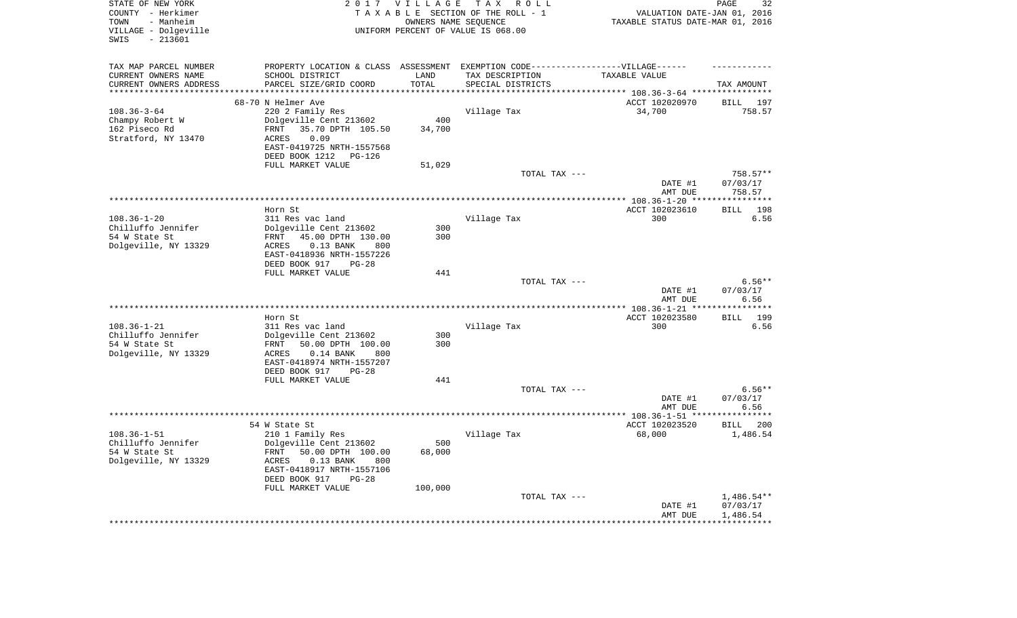| STATE OF NEW YORK<br>COUNTY - Herkimer<br>TOWN<br>- Manheim<br>VILLAGE - Dolgeville<br>$-213601$<br>SWIS | 2 0 1 7                                                                           | VILLAGE              | T A X<br>R O L L<br>TAXABLE SECTION OF THE ROLL - 1<br>OWNERS NAME SEQUENCE<br>UNIFORM PERCENT OF VALUE IS 068.00 | VALUATION DATE-JAN 01, 2016<br>TAXABLE STATUS DATE-MAR 01, 2016             | 32<br>PAGE            |
|----------------------------------------------------------------------------------------------------------|-----------------------------------------------------------------------------------|----------------------|-------------------------------------------------------------------------------------------------------------------|-----------------------------------------------------------------------------|-----------------------|
|                                                                                                          |                                                                                   |                      |                                                                                                                   |                                                                             |                       |
| TAX MAP PARCEL NUMBER                                                                                    | PROPERTY LOCATION & CLASS ASSESSMENT EXEMPTION CODE-----------------VILLAGE------ |                      |                                                                                                                   |                                                                             |                       |
| CURRENT OWNERS NAME                                                                                      | SCHOOL DISTRICT                                                                   | LAND                 | TAX DESCRIPTION                                                                                                   | TAXABLE VALUE                                                               |                       |
| CURRENT OWNERS ADDRESS<br>*********************                                                          | PARCEL SIZE/GRID COORD                                                            | TOTAL<br>*********** | SPECIAL DISTRICTS                                                                                                 |                                                                             | TAX AMOUNT            |
|                                                                                                          |                                                                                   |                      |                                                                                                                   | **************************** 108.36-3-64 ****************<br>ACCT 102020970 |                       |
| $108.36 - 3 - 64$                                                                                        | 68-70 N Helmer Ave<br>220 2 Family Res                                            |                      | Village Tax                                                                                                       | 34,700                                                                      | BILL<br>197<br>758.57 |
| Champy Robert W                                                                                          | Dolgeville Cent 213602                                                            | 400                  |                                                                                                                   |                                                                             |                       |
| 162 Piseco Rd                                                                                            | 35.70 DPTH 105.50<br>FRNT                                                         | 34,700               |                                                                                                                   |                                                                             |                       |
| Stratford, NY 13470                                                                                      | 0.09<br>ACRES                                                                     |                      |                                                                                                                   |                                                                             |                       |
|                                                                                                          | EAST-0419725 NRTH-1557568                                                         |                      |                                                                                                                   |                                                                             |                       |
|                                                                                                          | DEED BOOK 1212<br>PG-126                                                          |                      |                                                                                                                   |                                                                             |                       |
|                                                                                                          | FULL MARKET VALUE                                                                 | 51,029               |                                                                                                                   |                                                                             |                       |
|                                                                                                          |                                                                                   |                      | TOTAL TAX ---                                                                                                     |                                                                             | 758.57**              |
|                                                                                                          |                                                                                   |                      |                                                                                                                   | DATE #1<br>AMT DUE                                                          | 07/03/17<br>758.57    |
|                                                                                                          |                                                                                   |                      |                                                                                                                   | *************** 108.36-1-20 ***                                             | ***********           |
|                                                                                                          | Horn St                                                                           |                      |                                                                                                                   | ACCT 102023610                                                              | 198<br><b>BILL</b>    |
| $108.36 - 1 - 20$                                                                                        | 311 Res vac land                                                                  |                      | Village Tax                                                                                                       | 300                                                                         | 6.56                  |
| Chilluffo Jennifer                                                                                       | Dolgeville Cent 213602                                                            | 300                  |                                                                                                                   |                                                                             |                       |
| 54 W State St                                                                                            | 45.00 DPTH 130.00<br>FRNT                                                         | 300                  |                                                                                                                   |                                                                             |                       |
| Dolgeville, NY 13329                                                                                     | <b>ACRES</b><br>$0.13$ BANK<br>800                                                |                      |                                                                                                                   |                                                                             |                       |
|                                                                                                          | EAST-0418936 NRTH-1557226<br>DEED BOOK 917<br>$PG-28$                             |                      |                                                                                                                   |                                                                             |                       |
|                                                                                                          | FULL MARKET VALUE                                                                 | 441                  |                                                                                                                   |                                                                             |                       |
|                                                                                                          |                                                                                   |                      | TOTAL TAX ---                                                                                                     |                                                                             | $6.56**$              |
|                                                                                                          |                                                                                   |                      |                                                                                                                   | DATE #1                                                                     | 07/03/17              |
|                                                                                                          |                                                                                   |                      |                                                                                                                   | AMT DUE                                                                     | 6.56                  |
|                                                                                                          |                                                                                   |                      | *******************                                                                                               | ******* 108.36-1-21 **                                                      |                       |
|                                                                                                          | Horn St                                                                           |                      |                                                                                                                   | ACCT 102023580                                                              | 199<br>BILL           |
| $108.36 - 1 - 21$<br>Chilluffo Jennifer                                                                  | 311 Res vac land                                                                  | 300                  | Village Tax                                                                                                       | 300                                                                         | 6.56                  |
| 54 W State St                                                                                            | Dolgeville Cent 213602<br>FRNT<br>50.00 DPTH 100.00                               | 300                  |                                                                                                                   |                                                                             |                       |
| Dolgeville, NY 13329                                                                                     | ACRES<br>$0.14$ BANK<br>800                                                       |                      |                                                                                                                   |                                                                             |                       |
|                                                                                                          | EAST-0418974 NRTH-1557207                                                         |                      |                                                                                                                   |                                                                             |                       |
|                                                                                                          | DEED BOOK 917<br>$PG-28$                                                          |                      |                                                                                                                   |                                                                             |                       |
|                                                                                                          | FULL MARKET VALUE                                                                 | 441                  |                                                                                                                   |                                                                             |                       |
|                                                                                                          |                                                                                   |                      | TOTAL TAX ---                                                                                                     |                                                                             | $6.56**$              |
|                                                                                                          |                                                                                   |                      |                                                                                                                   | DATE #1                                                                     | 07/03/17              |
|                                                                                                          |                                                                                   |                      |                                                                                                                   | AMT DUE                                                                     | 6.56                  |
|                                                                                                          | 54 W State St                                                                     |                      |                                                                                                                   | ACCT 102023520                                                              | <b>BILL</b><br>-200   |
| $108.36 - 1 - 51$                                                                                        | 210 1 Family Res                                                                  |                      | Village Tax                                                                                                       | 68,000                                                                      | 1,486.54              |
| Chilluffo Jennifer                                                                                       | Dolgeville Cent 213602                                                            | 500                  |                                                                                                                   |                                                                             |                       |
| 54 W State St                                                                                            | FRNT<br>50.00 DPTH 100.00                                                         | 68,000               |                                                                                                                   |                                                                             |                       |
| Dolgeville, NY 13329                                                                                     | ACRES<br>$0.13$ BANK<br>800                                                       |                      |                                                                                                                   |                                                                             |                       |
|                                                                                                          | EAST-0418917 NRTH-1557106                                                         |                      |                                                                                                                   |                                                                             |                       |
|                                                                                                          | DEED BOOK 917<br>$PG-28$<br>FULL MARKET VALUE                                     | 100,000              |                                                                                                                   |                                                                             |                       |
|                                                                                                          |                                                                                   |                      | TOTAL TAX ---                                                                                                     |                                                                             | 1,486.54**            |
|                                                                                                          |                                                                                   |                      |                                                                                                                   | DATE #1                                                                     | 07/03/17              |
|                                                                                                          |                                                                                   |                      |                                                                                                                   | AMT DUE                                                                     | 1,486.54              |
|                                                                                                          |                                                                                   |                      |                                                                                                                   |                                                                             |                       |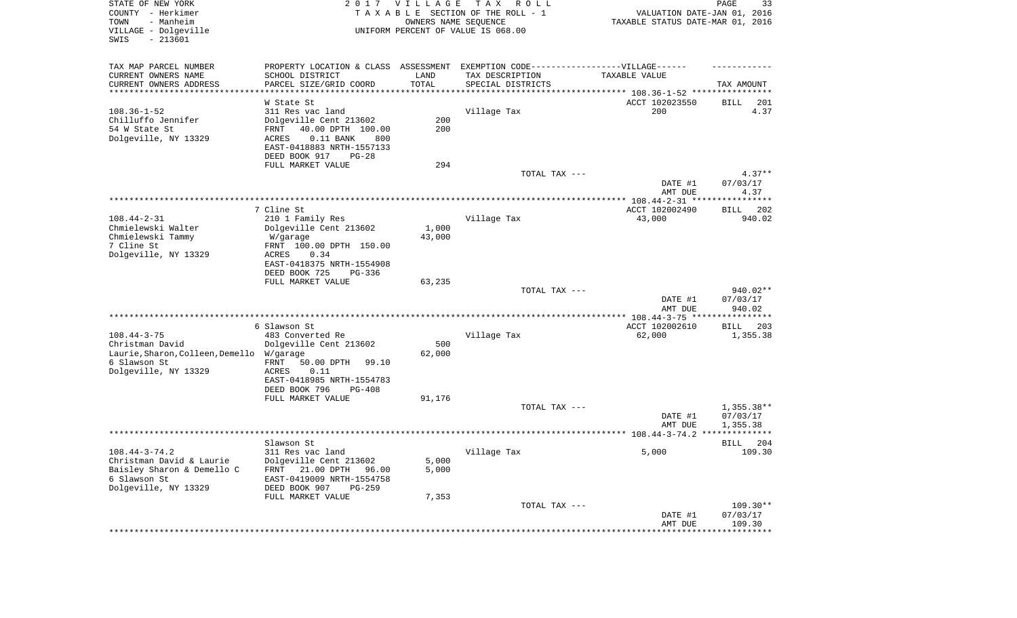| STATE OF NEW YORK<br>COUNTY - Herkimer<br>TOWN<br>- Manheim<br>VILLAGE - Dolgeville<br>SWIS<br>$-213601$ | 2017                                                                             | <b>VILLAGE</b><br>OWNERS NAME SEQUENCE | T A X<br>R O L L<br>TAXABLE SECTION OF THE ROLL - 1<br>UNIFORM PERCENT OF VALUE IS 068.00 | VALUATION DATE-JAN 01, 2016<br>TAXABLE STATUS DATE-MAR 01, 2016     | PAGE<br>33              |
|----------------------------------------------------------------------------------------------------------|----------------------------------------------------------------------------------|----------------------------------------|-------------------------------------------------------------------------------------------|---------------------------------------------------------------------|-------------------------|
| TAX MAP PARCEL NUMBER                                                                                    | PROPERTY LOCATION & CLASS ASSESSMENT EXEMPTION CODE----------------VILLAGE------ |                                        |                                                                                           |                                                                     |                         |
| CURRENT OWNERS NAME                                                                                      | SCHOOL DISTRICT                                                                  | LAND                                   | TAX DESCRIPTION                                                                           | TAXABLE VALUE                                                       |                         |
| CURRENT OWNERS ADDRESS<br>**********************                                                         | PARCEL SIZE/GRID COORD                                                           | TOTAL<br>**********                    | SPECIAL DISTRICTS                                                                         | ************************************* 108.36-1-52 ***************** | TAX AMOUNT              |
|                                                                                                          | W State St                                                                       |                                        |                                                                                           | ACCT 102023550                                                      | 201<br>BILL             |
| $108.36 - 1 - 52$                                                                                        | 311 Res vac land                                                                 |                                        | Village Tax                                                                               | 200                                                                 | 4.37                    |
| Chilluffo Jennifer                                                                                       | Dolgeville Cent 213602                                                           | 200                                    |                                                                                           |                                                                     |                         |
| 54 W State St                                                                                            | 40.00 DPTH 100.00<br>FRNT                                                        | 200                                    |                                                                                           |                                                                     |                         |
| Dolgeville, NY 13329                                                                                     | ACRES<br>$0.11$ BANK<br>800                                                      |                                        |                                                                                           |                                                                     |                         |
|                                                                                                          | EAST-0418883 NRTH-1557133<br>DEED BOOK 917<br>$PG-28$                            |                                        |                                                                                           |                                                                     |                         |
|                                                                                                          | FULL MARKET VALUE                                                                | 294                                    |                                                                                           |                                                                     |                         |
|                                                                                                          |                                                                                  |                                        | TOTAL TAX ---                                                                             |                                                                     | $4.37**$                |
|                                                                                                          |                                                                                  |                                        |                                                                                           | DATE #1                                                             | 07/03/17                |
|                                                                                                          |                                                                                  |                                        |                                                                                           | AMT DUE                                                             | 4.37                    |
|                                                                                                          | 7 Cline St                                                                       |                                        |                                                                                           | ACCT 102002490                                                      | 202<br>BILL             |
| $108.44 - 2 - 31$                                                                                        | 210 1 Family Res                                                                 |                                        | Village Tax                                                                               | 43,000                                                              | 940.02                  |
| Chmielewski Walter                                                                                       | Dolgeville Cent 213602                                                           | 1,000                                  |                                                                                           |                                                                     |                         |
| Chmielewski Tammy                                                                                        | W/garage                                                                         | 43,000                                 |                                                                                           |                                                                     |                         |
| 7 Cline St                                                                                               | FRNT 100.00 DPTH 150.00                                                          |                                        |                                                                                           |                                                                     |                         |
| Dolgeville, NY 13329                                                                                     | ACRES<br>0.34<br>EAST-0418375 NRTH-1554908                                       |                                        |                                                                                           |                                                                     |                         |
|                                                                                                          | DEED BOOK 725<br>$PG-336$                                                        |                                        |                                                                                           |                                                                     |                         |
|                                                                                                          | FULL MARKET VALUE                                                                | 63,235                                 |                                                                                           |                                                                     |                         |
|                                                                                                          |                                                                                  |                                        | TOTAL TAX ---                                                                             |                                                                     | 940.02**                |
|                                                                                                          |                                                                                  |                                        |                                                                                           | DATE #1                                                             | 07/03/17                |
|                                                                                                          |                                                                                  |                                        |                                                                                           | AMT DUE<br>************ 108.44-3-75 *****************               | 940.02                  |
|                                                                                                          | 6 Slawson St                                                                     |                                        |                                                                                           | ACCT 102002610                                                      | 203<br>BILL             |
| $108.44 - 3 - 75$                                                                                        | 483 Converted Re                                                                 |                                        | Village Tax                                                                               | 62,000                                                              | 1,355.38                |
| Christman David                                                                                          | Dolgeville Cent 213602                                                           | 500                                    |                                                                                           |                                                                     |                         |
| Laurie, Sharon, Colleen, Demello                                                                         | W/garage                                                                         | 62,000                                 |                                                                                           |                                                                     |                         |
| 6 Slawson St<br>Dolgeville, NY 13329                                                                     | FRNT<br>50.00 DPTH<br>99.10<br>ACRES<br>0.11                                     |                                        |                                                                                           |                                                                     |                         |
|                                                                                                          | EAST-0418985 NRTH-1554783                                                        |                                        |                                                                                           |                                                                     |                         |
|                                                                                                          | DEED BOOK 796<br>$PG-408$                                                        |                                        |                                                                                           |                                                                     |                         |
|                                                                                                          | FULL MARKET VALUE                                                                | 91,176                                 |                                                                                           |                                                                     |                         |
|                                                                                                          |                                                                                  |                                        | TOTAL TAX ---                                                                             |                                                                     | $1,355.38**$            |
|                                                                                                          |                                                                                  |                                        |                                                                                           | DATE #1<br>AMT DUE                                                  | 07/03/17<br>1,355.38    |
|                                                                                                          |                                                                                  |                                        |                                                                                           |                                                                     |                         |
|                                                                                                          | Slawson St                                                                       |                                        |                                                                                           |                                                                     | 204<br>BILL             |
| $108.44 - 3 - 74.2$                                                                                      | 311 Res vac land                                                                 |                                        | Village Tax                                                                               | 5,000                                                               | 109.30                  |
| Christman David & Laurie                                                                                 | Dolgeville Cent 213602                                                           | 5,000                                  |                                                                                           |                                                                     |                         |
| Baisley Sharon & Demello C<br>6 Slawson St                                                               | 21.00 DPTH<br>FRNT<br>96.00<br>EAST-0419009 NRTH-1554758                         | 5,000                                  |                                                                                           |                                                                     |                         |
| Dolgeville, NY 13329                                                                                     | DEED BOOK 907<br>$PG-259$                                                        |                                        |                                                                                           |                                                                     |                         |
|                                                                                                          | FULL MARKET VALUE                                                                | 7,353                                  |                                                                                           |                                                                     |                         |
|                                                                                                          |                                                                                  |                                        | TOTAL TAX ---                                                                             |                                                                     | $109.30**$              |
|                                                                                                          |                                                                                  |                                        |                                                                                           | DATE #1<br>AMT DUE                                                  | 07/03/17                |
|                                                                                                          |                                                                                  |                                        |                                                                                           | ******************                                                  | 109.30<br>************* |
|                                                                                                          |                                                                                  |                                        |                                                                                           |                                                                     |                         |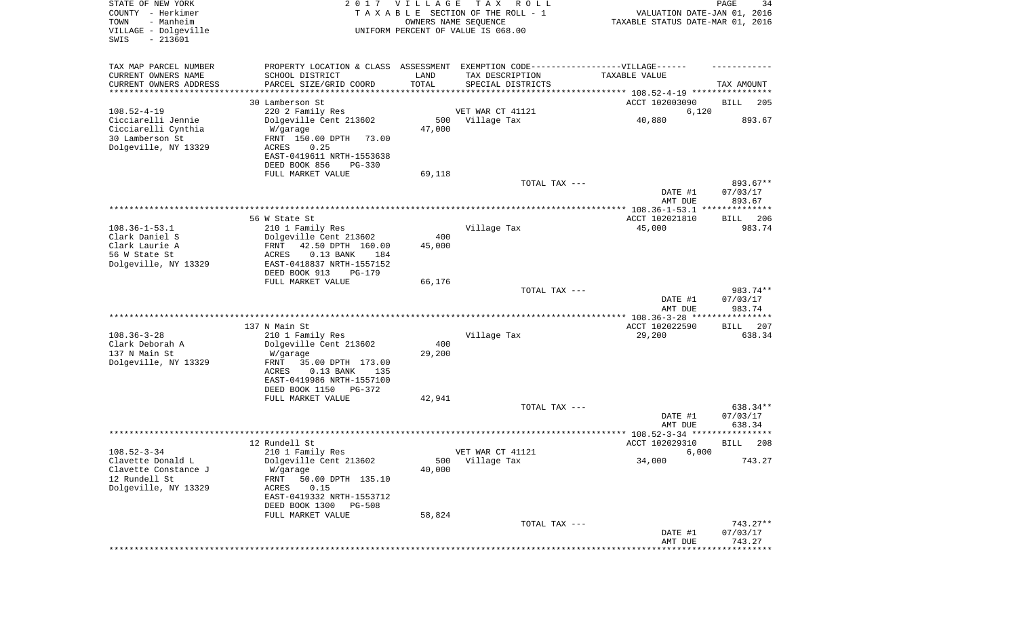| STATE OF NEW YORK<br>COUNTY - Herkimer<br>- Manheim<br>TOWN<br>VILLAGE - Dolgeville<br>$-213601$<br>SWIS |                                                          | 2017 VILLAGE  | T A X<br>R O L L<br>TAXABLE SECTION OF THE ROLL - 1<br>OWNERS NAME SEQUENCE<br>UNIFORM PERCENT OF VALUE IS 068.00 | VALUATION DATE-JAN 01, 2016<br>TAXABLE STATUS DATE-MAR 01, 2016 | PAGE<br>34           |
|----------------------------------------------------------------------------------------------------------|----------------------------------------------------------|---------------|-------------------------------------------------------------------------------------------------------------------|-----------------------------------------------------------------|----------------------|
| TAX MAP PARCEL NUMBER<br>CURRENT OWNERS NAME                                                             | SCHOOL DISTRICT                                          | LAND          | PROPERTY LOCATION & CLASS ASSESSMENT EXEMPTION CODE-----------------VILLAGE------<br>TAX DESCRIPTION              | TAXABLE VALUE                                                   |                      |
| CURRENT OWNERS ADDRESS<br>********************                                                           | PARCEL SIZE/GRID COORD                                   | TOTAL         | SPECIAL DISTRICTS<br>********************************* 108.52-4-19 ****************                               |                                                                 | TAX AMOUNT           |
|                                                                                                          | 30 Lamberson St                                          |               |                                                                                                                   | ACCT 102003090                                                  | BILL<br>205          |
| $108.52 - 4 - 19$                                                                                        | 220 2 Family Res                                         |               | VET WAR CT 41121                                                                                                  | 6,120                                                           |                      |
| Cicciarelli Jennie                                                                                       | Dolgeville Cent 213602                                   | 500           | Village Tax                                                                                                       | 40,880                                                          | 893.67               |
| Cicciarelli Cynthia                                                                                      | W/garage                                                 | 47,000        |                                                                                                                   |                                                                 |                      |
| 30 Lamberson St                                                                                          | FRNT 150.00 DPTH<br>73.00                                |               |                                                                                                                   |                                                                 |                      |
| Dolgeville, NY 13329                                                                                     | ACRES<br>0.25<br>EAST-0419611 NRTH-1553638               |               |                                                                                                                   |                                                                 |                      |
|                                                                                                          | DEED BOOK 856<br>$PG-330$                                |               |                                                                                                                   |                                                                 |                      |
|                                                                                                          | FULL MARKET VALUE                                        | 69,118        |                                                                                                                   |                                                                 |                      |
|                                                                                                          |                                                          |               | TOTAL TAX ---                                                                                                     |                                                                 | 893.67**             |
|                                                                                                          |                                                          |               |                                                                                                                   | DATE #1                                                         | 07/03/17             |
|                                                                                                          |                                                          |               |                                                                                                                   | AMT DUE                                                         | 893.67               |
|                                                                                                          | 56 W State St                                            |               |                                                                                                                   | ACCT 102021810                                                  | 206<br>BILL          |
| $108.36 - 1 - 53.1$                                                                                      | 210 1 Family Res                                         |               | Village Tax                                                                                                       | 45,000                                                          | 983.74               |
| Clark Daniel S                                                                                           | Dolgeville Cent 213602                                   | 400           |                                                                                                                   |                                                                 |                      |
| Clark Laurie A                                                                                           | FRNT<br>42.50 DPTH 160.00                                | 45,000        |                                                                                                                   |                                                                 |                      |
| 56 W State St<br>Dolgeville, NY 13329                                                                    | ACRES<br>$0.13$ BANK<br>184<br>EAST-0418837 NRTH-1557152 |               |                                                                                                                   |                                                                 |                      |
|                                                                                                          | DEED BOOK 913<br>PG-179                                  |               |                                                                                                                   |                                                                 |                      |
|                                                                                                          | FULL MARKET VALUE                                        | 66,176        |                                                                                                                   |                                                                 |                      |
|                                                                                                          |                                                          |               | TOTAL TAX ---                                                                                                     |                                                                 | 983.74**             |
|                                                                                                          |                                                          |               |                                                                                                                   | DATE #1                                                         | 07/03/17             |
|                                                                                                          |                                                          |               |                                                                                                                   | AMT DUE<br>********** 108.36-3-28 ***                           | 983.74<br>********   |
|                                                                                                          | 137 N Main St                                            |               |                                                                                                                   | ACCT 102022590                                                  | 207<br>BILL          |
| $108.36 - 3 - 28$                                                                                        | 210 1 Family Res                                         |               | Village Tax                                                                                                       | 29,200                                                          | 638.34               |
| Clark Deborah A                                                                                          | Dolgeville Cent 213602                                   | 400           |                                                                                                                   |                                                                 |                      |
| 137 N Main St<br>Dolgeville, NY 13329                                                                    | W/garage<br>FRNT<br>35.00 DPTH 173.00                    | 29,200        |                                                                                                                   |                                                                 |                      |
|                                                                                                          | ACRES<br>$0.13$ BANK<br>135                              |               |                                                                                                                   |                                                                 |                      |
|                                                                                                          | EAST-0419986 NRTH-1557100                                |               |                                                                                                                   |                                                                 |                      |
|                                                                                                          | DEED BOOK 1150 PG-372                                    |               |                                                                                                                   |                                                                 |                      |
|                                                                                                          | FULL MARKET VALUE                                        | 42,941        |                                                                                                                   |                                                                 |                      |
|                                                                                                          |                                                          |               | TOTAL TAX ---                                                                                                     | DATE #1                                                         | 638.34**<br>07/03/17 |
|                                                                                                          |                                                          |               |                                                                                                                   | AMT DUE                                                         | 638.34               |
|                                                                                                          |                                                          |               |                                                                                                                   |                                                                 | ****                 |
|                                                                                                          | 12 Rundell St                                            |               |                                                                                                                   | ACCT 102029310                                                  | 208<br>BILL          |
| $108.52 - 3 - 34$                                                                                        | 210 1 Family Res<br>Dolgeville Cent 213602               |               | VET WAR CT 41121                                                                                                  | 6,000                                                           |                      |
| Clavette Donald L<br>Clavette Constance J                                                                | W/garage                                                 | 500<br>40,000 | Village Tax                                                                                                       | 34,000                                                          | 743.27               |
| 12 Rundell St                                                                                            | FRNT<br>50.00 DPTH 135.10                                |               |                                                                                                                   |                                                                 |                      |
| Dolgeville, NY 13329                                                                                     | 0.15<br>ACRES                                            |               |                                                                                                                   |                                                                 |                      |
|                                                                                                          | EAST-0419332 NRTH-1553712                                |               |                                                                                                                   |                                                                 |                      |
|                                                                                                          | DEED BOOK 1300<br><b>PG-508</b>                          |               |                                                                                                                   |                                                                 |                      |
|                                                                                                          | FULL MARKET VALUE                                        | 58,824        | TOTAL TAX ---                                                                                                     |                                                                 | 743.27**             |
|                                                                                                          |                                                          |               |                                                                                                                   | DATE #1                                                         | 07/03/17             |
|                                                                                                          |                                                          |               |                                                                                                                   | AMT DUE                                                         | 743.27               |
|                                                                                                          |                                                          |               |                                                                                                                   |                                                                 | *********            |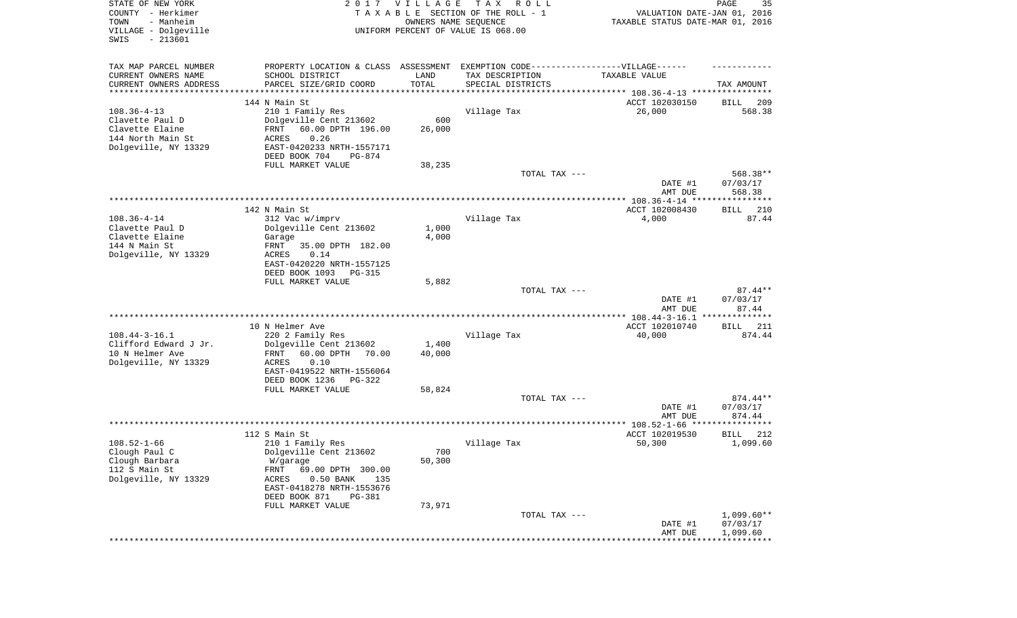| STATE OF NEW YORK<br>COUNTY - Herkimer<br>- Manheim<br>TOWN<br>VILLAGE - Dolgeville<br>SWIS<br>$-213601$ |                                                                                  | 2017 VILLAGE<br>OWNERS NAME SEQUENCE | TAX ROLL<br>TAXABLE SECTION OF THE ROLL - 1<br>UNIFORM PERCENT OF VALUE IS 068.00 | VALUATION DATE-JAN 01, 2016<br>TAXABLE STATUS DATE-MAR 01, 2016 | PAGE<br>35                     |
|----------------------------------------------------------------------------------------------------------|----------------------------------------------------------------------------------|--------------------------------------|-----------------------------------------------------------------------------------|-----------------------------------------------------------------|--------------------------------|
| TAX MAP PARCEL NUMBER                                                                                    | PROPERTY LOCATION & CLASS ASSESSMENT EXEMPTION CODE----------------VILLAGE------ |                                      |                                                                                   |                                                                 |                                |
| CURRENT OWNERS NAME                                                                                      | SCHOOL DISTRICT                                                                  | LAND                                 | TAX DESCRIPTION                                                                   | TAXABLE VALUE                                                   |                                |
| CURRENT OWNERS ADDRESS<br>********************                                                           | PARCEL SIZE/GRID COORD<br>*****************                                      | TOTAL<br>*********                   | SPECIAL DISTRICTS                                                                 |                                                                 | TAX AMOUNT                     |
|                                                                                                          | 144 N Main St                                                                    |                                      |                                                                                   | ACCT 102030150                                                  | 209<br>BILL                    |
| $108.36 - 4 - 13$                                                                                        | 210 1 Family Res                                                                 |                                      | Village Tax                                                                       | 26,000                                                          | 568.38                         |
| Clavette Paul D                                                                                          | Dolgeville Cent 213602                                                           | 600                                  |                                                                                   |                                                                 |                                |
| Clavette Elaine                                                                                          | FRNT<br>60.00 DPTH 196.00                                                        | 26,000                               |                                                                                   |                                                                 |                                |
| 144 North Main St<br>Dolgeville, NY 13329                                                                | 0.26<br><b>ACRES</b><br>EAST-0420233 NRTH-1557171                                |                                      |                                                                                   |                                                                 |                                |
|                                                                                                          | DEED BOOK 704<br>PG-874                                                          |                                      |                                                                                   |                                                                 |                                |
|                                                                                                          | FULL MARKET VALUE                                                                | 38,235                               |                                                                                   |                                                                 |                                |
|                                                                                                          |                                                                                  |                                      | TOTAL TAX ---                                                                     | DATE #1<br>AMT DUE                                              | 568.38**<br>07/03/17<br>568.38 |
|                                                                                                          |                                                                                  |                                      |                                                                                   |                                                                 |                                |
|                                                                                                          | 142 N Main St                                                                    |                                      |                                                                                   | ACCT 102008430                                                  | <b>BILL</b><br>210             |
| $108.36 - 4 - 14$                                                                                        | 312 Vac w/imprv                                                                  |                                      | Village Tax                                                                       | 4,000                                                           | 87.44                          |
| Clavette Paul D<br>Clavette Elaine                                                                       | Dolgeville Cent 213602<br>Garage                                                 | 1,000<br>4,000                       |                                                                                   |                                                                 |                                |
| 144 N Main St                                                                                            | 35.00 DPTH 182.00<br>FRNT                                                        |                                      |                                                                                   |                                                                 |                                |
| Dolgeville, NY 13329                                                                                     | <b>ACRES</b><br>0.14                                                             |                                      |                                                                                   |                                                                 |                                |
|                                                                                                          | EAST-0420220 NRTH-1557125                                                        |                                      |                                                                                   |                                                                 |                                |
|                                                                                                          | DEED BOOK 1093<br>$PG-315$<br>FULL MARKET VALUE                                  | 5,882                                |                                                                                   |                                                                 |                                |
|                                                                                                          |                                                                                  |                                      | TOTAL TAX ---                                                                     |                                                                 | $87.44**$                      |
|                                                                                                          |                                                                                  |                                      |                                                                                   | DATE #1<br>AMT DUE                                              | 07/03/17<br>87.44              |
|                                                                                                          |                                                                                  |                                      |                                                                                   | ************ 108.44-3-16.1 ***************                      |                                |
| $108.44 - 3 - 16.1$                                                                                      | 10 N Helmer Ave<br>220 2 Family Res                                              |                                      | Village Tax                                                                       | ACCT 102010740                                                  | 211<br>BILL<br>874.44          |
| Clifford Edward J Jr.                                                                                    | Dolgeville Cent 213602                                                           | 1,400                                |                                                                                   | 40,000                                                          |                                |
| 10 N Helmer Ave                                                                                          | 60.00 DPTH<br>70.00<br>FRNT                                                      | 40,000                               |                                                                                   |                                                                 |                                |
| Dolgeville, NY 13329                                                                                     | ACRES<br>0.10                                                                    |                                      |                                                                                   |                                                                 |                                |
|                                                                                                          | EAST-0419522 NRTH-1556064<br>DEED BOOK 1236<br>PG-322                            |                                      |                                                                                   |                                                                 |                                |
|                                                                                                          | FULL MARKET VALUE                                                                | 58,824                               |                                                                                   |                                                                 |                                |
|                                                                                                          |                                                                                  |                                      | TOTAL TAX ---                                                                     |                                                                 | 874.44**                       |
|                                                                                                          |                                                                                  |                                      |                                                                                   | DATE #1                                                         | 07/03/17                       |
|                                                                                                          |                                                                                  |                                      |                                                                                   | AMT DUE                                                         | 874.44<br>**********           |
|                                                                                                          | 112 S Main St                                                                    |                                      |                                                                                   | ACCT 102019530                                                  | 212<br>BILL                    |
| $108.52 - 1 - 66$                                                                                        | 210 1 Family Res                                                                 |                                      | Village Tax                                                                       | 50,300                                                          | 1,099.60                       |
| Clough Paul C                                                                                            | Dolgeville Cent 213602                                                           | 700                                  |                                                                                   |                                                                 |                                |
| Clough Barbara                                                                                           | W/garage                                                                         | 50,300                               |                                                                                   |                                                                 |                                |
| 112 S Main St<br>Dolgeville, NY 13329                                                                    | FRNT<br>69.00 DPTH 300.00<br>ACRES<br>$0.50$ BANK<br>135                         |                                      |                                                                                   |                                                                 |                                |
|                                                                                                          | EAST-0418278 NRTH-1553676                                                        |                                      |                                                                                   |                                                                 |                                |
|                                                                                                          | DEED BOOK 871<br>PG-381                                                          |                                      |                                                                                   |                                                                 |                                |
|                                                                                                          | FULL MARKET VALUE                                                                | 73,971                               |                                                                                   |                                                                 | $1,099.60**$                   |
|                                                                                                          |                                                                                  |                                      | TOTAL TAX ---                                                                     | DATE #1                                                         | 07/03/17                       |
|                                                                                                          |                                                                                  |                                      |                                                                                   | AMT DUE                                                         | 1,099.60                       |
|                                                                                                          |                                                                                  |                                      |                                                                                   |                                                                 |                                |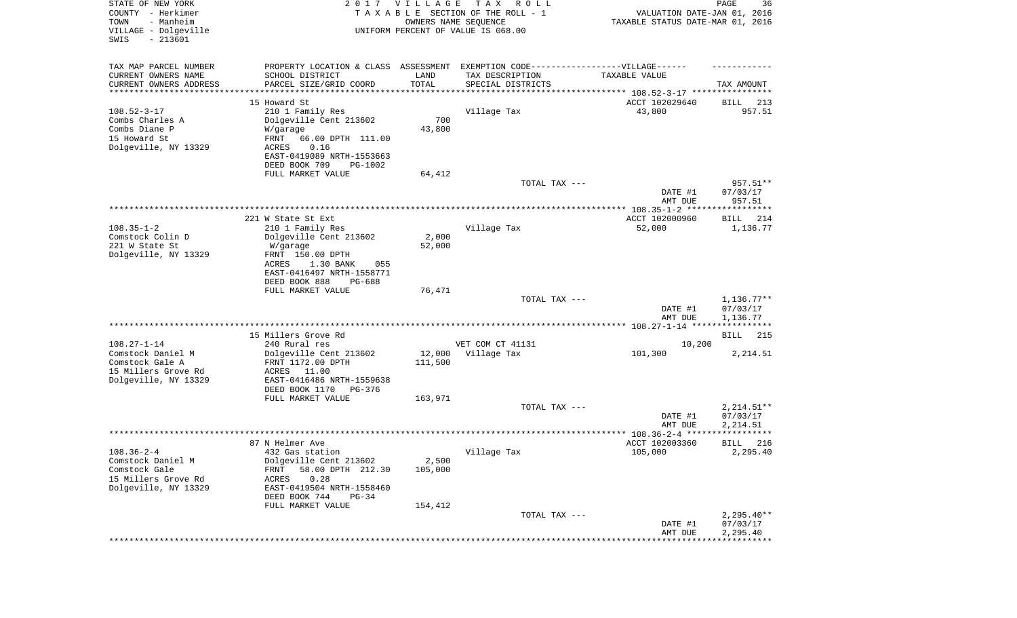| STATE OF NEW YORK<br>COUNTY - Herkimer<br>- Manheim<br>TOWN<br>VILLAGE - Dolgeville<br>SWIS<br>$-213601$ |                                                                                  | 2017 VILLAGE                   | T A X<br>R O L L<br>TAXABLE SECTION OF THE ROLL - 1<br>OWNERS NAME SEQUENCE<br>UNIFORM PERCENT OF VALUE IS 068.00 | VALUATION DATE-JAN 01, 2016<br>TAXABLE STATUS DATE-MAR 01, 2016 | PAGE<br>36               |
|----------------------------------------------------------------------------------------------------------|----------------------------------------------------------------------------------|--------------------------------|-------------------------------------------------------------------------------------------------------------------|-----------------------------------------------------------------|--------------------------|
| TAX MAP PARCEL NUMBER                                                                                    | PROPERTY LOCATION & CLASS ASSESSMENT EXEMPTION CODE----------------VILLAGE------ |                                |                                                                                                                   |                                                                 |                          |
| CURRENT OWNERS NAME                                                                                      | SCHOOL DISTRICT                                                                  | LAND                           | TAX DESCRIPTION                                                                                                   | TAXABLE VALUE                                                   |                          |
| CURRENT OWNERS ADDRESS<br>********************                                                           | PARCEL SIZE/GRID COORD                                                           | TOTAL<br>* * * * * * * * * * * | SPECIAL DISTRICTS                                                                                                 |                                                                 | TAX AMOUNT               |
|                                                                                                          | 15 Howard St                                                                     |                                |                                                                                                                   | ACCT 102029640                                                  | 213<br>BILL              |
| $108.52 - 3 - 17$                                                                                        | 210 1 Family Res                                                                 |                                | Village Tax                                                                                                       | 43,800                                                          | 957.51                   |
| Combs Charles A                                                                                          | Dolgeville Cent 213602                                                           | 700                            |                                                                                                                   |                                                                 |                          |
| Combs Diane P                                                                                            | W/garage                                                                         | 43,800                         |                                                                                                                   |                                                                 |                          |
| 15 Howard St                                                                                             | FRNT<br>66.00 DPTH 111.00                                                        |                                |                                                                                                                   |                                                                 |                          |
| Dolgeville, NY 13329                                                                                     | ACRES<br>0.16                                                                    |                                |                                                                                                                   |                                                                 |                          |
|                                                                                                          | EAST-0419089 NRTH-1553663                                                        |                                |                                                                                                                   |                                                                 |                          |
|                                                                                                          | DEED BOOK 709<br>PG-1002                                                         |                                |                                                                                                                   |                                                                 |                          |
|                                                                                                          | FULL MARKET VALUE                                                                | 64,412                         | TOTAL TAX ---                                                                                                     |                                                                 | 957.51**                 |
|                                                                                                          |                                                                                  |                                |                                                                                                                   | DATE #1                                                         | 07/03/17                 |
|                                                                                                          |                                                                                  |                                |                                                                                                                   | AMT DUE                                                         | 957.51                   |
|                                                                                                          |                                                                                  |                                |                                                                                                                   |                                                                 |                          |
|                                                                                                          | 221 W State St Ext                                                               |                                |                                                                                                                   | ACCT 102000960                                                  | BILL<br>214              |
| $108.35 - 1 - 2$                                                                                         | 210 1 Family Res                                                                 |                                | Village Tax                                                                                                       | 52,000                                                          | 1,136.77                 |
| Comstock Colin D                                                                                         | Dolgeville Cent 213602                                                           | 2,000                          |                                                                                                                   |                                                                 |                          |
| 221 W State St                                                                                           | W/garage                                                                         | 52,000                         |                                                                                                                   |                                                                 |                          |
| Dolgeville, NY 13329                                                                                     | FRNT 150.00 DPTH<br>1.30 BANK<br>ACRES<br>055                                    |                                |                                                                                                                   |                                                                 |                          |
|                                                                                                          | EAST-0416497 NRTH-1558771                                                        |                                |                                                                                                                   |                                                                 |                          |
|                                                                                                          | DEED BOOK 888<br>PG-688                                                          |                                |                                                                                                                   |                                                                 |                          |
|                                                                                                          | FULL MARKET VALUE                                                                | 76,471                         |                                                                                                                   |                                                                 |                          |
|                                                                                                          |                                                                                  |                                | TOTAL TAX ---                                                                                                     |                                                                 | $1,136.77**$             |
|                                                                                                          |                                                                                  |                                |                                                                                                                   | DATE #1                                                         | 07/03/17                 |
|                                                                                                          |                                                                                  |                                |                                                                                                                   | AMT DUE                                                         | 1,136.77                 |
|                                                                                                          | 15 Millers Grove Rd                                                              |                                |                                                                                                                   |                                                                 | BILL<br>215              |
| $108.27 - 1 - 14$                                                                                        | 240 Rural res                                                                    |                                | VET COM CT 41131                                                                                                  | 10,200                                                          |                          |
| Comstock Daniel M                                                                                        | Dolgeville Cent 213602                                                           | 12,000                         | Village Tax                                                                                                       | 101,300                                                         | 2,214.51                 |
| Comstock Gale A                                                                                          | FRNT 1172.00 DPTH                                                                | 111,500                        |                                                                                                                   |                                                                 |                          |
| 15 Millers Grove Rd                                                                                      | ACRES<br>11.00                                                                   |                                |                                                                                                                   |                                                                 |                          |
| Dolgeville, NY 13329                                                                                     | EAST-0416486 NRTH-1559638                                                        |                                |                                                                                                                   |                                                                 |                          |
|                                                                                                          | DEED BOOK 1170<br>PG-376                                                         |                                |                                                                                                                   |                                                                 |                          |
|                                                                                                          | FULL MARKET VALUE                                                                | 163,971                        |                                                                                                                   |                                                                 |                          |
|                                                                                                          |                                                                                  |                                | TOTAL TAX ---                                                                                                     | DATE #1                                                         | $2,214.51**$<br>07/03/17 |
|                                                                                                          |                                                                                  |                                |                                                                                                                   | AMT DUE                                                         | 2,214.51                 |
|                                                                                                          |                                                                                  |                                |                                                                                                                   |                                                                 | *****                    |
|                                                                                                          | 87 N Helmer Ave                                                                  |                                |                                                                                                                   | ACCT 102003360                                                  | 216<br>BILL              |
| $108.36 - 2 - 4$                                                                                         | 432 Gas station                                                                  |                                | Village Tax                                                                                                       | 105,000                                                         | 2,295.40                 |
| Comstock Daniel M                                                                                        | Dolgeville Cent 213602                                                           | 2,500                          |                                                                                                                   |                                                                 |                          |
| Comstock Gale                                                                                            | 58.00 DPTH 212.30<br>FRNT                                                        | 105,000                        |                                                                                                                   |                                                                 |                          |
| 15 Millers Grove Rd                                                                                      | ACRES<br>0.28                                                                    |                                |                                                                                                                   |                                                                 |                          |
| Dolgeville, NY 13329                                                                                     | EAST-0419504 NRTH-1558460<br>DEED BOOK 744<br>$PG-34$                            |                                |                                                                                                                   |                                                                 |                          |
|                                                                                                          | FULL MARKET VALUE                                                                | 154,412                        |                                                                                                                   |                                                                 |                          |
|                                                                                                          |                                                                                  |                                | TOTAL TAX ---                                                                                                     |                                                                 | $2,295.40**$             |
|                                                                                                          |                                                                                  |                                |                                                                                                                   | DATE #1                                                         | 07/03/17                 |
|                                                                                                          |                                                                                  |                                |                                                                                                                   | AMT DUE                                                         | 2,295.40                 |
|                                                                                                          |                                                                                  |                                |                                                                                                                   |                                                                 |                          |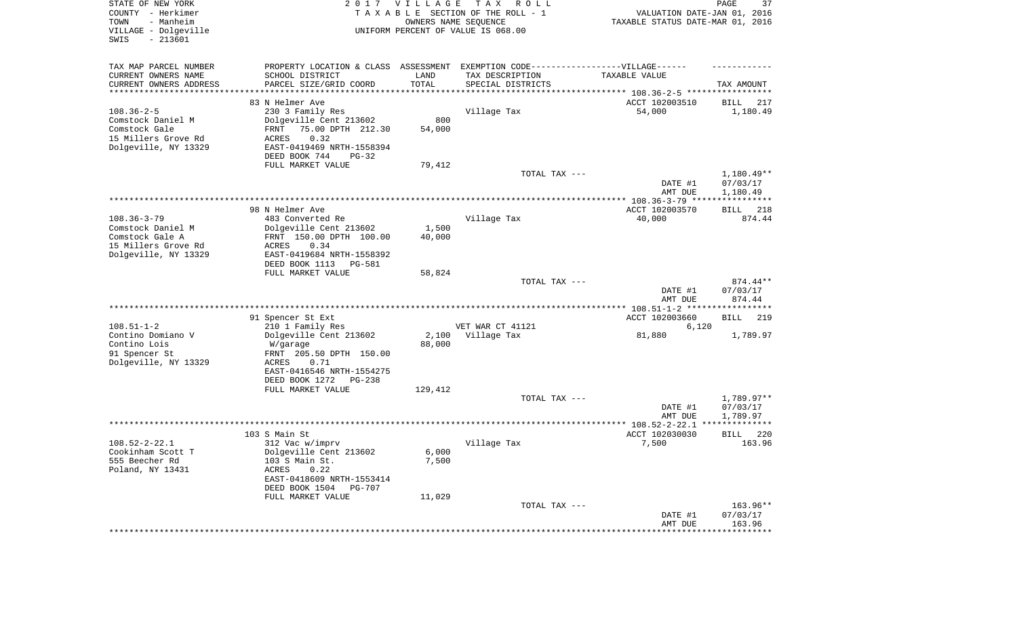| STATE OF NEW YORK<br>COUNTY - Herkimer<br>TOWN<br>- Manheim<br>VILLAGE - Dolgeville<br>SWIS<br>$-213601$ | 2017                                                                                                                                                                                      | <b>VILLAGE</b><br>OWNERS NAME SEQUENCE | T A X<br>R O L L<br>TAXABLE SECTION OF THE ROLL - 1<br>UNIFORM PERCENT OF VALUE IS 068.00 | VALUATION DATE-JAN 01, 2016<br>TAXABLE STATUS DATE-MAR 01, 2016             | PAGE<br>37                           |
|----------------------------------------------------------------------------------------------------------|-------------------------------------------------------------------------------------------------------------------------------------------------------------------------------------------|----------------------------------------|-------------------------------------------------------------------------------------------|-----------------------------------------------------------------------------|--------------------------------------|
| TAX MAP PARCEL NUMBER<br>CURRENT OWNERS NAME<br>CURRENT OWNERS ADDRESS<br>********************           | PROPERTY LOCATION & CLASS ASSESSMENT<br>SCHOOL DISTRICT<br>PARCEL SIZE/GRID COORD                                                                                                         | LAND<br>TOTAL<br>* * * * * * * * * * * | EXEMPTION CODE-----------------VILLAGE------<br>TAX DESCRIPTION<br>SPECIAL DISTRICTS      | TAXABLE VALUE<br>***************************** 108.36-2-5 ***************** | TAX AMOUNT                           |
| $108.36 - 2 - 5$<br>Comstock Daniel M<br>Comstock Gale<br>15 Millers Grove Rd<br>Dolgeville, NY 13329    | 83 N Helmer Ave<br>230 3 Family Res<br>Dolgeville Cent 213602<br>75.00 DPTH 212.30<br>FRNT<br>0.32<br>ACRES<br>EAST-0419469 NRTH-1558394<br>DEED BOOK 744<br>$PG-32$<br>FULL MARKET VALUE | 800<br>54,000<br>79,412                | Village Tax                                                                               | ACCT 102003510<br>54,000                                                    | BILL<br>217<br>1,180.49              |
|                                                                                                          |                                                                                                                                                                                           |                                        | TOTAL TAX ---                                                                             | DATE #1<br>AMT DUE                                                          | 1,180.49**<br>07/03/17<br>1,180.49   |
| $108.36 - 3 - 79$<br>Comstock Daniel M<br>Comstock Gale A                                                | 98 N Helmer Ave<br>483 Converted Re<br>Dolgeville Cent 213602<br>FRNT 150.00 DPTH 100.00                                                                                                  | 1,500<br>40,000                        | Village Tax                                                                               | ACCT 102003570<br>40,000                                                    | 218<br>BILL<br>874.44                |
| 15 Millers Grove Rd<br>Dolgeville, NY 13329                                                              | 0.34<br>ACRES<br>EAST-0419684 NRTH-1558392<br>DEED BOOK 1113<br>PG-581<br>FULL MARKET VALUE                                                                                               | 58,824                                 | TOTAL TAX ---                                                                             | DATE #1                                                                     | 874.44**<br>07/03/17                 |
|                                                                                                          |                                                                                                                                                                                           |                                        |                                                                                           | AMT DUE                                                                     | 874.44                               |
| $108.51 - 1 - 2$<br>Contino Domiano V<br>Contino Lois<br>91 Spencer St<br>Dolgeville, NY 13329           | 91 Spencer St Ext<br>210 1 Family Res<br>Dolgeville Cent 213602<br>W/garage<br>FRNT 205.50 DPTH 150.00<br>ACRES<br>0.71<br>EAST-0416546 NRTH-1554275<br>DEED BOOK 1272<br>PG-238          | 2,100<br>88,000                        | VET WAR CT 41121<br>Village Tax                                                           | ACCT 102003660<br>6,120<br>81,880                                           | <b>BILL</b><br>219<br>1,789.97       |
|                                                                                                          | FULL MARKET VALUE                                                                                                                                                                         | 129,412                                | TOTAL TAX ---                                                                             | DATE #1<br>AMT DUE                                                          | $1,789.97**$<br>07/03/17<br>1,789.97 |
|                                                                                                          |                                                                                                                                                                                           |                                        |                                                                                           |                                                                             | **************                       |
| $108.52 - 2 - 22.1$<br>Cookinham Scott T<br>555 Beecher Rd<br>Poland, NY 13431                           | 103 S Main St<br>312 Vac w/imprv<br>Dolgeville Cent 213602<br>103 S Main St.<br>ACRES<br>0.22<br>EAST-0418609 NRTH-1553414<br>DEED BOOK 1504<br><b>PG-707</b><br>FULL MARKET VALUE        | 6,000<br>7,500<br>11,029               | Village Tax                                                                               | ACCT 102030030<br>7,500                                                     | 220<br><b>BILL</b><br>163.96         |
|                                                                                                          |                                                                                                                                                                                           |                                        | TOTAL TAX ---                                                                             | DATE #1<br>AMT DUE                                                          | 163.96**<br>07/03/17<br>163.96       |
|                                                                                                          |                                                                                                                                                                                           |                                        |                                                                                           | *********************                                                       | **************                       |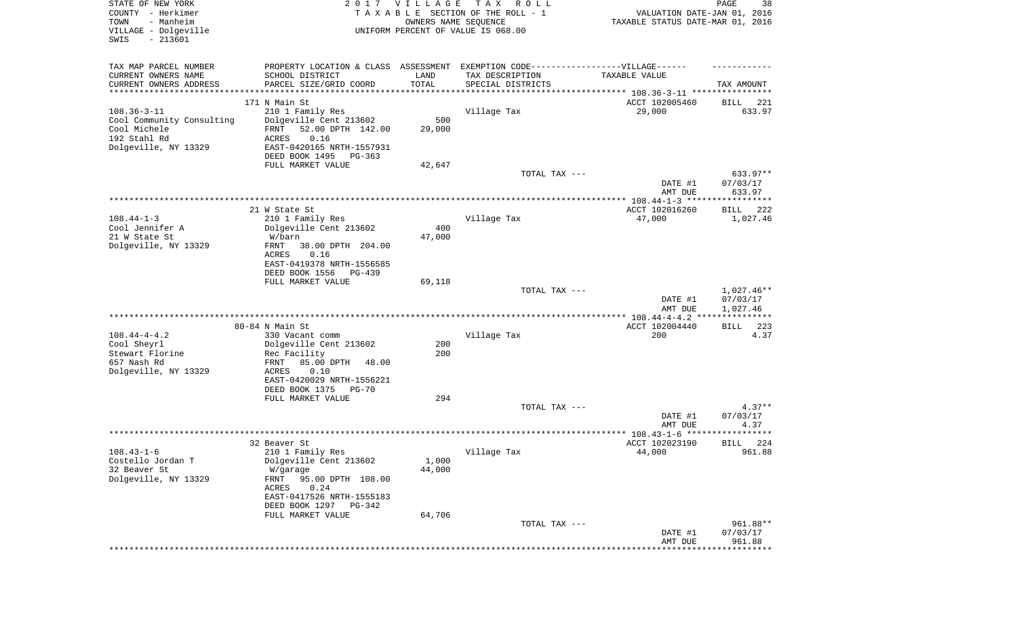| STATE OF NEW YORK<br>COUNTY - Herkimer<br>- Manheim<br>TOWN<br>VILLAGE - Dolgeville<br>SWIS<br>$-213601$ |                                                                                                      | 2017 VILLAGE<br>OWNERS NAME SEQUENCE | T A X<br>R O L L<br>TAXABLE SECTION OF THE ROLL - 1<br>UNIFORM PERCENT OF VALUE IS 068.00 | VALUATION DATE-JAN 01, 2016<br>TAXABLE STATUS DATE-MAR 01, 2016 | PAGE<br>38           |
|----------------------------------------------------------------------------------------------------------|------------------------------------------------------------------------------------------------------|--------------------------------------|-------------------------------------------------------------------------------------------|-----------------------------------------------------------------|----------------------|
| TAX MAP PARCEL NUMBER<br>CURRENT OWNERS NAME                                                             | PROPERTY LOCATION & CLASS ASSESSMENT EXEMPTION CODE-----------------VILLAGE------<br>SCHOOL DISTRICT | LAND                                 | TAX DESCRIPTION                                                                           | TAXABLE VALUE                                                   |                      |
| CURRENT OWNERS ADDRESS<br>*********************                                                          | PARCEL SIZE/GRID COORD<br>***************************                                                | TOTAL                                | SPECIAL DISTRICTS                                                                         |                                                                 | TAX AMOUNT           |
|                                                                                                          | 171 N Main St                                                                                        |                                      |                                                                                           | ACCT 102005460                                                  | 221<br>BILL          |
| $108.36 - 3 - 11$                                                                                        | 210 1 Family Res                                                                                     |                                      | Village Tax                                                                               | 29,000                                                          | 633.97               |
| Cool Community Consulting                                                                                | Dolgeville Cent 213602                                                                               | 500                                  |                                                                                           |                                                                 |                      |
| Cool Michele                                                                                             | 52.00 DPTH 142.00<br>FRNT                                                                            | 29,000                               |                                                                                           |                                                                 |                      |
| 192 Stahl Rd<br>Dolgeville, NY 13329                                                                     | ACRES<br>0.16<br>EAST-0420165 NRTH-1557931                                                           |                                      |                                                                                           |                                                                 |                      |
|                                                                                                          | DEED BOOK 1495<br>PG-363                                                                             |                                      |                                                                                           |                                                                 |                      |
|                                                                                                          | FULL MARKET VALUE                                                                                    | 42,647                               |                                                                                           |                                                                 |                      |
|                                                                                                          |                                                                                                      |                                      | TOTAL TAX ---                                                                             |                                                                 | 633.97**             |
|                                                                                                          |                                                                                                      |                                      |                                                                                           | DATE #1<br>AMT DUE                                              | 07/03/17<br>633.97   |
|                                                                                                          |                                                                                                      |                                      |                                                                                           |                                                                 |                      |
|                                                                                                          | 21 W State St                                                                                        |                                      |                                                                                           | ACCT 102016260                                                  | BILL<br>222          |
| $108.44 - 1 - 3$                                                                                         | 210 1 Family Res                                                                                     |                                      | Village Tax                                                                               | 47,000                                                          | 1,027.46             |
| Cool Jennifer A                                                                                          | Dolgeville Cent 213602                                                                               | 400                                  |                                                                                           |                                                                 |                      |
| 21 W State St<br>Dolgeville, NY 13329                                                                    | W/barn<br>FRNT<br>38.00 DPTH 204.00                                                                  | 47,000                               |                                                                                           |                                                                 |                      |
|                                                                                                          | ACRES<br>0.16                                                                                        |                                      |                                                                                           |                                                                 |                      |
|                                                                                                          | EAST-0419378 NRTH-1556585                                                                            |                                      |                                                                                           |                                                                 |                      |
|                                                                                                          | DEED BOOK 1556<br>PG-439                                                                             |                                      |                                                                                           |                                                                 |                      |
|                                                                                                          | FULL MARKET VALUE                                                                                    | 69,118                               | TOTAL TAX ---                                                                             |                                                                 | 1,027.46**           |
|                                                                                                          |                                                                                                      |                                      |                                                                                           | DATE #1                                                         | 07/03/17             |
|                                                                                                          |                                                                                                      |                                      |                                                                                           | AMT DUE                                                         | 1,027.46             |
|                                                                                                          |                                                                                                      |                                      |                                                                                           | ************** 108.44-4-4.2 ***                                 | ************         |
| $108.44 - 4 - 4.2$                                                                                       | 80-84 N Main St<br>330 Vacant comm                                                                   |                                      | Village Tax                                                                               | ACCT 102004440<br>200                                           | 223<br>BILL<br>4.37  |
| Cool Sheyrl                                                                                              | Dolgeville Cent 213602                                                                               | 200                                  |                                                                                           |                                                                 |                      |
| Stewart Florine                                                                                          | Rec Facility                                                                                         | 200                                  |                                                                                           |                                                                 |                      |
| 657 Nash Rd                                                                                              | FRNT<br>85.00 DPTH<br>48.00                                                                          |                                      |                                                                                           |                                                                 |                      |
| Dolgeville, NY 13329                                                                                     | ACRES<br>0.10                                                                                        |                                      |                                                                                           |                                                                 |                      |
|                                                                                                          | EAST-0420029 NRTH-1556221<br>DEED BOOK 1375<br>PG-70                                                 |                                      |                                                                                           |                                                                 |                      |
|                                                                                                          | FULL MARKET VALUE                                                                                    | 294                                  |                                                                                           |                                                                 |                      |
|                                                                                                          |                                                                                                      |                                      | TOTAL TAX ---                                                                             |                                                                 | $4.37**$             |
|                                                                                                          |                                                                                                      |                                      |                                                                                           | DATE #1                                                         | 07/03/17             |
|                                                                                                          |                                                                                                      |                                      |                                                                                           | AMT DUE                                                         | 4.37                 |
|                                                                                                          | 32 Beaver St                                                                                         |                                      |                                                                                           | ACCT 102023190                                                  | 224<br>BILL          |
| $108.43 - 1 - 6$                                                                                         | 210 1 Family Res                                                                                     |                                      | Village Tax                                                                               | 44,000                                                          | 961.88               |
| Costello Jordan T                                                                                        | Dolgeville Cent 213602                                                                               | 1,000                                |                                                                                           |                                                                 |                      |
| 32 Beaver St                                                                                             | W/garage                                                                                             | 44,000                               |                                                                                           |                                                                 |                      |
| Dolgeville, NY 13329                                                                                     | FRNT<br>95.00 DPTH 108.00<br>ACRES<br>0.24                                                           |                                      |                                                                                           |                                                                 |                      |
|                                                                                                          | EAST-0417526 NRTH-1555183                                                                            |                                      |                                                                                           |                                                                 |                      |
|                                                                                                          | DEED BOOK 1297 PG-342                                                                                |                                      |                                                                                           |                                                                 |                      |
|                                                                                                          | FULL MARKET VALUE                                                                                    | 64,706                               |                                                                                           |                                                                 |                      |
|                                                                                                          |                                                                                                      |                                      | TOTAL TAX ---                                                                             | DATE #1                                                         | 961.88**<br>07/03/17 |
|                                                                                                          |                                                                                                      |                                      |                                                                                           | AMT DUE                                                         | 961.88               |
|                                                                                                          |                                                                                                      |                                      |                                                                                           | ******************************                                  |                      |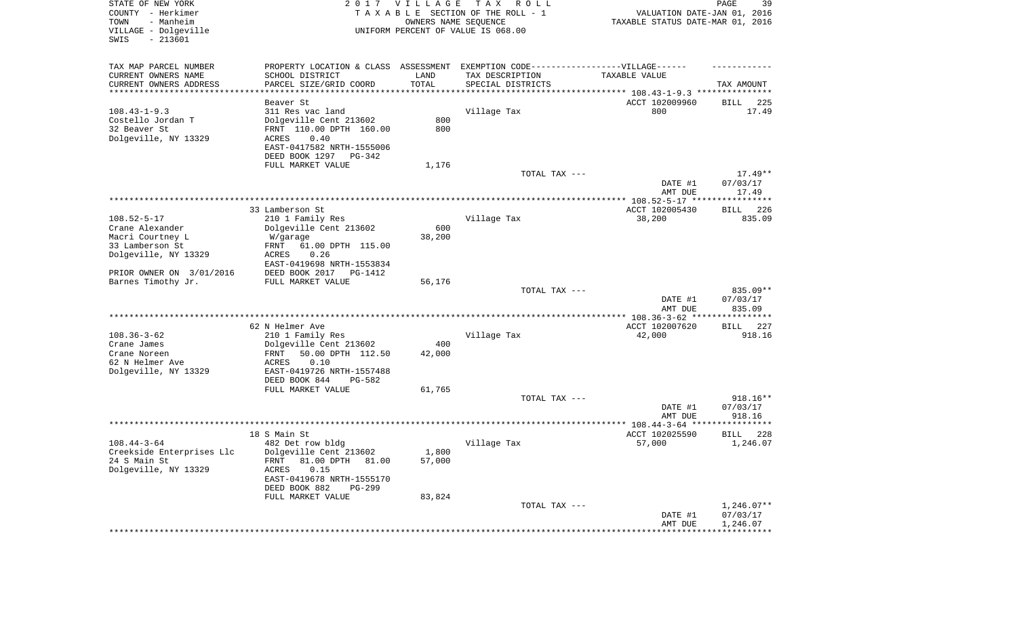| STATE OF NEW YORK<br>COUNTY - Herkimer<br>TOWN<br>- Manheim<br>VILLAGE - Dolgeville<br>$-213601$<br>SWIS | 2 0 1 7                                               | VILLAGE | T A X<br>R O L L<br>TAXABLE SECTION OF THE ROLL - 1<br>OWNERS NAME SEQUENCE<br>UNIFORM PERCENT OF VALUE IS 068.00 | VALUATION DATE-JAN 01, 2016<br>TAXABLE STATUS DATE-MAR 01, 2016 | 39<br>PAGE               |
|----------------------------------------------------------------------------------------------------------|-------------------------------------------------------|---------|-------------------------------------------------------------------------------------------------------------------|-----------------------------------------------------------------|--------------------------|
| TAX MAP PARCEL NUMBER                                                                                    | PROPERTY LOCATION & CLASS ASSESSMENT                  |         | EXEMPTION CODE------------------VILLAGE------                                                                     |                                                                 |                          |
| CURRENT OWNERS NAME                                                                                      | SCHOOL DISTRICT                                       | LAND    | TAX DESCRIPTION                                                                                                   | TAXABLE VALUE                                                   |                          |
| CURRENT OWNERS ADDRESS<br>*********************                                                          | PARCEL SIZE/GRID COORD                                | TOTAL   | SPECIAL DISTRICTS                                                                                                 | ***************************** 108.43-1-9.3 ***************      | TAX AMOUNT               |
|                                                                                                          | Beaver St                                             |         |                                                                                                                   | ACCT 102009960                                                  | BILL<br>225              |
| $108.43 - 1 - 9.3$                                                                                       | 311 Res vac land                                      |         | Village Tax                                                                                                       | 800                                                             | 17.49                    |
| Costello Jordan T                                                                                        | Dolgeville Cent 213602                                | 800     |                                                                                                                   |                                                                 |                          |
| 32 Beaver St                                                                                             | FRNT 110.00 DPTH 160.00                               | 800     |                                                                                                                   |                                                                 |                          |
| Dolgeville, NY 13329                                                                                     | ACRES<br>0.40                                         |         |                                                                                                                   |                                                                 |                          |
|                                                                                                          | EAST-0417582 NRTH-1555006<br>DEED BOOK 1297<br>PG-342 |         |                                                                                                                   |                                                                 |                          |
|                                                                                                          | FULL MARKET VALUE                                     | 1,176   |                                                                                                                   |                                                                 |                          |
|                                                                                                          |                                                       |         | TOTAL TAX ---                                                                                                     |                                                                 | $17.49**$                |
|                                                                                                          |                                                       |         |                                                                                                                   | DATE #1                                                         | 07/03/17                 |
|                                                                                                          |                                                       |         |                                                                                                                   | AMT DUE                                                         | 17.49                    |
|                                                                                                          |                                                       |         |                                                                                                                   |                                                                 |                          |
| $108.52 - 5 - 17$                                                                                        | 33 Lamberson St                                       |         | Village Tax                                                                                                       | ACCT 102005430                                                  | 226<br>BILL<br>835.09    |
| Crane Alexander                                                                                          | 210 1 Family Res<br>Dolgeville Cent 213602            | 600     |                                                                                                                   | 38,200                                                          |                          |
| Macri Courtney L                                                                                         | W/garage                                              | 38,200  |                                                                                                                   |                                                                 |                          |
| 33 Lamberson St                                                                                          | 61.00 DPTH 115.00<br>FRNT                             |         |                                                                                                                   |                                                                 |                          |
| Dolgeville, NY 13329                                                                                     | ACRES<br>0.26                                         |         |                                                                                                                   |                                                                 |                          |
|                                                                                                          | EAST-0419698 NRTH-1553834                             |         |                                                                                                                   |                                                                 |                          |
| PRIOR OWNER ON 3/01/2016                                                                                 | DEED BOOK 2017<br>PG-1412                             |         |                                                                                                                   |                                                                 |                          |
| Barnes Timothy Jr.                                                                                       | FULL MARKET VALUE                                     | 56,176  | TOTAL TAX ---                                                                                                     |                                                                 | 835.09**                 |
|                                                                                                          |                                                       |         |                                                                                                                   | DATE #1                                                         | 07/03/17                 |
|                                                                                                          |                                                       |         |                                                                                                                   | AMT DUE<br>************* 108.36-3-62 *****************          | 835.09                   |
|                                                                                                          | 62 N Helmer Ave                                       |         |                                                                                                                   | ACCT 102007620                                                  | 227<br>BILL              |
| $108.36 - 3 - 62$                                                                                        | 210 1 Family Res                                      |         | Village Tax                                                                                                       | 42,000                                                          | 918.16                   |
| Crane James                                                                                              | Dolgeville Cent 213602                                | 400     |                                                                                                                   |                                                                 |                          |
| Crane Noreen                                                                                             | FRNT<br>50.00 DPTH 112.50                             | 42,000  |                                                                                                                   |                                                                 |                          |
| 62 N Helmer Ave                                                                                          | ACRES<br>0.10                                         |         |                                                                                                                   |                                                                 |                          |
| Dolgeville, NY 13329                                                                                     | EAST-0419726 NRTH-1557488<br>DEED BOOK 844<br>PG-582  |         |                                                                                                                   |                                                                 |                          |
|                                                                                                          | FULL MARKET VALUE                                     | 61,765  |                                                                                                                   |                                                                 |                          |
|                                                                                                          |                                                       |         | TOTAL TAX ---                                                                                                     |                                                                 | 918.16**                 |
|                                                                                                          |                                                       |         |                                                                                                                   | DATE #1                                                         | 07/03/17                 |
|                                                                                                          |                                                       |         |                                                                                                                   | AMT DUE                                                         | 918.16                   |
|                                                                                                          |                                                       |         |                                                                                                                   |                                                                 |                          |
| $108.44 - 3 - 64$                                                                                        | 18 S Main St<br>482 Det row bldg                      |         |                                                                                                                   | ACCT 102025590                                                  | 228<br>BILL              |
| Creekside Enterprises Llc                                                                                | Dolgeville Cent 213602                                | 1,800   | Village Tax                                                                                                       | 57,000                                                          | 1,246.07                 |
| 24 S Main St                                                                                             | 81.00 DPTH 81.00<br>FRNT                              | 57,000  |                                                                                                                   |                                                                 |                          |
| Dolgeville, NY 13329                                                                                     | ACRES<br>0.15                                         |         |                                                                                                                   |                                                                 |                          |
|                                                                                                          | EAST-0419678 NRTH-1555170                             |         |                                                                                                                   |                                                                 |                          |
|                                                                                                          | DEED BOOK 882<br>PG-299                               |         |                                                                                                                   |                                                                 |                          |
|                                                                                                          | FULL MARKET VALUE                                     | 83,824  |                                                                                                                   |                                                                 |                          |
|                                                                                                          |                                                       |         | TOTAL TAX ---                                                                                                     | DATE #1                                                         | $1,246.07**$<br>07/03/17 |
|                                                                                                          |                                                       |         |                                                                                                                   | AMT DUE                                                         | 1,246.07                 |
|                                                                                                          |                                                       |         |                                                                                                                   | ********************************                                |                          |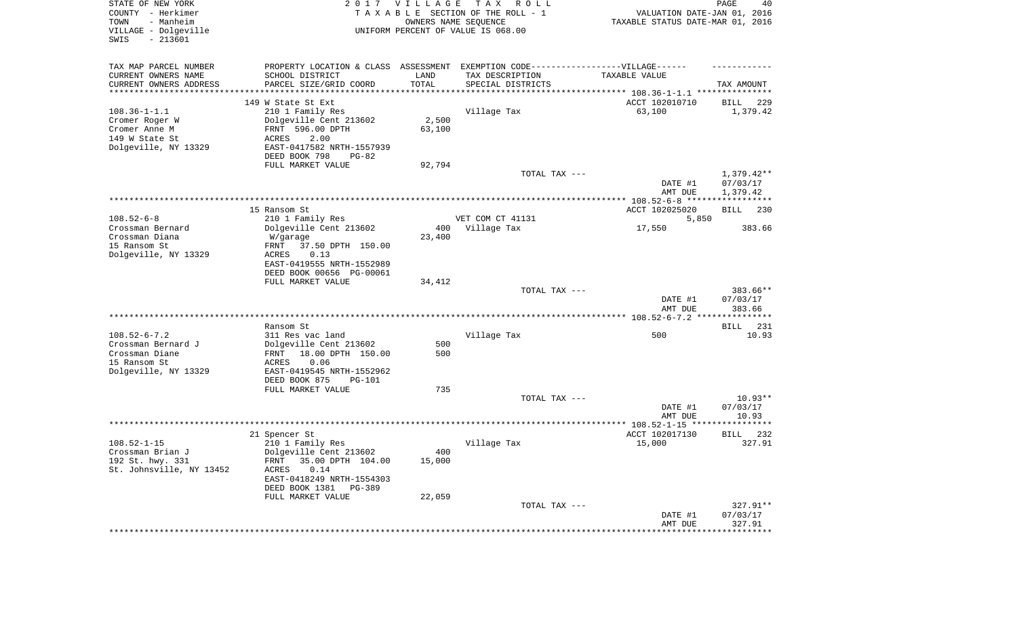| STATE OF NEW YORK<br>COUNTY - Herkimer<br>- Manheim<br>TOWN<br>VILLAGE - Dolgeville<br>SWIS<br>$-213601$ |                                                                                  | 2017 VILLAGE  | T A X<br>R O L L<br>TAXABLE SECTION OF THE ROLL - 1<br>OWNERS NAME SEQUENCE<br>UNIFORM PERCENT OF VALUE IS 068.00 | VALUATION DATE-JAN 01, 2016<br>TAXABLE STATUS DATE-MAR 01, 2016 | PAGE<br>40         |
|----------------------------------------------------------------------------------------------------------|----------------------------------------------------------------------------------|---------------|-------------------------------------------------------------------------------------------------------------------|-----------------------------------------------------------------|--------------------|
| TAX MAP PARCEL NUMBER                                                                                    | PROPERTY LOCATION & CLASS ASSESSMENT EXEMPTION CODE----------------VILLAGE------ |               |                                                                                                                   |                                                                 |                    |
| CURRENT OWNERS NAME<br>CURRENT OWNERS ADDRESS                                                            | SCHOOL DISTRICT<br>PARCEL SIZE/GRID COORD                                        | LAND<br>TOTAL | TAX DESCRIPTION                                                                                                   | TAXABLE VALUE                                                   | TAX AMOUNT         |
| ********************                                                                                     |                                                                                  |               | SPECIAL DISTRICTS                                                                                                 |                                                                 |                    |
|                                                                                                          | 149 W State St Ext                                                               |               |                                                                                                                   | ACCT 102010710                                                  | 229<br>BILL        |
| $108.36 - 1 - 1.1$                                                                                       | 210 1 Family Res                                                                 |               | Village Tax                                                                                                       | 63,100                                                          | 1,379.42           |
| Cromer Roger W                                                                                           | Dolgeville Cent 213602                                                           | 2,500         |                                                                                                                   |                                                                 |                    |
| Cromer Anne M<br>149 W State St                                                                          | FRNT 596.00 DPTH<br>ACRES<br>2.00                                                | 63,100        |                                                                                                                   |                                                                 |                    |
| Dolgeville, NY 13329                                                                                     | EAST-0417582 NRTH-1557939                                                        |               |                                                                                                                   |                                                                 |                    |
|                                                                                                          | DEED BOOK 798<br>$PG-82$                                                         |               |                                                                                                                   |                                                                 |                    |
|                                                                                                          | FULL MARKET VALUE                                                                | 92,794        |                                                                                                                   |                                                                 |                    |
|                                                                                                          |                                                                                  |               | TOTAL TAX ---                                                                                                     |                                                                 | $1,379.42**$       |
|                                                                                                          |                                                                                  |               |                                                                                                                   | DATE #1<br>AMT DUE                                              | 07/03/17           |
|                                                                                                          |                                                                                  |               |                                                                                                                   |                                                                 | 1,379.42           |
|                                                                                                          | 15 Ransom St                                                                     |               |                                                                                                                   | ACCT 102025020                                                  | BILL<br>230        |
| $108.52 - 6 - 8$                                                                                         | 210 1 Family Res                                                                 |               | VET COM CT 41131                                                                                                  | 5,850                                                           |                    |
| Crossman Bernard                                                                                         | Dolgeville Cent 213602                                                           | 400           | Village Tax                                                                                                       | 17,550                                                          | 383.66             |
| Crossman Diana<br>15 Ransom St                                                                           | W/garage<br>37.50 DPTH 150.00<br>FRNT                                            | 23,400        |                                                                                                                   |                                                                 |                    |
| Dolgeville, NY 13329                                                                                     | <b>ACRES</b><br>0.13                                                             |               |                                                                                                                   |                                                                 |                    |
|                                                                                                          | EAST-0419555 NRTH-1552989                                                        |               |                                                                                                                   |                                                                 |                    |
|                                                                                                          | DEED BOOK 00656 PG-00061                                                         |               |                                                                                                                   |                                                                 |                    |
|                                                                                                          | FULL MARKET VALUE                                                                | 34,412        | TOTAL TAX ---                                                                                                     |                                                                 | 383.66**           |
|                                                                                                          |                                                                                  |               |                                                                                                                   | DATE #1<br>AMT DUE                                              | 07/03/17<br>383.66 |
|                                                                                                          |                                                                                  |               |                                                                                                                   |                                                                 |                    |
|                                                                                                          | Ransom St                                                                        |               |                                                                                                                   |                                                                 | <b>BILL</b><br>231 |
| $108.52 - 6 - 7.2$<br>Crossman Bernard J                                                                 | 311 Res vac land<br>Dolgeville Cent 213602                                       | 500           | Village Tax                                                                                                       | 500                                                             | 10.93              |
| Crossman Diane                                                                                           | 18.00 DPTH 150.00<br>FRNT                                                        | 500           |                                                                                                                   |                                                                 |                    |
| 15 Ransom St                                                                                             | ACRES<br>0.06                                                                    |               |                                                                                                                   |                                                                 |                    |
| Dolgeville, NY 13329                                                                                     | EAST-0419545 NRTH-1552962                                                        |               |                                                                                                                   |                                                                 |                    |
|                                                                                                          | DEED BOOK 875<br><b>PG-101</b>                                                   |               |                                                                                                                   |                                                                 |                    |
|                                                                                                          | FULL MARKET VALUE                                                                | 735           | TOTAL TAX ---                                                                                                     |                                                                 | $10.93**$          |
|                                                                                                          |                                                                                  |               |                                                                                                                   | DATE #1                                                         | 07/03/17           |
|                                                                                                          |                                                                                  |               |                                                                                                                   | AMT DUE                                                         | 10.93              |
|                                                                                                          |                                                                                  |               |                                                                                                                   |                                                                 |                    |
|                                                                                                          | 21 Spencer St                                                                    |               |                                                                                                                   | ACCT 102017130                                                  | 232<br>BILL        |
| $108.52 - 1 - 15$<br>Crossman Brian J                                                                    | 210 1 Family Res<br>Dolgeville Cent 213602                                       | 400           | Village Tax                                                                                                       | 15,000                                                          | 327.91             |
| 192 St. hwy. 331                                                                                         | 35.00 DPTH 104.00<br>FRNT                                                        | 15,000        |                                                                                                                   |                                                                 |                    |
| St. Johnsville, NY 13452                                                                                 | 0.14<br>ACRES                                                                    |               |                                                                                                                   |                                                                 |                    |
|                                                                                                          | EAST-0418249 NRTH-1554303                                                        |               |                                                                                                                   |                                                                 |                    |
|                                                                                                          | DEED BOOK 1381<br>PG-389<br>FULL MARKET VALUE                                    |               |                                                                                                                   |                                                                 |                    |
|                                                                                                          |                                                                                  | 22,059        | TOTAL TAX ---                                                                                                     |                                                                 | $327.91**$         |
|                                                                                                          |                                                                                  |               |                                                                                                                   | DATE #1                                                         | 07/03/17           |
|                                                                                                          |                                                                                  |               |                                                                                                                   | AMT DUE                                                         | 327.91             |
|                                                                                                          |                                                                                  |               |                                                                                                                   | ********************                                            | **************     |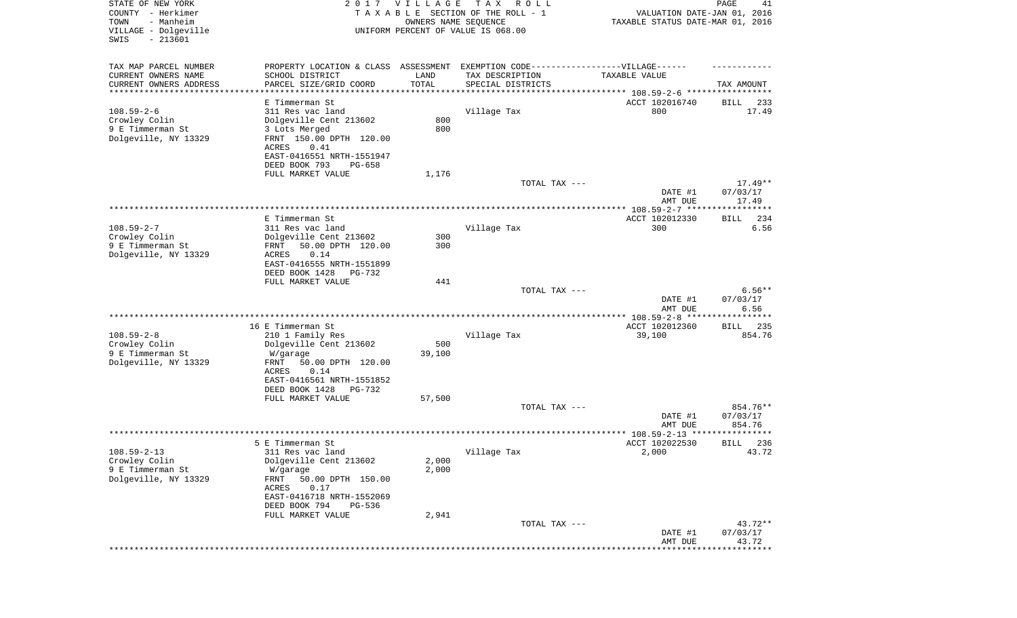| STATE OF NEW YORK<br>COUNTY - Herkimer<br>- Manheim<br>TOWN<br>VILLAGE - Dolgeville<br>SWIS<br>$-213601$ |                                                                                                     | 2017 VILLAGE<br>OWNERS NAME SEQUENCE | TAX ROLL<br>TAXABLE SECTION OF THE ROLL - 1<br>UNIFORM PERCENT OF VALUE IS 068.00 | VALUATION DATE-JAN 01, 2016<br>TAXABLE STATUS DATE-MAR 01, 2016 | PAGE<br>41            |
|----------------------------------------------------------------------------------------------------------|-----------------------------------------------------------------------------------------------------|--------------------------------------|-----------------------------------------------------------------------------------|-----------------------------------------------------------------|-----------------------|
| TAX MAP PARCEL NUMBER<br>CURRENT OWNERS NAME                                                             | PROPERTY LOCATION & CLASS ASSESSMENT EXEMPTION CODE----------------VILLAGE------<br>SCHOOL DISTRICT | LAND                                 | TAX DESCRIPTION                                                                   | TAXABLE VALUE                                                   |                       |
| CURRENT OWNERS ADDRESS                                                                                   | PARCEL SIZE/GRID COORD                                                                              | TOTAL                                | SPECIAL DISTRICTS                                                                 |                                                                 | TAX AMOUNT            |
| *********************                                                                                    | ****************<br>E Timmerman St                                                                  |                                      |                                                                                   | ACCT 102016740                                                  | 233<br>BILL           |
| $108.59 - 2 - 6$                                                                                         | 311 Res vac land                                                                                    |                                      | Village Tax                                                                       | 800                                                             | 17.49                 |
| Crowley Colin                                                                                            | Dolgeville Cent 213602                                                                              | 800                                  |                                                                                   |                                                                 |                       |
| 9 E Timmerman St                                                                                         | 3 Lots Merged                                                                                       | 800                                  |                                                                                   |                                                                 |                       |
| Dolgeville, NY 13329                                                                                     | FRNT 150.00 DPTH 120.00                                                                             |                                      |                                                                                   |                                                                 |                       |
|                                                                                                          | ACRES<br>0.41<br>EAST-0416551 NRTH-1551947                                                          |                                      |                                                                                   |                                                                 |                       |
|                                                                                                          | DEED BOOK 793<br>$PG-658$                                                                           |                                      |                                                                                   |                                                                 |                       |
|                                                                                                          | FULL MARKET VALUE                                                                                   | 1,176                                |                                                                                   |                                                                 |                       |
|                                                                                                          |                                                                                                     |                                      | TOTAL TAX ---                                                                     |                                                                 | $17.49**$             |
|                                                                                                          |                                                                                                     |                                      |                                                                                   | DATE #1<br>AMT DUE                                              | 07/03/17<br>17.49     |
|                                                                                                          |                                                                                                     |                                      |                                                                                   |                                                                 |                       |
|                                                                                                          | E Timmerman St                                                                                      |                                      |                                                                                   | ACCT 102012330                                                  | 234<br>BILL           |
| $108.59 - 2 - 7$                                                                                         | 311 Res vac land                                                                                    |                                      | Village Tax                                                                       | 300                                                             | 6.56                  |
| Crowley Colin<br>9 E Timmerman St                                                                        | Dolgeville Cent 213602<br>50.00 DPTH 120.00<br>FRNT                                                 | 300<br>300                           |                                                                                   |                                                                 |                       |
| Dolgeville, NY 13329                                                                                     | ACRES<br>0.14                                                                                       |                                      |                                                                                   |                                                                 |                       |
|                                                                                                          | EAST-0416555 NRTH-1551899                                                                           |                                      |                                                                                   |                                                                 |                       |
|                                                                                                          | DEED BOOK 1428<br>$PG-732$                                                                          |                                      |                                                                                   |                                                                 |                       |
|                                                                                                          | FULL MARKET VALUE                                                                                   | 441                                  |                                                                                   |                                                                 |                       |
|                                                                                                          |                                                                                                     |                                      | TOTAL TAX ---                                                                     | DATE #1                                                         | $6.56**$<br>07/03/17  |
|                                                                                                          |                                                                                                     |                                      |                                                                                   | AMT DUE                                                         | 6.56                  |
|                                                                                                          |                                                                                                     |                                      |                                                                                   | ************* 108.59-2-8 *****                                  | **********            |
|                                                                                                          | 16 E Timmerman St                                                                                   |                                      |                                                                                   | ACCT 102012360                                                  | 235<br>BILL           |
| $108.59 - 2 - 8$<br>Crowley Colin                                                                        | 210 1 Family Res<br>Dolgeville Cent 213602                                                          | 500                                  | Village Tax                                                                       | 39,100                                                          | 854.76                |
| 9 E Timmerman St                                                                                         | W/garage                                                                                            | 39,100                               |                                                                                   |                                                                 |                       |
| Dolgeville, NY 13329                                                                                     | FRNT<br>50.00 DPTH 120.00                                                                           |                                      |                                                                                   |                                                                 |                       |
|                                                                                                          | ACRES<br>0.14                                                                                       |                                      |                                                                                   |                                                                 |                       |
|                                                                                                          | EAST-0416561 NRTH-1551852                                                                           |                                      |                                                                                   |                                                                 |                       |
|                                                                                                          | DEED BOOK 1428<br>PG-732<br>FULL MARKET VALUE                                                       | 57,500                               |                                                                                   |                                                                 |                       |
|                                                                                                          |                                                                                                     |                                      | TOTAL TAX ---                                                                     |                                                                 | 854.76**              |
|                                                                                                          |                                                                                                     |                                      |                                                                                   | DATE #1                                                         | 07/03/17              |
|                                                                                                          |                                                                                                     |                                      |                                                                                   | AMT DUE                                                         | 854.76<br>* * * * * * |
|                                                                                                          | 5 E Timmerman St                                                                                    |                                      |                                                                                   | ACCT 102022530                                                  | 236<br>BILL           |
| $108.59 - 2 - 13$                                                                                        | 311 Res vac land                                                                                    |                                      | Village Tax                                                                       | 2,000                                                           | 43.72                 |
| Crowley Colin                                                                                            | Dolgeville Cent 213602                                                                              | 2,000                                |                                                                                   |                                                                 |                       |
| 9 E Timmerman St                                                                                         | W/garage                                                                                            | 2,000                                |                                                                                   |                                                                 |                       |
| Dolgeville, NY 13329                                                                                     | 50.00 DPTH 150.00<br>FRNT<br>0.17<br>ACRES                                                          |                                      |                                                                                   |                                                                 |                       |
|                                                                                                          | EAST-0416718 NRTH-1552069                                                                           |                                      |                                                                                   |                                                                 |                       |
|                                                                                                          | DEED BOOK 794<br>PG-536                                                                             |                                      |                                                                                   |                                                                 |                       |
|                                                                                                          | FULL MARKET VALUE                                                                                   | 2,941                                |                                                                                   |                                                                 |                       |
|                                                                                                          |                                                                                                     |                                      | TOTAL TAX ---                                                                     |                                                                 | 43.72**               |
|                                                                                                          |                                                                                                     |                                      |                                                                                   | DATE #1<br>AMT DUE                                              | 07/03/17<br>43.72     |
|                                                                                                          |                                                                                                     |                                      |                                                                                   | ****************                                                | **********            |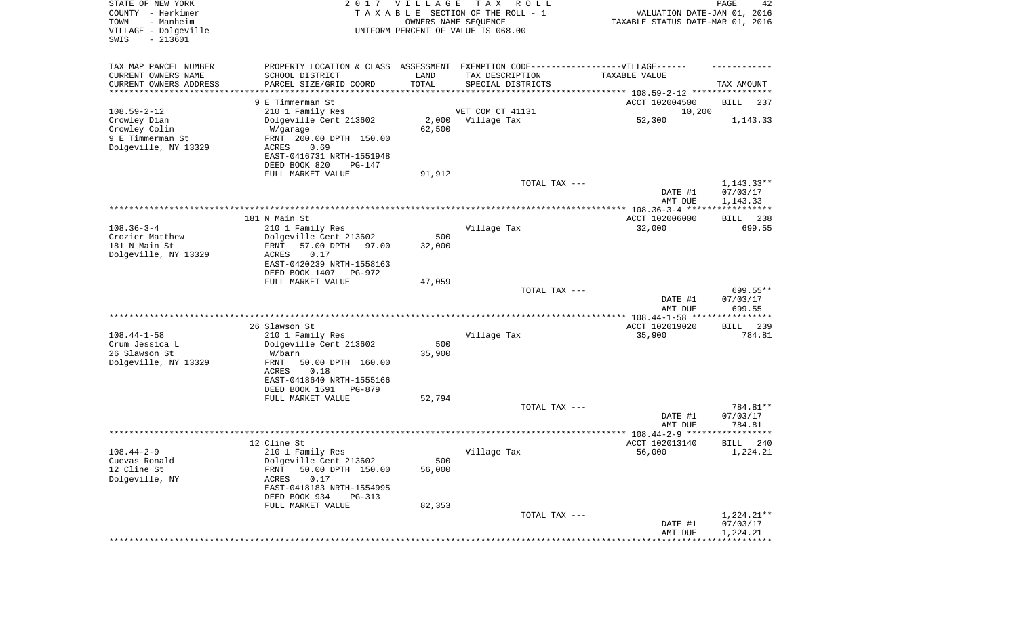| STATE OF NEW YORK<br>COUNTY - Herkimer<br>- Manheim<br>TOWN<br>VILLAGE - Dolgeville<br>$-213601$<br>SWIS |                                              | 2017 VILLAGE<br>OWNERS NAME SEQUENCE | T A X<br>R O L L<br>TAXABLE SECTION OF THE ROLL - 1<br>UNIFORM PERCENT OF VALUE IS 068.00 | VALUATION DATE-JAN 01, 2016<br>TAXABLE STATUS DATE-MAR 01, 2016 | PAGE<br>42            |
|----------------------------------------------------------------------------------------------------------|----------------------------------------------|--------------------------------------|-------------------------------------------------------------------------------------------|-----------------------------------------------------------------|-----------------------|
| TAX MAP PARCEL NUMBER                                                                                    | PROPERTY LOCATION & CLASS ASSESSMENT         |                                      |                                                                                           |                                                                 |                       |
| CURRENT OWNERS NAME                                                                                      | SCHOOL DISTRICT                              | LAND                                 | TAX DESCRIPTION                                                                           | TAXABLE VALUE                                                   |                       |
| CURRENT OWNERS ADDRESS<br>*********************                                                          | PARCEL SIZE/GRID COORD<br>****************** | TOTAL                                | SPECIAL DISTRICTS                                                                         |                                                                 | TAX AMOUNT            |
|                                                                                                          | 9 E Timmerman St                             |                                      |                                                                                           | ACCT 102004500                                                  | BILL<br>237           |
| $108.59 - 2 - 12$                                                                                        | 210 1 Family Res                             |                                      | VET COM CT 41131                                                                          | 10,200                                                          |                       |
| Crowley Dian                                                                                             | Dolgeville Cent 213602                       | 2,000                                | Village Tax                                                                               | 52,300                                                          | 1,143.33              |
| Crowley Colin                                                                                            | W/garage                                     | 62,500                               |                                                                                           |                                                                 |                       |
| 9 E Timmerman St                                                                                         | FRNT 200.00 DPTH 150.00                      |                                      |                                                                                           |                                                                 |                       |
| Dolgeville, NY 13329                                                                                     | ACRES<br>0.69<br>EAST-0416731 NRTH-1551948   |                                      |                                                                                           |                                                                 |                       |
|                                                                                                          | DEED BOOK 820<br>PG-147                      |                                      |                                                                                           |                                                                 |                       |
|                                                                                                          | FULL MARKET VALUE                            | 91,912                               |                                                                                           |                                                                 |                       |
|                                                                                                          |                                              |                                      | TOTAL TAX ---                                                                             |                                                                 | $1,143.33**$          |
|                                                                                                          |                                              |                                      |                                                                                           | DATE #1                                                         | 07/03/17              |
|                                                                                                          |                                              |                                      |                                                                                           | AMT DUE                                                         | 1,143.33              |
|                                                                                                          | 181 N Main St                                |                                      |                                                                                           | ACCT 102006000                                                  | 238<br>BILL           |
| $108.36 - 3 - 4$                                                                                         | 210 1 Family Res                             |                                      | Village Tax                                                                               | 32,000                                                          | 699.55                |
| Crozier Matthew                                                                                          | Dolgeville Cent 213602                       | 500                                  |                                                                                           |                                                                 |                       |
| 181 N Main St                                                                                            | FRNT<br>57.00 DPTH<br>97.00                  | 32,000                               |                                                                                           |                                                                 |                       |
| Dolgeville, NY 13329                                                                                     | ACRES<br>0.17<br>EAST-0420239 NRTH-1558163   |                                      |                                                                                           |                                                                 |                       |
|                                                                                                          | DEED BOOK 1407<br>PG-972                     |                                      |                                                                                           |                                                                 |                       |
|                                                                                                          | FULL MARKET VALUE                            | 47,059                               |                                                                                           |                                                                 |                       |
|                                                                                                          |                                              |                                      | TOTAL TAX ---                                                                             |                                                                 | 699.55**              |
|                                                                                                          |                                              |                                      |                                                                                           | DATE #1                                                         | 07/03/17              |
|                                                                                                          |                                              |                                      |                                                                                           | AMT DUE<br>************ 108.44-1-58 ****                        | 699.55<br>*********** |
|                                                                                                          | 26 Slawson St                                |                                      |                                                                                           | ACCT 102019020                                                  | 239<br><b>BILL</b>    |
| $108.44 - 1 - 58$                                                                                        | 210 1 Family Res                             |                                      | Village Tax                                                                               | 35,900                                                          | 784.81                |
| Crum Jessica L                                                                                           | Dolgeville Cent 213602                       | 500                                  |                                                                                           |                                                                 |                       |
| 26 Slawson St                                                                                            | W/barn                                       | 35,900                               |                                                                                           |                                                                 |                       |
| Dolgeville, NY 13329                                                                                     | FRNT<br>50.00 DPTH 160.00<br>ACRES<br>0.18   |                                      |                                                                                           |                                                                 |                       |
|                                                                                                          | EAST-0418640 NRTH-1555166                    |                                      |                                                                                           |                                                                 |                       |
|                                                                                                          | DEED BOOK 1591<br>PG-879                     |                                      |                                                                                           |                                                                 |                       |
|                                                                                                          | FULL MARKET VALUE                            | 52,794                               |                                                                                           |                                                                 |                       |
|                                                                                                          |                                              |                                      | TOTAL TAX ---                                                                             |                                                                 | 784.81**              |
|                                                                                                          |                                              |                                      |                                                                                           | DATE #1                                                         | 07/03/17<br>784.81    |
|                                                                                                          |                                              |                                      |                                                                                           | AMT DUE                                                         | ******                |
|                                                                                                          | 12 Cline St                                  |                                      |                                                                                           | ACCT 102013140                                                  | 240<br>BILL           |
| $108.44 - 2 - 9$                                                                                         | 210 1 Family Res                             |                                      | Village Tax                                                                               | 56,000                                                          | 1,224.21              |
| Cuevas Ronald                                                                                            | Dolgeville Cent 213602                       | 500                                  |                                                                                           |                                                                 |                       |
| 12 Cline St                                                                                              | 50.00 DPTH 150.00<br>FRNT                    | 56,000                               |                                                                                           |                                                                 |                       |
| Dolgeville, NY                                                                                           | ACRES<br>0.17<br>EAST-0418183 NRTH-1554995   |                                      |                                                                                           |                                                                 |                       |
|                                                                                                          | DEED BOOK 934<br>PG-313                      |                                      |                                                                                           |                                                                 |                       |
|                                                                                                          | FULL MARKET VALUE                            | 82,353                               |                                                                                           |                                                                 |                       |
|                                                                                                          |                                              |                                      | TOTAL TAX ---                                                                             |                                                                 | $1,224.21**$          |
|                                                                                                          |                                              |                                      |                                                                                           | DATE #1                                                         | 07/03/17              |
|                                                                                                          |                                              |                                      |                                                                                           | AMT DUE                                                         | 1,224.21              |
|                                                                                                          |                                              |                                      |                                                                                           |                                                                 |                       |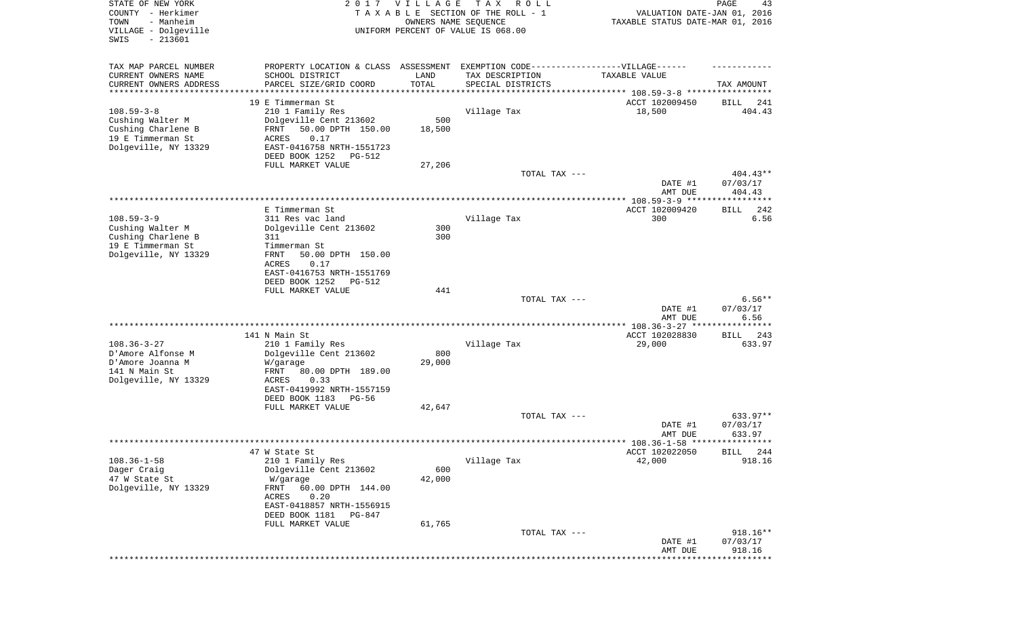| TAX MAP PARCEL NUMBER<br>EXEMPTION CODE------------------VILLAGE------<br>PROPERTY LOCATION & CLASS ASSESSMENT<br>CURRENT OWNERS NAME<br>SCHOOL DISTRICT<br>LAND<br>TAX DESCRIPTION<br>TAXABLE VALUE<br>CURRENT OWNERS ADDRESS<br>PARCEL SIZE/GRID COORD<br>TOTAL<br>SPECIAL DISTRICTS<br>*********************<br>*****************<br>* * * * * * * * * * *<br>********************************* 108.59-3-8 *****************<br>19 E Timmerman St<br>ACCT 102009450<br>BILL<br>$108.59 - 3 - 8$<br>210 1 Family Res<br>Village Tax<br>18,500<br>Cushing Walter M<br>Dolgeville Cent 213602<br>500<br>Cushing Charlene B<br>50.00 DPTH 150.00<br>18,500<br>FRNT<br>19 E Timmerman St<br>ACRES<br>0.17<br>Dolgeville, NY 13329<br>EAST-0416758 NRTH-1551723<br>DEED BOOK 1252<br>PG-512<br>FULL MARKET VALUE<br>27,206<br>TOTAL TAX ---<br>DATE #1<br>AMT DUE<br>E Timmerman St.<br>ACCT 102009420<br>BILL<br>$108.59 - 3 - 9$<br>311 Res vac land<br>Village Tax<br>300<br>Dolgeville Cent 213602<br>Cushing Walter M<br>300<br>300<br>Cushing Charlene B<br>311<br>19 E Timmerman St<br>Timmerman St<br>Dolgeville, NY 13329<br>FRNT<br>50.00 DPTH 150.00<br><b>ACRES</b><br>0.17<br>EAST-0416753 NRTH-1551769<br>DEED BOOK 1252<br>PG-512<br>FULL MARKET VALUE<br>441<br>TOTAL TAX ---<br>DATE #1<br>07/03/17<br>AMT DUE<br>141 N Main St<br>ACCT 102028830<br>BILL<br>$108.36 - 3 - 27$<br>210 1 Family Res<br>Village Tax<br>29,000<br>D'Amore Alfonse M<br>Dolgeville Cent 213602<br>800<br>D'Amore Joanna M<br>29,000<br>W/garage<br>141 N Main St<br>FRNT<br>80.00 DPTH 189.00<br>Dolgeville, NY 13329<br>0.33<br>ACRES<br>EAST-0419992 NRTH-1557159<br>DEED BOOK 1183<br>PG-56<br>42,647<br>FULL MARKET VALUE<br>TOTAL TAX --- | STATE OF NEW YORK<br>COUNTY - Herkimer<br>- Manheim<br>TOWN<br>VILLAGE - Dolgeville<br>SWIS<br>$-213601$ | 2 0 1 7 | <b>VILLAGE</b><br>OWNERS NAME SEQUENCE | T A X<br>R O L L<br>TAXABLE SECTION OF THE ROLL - 1<br>UNIFORM PERCENT OF VALUE IS 068.00 | VALUATION DATE-JAN 01, 2016<br>TAXABLE STATUS DATE-MAR 01, 2016 | PAGE<br>43         |
|------------------------------------------------------------------------------------------------------------------------------------------------------------------------------------------------------------------------------------------------------------------------------------------------------------------------------------------------------------------------------------------------------------------------------------------------------------------------------------------------------------------------------------------------------------------------------------------------------------------------------------------------------------------------------------------------------------------------------------------------------------------------------------------------------------------------------------------------------------------------------------------------------------------------------------------------------------------------------------------------------------------------------------------------------------------------------------------------------------------------------------------------------------------------------------------------------------------------------------------------------------------------------------------------------------------------------------------------------------------------------------------------------------------------------------------------------------------------------------------------------------------------------------------------------------------------------------------------------------------------------------------------------------------------------------------------------------------------------------------|----------------------------------------------------------------------------------------------------------|---------|----------------------------------------|-------------------------------------------------------------------------------------------|-----------------------------------------------------------------|--------------------|
|                                                                                                                                                                                                                                                                                                                                                                                                                                                                                                                                                                                                                                                                                                                                                                                                                                                                                                                                                                                                                                                                                                                                                                                                                                                                                                                                                                                                                                                                                                                                                                                                                                                                                                                                          |                                                                                                          |         |                                        |                                                                                           |                                                                 |                    |
|                                                                                                                                                                                                                                                                                                                                                                                                                                                                                                                                                                                                                                                                                                                                                                                                                                                                                                                                                                                                                                                                                                                                                                                                                                                                                                                                                                                                                                                                                                                                                                                                                                                                                                                                          |                                                                                                          |         |                                        |                                                                                           |                                                                 | TAX AMOUNT         |
|                                                                                                                                                                                                                                                                                                                                                                                                                                                                                                                                                                                                                                                                                                                                                                                                                                                                                                                                                                                                                                                                                                                                                                                                                                                                                                                                                                                                                                                                                                                                                                                                                                                                                                                                          |                                                                                                          |         |                                        |                                                                                           |                                                                 | 241                |
|                                                                                                                                                                                                                                                                                                                                                                                                                                                                                                                                                                                                                                                                                                                                                                                                                                                                                                                                                                                                                                                                                                                                                                                                                                                                                                                                                                                                                                                                                                                                                                                                                                                                                                                                          |                                                                                                          |         |                                        |                                                                                           |                                                                 | 404.43             |
|                                                                                                                                                                                                                                                                                                                                                                                                                                                                                                                                                                                                                                                                                                                                                                                                                                                                                                                                                                                                                                                                                                                                                                                                                                                                                                                                                                                                                                                                                                                                                                                                                                                                                                                                          |                                                                                                          |         |                                        |                                                                                           |                                                                 |                    |
|                                                                                                                                                                                                                                                                                                                                                                                                                                                                                                                                                                                                                                                                                                                                                                                                                                                                                                                                                                                                                                                                                                                                                                                                                                                                                                                                                                                                                                                                                                                                                                                                                                                                                                                                          |                                                                                                          |         |                                        |                                                                                           |                                                                 |                    |
|                                                                                                                                                                                                                                                                                                                                                                                                                                                                                                                                                                                                                                                                                                                                                                                                                                                                                                                                                                                                                                                                                                                                                                                                                                                                                                                                                                                                                                                                                                                                                                                                                                                                                                                                          |                                                                                                          |         |                                        |                                                                                           |                                                                 |                    |
|                                                                                                                                                                                                                                                                                                                                                                                                                                                                                                                                                                                                                                                                                                                                                                                                                                                                                                                                                                                                                                                                                                                                                                                                                                                                                                                                                                                                                                                                                                                                                                                                                                                                                                                                          |                                                                                                          |         |                                        |                                                                                           |                                                                 |                    |
|                                                                                                                                                                                                                                                                                                                                                                                                                                                                                                                                                                                                                                                                                                                                                                                                                                                                                                                                                                                                                                                                                                                                                                                                                                                                                                                                                                                                                                                                                                                                                                                                                                                                                                                                          |                                                                                                          |         |                                        |                                                                                           |                                                                 |                    |
|                                                                                                                                                                                                                                                                                                                                                                                                                                                                                                                                                                                                                                                                                                                                                                                                                                                                                                                                                                                                                                                                                                                                                                                                                                                                                                                                                                                                                                                                                                                                                                                                                                                                                                                                          |                                                                                                          |         |                                        |                                                                                           |                                                                 | $404.43**$         |
|                                                                                                                                                                                                                                                                                                                                                                                                                                                                                                                                                                                                                                                                                                                                                                                                                                                                                                                                                                                                                                                                                                                                                                                                                                                                                                                                                                                                                                                                                                                                                                                                                                                                                                                                          |                                                                                                          |         |                                        |                                                                                           |                                                                 | 07/03/17<br>404.43 |
|                                                                                                                                                                                                                                                                                                                                                                                                                                                                                                                                                                                                                                                                                                                                                                                                                                                                                                                                                                                                                                                                                                                                                                                                                                                                                                                                                                                                                                                                                                                                                                                                                                                                                                                                          |                                                                                                          |         |                                        |                                                                                           |                                                                 |                    |
|                                                                                                                                                                                                                                                                                                                                                                                                                                                                                                                                                                                                                                                                                                                                                                                                                                                                                                                                                                                                                                                                                                                                                                                                                                                                                                                                                                                                                                                                                                                                                                                                                                                                                                                                          |                                                                                                          |         |                                        |                                                                                           |                                                                 | 242<br>6.56        |
|                                                                                                                                                                                                                                                                                                                                                                                                                                                                                                                                                                                                                                                                                                                                                                                                                                                                                                                                                                                                                                                                                                                                                                                                                                                                                                                                                                                                                                                                                                                                                                                                                                                                                                                                          |                                                                                                          |         |                                        |                                                                                           |                                                                 |                    |
|                                                                                                                                                                                                                                                                                                                                                                                                                                                                                                                                                                                                                                                                                                                                                                                                                                                                                                                                                                                                                                                                                                                                                                                                                                                                                                                                                                                                                                                                                                                                                                                                                                                                                                                                          |                                                                                                          |         |                                        |                                                                                           |                                                                 |                    |
|                                                                                                                                                                                                                                                                                                                                                                                                                                                                                                                                                                                                                                                                                                                                                                                                                                                                                                                                                                                                                                                                                                                                                                                                                                                                                                                                                                                                                                                                                                                                                                                                                                                                                                                                          |                                                                                                          |         |                                        |                                                                                           |                                                                 |                    |
|                                                                                                                                                                                                                                                                                                                                                                                                                                                                                                                                                                                                                                                                                                                                                                                                                                                                                                                                                                                                                                                                                                                                                                                                                                                                                                                                                                                                                                                                                                                                                                                                                                                                                                                                          |                                                                                                          |         |                                        |                                                                                           |                                                                 |                    |
|                                                                                                                                                                                                                                                                                                                                                                                                                                                                                                                                                                                                                                                                                                                                                                                                                                                                                                                                                                                                                                                                                                                                                                                                                                                                                                                                                                                                                                                                                                                                                                                                                                                                                                                                          |                                                                                                          |         |                                        |                                                                                           |                                                                 |                    |
|                                                                                                                                                                                                                                                                                                                                                                                                                                                                                                                                                                                                                                                                                                                                                                                                                                                                                                                                                                                                                                                                                                                                                                                                                                                                                                                                                                                                                                                                                                                                                                                                                                                                                                                                          |                                                                                                          |         |                                        |                                                                                           |                                                                 |                    |
|                                                                                                                                                                                                                                                                                                                                                                                                                                                                                                                                                                                                                                                                                                                                                                                                                                                                                                                                                                                                                                                                                                                                                                                                                                                                                                                                                                                                                                                                                                                                                                                                                                                                                                                                          |                                                                                                          |         |                                        |                                                                                           |                                                                 |                    |
|                                                                                                                                                                                                                                                                                                                                                                                                                                                                                                                                                                                                                                                                                                                                                                                                                                                                                                                                                                                                                                                                                                                                                                                                                                                                                                                                                                                                                                                                                                                                                                                                                                                                                                                                          |                                                                                                          |         |                                        |                                                                                           |                                                                 | $6.56**$           |
|                                                                                                                                                                                                                                                                                                                                                                                                                                                                                                                                                                                                                                                                                                                                                                                                                                                                                                                                                                                                                                                                                                                                                                                                                                                                                                                                                                                                                                                                                                                                                                                                                                                                                                                                          |                                                                                                          |         |                                        |                                                                                           |                                                                 | 6.56               |
|                                                                                                                                                                                                                                                                                                                                                                                                                                                                                                                                                                                                                                                                                                                                                                                                                                                                                                                                                                                                                                                                                                                                                                                                                                                                                                                                                                                                                                                                                                                                                                                                                                                                                                                                          |                                                                                                          |         |                                        |                                                                                           |                                                                 | ***********        |
|                                                                                                                                                                                                                                                                                                                                                                                                                                                                                                                                                                                                                                                                                                                                                                                                                                                                                                                                                                                                                                                                                                                                                                                                                                                                                                                                                                                                                                                                                                                                                                                                                                                                                                                                          |                                                                                                          |         |                                        |                                                                                           |                                                                 | 243                |
|                                                                                                                                                                                                                                                                                                                                                                                                                                                                                                                                                                                                                                                                                                                                                                                                                                                                                                                                                                                                                                                                                                                                                                                                                                                                                                                                                                                                                                                                                                                                                                                                                                                                                                                                          |                                                                                                          |         |                                        |                                                                                           |                                                                 | 633.97             |
|                                                                                                                                                                                                                                                                                                                                                                                                                                                                                                                                                                                                                                                                                                                                                                                                                                                                                                                                                                                                                                                                                                                                                                                                                                                                                                                                                                                                                                                                                                                                                                                                                                                                                                                                          |                                                                                                          |         |                                        |                                                                                           |                                                                 |                    |
|                                                                                                                                                                                                                                                                                                                                                                                                                                                                                                                                                                                                                                                                                                                                                                                                                                                                                                                                                                                                                                                                                                                                                                                                                                                                                                                                                                                                                                                                                                                                                                                                                                                                                                                                          |                                                                                                          |         |                                        |                                                                                           |                                                                 |                    |
|                                                                                                                                                                                                                                                                                                                                                                                                                                                                                                                                                                                                                                                                                                                                                                                                                                                                                                                                                                                                                                                                                                                                                                                                                                                                                                                                                                                                                                                                                                                                                                                                                                                                                                                                          |                                                                                                          |         |                                        |                                                                                           |                                                                 |                    |
|                                                                                                                                                                                                                                                                                                                                                                                                                                                                                                                                                                                                                                                                                                                                                                                                                                                                                                                                                                                                                                                                                                                                                                                                                                                                                                                                                                                                                                                                                                                                                                                                                                                                                                                                          |                                                                                                          |         |                                        |                                                                                           |                                                                 |                    |
|                                                                                                                                                                                                                                                                                                                                                                                                                                                                                                                                                                                                                                                                                                                                                                                                                                                                                                                                                                                                                                                                                                                                                                                                                                                                                                                                                                                                                                                                                                                                                                                                                                                                                                                                          |                                                                                                          |         |                                        |                                                                                           |                                                                 |                    |
|                                                                                                                                                                                                                                                                                                                                                                                                                                                                                                                                                                                                                                                                                                                                                                                                                                                                                                                                                                                                                                                                                                                                                                                                                                                                                                                                                                                                                                                                                                                                                                                                                                                                                                                                          |                                                                                                          |         |                                        |                                                                                           |                                                                 | 633.97**           |
| DATE #1                                                                                                                                                                                                                                                                                                                                                                                                                                                                                                                                                                                                                                                                                                                                                                                                                                                                                                                                                                                                                                                                                                                                                                                                                                                                                                                                                                                                                                                                                                                                                                                                                                                                                                                                  |                                                                                                          |         |                                        |                                                                                           |                                                                 | 07/03/17           |
| AMT DUE                                                                                                                                                                                                                                                                                                                                                                                                                                                                                                                                                                                                                                                                                                                                                                                                                                                                                                                                                                                                                                                                                                                                                                                                                                                                                                                                                                                                                                                                                                                                                                                                                                                                                                                                  |                                                                                                          |         |                                        |                                                                                           |                                                                 | 633.97             |
|                                                                                                                                                                                                                                                                                                                                                                                                                                                                                                                                                                                                                                                                                                                                                                                                                                                                                                                                                                                                                                                                                                                                                                                                                                                                                                                                                                                                                                                                                                                                                                                                                                                                                                                                          |                                                                                                          |         |                                        |                                                                                           |                                                                 |                    |
| 47 W State St<br>ACCT 102022050<br>$108.36 - 1 - 58$<br>Village Tax<br>42,000<br>210 1 Family Res                                                                                                                                                                                                                                                                                                                                                                                                                                                                                                                                                                                                                                                                                                                                                                                                                                                                                                                                                                                                                                                                                                                                                                                                                                                                                                                                                                                                                                                                                                                                                                                                                                        |                                                                                                          |         |                                        |                                                                                           |                                                                 | BILL 244<br>918.16 |
| Dolgeville Cent 213602<br>Dager Craig<br>600                                                                                                                                                                                                                                                                                                                                                                                                                                                                                                                                                                                                                                                                                                                                                                                                                                                                                                                                                                                                                                                                                                                                                                                                                                                                                                                                                                                                                                                                                                                                                                                                                                                                                             |                                                                                                          |         |                                        |                                                                                           |                                                                 |                    |
| 47 W State St<br>42,000<br>W/garage                                                                                                                                                                                                                                                                                                                                                                                                                                                                                                                                                                                                                                                                                                                                                                                                                                                                                                                                                                                                                                                                                                                                                                                                                                                                                                                                                                                                                                                                                                                                                                                                                                                                                                      |                                                                                                          |         |                                        |                                                                                           |                                                                 |                    |
| Dolgeville, NY 13329<br>FRNT<br>60.00 DPTH 144.00                                                                                                                                                                                                                                                                                                                                                                                                                                                                                                                                                                                                                                                                                                                                                                                                                                                                                                                                                                                                                                                                                                                                                                                                                                                                                                                                                                                                                                                                                                                                                                                                                                                                                        |                                                                                                          |         |                                        |                                                                                           |                                                                 |                    |
| ACRES<br>0.20<br>EAST-0418857 NRTH-1556915                                                                                                                                                                                                                                                                                                                                                                                                                                                                                                                                                                                                                                                                                                                                                                                                                                                                                                                                                                                                                                                                                                                                                                                                                                                                                                                                                                                                                                                                                                                                                                                                                                                                                               |                                                                                                          |         |                                        |                                                                                           |                                                                 |                    |
| DEED BOOK 1181<br>PG-847                                                                                                                                                                                                                                                                                                                                                                                                                                                                                                                                                                                                                                                                                                                                                                                                                                                                                                                                                                                                                                                                                                                                                                                                                                                                                                                                                                                                                                                                                                                                                                                                                                                                                                                 |                                                                                                          |         |                                        |                                                                                           |                                                                 |                    |
| FULL MARKET VALUE<br>61,765                                                                                                                                                                                                                                                                                                                                                                                                                                                                                                                                                                                                                                                                                                                                                                                                                                                                                                                                                                                                                                                                                                                                                                                                                                                                                                                                                                                                                                                                                                                                                                                                                                                                                                              |                                                                                                          |         |                                        |                                                                                           |                                                                 |                    |
| TOTAL TAX ---                                                                                                                                                                                                                                                                                                                                                                                                                                                                                                                                                                                                                                                                                                                                                                                                                                                                                                                                                                                                                                                                                                                                                                                                                                                                                                                                                                                                                                                                                                                                                                                                                                                                                                                            |                                                                                                          |         |                                        |                                                                                           |                                                                 | 918.16**           |
| DATE #1<br>AMT DUE                                                                                                                                                                                                                                                                                                                                                                                                                                                                                                                                                                                                                                                                                                                                                                                                                                                                                                                                                                                                                                                                                                                                                                                                                                                                                                                                                                                                                                                                                                                                                                                                                                                                                                                       |                                                                                                          |         |                                        |                                                                                           |                                                                 | 07/03/17<br>918.16 |
|                                                                                                                                                                                                                                                                                                                                                                                                                                                                                                                                                                                                                                                                                                                                                                                                                                                                                                                                                                                                                                                                                                                                                                                                                                                                                                                                                                                                                                                                                                                                                                                                                                                                                                                                          |                                                                                                          |         |                                        |                                                                                           |                                                                 | ***********        |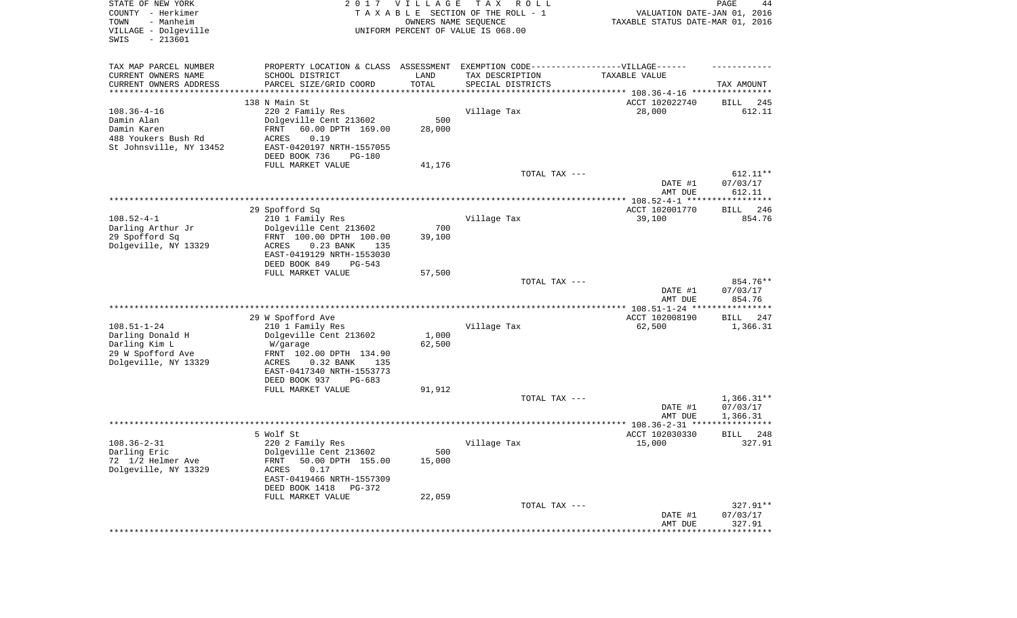| STATE OF NEW YORK<br>COUNTY - Herkimer<br>TOWN<br>- Manheim<br>VILLAGE - Dolgeville<br>SWIS<br>$-213601$ | 2017                                                                                                                                                                                        | VILLAGE<br>OWNERS NAME SEQUENCE        | T A X<br>R O L L<br>TAXABLE SECTION OF THE ROLL - 1<br>UNIFORM PERCENT OF VALUE IS 068.00                                                                   | VALUATION DATE-JAN 01, 2016<br>TAXABLE STATUS DATE-MAR 01, 2016 | PAGE<br>44                           |
|----------------------------------------------------------------------------------------------------------|---------------------------------------------------------------------------------------------------------------------------------------------------------------------------------------------|----------------------------------------|-------------------------------------------------------------------------------------------------------------------------------------------------------------|-----------------------------------------------------------------|--------------------------------------|
| TAX MAP PARCEL NUMBER<br>CURRENT OWNERS NAME<br>CURRENT OWNERS ADDRESS<br>*********************          | PROPERTY LOCATION & CLASS ASSESSMENT<br>SCHOOL DISTRICT<br>PARCEL SIZE/GRID COORD                                                                                                           | LAND<br>TOTAL<br>* * * * * * * * * * * | EXEMPTION CODE-----------------VILLAGE------<br>TAX DESCRIPTION<br>SPECIAL DISTRICTS<br>************************************* 108.36-4-16 ***************** | TAXABLE VALUE                                                   | TAX AMOUNT                           |
| $108.36 - 4 - 16$<br>Damin Alan<br>Damin Karen<br>488 Youkers Bush Rd<br>St Johnsville, NY 13452         | 138 N Main St<br>220 2 Family Res<br>Dolgeville Cent 213602<br>60.00 DPTH 169.00<br>FRNT<br>ACRES<br>0.19<br>EAST-0420197 NRTH-1557055<br>DEED BOOK 736<br>PG-180<br>FULL MARKET VALUE      | 500<br>28,000<br>41,176                | Village Tax                                                                                                                                                 | ACCT 102022740<br>28,000                                        | 245<br>BILL<br>612.11                |
|                                                                                                          |                                                                                                                                                                                             |                                        | TOTAL TAX ---                                                                                                                                               | DATE #1<br>AMT DUE                                              | 612.11**<br>07/03/17<br>612.11       |
|                                                                                                          |                                                                                                                                                                                             |                                        |                                                                                                                                                             |                                                                 |                                      |
| $108.52 - 4 - 1$<br>Darling Arthur Jr<br>29 Spofford Sq<br>Dolgeville, NY 13329                          | 29 Spofford Sq<br>210 1 Family Res<br>Dolgeville Cent 213602<br>FRNT 100.00 DPTH 100.00<br>ACRES<br>0.23 BANK<br>135<br>EAST-0419129 NRTH-1553030<br>DEED BOOK 849<br>PG-543                | 700<br>39,100                          | Village Tax                                                                                                                                                 | ACCT 102001770<br>39,100                                        | 246<br>BILL<br>854.76                |
|                                                                                                          | FULL MARKET VALUE                                                                                                                                                                           | 57,500                                 | TOTAL TAX ---                                                                                                                                               | DATE #1<br>AMT DUE                                              | 854.76**<br>07/03/17<br>854.76       |
|                                                                                                          |                                                                                                                                                                                             |                                        |                                                                                                                                                             |                                                                 |                                      |
| $108.51 - 1 - 24$<br>Darling Donald H<br>Darling Kim L<br>29 W Spofford Ave<br>Dolgeville, NY 13329      | 29 W Spofford Ave<br>210 1 Family Res<br>Dolgeville Cent 213602<br>W/garage<br>FRNT 102.00 DPTH 134.90<br>ACRES<br>0.32 BANK<br>135<br>EAST-0417340 NRTH-1553773<br>DEED BOOK 937<br>PG-683 | 1,000<br>62,500                        | Village Tax                                                                                                                                                 | ACCT 102008190<br>62,500                                        | <b>BILL</b><br>247<br>1,366.31       |
|                                                                                                          | FULL MARKET VALUE                                                                                                                                                                           | 91,912                                 | TOTAL TAX ---                                                                                                                                               | DATE #1                                                         | $1,366.31**$<br>07/03/17<br>1,366.31 |
|                                                                                                          |                                                                                                                                                                                             |                                        |                                                                                                                                                             | AMT DUE                                                         |                                      |
| $108.36 - 2 - 31$<br>Darling Eric<br>72 1/2 Helmer Ave<br>Dolgeville, NY 13329                           | 5 Wolf St<br>220 2 Family Res<br>Dolgeville Cent 213602<br>50.00 DPTH 155.00<br>FRNT<br>ACRES<br>0.17<br>EAST-0419466 NRTH-1557309<br>DEED BOOK 1418 PG-372<br>FULL MARKET VALUE            | 500<br>15,000<br>22,059                | Village Tax                                                                                                                                                 | ACCT 102030330<br>15,000                                        | 248<br><b>BILL</b><br>327.91         |
|                                                                                                          |                                                                                                                                                                                             |                                        | TOTAL TAX ---                                                                                                                                               | DATE #1<br>AMT DUE                                              | 327.91**<br>07/03/17<br>327.91       |
|                                                                                                          |                                                                                                                                                                                             |                                        |                                                                                                                                                             | ***********************************                             |                                      |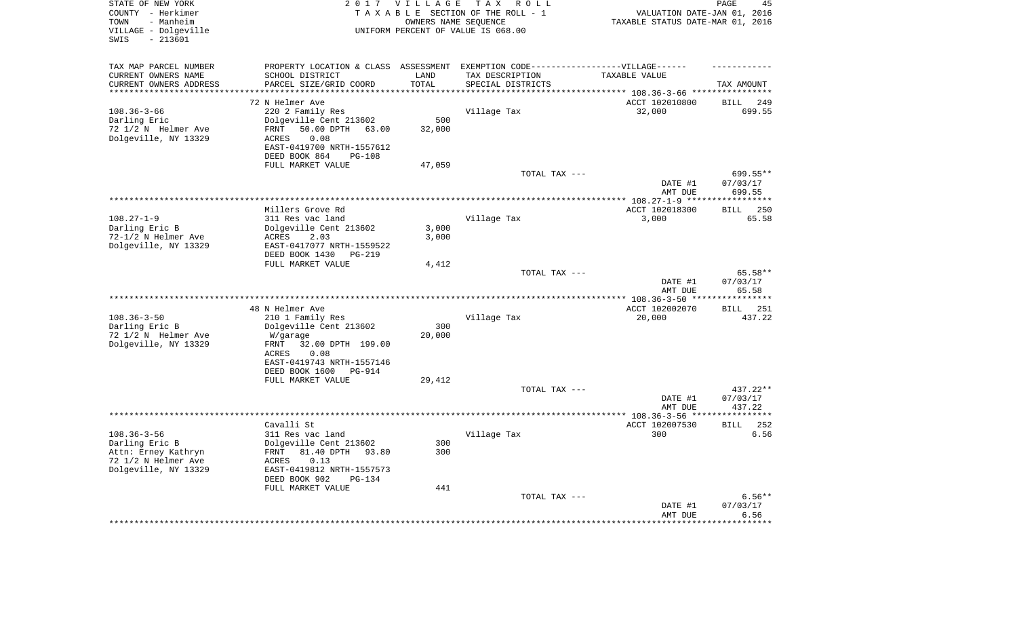| STATE OF NEW YORK<br>COUNTY - Herkimer<br>- Manheim<br>TOWN<br>VILLAGE - Dolgeville<br>$-213601$<br>SWIS |                                                                                   | 2017 VILLAGE               | TAX ROLL<br>TAXABLE SECTION OF THE ROLL - 1<br>OWNERS NAME SEQUENCE<br>UNIFORM PERCENT OF VALUE IS 068.00 | VALUATION DATE-JAN 01, 2016<br>TAXABLE STATUS DATE-MAR 01, 2016 | PAGE<br>45                   |
|----------------------------------------------------------------------------------------------------------|-----------------------------------------------------------------------------------|----------------------------|-----------------------------------------------------------------------------------------------------------|-----------------------------------------------------------------|------------------------------|
| TAX MAP PARCEL NUMBER                                                                                    | PROPERTY LOCATION & CLASS ASSESSMENT EXEMPTION CODE-----------------VILLAGE------ |                            |                                                                                                           |                                                                 |                              |
| CURRENT OWNERS NAME                                                                                      | SCHOOL DISTRICT                                                                   | LAND                       | TAX DESCRIPTION                                                                                           | TAXABLE VALUE                                                   |                              |
| CURRENT OWNERS ADDRESS<br>********************                                                           | PARCEL SIZE/GRID COORD                                                            | TOTAL<br>* * * * * * * * * | SPECIAL DISTRICTS                                                                                         |                                                                 | TAX AMOUNT                   |
|                                                                                                          | 72 N Helmer Ave                                                                   |                            |                                                                                                           | ******************************** 108.36-3-66 *****************  |                              |
| $108.36 - 3 - 66$                                                                                        | 220 2 Family Res                                                                  |                            | Village Tax                                                                                               | ACCT 102010800<br>32,000                                        | <b>BILL</b><br>249<br>699.55 |
| Darling Eric                                                                                             | Dolgeville Cent 213602                                                            | 500                        |                                                                                                           |                                                                 |                              |
| 72 1/2 N Helmer Ave                                                                                      | 50.00 DPTH<br>FRNT<br>63.00                                                       | 32,000                     |                                                                                                           |                                                                 |                              |
| Dolgeville, NY 13329                                                                                     | 0.08<br>ACRES                                                                     |                            |                                                                                                           |                                                                 |                              |
|                                                                                                          | EAST-0419700 NRTH-1557612                                                         |                            |                                                                                                           |                                                                 |                              |
|                                                                                                          | DEED BOOK 864<br>$PG-108$                                                         |                            |                                                                                                           |                                                                 |                              |
|                                                                                                          | FULL MARKET VALUE                                                                 | 47,059                     |                                                                                                           |                                                                 |                              |
|                                                                                                          |                                                                                   |                            | TOTAL TAX ---                                                                                             |                                                                 | 699.55**                     |
|                                                                                                          |                                                                                   |                            |                                                                                                           | DATE #1                                                         | 07/03/17                     |
|                                                                                                          |                                                                                   |                            |                                                                                                           | AMT DUE<br>******** 108.27-1-9 ****                             | 699.55<br>******             |
|                                                                                                          | Millers Grove Rd                                                                  |                            |                                                                                                           | ACCT 102018300                                                  | 250<br><b>BILL</b>           |
| $108.27 - 1 - 9$                                                                                         | 311 Res vac land                                                                  |                            | Village Tax                                                                                               | 3,000                                                           | 65.58                        |
| Darling Eric B                                                                                           | Dolgeville Cent 213602                                                            | 3,000                      |                                                                                                           |                                                                 |                              |
| 72-1/2 N Helmer Ave                                                                                      | ACRES<br>2.03                                                                     | 3,000                      |                                                                                                           |                                                                 |                              |
| Dolgeville, NY 13329                                                                                     | EAST-0417077 NRTH-1559522                                                         |                            |                                                                                                           |                                                                 |                              |
|                                                                                                          | DEED BOOK 1430<br>$PG-219$                                                        |                            |                                                                                                           |                                                                 |                              |
|                                                                                                          | FULL MARKET VALUE                                                                 | 4,412                      |                                                                                                           |                                                                 |                              |
|                                                                                                          |                                                                                   |                            | TOTAL TAX ---                                                                                             |                                                                 | 65.58**                      |
|                                                                                                          |                                                                                   |                            |                                                                                                           | DATE #1<br>AMT DUE                                              | 07/03/17<br>65.58            |
|                                                                                                          |                                                                                   |                            | ******************************                                                                            | *** $108.36 - 3 - 50$ ***                                       | ******                       |
|                                                                                                          | 48 N Helmer Ave                                                                   |                            |                                                                                                           | ACCT 102002070                                                  | 251<br><b>BILL</b>           |
| $108.36 - 3 - 50$                                                                                        | 210 1 Family Res                                                                  |                            | Village Tax                                                                                               | 20,000                                                          | 437.22                       |
| Darling Eric B                                                                                           | Dolgeville Cent 213602                                                            | 300                        |                                                                                                           |                                                                 |                              |
| 72 1/2 N Helmer Ave                                                                                      | W/garage                                                                          | 20,000                     |                                                                                                           |                                                                 |                              |
| Dolgeville, NY 13329                                                                                     | 32.00 DPTH 199.00<br>FRNT                                                         |                            |                                                                                                           |                                                                 |                              |
|                                                                                                          | 0.08<br>ACRES                                                                     |                            |                                                                                                           |                                                                 |                              |
|                                                                                                          | EAST-0419743 NRTH-1557146<br>DEED BOOK 1600<br>PG-914                             |                            |                                                                                                           |                                                                 |                              |
|                                                                                                          | FULL MARKET VALUE                                                                 | 29,412                     |                                                                                                           |                                                                 |                              |
|                                                                                                          |                                                                                   |                            | TOTAL TAX ---                                                                                             |                                                                 | 437.22**                     |
|                                                                                                          |                                                                                   |                            |                                                                                                           | DATE #1                                                         | 07/03/17                     |
|                                                                                                          |                                                                                   |                            |                                                                                                           | AMT DUE                                                         | 437.22                       |
|                                                                                                          |                                                                                   |                            |                                                                                                           |                                                                 | *********                    |
|                                                                                                          | Cavalli St                                                                        |                            |                                                                                                           | ACCT 102007530                                                  | <b>BILL</b><br>252           |
| $108.36 - 3 - 56$<br>Darling Eric B                                                                      | 311 Res vac land<br>Dolgeville Cent 213602                                        | 300                        | Village Tax                                                                                               | 300                                                             | 6.56                         |
| Attn: Erney Kathryn                                                                                      | 81.40 DPTH<br>FRNT<br>93.80                                                       | 300                        |                                                                                                           |                                                                 |                              |
| 72 1/2 N Helmer Ave                                                                                      | 0.13<br>ACRES                                                                     |                            |                                                                                                           |                                                                 |                              |
| Dolgeville, NY 13329                                                                                     | EAST-0419812 NRTH-1557573                                                         |                            |                                                                                                           |                                                                 |                              |
|                                                                                                          | DEED BOOK 902<br><b>PG-134</b>                                                    |                            |                                                                                                           |                                                                 |                              |
|                                                                                                          | FULL MARKET VALUE                                                                 | 441                        |                                                                                                           |                                                                 |                              |
|                                                                                                          |                                                                                   |                            | TOTAL TAX ---                                                                                             |                                                                 | $6.56**$                     |
|                                                                                                          |                                                                                   |                            |                                                                                                           | DATE #1                                                         | 07/03/17                     |
|                                                                                                          |                                                                                   |                            |                                                                                                           | AMT DUE                                                         | 6.56                         |
|                                                                                                          |                                                                                   |                            |                                                                                                           |                                                                 |                              |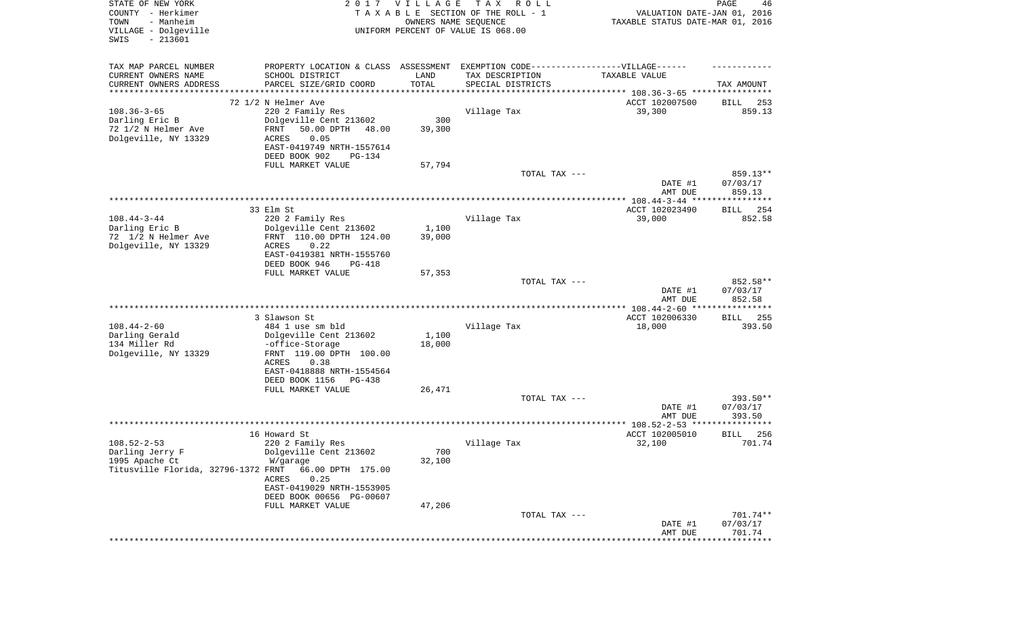| STATE OF NEW YORK<br>COUNTY - Herkimer<br>- Manheim<br>TOWN<br>VILLAGE - Dolgeville<br>SWIS<br>$-213601$ |                                                                                   | 2017 VILLAGE<br>OWNERS NAME SEQUENCE | T A X<br>R O L L<br>TAXABLE SECTION OF THE ROLL - 1<br>UNIFORM PERCENT OF VALUE IS 068.00 | VALUATION DATE-JAN 01, 2016<br>TAXABLE STATUS DATE-MAR 01, 2016 | PAGE<br>46           |
|----------------------------------------------------------------------------------------------------------|-----------------------------------------------------------------------------------|--------------------------------------|-------------------------------------------------------------------------------------------|-----------------------------------------------------------------|----------------------|
| TAX MAP PARCEL NUMBER                                                                                    | PROPERTY LOCATION & CLASS ASSESSMENT EXEMPTION CODE-----------------VILLAGE------ |                                      |                                                                                           |                                                                 |                      |
| CURRENT OWNERS NAME                                                                                      | SCHOOL DISTRICT                                                                   | LAND                                 | TAX DESCRIPTION                                                                           | TAXABLE VALUE                                                   |                      |
| CURRENT OWNERS ADDRESS<br>*******************                                                            | PARCEL SIZE/GRID COORD                                                            | TOTAL<br>**********                  | SPECIAL DISTRICTS                                                                         | ********************************* 108.36-3-65 ****************  | TAX AMOUNT           |
|                                                                                                          | 72 1/2 N Helmer Ave                                                               |                                      |                                                                                           | ACCT 102007500                                                  | <b>BILL</b><br>253   |
| $108.36 - 3 - 65$                                                                                        | 220 2 Family Res                                                                  |                                      | Village Tax                                                                               | 39,300                                                          | 859.13               |
| Darling Eric B                                                                                           | Dolgeville Cent 213602                                                            | 300                                  |                                                                                           |                                                                 |                      |
| 72 1/2 N Helmer Ave                                                                                      | FRNT<br>50.00 DPTH<br>48.00                                                       | 39,300                               |                                                                                           |                                                                 |                      |
| Dolgeville, NY 13329                                                                                     | 0.05<br>ACRES<br>EAST-0419749 NRTH-1557614                                        |                                      |                                                                                           |                                                                 |                      |
|                                                                                                          | DEED BOOK 902<br>PG-134                                                           |                                      |                                                                                           |                                                                 |                      |
|                                                                                                          | FULL MARKET VALUE                                                                 | 57,794                               |                                                                                           |                                                                 |                      |
|                                                                                                          |                                                                                   |                                      | TOTAL TAX ---                                                                             | DATE #1                                                         | 859.13**<br>07/03/17 |
|                                                                                                          |                                                                                   |                                      |                                                                                           | AMT DUE                                                         | 859.13               |
|                                                                                                          | 33 Elm St                                                                         |                                      |                                                                                           | ACCT 102023490                                                  | 254<br>BILL          |
| $108.44 - 3 - 44$                                                                                        | 220 2 Family Res                                                                  |                                      | Village Tax                                                                               | 39,000                                                          | 852.58               |
| Darling Eric B                                                                                           | Dolgeville Cent 213602                                                            | 1,100                                |                                                                                           |                                                                 |                      |
| 72 1/2 N Helmer Ave                                                                                      | FRNT 110.00 DPTH 124.00<br>0.22                                                   | 39,000                               |                                                                                           |                                                                 |                      |
| Dolgeville, NY 13329                                                                                     | ACRES<br>EAST-0419381 NRTH-1555760                                                |                                      |                                                                                           |                                                                 |                      |
|                                                                                                          | DEED BOOK 946<br>PG-418                                                           |                                      |                                                                                           |                                                                 |                      |
|                                                                                                          | FULL MARKET VALUE                                                                 | 57,353                               |                                                                                           |                                                                 |                      |
|                                                                                                          |                                                                                   |                                      | TOTAL TAX ---                                                                             |                                                                 | 852.58**             |
|                                                                                                          |                                                                                   |                                      |                                                                                           | DATE #1                                                         | 07/03/17<br>852.58   |
|                                                                                                          |                                                                                   |                                      |                                                                                           | AMT DUE                                                         |                      |
|                                                                                                          | 3 Slawson St                                                                      |                                      |                                                                                           | ACCT 102006330                                                  | BILL<br>-255         |
| $108.44 - 2 - 60$                                                                                        | 484 1 use sm bld                                                                  |                                      | Village Tax                                                                               | 18,000                                                          | 393.50               |
| Darling Gerald                                                                                           | Dolgeville Cent 213602                                                            | 1,100                                |                                                                                           |                                                                 |                      |
| 134 Miller Rd                                                                                            | -office-Storage<br>FRNT 119.00 DPTH 100.00                                        | 18,000                               |                                                                                           |                                                                 |                      |
| Dolgeville, NY 13329                                                                                     | ACRES<br>0.38                                                                     |                                      |                                                                                           |                                                                 |                      |
|                                                                                                          | EAST-0418888 NRTH-1554564                                                         |                                      |                                                                                           |                                                                 |                      |
|                                                                                                          | DEED BOOK 1156<br>PG-438                                                          |                                      |                                                                                           |                                                                 |                      |
|                                                                                                          | FULL MARKET VALUE                                                                 | 26,471                               |                                                                                           |                                                                 |                      |
|                                                                                                          |                                                                                   |                                      | TOTAL TAX ---                                                                             |                                                                 | 393.50**             |
|                                                                                                          |                                                                                   |                                      |                                                                                           | DATE #1<br>AMT DUE                                              | 07/03/17<br>393.50   |
|                                                                                                          |                                                                                   |                                      |                                                                                           | ************** 108.52-2-53 ****                                 | ************         |
|                                                                                                          | 16 Howard St                                                                      |                                      |                                                                                           | ACCT 102005010                                                  | 256<br><b>BILL</b>   |
| $108.52 - 2 - 53$                                                                                        | 220 2 Family Res                                                                  |                                      | Village Tax                                                                               | 32,100                                                          | 701.74               |
| Darling Jerry F                                                                                          | Dolgeville Cent 213602                                                            | 700                                  |                                                                                           |                                                                 |                      |
| 1995 Apache Ct<br>Titusville Florida, 32796-1372 FRNT                                                    | W/garage<br>66.00 DPTH 175.00                                                     | 32,100                               |                                                                                           |                                                                 |                      |
|                                                                                                          | 0.25<br>ACRES                                                                     |                                      |                                                                                           |                                                                 |                      |
|                                                                                                          | EAST-0419029 NRTH-1553905                                                         |                                      |                                                                                           |                                                                 |                      |
|                                                                                                          | DEED BOOK 00656 PG-00607                                                          |                                      |                                                                                           |                                                                 |                      |
|                                                                                                          | FULL MARKET VALUE                                                                 | 47,206                               |                                                                                           |                                                                 |                      |
|                                                                                                          |                                                                                   |                                      | TOTAL TAX ---                                                                             | DATE #1                                                         | 701.74**<br>07/03/17 |
|                                                                                                          |                                                                                   |                                      |                                                                                           | AMT DUE                                                         | 701.74               |
|                                                                                                          |                                                                                   |                                      |                                                                                           |                                                                 | ***********          |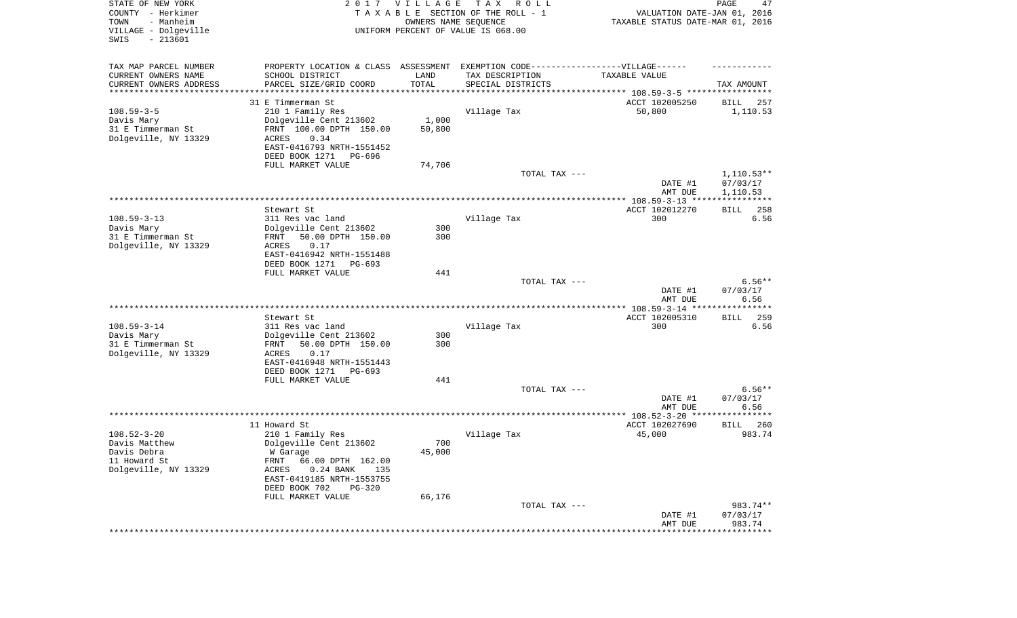| STATE OF NEW YORK<br>COUNTY - Herkimer<br>- Manheim<br>TOWN<br>VILLAGE - Dolgeville<br>SWIS<br>$-213601$ |                                                                                                                                                                                                              | 2017 VILLAGE<br>OWNERS NAME SEQUENCE   | TAX ROLL<br>TAXABLE SECTION OF THE ROLL - 1<br>UNIFORM PERCENT OF VALUE IS 068.00 | VALUATION DATE-JAN 01, 2016<br>TAXABLE STATUS DATE-MAR 01, 2016                 | PAGE<br>47                           |
|----------------------------------------------------------------------------------------------------------|--------------------------------------------------------------------------------------------------------------------------------------------------------------------------------------------------------------|----------------------------------------|-----------------------------------------------------------------------------------|---------------------------------------------------------------------------------|--------------------------------------|
| TAX MAP PARCEL NUMBER<br>CURRENT OWNERS NAME<br>CURRENT OWNERS ADDRESS<br>*********************          | PROPERTY LOCATION & CLASS ASSESSMENT EXEMPTION CODE----------------VILLAGE------<br>SCHOOL DISTRICT<br>PARCEL SIZE/GRID COORD                                                                                | LAND<br>TOTAL<br>* * * * * * * * * * * | TAX DESCRIPTION<br>SPECIAL DISTRICTS                                              | TAXABLE VALUE<br>********************************* 108.59-3-5 ***************** | TAX AMOUNT                           |
| $108.59 - 3 - 5$<br>Davis Mary<br>31 E Timmerman St<br>Dolgeville, NY 13329                              | 31 E Timmerman St<br>210 1 Family Res<br>Dolgeville Cent 213602<br>FRNT 100.00 DPTH 150.00<br>ACRES<br>0.34<br>EAST-0416793 NRTH-1551452<br>DEED BOOK 1271<br>PG-696<br>FULL MARKET VALUE                    | 1,000<br>50,800<br>74,706              | Village Tax                                                                       | ACCT 102005250<br>50,800                                                        | BILL<br>257<br>1,110.53              |
|                                                                                                          |                                                                                                                                                                                                              |                                        | TOTAL TAX ---                                                                     | DATE #1<br>AMT DUE                                                              | $1,110.53**$<br>07/03/17<br>1,110.53 |
| $108.59 - 3 - 13$<br>Davis Mary<br>31 E Timmerman St<br>Dolgeville, NY 13329                             | Stewart St<br>311 Res vac land<br>Dolgeville Cent 213602<br>50.00 DPTH 150.00<br>FRNT<br>0.17<br>ACRES<br>EAST-0416942 NRTH-1551488<br>DEED BOOK 1271<br>PG-693                                              | 300<br>300                             | Village Tax                                                                       | ACCT 102012270<br>300                                                           | 258<br>BILL<br>6.56                  |
|                                                                                                          | FULL MARKET VALUE                                                                                                                                                                                            | 441                                    | TOTAL TAX ---                                                                     | DATE #1<br>AMT DUE                                                              | $6.56**$<br>07/03/17<br>6.56         |
|                                                                                                          |                                                                                                                                                                                                              |                                        |                                                                                   |                                                                                 |                                      |
| $108.59 - 3 - 14$<br>Davis Mary<br>31 E Timmerman St<br>Dolgeville, NY 13329                             | Stewart St<br>311 Res vac land<br>Dolgeville Cent 213602<br>50.00 DPTH 150.00<br>FRNT<br>ACRES<br>0.17<br>EAST-0416948 NRTH-1551443<br>DEED BOOK 1271                                                        | 300<br>300                             | Village Tax                                                                       | ACCT 102005310<br>300                                                           | <b>BILL</b><br>259<br>6.56           |
|                                                                                                          | $PG-693$<br>FULL MARKET VALUE                                                                                                                                                                                | 441                                    | TOTAL TAX ---                                                                     | DATE #1                                                                         | $6.56**$<br>07/03/17                 |
|                                                                                                          |                                                                                                                                                                                                              |                                        |                                                                                   | AMT DUE                                                                         | 6.56                                 |
|                                                                                                          |                                                                                                                                                                                                              |                                        |                                                                                   |                                                                                 |                                      |
| $108.52 - 3 - 20$<br>Davis Matthew<br>Davis Debra<br>11 Howard St<br>Dolgeville, NY 13329                | 11 Howard St<br>210 1 Family Res<br>Dolgeville Cent 213602<br>W Garage<br>FRNT 66.00 DPTH 162.00<br>$0.24$ BANK<br>135<br>ACRES<br>EAST-0419185 NRTH-1553755<br>DEED BOOK 702<br>PG-320<br>FULL MARKET VALUE | 700<br>45,000<br>66,176                | Village Tax                                                                       | ACCT 102027690<br>45,000                                                        | 260<br>BILL<br>983.74                |
|                                                                                                          |                                                                                                                                                                                                              |                                        | TOTAL TAX ---                                                                     | DATE #1<br>AMT DUE                                                              | 983.74**<br>07/03/17<br>983.74       |
|                                                                                                          |                                                                                                                                                                                                              |                                        |                                                                                   | ************************************                                            |                                      |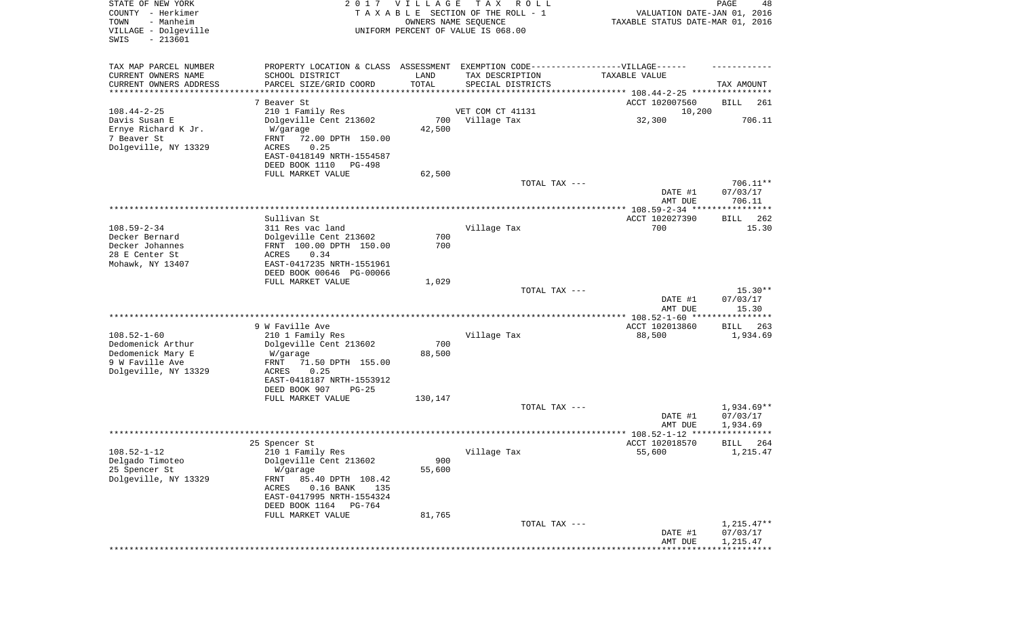| STATE OF NEW YORK<br>COUNTY - Herkimer<br>- Manheim<br>TOWN<br>VILLAGE - Dolgeville<br>$-213601$<br>SWIS |                                                    | 2017 VILLAGE<br>OWNERS NAME SEQUENCE | T A X<br>R O L L<br>TAXABLE SECTION OF THE ROLL - 1<br>UNIFORM PERCENT OF VALUE IS 068.00 | VALUATION DATE-JAN 01, 2016<br>TAXABLE STATUS DATE-MAR 01, 2016 | PAGE<br>48            |
|----------------------------------------------------------------------------------------------------------|----------------------------------------------------|--------------------------------------|-------------------------------------------------------------------------------------------|-----------------------------------------------------------------|-----------------------|
| TAX MAP PARCEL NUMBER                                                                                    |                                                    |                                      | PROPERTY LOCATION & CLASS ASSESSMENT EXEMPTION CODE-----------------VILLAGE------         |                                                                 |                       |
| CURRENT OWNERS NAME                                                                                      | SCHOOL DISTRICT                                    | LAND                                 | TAX DESCRIPTION                                                                           | TAXABLE VALUE                                                   |                       |
| CURRENT OWNERS ADDRESS<br>********************                                                           | PARCEL SIZE/GRID COORD                             | TOTAL                                | SPECIAL DISTRICTS<br>************************************* 108.44-2-25 *****************  |                                                                 | TAX AMOUNT            |
|                                                                                                          | 7 Beaver St                                        |                                      |                                                                                           | ACCT 102007560                                                  | BILL<br>261           |
| $108.44 - 2 - 25$                                                                                        | 210 1 Family Res                                   |                                      | VET COM CT 41131                                                                          | 10,200                                                          |                       |
| Davis Susan E                                                                                            | Dolgeville Cent 213602                             | 700                                  | Village Tax                                                                               | 32,300                                                          | 706.11                |
| Ernye Richard K Jr.                                                                                      | W/garage                                           | 42,500                               |                                                                                           |                                                                 |                       |
| 7 Beaver St                                                                                              | 72.00 DPTH 150.00<br>FRNT                          |                                      |                                                                                           |                                                                 |                       |
| Dolgeville, NY 13329                                                                                     | ACRES<br>0.25<br>EAST-0418149 NRTH-1554587         |                                      |                                                                                           |                                                                 |                       |
|                                                                                                          | DEED BOOK 1110<br>PG-498                           |                                      |                                                                                           |                                                                 |                       |
|                                                                                                          | FULL MARKET VALUE                                  | 62,500                               |                                                                                           |                                                                 |                       |
|                                                                                                          |                                                    |                                      | TOTAL TAX ---                                                                             |                                                                 | 706.11**              |
|                                                                                                          |                                                    |                                      |                                                                                           | DATE #1                                                         | 07/03/17              |
|                                                                                                          |                                                    |                                      |                                                                                           | AMT DUE                                                         | 706.11                |
|                                                                                                          |                                                    |                                      |                                                                                           |                                                                 |                       |
| $108.59 - 2 - 34$                                                                                        | Sullivan St<br>311 Res vac land                    |                                      | Village Tax                                                                               | ACCT 102027390<br>700                                           | 262<br>BILL<br>15.30  |
| Decker Bernard                                                                                           | Dolgeville Cent 213602                             | 700                                  |                                                                                           |                                                                 |                       |
| Decker Johannes                                                                                          | FRNT 100.00 DPTH 150.00                            | 700                                  |                                                                                           |                                                                 |                       |
| 28 E Center St                                                                                           | 0.34<br>ACRES                                      |                                      |                                                                                           |                                                                 |                       |
| Mohawk, NY 13407                                                                                         | EAST-0417235 NRTH-1551961                          |                                      |                                                                                           |                                                                 |                       |
|                                                                                                          | DEED BOOK 00646 PG-00066                           |                                      |                                                                                           |                                                                 |                       |
|                                                                                                          | FULL MARKET VALUE                                  | 1,029                                |                                                                                           |                                                                 |                       |
|                                                                                                          |                                                    |                                      | TOTAL TAX ---                                                                             | DATE #1                                                         | $15.30**$<br>07/03/17 |
|                                                                                                          |                                                    |                                      |                                                                                           | AMT DUE                                                         | 15.30                 |
|                                                                                                          |                                                    |                                      |                                                                                           | ********** 108.52-1-60 ****                                     | *********             |
|                                                                                                          | 9 W Faville Ave                                    |                                      |                                                                                           | ACCT 102013860                                                  | 263<br>BILL           |
| $108.52 - 1 - 60$                                                                                        | 210 1 Family Res                                   |                                      | Village Tax                                                                               | 88,500                                                          | 1,934.69              |
| Dedomenick Arthur                                                                                        | Dolgeville Cent 213602                             | 700                                  |                                                                                           |                                                                 |                       |
| Dedomenick Mary E                                                                                        | W/garage                                           | 88,500                               |                                                                                           |                                                                 |                       |
| 9 W Faville Ave<br>Dolgeville, NY 13329                                                                  | FRNT<br>71.50 DPTH 155.00<br>ACRES<br>0.25         |                                      |                                                                                           |                                                                 |                       |
|                                                                                                          | EAST-0418187 NRTH-1553912                          |                                      |                                                                                           |                                                                 |                       |
|                                                                                                          | DEED BOOK 907<br>$PG-25$                           |                                      |                                                                                           |                                                                 |                       |
|                                                                                                          | FULL MARKET VALUE                                  | 130,147                              |                                                                                           |                                                                 |                       |
|                                                                                                          |                                                    |                                      | TOTAL TAX ---                                                                             |                                                                 | 1,934.69**            |
|                                                                                                          |                                                    |                                      |                                                                                           | DATE #1                                                         | 07/03/17              |
|                                                                                                          |                                                    |                                      |                                                                                           | AMT DUE                                                         | 1,934.69<br>*****     |
|                                                                                                          | 25 Spencer St                                      |                                      |                                                                                           | ACCT 102018570                                                  | 264<br>BILL           |
| $108.52 - 1 - 12$                                                                                        | 210 1 Family Res                                   |                                      | Village Tax                                                                               | 55,600                                                          | 1,215.47              |
| Delgado Timoteo                                                                                          | Dolgeville Cent 213602                             | 900                                  |                                                                                           |                                                                 |                       |
| 25 Spencer St                                                                                            | W/garage                                           | 55,600                               |                                                                                           |                                                                 |                       |
| Dolgeville, NY 13329                                                                                     | 85.40 DPTH 108.42<br>FRNT                          |                                      |                                                                                           |                                                                 |                       |
|                                                                                                          | $0.16$ BANK<br>ACRES<br>135                        |                                      |                                                                                           |                                                                 |                       |
|                                                                                                          | EAST-0417995 NRTH-1554324<br>DEED BOOK 1164 PG-764 |                                      |                                                                                           |                                                                 |                       |
|                                                                                                          | FULL MARKET VALUE                                  | 81,765                               |                                                                                           |                                                                 |                       |
|                                                                                                          |                                                    |                                      | TOTAL TAX ---                                                                             |                                                                 | $1,215.47**$          |
|                                                                                                          |                                                    |                                      |                                                                                           | DATE #1                                                         | 07/03/17              |
|                                                                                                          |                                                    |                                      |                                                                                           | AMT DUE                                                         | 1,215.47              |
|                                                                                                          |                                                    |                                      |                                                                                           |                                                                 |                       |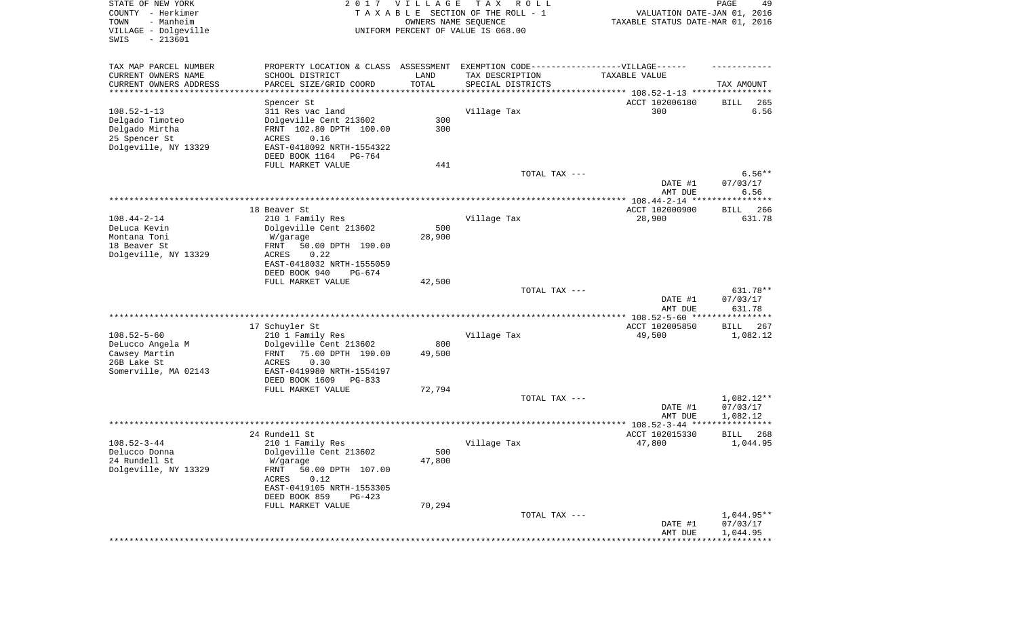| STATE OF NEW YORK<br>COUNTY - Herkimer<br>TOWN<br>- Manheim<br>VILLAGE - Dolgeville<br>SWIS<br>$-213601$ | 2017                                           | <b>VILLAGE</b><br>OWNERS NAME SEQUENCE | T A X<br>R O L L<br>TAXABLE SECTION OF THE ROLL - 1<br>UNIFORM PERCENT OF VALUE IS 068.00 | VALUATION DATE-JAN 01, 2016<br>TAXABLE STATUS DATE-MAR 01, 2016 | PAGE<br>49             |
|----------------------------------------------------------------------------------------------------------|------------------------------------------------|----------------------------------------|-------------------------------------------------------------------------------------------|-----------------------------------------------------------------|------------------------|
| TAX MAP PARCEL NUMBER                                                                                    | PROPERTY LOCATION & CLASS ASSESSMENT           |                                        | EXEMPTION CODE-----------------VILLAGE------                                              |                                                                 |                        |
| CURRENT OWNERS NAME                                                                                      | SCHOOL DISTRICT                                | LAND                                   | TAX DESCRIPTION                                                                           | TAXABLE VALUE                                                   |                        |
| CURRENT OWNERS ADDRESS<br>*********************                                                          | PARCEL SIZE/GRID COORD                         | TOTAL<br>* * * * * * * * * * *         | SPECIAL DISTRICTS                                                                         |                                                                 | TAX AMOUNT             |
|                                                                                                          | Spencer St                                     |                                        |                                                                                           | ACCT 102006180                                                  | BILL<br>265            |
| $108.52 - 1 - 13$                                                                                        | 311 Res vac land                               |                                        | Village Tax                                                                               | 300                                                             | 6.56                   |
| Delgado Timoteo                                                                                          | Dolgeville Cent 213602                         | 300                                    |                                                                                           |                                                                 |                        |
| Delgado Mirtha<br>25 Spencer St                                                                          | FRNT 102.80 DPTH 100.00<br>ACRES<br>0.16       | 300                                    |                                                                                           |                                                                 |                        |
| Dolgeville, NY 13329                                                                                     | EAST-0418092 NRTH-1554322                      |                                        |                                                                                           |                                                                 |                        |
|                                                                                                          | DEED BOOK 1164<br>PG-764                       |                                        |                                                                                           |                                                                 |                        |
|                                                                                                          | FULL MARKET VALUE                              | 441                                    |                                                                                           |                                                                 |                        |
|                                                                                                          |                                                |                                        | TOTAL TAX ---                                                                             | DATE #1                                                         | $6.56**$<br>07/03/17   |
|                                                                                                          |                                                |                                        |                                                                                           | AMT DUE                                                         | 6.56                   |
|                                                                                                          | 18 Beaver St                                   |                                        |                                                                                           | ACCT 102000900                                                  | 266<br>BILL            |
| $108.44 - 2 - 14$                                                                                        | 210 1 Family Res                               |                                        | Village Tax                                                                               | 28,900                                                          | 631.78                 |
| DeLuca Kevin                                                                                             | Dolgeville Cent 213602                         | 500                                    |                                                                                           |                                                                 |                        |
| Montana Toni<br>18 Beaver St                                                                             | W/garage<br>50.00 DPTH 190.00<br>FRNT          | 28,900                                 |                                                                                           |                                                                 |                        |
| Dolgeville, NY 13329                                                                                     | <b>ACRES</b><br>0.22                           |                                        |                                                                                           |                                                                 |                        |
|                                                                                                          | EAST-0418032 NRTH-1555059                      |                                        |                                                                                           |                                                                 |                        |
|                                                                                                          | DEED BOOK 940<br>$PG-674$<br>FULL MARKET VALUE | 42,500                                 |                                                                                           |                                                                 |                        |
|                                                                                                          |                                                |                                        | TOTAL TAX ---                                                                             |                                                                 | 631.78**               |
|                                                                                                          |                                                |                                        |                                                                                           | DATE #1                                                         | 07/03/17               |
|                                                                                                          |                                                |                                        |                                                                                           | AMT DUE<br>************ 108.52-5-60 *****************           | 631.78                 |
|                                                                                                          | 17 Schuyler St                                 |                                        |                                                                                           | ACCT 102005850                                                  | <b>BILL</b><br>267     |
| $108.52 - 5 - 60$                                                                                        | 210 1 Family Res                               |                                        | Village Tax                                                                               | 49,500                                                          | 1,082.12               |
| DeLucco Angela M                                                                                         | Dolgeville Cent 213602                         | 800                                    |                                                                                           |                                                                 |                        |
| Cawsey Martin<br>26B Lake St                                                                             | 75.00 DPTH 190.00<br>FRNT<br>ACRES<br>0.30     | 49,500                                 |                                                                                           |                                                                 |                        |
| Somerville, MA 02143                                                                                     | EAST-0419980 NRTH-1554197                      |                                        |                                                                                           |                                                                 |                        |
|                                                                                                          | DEED BOOK 1609<br>PG-833                       |                                        |                                                                                           |                                                                 |                        |
|                                                                                                          | FULL MARKET VALUE                              | 72,794                                 |                                                                                           |                                                                 |                        |
|                                                                                                          |                                                |                                        | TOTAL TAX ---                                                                             | DATE #1                                                         | 1,082.12**<br>07/03/17 |
|                                                                                                          |                                                |                                        |                                                                                           | AMT DUE                                                         | 1,082.12               |
|                                                                                                          |                                                |                                        |                                                                                           |                                                                 |                        |
| $108.52 - 3 - 44$                                                                                        | 24 Rundell St                                  |                                        |                                                                                           | ACCT 102015330                                                  | BILL<br>268            |
| Delucco Donna                                                                                            | 210 1 Family Res<br>Dolgeville Cent 213602     | 500                                    | Village Tax                                                                               | 47,800                                                          | 1,044.95               |
| 24 Rundell St                                                                                            | W/garage                                       | 47,800                                 |                                                                                           |                                                                 |                        |
| Dolgeville, NY 13329                                                                                     | FRNT<br>50.00 DPTH 107.00                      |                                        |                                                                                           |                                                                 |                        |
|                                                                                                          | ACRES<br>0.12<br>EAST-0419105 NRTH-1553305     |                                        |                                                                                           |                                                                 |                        |
|                                                                                                          | DEED BOOK 859<br>PG-423                        |                                        |                                                                                           |                                                                 |                        |
|                                                                                                          | FULL MARKET VALUE                              | 70,294                                 |                                                                                           |                                                                 |                        |
|                                                                                                          |                                                |                                        | TOTAL TAX ---                                                                             |                                                                 | 1,044.95**<br>07/03/17 |
|                                                                                                          |                                                |                                        |                                                                                           | DATE #1<br>AMT DUE                                              | 1,044.95               |
|                                                                                                          |                                                |                                        |                                                                                           |                                                                 |                        |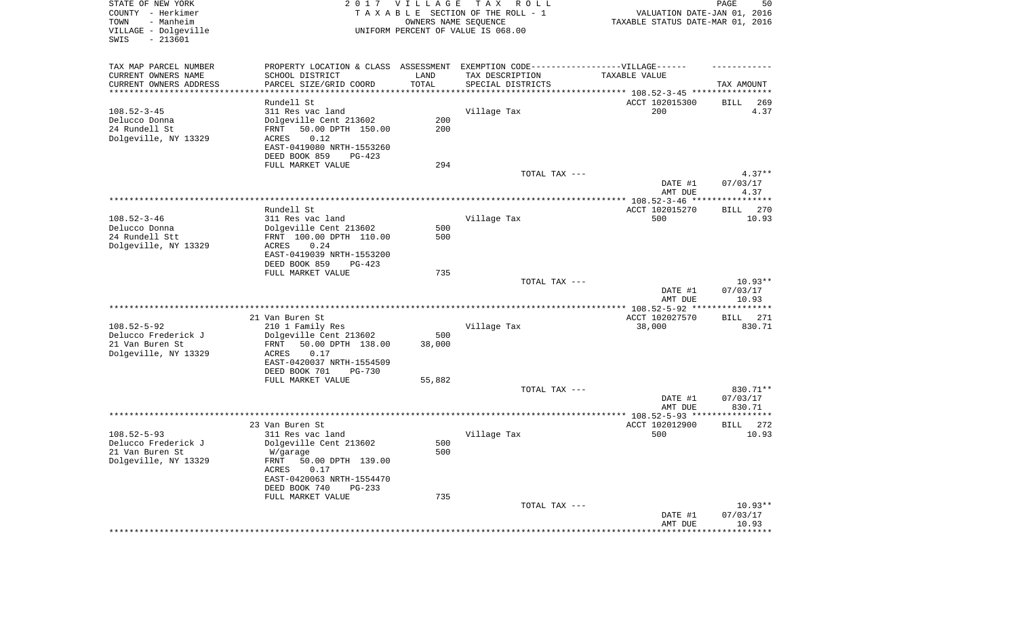| STATE OF NEW YORK<br>COUNTY - Herkimer<br>TOWN<br>- Manheim | 2017 VILLAGE<br>TAX ROLL<br>TAXABLE SECTION OF THE ROLL - 1<br>OWNERS NAME SEQUENCE |                      |                                    | 50<br>PAGE<br>VALUATION DATE-JAN 01, 2016<br>TAXABLE STATUS DATE-MAR 01, 2016 |                      |
|-------------------------------------------------------------|-------------------------------------------------------------------------------------|----------------------|------------------------------------|-------------------------------------------------------------------------------|----------------------|
| VILLAGE - Dolgeville<br>SWIS<br>$-213601$                   |                                                                                     |                      | UNIFORM PERCENT OF VALUE IS 068.00 |                                                                               |                      |
| TAX MAP PARCEL NUMBER                                       | PROPERTY LOCATION & CLASS ASSESSMENT EXEMPTION CODE-----------------VILLAGE------   |                      |                                    |                                                                               |                      |
| CURRENT OWNERS NAME                                         | SCHOOL DISTRICT                                                                     | LAND                 | TAX DESCRIPTION                    | TAXABLE VALUE                                                                 |                      |
| CURRENT OWNERS ADDRESS<br>*********************             | PARCEL SIZE/GRID COORD                                                              | TOTAL<br>*********** | SPECIAL DISTRICTS                  | ********************************* 108.52-3-45 ****************                | TAX AMOUNT           |
|                                                             | Rundell St                                                                          |                      |                                    | ACCT 102015300                                                                | BILL<br>269          |
| $108.52 - 3 - 45$                                           | 311 Res vac land                                                                    |                      | Village Tax                        | 200                                                                           | 4.37                 |
| Delucco Donna                                               | Dolgeville Cent 213602                                                              | 200                  |                                    |                                                                               |                      |
| 24 Rundell St                                               | 50.00 DPTH 150.00<br>FRNT                                                           | 200                  |                                    |                                                                               |                      |
| Dolgeville, NY 13329                                        | ACRES<br>0.12                                                                       |                      |                                    |                                                                               |                      |
|                                                             | EAST-0419080 NRTH-1553260<br>DEED BOOK 859<br>PG-423                                |                      |                                    |                                                                               |                      |
|                                                             | FULL MARKET VALUE                                                                   | 294                  |                                    |                                                                               |                      |
|                                                             |                                                                                     |                      | TOTAL TAX ---                      |                                                                               | $4.37**$             |
|                                                             |                                                                                     |                      |                                    | DATE #1                                                                       | 07/03/17             |
|                                                             |                                                                                     |                      |                                    | AMT DUE                                                                       | 4.37                 |
|                                                             |                                                                                     |                      |                                    |                                                                               |                      |
| $108.52 - 3 - 46$                                           | Rundell St<br>311 Res vac land                                                      |                      | Village Tax                        | ACCT 102015270<br>500                                                         | 270<br>BILL<br>10.93 |
| Delucco Donna                                               | Dolgeville Cent 213602                                                              | 500                  |                                    |                                                                               |                      |
| 24 Rundell Stt                                              | FRNT 100.00 DPTH 110.00                                                             | 500                  |                                    |                                                                               |                      |
| Dolgeville, NY 13329                                        | 0.24<br>ACRES                                                                       |                      |                                    |                                                                               |                      |
|                                                             | EAST-0419039 NRTH-1553200                                                           |                      |                                    |                                                                               |                      |
|                                                             | DEED BOOK 859<br>PG-423                                                             |                      |                                    |                                                                               |                      |
|                                                             | FULL MARKET VALUE                                                                   | 735                  | TOTAL TAX ---                      |                                                                               | $10.93**$            |
|                                                             |                                                                                     |                      |                                    | DATE #1                                                                       | 07/03/17             |
|                                                             |                                                                                     |                      |                                    | AMT DUE                                                                       | 10.93                |
|                                                             |                                                                                     |                      |                                    |                                                                               |                      |
|                                                             | 21 Van Buren St                                                                     |                      |                                    | ACCT 102027570                                                                | 271<br>BILL          |
| $108.52 - 5 - 92$                                           | 210 1 Family Res                                                                    |                      | Village Tax                        | 38,000                                                                        | 830.71               |
| Delucco Frederick J<br>21 Van Buren St                      | Dolgeville Cent 213602<br>50.00 DPTH 138.00<br>FRNT                                 | 500<br>38,000        |                                    |                                                                               |                      |
| Dolgeville, NY 13329                                        | 0.17<br>ACRES                                                                       |                      |                                    |                                                                               |                      |
|                                                             | EAST-0420037 NRTH-1554509                                                           |                      |                                    |                                                                               |                      |
|                                                             | DEED BOOK 701<br><b>PG-730</b>                                                      |                      |                                    |                                                                               |                      |
|                                                             | FULL MARKET VALUE                                                                   | 55,882               |                                    |                                                                               |                      |
|                                                             |                                                                                     |                      | TOTAL TAX ---                      |                                                                               | 830.71**             |
|                                                             |                                                                                     |                      |                                    | DATE #1<br>AMT DUE                                                            | 07/03/17<br>830.71   |
|                                                             |                                                                                     |                      |                                    |                                                                               |                      |
|                                                             | 23 Van Buren St                                                                     |                      |                                    | ACCT 102012900                                                                | 272<br>BILL          |
| $108.52 - 5 - 93$                                           | 311 Res vac land                                                                    |                      | Village Tax                        | 500                                                                           | 10.93                |
| Delucco Frederick J                                         | Dolgeville Cent 213602                                                              | 500                  |                                    |                                                                               |                      |
| 21 Van Buren St<br>Dolgeville, NY 13329                     | W/garage<br>FRNT 50.00 DPTH 139.00                                                  | 500                  |                                    |                                                                               |                      |
|                                                             | ACRES<br>0.17                                                                       |                      |                                    |                                                                               |                      |
|                                                             | EAST-0420063 NRTH-1554470                                                           |                      |                                    |                                                                               |                      |
|                                                             | DEED BOOK 740<br>PG-233                                                             |                      |                                    |                                                                               |                      |
|                                                             | FULL MARKET VALUE                                                                   | 735                  |                                    |                                                                               |                      |
|                                                             |                                                                                     |                      | TOTAL TAX ---                      |                                                                               | $10.93**$            |
|                                                             |                                                                                     |                      |                                    |                                                                               |                      |
|                                                             |                                                                                     |                      |                                    |                                                                               |                      |
|                                                             |                                                                                     |                      |                                    | DATE #1<br>AMT DUE                                                            | 07/03/17<br>10.93    |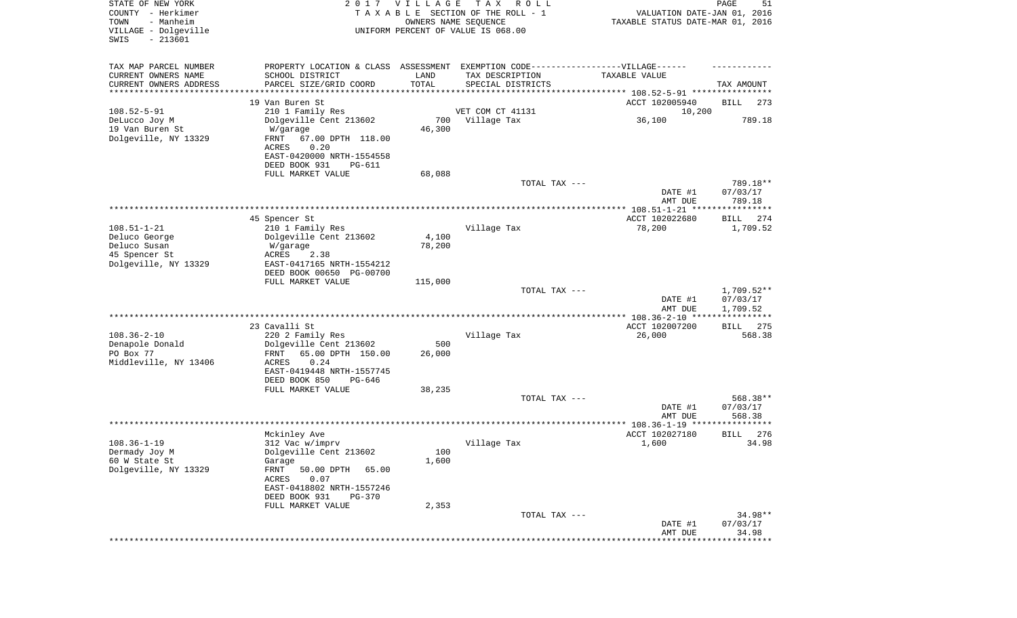| STATE OF NEW YORK<br>COUNTY - Herkimer<br>- Manheim<br>TOWN<br>VILLAGE - Dolgeville<br>$-213601$<br>SWIS |                                                       | 2017 VILLAGE<br>OWNERS NAME SEQUENCE | T A X<br>R O L L<br>TAXABLE SECTION OF THE ROLL - 1<br>UNIFORM PERCENT OF VALUE IS 068.00 | VALUATION DATE-JAN 01, 2016<br>TAXABLE STATUS DATE-MAR 01, 2016 | PAGE<br>51                   |
|----------------------------------------------------------------------------------------------------------|-------------------------------------------------------|--------------------------------------|-------------------------------------------------------------------------------------------|-----------------------------------------------------------------|------------------------------|
| TAX MAP PARCEL NUMBER                                                                                    | PROPERTY LOCATION & CLASS ASSESSMENT                  |                                      | EXEMPTION CODE------------------VILLAGE------                                             |                                                                 |                              |
| CURRENT OWNERS NAME                                                                                      | SCHOOL DISTRICT                                       | LAND                                 | TAX DESCRIPTION                                                                           | TAXABLE VALUE                                                   |                              |
| CURRENT OWNERS ADDRESS<br>*********************                                                          | PARCEL SIZE/GRID COORD                                | TOTAL                                | SPECIAL DISTRICTS                                                                         |                                                                 | TAX AMOUNT                   |
|                                                                                                          | 19 Van Buren St                                       |                                      |                                                                                           | ACCT 102005940                                                  | BILL<br>273                  |
| $108.52 - 5 - 91$                                                                                        | 210 1 Family Res                                      |                                      | VET COM CT 41131                                                                          | 10,200                                                          |                              |
| DeLucco Joy M                                                                                            | Dolgeville Cent 213602                                | 700                                  | Village Tax                                                                               | 36,100                                                          | 789.18                       |
| 19 Van Buren St                                                                                          | W/garage                                              | 46,300                               |                                                                                           |                                                                 |                              |
| Dolgeville, NY 13329                                                                                     | FRNT<br>67.00 DPTH 118.00                             |                                      |                                                                                           |                                                                 |                              |
|                                                                                                          | ACRES<br>0.20<br>EAST-0420000 NRTH-1554558            |                                      |                                                                                           |                                                                 |                              |
|                                                                                                          | DEED BOOK 931<br>PG-611                               |                                      |                                                                                           |                                                                 |                              |
|                                                                                                          | FULL MARKET VALUE                                     | 68,088                               |                                                                                           |                                                                 |                              |
|                                                                                                          |                                                       |                                      | TOTAL TAX ---                                                                             |                                                                 | 789.18**                     |
|                                                                                                          |                                                       |                                      |                                                                                           | DATE #1                                                         | 07/03/17                     |
|                                                                                                          |                                                       |                                      |                                                                                           | AMT DUE                                                         | 789.18                       |
|                                                                                                          | 45 Spencer St                                         |                                      |                                                                                           | ACCT 102022680                                                  | 274<br>BILL                  |
| $108.51 - 1 - 21$                                                                                        | 210 1 Family Res                                      |                                      | Village Tax                                                                               | 78,200                                                          | 1,709.52                     |
| Deluco George                                                                                            | Dolgeville Cent 213602                                | 4,100                                |                                                                                           |                                                                 |                              |
| Deluco Susan                                                                                             | W/garage                                              | 78,200                               |                                                                                           |                                                                 |                              |
| 45 Spencer St                                                                                            | <b>ACRES</b><br>2.38                                  |                                      |                                                                                           |                                                                 |                              |
| Dolgeville, NY 13329                                                                                     | EAST-0417165 NRTH-1554212<br>DEED BOOK 00650 PG-00700 |                                      |                                                                                           |                                                                 |                              |
|                                                                                                          | FULL MARKET VALUE                                     | 115,000                              |                                                                                           |                                                                 |                              |
|                                                                                                          |                                                       |                                      | TOTAL TAX ---                                                                             |                                                                 | $1,709.52**$                 |
|                                                                                                          |                                                       |                                      |                                                                                           | DATE #1                                                         | 07/03/17                     |
|                                                                                                          |                                                       |                                      |                                                                                           | AMT DUE<br>************ 108.36-2-10 ****                        | 1,709.52<br>***********      |
|                                                                                                          | 23 Cavalli St                                         |                                      |                                                                                           | ACCT 102007200                                                  | 275<br><b>BILL</b>           |
| $108.36 - 2 - 10$                                                                                        | 220 2 Family Res                                      |                                      | Village Tax                                                                               | 26,000                                                          | 568.38                       |
| Denapole Donald                                                                                          | Dolgeville Cent 213602                                | 500                                  |                                                                                           |                                                                 |                              |
| PO Box 77                                                                                                | FRNT<br>65.00 DPTH 150.00                             | 26,000                               |                                                                                           |                                                                 |                              |
| Middleville, NY 13406                                                                                    | 0.24<br>ACRES                                         |                                      |                                                                                           |                                                                 |                              |
|                                                                                                          | EAST-0419448 NRTH-1557745<br>DEED BOOK 850<br>PG-646  |                                      |                                                                                           |                                                                 |                              |
|                                                                                                          | FULL MARKET VALUE                                     | 38,235                               |                                                                                           |                                                                 |                              |
|                                                                                                          |                                                       |                                      | TOTAL TAX ---                                                                             |                                                                 | 568.38**                     |
|                                                                                                          |                                                       |                                      |                                                                                           | DATE #1                                                         | 07/03/17                     |
|                                                                                                          |                                                       |                                      |                                                                                           | AMT DUE                                                         | 568.38                       |
|                                                                                                          | Mckinley Ave                                          |                                      |                                                                                           | ACCT 102027180                                                  | 276<br>BILL                  |
| $108.36 - 1 - 19$                                                                                        | 312 Vac w/imprv                                       |                                      | Village Tax                                                                               | 1,600                                                           | 34.98                        |
| Dermady Joy M                                                                                            | Dolgeville Cent 213602                                | 100                                  |                                                                                           |                                                                 |                              |
| 60 W State St                                                                                            | Garage                                                | 1,600                                |                                                                                           |                                                                 |                              |
| Dolgeville, NY 13329                                                                                     | FRNT<br>50.00 DPTH<br>65.00                           |                                      |                                                                                           |                                                                 |                              |
|                                                                                                          | ACRES<br>0.07<br>EAST-0418802 NRTH-1557246            |                                      |                                                                                           |                                                                 |                              |
|                                                                                                          | DEED BOOK 931<br><b>PG-370</b>                        |                                      |                                                                                           |                                                                 |                              |
|                                                                                                          | FULL MARKET VALUE                                     | 2,353                                |                                                                                           |                                                                 |                              |
|                                                                                                          |                                                       |                                      | TOTAL TAX ---                                                                             |                                                                 | 34.98**                      |
|                                                                                                          |                                                       |                                      |                                                                                           | DATE #1                                                         | 07/03/17                     |
|                                                                                                          |                                                       |                                      |                                                                                           | AMT DUE                                                         | 34.98<br>* * * * * * * * * * |
|                                                                                                          |                                                       |                                      |                                                                                           |                                                                 |                              |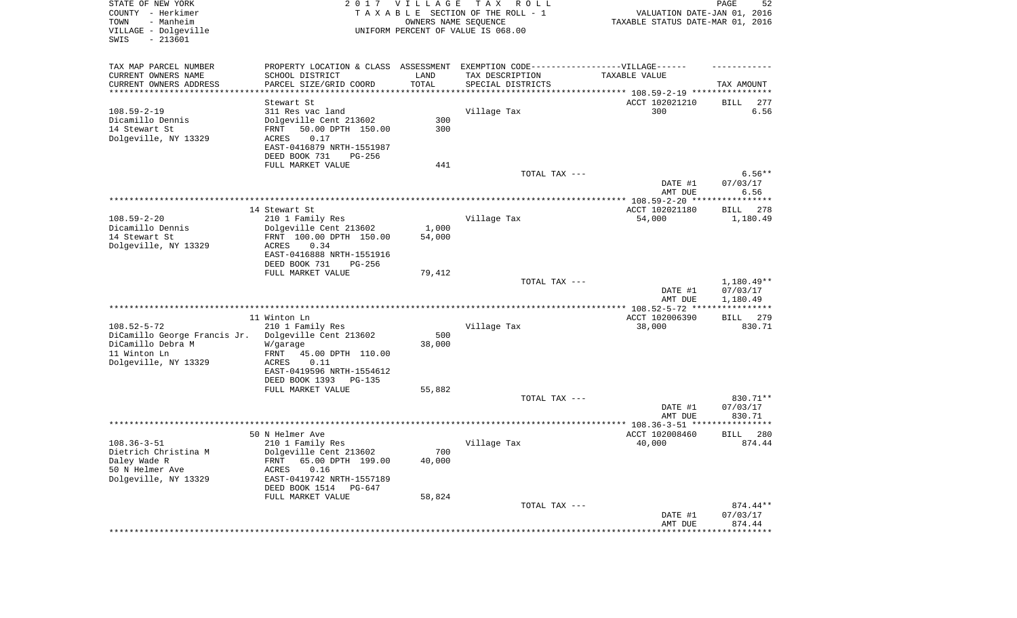| STATE OF NEW YORK<br>COUNTY - Herkimer<br>- Manheim<br>TOWN<br>VILLAGE - Dolgeville<br>SWIS<br>$-213601$       |                                                                                                                                                                                                    | 2017 VILLAGE<br>OWNERS NAME SEQUENCE | T A X<br>R O L L<br>TAXABLE SECTION OF THE ROLL - 1<br>UNIFORM PERCENT OF VALUE IS 068.00                                                              | VALUATION DATE-JAN 01, 2016<br>TAXABLE STATUS DATE-MAR 01, 2016 | PAGE<br>52                         |
|----------------------------------------------------------------------------------------------------------------|----------------------------------------------------------------------------------------------------------------------------------------------------------------------------------------------------|--------------------------------------|--------------------------------------------------------------------------------------------------------------------------------------------------------|-----------------------------------------------------------------|------------------------------------|
| TAX MAP PARCEL NUMBER<br>CURRENT OWNERS NAME<br>CURRENT OWNERS ADDRESS<br>**********************               | PROPERTY LOCATION & CLASS ASSESSMENT<br>SCHOOL DISTRICT<br>PARCEL SIZE/GRID COORD                                                                                                                  | LAND<br>TOTAL<br>***********         | EXEMPTION CODE-----------------VILLAGE------<br>TAX DESCRIPTION<br>SPECIAL DISTRICTS<br>********************************* 108.59-2-19 **************** | TAXABLE VALUE                                                   | TAX AMOUNT                         |
| $108.59 - 2 - 19$<br>Dicamillo Dennis<br>14 Stewart St<br>Dolgeville, NY 13329                                 | Stewart St<br>311 Res vac land<br>Dolgeville Cent 213602<br>50.00 DPTH 150.00<br>FRNT<br>ACRES<br>0.17<br>EAST-0416879 NRTH-1551987<br>DEED BOOK 731<br>PG-256                                     | 300<br>300                           | Village Tax                                                                                                                                            | ACCT 102021210<br>300                                           | BILL<br>277<br>6.56                |
|                                                                                                                | FULL MARKET VALUE                                                                                                                                                                                  | 441                                  | TOTAL TAX ---                                                                                                                                          | DATE #1<br>AMT DUE                                              | $6.56**$<br>07/03/17<br>6.56       |
|                                                                                                                |                                                                                                                                                                                                    |                                      |                                                                                                                                                        |                                                                 |                                    |
| $108.59 - 2 - 20$<br>Dicamillo Dennis<br>14 Stewart St<br>Dolgeville, NY 13329                                 | 14 Stewart St<br>210 1 Family Res<br>Dolgeville Cent 213602<br>FRNT 100.00 DPTH 150.00<br>0.34<br>ACRES<br>EAST-0416888 NRTH-1551916                                                               | 1,000<br>54,000                      | Village Tax                                                                                                                                            | ACCT 102021180<br>54,000                                        | 278<br>BILL<br>1,180.49            |
|                                                                                                                | DEED BOOK 731<br>$PG-256$<br>FULL MARKET VALUE                                                                                                                                                     | 79,412                               | TOTAL TAX ---                                                                                                                                          | DATE #1<br>AMT DUE                                              | 1,180.49**<br>07/03/17<br>1,180.49 |
|                                                                                                                |                                                                                                                                                                                                    |                                      |                                                                                                                                                        |                                                                 |                                    |
| $108.52 - 5 - 72$<br>DiCamillo George Francis Jr.<br>DiCamillo Debra M<br>11 Winton Ln<br>Dolgeville, NY 13329 | 11 Winton Ln<br>210 1 Family Res<br>Dolgeville Cent 213602<br>W/garage<br>45.00 DPTH 110.00<br>FRNT<br>ACRES<br>0.11<br>EAST-0419596 NRTH-1554612<br>DEED BOOK 1393<br>PG-135<br>FULL MARKET VALUE | 500<br>38,000<br>55,882              | Village Tax                                                                                                                                            | ACCT 102006390<br>38,000                                        | 279<br>BILL<br>830.71              |
|                                                                                                                |                                                                                                                                                                                                    |                                      | TOTAL TAX ---                                                                                                                                          | DATE #1<br>AMT DUE                                              | 830.71**<br>07/03/17<br>830.71     |
|                                                                                                                |                                                                                                                                                                                                    |                                      |                                                                                                                                                        |                                                                 |                                    |
| $108.36 - 3 - 51$<br>Dietrich Christina M<br>Daley Wade R<br>50 N Helmer Ave<br>Dolgeville, NY 13329           | 50 N Helmer Ave<br>210 1 Family Res<br>Dolgeville Cent 213602<br>65.00 DPTH 199.00<br>FRNT<br>0.16<br>ACRES<br>EAST-0419742 NRTH-1557189<br>DEED BOOK 1514 PG-647<br>FULL MARKET VALUE             | 700<br>40,000<br>58,824              | Village Tax                                                                                                                                            | ACCT 102008460<br>40,000                                        | 280<br>BILL<br>874.44              |
|                                                                                                                |                                                                                                                                                                                                    |                                      | TOTAL TAX ---                                                                                                                                          | DATE #1<br>AMT DUE                                              | 874.44**<br>07/03/17<br>874.44     |
|                                                                                                                |                                                                                                                                                                                                    |                                      |                                                                                                                                                        | ***********************************                             |                                    |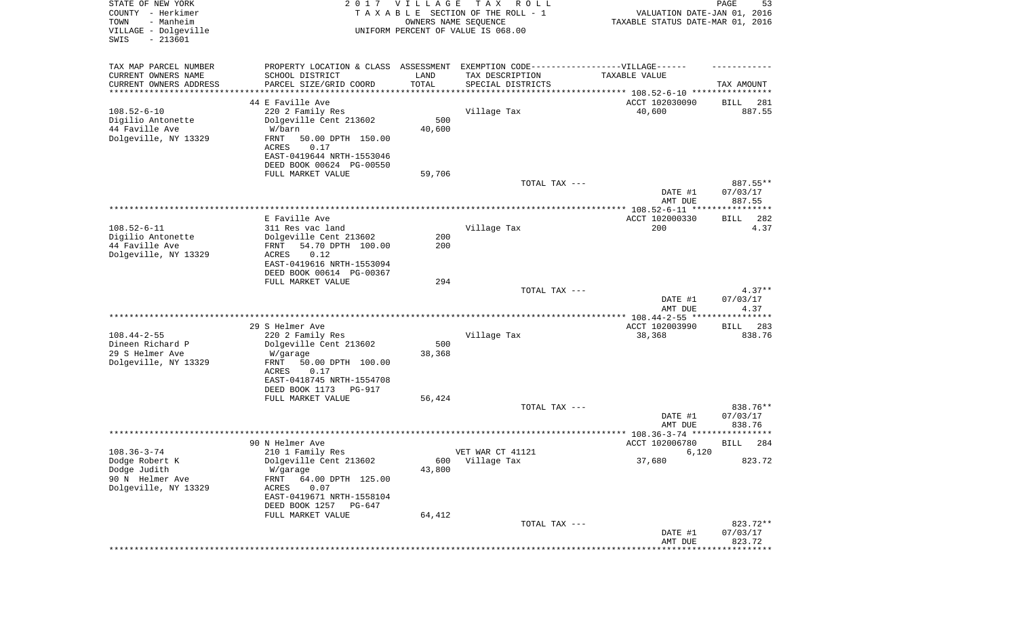| STATE OF NEW YORK<br>COUNTY - Herkimer<br>- Manheim<br>TOWN<br>VILLAGE - Dolgeville<br>SWIS<br>$-213601$ |                                                                                                                                                                                                      | 2017 VILLAGE<br>OWNERS NAME SEQUENCE | T A X<br>R O L L<br>TAXABLE SECTION OF THE ROLL - 1<br>UNIFORM PERCENT OF VALUE IS 068.00 | VALUATION DATE-JAN 01, 2016<br>TAXABLE STATUS DATE-MAR 01, 2016                 | PAGE<br>53                     |
|----------------------------------------------------------------------------------------------------------|------------------------------------------------------------------------------------------------------------------------------------------------------------------------------------------------------|--------------------------------------|-------------------------------------------------------------------------------------------|---------------------------------------------------------------------------------|--------------------------------|
| TAX MAP PARCEL NUMBER<br>CURRENT OWNERS NAME<br>CURRENT OWNERS ADDRESS<br>********************           | PROPERTY LOCATION & CLASS ASSESSMENT EXEMPTION CODE-----------------VILLAGE------<br>SCHOOL DISTRICT<br>PARCEL SIZE/GRID COORD                                                                       | LAND<br>TOTAL                        | TAX DESCRIPTION<br>SPECIAL DISTRICTS                                                      | TAXABLE VALUE<br>********************************* 108.52-6-10 **************** | TAX AMOUNT                     |
| $108.52 - 6 - 10$<br>Digilio Antonette<br>44 Faville Ave<br>Dolgeville, NY 13329                         | 44 E Faville Ave<br>220 2 Family Res<br>Dolgeville Cent 213602<br>W/barn<br>FRNT<br>50.00 DPTH 150.00<br>ACRES<br>0.17<br>EAST-0419644 NRTH-1553046<br>DEED BOOK 00624 PG-00550<br>FULL MARKET VALUE | 500<br>40,600<br>59,706              | Village Tax                                                                               | ACCT 102030090<br>40,600                                                        | BILL<br>281<br>887.55          |
|                                                                                                          |                                                                                                                                                                                                      |                                      | TOTAL TAX ---                                                                             | DATE #1<br>AMT DUE                                                              | 887.55**<br>07/03/17<br>887.55 |
|                                                                                                          | E Faville Ave                                                                                                                                                                                        |                                      |                                                                                           | ACCT 102000330                                                                  | 282<br>BILL                    |
| $108.52 - 6 - 11$<br>Digilio Antonette<br>44 Faville Ave<br>Dolgeville, NY 13329                         | 311 Res vac land<br>Dolgeville Cent 213602<br>54.70 DPTH 100.00<br>FRNT<br>ACRES<br>0.12<br>EAST-0419616 NRTH-1553094<br>DEED BOOK 00614 PG-00367<br>FULL MARKET VALUE                               | 200<br>200<br>294                    | Village Tax                                                                               | 200                                                                             | 4.37                           |
|                                                                                                          |                                                                                                                                                                                                      |                                      | TOTAL TAX ---                                                                             | DATE #1<br>AMT DUE                                                              | $4.37**$<br>07/03/17<br>4.37   |
|                                                                                                          |                                                                                                                                                                                                      |                                      |                                                                                           | *********** 108.44-2-55 ****                                                    | ************                   |
| $108.44 - 2 - 55$<br>Dineen Richard P<br>29 S Helmer Ave<br>Dolgeville, NY 13329                         | 29 S Helmer Ave<br>220 2 Family Res<br>Dolgeville Cent 213602<br>W/garage<br>FRNT<br>50.00 DPTH 100.00<br>ACRES<br>0.17<br>EAST-0418745 NRTH-1554708                                                 | 500<br>38,368                        | Village Tax                                                                               | ACCT 102003990<br>38,368                                                        | 283<br>BILL<br>838.76          |
|                                                                                                          | DEED BOOK 1173<br>PG-917<br>FULL MARKET VALUE                                                                                                                                                        | 56,424                               | TOTAL TAX ---                                                                             | DATE #1<br>AMT DUE                                                              | 838.76**<br>07/03/17<br>838.76 |
|                                                                                                          |                                                                                                                                                                                                      |                                      |                                                                                           | ****************** 108.36-3-74 ********                                         | * * * * *                      |
| $108.36 - 3 - 74$<br>Dodge Robert K<br>Dodge Judith<br>90 N Helmer Ave<br>Dolgeville, NY 13329           | 90 N Helmer Ave<br>210 1 Family Res<br>Dolgeville Cent 213602<br>W/garage<br>FRNT<br>64.00 DPTH 125.00<br>0.07<br>ACRES<br>EAST-0419671 NRTH-1558104<br>DEED BOOK 1257 PG-647                        | 600<br>43,800                        | VET WAR CT 41121<br>Village Tax                                                           | ACCT 102006780<br>6,120<br>37,680                                               | 284<br>BILL<br>823.72          |
|                                                                                                          | FULL MARKET VALUE                                                                                                                                                                                    | 64,412                               | TOTAL TAX ---                                                                             | DATE #1<br>AMT DUE                                                              | 823.72**<br>07/03/17<br>823.72 |
|                                                                                                          |                                                                                                                                                                                                      |                                      |                                                                                           | ****************************                                                    |                                |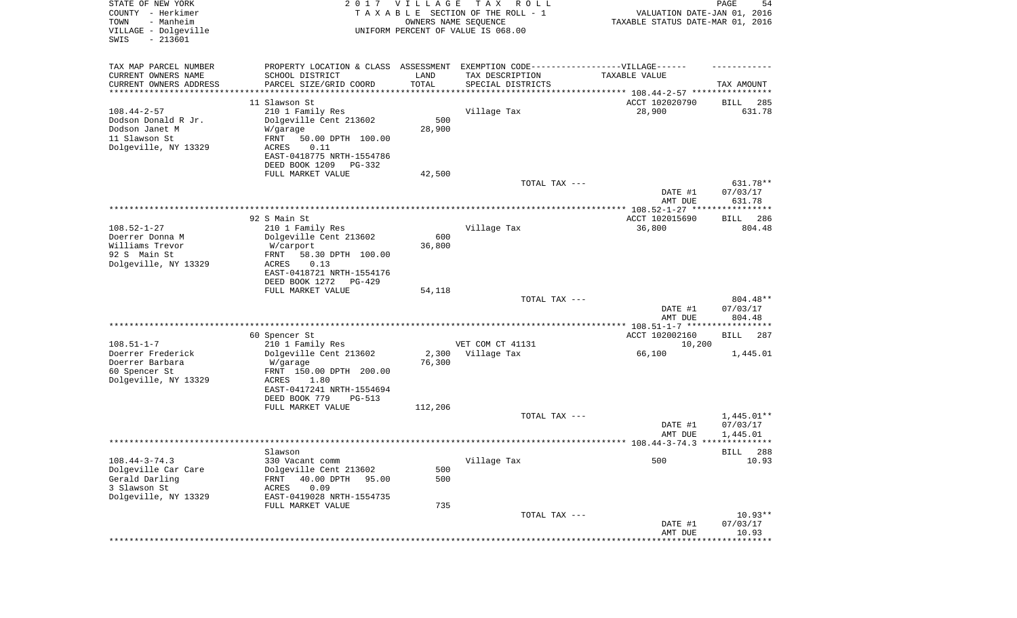| STATE OF NEW YORK<br>COUNTY - Herkimer<br>- Manheim<br>TOWN<br>VILLAGE - Dolgeville<br>$-213601$<br>SWIS |                                                                                  | 2017 VILLAGE                   | T A X<br>R O L L<br>TAXABLE SECTION OF THE ROLL - 1<br>OWNERS NAME SEQUENCE<br>UNIFORM PERCENT OF VALUE IS 068.00 | VALUATION DATE-JAN 01, 2016<br>TAXABLE STATUS DATE-MAR 01, 2016 | PAGE<br>54               |
|----------------------------------------------------------------------------------------------------------|----------------------------------------------------------------------------------|--------------------------------|-------------------------------------------------------------------------------------------------------------------|-----------------------------------------------------------------|--------------------------|
| TAX MAP PARCEL NUMBER                                                                                    | PROPERTY LOCATION & CLASS ASSESSMENT EXEMPTION CODE----------------VILLAGE------ |                                |                                                                                                                   |                                                                 |                          |
| CURRENT OWNERS NAME                                                                                      | SCHOOL DISTRICT                                                                  | LAND                           | TAX DESCRIPTION                                                                                                   | TAXABLE VALUE                                                   |                          |
| CURRENT OWNERS ADDRESS<br>*********************                                                          | PARCEL SIZE/GRID COORD<br>******************                                     | TOTAL<br>* * * * * * * * * * * | SPECIAL DISTRICTS                                                                                                 |                                                                 | TAX AMOUNT               |
|                                                                                                          | 11 Slawson St                                                                    |                                |                                                                                                                   | ACCT 102020790                                                  | 285<br>BILL              |
| $108.44 - 2 - 57$                                                                                        | 210 1 Family Res                                                                 |                                | Village Tax                                                                                                       | 28,900                                                          | 631.78                   |
| Dodson Donald R Jr.                                                                                      | Dolgeville Cent 213602                                                           | 500                            |                                                                                                                   |                                                                 |                          |
| Dodson Janet M                                                                                           | W/garage                                                                         | 28,900                         |                                                                                                                   |                                                                 |                          |
| 11 Slawson St                                                                                            | FRNT<br>50.00 DPTH 100.00                                                        |                                |                                                                                                                   |                                                                 |                          |
| Dolgeville, NY 13329                                                                                     | 0.11<br>ACRES                                                                    |                                |                                                                                                                   |                                                                 |                          |
|                                                                                                          | EAST-0418775 NRTH-1554786                                                        |                                |                                                                                                                   |                                                                 |                          |
|                                                                                                          | DEED BOOK 1209<br>PG-332                                                         |                                |                                                                                                                   |                                                                 |                          |
|                                                                                                          | FULL MARKET VALUE                                                                | 42,500                         | TOTAL TAX ---                                                                                                     |                                                                 | 631.78**                 |
|                                                                                                          |                                                                                  |                                |                                                                                                                   | DATE #1                                                         | 07/03/17                 |
|                                                                                                          |                                                                                  |                                |                                                                                                                   | AMT DUE                                                         | 631.78                   |
|                                                                                                          |                                                                                  |                                |                                                                                                                   |                                                                 |                          |
|                                                                                                          | 92 S Main St                                                                     |                                |                                                                                                                   | ACCT 102015690                                                  | 286<br>BILL              |
| $108.52 - 1 - 27$                                                                                        | 210 1 Family Res                                                                 |                                | Village Tax                                                                                                       | 36,800                                                          | 804.48                   |
| Doerrer Donna M                                                                                          | Dolgeville Cent 213602                                                           | 600                            |                                                                                                                   |                                                                 |                          |
| Williams Trevor<br>92 S Main St                                                                          | W/carport<br>FRNT                                                                | 36,800                         |                                                                                                                   |                                                                 |                          |
| Dolgeville, NY 13329                                                                                     | 58.30 DPTH 100.00<br>ACRES<br>0.13                                               |                                |                                                                                                                   |                                                                 |                          |
|                                                                                                          | EAST-0418721 NRTH-1554176                                                        |                                |                                                                                                                   |                                                                 |                          |
|                                                                                                          | DEED BOOK 1272<br>$PG-429$                                                       |                                |                                                                                                                   |                                                                 |                          |
|                                                                                                          | FULL MARKET VALUE                                                                | 54,118                         |                                                                                                                   |                                                                 |                          |
|                                                                                                          |                                                                                  |                                | TOTAL TAX ---                                                                                                     |                                                                 | 804.48**                 |
|                                                                                                          |                                                                                  |                                |                                                                                                                   | DATE #1                                                         | 07/03/17                 |
|                                                                                                          |                                                                                  |                                |                                                                                                                   | AMT DUE                                                         | 804.48                   |
|                                                                                                          | 60 Spencer St                                                                    |                                |                                                                                                                   | ACCT 102002160                                                  | 287<br>BILL              |
| $108.51 - 1 - 7$                                                                                         | 210 1 Family Res                                                                 |                                | VET COM CT 41131                                                                                                  | 10,200                                                          |                          |
| Doerrer Frederick                                                                                        | Dolgeville Cent 213602                                                           | 2,300                          | Village Tax                                                                                                       | 66,100                                                          | 1,445.01                 |
| Doerrer Barbara                                                                                          | W/garage                                                                         | 76,300                         |                                                                                                                   |                                                                 |                          |
| 60 Spencer St                                                                                            | FRNT 150.00 DPTH 200.00                                                          |                                |                                                                                                                   |                                                                 |                          |
| Dolgeville, NY 13329                                                                                     | ACRES<br>1.80                                                                    |                                |                                                                                                                   |                                                                 |                          |
|                                                                                                          | EAST-0417241 NRTH-1554694                                                        |                                |                                                                                                                   |                                                                 |                          |
|                                                                                                          | DEED BOOK 779<br>PG-513<br>FULL MARKET VALUE                                     | 112,206                        |                                                                                                                   |                                                                 |                          |
|                                                                                                          |                                                                                  |                                | TOTAL TAX ---                                                                                                     |                                                                 | $1,445.01**$             |
|                                                                                                          |                                                                                  |                                |                                                                                                                   | DATE #1                                                         | 07/03/17                 |
|                                                                                                          |                                                                                  |                                |                                                                                                                   | AMT DUE                                                         | 1,445.01                 |
|                                                                                                          |                                                                                  |                                |                                                                                                                   |                                                                 |                          |
| $108.44 - 3 - 74.3$                                                                                      | Slawson                                                                          |                                |                                                                                                                   | 500                                                             | 288<br>BILL<br>10.93     |
| Dolgeville Car Care                                                                                      | 330 Vacant comm<br>Dolgeville Cent 213602                                        | 500                            | Village Tax                                                                                                       |                                                                 |                          |
| Gerald Darling                                                                                           | FRNT<br>40.00 DPTH<br>95.00                                                      | 500                            |                                                                                                                   |                                                                 |                          |
| 3 Slawson St                                                                                             | ACRES<br>0.09                                                                    |                                |                                                                                                                   |                                                                 |                          |
| Dolgeville, NY 13329                                                                                     | EAST-0419028 NRTH-1554735                                                        |                                |                                                                                                                   |                                                                 |                          |
|                                                                                                          | FULL MARKET VALUE                                                                | 735                            |                                                                                                                   |                                                                 |                          |
|                                                                                                          |                                                                                  |                                | TOTAL TAX ---                                                                                                     |                                                                 | $10.93**$                |
|                                                                                                          |                                                                                  |                                |                                                                                                                   | DATE #1                                                         | 07/03/17                 |
|                                                                                                          |                                                                                  |                                |                                                                                                                   | AMT DUE                                                         | 10.93<br>* * * * * * * * |
|                                                                                                          |                                                                                  |                                |                                                                                                                   |                                                                 |                          |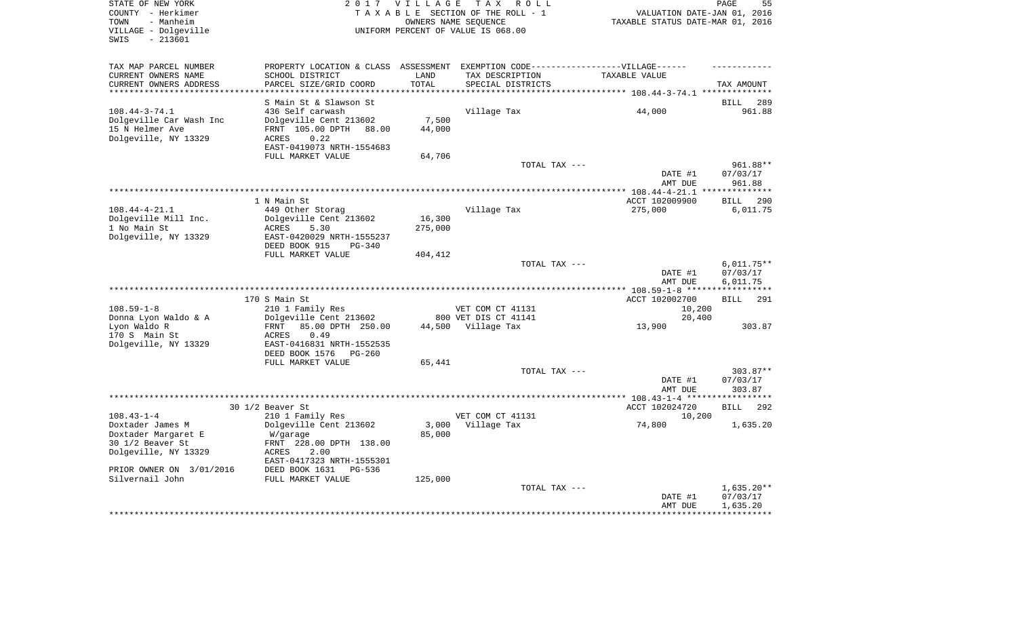| VALUATION DATE-JAN 01, 2016<br>TAXABLE STATUS DATE-MAR 01, 2016<br>TAX AMOUNT<br>BILL<br>289<br>961.88<br>961.88**<br>07/03/17<br>961.88<br>**************<br><b>BILL</b><br>290 |
|----------------------------------------------------------------------------------------------------------------------------------------------------------------------------------|
|                                                                                                                                                                                  |
|                                                                                                                                                                                  |
|                                                                                                                                                                                  |
|                                                                                                                                                                                  |
|                                                                                                                                                                                  |
|                                                                                                                                                                                  |
|                                                                                                                                                                                  |
|                                                                                                                                                                                  |
|                                                                                                                                                                                  |
|                                                                                                                                                                                  |
|                                                                                                                                                                                  |
|                                                                                                                                                                                  |
|                                                                                                                                                                                  |
|                                                                                                                                                                                  |
|                                                                                                                                                                                  |
|                                                                                                                                                                                  |
|                                                                                                                                                                                  |
|                                                                                                                                                                                  |
| 6,011.75                                                                                                                                                                         |
|                                                                                                                                                                                  |
|                                                                                                                                                                                  |
|                                                                                                                                                                                  |
|                                                                                                                                                                                  |
| $6,011.75**$                                                                                                                                                                     |
| 07/03/17                                                                                                                                                                         |
| 6,011.75                                                                                                                                                                         |
|                                                                                                                                                                                  |
| 291                                                                                                                                                                              |
|                                                                                                                                                                                  |
| 303.87                                                                                                                                                                           |
|                                                                                                                                                                                  |
|                                                                                                                                                                                  |
|                                                                                                                                                                                  |
|                                                                                                                                                                                  |
| 303.87**<br>07/03/17                                                                                                                                                             |
| 303.87                                                                                                                                                                           |
|                                                                                                                                                                                  |
| 292                                                                                                                                                                              |
|                                                                                                                                                                                  |
| 1,635.20                                                                                                                                                                         |
|                                                                                                                                                                                  |
|                                                                                                                                                                                  |
|                                                                                                                                                                                  |
|                                                                                                                                                                                  |
|                                                                                                                                                                                  |
| $1,635.20**$                                                                                                                                                                     |
| 07/03/17                                                                                                                                                                         |
| 1,635.20                                                                                                                                                                         |
| **************** 108.59-1-8 ************<br>BILL<br><b>BILL</b>                                                                                                                  |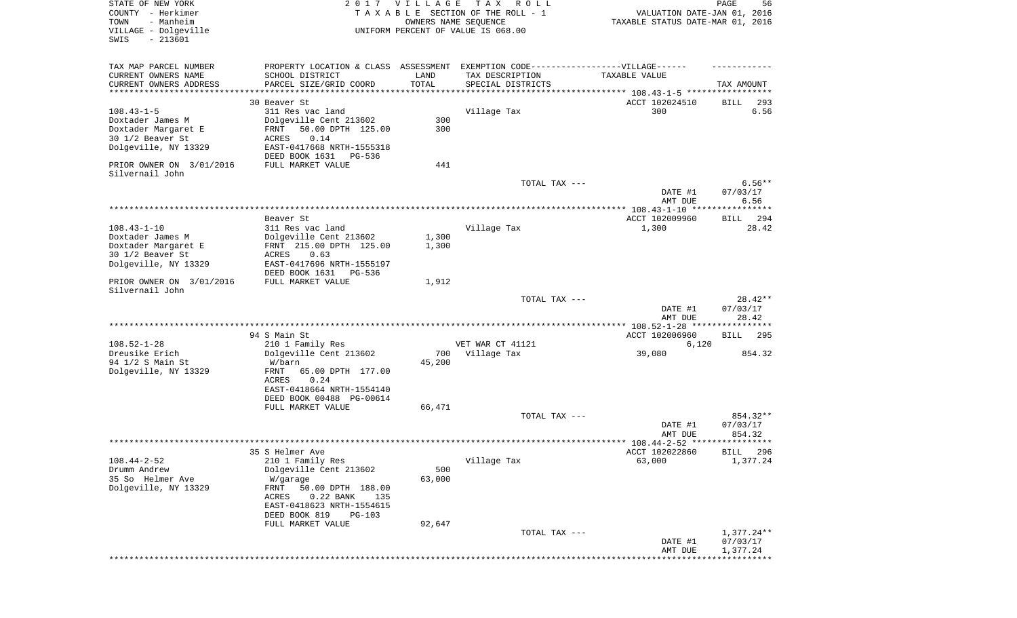| STATE OF NEW YORK<br>COUNTY - Herkimer<br>TOWN<br>- Manheim |                                                                                  | 2017 VILLAGE | T A X<br>R O L L<br>TAXABLE SECTION OF THE ROLL - 1<br>OWNERS NAME SEQUENCE | VALUATION DATE-JAN 01, 2016<br>TAXABLE STATUS DATE-MAR 01, 2016  | PAGE<br>56           |
|-------------------------------------------------------------|----------------------------------------------------------------------------------|--------------|-----------------------------------------------------------------------------|------------------------------------------------------------------|----------------------|
| VILLAGE - Dolgeville<br>SWIS<br>$-213601$                   |                                                                                  |              | UNIFORM PERCENT OF VALUE IS 068.00                                          |                                                                  |                      |
| TAX MAP PARCEL NUMBER                                       | PROPERTY LOCATION & CLASS ASSESSMENT EXEMPTION CODE----------------VILLAGE------ |              |                                                                             |                                                                  |                      |
| CURRENT OWNERS NAME                                         | SCHOOL DISTRICT                                                                  | LAND         | TAX DESCRIPTION                                                             | TAXABLE VALUE                                                    |                      |
| CURRENT OWNERS ADDRESS<br>********************              | PARCEL SIZE/GRID COORD                                                           | TOTAL        | SPECIAL DISTRICTS                                                           | ********************************** 108.43-1-5 ****************** | TAX AMOUNT           |
|                                                             | 30 Beaver St                                                                     |              |                                                                             | ACCT 102024510                                                   | 293<br>BILL          |
| $108.43 - 1 - 5$                                            | 311 Res vac land                                                                 |              | Village Tax                                                                 | 300                                                              | 6.56                 |
| Doxtader James M                                            | Dolgeville Cent 213602                                                           | 300          |                                                                             |                                                                  |                      |
| Doxtader Margaret E<br>30 1/2 Beaver St                     | 50.00 DPTH 125.00<br>FRNT<br>0.14<br>ACRES                                       | 300          |                                                                             |                                                                  |                      |
| Dolgeville, NY 13329                                        | EAST-0417668 NRTH-1555318                                                        |              |                                                                             |                                                                  |                      |
|                                                             | DEED BOOK 1631<br>PG-536                                                         |              |                                                                             |                                                                  |                      |
| PRIOR OWNER ON 3/01/2016                                    | FULL MARKET VALUE                                                                | 441          |                                                                             |                                                                  |                      |
| Silvernail John                                             |                                                                                  |              | TOTAL TAX ---                                                               |                                                                  | $6.56**$             |
|                                                             |                                                                                  |              |                                                                             | DATE #1                                                          | 07/03/17             |
|                                                             |                                                                                  |              |                                                                             | AMT DUE                                                          | 6.56                 |
|                                                             |                                                                                  |              |                                                                             |                                                                  |                      |
| $108.43 - 1 - 10$                                           | Beaver St                                                                        |              |                                                                             | ACCT 102009960                                                   | 294<br>BILL          |
| Doxtader James M                                            | 311 Res vac land<br>Dolgeville Cent 213602                                       | 1,300        | Village Tax                                                                 | 1,300                                                            | 28.42                |
| Doxtader Margaret E                                         | FRNT 215.00 DPTH 125.00                                                          | 1,300        |                                                                             |                                                                  |                      |
| 30 1/2 Beaver St                                            | ACRES<br>0.63                                                                    |              |                                                                             |                                                                  |                      |
| Dolgeville, NY 13329                                        | EAST-0417696 NRTH-1555197                                                        |              |                                                                             |                                                                  |                      |
| PRIOR OWNER ON 3/01/2016                                    | DEED BOOK 1631<br>PG-536<br>FULL MARKET VALUE                                    | 1,912        |                                                                             |                                                                  |                      |
| Silvernail John                                             |                                                                                  |              |                                                                             |                                                                  |                      |
|                                                             |                                                                                  |              | TOTAL TAX ---                                                               |                                                                  | $28.42**$            |
|                                                             |                                                                                  |              |                                                                             | DATE #1                                                          | 07/03/17             |
|                                                             |                                                                                  |              |                                                                             | AMT DUE                                                          | 28.42                |
|                                                             | 94 S Main St                                                                     |              |                                                                             | ACCT 102006960                                                   | 295<br>BILL          |
| $108.52 - 1 - 28$                                           | 210 1 Family Res                                                                 |              | VET WAR CT 41121                                                            | 6,120                                                            |                      |
| Dreusike Erich                                              | Dolgeville Cent 213602                                                           | 700          | Village Tax                                                                 | 39,080                                                           | 854.32               |
| 94 1/2 S Main St<br>Dolgeville, NY 13329                    | W/barn<br>FRNT<br>65.00 DPTH 177.00                                              | 45,200       |                                                                             |                                                                  |                      |
|                                                             | ACRES<br>0.24                                                                    |              |                                                                             |                                                                  |                      |
|                                                             | EAST-0418664 NRTH-1554140                                                        |              |                                                                             |                                                                  |                      |
|                                                             | DEED BOOK 00488 PG-00614                                                         |              |                                                                             |                                                                  |                      |
|                                                             | FULL MARKET VALUE                                                                | 66,471       | TOTAL TAX ---                                                               |                                                                  | 854.32**             |
|                                                             |                                                                                  |              |                                                                             | DATE #1                                                          | 07/03/17             |
|                                                             |                                                                                  |              |                                                                             | AMT DUE                                                          | 854.32               |
|                                                             |                                                                                  |              |                                                                             |                                                                  |                      |
| $108.44 - 2 - 52$                                           | 35 S Helmer Ave<br>210 1 Family Res                                              |              | Village Tax                                                                 | ACCT 102022860<br>63,000                                         | BILL 296<br>1,377.24 |
| Drumm Andrew                                                | Dolgeville Cent 213602                                                           | 500          |                                                                             |                                                                  |                      |
| 35 So Helmer Ave                                            | W/garage                                                                         | 63,000       |                                                                             |                                                                  |                      |
| Dolgeville, NY 13329                                        | 50.00 DPTH 188.00<br>FRNT                                                        |              |                                                                             |                                                                  |                      |
|                                                             | 0.22 BANK<br>ACRES<br>135<br>EAST-0418623 NRTH-1554615                           |              |                                                                             |                                                                  |                      |
|                                                             | DEED BOOK 819<br>PG-103                                                          |              |                                                                             |                                                                  |                      |
|                                                             | FULL MARKET VALUE                                                                | 92,647       |                                                                             |                                                                  |                      |
|                                                             |                                                                                  |              | TOTAL TAX ---                                                               |                                                                  | $1,377.24**$         |
|                                                             |                                                                                  |              |                                                                             | DATE #1<br>AMT DUE                                               | 07/03/17<br>1,377.24 |
|                                                             |                                                                                  |              |                                                                             |                                                                  |                      |
|                                                             |                                                                                  |              |                                                                             |                                                                  |                      |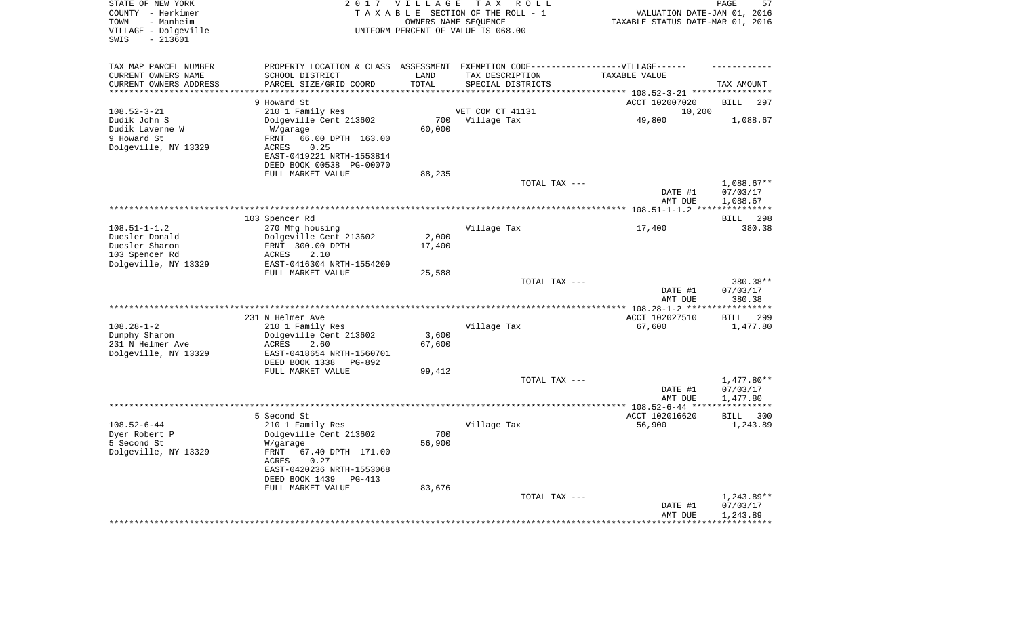| STATE OF NEW YORK<br>COUNTY - Herkimer<br>- Manheim<br>TOWN<br>VILLAGE - Dolgeville<br>$-213601$<br>SWIS |                                                   | 2017 VILLAGE | T A X<br>ROLL<br>TAXABLE SECTION OF THE ROLL - 1<br>OWNERS NAME SEQUENCE<br>UNIFORM PERCENT OF VALUE IS 068.00 | VALUATION DATE-JAN 01, 2016<br>TAXABLE STATUS DATE-MAR 01, 2016 | PAGE<br>57               |
|----------------------------------------------------------------------------------------------------------|---------------------------------------------------|--------------|----------------------------------------------------------------------------------------------------------------|-----------------------------------------------------------------|--------------------------|
| TAX MAP PARCEL NUMBER                                                                                    | PROPERTY LOCATION & CLASS ASSESSMENT              |              | EXEMPTION CODE-----------------VILLAGE------                                                                   |                                                                 |                          |
| CURRENT OWNERS NAME                                                                                      | SCHOOL DISTRICT                                   | LAND         | TAX DESCRIPTION                                                                                                | TAXABLE VALUE                                                   |                          |
| CURRENT OWNERS ADDRESS                                                                                   | PARCEL SIZE/GRID COORD                            | TOTAL        | SPECIAL DISTRICTS                                                                                              |                                                                 | TAX AMOUNT               |
| ********************                                                                                     | * * * * * * * * * * * * * * * *                   | *******      |                                                                                                                | *********** 108.52-3-21 *****************                       |                          |
|                                                                                                          | 9 Howard St                                       |              |                                                                                                                | ACCT 102007020                                                  | <b>BILL</b><br>297       |
| $108.52 - 3 - 21$                                                                                        | 210 1 Family Res                                  |              | VET COM CT 41131                                                                                               | 10,200                                                          |                          |
| Dudik John S                                                                                             | Dolgeville Cent 213602                            | 700          | Village Tax                                                                                                    | 49,800                                                          | 1,088.67                 |
| Dudik Laverne W                                                                                          | W/garage                                          | 60,000       |                                                                                                                |                                                                 |                          |
| 9 Howard St<br>Dolgeville, NY 13329                                                                      | 66.00 DPTH 163.00<br>FRNT<br><b>ACRES</b><br>0.25 |              |                                                                                                                |                                                                 |                          |
|                                                                                                          | EAST-0419221 NRTH-1553814                         |              |                                                                                                                |                                                                 |                          |
|                                                                                                          | DEED BOOK 00538 PG-00070                          |              |                                                                                                                |                                                                 |                          |
|                                                                                                          | FULL MARKET VALUE                                 | 88,235       |                                                                                                                |                                                                 |                          |
|                                                                                                          |                                                   |              | TOTAL TAX ---                                                                                                  |                                                                 | $1,088.67**$             |
|                                                                                                          |                                                   |              |                                                                                                                | DATE #1                                                         | 07/03/17                 |
|                                                                                                          |                                                   |              |                                                                                                                | AMT DUE                                                         | 1,088.67                 |
|                                                                                                          |                                                   |              |                                                                                                                | ******** 108.51-1-1.2 *                                         |                          |
|                                                                                                          | 103 Spencer Rd                                    |              |                                                                                                                |                                                                 | 298<br><b>BILL</b>       |
| $108.51 - 1 - 1.2$                                                                                       | 270 Mfg housing                                   |              | Village Tax                                                                                                    | 17,400                                                          | 380.38                   |
| Duesler Donald                                                                                           | Dolgeville Cent 213602                            | 2,000        |                                                                                                                |                                                                 |                          |
| Duesler Sharon                                                                                           | FRNT 300.00 DPTH                                  | 17,400       |                                                                                                                |                                                                 |                          |
| 103 Spencer Rd                                                                                           | <b>ACRES</b><br>2.10                              |              |                                                                                                                |                                                                 |                          |
| Dolgeville, NY 13329                                                                                     | EAST-0416304 NRTH-1554209<br>FULL MARKET VALUE    | 25,588       |                                                                                                                |                                                                 |                          |
|                                                                                                          |                                                   |              | TOTAL TAX ---                                                                                                  |                                                                 | 380.38**                 |
|                                                                                                          |                                                   |              |                                                                                                                | DATE #1                                                         | 07/03/17                 |
|                                                                                                          |                                                   |              |                                                                                                                | AMT DUE                                                         | 380.38                   |
|                                                                                                          | *****************                                 |              |                                                                                                                | $* 108.28 - 1 - 2$ ***                                          |                          |
|                                                                                                          | 231 N Helmer Ave                                  |              |                                                                                                                | ACCT 102027510                                                  | <b>BILL</b><br>299       |
| $108.28 - 1 - 2$                                                                                         | 210 1 Family Res                                  |              | Village Tax                                                                                                    | 67,600                                                          | 1,477.80                 |
| Dunphy Sharon                                                                                            | Dolgeville Cent 213602                            | 3,600        |                                                                                                                |                                                                 |                          |
| 231 N Helmer Ave                                                                                         | ACRES<br>2.60                                     | 67,600       |                                                                                                                |                                                                 |                          |
| Dolgeville, NY 13329                                                                                     | EAST-0418654 NRTH-1560701                         |              |                                                                                                                |                                                                 |                          |
|                                                                                                          | DEED BOOK 1338<br>PG-892                          |              |                                                                                                                |                                                                 |                          |
|                                                                                                          | FULL MARKET VALUE                                 | 99,412       |                                                                                                                |                                                                 |                          |
|                                                                                                          |                                                   |              | TOTAL TAX ---                                                                                                  | DATE #1                                                         | 1,477.80**<br>07/03/17   |
|                                                                                                          |                                                   |              |                                                                                                                | AMT DUE                                                         | 1,477.80                 |
|                                                                                                          |                                                   |              | *****************************                                                                                  | $* 108.52 - 6 - 44$ **                                          |                          |
|                                                                                                          | 5 Second St                                       |              |                                                                                                                | ACCT 102016620                                                  | 300<br><b>BILL</b>       |
| $108.52 - 6 - 44$                                                                                        | 210 1 Family Res                                  |              | Village Tax                                                                                                    | 56,900                                                          | 1,243.89                 |
| Dyer Robert P                                                                                            | Dolgeville Cent 213602                            | 700          |                                                                                                                |                                                                 |                          |
| 5 Second St                                                                                              | W/garage                                          | 56,900       |                                                                                                                |                                                                 |                          |
| Dolgeville, NY 13329                                                                                     | <b>FRNT</b><br>67.40 DPTH 171.00                  |              |                                                                                                                |                                                                 |                          |
|                                                                                                          | ACRES<br>0.27                                     |              |                                                                                                                |                                                                 |                          |
|                                                                                                          | EAST-0420236 NRTH-1553068                         |              |                                                                                                                |                                                                 |                          |
|                                                                                                          | DEED BOOK 1439<br>$PG-413$                        |              |                                                                                                                |                                                                 |                          |
|                                                                                                          | FULL MARKET VALUE                                 | 83,676       | TOTAL TAX ---                                                                                                  |                                                                 |                          |
|                                                                                                          |                                                   |              |                                                                                                                | DATE #1                                                         | $1,243.89**$<br>07/03/17 |
|                                                                                                          |                                                   |              |                                                                                                                | AMT DUE                                                         | 1,243.89                 |
|                                                                                                          |                                                   |              |                                                                                                                |                                                                 |                          |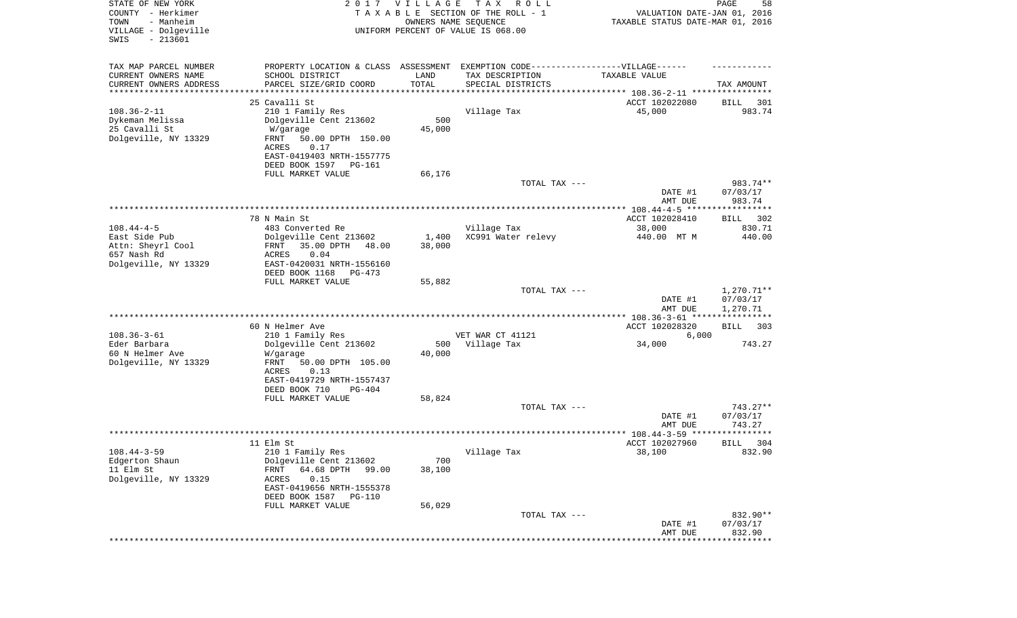| STATE OF NEW YORK<br>COUNTY - Herkimer<br>- Manheim<br>TOWN<br>VILLAGE - Dolgeville<br>SWIS<br>$-213601$ |                                                         | 2017 VILLAGE<br>OWNERS NAME SEQUENCE | T A X<br>R O L L<br>TAXABLE SECTION OF THE ROLL - 1<br>UNIFORM PERCENT OF VALUE IS 068.00 | VALUATION DATE-JAN 01, 2016<br>TAXABLE STATUS DATE-MAR 01, 2016 | PAGE<br>58            |
|----------------------------------------------------------------------------------------------------------|---------------------------------------------------------|--------------------------------------|-------------------------------------------------------------------------------------------|-----------------------------------------------------------------|-----------------------|
| TAX MAP PARCEL NUMBER                                                                                    |                                                         |                                      | PROPERTY LOCATION & CLASS ASSESSMENT EXEMPTION CODE-----------------VILLAGE------         |                                                                 |                       |
| CURRENT OWNERS NAME                                                                                      | SCHOOL DISTRICT                                         | LAND                                 | TAX DESCRIPTION                                                                           | TAXABLE VALUE                                                   |                       |
| CURRENT OWNERS ADDRESS<br>********************                                                           | PARCEL SIZE/GRID COORD                                  | TOTAL                                | SPECIAL DISTRICTS                                                                         |                                                                 | TAX AMOUNT            |
|                                                                                                          | 25 Cavalli St                                           |                                      |                                                                                           | ACCT 102022080                                                  | BILL<br>301           |
| $108.36 - 2 - 11$                                                                                        | 210 1 Family Res                                        |                                      | Village Tax                                                                               | 45,000                                                          | 983.74                |
| Dykeman Melissa                                                                                          | Dolgeville Cent 213602                                  | 500                                  |                                                                                           |                                                                 |                       |
| 25 Cavalli St                                                                                            | W/garage                                                | 45,000                               |                                                                                           |                                                                 |                       |
| Dolgeville, NY 13329                                                                                     | FRNT<br>50.00 DPTH 150.00                               |                                      |                                                                                           |                                                                 |                       |
|                                                                                                          | 0.17<br>ACRES<br>EAST-0419403 NRTH-1557775              |                                      |                                                                                           |                                                                 |                       |
|                                                                                                          | DEED BOOK 1597<br>PG-161                                |                                      |                                                                                           |                                                                 |                       |
|                                                                                                          | FULL MARKET VALUE                                       | 66,176                               |                                                                                           |                                                                 |                       |
|                                                                                                          |                                                         |                                      | TOTAL TAX ---                                                                             |                                                                 | 983.74**              |
|                                                                                                          |                                                         |                                      |                                                                                           | DATE #1                                                         | 07/03/17              |
|                                                                                                          |                                                         |                                      |                                                                                           | AMT DUE                                                         | 983.74                |
|                                                                                                          | 78 N Main St                                            |                                      |                                                                                           | ACCT 102028410                                                  | 302<br>BILL           |
| $108.44 - 4 - 5$                                                                                         | 483 Converted Re                                        |                                      | Village Tax                                                                               | 38,000                                                          | 830.71                |
| East Side Pub                                                                                            | Dolgeville Cent 213602                                  | 1,400                                | XC991 Water relevy                                                                        | 440.00 MT M                                                     | 440.00                |
| Attn: Sheyrl Cool                                                                                        | FRNT<br>35.00 DPTH<br>48.00                             | 38,000                               |                                                                                           |                                                                 |                       |
| 657 Nash Rd                                                                                              | 0.04<br>ACRES                                           |                                      |                                                                                           |                                                                 |                       |
| Dolgeville, NY 13329                                                                                     | EAST-0420031 NRTH-1556160<br>DEED BOOK 1168<br>$PG-473$ |                                      |                                                                                           |                                                                 |                       |
|                                                                                                          | FULL MARKET VALUE                                       | 55,882                               |                                                                                           |                                                                 |                       |
|                                                                                                          |                                                         |                                      | TOTAL TAX ---                                                                             |                                                                 | $1,270.71**$          |
|                                                                                                          |                                                         |                                      |                                                                                           | DATE #1                                                         | 07/03/17              |
|                                                                                                          |                                                         |                                      |                                                                                           | AMT DUE                                                         | 1,270.71              |
|                                                                                                          | 60 N Helmer Ave                                         |                                      |                                                                                           | ************ 108.36-3-61 *****************                      | <b>BILL</b><br>303    |
| $108.36 - 3 - 61$                                                                                        | 210 1 Family Res                                        |                                      | VET WAR CT 41121                                                                          | ACCT 102028320<br>6,000                                         |                       |
| Eder Barbara                                                                                             | Dolgeville Cent 213602                                  | 500                                  | Village Tax                                                                               | 34,000                                                          | 743.27                |
| 60 N Helmer Ave                                                                                          | W/garage                                                | 40,000                               |                                                                                           |                                                                 |                       |
| Dolgeville, NY 13329                                                                                     | FRNT<br>50.00 DPTH 105.00                               |                                      |                                                                                           |                                                                 |                       |
|                                                                                                          | ACRES<br>0.13                                           |                                      |                                                                                           |                                                                 |                       |
|                                                                                                          | EAST-0419729 NRTH-1557437                               |                                      |                                                                                           |                                                                 |                       |
|                                                                                                          | DEED BOOK 710<br>PG-404<br>FULL MARKET VALUE            | 58,824                               |                                                                                           |                                                                 |                       |
|                                                                                                          |                                                         |                                      | TOTAL TAX ---                                                                             |                                                                 | $743.27**$            |
|                                                                                                          |                                                         |                                      |                                                                                           | DATE #1                                                         | 07/03/17              |
|                                                                                                          |                                                         |                                      |                                                                                           | AMT DUE                                                         | 743.27                |
|                                                                                                          |                                                         |                                      |                                                                                           |                                                                 | * * * * * * *         |
| $108.44 - 3 - 59$                                                                                        | 11 Elm St<br>210 1 Family Res                           |                                      | Village Tax                                                                               | ACCT 102027960<br>38,100                                        | 304<br>BILL<br>832.90 |
| Edgerton Shaun                                                                                           | Dolgeville Cent 213602                                  | 700                                  |                                                                                           |                                                                 |                       |
| 11 Elm St                                                                                                | 64.68 DPTH<br>FRNT<br>99.00                             | 38,100                               |                                                                                           |                                                                 |                       |
| Dolgeville, NY 13329                                                                                     | 0.15<br>ACRES                                           |                                      |                                                                                           |                                                                 |                       |
|                                                                                                          | EAST-0419656 NRTH-1555378                               |                                      |                                                                                           |                                                                 |                       |
|                                                                                                          | DEED BOOK 1587<br>PG-110                                |                                      |                                                                                           |                                                                 |                       |
|                                                                                                          | FULL MARKET VALUE                                       | 56,029                               | TOTAL TAX ---                                                                             |                                                                 | 832.90**              |
|                                                                                                          |                                                         |                                      |                                                                                           | DATE #1                                                         | 07/03/17              |
|                                                                                                          |                                                         |                                      |                                                                                           | AMT DUE                                                         | 832.90                |
|                                                                                                          |                                                         |                                      |                                                                                           |                                                                 |                       |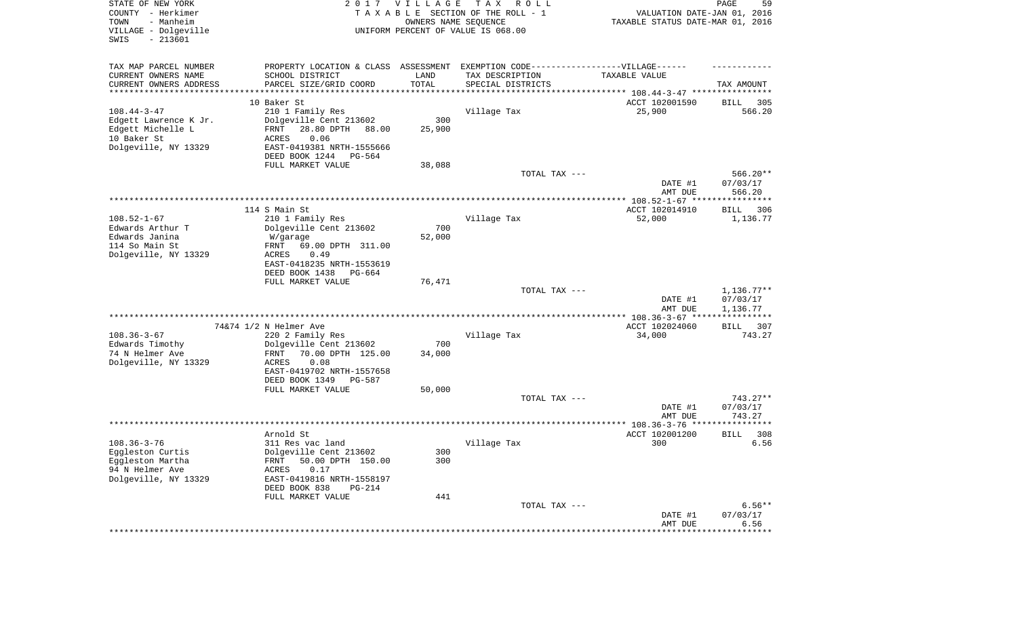| STATE OF NEW YORK<br>COUNTY - Herkimer<br>TOWN<br>- Manheim<br>VILLAGE - Dolgeville<br>SWIS<br>$-213601$ | 2017                                                                             | <b>VILLAGE</b>      | T A X<br>R O L L<br>TAXABLE SECTION OF THE ROLL - 1<br>OWNERS NAME SEQUENCE<br>UNIFORM PERCENT OF VALUE IS 068.00 | VALUATION DATE-JAN 01, 2016<br>TAXABLE STATUS DATE-MAR 01, 2016   | PAGE<br>59         |
|----------------------------------------------------------------------------------------------------------|----------------------------------------------------------------------------------|---------------------|-------------------------------------------------------------------------------------------------------------------|-------------------------------------------------------------------|--------------------|
| TAX MAP PARCEL NUMBER                                                                                    | PROPERTY LOCATION & CLASS ASSESSMENT EXEMPTION CODE----------------VILLAGE------ |                     |                                                                                                                   |                                                                   |                    |
| CURRENT OWNERS NAME                                                                                      | SCHOOL DISTRICT                                                                  | LAND                | TAX DESCRIPTION                                                                                                   | TAXABLE VALUE                                                     |                    |
| CURRENT OWNERS ADDRESS<br>********************                                                           | PARCEL SIZE/GRID COORD                                                           | TOTAL<br>********** | SPECIAL DISTRICTS                                                                                                 | ************************************ 108.44-3-47 **************** | TAX AMOUNT         |
|                                                                                                          | 10 Baker St                                                                      |                     |                                                                                                                   | ACCT 102001590                                                    | 305<br>BILL        |
| $108.44 - 3 - 47$                                                                                        | 210 1 Family Res                                                                 |                     | Village Tax                                                                                                       | 25,900                                                            | 566.20             |
| Edgett Lawrence K Jr.                                                                                    | Dolgeville Cent 213602                                                           | 300                 |                                                                                                                   |                                                                   |                    |
| Edgett Michelle L                                                                                        | 28.80 DPTH<br>FRNT<br>88.00                                                      | 25,900              |                                                                                                                   |                                                                   |                    |
| 10 Baker St<br>Dolgeville, NY 13329                                                                      | ACRES<br>0.06<br>EAST-0419381 NRTH-1555666                                       |                     |                                                                                                                   |                                                                   |                    |
|                                                                                                          | DEED BOOK 1244<br>PG-564                                                         |                     |                                                                                                                   |                                                                   |                    |
|                                                                                                          | FULL MARKET VALUE                                                                | 38,088              |                                                                                                                   |                                                                   |                    |
|                                                                                                          |                                                                                  |                     | TOTAL TAX ---                                                                                                     |                                                                   | 566.20**           |
|                                                                                                          |                                                                                  |                     |                                                                                                                   | DATE #1                                                           | 07/03/17           |
|                                                                                                          |                                                                                  |                     |                                                                                                                   | AMT DUE                                                           | 566.20             |
|                                                                                                          | 114 S Main St                                                                    |                     |                                                                                                                   | ACCT 102014910                                                    | BILL<br>306        |
| $108.52 - 1 - 67$                                                                                        | 210 1 Family Res                                                                 |                     | Village Tax                                                                                                       | 52,000                                                            | 1,136.77           |
| Edwards Arthur T                                                                                         | Dolgeville Cent 213602                                                           | 700                 |                                                                                                                   |                                                                   |                    |
| Edwards Janina<br>114 So Main St                                                                         | W/garage<br>69.00 DPTH 311.00<br>FRNT                                            | 52,000              |                                                                                                                   |                                                                   |                    |
| Dolgeville, NY 13329                                                                                     | ACRES<br>0.49                                                                    |                     |                                                                                                                   |                                                                   |                    |
|                                                                                                          | EAST-0418235 NRTH-1553619                                                        |                     |                                                                                                                   |                                                                   |                    |
|                                                                                                          | DEED BOOK 1438<br>PG-664                                                         |                     |                                                                                                                   |                                                                   |                    |
|                                                                                                          | FULL MARKET VALUE                                                                | 76,471              | TOTAL TAX ---                                                                                                     |                                                                   | $1,136.77**$       |
|                                                                                                          |                                                                                  |                     |                                                                                                                   | DATE #1                                                           | 07/03/17           |
|                                                                                                          |                                                                                  |                     |                                                                                                                   | AMT DUE                                                           | 1,136.77           |
|                                                                                                          |                                                                                  |                     |                                                                                                                   | ************ 108.36-3-67 ****                                     | ***********        |
| $108.36 - 3 - 67$                                                                                        | 74&74 1/2 N Helmer Ave<br>220 2 Family Res                                       |                     | Village Tax                                                                                                       | ACCT 102024060<br>34,000                                          | BILL 307<br>743.27 |
| Edwards Timothy                                                                                          | Dolgeville Cent 213602                                                           | 700                 |                                                                                                                   |                                                                   |                    |
| 74 N Helmer Ave                                                                                          | 70.00 DPTH 125.00<br>FRNT                                                        | 34,000              |                                                                                                                   |                                                                   |                    |
| Dolgeville, NY 13329                                                                                     | <b>ACRES</b><br>0.08                                                             |                     |                                                                                                                   |                                                                   |                    |
|                                                                                                          | EAST-0419702 NRTH-1557658                                                        |                     |                                                                                                                   |                                                                   |                    |
|                                                                                                          | DEED BOOK 1349<br>PG-587<br>FULL MARKET VALUE                                    | 50,000              |                                                                                                                   |                                                                   |                    |
|                                                                                                          |                                                                                  |                     | TOTAL TAX ---                                                                                                     |                                                                   | $743.27**$         |
|                                                                                                          |                                                                                  |                     |                                                                                                                   | DATE #1                                                           | 07/03/17           |
|                                                                                                          |                                                                                  |                     |                                                                                                                   | AMT DUE                                                           | 743.27             |
|                                                                                                          | Arnold St                                                                        |                     |                                                                                                                   | ACCT 102001200                                                    | 308<br><b>BILL</b> |
| $108.36 - 3 - 76$                                                                                        | 311 Res vac land                                                                 |                     | Village Tax                                                                                                       | 300                                                               | 6.56               |
| Eggleston Curtis                                                                                         | Dolgeville Cent 213602                                                           | 300                 |                                                                                                                   |                                                                   |                    |
| Eggleston Martha                                                                                         | 50.00 DPTH 150.00<br>FRNT                                                        | 300                 |                                                                                                                   |                                                                   |                    |
| 94 N Helmer Ave<br>Dolgeville, NY 13329                                                                  | ACRES<br>0.17<br>EAST-0419816 NRTH-1558197                                       |                     |                                                                                                                   |                                                                   |                    |
|                                                                                                          | DEED BOOK 838<br>PG-214                                                          |                     |                                                                                                                   |                                                                   |                    |
|                                                                                                          | FULL MARKET VALUE                                                                | 441                 |                                                                                                                   |                                                                   |                    |
|                                                                                                          |                                                                                  |                     | TOTAL TAX ---                                                                                                     |                                                                   | $6.56**$           |
|                                                                                                          |                                                                                  |                     |                                                                                                                   | DATE #1<br>AMT DUE                                                | 07/03/17<br>6.56   |
|                                                                                                          |                                                                                  |                     |                                                                                                                   | ********************                                              | *************      |
|                                                                                                          |                                                                                  |                     |                                                                                                                   |                                                                   |                    |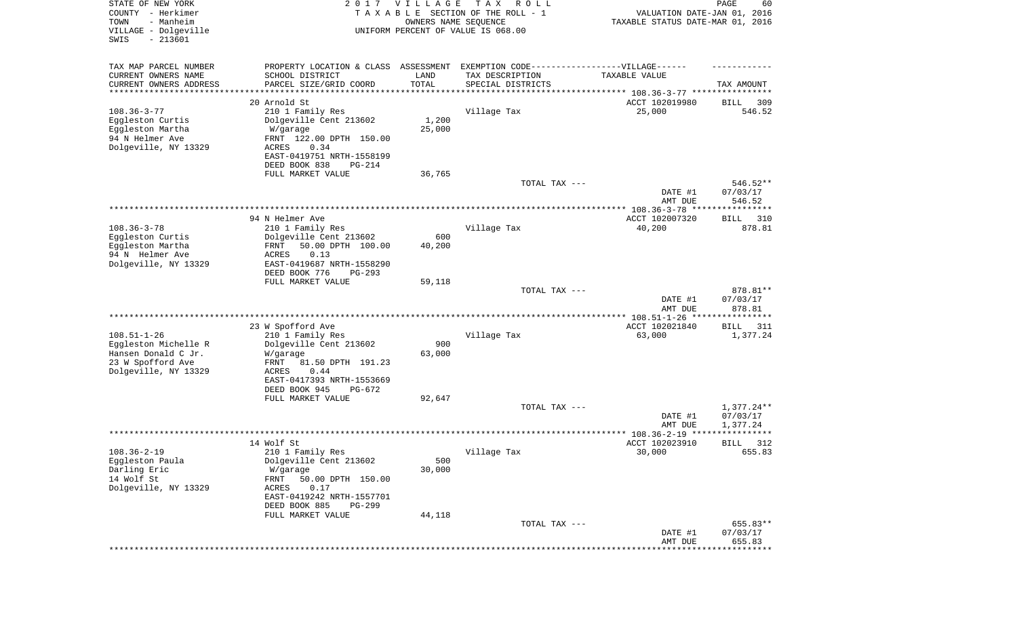| STATE OF NEW YORK<br>COUNTY - Herkimer<br>- Manheim<br>TOWN<br>VILLAGE - Dolgeville<br>SWIS<br>$-213601$ | 2017                                              | <b>VILLAGE</b><br>OWNERS NAME SEQUENCE | T A X<br>R O L L<br>TAXABLE SECTION OF THE ROLL - 1<br>UNIFORM PERCENT OF VALUE IS 068.00 | VALUATION DATE-JAN 01, 2016<br>TAXABLE STATUS DATE-MAR 01, 2016 | PAGE<br>60            |
|----------------------------------------------------------------------------------------------------------|---------------------------------------------------|----------------------------------------|-------------------------------------------------------------------------------------------|-----------------------------------------------------------------|-----------------------|
| TAX MAP PARCEL NUMBER                                                                                    | PROPERTY LOCATION & CLASS                         | ASSESSMENT                             | EXEMPTION CODE-----------------VILLAGE------                                              |                                                                 |                       |
| CURRENT OWNERS NAME<br>CURRENT OWNERS ADDRESS                                                            | SCHOOL DISTRICT<br>PARCEL SIZE/GRID COORD         | LAND<br>TOTAL                          | TAX DESCRIPTION<br>SPECIAL DISTRICTS                                                      | TAXABLE VALUE                                                   | TAX AMOUNT            |
| ********************                                                                                     |                                                   |                                        |                                                                                           |                                                                 |                       |
| $108.36 - 3 - 77$                                                                                        | 20 Arnold St<br>210 1 Family Res                  |                                        | Village Tax                                                                               | ACCT 102019980<br>25,000                                        | 309<br>BILL<br>546.52 |
| Eggleston Curtis                                                                                         | Dolgeville Cent 213602                            | 1,200                                  |                                                                                           |                                                                 |                       |
| Eggleston Martha                                                                                         | W/garage                                          | 25,000                                 |                                                                                           |                                                                 |                       |
| 94 N Helmer Ave                                                                                          | FRNT 122.00 DPTH 150.00                           |                                        |                                                                                           |                                                                 |                       |
| Dolgeville, NY 13329                                                                                     | 0.34<br>ACRES                                     |                                        |                                                                                           |                                                                 |                       |
|                                                                                                          | EAST-0419751 NRTH-1558199                         |                                        |                                                                                           |                                                                 |                       |
|                                                                                                          | DEED BOOK 838<br><b>PG-214</b>                    |                                        |                                                                                           |                                                                 |                       |
|                                                                                                          | FULL MARKET VALUE                                 | 36,765                                 | TOTAL TAX ---                                                                             |                                                                 | 546.52**              |
|                                                                                                          |                                                   |                                        |                                                                                           | DATE #1                                                         | 07/03/17              |
|                                                                                                          |                                                   |                                        |                                                                                           | AMT DUE                                                         | 546.52                |
|                                                                                                          |                                                   |                                        |                                                                                           | **************** 108.36-3-78 *****************                  |                       |
|                                                                                                          | 94 N Helmer Ave                                   |                                        |                                                                                           | ACCT 102007320                                                  | 310<br>BILL           |
| $108.36 - 3 - 78$                                                                                        | 210 1 Family Res                                  |                                        | Village Tax                                                                               | 40,200                                                          | 878.81                |
| Eggleston Curtis                                                                                         | Dolgeville Cent 213602                            | 600                                    |                                                                                           |                                                                 |                       |
| Eggleston Martha<br>94 N Helmer Ave                                                                      | 50.00 DPTH 100.00<br>FRNT<br><b>ACRES</b><br>0.13 | 40,200                                 |                                                                                           |                                                                 |                       |
| Dolgeville, NY 13329                                                                                     | EAST-0419687 NRTH-1558290                         |                                        |                                                                                           |                                                                 |                       |
|                                                                                                          | DEED BOOK 776<br>$PG-293$                         |                                        |                                                                                           |                                                                 |                       |
|                                                                                                          | FULL MARKET VALUE                                 | 59,118                                 |                                                                                           |                                                                 |                       |
|                                                                                                          |                                                   |                                        | TOTAL TAX ---                                                                             |                                                                 | 878.81**              |
|                                                                                                          |                                                   |                                        |                                                                                           | DATE #1                                                         | 07/03/17              |
|                                                                                                          |                                                   |                                        |                                                                                           | AMT DUE<br>******* $108.51 - 1 - 26$ ****************           | 878.81                |
|                                                                                                          | 23 W Spofford Ave                                 |                                        |                                                                                           | ACCT 102021840                                                  | <b>BILL</b><br>311    |
| $108.51 - 1 - 26$                                                                                        | 210 1 Family Res                                  |                                        | Village Tax                                                                               | 63,000                                                          | 1,377.24              |
| Eggleston Michelle R                                                                                     | Dolgeville Cent 213602                            | 900                                    |                                                                                           |                                                                 |                       |
| Hansen Donald C Jr.                                                                                      | W/garage                                          | 63,000                                 |                                                                                           |                                                                 |                       |
| 23 W Spofford Ave                                                                                        | FRNT<br>81.50 DPTH 191.23                         |                                        |                                                                                           |                                                                 |                       |
| Dolgeville, NY 13329                                                                                     | <b>ACRES</b><br>0.44<br>EAST-0417393 NRTH-1553669 |                                        |                                                                                           |                                                                 |                       |
|                                                                                                          | DEED BOOK 945<br>PG-672                           |                                        |                                                                                           |                                                                 |                       |
|                                                                                                          | FULL MARKET VALUE                                 | 92,647                                 |                                                                                           |                                                                 |                       |
|                                                                                                          |                                                   |                                        | TOTAL TAX ---                                                                             |                                                                 | $1,377.24**$          |
|                                                                                                          |                                                   |                                        |                                                                                           | DATE #1                                                         | 07/03/17              |
|                                                                                                          |                                                   |                                        |                                                                                           | AMT DUE                                                         | 1,377.24              |
|                                                                                                          | 14 Wolf St                                        |                                        |                                                                                           | **************** 108.36-2-19 ****<br>ACCT 102023910             | ****                  |
| $108.36 - 2 - 19$                                                                                        | 210 1 Family Res                                  |                                        | Village Tax                                                                               | 30,000                                                          | 312<br>BILL<br>655.83 |
| Eggleston Paula                                                                                          | Dolgeville Cent 213602                            | 500                                    |                                                                                           |                                                                 |                       |
| Darling Eric                                                                                             | W/garage                                          | 30,000                                 |                                                                                           |                                                                 |                       |
| 14 Wolf St                                                                                               | FRNT<br>50.00 DPTH 150.00                         |                                        |                                                                                           |                                                                 |                       |
| Dolgeville, NY 13329                                                                                     | ACRES<br>0.17                                     |                                        |                                                                                           |                                                                 |                       |
|                                                                                                          | EAST-0419242 NRTH-1557701                         |                                        |                                                                                           |                                                                 |                       |
|                                                                                                          | DEED BOOK 885<br>PG-299<br>FULL MARKET VALUE      | 44,118                                 |                                                                                           |                                                                 |                       |
|                                                                                                          |                                                   |                                        | TOTAL TAX ---                                                                             |                                                                 | 655.83**              |
|                                                                                                          |                                                   |                                        |                                                                                           | DATE #1                                                         | 07/03/17              |
|                                                                                                          |                                                   |                                        |                                                                                           | AMT DUE                                                         | 655.83                |
|                                                                                                          |                                                   |                                        |                                                                                           |                                                                 | **********            |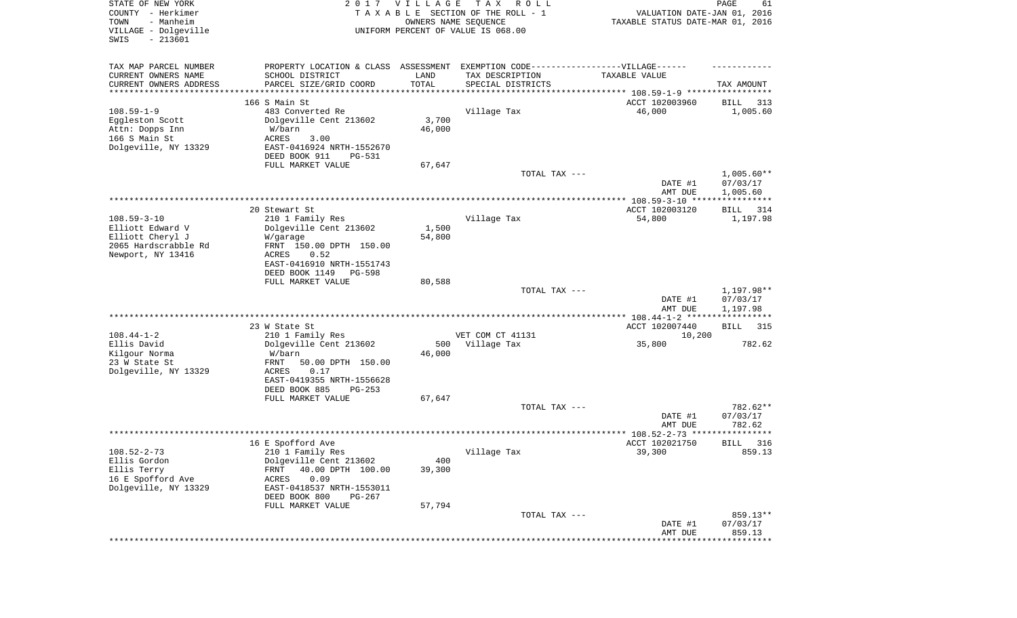| STATE OF NEW YORK<br>COUNTY - Herkimer<br>- Manheim<br>TOWN<br>VILLAGE - Dolgeville<br>SWIS<br>$-213601$ |                                                                                                      | 2017 VILLAGE<br>OWNERS NAME SEQUENCE | T A X<br>R O L L<br>TAXABLE SECTION OF THE ROLL - 1<br>UNIFORM PERCENT OF VALUE IS 068.00 | VALUATION DATE-JAN 01, 2016<br>TAXABLE STATUS DATE-MAR 01, 2016 | PAGE<br>61               |
|----------------------------------------------------------------------------------------------------------|------------------------------------------------------------------------------------------------------|--------------------------------------|-------------------------------------------------------------------------------------------|-----------------------------------------------------------------|--------------------------|
| TAX MAP PARCEL NUMBER<br>CURRENT OWNERS NAME                                                             | PROPERTY LOCATION & CLASS ASSESSMENT EXEMPTION CODE-----------------VILLAGE------<br>SCHOOL DISTRICT | LAND                                 | TAX DESCRIPTION                                                                           | TAXABLE VALUE                                                   |                          |
| CURRENT OWNERS ADDRESS                                                                                   | PARCEL SIZE/GRID COORD                                                                               | TOTAL                                | SPECIAL DISTRICTS                                                                         |                                                                 | TAX AMOUNT               |
| *********************                                                                                    |                                                                                                      |                                      | ********************************* 108.59-1-9 *****************                            |                                                                 |                          |
|                                                                                                          | 166 S Main St                                                                                        |                                      |                                                                                           | ACCT 102003960                                                  | BILL<br>313              |
| $108.59 - 1 - 9$<br>Eggleston Scott                                                                      | 483 Converted Re<br>Dolgeville Cent 213602                                                           | 3,700                                | Village Tax                                                                               | 46,000                                                          | 1,005.60                 |
| Attn: Dopps Inn                                                                                          | W/barn                                                                                               | 46,000                               |                                                                                           |                                                                 |                          |
| 166 S Main St                                                                                            | ACRES<br>3.00                                                                                        |                                      |                                                                                           |                                                                 |                          |
| Dolgeville, NY 13329                                                                                     | EAST-0416924 NRTH-1552670                                                                            |                                      |                                                                                           |                                                                 |                          |
|                                                                                                          | DEED BOOK 911<br>PG-531                                                                              |                                      |                                                                                           |                                                                 |                          |
|                                                                                                          | FULL MARKET VALUE                                                                                    | 67,647                               |                                                                                           |                                                                 |                          |
|                                                                                                          |                                                                                                      |                                      | TOTAL TAX ---                                                                             | DATE #1                                                         | $1,005.60**$<br>07/03/17 |
|                                                                                                          |                                                                                                      |                                      |                                                                                           | AMT DUE                                                         | 1,005.60                 |
|                                                                                                          | 20 Stewart St                                                                                        |                                      |                                                                                           | ACCT 102003120                                                  | BILL<br>314              |
| $108.59 - 3 - 10$                                                                                        | 210 1 Family Res                                                                                     |                                      | Village Tax                                                                               | 54,800                                                          | 1,197.98                 |
| Elliott Edward V                                                                                         | Dolgeville Cent 213602                                                                               | 1,500                                |                                                                                           |                                                                 |                          |
| Elliott Cheryl J                                                                                         | W/garage                                                                                             | 54,800                               |                                                                                           |                                                                 |                          |
| 2065 Hardscrabble Rd                                                                                     | FRNT 150.00 DPTH 150.00                                                                              |                                      |                                                                                           |                                                                 |                          |
| Newport, NY 13416                                                                                        | ACRES<br>0.52                                                                                        |                                      |                                                                                           |                                                                 |                          |
|                                                                                                          | EAST-0416910 NRTH-1551743<br>DEED BOOK 1149<br><b>PG-598</b>                                         |                                      |                                                                                           |                                                                 |                          |
|                                                                                                          | FULL MARKET VALUE                                                                                    | 80,588                               |                                                                                           |                                                                 |                          |
|                                                                                                          |                                                                                                      |                                      | TOTAL TAX ---                                                                             |                                                                 | 1,197.98**               |
|                                                                                                          |                                                                                                      |                                      |                                                                                           | DATE #1<br>AMT DUE                                              | 07/03/17<br>1,197.98     |
|                                                                                                          |                                                                                                      |                                      |                                                                                           | ************* 108.44-1-2 *****************                      |                          |
|                                                                                                          | 23 W State St                                                                                        |                                      |                                                                                           | ACCT 102007440                                                  | <b>BILL</b><br>315       |
| $108.44 - 1 - 2$<br>Ellis David                                                                          | 210 1 Family Res<br>Dolgeville Cent 213602                                                           | 500                                  | VET COM CT 41131<br>Village Tax                                                           | 10,200<br>35,800                                                | 782.62                   |
| Kilgour Norma                                                                                            | W/barn                                                                                               | 46,000                               |                                                                                           |                                                                 |                          |
| 23 W State St                                                                                            | FRNT<br>50.00 DPTH 150.00                                                                            |                                      |                                                                                           |                                                                 |                          |
| Dolgeville, NY 13329                                                                                     | ACRES<br>0.17                                                                                        |                                      |                                                                                           |                                                                 |                          |
|                                                                                                          | EAST-0419355 NRTH-1556628                                                                            |                                      |                                                                                           |                                                                 |                          |
|                                                                                                          | DEED BOOK 885<br>$PG-253$                                                                            |                                      |                                                                                           |                                                                 |                          |
|                                                                                                          | FULL MARKET VALUE                                                                                    | 67,647                               |                                                                                           |                                                                 |                          |
|                                                                                                          |                                                                                                      |                                      | TOTAL TAX ---                                                                             |                                                                 | 782.62**<br>07/03/17     |
|                                                                                                          |                                                                                                      |                                      |                                                                                           | DATE #1<br>AMT DUE                                              | 782.62                   |
|                                                                                                          |                                                                                                      |                                      |                                                                                           |                                                                 | * * * * * * *            |
|                                                                                                          | 16 E Spofford Ave                                                                                    |                                      |                                                                                           | ACCT 102021750                                                  | BILL<br>316              |
| $108.52 - 2 - 73$                                                                                        | 210 1 Family Res                                                                                     |                                      | Village Tax                                                                               | 39,300                                                          | 859.13                   |
| Ellis Gordon                                                                                             | Dolgeville Cent 213602                                                                               | 400                                  |                                                                                           |                                                                 |                          |
| Ellis Terry                                                                                              | 40.00 DPTH 100.00<br>FRNT                                                                            | 39,300                               |                                                                                           |                                                                 |                          |
| 16 E Spofford Ave                                                                                        | 0.09<br>ACRES                                                                                        |                                      |                                                                                           |                                                                 |                          |
| Dolgeville, NY 13329                                                                                     | EAST-0418537 NRTH-1553011                                                                            |                                      |                                                                                           |                                                                 |                          |
|                                                                                                          | DEED BOOK 800<br>PG-267<br>FULL MARKET VALUE                                                         | 57,794                               |                                                                                           |                                                                 |                          |
|                                                                                                          |                                                                                                      |                                      | TOTAL TAX ---                                                                             |                                                                 | 859.13**                 |
|                                                                                                          |                                                                                                      |                                      |                                                                                           | DATE #1                                                         | 07/03/17                 |
|                                                                                                          |                                                                                                      |                                      |                                                                                           | AMT DUE                                                         | 859.13                   |
|                                                                                                          |                                                                                                      |                                      |                                                                                           |                                                                 |                          |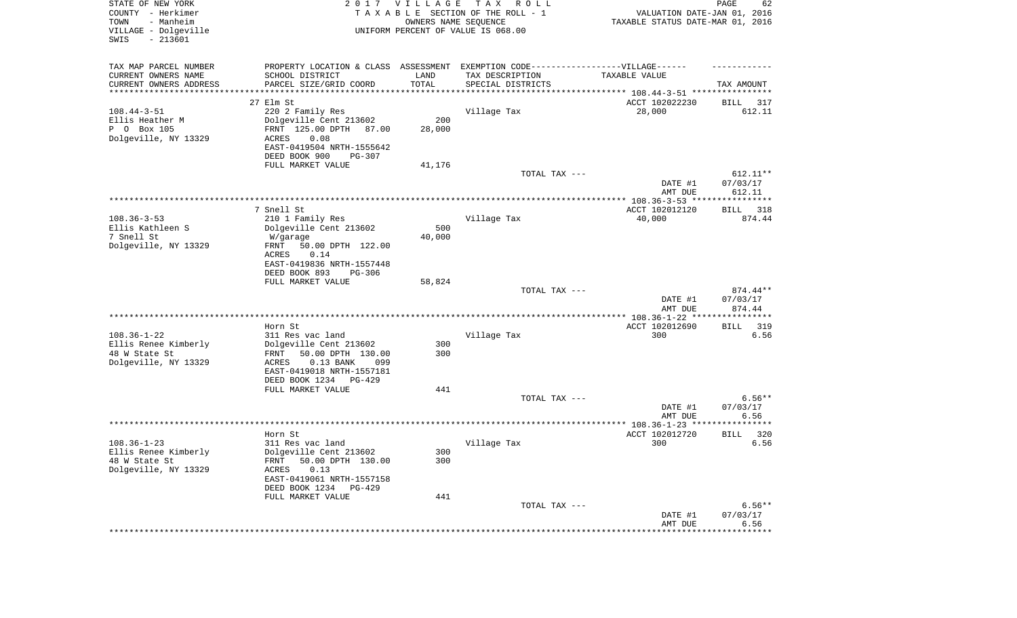| STATE OF NEW YORK<br>COUNTY - Herkimer<br>- Manheim<br>TOWN<br>VILLAGE - Dolgeville<br>SWIS<br>$-213601$ |                                                                                  | 2017 VILLAGE  | T A X<br>R O L L<br>TAXABLE SECTION OF THE ROLL - 1<br>OWNERS NAME SEQUENCE<br>UNIFORM PERCENT OF VALUE IS 068.00 | VALUATION DATE-JAN 01, 2016<br>TAXABLE STATUS DATE-MAR 01, 2016 | PAGE<br>62             |
|----------------------------------------------------------------------------------------------------------|----------------------------------------------------------------------------------|---------------|-------------------------------------------------------------------------------------------------------------------|-----------------------------------------------------------------|------------------------|
| TAX MAP PARCEL NUMBER                                                                                    | PROPERTY LOCATION & CLASS ASSESSMENT EXEMPTION CODE----------------VILLAGE------ |               |                                                                                                                   |                                                                 |                        |
| CURRENT OWNERS NAME                                                                                      | SCHOOL DISTRICT                                                                  | LAND<br>TOTAL | TAX DESCRIPTION                                                                                                   | TAXABLE VALUE                                                   |                        |
| CURRENT OWNERS ADDRESS<br>*********************                                                          | PARCEL SIZE/GRID COORD                                                           |               | SPECIAL DISTRICTS                                                                                                 | ********************************* 108.44-3-51 ****************  | TAX AMOUNT             |
|                                                                                                          | 27 Elm St                                                                        |               |                                                                                                                   | ACCT 102022230                                                  | 317<br>BILL            |
| $108.44 - 3 - 51$                                                                                        | 220 2 Family Res                                                                 |               | Village Tax                                                                                                       | 28,000                                                          | 612.11                 |
| Ellis Heather M                                                                                          | Dolgeville Cent 213602                                                           | 200           |                                                                                                                   |                                                                 |                        |
| P 0 Box 105                                                                                              | FRNT 125.00 DPTH<br>87.00                                                        | 28,000        |                                                                                                                   |                                                                 |                        |
| Dolgeville, NY 13329                                                                                     | ACRES<br>0.08<br>EAST-0419504 NRTH-1555642                                       |               |                                                                                                                   |                                                                 |                        |
|                                                                                                          | DEED BOOK 900<br><b>PG-307</b>                                                   |               |                                                                                                                   |                                                                 |                        |
|                                                                                                          | FULL MARKET VALUE                                                                | 41,176        |                                                                                                                   |                                                                 |                        |
|                                                                                                          |                                                                                  |               | TOTAL TAX ---                                                                                                     |                                                                 | $612.11**$             |
|                                                                                                          |                                                                                  |               |                                                                                                                   | DATE #1                                                         | 07/03/17               |
|                                                                                                          |                                                                                  |               |                                                                                                                   | AMT DUE                                                         | 612.11                 |
|                                                                                                          | 7 Snell St                                                                       |               |                                                                                                                   | ACCT 102012120                                                  | 318<br>BILL            |
| $108.36 - 3 - 53$                                                                                        | 210 1 Family Res                                                                 |               | Village Tax                                                                                                       | 40,000                                                          | 874.44                 |
| Ellis Kathleen S                                                                                         | Dolgeville Cent 213602                                                           | 500           |                                                                                                                   |                                                                 |                        |
| 7 Snell St                                                                                               | W/garage                                                                         | 40,000        |                                                                                                                   |                                                                 |                        |
| Dolgeville, NY 13329                                                                                     | 50.00 DPTH 122.00<br>FRNT                                                        |               |                                                                                                                   |                                                                 |                        |
|                                                                                                          | ACRES<br>0.14<br>EAST-0419836 NRTH-1557448                                       |               |                                                                                                                   |                                                                 |                        |
|                                                                                                          | DEED BOOK 893<br>$PG-306$                                                        |               |                                                                                                                   |                                                                 |                        |
|                                                                                                          | FULL MARKET VALUE                                                                | 58,824        |                                                                                                                   |                                                                 |                        |
|                                                                                                          |                                                                                  |               | TOTAL TAX ---                                                                                                     |                                                                 | $874.44**$             |
|                                                                                                          |                                                                                  |               |                                                                                                                   | DATE #1                                                         | 07/03/17               |
|                                                                                                          |                                                                                  |               |                                                                                                                   | AMT DUE<br>************** 108.36-1-22 ****************          | 874.44                 |
|                                                                                                          | Horn St                                                                          |               |                                                                                                                   | ACCT 102012690                                                  | 319<br>BILL            |
| $108.36 - 1 - 22$                                                                                        | 311 Res vac land                                                                 |               | Village Tax                                                                                                       | 300                                                             | 6.56                   |
| Ellis Renee Kimberly                                                                                     | Dolgeville Cent 213602                                                           | 300           |                                                                                                                   |                                                                 |                        |
| 48 W State St                                                                                            | 50.00 DPTH 130.00<br>FRNT                                                        | 300           |                                                                                                                   |                                                                 |                        |
| Dolgeville, NY 13329                                                                                     | ACRES<br>$0.13$ BANK<br>099<br>EAST-0419018 NRTH-1557181                         |               |                                                                                                                   |                                                                 |                        |
|                                                                                                          | DEED BOOK 1234<br>PG-429                                                         |               |                                                                                                                   |                                                                 |                        |
|                                                                                                          | FULL MARKET VALUE                                                                | 441           |                                                                                                                   |                                                                 |                        |
|                                                                                                          |                                                                                  |               | TOTAL TAX ---                                                                                                     |                                                                 | $6.56**$               |
|                                                                                                          |                                                                                  |               |                                                                                                                   | DATE #1                                                         | 07/03/17               |
|                                                                                                          |                                                                                  |               |                                                                                                                   | AMT DUE                                                         | 6.56<br>**********     |
|                                                                                                          | Horn St                                                                          |               |                                                                                                                   | ACCT 102012720                                                  | 320<br>BILL            |
| $108.36 - 1 - 23$                                                                                        | 311 Res vac land                                                                 |               | Village Tax                                                                                                       | 300                                                             | 6.56                   |
| Ellis Renee Kimberly                                                                                     | Dolgeville Cent 213602                                                           | 300           |                                                                                                                   |                                                                 |                        |
| 48 W State St                                                                                            | 50.00 DPTH 130.00<br>FRNT                                                        | 300           |                                                                                                                   |                                                                 |                        |
| Dolgeville, NY 13329                                                                                     | ACRES<br>0.13<br>EAST-0419061 NRTH-1557158                                       |               |                                                                                                                   |                                                                 |                        |
|                                                                                                          | DEED BOOK 1234<br>PG-429                                                         |               |                                                                                                                   |                                                                 |                        |
|                                                                                                          | FULL MARKET VALUE                                                                | 441           |                                                                                                                   |                                                                 |                        |
|                                                                                                          |                                                                                  |               | TOTAL TAX ---                                                                                                     |                                                                 | $6.56**$               |
|                                                                                                          |                                                                                  |               |                                                                                                                   | DATE #1                                                         | 07/03/17               |
|                                                                                                          |                                                                                  |               |                                                                                                                   | AMT DUE<br>********************                                 | 6.56<br>************** |
|                                                                                                          |                                                                                  |               |                                                                                                                   |                                                                 |                        |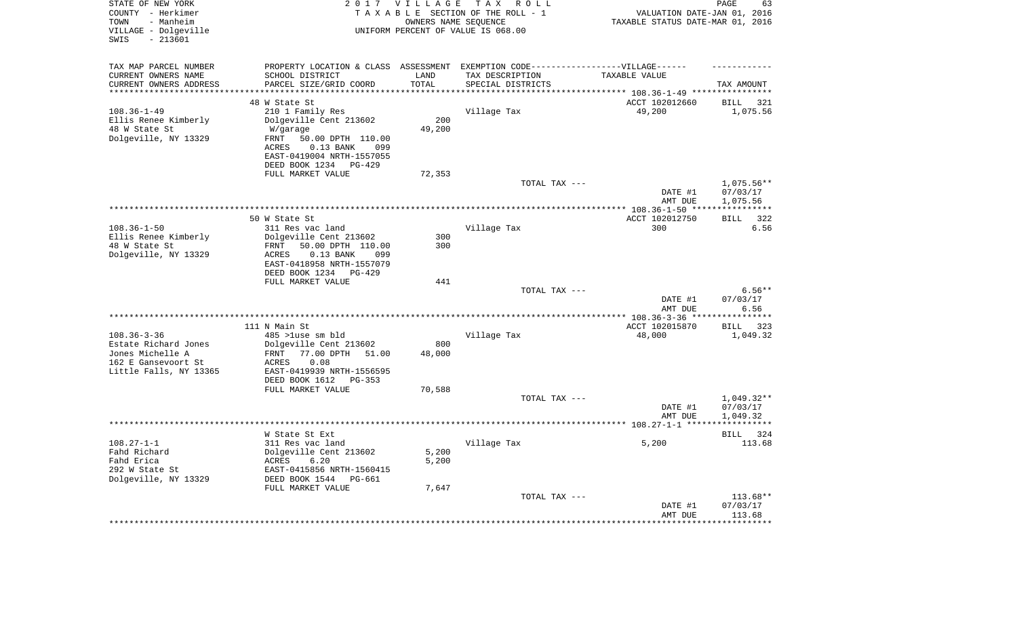| STATE OF NEW YORK<br>COUNTY - Herkimer<br>TOWN<br>- Manheim<br>VILLAGE - Dolgeville<br>$-213601$<br>SWIS |                                                          | 2017 VILLAGE<br>OWNERS NAME SEQUENCE | TAX ROLL<br>TAXABLE SECTION OF THE ROLL - 1<br>UNIFORM PERCENT OF VALUE IS 068.00                    | VALUATION DATE-JAN 01, 2016<br>TAXABLE STATUS DATE-MAR 01, 2016 | PAGE<br>63                |
|----------------------------------------------------------------------------------------------------------|----------------------------------------------------------|--------------------------------------|------------------------------------------------------------------------------------------------------|-----------------------------------------------------------------|---------------------------|
| TAX MAP PARCEL NUMBER<br>CURRENT OWNERS NAME                                                             | SCHOOL DISTRICT                                          | LAND                                 | PROPERTY LOCATION & CLASS ASSESSMENT EXEMPTION CODE-----------------VILLAGE------<br>TAX DESCRIPTION | TAXABLE VALUE                                                   |                           |
| CURRENT OWNERS ADDRESS                                                                                   | PARCEL SIZE/GRID COORD                                   | TOTAL                                | SPECIAL DISTRICTS                                                                                    |                                                                 | TAX AMOUNT                |
| *********************                                                                                    | ***********************                                  | *********                            |                                                                                                      |                                                                 |                           |
|                                                                                                          | 48 W State St                                            |                                      |                                                                                                      | ACCT 102012660                                                  | <b>BILL</b><br>321        |
| $108.36 - 1 - 49$                                                                                        | 210 1 Family Res                                         |                                      | Village Tax                                                                                          | 49,200                                                          | 1,075.56                  |
| Ellis Renee Kimberly<br>48 W State St                                                                    | Dolgeville Cent 213602<br>W/garage                       | 200<br>49,200                        |                                                                                                      |                                                                 |                           |
| Dolgeville, NY 13329                                                                                     | 50.00 DPTH 110.00<br>FRNT                                |                                      |                                                                                                      |                                                                 |                           |
|                                                                                                          | ACRES<br>$0.13$ BANK<br>099<br>EAST-0419004 NRTH-1557055 |                                      |                                                                                                      |                                                                 |                           |
|                                                                                                          | DEED BOOK 1234 PG-429                                    |                                      |                                                                                                      |                                                                 |                           |
|                                                                                                          | FULL MARKET VALUE                                        | 72,353                               |                                                                                                      |                                                                 |                           |
|                                                                                                          |                                                          |                                      | TOTAL TAX ---                                                                                        |                                                                 | 1,075.56**                |
|                                                                                                          |                                                          |                                      |                                                                                                      | DATE #1                                                         | 07/03/17                  |
|                                                                                                          |                                                          |                                      |                                                                                                      | AMT DUE                                                         | 1,075.56<br>***********   |
|                                                                                                          | 50 W State St                                            |                                      |                                                                                                      | ACCT 102012750                                                  | 322<br>BILL               |
| $108.36 - 1 - 50$                                                                                        | 311 Res vac land                                         |                                      | Village Tax                                                                                          | 300                                                             | 6.56                      |
| Ellis Renee Kimberly                                                                                     | Dolgeville Cent 213602                                   | 300                                  |                                                                                                      |                                                                 |                           |
| 48 W State St                                                                                            | FRNT<br>50.00 DPTH 110.00                                | 300                                  |                                                                                                      |                                                                 |                           |
| Dolgeville, NY 13329                                                                                     | $0.13$ BANK<br>ACRES<br>099                              |                                      |                                                                                                      |                                                                 |                           |
|                                                                                                          | EAST-0418958 NRTH-1557079<br>DEED BOOK 1234 PG-429       |                                      |                                                                                                      |                                                                 |                           |
|                                                                                                          | FULL MARKET VALUE                                        | 441                                  |                                                                                                      |                                                                 |                           |
|                                                                                                          |                                                          |                                      | TOTAL TAX ---                                                                                        |                                                                 | $6.56**$                  |
|                                                                                                          |                                                          |                                      |                                                                                                      | DATE #1                                                         | 07/03/17                  |
|                                                                                                          |                                                          |                                      |                                                                                                      | AMT DUE                                                         | 6.56<br>***********       |
|                                                                                                          | 111 N Main St                                            |                                      |                                                                                                      | ACCT 102015870                                                  | <b>BILL</b><br>323        |
| $108.36 - 3 - 36$                                                                                        | 485 >luse sm bld                                         |                                      | Village Tax                                                                                          | 48,000                                                          | 1,049.32                  |
| Estate Richard Jones                                                                                     | Dolgeville Cent 213602                                   | 800                                  |                                                                                                      |                                                                 |                           |
| Jones Michelle A                                                                                         | 77.00 DPTH<br>FRNT<br>51.00                              | 48,000                               |                                                                                                      |                                                                 |                           |
| 162 E Gansevoort St                                                                                      | ACRES<br>0.08                                            |                                      |                                                                                                      |                                                                 |                           |
| Little Falls, NY 13365                                                                                   | EAST-0419939 NRTH-1556595<br>DEED BOOK 1612<br>PG-353    |                                      |                                                                                                      |                                                                 |                           |
|                                                                                                          | FULL MARKET VALUE                                        | 70,588                               |                                                                                                      |                                                                 |                           |
|                                                                                                          |                                                          |                                      | TOTAL TAX ---                                                                                        |                                                                 | $1,049.32**$              |
|                                                                                                          |                                                          |                                      |                                                                                                      | DATE #1                                                         | 07/03/17                  |
|                                                                                                          |                                                          |                                      |                                                                                                      | AMT DUE                                                         | 1,049.32                  |
|                                                                                                          | W State St Ext                                           |                                      |                                                                                                      |                                                                 | **********<br>324<br>BILL |
| $108.27 - 1 - 1$                                                                                         | 311 Res vac land                                         |                                      | Village Tax                                                                                          | 5,200                                                           | 113.68                    |
| Fahd Richard                                                                                             | Dolgeville Cent 213602                                   | 5,200                                |                                                                                                      |                                                                 |                           |
| Fahd Erica                                                                                               | 6.20<br>ACRES                                            | 5,200                                |                                                                                                      |                                                                 |                           |
| 292 W State St                                                                                           | EAST-0415856 NRTH-1560415                                |                                      |                                                                                                      |                                                                 |                           |
| Dolgeville, NY 13329                                                                                     | DEED BOOK 1544<br>PG-661                                 |                                      |                                                                                                      |                                                                 |                           |
|                                                                                                          | FULL MARKET VALUE                                        | 7,647                                | TOTAL TAX ---                                                                                        |                                                                 | 113.68**                  |
|                                                                                                          |                                                          |                                      |                                                                                                      | DATE #1                                                         | 07/03/17                  |
|                                                                                                          |                                                          |                                      |                                                                                                      | AMT DUE                                                         | 113.68                    |
|                                                                                                          |                                                          |                                      |                                                                                                      |                                                                 | ************              |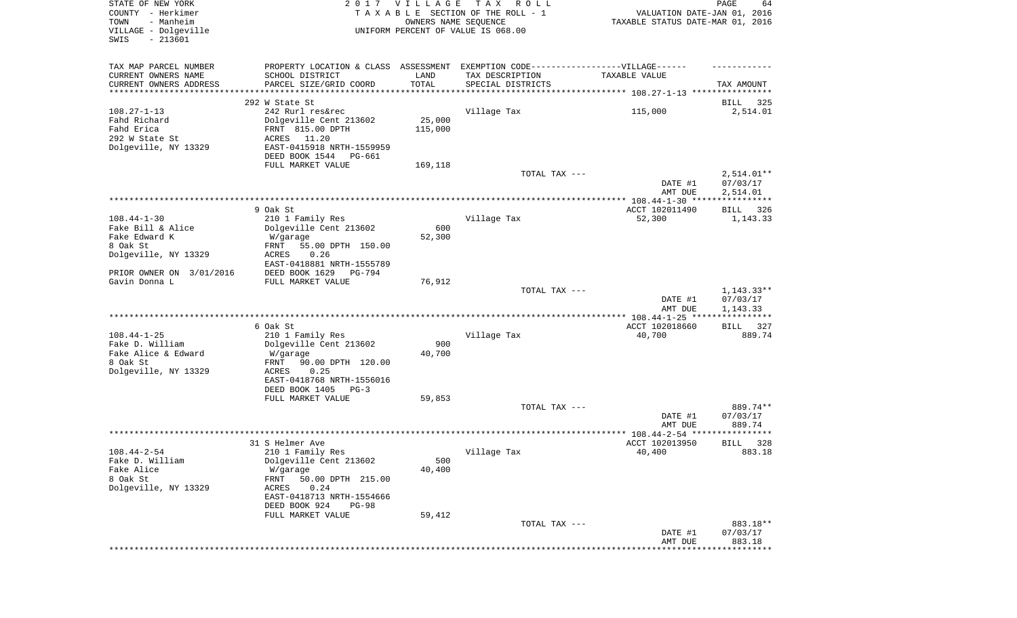| STATE OF NEW YORK<br>COUNTY - Herkimer<br>- Manheim<br>TOWN<br>VILLAGE - Dolgeville<br>SWIS<br>$-213601$ |                                                                                                                                                               | 2017 VILLAGE<br>OWNERS NAME SEQUENCE | T A X<br>R O L L<br>TAXABLE SECTION OF THE ROLL - 1<br>UNIFORM PERCENT OF VALUE IS 068.00 | VALUATION DATE-JAN 01, 2016<br>TAXABLE STATUS DATE-MAR 01, 2016 | $\mathop{\mathtt{PAGE}}$<br>64       |
|----------------------------------------------------------------------------------------------------------|---------------------------------------------------------------------------------------------------------------------------------------------------------------|--------------------------------------|-------------------------------------------------------------------------------------------|-----------------------------------------------------------------|--------------------------------------|
| TAX MAP PARCEL NUMBER                                                                                    | PROPERTY LOCATION & CLASS ASSESSMENT EXEMPTION CODE-----------------VILLAGE------                                                                             |                                      |                                                                                           |                                                                 |                                      |
| CURRENT OWNERS NAME<br>CURRENT OWNERS ADDRESS<br>**********************                                  | SCHOOL DISTRICT<br>PARCEL SIZE/GRID COORD                                                                                                                     | LAND<br>TOTAL                        | TAX DESCRIPTION<br>SPECIAL DISTRICTS                                                      | TAXABLE VALUE                                                   | TAX AMOUNT                           |
|                                                                                                          | 292 W State St                                                                                                                                                |                                      |                                                                                           |                                                                 | 325                                  |
| $108.27 - 1 - 13$<br>Fahd Richard<br>Fahd Erica<br>292 W State St<br>Dolgeville, NY 13329                | 242 Rurl res&rec<br>Dolgeville Cent 213602<br>FRNT 815.00 DPTH<br>ACRES<br>11.20<br>EAST-0415918 NRTH-1559959                                                 | 25,000<br>115,000                    | Village Tax                                                                               | 115,000                                                         | BILL<br>2,514.01                     |
|                                                                                                          | DEED BOOK 1544<br>PG-661                                                                                                                                      |                                      |                                                                                           |                                                                 |                                      |
|                                                                                                          | FULL MARKET VALUE                                                                                                                                             | 169,118                              | TOTAL TAX ---                                                                             | DATE #1<br>AMT DUE                                              | $2,514.01**$<br>07/03/17<br>2,514.01 |
|                                                                                                          |                                                                                                                                                               |                                      |                                                                                           |                                                                 |                                      |
| $108.44 - 1 - 30$<br>Fake Bill & Alice                                                                   | 9 Oak St.<br>210 1 Family Res<br>Dolgeville Cent 213602                                                                                                       | 600                                  | Village Tax                                                                               | ACCT 102011490<br>52,300                                        | BILL<br>326<br>1,143.33              |
| Fake Edward K<br>8 Oak St<br>Dolgeville, NY 13329                                                        | W/garage<br>55.00 DPTH 150.00<br>FRNT<br><b>ACRES</b><br>0.26<br>EAST-0418881 NRTH-1555789                                                                    | 52,300                               |                                                                                           |                                                                 |                                      |
| PRIOR OWNER ON 3/01/2016                                                                                 | DEED BOOK 1629<br>PG-794                                                                                                                                      |                                      |                                                                                           |                                                                 |                                      |
| Gavin Donna L                                                                                            | FULL MARKET VALUE                                                                                                                                             | 76,912                               | TOTAL TAX ---                                                                             | DATE #1<br>AMT DUE                                              | $1,143.33**$<br>07/03/17<br>1,143.33 |
|                                                                                                          |                                                                                                                                                               |                                      |                                                                                           | ************** 108.44-1-25 *****************                    |                                      |
|                                                                                                          | 6 Oak St                                                                                                                                                      |                                      |                                                                                           | ACCT 102018660                                                  | 327<br>BILL                          |
| $108.44 - 1 - 25$<br>Fake D. William<br>Fake Alice & Edward<br>8 Oak St<br>Dolgeville, NY 13329          | 210 1 Family Res<br>Dolgeville Cent 213602<br>W/garage<br>FRNT<br>90.00 DPTH 120.00<br>ACRES<br>0.25<br>EAST-0418768 NRTH-1556016                             | 900<br>40,700                        | Village Tax                                                                               | 40,700                                                          | 889.74                               |
|                                                                                                          | DEED BOOK 1405<br>PG-3                                                                                                                                        |                                      |                                                                                           |                                                                 |                                      |
|                                                                                                          | FULL MARKET VALUE                                                                                                                                             | 59,853                               | TOTAL TAX ---                                                                             | DATE #1<br>AMT DUE                                              | 889.74**<br>07/03/17<br>889.74       |
|                                                                                                          |                                                                                                                                                               |                                      |                                                                                           |                                                                 |                                      |
|                                                                                                          | 31 S Helmer Ave                                                                                                                                               |                                      |                                                                                           | ACCT 102013950                                                  | 328<br>BILL                          |
| $108.44 - 2 - 54$<br>Fake D. William<br>Fake Alice<br>8 Oak St<br>Dolgeville, NY 13329                   | 210 1 Family Res<br>Dolgeville Cent 213602<br>W/garage<br>50.00 DPTH 215.00<br>FRNT<br>ACRES<br>0.24<br>EAST-0418713 NRTH-1554666<br>DEED BOOK 924<br>$PG-98$ | 500<br>40,400                        | Village Tax                                                                               | 40,400                                                          | 883.18                               |
|                                                                                                          | FULL MARKET VALUE                                                                                                                                             | 59,412                               |                                                                                           |                                                                 |                                      |
|                                                                                                          |                                                                                                                                                               |                                      | TOTAL TAX ---                                                                             | DATE #1<br>AMT DUE                                              | 883.18**<br>07/03/17<br>883.18       |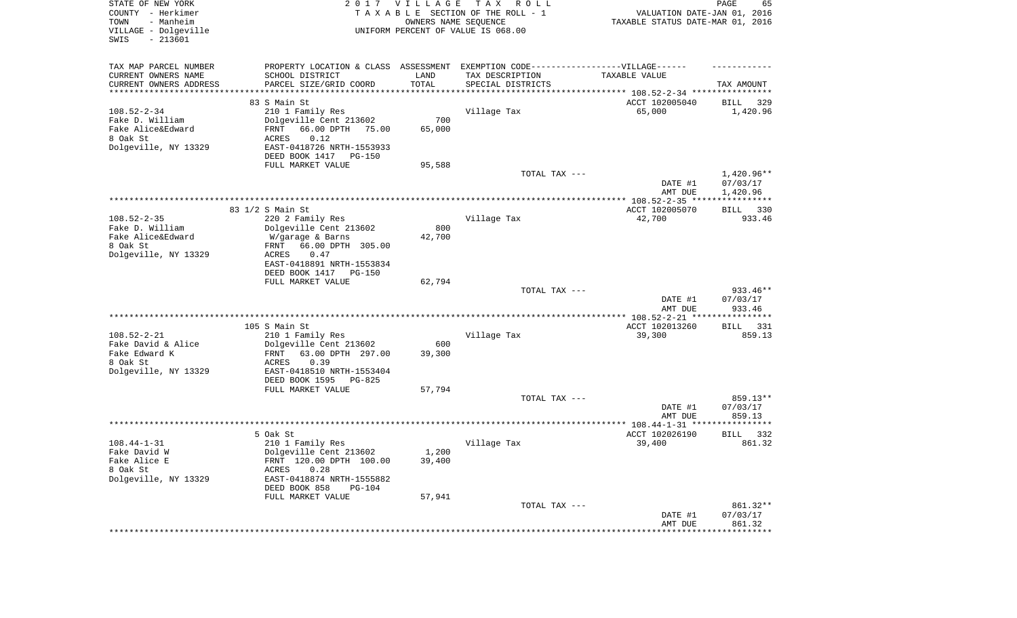| STATE OF NEW YORK<br>COUNTY - Herkimer<br>TOWN<br>- Manheim<br>VILLAGE - Dolgeville<br>SWIS<br>$-213601$ | 2017                                                                             | <b>VILLAGE</b><br>OWNERS NAME SEQUENCE | T A X<br>R O L L<br>TAXABLE SECTION OF THE ROLL - 1<br>UNIFORM PERCENT OF VALUE IS 068.00 | VALUATION DATE-JAN 01, 2016<br>TAXABLE STATUS DATE-MAR 01, 2016 | PAGE<br>65           |
|----------------------------------------------------------------------------------------------------------|----------------------------------------------------------------------------------|----------------------------------------|-------------------------------------------------------------------------------------------|-----------------------------------------------------------------|----------------------|
| TAX MAP PARCEL NUMBER                                                                                    | PROPERTY LOCATION & CLASS ASSESSMENT EXEMPTION CODE----------------VILLAGE------ |                                        |                                                                                           |                                                                 |                      |
| CURRENT OWNERS NAME                                                                                      | SCHOOL DISTRICT                                                                  | LAND                                   | TAX DESCRIPTION                                                                           | TAXABLE VALUE                                                   |                      |
| CURRENT OWNERS ADDRESS<br>********************                                                           | PARCEL SIZE/GRID COORD                                                           | TOTAL<br>**********                    | SPECIAL DISTRICTS<br>*********************************** 108.52-2-34 ****************     |                                                                 | TAX AMOUNT           |
|                                                                                                          | 83 S Main St                                                                     |                                        |                                                                                           | ACCT 102005040                                                  | 329<br>BILL          |
| $108.52 - 2 - 34$                                                                                        | 210 1 Family Res                                                                 |                                        | Village Tax                                                                               | 65,000                                                          | 1,420.96             |
| Fake D. William                                                                                          | Dolgeville Cent 213602                                                           | 700                                    |                                                                                           |                                                                 |                      |
| Fake Alice&Edward                                                                                        | 66.00 DPTH<br>FRNT<br>75.00                                                      | 65,000                                 |                                                                                           |                                                                 |                      |
| 8 Oak St<br>Dolgeville, NY 13329                                                                         | ACRES<br>0.12<br>EAST-0418726 NRTH-1553933                                       |                                        |                                                                                           |                                                                 |                      |
|                                                                                                          | DEED BOOK 1417<br>PG-150                                                         |                                        |                                                                                           |                                                                 |                      |
|                                                                                                          | FULL MARKET VALUE                                                                | 95,588                                 |                                                                                           |                                                                 |                      |
|                                                                                                          |                                                                                  |                                        | TOTAL TAX ---                                                                             |                                                                 | $1,420.96**$         |
|                                                                                                          |                                                                                  |                                        |                                                                                           | DATE #1                                                         | 07/03/17             |
|                                                                                                          |                                                                                  |                                        |                                                                                           | AMT DUE                                                         | 1,420.96             |
|                                                                                                          | 83 1/2 S Main St                                                                 |                                        |                                                                                           | ACCT 102005070                                                  | 330<br>BILL          |
| $108.52 - 2 - 35$                                                                                        | 220 2 Family Res                                                                 |                                        | Village Tax                                                                               | 42,700                                                          | 933.46               |
| Fake D. William                                                                                          | Dolgeville Cent 213602                                                           | 800                                    |                                                                                           |                                                                 |                      |
| Fake Alice&Edward<br>8 Oak St                                                                            | W/garage & Barns<br>66.00 DPTH 305.00<br>FRNT                                    | 42,700                                 |                                                                                           |                                                                 |                      |
| Dolgeville, NY 13329                                                                                     | ACRES<br>0.47                                                                    |                                        |                                                                                           |                                                                 |                      |
|                                                                                                          | EAST-0418891 NRTH-1553834                                                        |                                        |                                                                                           |                                                                 |                      |
|                                                                                                          | DEED BOOK 1417<br><b>PG-150</b>                                                  |                                        |                                                                                           |                                                                 |                      |
|                                                                                                          | FULL MARKET VALUE                                                                | 62,794                                 | TOTAL TAX ---                                                                             |                                                                 | $933.46**$           |
|                                                                                                          |                                                                                  |                                        |                                                                                           | DATE #1                                                         | 07/03/17             |
|                                                                                                          |                                                                                  |                                        |                                                                                           | AMT DUE<br>************** 108.52-2-21 *****************         | 933.46               |
|                                                                                                          | 105 S Main St                                                                    |                                        |                                                                                           | ACCT 102013260                                                  | 331<br>BILL          |
| $108.52 - 2 - 21$                                                                                        | 210 1 Family Res                                                                 |                                        | Village Tax                                                                               | 39,300                                                          | 859.13               |
| Fake David & Alice                                                                                       | Dolgeville Cent 213602                                                           | 600                                    |                                                                                           |                                                                 |                      |
| Fake Edward K<br>8 Oak St                                                                                | 63.00 DPTH 297.00<br>FRNT<br>ACRES<br>0.39                                       | 39,300                                 |                                                                                           |                                                                 |                      |
| Dolgeville, NY 13329                                                                                     | EAST-0418510 NRTH-1553404                                                        |                                        |                                                                                           |                                                                 |                      |
|                                                                                                          | DEED BOOK 1595<br>PG-825                                                         |                                        |                                                                                           |                                                                 |                      |
|                                                                                                          | FULL MARKET VALUE                                                                | 57,794                                 |                                                                                           |                                                                 |                      |
|                                                                                                          |                                                                                  |                                        | TOTAL TAX ---                                                                             |                                                                 | 859.13**             |
|                                                                                                          |                                                                                  |                                        |                                                                                           | DATE #1<br>AMT DUE                                              | 07/03/17<br>859.13   |
|                                                                                                          |                                                                                  |                                        |                                                                                           |                                                                 |                      |
|                                                                                                          | 5 Oak St                                                                         |                                        |                                                                                           | ACCT 102026190                                                  | BILL<br>332          |
| $108.44 - 1 - 31$                                                                                        | 210 1 Family Res                                                                 |                                        | Village Tax                                                                               | 39,400                                                          | 861.32               |
| Fake David W<br>Fake Alice E                                                                             | Dolgeville Cent 213602<br>FRNT 120.00 DPTH 100.00                                | 1,200<br>39,400                        |                                                                                           |                                                                 |                      |
| 8 Oak St                                                                                                 | ACRES<br>0.28                                                                    |                                        |                                                                                           |                                                                 |                      |
| Dolgeville, NY 13329                                                                                     | EAST-0418874 NRTH-1555882                                                        |                                        |                                                                                           |                                                                 |                      |
|                                                                                                          | DEED BOOK 858<br>$PG-104$                                                        |                                        |                                                                                           |                                                                 |                      |
|                                                                                                          | FULL MARKET VALUE                                                                | 57,941                                 |                                                                                           |                                                                 |                      |
|                                                                                                          |                                                                                  |                                        | TOTAL TAX ---                                                                             | DATE #1                                                         | 861.32**<br>07/03/17 |
|                                                                                                          |                                                                                  |                                        |                                                                                           | AMT DUE                                                         | 861.32               |
|                                                                                                          |                                                                                  |                                        |                                                                                           | ************************************                            |                      |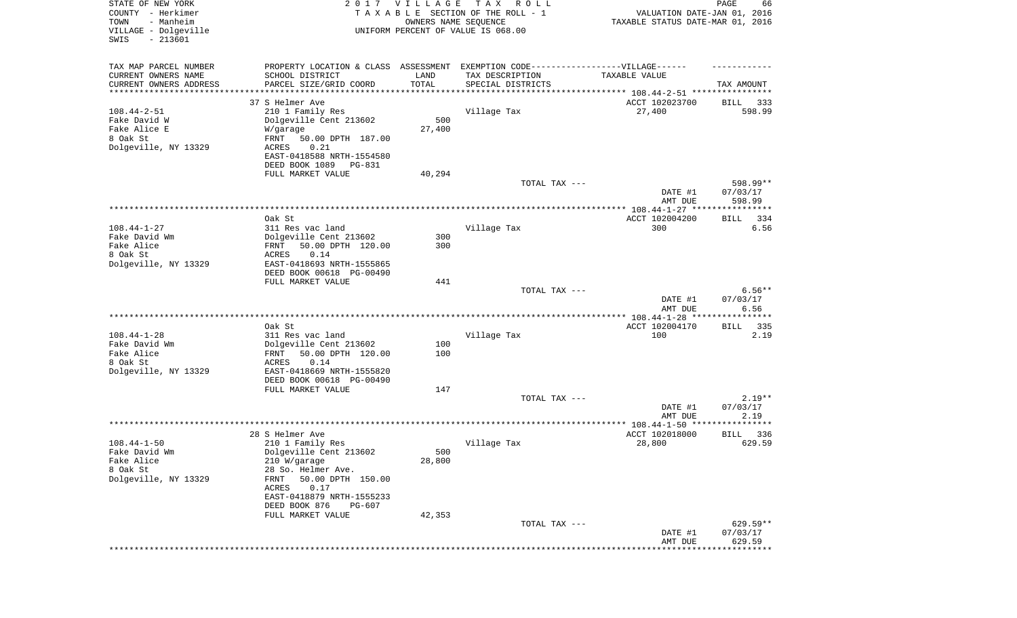| STATE OF NEW YORK<br>COUNTY - Herkimer<br>- Manheim<br>TOWN<br>VILLAGE - Dolgeville<br>SWIS<br>$-213601$ | 2017                                                                             | <b>VILLAGE</b><br>OWNERS NAME SEQUENCE | T A X<br>R O L L<br>TAXABLE SECTION OF THE ROLL - 1<br>UNIFORM PERCENT OF VALUE IS 068.00 | VALUATION DATE-JAN 01, 2016<br>TAXABLE STATUS DATE-MAR 01, 2016   | PAGE<br>66          |
|----------------------------------------------------------------------------------------------------------|----------------------------------------------------------------------------------|----------------------------------------|-------------------------------------------------------------------------------------------|-------------------------------------------------------------------|---------------------|
| TAX MAP PARCEL NUMBER                                                                                    | PROPERTY LOCATION & CLASS ASSESSMENT EXEMPTION CODE----------------VILLAGE------ |                                        |                                                                                           |                                                                   |                     |
| CURRENT OWNERS NAME<br>CURRENT OWNERS ADDRESS                                                            | SCHOOL DISTRICT<br>PARCEL SIZE/GRID COORD                                        | LAND<br>TOTAL                          | TAX DESCRIPTION<br>SPECIAL DISTRICTS                                                      | TAXABLE VALUE                                                     | TAX AMOUNT          |
| ********************                                                                                     |                                                                                  | *********                              |                                                                                           | ************************************ 108.44-2-51 **************** |                     |
|                                                                                                          | 37 S Helmer Ave                                                                  |                                        |                                                                                           | ACCT 102023700                                                    | 333<br>BILL         |
| $108.44 - 2 - 51$                                                                                        | 210 1 Family Res                                                                 |                                        | Village Tax                                                                               | 27,400                                                            | 598.99              |
| Fake David W<br>Fake Alice E                                                                             | Dolgeville Cent 213602<br>W/garage                                               | 500<br>27,400                          |                                                                                           |                                                                   |                     |
| 8 Oak St                                                                                                 | FRNT<br>50.00 DPTH 187.00                                                        |                                        |                                                                                           |                                                                   |                     |
| Dolgeville, NY 13329                                                                                     | ACRES<br>0.21                                                                    |                                        |                                                                                           |                                                                   |                     |
|                                                                                                          | EAST-0418588 NRTH-1554580                                                        |                                        |                                                                                           |                                                                   |                     |
|                                                                                                          | DEED BOOK 1089<br>PG-831<br>FULL MARKET VALUE                                    | 40,294                                 |                                                                                           |                                                                   |                     |
|                                                                                                          |                                                                                  |                                        | TOTAL TAX ---                                                                             |                                                                   | 598.99**            |
|                                                                                                          |                                                                                  |                                        |                                                                                           | DATE #1                                                           | 07/03/17            |
|                                                                                                          |                                                                                  |                                        |                                                                                           | AMT DUE                                                           | 598.99              |
|                                                                                                          | Oak St                                                                           |                                        |                                                                                           | ACCT 102004200                                                    | BILL<br>334         |
| $108.44 - 1 - 27$                                                                                        | 311 Res vac land                                                                 |                                        | Village Tax                                                                               | 300                                                               | 6.56                |
| Fake David Wm                                                                                            | Dolgeville Cent 213602                                                           | 300                                    |                                                                                           |                                                                   |                     |
| Fake Alice<br>8 Oak St                                                                                   | 50.00 DPTH 120.00<br>FRNT<br>ACRES<br>0.14                                       | 300                                    |                                                                                           |                                                                   |                     |
| Dolgeville, NY 13329                                                                                     | EAST-0418693 NRTH-1555865                                                        |                                        |                                                                                           |                                                                   |                     |
|                                                                                                          | DEED BOOK 00618 PG-00490                                                         |                                        |                                                                                           |                                                                   |                     |
|                                                                                                          | FULL MARKET VALUE                                                                | 441                                    |                                                                                           |                                                                   | $6.56**$            |
|                                                                                                          |                                                                                  |                                        | TOTAL TAX ---                                                                             | DATE #1                                                           | 07/03/17            |
|                                                                                                          |                                                                                  |                                        |                                                                                           | AMT DUE                                                           | 6.56                |
|                                                                                                          |                                                                                  |                                        |                                                                                           | *************** 108.44-1-28 ***                                   | *********           |
| $108.44 - 1 - 28$                                                                                        | Oak St<br>311 Res vac land                                                       |                                        | Village Tax                                                                               | ACCT 102004170<br>100                                             | 335<br>BILL<br>2.19 |
| Fake David Wm                                                                                            | Dolgeville Cent 213602                                                           | 100                                    |                                                                                           |                                                                   |                     |
| Fake Alice                                                                                               | 50.00 DPTH 120.00<br>FRNT                                                        | 100                                    |                                                                                           |                                                                   |                     |
| 8 Oak St                                                                                                 | ACRES<br>0.14                                                                    |                                        |                                                                                           |                                                                   |                     |
| Dolgeville, NY 13329                                                                                     | EAST-0418669 NRTH-1555820<br>DEED BOOK 00618 PG-00490                            |                                        |                                                                                           |                                                                   |                     |
|                                                                                                          | FULL MARKET VALUE                                                                | 147                                    |                                                                                           |                                                                   |                     |
|                                                                                                          |                                                                                  |                                        | TOTAL TAX ---                                                                             |                                                                   | $2.19**$            |
|                                                                                                          |                                                                                  |                                        |                                                                                           | DATE #1                                                           | 07/03/17            |
|                                                                                                          |                                                                                  |                                        |                                                                                           | AMT DUE                                                           | 2.19                |
|                                                                                                          | 28 S Helmer Ave                                                                  |                                        |                                                                                           | ACCT 102018000                                                    | 336<br>BILL         |
| $108.44 - 1 - 50$                                                                                        | 210 1 Family Res                                                                 |                                        | Village Tax                                                                               | 28,800                                                            | 629.59              |
| Fake David Wm                                                                                            | Dolgeville Cent 213602                                                           | 500                                    |                                                                                           |                                                                   |                     |
| Fake Alice<br>8 Oak St                                                                                   | 210 W/garage<br>28 So. Helmer Ave.                                               | 28,800                                 |                                                                                           |                                                                   |                     |
| Dolgeville, NY 13329                                                                                     | 50.00 DPTH 150.00<br>FRNT                                                        |                                        |                                                                                           |                                                                   |                     |
|                                                                                                          | 0.17<br>ACRES                                                                    |                                        |                                                                                           |                                                                   |                     |
|                                                                                                          | EAST-0418879 NRTH-1555233                                                        |                                        |                                                                                           |                                                                   |                     |
|                                                                                                          | DEED BOOK 876<br>PG-607<br>FULL MARKET VALUE                                     | 42,353                                 |                                                                                           |                                                                   |                     |
|                                                                                                          |                                                                                  |                                        | TOTAL TAX ---                                                                             |                                                                   | 629.59**            |
|                                                                                                          |                                                                                  |                                        |                                                                                           | DATE #1                                                           | 07/03/17            |
|                                                                                                          |                                                                                  |                                        |                                                                                           | AMT DUE                                                           | 629.59<br>********* |
|                                                                                                          |                                                                                  |                                        |                                                                                           |                                                                   |                     |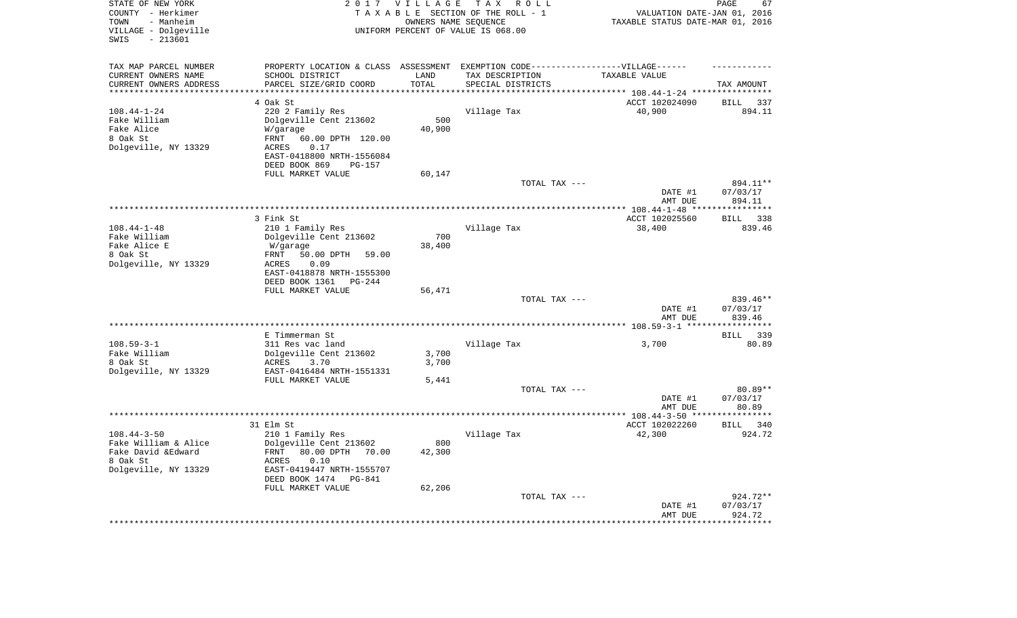| STATE OF NEW YORK<br>COUNTY - Herkimer<br>- Manheim<br>TOWN<br>VILLAGE - Dolgeville<br>$-213601$<br>SWIS | 2017                                                         | <b>VILLAGE</b><br>OWNERS NAME SEQUENCE | T A X<br>R O L L<br>TAXABLE SECTION OF THE ROLL - 1<br>UNIFORM PERCENT OF VALUE IS 068.00 | VALUATION DATE-JAN 01, 2016<br>TAXABLE STATUS DATE-MAR 01, 2016 | PAGE<br>67                      |
|----------------------------------------------------------------------------------------------------------|--------------------------------------------------------------|----------------------------------------|-------------------------------------------------------------------------------------------|-----------------------------------------------------------------|---------------------------------|
| TAX MAP PARCEL NUMBER                                                                                    | PROPERTY LOCATION & CLASS ASSESSMENT                         |                                        | EXEMPTION CODE-----------------VILLAGE------                                              |                                                                 |                                 |
| CURRENT OWNERS NAME                                                                                      | SCHOOL DISTRICT                                              | LAND                                   | TAX DESCRIPTION                                                                           | TAXABLE VALUE                                                   |                                 |
| CURRENT OWNERS ADDRESS                                                                                   | PARCEL SIZE/GRID COORD                                       | TOTAL                                  | SPECIAL DISTRICTS                                                                         |                                                                 | TAX AMOUNT                      |
| **********************                                                                                   | **************************                                   | **************                         |                                                                                           |                                                                 |                                 |
|                                                                                                          | 4 Oak St                                                     |                                        |                                                                                           | ACCT 102024090                                                  | <b>BILL</b><br>337              |
| $108.44 - 1 - 24$<br>Fake William                                                                        | 220 2 Family Res<br>Dolgeville Cent 213602                   | 500                                    | Village Tax                                                                               | 40,900                                                          | 894.11                          |
| Fake Alice                                                                                               | W/garage                                                     | 40,900                                 |                                                                                           |                                                                 |                                 |
| 8 Oak St                                                                                                 | 60.00 DPTH 120.00<br>FRNT                                    |                                        |                                                                                           |                                                                 |                                 |
| Dolgeville, NY 13329                                                                                     | ACRES<br>0.17                                                |                                        |                                                                                           |                                                                 |                                 |
|                                                                                                          | EAST-0418800 NRTH-1556084                                    |                                        |                                                                                           |                                                                 |                                 |
|                                                                                                          | DEED BOOK 869<br><b>PG-157</b>                               |                                        |                                                                                           |                                                                 |                                 |
|                                                                                                          | FULL MARKET VALUE                                            | 60,147                                 |                                                                                           |                                                                 |                                 |
|                                                                                                          |                                                              |                                        | TOTAL TAX ---                                                                             |                                                                 | 894.11**                        |
|                                                                                                          |                                                              |                                        |                                                                                           | DATE #1                                                         | 07/03/17                        |
|                                                                                                          |                                                              |                                        |                                                                                           | AMT DUE                                                         | 894.11<br>* * * * * * * * * * * |
|                                                                                                          | 3 Fink St                                                    |                                        |                                                                                           | ACCT 102025560                                                  | 338<br>BILL                     |
| $108.44 - 1 - 48$                                                                                        | 210 1 Family Res                                             |                                        | Village Tax                                                                               | 38,400                                                          | 839.46                          |
| Fake William                                                                                             | Dolgeville Cent 213602                                       | 700                                    |                                                                                           |                                                                 |                                 |
| Fake Alice E                                                                                             | W/garage                                                     | 38,400                                 |                                                                                           |                                                                 |                                 |
| 8 Oak St                                                                                                 | <b>FRNT</b><br>50.00 DPTH<br>59.00                           |                                        |                                                                                           |                                                                 |                                 |
| Dolgeville, NY 13329                                                                                     | 0.09<br>ACRES                                                |                                        |                                                                                           |                                                                 |                                 |
|                                                                                                          | EAST-0418878 NRTH-1555300<br>DEED BOOK 1361                  |                                        |                                                                                           |                                                                 |                                 |
|                                                                                                          | PG-244<br>FULL MARKET VALUE                                  | 56,471                                 |                                                                                           |                                                                 |                                 |
|                                                                                                          |                                                              |                                        | TOTAL TAX ---                                                                             |                                                                 | 839.46**                        |
|                                                                                                          |                                                              |                                        |                                                                                           | DATE #1                                                         | 07/03/17                        |
|                                                                                                          |                                                              |                                        |                                                                                           | AMT DUE                                                         | 839.46                          |
|                                                                                                          |                                                              |                                        |                                                                                           |                                                                 | *********                       |
|                                                                                                          | E Timmerman St                                               |                                        |                                                                                           |                                                                 | <b>BILL</b><br>339              |
| $108.59 - 3 - 1$                                                                                         | 311 Res vac land                                             |                                        | Village Tax                                                                               | 3,700                                                           | 80.89                           |
| Fake William                                                                                             | Dolgeville Cent 213602                                       | 3,700                                  |                                                                                           |                                                                 |                                 |
| 8 Oak St<br>Dolgeville, NY 13329                                                                         | ACRES<br>3.70<br>EAST-0416484 NRTH-1551331                   | 3,700                                  |                                                                                           |                                                                 |                                 |
|                                                                                                          | FULL MARKET VALUE                                            | 5,441                                  |                                                                                           |                                                                 |                                 |
|                                                                                                          |                                                              |                                        | TOTAL TAX ---                                                                             |                                                                 | 80.89**                         |
|                                                                                                          |                                                              |                                        |                                                                                           | DATE #1                                                         | 07/03/17                        |
|                                                                                                          |                                                              |                                        |                                                                                           | AMT DUE                                                         | 80.89                           |
|                                                                                                          |                                                              |                                        |                                                                                           |                                                                 | * * * * * * * * * * *           |
|                                                                                                          | 31 Elm St                                                    |                                        |                                                                                           | ACCT 102022260                                                  | BILL 340                        |
| $108.44 - 3 - 50$                                                                                        | 210 1 Family Res                                             |                                        | Village Tax                                                                               | 42,300                                                          | 924.72                          |
| Fake William & Alice<br>Fake David & Edward                                                              | Dolgeville Cent 213602<br>80.00 DPTH<br><b>FRNT</b><br>70.00 | 800<br>42,300                          |                                                                                           |                                                                 |                                 |
| 8 Oak St                                                                                                 | ACRES<br>0.10                                                |                                        |                                                                                           |                                                                 |                                 |
| Dolgeville, NY 13329                                                                                     | EAST-0419447 NRTH-1555707                                    |                                        |                                                                                           |                                                                 |                                 |
|                                                                                                          | DEED BOOK 1474<br>PG-841                                     |                                        |                                                                                           |                                                                 |                                 |
|                                                                                                          | FULL MARKET VALUE                                            | 62,206                                 |                                                                                           |                                                                 |                                 |
|                                                                                                          |                                                              |                                        | TOTAL TAX ---                                                                             |                                                                 | 924.72**                        |
|                                                                                                          |                                                              |                                        |                                                                                           | DATE #1                                                         | 07/03/17                        |
|                                                                                                          |                                                              |                                        |                                                                                           | AMT DUE                                                         | 924.72<br>* * * * * * * * *     |
|                                                                                                          |                                                              |                                        |                                                                                           |                                                                 |                                 |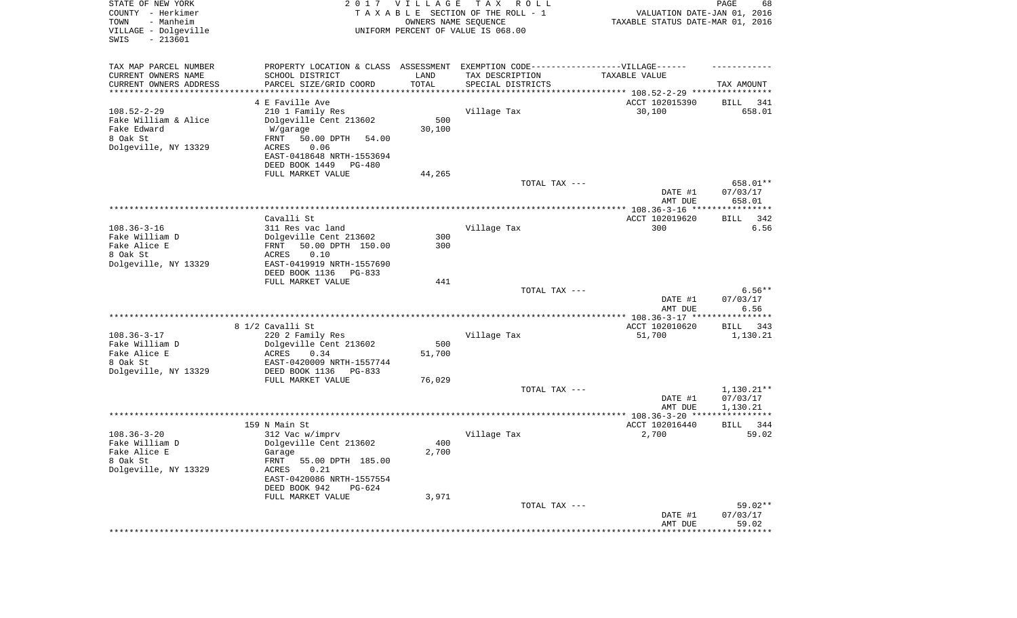| STATE OF NEW YORK<br>COUNTY - Herkimer<br>- Manheim<br>TOWN<br>VILLAGE - Dolgeville<br>$-213601$<br>SWIS |                                                                                   | 2017 VILLAGE<br>OWNERS NAME SEQUENCE | T A X<br>R O L L<br>TAXABLE SECTION OF THE ROLL - 1<br>UNIFORM PERCENT OF VALUE IS 068.00 | VALUATION DATE-JAN 01, 2016<br>TAXABLE STATUS DATE-MAR 01, 2016 | PAGE<br>68            |
|----------------------------------------------------------------------------------------------------------|-----------------------------------------------------------------------------------|--------------------------------------|-------------------------------------------------------------------------------------------|-----------------------------------------------------------------|-----------------------|
| TAX MAP PARCEL NUMBER                                                                                    | PROPERTY LOCATION & CLASS ASSESSMENT EXEMPTION CODE-----------------VILLAGE------ |                                      |                                                                                           |                                                                 |                       |
| CURRENT OWNERS NAME                                                                                      | SCHOOL DISTRICT                                                                   | LAND<br>TOTAL                        | TAX DESCRIPTION                                                                           | TAXABLE VALUE                                                   |                       |
| CURRENT OWNERS ADDRESS<br>*********************                                                          | PARCEL SIZE/GRID COORD<br>******************                                      | * * * * * * * * * * *                | SPECIAL DISTRICTS                                                                         |                                                                 | TAX AMOUNT            |
|                                                                                                          | 4 E Faville Ave                                                                   |                                      |                                                                                           | ACCT 102015390                                                  | BILL<br>341           |
| $108.52 - 2 - 29$                                                                                        | 210 1 Family Res                                                                  |                                      | Village Tax                                                                               | 30,100                                                          | 658.01                |
| Fake William & Alice                                                                                     | Dolgeville Cent 213602                                                            | 500                                  |                                                                                           |                                                                 |                       |
| Fake Edward<br>8 Oak St                                                                                  | W/garage<br>FRNT<br>50.00 DPTH<br>54.00                                           | 30,100                               |                                                                                           |                                                                 |                       |
| Dolgeville, NY 13329                                                                                     | 0.06<br>ACRES                                                                     |                                      |                                                                                           |                                                                 |                       |
|                                                                                                          | EAST-0418648 NRTH-1553694                                                         |                                      |                                                                                           |                                                                 |                       |
|                                                                                                          | DEED BOOK 1449<br>PG-480                                                          |                                      |                                                                                           |                                                                 |                       |
|                                                                                                          | FULL MARKET VALUE                                                                 | 44,265                               |                                                                                           |                                                                 |                       |
|                                                                                                          |                                                                                   |                                      | TOTAL TAX ---                                                                             |                                                                 | 658.01**<br>07/03/17  |
|                                                                                                          |                                                                                   |                                      |                                                                                           | DATE #1<br>AMT DUE                                              | 658.01                |
|                                                                                                          |                                                                                   |                                      |                                                                                           |                                                                 |                       |
|                                                                                                          | Cavalli St                                                                        |                                      |                                                                                           | ACCT 102019620                                                  | 342<br>BILL           |
| $108.36 - 3 - 16$<br>Fake William D                                                                      | 311 Res vac land<br>Dolgeville Cent 213602                                        | 300                                  | Village Tax                                                                               | 300                                                             | 6.56                  |
| Fake Alice E                                                                                             | 50.00 DPTH 150.00<br>FRNT                                                         | 300                                  |                                                                                           |                                                                 |                       |
| 8 Oak St                                                                                                 | 0.10<br>ACRES                                                                     |                                      |                                                                                           |                                                                 |                       |
| Dolgeville, NY 13329                                                                                     | EAST-0419919 NRTH-1557690                                                         |                                      |                                                                                           |                                                                 |                       |
|                                                                                                          | DEED BOOK 1136<br>$PG-833$<br>FULL MARKET VALUE                                   | 441                                  |                                                                                           |                                                                 |                       |
|                                                                                                          |                                                                                   |                                      | TOTAL TAX ---                                                                             |                                                                 | $6.56**$              |
|                                                                                                          |                                                                                   |                                      |                                                                                           | DATE #1<br>AMT DUE                                              | 07/03/17<br>6.56      |
|                                                                                                          |                                                                                   |                                      |                                                                                           | **************** 108.36-3-17 *****************                  |                       |
| $108.36 - 3 - 17$                                                                                        | 8 1/2 Cavalli St                                                                  |                                      |                                                                                           | ACCT 102010620                                                  | 343<br>BILL           |
| Fake William D                                                                                           | 220 2 Family Res<br>Dolgeville Cent 213602                                        | 500                                  | Village Tax                                                                               | 51,700                                                          | 1,130.21              |
| Fake Alice E                                                                                             | ACRES<br>0.34                                                                     | 51,700                               |                                                                                           |                                                                 |                       |
| 8 Oak St                                                                                                 | EAST-0420009 NRTH-1557744                                                         |                                      |                                                                                           |                                                                 |                       |
| Dolgeville, NY 13329                                                                                     | DEED BOOK 1136<br>$PG-833$                                                        |                                      |                                                                                           |                                                                 |                       |
|                                                                                                          | FULL MARKET VALUE                                                                 | 76,029                               | TOTAL TAX ---                                                                             |                                                                 | $1,130.21**$          |
|                                                                                                          |                                                                                   |                                      |                                                                                           | DATE #1                                                         | 07/03/17              |
|                                                                                                          |                                                                                   |                                      |                                                                                           | AMT DUE                                                         | 1,130.21              |
|                                                                                                          |                                                                                   |                                      |                                                                                           |                                                                 |                       |
|                                                                                                          | 159 N Main St                                                                     |                                      |                                                                                           | ACCT 102016440                                                  | BILL 344              |
| $108.36 - 3 - 20$<br>Fake William D                                                                      | 312 Vac w/imprv<br>Dolgeville Cent 213602                                         | 400                                  | Village Tax                                                                               | 2,700                                                           | 59.02                 |
| Fake Alice E                                                                                             | Garage                                                                            | 2,700                                |                                                                                           |                                                                 |                       |
| 8 Oak St                                                                                                 | FRNT 55.00 DPTH 185.00                                                            |                                      |                                                                                           |                                                                 |                       |
| Dolgeville, NY 13329                                                                                     | ACRES<br>0.21                                                                     |                                      |                                                                                           |                                                                 |                       |
|                                                                                                          | EAST-0420086 NRTH-1557554                                                         |                                      |                                                                                           |                                                                 |                       |
|                                                                                                          | DEED BOOK 942<br>$PG-624$<br>FULL MARKET VALUE                                    | 3,971                                |                                                                                           |                                                                 |                       |
|                                                                                                          |                                                                                   |                                      | TOTAL TAX ---                                                                             |                                                                 | $59.02**$             |
|                                                                                                          |                                                                                   |                                      |                                                                                           | DATE #1                                                         | 07/03/17              |
|                                                                                                          |                                                                                   |                                      |                                                                                           | AMT DUE                                                         | 59.02<br>************ |
|                                                                                                          |                                                                                   |                                      |                                                                                           |                                                                 |                       |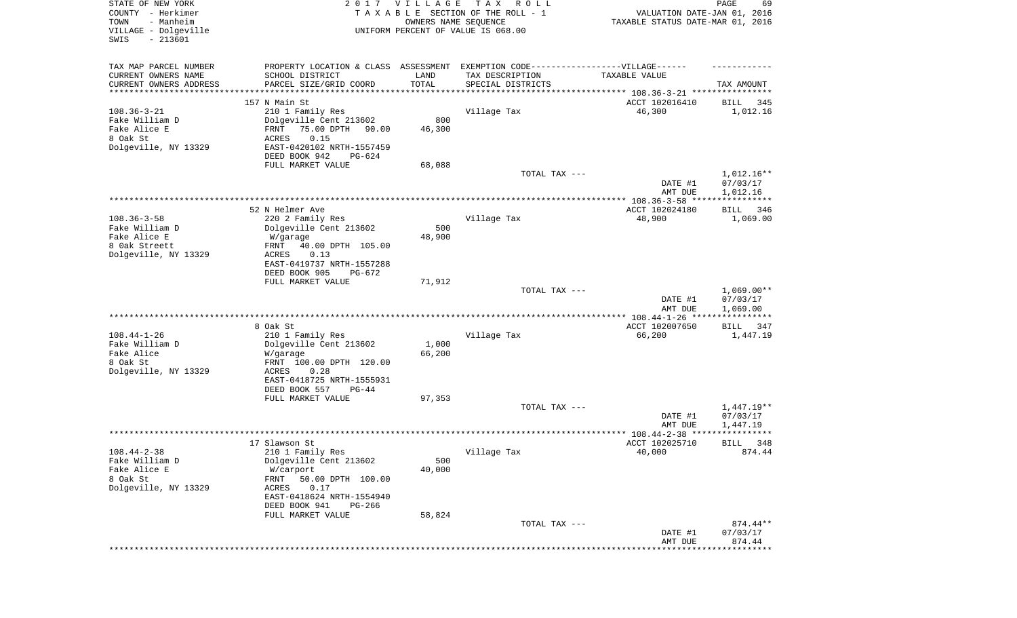| STATE OF NEW YORK<br>COUNTY - Herkimer<br>- Manheim<br>TOWN<br>VILLAGE - Dolgeville<br>SWIS<br>$-213601$ |                                                                                                                                                                                  | 2017 VILLAGE<br>OWNERS NAME SEQUENCE | T A X<br>R O L L<br>TAXABLE SECTION OF THE ROLL - 1<br>UNIFORM PERCENT OF VALUE IS 068.00                                 | VALUATION DATE-JAN 01, 2016<br>TAXABLE STATUS DATE-MAR 01, 2016 | PAGE<br>69                           |
|----------------------------------------------------------------------------------------------------------|----------------------------------------------------------------------------------------------------------------------------------------------------------------------------------|--------------------------------------|---------------------------------------------------------------------------------------------------------------------------|-----------------------------------------------------------------|--------------------------------------|
| TAX MAP PARCEL NUMBER<br>CURRENT OWNERS NAME<br>CURRENT OWNERS ADDRESS<br>********************           | SCHOOL DISTRICT<br>PARCEL SIZE/GRID COORD                                                                                                                                        | LAND<br>TOTAL<br>**********          | PROPERTY LOCATION & CLASS ASSESSMENT EXEMPTION CODE-----------------VILLAGE------<br>TAX DESCRIPTION<br>SPECIAL DISTRICTS | TAXABLE VALUE                                                   | TAX AMOUNT                           |
|                                                                                                          | 157 N Main St                                                                                                                                                                    |                                      |                                                                                                                           |                                                                 |                                      |
| $108.36 - 3 - 21$<br>Fake William D<br>Fake Alice E<br>8 Oak St<br>Dolgeville, NY 13329                  | 210 1 Family Res<br>Dolgeville Cent 213602<br>75.00 DPTH<br>FRNT<br>90.00<br>ACRES<br>0.15<br>EAST-0420102 NRTH-1557459                                                          | 800<br>46,300                        | Village Tax                                                                                                               | ACCT 102016410<br>46,300                                        | 345<br>BILL<br>1,012.16              |
|                                                                                                          | DEED BOOK 942<br>PG-624                                                                                                                                                          |                                      |                                                                                                                           |                                                                 |                                      |
|                                                                                                          | FULL MARKET VALUE                                                                                                                                                                | 68,088                               | TOTAL TAX ---                                                                                                             | DATE #1<br>AMT DUE                                              | 1,012.16**<br>07/03/17<br>1,012.16   |
|                                                                                                          |                                                                                                                                                                                  |                                      |                                                                                                                           |                                                                 |                                      |
| $108.36 - 3 - 58$<br>Fake William D<br>Fake Alice E                                                      | 52 N Helmer Ave<br>220 2 Family Res<br>Dolgeville Cent 213602<br>W/garage                                                                                                        | 500<br>48,900                        | Village Tax                                                                                                               | ACCT 102024180<br>48,900                                        | 346<br>BILL<br>1,069.00              |
| 8 Oak Streett<br>Dolgeville, NY 13329                                                                    | 40.00 DPTH 105.00<br>FRNT<br>0.13<br>ACRES<br>EAST-0419737 NRTH-1557288<br>DEED BOOK 905<br>PG-672                                                                               |                                      |                                                                                                                           |                                                                 |                                      |
|                                                                                                          | FULL MARKET VALUE                                                                                                                                                                | 71,912                               | TOTAL TAX ---                                                                                                             | DATE #1<br>AMT DUE                                              | $1,069.00**$<br>07/03/17<br>1,069.00 |
|                                                                                                          |                                                                                                                                                                                  |                                      | **********************************                                                                                        | ************* 108.44-1-26 ****                                  | * * * * * * * * * * * *              |
| $108.44 - 1 - 26$<br>Fake William D<br>Fake Alice<br>8 Oak St<br>Dolgeville, NY 13329                    | 8 Oak St<br>210 1 Family Res<br>Dolgeville Cent 213602<br>W/garage<br>FRNT 100.00 DPTH 120.00<br>ACRES<br>0.28<br>EAST-0418725 NRTH-1555931                                      | 1,000<br>66,200                      | Village Tax                                                                                                               | ACCT 102007650<br>66,200                                        | 347<br>BILL<br>1,447.19              |
|                                                                                                          | DEED BOOK 557<br>$PG-44$                                                                                                                                                         |                                      |                                                                                                                           |                                                                 |                                      |
|                                                                                                          | FULL MARKET VALUE                                                                                                                                                                | 97,353                               | TOTAL TAX ---                                                                                                             | DATE #1<br>AMT DUE                                              | 1,447.19**<br>07/03/17<br>1,447.19   |
|                                                                                                          |                                                                                                                                                                                  |                                      |                                                                                                                           |                                                                 | ****                                 |
| $108.44 - 2 - 38$<br>Fake William D<br>Fake Alice E<br>8 Oak St<br>Dolgeville, NY 13329                  | 17 Slawson St<br>210 1 Family Res<br>Dolgeville Cent 213602<br>W/carport<br>FRNT<br>50.00 DPTH 100.00<br>ACRES<br>0.17<br>EAST-0418624 NRTH-1554940<br>DEED BOOK 941<br>$PG-266$ | 500<br>40,000                        | Village Tax                                                                                                               | ACCT 102025710<br>40,000                                        | 348<br>BILL<br>874.44                |
|                                                                                                          | FULL MARKET VALUE                                                                                                                                                                | 58,824                               | TOTAL TAX ---                                                                                                             | DATE #1                                                         | $874.44**$<br>07/03/17               |
|                                                                                                          |                                                                                                                                                                                  |                                      |                                                                                                                           | AMT DUE<br>***************************                          | 874.44                               |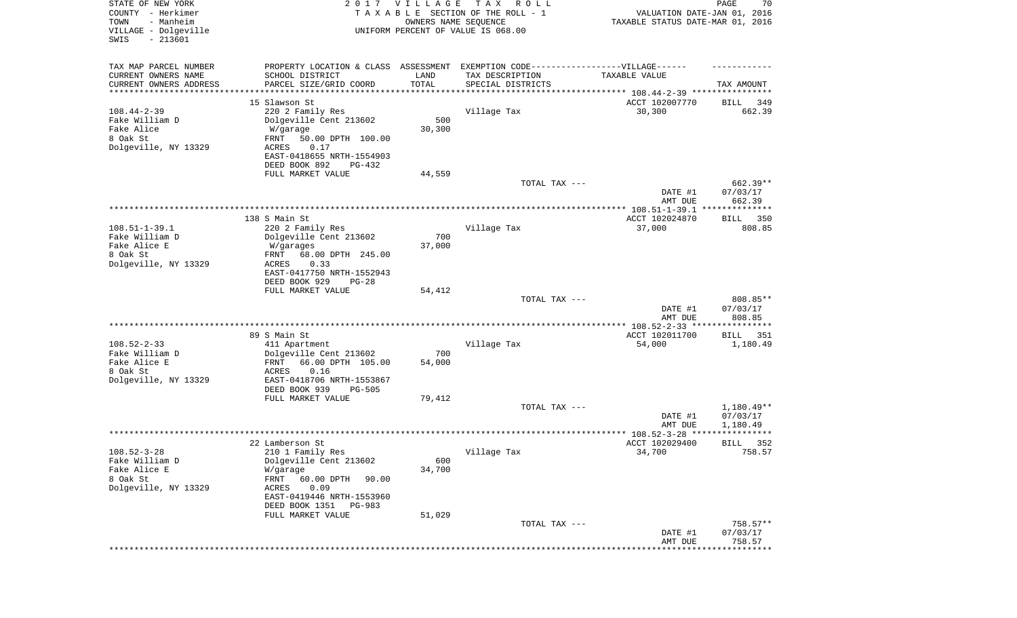| STATE OF NEW YORK<br>COUNTY - Herkimer<br>- Manheim<br>TOWN<br>VILLAGE - Dolgeville<br>SWIS<br>$-213601$ | 2017                                                                                                | <b>VILLAGE</b><br>OWNERS NAME SEQUENCE | T A X<br>R O L L<br>TAXABLE SECTION OF THE ROLL - 1<br>UNIFORM PERCENT OF VALUE IS 068.00 | VALUATION DATE-JAN 01, 2016<br>TAXABLE STATUS DATE-MAR 01, 2016   | PAGE<br>70             |
|----------------------------------------------------------------------------------------------------------|-----------------------------------------------------------------------------------------------------|----------------------------------------|-------------------------------------------------------------------------------------------|-------------------------------------------------------------------|------------------------|
| TAX MAP PARCEL NUMBER<br>CURRENT OWNERS NAME                                                             | PROPERTY LOCATION & CLASS ASSESSMENT EXEMPTION CODE----------------VILLAGE------<br>SCHOOL DISTRICT | LAND                                   | TAX DESCRIPTION                                                                           | TAXABLE VALUE                                                     |                        |
| CURRENT OWNERS ADDRESS                                                                                   | PARCEL SIZE/GRID COORD                                                                              | TOTAL                                  | SPECIAL DISTRICTS                                                                         |                                                                   | TAX AMOUNT             |
| ********************                                                                                     |                                                                                                     |                                        |                                                                                           | ************************************ 108.44-2-39 **************** |                        |
|                                                                                                          | 15 Slawson St                                                                                       |                                        |                                                                                           | ACCT 102007770                                                    | 349<br>BILL            |
| $108.44 - 2 - 39$<br>Fake William D                                                                      | 220 2 Family Res<br>Dolgeville Cent 213602                                                          | 500                                    | Village Tax                                                                               | 30,300                                                            | 662.39                 |
| Fake Alice                                                                                               | W/garage                                                                                            | 30,300                                 |                                                                                           |                                                                   |                        |
| 8 Oak St                                                                                                 | 50.00 DPTH 100.00<br>FRNT                                                                           |                                        |                                                                                           |                                                                   |                        |
| Dolgeville, NY 13329                                                                                     | ACRES<br>0.17                                                                                       |                                        |                                                                                           |                                                                   |                        |
|                                                                                                          | EAST-0418655 NRTH-1554903                                                                           |                                        |                                                                                           |                                                                   |                        |
|                                                                                                          | DEED BOOK 892<br>PG-432                                                                             |                                        |                                                                                           |                                                                   |                        |
|                                                                                                          | FULL MARKET VALUE                                                                                   | 44,559                                 | TOTAL TAX ---                                                                             |                                                                   | 662.39**               |
|                                                                                                          |                                                                                                     |                                        |                                                                                           | DATE #1                                                           | 07/03/17               |
|                                                                                                          |                                                                                                     |                                        |                                                                                           | AMT DUE                                                           | 662.39                 |
|                                                                                                          |                                                                                                     |                                        |                                                                                           |                                                                   |                        |
| $108.51 - 1 - 39.1$                                                                                      | 138 S Main St<br>220 2 Family Res                                                                   |                                        | Village Tax                                                                               | ACCT 102024870<br>37,000                                          | BILL 350<br>808.85     |
| Fake William D                                                                                           | Dolgeville Cent 213602                                                                              | 700                                    |                                                                                           |                                                                   |                        |
| Fake Alice E                                                                                             | W/garages                                                                                           | 37,000                                 |                                                                                           |                                                                   |                        |
| 8 Oak St                                                                                                 | 68.00 DPTH 245.00<br>FRNT                                                                           |                                        |                                                                                           |                                                                   |                        |
| Dolgeville, NY 13329                                                                                     | 0.33<br>ACRES                                                                                       |                                        |                                                                                           |                                                                   |                        |
|                                                                                                          | EAST-0417750 NRTH-1552943<br>DEED BOOK 929<br>$PG-28$                                               |                                        |                                                                                           |                                                                   |                        |
|                                                                                                          | FULL MARKET VALUE                                                                                   | 54,412                                 |                                                                                           |                                                                   |                        |
|                                                                                                          |                                                                                                     |                                        | TOTAL TAX ---                                                                             |                                                                   | 808.85**               |
|                                                                                                          |                                                                                                     |                                        |                                                                                           | DATE #1                                                           | 07/03/17               |
|                                                                                                          |                                                                                                     |                                        |                                                                                           | AMT DUE                                                           | 808.85                 |
|                                                                                                          | 89 S Main St                                                                                        |                                        |                                                                                           | ACCT 102011700                                                    | BILL 351               |
| $108.52 - 2 - 33$                                                                                        | 411 Apartment                                                                                       |                                        | Village Tax                                                                               | 54,000                                                            | 1,180.49               |
| Fake William D                                                                                           | Dolgeville Cent 213602                                                                              | 700                                    |                                                                                           |                                                                   |                        |
| Fake Alice E                                                                                             | FRNT<br>66.00 DPTH 105.00                                                                           | 54,000                                 |                                                                                           |                                                                   |                        |
| 8 Oak St<br>Dolgeville, NY 13329                                                                         | ACRES<br>0.16<br>EAST-0418706 NRTH-1553867                                                          |                                        |                                                                                           |                                                                   |                        |
|                                                                                                          | DEED BOOK 939<br>$PG-505$                                                                           |                                        |                                                                                           |                                                                   |                        |
|                                                                                                          | FULL MARKET VALUE                                                                                   | 79,412                                 |                                                                                           |                                                                   |                        |
|                                                                                                          |                                                                                                     |                                        | TOTAL TAX ---                                                                             |                                                                   | 1,180.49**             |
|                                                                                                          |                                                                                                     |                                        |                                                                                           | DATE #1                                                           | 07/03/17               |
|                                                                                                          |                                                                                                     |                                        |                                                                                           | AMT DUE                                                           | 1,180.49<br>******     |
|                                                                                                          | 22 Lamberson St                                                                                     |                                        |                                                                                           | ACCT 102029400                                                    | 352<br>BILL            |
| $108.52 - 3 - 28$                                                                                        | 210 1 Family Res                                                                                    |                                        | Village Tax                                                                               | 34,700                                                            | 758.57                 |
| Fake William D                                                                                           | Dolgeville Cent 213602                                                                              | 600                                    |                                                                                           |                                                                   |                        |
| Fake Alice E<br>8 Oak St                                                                                 | W/garage<br>FRNT<br>60.00 DPTH<br>90.00                                                             | 34,700                                 |                                                                                           |                                                                   |                        |
| Dolgeville, NY 13329                                                                                     | ACRES<br>0.09                                                                                       |                                        |                                                                                           |                                                                   |                        |
|                                                                                                          | EAST-0419446 NRTH-1553960                                                                           |                                        |                                                                                           |                                                                   |                        |
|                                                                                                          | DEED BOOK 1351<br>PG-983                                                                            |                                        |                                                                                           |                                                                   |                        |
|                                                                                                          | FULL MARKET VALUE                                                                                   | 51,029                                 |                                                                                           |                                                                   |                        |
|                                                                                                          |                                                                                                     |                                        | TOTAL TAX ---                                                                             | DATE #1                                                           | $758.57**$<br>07/03/17 |
|                                                                                                          |                                                                                                     |                                        |                                                                                           | AMT DUE                                                           | 758.57                 |
|                                                                                                          |                                                                                                     |                                        |                                                                                           |                                                                   | *********              |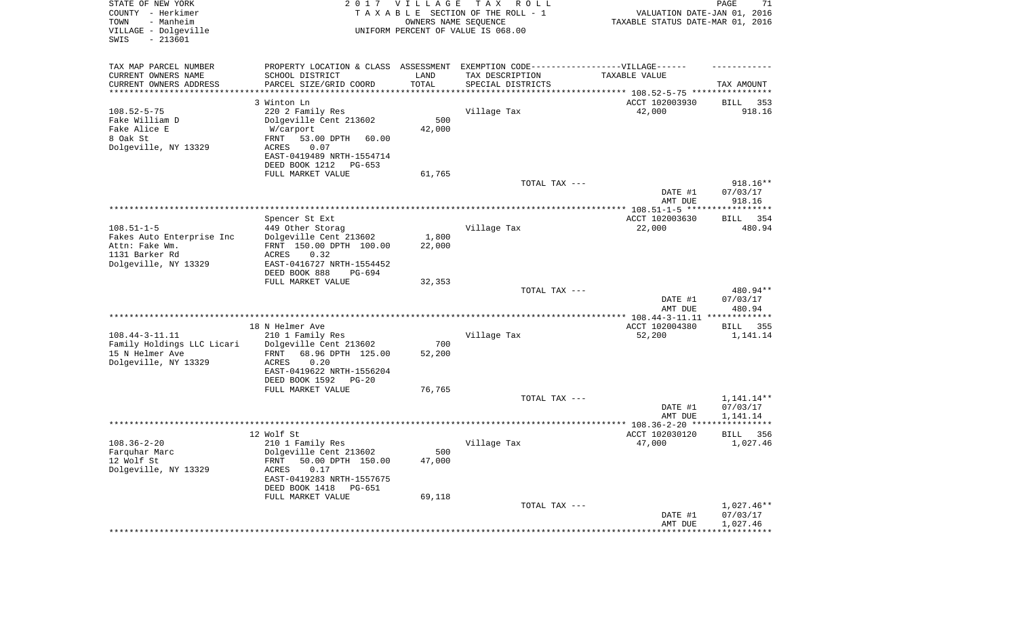| STATE OF NEW YORK<br>COUNTY - Herkimer<br>- Manheim<br>TOWN<br>VILLAGE - Dolgeville<br>SWIS<br>$-213601$ | 2017                                                                             | <b>VILLAGE</b><br>OWNERS NAME SEQUENCE | T A X<br>R O L L<br>TAXABLE SECTION OF THE ROLL - 1<br>UNIFORM PERCENT OF VALUE IS 068.00 | VALUATION DATE-JAN 01, 2016<br>TAXABLE STATUS DATE-MAR 01, 2016 | PAGE<br>71                 |
|----------------------------------------------------------------------------------------------------------|----------------------------------------------------------------------------------|----------------------------------------|-------------------------------------------------------------------------------------------|-----------------------------------------------------------------|----------------------------|
| TAX MAP PARCEL NUMBER                                                                                    | PROPERTY LOCATION & CLASS ASSESSMENT EXEMPTION CODE----------------VILLAGE------ |                                        |                                                                                           |                                                                 |                            |
| CURRENT OWNERS NAME                                                                                      | SCHOOL DISTRICT                                                                  | LAND                                   | TAX DESCRIPTION                                                                           | TAXABLE VALUE                                                   |                            |
| CURRENT OWNERS ADDRESS<br>*********************                                                          | PARCEL SIZE/GRID COORD                                                           | TOTAL<br>**********                    | SPECIAL DISTRICTS<br>********************************* 108.52-5-75 ****************       |                                                                 | TAX AMOUNT                 |
|                                                                                                          | 3 Winton Ln                                                                      |                                        |                                                                                           | ACCT 102003930                                                  | 353<br>BILL                |
| $108.52 - 5 - 75$                                                                                        | 220 2 Family Res                                                                 |                                        | Village Tax                                                                               | 42,000                                                          | 918.16                     |
| Fake William D                                                                                           | Dolgeville Cent 213602                                                           | 500                                    |                                                                                           |                                                                 |                            |
| Fake Alice E                                                                                             | W/carport                                                                        | 42,000                                 |                                                                                           |                                                                 |                            |
| 8 Oak St<br>Dolgeville, NY 13329                                                                         | FRNT<br>53.00 DPTH<br>60.00<br>ACRES<br>0.07                                     |                                        |                                                                                           |                                                                 |                            |
|                                                                                                          | EAST-0419489 NRTH-1554714                                                        |                                        |                                                                                           |                                                                 |                            |
|                                                                                                          | DEED BOOK 1212<br>PG-653                                                         |                                        |                                                                                           |                                                                 |                            |
|                                                                                                          | FULL MARKET VALUE                                                                | 61,765                                 |                                                                                           |                                                                 |                            |
|                                                                                                          |                                                                                  |                                        | TOTAL TAX ---                                                                             | DATE #1                                                         | $918.16**$<br>07/03/17     |
|                                                                                                          |                                                                                  |                                        |                                                                                           | AMT DUE                                                         | 918.16                     |
|                                                                                                          |                                                                                  |                                        |                                                                                           |                                                                 |                            |
|                                                                                                          | Spencer St Ext                                                                   |                                        |                                                                                           | ACCT 102003630                                                  | BILL 354                   |
| $108.51 - 1 - 5$<br>Fakes Auto Enterprise Inc                                                            | 449 Other Storag<br>Dolgeville Cent 213602                                       | 1,800                                  | Village Tax                                                                               | 22,000                                                          | 480.94                     |
| Attn: Fake Wm.                                                                                           | FRNT 150.00 DPTH 100.00                                                          | 22,000                                 |                                                                                           |                                                                 |                            |
| 1131 Barker Rd                                                                                           | <b>ACRES</b><br>0.32                                                             |                                        |                                                                                           |                                                                 |                            |
| Dolgeville, NY 13329                                                                                     | EAST-0416727 NRTH-1554452                                                        |                                        |                                                                                           |                                                                 |                            |
|                                                                                                          | DEED BOOK 888<br>PG-694                                                          |                                        |                                                                                           |                                                                 |                            |
|                                                                                                          | FULL MARKET VALUE                                                                | 32,353                                 | TOTAL TAX ---                                                                             |                                                                 | 480.94**                   |
|                                                                                                          |                                                                                  |                                        |                                                                                           | DATE #1<br>AMT DUE                                              | 07/03/17<br>480.94         |
|                                                                                                          |                                                                                  |                                        |                                                                                           | ************ 108.44-3-11.11 **************                      |                            |
|                                                                                                          | 18 N Helmer Ave                                                                  |                                        |                                                                                           | ACCT 102004380                                                  | BILL 355                   |
| $108.44 - 3 - 11.11$<br>Family Holdings LLC Licari                                                       | 210 1 Family Res<br>Dolgeville Cent 213602                                       | 700                                    | Village Tax                                                                               | 52,200                                                          | 1,141.14                   |
| 15 N Helmer Ave                                                                                          | FRNT<br>68.96 DPTH 125.00                                                        | 52,200                                 |                                                                                           |                                                                 |                            |
| Dolgeville, NY 13329                                                                                     | <b>ACRES</b><br>0.20                                                             |                                        |                                                                                           |                                                                 |                            |
|                                                                                                          | EAST-0419622 NRTH-1556204                                                        |                                        |                                                                                           |                                                                 |                            |
|                                                                                                          | DEED BOOK 1592<br>PG-20<br>FULL MARKET VALUE                                     | 76,765                                 |                                                                                           |                                                                 |                            |
|                                                                                                          |                                                                                  |                                        | TOTAL TAX ---                                                                             |                                                                 | 1,141.14**                 |
|                                                                                                          |                                                                                  |                                        |                                                                                           | DATE #1                                                         | 07/03/17                   |
|                                                                                                          |                                                                                  |                                        |                                                                                           | AMT DUE                                                         | 1,141.14                   |
|                                                                                                          | 12 Wolf St                                                                       |                                        |                                                                                           | ACCT 102030120                                                  | ***********<br>BILL<br>356 |
| $108.36 - 2 - 20$                                                                                        | 210 1 Family Res                                                                 |                                        | Village Tax                                                                               | 47,000                                                          | 1,027.46                   |
| Farquhar Marc                                                                                            | Dolgeville Cent 213602                                                           | 500                                    |                                                                                           |                                                                 |                            |
| 12 Wolf St                                                                                               | FRNT 50.00 DPTH 150.00                                                           | 47,000                                 |                                                                                           |                                                                 |                            |
| Dolgeville, NY 13329                                                                                     | 0.17<br>ACRES                                                                    |                                        |                                                                                           |                                                                 |                            |
|                                                                                                          | EAST-0419283 NRTH-1557675<br>DEED BOOK 1418 PG-651                               |                                        |                                                                                           |                                                                 |                            |
|                                                                                                          | FULL MARKET VALUE                                                                | 69,118                                 | TOTAL TAX ---                                                                             |                                                                 | $1,027.46**$               |
|                                                                                                          |                                                                                  |                                        |                                                                                           | DATE #1<br>AMT DUE                                              | 07/03/17<br>1,027.46       |
|                                                                                                          |                                                                                  |                                        |                                                                                           | ************************************                            |                            |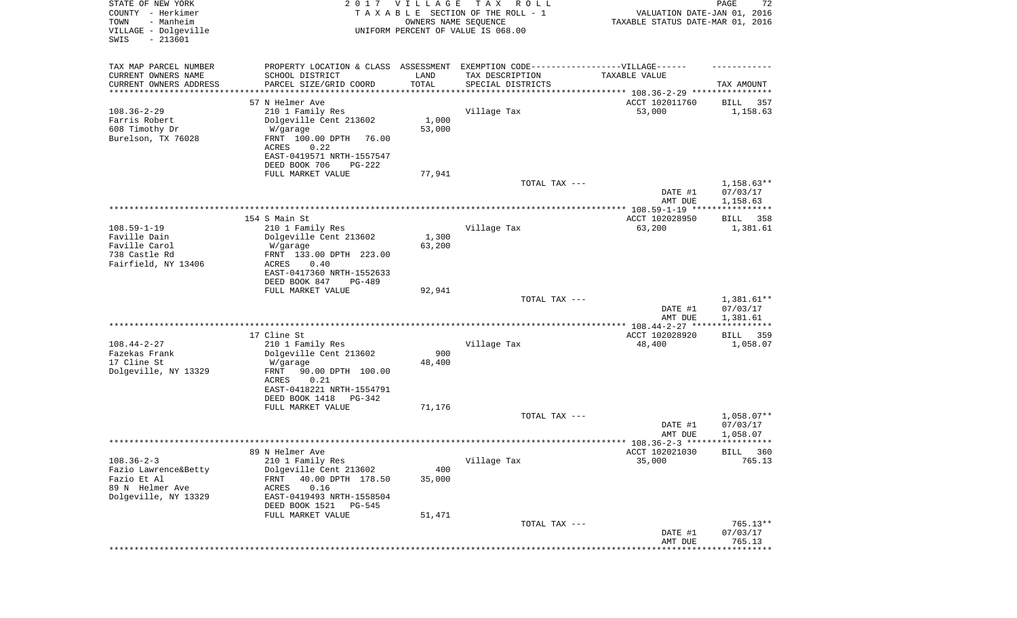| STATE OF NEW YORK<br>COUNTY - Herkimer<br>- Manheim<br>TOWN |                                                                                  | 2017 VILLAGE<br>OWNERS NAME SEQUENCE | T A X<br>R O L L<br>TAXABLE SECTION OF THE ROLL - 1 | VALUATION DATE-JAN 01, 2016<br>TAXABLE STATUS DATE-MAR 01, 2016 | PAGE<br>72              |
|-------------------------------------------------------------|----------------------------------------------------------------------------------|--------------------------------------|-----------------------------------------------------|-----------------------------------------------------------------|-------------------------|
| VILLAGE - Dolgeville<br>$-213601$<br>SWIS                   |                                                                                  |                                      | UNIFORM PERCENT OF VALUE IS 068.00                  |                                                                 |                         |
| TAX MAP PARCEL NUMBER                                       | PROPERTY LOCATION & CLASS ASSESSMENT EXEMPTION CODE----------------VILLAGE------ |                                      |                                                     |                                                                 |                         |
| CURRENT OWNERS NAME                                         | SCHOOL DISTRICT                                                                  | LAND                                 | TAX DESCRIPTION                                     | TAXABLE VALUE                                                   |                         |
| CURRENT OWNERS ADDRESS<br>*********************             | PARCEL SIZE/GRID COORD<br>******************                                     | TOTAL<br>***********                 | SPECIAL DISTRICTS                                   |                                                                 | TAX AMOUNT              |
|                                                             | 57 N Helmer Ave                                                                  |                                      |                                                     | ACCT 102011760                                                  | 357<br>BILL             |
| $108.36 - 2 - 29$                                           | 210 1 Family Res                                                                 |                                      | Village Tax                                         | 53,000                                                          | 1,158.63                |
| Farris Robert                                               | Dolgeville Cent 213602                                                           | 1,000                                |                                                     |                                                                 |                         |
| 608 Timothy Dr                                              | W/garage                                                                         | 53,000                               |                                                     |                                                                 |                         |
| Burelson, TX 76028                                          | FRNT 100.00 DPTH<br>76.00                                                        |                                      |                                                     |                                                                 |                         |
|                                                             | ACRES<br>0.22                                                                    |                                      |                                                     |                                                                 |                         |
|                                                             | EAST-0419571 NRTH-1557547<br>DEED BOOK 706<br>PG-222                             |                                      |                                                     |                                                                 |                         |
|                                                             | FULL MARKET VALUE                                                                | 77,941                               |                                                     |                                                                 |                         |
|                                                             |                                                                                  |                                      | TOTAL TAX ---                                       |                                                                 | $1,158.63**$            |
|                                                             |                                                                                  |                                      |                                                     | DATE #1                                                         | 07/03/17                |
|                                                             |                                                                                  |                                      |                                                     | AMT DUE                                                         | 1,158.63                |
|                                                             |                                                                                  |                                      |                                                     |                                                                 |                         |
| $108.59 - 1 - 19$                                           | 154 S Main St<br>210 1 Family Res                                                |                                      | Village Tax                                         | ACCT 102028950<br>63,200                                        | BILL<br>358<br>1,381.61 |
| Faville Dain                                                | Dolgeville Cent 213602                                                           | 1,300                                |                                                     |                                                                 |                         |
| Faville Carol                                               | W/garage                                                                         | 63,200                               |                                                     |                                                                 |                         |
| 738 Castle Rd                                               | FRNT 133.00 DPTH 223.00                                                          |                                      |                                                     |                                                                 |                         |
| Fairfield, NY 13406                                         | ACRES<br>0.40                                                                    |                                      |                                                     |                                                                 |                         |
|                                                             | EAST-0417360 NRTH-1552633<br>DEED BOOK 847<br>PG-489                             |                                      |                                                     |                                                                 |                         |
|                                                             | FULL MARKET VALUE                                                                | 92,941                               |                                                     |                                                                 |                         |
|                                                             |                                                                                  |                                      | TOTAL TAX ---                                       |                                                                 | $1,381.61**$            |
|                                                             |                                                                                  |                                      |                                                     | DATE #1                                                         | 07/03/17                |
|                                                             |                                                                                  |                                      |                                                     | AMT DUE                                                         | 1,381.61                |
|                                                             |                                                                                  |                                      |                                                     |                                                                 | ***********             |
| $108.44 - 2 - 27$                                           | 17 Cline St<br>210 1 Family Res                                                  |                                      | Village Tax                                         | ACCT 102028920<br>48,400                                        | BILL<br>359<br>1,058.07 |
| Fazekas Frank                                               | Dolgeville Cent 213602                                                           | 900                                  |                                                     |                                                                 |                         |
| 17 Cline St                                                 | W/garage                                                                         | 48,400                               |                                                     |                                                                 |                         |
| Dolgeville, NY 13329                                        | FRNT<br>90.00 DPTH 100.00                                                        |                                      |                                                     |                                                                 |                         |
|                                                             | ACRES<br>0.21                                                                    |                                      |                                                     |                                                                 |                         |
|                                                             | EAST-0418221 NRTH-1554791                                                        |                                      |                                                     |                                                                 |                         |
|                                                             | DEED BOOK 1418<br>PG-342<br>FULL MARKET VALUE                                    | 71,176                               |                                                     |                                                                 |                         |
|                                                             |                                                                                  |                                      | TOTAL TAX ---                                       |                                                                 | $1,058.07**$            |
|                                                             |                                                                                  |                                      |                                                     | DATE #1                                                         | 07/03/17                |
|                                                             |                                                                                  |                                      |                                                     | AMT DUE                                                         | 1,058.07                |
|                                                             |                                                                                  |                                      |                                                     |                                                                 |                         |
| $108.36 - 2 - 3$                                            | 89 N Helmer Ave                                                                  |                                      |                                                     | ACCT 102021030<br>35,000                                        | BILL 360                |
| Fazio Lawrence&Betty                                        | 210 1 Family Res<br>Dolgeville Cent 213602                                       | 400                                  | Village Tax                                         |                                                                 | 765.13                  |
| Fazio Et Al                                                 | 40.00 DPTH 178.50<br>FRNT                                                        | 35,000                               |                                                     |                                                                 |                         |
| 89 N Helmer Ave                                             | 0.16<br>ACRES                                                                    |                                      |                                                     |                                                                 |                         |
| Dolgeville, NY 13329                                        | EAST-0419493 NRTH-1558504                                                        |                                      |                                                     |                                                                 |                         |
|                                                             | DEED BOOK 1521<br>PG-545                                                         |                                      |                                                     |                                                                 |                         |
|                                                             | FULL MARKET VALUE                                                                | 51,471                               |                                                     |                                                                 |                         |
|                                                             |                                                                                  |                                      | TOTAL TAX ---                                       | DATE #1                                                         | 765.13**<br>07/03/17    |
|                                                             |                                                                                  |                                      |                                                     | AMT DUE                                                         | 765.13                  |
|                                                             |                                                                                  |                                      |                                                     |                                                                 | * * * * * * * * *       |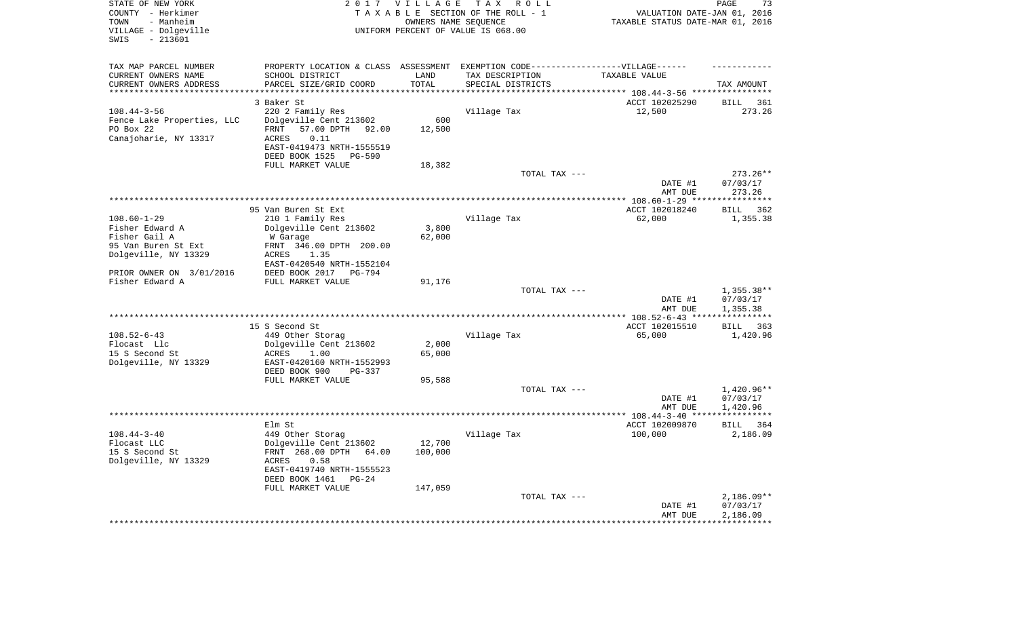| STATE OF NEW YORK<br>COUNTY - Herkimer<br>- Manheim<br>TOWN<br>VILLAGE - Dolgeville<br>$-213601$<br>SWIS |                                                                                   | 2017 VILLAGE        | TAX ROLL<br>TAXABLE SECTION OF THE ROLL - 1<br>OWNERS NAME SEQUENCE<br>UNIFORM PERCENT OF VALUE IS 068.00 | VALUATION DATE-JAN 01, 2016<br>TAXABLE STATUS DATE-MAR 01, 2016 | 73<br>PAGE         |
|----------------------------------------------------------------------------------------------------------|-----------------------------------------------------------------------------------|---------------------|-----------------------------------------------------------------------------------------------------------|-----------------------------------------------------------------|--------------------|
| TAX MAP PARCEL NUMBER                                                                                    | PROPERTY LOCATION & CLASS ASSESSMENT EXEMPTION CODE-----------------VILLAGE------ |                     |                                                                                                           |                                                                 |                    |
| CURRENT OWNERS NAME                                                                                      | SCHOOL DISTRICT                                                                   | LAND                | TAX DESCRIPTION                                                                                           | TAXABLE VALUE                                                   |                    |
| CURRENT OWNERS ADDRESS<br>********************                                                           | PARCEL SIZE/GRID COORD                                                            | TOTAL<br>********** | SPECIAL DISTRICTS                                                                                         |                                                                 | TAX AMOUNT         |
|                                                                                                          |                                                                                   |                     |                                                                                                           |                                                                 |                    |
|                                                                                                          | 3 Baker St                                                                        |                     |                                                                                                           | ACCT 102025290                                                  | <b>BILL</b><br>361 |
| $108.44 - 3 - 56$<br>Fence Lake Properties, LLC                                                          | 220 2 Family Res<br>Dolgeville Cent 213602                                        | 600                 | Village Tax                                                                                               | 12,500                                                          | 273.26             |
| PO Box 22                                                                                                | 57.00 DPTH 92.00<br>FRNT                                                          | 12,500              |                                                                                                           |                                                                 |                    |
| Canajoharie, NY 13317                                                                                    | 0.11<br>ACRES                                                                     |                     |                                                                                                           |                                                                 |                    |
|                                                                                                          | EAST-0419473 NRTH-1555519                                                         |                     |                                                                                                           |                                                                 |                    |
|                                                                                                          | DEED BOOK 1525<br><b>PG-590</b>                                                   |                     |                                                                                                           |                                                                 |                    |
|                                                                                                          | FULL MARKET VALUE                                                                 | 18,382              |                                                                                                           |                                                                 |                    |
|                                                                                                          |                                                                                   |                     | TOTAL TAX ---                                                                                             |                                                                 | $273.26**$         |
|                                                                                                          |                                                                                   |                     |                                                                                                           | DATE #1                                                         | 07/03/17           |
|                                                                                                          |                                                                                   |                     |                                                                                                           | AMT DUE                                                         | 273.26             |
|                                                                                                          |                                                                                   |                     |                                                                                                           | ************ 108.60-1-29 ****                                   | ************       |
|                                                                                                          | 95 Van Buren St Ext                                                               |                     |                                                                                                           | ACCT 102018240                                                  | 362<br><b>BILL</b> |
| $108.60 - 1 - 29$                                                                                        | 210 1 Family Res                                                                  |                     | Village Tax                                                                                               | 62,000                                                          | 1,355.38           |
| Fisher Edward A                                                                                          | Dolgeville Cent 213602                                                            | 3,800               |                                                                                                           |                                                                 |                    |
| Fisher Gail A                                                                                            | W Garage                                                                          | 62,000              |                                                                                                           |                                                                 |                    |
| 95 Van Buren St Ext                                                                                      | FRNT 346.00 DPTH 200.00                                                           |                     |                                                                                                           |                                                                 |                    |
| Dolgeville, NY 13329                                                                                     | ACRES<br>1.35<br>EAST-0420540 NRTH-1552104                                        |                     |                                                                                                           |                                                                 |                    |
| PRIOR OWNER ON 3/01/2016                                                                                 | DEED BOOK 2017 PG-794                                                             |                     |                                                                                                           |                                                                 |                    |
| Fisher Edward A                                                                                          | FULL MARKET VALUE                                                                 | 91,176              |                                                                                                           |                                                                 |                    |
|                                                                                                          |                                                                                   |                     | TOTAL TAX ---                                                                                             |                                                                 | $1,355.38**$       |
|                                                                                                          |                                                                                   |                     |                                                                                                           | DATE #1                                                         | 07/03/17           |
|                                                                                                          |                                                                                   |                     |                                                                                                           | AMT DUE                                                         | 1,355.38           |
|                                                                                                          |                                                                                   |                     |                                                                                                           |                                                                 |                    |
|                                                                                                          | 15 S Second St                                                                    |                     |                                                                                                           | ACCT 102015510                                                  | BILL<br>363        |
| $108.52 - 6 - 43$                                                                                        | 449 Other Storag                                                                  |                     | Village Tax                                                                                               | 65,000                                                          | 1,420.96           |
| Flocast Llc                                                                                              | Dolgeville Cent 213602                                                            | 2,000               |                                                                                                           |                                                                 |                    |
| 15 S Second St                                                                                           | ACRES<br>1.00                                                                     | 65,000              |                                                                                                           |                                                                 |                    |
| Dolgeville, NY 13329                                                                                     | EAST-0420160 NRTH-1552993                                                         |                     |                                                                                                           |                                                                 |                    |
|                                                                                                          | DEED BOOK 900<br>PG-337<br>FULL MARKET VALUE                                      | 95,588              |                                                                                                           |                                                                 |                    |
|                                                                                                          |                                                                                   |                     | TOTAL TAX ---                                                                                             |                                                                 | $1,420.96**$       |
|                                                                                                          |                                                                                   |                     |                                                                                                           | DATE #1                                                         | 07/03/17           |
|                                                                                                          |                                                                                   |                     |                                                                                                           | AMT DUE                                                         | 1,420.96           |
|                                                                                                          |                                                                                   |                     |                                                                                                           |                                                                 |                    |
|                                                                                                          | Elm St                                                                            |                     |                                                                                                           | ACCT 102009870                                                  | BILL<br>364        |
| $108.44 - 3 - 40$                                                                                        | 449 Other Storag                                                                  |                     | Village Tax                                                                                               | 100,000                                                         | 2,186.09           |
| Flocast LLC                                                                                              | Dolgeville Cent 213602                                                            | 12,700              |                                                                                                           |                                                                 |                    |
| 15 S Second St                                                                                           | FRNT 268.00 DPTH<br>64.00                                                         | 100,000             |                                                                                                           |                                                                 |                    |
| Dolgeville, NY 13329                                                                                     | 0.58<br>ACRES                                                                     |                     |                                                                                                           |                                                                 |                    |
|                                                                                                          | EAST-0419740 NRTH-1555523                                                         |                     |                                                                                                           |                                                                 |                    |
|                                                                                                          | DEED BOOK 1461<br>$PG-24$                                                         |                     |                                                                                                           |                                                                 |                    |
|                                                                                                          | FULL MARKET VALUE                                                                 | 147,059             | TOTAL TAX ---                                                                                             |                                                                 | $2,186.09**$       |
|                                                                                                          |                                                                                   |                     |                                                                                                           | DATE #1                                                         | 07/03/17           |
|                                                                                                          |                                                                                   |                     |                                                                                                           | AMT DUE                                                         | 2,186.09           |
|                                                                                                          |                                                                                   |                     |                                                                                                           |                                                                 |                    |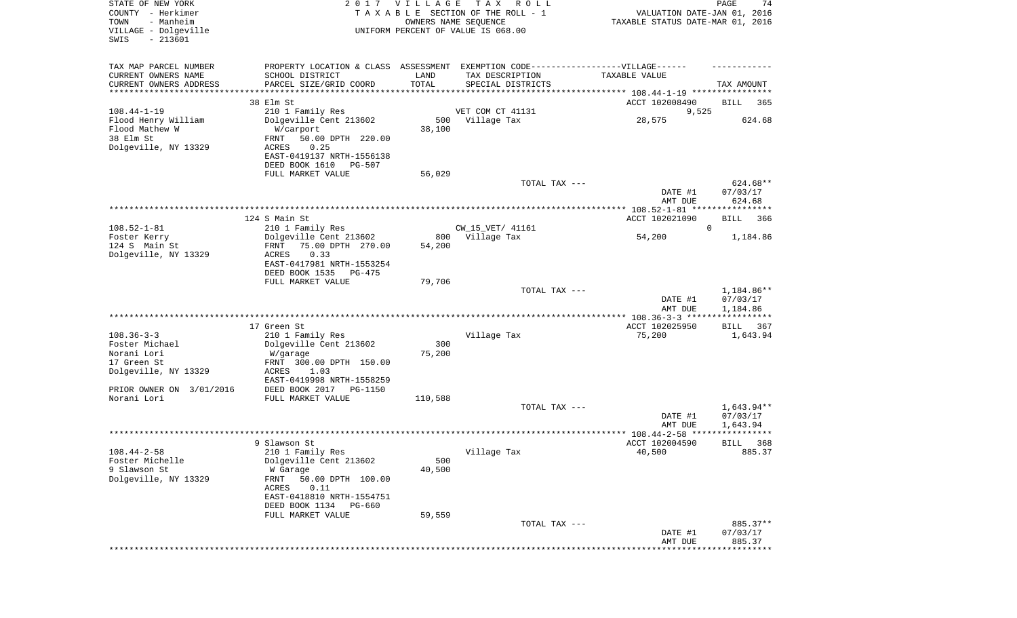| STATE OF NEW YORK<br>COUNTY - Herkimer<br>- Manheim<br>TOWN<br>VILLAGE - Dolgeville<br>$-213601$<br>SWIS |                                               | 2017 VILLAGE  | T A X<br>R O L L<br>TAXABLE SECTION OF THE ROLL - 1<br>OWNERS NAME SEQUENCE<br>UNIFORM PERCENT OF VALUE IS 068.00 | VALUATION DATE-JAN 01, 2016<br>TAXABLE STATUS DATE-MAR 01, 2016 | PAGE<br>74             |
|----------------------------------------------------------------------------------------------------------|-----------------------------------------------|---------------|-------------------------------------------------------------------------------------------------------------------|-----------------------------------------------------------------|------------------------|
| TAX MAP PARCEL NUMBER                                                                                    |                                               |               | PROPERTY LOCATION & CLASS ASSESSMENT EXEMPTION CODE----------------VILLAGE------                                  |                                                                 |                        |
| CURRENT OWNERS NAME                                                                                      | SCHOOL DISTRICT                               | LAND          | TAX DESCRIPTION                                                                                                   | TAXABLE VALUE                                                   |                        |
| CURRENT OWNERS ADDRESS<br>*********************                                                          | PARCEL SIZE/GRID COORD<br>******************  | TOTAL         | SPECIAL DISTRICTS                                                                                                 |                                                                 | TAX AMOUNT             |
|                                                                                                          | 38 Elm St                                     |               |                                                                                                                   | ACCT 102008490                                                  | BILL<br>365            |
| $108.44 - 1 - 19$                                                                                        | 210 1 Family Res                              |               | VET COM CT 41131                                                                                                  | 9,525                                                           |                        |
| Flood Henry William                                                                                      | Dolgeville Cent 213602                        | 500           | Village Tax                                                                                                       | 28,575                                                          | 624.68                 |
| Flood Mathew W                                                                                           | W/carport                                     | 38,100        |                                                                                                                   |                                                                 |                        |
| 38 Elm St                                                                                                | 50.00 DPTH 220.00<br>FRNT                     |               |                                                                                                                   |                                                                 |                        |
| Dolgeville, NY 13329                                                                                     | 0.25<br>ACRES<br>EAST-0419137 NRTH-1556138    |               |                                                                                                                   |                                                                 |                        |
|                                                                                                          | DEED BOOK 1610<br>PG-507                      |               |                                                                                                                   |                                                                 |                        |
|                                                                                                          | FULL MARKET VALUE                             | 56,029        |                                                                                                                   |                                                                 |                        |
|                                                                                                          |                                               |               | TOTAL TAX ---                                                                                                     |                                                                 | 624.68**               |
|                                                                                                          |                                               |               |                                                                                                                   | DATE #1                                                         | 07/03/17               |
|                                                                                                          |                                               |               |                                                                                                                   | AMT DUE                                                         | 624.68                 |
|                                                                                                          | 124 S Main St                                 |               |                                                                                                                   | ACCT 102021090                                                  | 366<br>BILL            |
| $108.52 - 1 - 81$                                                                                        | 210 1 Family Res                              |               | CW_15_VET/ 41161                                                                                                  |                                                                 | $\mathbf 0$            |
| Foster Kerry                                                                                             | Dolgeville Cent 213602                        | 800           | Village Tax                                                                                                       | 54,200                                                          | 1,184.86               |
| 124 S Main St<br>Dolgeville, NY 13329                                                                    | FRNT<br>75.00 DPTH 270.00                     | 54,200        |                                                                                                                   |                                                                 |                        |
|                                                                                                          | ACRES<br>0.33<br>EAST-0417981 NRTH-1553254    |               |                                                                                                                   |                                                                 |                        |
|                                                                                                          | DEED BOOK 1535<br>PG-475                      |               |                                                                                                                   |                                                                 |                        |
|                                                                                                          | FULL MARKET VALUE                             | 79,706        |                                                                                                                   |                                                                 |                        |
|                                                                                                          |                                               |               | TOTAL TAX ---                                                                                                     |                                                                 | 1,184.86**             |
|                                                                                                          |                                               |               |                                                                                                                   | DATE #1<br>AMT DUE                                              | 07/03/17<br>1,184.86   |
|                                                                                                          |                                               |               |                                                                                                                   | ************* 108.36-3-3 ******************                     |                        |
|                                                                                                          | 17 Green St                                   |               |                                                                                                                   | ACCT 102025950                                                  | 367<br>BILL            |
| $108.36 - 3 - 3$                                                                                         | 210 1 Family Res                              |               | Village Tax                                                                                                       | 75,200                                                          | 1,643.94               |
| Foster Michael                                                                                           | Dolgeville Cent 213602                        | 300           |                                                                                                                   |                                                                 |                        |
| Norani Lori<br>17 Green St                                                                               | W/garage<br>FRNT 300.00 DPTH 150.00           | 75,200        |                                                                                                                   |                                                                 |                        |
| Dolgeville, NY 13329                                                                                     | ACRES<br>1.03                                 |               |                                                                                                                   |                                                                 |                        |
|                                                                                                          | EAST-0419998 NRTH-1558259                     |               |                                                                                                                   |                                                                 |                        |
| PRIOR OWNER ON 3/01/2016                                                                                 | DEED BOOK 2017 PG-1150                        |               |                                                                                                                   |                                                                 |                        |
| Norani Lori                                                                                              | FULL MARKET VALUE                             | 110,588       |                                                                                                                   |                                                                 |                        |
|                                                                                                          |                                               |               | TOTAL TAX ---                                                                                                     | DATE #1                                                         | 1,643.94**<br>07/03/17 |
|                                                                                                          |                                               |               |                                                                                                                   | AMT DUE                                                         | 1,643.94               |
|                                                                                                          |                                               |               |                                                                                                                   |                                                                 | *****                  |
|                                                                                                          | 9 Slawson St                                  |               |                                                                                                                   | ACCT 102004590                                                  | 368<br>BILL            |
| $108.44 - 2 - 58$                                                                                        | 210 1 Family Res<br>Dolgeville Cent 213602    |               | Village Tax                                                                                                       | 40,500                                                          | 885.37                 |
| Foster Michelle<br>9 Slawson St                                                                          | W Garage                                      | 500<br>40,500 |                                                                                                                   |                                                                 |                        |
| Dolgeville, NY 13329                                                                                     | FRNT<br>50.00 DPTH 100.00                     |               |                                                                                                                   |                                                                 |                        |
|                                                                                                          | 0.11<br>ACRES                                 |               |                                                                                                                   |                                                                 |                        |
|                                                                                                          | EAST-0418810 NRTH-1554751                     |               |                                                                                                                   |                                                                 |                        |
|                                                                                                          | DEED BOOK 1134<br>PG-660<br>FULL MARKET VALUE | 59,559        |                                                                                                                   |                                                                 |                        |
|                                                                                                          |                                               |               | TOTAL TAX ---                                                                                                     |                                                                 | 885.37**               |
|                                                                                                          |                                               |               |                                                                                                                   | DATE #1                                                         | 07/03/17               |
|                                                                                                          |                                               |               |                                                                                                                   | AMT DUE                                                         | 885.37                 |
|                                                                                                          |                                               |               |                                                                                                                   |                                                                 |                        |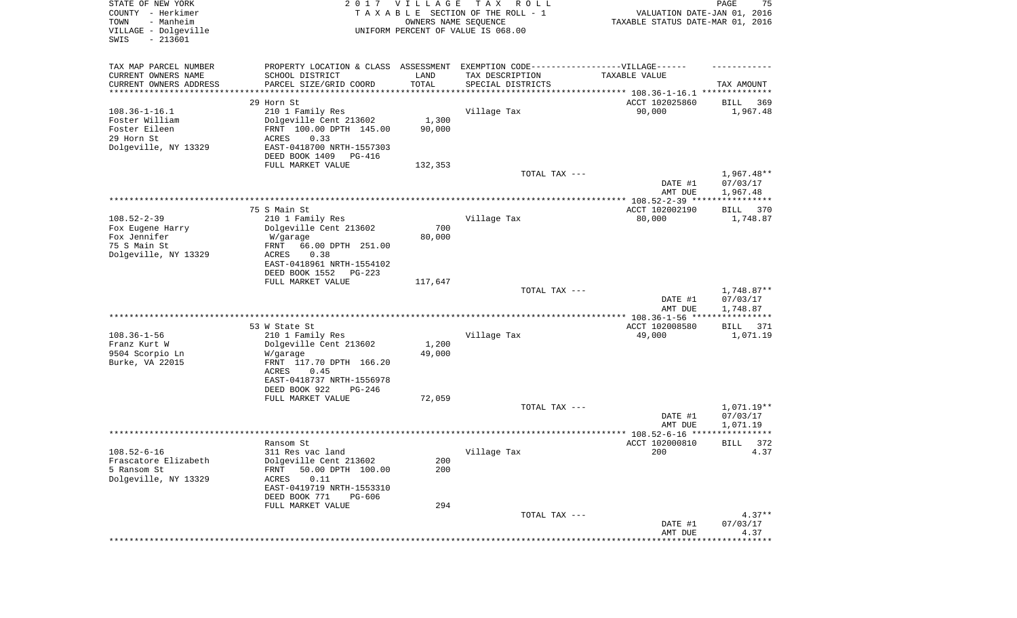| STATE OF NEW YORK<br>COUNTY - Herkimer<br>- Manheim<br>TOWN<br>VILLAGE - Dolgeville<br>SWIS<br>$-213601$ |                                                                                   | 2017 VILLAGE<br>OWNERS NAME SEQUENCE | T A X<br>R O L L<br>TAXABLE SECTION OF THE ROLL - 1<br>UNIFORM PERCENT OF VALUE IS 068.00 | VALUATION DATE-JAN 01, 2016<br>TAXABLE STATUS DATE-MAR 01, 2016 | PAGE<br>75                           |
|----------------------------------------------------------------------------------------------------------|-----------------------------------------------------------------------------------|--------------------------------------|-------------------------------------------------------------------------------------------|-----------------------------------------------------------------|--------------------------------------|
| TAX MAP PARCEL NUMBER                                                                                    | PROPERTY LOCATION & CLASS ASSESSMENT EXEMPTION CODE-----------------VILLAGE------ |                                      |                                                                                           |                                                                 |                                      |
| CURRENT OWNERS NAME<br>CURRENT OWNERS ADDRESS                                                            | SCHOOL DISTRICT<br>PARCEL SIZE/GRID COORD                                         | LAND<br>TOTAL                        | TAX DESCRIPTION<br>SPECIAL DISTRICTS                                                      | TAXABLE VALUE                                                   | TAX AMOUNT                           |
| ********************                                                                                     | *****************                                                                 | **********                           |                                                                                           |                                                                 |                                      |
|                                                                                                          | 29 Horn St                                                                        |                                      |                                                                                           | ACCT 102025860                                                  | BILL<br>369                          |
| $108.36 - 1 - 16.1$                                                                                      | 210 1 Family Res                                                                  |                                      | Village Tax                                                                               | 90,000                                                          | 1,967.48                             |
| Foster William                                                                                           | Dolgeville Cent 213602                                                            | 1,300                                |                                                                                           |                                                                 |                                      |
| Foster Eileen                                                                                            | FRNT 100.00 DPTH 145.00                                                           | 90,000                               |                                                                                           |                                                                 |                                      |
| 29 Horn St<br>Dolgeville, NY 13329                                                                       | ACRES<br>0.33<br>EAST-0418700 NRTH-1557303                                        |                                      |                                                                                           |                                                                 |                                      |
|                                                                                                          | DEED BOOK 1409<br>PG-416                                                          |                                      |                                                                                           |                                                                 |                                      |
|                                                                                                          | FULL MARKET VALUE                                                                 | 132,353                              |                                                                                           |                                                                 |                                      |
|                                                                                                          |                                                                                   |                                      | TOTAL TAX ---                                                                             | DATE #1                                                         | $1,967.48**$<br>07/03/17             |
|                                                                                                          |                                                                                   |                                      |                                                                                           | AMT DUE                                                         | 1,967.48                             |
|                                                                                                          | 75 S Main St                                                                      |                                      |                                                                                           | ACCT 102002190                                                  | 370<br>BILL                          |
| $108.52 - 2 - 39$                                                                                        | 210 1 Family Res                                                                  |                                      | Village Tax                                                                               | 80,000                                                          | 1,748.87                             |
| Fox Eugene Harry                                                                                         | Dolgeville Cent 213602                                                            | 700                                  |                                                                                           |                                                                 |                                      |
| Fox Jennifer                                                                                             | W/garage                                                                          | 80,000                               |                                                                                           |                                                                 |                                      |
| 75 S Main St                                                                                             | 66.00 DPTH 251.00<br>FRNT                                                         |                                      |                                                                                           |                                                                 |                                      |
| Dolgeville, NY 13329                                                                                     | ACRES<br>0.38<br>EAST-0418961 NRTH-1554102                                        |                                      |                                                                                           |                                                                 |                                      |
|                                                                                                          | DEED BOOK 1552<br>PG-223                                                          |                                      |                                                                                           |                                                                 |                                      |
|                                                                                                          | FULL MARKET VALUE                                                                 | 117,647                              |                                                                                           |                                                                 |                                      |
|                                                                                                          |                                                                                   |                                      | TOTAL TAX ---                                                                             |                                                                 | 1,748.87**                           |
|                                                                                                          |                                                                                   |                                      |                                                                                           | DATE #1<br>AMT DUE<br>************* 108.36-1-56 ****            | 07/03/17<br>1,748.87<br>************ |
|                                                                                                          | 53 W State St                                                                     |                                      |                                                                                           | ACCT 102008580                                                  | 371<br>BILL                          |
| $108.36 - 1 - 56$                                                                                        | 210 1 Family Res                                                                  |                                      | Village Tax                                                                               | 49,000                                                          | 1,071.19                             |
| Franz Kurt W                                                                                             | Dolgeville Cent 213602                                                            | 1,200                                |                                                                                           |                                                                 |                                      |
| 9504 Scorpio Ln                                                                                          | W/garage                                                                          | 49,000                               |                                                                                           |                                                                 |                                      |
| Burke, VA 22015                                                                                          | FRNT 117.70 DPTH 166.20                                                           |                                      |                                                                                           |                                                                 |                                      |
|                                                                                                          | ACRES<br>0.45<br>EAST-0418737 NRTH-1556978                                        |                                      |                                                                                           |                                                                 |                                      |
|                                                                                                          | DEED BOOK 922<br>PG-246                                                           |                                      |                                                                                           |                                                                 |                                      |
|                                                                                                          | FULL MARKET VALUE                                                                 | 72,059                               |                                                                                           |                                                                 |                                      |
|                                                                                                          |                                                                                   |                                      | TOTAL TAX ---                                                                             |                                                                 | $1,071.19**$                         |
|                                                                                                          |                                                                                   |                                      |                                                                                           | DATE #1                                                         | 07/03/17                             |
|                                                                                                          |                                                                                   |                                      |                                                                                           | AMT DUE                                                         | 1,071.19<br>************             |
|                                                                                                          | Ransom St                                                                         |                                      |                                                                                           | ACCT 102000810                                                  | BILL<br>372                          |
| $108.52 - 6 - 16$                                                                                        | 311 Res vac land                                                                  |                                      | Village Tax                                                                               | 200                                                             | 4.37                                 |
| Frascatore Elizabeth                                                                                     | Dolgeville Cent 213602                                                            | 200                                  |                                                                                           |                                                                 |                                      |
| 5 Ransom St                                                                                              | 50.00 DPTH 100.00<br><b>FRNT</b>                                                  | 200                                  |                                                                                           |                                                                 |                                      |
| Dolgeville, NY 13329                                                                                     | 0.11<br>ACRES                                                                     |                                      |                                                                                           |                                                                 |                                      |
|                                                                                                          | EAST-0419719 NRTH-1553310                                                         |                                      |                                                                                           |                                                                 |                                      |
|                                                                                                          | DEED BOOK 771<br>PG-606<br>FULL MARKET VALUE                                      | 294                                  |                                                                                           |                                                                 |                                      |
|                                                                                                          |                                                                                   |                                      | TOTAL TAX ---                                                                             |                                                                 | $4.37**$                             |
|                                                                                                          |                                                                                   |                                      |                                                                                           | DATE #1                                                         | 07/03/17                             |
|                                                                                                          |                                                                                   |                                      |                                                                                           | AMT DUE                                                         | 4.37                                 |
|                                                                                                          |                                                                                   |                                      |                                                                                           |                                                                 | * * * * * * * * * * *                |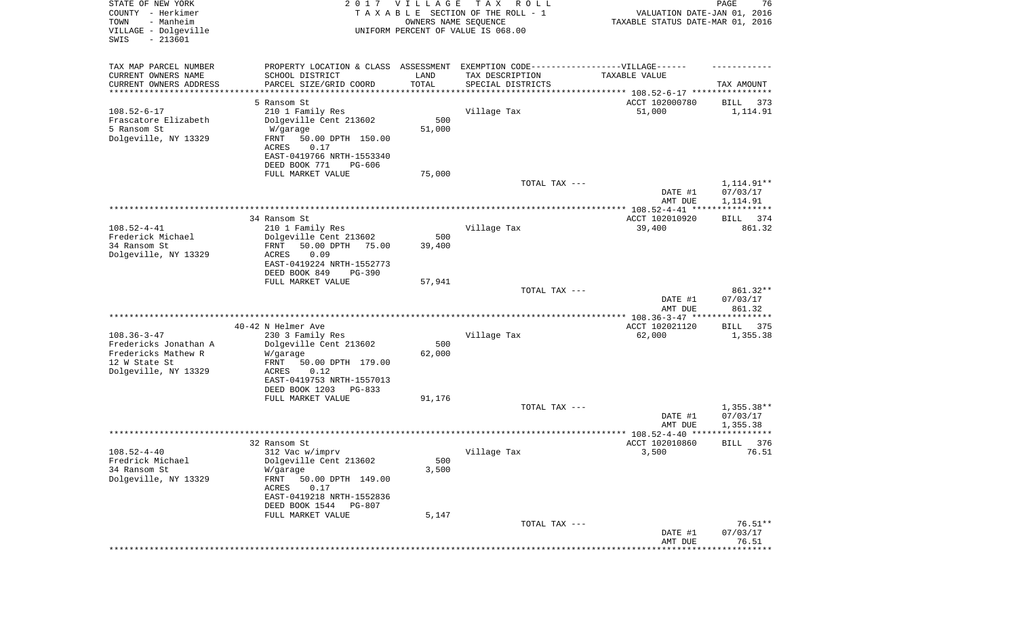| STATE OF NEW YORK<br>COUNTY - Herkimer<br>- Manheim<br>TOWN<br>VILLAGE - Dolgeville<br>$-213601$<br>SWIS |                                               | 2017 VILLAGE | T A X<br>R O L L<br>TAXABLE SECTION OF THE ROLL - 1<br>OWNERS NAME SEQUENCE<br>UNIFORM PERCENT OF VALUE IS 068.00 | VALUATION DATE-JAN 01, 2016<br>TAXABLE STATUS DATE-MAR 01, 2016 | PAGE<br>76         |
|----------------------------------------------------------------------------------------------------------|-----------------------------------------------|--------------|-------------------------------------------------------------------------------------------------------------------|-----------------------------------------------------------------|--------------------|
|                                                                                                          |                                               |              |                                                                                                                   |                                                                 |                    |
| TAX MAP PARCEL NUMBER                                                                                    |                                               |              | PROPERTY LOCATION & CLASS ASSESSMENT EXEMPTION CODE-----------------VILLAGE------                                 |                                                                 |                    |
| CURRENT OWNERS NAME                                                                                      | SCHOOL DISTRICT                               | LAND         | TAX DESCRIPTION                                                                                                   | TAXABLE VALUE                                                   |                    |
| CURRENT OWNERS ADDRESS<br>********************                                                           | PARCEL SIZE/GRID COORD                        | TOTAL        | SPECIAL DISTRICTS<br>********************************* 108.52-6-17 ****************                               |                                                                 | TAX AMOUNT         |
|                                                                                                          | 5 Ransom St                                   |              |                                                                                                                   | ACCT 102000780                                                  | 373<br>BILL        |
| $108.52 - 6 - 17$                                                                                        | 210 1 Family Res                              |              | Village Tax                                                                                                       | 51,000                                                          | 1,114.91           |
| Frascatore Elizabeth                                                                                     | Dolgeville Cent 213602                        | 500          |                                                                                                                   |                                                                 |                    |
| 5 Ransom St                                                                                              | W/garage                                      | 51,000       |                                                                                                                   |                                                                 |                    |
| Dolgeville, NY 13329                                                                                     | FRNT<br>50.00 DPTH 150.00                     |              |                                                                                                                   |                                                                 |                    |
|                                                                                                          | ACRES<br>0.17<br>EAST-0419766 NRTH-1553340    |              |                                                                                                                   |                                                                 |                    |
|                                                                                                          | DEED BOOK 771<br>PG-606                       |              |                                                                                                                   |                                                                 |                    |
|                                                                                                          | FULL MARKET VALUE                             | 75,000       |                                                                                                                   |                                                                 |                    |
|                                                                                                          |                                               |              | TOTAL TAX ---                                                                                                     |                                                                 | 1,114.91**         |
|                                                                                                          |                                               |              |                                                                                                                   | DATE #1                                                         | 07/03/17           |
|                                                                                                          |                                               |              |                                                                                                                   | AMT DUE                                                         | 1,114.91           |
|                                                                                                          | 34 Ransom St                                  |              |                                                                                                                   | ACCT 102010920                                                  | BILL<br>374        |
| $108.52 - 4 - 41$                                                                                        | 210 1 Family Res                              |              | Village Tax                                                                                                       | 39,400                                                          | 861.32             |
| Frederick Michael                                                                                        | Dolgeville Cent 213602                        | 500          |                                                                                                                   |                                                                 |                    |
| 34 Ransom St                                                                                             | 50.00 DPTH<br>FRNT<br>75.00                   | 39,400       |                                                                                                                   |                                                                 |                    |
| Dolgeville, NY 13329                                                                                     | 0.09<br>ACRES<br>EAST-0419224 NRTH-1552773    |              |                                                                                                                   |                                                                 |                    |
|                                                                                                          | DEED BOOK 849<br>$PG-390$                     |              |                                                                                                                   |                                                                 |                    |
|                                                                                                          | FULL MARKET VALUE                             | 57,941       |                                                                                                                   |                                                                 |                    |
|                                                                                                          |                                               |              | TOTAL TAX ---                                                                                                     |                                                                 | 861.32**           |
|                                                                                                          |                                               |              |                                                                                                                   | DATE #1<br>AMT DUE                                              | 07/03/17<br>861.32 |
|                                                                                                          |                                               |              |                                                                                                                   | ********* 108.36-3-47 *******                                   | *******            |
|                                                                                                          | 40-42 N Helmer Ave                            |              |                                                                                                                   | ACCT 102021120                                                  | 375<br>BILL        |
| $108.36 - 3 - 47$                                                                                        | 230 3 Family Res                              |              | Village Tax                                                                                                       | 62,000                                                          | 1,355.38           |
| Fredericks Jonathan A                                                                                    | Dolgeville Cent 213602                        | 500          |                                                                                                                   |                                                                 |                    |
| Fredericks Mathew R<br>12 W State St                                                                     | W/garage<br>FRNT<br>50.00 DPTH 179.00         | 62,000       |                                                                                                                   |                                                                 |                    |
| Dolgeville, NY 13329                                                                                     | ACRES<br>0.12                                 |              |                                                                                                                   |                                                                 |                    |
|                                                                                                          | EAST-0419753 NRTH-1557013                     |              |                                                                                                                   |                                                                 |                    |
|                                                                                                          | DEED BOOK 1203<br>PG-833                      |              |                                                                                                                   |                                                                 |                    |
|                                                                                                          | FULL MARKET VALUE                             | 91,176       | TOTAL TAX ---                                                                                                     |                                                                 | $1,355.38**$       |
|                                                                                                          |                                               |              |                                                                                                                   | DATE #1                                                         | 07/03/17           |
|                                                                                                          |                                               |              |                                                                                                                   | AMT DUE                                                         | 1,355.38           |
|                                                                                                          |                                               |              |                                                                                                                   | ****************** 108.52-4-40 ****                             | * * * *            |
|                                                                                                          | 32 Ransom St                                  |              |                                                                                                                   | ACCT 102010860                                                  | 376<br>BILL        |
| $108.52 - 4 - 40$<br>Fredrick Michael                                                                    | 312 Vac w/imprv<br>Dolgeville Cent 213602     | 500          | Village Tax                                                                                                       | 3,500                                                           | 76.51              |
| 34 Ransom St                                                                                             | W/garage                                      | 3,500        |                                                                                                                   |                                                                 |                    |
| Dolgeville, NY 13329                                                                                     | FRNT<br>50.00 DPTH 149.00                     |              |                                                                                                                   |                                                                 |                    |
|                                                                                                          | ACRES<br>0.17                                 |              |                                                                                                                   |                                                                 |                    |
|                                                                                                          | EAST-0419218 NRTH-1552836                     |              |                                                                                                                   |                                                                 |                    |
|                                                                                                          | DEED BOOK 1544<br>PG-807<br>FULL MARKET VALUE | 5,147        |                                                                                                                   |                                                                 |                    |
|                                                                                                          |                                               |              | TOTAL TAX ---                                                                                                     |                                                                 | $76.51**$          |
|                                                                                                          |                                               |              |                                                                                                                   | DATE #1                                                         | 07/03/17           |
|                                                                                                          |                                               |              |                                                                                                                   | AMT DUE                                                         | 76.51              |
|                                                                                                          |                                               |              |                                                                                                                   |                                                                 |                    |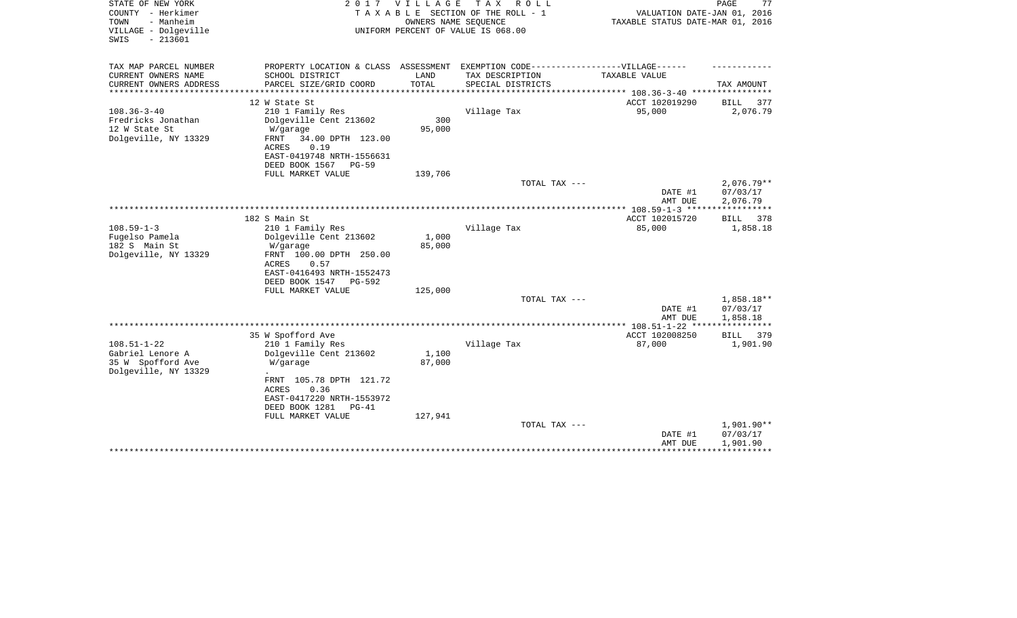| STATE OF NEW YORK<br>COUNTY - Herkimer<br>- Manheim<br>TOWN<br>VILLAGE - Dolgeville<br>$-213601$<br>SWIS |                                                                                   | 2017 VILLAGE<br>OWNERS NAME SEQUENCE | TAX ROLL<br>TAXABLE SECTION OF THE ROLL - 1<br>UNIFORM PERCENT OF VALUE IS 068.00 | VALUATION DATE-JAN 01, 2016<br>TAXABLE STATUS DATE-MAR 01, 2016 | PAGE<br>77             |
|----------------------------------------------------------------------------------------------------------|-----------------------------------------------------------------------------------|--------------------------------------|-----------------------------------------------------------------------------------|-----------------------------------------------------------------|------------------------|
| TAX MAP PARCEL NUMBER                                                                                    | PROPERTY LOCATION & CLASS ASSESSMENT EXEMPTION CODE-----------------VILLAGE------ |                                      |                                                                                   |                                                                 |                        |
| CURRENT OWNERS NAME                                                                                      | SCHOOL DISTRICT                                                                   | LAND<br>TOTAL                        | TAX DESCRIPTION                                                                   | TAXABLE VALUE                                                   |                        |
| CURRENT OWNERS ADDRESS                                                                                   | PARCEL SIZE/GRID COORD                                                            |                                      | SPECIAL DISTRICTS                                                                 | ********* 108.36-3-40 ******                                    | TAX AMOUNT             |
|                                                                                                          | 12 W State St                                                                     |                                      |                                                                                   | ACCT 102019290                                                  | <b>BILL</b><br>377     |
| $108.36 - 3 - 40$                                                                                        | 210 1 Family Res                                                                  |                                      | Village Tax                                                                       | 95,000                                                          | 2,076.79               |
| Fredricks Jonathan                                                                                       | Dolgeville Cent 213602                                                            | 300                                  |                                                                                   |                                                                 |                        |
| 12 W State St                                                                                            | W/garage                                                                          | 95,000                               |                                                                                   |                                                                 |                        |
| Dolgeville, NY 13329                                                                                     | 34.00 DPTH 123.00<br>FRNT<br>ACRES<br>0.19                                        |                                      |                                                                                   |                                                                 |                        |
|                                                                                                          | EAST-0419748 NRTH-1556631                                                         |                                      |                                                                                   |                                                                 |                        |
|                                                                                                          | DEED BOOK 1567<br>PG-59                                                           |                                      |                                                                                   |                                                                 |                        |
|                                                                                                          | FULL MARKET VALUE                                                                 | 139,706                              |                                                                                   |                                                                 |                        |
|                                                                                                          |                                                                                   |                                      | TOTAL TAX ---                                                                     |                                                                 | $2,076.79**$           |
|                                                                                                          |                                                                                   |                                      |                                                                                   | DATE #1                                                         | 07/03/17               |
|                                                                                                          |                                                                                   |                                      |                                                                                   | AMT DUE<br>********** 108.59-1-3 ******************             | 2,076.79               |
|                                                                                                          | 182 S Main St                                                                     |                                      |                                                                                   | ACCT 102015720                                                  | BILL 378               |
| $108.59 - 1 - 3$                                                                                         | 210 1 Family Res                                                                  |                                      | Village Tax                                                                       | 85,000                                                          | 1,858.18               |
| Fugelso Pamela                                                                                           | Dolgeville Cent 213602                                                            | 1,000                                |                                                                                   |                                                                 |                        |
| 182 S Main St                                                                                            | W/garage                                                                          | 85,000                               |                                                                                   |                                                                 |                        |
| Dolgeville, NY 13329                                                                                     | FRNT 100.00 DPTH 250.00<br>0.57<br>ACRES                                          |                                      |                                                                                   |                                                                 |                        |
|                                                                                                          | EAST-0416493 NRTH-1552473                                                         |                                      |                                                                                   |                                                                 |                        |
|                                                                                                          | DEED BOOK 1547<br>PG-592                                                          |                                      |                                                                                   |                                                                 |                        |
|                                                                                                          | FULL MARKET VALUE                                                                 | 125,000                              |                                                                                   |                                                                 |                        |
|                                                                                                          |                                                                                   |                                      | TOTAL TAX ---                                                                     |                                                                 | 1,858.18**             |
|                                                                                                          |                                                                                   |                                      |                                                                                   | DATE #1                                                         | 07/03/17               |
|                                                                                                          |                                                                                   |                                      |                                                                                   | AMT DUE<br>** $108.51 - 1 - 22$ ***                             | 1,858.18               |
|                                                                                                          | 35 W Spofford Ave                                                                 |                                      |                                                                                   | ACCT 102008250                                                  | BILL<br>379            |
| $108.51 - 1 - 22$                                                                                        | 210 1 Family Res                                                                  |                                      | Village Tax                                                                       | 87,000                                                          | 1,901.90               |
| Gabriel Lenore A                                                                                         | Dolgeville Cent 213602                                                            | 1,100                                |                                                                                   |                                                                 |                        |
| 35 W Spofford Ave                                                                                        | W/garage                                                                          | 87,000                               |                                                                                   |                                                                 |                        |
| Dolgeville, NY 13329                                                                                     | FRNT 105.78 DPTH 121.72                                                           |                                      |                                                                                   |                                                                 |                        |
|                                                                                                          | 0.36<br>ACRES                                                                     |                                      |                                                                                   |                                                                 |                        |
|                                                                                                          | EAST-0417220 NRTH-1553972                                                         |                                      |                                                                                   |                                                                 |                        |
|                                                                                                          | DEED BOOK 1281<br>$PG-41$                                                         |                                      |                                                                                   |                                                                 |                        |
|                                                                                                          | FULL MARKET VALUE                                                                 | 127,941                              |                                                                                   |                                                                 |                        |
|                                                                                                          |                                                                                   |                                      | TOTAL TAX ---                                                                     |                                                                 | 1,901.90**<br>07/03/17 |
|                                                                                                          |                                                                                   |                                      |                                                                                   | DATE #1<br>AMT DUE                                              | 1,901.90               |
|                                                                                                          |                                                                                   |                                      |                                                                                   |                                                                 |                        |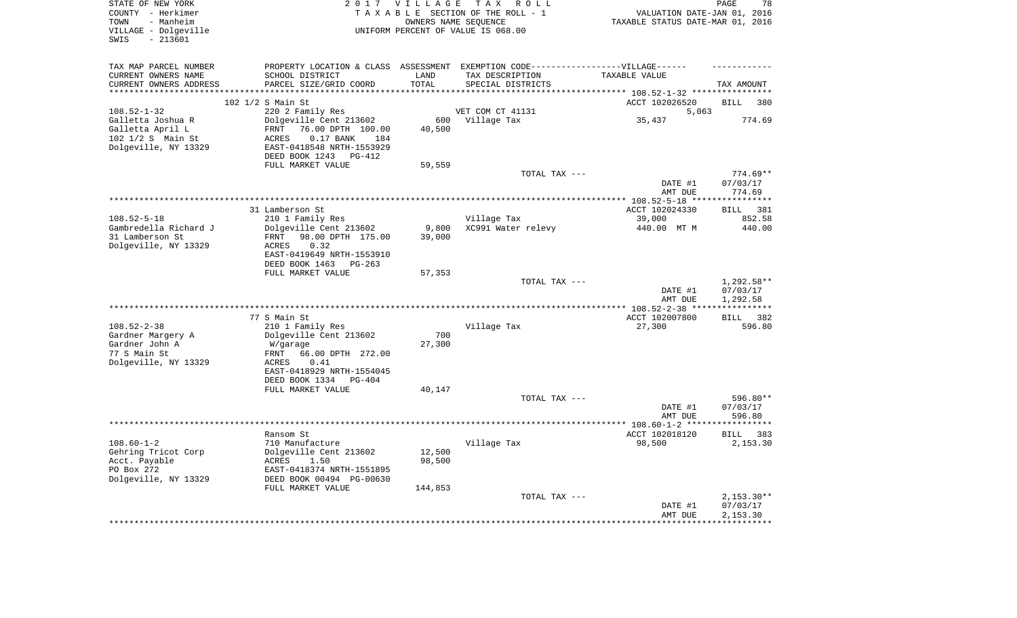| STATE OF NEW YORK<br>COUNTY - Herkimer<br>- Manheim<br>TOWN<br>VILLAGE - Dolgeville<br>$-213601$<br>SWIS |                                               | 2017 VILLAGE | T A X<br>R O L L<br>TAXABLE SECTION OF THE ROLL - 1<br>OWNERS NAME SEQUENCE<br>UNIFORM PERCENT OF VALUE IS 068.00 | VALUATION DATE-JAN 01, 2016<br>TAXABLE STATUS DATE-MAR 01, 2016 | PAGE<br>78                     |
|----------------------------------------------------------------------------------------------------------|-----------------------------------------------|--------------|-------------------------------------------------------------------------------------------------------------------|-----------------------------------------------------------------|--------------------------------|
| TAX MAP PARCEL NUMBER<br>CURRENT OWNERS NAME                                                             | SCHOOL DISTRICT                               | LAND         | PROPERTY LOCATION & CLASS ASSESSMENT EXEMPTION CODE-----------------VILLAGE------<br>TAX DESCRIPTION              | TAXABLE VALUE                                                   |                                |
| CURRENT OWNERS ADDRESS                                                                                   | PARCEL SIZE/GRID COORD                        | TOTAL        | SPECIAL DISTRICTS                                                                                                 |                                                                 | TAX AMOUNT                     |
| **********************                                                                                   |                                               |              |                                                                                                                   |                                                                 |                                |
|                                                                                                          | 102 1/2 S Main St                             |              |                                                                                                                   | ACCT 102026520                                                  | 380<br><b>BILL</b>             |
| $108.52 - 1 - 32$<br>Galletta Joshua R                                                                   | 220 2 Family Res<br>Dolgeville Cent 213602    | 600          | VET COM CT 41131<br>Village Tax                                                                                   | 5,063<br>35,437                                                 | 774.69                         |
| Galletta April L                                                                                         | FRNT<br>76.00 DPTH 100.00                     | 40,500       |                                                                                                                   |                                                                 |                                |
| 102 1/2 S Main St                                                                                        | <b>ACRES</b><br>$0.17$ BANK<br>184            |              |                                                                                                                   |                                                                 |                                |
| Dolgeville, NY 13329                                                                                     | EAST-0418548 NRTH-1553929                     |              |                                                                                                                   |                                                                 |                                |
|                                                                                                          | DEED BOOK 1243 PG-412                         |              |                                                                                                                   |                                                                 |                                |
|                                                                                                          | FULL MARKET VALUE                             | 59,559       | TOTAL TAX ---                                                                                                     |                                                                 | $774.69**$                     |
|                                                                                                          |                                               |              |                                                                                                                   | DATE #1                                                         | 07/03/17                       |
|                                                                                                          |                                               |              |                                                                                                                   | AMT DUE                                                         | 774.69                         |
|                                                                                                          |                                               |              |                                                                                                                   |                                                                 | ************                   |
|                                                                                                          | 31 Lamberson St                               |              |                                                                                                                   | ACCT 102024330                                                  | 381<br>BILL                    |
| $108.52 - 5 - 18$<br>Gambredella Richard J                                                               | 210 1 Family Res<br>Dolgeville Cent 213602    | 9,800        | Village Tax<br>XC991 Water relevy                                                                                 | 39,000<br>440.00 MT M                                           | 852.58<br>440.00               |
| 31 Lamberson St                                                                                          | 98.00 DPTH 175.00<br>FRNT                     | 39,000       |                                                                                                                   |                                                                 |                                |
| Dolgeville, NY 13329                                                                                     | <b>ACRES</b><br>0.32                          |              |                                                                                                                   |                                                                 |                                |
|                                                                                                          | EAST-0419649 NRTH-1553910                     |              |                                                                                                                   |                                                                 |                                |
|                                                                                                          | DEED BOOK 1463<br>$PG-263$                    |              |                                                                                                                   |                                                                 |                                |
|                                                                                                          | FULL MARKET VALUE                             | 57,353       | TOTAL TAX ---                                                                                                     |                                                                 | 1,292.58**                     |
|                                                                                                          |                                               |              |                                                                                                                   | DATE #1                                                         | 07/03/17                       |
|                                                                                                          |                                               |              |                                                                                                                   | AMT DUE                                                         | 1,292.58                       |
|                                                                                                          |                                               |              |                                                                                                                   |                                                                 | ***********                    |
|                                                                                                          | 77 S Main St                                  |              |                                                                                                                   | ACCT 102007800                                                  | 382<br>BILL                    |
| $108.52 - 2 - 38$<br>Gardner Margery A                                                                   | 210 1 Family Res<br>Dolgeville Cent 213602    | 700          | Village Tax                                                                                                       | 27,300                                                          | 596.80                         |
| Gardner John A                                                                                           | W/garage                                      | 27,300       |                                                                                                                   |                                                                 |                                |
| 77 S Main St                                                                                             | 66.00 DPTH 272.00<br>FRNT                     |              |                                                                                                                   |                                                                 |                                |
| Dolgeville, NY 13329                                                                                     | ACRES<br>0.41                                 |              |                                                                                                                   |                                                                 |                                |
|                                                                                                          | EAST-0418929 NRTH-1554045                     |              |                                                                                                                   |                                                                 |                                |
|                                                                                                          | DEED BOOK 1334<br>PG-404<br>FULL MARKET VALUE | 40,147       |                                                                                                                   |                                                                 |                                |
|                                                                                                          |                                               |              | TOTAL TAX ---                                                                                                     |                                                                 | $596.80**$                     |
|                                                                                                          |                                               |              |                                                                                                                   | DATE #1                                                         | 07/03/17                       |
|                                                                                                          |                                               |              |                                                                                                                   | AMT DUE                                                         | 596.80                         |
|                                                                                                          | ********************                          |              | ****************************                                                                                      | ****** 108.60-1-2 ***                                           | ********                       |
| $108.60 - 1 - 2$                                                                                         | Ransom St<br>710 Manufacture                  |              | Village Tax                                                                                                       | ACCT 102018120<br>98,500                                        | <b>BILL</b><br>383<br>2,153.30 |
| Gehring Tricot Corp                                                                                      | Dolgeville Cent 213602                        | 12,500       |                                                                                                                   |                                                                 |                                |
| Acct. Payable                                                                                            | 1.50<br>ACRES                                 | 98,500       |                                                                                                                   |                                                                 |                                |
| PO Box 272                                                                                               | EAST-0418374 NRTH-1551895                     |              |                                                                                                                   |                                                                 |                                |
| Dolgeville, NY 13329                                                                                     | DEED BOOK 00494 PG-00630                      |              |                                                                                                                   |                                                                 |                                |
|                                                                                                          | FULL MARKET VALUE                             | 144,853      | TOTAL TAX ---                                                                                                     |                                                                 | $2,153.30**$                   |
|                                                                                                          |                                               |              |                                                                                                                   | DATE #1                                                         | 07/03/17                       |
|                                                                                                          |                                               |              |                                                                                                                   | AMT DUE                                                         | 2.153.30                       |
|                                                                                                          |                                               |              |                                                                                                                   | **************                                                  | * * * * * * * * * * *          |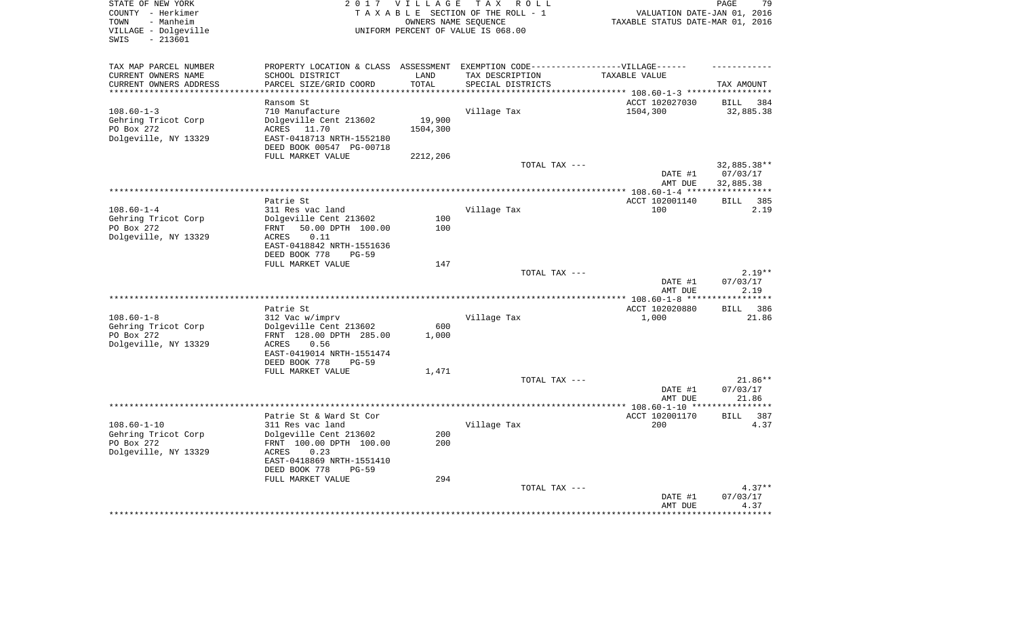| STATE OF NEW YORK<br>COUNTY - Herkimer<br>- Manheim<br>TOWN<br>VILLAGE - Dolgeville<br>$-213601$<br>SWIS |                                                                                                                                | 2017 VILLAGE       | TAX ROLL<br>TAXABLE SECTION OF THE ROLL - 1<br>OWNERS NAME SEOUENCE<br>UNIFORM PERCENT OF VALUE IS 068.00 | VALUATION DATE-JAN 01, 2016<br>TAXABLE STATUS DATE-MAR 01, 2016 | 79<br>PAGE                           |
|----------------------------------------------------------------------------------------------------------|--------------------------------------------------------------------------------------------------------------------------------|--------------------|-----------------------------------------------------------------------------------------------------------|-----------------------------------------------------------------|--------------------------------------|
| TAX MAP PARCEL NUMBER<br>CURRENT OWNERS NAME                                                             | SCHOOL DISTRICT                                                                                                                | LAND               | PROPERTY LOCATION & CLASS ASSESSMENT EXEMPTION CODE-----------------VILLAGE------<br>TAX DESCRIPTION      | TAXABLE VALUE                                                   |                                      |
| CURRENT OWNERS ADDRESS                                                                                   | PARCEL SIZE/GRID COORD                                                                                                         | TOTAL              | SPECIAL DISTRICTS                                                                                         |                                                                 | TAX AMOUNT                           |
|                                                                                                          |                                                                                                                                |                    |                                                                                                           | ******* 108.60-1-3 *****                                        |                                      |
| $108.60 - 1 - 3$<br>Gehring Tricot Corp<br>PO Box 272<br>Dolgeville, NY 13329                            | Ransom St<br>710 Manufacture<br>Dolgeville Cent 213602<br>ACRES 11.70<br>EAST-0418713 NRTH-1552180<br>DEED BOOK 00547 PG-00718 | 19,900<br>1504,300 | Village Tax                                                                                               | ACCT 102027030<br>1504,300                                      | 384<br>BILL<br>32,885.38             |
|                                                                                                          | FULL MARKET VALUE                                                                                                              | 2212,206           |                                                                                                           |                                                                 |                                      |
|                                                                                                          |                                                                                                                                |                    | TOTAL TAX ---                                                                                             | DATE #1<br>AMT DUE                                              | 32,885.38**<br>07/03/17<br>32,885.38 |
|                                                                                                          |                                                                                                                                |                    |                                                                                                           |                                                                 |                                      |
| $108.60 - 1 - 4$                                                                                         | Patrie St<br>311 Res vac land                                                                                                  |                    | Village Tax                                                                                               | ACCT 102001140<br>100                                           | <b>BILL</b><br>385<br>2.19           |
| Gehring Tricot Corp<br>PO Box 272<br>Dolgeville, NY 13329                                                | Dolgeville Cent 213602<br>FRNT<br>50.00 DPTH 100.00<br>0.11<br>ACRES<br>EAST-0418842 NRTH-1551636<br>DEED BOOK 778<br>$PG-59$  | 100<br>100         |                                                                                                           |                                                                 |                                      |
|                                                                                                          | FULL MARKET VALUE                                                                                                              | 147                |                                                                                                           |                                                                 |                                      |
|                                                                                                          |                                                                                                                                |                    | TOTAL TAX ---                                                                                             | DATE #1<br>AMT DUE                                              | $2.19**$<br>07/03/17<br>2.19         |
|                                                                                                          |                                                                                                                                |                    |                                                                                                           |                                                                 | ********                             |
| $108.60 - 1 - 8$<br>Gehring Tricot Corp<br>PO Box 272                                                    | Patrie St<br>312 Vac w/imprv<br>Dolgeville Cent 213602<br>FRNT 128.00 DPTH 285.00                                              | 600<br>1,000       | Village Tax                                                                                               | ACCT 102020880<br>1,000                                         | 386<br>BILL<br>21.86                 |
| Dolgeville, NY 13329                                                                                     | ACRES<br>0.56<br>EAST-0419014 NRTH-1551474<br>DEED BOOK 778<br>$PG-59$                                                         |                    |                                                                                                           |                                                                 |                                      |
|                                                                                                          | FULL MARKET VALUE                                                                                                              | 1,471              |                                                                                                           |                                                                 |                                      |
|                                                                                                          |                                                                                                                                |                    | TOTAL TAX ---                                                                                             | DATE #1<br>AMT DUE                                              | $21.86**$<br>07/03/17<br>21.86       |
|                                                                                                          |                                                                                                                                |                    | *****************************                                                                             | ***** 108.60-1-10 **                                            | *******                              |
| $108.60 - 1 - 10$<br>Gehring Tricot Corp<br>PO Box 272                                                   | Patrie St & Ward St Cor<br>311 Res vac land<br>Dolgeville Cent 213602<br>FRNT 100.00 DPTH 100.00                               | 200<br>200         | Village Tax                                                                                               | ACCT 102001170<br>200                                           | <b>BILL</b><br>387<br>4.37           |
| Dolgeville, NY 13329                                                                                     | ACRES<br>0.23<br>EAST-0418869 NRTH-1551410<br>DEED BOOK 778<br>$PG-59$<br>FULL MARKET VALUE                                    | 294                |                                                                                                           |                                                                 |                                      |
|                                                                                                          |                                                                                                                                |                    | TOTAL TAX ---                                                                                             |                                                                 | $4.37**$                             |
|                                                                                                          |                                                                                                                                |                    |                                                                                                           | DATE #1<br>AMT DUE                                              | 07/03/17<br>4.37                     |
|                                                                                                          |                                                                                                                                |                    |                                                                                                           |                                                                 |                                      |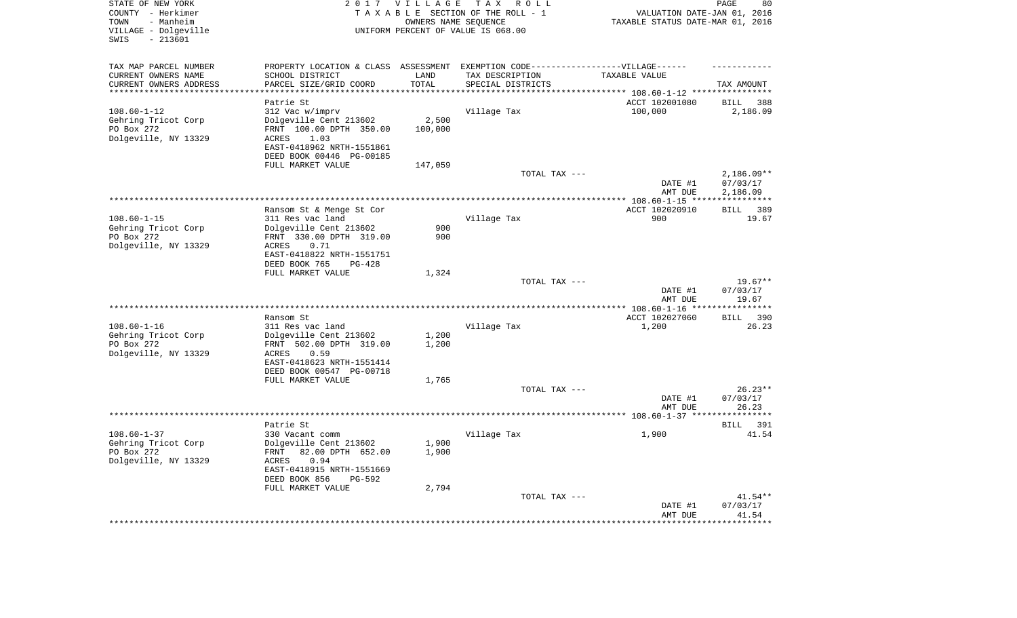| TOWN<br>- Manheim<br>OWNERS NAME SEQUENCE<br>TAXABLE STATUS DATE-MAR 01, 2016<br>VILLAGE - Dolgeville<br>UNIFORM PERCENT OF VALUE IS 068.00<br>$-213601$<br>SWIS      |                   |
|-----------------------------------------------------------------------------------------------------------------------------------------------------------------------|-------------------|
| TAX MAP PARCEL NUMBER<br>PROPERTY LOCATION & CLASS ASSESSMENT EXEMPTION CODE-----------------VILLAGE------                                                            |                   |
| CURRENT OWNERS NAME<br>SCHOOL DISTRICT<br>LAND<br>TAX DESCRIPTION<br>TAXABLE VALUE                                                                                    |                   |
| CURRENT OWNERS ADDRESS<br>PARCEL SIZE/GRID COORD<br>TOTAL<br>SPECIAL DISTRICTS<br>TAX AMOUNT<br>***************<br>**********************<br>************************ |                   |
|                                                                                                                                                                       |                   |
| ACCT 102001080<br>Patrie St<br>BILL<br>$108.60 - 1 - 12$<br>312 Vac w/imprv<br>Village Tax<br>100,000                                                                 | 388<br>2,186.09   |
| 2,500<br>Dolgeville Cent 213602<br>Gehring Tricot Corp                                                                                                                |                   |
| PO Box 272<br>FRNT 100.00 DPTH 350.00<br>100,000                                                                                                                      |                   |
| Dolgeville, NY 13329<br>1.03<br>ACRES                                                                                                                                 |                   |
| EAST-0418962 NRTH-1551861                                                                                                                                             |                   |
| DEED BOOK 00446 PG-00185                                                                                                                                              |                   |
| FULL MARKET VALUE<br>147,059                                                                                                                                          |                   |
| TOTAL TAX ---                                                                                                                                                         | $2,186.09**$      |
| DATE #1<br>07/03/17                                                                                                                                                   |                   |
| AMT DUE<br>2,186.09                                                                                                                                                   |                   |
| ACCT 102020910<br>Ransom St & Menge St Cor<br>BILL                                                                                                                    | 389               |
| $108.60 - 1 - 15$<br>311 Res vac land<br>900<br>Village Tax                                                                                                           | 19.67             |
| Gehring Tricot Corp<br>Dolgeville Cent 213602<br>900                                                                                                                  |                   |
| 900<br>PO Box 272<br>FRNT 330.00 DPTH 319.00                                                                                                                          |                   |
| Dolgeville, NY 13329<br><b>ACRES</b><br>0.71                                                                                                                          |                   |
| EAST-0418822 NRTH-1551751                                                                                                                                             |                   |
| DEED BOOK 765<br>$PG-428$                                                                                                                                             |                   |
| FULL MARKET VALUE<br>1,324                                                                                                                                            |                   |
| TOTAL TAX ---<br>DATE #1<br>07/03/17                                                                                                                                  | $19.67**$         |
| AMT DUE                                                                                                                                                               | 19.67             |
| **********************<br>*************** 108.60-1-16 ***<br>* * * * * * * * * * *                                                                                    |                   |
| Ransom St<br>ACCT 102027060<br>BILL                                                                                                                                   | 390               |
| $108.60 - 1 - 16$<br>1,200<br>311 Res vac land<br>Village Tax                                                                                                         | 26.23             |
| Gehring Tricot Corp<br>Dolgeville Cent 213602<br>1,200                                                                                                                |                   |
| PO Box 272<br>FRNT 502.00 DPTH 319.00<br>1,200                                                                                                                        |                   |
| Dolgeville, NY 13329<br>0.59<br>ACRES<br>EAST-0418623 NRTH-1551414                                                                                                    |                   |
| DEED BOOK 00547 PG-00718                                                                                                                                              |                   |
| FULL MARKET VALUE<br>1,765                                                                                                                                            |                   |
| TOTAL TAX ---                                                                                                                                                         | $26.23**$         |
| 07/03/17<br>DATE #1                                                                                                                                                   |                   |
| AMT DUE                                                                                                                                                               | 26.23             |
|                                                                                                                                                                       |                   |
| Patrie St<br>$108.60 - 1 - 37$<br>1,900                                                                                                                               | BILL 391<br>41.54 |
| 330 Vacant comm<br>Village Tax<br>1,900<br>Gehring Tricot Corp<br>Dolgeville Cent 213602                                                                              |                   |
| PO Box 272<br>FRNT<br>82.00 DPTH 652.00<br>1,900                                                                                                                      |                   |
| Dolgeville, NY 13329<br>ACRES<br>0.94                                                                                                                                 |                   |
| EAST-0418915 NRTH-1551669                                                                                                                                             |                   |
| DEED BOOK 856<br>PG-592                                                                                                                                               |                   |
| 2,794<br>FULL MARKET VALUE                                                                                                                                            |                   |
| TOTAL TAX ---                                                                                                                                                         | $41.54**$         |
| 07/03/17<br>DATE #1<br>AMT DUE                                                                                                                                        | 41.54             |
|                                                                                                                                                                       |                   |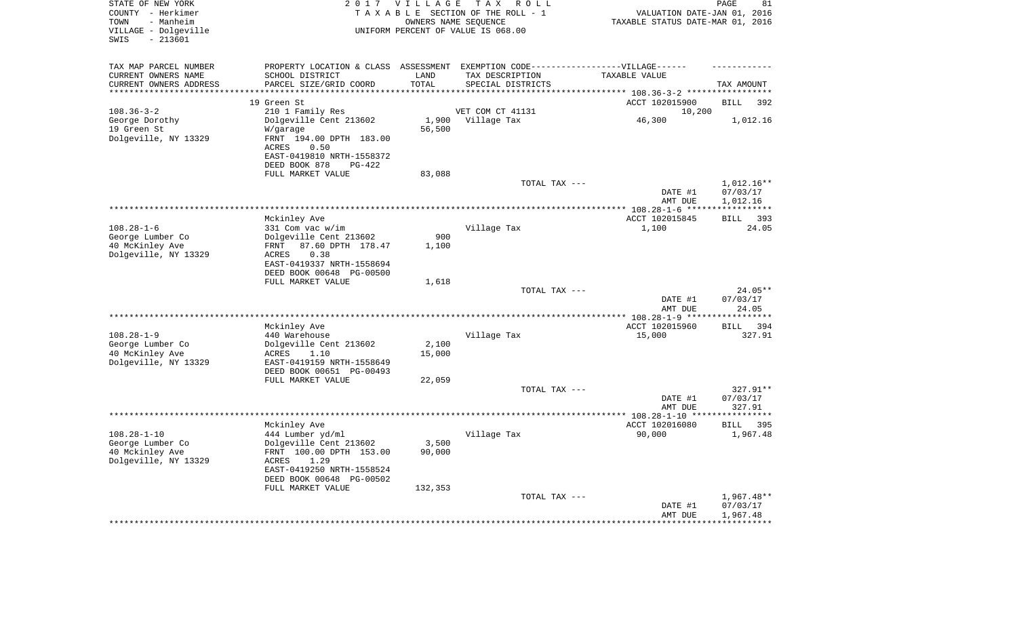| STATE OF NEW YORK<br>COUNTY - Herkimer<br>- Manheim<br>TOWN<br>VILLAGE - Dolgeville<br>$-213601$<br>SWIS |                                                                                                 | 2017 VILLAGE               | T A X<br>R O L L<br>TAXABLE SECTION OF THE ROLL - 1<br>OWNERS NAME SEQUENCE<br>UNIFORM PERCENT OF VALUE IS 068.00 | VALUATION DATE-JAN 01, 2016<br>TAXABLE STATUS DATE-MAR 01, 2016 | PAGE<br>81                           |
|----------------------------------------------------------------------------------------------------------|-------------------------------------------------------------------------------------------------|----------------------------|-------------------------------------------------------------------------------------------------------------------|-----------------------------------------------------------------|--------------------------------------|
| TAX MAP PARCEL NUMBER<br>CURRENT OWNERS NAME                                                             | SCHOOL DISTRICT                                                                                 | LAND                       | PROPERTY LOCATION & CLASS ASSESSMENT EXEMPTION CODE-----------------VILLAGE------<br>TAX DESCRIPTION              | TAXABLE VALUE                                                   |                                      |
| CURRENT OWNERS ADDRESS<br>*********************                                                          | PARCEL SIZE/GRID COORD                                                                          | TOTAL<br>* * * * * * * * * | SPECIAL DISTRICTS                                                                                                 |                                                                 | TAX AMOUNT                           |
|                                                                                                          | 19 Green St                                                                                     |                            |                                                                                                                   | ACCT 102015900                                                  | <b>BILL</b><br>392                   |
| $108.36 - 3 - 2$                                                                                         | 210 1 Family Res                                                                                |                            | VET COM CT 41131                                                                                                  | 10,200                                                          |                                      |
| George Dorothy                                                                                           | Dolgeville Cent 213602                                                                          | 1,900                      | Village Tax                                                                                                       | 46,300                                                          | 1,012.16                             |
| 19 Green St                                                                                              | W/garage                                                                                        | 56,500                     |                                                                                                                   |                                                                 |                                      |
| Dolgeville, NY 13329                                                                                     | FRNT 194.00 DPTH 183.00<br><b>ACRES</b><br>0.50                                                 |                            |                                                                                                                   |                                                                 |                                      |
|                                                                                                          | EAST-0419810 NRTH-1558372<br>DEED BOOK 878<br>$PG-422$                                          |                            |                                                                                                                   |                                                                 |                                      |
|                                                                                                          | FULL MARKET VALUE                                                                               | 83,088                     | TOTAL TAX ---                                                                                                     |                                                                 | 1,012.16**                           |
|                                                                                                          |                                                                                                 |                            |                                                                                                                   | DATE #1<br>AMT DUE                                              | 07/03/17<br>1,012.16                 |
|                                                                                                          | Mckinley Ave                                                                                    |                            |                                                                                                                   | ACCT 102015845                                                  | 393<br><b>BILL</b>                   |
| $108.28 - 1 - 6$                                                                                         | 331 Com vac w/im                                                                                |                            | Village Tax                                                                                                       | 1,100                                                           | 24.05                                |
| George Lumber Co                                                                                         | Dolgeville Cent 213602                                                                          | 900                        |                                                                                                                   |                                                                 |                                      |
| 40 McKinley Ave                                                                                          | FRNT<br>87.60 DPTH 178.47                                                                       | 1,100                      |                                                                                                                   |                                                                 |                                      |
| Dolgeville, NY 13329                                                                                     | 0.38<br>ACRES<br>EAST-0419337 NRTH-1558694<br>DEED BOOK 00648 PG-00500                          |                            |                                                                                                                   |                                                                 |                                      |
|                                                                                                          | FULL MARKET VALUE                                                                               | 1,618                      |                                                                                                                   |                                                                 |                                      |
|                                                                                                          |                                                                                                 |                            | TOTAL TAX ---                                                                                                     |                                                                 | 24.05**                              |
| *******************                                                                                      |                                                                                                 |                            |                                                                                                                   | DATE #1<br>AMT DUE                                              | 07/03/17<br>24.05<br>* * * * * * * * |
|                                                                                                          |                                                                                                 |                            |                                                                                                                   | **************** 108.28-1-9 ****<br>ACCT 102015960              | <b>BILL</b><br>394                   |
| $108.28 - 1 - 9$                                                                                         | Mckinley Ave<br>440 Warehouse                                                                   |                            | Village Tax                                                                                                       | 15,000                                                          | 327.91                               |
| George Lumber Co                                                                                         | Dolgeville Cent 213602                                                                          | 2,100                      |                                                                                                                   |                                                                 |                                      |
| 40 McKinley Ave                                                                                          | ACRES<br>1.10                                                                                   | 15,000                     |                                                                                                                   |                                                                 |                                      |
| Dolgeville, NY 13329                                                                                     | EAST-0419159 NRTH-1558649                                                                       |                            |                                                                                                                   |                                                                 |                                      |
|                                                                                                          | DEED BOOK 00651 PG-00493                                                                        |                            |                                                                                                                   |                                                                 |                                      |
|                                                                                                          | FULL MARKET VALUE                                                                               | 22,059                     |                                                                                                                   |                                                                 |                                      |
|                                                                                                          |                                                                                                 |                            | TOTAL TAX ---                                                                                                     |                                                                 | 327.91**                             |
|                                                                                                          |                                                                                                 |                            |                                                                                                                   | DATE #1<br>AMT DUE                                              | 07/03/17<br>327.91                   |
|                                                                                                          |                                                                                                 |                            |                                                                                                                   |                                                                 | *********                            |
|                                                                                                          | Mckinley Ave                                                                                    |                            |                                                                                                                   | ACCT 102016080                                                  | <b>BILL</b><br>395                   |
| $108.28 - 1 - 10$                                                                                        | 444 Lumber yd/ml                                                                                |                            | Village Tax                                                                                                       | 90,000                                                          | 1,967.48                             |
| George Lumber Co<br>40 Mckinley Ave<br>Dolgeville, NY 13329                                              | Dolgeville Cent 213602<br>FRNT 100.00 DPTH 153.00<br>ACRES<br>1.29<br>EAST-0419250 NRTH-1558524 | 3,500<br>90,000            |                                                                                                                   |                                                                 |                                      |
|                                                                                                          | DEED BOOK 00648 PG-00502                                                                        |                            |                                                                                                                   |                                                                 |                                      |
|                                                                                                          | FULL MARKET VALUE                                                                               | 132,353                    |                                                                                                                   |                                                                 |                                      |
|                                                                                                          |                                                                                                 |                            | TOTAL TAX ---                                                                                                     | DATE #1                                                         | 1,967.48**<br>07/03/17               |
|                                                                                                          |                                                                                                 |                            |                                                                                                                   | AMT DUE                                                         | 1,967.48                             |
|                                                                                                          |                                                                                                 |                            |                                                                                                                   |                                                                 |                                      |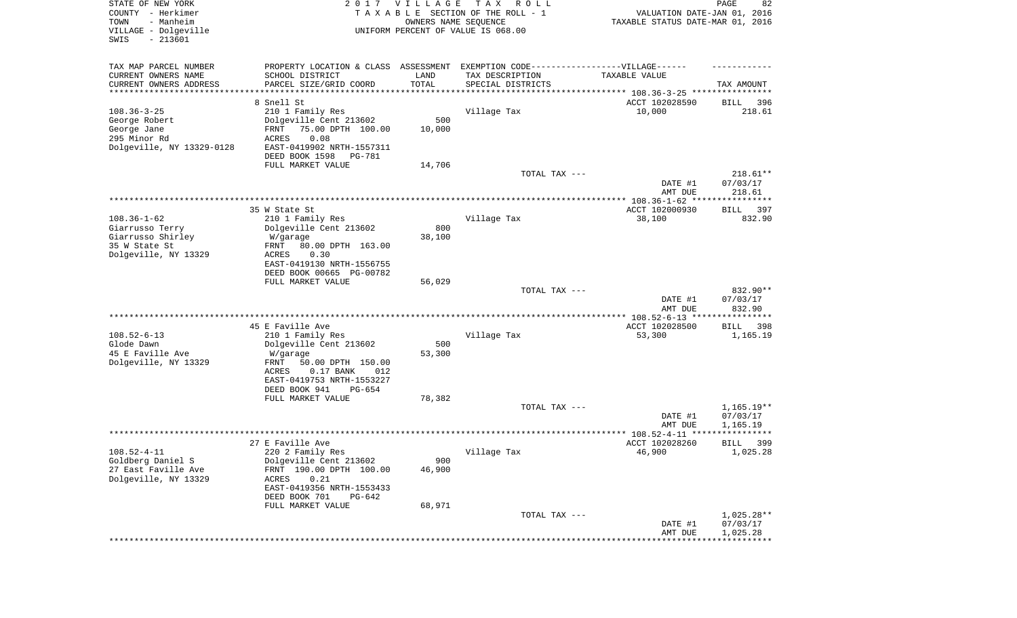| STATE OF NEW YORK<br>COUNTY - Herkimer<br>- Manheim<br>TOWN<br>VILLAGE - Dolgeville<br>SWIS<br>$-213601$ |                                                                                   | 2017 VILLAGE<br>OWNERS NAME SEQUENCE | T A X<br>R O L L<br>TAXABLE SECTION OF THE ROLL - 1<br>UNIFORM PERCENT OF VALUE IS 068.00 | VALUATION DATE-JAN 01, 2016<br>TAXABLE STATUS DATE-MAR 01, 2016 | PAGE<br>82              |
|----------------------------------------------------------------------------------------------------------|-----------------------------------------------------------------------------------|--------------------------------------|-------------------------------------------------------------------------------------------|-----------------------------------------------------------------|-------------------------|
| TAX MAP PARCEL NUMBER                                                                                    | PROPERTY LOCATION & CLASS ASSESSMENT EXEMPTION CODE-----------------VILLAGE------ |                                      |                                                                                           |                                                                 |                         |
| CURRENT OWNERS NAME                                                                                      | SCHOOL DISTRICT                                                                   | LAND                                 | TAX DESCRIPTION                                                                           | TAXABLE VALUE                                                   |                         |
| CURRENT OWNERS ADDRESS<br>********************                                                           | PARCEL SIZE/GRID COORD                                                            | TOTAL<br>**********                  | SPECIAL DISTRICTS                                                                         | ********************************* 108.36-3-25 ****************  | TAX AMOUNT              |
|                                                                                                          | 8 Snell St                                                                        |                                      |                                                                                           | ACCT 102028590                                                  | 396<br>BILL             |
| $108.36 - 3 - 25$                                                                                        | 210 1 Family Res                                                                  |                                      | Village Tax                                                                               | 10,000                                                          | 218.61                  |
| George Robert                                                                                            | Dolgeville Cent 213602                                                            | 500                                  |                                                                                           |                                                                 |                         |
| George Jane                                                                                              | 75.00 DPTH 100.00<br>FRNT                                                         | 10,000                               |                                                                                           |                                                                 |                         |
| 295 Minor Rd<br>Dolgeville, NY 13329-0128                                                                | 0.08<br><b>ACRES</b><br>EAST-0419902 NRTH-1557311                                 |                                      |                                                                                           |                                                                 |                         |
|                                                                                                          | DEED BOOK 1598<br>PG-781                                                          |                                      |                                                                                           |                                                                 |                         |
|                                                                                                          | FULL MARKET VALUE                                                                 | 14,706                               |                                                                                           |                                                                 |                         |
|                                                                                                          |                                                                                   |                                      | TOTAL TAX ---                                                                             |                                                                 | $218.61**$              |
|                                                                                                          |                                                                                   |                                      |                                                                                           | DATE #1                                                         | 07/03/17                |
|                                                                                                          |                                                                                   |                                      |                                                                                           | AMT DUE                                                         | 218.61                  |
|                                                                                                          | 35 W State St                                                                     |                                      |                                                                                           | ACCT 102000930                                                  | 397<br>BILL             |
| $108.36 - 1 - 62$                                                                                        | 210 1 Family Res                                                                  |                                      | Village Tax                                                                               | 38,100                                                          | 832.90                  |
| Giarrusso Terry                                                                                          | Dolgeville Cent 213602                                                            | 800                                  |                                                                                           |                                                                 |                         |
| Giarrusso Shirley<br>35 W State St                                                                       | W/garage<br>80.00 DPTH 163.00<br>FRNT                                             | 38,100                               |                                                                                           |                                                                 |                         |
| Dolgeville, NY 13329                                                                                     | ACRES<br>0.30                                                                     |                                      |                                                                                           |                                                                 |                         |
|                                                                                                          | EAST-0419130 NRTH-1556755                                                         |                                      |                                                                                           |                                                                 |                         |
|                                                                                                          | DEED BOOK 00665 PG-00782                                                          |                                      |                                                                                           |                                                                 |                         |
|                                                                                                          | FULL MARKET VALUE                                                                 | 56,029                               | TOTAL TAX ---                                                                             |                                                                 | 832.90**                |
|                                                                                                          |                                                                                   |                                      |                                                                                           | DATE #1<br>AMT DUE                                              | 07/03/17<br>832.90      |
|                                                                                                          |                                                                                   |                                      |                                                                                           | ************ 108.52-6-13 *****************                      |                         |
|                                                                                                          | 45 E Faville Ave                                                                  |                                      |                                                                                           | ACCT 102028500                                                  | 398<br>BILL             |
| $108.52 - 6 - 13$                                                                                        | 210 1 Family Res                                                                  |                                      | Village Tax                                                                               | 53,300                                                          | 1,165.19                |
| Glode Dawn<br>45 E Faville Ave                                                                           | Dolgeville Cent 213602<br>W/garage                                                | 500<br>53,300                        |                                                                                           |                                                                 |                         |
| Dolgeville, NY 13329                                                                                     | FRNT<br>50.00 DPTH 150.00                                                         |                                      |                                                                                           |                                                                 |                         |
|                                                                                                          | ACRES<br>$0.17$ BANK<br>012                                                       |                                      |                                                                                           |                                                                 |                         |
|                                                                                                          | EAST-0419753 NRTH-1553227                                                         |                                      |                                                                                           |                                                                 |                         |
|                                                                                                          | DEED BOOK 941<br>PG-654<br>FULL MARKET VALUE                                      | 78,382                               |                                                                                           |                                                                 |                         |
|                                                                                                          |                                                                                   |                                      | TOTAL TAX ---                                                                             |                                                                 | $1,165.19**$            |
|                                                                                                          |                                                                                   |                                      |                                                                                           | DATE #1                                                         | 07/03/17                |
|                                                                                                          |                                                                                   |                                      |                                                                                           | AMT DUE                                                         | 1,165.19                |
|                                                                                                          |                                                                                   |                                      |                                                                                           |                                                                 | * * * * *               |
| $108.52 - 4 - 11$                                                                                        | 27 E Faville Ave<br>220 2 Family Res                                              |                                      | Village Tax                                                                               | ACCT 102028260<br>46,900                                        | 399<br>BILL<br>1,025.28 |
| Goldberg Daniel S                                                                                        | Dolgeville Cent 213602                                                            | 900                                  |                                                                                           |                                                                 |                         |
| 27 East Faville Ave                                                                                      | FRNT 190.00 DPTH 100.00                                                           | 46,900                               |                                                                                           |                                                                 |                         |
| Dolgeville, NY 13329                                                                                     | 0.21<br>ACRES                                                                     |                                      |                                                                                           |                                                                 |                         |
|                                                                                                          | EAST-0419356 NRTH-1553433<br>DEED BOOK 701<br>PG-642                              |                                      |                                                                                           |                                                                 |                         |
|                                                                                                          | FULL MARKET VALUE                                                                 | 68,971                               |                                                                                           |                                                                 |                         |
|                                                                                                          |                                                                                   |                                      | TOTAL TAX ---                                                                             |                                                                 | $1,025.28**$            |
|                                                                                                          |                                                                                   |                                      |                                                                                           | DATE #1                                                         | 07/03/17                |
|                                                                                                          |                                                                                   |                                      |                                                                                           | AMT DUE                                                         | 1,025.28                |
|                                                                                                          |                                                                                   |                                      |                                                                                           |                                                                 |                         |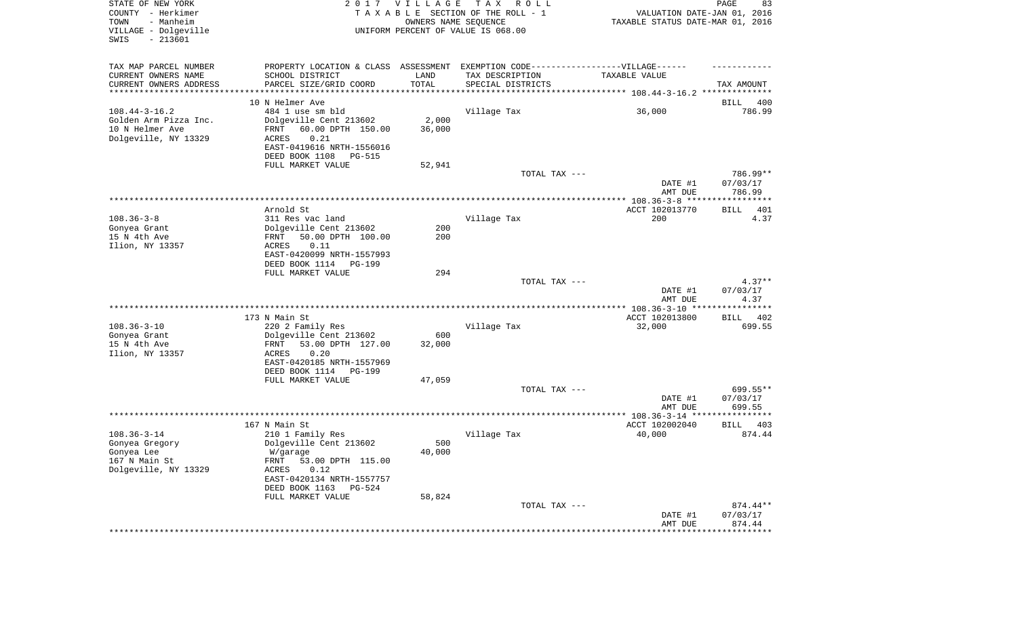| STATE OF NEW YORK<br>COUNTY - Herkimer<br>TOWN<br>- Manheim<br>VILLAGE - Dolgeville<br>SWIS<br>$-213601$ |                                                                                                      | 2017 VILLAGE<br>OWNERS NAME SEQUENCE | T A X<br>R O L L<br>TAXABLE SECTION OF THE ROLL - 1<br>UNIFORM PERCENT OF VALUE IS 068.00 | VALUATION DATE-JAN 01, 2016<br>TAXABLE STATUS DATE-MAR 01, 2016 | PAGE<br>83            |
|----------------------------------------------------------------------------------------------------------|------------------------------------------------------------------------------------------------------|--------------------------------------|-------------------------------------------------------------------------------------------|-----------------------------------------------------------------|-----------------------|
| TAX MAP PARCEL NUMBER<br>CURRENT OWNERS NAME                                                             | PROPERTY LOCATION & CLASS ASSESSMENT EXEMPTION CODE-----------------VILLAGE------<br>SCHOOL DISTRICT | LAND                                 | TAX DESCRIPTION                                                                           | TAXABLE VALUE                                                   |                       |
| CURRENT OWNERS ADDRESS<br>*********************                                                          | PARCEL SIZE/GRID COORD                                                                               | TOTAL                                | SPECIAL DISTRICTS                                                                         |                                                                 | TAX AMOUNT            |
|                                                                                                          | 10 N Helmer Ave                                                                                      |                                      |                                                                                           |                                                                 | BILL<br>400           |
| $108.44 - 3 - 16.2$                                                                                      | 484 1 use sm bld                                                                                     |                                      | Village Tax                                                                               | 36,000                                                          | 786.99                |
| Golden Arm Pizza Inc.                                                                                    | Dolgeville Cent 213602                                                                               | 2,000                                |                                                                                           |                                                                 |                       |
| 10 N Helmer Ave                                                                                          | 60.00 DPTH 150.00<br>FRNT                                                                            | 36,000                               |                                                                                           |                                                                 |                       |
| Dolgeville, NY 13329                                                                                     | ACRES<br>0.21                                                                                        |                                      |                                                                                           |                                                                 |                       |
|                                                                                                          | EAST-0419616 NRTH-1556016                                                                            |                                      |                                                                                           |                                                                 |                       |
|                                                                                                          | DEED BOOK 1108<br>PG-515                                                                             |                                      |                                                                                           |                                                                 |                       |
|                                                                                                          | FULL MARKET VALUE                                                                                    | 52,941                               |                                                                                           |                                                                 |                       |
|                                                                                                          |                                                                                                      |                                      | TOTAL TAX ---                                                                             | DATE #1                                                         | 786.99**<br>07/03/17  |
|                                                                                                          |                                                                                                      |                                      |                                                                                           | AMT DUE                                                         | 786.99                |
|                                                                                                          |                                                                                                      |                                      |                                                                                           |                                                                 |                       |
|                                                                                                          | Arnold St                                                                                            |                                      |                                                                                           | ACCT 102013770                                                  | 401<br>BILL           |
| $108.36 - 3 - 8$                                                                                         | 311 Res vac land                                                                                     |                                      | Village Tax                                                                               | 200                                                             | 4.37                  |
| Gonyea Grant                                                                                             | Dolgeville Cent 213602                                                                               | 200                                  |                                                                                           |                                                                 |                       |
| 15 N 4th Ave<br>Ilion, NY 13357                                                                          | 50.00 DPTH 100.00<br>FRNT<br>0.11<br>ACRES                                                           | 200                                  |                                                                                           |                                                                 |                       |
|                                                                                                          | EAST-0420099 NRTH-1557993                                                                            |                                      |                                                                                           |                                                                 |                       |
|                                                                                                          | DEED BOOK 1114<br>PG-199                                                                             |                                      |                                                                                           |                                                                 |                       |
|                                                                                                          | FULL MARKET VALUE                                                                                    | 294                                  |                                                                                           |                                                                 |                       |
|                                                                                                          |                                                                                                      |                                      | TOTAL TAX ---                                                                             |                                                                 | $4.37**$              |
|                                                                                                          |                                                                                                      |                                      |                                                                                           | DATE #1                                                         | 07/03/17              |
|                                                                                                          |                                                                                                      |                                      |                                                                                           | AMT DUE                                                         | 4.37                  |
|                                                                                                          |                                                                                                      |                                      |                                                                                           | ACCT 102013800                                                  |                       |
| $108.36 - 3 - 10$                                                                                        | 173 N Main St<br>220 2 Family Res                                                                    |                                      | Village Tax                                                                               | 32,000                                                          | 402<br>BILL<br>699.55 |
| Gonyea Grant                                                                                             | Dolgeville Cent 213602                                                                               | 600                                  |                                                                                           |                                                                 |                       |
| 15 N 4th Ave                                                                                             | 53.00 DPTH 127.00<br>FRNT                                                                            | 32,000                               |                                                                                           |                                                                 |                       |
| Ilion, NY 13357                                                                                          | ACRES<br>0.20                                                                                        |                                      |                                                                                           |                                                                 |                       |
|                                                                                                          | EAST-0420185 NRTH-1557969                                                                            |                                      |                                                                                           |                                                                 |                       |
|                                                                                                          | DEED BOOK 1114<br>PG-199                                                                             |                                      |                                                                                           |                                                                 |                       |
|                                                                                                          | FULL MARKET VALUE                                                                                    | 47,059                               |                                                                                           |                                                                 |                       |
|                                                                                                          |                                                                                                      |                                      | TOTAL TAX ---                                                                             |                                                                 | 699.55**              |
|                                                                                                          |                                                                                                      |                                      |                                                                                           | DATE #1                                                         | 07/03/17              |
|                                                                                                          |                                                                                                      |                                      |                                                                                           | AMT DUE                                                         | 699.55                |
|                                                                                                          | 167 N Main St                                                                                        |                                      |                                                                                           | ACCT 102002040                                                  | BILL<br>403           |
| $108.36 - 3 - 14$                                                                                        | 210 1 Family Res                                                                                     |                                      | Village Tax                                                                               | 40,000                                                          | 874.44                |
| Gonyea Gregory                                                                                           | Dolgeville Cent 213602                                                                               | 500                                  |                                                                                           |                                                                 |                       |
| Gonyea Lee                                                                                               | W/garage                                                                                             | 40,000                               |                                                                                           |                                                                 |                       |
| 167 N Main St                                                                                            | FRNT 53.00 DPTH 115.00                                                                               |                                      |                                                                                           |                                                                 |                       |
| Dolgeville, NY 13329                                                                                     | ACRES<br>0.12                                                                                        |                                      |                                                                                           |                                                                 |                       |
|                                                                                                          | EAST-0420134 NRTH-1557757                                                                            |                                      |                                                                                           |                                                                 |                       |
|                                                                                                          | DEED BOOK 1163<br>PG-524                                                                             |                                      |                                                                                           |                                                                 |                       |
|                                                                                                          | FULL MARKET VALUE                                                                                    | 58,824                               |                                                                                           |                                                                 |                       |
|                                                                                                          |                                                                                                      |                                      | TOTAL TAX ---                                                                             |                                                                 | 874.44**              |
|                                                                                                          |                                                                                                      |                                      |                                                                                           | DATE #1<br>AMT DUE                                              | 07/03/17<br>874.44    |
|                                                                                                          |                                                                                                      |                                      |                                                                                           | **********************************                              |                       |
|                                                                                                          |                                                                                                      |                                      |                                                                                           |                                                                 |                       |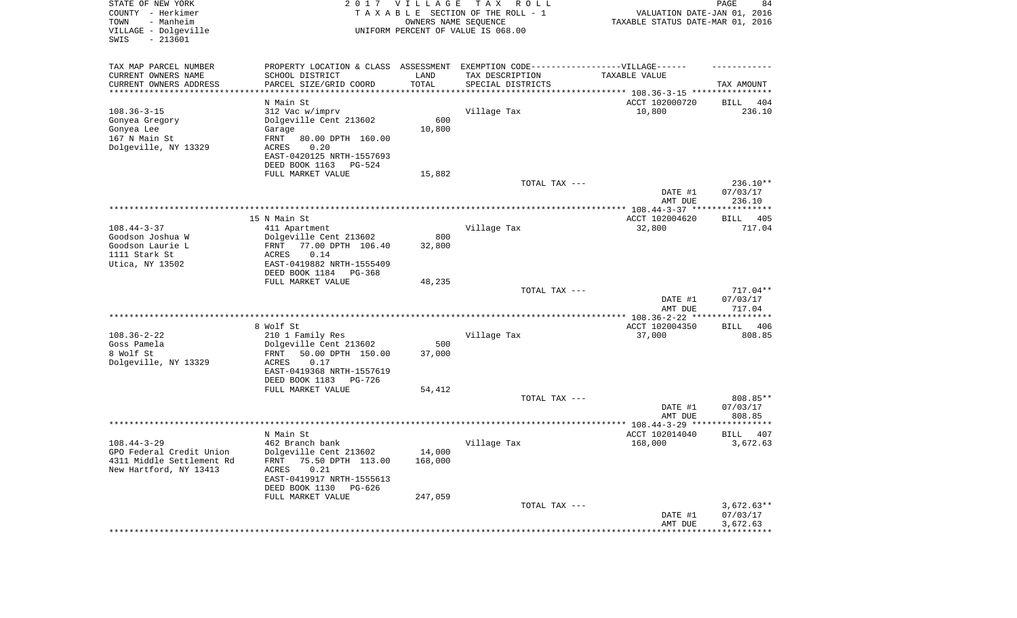| STATE OF NEW YORK<br>COUNTY - Herkimer<br>TOWN<br>- Manheim<br>VILLAGE - Dolgeville<br>$-213601$<br>SWIS | 2017                                                    | VILLAGE<br>OWNERS NAME SEQUENCE | T A X<br>R O L L<br>TAXABLE SECTION OF THE ROLL - 1<br>UNIFORM PERCENT OF VALUE IS 068.00 | VALUATION DATE-JAN 01, 2016<br>TAXABLE STATUS DATE-MAR 01, 2016 | 84<br>PAGE               |
|----------------------------------------------------------------------------------------------------------|---------------------------------------------------------|---------------------------------|-------------------------------------------------------------------------------------------|-----------------------------------------------------------------|--------------------------|
| TAX MAP PARCEL NUMBER<br>CURRENT OWNERS NAME                                                             | PROPERTY LOCATION & CLASS ASSESSMENT<br>SCHOOL DISTRICT | LAND                            | EXEMPTION CODE------------------VILLAGE------<br>TAX DESCRIPTION                          | TAXABLE VALUE                                                   |                          |
| CURRENT OWNERS ADDRESS                                                                                   | PARCEL SIZE/GRID COORD                                  | TOTAL                           | SPECIAL DISTRICTS                                                                         |                                                                 | TAX AMOUNT               |
| *********************                                                                                    |                                                         |                                 |                                                                                           | ********************************* 108.36-3-15 ***************** |                          |
| $108.36 - 3 - 15$                                                                                        | N Main St                                               |                                 |                                                                                           | ACCT 102000720                                                  | BILL<br>404<br>236.10    |
| Gonyea Gregory                                                                                           | 312 Vac w/imprv<br>Dolgeville Cent 213602               | 600                             | Village Tax                                                                               | 10,800                                                          |                          |
| Gonyea Lee                                                                                               | Garage                                                  | 10,800                          |                                                                                           |                                                                 |                          |
| 167 N Main St                                                                                            | FRNT<br>80.00 DPTH 160.00                               |                                 |                                                                                           |                                                                 |                          |
| Dolgeville, NY 13329                                                                                     | 0.20<br>ACRES                                           |                                 |                                                                                           |                                                                 |                          |
|                                                                                                          | EAST-0420125 NRTH-1557693                               |                                 |                                                                                           |                                                                 |                          |
|                                                                                                          | DEED BOOK 1163<br>PG-524                                |                                 |                                                                                           |                                                                 |                          |
|                                                                                                          | FULL MARKET VALUE                                       | 15,882                          |                                                                                           |                                                                 |                          |
|                                                                                                          |                                                         |                                 | TOTAL TAX ---                                                                             |                                                                 | 236.10**                 |
|                                                                                                          |                                                         |                                 |                                                                                           | DATE #1<br>AMT DUE                                              | 07/03/17<br>236.10       |
|                                                                                                          |                                                         |                                 |                                                                                           |                                                                 |                          |
|                                                                                                          | 15 N Main St                                            |                                 |                                                                                           | ACCT 102004620                                                  | 405<br>BILL              |
| $108.44 - 3 - 37$<br>Goodson Joshua W                                                                    | 411 Apartment<br>Dolgeville Cent 213602                 | 800                             | Village Tax                                                                               | 32,800                                                          | 717.04                   |
| Goodson Laurie L                                                                                         | 77.00 DPTH 106.40<br>FRNT                               | 32,800                          |                                                                                           |                                                                 |                          |
| 1111 Stark St                                                                                            | ACRES<br>0.14                                           |                                 |                                                                                           |                                                                 |                          |
| Utica, NY 13502                                                                                          | EAST-0419882 NRTH-1555409                               |                                 |                                                                                           |                                                                 |                          |
|                                                                                                          | DEED BOOK 1184<br>PG-368                                |                                 |                                                                                           |                                                                 |                          |
|                                                                                                          | FULL MARKET VALUE                                       | 48,235                          |                                                                                           |                                                                 |                          |
|                                                                                                          |                                                         |                                 | TOTAL TAX ---                                                                             |                                                                 | 717.04**                 |
|                                                                                                          |                                                         |                                 |                                                                                           | DATE #1<br>AMT DUE                                              | 07/03/17<br>717.04       |
|                                                                                                          |                                                         |                                 |                                                                                           | ************* 108.36-2-22 *****                                 | ***********              |
|                                                                                                          | 8 Wolf St                                               |                                 |                                                                                           | ACCT 102004350                                                  | 406<br>BILL              |
| $108.36 - 2 - 22$                                                                                        | 210 1 Family Res                                        |                                 | Village Tax                                                                               | 37,000                                                          | 808.85                   |
| Goss Pamela                                                                                              | Dolgeville Cent 213602                                  | 500                             |                                                                                           |                                                                 |                          |
| 8 Wolf St                                                                                                | FRNT<br>50.00 DPTH 150.00                               | 37,000                          |                                                                                           |                                                                 |                          |
| Dolgeville, NY 13329                                                                                     | ACRES<br>0.17                                           |                                 |                                                                                           |                                                                 |                          |
|                                                                                                          | EAST-0419368 NRTH-1557619                               |                                 |                                                                                           |                                                                 |                          |
|                                                                                                          | DEED BOOK 1183<br>PG-726                                |                                 |                                                                                           |                                                                 |                          |
|                                                                                                          | FULL MARKET VALUE                                       | 54,412                          |                                                                                           |                                                                 |                          |
|                                                                                                          |                                                         |                                 | TOTAL TAX ---                                                                             | DATE #1                                                         | 808.85**<br>07/03/17     |
|                                                                                                          |                                                         |                                 |                                                                                           | AMT DUE                                                         | 808.85                   |
|                                                                                                          | ******************                                      |                                 |                                                                                           |                                                                 |                          |
|                                                                                                          | N Main St                                               |                                 |                                                                                           | ACCT 102014040                                                  | BILL<br>407              |
| $108.44 - 3 - 29$                                                                                        | 462 Branch bank                                         |                                 | Village Tax                                                                               | 168,000                                                         | 3,672.63                 |
| GPO Federal Credit Union                                                                                 | Dolgeville Cent 213602                                  | 14,000                          |                                                                                           |                                                                 |                          |
| 4311 Middle Settlement Rd                                                                                | FRNT 75.50 DPTH 113.00                                  | 168,000                         |                                                                                           |                                                                 |                          |
| New Hartford, NY 13413                                                                                   | ACRES<br>0.21                                           |                                 |                                                                                           |                                                                 |                          |
|                                                                                                          | EAST-0419917 NRTH-1555613                               |                                 |                                                                                           |                                                                 |                          |
|                                                                                                          | DEED BOOK 1130<br>PG-626                                |                                 |                                                                                           |                                                                 |                          |
|                                                                                                          | FULL MARKET VALUE                                       | 247,059                         |                                                                                           |                                                                 |                          |
|                                                                                                          |                                                         |                                 | TOTAL TAX ---                                                                             |                                                                 | $3,672.63**$<br>07/03/17 |
|                                                                                                          |                                                         |                                 |                                                                                           | DATE #1<br>AMT DUE                                              | 3,672.63                 |
|                                                                                                          |                                                         |                                 |                                                                                           | **********************************                              |                          |
|                                                                                                          |                                                         |                                 |                                                                                           |                                                                 |                          |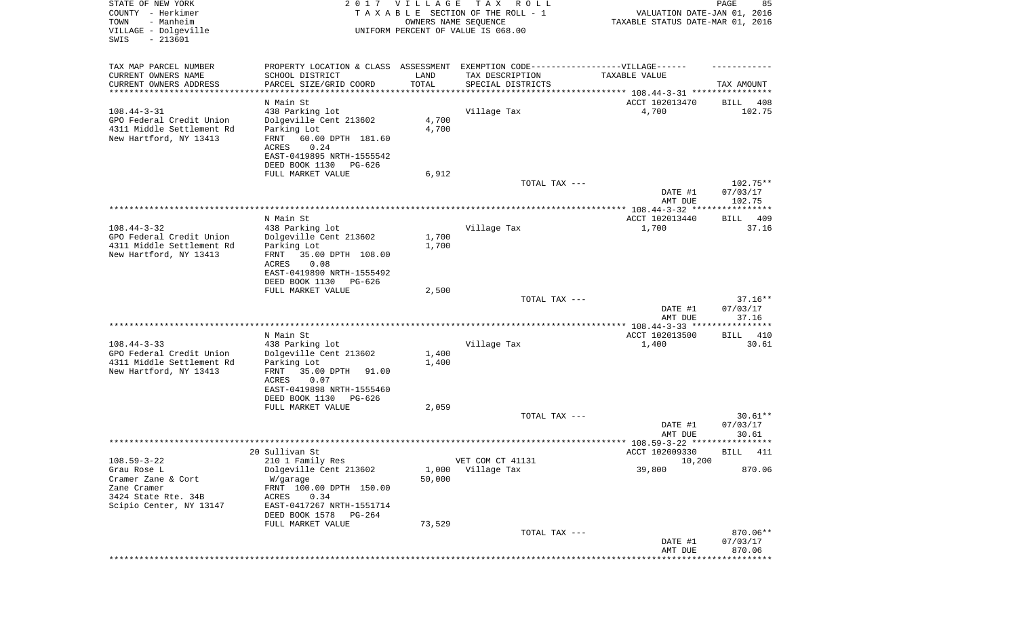| STATE OF NEW YORK<br>COUNTY - Herkimer<br>TOWN<br>- Manheim<br>VILLAGE - Dolgeville<br>$-213601$<br>SWIS | 2 0 1 7                                     | <b>VILLAGE</b><br>OWNERS NAME SEQUENCE | T A X<br>R O L L<br>TAXABLE SECTION OF THE ROLL - 1<br>UNIFORM PERCENT OF VALUE IS 068.00 | VALUATION DATE-JAN 01, 2016<br>TAXABLE STATUS DATE-MAR 01, 2016 | 85<br>PAGE            |
|----------------------------------------------------------------------------------------------------------|---------------------------------------------|----------------------------------------|-------------------------------------------------------------------------------------------|-----------------------------------------------------------------|-----------------------|
| TAX MAP PARCEL NUMBER                                                                                    | PROPERTY LOCATION & CLASS ASSESSMENT        |                                        | EXEMPTION CODE------------------VILLAGE------                                             |                                                                 |                       |
| CURRENT OWNERS NAME                                                                                      | SCHOOL DISTRICT                             | LAND                                   | TAX DESCRIPTION                                                                           | TAXABLE VALUE                                                   |                       |
| CURRENT OWNERS ADDRESS                                                                                   | PARCEL SIZE/GRID COORD<br>***************** | TOTAL                                  | SPECIAL DISTRICTS                                                                         |                                                                 | TAX AMOUNT            |
| *********************                                                                                    | N Main St                                   |                                        |                                                                                           | ACCT 102013470                                                  | BILL<br>408           |
| $108.44 - 3 - 31$                                                                                        | 438 Parking lot                             |                                        | Village Tax                                                                               | 4,700                                                           | 102.75                |
| GPO Federal Credit Union                                                                                 | Dolgeville Cent 213602                      | 4,700                                  |                                                                                           |                                                                 |                       |
| 4311 Middle Settlement Rd                                                                                | Parking Lot                                 | 4,700                                  |                                                                                           |                                                                 |                       |
| New Hartford, NY 13413                                                                                   | FRNT<br>60.00 DPTH 181.60<br>0.24<br>ACRES  |                                        |                                                                                           |                                                                 |                       |
|                                                                                                          | EAST-0419895 NRTH-1555542                   |                                        |                                                                                           |                                                                 |                       |
|                                                                                                          | DEED BOOK 1130<br>PG-626                    |                                        |                                                                                           |                                                                 |                       |
|                                                                                                          | FULL MARKET VALUE                           | 6,912                                  |                                                                                           |                                                                 |                       |
|                                                                                                          |                                             |                                        | TOTAL TAX ---                                                                             | DATE #1                                                         | 102.75**<br>07/03/17  |
|                                                                                                          |                                             |                                        |                                                                                           | AMT DUE                                                         | 102.75                |
|                                                                                                          |                                             |                                        |                                                                                           |                                                                 |                       |
| $108.44 - 3 - 32$                                                                                        | N Main St<br>438 Parking lot                |                                        | Village Tax                                                                               | ACCT 102013440<br>1,700                                         | 409<br>BILL<br>37.16  |
| GPO Federal Credit Union                                                                                 | Dolgeville Cent 213602                      | 1,700                                  |                                                                                           |                                                                 |                       |
| 4311 Middle Settlement Rd                                                                                | Parking Lot                                 | 1,700                                  |                                                                                           |                                                                 |                       |
| New Hartford, NY 13413                                                                                   | 35.00 DPTH 108.00<br>FRNT<br>ACRES<br>0.08  |                                        |                                                                                           |                                                                 |                       |
|                                                                                                          | EAST-0419890 NRTH-1555492                   |                                        |                                                                                           |                                                                 |                       |
|                                                                                                          | DEED BOOK 1130<br>PG-626                    |                                        |                                                                                           |                                                                 |                       |
|                                                                                                          | FULL MARKET VALUE                           | 2,500                                  |                                                                                           |                                                                 |                       |
|                                                                                                          |                                             |                                        | TOTAL TAX ---                                                                             | DATE #1                                                         | $37.16**$<br>07/03/17 |
|                                                                                                          |                                             |                                        |                                                                                           | AMT DUE                                                         | 37.16                 |
|                                                                                                          |                                             |                                        |                                                                                           |                                                                 |                       |
| $108.44 - 3 - 33$                                                                                        | N Main St<br>438 Parking lot                |                                        | Village Tax                                                                               | ACCT 102013500<br>1,400                                         | 410<br>BILL<br>30.61  |
| GPO Federal Credit Union                                                                                 | Dolgeville Cent 213602                      | 1,400                                  |                                                                                           |                                                                 |                       |
| 4311 Middle Settlement Rd                                                                                | Parking Lot                                 | 1,400                                  |                                                                                           |                                                                 |                       |
| New Hartford, NY 13413                                                                                   | FRNT<br>35.00 DPTH<br>91.00                 |                                        |                                                                                           |                                                                 |                       |
|                                                                                                          | ACRES<br>0.07<br>EAST-0419898 NRTH-1555460  |                                        |                                                                                           |                                                                 |                       |
|                                                                                                          | DEED BOOK 1130<br>PG-626                    |                                        |                                                                                           |                                                                 |                       |
|                                                                                                          | FULL MARKET VALUE                           | 2,059                                  |                                                                                           |                                                                 |                       |
|                                                                                                          |                                             |                                        | TOTAL TAX ---                                                                             |                                                                 | $30.61**$<br>07/03/17 |
|                                                                                                          |                                             |                                        |                                                                                           | DATE #1<br>AMT DUE                                              | 30.61                 |
|                                                                                                          |                                             |                                        |                                                                                           |                                                                 |                       |
|                                                                                                          | 20 Sullivan St                              |                                        |                                                                                           | ACCT 102009330                                                  | BILL 411              |
| $108.59 - 3 - 22$<br>Grau Rose L                                                                         | 210 1 Family Res<br>Dolgeville Cent 213602  | 1,000                                  | VET COM CT 41131<br>Village Tax                                                           | 10,200<br>39,800                                                | 870.06                |
| Cramer Zane & Cort                                                                                       | W/garage                                    | 50,000                                 |                                                                                           |                                                                 |                       |
| Zane Cramer                                                                                              | FRNT 100.00 DPTH 150.00                     |                                        |                                                                                           |                                                                 |                       |
| 3424 State Rte. 34B                                                                                      | 0.34<br>ACRES<br>EAST-0417267 NRTH-1551714  |                                        |                                                                                           |                                                                 |                       |
| Scipio Center, NY 13147                                                                                  | DEED BOOK 1578<br>PG-264                    |                                        |                                                                                           |                                                                 |                       |
|                                                                                                          | FULL MARKET VALUE                           | 73,529                                 |                                                                                           |                                                                 |                       |
|                                                                                                          |                                             |                                        | TOTAL TAX ---                                                                             |                                                                 | 870.06**              |
|                                                                                                          |                                             |                                        |                                                                                           | DATE #1<br>AMT DUE                                              | 07/03/17<br>870.06    |
|                                                                                                          |                                             |                                        |                                                                                           |                                                                 |                       |
|                                                                                                          |                                             |                                        |                                                                                           |                                                                 |                       |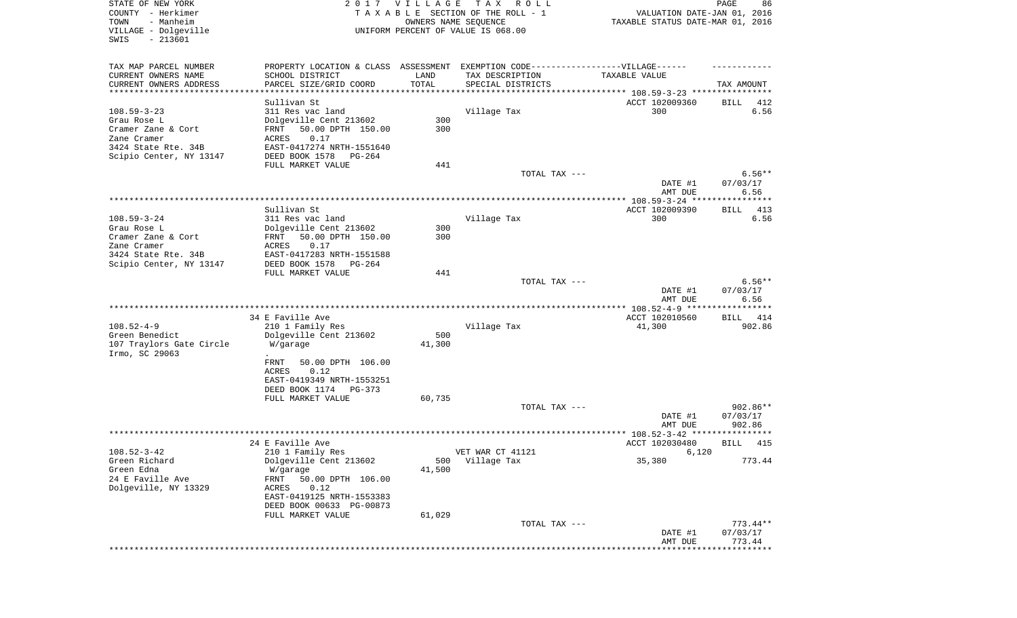| STATE OF NEW YORK<br>COUNTY - Herkimer         | 2017                                                  | <b>VILLAGE</b> | T A X<br>R O L L<br>TAXABLE SECTION OF THE ROLL - 1                              | VALUATION DATE-JAN 01, 2016       | 86<br>PAGE            |
|------------------------------------------------|-------------------------------------------------------|----------------|----------------------------------------------------------------------------------|-----------------------------------|-----------------------|
| TOWN<br>- Manheim                              |                                                       |                | OWNERS NAME SEQUENCE                                                             | TAXABLE STATUS DATE-MAR 01, 2016  |                       |
| VILLAGE - Dolgeville<br>$-213601$<br>SWIS      |                                                       |                | UNIFORM PERCENT OF VALUE IS 068.00                                               |                                   |                       |
| TAX MAP PARCEL NUMBER                          |                                                       |                | PROPERTY LOCATION & CLASS ASSESSMENT EXEMPTION CODE----------------VILLAGE------ |                                   |                       |
| CURRENT OWNERS NAME                            | SCHOOL DISTRICT                                       | LAND           | TAX DESCRIPTION                                                                  | TAXABLE VALUE                     |                       |
| CURRENT OWNERS ADDRESS                         | PARCEL SIZE/GRID COORD                                | TOTAL          | SPECIAL DISTRICTS                                                                |                                   | TAX AMOUNT            |
| **********************                         |                                                       |                |                                                                                  |                                   |                       |
|                                                | Sullivan St                                           |                |                                                                                  | ACCT 102009360                    | 412<br>BILL           |
| $108.59 - 3 - 23$                              | 311 Res vac land                                      |                | Village Tax                                                                      | 300                               | 6.56                  |
| Grau Rose L                                    | Dolgeville Cent 213602                                | 300            |                                                                                  |                                   |                       |
| Cramer Zane & Cort                             | 50.00 DPTH 150.00<br>FRNT                             | 300            |                                                                                  |                                   |                       |
| Zane Cramer<br>3424 State Rte. 34B             | 0.17<br>ACRES<br>EAST-0417274 NRTH-1551640            |                |                                                                                  |                                   |                       |
| Scipio Center, NY 13147                        | DEED BOOK 1578<br>PG-264                              |                |                                                                                  |                                   |                       |
|                                                | FULL MARKET VALUE                                     | 441            |                                                                                  |                                   |                       |
|                                                |                                                       |                | TOTAL TAX ---                                                                    |                                   | $6.56**$              |
|                                                |                                                       |                |                                                                                  | DATE #1                           | 07/03/17              |
|                                                |                                                       |                |                                                                                  | AMT DUE                           | 6.56                  |
|                                                |                                                       |                |                                                                                  |                                   | ***********           |
|                                                | Sullivan St                                           |                |                                                                                  | ACCT 102009390                    | BILL<br>413           |
| $108.59 - 3 - 24$                              | 311 Res vac land                                      |                | Village Tax                                                                      | 300                               | 6.56                  |
| Grau Rose L                                    | Dolgeville Cent 213602                                | 300            |                                                                                  |                                   |                       |
| Cramer Zane & Cort                             | 50.00 DPTH 150.00<br>FRNT                             | 300            |                                                                                  |                                   |                       |
| Zane Cramer                                    | ACRES<br>0.17                                         |                |                                                                                  |                                   |                       |
| 3424 State Rte. 34B<br>Scipio Center, NY 13147 | EAST-0417283 NRTH-1551588<br>DEED BOOK 1578<br>PG-264 |                |                                                                                  |                                   |                       |
|                                                | FULL MARKET VALUE                                     | 441            |                                                                                  |                                   |                       |
|                                                |                                                       |                | TOTAL TAX ---                                                                    |                                   | $6.56**$              |
|                                                |                                                       |                |                                                                                  | DATE #1<br>AMT DUE                | 07/03/17<br>6.56      |
|                                                |                                                       |                |                                                                                  |                                   | * * * * * * * * * * * |
|                                                | 34 E Faville Ave                                      |                |                                                                                  | ACCT 102010560                    | BILL<br>414           |
| $108.52 - 4 - 9$                               | 210 1 Family Res                                      |                | Village Tax                                                                      | 41,300                            | 902.86                |
| Green Benedict<br>107 Traylors Gate Circle     | Dolgeville Cent 213602<br>W/garage                    | 500<br>41,300  |                                                                                  |                                   |                       |
| Irmo, SC 29063                                 |                                                       |                |                                                                                  |                                   |                       |
|                                                | FRNT<br>50.00 DPTH 106.00                             |                |                                                                                  |                                   |                       |
|                                                | ACRES<br>0.12                                         |                |                                                                                  |                                   |                       |
|                                                | EAST-0419349 NRTH-1553251                             |                |                                                                                  |                                   |                       |
|                                                | DEED BOOK 1174<br>PG-373                              |                |                                                                                  |                                   |                       |
|                                                | FULL MARKET VALUE                                     | 60,735         |                                                                                  |                                   | 902.86**              |
|                                                |                                                       |                | TOTAL TAX ---                                                                    | DATE #1                           | 07/03/17              |
|                                                |                                                       |                |                                                                                  | AMT DUE                           | 902.86                |
|                                                |                                                       |                |                                                                                  | *************** 108.52-3-42 ***** | ****                  |
|                                                | 24 E Faville Ave                                      |                |                                                                                  | ACCT 102030480                    | BILL<br>415           |
| $108.52 - 3 - 42$                              | 210 1 Family Res                                      |                | VET WAR CT 41121                                                                 | 6,120                             |                       |
| Green Richard                                  | Dolgeville Cent 213602                                | 500            | Village Tax                                                                      | 35,380                            | 773.44                |
| Green Edna                                     | W/garage                                              | 41,500         |                                                                                  |                                   |                       |
| 24 E Faville Ave                               | FRNT<br>50.00 DPTH 106.00                             |                |                                                                                  |                                   |                       |
| Dolgeville, NY 13329                           | ACRES<br>0.12                                         |                |                                                                                  |                                   |                       |
|                                                | EAST-0419125 NRTH-1553383                             |                |                                                                                  |                                   |                       |
|                                                | DEED BOOK 00633 PG-00873                              | 61,029         |                                                                                  |                                   |                       |
|                                                | FULL MARKET VALUE                                     |                | TOTAL TAX ---                                                                    |                                   | $773.44**$            |
|                                                |                                                       |                |                                                                                  | DATE #1                           | 07/03/17              |
|                                                |                                                       |                |                                                                                  | AMT DUE                           | 773.44                |
|                                                |                                                       |                |                                                                                  |                                   |                       |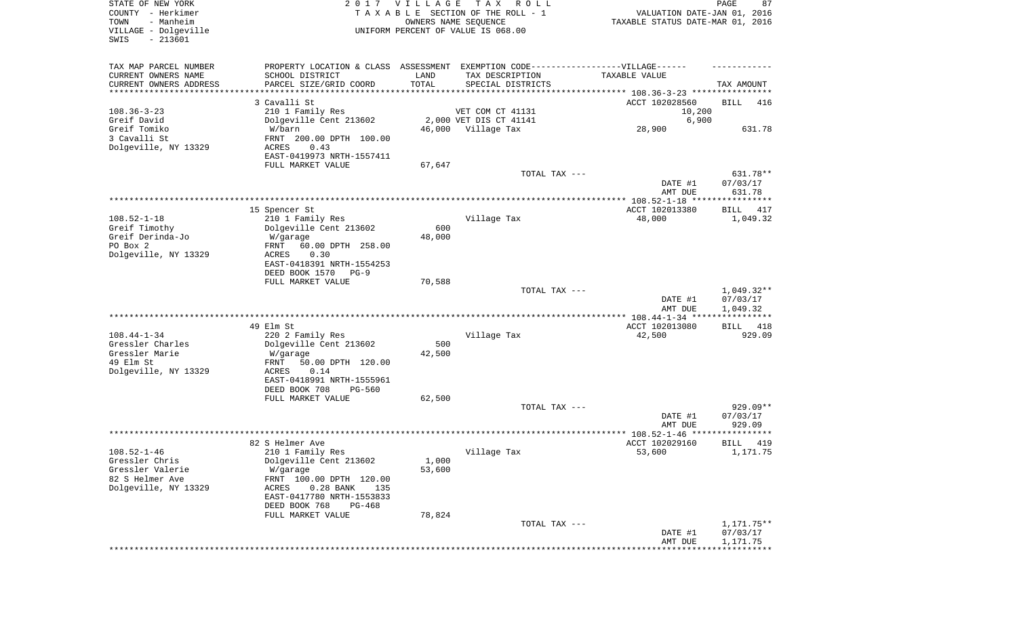| STATE OF NEW YORK<br>COUNTY - Herkimer<br>- Manheim<br>TOWN<br>VILLAGE - Dolgeville<br>$-213601$<br>SWIS |                                                                                                                                                                                             | 2017 VILLAGE    | T A X<br>R O L L<br>TAXABLE SECTION OF THE ROLL - 1<br>OWNERS NAME SEQUENCE<br>UNIFORM PERCENT OF VALUE IS 068.00 | VALUATION DATE-JAN 01, 2016<br>TAXABLE STATUS DATE-MAR 01, 2016 | PAGE<br>87                           |
|----------------------------------------------------------------------------------------------------------|---------------------------------------------------------------------------------------------------------------------------------------------------------------------------------------------|-----------------|-------------------------------------------------------------------------------------------------------------------|-----------------------------------------------------------------|--------------------------------------|
| TAX MAP PARCEL NUMBER<br>CURRENT OWNERS NAME<br>CURRENT OWNERS ADDRESS<br>*********************          | PROPERTY LOCATION & CLASS ASSESSMENT<br>SCHOOL DISTRICT<br>PARCEL SIZE/GRID COORD<br>3 Cavalli St                                                                                           | LAND<br>TOTAL   | EXEMPTION CODE------------------VILLAGE------<br>TAX DESCRIPTION<br>SPECIAL DISTRICTS                             | TAXABLE VALUE                                                   | TAX AMOUNT                           |
| $108.36 - 3 - 23$                                                                                        | 210 1 Family Res                                                                                                                                                                            |                 | VET COM CT 41131                                                                                                  | ACCT 102028560<br>10,200                                        | BILL<br>416                          |
| Greif David                                                                                              | Dolgeville Cent 213602                                                                                                                                                                      |                 | 2,000 VET DIS CT 41141                                                                                            | 6,900                                                           |                                      |
| Greif Tomiko<br>3 Cavalli St<br>Dolgeville, NY 13329                                                     | W/barn<br>FRNT 200.00 DPTH 100.00<br>ACRES<br>0.43                                                                                                                                          | 46,000          | Village Tax                                                                                                       | 28,900                                                          | 631.78                               |
|                                                                                                          | EAST-0419973 NRTH-1557411<br>FULL MARKET VALUE                                                                                                                                              | 67,647          |                                                                                                                   |                                                                 |                                      |
|                                                                                                          |                                                                                                                                                                                             |                 | TOTAL TAX ---                                                                                                     | DATE #1<br>AMT DUE                                              | 631.78**<br>07/03/17<br>631.78       |
|                                                                                                          | 15 Spencer St                                                                                                                                                                               |                 |                                                                                                                   | ACCT 102013380                                                  | BILL<br>417                          |
| $108.52 - 1 - 18$<br>Greif Timothy<br>Greif Derinda-Jo<br>PO Box 2<br>Dolgeville, NY 13329               | 210 1 Family Res<br>Dolgeville Cent 213602<br>W/garage<br>FRNT<br>60.00 DPTH 258.00<br>ACRES<br>0.30<br>EAST-0418391 NRTH-1554253                                                           | 600<br>48,000   | Village Tax                                                                                                       | 48,000                                                          | 1,049.32                             |
|                                                                                                          | DEED BOOK 1570<br>$PG-9$                                                                                                                                                                    |                 |                                                                                                                   |                                                                 |                                      |
|                                                                                                          | FULL MARKET VALUE                                                                                                                                                                           | 70,588          | TOTAL TAX ---                                                                                                     | DATE #1<br>AMT DUE                                              | $1,049.32**$<br>07/03/17<br>1,049.32 |
|                                                                                                          |                                                                                                                                                                                             |                 |                                                                                                                   | ************ 108.44-1-34 *****************                      |                                      |
| $108.44 - 1 - 34$<br>Gressler Charles<br>Gressler Marie<br>49 Elm St<br>Dolgeville, NY 13329             | 49 Elm St<br>220 2 Family Res<br>Dolgeville Cent 213602<br>W/garage<br>FRNT<br>50.00 DPTH 120.00<br>ACRES<br>0.14<br>EAST-0418991 NRTH-1555961                                              | 500<br>42,500   | Village Tax                                                                                                       | ACCT 102013080<br>42,500                                        | BILL<br>418<br>929.09                |
|                                                                                                          | DEED BOOK 708<br>PG-560<br>FULL MARKET VALUE                                                                                                                                                | 62,500          |                                                                                                                   |                                                                 |                                      |
|                                                                                                          |                                                                                                                                                                                             |                 | TOTAL TAX ---                                                                                                     | DATE #1<br>AMT DUE                                              | 929.09**<br>07/03/17<br>929.09       |
|                                                                                                          |                                                                                                                                                                                             |                 |                                                                                                                   | ***************** 108.52-1-46 *****************                 |                                      |
| $108.52 - 1 - 46$<br>Gressler Chris<br>Gressler Valerie<br>82 S Helmer Ave<br>Dolgeville, NY 13329       | 82 S Helmer Ave<br>210 1 Family Res<br>Dolgeville Cent 213602<br>W/garage<br>FRNT 100.00 DPTH 120.00<br>$0.28$ BANK<br>ACRES<br>135<br>EAST-0417780 NRTH-1553833<br>DEED BOOK 768<br>PG-468 | 1,000<br>53,600 | Village Tax                                                                                                       | ACCT 102029160<br>53,600                                        | 419<br>BILL<br>1,171.75              |
|                                                                                                          | FULL MARKET VALUE                                                                                                                                                                           | 78,824          | TOTAL TAX ---                                                                                                     |                                                                 | 1,171.75**                           |
|                                                                                                          |                                                                                                                                                                                             |                 |                                                                                                                   | DATE #1<br>AMT DUE                                              | 07/03/17<br>1,171.75                 |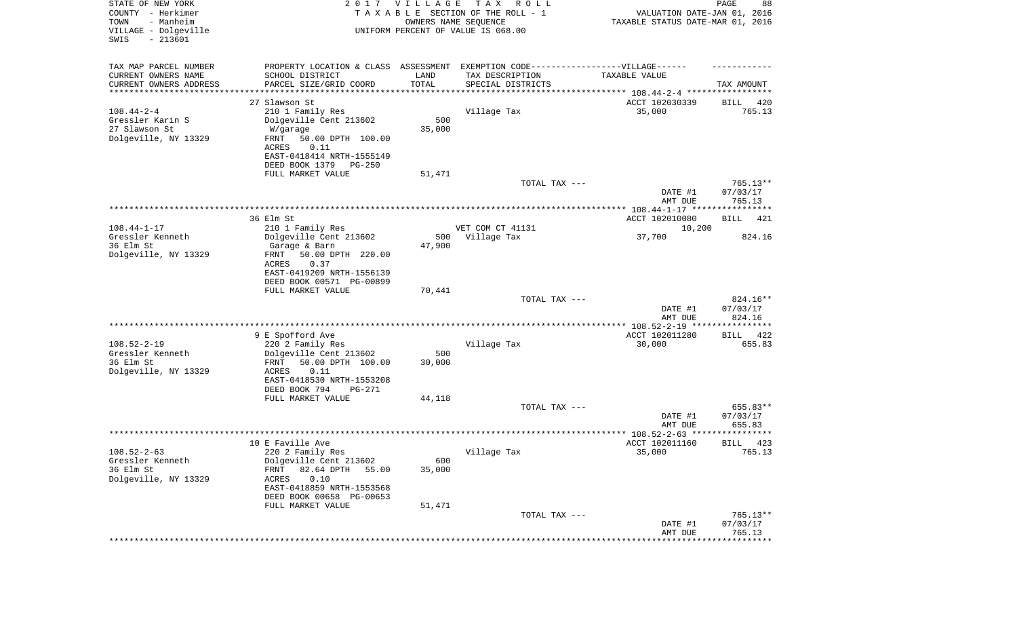| STATE OF NEW YORK<br>COUNTY - Herkimer<br>- Manheim<br>TOWN<br>VILLAGE - Dolgeville<br>$-213601$<br>SWIS |                                                                                   | 2017 VILLAGE<br>OWNERS NAME SEQUENCE | T A X<br>R O L L<br>TAXABLE SECTION OF THE ROLL - 1<br>UNIFORM PERCENT OF VALUE IS 068.00 | VALUATION DATE-JAN 01, 2016<br>TAXABLE STATUS DATE-MAR 01, 2016 | $\mathop{\mathtt{PAGE}}$<br>88 |
|----------------------------------------------------------------------------------------------------------|-----------------------------------------------------------------------------------|--------------------------------------|-------------------------------------------------------------------------------------------|-----------------------------------------------------------------|--------------------------------|
| TAX MAP PARCEL NUMBER                                                                                    | PROPERTY LOCATION & CLASS ASSESSMENT EXEMPTION CODE-----------------VILLAGE------ |                                      |                                                                                           |                                                                 |                                |
| CURRENT OWNERS NAME                                                                                      | SCHOOL DISTRICT                                                                   | LAND                                 | TAX DESCRIPTION                                                                           | TAXABLE VALUE                                                   |                                |
| CURRENT OWNERS ADDRESS<br>********************                                                           | PARCEL SIZE/GRID COORD                                                            | TOTAL<br>**********                  | SPECIAL DISTRICTS                                                                         |                                                                 | TAX AMOUNT                     |
|                                                                                                          | 27 Slawson St                                                                     |                                      |                                                                                           | ACCT 102030339                                                  | 420<br>BILL                    |
| $108.44 - 2 - 4$                                                                                         | 210 1 Family Res                                                                  |                                      | Village Tax                                                                               | 35,000                                                          | 765.13                         |
| Gressler Karin S                                                                                         | Dolgeville Cent 213602                                                            | 500                                  |                                                                                           |                                                                 |                                |
| 27 Slawson St                                                                                            | W/garage                                                                          | 35,000                               |                                                                                           |                                                                 |                                |
| Dolgeville, NY 13329                                                                                     | FRNT<br>50.00 DPTH 100.00                                                         |                                      |                                                                                           |                                                                 |                                |
|                                                                                                          | ACRES<br>0.11<br>EAST-0418414 NRTH-1555149                                        |                                      |                                                                                           |                                                                 |                                |
|                                                                                                          | DEED BOOK 1379<br>PG-250                                                          |                                      |                                                                                           |                                                                 |                                |
|                                                                                                          | FULL MARKET VALUE                                                                 | 51,471                               |                                                                                           |                                                                 |                                |
|                                                                                                          |                                                                                   |                                      | TOTAL TAX ---                                                                             |                                                                 | 765.13**                       |
|                                                                                                          |                                                                                   |                                      |                                                                                           | DATE #1                                                         | 07/03/17                       |
|                                                                                                          |                                                                                   |                                      |                                                                                           | AMT DUE                                                         | 765.13                         |
|                                                                                                          | 36 Elm St                                                                         |                                      |                                                                                           | ACCT 102010080                                                  | 421<br>BILL                    |
| $108.44 - 1 - 17$                                                                                        | 210 1 Family Res                                                                  |                                      | VET COM CT 41131                                                                          | 10,200                                                          |                                |
| Gressler Kenneth                                                                                         | Dolgeville Cent 213602                                                            | 500                                  | Village Tax                                                                               | 37,700                                                          | 824.16                         |
| 36 Elm St                                                                                                | Garage & Barn                                                                     | 47,900                               |                                                                                           |                                                                 |                                |
| Dolgeville, NY 13329                                                                                     | FRNT<br>50.00 DPTH 220.00<br>ACRES<br>0.37                                        |                                      |                                                                                           |                                                                 |                                |
|                                                                                                          | EAST-0419209 NRTH-1556139                                                         |                                      |                                                                                           |                                                                 |                                |
|                                                                                                          | DEED BOOK 00571 PG-00899                                                          |                                      |                                                                                           |                                                                 |                                |
|                                                                                                          | FULL MARKET VALUE                                                                 | 70,441                               |                                                                                           |                                                                 |                                |
|                                                                                                          |                                                                                   |                                      | TOTAL TAX ---                                                                             |                                                                 | 824.16**                       |
|                                                                                                          |                                                                                   |                                      |                                                                                           | DATE #1<br>AMT DUE                                              | 07/03/17<br>824.16             |
|                                                                                                          |                                                                                   |                                      |                                                                                           |                                                                 |                                |
|                                                                                                          | 9 E Spofford Ave                                                                  |                                      |                                                                                           | ACCT 102011280                                                  | 422<br>BILL                    |
| $108.52 - 2 - 19$                                                                                        | 220 2 Family Res                                                                  |                                      | Village Tax                                                                               | 30,000                                                          | 655.83                         |
| Gressler Kenneth                                                                                         | Dolgeville Cent 213602                                                            | 500                                  |                                                                                           |                                                                 |                                |
| 36 Elm St                                                                                                | FRNT<br>50.00 DPTH 100.00                                                         | 30,000                               |                                                                                           |                                                                 |                                |
| Dolgeville, NY 13329                                                                                     | ACRES<br>0.11<br>EAST-0418530 NRTH-1553208                                        |                                      |                                                                                           |                                                                 |                                |
|                                                                                                          | DEED BOOK 794<br>PG-271                                                           |                                      |                                                                                           |                                                                 |                                |
|                                                                                                          | FULL MARKET VALUE                                                                 | 44,118                               |                                                                                           |                                                                 |                                |
|                                                                                                          |                                                                                   |                                      | TOTAL TAX ---                                                                             |                                                                 | 655.83**                       |
|                                                                                                          |                                                                                   |                                      |                                                                                           | DATE #1                                                         | 07/03/17                       |
|                                                                                                          |                                                                                   |                                      |                                                                                           | AMT DUE                                                         | 655.83<br>* * * * *            |
|                                                                                                          | 10 E Faville Ave                                                                  |                                      |                                                                                           | ACCT 102011160                                                  | 423<br>BILL                    |
| $108.52 - 2 - 63$                                                                                        | 220 2 Family Res                                                                  |                                      | Village Tax                                                                               | 35,000                                                          | 765.13                         |
| Gressler Kenneth                                                                                         | Dolgeville Cent 213602                                                            | 600                                  |                                                                                           |                                                                 |                                |
| 36 Elm St                                                                                                | 82.64 DPTH<br>FRNT<br>55.00                                                       | 35,000                               |                                                                                           |                                                                 |                                |
| Dolgeville, NY 13329                                                                                     | 0.10<br>ACRES<br>EAST-0418859 NRTH-1553568                                        |                                      |                                                                                           |                                                                 |                                |
|                                                                                                          | DEED BOOK 00658 PG-00653                                                          |                                      |                                                                                           |                                                                 |                                |
|                                                                                                          | FULL MARKET VALUE                                                                 | 51,471                               |                                                                                           |                                                                 |                                |
|                                                                                                          |                                                                                   |                                      | TOTAL TAX ---                                                                             |                                                                 | 765.13**                       |
|                                                                                                          |                                                                                   |                                      |                                                                                           | DATE #1                                                         | 07/03/17                       |
|                                                                                                          |                                                                                   |                                      |                                                                                           | AMT DUE                                                         | 765.13<br>***********          |
|                                                                                                          |                                                                                   |                                      |                                                                                           |                                                                 |                                |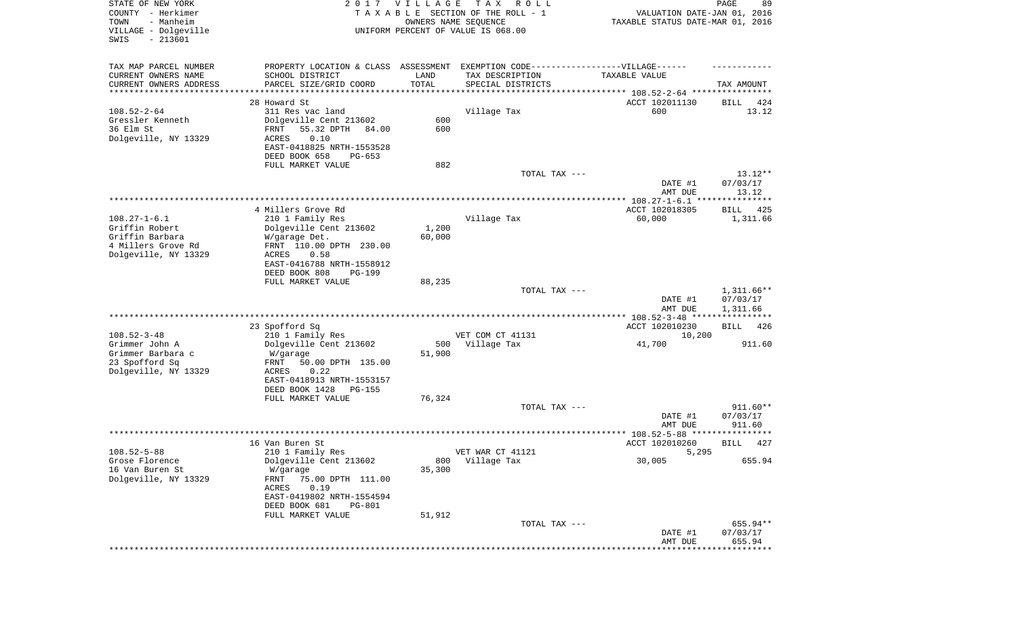| STATE OF NEW YORK<br>COUNTY - Herkimer<br>- Manheim<br>TOWN<br>VILLAGE - Dolgeville<br>SWIS<br>$-213601$ | 2017                                                                                                                                                                                                 | <b>VILLAGE</b><br>OWNERS NAME SEQUENCE | T A X<br>R O L L<br>TAXABLE SECTION OF THE ROLL - 1<br>UNIFORM PERCENT OF VALUE IS 068.00              | VALUATION DATE-JAN 01, 2016<br>TAXABLE STATUS DATE-MAR 01, 2016                 | PAGE<br>89                           |
|----------------------------------------------------------------------------------------------------------|------------------------------------------------------------------------------------------------------------------------------------------------------------------------------------------------------|----------------------------------------|--------------------------------------------------------------------------------------------------------|---------------------------------------------------------------------------------|--------------------------------------|
| TAX MAP PARCEL NUMBER<br>CURRENT OWNERS NAME<br>CURRENT OWNERS ADDRESS<br>********************           | PROPERTY LOCATION & CLASS ASSESSMENT EXEMPTION CODE----------------VILLAGE------<br>SCHOOL DISTRICT<br>PARCEL SIZE/GRID COORD                                                                        | LAND<br>TOTAL                          | TAX DESCRIPTION<br>SPECIAL DISTRICTS<br>********************************* 108.52-2-64 **************** | TAXABLE VALUE                                                                   | TAX AMOUNT                           |
| $108.52 - 2 - 64$<br>Gressler Kenneth<br>36 Elm St<br>Dolgeville, NY 13329                               | 28 Howard St.<br>311 Res vac land<br>Dolgeville Cent 213602<br>55.32 DPTH<br>FRNT<br>84.00<br>ACRES<br>0.10<br>EAST-0418825 NRTH-1553528<br>DEED BOOK 658<br>$PG-653$<br>FULL MARKET VALUE           | 600<br>600<br>882                      | Village Tax                                                                                            | ACCT 102011130<br>600                                                           | 424<br>BILL<br>13.12                 |
|                                                                                                          |                                                                                                                                                                                                      |                                        | TOTAL TAX ---                                                                                          | DATE #1<br>AMT DUE                                                              | $13.12**$<br>07/03/17<br>13.12       |
| $108.27 - 1 - 6.1$<br>Griffin Robert<br>Griffin Barbara<br>4 Millers Grove Rd<br>Dolgeville, NY 13329    | 4 Millers Grove Rd<br>210 1 Family Res<br>Dolgeville Cent 213602<br>W/garage Det.<br>FRNT 110.00 DPTH 230.00<br>ACRES<br>0.58<br>EAST-0416788 NRTH-1558912<br>DEED BOOK 808<br><b>PG-199</b>         | 1,200<br>60,000                        | Village Tax                                                                                            | ACCT 102018305<br>60,000                                                        | BILL<br>425<br>1,311.66              |
|                                                                                                          | FULL MARKET VALUE                                                                                                                                                                                    | 88,235                                 | TOTAL TAX ---                                                                                          | DATE #1<br>AMT DUE                                                              | $1,311.66**$<br>07/03/17<br>1,311.66 |
| $108.52 - 3 - 48$<br>Grimmer John A<br>Grimmer Barbara c<br>23 Spofford Sq<br>Dolgeville, NY 13329       | 23 Spofford Sq<br>210 1 Family Res<br>Dolgeville Cent 213602<br>W/garage<br>FRNT<br>50.00 DPTH 135.00<br>ACRES<br>0.22<br>EAST-0418913 NRTH-1553157<br>DEED BOOK 1428<br><b>PG-155</b>               | 500<br>51,900                          | VET COM CT 41131<br>Village Tax                                                                        | *********** 108.52-3-48 *****************<br>ACCT 102010230<br>10,200<br>41,700 | <b>BILL</b><br>426<br>911.60         |
|                                                                                                          | FULL MARKET VALUE                                                                                                                                                                                    | 76,324                                 | TOTAL TAX ---                                                                                          | DATE #1<br>AMT DUE                                                              | 911.60**<br>07/03/17<br>911.60       |
|                                                                                                          |                                                                                                                                                                                                      |                                        |                                                                                                        | ***************** 108.52-5-88 ****************                                  |                                      |
| $108.52 - 5 - 88$<br>Grose Florence<br>16 Van Buren St<br>Dolgeville, NY 13329                           | 16 Van Buren St<br>210 1 Family Res<br>Dolgeville Cent 213602<br>W/garage<br>75.00 DPTH 111.00<br>FRNT<br>0.19<br>ACRES<br>EAST-0419802 NRTH-1554594<br>DEED BOOK 681<br>PG-801<br>FULL MARKET VALUE | 800<br>35,300<br>51,912                | VET WAR CT 41121<br>Village Tax                                                                        | ACCT 102010260<br>5,295<br>30,005                                               | 427<br>BILL<br>655.94                |
|                                                                                                          |                                                                                                                                                                                                      |                                        | TOTAL TAX ---                                                                                          | DATE #1<br>AMT DUE                                                              | 655.94**<br>07/03/17<br>655.94       |
|                                                                                                          |                                                                                                                                                                                                      |                                        |                                                                                                        |                                                                                 |                                      |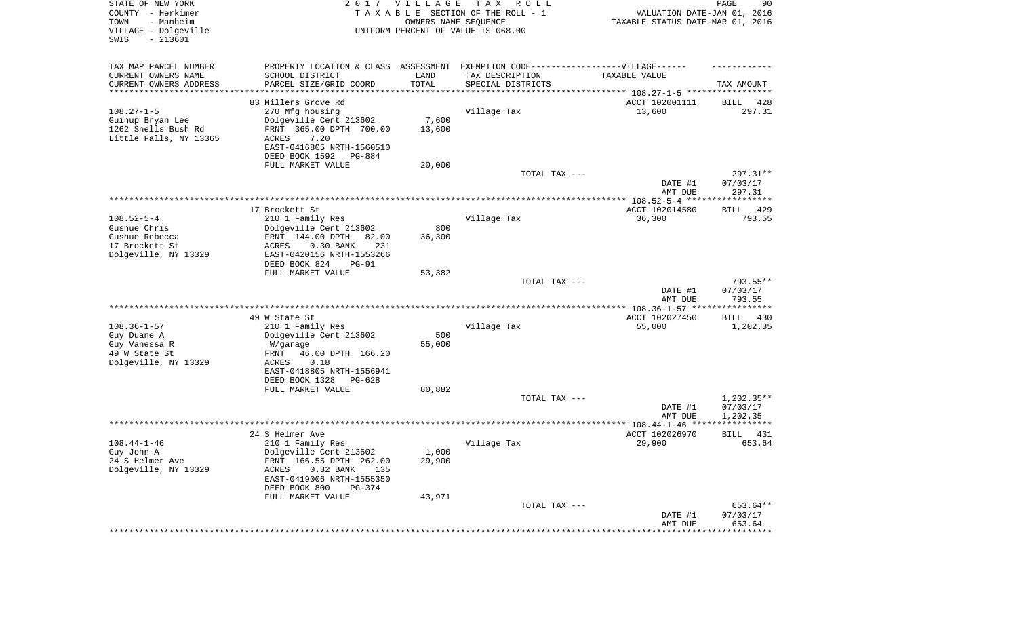| STATE OF NEW YORK<br>COUNTY - Herkimer<br>- Manheim<br>TOWN<br>VILLAGE - Dolgeville<br>SWIS<br>$-213601$ |                                                                                   | 2017 VILLAGE          | T A X<br>R O L L<br>TAXABLE SECTION OF THE ROLL - 1<br>OWNERS NAME SEQUENCE<br>UNIFORM PERCENT OF VALUE IS 068.00 | VALUATION DATE-JAN 01, 2016<br>TAXABLE STATUS DATE-MAR 01, 2016      | 90<br>PAGE         |
|----------------------------------------------------------------------------------------------------------|-----------------------------------------------------------------------------------|-----------------------|-------------------------------------------------------------------------------------------------------------------|----------------------------------------------------------------------|--------------------|
| TAX MAP PARCEL NUMBER                                                                                    | PROPERTY LOCATION & CLASS ASSESSMENT EXEMPTION CODE-----------------VILLAGE------ |                       |                                                                                                                   |                                                                      |                    |
| CURRENT OWNERS NAME<br>CURRENT OWNERS ADDRESS                                                            | SCHOOL DISTRICT<br>PARCEL SIZE/GRID COORD                                         | LAND<br>TOTAL         | TAX DESCRIPTION<br>SPECIAL DISTRICTS                                                                              | TAXABLE VALUE                                                        | TAX AMOUNT         |
| ********************                                                                                     |                                                                                   | * * * * * * * * * * * |                                                                                                                   | ************************************** 108.27-1-5 ****************** |                    |
|                                                                                                          | 83 Millers Grove Rd                                                               |                       |                                                                                                                   | ACCT 102001111                                                       | 428<br>BILL        |
| $108.27 - 1 - 5$                                                                                         | 270 Mfg housing                                                                   |                       | Village Tax                                                                                                       | 13,600                                                               | 297.31             |
| Guinup Bryan Lee                                                                                         | Dolgeville Cent 213602                                                            | 7,600                 |                                                                                                                   |                                                                      |                    |
| 1262 Snells Bush Rd                                                                                      | FRNT 365.00 DPTH 700.00                                                           | 13,600                |                                                                                                                   |                                                                      |                    |
| Little Falls, NY 13365                                                                                   | <b>ACRES</b><br>7.20<br>EAST-0416805 NRTH-1560510                                 |                       |                                                                                                                   |                                                                      |                    |
|                                                                                                          | DEED BOOK 1592<br>PG-884                                                          |                       |                                                                                                                   |                                                                      |                    |
|                                                                                                          | FULL MARKET VALUE                                                                 | 20,000                |                                                                                                                   |                                                                      |                    |
|                                                                                                          |                                                                                   |                       | TOTAL TAX ---                                                                                                     |                                                                      | $297.31**$         |
|                                                                                                          |                                                                                   |                       |                                                                                                                   | DATE #1                                                              | 07/03/17           |
|                                                                                                          |                                                                                   |                       |                                                                                                                   | AMT DUE                                                              | 297.31             |
|                                                                                                          |                                                                                   |                       |                                                                                                                   |                                                                      |                    |
|                                                                                                          | 17 Brockett St                                                                    |                       |                                                                                                                   | ACCT 102014580                                                       | 429<br>BILL        |
| $108.52 - 5 - 4$                                                                                         | 210 1 Family Res                                                                  |                       | Village Tax                                                                                                       | 36,300                                                               | 793.55             |
| Gushue Chris<br>Gushue Rebecca                                                                           | Dolgeville Cent 213602<br>FRNT 144.00 DPTH<br>82.00                               | 800<br>36,300         |                                                                                                                   |                                                                      |                    |
| 17 Brockett St                                                                                           | 0.30 BANK<br>231<br>ACRES                                                         |                       |                                                                                                                   |                                                                      |                    |
| Dolgeville, NY 13329                                                                                     | EAST-0420156 NRTH-1553266                                                         |                       |                                                                                                                   |                                                                      |                    |
|                                                                                                          | DEED BOOK 824<br><b>PG-91</b>                                                     |                       |                                                                                                                   |                                                                      |                    |
|                                                                                                          | FULL MARKET VALUE                                                                 | 53,382                |                                                                                                                   |                                                                      |                    |
|                                                                                                          |                                                                                   |                       | TOTAL TAX ---                                                                                                     |                                                                      | $793.55**$         |
|                                                                                                          |                                                                                   |                       |                                                                                                                   | DATE #1                                                              | 07/03/17           |
|                                                                                                          |                                                                                   |                       |                                                                                                                   | AMT DUE                                                              | 793.55             |
|                                                                                                          | 49 W State St                                                                     |                       |                                                                                                                   | ACCT 102027450                                                       | <b>BILL</b><br>430 |
| $108.36 - 1 - 57$                                                                                        | 210 1 Family Res                                                                  |                       | Village Tax                                                                                                       | 55,000                                                               | 1,202.35           |
| Guy Duane A                                                                                              | Dolgeville Cent 213602                                                            | 500                   |                                                                                                                   |                                                                      |                    |
| Guy Vanessa R                                                                                            | W/garage                                                                          | 55,000                |                                                                                                                   |                                                                      |                    |
| 49 W State St                                                                                            | 46.00 DPTH 166.20<br>FRNT                                                         |                       |                                                                                                                   |                                                                      |                    |
| Dolgeville, NY 13329                                                                                     | <b>ACRES</b><br>0.18                                                              |                       |                                                                                                                   |                                                                      |                    |
|                                                                                                          | EAST-0418805 NRTH-1556941                                                         |                       |                                                                                                                   |                                                                      |                    |
|                                                                                                          | DEED BOOK 1328<br>PG-628<br>FULL MARKET VALUE                                     | 80,882                |                                                                                                                   |                                                                      |                    |
|                                                                                                          |                                                                                   |                       | TOTAL TAX ---                                                                                                     |                                                                      | $1,202.35**$       |
|                                                                                                          |                                                                                   |                       |                                                                                                                   | DATE #1                                                              | 07/03/17           |
|                                                                                                          |                                                                                   |                       |                                                                                                                   | AMT DUE                                                              | 1,202.35           |
|                                                                                                          |                                                                                   |                       |                                                                                                                   |                                                                      |                    |
|                                                                                                          | 24 S Helmer Ave                                                                   |                       |                                                                                                                   | ACCT 102026970                                                       | 431<br>BILL        |
| $108.44 - 1 - 46$                                                                                        | 210 1 Family Res                                                                  |                       | Village Tax                                                                                                       | 29,900                                                               | 653.64             |
| Guy John A                                                                                               | Dolgeville Cent 213602                                                            | 1,000                 |                                                                                                                   |                                                                      |                    |
| 24 S Helmer Ave<br>Dolgeville, NY 13329                                                                  | FRNT 166.55 DPTH 262.00<br>ACRES<br>135                                           | 29,900                |                                                                                                                   |                                                                      |                    |
|                                                                                                          | $0.32$ BANK<br>EAST-0419006 NRTH-1555350                                          |                       |                                                                                                                   |                                                                      |                    |
|                                                                                                          | DEED BOOK 800<br>$PG-374$                                                         |                       |                                                                                                                   |                                                                      |                    |
|                                                                                                          | FULL MARKET VALUE                                                                 | 43,971                |                                                                                                                   |                                                                      |                    |
|                                                                                                          |                                                                                   |                       | TOTAL TAX ---                                                                                                     |                                                                      | 653.64**           |
|                                                                                                          |                                                                                   |                       |                                                                                                                   | DATE #1                                                              | 07/03/17           |
|                                                                                                          |                                                                                   |                       |                                                                                                                   | AMT DUE                                                              | 653.64             |
|                                                                                                          |                                                                                   |                       |                                                                                                                   | *************************************                                |                    |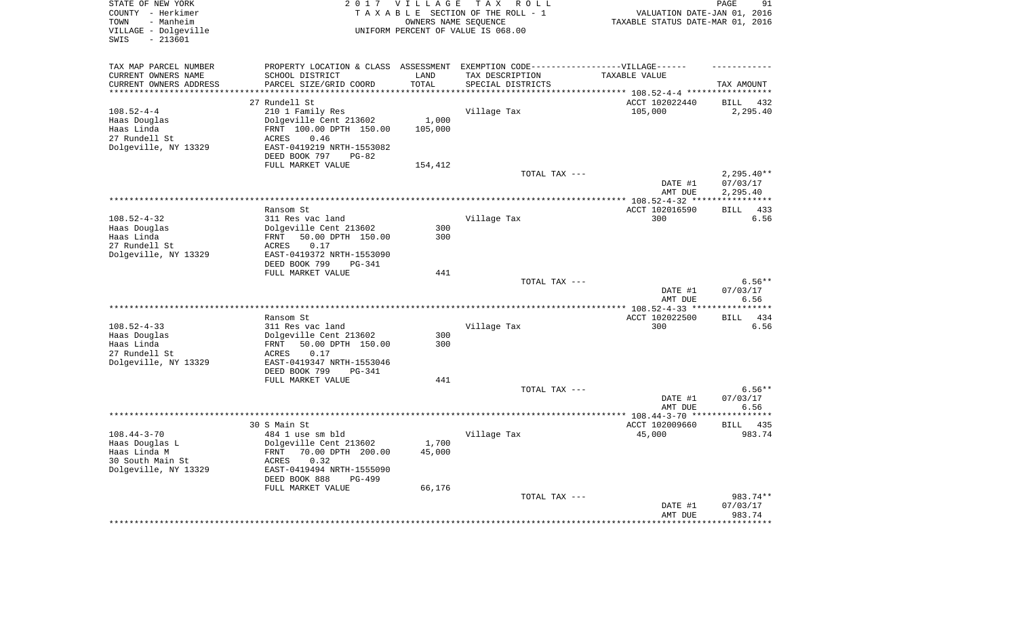| STATE OF NEW YORK<br>COUNTY - Herkimer<br>- Manheim<br>TOWN<br>VILLAGE - Dolgeville<br>$-213601$<br>SWIS |                                                                                   | 2017 VILLAGE | TAX ROLL<br>TAXABLE SECTION OF THE ROLL - 1<br>OWNERS NAME SEQUENCE<br>UNIFORM PERCENT OF VALUE IS 068.00 | VALUATION DATE-JAN 01, 2016<br>TAXABLE STATUS DATE-MAR 01, 2016 | PAGE<br>91             |
|----------------------------------------------------------------------------------------------------------|-----------------------------------------------------------------------------------|--------------|-----------------------------------------------------------------------------------------------------------|-----------------------------------------------------------------|------------------------|
| TAX MAP PARCEL NUMBER                                                                                    | PROPERTY LOCATION & CLASS ASSESSMENT EXEMPTION CODE-----------------VILLAGE------ |              |                                                                                                           |                                                                 |                        |
| CURRENT OWNERS NAME                                                                                      | SCHOOL DISTRICT                                                                   | LAND         | TAX DESCRIPTION                                                                                           | TAXABLE VALUE                                                   |                        |
| CURRENT OWNERS ADDRESS                                                                                   | PARCEL SIZE/GRID COORD                                                            | TOTAL        | SPECIAL DISTRICTS                                                                                         |                                                                 | TAX AMOUNT             |
| ********************                                                                                     |                                                                                   | ********     |                                                                                                           | ************************** 108.52-4-4 *****                     | ************           |
|                                                                                                          | 27 Rundell St                                                                     |              |                                                                                                           | ACCT 102022440                                                  | <b>BILL</b><br>432     |
| $108.52 - 4 - 4$                                                                                         | 210 1 Family Res                                                                  |              | Village Tax                                                                                               | 105,000                                                         | 2,295.40               |
| Haas Douglas                                                                                             | Dolgeville Cent 213602                                                            | 1,000        |                                                                                                           |                                                                 |                        |
| Haas Linda                                                                                               | FRNT 100.00 DPTH 150.00                                                           | 105,000      |                                                                                                           |                                                                 |                        |
| 27 Rundell St                                                                                            | 0.46<br>ACRES<br>EAST-0419219 NRTH-1553082                                        |              |                                                                                                           |                                                                 |                        |
| Dolgeville, NY 13329                                                                                     | DEED BOOK 797<br>$PG-82$                                                          |              |                                                                                                           |                                                                 |                        |
|                                                                                                          | FULL MARKET VALUE                                                                 | 154,412      |                                                                                                           |                                                                 |                        |
|                                                                                                          |                                                                                   |              | TOTAL TAX ---                                                                                             |                                                                 | $2,295.40**$           |
|                                                                                                          |                                                                                   |              |                                                                                                           | DATE #1                                                         | 07/03/17               |
|                                                                                                          |                                                                                   |              |                                                                                                           | AMT DUE                                                         | 2,295.40               |
|                                                                                                          | *******************                                                               |              | **********************************                                                                        | ********** 108.52-4-32 ***                                      | * * * * * * * * * * *  |
|                                                                                                          | Ransom St                                                                         |              |                                                                                                           | ACCT 102016590                                                  | 433<br><b>BILL</b>     |
| $108.52 - 4 - 32$                                                                                        | 311 Res vac land                                                                  |              | Village Tax                                                                                               | 300                                                             | 6.56                   |
| Haas Douglas                                                                                             | Dolgeville Cent 213602                                                            | 300          |                                                                                                           |                                                                 |                        |
| Haas Linda                                                                                               | 50.00 DPTH 150.00<br>FRNT                                                         | 300          |                                                                                                           |                                                                 |                        |
| 27 Rundell St                                                                                            | 0.17<br>ACRES                                                                     |              |                                                                                                           |                                                                 |                        |
| Dolgeville, NY 13329                                                                                     | EAST-0419372 NRTH-1553090<br>DEED BOOK 799<br>PG-341                              |              |                                                                                                           |                                                                 |                        |
|                                                                                                          | FULL MARKET VALUE                                                                 | 441          |                                                                                                           |                                                                 |                        |
|                                                                                                          |                                                                                   |              | TOTAL TAX ---                                                                                             |                                                                 | $6.56**$               |
|                                                                                                          |                                                                                   |              |                                                                                                           | DATE #1                                                         | 07/03/17               |
|                                                                                                          |                                                                                   |              |                                                                                                           | AMT DUE                                                         | 6.56                   |
|                                                                                                          |                                                                                   |              |                                                                                                           | ** $108.52 - 4 - 33$ **                                         |                        |
|                                                                                                          | Ransom St                                                                         |              |                                                                                                           | ACCT 102022500                                                  | 434<br><b>BILL</b>     |
| $108.52 - 4 - 33$<br>Haas Douglas                                                                        | 311 Res vac land<br>Dolgeville Cent 213602                                        | 300          | Village Tax                                                                                               | 300                                                             | 6.56                   |
| Haas Linda                                                                                               | 50.00 DPTH 150.00<br>FRNT                                                         | 300          |                                                                                                           |                                                                 |                        |
| 27 Rundell St                                                                                            | ACRES<br>0.17                                                                     |              |                                                                                                           |                                                                 |                        |
| Dolgeville, NY 13329                                                                                     | EAST-0419347 NRTH-1553046                                                         |              |                                                                                                           |                                                                 |                        |
|                                                                                                          | DEED BOOK 799<br>$PG-341$                                                         |              |                                                                                                           |                                                                 |                        |
|                                                                                                          | FULL MARKET VALUE                                                                 | 441          |                                                                                                           |                                                                 |                        |
|                                                                                                          |                                                                                   |              | TOTAL TAX ---                                                                                             |                                                                 | $6.56**$               |
|                                                                                                          |                                                                                   |              |                                                                                                           | DATE #1                                                         | 07/03/17               |
| *******************                                                                                      |                                                                                   |              |                                                                                                           | AMT DUE                                                         | 6.56                   |
|                                                                                                          |                                                                                   |              |                                                                                                           | ********** 108.44-3-70 ***                                      | *******<br><b>BILL</b> |
| $108.44 - 3 - 70$                                                                                        | 30 S Main St<br>484 1 use sm bld                                                  |              | Village Tax                                                                                               | ACCT 102009660<br>45,000                                        | 435<br>983.74          |
| Haas Douglas L                                                                                           | Dolgeville Cent 213602                                                            | 1,700        |                                                                                                           |                                                                 |                        |
| Haas Linda M                                                                                             | <b>FRNT</b><br>70.00 DPTH 200.00                                                  | 45,000       |                                                                                                           |                                                                 |                        |
| 30 South Main St                                                                                         | ACRES<br>0.32                                                                     |              |                                                                                                           |                                                                 |                        |
| Dolgeville, NY 13329                                                                                     | EAST-0419494 NRTH-1555090                                                         |              |                                                                                                           |                                                                 |                        |
|                                                                                                          | DEED BOOK 888<br><b>PG-499</b>                                                    |              |                                                                                                           |                                                                 |                        |
|                                                                                                          | FULL MARKET VALUE                                                                 | 66,176       |                                                                                                           |                                                                 |                        |
|                                                                                                          |                                                                                   |              | TOTAL TAX ---                                                                                             |                                                                 | 983.74**               |
|                                                                                                          |                                                                                   |              |                                                                                                           | DATE #1                                                         | 07/03/17               |
|                                                                                                          |                                                                                   |              |                                                                                                           | AMT DUE                                                         | 983.74                 |
|                                                                                                          |                                                                                   |              |                                                                                                           |                                                                 |                        |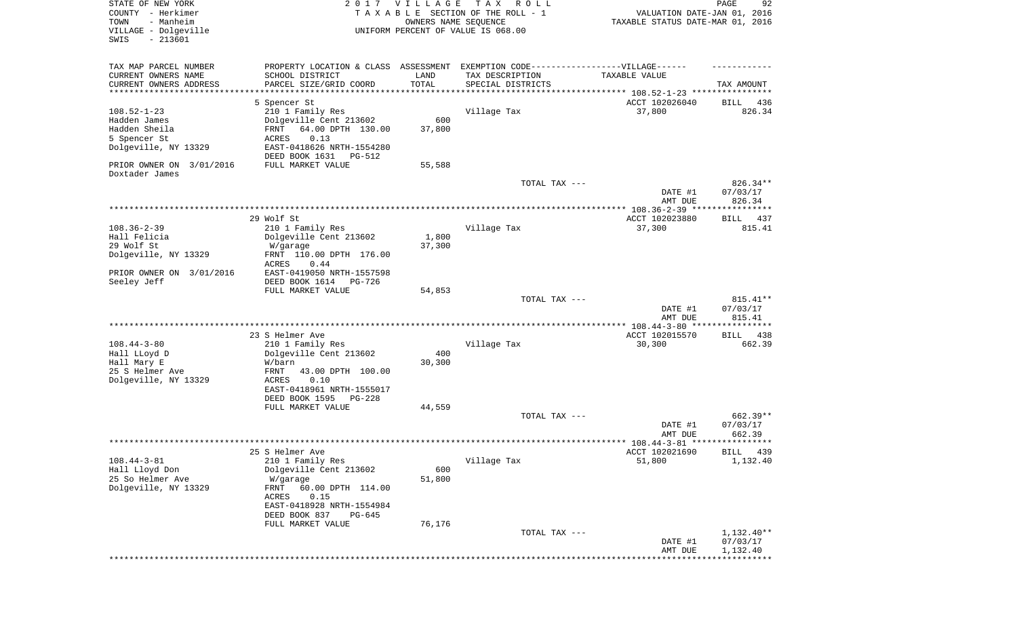| STATE OF NEW YORK<br>COUNTY - Herkimer<br>- Manheim<br>TOWN<br>VILLAGE - Dolgeville<br>SWIS<br>$-213601$               | 2017                                                                                                                                                                                   | VILLAGE<br>OWNERS NAME SEQUENCE | T A X<br>R O L L<br>TAXABLE SECTION OF THE ROLL - 1<br>UNIFORM PERCENT OF VALUE IS 068.00 | VALUATION DATE-JAN 01, 2016<br>TAXABLE STATUS DATE-MAR 01, 2016 | PAGE<br>92                           |
|------------------------------------------------------------------------------------------------------------------------|----------------------------------------------------------------------------------------------------------------------------------------------------------------------------------------|---------------------------------|-------------------------------------------------------------------------------------------|-----------------------------------------------------------------|--------------------------------------|
| TAX MAP PARCEL NUMBER<br>CURRENT OWNERS NAME<br>CURRENT OWNERS ADDRESS<br>*********************                        | PROPERTY LOCATION & CLASS ASSESSMENT<br>SCHOOL DISTRICT<br>PARCEL SIZE/GRID COORD                                                                                                      | LAND<br>TOTAL                   | EXEMPTION CODE-----------------VILLAGE------<br>TAX DESCRIPTION<br>SPECIAL DISTRICTS      | TAXABLE VALUE                                                   | TAX AMOUNT                           |
| $108.52 - 1 - 23$<br>Hadden James<br>Hadden Sheila<br>5 Spencer St<br>Dolgeville, NY 13329<br>PRIOR OWNER ON 3/01/2016 | 5 Spencer St<br>210 1 Family Res<br>Dolgeville Cent 213602<br>64.00 DPTH 130.00<br>FRNT<br>ACRES<br>0.13<br>EAST-0418626 NRTH-1554280<br>DEED BOOK 1631<br>PG-512<br>FULL MARKET VALUE | 600<br>37,800<br>55,588         | Village Tax                                                                               | ACCT 102026040<br>37,800                                        | 436<br>BILL<br>826.34                |
| Doxtader James                                                                                                         |                                                                                                                                                                                        |                                 | TOTAL TAX ---                                                                             | DATE #1                                                         | 826.34**<br>07/03/17<br>826.34       |
|                                                                                                                        |                                                                                                                                                                                        |                                 |                                                                                           | AMT DUE                                                         |                                      |
| $108.36 - 2 - 39$<br>Hall Felicia<br>29 Wolf St<br>Dolgeville, NY 13329                                                | 29 Wolf St<br>210 1 Family Res<br>Dolgeville Cent 213602<br>W/garage<br>FRNT 110.00 DPTH 176.00<br>ACRES<br>0.44                                                                       | 1,800<br>37,300                 | Village Tax                                                                               | ACCT 102023880<br>37,300                                        | BILL 437<br>815.41                   |
| PRIOR OWNER ON 3/01/2016<br>Seeley Jeff                                                                                | EAST-0419050 NRTH-1557598<br>DEED BOOK 1614<br>PG-726<br>FULL MARKET VALUE                                                                                                             | 54,853                          | TOTAL TAX ---                                                                             | DATE #1                                                         | $815.41**$<br>07/03/17               |
|                                                                                                                        |                                                                                                                                                                                        |                                 |                                                                                           | AMT DUE                                                         | 815.41                               |
| $108.44 - 3 - 80$<br>Hall LLoyd D<br>Hall Mary E<br>25 S Helmer Ave<br>Dolgeville, NY 13329                            | 23 S Helmer Ave<br>210 1 Family Res<br>Dolgeville Cent 213602<br>W/barn<br>FRNT<br>43.00 DPTH 100.00<br>ACRES<br>0.10<br>EAST-0418961 NRTH-1555017<br>DEED BOOK 1595<br>PG-228         | 400<br>30,300                   | Village Tax                                                                               | ACCT 102015570<br>30,300                                        | BILL<br>438<br>662.39                |
|                                                                                                                        | FULL MARKET VALUE                                                                                                                                                                      | 44,559                          |                                                                                           |                                                                 |                                      |
|                                                                                                                        |                                                                                                                                                                                        |                                 | TOTAL TAX ---                                                                             | DATE #1<br>AMT DUE                                              | 662.39**<br>07/03/17<br>662.39       |
|                                                                                                                        | 25 S Helmer Ave                                                                                                                                                                        |                                 |                                                                                           | ACCT 102021690                                                  | BILL 439                             |
| $108.44 - 3 - 81$<br>Hall Lloyd Don<br>25 So Helmer Ave<br>Dolgeville, NY 13329                                        | 210 1 Family Res<br>Dolgeville Cent 213602<br>W/garage<br>60.00 DPTH 114.00<br>FRNT<br>ACRES<br>0.15<br>EAST-0418928 NRTH-1554984<br>DEED BOOK 837<br>PG-645<br>FULL MARKET VALUE      | 600<br>51,800<br>76,176         | Village Tax                                                                               | 51,800                                                          | 1,132.40                             |
|                                                                                                                        |                                                                                                                                                                                        |                                 | TOTAL TAX ---                                                                             | DATE #1<br>AMT DUE                                              | $1,132.40**$<br>07/03/17<br>1,132.40 |
|                                                                                                                        |                                                                                                                                                                                        |                                 |                                                                                           |                                                                 | * * * * * * * * * * *                |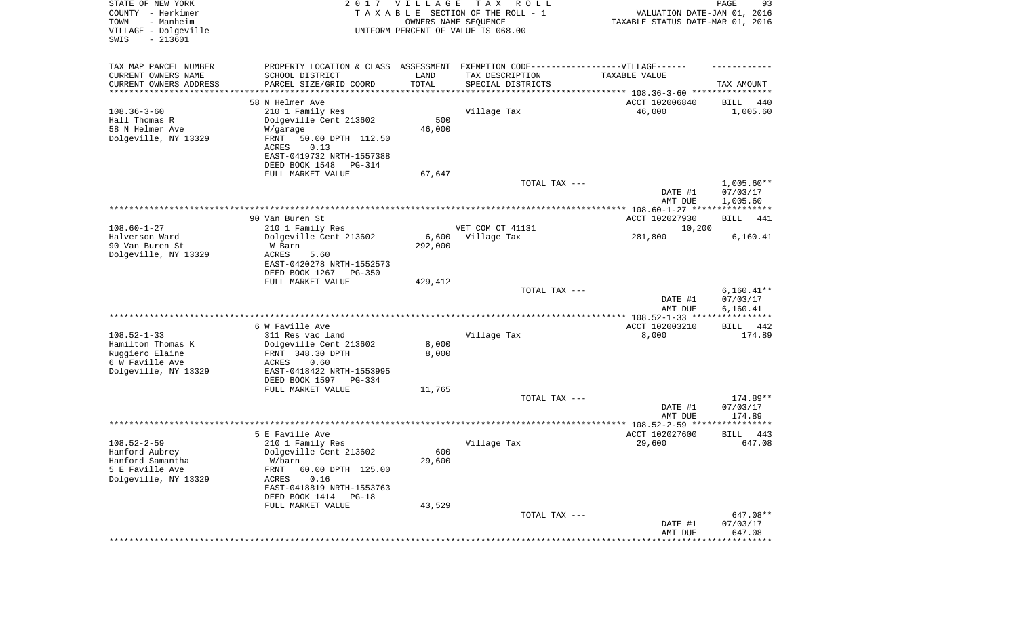| STATE OF NEW YORK<br>COUNTY - Herkimer<br>- Manheim<br>TOWN<br>VILLAGE - Dolgeville<br>$-213601$<br>SWIS |                                                                                   | 2017 VILLAGE<br>OWNERS NAME SEQUENCE | T A X<br>R O L L<br>TAXABLE SECTION OF THE ROLL - 1<br>UNIFORM PERCENT OF VALUE IS 068.00 | VALUATION DATE-JAN 01, 2016<br>TAXABLE STATUS DATE-MAR 01, 2016 | PAGE<br>93            |
|----------------------------------------------------------------------------------------------------------|-----------------------------------------------------------------------------------|--------------------------------------|-------------------------------------------------------------------------------------------|-----------------------------------------------------------------|-----------------------|
| TAX MAP PARCEL NUMBER                                                                                    | PROPERTY LOCATION & CLASS ASSESSMENT EXEMPTION CODE-----------------VILLAGE------ |                                      |                                                                                           |                                                                 |                       |
| CURRENT OWNERS NAME                                                                                      | SCHOOL DISTRICT                                                                   | LAND                                 | TAX DESCRIPTION                                                                           | TAXABLE VALUE                                                   |                       |
| CURRENT OWNERS ADDRESS<br>*********************                                                          | PARCEL SIZE/GRID COORD                                                            | TOTAL<br>**********                  | SPECIAL DISTRICTS                                                                         |                                                                 | TAX AMOUNT            |
|                                                                                                          | 58 N Helmer Ave                                                                   |                                      |                                                                                           | ACCT 102006840                                                  | 440<br>BILL           |
| $108.36 - 3 - 60$                                                                                        | 210 1 Family Res                                                                  |                                      | Village Tax                                                                               | 46,000                                                          | 1,005.60              |
| Hall Thomas R                                                                                            | Dolgeville Cent 213602                                                            | 500                                  |                                                                                           |                                                                 |                       |
| 58 N Helmer Ave                                                                                          | W/garage                                                                          | 46,000                               |                                                                                           |                                                                 |                       |
| Dolgeville, NY 13329                                                                                     | FRNT<br>50.00 DPTH 112.50                                                         |                                      |                                                                                           |                                                                 |                       |
|                                                                                                          | 0.13<br>ACRES                                                                     |                                      |                                                                                           |                                                                 |                       |
|                                                                                                          | EAST-0419732 NRTH-1557388<br>DEED BOOK 1548<br>PG-314                             |                                      |                                                                                           |                                                                 |                       |
|                                                                                                          | FULL MARKET VALUE                                                                 | 67,647                               |                                                                                           |                                                                 |                       |
|                                                                                                          |                                                                                   |                                      | TOTAL TAX ---                                                                             |                                                                 | $1,005.60**$          |
|                                                                                                          |                                                                                   |                                      |                                                                                           | DATE #1                                                         | 07/03/17              |
|                                                                                                          |                                                                                   |                                      |                                                                                           | AMT DUE                                                         | 1,005.60              |
|                                                                                                          |                                                                                   |                                      |                                                                                           |                                                                 |                       |
|                                                                                                          | 90 Van Buren St                                                                   |                                      |                                                                                           | ACCT 102027930                                                  | BILL<br>441           |
| $108.60 - 1 - 27$<br>Halverson Ward                                                                      | 210 1 Family Res<br>Dolgeville Cent 213602                                        | 6,600                                | VET COM CT 41131<br>Village Tax                                                           | 10,200<br>281,800                                               | 6,160.41              |
| 90 Van Buren St                                                                                          | W Barn                                                                            | 292,000                              |                                                                                           |                                                                 |                       |
| Dolgeville, NY 13329                                                                                     | ACRES<br>5.60                                                                     |                                      |                                                                                           |                                                                 |                       |
|                                                                                                          | EAST-0420278 NRTH-1552573                                                         |                                      |                                                                                           |                                                                 |                       |
|                                                                                                          | DEED BOOK 1267<br><b>PG-350</b>                                                   |                                      |                                                                                           |                                                                 |                       |
|                                                                                                          | FULL MARKET VALUE                                                                 | 429,412                              |                                                                                           |                                                                 |                       |
|                                                                                                          |                                                                                   |                                      | TOTAL TAX ---                                                                             |                                                                 | $6,160.41**$          |
|                                                                                                          |                                                                                   |                                      |                                                                                           | DATE #1<br>AMT DUE                                              | 07/03/17<br>6,160.41  |
|                                                                                                          |                                                                                   |                                      |                                                                                           | ************* 108.52-1-33 *****                                 | ***********           |
|                                                                                                          | 6 W Faville Ave                                                                   |                                      |                                                                                           | ACCT 102003210                                                  | 442<br>BILL           |
| $108.52 - 1 - 33$                                                                                        | 311 Res vac land                                                                  |                                      | Village Tax                                                                               | 8,000                                                           | 174.89                |
| Hamilton Thomas K                                                                                        | Dolgeville Cent 213602                                                            | 8,000                                |                                                                                           |                                                                 |                       |
| Ruggiero Elaine                                                                                          | FRNT 348.30 DPTH                                                                  | 8,000                                |                                                                                           |                                                                 |                       |
| 6 W Faville Ave<br>Dolgeville, NY 13329                                                                  | ACRES<br>0.60<br>EAST-0418422 NRTH-1553995                                        |                                      |                                                                                           |                                                                 |                       |
|                                                                                                          | DEED BOOK 1597<br>PG-334                                                          |                                      |                                                                                           |                                                                 |                       |
|                                                                                                          | FULL MARKET VALUE                                                                 | 11,765                               |                                                                                           |                                                                 |                       |
|                                                                                                          |                                                                                   |                                      | TOTAL TAX ---                                                                             |                                                                 | 174.89**              |
|                                                                                                          |                                                                                   |                                      |                                                                                           | DATE #1                                                         | 07/03/17              |
|                                                                                                          |                                                                                   |                                      |                                                                                           | AMT DUE                                                         | 174.89                |
|                                                                                                          |                                                                                   |                                      |                                                                                           |                                                                 |                       |
| $108.52 - 2 - 59$                                                                                        | 5 E Faville Ave<br>210 1 Family Res                                               |                                      | Village Tax                                                                               | ACCT 102027600<br>29,600                                        | 443<br>BILL<br>647.08 |
| Hanford Aubrey                                                                                           | Dolgeville Cent 213602                                                            | 600                                  |                                                                                           |                                                                 |                       |
| Hanford Samantha                                                                                         | W/barn                                                                            | 29,600                               |                                                                                           |                                                                 |                       |
| 5 E Faville Ave                                                                                          | 60.00 DPTH 125.00<br>FRNT                                                         |                                      |                                                                                           |                                                                 |                       |
| Dolgeville, NY 13329                                                                                     | ACRES<br>0.16                                                                     |                                      |                                                                                           |                                                                 |                       |
|                                                                                                          | EAST-0418819 NRTH-1553763                                                         |                                      |                                                                                           |                                                                 |                       |
|                                                                                                          | DEED BOOK 1414 PG-18                                                              |                                      |                                                                                           |                                                                 |                       |
|                                                                                                          | FULL MARKET VALUE                                                                 | 43,529                               | TOTAL TAX ---                                                                             |                                                                 | 647.08**              |
|                                                                                                          |                                                                                   |                                      |                                                                                           | DATE #1                                                         | 07/03/17              |
|                                                                                                          |                                                                                   |                                      |                                                                                           | AMT DUE                                                         | 647.08                |
|                                                                                                          |                                                                                   |                                      |                                                                                           |                                                                 | ***********           |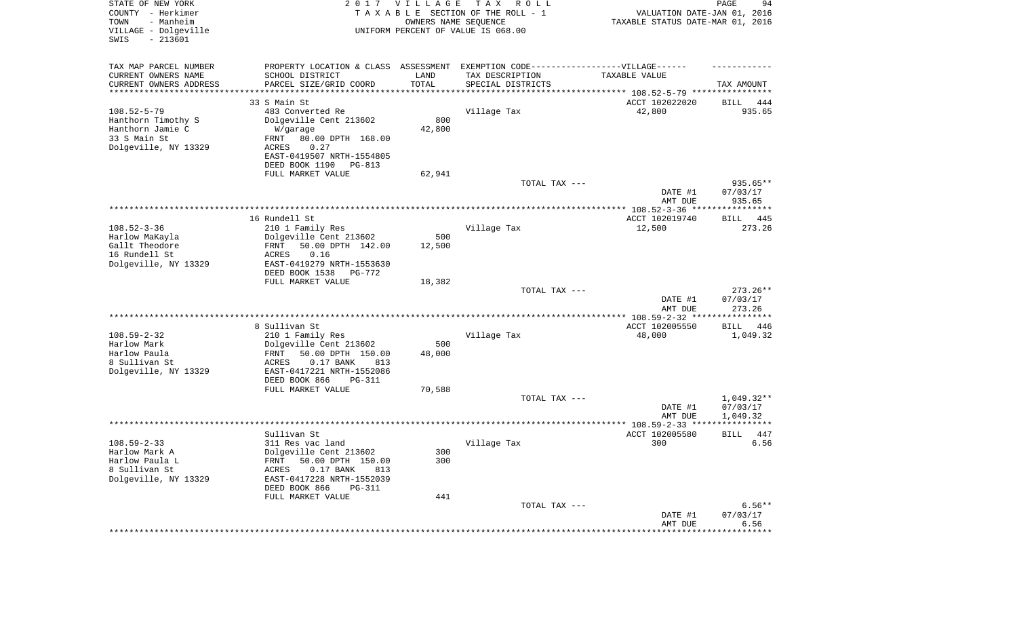| STATE OF NEW YORK<br>COUNTY - Herkimer<br>- Manheim<br>TOWN<br>VILLAGE - Dolgeville<br>SWIS<br>$-213601$ | 2017                                                         | <b>VILLAGE</b><br>OWNERS NAME SEQUENCE | T A X<br>R O L L<br>TAXABLE SECTION OF THE ROLL - 1<br>UNIFORM PERCENT OF VALUE IS 068.00 | VALUATION DATE-JAN 01, 2016<br>TAXABLE STATUS DATE-MAR 01, 2016 | 94<br>PAGE                          |
|----------------------------------------------------------------------------------------------------------|--------------------------------------------------------------|----------------------------------------|-------------------------------------------------------------------------------------------|-----------------------------------------------------------------|-------------------------------------|
| TAX MAP PARCEL NUMBER                                                                                    |                                                              |                                        | PROPERTY LOCATION & CLASS ASSESSMENT EXEMPTION CODE----------------VILLAGE------          |                                                                 |                                     |
| CURRENT OWNERS NAME<br>CURRENT OWNERS ADDRESS                                                            | SCHOOL DISTRICT<br>PARCEL SIZE/GRID COORD                    | LAND<br>TOTAL                          | TAX DESCRIPTION<br>SPECIAL DISTRICTS                                                      | TAXABLE VALUE                                                   | TAX AMOUNT                          |
| ********************                                                                                     |                                                              |                                        | ********************************* 108.52-5-79 ****************                            |                                                                 |                                     |
| $108.52 - 5 - 79$                                                                                        | 33 S Main St<br>483 Converted Re                             |                                        | Village Tax                                                                               | ACCT 102022020<br>42,800                                        | BILL<br>444<br>935.65               |
| Hanthorn Timothy S                                                                                       | Dolgeville Cent 213602                                       | 800                                    |                                                                                           |                                                                 |                                     |
| Hanthorn Jamie C                                                                                         | W/garage                                                     | 42,800                                 |                                                                                           |                                                                 |                                     |
| 33 S Main St                                                                                             | 80.00 DPTH 168.00<br>FRNT                                    |                                        |                                                                                           |                                                                 |                                     |
| Dolgeville, NY 13329                                                                                     | ACRES<br>0.27                                                |                                        |                                                                                           |                                                                 |                                     |
|                                                                                                          | EAST-0419507 NRTH-1554805                                    |                                        |                                                                                           |                                                                 |                                     |
|                                                                                                          | DEED BOOK 1190<br>PG-813                                     |                                        |                                                                                           |                                                                 |                                     |
|                                                                                                          | FULL MARKET VALUE                                            | 62,941                                 |                                                                                           |                                                                 |                                     |
|                                                                                                          |                                                              |                                        | TOTAL TAX ---                                                                             | DATE #1                                                         | 935.65**<br>07/03/17                |
|                                                                                                          |                                                              |                                        |                                                                                           | AMT DUE                                                         | 935.65                              |
|                                                                                                          |                                                              |                                        |                                                                                           |                                                                 |                                     |
|                                                                                                          | 16 Rundell St                                                |                                        |                                                                                           | ACCT 102019740                                                  | BILL 445                            |
| $108.52 - 3 - 36$                                                                                        | 210 1 Family Res                                             |                                        | Village Tax                                                                               | 12,500                                                          | 273.26                              |
| Harlow MaKayla                                                                                           | Dolgeville Cent 213602                                       | 500                                    |                                                                                           |                                                                 |                                     |
| Gallt Theodore                                                                                           | 50.00 DPTH 142.00<br>FRNT                                    | 12,500                                 |                                                                                           |                                                                 |                                     |
| 16 Rundell St                                                                                            | ACRES<br>0.16                                                |                                        |                                                                                           |                                                                 |                                     |
| Dolgeville, NY 13329                                                                                     | EAST-0419279 NRTH-1553630<br>DEED BOOK 1538<br><b>PG-772</b> |                                        |                                                                                           |                                                                 |                                     |
|                                                                                                          | FULL MARKET VALUE                                            | 18,382                                 |                                                                                           |                                                                 |                                     |
|                                                                                                          |                                                              |                                        | TOTAL TAX ---                                                                             |                                                                 | $273.26**$                          |
|                                                                                                          |                                                              |                                        |                                                                                           | DATE #1                                                         | 07/03/17                            |
|                                                                                                          |                                                              |                                        |                                                                                           | AMT DUE                                                         | 273.26                              |
|                                                                                                          |                                                              |                                        |                                                                                           | *********** 108.59-2-32 ****                                    | **********                          |
|                                                                                                          | 8 Sullivan St                                                |                                        |                                                                                           | ACCT 102005550                                                  | BILL 446                            |
| $108.59 - 2 - 32$<br>Harlow Mark                                                                         | 210 1 Family Res                                             | 500                                    | Village Tax                                                                               | 48,000                                                          | 1,049.32                            |
| Harlow Paula                                                                                             | Dolgeville Cent 213602<br>50.00 DPTH 150.00<br>FRNT          | 48,000                                 |                                                                                           |                                                                 |                                     |
| 8 Sullivan St                                                                                            | <b>ACRES</b><br>$0.17$ BANK<br>813                           |                                        |                                                                                           |                                                                 |                                     |
| Dolgeville, NY 13329                                                                                     | EAST-0417221 NRTH-1552086                                    |                                        |                                                                                           |                                                                 |                                     |
|                                                                                                          | DEED BOOK 866<br>PG-311                                      |                                        |                                                                                           |                                                                 |                                     |
|                                                                                                          | FULL MARKET VALUE                                            | 70,588                                 |                                                                                           |                                                                 |                                     |
|                                                                                                          |                                                              |                                        | TOTAL TAX ---                                                                             |                                                                 | 1,049.32**                          |
|                                                                                                          |                                                              |                                        |                                                                                           | DATE #1                                                         | 07/03/17                            |
|                                                                                                          |                                                              |                                        |                                                                                           | AMT DUE                                                         | 1,049.32<br>* * * * * * * * * * * * |
|                                                                                                          | Sullivan St                                                  |                                        |                                                                                           | ACCT 102005580                                                  | 447<br><b>BILL</b>                  |
| $108.59 - 2 - 33$                                                                                        | 311 Res vac land                                             |                                        | Village Tax                                                                               | 300                                                             | 6.56                                |
| Harlow Mark A                                                                                            | Dolgeville Cent 213602                                       | 300                                    |                                                                                           |                                                                 |                                     |
| Harlow Paula L                                                                                           | 50.00 DPTH 150.00<br>FRNT                                    | 300                                    |                                                                                           |                                                                 |                                     |
| 8 Sullivan St                                                                                            | $0.17$ BANK<br>813<br>ACRES                                  |                                        |                                                                                           |                                                                 |                                     |
| Dolgeville, NY 13329                                                                                     | EAST-0417228 NRTH-1552039                                    |                                        |                                                                                           |                                                                 |                                     |
|                                                                                                          | DEED BOOK 866<br><b>PG-311</b>                               |                                        |                                                                                           |                                                                 |                                     |
|                                                                                                          | FULL MARKET VALUE                                            | 441                                    |                                                                                           |                                                                 | $6.56**$                            |
|                                                                                                          |                                                              |                                        | TOTAL TAX ---                                                                             | DATE #1                                                         | 07/03/17                            |
|                                                                                                          |                                                              |                                        |                                                                                           | AMT DUE                                                         | 6.56                                |
|                                                                                                          |                                                              |                                        |                                                                                           | *********************                                           | **************                      |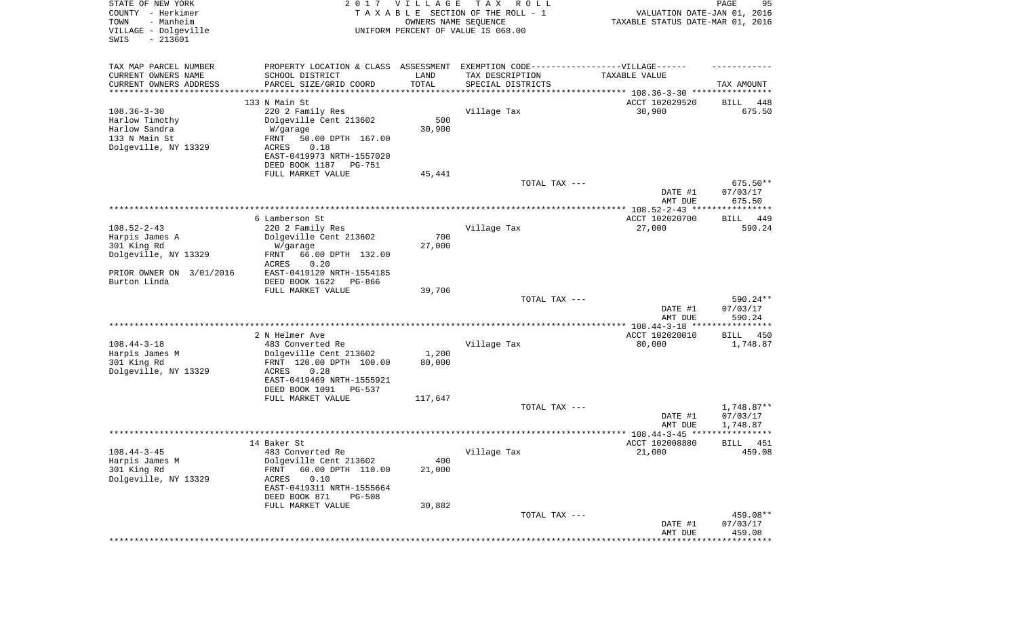| STATE OF NEW YORK<br>COUNTY - Herkimer<br>- Manheim<br>TOWN<br>VILLAGE - Dolgeville<br>SWIS<br>$-213601$ |                                                                                  | 2017 VILLAGE<br>OWNERS NAME SEQUENCE | T A X<br>R O L L<br>TAXABLE SECTION OF THE ROLL - 1<br>UNIFORM PERCENT OF VALUE IS 068.00 | VALUATION DATE-JAN 01, 2016<br>TAXABLE STATUS DATE-MAR 01, 2016 | PAGE<br>95              |
|----------------------------------------------------------------------------------------------------------|----------------------------------------------------------------------------------|--------------------------------------|-------------------------------------------------------------------------------------------|-----------------------------------------------------------------|-------------------------|
| TAX MAP PARCEL NUMBER                                                                                    | PROPERTY LOCATION & CLASS ASSESSMENT EXEMPTION CODE----------------VILLAGE------ |                                      |                                                                                           |                                                                 |                         |
| CURRENT OWNERS NAME                                                                                      | SCHOOL DISTRICT                                                                  | LAND                                 | TAX DESCRIPTION                                                                           | TAXABLE VALUE                                                   |                         |
| CURRENT OWNERS ADDRESS<br>*********************                                                          | PARCEL SIZE/GRID COORD<br>******************                                     | TOTAL<br>* * * * * * * * * * *       | SPECIAL DISTRICTS                                                                         |                                                                 | TAX AMOUNT              |
|                                                                                                          | 133 N Main St                                                                    |                                      |                                                                                           | ACCT 102029520                                                  | 448<br>BILL             |
| $108.36 - 3 - 30$                                                                                        | 220 2 Family Res                                                                 |                                      | Village Tax                                                                               | 30,900                                                          | 675.50                  |
| Harlow Timothy                                                                                           | Dolgeville Cent 213602                                                           | 500                                  |                                                                                           |                                                                 |                         |
| Harlow Sandra<br>133 N Main St                                                                           | W/garage                                                                         | 30,900                               |                                                                                           |                                                                 |                         |
| Dolgeville, NY 13329                                                                                     | FRNT<br>50.00 DPTH 167.00<br>0.18<br>ACRES                                       |                                      |                                                                                           |                                                                 |                         |
|                                                                                                          | EAST-0419973 NRTH-1557020                                                        |                                      |                                                                                           |                                                                 |                         |
|                                                                                                          | DEED BOOK 1187<br>PG-751                                                         |                                      |                                                                                           |                                                                 |                         |
|                                                                                                          | FULL MARKET VALUE                                                                | 45,441                               |                                                                                           |                                                                 |                         |
|                                                                                                          |                                                                                  |                                      | TOTAL TAX ---                                                                             | DATE #1                                                         | 675.50**<br>07/03/17    |
|                                                                                                          |                                                                                  |                                      |                                                                                           | AMT DUE                                                         | 675.50                  |
|                                                                                                          |                                                                                  |                                      |                                                                                           |                                                                 |                         |
|                                                                                                          | 6 Lamberson St                                                                   |                                      |                                                                                           | ACCT 102020700                                                  | 449<br>BILL             |
| $108.52 - 2 - 43$                                                                                        | 220 2 Family Res                                                                 | 700                                  | Village Tax                                                                               | 27,000                                                          | 590.24                  |
| Harpis James A<br>301 King Rd                                                                            | Dolgeville Cent 213602<br>W/garage                                               | 27,000                               |                                                                                           |                                                                 |                         |
| Dolgeville, NY 13329                                                                                     | 66.00 DPTH 132.00<br>FRNT                                                        |                                      |                                                                                           |                                                                 |                         |
|                                                                                                          | ACRES<br>0.20                                                                    |                                      |                                                                                           |                                                                 |                         |
| PRIOR OWNER ON 3/01/2016                                                                                 | EAST-0419120 NRTH-1554185                                                        |                                      |                                                                                           |                                                                 |                         |
| Burton Linda                                                                                             | DEED BOOK 1622<br>PG-866<br>FULL MARKET VALUE                                    | 39,706                               |                                                                                           |                                                                 |                         |
|                                                                                                          |                                                                                  |                                      | TOTAL TAX ---                                                                             |                                                                 | 590.24**                |
|                                                                                                          |                                                                                  |                                      |                                                                                           | DATE #1                                                         | 07/03/17                |
|                                                                                                          |                                                                                  |                                      |                                                                                           | AMT DUE                                                         | 590.24                  |
|                                                                                                          |                                                                                  |                                      |                                                                                           |                                                                 |                         |
| $108.44 - 3 - 18$                                                                                        | 2 N Helmer Ave<br>483 Converted Re                                               |                                      | Village Tax                                                                               | ACCT 102020010<br>80,000                                        | BILL<br>450<br>1,748.87 |
| Harpis James M                                                                                           | Dolgeville Cent 213602                                                           | 1,200                                |                                                                                           |                                                                 |                         |
| 301 King Rd                                                                                              | FRNT 120.00 DPTH 100.00                                                          | 80,000                               |                                                                                           |                                                                 |                         |
| Dolgeville, NY 13329                                                                                     | ACRES<br>0.28                                                                    |                                      |                                                                                           |                                                                 |                         |
|                                                                                                          | EAST-0419469 NRTH-1555921<br>DEED BOOK 1091<br>PG-537                            |                                      |                                                                                           |                                                                 |                         |
|                                                                                                          | FULL MARKET VALUE                                                                | 117,647                              |                                                                                           |                                                                 |                         |
|                                                                                                          |                                                                                  |                                      | TOTAL TAX ---                                                                             |                                                                 | 1,748.87**              |
|                                                                                                          |                                                                                  |                                      |                                                                                           | DATE #1                                                         | 07/03/17                |
|                                                                                                          |                                                                                  |                                      |                                                                                           | AMT DUE                                                         | 1,748.87<br>*****       |
|                                                                                                          | 14 Baker St                                                                      |                                      |                                                                                           | ACCT 102008880                                                  | 451<br>BILL             |
| $108.44 - 3 - 45$                                                                                        | 483 Converted Re                                                                 |                                      | Village Tax                                                                               | 21,000                                                          | 459.08                  |
| Harpis James M                                                                                           | Dolgeville Cent 213602                                                           | 400                                  |                                                                                           |                                                                 |                         |
| 301 King Rd                                                                                              | 60.00 DPTH 110.00<br>FRNT                                                        | 21,000                               |                                                                                           |                                                                 |                         |
| Dolgeville, NY 13329                                                                                     | 0.10<br>ACRES<br>EAST-0419311 NRTH-1555664                                       |                                      |                                                                                           |                                                                 |                         |
|                                                                                                          | DEED BOOK 871<br><b>PG-508</b>                                                   |                                      |                                                                                           |                                                                 |                         |
|                                                                                                          | FULL MARKET VALUE                                                                | 30,882                               |                                                                                           |                                                                 |                         |
|                                                                                                          |                                                                                  |                                      | TOTAL TAX ---                                                                             |                                                                 | 459.08**                |
|                                                                                                          |                                                                                  |                                      |                                                                                           | DATE #1<br>AMT DUE                                              | 07/03/17<br>459.08      |
|                                                                                                          |                                                                                  |                                      |                                                                                           |                                                                 | **********              |
|                                                                                                          |                                                                                  |                                      |                                                                                           |                                                                 |                         |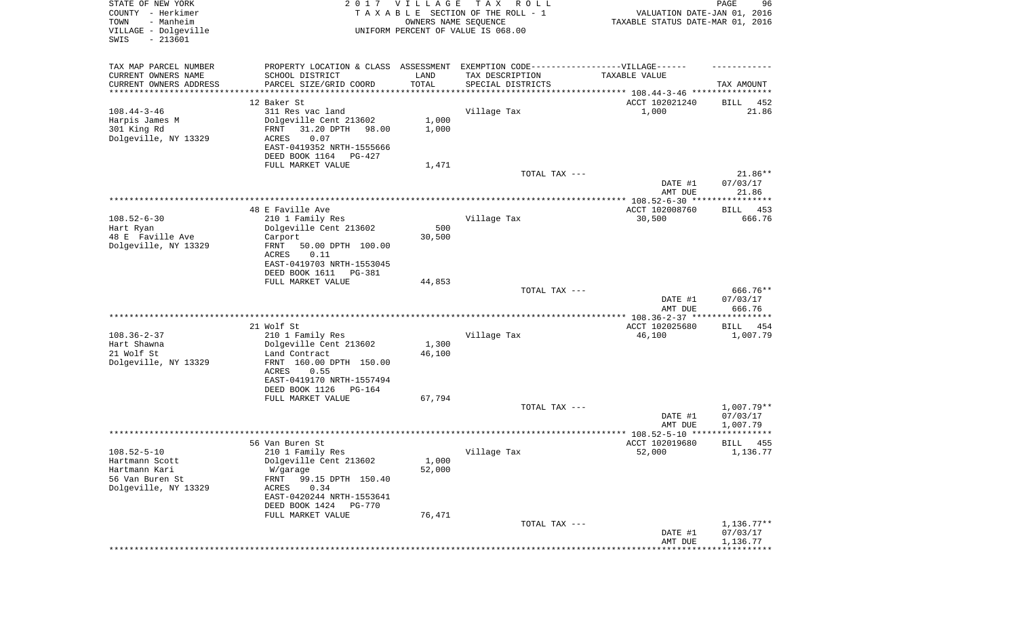| STATE OF NEW YORK<br>COUNTY - Herkimer<br>- Manheim<br>TOWN<br>VILLAGE - Dolgeville<br>SWIS<br>$-213601$ |                                                                                   | 2017 VILLAGE<br>OWNERS NAME SEQUENCE | T A X<br>R O L L<br>TAXABLE SECTION OF THE ROLL - 1<br>UNIFORM PERCENT OF VALUE IS 068.00 | VALUATION DATE-JAN 01, 2016<br>TAXABLE STATUS DATE-MAR 01, 2016 | PAGE<br>96            |
|----------------------------------------------------------------------------------------------------------|-----------------------------------------------------------------------------------|--------------------------------------|-------------------------------------------------------------------------------------------|-----------------------------------------------------------------|-----------------------|
| TAX MAP PARCEL NUMBER                                                                                    | PROPERTY LOCATION & CLASS ASSESSMENT EXEMPTION CODE-----------------VILLAGE------ |                                      |                                                                                           |                                                                 |                       |
| CURRENT OWNERS NAME<br>CURRENT OWNERS ADDRESS                                                            | SCHOOL DISTRICT<br>PARCEL SIZE/GRID COORD                                         | LAND<br>TOTAL                        | TAX DESCRIPTION<br>SPECIAL DISTRICTS                                                      | TAXABLE VALUE                                                   | TAX AMOUNT            |
| *********************                                                                                    | ***************                                                                   | * * * * * * * * * * *                | ********************************* 108.44-3-46 ****************                            |                                                                 |                       |
|                                                                                                          | 12 Baker St                                                                       |                                      |                                                                                           | ACCT 102021240                                                  | BILL<br>452           |
| $108.44 - 3 - 46$                                                                                        | 311 Res vac land                                                                  |                                      | Village Tax                                                                               | 1,000                                                           | 21.86                 |
| Harpis James M                                                                                           | Dolgeville Cent 213602<br>31.20 DPTH                                              | 1,000                                |                                                                                           |                                                                 |                       |
| 301 King Rd<br>Dolgeville, NY 13329                                                                      | FRNT<br>98.00<br>0.07<br>ACRES                                                    | 1,000                                |                                                                                           |                                                                 |                       |
|                                                                                                          | EAST-0419352 NRTH-1555666                                                         |                                      |                                                                                           |                                                                 |                       |
|                                                                                                          | DEED BOOK 1164<br>PG-427                                                          |                                      |                                                                                           |                                                                 |                       |
|                                                                                                          | FULL MARKET VALUE                                                                 | 1,471                                |                                                                                           |                                                                 |                       |
|                                                                                                          |                                                                                   |                                      | TOTAL TAX ---                                                                             | DATE #1                                                         | $21.86**$<br>07/03/17 |
|                                                                                                          |                                                                                   |                                      |                                                                                           | AMT DUE                                                         | 21.86                 |
|                                                                                                          |                                                                                   |                                      |                                                                                           |                                                                 |                       |
|                                                                                                          | 48 E Faville Ave                                                                  |                                      |                                                                                           | ACCT 102008760                                                  | 453<br>BILL           |
| $108.52 - 6 - 30$                                                                                        | 210 1 Family Res                                                                  |                                      | Village Tax                                                                               | 30,500                                                          | 666.76                |
| Hart Ryan                                                                                                | Dolgeville Cent 213602                                                            | 500                                  |                                                                                           |                                                                 |                       |
| 48 E Faville Ave<br>Dolgeville, NY 13329                                                                 | Carport<br>FRNT<br>50.00 DPTH 100.00                                              | 30,500                               |                                                                                           |                                                                 |                       |
|                                                                                                          | ACRES<br>0.11                                                                     |                                      |                                                                                           |                                                                 |                       |
|                                                                                                          | EAST-0419703 NRTH-1553045                                                         |                                      |                                                                                           |                                                                 |                       |
|                                                                                                          | DEED BOOK 1611<br>PG-381                                                          |                                      |                                                                                           |                                                                 |                       |
|                                                                                                          | FULL MARKET VALUE                                                                 | 44,853                               |                                                                                           |                                                                 |                       |
|                                                                                                          |                                                                                   |                                      | TOTAL TAX ---                                                                             | DATE #1                                                         | 666.76**<br>07/03/17  |
|                                                                                                          |                                                                                   |                                      |                                                                                           | AMT DUE                                                         | 666.76                |
|                                                                                                          |                                                                                   |                                      |                                                                                           | ************* 108.36-2-37 *****************                     |                       |
|                                                                                                          | 21 Wolf St                                                                        |                                      |                                                                                           | ACCT 102025680                                                  | BILL<br>454           |
| $108.36 - 2 - 37$                                                                                        | 210 1 Family Res                                                                  |                                      | Village Tax                                                                               | 46,100                                                          | 1,007.79              |
| Hart Shawna<br>21 Wolf St                                                                                | Dolgeville Cent 213602<br>Land Contract                                           | 1,300<br>46,100                      |                                                                                           |                                                                 |                       |
| Dolgeville, NY 13329                                                                                     | FRNT 160.00 DPTH 150.00                                                           |                                      |                                                                                           |                                                                 |                       |
|                                                                                                          | ACRES<br>0.55                                                                     |                                      |                                                                                           |                                                                 |                       |
|                                                                                                          | EAST-0419170 NRTH-1557494                                                         |                                      |                                                                                           |                                                                 |                       |
|                                                                                                          | DEED BOOK 1126<br>PG-164                                                          |                                      |                                                                                           |                                                                 |                       |
|                                                                                                          | FULL MARKET VALUE                                                                 | 67,794                               | TOTAL TAX ---                                                                             |                                                                 | 1,007.79**            |
|                                                                                                          |                                                                                   |                                      |                                                                                           | DATE #1                                                         | 07/03/17              |
|                                                                                                          |                                                                                   |                                      |                                                                                           | AMT DUE                                                         | 1,007.79              |
|                                                                                                          |                                                                                   |                                      |                                                                                           |                                                                 | ************          |
|                                                                                                          | 56 Van Buren St                                                                   |                                      |                                                                                           | ACCT 102019680                                                  | 455<br>BILL           |
| $108.52 - 5 - 10$<br>Hartmann Scott                                                                      | 210 1 Family Res<br>Dolgeville Cent 213602                                        | 1,000                                | Village Tax                                                                               | 52,000                                                          | 1,136.77              |
| Hartmann Kari                                                                                            | W/garage                                                                          | 52,000                               |                                                                                           |                                                                 |                       |
| 56 Van Buren St                                                                                          | 99.15 DPTH 150.40<br>FRNT                                                         |                                      |                                                                                           |                                                                 |                       |
| Dolgeville, NY 13329                                                                                     | 0.34<br>ACRES                                                                     |                                      |                                                                                           |                                                                 |                       |
|                                                                                                          | EAST-0420244 NRTH-1553641                                                         |                                      |                                                                                           |                                                                 |                       |
|                                                                                                          | DEED BOOK 1424 PG-770                                                             |                                      |                                                                                           |                                                                 |                       |
|                                                                                                          | FULL MARKET VALUE                                                                 | 76,471                               | TOTAL TAX ---                                                                             |                                                                 | $1,136.77**$          |
|                                                                                                          |                                                                                   |                                      |                                                                                           | DATE #1                                                         | 07/03/17              |
|                                                                                                          |                                                                                   |                                      |                                                                                           | AMT DUE                                                         | 1,136.77              |
|                                                                                                          |                                                                                   |                                      |                                                                                           |                                                                 |                       |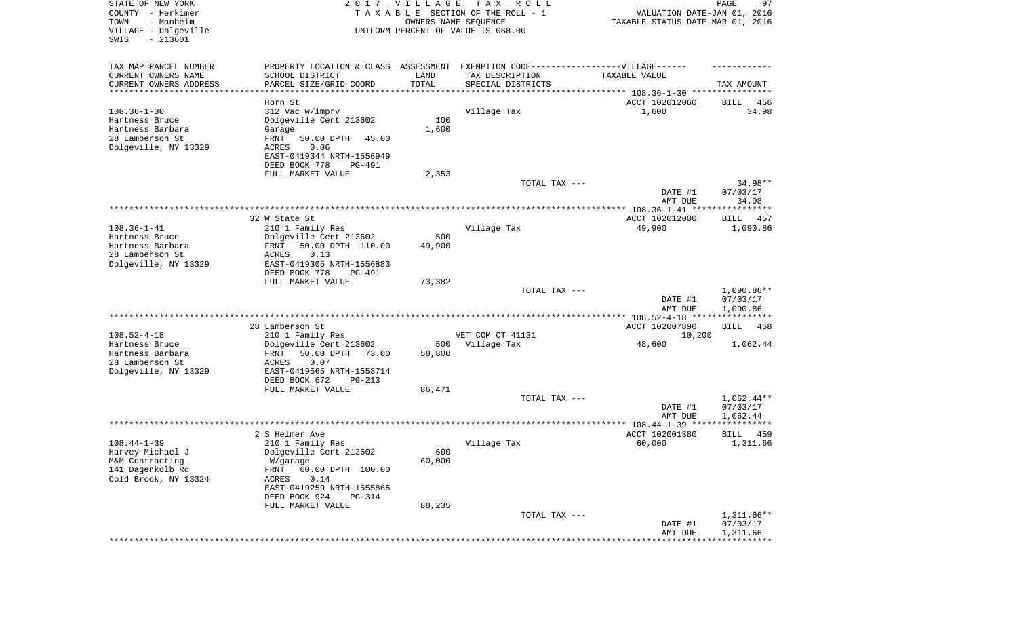| STATE OF NEW YORK<br>COUNTY - Herkimer<br>- Manheim<br>TOWN<br>VILLAGE - Dolgeville<br>$-213601$<br>SWIS |                                                                                  | 2017 VILLAGE<br>OWNERS NAME SEQUENCE | T A X<br>R O L L<br>TAXABLE SECTION OF THE ROLL - 1<br>UNIFORM PERCENT OF VALUE IS 068.00 | VALUATION DATE-JAN 01, 2016<br>TAXABLE STATUS DATE-MAR 01, 2016 | PAGE<br>97               |
|----------------------------------------------------------------------------------------------------------|----------------------------------------------------------------------------------|--------------------------------------|-------------------------------------------------------------------------------------------|-----------------------------------------------------------------|--------------------------|
| TAX MAP PARCEL NUMBER                                                                                    | PROPERTY LOCATION & CLASS ASSESSMENT EXEMPTION CODE----------------VILLAGE------ |                                      |                                                                                           |                                                                 |                          |
| CURRENT OWNERS NAME                                                                                      | SCHOOL DISTRICT                                                                  | LAND                                 | TAX DESCRIPTION                                                                           | TAXABLE VALUE                                                   |                          |
| CURRENT OWNERS ADDRESS<br>***********************                                                        | PARCEL SIZE/GRID COORD<br>******************                                     | TOTAL<br>***********                 | SPECIAL DISTRICTS                                                                         |                                                                 | TAX AMOUNT               |
|                                                                                                          | Horn St                                                                          |                                      |                                                                                           | ACCT 102012060                                                  | BILL<br>456              |
| $108.36 - 1 - 30$                                                                                        | 312 Vac w/imprv                                                                  |                                      | Village Tax                                                                               | 1,600                                                           | 34.98                    |
| Hartness Bruce                                                                                           | Dolgeville Cent 213602                                                           | 100                                  |                                                                                           |                                                                 |                          |
| Hartness Barbara                                                                                         | Garage                                                                           | 1,600                                |                                                                                           |                                                                 |                          |
| 28 Lamberson St                                                                                          | FRNT<br>50.00 DPTH<br>45.00                                                      |                                      |                                                                                           |                                                                 |                          |
| Dolgeville, NY 13329                                                                                     | ACRES<br>0.06<br>EAST-0419344 NRTH-1556949                                       |                                      |                                                                                           |                                                                 |                          |
|                                                                                                          | DEED BOOK 778<br>PG-491                                                          |                                      |                                                                                           |                                                                 |                          |
|                                                                                                          | FULL MARKET VALUE                                                                | 2,353                                |                                                                                           |                                                                 |                          |
|                                                                                                          |                                                                                  |                                      | TOTAL TAX ---                                                                             |                                                                 | 34.98**                  |
|                                                                                                          |                                                                                  |                                      |                                                                                           | DATE #1                                                         | 07/03/17                 |
|                                                                                                          |                                                                                  |                                      |                                                                                           | AMT DUE                                                         | 34.98                    |
|                                                                                                          |                                                                                  |                                      |                                                                                           |                                                                 |                          |
| $108.36 - 1 - 41$                                                                                        | 32 W State St                                                                    |                                      |                                                                                           | ACCT 102012000                                                  | 457<br>BILL              |
| Hartness Bruce                                                                                           | 210 1 Family Res<br>Dolgeville Cent 213602                                       | 500                                  | Village Tax                                                                               | 49,900                                                          | 1,090.86                 |
| Hartness Barbara                                                                                         | FRNT<br>50.00 DPTH 110.00                                                        | 49,900                               |                                                                                           |                                                                 |                          |
| 28 Lamberson St                                                                                          | ACRES<br>0.13                                                                    |                                      |                                                                                           |                                                                 |                          |
| Dolgeville, NY 13329                                                                                     | EAST-0419305 NRTH-1556883                                                        |                                      |                                                                                           |                                                                 |                          |
|                                                                                                          | DEED BOOK 778<br><b>PG-491</b>                                                   |                                      |                                                                                           |                                                                 |                          |
|                                                                                                          | FULL MARKET VALUE                                                                | 73,382                               |                                                                                           |                                                                 |                          |
|                                                                                                          |                                                                                  |                                      | TOTAL TAX ---                                                                             | DATE #1                                                         | $1,090.86**$<br>07/03/17 |
|                                                                                                          |                                                                                  |                                      |                                                                                           | AMT DUE                                                         | 1,090.86                 |
|                                                                                                          |                                                                                  |                                      |                                                                                           | ************ 108.52-4-18 *****************                      |                          |
|                                                                                                          | 28 Lamberson St                                                                  |                                      |                                                                                           | ACCT 102007890                                                  | <b>BILL</b><br>458       |
| $108.52 - 4 - 18$                                                                                        | 210 1 Family Res                                                                 |                                      | VET COM CT 41131                                                                          | 10,200                                                          |                          |
| Hartness Bruce                                                                                           | Dolgeville Cent 213602                                                           | 500                                  | Village Tax                                                                               | 48,600                                                          | 1,062.44                 |
| Hartness Barbara<br>28 Lamberson St                                                                      | FRNT<br>50.00 DPTH<br>73.00                                                      | 58,800                               |                                                                                           |                                                                 |                          |
| Dolgeville, NY 13329                                                                                     | ACRES<br>0.07<br>EAST-0419565 NRTH-1553714                                       |                                      |                                                                                           |                                                                 |                          |
|                                                                                                          | DEED BOOK 672<br>PG-213                                                          |                                      |                                                                                           |                                                                 |                          |
|                                                                                                          | FULL MARKET VALUE                                                                | 86,471                               |                                                                                           |                                                                 |                          |
|                                                                                                          |                                                                                  |                                      | TOTAL TAX ---                                                                             |                                                                 | $1,062.44**$             |
|                                                                                                          |                                                                                  |                                      |                                                                                           | DATE #1                                                         | 07/03/17                 |
|                                                                                                          |                                                                                  |                                      |                                                                                           | AMT DUE                                                         | 1,062.44                 |
|                                                                                                          | 2 S Helmer Ave                                                                   |                                      |                                                                                           | ACCT 102001380                                                  | BILL<br>459              |
| $108.44 - 1 - 39$                                                                                        | 210 1 Family Res                                                                 |                                      | Village Tax                                                                               | 60,000                                                          | 1,311.66                 |
| Harvey Michael J                                                                                         | Dolgeville Cent 213602                                                           | 600                                  |                                                                                           |                                                                 |                          |
| M&M Contracting                                                                                          | W/garage                                                                         | 60,000                               |                                                                                           |                                                                 |                          |
| 141 Dagenkolb Rd                                                                                         | 60.00 DPTH 100.00<br>FRNT                                                        |                                      |                                                                                           |                                                                 |                          |
| Cold Brook, NY 13324                                                                                     | 0.14<br>ACRES                                                                    |                                      |                                                                                           |                                                                 |                          |
|                                                                                                          | EAST-0419259 NRTH-1555866                                                        |                                      |                                                                                           |                                                                 |                          |
|                                                                                                          | DEED BOOK 924<br>PG-314                                                          |                                      |                                                                                           |                                                                 |                          |
|                                                                                                          | FULL MARKET VALUE                                                                | 88,235                               | TOTAL TAX ---                                                                             |                                                                 | $1,311.66**$             |
|                                                                                                          |                                                                                  |                                      |                                                                                           | DATE #1                                                         | 07/03/17                 |
|                                                                                                          |                                                                                  |                                      |                                                                                           | AMT DUE                                                         | 1,311.66                 |
|                                                                                                          |                                                                                  |                                      |                                                                                           |                                                                 | **********               |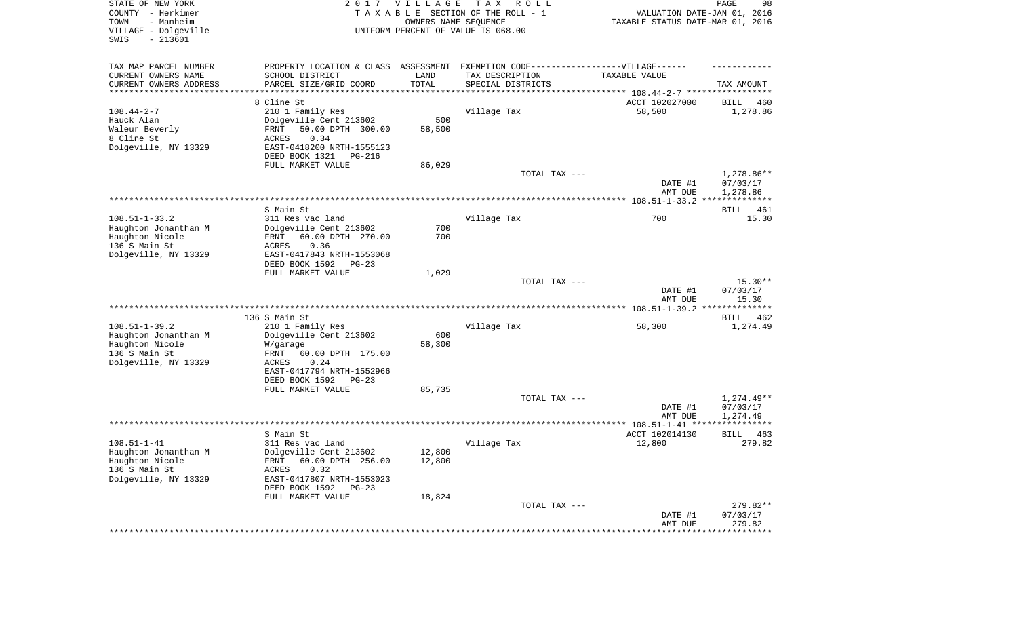| TAX MAP PARCEL NUMBER<br>PROPERTY LOCATION & CLASS ASSESSMENT EXEMPTION CODE----------------VILLAGE------<br>CURRENT OWNERS NAME<br>SCHOOL DISTRICT<br>LAND<br>TAX DESCRIPTION<br>TAXABLE VALUE<br>TOTAL<br>CURRENT OWNERS ADDRESS<br>PARCEL SIZE/GRID COORD<br>SPECIAL DISTRICTS<br>TAX AMOUNT<br>********************<br>********************************* 108.44-2-7 *****************<br>8 Cline St<br>ACCT 102027000<br>BILL<br>460<br>$108.44 - 2 - 7$<br>210 1 Family Res<br>Village Tax<br>58,500<br>1,278.86<br>500<br>Hauck Alan<br>Dolgeville Cent 213602<br>Waleur Beverly<br>50.00 DPTH 300.00<br>58,500<br>FRNT<br>8 Cline St<br><b>ACRES</b><br>0.34<br>Dolgeville, NY 13329<br>EAST-0418200 NRTH-1555123<br>DEED BOOK 1321<br>PG-216<br>FULL MARKET VALUE<br>86,029<br>1,278.86**<br>TOTAL TAX ---<br>07/03/17<br>DATE #1<br>AMT DUE<br>1,278.86<br>S Main St<br>461<br>BILL<br>$108.51 - 1 - 33.2$<br>700<br>311 Res vac land<br>Village Tax<br>15.30<br>Dolgeville Cent 213602<br>700<br>Haughton Jonanthan M<br>Haughton Nicole<br>60.00 DPTH 270.00<br>700<br>FRNT<br>136 S Main St<br>0.36<br>ACRES<br>Dolgeville, NY 13329<br>EAST-0417843 NRTH-1553068<br>DEED BOOK 1592<br>$PG-23$<br>FULL MARKET VALUE<br>1,029<br>TOTAL TAX ---<br>$15.30**$<br>DATE #1<br>07/03/17<br>15.30<br>AMT DUE<br>136 S Main St<br>BILL<br>462<br>$108.51 - 1 - 39.2$<br>210 1 Family Res<br>Village Tax<br>58,300<br>1,274.49<br>Dolgeville Cent 213602<br>600<br>Haughton Jonanthan M<br>Haughton Nicole<br>58,300<br>W/garage<br>136 S Main St<br>60.00 DPTH 175.00<br>FRNT<br>Dolgeville, NY 13329<br><b>ACRES</b><br>0.24<br>EAST-0417794 NRTH-1552966<br>DEED BOOK 1592<br>$PG-23$<br>FULL MARKET VALUE<br>85,735<br>$1,274.49**$<br>TOTAL TAX ---<br>07/03/17<br>DATE #1<br>AMT DUE<br>1,274.49<br>S Main St<br>ACCT 102014130<br>463<br>BILL<br>$108.51 - 1 - 41$<br>Village Tax<br>12,800<br>279.82<br>311 Res vac land<br>12,800<br>Haughton Jonanthan M<br>Dolgeville Cent 213602<br>FRNT 60.00 DPTH 256.00<br>Haughton Nicole<br>12,800<br>136 S Main St<br>0.32<br><b>ACRES</b><br>Dolgeville, NY 13329<br>EAST-0417807 NRTH-1553023<br>DEED BOOK 1592<br>PG-23<br>FULL MARKET VALUE<br>18,824<br>$279.82**$<br>TOTAL TAX ---<br>DATE #1<br>07/03/17<br>AMT DUE<br>279.82<br>************************************* | STATE OF NEW YORK<br>COUNTY - Herkimer<br>- Manheim<br>TOWN<br>VILLAGE - Dolgeville<br>SWIS<br>$-213601$ | 2017 | VILLAGE | T A X<br>R O L L<br>TAXABLE SECTION OF THE ROLL - 1<br>OWNERS NAME SEQUENCE<br>UNIFORM PERCENT OF VALUE IS 068.00 | VALUATION DATE-JAN 01, 2016<br>TAXABLE STATUS DATE-MAR 01, 2016 | 98<br>PAGE |
|------------------------------------------------------------------------------------------------------------------------------------------------------------------------------------------------------------------------------------------------------------------------------------------------------------------------------------------------------------------------------------------------------------------------------------------------------------------------------------------------------------------------------------------------------------------------------------------------------------------------------------------------------------------------------------------------------------------------------------------------------------------------------------------------------------------------------------------------------------------------------------------------------------------------------------------------------------------------------------------------------------------------------------------------------------------------------------------------------------------------------------------------------------------------------------------------------------------------------------------------------------------------------------------------------------------------------------------------------------------------------------------------------------------------------------------------------------------------------------------------------------------------------------------------------------------------------------------------------------------------------------------------------------------------------------------------------------------------------------------------------------------------------------------------------------------------------------------------------------------------------------------------------------------------------------------------------------------------------------------------------------------------------------------------------------------------------------------------------------------------------------------------------------------------------------------------------------------------------------------------------------------------------------------------------------------------------------|----------------------------------------------------------------------------------------------------------|------|---------|-------------------------------------------------------------------------------------------------------------------|-----------------------------------------------------------------|------------|
|                                                                                                                                                                                                                                                                                                                                                                                                                                                                                                                                                                                                                                                                                                                                                                                                                                                                                                                                                                                                                                                                                                                                                                                                                                                                                                                                                                                                                                                                                                                                                                                                                                                                                                                                                                                                                                                                                                                                                                                                                                                                                                                                                                                                                                                                                                                                    |                                                                                                          |      |         |                                                                                                                   |                                                                 |            |
|                                                                                                                                                                                                                                                                                                                                                                                                                                                                                                                                                                                                                                                                                                                                                                                                                                                                                                                                                                                                                                                                                                                                                                                                                                                                                                                                                                                                                                                                                                                                                                                                                                                                                                                                                                                                                                                                                                                                                                                                                                                                                                                                                                                                                                                                                                                                    |                                                                                                          |      |         |                                                                                                                   |                                                                 |            |
|                                                                                                                                                                                                                                                                                                                                                                                                                                                                                                                                                                                                                                                                                                                                                                                                                                                                                                                                                                                                                                                                                                                                                                                                                                                                                                                                                                                                                                                                                                                                                                                                                                                                                                                                                                                                                                                                                                                                                                                                                                                                                                                                                                                                                                                                                                                                    |                                                                                                          |      |         |                                                                                                                   |                                                                 |            |
|                                                                                                                                                                                                                                                                                                                                                                                                                                                                                                                                                                                                                                                                                                                                                                                                                                                                                                                                                                                                                                                                                                                                                                                                                                                                                                                                                                                                                                                                                                                                                                                                                                                                                                                                                                                                                                                                                                                                                                                                                                                                                                                                                                                                                                                                                                                                    |                                                                                                          |      |         |                                                                                                                   |                                                                 |            |
|                                                                                                                                                                                                                                                                                                                                                                                                                                                                                                                                                                                                                                                                                                                                                                                                                                                                                                                                                                                                                                                                                                                                                                                                                                                                                                                                                                                                                                                                                                                                                                                                                                                                                                                                                                                                                                                                                                                                                                                                                                                                                                                                                                                                                                                                                                                                    |                                                                                                          |      |         |                                                                                                                   |                                                                 |            |
|                                                                                                                                                                                                                                                                                                                                                                                                                                                                                                                                                                                                                                                                                                                                                                                                                                                                                                                                                                                                                                                                                                                                                                                                                                                                                                                                                                                                                                                                                                                                                                                                                                                                                                                                                                                                                                                                                                                                                                                                                                                                                                                                                                                                                                                                                                                                    |                                                                                                          |      |         |                                                                                                                   |                                                                 |            |
|                                                                                                                                                                                                                                                                                                                                                                                                                                                                                                                                                                                                                                                                                                                                                                                                                                                                                                                                                                                                                                                                                                                                                                                                                                                                                                                                                                                                                                                                                                                                                                                                                                                                                                                                                                                                                                                                                                                                                                                                                                                                                                                                                                                                                                                                                                                                    |                                                                                                          |      |         |                                                                                                                   |                                                                 |            |
|                                                                                                                                                                                                                                                                                                                                                                                                                                                                                                                                                                                                                                                                                                                                                                                                                                                                                                                                                                                                                                                                                                                                                                                                                                                                                                                                                                                                                                                                                                                                                                                                                                                                                                                                                                                                                                                                                                                                                                                                                                                                                                                                                                                                                                                                                                                                    |                                                                                                          |      |         |                                                                                                                   |                                                                 |            |
|                                                                                                                                                                                                                                                                                                                                                                                                                                                                                                                                                                                                                                                                                                                                                                                                                                                                                                                                                                                                                                                                                                                                                                                                                                                                                                                                                                                                                                                                                                                                                                                                                                                                                                                                                                                                                                                                                                                                                                                                                                                                                                                                                                                                                                                                                                                                    |                                                                                                          |      |         |                                                                                                                   |                                                                 |            |
|                                                                                                                                                                                                                                                                                                                                                                                                                                                                                                                                                                                                                                                                                                                                                                                                                                                                                                                                                                                                                                                                                                                                                                                                                                                                                                                                                                                                                                                                                                                                                                                                                                                                                                                                                                                                                                                                                                                                                                                                                                                                                                                                                                                                                                                                                                                                    |                                                                                                          |      |         |                                                                                                                   |                                                                 |            |
|                                                                                                                                                                                                                                                                                                                                                                                                                                                                                                                                                                                                                                                                                                                                                                                                                                                                                                                                                                                                                                                                                                                                                                                                                                                                                                                                                                                                                                                                                                                                                                                                                                                                                                                                                                                                                                                                                                                                                                                                                                                                                                                                                                                                                                                                                                                                    |                                                                                                          |      |         |                                                                                                                   |                                                                 |            |
|                                                                                                                                                                                                                                                                                                                                                                                                                                                                                                                                                                                                                                                                                                                                                                                                                                                                                                                                                                                                                                                                                                                                                                                                                                                                                                                                                                                                                                                                                                                                                                                                                                                                                                                                                                                                                                                                                                                                                                                                                                                                                                                                                                                                                                                                                                                                    |                                                                                                          |      |         |                                                                                                                   |                                                                 |            |
|                                                                                                                                                                                                                                                                                                                                                                                                                                                                                                                                                                                                                                                                                                                                                                                                                                                                                                                                                                                                                                                                                                                                                                                                                                                                                                                                                                                                                                                                                                                                                                                                                                                                                                                                                                                                                                                                                                                                                                                                                                                                                                                                                                                                                                                                                                                                    |                                                                                                          |      |         |                                                                                                                   |                                                                 |            |
|                                                                                                                                                                                                                                                                                                                                                                                                                                                                                                                                                                                                                                                                                                                                                                                                                                                                                                                                                                                                                                                                                                                                                                                                                                                                                                                                                                                                                                                                                                                                                                                                                                                                                                                                                                                                                                                                                                                                                                                                                                                                                                                                                                                                                                                                                                                                    |                                                                                                          |      |         |                                                                                                                   |                                                                 |            |
|                                                                                                                                                                                                                                                                                                                                                                                                                                                                                                                                                                                                                                                                                                                                                                                                                                                                                                                                                                                                                                                                                                                                                                                                                                                                                                                                                                                                                                                                                                                                                                                                                                                                                                                                                                                                                                                                                                                                                                                                                                                                                                                                                                                                                                                                                                                                    |                                                                                                          |      |         |                                                                                                                   |                                                                 |            |
|                                                                                                                                                                                                                                                                                                                                                                                                                                                                                                                                                                                                                                                                                                                                                                                                                                                                                                                                                                                                                                                                                                                                                                                                                                                                                                                                                                                                                                                                                                                                                                                                                                                                                                                                                                                                                                                                                                                                                                                                                                                                                                                                                                                                                                                                                                                                    |                                                                                                          |      |         |                                                                                                                   |                                                                 |            |
|                                                                                                                                                                                                                                                                                                                                                                                                                                                                                                                                                                                                                                                                                                                                                                                                                                                                                                                                                                                                                                                                                                                                                                                                                                                                                                                                                                                                                                                                                                                                                                                                                                                                                                                                                                                                                                                                                                                                                                                                                                                                                                                                                                                                                                                                                                                                    |                                                                                                          |      |         |                                                                                                                   |                                                                 |            |
|                                                                                                                                                                                                                                                                                                                                                                                                                                                                                                                                                                                                                                                                                                                                                                                                                                                                                                                                                                                                                                                                                                                                                                                                                                                                                                                                                                                                                                                                                                                                                                                                                                                                                                                                                                                                                                                                                                                                                                                                                                                                                                                                                                                                                                                                                                                                    |                                                                                                          |      |         |                                                                                                                   |                                                                 |            |
|                                                                                                                                                                                                                                                                                                                                                                                                                                                                                                                                                                                                                                                                                                                                                                                                                                                                                                                                                                                                                                                                                                                                                                                                                                                                                                                                                                                                                                                                                                                                                                                                                                                                                                                                                                                                                                                                                                                                                                                                                                                                                                                                                                                                                                                                                                                                    |                                                                                                          |      |         |                                                                                                                   |                                                                 |            |
|                                                                                                                                                                                                                                                                                                                                                                                                                                                                                                                                                                                                                                                                                                                                                                                                                                                                                                                                                                                                                                                                                                                                                                                                                                                                                                                                                                                                                                                                                                                                                                                                                                                                                                                                                                                                                                                                                                                                                                                                                                                                                                                                                                                                                                                                                                                                    |                                                                                                          |      |         |                                                                                                                   |                                                                 |            |
|                                                                                                                                                                                                                                                                                                                                                                                                                                                                                                                                                                                                                                                                                                                                                                                                                                                                                                                                                                                                                                                                                                                                                                                                                                                                                                                                                                                                                                                                                                                                                                                                                                                                                                                                                                                                                                                                                                                                                                                                                                                                                                                                                                                                                                                                                                                                    |                                                                                                          |      |         |                                                                                                                   |                                                                 |            |
|                                                                                                                                                                                                                                                                                                                                                                                                                                                                                                                                                                                                                                                                                                                                                                                                                                                                                                                                                                                                                                                                                                                                                                                                                                                                                                                                                                                                                                                                                                                                                                                                                                                                                                                                                                                                                                                                                                                                                                                                                                                                                                                                                                                                                                                                                                                                    |                                                                                                          |      |         |                                                                                                                   |                                                                 |            |
|                                                                                                                                                                                                                                                                                                                                                                                                                                                                                                                                                                                                                                                                                                                                                                                                                                                                                                                                                                                                                                                                                                                                                                                                                                                                                                                                                                                                                                                                                                                                                                                                                                                                                                                                                                                                                                                                                                                                                                                                                                                                                                                                                                                                                                                                                                                                    |                                                                                                          |      |         |                                                                                                                   |                                                                 |            |
|                                                                                                                                                                                                                                                                                                                                                                                                                                                                                                                                                                                                                                                                                                                                                                                                                                                                                                                                                                                                                                                                                                                                                                                                                                                                                                                                                                                                                                                                                                                                                                                                                                                                                                                                                                                                                                                                                                                                                                                                                                                                                                                                                                                                                                                                                                                                    |                                                                                                          |      |         |                                                                                                                   |                                                                 |            |
|                                                                                                                                                                                                                                                                                                                                                                                                                                                                                                                                                                                                                                                                                                                                                                                                                                                                                                                                                                                                                                                                                                                                                                                                                                                                                                                                                                                                                                                                                                                                                                                                                                                                                                                                                                                                                                                                                                                                                                                                                                                                                                                                                                                                                                                                                                                                    |                                                                                                          |      |         |                                                                                                                   |                                                                 |            |
|                                                                                                                                                                                                                                                                                                                                                                                                                                                                                                                                                                                                                                                                                                                                                                                                                                                                                                                                                                                                                                                                                                                                                                                                                                                                                                                                                                                                                                                                                                                                                                                                                                                                                                                                                                                                                                                                                                                                                                                                                                                                                                                                                                                                                                                                                                                                    |                                                                                                          |      |         |                                                                                                                   |                                                                 |            |
|                                                                                                                                                                                                                                                                                                                                                                                                                                                                                                                                                                                                                                                                                                                                                                                                                                                                                                                                                                                                                                                                                                                                                                                                                                                                                                                                                                                                                                                                                                                                                                                                                                                                                                                                                                                                                                                                                                                                                                                                                                                                                                                                                                                                                                                                                                                                    |                                                                                                          |      |         |                                                                                                                   |                                                                 |            |
|                                                                                                                                                                                                                                                                                                                                                                                                                                                                                                                                                                                                                                                                                                                                                                                                                                                                                                                                                                                                                                                                                                                                                                                                                                                                                                                                                                                                                                                                                                                                                                                                                                                                                                                                                                                                                                                                                                                                                                                                                                                                                                                                                                                                                                                                                                                                    |                                                                                                          |      |         |                                                                                                                   |                                                                 |            |
|                                                                                                                                                                                                                                                                                                                                                                                                                                                                                                                                                                                                                                                                                                                                                                                                                                                                                                                                                                                                                                                                                                                                                                                                                                                                                                                                                                                                                                                                                                                                                                                                                                                                                                                                                                                                                                                                                                                                                                                                                                                                                                                                                                                                                                                                                                                                    |                                                                                                          |      |         |                                                                                                                   |                                                                 |            |
|                                                                                                                                                                                                                                                                                                                                                                                                                                                                                                                                                                                                                                                                                                                                                                                                                                                                                                                                                                                                                                                                                                                                                                                                                                                                                                                                                                                                                                                                                                                                                                                                                                                                                                                                                                                                                                                                                                                                                                                                                                                                                                                                                                                                                                                                                                                                    |                                                                                                          |      |         |                                                                                                                   |                                                                 |            |
|                                                                                                                                                                                                                                                                                                                                                                                                                                                                                                                                                                                                                                                                                                                                                                                                                                                                                                                                                                                                                                                                                                                                                                                                                                                                                                                                                                                                                                                                                                                                                                                                                                                                                                                                                                                                                                                                                                                                                                                                                                                                                                                                                                                                                                                                                                                                    |                                                                                                          |      |         |                                                                                                                   |                                                                 |            |
|                                                                                                                                                                                                                                                                                                                                                                                                                                                                                                                                                                                                                                                                                                                                                                                                                                                                                                                                                                                                                                                                                                                                                                                                                                                                                                                                                                                                                                                                                                                                                                                                                                                                                                                                                                                                                                                                                                                                                                                                                                                                                                                                                                                                                                                                                                                                    |                                                                                                          |      |         |                                                                                                                   |                                                                 |            |
|                                                                                                                                                                                                                                                                                                                                                                                                                                                                                                                                                                                                                                                                                                                                                                                                                                                                                                                                                                                                                                                                                                                                                                                                                                                                                                                                                                                                                                                                                                                                                                                                                                                                                                                                                                                                                                                                                                                                                                                                                                                                                                                                                                                                                                                                                                                                    |                                                                                                          |      |         |                                                                                                                   |                                                                 |            |
|                                                                                                                                                                                                                                                                                                                                                                                                                                                                                                                                                                                                                                                                                                                                                                                                                                                                                                                                                                                                                                                                                                                                                                                                                                                                                                                                                                                                                                                                                                                                                                                                                                                                                                                                                                                                                                                                                                                                                                                                                                                                                                                                                                                                                                                                                                                                    |                                                                                                          |      |         |                                                                                                                   |                                                                 |            |
|                                                                                                                                                                                                                                                                                                                                                                                                                                                                                                                                                                                                                                                                                                                                                                                                                                                                                                                                                                                                                                                                                                                                                                                                                                                                                                                                                                                                                                                                                                                                                                                                                                                                                                                                                                                                                                                                                                                                                                                                                                                                                                                                                                                                                                                                                                                                    |                                                                                                          |      |         |                                                                                                                   |                                                                 |            |
|                                                                                                                                                                                                                                                                                                                                                                                                                                                                                                                                                                                                                                                                                                                                                                                                                                                                                                                                                                                                                                                                                                                                                                                                                                                                                                                                                                                                                                                                                                                                                                                                                                                                                                                                                                                                                                                                                                                                                                                                                                                                                                                                                                                                                                                                                                                                    |                                                                                                          |      |         |                                                                                                                   |                                                                 |            |
|                                                                                                                                                                                                                                                                                                                                                                                                                                                                                                                                                                                                                                                                                                                                                                                                                                                                                                                                                                                                                                                                                                                                                                                                                                                                                                                                                                                                                                                                                                                                                                                                                                                                                                                                                                                                                                                                                                                                                                                                                                                                                                                                                                                                                                                                                                                                    |                                                                                                          |      |         |                                                                                                                   |                                                                 |            |
|                                                                                                                                                                                                                                                                                                                                                                                                                                                                                                                                                                                                                                                                                                                                                                                                                                                                                                                                                                                                                                                                                                                                                                                                                                                                                                                                                                                                                                                                                                                                                                                                                                                                                                                                                                                                                                                                                                                                                                                                                                                                                                                                                                                                                                                                                                                                    |                                                                                                          |      |         |                                                                                                                   |                                                                 |            |
|                                                                                                                                                                                                                                                                                                                                                                                                                                                                                                                                                                                                                                                                                                                                                                                                                                                                                                                                                                                                                                                                                                                                                                                                                                                                                                                                                                                                                                                                                                                                                                                                                                                                                                                                                                                                                                                                                                                                                                                                                                                                                                                                                                                                                                                                                                                                    |                                                                                                          |      |         |                                                                                                                   |                                                                 |            |
|                                                                                                                                                                                                                                                                                                                                                                                                                                                                                                                                                                                                                                                                                                                                                                                                                                                                                                                                                                                                                                                                                                                                                                                                                                                                                                                                                                                                                                                                                                                                                                                                                                                                                                                                                                                                                                                                                                                                                                                                                                                                                                                                                                                                                                                                                                                                    |                                                                                                          |      |         |                                                                                                                   |                                                                 |            |
|                                                                                                                                                                                                                                                                                                                                                                                                                                                                                                                                                                                                                                                                                                                                                                                                                                                                                                                                                                                                                                                                                                                                                                                                                                                                                                                                                                                                                                                                                                                                                                                                                                                                                                                                                                                                                                                                                                                                                                                                                                                                                                                                                                                                                                                                                                                                    |                                                                                                          |      |         |                                                                                                                   |                                                                 |            |
|                                                                                                                                                                                                                                                                                                                                                                                                                                                                                                                                                                                                                                                                                                                                                                                                                                                                                                                                                                                                                                                                                                                                                                                                                                                                                                                                                                                                                                                                                                                                                                                                                                                                                                                                                                                                                                                                                                                                                                                                                                                                                                                                                                                                                                                                                                                                    |                                                                                                          |      |         |                                                                                                                   |                                                                 |            |
|                                                                                                                                                                                                                                                                                                                                                                                                                                                                                                                                                                                                                                                                                                                                                                                                                                                                                                                                                                                                                                                                                                                                                                                                                                                                                                                                                                                                                                                                                                                                                                                                                                                                                                                                                                                                                                                                                                                                                                                                                                                                                                                                                                                                                                                                                                                                    |                                                                                                          |      |         |                                                                                                                   |                                                                 |            |
|                                                                                                                                                                                                                                                                                                                                                                                                                                                                                                                                                                                                                                                                                                                                                                                                                                                                                                                                                                                                                                                                                                                                                                                                                                                                                                                                                                                                                                                                                                                                                                                                                                                                                                                                                                                                                                                                                                                                                                                                                                                                                                                                                                                                                                                                                                                                    |                                                                                                          |      |         |                                                                                                                   |                                                                 |            |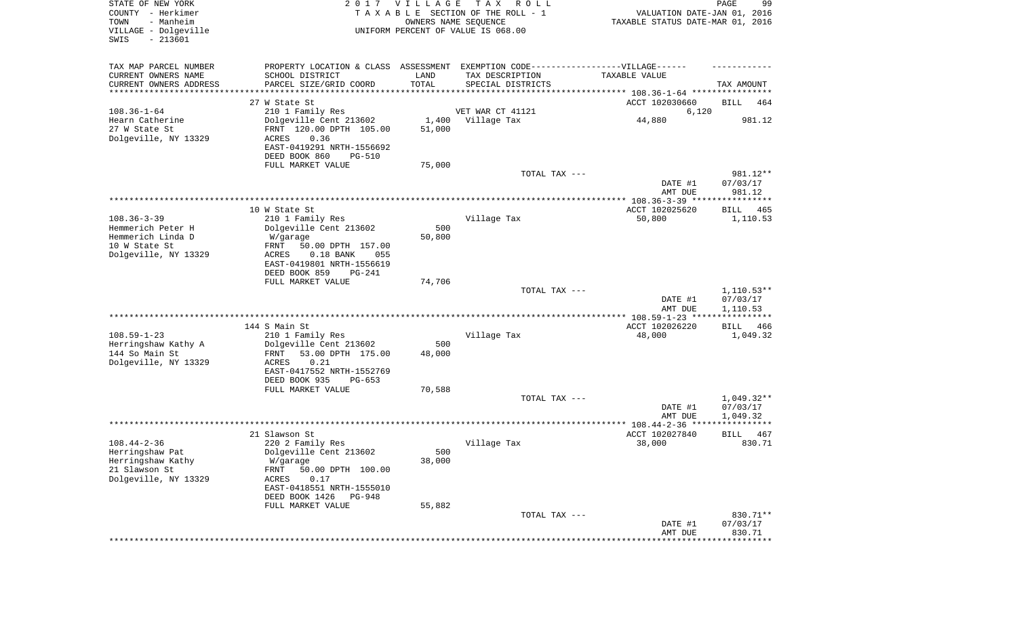| STATE OF NEW YORK<br>COUNTY - Herkimer<br>- Manheim<br>TOWN<br>VILLAGE - Dolgeville<br>$-213601$<br>SWIS |                                                                                   | 2017 VILLAGE<br>OWNERS NAME SEQUENCE | T A X<br>R O L L<br>TAXABLE SECTION OF THE ROLL - 1<br>UNIFORM PERCENT OF VALUE IS 068.00 | VALUATION DATE-JAN 01, 2016<br>TAXABLE STATUS DATE-MAR 01, 2016 | PAGE<br>99              |
|----------------------------------------------------------------------------------------------------------|-----------------------------------------------------------------------------------|--------------------------------------|-------------------------------------------------------------------------------------------|-----------------------------------------------------------------|-------------------------|
| TAX MAP PARCEL NUMBER                                                                                    | PROPERTY LOCATION & CLASS ASSESSMENT EXEMPTION CODE-----------------VILLAGE------ |                                      |                                                                                           |                                                                 |                         |
| CURRENT OWNERS NAME                                                                                      | SCHOOL DISTRICT                                                                   | LAND                                 | TAX DESCRIPTION                                                                           | TAXABLE VALUE                                                   |                         |
| CURRENT OWNERS ADDRESS<br>*********************                                                          | PARCEL SIZE/GRID COORD                                                            | TOTAL<br>**********                  | SPECIAL DISTRICTS                                                                         |                                                                 | TAX AMOUNT              |
|                                                                                                          | 27 W State St                                                                     |                                      |                                                                                           | ACCT 102030660                                                  | BILL<br>464             |
| $108.36 - 1 - 64$                                                                                        | 210 1 Family Res                                                                  |                                      | VET WAR CT 41121                                                                          | 6,120                                                           |                         |
| Hearn Catherine                                                                                          | Dolgeville Cent 213602                                                            | 1,400                                | Village Tax                                                                               | 44,880                                                          | 981.12                  |
| 27 W State St                                                                                            | FRNT 120.00 DPTH 105.00<br>ACRES<br>0.36                                          | 51,000                               |                                                                                           |                                                                 |                         |
| Dolgeville, NY 13329                                                                                     | EAST-0419291 NRTH-1556692                                                         |                                      |                                                                                           |                                                                 |                         |
|                                                                                                          | DEED BOOK 860<br><b>PG-510</b>                                                    |                                      |                                                                                           |                                                                 |                         |
|                                                                                                          | FULL MARKET VALUE                                                                 | 75,000                               |                                                                                           |                                                                 |                         |
|                                                                                                          |                                                                                   |                                      | TOTAL TAX ---                                                                             |                                                                 | 981.12**                |
|                                                                                                          |                                                                                   |                                      |                                                                                           | DATE #1<br>AMT DUE                                              | 07/03/17<br>981.12      |
|                                                                                                          |                                                                                   |                                      |                                                                                           |                                                                 |                         |
|                                                                                                          | 10 W State St                                                                     |                                      |                                                                                           | ACCT 102025620                                                  | BILL<br>465             |
| $108.36 - 3 - 39$                                                                                        | 210 1 Family Res                                                                  |                                      | Village Tax                                                                               | 50,800                                                          | 1,110.53                |
| Hemmerich Peter H                                                                                        | Dolgeville Cent 213602                                                            | 500                                  |                                                                                           |                                                                 |                         |
| Hemmerich Linda D<br>10 W State St                                                                       | W/garage<br>FRNT<br>50.00 DPTH 157.00                                             | 50,800                               |                                                                                           |                                                                 |                         |
| Dolgeville, NY 13329                                                                                     | $0.18$ BANK<br>055<br>ACRES                                                       |                                      |                                                                                           |                                                                 |                         |
|                                                                                                          | EAST-0419801 NRTH-1556619                                                         |                                      |                                                                                           |                                                                 |                         |
|                                                                                                          | DEED BOOK 859<br>PG-241                                                           |                                      |                                                                                           |                                                                 |                         |
|                                                                                                          | FULL MARKET VALUE                                                                 | 74,706                               | TOTAL TAX ---                                                                             |                                                                 | $1,110.53**$            |
|                                                                                                          |                                                                                   |                                      |                                                                                           | DATE #1                                                         | 07/03/17                |
|                                                                                                          |                                                                                   |                                      |                                                                                           | AMT DUE                                                         | 1,110.53                |
|                                                                                                          |                                                                                   |                                      |                                                                                           | *********** 108.59-1-23 **********                              | * * * * *               |
| $108.59 - 1 - 23$                                                                                        | 144 S Main St<br>210 1 Family Res                                                 |                                      | Village Tax                                                                               | ACCT 102026220<br>48,000                                        | BILL<br>466<br>1,049.32 |
| Herringshaw Kathy A                                                                                      | Dolgeville Cent 213602                                                            | 500                                  |                                                                                           |                                                                 |                         |
| 144 So Main St                                                                                           | FRNT<br>53.00 DPTH 175.00                                                         | 48,000                               |                                                                                           |                                                                 |                         |
| Dolgeville, NY 13329                                                                                     | ACRES<br>0.21                                                                     |                                      |                                                                                           |                                                                 |                         |
|                                                                                                          | EAST-0417552 NRTH-1552769                                                         |                                      |                                                                                           |                                                                 |                         |
|                                                                                                          | DEED BOOK 935<br>PG-653<br>FULL MARKET VALUE                                      | 70,588                               |                                                                                           |                                                                 |                         |
|                                                                                                          |                                                                                   |                                      | TOTAL TAX ---                                                                             |                                                                 | $1,049.32**$            |
|                                                                                                          |                                                                                   |                                      |                                                                                           | DATE #1                                                         | 07/03/17                |
|                                                                                                          |                                                                                   |                                      |                                                                                           | AMT DUE                                                         | 1,049.32                |
|                                                                                                          | 21 Slawson St                                                                     |                                      |                                                                                           | ACCT 102027840                                                  | <b>BILL</b><br>467      |
| $108.44 - 2 - 36$                                                                                        | 220 2 Family Res                                                                  |                                      | Village Tax                                                                               | 38,000                                                          | 830.71                  |
| Herringshaw Pat                                                                                          | Dolgeville Cent 213602                                                            | 500                                  |                                                                                           |                                                                 |                         |
| Herringshaw Kathy                                                                                        | W/garage                                                                          | 38,000                               |                                                                                           |                                                                 |                         |
| 21 Slawson St<br>Dolgeville, NY 13329                                                                    | 50.00 DPTH 100.00<br>FRNT                                                         |                                      |                                                                                           |                                                                 |                         |
|                                                                                                          | ACRES<br>0.17<br>EAST-0418551 NRTH-1555010                                        |                                      |                                                                                           |                                                                 |                         |
|                                                                                                          | DEED BOOK 1426<br>PG-948                                                          |                                      |                                                                                           |                                                                 |                         |
|                                                                                                          | FULL MARKET VALUE                                                                 | 55,882                               |                                                                                           |                                                                 |                         |
|                                                                                                          |                                                                                   |                                      | TOTAL TAX ---                                                                             |                                                                 | 830.71**                |
|                                                                                                          |                                                                                   |                                      |                                                                                           | DATE #1<br>AMT DUE                                              | 07/03/17<br>830.71      |
|                                                                                                          |                                                                                   |                                      |                                                                                           |                                                                 |                         |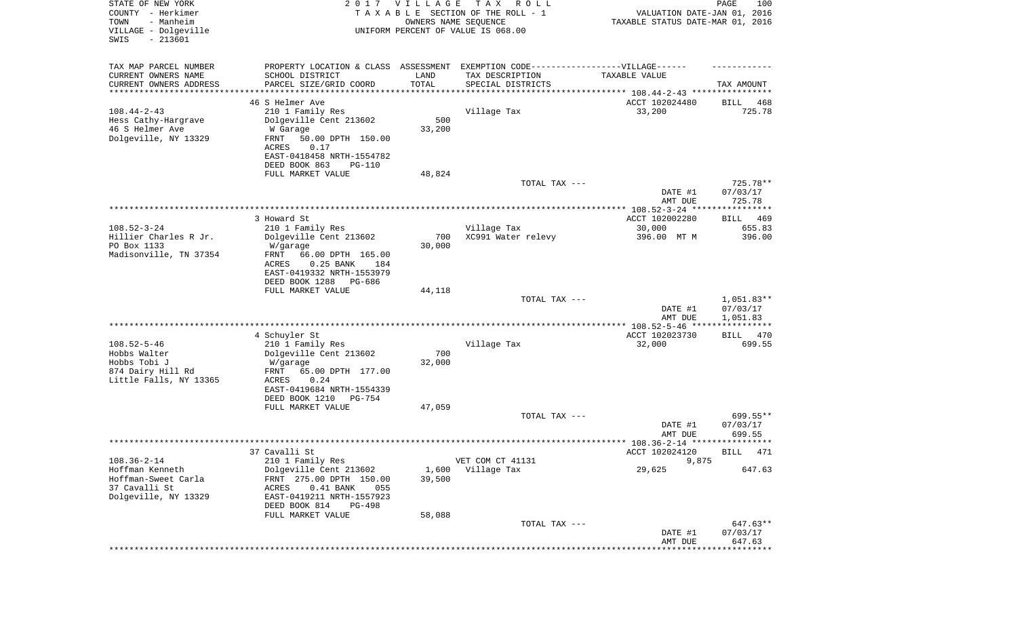| STATE OF NEW YORK<br>COUNTY - Herkimer<br>- Manheim<br>TOWN<br>VILLAGE - Dolgeville<br>SWIS<br>$-213601$ | 2017                                                     | <b>VILLAGE</b><br>OWNERS NAME SEQUENCE | T A X<br>R O L L<br>TAXABLE SECTION OF THE ROLL - 1<br>UNIFORM PERCENT OF VALUE IS 068.00 | VALUATION DATE-JAN 01, 2016<br>TAXABLE STATUS DATE-MAR 01, 2016 | PAGE<br>100             |
|----------------------------------------------------------------------------------------------------------|----------------------------------------------------------|----------------------------------------|-------------------------------------------------------------------------------------------|-----------------------------------------------------------------|-------------------------|
| TAX MAP PARCEL NUMBER                                                                                    |                                                          |                                        | PROPERTY LOCATION & CLASS ASSESSMENT EXEMPTION CODE-----------------VILLAGE------         |                                                                 |                         |
| CURRENT OWNERS NAME                                                                                      | SCHOOL DISTRICT                                          | LAND                                   | TAX DESCRIPTION                                                                           | TAXABLE VALUE                                                   |                         |
| CURRENT OWNERS ADDRESS<br>*********************                                                          | PARCEL SIZE/GRID COORD                                   | TOTAL                                  | SPECIAL DISTRICTS                                                                         |                                                                 | TAX AMOUNT              |
|                                                                                                          | 46 S Helmer Ave                                          |                                        |                                                                                           | ACCT 102024480                                                  | 468<br>BILL             |
| $108.44 - 2 - 43$                                                                                        | 210 1 Family Res                                         |                                        | Village Tax                                                                               | 33,200                                                          | 725.78                  |
| Hess Cathy-Hargrave                                                                                      | Dolgeville Cent 213602                                   | 500                                    |                                                                                           |                                                                 |                         |
| 46 S Helmer Ave                                                                                          | W Garage                                                 | 33,200                                 |                                                                                           |                                                                 |                         |
| Dolgeville, NY 13329                                                                                     | FRNT<br>50.00 DPTH 150.00<br>0.17                        |                                        |                                                                                           |                                                                 |                         |
|                                                                                                          | ACRES<br>EAST-0418458 NRTH-1554782                       |                                        |                                                                                           |                                                                 |                         |
|                                                                                                          | DEED BOOK 863<br><b>PG-110</b>                           |                                        |                                                                                           |                                                                 |                         |
|                                                                                                          | FULL MARKET VALUE                                        | 48,824                                 |                                                                                           |                                                                 |                         |
|                                                                                                          |                                                          |                                        | TOTAL TAX ---                                                                             |                                                                 | 725.78**                |
|                                                                                                          |                                                          |                                        |                                                                                           | DATE #1                                                         | 07/03/17                |
|                                                                                                          |                                                          |                                        |                                                                                           | AMT DUE                                                         | 725.78                  |
|                                                                                                          | 3 Howard St                                              |                                        |                                                                                           | ACCT 102002280                                                  | 469<br>BILL             |
| $108.52 - 3 - 24$                                                                                        | 210 1 Family Res                                         |                                        | Village Tax                                                                               | 30,000                                                          | 655.83                  |
| Hillier Charles R Jr.                                                                                    | Dolgeville Cent 213602                                   | 700                                    | XC991 Water relevy                                                                        | 396.00 MT M                                                     | 396.00                  |
| PO Box 1133                                                                                              | W/garage                                                 | 30,000                                 |                                                                                           |                                                                 |                         |
| Madisonville, TN 37354                                                                                   | FRNT<br>66.00 DPTH 165.00<br>ACRES<br>$0.25$ BANK<br>184 |                                        |                                                                                           |                                                                 |                         |
|                                                                                                          | EAST-0419332 NRTH-1553979                                |                                        |                                                                                           |                                                                 |                         |
|                                                                                                          | DEED BOOK 1288<br>PG-686                                 |                                        |                                                                                           |                                                                 |                         |
|                                                                                                          | FULL MARKET VALUE                                        | 44,118                                 |                                                                                           |                                                                 |                         |
|                                                                                                          |                                                          |                                        | TOTAL TAX ---                                                                             |                                                                 | $1,051.83**$            |
|                                                                                                          |                                                          |                                        |                                                                                           | DATE #1<br>AMT DUE                                              | 07/03/17<br>1,051.83    |
|                                                                                                          |                                                          |                                        |                                                                                           |                                                                 | * * * * * * * * * * * * |
|                                                                                                          | 4 Schuyler St                                            |                                        |                                                                                           | ACCT 102023730                                                  | BILL<br>470             |
| $108.52 - 5 - 46$                                                                                        | 210 1 Family Res                                         |                                        | Village Tax                                                                               | 32,000                                                          | 699.55                  |
| Hobbs Walter                                                                                             | Dolgeville Cent 213602                                   | 700                                    |                                                                                           |                                                                 |                         |
| Hobbs Tobi J<br>874 Dairy Hill Rd                                                                        | W/garage<br>FRNT<br>65.00 DPTH 177.00                    | 32,000                                 |                                                                                           |                                                                 |                         |
| Little Falls, NY 13365                                                                                   | ACRES<br>0.24                                            |                                        |                                                                                           |                                                                 |                         |
|                                                                                                          | EAST-0419684 NRTH-1554339                                |                                        |                                                                                           |                                                                 |                         |
|                                                                                                          | DEED BOOK 1210<br>PG-754                                 |                                        |                                                                                           |                                                                 |                         |
|                                                                                                          | FULL MARKET VALUE                                        | 47,059                                 |                                                                                           |                                                                 |                         |
|                                                                                                          |                                                          |                                        | TOTAL TAX ---                                                                             | DATE #1                                                         | 699.55**<br>07/03/17    |
|                                                                                                          |                                                          |                                        |                                                                                           | AMT DUE                                                         | 699.55                  |
|                                                                                                          |                                                          |                                        |                                                                                           |                                                                 |                         |
|                                                                                                          | 37 Cavalli St                                            |                                        |                                                                                           | ACCT 102024120                                                  | BILL 471                |
| $108.36 - 2 - 14$                                                                                        | 210 1 Family Res                                         |                                        | VET COM CT 41131                                                                          | 9,875                                                           |                         |
| Hoffman Kenneth<br>Hoffman-Sweet Carla                                                                   | Dolgeville Cent 213602<br>FRNT 275.00 DPTH 150.00        | 1,600<br>39,500                        | Village Tax                                                                               | 29,625                                                          | 647.63                  |
| 37 Cavalli St                                                                                            | $0.41$ BANK<br>ACRES<br>055                              |                                        |                                                                                           |                                                                 |                         |
| Dolgeville, NY 13329                                                                                     | EAST-0419211 NRTH-1557923                                |                                        |                                                                                           |                                                                 |                         |
|                                                                                                          | DEED BOOK 814<br><b>PG-498</b>                           |                                        |                                                                                           |                                                                 |                         |
|                                                                                                          | FULL MARKET VALUE                                        | 58,088                                 |                                                                                           |                                                                 |                         |
|                                                                                                          |                                                          |                                        | TOTAL TAX ---                                                                             | DATE #1                                                         | 647.63**<br>07/03/17    |
|                                                                                                          |                                                          |                                        |                                                                                           | AMT DUE                                                         | 647.63                  |
|                                                                                                          |                                                          |                                        |                                                                                           |                                                                 | * * * * * * * * *       |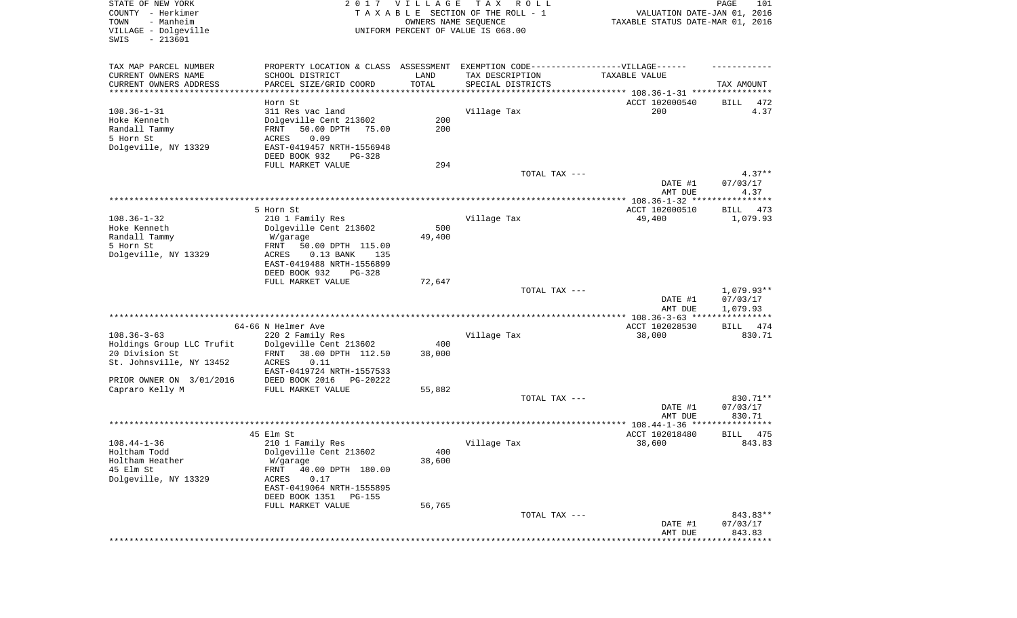| STATE OF NEW YORK<br>COUNTY - Herkimer<br>- Manheim<br>TOWN<br>VILLAGE - Dolgeville<br>SWIS<br>$-213601$ |                                                                                  | 2017 VILLAGE<br>OWNERS NAME SEQUENCE | T A X<br>R O L L<br>TAXABLE SECTION OF THE ROLL - 1<br>UNIFORM PERCENT OF VALUE IS 068.00 | VALUATION DATE-JAN 01, 2016<br>TAXABLE STATUS DATE-MAR 01, 2016 | PAGE<br>101           |
|----------------------------------------------------------------------------------------------------------|----------------------------------------------------------------------------------|--------------------------------------|-------------------------------------------------------------------------------------------|-----------------------------------------------------------------|-----------------------|
| TAX MAP PARCEL NUMBER                                                                                    | PROPERTY LOCATION & CLASS ASSESSMENT EXEMPTION CODE----------------VILLAGE------ |                                      |                                                                                           |                                                                 |                       |
| CURRENT OWNERS NAME                                                                                      | SCHOOL DISTRICT                                                                  | LAND                                 | TAX DESCRIPTION                                                                           | TAXABLE VALUE                                                   |                       |
| CURRENT OWNERS ADDRESS<br>**********************                                                         | PARCEL SIZE/GRID COORD                                                           | TOTAL<br>**************              | SPECIAL DISTRICTS                                                                         |                                                                 | TAX AMOUNT            |
|                                                                                                          | Horn St                                                                          |                                      |                                                                                           | ACCT 102000540                                                  | BILL<br>472           |
| $108.36 - 1 - 31$                                                                                        | 311 Res vac land                                                                 |                                      | Village Tax                                                                               | 200                                                             | 4.37                  |
| Hoke Kenneth                                                                                             | Dolgeville Cent 213602                                                           | 200                                  |                                                                                           |                                                                 |                       |
| Randall Tammy                                                                                            | 50.00 DPTH<br>FRNT<br>75.00                                                      | 200                                  |                                                                                           |                                                                 |                       |
| 5 Horn St                                                                                                | ACRES<br>0.09                                                                    |                                      |                                                                                           |                                                                 |                       |
| Dolgeville, NY 13329                                                                                     | EAST-0419457 NRTH-1556948                                                        |                                      |                                                                                           |                                                                 |                       |
|                                                                                                          | DEED BOOK 932<br>PG-328                                                          |                                      |                                                                                           |                                                                 |                       |
|                                                                                                          | FULL MARKET VALUE                                                                | 294                                  | TOTAL TAX ---                                                                             |                                                                 | $4.37**$              |
|                                                                                                          |                                                                                  |                                      |                                                                                           | DATE #1<br>AMT DUE                                              | 07/03/17<br>4.37      |
|                                                                                                          |                                                                                  |                                      |                                                                                           |                                                                 |                       |
|                                                                                                          | 5 Horn St                                                                        |                                      |                                                                                           | ACCT 102000510                                                  | 473<br>BILL           |
| $108.36 - 1 - 32$                                                                                        | 210 1 Family Res                                                                 |                                      | Village Tax                                                                               | 49,400                                                          | 1,079.93              |
| Hoke Kenneth                                                                                             | Dolgeville Cent 213602                                                           | 500                                  |                                                                                           |                                                                 |                       |
| Randall Tammy                                                                                            | W/garage                                                                         | 49,400                               |                                                                                           |                                                                 |                       |
| 5 Horn St                                                                                                | FRNT<br>50.00 DPTH 115.00<br>ACRES<br>$0.13$ BANK                                |                                      |                                                                                           |                                                                 |                       |
| Dolgeville, NY 13329                                                                                     | 135<br>EAST-0419488 NRTH-1556899                                                 |                                      |                                                                                           |                                                                 |                       |
|                                                                                                          | DEED BOOK 932<br>PG-328                                                          |                                      |                                                                                           |                                                                 |                       |
|                                                                                                          | FULL MARKET VALUE                                                                | 72,647                               |                                                                                           |                                                                 |                       |
|                                                                                                          |                                                                                  |                                      | TOTAL TAX ---                                                                             |                                                                 | $1,079.93**$          |
|                                                                                                          |                                                                                  |                                      |                                                                                           | DATE #1<br>AMT DUE                                              | 07/03/17<br>1,079.93  |
|                                                                                                          |                                                                                  |                                      |                                                                                           | *************** 108.36-3-63 *****************                   |                       |
| $108.36 - 3 - 63$                                                                                        | 64-66 N Helmer Ave<br>220 2 Family Res                                           |                                      | Village Tax                                                                               | ACCT 102028530<br>38,000                                        | 474<br>BILL<br>830.71 |
| Holdings Group LLC Trufit                                                                                | Dolgeville Cent 213602                                                           | 400                                  |                                                                                           |                                                                 |                       |
| 20 Division St                                                                                           | FRNT<br>38.00 DPTH 112.50                                                        | 38,000                               |                                                                                           |                                                                 |                       |
| St. Johnsville, NY 13452                                                                                 | ACRES<br>0.11                                                                    |                                      |                                                                                           |                                                                 |                       |
|                                                                                                          | EAST-0419724 NRTH-1557533                                                        |                                      |                                                                                           |                                                                 |                       |
| PRIOR OWNER ON 3/01/2016                                                                                 | DEED BOOK 2016<br>PG-20222                                                       |                                      |                                                                                           |                                                                 |                       |
| Capraro Kelly M                                                                                          | FULL MARKET VALUE                                                                | 55,882                               |                                                                                           |                                                                 |                       |
|                                                                                                          |                                                                                  |                                      | TOTAL TAX ---                                                                             |                                                                 | 830.71**              |
|                                                                                                          |                                                                                  |                                      |                                                                                           | DATE #1<br>AMT DUE                                              | 07/03/17<br>830.71    |
|                                                                                                          |                                                                                  |                                      |                                                                                           |                                                                 |                       |
|                                                                                                          | 45 Elm St                                                                        |                                      |                                                                                           | ACCT 102018480                                                  | 475<br>BILL           |
| $108.44 - 1 - 36$                                                                                        | 210 1 Family Res                                                                 |                                      | Village Tax                                                                               | 38,600                                                          | 843.83                |
| Holtham Todd                                                                                             | Dolgeville Cent 213602                                                           | 400                                  |                                                                                           |                                                                 |                       |
| Holtham Heather                                                                                          | W/garage                                                                         | 38,600                               |                                                                                           |                                                                 |                       |
| 45 Elm St                                                                                                | 40.00 DPTH 180.00<br>FRNT                                                        |                                      |                                                                                           |                                                                 |                       |
| Dolgeville, NY 13329                                                                                     | 0.17<br>ACRES<br>EAST-0419064 NRTH-1555895                                       |                                      |                                                                                           |                                                                 |                       |
|                                                                                                          | DEED BOOK 1351<br>PG-155                                                         |                                      |                                                                                           |                                                                 |                       |
|                                                                                                          | FULL MARKET VALUE                                                                | 56,765                               |                                                                                           |                                                                 |                       |
|                                                                                                          |                                                                                  |                                      | TOTAL TAX ---                                                                             |                                                                 | 843.83**              |
|                                                                                                          |                                                                                  |                                      |                                                                                           | DATE #1                                                         | 07/03/17              |
|                                                                                                          |                                                                                  |                                      |                                                                                           | AMT DUE                                                         | 843.83                |
|                                                                                                          |                                                                                  |                                      |                                                                                           |                                                                 |                       |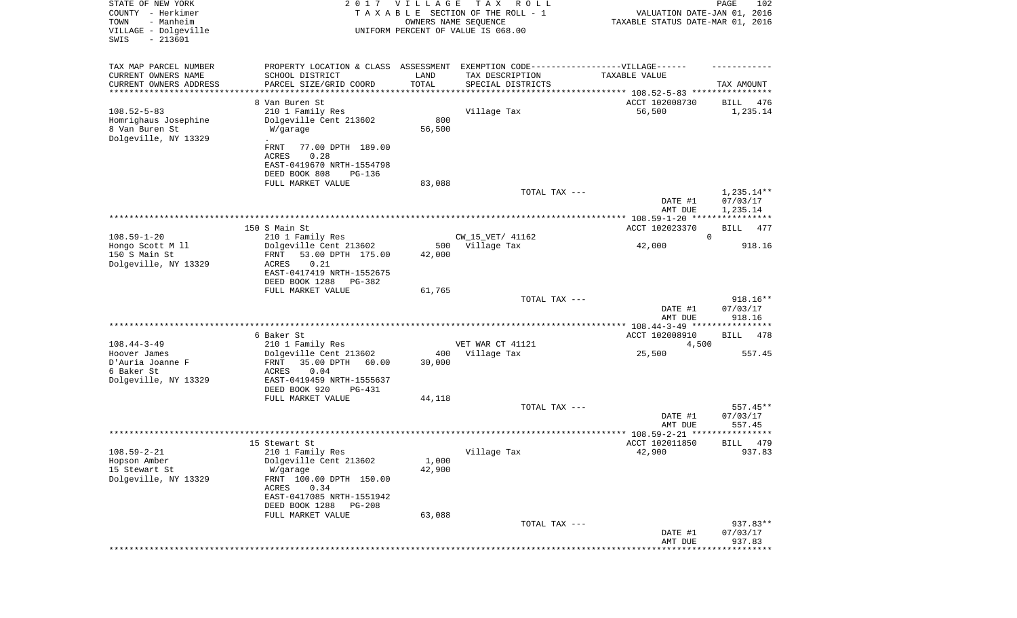| STATE OF NEW YORK<br>COUNTY - Herkimer<br>- Manheim<br>TOWN<br>VILLAGE - Dolgeville<br>SWIS<br>$-213601$ |                                                                         | 2017 VILLAGE  | TAX ROLL<br>TAXABLE SECTION OF THE ROLL - 1<br>OWNERS NAME SEQUENCE<br>UNIFORM PERCENT OF VALUE IS 068.00 | VALUATION DATE-JAN 01, 2016<br>TAXABLE STATUS DATE-MAR 01, 2016 | PAGE<br>102            |
|----------------------------------------------------------------------------------------------------------|-------------------------------------------------------------------------|---------------|-----------------------------------------------------------------------------------------------------------|-----------------------------------------------------------------|------------------------|
| TAX MAP PARCEL NUMBER                                                                                    |                                                                         |               | PROPERTY LOCATION & CLASS ASSESSMENT EXEMPTION CODE----------------VILLAGE------                          |                                                                 |                        |
| CURRENT OWNERS NAME                                                                                      | SCHOOL DISTRICT                                                         | LAND          | TAX DESCRIPTION                                                                                           | TAXABLE VALUE                                                   |                        |
| CURRENT OWNERS ADDRESS<br>********************                                                           | PARCEL SIZE/GRID COORD                                                  | TOTAL         | SPECIAL DISTRICTS                                                                                         |                                                                 | TAX AMOUNT             |
|                                                                                                          | 8 Van Buren St                                                          |               |                                                                                                           | ACCT 102008730                                                  | 476<br>BILL            |
| $108.52 - 5 - 83$<br>Homrighaus Josephine<br>8 Van Buren St                                              | 210 1 Family Res<br>Dolgeville Cent 213602<br>W/garage                  | 800<br>56,500 | Village Tax                                                                                               | 56,500                                                          | 1,235.14               |
| Dolgeville, NY 13329                                                                                     |                                                                         |               |                                                                                                           |                                                                 |                        |
|                                                                                                          | 77.00 DPTH 189.00<br>FRNT<br>ACRES<br>0.28<br>EAST-0419670 NRTH-1554798 |               |                                                                                                           |                                                                 |                        |
|                                                                                                          | DEED BOOK 808<br>PG-136                                                 |               |                                                                                                           |                                                                 |                        |
|                                                                                                          | FULL MARKET VALUE                                                       | 83,088        | TOTAL TAX ---                                                                                             | DATE #1                                                         | 1,235.14**<br>07/03/17 |
|                                                                                                          |                                                                         |               |                                                                                                           | AMT DUE                                                         | 1,235.14               |
|                                                                                                          |                                                                         |               |                                                                                                           |                                                                 |                        |
|                                                                                                          | 150 S Main St                                                           |               |                                                                                                           | ACCT 102023370                                                  | BILL<br>477            |
| $108.59 - 1 - 20$<br>Hongo Scott M 11                                                                    | 210 1 Family Res<br>Dolgeville Cent 213602                              | 500           | CW_15_VET/ 41162<br>Village Tax                                                                           | 42,000                                                          | $\mathbf 0$<br>918.16  |
| 150 S Main St                                                                                            | 53.00 DPTH 175.00<br>FRNT                                               | 42,000        |                                                                                                           |                                                                 |                        |
| Dolgeville, NY 13329                                                                                     | 0.21<br>ACRES                                                           |               |                                                                                                           |                                                                 |                        |
|                                                                                                          | EAST-0417419 NRTH-1552675                                               |               |                                                                                                           |                                                                 |                        |
|                                                                                                          | DEED BOOK 1288<br>PG-382<br>FULL MARKET VALUE                           | 61,765        |                                                                                                           |                                                                 |                        |
|                                                                                                          |                                                                         |               | TOTAL TAX ---                                                                                             |                                                                 | 918.16**               |
|                                                                                                          |                                                                         |               |                                                                                                           | DATE #1<br>AMT DUE                                              | 07/03/17<br>918.16     |
|                                                                                                          |                                                                         |               | ***********************************                                                                       | ***************** 108.44-3-49 *****************                 |                        |
| $108.44 - 3 - 49$                                                                                        | 6 Baker St<br>210 1 Family Res                                          |               | VET WAR CT 41121                                                                                          | ACCT 102008910<br>4,500                                         | BILL<br>478            |
| Hoover James                                                                                             | Dolgeville Cent 213602                                                  | 400           | Village Tax                                                                                               | 25,500                                                          | 557.45                 |
| D'Auria Joanne F                                                                                         | 35.00 DPTH<br>FRNT<br>60.00                                             | 30,000        |                                                                                                           |                                                                 |                        |
| 6 Baker St                                                                                               | ACRES<br>0.04                                                           |               |                                                                                                           |                                                                 |                        |
| Dolgeville, NY 13329                                                                                     | EAST-0419459 NRTH-1555637<br>DEED BOOK 920<br>PG-431                    |               |                                                                                                           |                                                                 |                        |
|                                                                                                          | FULL MARKET VALUE                                                       | 44,118        |                                                                                                           |                                                                 |                        |
|                                                                                                          |                                                                         |               | TOTAL TAX ---                                                                                             |                                                                 | $557.45**$             |
|                                                                                                          |                                                                         |               |                                                                                                           | DATE #1                                                         | 07/03/17               |
|                                                                                                          |                                                                         |               |                                                                                                           | AMT DUE                                                         | 557.45<br>* * * * * *  |
|                                                                                                          | 15 Stewart St                                                           |               |                                                                                                           | ACCT 102011850                                                  | 479<br>BILL            |
| $108.59 - 2 - 21$                                                                                        | 210 1 Family Res                                                        |               | Village Tax                                                                                               | 42,900                                                          | 937.83                 |
| Hopson Amber                                                                                             | Dolgeville Cent 213602                                                  | 1,000         |                                                                                                           |                                                                 |                        |
| 15 Stewart St                                                                                            | W/garage                                                                | 42,900        |                                                                                                           |                                                                 |                        |
| Dolgeville, NY 13329                                                                                     | FRNT 100.00 DPTH 150.00<br>0.34<br>ACRES<br>EAST-0417085 NRTH-1551942   |               |                                                                                                           |                                                                 |                        |
|                                                                                                          | DEED BOOK 1288<br><b>PG-208</b>                                         |               |                                                                                                           |                                                                 |                        |
|                                                                                                          | FULL MARKET VALUE                                                       | 63,088        |                                                                                                           |                                                                 |                        |
|                                                                                                          |                                                                         |               | TOTAL TAX ---                                                                                             |                                                                 | 937.83**               |
|                                                                                                          |                                                                         |               |                                                                                                           | DATE #1<br>AMT DUE                                              | 07/03/17<br>937.83     |
|                                                                                                          |                                                                         |               |                                                                                                           |                                                                 | * * * * * * * *        |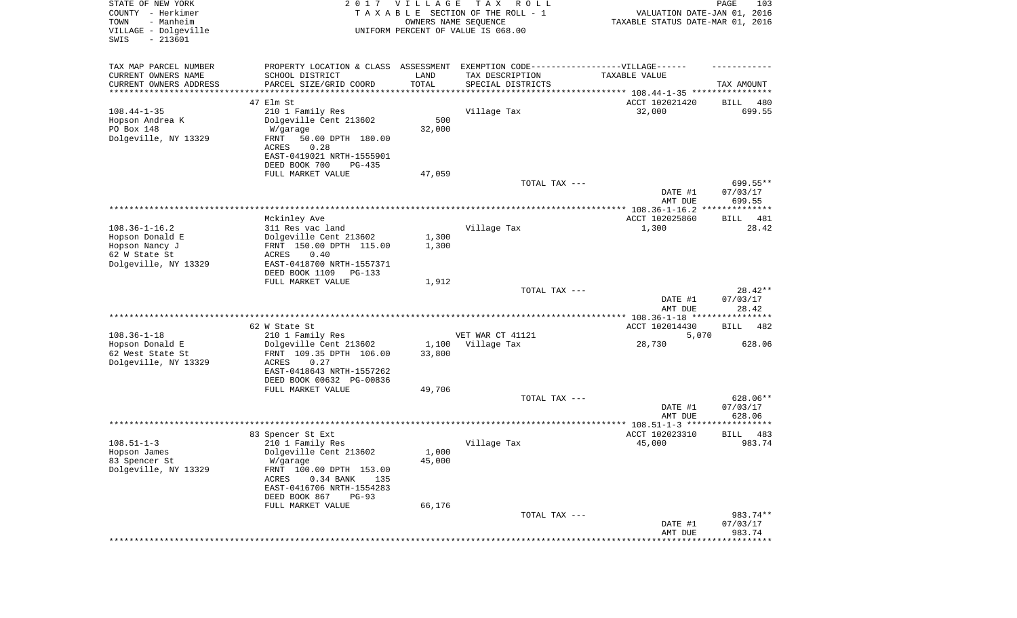| STATE OF NEW YORK<br>COUNTY - Herkimer<br>- Manheim<br>TOWN<br>VILLAGE - Dolgeville<br>SWIS<br>$-213601$ | 2017                                                                             | <b>VILLAGE</b><br>OWNERS NAME SEQUENCE | T A X<br>R O L L<br>TAXABLE SECTION OF THE ROLL - 1<br>UNIFORM PERCENT OF VALUE IS 068.00 | VALUATION DATE-JAN 01, 2016<br>TAXABLE STATUS DATE-MAR 01, 2016 | PAGE<br>103             |
|----------------------------------------------------------------------------------------------------------|----------------------------------------------------------------------------------|----------------------------------------|-------------------------------------------------------------------------------------------|-----------------------------------------------------------------|-------------------------|
| TAX MAP PARCEL NUMBER                                                                                    | PROPERTY LOCATION & CLASS ASSESSMENT EXEMPTION CODE----------------VILLAGE------ |                                        |                                                                                           |                                                                 |                         |
| CURRENT OWNERS NAME                                                                                      | SCHOOL DISTRICT                                                                  | LAND                                   | TAX DESCRIPTION                                                                           | TAXABLE VALUE                                                   |                         |
| CURRENT OWNERS ADDRESS<br>********************                                                           | PARCEL SIZE/GRID COORD                                                           | TOTAL                                  | SPECIAL DISTRICTS                                                                         |                                                                 | TAX AMOUNT              |
|                                                                                                          | 47 Elm St                                                                        |                                        |                                                                                           | ACCT 102021420                                                  | BILL<br>480             |
| $108.44 - 1 - 35$                                                                                        | 210 1 Family Res                                                                 |                                        | Village Tax                                                                               | 32,000                                                          | 699.55                  |
| Hopson Andrea K                                                                                          | Dolgeville Cent 213602                                                           | 500                                    |                                                                                           |                                                                 |                         |
| PO Box 148                                                                                               | W/garage                                                                         | 32,000                                 |                                                                                           |                                                                 |                         |
| Dolgeville, NY 13329                                                                                     | FRNT<br>50.00 DPTH 180.00                                                        |                                        |                                                                                           |                                                                 |                         |
|                                                                                                          | 0.28<br>ACRES                                                                    |                                        |                                                                                           |                                                                 |                         |
|                                                                                                          | EAST-0419021 NRTH-1555901                                                        |                                        |                                                                                           |                                                                 |                         |
|                                                                                                          | DEED BOOK 700<br>$PG-435$<br>FULL MARKET VALUE                                   | 47,059                                 |                                                                                           |                                                                 |                         |
|                                                                                                          |                                                                                  |                                        | TOTAL TAX ---                                                                             |                                                                 | 699.55**                |
|                                                                                                          |                                                                                  |                                        |                                                                                           | DATE #1                                                         | 07/03/17                |
|                                                                                                          |                                                                                  |                                        |                                                                                           | AMT DUE                                                         | 699.55                  |
|                                                                                                          |                                                                                  |                                        |                                                                                           |                                                                 |                         |
| $108.36 - 1 - 16.2$                                                                                      | Mckinley Ave                                                                     |                                        |                                                                                           | ACCT 102025860                                                  | 481<br>BILL<br>28.42    |
| Hopson Donald E                                                                                          | 311 Res vac land<br>Dolgeville Cent 213602                                       | 1,300                                  | Village Tax                                                                               | 1,300                                                           |                         |
| Hopson Nancy J                                                                                           | FRNT 150.00 DPTH 115.00                                                          | 1,300                                  |                                                                                           |                                                                 |                         |
| 62 W State St                                                                                            | ACRES<br>0.40                                                                    |                                        |                                                                                           |                                                                 |                         |
| Dolgeville, NY 13329                                                                                     | EAST-0418700 NRTH-1557371                                                        |                                        |                                                                                           |                                                                 |                         |
|                                                                                                          | DEED BOOK 1109<br>$PG-133$                                                       |                                        |                                                                                           |                                                                 |                         |
|                                                                                                          | FULL MARKET VALUE                                                                | 1,912                                  | TOTAL TAX ---                                                                             |                                                                 | $28.42**$               |
|                                                                                                          |                                                                                  |                                        |                                                                                           | DATE #1                                                         | 07/03/17                |
|                                                                                                          |                                                                                  |                                        |                                                                                           | AMT DUE                                                         | 28.42                   |
|                                                                                                          |                                                                                  |                                        |                                                                                           | ************ 108.36-1-18 ********                               | * * * * * * * *         |
|                                                                                                          | 62 W State St                                                                    |                                        |                                                                                           | ACCT 102014430                                                  | <b>BILL</b><br>482      |
| $108.36 - 1 - 18$                                                                                        | 210 1 Family Res                                                                 |                                        | VET WAR CT 41121                                                                          | 5,070                                                           |                         |
| Hopson Donald E<br>62 West State St                                                                      | Dolgeville Cent 213602<br>FRNT 109.35 DPTH 106.00                                | 1,100<br>33,800                        | Village Tax                                                                               | 28,730                                                          | 628.06                  |
| Dolgeville, NY 13329                                                                                     | <b>ACRES</b><br>0.27                                                             |                                        |                                                                                           |                                                                 |                         |
|                                                                                                          | EAST-0418643 NRTH-1557262                                                        |                                        |                                                                                           |                                                                 |                         |
|                                                                                                          | DEED BOOK 00632 PG-00836                                                         |                                        |                                                                                           |                                                                 |                         |
|                                                                                                          | FULL MARKET VALUE                                                                | 49,706                                 |                                                                                           |                                                                 |                         |
|                                                                                                          |                                                                                  |                                        | TOTAL TAX ---                                                                             |                                                                 | 628.06**                |
|                                                                                                          |                                                                                  |                                        |                                                                                           | DATE #1<br>AMT DUE                                              | 07/03/17<br>628.06      |
|                                                                                                          |                                                                                  |                                        |                                                                                           |                                                                 |                         |
|                                                                                                          | 83 Spencer St Ext                                                                |                                        |                                                                                           | ACCT 102023310                                                  | 483<br>BILL             |
| $108.51 - 1 - 3$                                                                                         | 210 1 Family Res                                                                 |                                        | Village Tax                                                                               | 45,000                                                          | 983.74                  |
| Hopson James                                                                                             | Dolgeville Cent 213602                                                           | 1,000                                  |                                                                                           |                                                                 |                         |
| 83 Spencer St                                                                                            | W/garage                                                                         | 45,000                                 |                                                                                           |                                                                 |                         |
| Dolgeville, NY 13329                                                                                     | FRNT 100.00 DPTH 153.00<br>0.34 BANK<br>ACRES<br>135                             |                                        |                                                                                           |                                                                 |                         |
|                                                                                                          | EAST-0416706 NRTH-1554283                                                        |                                        |                                                                                           |                                                                 |                         |
|                                                                                                          | DEED BOOK 867<br>$PG-93$                                                         |                                        |                                                                                           |                                                                 |                         |
|                                                                                                          | FULL MARKET VALUE                                                                | 66,176                                 |                                                                                           |                                                                 |                         |
|                                                                                                          |                                                                                  |                                        | TOTAL TAX ---                                                                             |                                                                 | 983.74**                |
|                                                                                                          |                                                                                  |                                        |                                                                                           | DATE #1                                                         | 07/03/17                |
|                                                                                                          |                                                                                  |                                        |                                                                                           | AMT DUE                                                         | 983.74<br>************* |
|                                                                                                          |                                                                                  |                                        |                                                                                           |                                                                 |                         |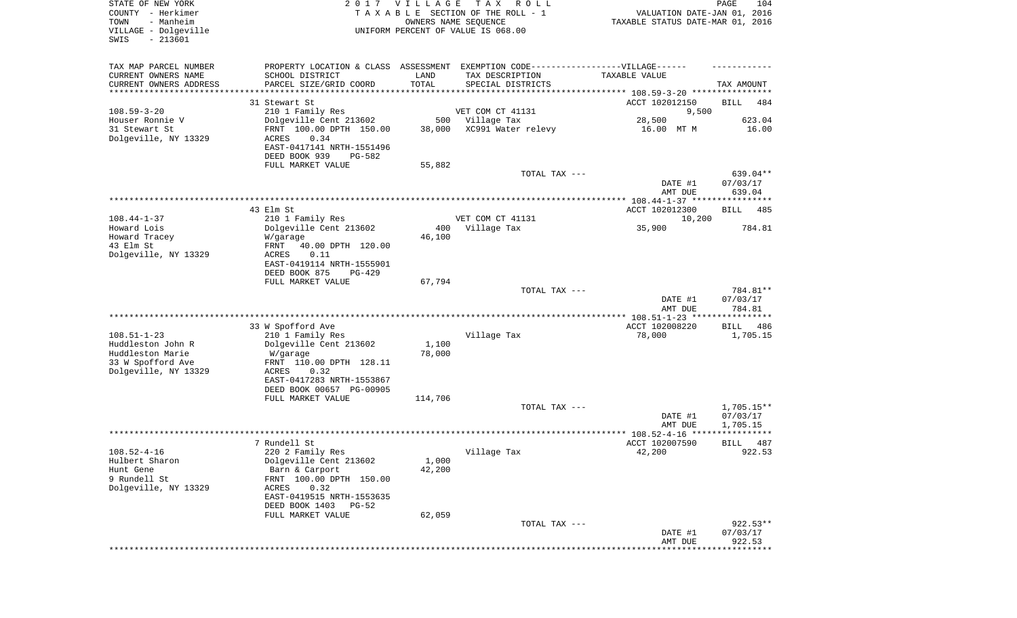| TAX MAP PARCEL NUMBER<br>PROPERTY LOCATION & CLASS ASSESSMENT EXEMPTION CODE-----------------VILLAGE------<br>CURRENT OWNERS NAME<br>SCHOOL DISTRICT<br>LAND<br>TAX DESCRIPTION<br>TAXABLE VALUE<br>TOTAL<br>CURRENT OWNERS ADDRESS<br>PARCEL SIZE/GRID COORD<br>SPECIAL DISTRICTS<br>********************<br>31 Stewart St<br>ACCT 102012150 | TAX AMOUNT<br><b>BILL</b><br>484 |
|-----------------------------------------------------------------------------------------------------------------------------------------------------------------------------------------------------------------------------------------------------------------------------------------------------------------------------------------------|----------------------------------|
| $108.59 - 3 - 20$<br>VET COM CT 41131<br>210 1 Family Res<br>9,500                                                                                                                                                                                                                                                                            |                                  |
| Houser Ronnie V<br>Dolgeville Cent 213602<br>500 Village Tax<br>28,500<br>XC991 Water relevy<br>31 Stewart St<br>FRNT 100.00 DPTH 150.00<br>38,000<br>16.00 MT M<br>0.34<br>Dolgeville, NY 13329<br>ACRES                                                                                                                                     | 623.04<br>16.00                  |
| EAST-0417141 NRTH-1551496<br>DEED BOOK 939<br>PG-582<br>FULL MARKET VALUE<br>55,882                                                                                                                                                                                                                                                           |                                  |
| TOTAL TAX ---<br>DATE #1<br>AMT DUE                                                                                                                                                                                                                                                                                                           | 639.04**<br>07/03/17<br>639.04   |
|                                                                                                                                                                                                                                                                                                                                               |                                  |
| 43 Elm St<br>ACCT 102012300<br>$108.44 - 1 - 37$<br>VET COM CT 41131<br>210 1 Family Res<br>10,200<br>35,900<br>Howard Lois<br>Dolgeville Cent 213602<br>400<br>Village Tax                                                                                                                                                                   | <b>BILL</b><br>485<br>784.81     |
| Howard Tracey<br>46,100<br>W/garage<br>43 Elm St<br>40.00 DPTH 120.00<br>FRNT<br>Dolgeville, NY 13329<br>ACRES<br>0.11<br>EAST-0419114 NRTH-1555901                                                                                                                                                                                           |                                  |
| DEED BOOK 875<br>PG-429                                                                                                                                                                                                                                                                                                                       |                                  |
| FULL MARKET VALUE<br>67,794<br>TOTAL TAX ---<br>DATE #1<br>AMT DUE                                                                                                                                                                                                                                                                            | 784.81**<br>07/03/17<br>784.81   |
| ************ 108.51-1-23 ****************                                                                                                                                                                                                                                                                                                     |                                  |
| 33 W Spofford Ave<br>ACCT 102008220<br>$108.51 - 1 - 23$<br>78,000<br>210 1 Family Res<br>Village Tax<br>Huddleston John R<br>Dolgeville Cent 213602<br>1,100<br>Huddleston Marie<br>78,000<br>W/garage<br>33 W Spofford Ave<br>FRNT 110.00 DPTH 128.11<br>Dolgeville, NY 13329<br>ACRES<br>0.32<br>EAST-0417283 NRTH-1553867                 | BILL<br>486<br>1,705.15          |
| DEED BOOK 00657 PG-00905                                                                                                                                                                                                                                                                                                                      |                                  |
| FULL MARKET VALUE<br>114,706<br>TOTAL TAX ---<br>DATE #1                                                                                                                                                                                                                                                                                      | 1,705.15**<br>07/03/17           |
| AMT DUE                                                                                                                                                                                                                                                                                                                                       | 1,705.15<br>* * * * *            |
| 7 Rundell St<br>ACCT 102007590                                                                                                                                                                                                                                                                                                                | 487<br>BILL                      |
| $108.52 - 4 - 16$<br>42,200<br>220 2 Family Res<br>Village Tax<br>Hulbert Sharon<br>Dolgeville Cent 213602<br>1,000<br>Hunt Gene<br>42,200<br>Barn & Carport<br>9 Rundell St<br>FRNT 100.00 DPTH 150.00<br>Dolgeville, NY 13329<br>ACRES<br>0.32<br>EAST-0419515 NRTH-1553635<br>DEED BOOK 1403<br>PG-52<br>62,059<br>FULL MARKET VALUE       | 922.53                           |
| TOTAL TAX ---                                                                                                                                                                                                                                                                                                                                 | $922.53**$                       |
| DATE #1<br>AMT DUE<br>****************************                                                                                                                                                                                                                                                                                            | 07/03/17<br>922.53               |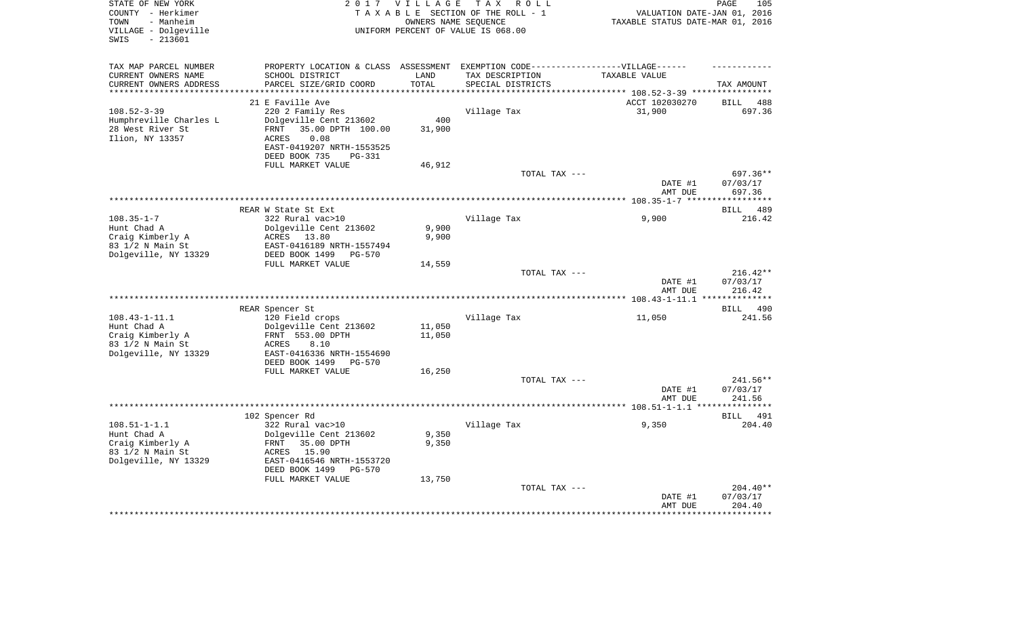| STATE OF NEW YORK      |                                 | 2017 VILLAGE | TAX ROLL                                                                          |                                                    | 105<br>PAGE        |
|------------------------|---------------------------------|--------------|-----------------------------------------------------------------------------------|----------------------------------------------------|--------------------|
| COUNTY - Herkimer      |                                 |              | TAXABLE SECTION OF THE ROLL - 1                                                   | VALUATION DATE-JAN 01, 2016                        |                    |
| - Manheim<br>TOWN      |                                 |              | OWNERS NAME SEOUENCE                                                              | TAXABLE STATUS DATE-MAR 01, 2016                   |                    |
| VILLAGE - Dolgeville   |                                 |              | UNIFORM PERCENT OF VALUE IS 068.00                                                |                                                    |                    |
| $-213601$<br>SWIS      |                                 |              |                                                                                   |                                                    |                    |
|                        |                                 |              |                                                                                   |                                                    |                    |
|                        |                                 |              |                                                                                   |                                                    |                    |
| TAX MAP PARCEL NUMBER  |                                 |              | PROPERTY LOCATION & CLASS ASSESSMENT EXEMPTION CODE-----------------VILLAGE------ |                                                    |                    |
| CURRENT OWNERS NAME    | SCHOOL DISTRICT                 | LAND         | TAX DESCRIPTION                                                                   | TAXABLE VALUE                                      |                    |
| CURRENT OWNERS ADDRESS | PARCEL SIZE/GRID COORD          | TOTAL        | SPECIAL DISTRICTS                                                                 |                                                    |                    |
|                        |                                 | *********    |                                                                                   | ************************** 108.52-3-39 *********** | TAX AMOUNT         |
|                        | 21 E Faville Ave                |              |                                                                                   | ACCT 102030270                                     | <b>BILL</b><br>488 |
|                        |                                 |              |                                                                                   |                                                    |                    |
| $108.52 - 3 - 39$      | 220 2 Family Res                |              | Village Tax                                                                       | 31,900                                             | 697.36             |
| Humphreville Charles L | Dolgeville Cent 213602          | 400          |                                                                                   |                                                    |                    |
| 28 West River St       | 35.00 DPTH 100.00<br>FRNT       | 31,900       |                                                                                   |                                                    |                    |
| Ilion, NY 13357        | 0.08<br>ACRES                   |              |                                                                                   |                                                    |                    |
|                        | EAST-0419207 NRTH-1553525       |              |                                                                                   |                                                    |                    |
|                        | DEED BOOK 735<br><b>PG-331</b>  |              |                                                                                   |                                                    |                    |
|                        | FULL MARKET VALUE               | 46,912       |                                                                                   |                                                    |                    |
|                        |                                 |              | TOTAL TAX ---                                                                     |                                                    | 697.36**           |
|                        |                                 |              |                                                                                   | DATE #1                                            | 07/03/17           |
|                        |                                 |              |                                                                                   | AMT DUE                                            | 697.36             |
|                        |                                 |              |                                                                                   |                                                    | ***********        |
|                        | REAR W State St Ext             |              |                                                                                   |                                                    | BILL 489           |
| $108.35 - 1 - 7$       | 322 Rural vac>10                |              | Village Tax                                                                       | 9,900                                              | 216.42             |
| Hunt Chad A            | Dolgeville Cent 213602          | 9,900        |                                                                                   |                                                    |                    |
| Craig Kimberly A       | ACRES 13.80                     | 9,900        |                                                                                   |                                                    |                    |
| 83 1/2 N Main St       | EAST-0416189 NRTH-1557494       |              |                                                                                   |                                                    |                    |
| Dolgeville, NY 13329   | DEED BOOK 1499 PG-570           |              |                                                                                   |                                                    |                    |
|                        | FULL MARKET VALUE               | 14,559       |                                                                                   |                                                    |                    |
|                        |                                 |              |                                                                                   |                                                    |                    |
|                        |                                 |              | TOTAL TAX ---                                                                     |                                                    | $216.42**$         |
|                        |                                 |              |                                                                                   | DATE #1                                            | 07/03/17           |
|                        |                                 |              |                                                                                   | AMT DUE                                            | 216.42             |
|                        |                                 |              |                                                                                   |                                                    |                    |
|                        | REAR Spencer St                 |              |                                                                                   |                                                    | BILL 490           |
| $108.43 - 1 - 11.1$    | 120 Field crops                 |              | Village Tax                                                                       | 11,050                                             | 241.56             |
| Hunt Chad A            | Dolgeville Cent 213602          | 11,050       |                                                                                   |                                                    |                    |
| Craig Kimberly A       | FRNT 553.00 DPTH                | 11,050       |                                                                                   |                                                    |                    |
| 83 1/2 N Main St       | 8.10<br>ACRES                   |              |                                                                                   |                                                    |                    |
| Dolgeville, NY 13329   | EAST-0416336 NRTH-1554690       |              |                                                                                   |                                                    |                    |
|                        | DEED BOOK 1499<br>$PG-570$      |              |                                                                                   |                                                    |                    |
|                        | FULL MARKET VALUE               | 16,250       |                                                                                   |                                                    |                    |
|                        |                                 |              | TOTAL TAX ---                                                                     |                                                    | 241.56**           |
|                        |                                 |              |                                                                                   | DATE #1                                            | 07/03/17           |
|                        |                                 |              |                                                                                   | AMT DUE                                            | 241.56             |
|                        |                                 |              |                                                                                   |                                                    |                    |
|                        | 102 Spencer Rd                  |              |                                                                                   |                                                    | BILL 491           |
| $108.51 - 1 - 1.1$     | 322 Rural vac>10                |              | Village Tax                                                                       | 9,350                                              | 204.40             |
| Hunt Chad A            | Dolgeville Cent 213602          | 9,350        |                                                                                   |                                                    |                    |
| Craig Kimberly A       | FRNT<br>35.00 DPTH              | 9,350        |                                                                                   |                                                    |                    |
| 83 1/2 N Main St       | ACRES<br>15.90                  |              |                                                                                   |                                                    |                    |
| Dolgeville, NY 13329   | EAST-0416546 NRTH-1553720       |              |                                                                                   |                                                    |                    |
|                        |                                 |              |                                                                                   |                                                    |                    |
|                        | DEED BOOK 1499<br><b>PG-570</b> |              |                                                                                   |                                                    |                    |
|                        | FULL MARKET VALUE               | 13,750       |                                                                                   |                                                    |                    |
|                        |                                 |              | TOTAL TAX ---                                                                     |                                                    | $204.40**$         |
|                        |                                 |              |                                                                                   | DATE #1                                            | 07/03/17           |
|                        |                                 |              |                                                                                   | AMT DUE                                            | 204.40             |
|                        |                                 |              |                                                                                   |                                                    |                    |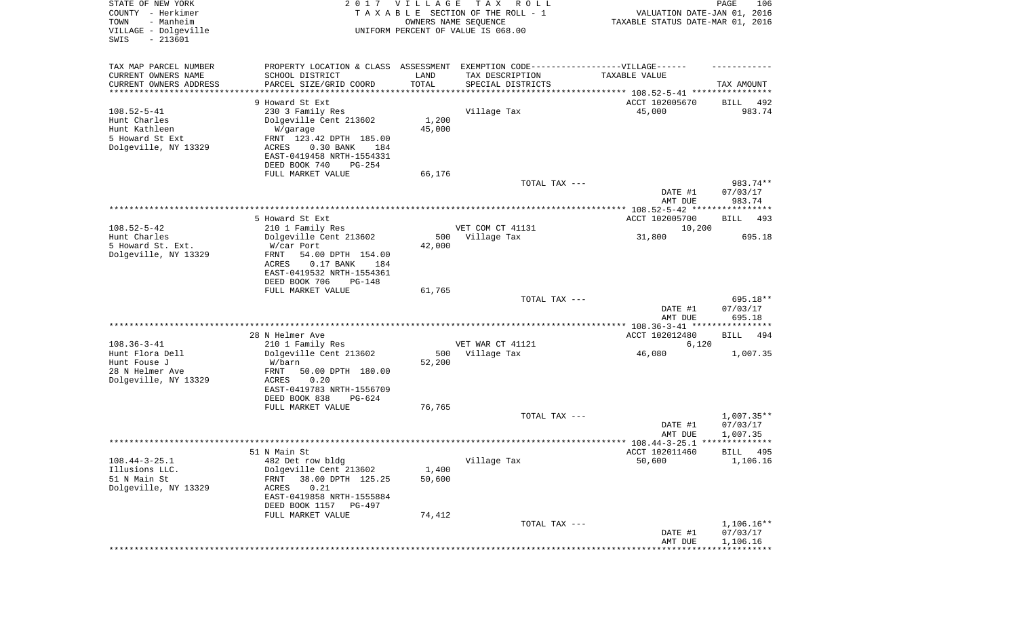| STATE OF NEW YORK<br>COUNTY - Herkimer<br>- Manheim<br>TOWN<br>VILLAGE - Dolgeville<br>$-213601$ | 2017                                                        | <b>VILLAGE</b><br>OWNERS NAME SEQUENCE | T A X<br>R O L L<br>TAXABLE SECTION OF THE ROLL - 1<br>UNIFORM PERCENT OF VALUE IS 068.00 | VALUATION DATE-JAN 01, 2016<br>TAXABLE STATUS DATE-MAR 01, 2016 | 106<br>PAGE                 |
|--------------------------------------------------------------------------------------------------|-------------------------------------------------------------|----------------------------------------|-------------------------------------------------------------------------------------------|-----------------------------------------------------------------|-----------------------------|
| SWIS                                                                                             |                                                             |                                        |                                                                                           |                                                                 |                             |
| TAX MAP PARCEL NUMBER                                                                            | PROPERTY LOCATION & CLASS ASSESSMENT                        |                                        | EXEMPTION CODE------------------VILLAGE------                                             |                                                                 |                             |
| CURRENT OWNERS NAME                                                                              | SCHOOL DISTRICT                                             | LAND                                   | TAX DESCRIPTION                                                                           | TAXABLE VALUE                                                   |                             |
| CURRENT OWNERS ADDRESS                                                                           | PARCEL SIZE/GRID COORD                                      | TOTAL                                  | SPECIAL DISTRICTS                                                                         |                                                                 | TAX AMOUNT                  |
| ********************                                                                             | 9 Howard St Ext                                             |                                        |                                                                                           |                                                                 |                             |
| $108.52 - 5 - 41$                                                                                | 230 3 Family Res                                            |                                        | Village Tax                                                                               | ACCT 102005670<br>45,000                                        | BILL<br>492<br>983.74       |
| Hunt Charles                                                                                     | Dolgeville Cent 213602                                      | 1,200                                  |                                                                                           |                                                                 |                             |
| Hunt Kathleen                                                                                    | W/garage                                                    | 45,000                                 |                                                                                           |                                                                 |                             |
| 5 Howard St Ext                                                                                  | FRNT 123.42 DPTH 185.00                                     |                                        |                                                                                           |                                                                 |                             |
| Dolgeville, NY 13329                                                                             | $0.30$ BANK<br>ACRES<br>184                                 |                                        |                                                                                           |                                                                 |                             |
|                                                                                                  | EAST-0419458 NRTH-1554331<br>DEED BOOK 740<br>$PG-254$      |                                        |                                                                                           |                                                                 |                             |
|                                                                                                  | FULL MARKET VALUE                                           | 66,176                                 |                                                                                           |                                                                 |                             |
|                                                                                                  |                                                             |                                        | TOTAL TAX ---                                                                             |                                                                 | 983.74**                    |
|                                                                                                  |                                                             |                                        |                                                                                           | DATE #1                                                         | 07/03/17                    |
|                                                                                                  |                                                             |                                        |                                                                                           | AMT DUE                                                         | 983.74                      |
|                                                                                                  |                                                             |                                        |                                                                                           |                                                                 |                             |
| $108.52 - 5 - 42$                                                                                | 5 Howard St Ext<br>210 1 Family Res                         |                                        | VET COM CT 41131                                                                          | ACCT 102005700<br>10,200                                        | 493<br>BILL                 |
| Hunt Charles                                                                                     | Dolgeville Cent 213602                                      | 500                                    | Village Tax                                                                               | 31,800                                                          | 695.18                      |
| 5 Howard St. Ext.                                                                                | W/car Port                                                  | 42,000                                 |                                                                                           |                                                                 |                             |
| Dolgeville, NY 13329                                                                             | 54.00 DPTH 154.00<br>FRNT                                   |                                        |                                                                                           |                                                                 |                             |
|                                                                                                  | ACRES<br>$0.17$ BANK<br>184                                 |                                        |                                                                                           |                                                                 |                             |
|                                                                                                  | EAST-0419532 NRTH-1554361<br>DEED BOOK 706<br><b>PG-148</b> |                                        |                                                                                           |                                                                 |                             |
|                                                                                                  | FULL MARKET VALUE                                           | 61,765                                 |                                                                                           |                                                                 |                             |
|                                                                                                  |                                                             |                                        | TOTAL TAX ---                                                                             |                                                                 | 695.18**                    |
|                                                                                                  |                                                             |                                        |                                                                                           | DATE #1                                                         | 07/03/17                    |
|                                                                                                  |                                                             |                                        |                                                                                           | AMT DUE                                                         | 695.18                      |
|                                                                                                  |                                                             |                                        |                                                                                           | ACCT 102012480                                                  |                             |
| $108.36 - 3 - 41$                                                                                | 28 N Helmer Ave<br>210 1 Family Res                         |                                        | VET WAR CT 41121                                                                          | 6,120                                                           | BILL<br>494                 |
| Hunt Flora Dell                                                                                  | Dolgeville Cent 213602                                      | 500                                    | Village Tax                                                                               | 46,080                                                          | 1,007.35                    |
| Hunt Fouse J                                                                                     | W/barn                                                      | 52,200                                 |                                                                                           |                                                                 |                             |
| 28 N Helmer Ave                                                                                  | <b>FRNT</b><br>50.00 DPTH 180.00                            |                                        |                                                                                           |                                                                 |                             |
| Dolgeville, NY 13329                                                                             | ACRES<br>0.20                                               |                                        |                                                                                           |                                                                 |                             |
|                                                                                                  | EAST-0419783 NRTH-1556709<br>DEED BOOK 838<br>$PG-624$      |                                        |                                                                                           |                                                                 |                             |
|                                                                                                  | FULL MARKET VALUE                                           | 76,765                                 |                                                                                           |                                                                 |                             |
|                                                                                                  |                                                             |                                        | TOTAL TAX ---                                                                             |                                                                 | $1,007.35**$                |
|                                                                                                  |                                                             |                                        |                                                                                           | DATE #1                                                         | 07/03/17                    |
|                                                                                                  |                                                             |                                        |                                                                                           | AMT DUE                                                         | 1,007.35                    |
|                                                                                                  |                                                             |                                        |                                                                                           |                                                                 |                             |
| $108.44 - 3 - 25.1$                                                                              | 51 N Main St<br>482 Det row bldg                            |                                        | Village Tax                                                                               | ACCT 102011460<br>50,600                                        | <b>BILL</b> 495<br>1,106.16 |
| Illusions LLC.                                                                                   | Dolgeville Cent 213602                                      | 1,400                                  |                                                                                           |                                                                 |                             |
| 51 N Main St                                                                                     | 38.00 DPTH 125.25<br>FRNT                                   | 50,600                                 |                                                                                           |                                                                 |                             |
| Dolgeville, NY 13329                                                                             | 0.21<br>ACRES                                               |                                        |                                                                                           |                                                                 |                             |
|                                                                                                  | EAST-0419858 NRTH-1555884                                   |                                        |                                                                                           |                                                                 |                             |
|                                                                                                  | DEED BOOK 1157<br>PG-497                                    |                                        |                                                                                           |                                                                 |                             |
|                                                                                                  | FULL MARKET VALUE                                           | 74,412                                 | TOTAL TAX ---                                                                             |                                                                 | $1,106.16**$                |
|                                                                                                  |                                                             |                                        |                                                                                           | DATE #1                                                         | 07/03/17                    |
|                                                                                                  |                                                             |                                        |                                                                                           | AMT DUE                                                         | 1,106.16                    |
|                                                                                                  |                                                             |                                        |                                                                                           |                                                                 |                             |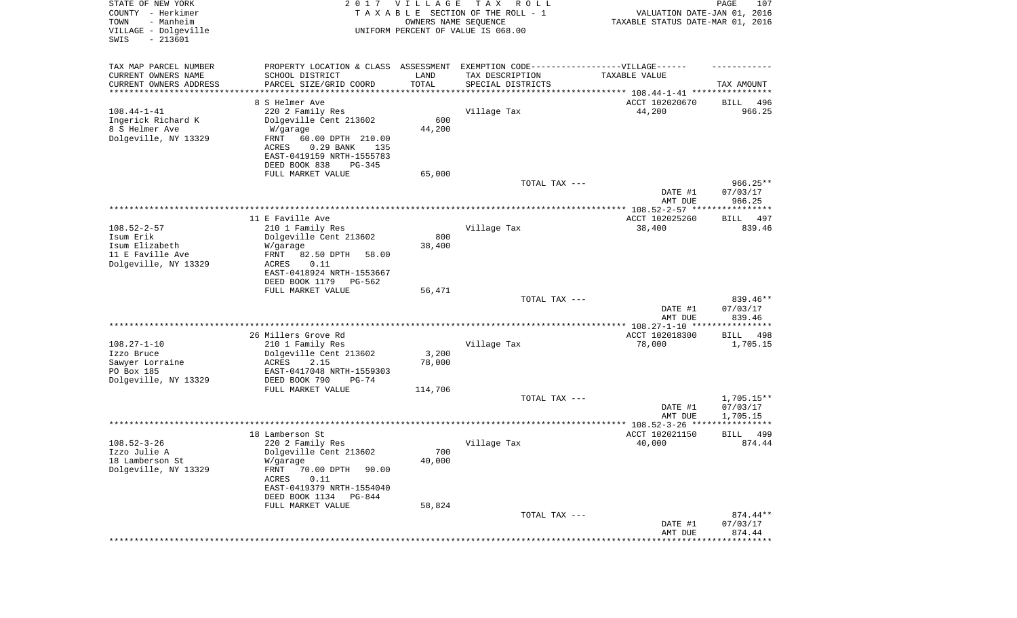| STATE OF NEW YORK<br>COUNTY - Herkimer<br>- Manheim<br>TOWN<br>VILLAGE - Dolgeville<br>$-213601$<br>SWIS | 2 0 1 7                                                                                                                                                                  | <b>VILLAGE</b><br>OWNERS NAME SEQUENCE | T A X<br>R O L L<br>TAXABLE SECTION OF THE ROLL - 1<br>UNIFORM PERCENT OF VALUE IS 068.00 | VALUATION DATE-JAN 01, 2016<br>TAXABLE STATUS DATE-MAR 01, 2016  | 107<br>PAGE                        |
|----------------------------------------------------------------------------------------------------------|--------------------------------------------------------------------------------------------------------------------------------------------------------------------------|----------------------------------------|-------------------------------------------------------------------------------------------|------------------------------------------------------------------|------------------------------------|
| TAX MAP PARCEL NUMBER<br>CURRENT OWNERS NAME<br>CURRENT OWNERS ADDRESS                                   | PROPERTY LOCATION & CLASS ASSESSMENT<br>SCHOOL DISTRICT<br>PARCEL SIZE/GRID COORD                                                                                        | LAND<br>TOTAL                          | EXEMPTION CODE------------------VILLAGE------<br>TAX DESCRIPTION<br>SPECIAL DISTRICTS     | TAXABLE VALUE                                                    | TAX AMOUNT                         |
| ********************                                                                                     |                                                                                                                                                                          |                                        |                                                                                           | ********************************** 108.44-1-41 ***************** |                                    |
|                                                                                                          | 8 S Helmer Ave                                                                                                                                                           |                                        |                                                                                           | ACCT 102020670                                                   | BILL<br>496                        |
| $108.44 - 1 - 41$<br>Ingerick Richard K<br>8 S Helmer Ave<br>Dolgeville, NY 13329                        | 220 2 Family Res<br>Dolgeville Cent 213602<br>W/garage<br>FRNT<br>60.00 DPTH 210.00<br>0.29 BANK<br>ACRES<br>135<br>EAST-0419159 NRTH-1555783<br>DEED BOOK 838<br>PG-345 | 600<br>44,200                          | Village Tax                                                                               | 44,200                                                           | 966.25                             |
|                                                                                                          | FULL MARKET VALUE                                                                                                                                                        | 65,000                                 |                                                                                           |                                                                  |                                    |
|                                                                                                          |                                                                                                                                                                          |                                        | TOTAL TAX ---                                                                             | DATE #1<br>AMT DUE                                               | $966.25**$<br>07/03/17<br>966.25   |
|                                                                                                          | 11 E Faville Ave                                                                                                                                                         |                                        |                                                                                           | ACCT 102025260                                                   | 497<br>BILL                        |
| $108.52 - 2 - 57$<br>Isum Erik<br>Isum Elizabeth<br>11 E Faville Ave                                     | 210 1 Family Res<br>Dolgeville Cent 213602<br>W/garage<br>FRNT<br>82.50 DPTH<br>58.00                                                                                    | 800<br>38,400                          | Village Tax                                                                               | 38,400                                                           | 839.46                             |
| Dolgeville, NY 13329                                                                                     | ACRES<br>0.11<br>EAST-0418924 NRTH-1553667<br>DEED BOOK 1179<br>PG-562<br>FULL MARKET VALUE                                                                              | 56,471                                 |                                                                                           |                                                                  |                                    |
|                                                                                                          |                                                                                                                                                                          |                                        | TOTAL TAX ---                                                                             | DATE #1<br>AMT DUE                                               | 839.46**<br>07/03/17<br>839.46     |
|                                                                                                          |                                                                                                                                                                          |                                        |                                                                                           |                                                                  |                                    |
| $108.27 - 1 - 10$<br>Izzo Bruce<br>Sawyer Lorraine<br>PO Box 185<br>Dolgeville, NY 13329                 | 26 Millers Grove Rd<br>210 1 Family Res<br>Dolgeville Cent 213602<br>ACRES<br>2.15<br>EAST-0417048 NRTH-1559303<br>DEED BOOK 790<br>$PG-74$                              | 3,200<br>78,000                        | Village Tax                                                                               | ACCT 102018300<br>78,000                                         | BILL<br>498<br>1,705.15            |
|                                                                                                          | FULL MARKET VALUE                                                                                                                                                        | 114,706                                |                                                                                           |                                                                  |                                    |
|                                                                                                          |                                                                                                                                                                          |                                        | TOTAL TAX ---                                                                             | DATE #1<br>AMT DUE                                               | 1,705.15**<br>07/03/17<br>1,705.15 |
|                                                                                                          |                                                                                                                                                                          |                                        |                                                                                           |                                                                  | ***********                        |
| $108.52 - 3 - 26$                                                                                        | 18 Lamberson St<br>220 2 Family Res                                                                                                                                      |                                        | Village Tax                                                                               | ACCT 102021150<br>40,000                                         | 499<br>BILL<br>874.44              |
| Izzo Julie A<br>18 Lamberson St<br>Dolgeville, NY 13329                                                  | Dolgeville Cent 213602<br>W/garage<br>FRNT<br>70.00 DPTH<br>90.00<br>ACRES<br>0.11<br>EAST-0419379 NRTH-1554040<br>DEED BOOK 1134<br>PG-844                              | 700<br>40,000                          |                                                                                           |                                                                  |                                    |
|                                                                                                          | FULL MARKET VALUE                                                                                                                                                        | 58,824                                 | TOTAL TAX ---                                                                             |                                                                  | 874.44**                           |
|                                                                                                          |                                                                                                                                                                          |                                        |                                                                                           | DATE #1<br>AMT DUE                                               | 07/03/17<br>874.44                 |
|                                                                                                          |                                                                                                                                                                          |                                        |                                                                                           |                                                                  |                                    |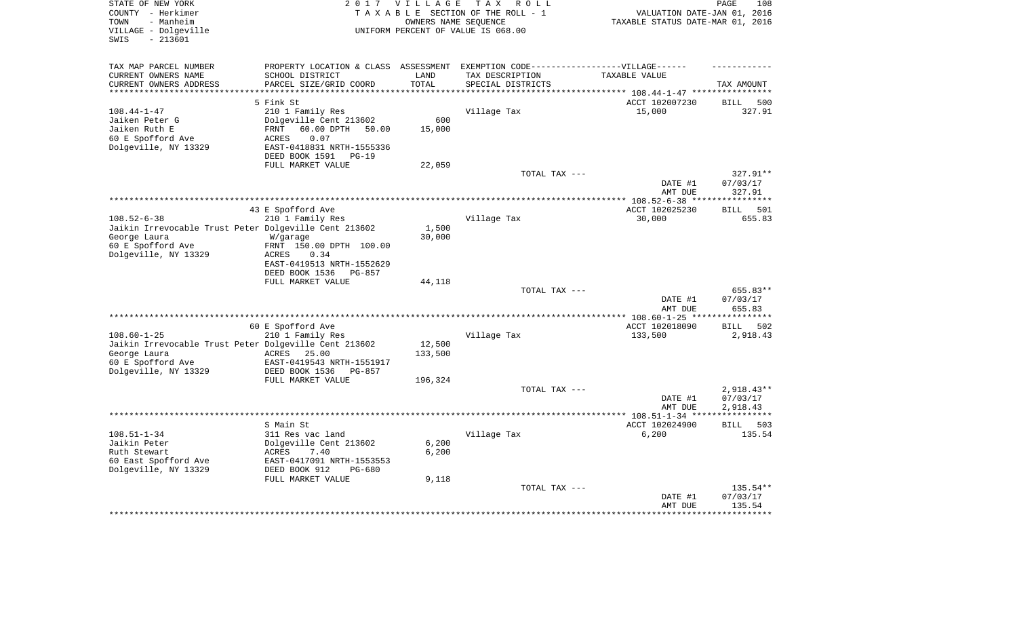| STATE OF NEW YORK<br>COUNTY - Herkimer                | 2 0 1 7                         | <b>VILLAGE</b>       | TAX ROLL<br>TAXABLE SECTION OF THE ROLL - 1                                       | VALUATION DATE-JAN 01, 2016        | PAGE<br>108        |
|-------------------------------------------------------|---------------------------------|----------------------|-----------------------------------------------------------------------------------|------------------------------------|--------------------|
| - Manheim<br>TOWN                                     |                                 | OWNERS NAME SEOUENCE |                                                                                   | TAXABLE STATUS DATE-MAR 01, 2016   |                    |
| VILLAGE - Dolgeville                                  |                                 |                      | UNIFORM PERCENT OF VALUE IS 068.00                                                |                                    |                    |
| $-213601$<br>SWIS                                     |                                 |                      |                                                                                   |                                    |                    |
| TAX MAP PARCEL NUMBER                                 |                                 |                      | PROPERTY LOCATION & CLASS ASSESSMENT EXEMPTION CODE-----------------VILLAGE------ |                                    |                    |
| CURRENT OWNERS NAME                                   | SCHOOL DISTRICT                 | LAND                 | TAX DESCRIPTION                                                                   | TAXABLE VALUE                      |                    |
| CURRENT OWNERS ADDRESS                                | PARCEL SIZE/GRID COORD          | TOTAL                | SPECIAL DISTRICTS                                                                 |                                    | TAX AMOUNT         |
|                                                       |                                 |                      |                                                                                   | ********** 108.44-1-47 *********** |                    |
|                                                       | 5 Fink St                       |                      |                                                                                   | ACCT 102007230                     | <b>BILL</b><br>500 |
| $108.44 - 1 - 47$                                     | 210 1 Family Res                |                      | Village Tax                                                                       | 15,000                             | 327.91             |
| Jaiken Peter G                                        | Dolgeville Cent 213602          | 600                  |                                                                                   |                                    |                    |
| Jaiken Ruth E                                         | 60.00 DPTH<br>FRNT<br>50.00     | 15,000               |                                                                                   |                                    |                    |
| 60 E Spofford Ave                                     | 0.07<br>ACRES                   |                      |                                                                                   |                                    |                    |
| Dolgeville, NY 13329                                  | EAST-0418831 NRTH-1555336       |                      |                                                                                   |                                    |                    |
|                                                       | DEED BOOK 1591<br>$PG-19$       |                      |                                                                                   |                                    |                    |
|                                                       | FULL MARKET VALUE               | 22,059               |                                                                                   |                                    |                    |
|                                                       |                                 |                      | TOTAL TAX ---                                                                     |                                    | 327.91**           |
|                                                       |                                 |                      |                                                                                   | DATE #1                            | 07/03/17           |
|                                                       |                                 |                      |                                                                                   | AMT DUE                            | 327.91             |
|                                                       |                                 |                      | *************************************                                             | *************** 108.52-6-38 **     | *********          |
|                                                       | 43 E Spofford Ave               |                      |                                                                                   | ACCT 102025230                     | 501<br><b>BILL</b> |
| $108.52 - 6 - 38$                                     | 210 1 Family Res                |                      | Village Tax                                                                       | 30,000                             | 655.83             |
| Jaikin Irrevocable Trust Peter Dolgeville Cent 213602 |                                 | 1,500                |                                                                                   |                                    |                    |
| George Laura                                          | W/garage                        | 30,000               |                                                                                   |                                    |                    |
| 60 E Spofford Ave                                     | FRNT 150.00 DPTH 100.00         |                      |                                                                                   |                                    |                    |
| Dolgeville, NY 13329                                  | 0.34<br>ACRES                   |                      |                                                                                   |                                    |                    |
|                                                       | EAST-0419513 NRTH-1552629       |                      |                                                                                   |                                    |                    |
|                                                       | DEED BOOK 1536<br><b>PG-857</b> |                      |                                                                                   |                                    |                    |
|                                                       | FULL MARKET VALUE               | 44,118               |                                                                                   |                                    |                    |
|                                                       |                                 |                      | TOTAL TAX ---                                                                     |                                    | 655.83**           |
|                                                       |                                 |                      |                                                                                   | DATE #1<br>AMT DUE                 | 07/03/17<br>655.83 |
|                                                       |                                 |                      |                                                                                   | **************** 108.60-1-25 ***   | ******             |
|                                                       | 60 E Spofford Ave               |                      |                                                                                   | ACCT 102018090                     | 502<br>BILL        |
| $108.60 - 1 - 25$                                     | 210 1 Family Res                |                      | Village Tax                                                                       | 133,500                            | 2,918.43           |
| Jaikin Irrevocable Trust Peter Dolgeville Cent 213602 |                                 | 12,500               |                                                                                   |                                    |                    |
| George Laura                                          | ACRES<br>25.00                  | 133,500              |                                                                                   |                                    |                    |
| 60 E Spofford Ave                                     | EAST-0419543 NRTH-1551917       |                      |                                                                                   |                                    |                    |
| Dolgeville, NY 13329                                  | DEED BOOK 1536<br><b>PG-857</b> |                      |                                                                                   |                                    |                    |
|                                                       | FULL MARKET VALUE               | 196,324              |                                                                                   |                                    |                    |
|                                                       |                                 |                      | TOTAL TAX ---                                                                     |                                    | 2,918.43**         |
|                                                       |                                 |                      |                                                                                   | DATE #1                            | 07/03/17           |
|                                                       |                                 |                      |                                                                                   | AMT DUE                            | 2,918.43           |
|                                                       |                                 |                      |                                                                                   |                                    | **********         |
|                                                       | S Main St                       |                      |                                                                                   | ACCT 102024900                     | 503<br>BILL        |
| $108.51 - 1 - 34$                                     | 311 Res vac land                |                      | Village Tax                                                                       | 6,200                              | 135.54             |
| Jaikin Peter                                          | Dolgeville Cent 213602          | 6,200                |                                                                                   |                                    |                    |
| Ruth Stewart                                          | ACRES<br>7.40                   | 6,200                |                                                                                   |                                    |                    |
| 60 East Spofford Ave                                  | EAST-0417091 NRTH-1553553       |                      |                                                                                   |                                    |                    |
| Dolgeville, NY 13329                                  | DEED BOOK 912<br>PG-680         |                      |                                                                                   |                                    |                    |
|                                                       | FULL MARKET VALUE               | 9,118                |                                                                                   |                                    |                    |
|                                                       |                                 |                      | TOTAL TAX ---                                                                     |                                    | 135.54**           |
|                                                       |                                 |                      |                                                                                   | DATE #1                            | 07/03/17           |
|                                                       |                                 |                      |                                                                                   | AMT DUE                            | 135.54             |
|                                                       |                                 |                      |                                                                                   |                                    |                    |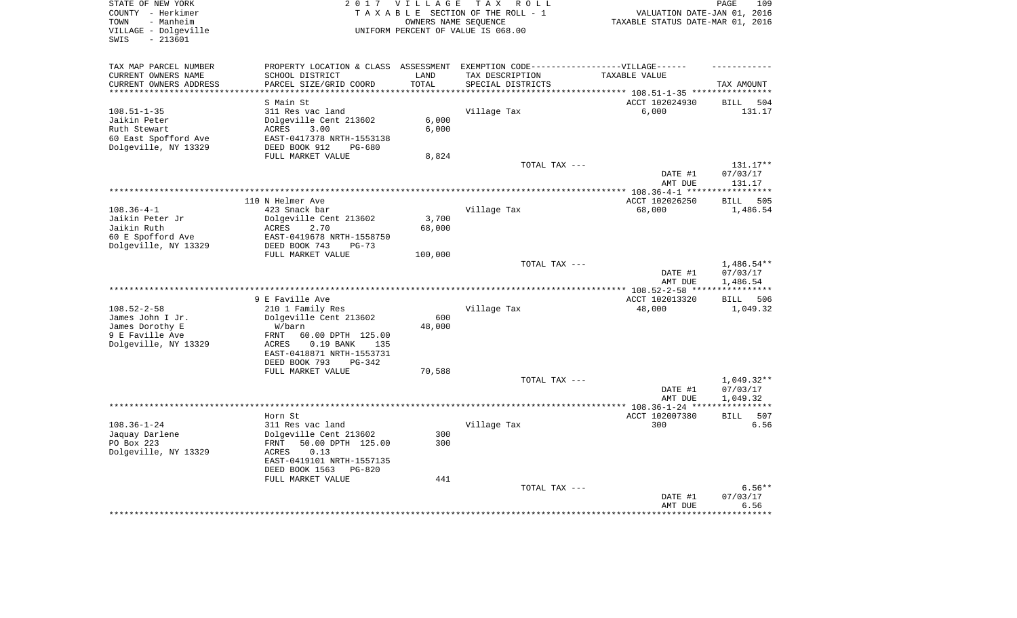| STATE OF NEW YORK                                                                                          | 2017 VILLAGE         | T A X<br>R O L L                   |                                               | PAGE<br>109             |
|------------------------------------------------------------------------------------------------------------|----------------------|------------------------------------|-----------------------------------------------|-------------------------|
| COUNTY - Herkimer                                                                                          |                      | TAXABLE SECTION OF THE ROLL - 1    | VALUATION DATE-JAN 01, 2016                   |                         |
| TOWN<br>- Manheim                                                                                          | OWNERS NAME SEQUENCE |                                    | TAXABLE STATUS DATE-MAR 01, 2016              |                         |
| VILLAGE - Dolgeville                                                                                       |                      | UNIFORM PERCENT OF VALUE IS 068.00 |                                               |                         |
| SWIS<br>$-213601$                                                                                          |                      |                                    |                                               |                         |
|                                                                                                            |                      |                                    |                                               |                         |
| TAX MAP PARCEL NUMBER<br>PROPERTY LOCATION & CLASS ASSESSMENT EXEMPTION CODE-----------------VILLAGE------ |                      |                                    |                                               |                         |
| CURRENT OWNERS NAME<br>SCHOOL DISTRICT                                                                     | LAND                 | TAX DESCRIPTION                    | TAXABLE VALUE                                 |                         |
| CURRENT OWNERS ADDRESS<br>PARCEL SIZE/GRID COORD                                                           | TOTAL                | SPECIAL DISTRICTS                  |                                               | TAX AMOUNT              |
| **********************<br>*********************                                                            | *************        |                                    |                                               |                         |
| S Main St                                                                                                  |                      |                                    | ACCT 102024930                                | 504<br><b>BILL</b>      |
| $108.51 - 1 - 35$<br>311 Res vac land                                                                      |                      | Village Tax                        | 6,000                                         | 131.17                  |
| Dolgeville Cent 213602<br>Jaikin Peter                                                                     | 6,000                |                                    |                                               |                         |
| 3.00<br>Ruth Stewart<br>ACRES                                                                              | 6,000                |                                    |                                               |                         |
| 60 East Spofford Ave<br>EAST-0417378 NRTH-1553138                                                          |                      |                                    |                                               |                         |
| Dolgeville, NY 13329<br>DEED BOOK 912<br>$PG-680$                                                          |                      |                                    |                                               |                         |
| FULL MARKET VALUE                                                                                          | 8,824                |                                    |                                               |                         |
|                                                                                                            |                      | TOTAL TAX ---                      |                                               | 131.17**                |
|                                                                                                            |                      |                                    | DATE #1                                       | 07/03/17                |
|                                                                                                            |                      |                                    | AMT DUE                                       | 131.17                  |
|                                                                                                            |                      |                                    |                                               | * * * * * * * * * *     |
| 110 N Helmer Ave                                                                                           |                      |                                    | ACCT 102026250                                | <b>BILL</b><br>505      |
| $108.36 - 4 - 1$<br>423 Snack bar                                                                          |                      | Village Tax                        | 68,000                                        | 1,486.54                |
| Jaikin Peter Jr<br>Dolgeville Cent 213602                                                                  | 3,700                |                                    |                                               |                         |
| Jaikin Ruth<br>2.70<br>ACRES                                                                               | 68,000               |                                    |                                               |                         |
| 60 E Spofford Ave<br>EAST-0419678 NRTH-1558750                                                             |                      |                                    |                                               |                         |
| Dolgeville, NY 13329<br>DEED BOOK 743<br>$PG-73$                                                           |                      |                                    |                                               |                         |
| FULL MARKET VALUE                                                                                          | 100,000              |                                    |                                               |                         |
|                                                                                                            |                      | TOTAL TAX ---                      |                                               | $1,486.54**$            |
|                                                                                                            |                      |                                    | DATE #1                                       | 07/03/17                |
|                                                                                                            |                      |                                    | AMT DUE                                       | 1,486.54                |
| 9 E Faville Ave                                                                                            |                      |                                    | ********** 108.52-2-58 ****<br>ACCT 102013320 |                         |
| $108.52 - 2 - 58$<br>210 1 Family Res                                                                      |                      | Village Tax                        | 48,000                                        | 506<br>BILL<br>1,049.32 |
| Dolgeville Cent 213602<br>James John I Jr.                                                                 | 600                  |                                    |                                               |                         |
| James Dorothy E<br>W/barn                                                                                  | 48,000               |                                    |                                               |                         |
| 9 E Faville Ave<br>FRNT<br>60.00 DPTH 125.00                                                               |                      |                                    |                                               |                         |
| Dolgeville, NY 13329<br>ACRES<br>$0.19$ BANK<br>135                                                        |                      |                                    |                                               |                         |
| EAST-0418871 NRTH-1553731                                                                                  |                      |                                    |                                               |                         |
| DEED BOOK 793<br>PG-342                                                                                    |                      |                                    |                                               |                         |
| FULL MARKET VALUE                                                                                          | 70,588               |                                    |                                               |                         |
|                                                                                                            |                      | TOTAL TAX ---                      |                                               | $1,049.32**$            |
|                                                                                                            |                      |                                    | DATE #1                                       | 07/03/17                |
|                                                                                                            |                      |                                    | AMT DUE                                       | 1,049.32                |
|                                                                                                            |                      | ******************                 | $*$ * 108.36-1-24 **                          |                         |
| Horn St                                                                                                    |                      |                                    | ACCT 102007380                                | <b>BILL</b><br>507      |
| $108.36 - 1 - 24$<br>311 Res vac land                                                                      |                      | Village Tax                        | 300                                           | 6.56                    |
| Jaquay Darlene<br>Dolgeville Cent 213602                                                                   | 300                  |                                    |                                               |                         |
| PO Box 223<br>50.00 DPTH 125.00<br>FRNT                                                                    | 300                  |                                    |                                               |                         |
| Dolgeville, NY 13329<br><b>ACRES</b><br>0.13                                                               |                      |                                    |                                               |                         |
| EAST-0419101 NRTH-1557135                                                                                  |                      |                                    |                                               |                         |
| DEED BOOK 1563<br>PG-820                                                                                   |                      |                                    |                                               |                         |
|                                                                                                            |                      |                                    |                                               |                         |
| FULL MARKET VALUE                                                                                          | 441                  |                                    |                                               |                         |
|                                                                                                            |                      | TOTAL TAX ---                      |                                               | $6.56**$                |
|                                                                                                            |                      |                                    | DATE #1                                       | 07/03/17                |
|                                                                                                            |                      |                                    | AMT DUE                                       | 6.56                    |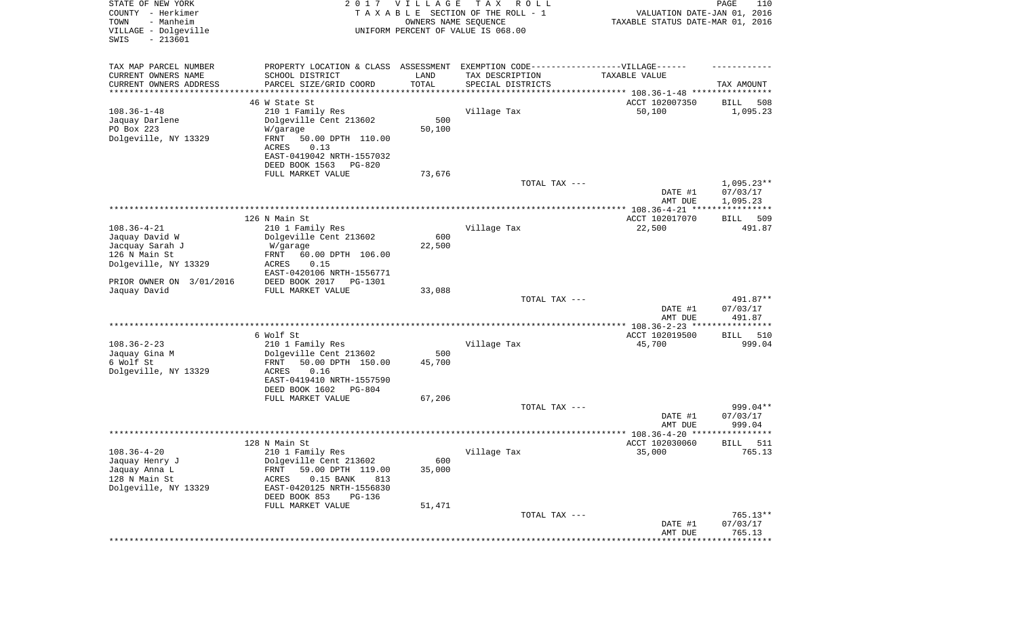| STATE OF NEW YORK<br>COUNTY - Herkimer<br>- Manheim<br>TOWN<br>VILLAGE - Dolgeville<br>SWIS<br>$-213601$ |                                                                                   | 2017 VILLAGE<br>OWNERS NAME SEQUENCE | T A X<br>R O L L<br>TAXABLE SECTION OF THE ROLL - 1<br>UNIFORM PERCENT OF VALUE IS 068.00 | VALUATION DATE-JAN 01, 2016<br>TAXABLE STATUS DATE-MAR 01, 2016                      | PAGE<br>110              |
|----------------------------------------------------------------------------------------------------------|-----------------------------------------------------------------------------------|--------------------------------------|-------------------------------------------------------------------------------------------|--------------------------------------------------------------------------------------|--------------------------|
| TAX MAP PARCEL NUMBER                                                                                    | PROPERTY LOCATION & CLASS ASSESSMENT EXEMPTION CODE-----------------VILLAGE------ |                                      |                                                                                           |                                                                                      |                          |
| CURRENT OWNERS NAME                                                                                      | SCHOOL DISTRICT                                                                   | LAND                                 | TAX DESCRIPTION                                                                           | TAXABLE VALUE                                                                        |                          |
| CURRENT OWNERS ADDRESS<br>********************                                                           | PARCEL SIZE/GRID COORD                                                            | TOTAL<br>**********                  | SPECIAL DISTRICTS                                                                         |                                                                                      | TAX AMOUNT               |
|                                                                                                          | 46 W State St                                                                     |                                      |                                                                                           | ************************************* 108.36-1-48 ****************<br>ACCT 102007350 | 508<br>BILL              |
| $108.36 - 1 - 48$                                                                                        | 210 1 Family Res                                                                  |                                      | Village Tax                                                                               | 50,100                                                                               | 1,095.23                 |
| Jaquay Darlene                                                                                           | Dolgeville Cent 213602                                                            | 500                                  |                                                                                           |                                                                                      |                          |
| PO Box 223                                                                                               | W/garage                                                                          | 50,100                               |                                                                                           |                                                                                      |                          |
| Dolgeville, NY 13329                                                                                     | FRNT<br>50.00 DPTH 110.00                                                         |                                      |                                                                                           |                                                                                      |                          |
|                                                                                                          | 0.13<br>ACRES                                                                     |                                      |                                                                                           |                                                                                      |                          |
|                                                                                                          | EAST-0419042 NRTH-1557032                                                         |                                      |                                                                                           |                                                                                      |                          |
|                                                                                                          | DEED BOOK 1563<br>PG-820                                                          |                                      |                                                                                           |                                                                                      |                          |
|                                                                                                          | FULL MARKET VALUE                                                                 | 73,676                               |                                                                                           |                                                                                      |                          |
|                                                                                                          |                                                                                   |                                      | TOTAL TAX ---                                                                             | DATE #1                                                                              | $1,095.23**$<br>07/03/17 |
|                                                                                                          |                                                                                   |                                      |                                                                                           | AMT DUE                                                                              | 1,095.23                 |
|                                                                                                          |                                                                                   |                                      |                                                                                           |                                                                                      |                          |
|                                                                                                          | 126 N Main St                                                                     |                                      |                                                                                           | ACCT 102017070                                                                       | BILL<br>509              |
| $108.36 - 4 - 21$                                                                                        | 210 1 Family Res                                                                  |                                      | Village Tax                                                                               | 22,500                                                                               | 491.87                   |
| Jaquay David W                                                                                           | Dolgeville Cent 213602                                                            | 600                                  |                                                                                           |                                                                                      |                          |
| Jacquay Sarah J                                                                                          | W/garage                                                                          | 22,500                               |                                                                                           |                                                                                      |                          |
| 126 N Main St                                                                                            | FRNT<br>60.00 DPTH 106.00<br>ACRES<br>0.15                                        |                                      |                                                                                           |                                                                                      |                          |
| Dolgeville, NY 13329                                                                                     | EAST-0420106 NRTH-1556771                                                         |                                      |                                                                                           |                                                                                      |                          |
| PRIOR OWNER ON 3/01/2016                                                                                 | DEED BOOK 2017<br>PG-1301                                                         |                                      |                                                                                           |                                                                                      |                          |
| Jaquay David                                                                                             | FULL MARKET VALUE                                                                 | 33,088                               |                                                                                           |                                                                                      |                          |
|                                                                                                          |                                                                                   |                                      | TOTAL TAX ---                                                                             |                                                                                      | 491.87**                 |
|                                                                                                          |                                                                                   |                                      |                                                                                           | DATE #1                                                                              | 07/03/17                 |
|                                                                                                          |                                                                                   |                                      |                                                                                           | AMT DUE                                                                              | 491.87                   |
|                                                                                                          | 6 Wolf St                                                                         |                                      |                                                                                           | ACCT 102019500                                                                       | 510<br>BILL              |
| $108.36 - 2 - 23$                                                                                        | 210 1 Family Res                                                                  |                                      | Village Tax                                                                               | 45,700                                                                               | 999.04                   |
| Jaquay Gina M                                                                                            | Dolgeville Cent 213602                                                            | 500                                  |                                                                                           |                                                                                      |                          |
| 6 Wolf St                                                                                                | FRNT<br>50.00 DPTH 150.00                                                         | 45,700                               |                                                                                           |                                                                                      |                          |
| Dolgeville, NY 13329                                                                                     | ACRES<br>0.16                                                                     |                                      |                                                                                           |                                                                                      |                          |
|                                                                                                          | EAST-0419410 NRTH-1557590                                                         |                                      |                                                                                           |                                                                                      |                          |
|                                                                                                          | DEED BOOK 1602<br>PG-804                                                          |                                      |                                                                                           |                                                                                      |                          |
|                                                                                                          | FULL MARKET VALUE                                                                 | 67,206                               |                                                                                           |                                                                                      |                          |
|                                                                                                          |                                                                                   |                                      | TOTAL TAX ---                                                                             | DATE #1                                                                              | 999.04**<br>07/03/17     |
|                                                                                                          |                                                                                   |                                      |                                                                                           | AMT DUE                                                                              | 999.04                   |
|                                                                                                          |                                                                                   |                                      |                                                                                           |                                                                                      | * * * * * *              |
|                                                                                                          | 128 N Main St                                                                     |                                      |                                                                                           | ACCT 102030060                                                                       | 511<br>BILL              |
| $108.36 - 4 - 20$                                                                                        | 210 1 Family Res                                                                  |                                      | Village Tax                                                                               | 35,000                                                                               | 765.13                   |
| Jaquay Henry J                                                                                           | Dolgeville Cent 213602                                                            | 600                                  |                                                                                           |                                                                                      |                          |
| Jaquay Anna L                                                                                            | 59.00 DPTH 119.00<br><b>FRNT</b>                                                  | 35,000                               |                                                                                           |                                                                                      |                          |
| 128 N Main St                                                                                            | $0.15$ BANK<br>ACRES<br>813                                                       |                                      |                                                                                           |                                                                                      |                          |
| Dolgeville, NY 13329                                                                                     | EAST-0420125 NRTH-1556830<br>DEED BOOK 853<br>PG-136                              |                                      |                                                                                           |                                                                                      |                          |
|                                                                                                          | FULL MARKET VALUE                                                                 | 51,471                               |                                                                                           |                                                                                      |                          |
|                                                                                                          |                                                                                   |                                      | TOTAL TAX ---                                                                             |                                                                                      | 765.13**                 |
|                                                                                                          |                                                                                   |                                      |                                                                                           | DATE #1                                                                              | 07/03/17                 |
|                                                                                                          |                                                                                   |                                      |                                                                                           | AMT DUE                                                                              | 765.13                   |
|                                                                                                          |                                                                                   |                                      |                                                                                           |                                                                                      | * * * * * * * * *        |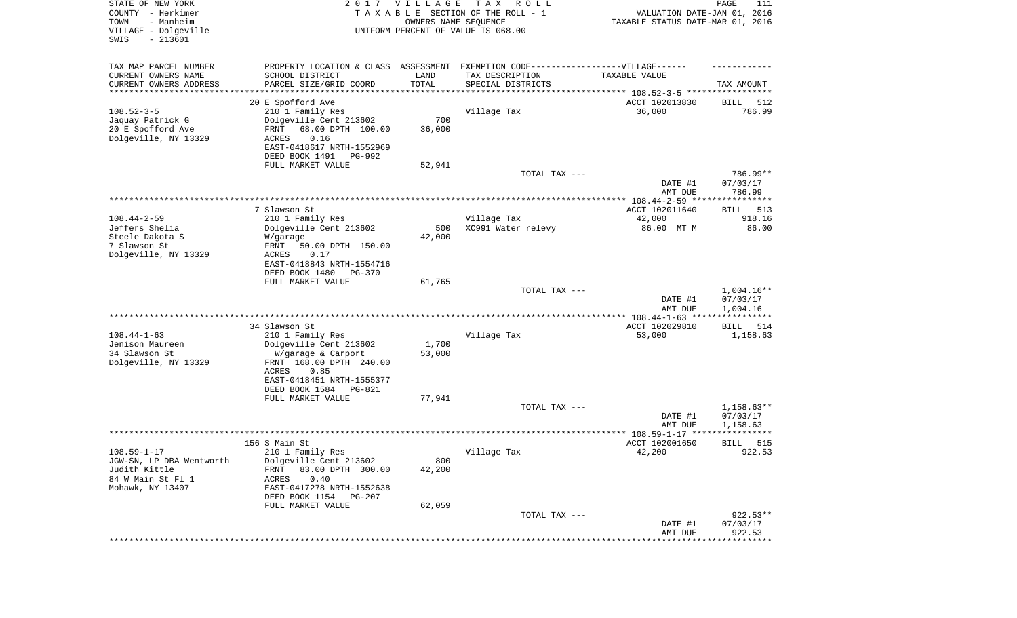| STATE OF NEW YORK<br>COUNTY - Herkimer<br>- Manheim<br>TOWN<br>VILLAGE - Dolgeville<br>SWIS<br>$-213601$ |                                            | 2017 VILLAGE<br>OWNERS NAME SEQUENCE | T A X<br>R O L L<br>TAXABLE SECTION OF THE ROLL - 1<br>UNIFORM PERCENT OF VALUE IS 068.00 | VALUATION DATE-JAN 01, 2016<br>TAXABLE STATUS DATE-MAR 01, 2016 | PAGE<br>111                    |
|----------------------------------------------------------------------------------------------------------|--------------------------------------------|--------------------------------------|-------------------------------------------------------------------------------------------|-----------------------------------------------------------------|--------------------------------|
| TAX MAP PARCEL NUMBER                                                                                    |                                            |                                      | PROPERTY LOCATION & CLASS ASSESSMENT EXEMPTION CODE-----------------VILLAGE------         |                                                                 |                                |
| CURRENT OWNERS NAME                                                                                      | SCHOOL DISTRICT                            | LAND                                 | TAX DESCRIPTION                                                                           | TAXABLE VALUE                                                   |                                |
| CURRENT OWNERS ADDRESS<br>********************                                                           | PARCEL SIZE/GRID COORD                     | TOTAL<br>***********                 | SPECIAL DISTRICTS<br>********************************* 108.52-3-5 *****************       |                                                                 | TAX AMOUNT                     |
|                                                                                                          | 20 E Spofford Ave                          |                                      |                                                                                           | ACCT 102013830                                                  | 512<br>BILL                    |
| $108.52 - 3 - 5$                                                                                         | 210 1 Family Res                           |                                      | Village Tax                                                                               | 36,000                                                          | 786.99                         |
| Jaquay Patrick G                                                                                         | Dolgeville Cent 213602                     | 700                                  |                                                                                           |                                                                 |                                |
| 20 E Spofford Ave                                                                                        | FRNT<br>68.00 DPTH 100.00                  | 36,000                               |                                                                                           |                                                                 |                                |
| Dolgeville, NY 13329                                                                                     | ACRES<br>0.16                              |                                      |                                                                                           |                                                                 |                                |
|                                                                                                          | EAST-0418617 NRTH-1552969                  |                                      |                                                                                           |                                                                 |                                |
|                                                                                                          | DEED BOOK 1491<br>PG-992                   |                                      |                                                                                           |                                                                 |                                |
|                                                                                                          | FULL MARKET VALUE                          | 52,941                               |                                                                                           |                                                                 |                                |
|                                                                                                          |                                            |                                      | TOTAL TAX ---                                                                             | DATE #1<br>AMT DUE                                              | 786.99**<br>07/03/17<br>786.99 |
|                                                                                                          |                                            |                                      |                                                                                           |                                                                 |                                |
|                                                                                                          | 7 Slawson St.                              |                                      |                                                                                           | ACCT 102011640                                                  | 513<br>BILL                    |
| $108.44 - 2 - 59$                                                                                        | 210 1 Family Res                           |                                      | Village Tax                                                                               | 42,000                                                          | 918.16                         |
| Jeffers Shelia                                                                                           | Dolgeville Cent 213602                     | 500                                  | XC991 Water relevy                                                                        | 86.00 MT M                                                      | 86.00                          |
| Steele Dakota S                                                                                          | W/garage                                   | 42,000                               |                                                                                           |                                                                 |                                |
| 7 Slawson St                                                                                             | 50.00 DPTH 150.00<br>FRNT                  |                                      |                                                                                           |                                                                 |                                |
| Dolgeville, NY 13329                                                                                     | ACRES<br>0.17<br>EAST-0418843 NRTH-1554716 |                                      |                                                                                           |                                                                 |                                |
|                                                                                                          | DEED BOOK 1480<br>PG-370                   |                                      |                                                                                           |                                                                 |                                |
|                                                                                                          | FULL MARKET VALUE                          | 61,765                               |                                                                                           |                                                                 |                                |
|                                                                                                          |                                            |                                      | TOTAL TAX ---                                                                             |                                                                 | $1,004.16**$                   |
|                                                                                                          |                                            |                                      |                                                                                           | DATE #1<br>AMT DUE                                              | 07/03/17<br>1,004.16           |
|                                                                                                          |                                            |                                      |                                                                                           | ************ 108.44-1-63 ****                                   | ************                   |
|                                                                                                          | 34 Slawson St                              |                                      |                                                                                           | ACCT 102029810                                                  | 514<br>BILL                    |
| $108.44 - 1 - 63$<br>Jenison Maureen                                                                     | 210 1 Family Res<br>Dolgeville Cent 213602 | 1,700                                | Village Tax                                                                               | 53,000                                                          | 1,158.63                       |
| 34 Slawson St                                                                                            | W/garage & Carport                         | 53,000                               |                                                                                           |                                                                 |                                |
| Dolgeville, NY 13329                                                                                     | FRNT 168.00 DPTH 240.00                    |                                      |                                                                                           |                                                                 |                                |
|                                                                                                          | ACRES<br>0.85                              |                                      |                                                                                           |                                                                 |                                |
|                                                                                                          | EAST-0418451 NRTH-1555377                  |                                      |                                                                                           |                                                                 |                                |
|                                                                                                          | DEED BOOK 1584<br>PG-821                   |                                      |                                                                                           |                                                                 |                                |
|                                                                                                          | FULL MARKET VALUE                          | 77,941                               |                                                                                           |                                                                 |                                |
|                                                                                                          |                                            |                                      | TOTAL TAX ---                                                                             |                                                                 | $1,158.63**$                   |
|                                                                                                          |                                            |                                      |                                                                                           | DATE #1<br>AMT DUE                                              | 07/03/17<br>1,158.63           |
|                                                                                                          |                                            |                                      |                                                                                           |                                                                 | ****                           |
|                                                                                                          | 156 S Main St                              |                                      |                                                                                           | ACCT 102001650                                                  | 515<br>BILL                    |
| $108.59 - 1 - 17$                                                                                        | 210 1 Family Res                           |                                      | Village Tax                                                                               | 42,200                                                          | 922.53                         |
| JGW-SN, LP DBA Wentworth                                                                                 | Dolgeville Cent 213602                     | 800                                  |                                                                                           |                                                                 |                                |
| Judith Kittle                                                                                            | 83.00 DPTH 300.00<br><b>FRNT</b>           | 42,200                               |                                                                                           |                                                                 |                                |
| 84 W Main St Fl 1                                                                                        | ACRES<br>0.40                              |                                      |                                                                                           |                                                                 |                                |
| Mohawk, NY 13407                                                                                         | EAST-0417278 NRTH-1552638                  |                                      |                                                                                           |                                                                 |                                |
|                                                                                                          | DEED BOOK 1154<br>PG-207                   | 62,059                               |                                                                                           |                                                                 |                                |
|                                                                                                          | FULL MARKET VALUE                          |                                      | TOTAL TAX ---                                                                             |                                                                 | 922.53**                       |
|                                                                                                          |                                            |                                      |                                                                                           | DATE #1                                                         | 07/03/17                       |
|                                                                                                          |                                            |                                      |                                                                                           | AMT DUE                                                         | 922.53                         |
|                                                                                                          |                                            |                                      |                                                                                           |                                                                 |                                |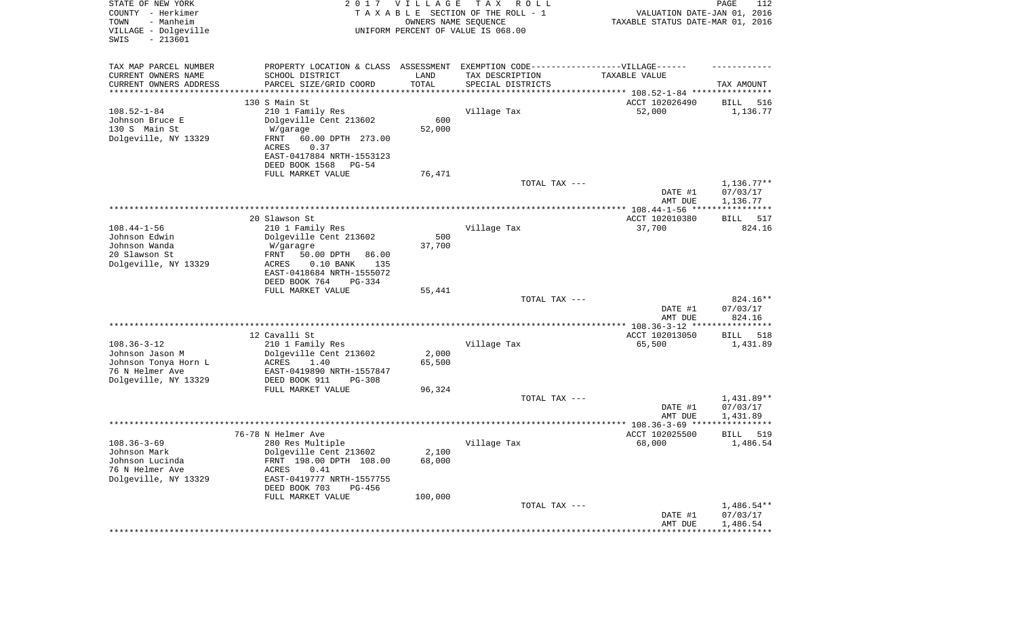| STATE OF NEW YORK<br>COUNTY - Herkimer<br>- Manheim<br>TOWN<br>VILLAGE - Dolgeville<br>$-213601$<br>SWIS | 2017                                                     | <b>VILLAGE</b><br>OWNERS NAME SEQUENCE | T A X<br>R O L L<br>TAXABLE SECTION OF THE ROLL - 1<br>UNIFORM PERCENT OF VALUE IS 068.00 | VALUATION DATE-JAN 01, 2016<br>TAXABLE STATUS DATE-MAR 01, 2016  | PAGE<br>112              |
|----------------------------------------------------------------------------------------------------------|----------------------------------------------------------|----------------------------------------|-------------------------------------------------------------------------------------------|------------------------------------------------------------------|--------------------------|
| TAX MAP PARCEL NUMBER                                                                                    |                                                          |                                        | PROPERTY LOCATION & CLASS ASSESSMENT EXEMPTION CODE-----------------VILLAGE------         |                                                                  |                          |
| CURRENT OWNERS NAME                                                                                      | SCHOOL DISTRICT                                          | LAND                                   | TAX DESCRIPTION                                                                           | TAXABLE VALUE                                                    |                          |
| CURRENT OWNERS ADDRESS<br>*******************                                                            | PARCEL SIZE/GRID COORD                                   | TOTAL                                  | SPECIAL DISTRICTS                                                                         | ********************************** 108.52-1-84 ***************** | TAX AMOUNT               |
|                                                                                                          | 130 S Main St                                            |                                        |                                                                                           | ACCT 102026490                                                   | 516<br>BILL              |
| $108.52 - 1 - 84$                                                                                        | 210 1 Family Res                                         |                                        | Village Tax                                                                               | 52,000                                                           | 1,136.77                 |
| Johnson Bruce E                                                                                          | Dolgeville Cent 213602                                   | 600                                    |                                                                                           |                                                                  |                          |
| 130 S Main St                                                                                            | W/garage                                                 | 52,000                                 |                                                                                           |                                                                  |                          |
| Dolgeville, NY 13329                                                                                     | FRNT<br>60.00 DPTH 273.00<br>0.37<br>ACRES               |                                        |                                                                                           |                                                                  |                          |
|                                                                                                          | EAST-0417884 NRTH-1553123                                |                                        |                                                                                           |                                                                  |                          |
|                                                                                                          | DEED BOOK 1568<br>PG-54                                  |                                        |                                                                                           |                                                                  |                          |
|                                                                                                          | FULL MARKET VALUE                                        | 76,471                                 |                                                                                           |                                                                  |                          |
|                                                                                                          |                                                          |                                        | TOTAL TAX ---                                                                             | DATE #1                                                          | $1,136.77**$<br>07/03/17 |
|                                                                                                          |                                                          |                                        |                                                                                           | AMT DUE                                                          | 1,136.77                 |
|                                                                                                          |                                                          |                                        |                                                                                           |                                                                  |                          |
| $108.44 - 1 - 56$                                                                                        | 20 Slawson St<br>210 1 Family Res                        |                                        |                                                                                           | ACCT 102010380                                                   | BILL<br>517              |
| Johnson Edwin                                                                                            | Dolgeville Cent 213602                                   | 500                                    | Village Tax                                                                               | 37,700                                                           | 824.16                   |
| Johnson Wanda                                                                                            | W/garagre                                                | 37,700                                 |                                                                                           |                                                                  |                          |
| 20 Slawson St                                                                                            | FRNT<br>50.00 DPTH<br>86.00                              |                                        |                                                                                           |                                                                  |                          |
| Dolgeville, NY 13329                                                                                     | ACRES<br>$0.10$ BANK<br>135<br>EAST-0418684 NRTH-1555072 |                                        |                                                                                           |                                                                  |                          |
|                                                                                                          | DEED BOOK 764<br>$PG-334$                                |                                        |                                                                                           |                                                                  |                          |
|                                                                                                          | FULL MARKET VALUE                                        | 55,441                                 |                                                                                           |                                                                  |                          |
|                                                                                                          |                                                          |                                        | TOTAL TAX ---                                                                             |                                                                  | 824.16**                 |
|                                                                                                          |                                                          |                                        |                                                                                           | DATE #1<br>AMT DUE                                               | 07/03/17<br>824.16       |
|                                                                                                          |                                                          |                                        |                                                                                           |                                                                  | * * * * * * * * * * *    |
|                                                                                                          | 12 Cavalli St                                            |                                        |                                                                                           | ACCT 102013050                                                   | BILL<br>518              |
| $108.36 - 3 - 12$                                                                                        | 210 1 Family Res                                         |                                        | Village Tax                                                                               | 65,500                                                           | 1,431.89                 |
| Johnson Jason M<br>Johnson Tonya Horn L                                                                  | Dolgeville Cent 213602<br>ACRES<br>1.40                  | 2,000<br>65,500                        |                                                                                           |                                                                  |                          |
| 76 N Helmer Ave                                                                                          | EAST-0419890 NRTH-1557847                                |                                        |                                                                                           |                                                                  |                          |
| Dolgeville, NY 13329                                                                                     | DEED BOOK 911<br>PG-308                                  |                                        |                                                                                           |                                                                  |                          |
|                                                                                                          | FULL MARKET VALUE                                        | 96,324                                 | TOTAL TAX ---                                                                             |                                                                  |                          |
|                                                                                                          |                                                          |                                        |                                                                                           | DATE #1                                                          | 1,431.89**<br>07/03/17   |
|                                                                                                          |                                                          |                                        |                                                                                           | AMT DUE                                                          | 1,431.89                 |
|                                                                                                          |                                                          |                                        |                                                                                           |                                                                  | ***********              |
| $108.36 - 3 - 69$                                                                                        | 76-78 N Helmer Ave<br>280 Res Multiple                   |                                        | Village Tax                                                                               | ACCT 102025500<br>68,000                                         | 519<br>BILL<br>1,486.54  |
| Johnson Mark                                                                                             | Dolgeville Cent 213602                                   | 2,100                                  |                                                                                           |                                                                  |                          |
| Johnson Lucinda                                                                                          | FRNT 198.00 DPTH 108.00                                  | 68,000                                 |                                                                                           |                                                                  |                          |
| 76 N Helmer Ave                                                                                          | ACRES<br>0.41                                            |                                        |                                                                                           |                                                                  |                          |
| Dolgeville, NY 13329                                                                                     | EAST-0419777 NRTH-1557755<br>DEED BOOK 703<br>PG-456     |                                        |                                                                                           |                                                                  |                          |
|                                                                                                          | FULL MARKET VALUE                                        | 100,000                                |                                                                                           |                                                                  |                          |
|                                                                                                          |                                                          |                                        | TOTAL TAX ---                                                                             |                                                                  | $1,486.54**$             |
|                                                                                                          |                                                          |                                        |                                                                                           | DATE #1                                                          | 07/03/17                 |
|                                                                                                          |                                                          |                                        |                                                                                           | AMT DUE                                                          | 1,486.54                 |
|                                                                                                          |                                                          |                                        |                                                                                           |                                                                  |                          |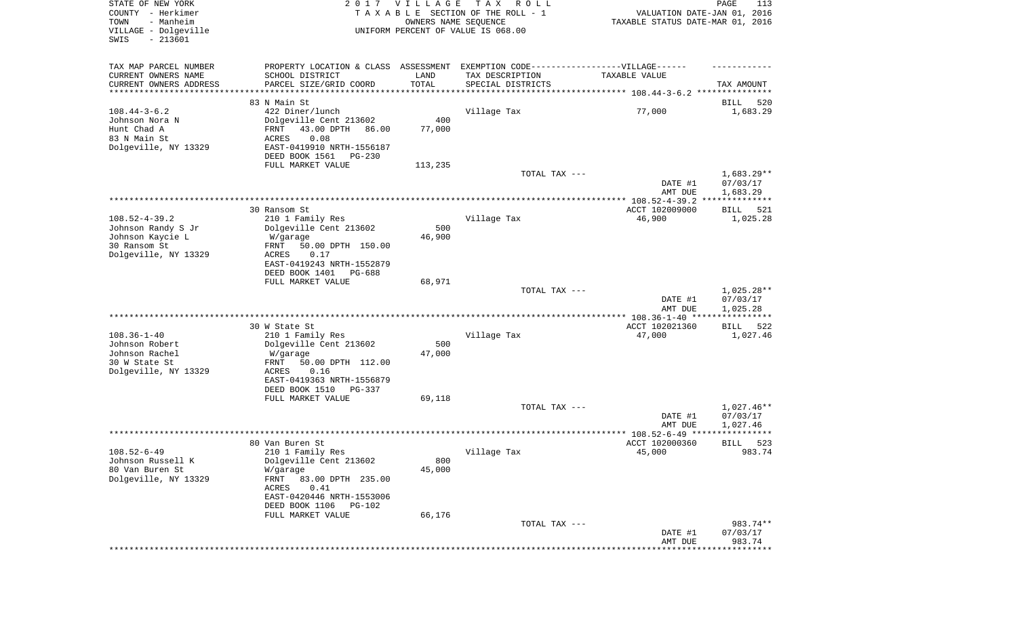| STATE OF NEW YORK<br>COUNTY - Herkimer<br>- Manheim<br>TOWN<br>VILLAGE - Dolgeville<br>SWIS<br>$-213601$ |                                                                                                                                                                                  | 2017 VILLAGE<br>OWNERS NAME SEQUENCE | T A X<br>R O L L<br>TAXABLE SECTION OF THE ROLL - 1<br>UNIFORM PERCENT OF VALUE IS 068.00 | VALUATION DATE-JAN 01, 2016<br>TAXABLE STATUS DATE-MAR 01, 2016 | PAGE<br>113                          |
|----------------------------------------------------------------------------------------------------------|----------------------------------------------------------------------------------------------------------------------------------------------------------------------------------|--------------------------------------|-------------------------------------------------------------------------------------------|-----------------------------------------------------------------|--------------------------------------|
| TAX MAP PARCEL NUMBER<br>CURRENT OWNERS NAME<br>CURRENT OWNERS ADDRESS                                   | PROPERTY LOCATION & CLASS ASSESSMENT EXEMPTION CODE-----------------VILLAGE------<br>SCHOOL DISTRICT<br>PARCEL SIZE/GRID COORD                                                   | LAND<br>TOTAL                        | TAX DESCRIPTION<br>SPECIAL DISTRICTS                                                      | TAXABLE VALUE                                                   | TAX AMOUNT                           |
| ********************                                                                                     |                                                                                                                                                                                  | * * * * * * * * * * *                |                                                                                           |                                                                 |                                      |
| $108.44 - 3 - 6.2$<br>Johnson Nora N<br>Hunt Chad A<br>83 N Main St<br>Dolgeville, NY 13329              | 83 N Main St<br>422 Diner/lunch<br>Dolgeville Cent 213602<br>43.00 DPTH<br>FRNT<br>86.00<br>0.08<br>ACRES<br>EAST-0419910 NRTH-1556187<br>DEED BOOK 1561<br>PG-230               | 400<br>77,000                        | Village Tax                                                                               | 77,000                                                          | 520<br>BILL<br>1,683.29              |
|                                                                                                          | FULL MARKET VALUE                                                                                                                                                                | 113,235                              |                                                                                           |                                                                 |                                      |
|                                                                                                          |                                                                                                                                                                                  |                                      | TOTAL TAX ---                                                                             | DATE #1<br>AMT DUE                                              | $1,683.29**$<br>07/03/17<br>1,683.29 |
|                                                                                                          |                                                                                                                                                                                  |                                      |                                                                                           |                                                                 |                                      |
| $108.52 - 4 - 39.2$<br>Johnson Randy S Jr<br>Johnson Kaycie L<br>30 Ransom St                            | 30 Ransom St<br>210 1 Family Res<br>Dolgeville Cent 213602<br>W/garage<br>50.00 DPTH 150.00<br>FRNT                                                                              | 500<br>46,900                        | Village Tax                                                                               | ACCT 102009000<br>46,900                                        | 521<br>BILL<br>1,025.28              |
| Dolgeville, NY 13329                                                                                     | ACRES<br>0.17<br>EAST-0419243 NRTH-1552879<br>DEED BOOK 1401<br>PG-688<br>FULL MARKET VALUE                                                                                      | 68,971                               |                                                                                           |                                                                 |                                      |
|                                                                                                          |                                                                                                                                                                                  |                                      | TOTAL TAX ---                                                                             | DATE #1<br>AMT DUE                                              | $1,025.28**$<br>07/03/17<br>1,025.28 |
|                                                                                                          |                                                                                                                                                                                  |                                      |                                                                                           | *********** 108.36-1-40 ****                                    | ************                         |
| $108.36 - 1 - 40$<br>Johnson Robert<br>Johnson Rachel<br>30 W State St<br>Dolgeville, NY 13329           | 30 W State St<br>210 1 Family Res<br>Dolgeville Cent 213602<br>W/garage<br>FRNT<br>50.00 DPTH 112.00<br>ACRES<br>0.16<br>EAST-0419363 NRTH-1556879<br>DEED BOOK 1510<br>PG-337   | 500<br>47,000                        | Village Tax                                                                               | ACCT 102021360<br>47,000                                        | 522<br>BILL<br>1,027.46              |
|                                                                                                          | FULL MARKET VALUE                                                                                                                                                                | 69,118                               |                                                                                           |                                                                 |                                      |
|                                                                                                          |                                                                                                                                                                                  |                                      | TOTAL TAX ---                                                                             | DATE #1<br>AMT DUE                                              | $1,027.46**$<br>07/03/17<br>1,027.46 |
|                                                                                                          |                                                                                                                                                                                  |                                      |                                                                                           | ****************** 108.52-6-49 ****                             | ****                                 |
| $108.52 - 6 - 49$<br>Johnson Russell K<br>80 Van Buren St<br>Dolgeville, NY 13329                        | 80 Van Buren St<br>210 1 Family Res<br>Dolgeville Cent 213602<br>W/garage<br>FRNT<br>83.00 DPTH 235.00<br>ACRES<br>0.41<br>EAST-0420446 NRTH-1553006<br>DEED BOOK 1106<br>PG-102 | 800<br>45,000<br>66,176              | Village Tax                                                                               | ACCT 102000360<br>45,000                                        | 523<br>BILL<br>983.74                |
|                                                                                                          | FULL MARKET VALUE                                                                                                                                                                |                                      | TOTAL TAX ---                                                                             |                                                                 | 983.74**                             |
|                                                                                                          |                                                                                                                                                                                  |                                      |                                                                                           | DATE #1<br>AMT DUE                                              | 07/03/17<br>983.74                   |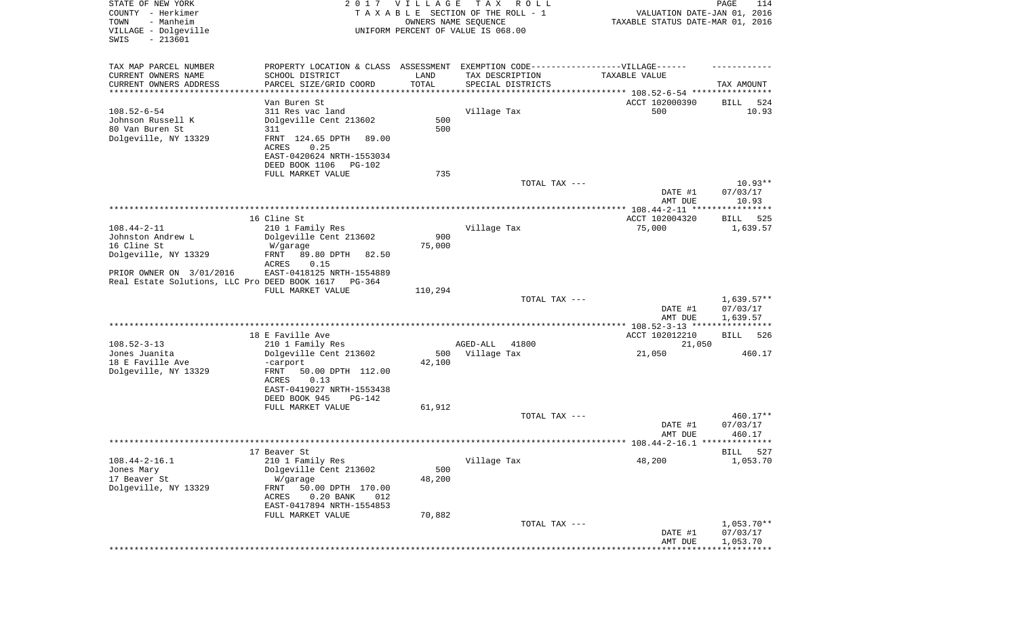| STATE OF NEW YORK<br>COUNTY - Herkimer<br>- Manheim<br>TOWN<br>VILLAGE - Dolgeville<br>$-213601$<br>SWIS |                                                                                  | 2017 VILLAGE<br>OWNERS NAME SEQUENCE | T A X<br>R O L L<br>TAXABLE SECTION OF THE ROLL - 1<br>UNIFORM PERCENT OF VALUE IS 068.00 | VALUATION DATE-JAN 01, 2016<br>TAXABLE STATUS DATE-MAR 01, 2016 | PAGE<br>114        |
|----------------------------------------------------------------------------------------------------------|----------------------------------------------------------------------------------|--------------------------------------|-------------------------------------------------------------------------------------------|-----------------------------------------------------------------|--------------------|
|                                                                                                          |                                                                                  |                                      |                                                                                           |                                                                 |                    |
| TAX MAP PARCEL NUMBER                                                                                    | PROPERTY LOCATION & CLASS ASSESSMENT EXEMPTION CODE----------------VILLAGE------ |                                      |                                                                                           |                                                                 |                    |
| CURRENT OWNERS NAME                                                                                      | SCHOOL DISTRICT                                                                  | LAND                                 | TAX DESCRIPTION                                                                           | TAXABLE VALUE                                                   |                    |
| CURRENT OWNERS ADDRESS<br>***********************                                                        | PARCEL SIZE/GRID COORD                                                           | TOTAL                                | SPECIAL DISTRICTS                                                                         |                                                                 | TAX AMOUNT         |
|                                                                                                          | Van Buren St                                                                     |                                      |                                                                                           | ACCT 102000390                                                  | BILL<br>524        |
| $108.52 - 6 - 54$                                                                                        | 311 Res vac land                                                                 |                                      | Village Tax                                                                               | 500                                                             | 10.93              |
| Johnson Russell K                                                                                        | Dolgeville Cent 213602                                                           | 500                                  |                                                                                           |                                                                 |                    |
| 80 Van Buren St                                                                                          | 311                                                                              | 500                                  |                                                                                           |                                                                 |                    |
| Dolgeville, NY 13329                                                                                     | FRNT 124.65 DPTH<br>89.00                                                        |                                      |                                                                                           |                                                                 |                    |
|                                                                                                          | ACRES<br>0.25<br>EAST-0420624 NRTH-1553034                                       |                                      |                                                                                           |                                                                 |                    |
|                                                                                                          | DEED BOOK 1106<br>PG-102                                                         |                                      |                                                                                           |                                                                 |                    |
|                                                                                                          | FULL MARKET VALUE                                                                | 735                                  |                                                                                           |                                                                 |                    |
|                                                                                                          |                                                                                  |                                      | TOTAL TAX ---                                                                             |                                                                 | $10.93**$          |
|                                                                                                          |                                                                                  |                                      |                                                                                           | DATE #1                                                         | 07/03/17           |
|                                                                                                          |                                                                                  |                                      |                                                                                           | AMT DUE                                                         | 10.93              |
|                                                                                                          | 16 Cline St                                                                      |                                      |                                                                                           | ACCT 102004320                                                  | BILL<br>525        |
| $108.44 - 2 - 11$                                                                                        | 210 1 Family Res                                                                 |                                      | Village Tax                                                                               | 75,000                                                          | 1,639.57           |
| Johnston Andrew L                                                                                        | Dolgeville Cent 213602                                                           | 900                                  |                                                                                           |                                                                 |                    |
| 16 Cline St                                                                                              | W/garage                                                                         | 75,000                               |                                                                                           |                                                                 |                    |
| Dolgeville, NY 13329                                                                                     | FRNT<br>89.80 DPTH<br>82.50                                                      |                                      |                                                                                           |                                                                 |                    |
| PRIOR OWNER ON 3/01/2016                                                                                 | ACRES<br>0.15<br>EAST-0418125 NRTH-1554889                                       |                                      |                                                                                           |                                                                 |                    |
| Real Estate Solutions, LLC Pro DEED BOOK 1617                                                            | PG-364                                                                           |                                      |                                                                                           |                                                                 |                    |
|                                                                                                          | FULL MARKET VALUE                                                                | 110,294                              |                                                                                           |                                                                 |                    |
|                                                                                                          |                                                                                  |                                      | TOTAL TAX ---                                                                             |                                                                 | $1,639.57**$       |
|                                                                                                          |                                                                                  |                                      |                                                                                           | DATE #1                                                         | 07/03/17           |
|                                                                                                          |                                                                                  |                                      |                                                                                           | AMT DUE                                                         | 1,639.57           |
|                                                                                                          | 18 E Faville Ave                                                                 |                                      |                                                                                           | ACCT 102012210                                                  | BILL<br>526        |
| $108.52 - 3 - 13$                                                                                        | 210 1 Family Res                                                                 |                                      | 41800<br>AGED-ALL                                                                         | 21,050                                                          |                    |
| Jones Juanita                                                                                            | Dolgeville Cent 213602                                                           | 500                                  | Village Tax                                                                               | 21,050                                                          | 460.17             |
| 18 E Faville Ave                                                                                         | -carport                                                                         | 42,100                               |                                                                                           |                                                                 |                    |
| Dolgeville, NY 13329                                                                                     | FRNT<br>50.00 DPTH 112.00<br>ACRES<br>0.13                                       |                                      |                                                                                           |                                                                 |                    |
|                                                                                                          | EAST-0419027 NRTH-1553438                                                        |                                      |                                                                                           |                                                                 |                    |
|                                                                                                          | DEED BOOK 945<br>$PG-142$                                                        |                                      |                                                                                           |                                                                 |                    |
|                                                                                                          | FULL MARKET VALUE                                                                | 61,912                               |                                                                                           |                                                                 |                    |
|                                                                                                          |                                                                                  |                                      | TOTAL TAX ---                                                                             |                                                                 | 460.17**           |
|                                                                                                          |                                                                                  |                                      |                                                                                           | DATE #1<br>AMT DUE                                              | 07/03/17<br>460.17 |
|                                                                                                          |                                                                                  |                                      |                                                                                           |                                                                 |                    |
|                                                                                                          | 17 Beaver St                                                                     |                                      |                                                                                           |                                                                 | 527<br>BILL        |
| $108.44 - 2 - 16.1$                                                                                      | 210 1 Family Res                                                                 |                                      | Village Tax                                                                               | 48,200                                                          | 1,053.70           |
| Jones Mary                                                                                               | Dolgeville Cent 213602                                                           | 500                                  |                                                                                           |                                                                 |                    |
| 17 Beaver St                                                                                             | W/garage                                                                         | 48,200                               |                                                                                           |                                                                 |                    |
| Dolgeville, NY 13329                                                                                     | 50.00 DPTH 170.00<br>FRNT<br>$0.20$ BANK<br>ACRES<br>012                         |                                      |                                                                                           |                                                                 |                    |
|                                                                                                          | EAST-0417894 NRTH-1554853                                                        |                                      |                                                                                           |                                                                 |                    |
|                                                                                                          | FULL MARKET VALUE                                                                | 70,882                               |                                                                                           |                                                                 |                    |
|                                                                                                          |                                                                                  |                                      | TOTAL TAX ---                                                                             |                                                                 | $1,053.70**$       |
|                                                                                                          |                                                                                  |                                      |                                                                                           | DATE #1                                                         | 07/03/17           |
|                                                                                                          |                                                                                  |                                      |                                                                                           | AMT DUE                                                         | 1,053.70           |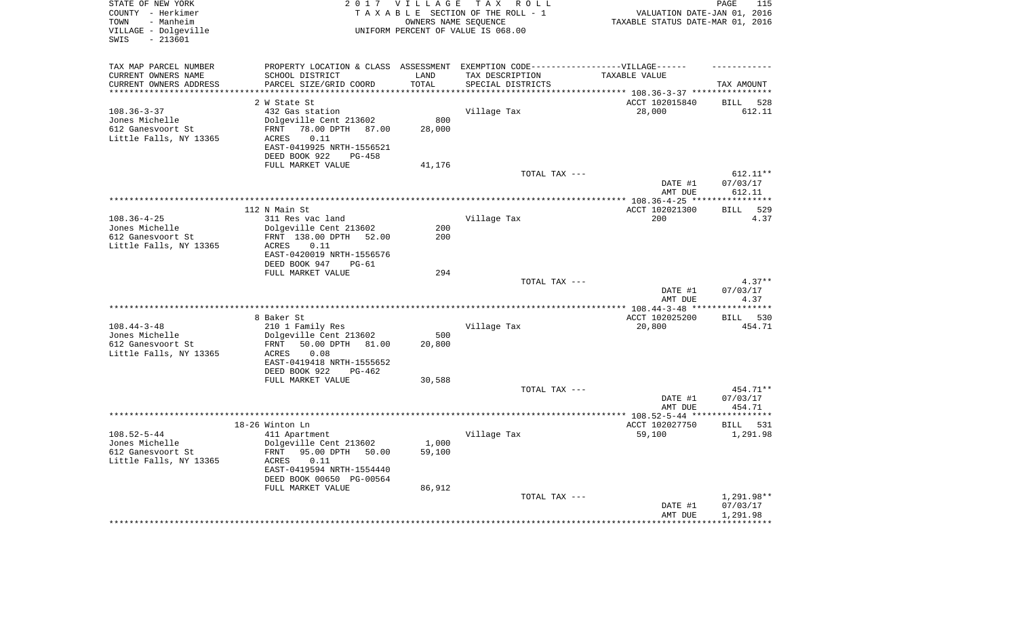| STATE OF NEW YORK<br>COUNTY - Herkimer<br>- Manheim<br>TOWN<br>VILLAGE - Dolgeville<br>$-213601$<br>SWIS |                                                       | 2017 VILLAGE<br>OWNERS NAME SEQUENCE | TAX ROLL<br>TAXABLE SECTION OF THE ROLL - 1<br>UNIFORM PERCENT OF VALUE IS 068.00 | VALUATION DATE-JAN 01, 2016<br>TAXABLE STATUS DATE-MAR 01, 2016 | PAGE<br>115                  |
|----------------------------------------------------------------------------------------------------------|-------------------------------------------------------|--------------------------------------|-----------------------------------------------------------------------------------|-----------------------------------------------------------------|------------------------------|
| TAX MAP PARCEL NUMBER                                                                                    |                                                       |                                      | PROPERTY LOCATION & CLASS ASSESSMENT EXEMPTION CODE-----------------VILLAGE------ |                                                                 |                              |
| CURRENT OWNERS NAME                                                                                      | SCHOOL DISTRICT                                       | LAND                                 | TAX DESCRIPTION                                                                   | TAXABLE VALUE                                                   |                              |
| CURRENT OWNERS ADDRESS<br>*********************                                                          | PARCEL SIZE/GRID COORD<br>*************************   | TOTAL<br>**************              | SPECIAL DISTRICTS                                                                 |                                                                 | TAX AMOUNT                   |
|                                                                                                          |                                                       |                                      | ************************************* 108.36-3-37 ****************                |                                                                 |                              |
| $108.36 - 3 - 37$                                                                                        | 2 W State St<br>432 Gas station                       |                                      | Village Tax                                                                       | ACCT 102015840<br>28,000                                        | <b>BILL</b><br>528<br>612.11 |
| Jones Michelle                                                                                           | Dolgeville Cent 213602                                | 800                                  |                                                                                   |                                                                 |                              |
| 612 Ganesvoort St                                                                                        | 78.00 DPTH 87.00<br>FRNT                              | 28,000                               |                                                                                   |                                                                 |                              |
| Little Falls, NY 13365                                                                                   | 0.11<br>ACRES                                         |                                      |                                                                                   |                                                                 |                              |
|                                                                                                          | EAST-0419925 NRTH-1556521                             |                                      |                                                                                   |                                                                 |                              |
|                                                                                                          | DEED BOOK 922<br>$PG-458$                             |                                      |                                                                                   |                                                                 |                              |
|                                                                                                          | FULL MARKET VALUE                                     | 41,176                               |                                                                                   |                                                                 |                              |
|                                                                                                          |                                                       |                                      | TOTAL TAX ---                                                                     |                                                                 | 612.11**                     |
|                                                                                                          |                                                       |                                      |                                                                                   | DATE #1<br>AMT DUE                                              | 07/03/17<br>612.11           |
|                                                                                                          |                                                       |                                      |                                                                                   |                                                                 | ***********                  |
|                                                                                                          | 112 N Main St                                         |                                      |                                                                                   | ACCT 102021300                                                  | 529<br><b>BILL</b>           |
| $108.36 - 4 - 25$                                                                                        | 311 Res vac land                                      |                                      | Village Tax                                                                       | 200                                                             | 4.37                         |
| Jones Michelle                                                                                           | Dolgeville Cent 213602                                | 200                                  |                                                                                   |                                                                 |                              |
| 612 Ganesvoort St                                                                                        | FRNT 138.00 DPTH 52.00                                | 200                                  |                                                                                   |                                                                 |                              |
| Little Falls, NY 13365                                                                                   | 0.11<br>ACRES                                         |                                      |                                                                                   |                                                                 |                              |
|                                                                                                          | EAST-0420019 NRTH-1556576<br>DEED BOOK 947<br>$PG-61$ |                                      |                                                                                   |                                                                 |                              |
|                                                                                                          | FULL MARKET VALUE                                     | 294                                  |                                                                                   |                                                                 |                              |
|                                                                                                          |                                                       |                                      | TOTAL TAX ---                                                                     |                                                                 | $4.37**$                     |
|                                                                                                          |                                                       |                                      |                                                                                   | DATE #1                                                         | 07/03/17                     |
|                                                                                                          |                                                       |                                      |                                                                                   | AMT DUE                                                         | 4.37                         |
|                                                                                                          | 8 Baker St                                            |                                      |                                                                                   |                                                                 | **********<br>530<br>BILL    |
| $108.44 - 3 - 48$                                                                                        | 210 1 Family Res                                      |                                      | Village Tax                                                                       | ACCT 102025200<br>20,800                                        | 454.71                       |
| Jones Michelle                                                                                           | Dolgeville Cent 213602                                | 500                                  |                                                                                   |                                                                 |                              |
| 612 Ganesvoort St                                                                                        | 50.00 DPTH<br>FRNT<br>81.00                           | 20,800                               |                                                                                   |                                                                 |                              |
| Little Falls, NY 13365                                                                                   | ACRES<br>0.08                                         |                                      |                                                                                   |                                                                 |                              |
|                                                                                                          | EAST-0419418 NRTH-1555652                             |                                      |                                                                                   |                                                                 |                              |
|                                                                                                          | DEED BOOK 922<br>$PG-462$                             |                                      |                                                                                   |                                                                 |                              |
|                                                                                                          | FULL MARKET VALUE                                     | 30,588                               | TOTAL TAX ---                                                                     |                                                                 | 454.71**                     |
|                                                                                                          |                                                       |                                      |                                                                                   | DATE #1                                                         | 07/03/17                     |
|                                                                                                          |                                                       |                                      |                                                                                   | AMT DUE                                                         | 454.71                       |
|                                                                                                          |                                                       |                                      |                                                                                   |                                                                 |                              |
|                                                                                                          | 18-26 Winton Ln                                       |                                      |                                                                                   | ACCT 102027750                                                  | BILL<br>531                  |
| $108.52 - 5 - 44$                                                                                        | 411 Apartment                                         |                                      | Village Tax                                                                       | 59,100                                                          | 1,291.98                     |
| Jones Michelle                                                                                           | Dolgeville Cent 213602                                | 1,000                                |                                                                                   |                                                                 |                              |
| 612 Ganesvoort St<br>Little Falls, NY 13365                                                              | FRNT<br>95.00 DPTH 50.00<br>0.11<br>ACRES             | 59,100                               |                                                                                   |                                                                 |                              |
|                                                                                                          | EAST-0419594 NRTH-1554440                             |                                      |                                                                                   |                                                                 |                              |
|                                                                                                          | DEED BOOK 00650 PG-00564                              |                                      |                                                                                   |                                                                 |                              |
|                                                                                                          | FULL MARKET VALUE                                     | 86,912                               |                                                                                   |                                                                 |                              |
|                                                                                                          |                                                       |                                      | TOTAL TAX ---                                                                     |                                                                 | 1,291.98**                   |
|                                                                                                          |                                                       |                                      |                                                                                   | DATE #1                                                         | 07/03/17                     |
|                                                                                                          |                                                       |                                      |                                                                                   | AMT DUE<br>*************                                        | 1,291.98<br>***********      |
|                                                                                                          |                                                       |                                      |                                                                                   |                                                                 |                              |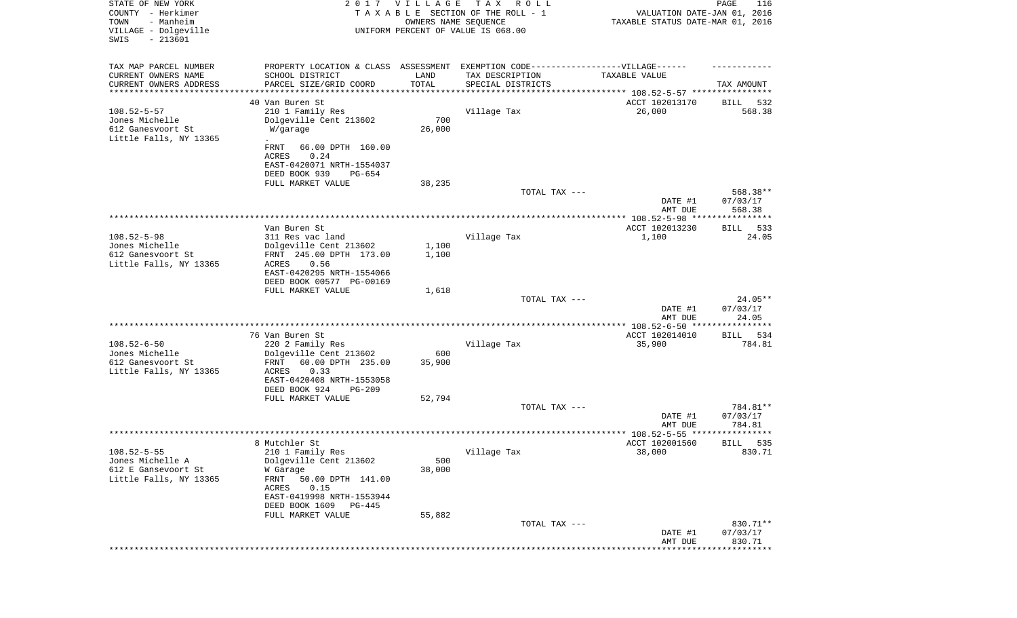| STATE OF NEW YORK<br>COUNTY - Herkimer<br>- Manheim<br>TOWN<br>VILLAGE - Dolgeville<br>SWIS<br>$-213601$ |                                                                                                     | 2017 VILLAGE<br>OWNERS NAME SEQUENCE | T A X<br>R O L L<br>TAXABLE SECTION OF THE ROLL - 1<br>UNIFORM PERCENT OF VALUE IS 068.00 | VALUATION DATE-JAN 01, 2016<br>TAXABLE STATUS DATE-MAR 01, 2016 | PAGE<br>116                    |
|----------------------------------------------------------------------------------------------------------|-----------------------------------------------------------------------------------------------------|--------------------------------------|-------------------------------------------------------------------------------------------|-----------------------------------------------------------------|--------------------------------|
| TAX MAP PARCEL NUMBER                                                                                    |                                                                                                     |                                      | PROPERTY LOCATION & CLASS ASSESSMENT EXEMPTION CODE----------------VILLAGE------          |                                                                 |                                |
| CURRENT OWNERS NAME<br>CURRENT OWNERS ADDRESS                                                            | SCHOOL DISTRICT<br>PARCEL SIZE/GRID COORD                                                           | LAND<br>TOTAL                        | TAX DESCRIPTION<br>SPECIAL DISTRICTS                                                      | TAXABLE VALUE                                                   | TAX AMOUNT                     |
| ********************                                                                                     |                                                                                                     |                                      |                                                                                           |                                                                 |                                |
| $108.52 - 5 - 57$<br>Jones Michelle<br>612 Ganesvoort St                                                 | 40 Van Buren St<br>210 1 Family Res<br>Dolgeville Cent 213602<br>W/garage                           | 700<br>26,000                        | Village Tax                                                                               | ACCT 102013170<br>26,000                                        | 532<br>BILL<br>568.38          |
| Little Falls, NY 13365                                                                                   | FRNT<br>66.00 DPTH 160.00<br>0.24<br>ACRES<br>EAST-0420071 NRTH-1554037<br>DEED BOOK 939<br>PG-654  |                                      |                                                                                           |                                                                 |                                |
|                                                                                                          | FULL MARKET VALUE                                                                                   | 38,235                               |                                                                                           |                                                                 |                                |
|                                                                                                          |                                                                                                     |                                      | TOTAL TAX ---                                                                             | DATE #1                                                         | 568.38**<br>07/03/17           |
|                                                                                                          |                                                                                                     |                                      |                                                                                           | AMT DUE                                                         | 568.38                         |
|                                                                                                          | Van Buren St                                                                                        |                                      |                                                                                           | ACCT 102013230                                                  | 533<br>BILL                    |
| $108.52 - 5 - 98$<br>Jones Michelle                                                                      | 311 Res vac land<br>Dolgeville Cent 213602                                                          | 1,100                                | Village Tax                                                                               | 1,100                                                           | 24.05                          |
| 612 Ganesvoort St<br>Little Falls, NY 13365                                                              | FRNT 245.00 DPTH 173.00<br>0.56<br>ACRES<br>EAST-0420295 NRTH-1554066                               | 1,100                                |                                                                                           |                                                                 |                                |
|                                                                                                          | DEED BOOK 00577 PG-00169                                                                            |                                      |                                                                                           |                                                                 |                                |
|                                                                                                          | FULL MARKET VALUE                                                                                   | 1,618                                | TOTAL TAX ---                                                                             |                                                                 | $24.05**$                      |
|                                                                                                          |                                                                                                     |                                      |                                                                                           | DATE #1<br>AMT DUE                                              | 07/03/17<br>24.05              |
|                                                                                                          |                                                                                                     |                                      |                                                                                           |                                                                 |                                |
| $108.52 - 6 - 50$                                                                                        | 76 Van Buren St<br>220 2 Family Res                                                                 |                                      | Village Tax                                                                               | ACCT 102014010<br>35,900                                        | BILL<br>534<br>784.81          |
| Jones Michelle                                                                                           | Dolgeville Cent 213602                                                                              | 600                                  |                                                                                           |                                                                 |                                |
| 612 Ganesvoort St<br>Little Falls, NY 13365                                                              | FRNT<br>60.00 DPTH 235.00<br>ACRES<br>0.33<br>EAST-0420408 NRTH-1553058                             | 35,900                               |                                                                                           |                                                                 |                                |
|                                                                                                          | DEED BOOK 924<br>$PG-209$                                                                           |                                      |                                                                                           |                                                                 |                                |
|                                                                                                          | FULL MARKET VALUE                                                                                   | 52,794                               | TOTAL TAX ---                                                                             |                                                                 | 784.81**<br>07/03/17           |
|                                                                                                          |                                                                                                     |                                      |                                                                                           | DATE #1<br>AMT DUE<br>***************** 108.52-5-55 ********    | 784.81<br>*****                |
|                                                                                                          | 8 Mutchler St                                                                                       |                                      |                                                                                           | ACCT 102001560                                                  | 535<br>BILL                    |
| $108.52 - 5 - 55$<br>Jones Michelle A<br>612 E Gansevoort St                                             | 210 1 Family Res<br>Dolgeville Cent 213602<br>W Garage                                              | 500<br>38,000                        | Village Tax                                                                               | 38,000                                                          | 830.71                         |
| Little Falls, NY 13365                                                                                   | 50.00 DPTH 141.00<br>FRNT<br>ACRES<br>0.15<br>EAST-0419998 NRTH-1553944<br>DEED BOOK 1609<br>PG-445 |                                      |                                                                                           |                                                                 |                                |
|                                                                                                          | FULL MARKET VALUE                                                                                   | 55,882                               |                                                                                           |                                                                 |                                |
|                                                                                                          |                                                                                                     |                                      | TOTAL TAX ---                                                                             | DATE #1<br>AMT DUE                                              | 830.71**<br>07/03/17<br>830.71 |
|                                                                                                          |                                                                                                     |                                      |                                                                                           |                                                                 | **********                     |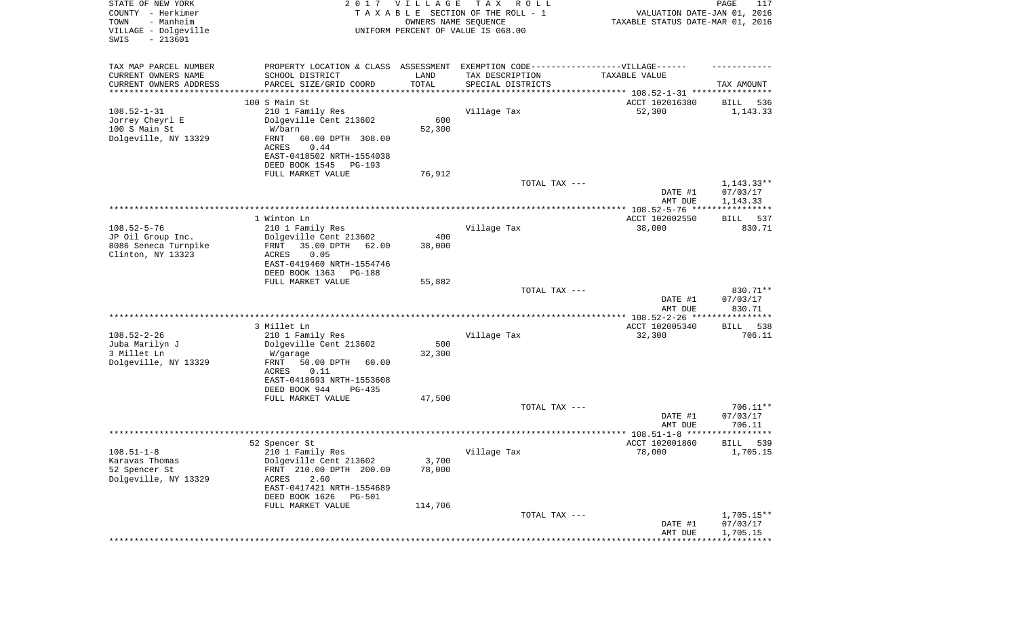| TAX MAP PARCEL NUMBER<br>PROPERTY LOCATION & CLASS ASSESSMENT EXEMPTION CODE-----------------VILLAGE------<br>CURRENT OWNERS NAME<br>SCHOOL DISTRICT<br>LAND<br>TAX DESCRIPTION<br>TAXABLE VALUE<br>TOTAL<br>CURRENT OWNERS ADDRESS<br>PARCEL SIZE/GRID COORD<br>SPECIAL DISTRICTS<br>TAX AMOUNT<br>********************<br>**********<br>********************************* 108.52-1-31 ****************<br>100 S Main St<br>ACCT 102016380<br>536<br>BILL<br>$108.52 - 1 - 31$<br>210 1 Family Res<br>Village Tax<br>52,300<br>1,143.33<br>600<br>Jorrey Cheyrl E<br>Dolgeville Cent 213602<br>100 S Main St<br>W/barn<br>52,300<br>Dolgeville, NY 13329<br>FRNT<br>60.00 DPTH 308.00<br>ACRES<br>0.44<br>EAST-0418502 NRTH-1554038<br>DEED BOOK 1545<br>PG-193<br>FULL MARKET VALUE<br>76,912<br>$1,143.33**$<br>TOTAL TAX ---<br>07/03/17<br>DATE #1<br>AMT DUE<br>1,143.33<br>ACCT 102002550<br>1 Winton Ln<br>BILL<br>537<br>$108.52 - 5 - 76$<br>38,000<br>210 1 Family Res<br>Village Tax<br>830.71<br>400<br>JP Oil Group Inc.<br>Dolgeville Cent 213602<br>8086 Seneca Turnpike<br>35.00 DPTH<br>FRNT<br>62.00<br>38,000<br>Clinton, NY 13323<br>0.05<br>ACRES<br>EAST-0419460 NRTH-1554746<br>DEED BOOK 1363<br>PG-188<br>FULL MARKET VALUE<br>55,882<br>TOTAL TAX ---<br>830.71**<br>07/03/17<br>DATE #1<br>AMT DUE<br>830.71<br>********** 108.52-2-26 ****<br>************<br>3 Millet Ln<br>ACCT 102005340<br>538<br>BILL<br>$108.52 - 2 - 26$<br>Village Tax<br>706.11<br>210 1 Family Res<br>32,300<br>500<br>Juba Marilyn J<br>Dolgeville Cent 213602<br>3 Millet Ln<br>32,300<br>W/garage<br>Dolgeville, NY 13329<br>FRNT<br>50.00 DPTH<br>60.00<br>ACRES<br>0.11<br>EAST-0418693 NRTH-1553608<br>DEED BOOK 944<br>PG-435<br>FULL MARKET VALUE<br>47,500<br>706.11**<br>TOTAL TAX ---<br>DATE #1<br>07/03/17<br>706.11<br>AMT DUE<br>ACCT 102001860<br>52 Spencer St<br>539<br>BILL<br>78,000<br>1,705.15<br>$108.51 - 1 - 8$<br>210 1 Family Res<br>Village Tax<br>Dolgeville Cent 213602<br>3,700<br>Karavas Thomas<br>FRNT 210.00 DPTH 200.00<br>78,000<br>52 Spencer St<br>Dolgeville, NY 13329<br>2.60<br>ACRES<br>EAST-0417421 NRTH-1554689<br>DEED BOOK 1626<br><b>PG-501</b><br>FULL MARKET VALUE<br>114,706<br>TOTAL TAX ---<br>$1,705.15**$<br>07/03/17<br>DATE #1<br>1,705.15<br>AMT DUE | STATE OF NEW YORK<br>COUNTY - Herkimer<br>- Manheim<br>TOWN<br>VILLAGE - Dolgeville<br>$-213601$<br>SWIS | 2017 VILLAGE<br>OWNERS NAME SEQUENCE | T A X<br>R O L L<br>TAXABLE SECTION OF THE ROLL - 1<br>UNIFORM PERCENT OF VALUE IS 068.00 | VALUATION DATE-JAN 01, 2016<br>TAXABLE STATUS DATE-MAR 01, 2016 | PAGE<br>117 |
|-----------------------------------------------------------------------------------------------------------------------------------------------------------------------------------------------------------------------------------------------------------------------------------------------------------------------------------------------------------------------------------------------------------------------------------------------------------------------------------------------------------------------------------------------------------------------------------------------------------------------------------------------------------------------------------------------------------------------------------------------------------------------------------------------------------------------------------------------------------------------------------------------------------------------------------------------------------------------------------------------------------------------------------------------------------------------------------------------------------------------------------------------------------------------------------------------------------------------------------------------------------------------------------------------------------------------------------------------------------------------------------------------------------------------------------------------------------------------------------------------------------------------------------------------------------------------------------------------------------------------------------------------------------------------------------------------------------------------------------------------------------------------------------------------------------------------------------------------------------------------------------------------------------------------------------------------------------------------------------------------------------------------------------------------------------------------------------------------------------------------------------------------------------------------------------------------------------------------------------------------------------------------------------------------------------------------|----------------------------------------------------------------------------------------------------------|--------------------------------------|-------------------------------------------------------------------------------------------|-----------------------------------------------------------------|-------------|
|                                                                                                                                                                                                                                                                                                                                                                                                                                                                                                                                                                                                                                                                                                                                                                                                                                                                                                                                                                                                                                                                                                                                                                                                                                                                                                                                                                                                                                                                                                                                                                                                                                                                                                                                                                                                                                                                                                                                                                                                                                                                                                                                                                                                                                                                                                                       |                                                                                                          |                                      |                                                                                           |                                                                 |             |
|                                                                                                                                                                                                                                                                                                                                                                                                                                                                                                                                                                                                                                                                                                                                                                                                                                                                                                                                                                                                                                                                                                                                                                                                                                                                                                                                                                                                                                                                                                                                                                                                                                                                                                                                                                                                                                                                                                                                                                                                                                                                                                                                                                                                                                                                                                                       |                                                                                                          |                                      |                                                                                           |                                                                 |             |
|                                                                                                                                                                                                                                                                                                                                                                                                                                                                                                                                                                                                                                                                                                                                                                                                                                                                                                                                                                                                                                                                                                                                                                                                                                                                                                                                                                                                                                                                                                                                                                                                                                                                                                                                                                                                                                                                                                                                                                                                                                                                                                                                                                                                                                                                                                                       |                                                                                                          |                                      |                                                                                           |                                                                 |             |
|                                                                                                                                                                                                                                                                                                                                                                                                                                                                                                                                                                                                                                                                                                                                                                                                                                                                                                                                                                                                                                                                                                                                                                                                                                                                                                                                                                                                                                                                                                                                                                                                                                                                                                                                                                                                                                                                                                                                                                                                                                                                                                                                                                                                                                                                                                                       |                                                                                                          |                                      |                                                                                           |                                                                 |             |
|                                                                                                                                                                                                                                                                                                                                                                                                                                                                                                                                                                                                                                                                                                                                                                                                                                                                                                                                                                                                                                                                                                                                                                                                                                                                                                                                                                                                                                                                                                                                                                                                                                                                                                                                                                                                                                                                                                                                                                                                                                                                                                                                                                                                                                                                                                                       |                                                                                                          |                                      |                                                                                           |                                                                 |             |
|                                                                                                                                                                                                                                                                                                                                                                                                                                                                                                                                                                                                                                                                                                                                                                                                                                                                                                                                                                                                                                                                                                                                                                                                                                                                                                                                                                                                                                                                                                                                                                                                                                                                                                                                                                                                                                                                                                                                                                                                                                                                                                                                                                                                                                                                                                                       |                                                                                                          |                                      |                                                                                           |                                                                 |             |
|                                                                                                                                                                                                                                                                                                                                                                                                                                                                                                                                                                                                                                                                                                                                                                                                                                                                                                                                                                                                                                                                                                                                                                                                                                                                                                                                                                                                                                                                                                                                                                                                                                                                                                                                                                                                                                                                                                                                                                                                                                                                                                                                                                                                                                                                                                                       |                                                                                                          |                                      |                                                                                           |                                                                 |             |
|                                                                                                                                                                                                                                                                                                                                                                                                                                                                                                                                                                                                                                                                                                                                                                                                                                                                                                                                                                                                                                                                                                                                                                                                                                                                                                                                                                                                                                                                                                                                                                                                                                                                                                                                                                                                                                                                                                                                                                                                                                                                                                                                                                                                                                                                                                                       |                                                                                                          |                                      |                                                                                           |                                                                 |             |
|                                                                                                                                                                                                                                                                                                                                                                                                                                                                                                                                                                                                                                                                                                                                                                                                                                                                                                                                                                                                                                                                                                                                                                                                                                                                                                                                                                                                                                                                                                                                                                                                                                                                                                                                                                                                                                                                                                                                                                                                                                                                                                                                                                                                                                                                                                                       |                                                                                                          |                                      |                                                                                           |                                                                 |             |
|                                                                                                                                                                                                                                                                                                                                                                                                                                                                                                                                                                                                                                                                                                                                                                                                                                                                                                                                                                                                                                                                                                                                                                                                                                                                                                                                                                                                                                                                                                                                                                                                                                                                                                                                                                                                                                                                                                                                                                                                                                                                                                                                                                                                                                                                                                                       |                                                                                                          |                                      |                                                                                           |                                                                 |             |
|                                                                                                                                                                                                                                                                                                                                                                                                                                                                                                                                                                                                                                                                                                                                                                                                                                                                                                                                                                                                                                                                                                                                                                                                                                                                                                                                                                                                                                                                                                                                                                                                                                                                                                                                                                                                                                                                                                                                                                                                                                                                                                                                                                                                                                                                                                                       |                                                                                                          |                                      |                                                                                           |                                                                 |             |
|                                                                                                                                                                                                                                                                                                                                                                                                                                                                                                                                                                                                                                                                                                                                                                                                                                                                                                                                                                                                                                                                                                                                                                                                                                                                                                                                                                                                                                                                                                                                                                                                                                                                                                                                                                                                                                                                                                                                                                                                                                                                                                                                                                                                                                                                                                                       |                                                                                                          |                                      |                                                                                           |                                                                 |             |
|                                                                                                                                                                                                                                                                                                                                                                                                                                                                                                                                                                                                                                                                                                                                                                                                                                                                                                                                                                                                                                                                                                                                                                                                                                                                                                                                                                                                                                                                                                                                                                                                                                                                                                                                                                                                                                                                                                                                                                                                                                                                                                                                                                                                                                                                                                                       |                                                                                                          |                                      |                                                                                           |                                                                 |             |
|                                                                                                                                                                                                                                                                                                                                                                                                                                                                                                                                                                                                                                                                                                                                                                                                                                                                                                                                                                                                                                                                                                                                                                                                                                                                                                                                                                                                                                                                                                                                                                                                                                                                                                                                                                                                                                                                                                                                                                                                                                                                                                                                                                                                                                                                                                                       |                                                                                                          |                                      |                                                                                           |                                                                 |             |
|                                                                                                                                                                                                                                                                                                                                                                                                                                                                                                                                                                                                                                                                                                                                                                                                                                                                                                                                                                                                                                                                                                                                                                                                                                                                                                                                                                                                                                                                                                                                                                                                                                                                                                                                                                                                                                                                                                                                                                                                                                                                                                                                                                                                                                                                                                                       |                                                                                                          |                                      |                                                                                           |                                                                 |             |
|                                                                                                                                                                                                                                                                                                                                                                                                                                                                                                                                                                                                                                                                                                                                                                                                                                                                                                                                                                                                                                                                                                                                                                                                                                                                                                                                                                                                                                                                                                                                                                                                                                                                                                                                                                                                                                                                                                                                                                                                                                                                                                                                                                                                                                                                                                                       |                                                                                                          |                                      |                                                                                           |                                                                 |             |
|                                                                                                                                                                                                                                                                                                                                                                                                                                                                                                                                                                                                                                                                                                                                                                                                                                                                                                                                                                                                                                                                                                                                                                                                                                                                                                                                                                                                                                                                                                                                                                                                                                                                                                                                                                                                                                                                                                                                                                                                                                                                                                                                                                                                                                                                                                                       |                                                                                                          |                                      |                                                                                           |                                                                 |             |
|                                                                                                                                                                                                                                                                                                                                                                                                                                                                                                                                                                                                                                                                                                                                                                                                                                                                                                                                                                                                                                                                                                                                                                                                                                                                                                                                                                                                                                                                                                                                                                                                                                                                                                                                                                                                                                                                                                                                                                                                                                                                                                                                                                                                                                                                                                                       |                                                                                                          |                                      |                                                                                           |                                                                 |             |
|                                                                                                                                                                                                                                                                                                                                                                                                                                                                                                                                                                                                                                                                                                                                                                                                                                                                                                                                                                                                                                                                                                                                                                                                                                                                                                                                                                                                                                                                                                                                                                                                                                                                                                                                                                                                                                                                                                                                                                                                                                                                                                                                                                                                                                                                                                                       |                                                                                                          |                                      |                                                                                           |                                                                 |             |
|                                                                                                                                                                                                                                                                                                                                                                                                                                                                                                                                                                                                                                                                                                                                                                                                                                                                                                                                                                                                                                                                                                                                                                                                                                                                                                                                                                                                                                                                                                                                                                                                                                                                                                                                                                                                                                                                                                                                                                                                                                                                                                                                                                                                                                                                                                                       |                                                                                                          |                                      |                                                                                           |                                                                 |             |
|                                                                                                                                                                                                                                                                                                                                                                                                                                                                                                                                                                                                                                                                                                                                                                                                                                                                                                                                                                                                                                                                                                                                                                                                                                                                                                                                                                                                                                                                                                                                                                                                                                                                                                                                                                                                                                                                                                                                                                                                                                                                                                                                                                                                                                                                                                                       |                                                                                                          |                                      |                                                                                           |                                                                 |             |
|                                                                                                                                                                                                                                                                                                                                                                                                                                                                                                                                                                                                                                                                                                                                                                                                                                                                                                                                                                                                                                                                                                                                                                                                                                                                                                                                                                                                                                                                                                                                                                                                                                                                                                                                                                                                                                                                                                                                                                                                                                                                                                                                                                                                                                                                                                                       |                                                                                                          |                                      |                                                                                           |                                                                 |             |
|                                                                                                                                                                                                                                                                                                                                                                                                                                                                                                                                                                                                                                                                                                                                                                                                                                                                                                                                                                                                                                                                                                                                                                                                                                                                                                                                                                                                                                                                                                                                                                                                                                                                                                                                                                                                                                                                                                                                                                                                                                                                                                                                                                                                                                                                                                                       |                                                                                                          |                                      |                                                                                           |                                                                 |             |
|                                                                                                                                                                                                                                                                                                                                                                                                                                                                                                                                                                                                                                                                                                                                                                                                                                                                                                                                                                                                                                                                                                                                                                                                                                                                                                                                                                                                                                                                                                                                                                                                                                                                                                                                                                                                                                                                                                                                                                                                                                                                                                                                                                                                                                                                                                                       |                                                                                                          |                                      |                                                                                           |                                                                 |             |
|                                                                                                                                                                                                                                                                                                                                                                                                                                                                                                                                                                                                                                                                                                                                                                                                                                                                                                                                                                                                                                                                                                                                                                                                                                                                                                                                                                                                                                                                                                                                                                                                                                                                                                                                                                                                                                                                                                                                                                                                                                                                                                                                                                                                                                                                                                                       |                                                                                                          |                                      |                                                                                           |                                                                 |             |
|                                                                                                                                                                                                                                                                                                                                                                                                                                                                                                                                                                                                                                                                                                                                                                                                                                                                                                                                                                                                                                                                                                                                                                                                                                                                                                                                                                                                                                                                                                                                                                                                                                                                                                                                                                                                                                                                                                                                                                                                                                                                                                                                                                                                                                                                                                                       |                                                                                                          |                                      |                                                                                           |                                                                 |             |
|                                                                                                                                                                                                                                                                                                                                                                                                                                                                                                                                                                                                                                                                                                                                                                                                                                                                                                                                                                                                                                                                                                                                                                                                                                                                                                                                                                                                                                                                                                                                                                                                                                                                                                                                                                                                                                                                                                                                                                                                                                                                                                                                                                                                                                                                                                                       |                                                                                                          |                                      |                                                                                           |                                                                 |             |
|                                                                                                                                                                                                                                                                                                                                                                                                                                                                                                                                                                                                                                                                                                                                                                                                                                                                                                                                                                                                                                                                                                                                                                                                                                                                                                                                                                                                                                                                                                                                                                                                                                                                                                                                                                                                                                                                                                                                                                                                                                                                                                                                                                                                                                                                                                                       |                                                                                                          |                                      |                                                                                           |                                                                 |             |
|                                                                                                                                                                                                                                                                                                                                                                                                                                                                                                                                                                                                                                                                                                                                                                                                                                                                                                                                                                                                                                                                                                                                                                                                                                                                                                                                                                                                                                                                                                                                                                                                                                                                                                                                                                                                                                                                                                                                                                                                                                                                                                                                                                                                                                                                                                                       |                                                                                                          |                                      |                                                                                           |                                                                 |             |
|                                                                                                                                                                                                                                                                                                                                                                                                                                                                                                                                                                                                                                                                                                                                                                                                                                                                                                                                                                                                                                                                                                                                                                                                                                                                                                                                                                                                                                                                                                                                                                                                                                                                                                                                                                                                                                                                                                                                                                                                                                                                                                                                                                                                                                                                                                                       |                                                                                                          |                                      |                                                                                           |                                                                 |             |
|                                                                                                                                                                                                                                                                                                                                                                                                                                                                                                                                                                                                                                                                                                                                                                                                                                                                                                                                                                                                                                                                                                                                                                                                                                                                                                                                                                                                                                                                                                                                                                                                                                                                                                                                                                                                                                                                                                                                                                                                                                                                                                                                                                                                                                                                                                                       |                                                                                                          |                                      |                                                                                           |                                                                 |             |
|                                                                                                                                                                                                                                                                                                                                                                                                                                                                                                                                                                                                                                                                                                                                                                                                                                                                                                                                                                                                                                                                                                                                                                                                                                                                                                                                                                                                                                                                                                                                                                                                                                                                                                                                                                                                                                                                                                                                                                                                                                                                                                                                                                                                                                                                                                                       |                                                                                                          |                                      |                                                                                           |                                                                 |             |
|                                                                                                                                                                                                                                                                                                                                                                                                                                                                                                                                                                                                                                                                                                                                                                                                                                                                                                                                                                                                                                                                                                                                                                                                                                                                                                                                                                                                                                                                                                                                                                                                                                                                                                                                                                                                                                                                                                                                                                                                                                                                                                                                                                                                                                                                                                                       |                                                                                                          |                                      |                                                                                           |                                                                 |             |
|                                                                                                                                                                                                                                                                                                                                                                                                                                                                                                                                                                                                                                                                                                                                                                                                                                                                                                                                                                                                                                                                                                                                                                                                                                                                                                                                                                                                                                                                                                                                                                                                                                                                                                                                                                                                                                                                                                                                                                                                                                                                                                                                                                                                                                                                                                                       |                                                                                                          |                                      |                                                                                           |                                                                 |             |
|                                                                                                                                                                                                                                                                                                                                                                                                                                                                                                                                                                                                                                                                                                                                                                                                                                                                                                                                                                                                                                                                                                                                                                                                                                                                                                                                                                                                                                                                                                                                                                                                                                                                                                                                                                                                                                                                                                                                                                                                                                                                                                                                                                                                                                                                                                                       |                                                                                                          |                                      |                                                                                           |                                                                 |             |
|                                                                                                                                                                                                                                                                                                                                                                                                                                                                                                                                                                                                                                                                                                                                                                                                                                                                                                                                                                                                                                                                                                                                                                                                                                                                                                                                                                                                                                                                                                                                                                                                                                                                                                                                                                                                                                                                                                                                                                                                                                                                                                                                                                                                                                                                                                                       |                                                                                                          |                                      |                                                                                           |                                                                 |             |
|                                                                                                                                                                                                                                                                                                                                                                                                                                                                                                                                                                                                                                                                                                                                                                                                                                                                                                                                                                                                                                                                                                                                                                                                                                                                                                                                                                                                                                                                                                                                                                                                                                                                                                                                                                                                                                                                                                                                                                                                                                                                                                                                                                                                                                                                                                                       |                                                                                                          |                                      |                                                                                           |                                                                 |             |
|                                                                                                                                                                                                                                                                                                                                                                                                                                                                                                                                                                                                                                                                                                                                                                                                                                                                                                                                                                                                                                                                                                                                                                                                                                                                                                                                                                                                                                                                                                                                                                                                                                                                                                                                                                                                                                                                                                                                                                                                                                                                                                                                                                                                                                                                                                                       |                                                                                                          |                                      |                                                                                           |                                                                 |             |
|                                                                                                                                                                                                                                                                                                                                                                                                                                                                                                                                                                                                                                                                                                                                                                                                                                                                                                                                                                                                                                                                                                                                                                                                                                                                                                                                                                                                                                                                                                                                                                                                                                                                                                                                                                                                                                                                                                                                                                                                                                                                                                                                                                                                                                                                                                                       |                                                                                                          |                                      |                                                                                           |                                                                 |             |
|                                                                                                                                                                                                                                                                                                                                                                                                                                                                                                                                                                                                                                                                                                                                                                                                                                                                                                                                                                                                                                                                                                                                                                                                                                                                                                                                                                                                                                                                                                                                                                                                                                                                                                                                                                                                                                                                                                                                                                                                                                                                                                                                                                                                                                                                                                                       |                                                                                                          |                                      |                                                                                           |                                                                 |             |
|                                                                                                                                                                                                                                                                                                                                                                                                                                                                                                                                                                                                                                                                                                                                                                                                                                                                                                                                                                                                                                                                                                                                                                                                                                                                                                                                                                                                                                                                                                                                                                                                                                                                                                                                                                                                                                                                                                                                                                                                                                                                                                                                                                                                                                                                                                                       |                                                                                                          |                                      |                                                                                           |                                                                 |             |
|                                                                                                                                                                                                                                                                                                                                                                                                                                                                                                                                                                                                                                                                                                                                                                                                                                                                                                                                                                                                                                                                                                                                                                                                                                                                                                                                                                                                                                                                                                                                                                                                                                                                                                                                                                                                                                                                                                                                                                                                                                                                                                                                                                                                                                                                                                                       |                                                                                                          |                                      |                                                                                           |                                                                 |             |
|                                                                                                                                                                                                                                                                                                                                                                                                                                                                                                                                                                                                                                                                                                                                                                                                                                                                                                                                                                                                                                                                                                                                                                                                                                                                                                                                                                                                                                                                                                                                                                                                                                                                                                                                                                                                                                                                                                                                                                                                                                                                                                                                                                                                                                                                                                                       |                                                                                                          |                                      |                                                                                           |                                                                 |             |
|                                                                                                                                                                                                                                                                                                                                                                                                                                                                                                                                                                                                                                                                                                                                                                                                                                                                                                                                                                                                                                                                                                                                                                                                                                                                                                                                                                                                                                                                                                                                                                                                                                                                                                                                                                                                                                                                                                                                                                                                                                                                                                                                                                                                                                                                                                                       |                                                                                                          |                                      |                                                                                           |                                                                 |             |
|                                                                                                                                                                                                                                                                                                                                                                                                                                                                                                                                                                                                                                                                                                                                                                                                                                                                                                                                                                                                                                                                                                                                                                                                                                                                                                                                                                                                                                                                                                                                                                                                                                                                                                                                                                                                                                                                                                                                                                                                                                                                                                                                                                                                                                                                                                                       |                                                                                                          |                                      |                                                                                           |                                                                 |             |
|                                                                                                                                                                                                                                                                                                                                                                                                                                                                                                                                                                                                                                                                                                                                                                                                                                                                                                                                                                                                                                                                                                                                                                                                                                                                                                                                                                                                                                                                                                                                                                                                                                                                                                                                                                                                                                                                                                                                                                                                                                                                                                                                                                                                                                                                                                                       |                                                                                                          |                                      |                                                                                           |                                                                 |             |
|                                                                                                                                                                                                                                                                                                                                                                                                                                                                                                                                                                                                                                                                                                                                                                                                                                                                                                                                                                                                                                                                                                                                                                                                                                                                                                                                                                                                                                                                                                                                                                                                                                                                                                                                                                                                                                                                                                                                                                                                                                                                                                                                                                                                                                                                                                                       |                                                                                                          |                                      |                                                                                           |                                                                 |             |
|                                                                                                                                                                                                                                                                                                                                                                                                                                                                                                                                                                                                                                                                                                                                                                                                                                                                                                                                                                                                                                                                                                                                                                                                                                                                                                                                                                                                                                                                                                                                                                                                                                                                                                                                                                                                                                                                                                                                                                                                                                                                                                                                                                                                                                                                                                                       |                                                                                                          |                                      |                                                                                           |                                                                 |             |
|                                                                                                                                                                                                                                                                                                                                                                                                                                                                                                                                                                                                                                                                                                                                                                                                                                                                                                                                                                                                                                                                                                                                                                                                                                                                                                                                                                                                                                                                                                                                                                                                                                                                                                                                                                                                                                                                                                                                                                                                                                                                                                                                                                                                                                                                                                                       |                                                                                                          |                                      |                                                                                           |                                                                 |             |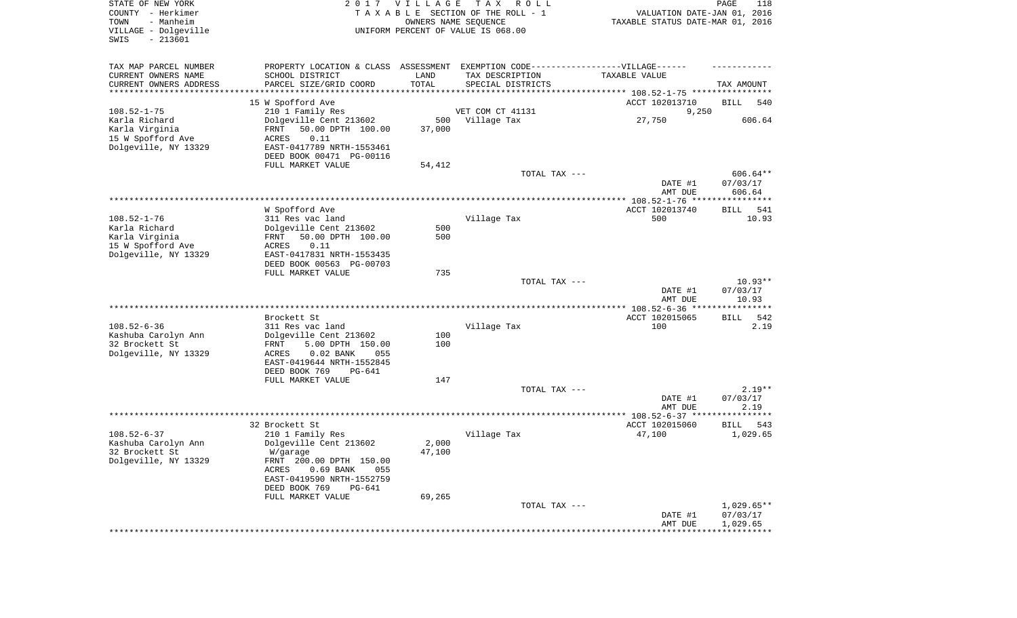| STATE OF NEW YORK<br>COUNTY - Herkimer<br>- Manheim<br>TOWN<br>VILLAGE - Dolgeville<br>SWIS<br>$-213601$ |                                                        | 2017 VILLAGE | T A X<br>R O L L<br>TAXABLE SECTION OF THE ROLL - 1<br>OWNERS NAME SEQUENCE<br>UNIFORM PERCENT OF VALUE IS 068.00 | VALUATION DATE-JAN 01, 2016<br>TAXABLE STATUS DATE-MAR 01, 2016 | PAGE<br>118        |
|----------------------------------------------------------------------------------------------------------|--------------------------------------------------------|--------------|-------------------------------------------------------------------------------------------------------------------|-----------------------------------------------------------------|--------------------|
| TAX MAP PARCEL NUMBER                                                                                    |                                                        |              | PROPERTY LOCATION & CLASS ASSESSMENT EXEMPTION CODE----------------VILLAGE------                                  |                                                                 |                    |
| CURRENT OWNERS NAME                                                                                      | SCHOOL DISTRICT                                        | LAND         | TAX DESCRIPTION                                                                                                   | TAXABLE VALUE                                                   |                    |
| CURRENT OWNERS ADDRESS<br>*********************                                                          | PARCEL SIZE/GRID COORD                                 | TOTAL        | SPECIAL DISTRICTS                                                                                                 |                                                                 | TAX AMOUNT         |
|                                                                                                          |                                                        |              |                                                                                                                   |                                                                 | 540                |
| $108.52 - 1 - 75$                                                                                        | 15 W Spofford Ave<br>210 1 Family Res                  |              | VET COM CT 41131                                                                                                  | ACCT 102013710<br>9,250                                         | BILL               |
| Karla Richard                                                                                            | Dolgeville Cent 213602                                 | 500          | Village Tax                                                                                                       | 27,750                                                          | 606.64             |
| Karla Virginia                                                                                           | FRNT<br>50.00 DPTH 100.00                              | 37,000       |                                                                                                                   |                                                                 |                    |
| 15 W Spofford Ave                                                                                        | ACRES<br>0.11                                          |              |                                                                                                                   |                                                                 |                    |
| Dolgeville, NY 13329                                                                                     | EAST-0417789 NRTH-1553461                              |              |                                                                                                                   |                                                                 |                    |
|                                                                                                          | DEED BOOK 00471 PG-00116                               |              |                                                                                                                   |                                                                 |                    |
|                                                                                                          | FULL MARKET VALUE                                      | 54,412       |                                                                                                                   |                                                                 |                    |
|                                                                                                          |                                                        |              | TOTAL TAX ---                                                                                                     |                                                                 | 606.64**           |
|                                                                                                          |                                                        |              |                                                                                                                   | DATE #1                                                         | 07/03/17           |
|                                                                                                          |                                                        |              |                                                                                                                   | AMT DUE                                                         | 606.64             |
|                                                                                                          | W Spofford Ave                                         |              |                                                                                                                   | ACCT 102013740                                                  | <b>BILL</b><br>541 |
| $108.52 - 1 - 76$                                                                                        | 311 Res vac land                                       |              | Village Tax                                                                                                       | 500                                                             | 10.93              |
| Karla Richard                                                                                            | Dolgeville Cent 213602                                 | 500          |                                                                                                                   |                                                                 |                    |
| Karla Virginia                                                                                           | 50.00 DPTH 100.00<br>FRNT                              | 500          |                                                                                                                   |                                                                 |                    |
| 15 W Spofford Ave                                                                                        | 0.11<br>ACRES                                          |              |                                                                                                                   |                                                                 |                    |
| Dolgeville, NY 13329                                                                                     | EAST-0417831 NRTH-1553435                              |              |                                                                                                                   |                                                                 |                    |
|                                                                                                          | DEED BOOK 00563 PG-00703                               |              |                                                                                                                   |                                                                 |                    |
|                                                                                                          | FULL MARKET VALUE                                      | 735          |                                                                                                                   |                                                                 |                    |
|                                                                                                          |                                                        |              | TOTAL TAX ---                                                                                                     |                                                                 | $10.93**$          |
|                                                                                                          |                                                        |              |                                                                                                                   | DATE #1<br>AMT DUE                                              | 07/03/17<br>10.93  |
|                                                                                                          |                                                        |              |                                                                                                                   |                                                                 |                    |
|                                                                                                          | Brockett St                                            |              |                                                                                                                   | ACCT 102015065                                                  | <b>BILL</b><br>542 |
| $108.52 - 6 - 36$                                                                                        | 311 Res vac land                                       |              | Village Tax                                                                                                       | 100                                                             | 2.19               |
| Kashuba Carolyn Ann                                                                                      | Dolgeville Cent 213602                                 | 100          |                                                                                                                   |                                                                 |                    |
| 32 Brockett St                                                                                           | 5.00 DPTH 150.00<br>FRNT                               | 100          |                                                                                                                   |                                                                 |                    |
| Dolgeville, NY 13329                                                                                     | ACRES<br>$0.02$ BANK<br>055                            |              |                                                                                                                   |                                                                 |                    |
|                                                                                                          | EAST-0419644 NRTH-1552845                              |              |                                                                                                                   |                                                                 |                    |
|                                                                                                          | DEED BOOK 769<br>PG-641<br>FULL MARKET VALUE           | 147          |                                                                                                                   |                                                                 |                    |
|                                                                                                          |                                                        |              | TOTAL TAX ---                                                                                                     |                                                                 | $2.19**$           |
|                                                                                                          |                                                        |              |                                                                                                                   | DATE #1                                                         | 07/03/17           |
|                                                                                                          |                                                        |              |                                                                                                                   | AMT DUE                                                         | 2.19               |
|                                                                                                          |                                                        |              |                                                                                                                   |                                                                 |                    |
|                                                                                                          | 32 Brockett St                                         |              |                                                                                                                   | ACCT 102015060                                                  | 543<br>BILL        |
| $108.52 - 6 - 37$                                                                                        | 210 1 Family Res                                       |              | Village Tax                                                                                                       | 47,100                                                          | 1,029.65           |
| Kashuba Carolyn Ann                                                                                      | Dolgeville Cent 213602                                 | 2,000        |                                                                                                                   |                                                                 |                    |
| 32 Brockett St                                                                                           | W/garage                                               | 47,100       |                                                                                                                   |                                                                 |                    |
| Dolgeville, NY 13329                                                                                     | FRNT 200.00 DPTH 150.00<br>$0.69$ BANK<br>ACRES<br>055 |              |                                                                                                                   |                                                                 |                    |
|                                                                                                          | EAST-0419590 NRTH-1552759                              |              |                                                                                                                   |                                                                 |                    |
|                                                                                                          | DEED BOOK 769<br>$PG-641$                              |              |                                                                                                                   |                                                                 |                    |
|                                                                                                          | FULL MARKET VALUE                                      | 69,265       |                                                                                                                   |                                                                 |                    |
|                                                                                                          |                                                        |              | TOTAL TAX ---                                                                                                     |                                                                 | $1,029.65**$       |
|                                                                                                          |                                                        |              |                                                                                                                   | DATE #1                                                         | 07/03/17           |
|                                                                                                          |                                                        |              |                                                                                                                   | AMT DUE                                                         | 1,029.65           |
|                                                                                                          |                                                        |              |                                                                                                                   | **********************************                              |                    |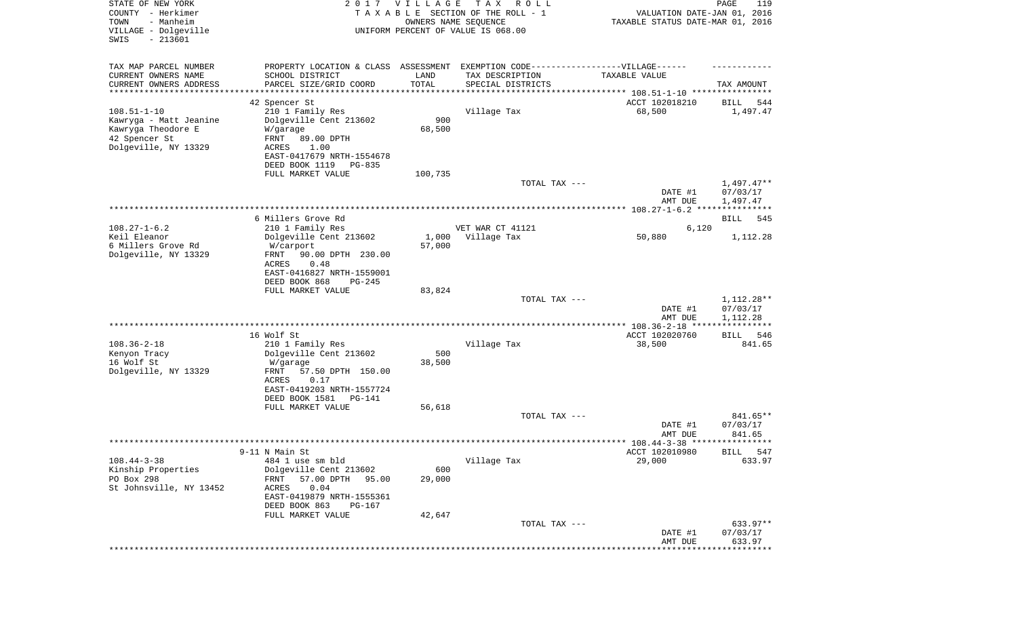| STATE OF NEW YORK<br>COUNTY - Herkimer<br>- Manheim<br>TOWN<br>VILLAGE - Dolgeville<br>SWIS<br>$-213601$ |                                                                                  | 2017 VILLAGE<br>OWNERS NAME SEQUENCE | T A X<br>R O L L<br>TAXABLE SECTION OF THE ROLL - 1<br>UNIFORM PERCENT OF VALUE IS 068.00 | VALUATION DATE-JAN 01, 2016<br>TAXABLE STATUS DATE-MAR 01, 2016 | PAGE<br>119             |
|----------------------------------------------------------------------------------------------------------|----------------------------------------------------------------------------------|--------------------------------------|-------------------------------------------------------------------------------------------|-----------------------------------------------------------------|-------------------------|
| TAX MAP PARCEL NUMBER                                                                                    | PROPERTY LOCATION & CLASS ASSESSMENT EXEMPTION CODE----------------VILLAGE------ |                                      |                                                                                           |                                                                 |                         |
| CURRENT OWNERS NAME                                                                                      | SCHOOL DISTRICT                                                                  | LAND                                 | TAX DESCRIPTION                                                                           | TAXABLE VALUE                                                   |                         |
| CURRENT OWNERS ADDRESS<br>*********************                                                          | PARCEL SIZE/GRID COORD<br>*******************                                    | TOTAL<br>****************            | SPECIAL DISTRICTS                                                                         |                                                                 | TAX AMOUNT              |
|                                                                                                          | 42 Spencer St                                                                    |                                      |                                                                                           | ACCT 102018210                                                  | 544<br>BILL             |
| $108.51 - 1 - 10$                                                                                        | 210 1 Family Res                                                                 |                                      | Village Tax                                                                               | 68,500                                                          | 1,497.47                |
| Kawryga - Matt Jeanine                                                                                   | Dolgeville Cent 213602                                                           | 900                                  |                                                                                           |                                                                 |                         |
| Kawryga Theodore E                                                                                       | W/garage                                                                         | 68,500                               |                                                                                           |                                                                 |                         |
| 42 Spencer St                                                                                            | FRNT<br>89.00 DPTH                                                               |                                      |                                                                                           |                                                                 |                         |
| Dolgeville, NY 13329                                                                                     | ACRES<br>1.00                                                                    |                                      |                                                                                           |                                                                 |                         |
|                                                                                                          | EAST-0417679 NRTH-1554678<br>DEED BOOK 1119<br>PG-835                            |                                      |                                                                                           |                                                                 |                         |
|                                                                                                          | FULL MARKET VALUE                                                                | 100,735                              |                                                                                           |                                                                 |                         |
|                                                                                                          |                                                                                  |                                      | TOTAL TAX ---                                                                             |                                                                 | $1,497.47**$            |
|                                                                                                          |                                                                                  |                                      |                                                                                           | DATE #1                                                         | 07/03/17                |
|                                                                                                          |                                                                                  |                                      |                                                                                           | AMT DUE                                                         | 1,497.47                |
|                                                                                                          | 6 Millers Grove Rd                                                               |                                      |                                                                                           |                                                                 | BILL<br>545             |
| $108.27 - 1 - 6.2$                                                                                       | 210 1 Family Res                                                                 |                                      | VET WAR CT 41121                                                                          | 6,120                                                           |                         |
| Keil Eleanor                                                                                             | Dolgeville Cent 213602                                                           | 1,000                                | Village Tax                                                                               | 50,880                                                          | 1,112.28                |
| 6 Millers Grove Rd                                                                                       | W/carport                                                                        | 57,000                               |                                                                                           |                                                                 |                         |
| Dolgeville, NY 13329                                                                                     | 90.00 DPTH 230.00<br>FRNT<br>ACRES<br>0.48                                       |                                      |                                                                                           |                                                                 |                         |
|                                                                                                          | EAST-0416827 NRTH-1559001                                                        |                                      |                                                                                           |                                                                 |                         |
|                                                                                                          | DEED BOOK 868<br>$PG-245$                                                        |                                      |                                                                                           |                                                                 |                         |
|                                                                                                          | FULL MARKET VALUE                                                                | 83,824                               |                                                                                           |                                                                 |                         |
|                                                                                                          |                                                                                  |                                      | TOTAL TAX ---                                                                             | DATE #1                                                         | 1,112.28**<br>07/03/17  |
|                                                                                                          |                                                                                  |                                      |                                                                                           | AMT DUE                                                         | 1,112.28<br>*********** |
|                                                                                                          | 16 Wolf St                                                                       |                                      |                                                                                           | ACCT 102020760                                                  | 546<br>BILL             |
| $108.36 - 2 - 18$                                                                                        | 210 1 Family Res                                                                 |                                      | Village Tax                                                                               | 38,500                                                          | 841.65                  |
| Kenyon Tracy                                                                                             | Dolgeville Cent 213602                                                           | 500                                  |                                                                                           |                                                                 |                         |
| 16 Wolf St                                                                                               | W/garage                                                                         | 38,500                               |                                                                                           |                                                                 |                         |
| Dolgeville, NY 13329                                                                                     | FRNT<br>57.50 DPTH 150.00                                                        |                                      |                                                                                           |                                                                 |                         |
|                                                                                                          | ACRES<br>0.17<br>EAST-0419203 NRTH-1557724                                       |                                      |                                                                                           |                                                                 |                         |
|                                                                                                          | DEED BOOK 1581<br>PG-141                                                         |                                      |                                                                                           |                                                                 |                         |
|                                                                                                          | FULL MARKET VALUE                                                                | 56,618                               |                                                                                           |                                                                 |                         |
|                                                                                                          |                                                                                  |                                      | TOTAL TAX ---                                                                             |                                                                 | 841.65**                |
|                                                                                                          |                                                                                  |                                      |                                                                                           | DATE #1<br>AMT DUE                                              | 07/03/17<br>841.65      |
|                                                                                                          |                                                                                  |                                      |                                                                                           |                                                                 |                         |
|                                                                                                          | 9-11 N Main St                                                                   |                                      |                                                                                           | ACCT 102010980                                                  | 547<br>BILL             |
| $108.44 - 3 - 38$                                                                                        | 484 1 use sm bld                                                                 |                                      | Village Tax                                                                               | 29,000                                                          | 633.97                  |
| Kinship Properties                                                                                       | Dolgeville Cent 213602                                                           | 600                                  |                                                                                           |                                                                 |                         |
| PO Box 298<br>St Johnsville, NY 13452                                                                    | FRNT<br>57.00 DPTH<br>95.00<br>ACRES<br>0.04                                     | 29,000                               |                                                                                           |                                                                 |                         |
|                                                                                                          | EAST-0419879 NRTH-1555361                                                        |                                      |                                                                                           |                                                                 |                         |
|                                                                                                          | DEED BOOK 863<br>PG-167                                                          |                                      |                                                                                           |                                                                 |                         |
|                                                                                                          | FULL MARKET VALUE                                                                | 42,647                               |                                                                                           |                                                                 |                         |
|                                                                                                          |                                                                                  |                                      | TOTAL TAX ---                                                                             |                                                                 | 633.97**                |
|                                                                                                          |                                                                                  |                                      |                                                                                           | DATE #1<br>AMT DUE                                              | 07/03/17<br>633.97      |
|                                                                                                          |                                                                                  |                                      |                                                                                           |                                                                 | * * * * * * * * * *     |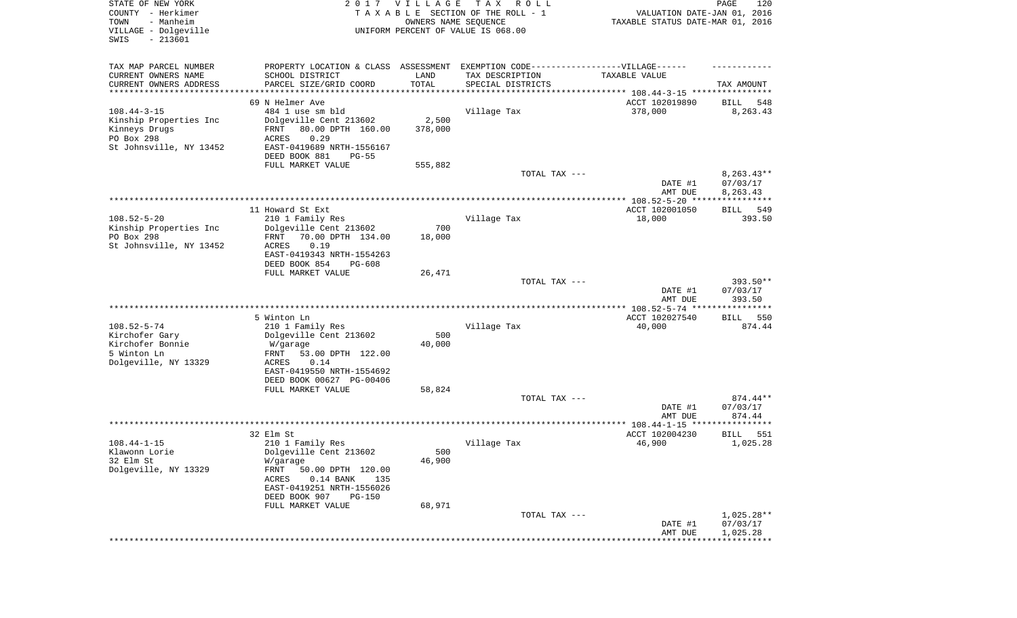| STATE OF NEW YORK<br>COUNTY - Herkimer<br>- Manheim<br>TOWN<br>VILLAGE - Dolgeville<br>SWIS<br>$-213601$ |                                                                                   | 2017 VILLAGE<br>OWNERS NAME SEQUENCE | T A X<br>R O L L<br>TAXABLE SECTION OF THE ROLL - 1<br>UNIFORM PERCENT OF VALUE IS 068.00 | VALUATION DATE-JAN 01, 2016<br>TAXABLE STATUS DATE-MAR 01, 2016 | PAGE<br>120                    |
|----------------------------------------------------------------------------------------------------------|-----------------------------------------------------------------------------------|--------------------------------------|-------------------------------------------------------------------------------------------|-----------------------------------------------------------------|--------------------------------|
| TAX MAP PARCEL NUMBER                                                                                    | PROPERTY LOCATION & CLASS ASSESSMENT EXEMPTION CODE-----------------VILLAGE------ |                                      |                                                                                           |                                                                 |                                |
| CURRENT OWNERS NAME                                                                                      | SCHOOL DISTRICT                                                                   | LAND                                 | TAX DESCRIPTION                                                                           | TAXABLE VALUE                                                   |                                |
| CURRENT OWNERS ADDRESS<br>*********************                                                          | PARCEL SIZE/GRID COORD<br>********************                                    | TOTAL<br>* * * * * * * * * * *       | SPECIAL DISTRICTS                                                                         | ********************************* 108.44-3-15 ****************  | TAX AMOUNT                     |
|                                                                                                          | 69 N Helmer Ave                                                                   |                                      |                                                                                           | ACCT 102019890                                                  | BILL<br>548                    |
| $108.44 - 3 - 15$                                                                                        | 484 1 use sm bld                                                                  |                                      | Village Tax                                                                               | 378,000                                                         | 8,263.43                       |
| Kinship Properties Inc                                                                                   | Dolgeville Cent 213602                                                            | 2,500                                |                                                                                           |                                                                 |                                |
| Kinneys Drugs                                                                                            | 80.00 DPTH 160.00<br>FRNT                                                         | 378,000                              |                                                                                           |                                                                 |                                |
| PO Box 298<br>St Johnsville, NY 13452                                                                    | 0.29<br>ACRES<br>EAST-0419689 NRTH-1556167                                        |                                      |                                                                                           |                                                                 |                                |
|                                                                                                          | DEED BOOK 881<br>$PG-55$                                                          |                                      |                                                                                           |                                                                 |                                |
|                                                                                                          | FULL MARKET VALUE                                                                 | 555,882                              |                                                                                           |                                                                 |                                |
|                                                                                                          |                                                                                   |                                      | TOTAL TAX ---                                                                             | DATE #1                                                         | $8,263.43**$<br>07/03/17       |
|                                                                                                          |                                                                                   |                                      |                                                                                           | AMT DUE                                                         | 8,263.43                       |
|                                                                                                          | 11 Howard St Ext                                                                  |                                      |                                                                                           | ACCT 102001050                                                  | 549<br>BILL                    |
| $108.52 - 5 - 20$                                                                                        | 210 1 Family Res                                                                  |                                      | Village Tax                                                                               | 18,000                                                          | 393.50                         |
| Kinship Properties Inc<br>PO Box 298                                                                     | Dolgeville Cent 213602                                                            | 700                                  |                                                                                           |                                                                 |                                |
| St Johnsville, NY 13452                                                                                  | 70.00 DPTH 134.00<br>FRNT<br>0.19<br>ACRES                                        | 18,000                               |                                                                                           |                                                                 |                                |
|                                                                                                          | EAST-0419343 NRTH-1554263                                                         |                                      |                                                                                           |                                                                 |                                |
|                                                                                                          | DEED BOOK 854<br>$PG-608$                                                         |                                      |                                                                                           |                                                                 |                                |
|                                                                                                          | FULL MARKET VALUE                                                                 | 26,471                               |                                                                                           |                                                                 |                                |
|                                                                                                          |                                                                                   |                                      | TOTAL TAX ---                                                                             | DATE #1<br>AMT DUE                                              | 393.50**<br>07/03/17<br>393.50 |
|                                                                                                          |                                                                                   |                                      |                                                                                           |                                                                 |                                |
|                                                                                                          | 5 Winton Ln                                                                       |                                      |                                                                                           | ACCT 102027540                                                  | BILL<br>550                    |
| $108.52 - 5 - 74$<br>Kirchofer Gary                                                                      | 210 1 Family Res<br>Dolgeville Cent 213602                                        | 500                                  | Village Tax                                                                               | 40,000                                                          | 874.44                         |
| Kirchofer Bonnie                                                                                         | W/garage                                                                          | 40,000                               |                                                                                           |                                                                 |                                |
| 5 Winton Ln                                                                                              | FRNT<br>53.00 DPTH 122.00                                                         |                                      |                                                                                           |                                                                 |                                |
| Dolgeville, NY 13329                                                                                     | ACRES<br>0.14                                                                     |                                      |                                                                                           |                                                                 |                                |
|                                                                                                          | EAST-0419550 NRTH-1554692<br>DEED BOOK 00627 PG-00406                             |                                      |                                                                                           |                                                                 |                                |
|                                                                                                          | FULL MARKET VALUE                                                                 | 58,824                               |                                                                                           |                                                                 |                                |
|                                                                                                          |                                                                                   |                                      | TOTAL TAX ---                                                                             |                                                                 | $874.44**$                     |
|                                                                                                          |                                                                                   |                                      |                                                                                           | DATE #1                                                         | 07/03/17                       |
|                                                                                                          |                                                                                   |                                      |                                                                                           | AMT DUE                                                         | 874.44                         |
|                                                                                                          | 32 Elm St                                                                         |                                      |                                                                                           | ACCT 102004230                                                  | <b>BILL</b><br>551             |
| $108.44 - 1 - 15$                                                                                        | 210 1 Family Res                                                                  |                                      | Village Tax                                                                               | 46,900                                                          | 1,025.28                       |
| Klawonn Lorie                                                                                            | Dolgeville Cent 213602                                                            | 500                                  |                                                                                           |                                                                 |                                |
| 32 Elm St<br>Dolgeville, NY 13329                                                                        | W/garage<br>FRNT                                                                  | 46,900                               |                                                                                           |                                                                 |                                |
|                                                                                                          | 50.00 DPTH 120.00<br>$0.14$ BANK<br>ACRES<br>135                                  |                                      |                                                                                           |                                                                 |                                |
|                                                                                                          | EAST-0419251 NRTH-1556026                                                         |                                      |                                                                                           |                                                                 |                                |
|                                                                                                          | DEED BOOK 907<br><b>PG-150</b>                                                    |                                      |                                                                                           |                                                                 |                                |
|                                                                                                          | FULL MARKET VALUE                                                                 | 68,971                               |                                                                                           |                                                                 | $1,025.28**$                   |
|                                                                                                          |                                                                                   |                                      | TOTAL TAX ---                                                                             | DATE #1                                                         | 07/03/17                       |
|                                                                                                          |                                                                                   |                                      |                                                                                           | AMT DUE                                                         | 1,025.28                       |
|                                                                                                          |                                                                                   |                                      |                                                                                           |                                                                 |                                |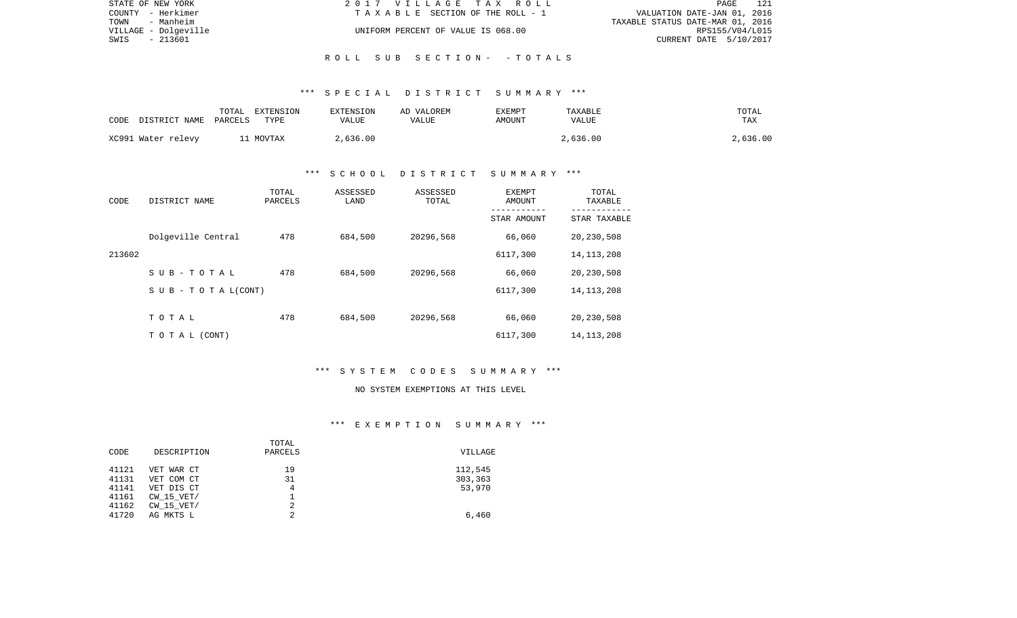| STATE OF NEW YORK    | 2017 VILLAGE TAX ROLL              | - 121<br>PAGE                    |
|----------------------|------------------------------------|----------------------------------|
| COUNTY - Herkimer    | TAXABLE SECTION OF THE ROLL - 1    | VALUATION DATE-JAN 01, 2016      |
| TOWN<br>- Manheim    |                                    | TAXABLE STATUS DATE-MAR 01, 2016 |
| VILLAGE - Dolgeville | UNIFORM PERCENT OF VALUE IS 068.00 | RPS155/V04/L015                  |
| - 213601<br>SWIS     |                                    | CURRENT DATE 5/10/2017           |
|                      |                                    |                                  |

## \*\*\* S P E C I A L D I S T R I C T S U M M A R Y \*\*\*

R O L L S U B S E C T I O N - - T O T A L S

| CODE DISTRICT NAME PARCELS | TOTAL | EXTENSION<br>TYPE | EXTENSION<br>VALUE | AD VALOREM<br>VALUE | EXEMPT<br>AMOUNT | TAXABLE<br>VALUE | TOTAL<br>TAX |
|----------------------------|-------|-------------------|--------------------|---------------------|------------------|------------------|--------------|
| XC991 Water relevy         |       | 11 MOVTAX         | 2,636.00           |                     |                  | 2,636.00         | 2,636.00     |

## \*\*\* S C H O O L D I S T R I C T S U M M A R Y \*\*\*

| CODE   | DISTRICT NAME                    | TOTAL<br>PARCELS | ASSESSED<br>LAND | ASSESSED<br>TOTAL | EXEMPT<br>AMOUNT<br>----------- | TOTAL<br>TAXABLE<br>----------- |
|--------|----------------------------------|------------------|------------------|-------------------|---------------------------------|---------------------------------|
|        |                                  |                  |                  |                   | STAR AMOUNT                     | STAR TAXABLE                    |
|        | Dolgeville Central               | 478              | 684,500          | 20296,568         | 66,060                          | 20,230,508                      |
| 213602 |                                  |                  |                  |                   | 6117,300                        | 14, 113, 208                    |
|        | SUB-TOTAL                        | 478              | 684,500          | 20296,568         | 66,060                          | 20,230,508                      |
|        | $S \cup B - T \cup T A L (CONT)$ |                  |                  |                   | 6117,300                        | 14, 113, 208                    |
|        |                                  |                  |                  |                   |                                 |                                 |
|        | TOTAL                            | 478              | 684,500          | 20296,568         | 66,060                          | 20,230,508                      |
|        | T O T A L (CONT)                 |                  |                  |                   | 6117,300                        | 14, 113, 208                    |

### \*\*\* S Y S T E M C O D E S S U M M A R Y \*\*\*

#### NO SYSTEM EXEMPTIONS AT THIS LEVEL

## \*\*\* E X E M P T I O N S U M M A R Y \*\*\*

|       |                | TOTAL   |         |
|-------|----------------|---------|---------|
| CODE  | DESCRIPTION    | PARCELS | VILLAGE |
| 41121 | VET WAR CT     | 19      | 112,545 |
| 41131 | VET COM CT     | 31      | 303,363 |
| 41141 | VET DIS CT     | 4       | 53,970  |
| 41161 | $CW$ 15 $VET/$ |         |         |
| 41162 | $CW$ 15 $VET/$ | 2       |         |
| 41720 | AG MKTS L      | 2       | 6,460   |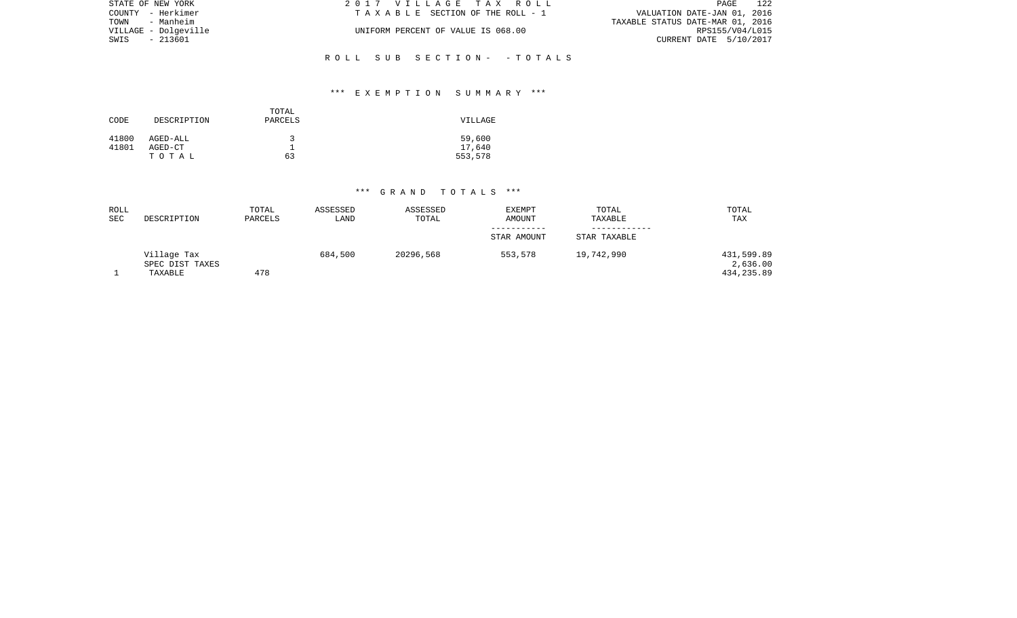| STATE OF NEW YORK    | 2017 VILLAGE TAX ROLL              | 122<br>PAGE                      |
|----------------------|------------------------------------|----------------------------------|
| COUNTY - Herkimer    | TAXABLE SECTION OF THE ROLL - 1    | VALUATION DATE-JAN 01, 2016      |
| TOWN - Manheim       |                                    | TAXABLE STATUS DATE-MAR 01, 2016 |
| VILLAGE - Dolgeville | UNIFORM PERCENT OF VALUE IS 068.00 | RPS155/V04/L015                  |
| SWIS - 213601        |                                    | CURRENT DATE 5/10/2017           |
|                      |                                    |                                  |
|                      | ROLL SUB SECTION- -TOTALS          |                                  |

# \*\*\* E X E M P T I O N S U M M A R Y \*\*\*

| CODE           | DESCRIPTION         | TOTAL<br>PARCELS | VILLAGE          |
|----------------|---------------------|------------------|------------------|
| 41800<br>41801 | AGED-ALL<br>AGED-CT | ર                | 59,600<br>17,640 |
|                | TOTAL               | 63               | 553,578          |

# \*\*\* G R A N D T O T A L S \*\*\*

| ROLL<br>SEC | DESCRIPTION                    | TOTAL<br>PARCELS | ASSESSED<br>LAND | ASSESSED<br>TOTAL | <b>EXEMPT</b><br>AMOUNT | TOTAL<br>TAXABLE | TOTAL<br>TAX           |
|-------------|--------------------------------|------------------|------------------|-------------------|-------------------------|------------------|------------------------|
|             |                                |                  |                  |                   | STAR AMOUNT             |                  |                        |
|             |                                |                  |                  |                   |                         | STAR TAXABLE     |                        |
|             | Village Tax<br>SPEC DIST TAXES |                  | 684,500          | 20296,568         | 553,578                 | 19,742,990       | 431,599.89<br>2,636.00 |
|             | TAXABLE                        | 478              |                  |                   |                         |                  | 434,235.89             |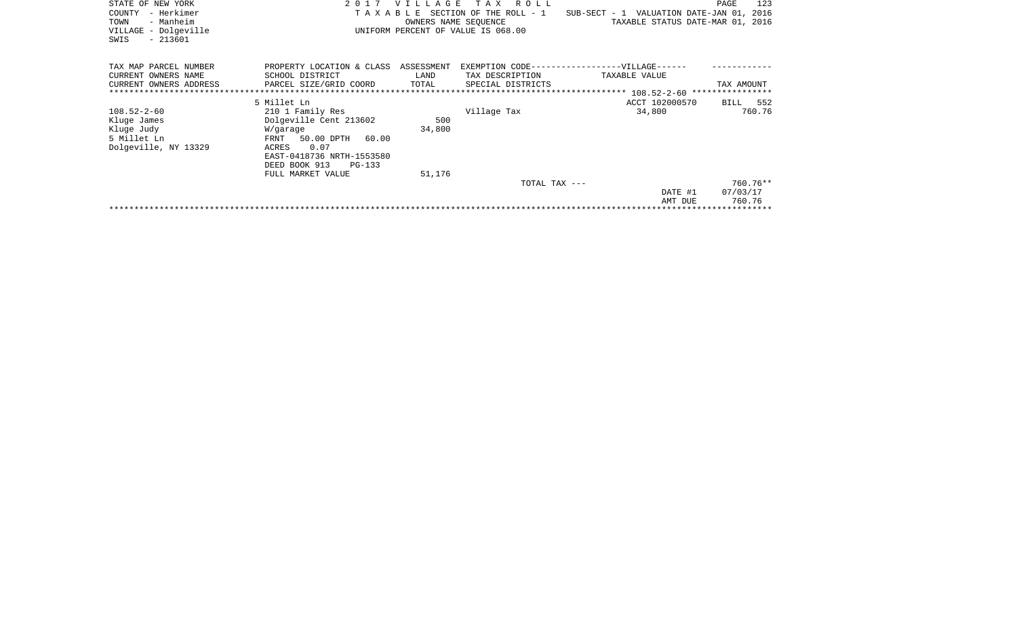| STATE OF NEW YORK<br>- Herkimer<br>COUNTY<br>- Manheim<br>TOWN<br>VILLAGE - Dolgeville<br>$-213601$<br>SWIS | 2 0 1 7<br>TAXABLE                                                                                                                                                               | <b>VILLAGE</b><br>OWNERS NAME SEOUENCE | R O L L<br>T A X<br>SECTION OF THE ROLL - 1<br>UNIFORM PERCENT OF VALUE IS 068.00 | SUB-SECT - 1 VALUATION DATE-JAN 01, 2016<br>TAXABLE STATUS DATE-MAR 01, 2016 | 123<br>PAGE                    |
|-------------------------------------------------------------------------------------------------------------|----------------------------------------------------------------------------------------------------------------------------------------------------------------------------------|----------------------------------------|-----------------------------------------------------------------------------------|------------------------------------------------------------------------------|--------------------------------|
| TAX MAP PARCEL NUMBER<br>CURRENT OWNERS NAME<br>CURRENT OWNERS ADDRESS                                      | PROPERTY LOCATION & CLASS<br>SCHOOL DISTRICT<br>PARCEL SIZE/GRID COORD                                                                                                           | ASSESSMENT<br>LAND<br>TOTAL            | EXEMPTION CODE-----<br>TAX DESCRIPTION<br>SPECIAL DISTRICTS                       | --------------VILLAGE--·<br>TAXABLE VALUE                                    | TAX AMOUNT                     |
|                                                                                                             |                                                                                                                                                                                  |                                        |                                                                                   |                                                                              |                                |
|                                                                                                             | 5 Millet Ln                                                                                                                                                                      |                                        |                                                                                   | ACCT 102000570                                                               | 552<br>BILL                    |
| $108.52 - 2 - 60$<br>Kluge James<br>Kluge Judy<br>5 Millet Ln<br>Dolgeville, NY 13329                       | 210 1 Family Res<br>Dolgeville Cent 213602<br>W/garage<br>FRNT<br>50.00 DPTH 60.00<br>0.07<br>ACRES<br>EAST-0418736 NRTH-1553580<br>DEED BOOK 913<br>PG-133<br>FULL MARKET VALUE | 500<br>34,800<br>51,176                | Village Tax                                                                       | 34,800                                                                       | 760.76                         |
|                                                                                                             |                                                                                                                                                                                  |                                        | TOTAL TAX ---                                                                     | DATE #1<br>AMT DUE                                                           | 760.76**<br>07/03/17<br>760.76 |
|                                                                                                             |                                                                                                                                                                                  |                                        |                                                                                   |                                                                              |                                |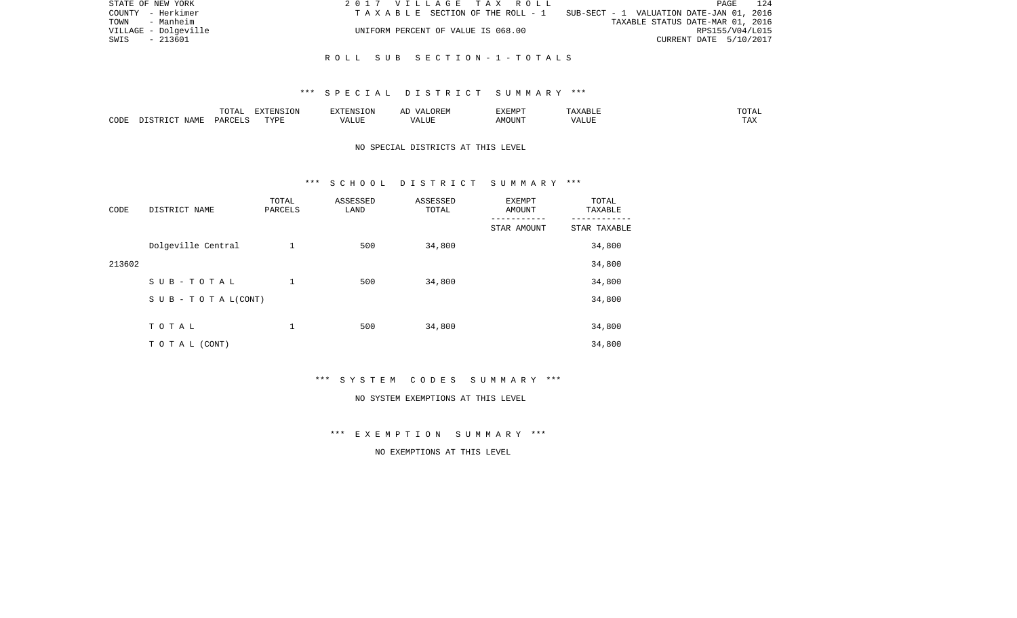|      | STATE OF NEW YORK    | 2017 VILLAGE TAX ROLL              | 124<br>PAGE                                                                    |
|------|----------------------|------------------------------------|--------------------------------------------------------------------------------|
|      | COUNTY - Herkimer    |                                    | T A X A B L E SECTION OF THE ROLL - 1 SUB-SECT - 1 VALUATION DATE-JAN 01, 2016 |
|      | TOWN - Manheim       |                                    | TAXABLE STATUS DATE-MAR 01, 2016                                               |
|      | VILLAGE - Dolgeville | UNIFORM PERCENT OF VALUE IS 068.00 | RPS155/V04/L015                                                                |
| SWIS | - 213601             |                                    | CURRENT DATE 5/10/2017                                                         |
|      |                      |                                    |                                                                                |

#### R O L L S U B S E C T I O N - 1 - T O T A L S

#### \*\*\* S P E C I A L D I S T R I C T S U M M A R Y \*\*\*

|      |      | $m \wedge m \wedge n$<br>TATAT | EXTENSION       |                          | $\cdots$<br>∸ | --------<br>EXEMP |             | .                          |
|------|------|--------------------------------|-----------------|--------------------------|---------------|-------------------|-------------|----------------------------|
| CODE | ΝАΜϜ | D∆R∩                           | TVDI<br>- - - - | $\sqrt{2}$<br>۳۰ تا سند. | T T T         | JUIN              | <b>ALUI</b> | m <sub>7</sub> v<br>∟ ∠~⊾∡ |

# NO SPECIAL DISTRICTS AT THIS LEVEL

#### \*\*\* S C H O O L D I S T R I C T S U M M A R Y \*\*\*

| CODE   | DISTRICT NAME                    | TOTAL<br>PARCELS | ASSESSED<br>LAND | ASSESSED<br>TOTAL | EXEMPT<br>AMOUNT | TOTAL<br>TAXABLE |
|--------|----------------------------------|------------------|------------------|-------------------|------------------|------------------|
|        |                                  |                  |                  |                   | STAR AMOUNT      | STAR TAXABLE     |
|        | Dolgeville Central               | 1                | 500              | 34,800            |                  | 34,800           |
| 213602 |                                  |                  |                  |                   |                  | 34,800           |
|        | SUB-TOTAL                        | 1                | 500              | 34,800            |                  | 34,800           |
|        | $S \cup B - T \cup T A L (CONT)$ |                  |                  |                   |                  | 34,800           |
|        |                                  |                  |                  |                   |                  |                  |
|        | TOTAL                            | 1                | 500              | 34,800            |                  | 34,800           |
|        | TO TAL (CONT)                    |                  |                  |                   |                  | 34,800           |

\*\*\* S Y S T E M C O D E S S U M M A R Y \*\*\*

#### NO SYSTEM EXEMPTIONS AT THIS LEVEL

\*\*\* E X E M P T I O N S U M M A R Y \*\*\*

NO EXEMPTIONS AT THIS LEVEL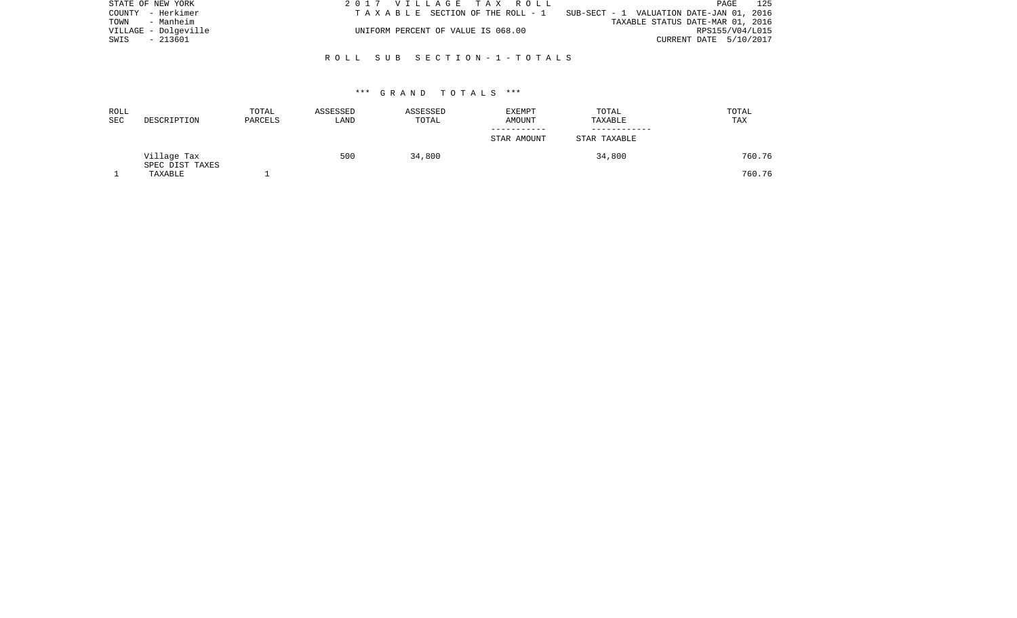| STATE OF NEW YORK    | 2017 VILLAGE TAX ROLL              | 125<br>PAGE                              |
|----------------------|------------------------------------|------------------------------------------|
| COUNTY - Herkimer    | TAXABLE SECTION OF THE ROLL - 1    | SUB-SECT - 1 VALUATION DATE-JAN 01, 2016 |
| TOWN - Manheim       |                                    | TAXABLE STATUS DATE-MAR 01, 2016         |
| VILLAGE - Dolgeville | UNIFORM PERCENT OF VALUE IS 068.00 | RPS155/V04/L015                          |
| SWIS<br>- 213601     |                                    | CURRENT DATE 5/10/2017                   |
|                      |                                    |                                          |

# R O L L S U B S E C T I O N - 1 - T O T A L S

#### \*\*\* G R A N D T O T A L S \*\*\*

| ROLL<br>SEC | DESCRIPTION                    | TOTAL<br>PARCELS | ASSESSED<br>LAND | ASSESSED<br>TOTAL | EXEMPT<br>AMOUNT | TOTAL<br>TAXABLE | TOTAL<br>TAX |
|-------------|--------------------------------|------------------|------------------|-------------------|------------------|------------------|--------------|
|             |                                |                  |                  |                   | STAR AMOUNT      | STAR TAXABLE     |              |
|             | Village Tax<br>SPEC DIST TAXES |                  | 500              | 34,800            |                  | 34,800           | 760.76       |
|             | TAXABLE                        |                  |                  |                   |                  |                  | 760.76       |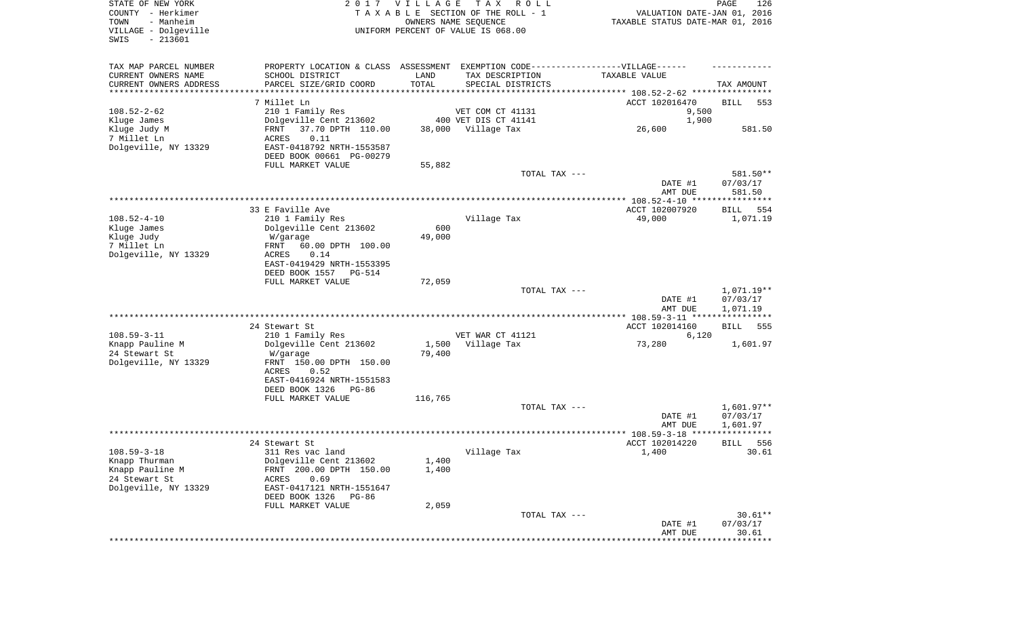| STATE OF NEW YORK<br>COUNTY - Herkimer<br>- Manheim<br>TOWN<br>VILLAGE - Dolgeville<br>$-213601$<br>SWIS |                                              | 2017 VILLAGE  | T A X<br>R O L L<br>TAXABLE SECTION OF THE ROLL - 1<br>OWNERS NAME SEQUENCE<br>UNIFORM PERCENT OF VALUE IS 068.00 | VALUATION DATE-JAN 01, 2016<br>TAXABLE STATUS DATE-MAR 01, 2016 | PAGE<br>126            |
|----------------------------------------------------------------------------------------------------------|----------------------------------------------|---------------|-------------------------------------------------------------------------------------------------------------------|-----------------------------------------------------------------|------------------------|
| TAX MAP PARCEL NUMBER                                                                                    | PROPERTY LOCATION & CLASS ASSESSMENT         |               | EXEMPTION CODE------------------VILLAGE------                                                                     |                                                                 |                        |
| CURRENT OWNERS NAME                                                                                      | SCHOOL DISTRICT                              | LAND          | TAX DESCRIPTION                                                                                                   | TAXABLE VALUE                                                   |                        |
| CURRENT OWNERS ADDRESS<br>*********************                                                          | PARCEL SIZE/GRID COORD                       | TOTAL         | SPECIAL DISTRICTS                                                                                                 |                                                                 | TAX AMOUNT             |
|                                                                                                          | 7 Millet Ln                                  |               |                                                                                                                   | ACCT 102016470                                                  | BILL<br>553            |
| $108.52 - 2 - 62$                                                                                        | 210 1 Family Res                             |               | VET COM CT 41131                                                                                                  | 9,500                                                           |                        |
| Kluge James                                                                                              | Dolgeville Cent 213602                       |               | 400 VET DIS CT 41141                                                                                              | 1,900                                                           |                        |
| Kluge Judy M                                                                                             | 37.70 DPTH 110.00<br>FRNT                    | 38,000        | Village Tax                                                                                                       | 26,600                                                          | 581.50                 |
| 7 Millet Ln                                                                                              | ACRES<br>0.11                                |               |                                                                                                                   |                                                                 |                        |
| Dolgeville, NY 13329                                                                                     | EAST-0418792 NRTH-1553587                    |               |                                                                                                                   |                                                                 |                        |
|                                                                                                          | DEED BOOK 00661 PG-00279                     |               |                                                                                                                   |                                                                 |                        |
|                                                                                                          | FULL MARKET VALUE                            | 55,882        | TOTAL TAX ---                                                                                                     |                                                                 | 581.50**               |
|                                                                                                          |                                              |               |                                                                                                                   | DATE #1<br>AMT DUE                                              | 07/03/17<br>581.50     |
|                                                                                                          |                                              |               |                                                                                                                   |                                                                 |                        |
|                                                                                                          | 33 E Faville Ave                             |               |                                                                                                                   | ACCT 102007920                                                  | BILL<br>554            |
| $108.52 - 4 - 10$                                                                                        | 210 1 Family Res                             |               | Village Tax                                                                                                       | 49,000                                                          | 1,071.19               |
| Kluge James<br>Kluge Judy                                                                                | Dolgeville Cent 213602<br>W/garage           | 600<br>49,000 |                                                                                                                   |                                                                 |                        |
| 7 Millet Ln                                                                                              | 60.00 DPTH 100.00<br>FRNT                    |               |                                                                                                                   |                                                                 |                        |
| Dolgeville, NY 13329                                                                                     | ACRES<br>0.14                                |               |                                                                                                                   |                                                                 |                        |
|                                                                                                          | EAST-0419429 NRTH-1553395                    |               |                                                                                                                   |                                                                 |                        |
|                                                                                                          | DEED BOOK 1557<br>PG-514                     |               |                                                                                                                   |                                                                 |                        |
|                                                                                                          | FULL MARKET VALUE                            | 72,059        |                                                                                                                   |                                                                 |                        |
|                                                                                                          |                                              |               | TOTAL TAX ---                                                                                                     | DATE #1                                                         | 1,071.19**<br>07/03/17 |
|                                                                                                          |                                              |               |                                                                                                                   | AMT DUE                                                         | 1,071.19               |
|                                                                                                          |                                              |               |                                                                                                                   | ************ 108.59-3-11 ****************                       |                        |
|                                                                                                          | 24 Stewart St                                |               |                                                                                                                   | ACCT 102014160                                                  | 555<br>BILL            |
| $108.59 - 3 - 11$                                                                                        | 210 1 Family Res                             |               | VET WAR CT 41121                                                                                                  | 6,120                                                           |                        |
| Knapp Pauline M                                                                                          | Dolgeville Cent 213602                       |               | 1,500 Village Tax                                                                                                 | 73,280                                                          | 1,601.97               |
| 24 Stewart St<br>Dolgeville, NY 13329                                                                    | W/garage<br>FRNT 150.00 DPTH 150.00          | 79,400        |                                                                                                                   |                                                                 |                        |
|                                                                                                          | ACRES<br>0.52                                |               |                                                                                                                   |                                                                 |                        |
|                                                                                                          | EAST-0416924 NRTH-1551583                    |               |                                                                                                                   |                                                                 |                        |
|                                                                                                          | DEED BOOK 1326<br>PG-86                      |               |                                                                                                                   |                                                                 |                        |
|                                                                                                          | FULL MARKET VALUE                            | 116,765       |                                                                                                                   |                                                                 |                        |
|                                                                                                          |                                              |               | TOTAL TAX ---                                                                                                     |                                                                 | $1,601.97**$           |
|                                                                                                          |                                              |               |                                                                                                                   | DATE #1                                                         | 07/03/17               |
|                                                                                                          |                                              |               |                                                                                                                   | AMT DUE                                                         | 1,601.97<br>****       |
|                                                                                                          | 24 Stewart St                                |               |                                                                                                                   | ACCT 102014220                                                  | 556<br>BILL            |
| $108.59 - 3 - 18$                                                                                        | 311 Res vac land                             |               | Village Tax                                                                                                       | 1,400                                                           | 30.61                  |
| Knapp Thurman                                                                                            | Dolgeville Cent 213602                       | 1,400         |                                                                                                                   |                                                                 |                        |
| Knapp Pauline M                                                                                          | FRNT 200.00 DPTH 150.00                      | 1,400         |                                                                                                                   |                                                                 |                        |
| 24 Stewart St                                                                                            | 0.69<br>ACRES                                |               |                                                                                                                   |                                                                 |                        |
| Dolgeville, NY 13329                                                                                     | EAST-0417121 NRTH-1551647                    |               |                                                                                                                   |                                                                 |                        |
|                                                                                                          | DEED BOOK 1326<br>PG-86<br>FULL MARKET VALUE | 2,059         |                                                                                                                   |                                                                 |                        |
|                                                                                                          |                                              |               | TOTAL TAX ---                                                                                                     |                                                                 | $30.61**$              |
|                                                                                                          |                                              |               |                                                                                                                   | DATE #1                                                         | 07/03/17               |
|                                                                                                          |                                              |               |                                                                                                                   | AMT DUE                                                         | 30.61                  |
|                                                                                                          |                                              |               |                                                                                                                   |                                                                 | ***********            |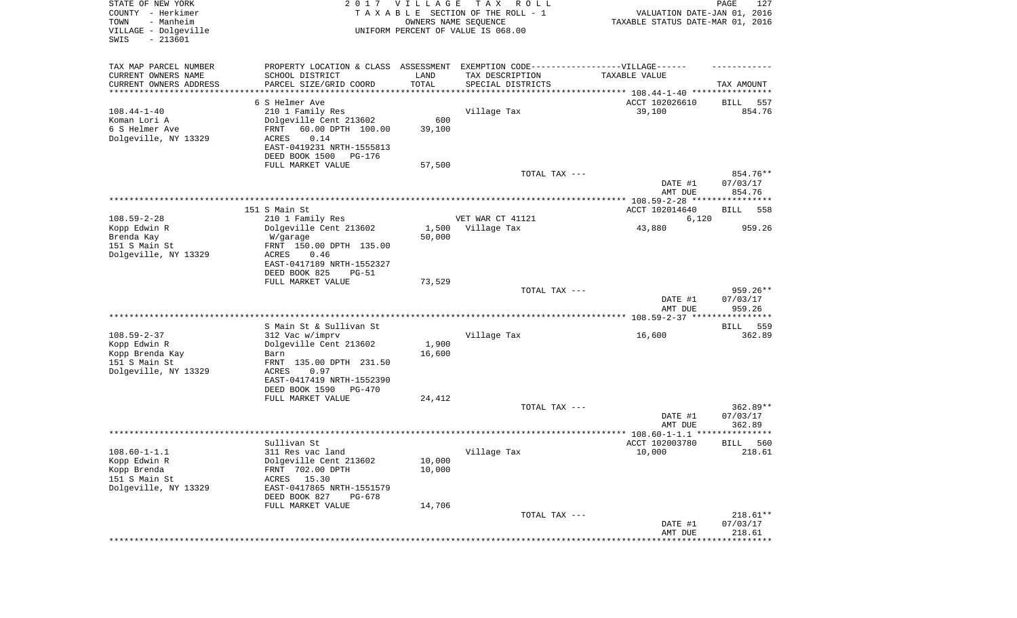| STATE OF NEW YORK<br>COUNTY - Herkimer<br>- Manheim<br>TOWN<br>VILLAGE - Dolgeville<br>SWIS<br>$-213601$ |                                            | 2017 VILLAGE          | T A X<br>R O L L<br>TAXABLE SECTION OF THE ROLL - 1<br>OWNERS NAME SEQUENCE<br>UNIFORM PERCENT OF VALUE IS 068.00 | VALUATION DATE-JAN 01, 2016<br>TAXABLE STATUS DATE-MAR 01, 2016 | PAGE<br>127            |
|----------------------------------------------------------------------------------------------------------|--------------------------------------------|-----------------------|-------------------------------------------------------------------------------------------------------------------|-----------------------------------------------------------------|------------------------|
| TAX MAP PARCEL NUMBER                                                                                    | PROPERTY LOCATION & CLASS ASSESSMENT       |                       | EXEMPTION CODE------------------VILLAGE------                                                                     |                                                                 |                        |
| CURRENT OWNERS NAME<br>CURRENT OWNERS ADDRESS                                                            | SCHOOL DISTRICT<br>PARCEL SIZE/GRID COORD  | LAND<br>TOTAL         | TAX DESCRIPTION<br>SPECIAL DISTRICTS                                                                              | TAXABLE VALUE                                                   | TAX AMOUNT             |
| *********************                                                                                    |                                            | * * * * * * * * * * * |                                                                                                                   |                                                                 |                        |
|                                                                                                          | 6 S Helmer Ave                             |                       |                                                                                                                   | ACCT 102026610                                                  | BILL<br>557            |
| $108.44 - 1 - 40$                                                                                        | 210 1 Family Res                           |                       | Village Tax                                                                                                       | 39,100                                                          | 854.76                 |
| Koman Lori A                                                                                             | Dolgeville Cent 213602                     | 600                   |                                                                                                                   |                                                                 |                        |
| 6 S Helmer Ave<br>Dolgeville, NY 13329                                                                   | FRNT<br>60.00 DPTH 100.00<br>ACRES<br>0.14 | 39,100                |                                                                                                                   |                                                                 |                        |
|                                                                                                          | EAST-0419231 NRTH-1555813                  |                       |                                                                                                                   |                                                                 |                        |
|                                                                                                          | DEED BOOK 1500<br>PG-176                   |                       |                                                                                                                   |                                                                 |                        |
|                                                                                                          | FULL MARKET VALUE                          | 57,500                |                                                                                                                   |                                                                 |                        |
|                                                                                                          |                                            |                       | TOTAL TAX ---                                                                                                     |                                                                 | 854.76**               |
|                                                                                                          |                                            |                       |                                                                                                                   | DATE #1                                                         | 07/03/17               |
|                                                                                                          |                                            |                       |                                                                                                                   | AMT DUE                                                         | 854.76                 |
|                                                                                                          | 151 S Main St                              |                       |                                                                                                                   | ACCT 102014640                                                  | 558<br>BILL            |
| $108.59 - 2 - 28$                                                                                        | 210 1 Family Res                           |                       | VET WAR CT 41121                                                                                                  | 6,120                                                           |                        |
| Kopp Edwin R                                                                                             | Dolgeville Cent 213602                     | 1,500                 | Village Tax                                                                                                       | 43,880                                                          | 959.26                 |
| Brenda Kay                                                                                               | W/garage                                   | 50,000                |                                                                                                                   |                                                                 |                        |
| 151 S Main St                                                                                            | FRNT 150.00 DPTH 135.00                    |                       |                                                                                                                   |                                                                 |                        |
| Dolgeville, NY 13329                                                                                     | ACRES<br>0.46<br>EAST-0417189 NRTH-1552327 |                       |                                                                                                                   |                                                                 |                        |
|                                                                                                          | DEED BOOK 825<br>$PG-51$                   |                       |                                                                                                                   |                                                                 |                        |
|                                                                                                          | FULL MARKET VALUE                          | 73,529                |                                                                                                                   |                                                                 |                        |
|                                                                                                          |                                            |                       | TOTAL TAX ---                                                                                                     |                                                                 | $959.26**$             |
|                                                                                                          |                                            |                       |                                                                                                                   | DATE #1<br>AMT DUE                                              | 07/03/17<br>959.26     |
|                                                                                                          |                                            |                       |                                                                                                                   |                                                                 |                        |
|                                                                                                          | S Main St & Sullivan St                    |                       |                                                                                                                   |                                                                 | <b>BILL</b><br>559     |
| $108.59 - 2 - 37$<br>Kopp Edwin R                                                                        | 312 Vac w/imprv<br>Dolgeville Cent 213602  | 1,900                 | Village Tax                                                                                                       | 16,600                                                          | 362.89                 |
| Kopp Brenda Kay                                                                                          | Barn                                       | 16,600                |                                                                                                                   |                                                                 |                        |
| 151 S Main St                                                                                            | FRNT 135.00 DPTH 231.50                    |                       |                                                                                                                   |                                                                 |                        |
| Dolgeville, NY 13329                                                                                     | ACRES<br>0.97                              |                       |                                                                                                                   |                                                                 |                        |
|                                                                                                          | EAST-0417419 NRTH-1552390                  |                       |                                                                                                                   |                                                                 |                        |
|                                                                                                          | DEED BOOK 1590 PG-470<br>FULL MARKET VALUE | 24,412                |                                                                                                                   |                                                                 |                        |
|                                                                                                          |                                            |                       | TOTAL TAX ---                                                                                                     |                                                                 | $362.89**$             |
|                                                                                                          |                                            |                       |                                                                                                                   | DATE #1                                                         | 07/03/17               |
|                                                                                                          |                                            |                       |                                                                                                                   | AMT DUE                                                         | 362.89                 |
|                                                                                                          |                                            |                       |                                                                                                                   |                                                                 | ******                 |
|                                                                                                          | Sullivan St                                |                       |                                                                                                                   | ACCT 102003780                                                  | 560<br>BILL            |
| $108.60 - 1 - 1.1$<br>Kopp Edwin R                                                                       | 311 Res vac land<br>Dolgeville Cent 213602 | 10,000                | Village Tax                                                                                                       | 10,000                                                          | 218.61                 |
| Kopp Brenda                                                                                              | FRNT 702.00 DPTH                           | 10,000                |                                                                                                                   |                                                                 |                        |
| 151 S Main St                                                                                            | ACRES 15.30                                |                       |                                                                                                                   |                                                                 |                        |
| Dolgeville, NY 13329                                                                                     | EAST-0417865 NRTH-1551579                  |                       |                                                                                                                   |                                                                 |                        |
|                                                                                                          | DEED BOOK 827<br>PG-678                    |                       |                                                                                                                   |                                                                 |                        |
|                                                                                                          | FULL MARKET VALUE                          | 14,706                |                                                                                                                   |                                                                 |                        |
|                                                                                                          |                                            |                       | TOTAL TAX ---                                                                                                     | DATE #1                                                         | $218.61**$<br>07/03/17 |
|                                                                                                          |                                            |                       |                                                                                                                   | AMT DUE                                                         | 218.61                 |
|                                                                                                          |                                            |                       |                                                                                                                   |                                                                 | ******************     |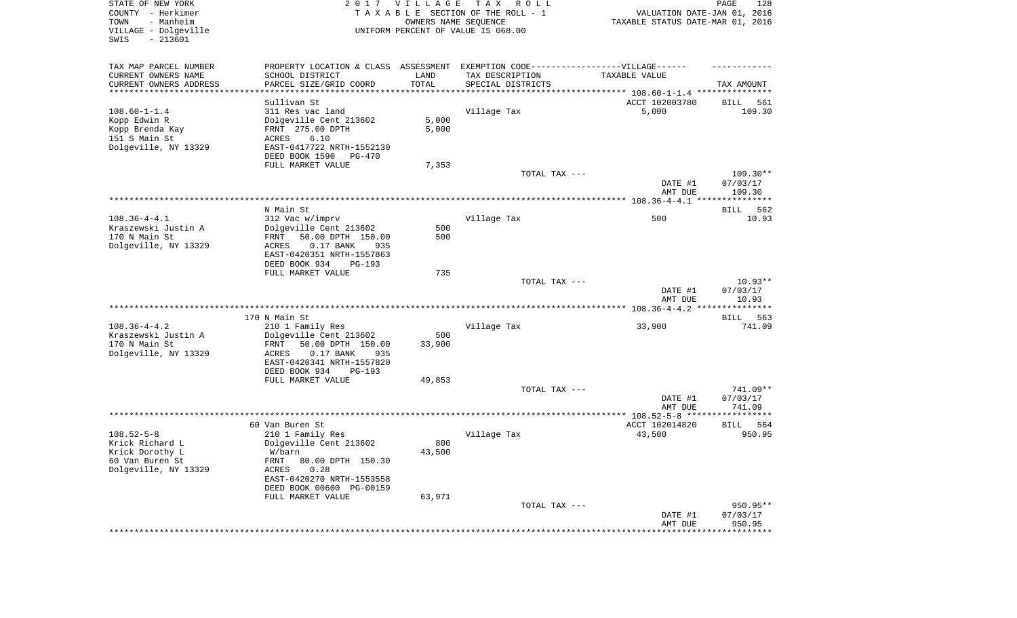| STATE OF NEW YORK<br>COUNTY - Herkimer<br>TOWN<br>- Manheim<br>VILLAGE - Dolgeville<br>SWIS<br>$-213601$ |                                                                                                                                                                                                  | 2017 VILLAGE<br>OWNERS NAME SEQUENCE | T A X<br>R O L L<br>TAXABLE SECTION OF THE ROLL - 1<br>UNIFORM PERCENT OF VALUE IS 068.00 | VALUATION DATE-JAN 01, 2016<br>TAXABLE STATUS DATE-MAR 01, 2016 | PAGE<br>128                    |
|----------------------------------------------------------------------------------------------------------|--------------------------------------------------------------------------------------------------------------------------------------------------------------------------------------------------|--------------------------------------|-------------------------------------------------------------------------------------------|-----------------------------------------------------------------|--------------------------------|
| TAX MAP PARCEL NUMBER<br>CURRENT OWNERS NAME<br>CURRENT OWNERS ADDRESS<br>**********************         | PROPERTY LOCATION & CLASS ASSESSMENT EXEMPTION CODE----------------VILLAGE------<br>SCHOOL DISTRICT<br>PARCEL SIZE/GRID COORD                                                                    | LAND<br>TOTAL                        | TAX DESCRIPTION<br>SPECIAL DISTRICTS                                                      | TAXABLE VALUE                                                   | TAX AMOUNT                     |
| $108.60 - 1 - 1.4$<br>Kopp Edwin R<br>Kopp Brenda Kay<br>151 S Main St<br>Dolgeville, NY 13329           | Sullivan St<br>311 Res vac land<br>Dolgeville Cent 213602<br>FRNT 275.00 DPTH<br>ACRES<br>6.10<br>EAST-0417722 NRTH-1552130<br>DEED BOOK 1590<br>PG-470<br>FULL MARKET VALUE                     | 5,000<br>5,000<br>7,353              | Village Tax                                                                               | ACCT 102003780<br>5,000                                         | 561<br>BILL<br>109.30          |
|                                                                                                          |                                                                                                                                                                                                  |                                      | TOTAL TAX ---                                                                             | DATE #1<br>AMT DUE                                              | 109.30**<br>07/03/17<br>109.30 |
|                                                                                                          |                                                                                                                                                                                                  |                                      |                                                                                           |                                                                 |                                |
| $108.36 - 4 - 4.1$<br>Kraszewski Justin A<br>170 N Main St<br>Dolgeville, NY 13329                       | N Main St<br>312 Vac w/imprv<br>Dolgeville Cent 213602<br>50.00 DPTH 150.00<br>FRNT<br>0.17 BANK<br>935<br>ACRES<br>EAST-0420351 NRTH-1557863                                                    | 500<br>500                           | Village Tax                                                                               | 500                                                             | 562<br>BILL<br>10.93           |
|                                                                                                          | DEED BOOK 934<br><b>PG-193</b>                                                                                                                                                                   |                                      |                                                                                           |                                                                 |                                |
|                                                                                                          | FULL MARKET VALUE                                                                                                                                                                                | 735                                  | TOTAL TAX ---                                                                             | DATE #1<br>AMT DUE                                              | $10.93**$<br>07/03/17<br>10.93 |
|                                                                                                          |                                                                                                                                                                                                  |                                      |                                                                                           |                                                                 |                                |
| $108.36 - 4 - 4.2$<br>Kraszewski Justin A<br>170 N Main St<br>Dolgeville, NY 13329                       | 170 N Main St<br>210 1 Family Res<br>Dolgeville Cent 213602<br>50.00 DPTH 150.00<br>FRNT<br>ACRES<br>0.17 BANK<br>935<br>EAST-0420341 NRTH-1557820<br>DEED BOOK 934<br><b>PG-193</b>             | 500<br>33,900                        | Village Tax                                                                               | 33,900                                                          | BILL<br>563<br>741.09          |
|                                                                                                          | FULL MARKET VALUE                                                                                                                                                                                | 49,853                               |                                                                                           |                                                                 |                                |
|                                                                                                          |                                                                                                                                                                                                  |                                      | TOTAL TAX ---                                                                             | DATE #1<br>AMT DUE                                              | 741.09**<br>07/03/17<br>741.09 |
|                                                                                                          |                                                                                                                                                                                                  |                                      |                                                                                           |                                                                 |                                |
| $108.52 - 5 - 8$<br>Krick Richard L<br>Krick Dorothy L<br>60 Van Buren St<br>Dolgeville, NY 13329        | 60 Van Buren St<br>210 1 Family Res<br>Dolgeville Cent 213602<br>W/barn<br>FRNT 80.00 DPTH 150.30<br>0.28<br>ACRES<br>EAST-0420270 NRTH-1553558<br>DEED BOOK 00600 PG-00159<br>FULL MARKET VALUE | 800<br>43,500<br>63,971              | Village Tax                                                                               | ACCT 102014820<br>43,500                                        | BILL<br>564<br>950.95          |
|                                                                                                          |                                                                                                                                                                                                  |                                      | TOTAL TAX ---                                                                             | DATE #1<br>AMT DUE                                              | 950.95**<br>07/03/17<br>950.95 |
|                                                                                                          |                                                                                                                                                                                                  |                                      |                                                                                           | ***********************************                             |                                |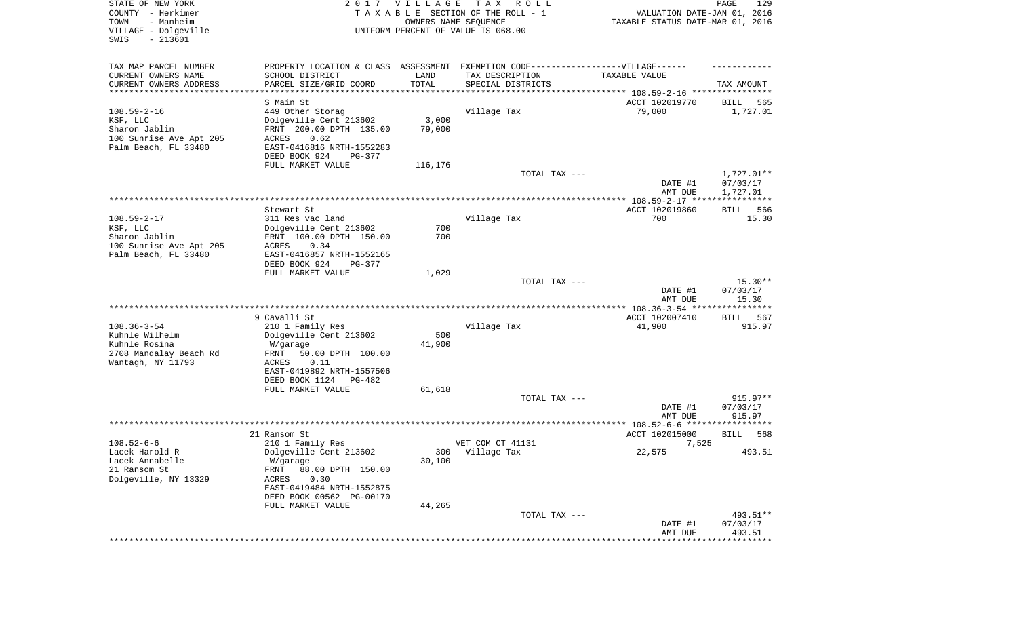| STATE OF NEW YORK<br>COUNTY - Herkimer<br>- Manheim<br>TOWN<br>VILLAGE - Dolgeville<br>SWIS<br>$-213601$ |                                                                                   | 2017 VILLAGE<br>OWNERS NAME SEQUENCE | T A X<br>R O L L<br>TAXABLE SECTION OF THE ROLL - 1<br>UNIFORM PERCENT OF VALUE IS 068.00 | VALUATION DATE-JAN 01, 2016<br>TAXABLE STATUS DATE-MAR 01, 2016 | PAGE<br>129                    |
|----------------------------------------------------------------------------------------------------------|-----------------------------------------------------------------------------------|--------------------------------------|-------------------------------------------------------------------------------------------|-----------------------------------------------------------------|--------------------------------|
| TAX MAP PARCEL NUMBER                                                                                    | PROPERTY LOCATION & CLASS ASSESSMENT EXEMPTION CODE-----------------VILLAGE------ |                                      |                                                                                           |                                                                 |                                |
| CURRENT OWNERS NAME                                                                                      | SCHOOL DISTRICT                                                                   | LAND                                 | TAX DESCRIPTION                                                                           | TAXABLE VALUE                                                   |                                |
| CURRENT OWNERS ADDRESS<br>**********************                                                         | PARCEL SIZE/GRID COORD<br>*******************                                     | TOTAL<br>* * * * * * * * * * *       | SPECIAL DISTRICTS                                                                         |                                                                 | TAX AMOUNT                     |
|                                                                                                          | S Main St                                                                         |                                      |                                                                                           | ACCT 102019770                                                  | 565<br>BILL                    |
| $108.59 - 2 - 16$                                                                                        | 449 Other Storag                                                                  |                                      | Village Tax                                                                               | 79,000                                                          | 1,727.01                       |
| KSF, LLC                                                                                                 | Dolgeville Cent 213602                                                            | 3,000                                |                                                                                           |                                                                 |                                |
| Sharon Jablin                                                                                            | FRNT 200.00 DPTH 135.00                                                           | 79,000                               |                                                                                           |                                                                 |                                |
| 100 Sunrise Ave Apt 205<br>Palm Beach, FL 33480                                                          | <b>ACRES</b><br>0.62<br>EAST-0416816 NRTH-1552283                                 |                                      |                                                                                           |                                                                 |                                |
|                                                                                                          | DEED BOOK 924<br>PG-377                                                           |                                      |                                                                                           |                                                                 |                                |
|                                                                                                          | FULL MARKET VALUE                                                                 | 116,176                              |                                                                                           |                                                                 |                                |
|                                                                                                          |                                                                                   |                                      | TOTAL TAX ---                                                                             | DATE #1                                                         | 1,727.01**<br>07/03/17         |
|                                                                                                          |                                                                                   |                                      |                                                                                           | AMT DUE                                                         | 1,727.01                       |
|                                                                                                          | Stewart St                                                                        |                                      |                                                                                           | ACCT 102019860                                                  | 566<br>BILL                    |
| $108.59 - 2 - 17$                                                                                        | 311 Res vac land                                                                  |                                      | Village Tax                                                                               | 700                                                             | 15.30                          |
| KSF, LLC                                                                                                 | Dolgeville Cent 213602                                                            | 700                                  |                                                                                           |                                                                 |                                |
| Sharon Jablin<br>100 Sunrise Ave Apt 205                                                                 | FRNT 100.00 DPTH 150.00<br>0.34<br><b>ACRES</b>                                   | 700                                  |                                                                                           |                                                                 |                                |
| Palm Beach, FL 33480                                                                                     | EAST-0416857 NRTH-1552165                                                         |                                      |                                                                                           |                                                                 |                                |
|                                                                                                          | DEED BOOK 924<br>PG-377                                                           |                                      |                                                                                           |                                                                 |                                |
|                                                                                                          | FULL MARKET VALUE                                                                 | 1,029                                |                                                                                           |                                                                 |                                |
|                                                                                                          |                                                                                   |                                      | TOTAL TAX ---                                                                             | DATE #1<br>AMT DUE                                              | $15.30**$<br>07/03/17<br>15.30 |
|                                                                                                          | 9 Cavalli St                                                                      |                                      |                                                                                           | ACCT 102007410                                                  | BILL<br>567                    |
| $108.36 - 3 - 54$                                                                                        | 210 1 Family Res                                                                  |                                      | Village Tax                                                                               | 41,900                                                          | 915.97                         |
| Kuhnle Wilhelm                                                                                           | Dolgeville Cent 213602                                                            | 500                                  |                                                                                           |                                                                 |                                |
| Kuhnle Rosina                                                                                            | W/garage                                                                          | 41,900                               |                                                                                           |                                                                 |                                |
| 2708 Mandalay Beach Rd<br>Wantagh, NY 11793                                                              | FRNT<br>50.00 DPTH 100.00<br>ACRES<br>0.11                                        |                                      |                                                                                           |                                                                 |                                |
|                                                                                                          | EAST-0419892 NRTH-1557506                                                         |                                      |                                                                                           |                                                                 |                                |
|                                                                                                          | DEED BOOK 1124<br>PG-482                                                          |                                      |                                                                                           |                                                                 |                                |
|                                                                                                          | FULL MARKET VALUE                                                                 | 61,618                               |                                                                                           |                                                                 |                                |
|                                                                                                          |                                                                                   |                                      | TOTAL TAX ---                                                                             | DATE #1                                                         | $915.97**$<br>07/03/17         |
|                                                                                                          |                                                                                   |                                      |                                                                                           | AMT DUE                                                         | 915.97                         |
|                                                                                                          |                                                                                   |                                      |                                                                                           |                                                                 |                                |
|                                                                                                          | 21 Ransom St                                                                      |                                      |                                                                                           | ACCT 102015000                                                  | 568<br><b>BILL</b>             |
| $108.52 - 6 - 6$<br>Lacek Harold R                                                                       | 210 1 Family Res<br>Dolgeville Cent 213602                                        |                                      | VET COM CT 41131<br>300 Village Tax                                                       | 7,525<br>22,575                                                 | 493.51                         |
| Lacek Annabelle                                                                                          | W/garage                                                                          | 30,100                               |                                                                                           |                                                                 |                                |
| 21 Ransom St                                                                                             | 88.00 DPTH 150.00<br>FRNT                                                         |                                      |                                                                                           |                                                                 |                                |
| Dolgeville, NY 13329                                                                                     | 0.30<br>ACRES                                                                     |                                      |                                                                                           |                                                                 |                                |
|                                                                                                          | EAST-0419484 NRTH-1552875<br>DEED BOOK 00562 PG-00170                             |                                      |                                                                                           |                                                                 |                                |
|                                                                                                          | FULL MARKET VALUE                                                                 | 44,265                               |                                                                                           |                                                                 |                                |
|                                                                                                          |                                                                                   |                                      | TOTAL TAX ---                                                                             |                                                                 | 493.51**                       |
|                                                                                                          |                                                                                   |                                      |                                                                                           | DATE #1                                                         | 07/03/17                       |
|                                                                                                          |                                                                                   |                                      |                                                                                           | AMT DUE<br>***************************                          | 493.51                         |
|                                                                                                          |                                                                                   |                                      |                                                                                           |                                                                 |                                |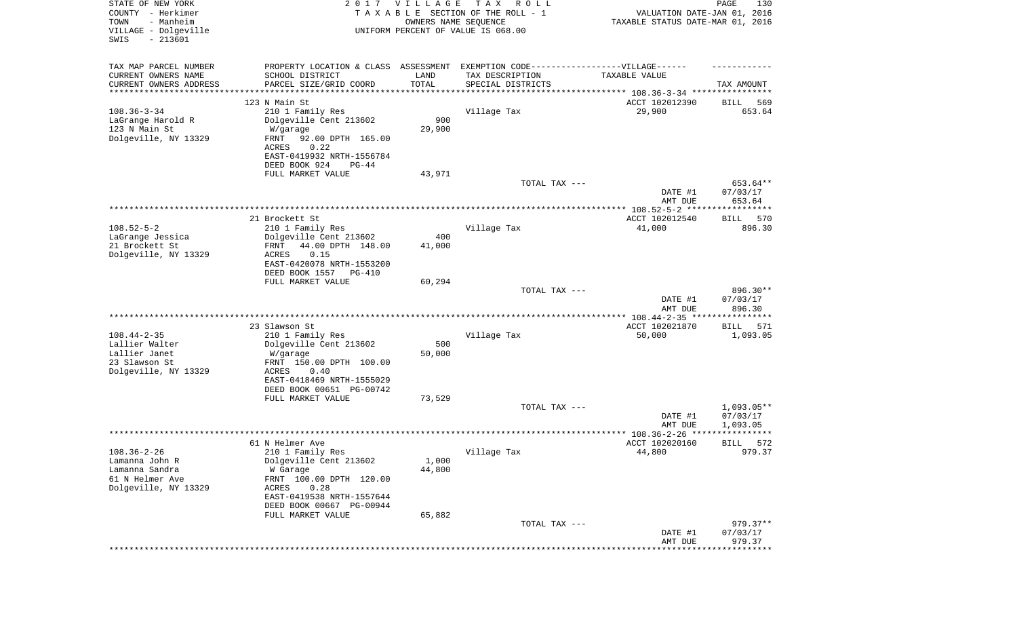| STATE OF NEW YORK<br>COUNTY - Herkimer<br>- Manheim<br>TOWN<br>VILLAGE - Dolgeville |                                                                                   | 2017 VILLAGE<br>OWNERS NAME SEQUENCE | T A X<br>R O L L<br>TAXABLE SECTION OF THE ROLL - 1<br>UNIFORM PERCENT OF VALUE IS 068.00 | VALUATION DATE-JAN 01, 2016<br>TAXABLE STATUS DATE-MAR 01, 2016 | PAGE<br>130        |
|-------------------------------------------------------------------------------------|-----------------------------------------------------------------------------------|--------------------------------------|-------------------------------------------------------------------------------------------|-----------------------------------------------------------------|--------------------|
| $-213601$<br>SWIS                                                                   |                                                                                   |                                      |                                                                                           |                                                                 |                    |
| TAX MAP PARCEL NUMBER                                                               | PROPERTY LOCATION & CLASS ASSESSMENT EXEMPTION CODE-----------------VILLAGE------ |                                      |                                                                                           |                                                                 |                    |
| CURRENT OWNERS NAME                                                                 | SCHOOL DISTRICT                                                                   | LAND                                 | TAX DESCRIPTION                                                                           | TAXABLE VALUE                                                   |                    |
| CURRENT OWNERS ADDRESS<br>********************                                      | PARCEL SIZE/GRID COORD                                                            | TOTAL<br>**********                  | SPECIAL DISTRICTS<br>********************************* 108.36-3-34 ****************       |                                                                 | TAX AMOUNT         |
|                                                                                     | 123 N Main St                                                                     |                                      |                                                                                           | ACCT 102012390                                                  | 569<br>BILL        |
| $108.36 - 3 - 34$                                                                   | 210 1 Family Res                                                                  |                                      | Village Tax                                                                               | 29,900                                                          | 653.64             |
| LaGrange Harold R                                                                   | Dolgeville Cent 213602                                                            | 900                                  |                                                                                           |                                                                 |                    |
| 123 N Main St                                                                       | W/garage                                                                          | 29,900                               |                                                                                           |                                                                 |                    |
| Dolgeville, NY 13329                                                                | FRNT<br>92.00 DPTH 165.00<br>ACRES<br>0.22                                        |                                      |                                                                                           |                                                                 |                    |
|                                                                                     | EAST-0419932 NRTH-1556784                                                         |                                      |                                                                                           |                                                                 |                    |
|                                                                                     | DEED BOOK 924<br>$PG-44$                                                          |                                      |                                                                                           |                                                                 |                    |
|                                                                                     | FULL MARKET VALUE                                                                 | 43,971                               |                                                                                           |                                                                 |                    |
|                                                                                     |                                                                                   |                                      | TOTAL TAX ---                                                                             |                                                                 | 653.64**           |
|                                                                                     |                                                                                   |                                      |                                                                                           | DATE #1                                                         | 07/03/17<br>653.64 |
|                                                                                     |                                                                                   |                                      |                                                                                           | AMT DUE                                                         |                    |
|                                                                                     | 21 Brockett St                                                                    |                                      |                                                                                           | ACCT 102012540                                                  | BILL<br>570        |
| $108.52 - 5 - 2$                                                                    | 210 1 Family Res                                                                  |                                      | Village Tax                                                                               | 41,000                                                          | 896.30             |
| LaGrange Jessica                                                                    | Dolgeville Cent 213602                                                            | 400                                  |                                                                                           |                                                                 |                    |
| 21 Brockett St<br>Dolgeville, NY 13329                                              | 44.00 DPTH 148.00<br>FRNT<br>ACRES<br>0.15                                        | 41,000                               |                                                                                           |                                                                 |                    |
|                                                                                     | EAST-0420078 NRTH-1553200                                                         |                                      |                                                                                           |                                                                 |                    |
|                                                                                     | DEED BOOK 1557<br>PG-410                                                          |                                      |                                                                                           |                                                                 |                    |
|                                                                                     | FULL MARKET VALUE                                                                 | 60,294                               |                                                                                           |                                                                 |                    |
|                                                                                     |                                                                                   |                                      | TOTAL TAX ---                                                                             |                                                                 | 896.30**           |
|                                                                                     |                                                                                   |                                      |                                                                                           | DATE #1<br>AMT DUE                                              | 07/03/17<br>896.30 |
|                                                                                     |                                                                                   |                                      |                                                                                           | ********** 108.44-2-35 *****************                        |                    |
|                                                                                     | 23 Slawson St                                                                     |                                      |                                                                                           | ACCT 102021870                                                  | 571<br>BILL        |
| $108.44 - 2 - 35$                                                                   | 210 1 Family Res                                                                  |                                      | Village Tax                                                                               | 50,000                                                          | 1,093.05           |
| Lallier Walter<br>Lallier Janet                                                     | Dolgeville Cent 213602                                                            | 500                                  |                                                                                           |                                                                 |                    |
| 23 Slawson St                                                                       | W/garage<br>FRNT 150.00 DPTH 100.00                                               | 50,000                               |                                                                                           |                                                                 |                    |
| Dolgeville, NY 13329                                                                | ACRES<br>0.40                                                                     |                                      |                                                                                           |                                                                 |                    |
|                                                                                     | EAST-0418469 NRTH-1555029                                                         |                                      |                                                                                           |                                                                 |                    |
|                                                                                     | DEED BOOK 00651 PG-00742                                                          |                                      |                                                                                           |                                                                 |                    |
|                                                                                     | FULL MARKET VALUE                                                                 | 73,529                               | TOTAL TAX ---                                                                             |                                                                 | 1,093.05**         |
|                                                                                     |                                                                                   |                                      |                                                                                           | DATE #1                                                         | 07/03/17           |
|                                                                                     |                                                                                   |                                      |                                                                                           | AMT DUE                                                         | 1,093.05           |
|                                                                                     |                                                                                   |                                      |                                                                                           | ******************* 108.36-2-26 ****                            | ****               |
|                                                                                     | 61 N Helmer Ave                                                                   |                                      |                                                                                           | ACCT 102020160                                                  | 572<br>BILL        |
| $108.36 - 2 - 26$<br>Lamanna John R                                                 | 210 1 Family Res<br>Dolgeville Cent 213602                                        | 1,000                                | Village Tax                                                                               | 44,800                                                          | 979.37             |
| Lamanna Sandra                                                                      | W Garage                                                                          | 44,800                               |                                                                                           |                                                                 |                    |
| 61 N Helmer Ave                                                                     | FRNT 100.00 DPTH 120.00                                                           |                                      |                                                                                           |                                                                 |                    |
| Dolgeville, NY 13329                                                                | 0.28<br>ACRES                                                                     |                                      |                                                                                           |                                                                 |                    |
|                                                                                     | EAST-0419538 NRTH-1557644                                                         |                                      |                                                                                           |                                                                 |                    |
|                                                                                     | DEED BOOK 00667 PG-00944<br>FULL MARKET VALUE                                     | 65,882                               |                                                                                           |                                                                 |                    |
|                                                                                     |                                                                                   |                                      | TOTAL TAX ---                                                                             |                                                                 | $979.37**$         |
|                                                                                     |                                                                                   |                                      |                                                                                           | DATE #1                                                         | 07/03/17           |
|                                                                                     |                                                                                   |                                      |                                                                                           | AMT DUE                                                         | 979.37             |
|                                                                                     |                                                                                   |                                      |                                                                                           |                                                                 |                    |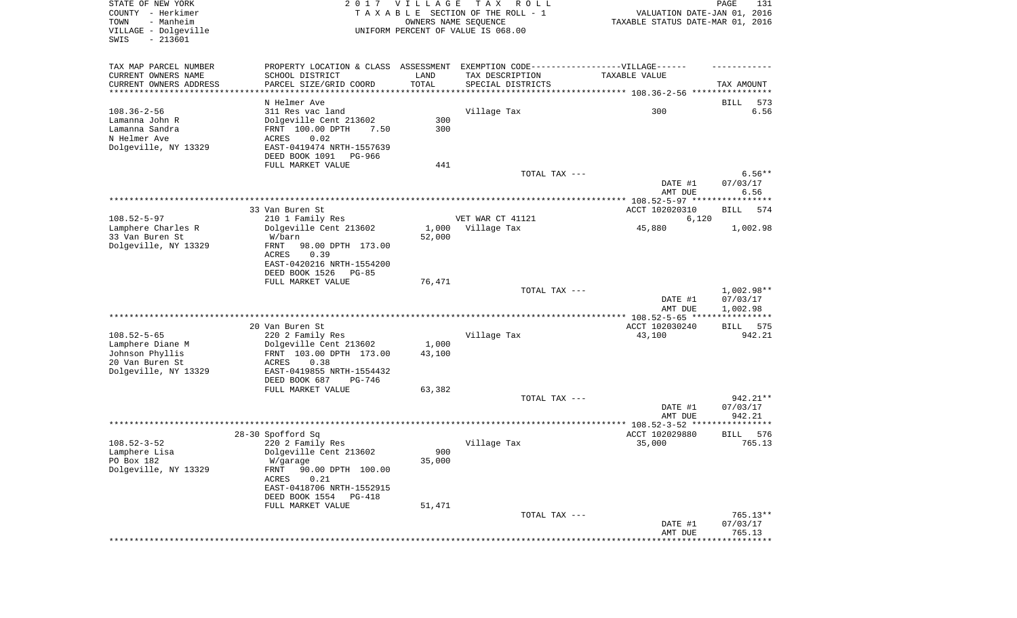| STATE OF NEW YORK<br>COUNTY - Herkimer<br>- Manheim<br>TOWN<br>VILLAGE - Dolgeville<br>SWIS<br>$-213601$ | 2017                                                                             | <b>VILLAGE</b><br>OWNERS NAME SEQUENCE | T A X<br>R O L L<br>TAXABLE SECTION OF THE ROLL - 1<br>UNIFORM PERCENT OF VALUE IS 068.00 | VALUATION DATE-JAN 01, 2016<br>TAXABLE STATUS DATE-MAR 01, 2016 | PAGE<br>131                       |
|----------------------------------------------------------------------------------------------------------|----------------------------------------------------------------------------------|----------------------------------------|-------------------------------------------------------------------------------------------|-----------------------------------------------------------------|-----------------------------------|
| TAX MAP PARCEL NUMBER                                                                                    | PROPERTY LOCATION & CLASS ASSESSMENT EXEMPTION CODE----------------VILLAGE------ |                                        |                                                                                           |                                                                 |                                   |
| CURRENT OWNERS NAME                                                                                      | SCHOOL DISTRICT                                                                  | LAND                                   | TAX DESCRIPTION                                                                           | TAXABLE VALUE                                                   |                                   |
| CURRENT OWNERS ADDRESS<br>**********************                                                         | PARCEL SIZE/GRID COORD                                                           | TOTAL                                  | SPECIAL DISTRICTS                                                                         |                                                                 | TAX AMOUNT                        |
|                                                                                                          | N Helmer Ave                                                                     |                                        |                                                                                           |                                                                 | BILL<br>573                       |
| $108.36 - 2 - 56$                                                                                        | 311 Res vac land                                                                 |                                        | Village Tax                                                                               | 300                                                             | 6.56                              |
| Lamanna John R                                                                                           | Dolgeville Cent 213602                                                           | 300                                    |                                                                                           |                                                                 |                                   |
| Lamanna Sandra                                                                                           | FRNT 100.00 DPTH<br>7.50                                                         | 300                                    |                                                                                           |                                                                 |                                   |
| N Helmer Ave                                                                                             | ACRES<br>0.02                                                                    |                                        |                                                                                           |                                                                 |                                   |
| Dolgeville, NY 13329                                                                                     | EAST-0419474 NRTH-1557639                                                        |                                        |                                                                                           |                                                                 |                                   |
|                                                                                                          | DEED BOOK 1091<br>PG-966                                                         |                                        |                                                                                           |                                                                 |                                   |
|                                                                                                          | FULL MARKET VALUE                                                                | 441                                    |                                                                                           |                                                                 |                                   |
|                                                                                                          |                                                                                  |                                        | TOTAL TAX ---                                                                             | DATE #1<br>AMT DUE                                              | $6.56**$<br>07/03/17<br>6.56      |
|                                                                                                          |                                                                                  |                                        |                                                                                           |                                                                 |                                   |
|                                                                                                          | 33 Van Buren St                                                                  |                                        |                                                                                           | ACCT 102020310                                                  | BILL<br>574                       |
| $108.52 - 5 - 97$                                                                                        | 210 1 Family Res                                                                 |                                        | VET WAR CT 41121                                                                          | 6,120                                                           |                                   |
| Lamphere Charles R                                                                                       | Dolgeville Cent 213602                                                           | 1,000                                  | Village Tax                                                                               | 45,880                                                          | 1,002.98                          |
| 33 Van Buren St                                                                                          | W/barn                                                                           | 52,000                                 |                                                                                           |                                                                 |                                   |
| Dolgeville, NY 13329                                                                                     | FRNT<br>98.00 DPTH 173.00                                                        |                                        |                                                                                           |                                                                 |                                   |
|                                                                                                          | ACRES<br>0.39<br>EAST-0420216 NRTH-1554200                                       |                                        |                                                                                           |                                                                 |                                   |
|                                                                                                          | DEED BOOK 1526<br>PG-85                                                          |                                        |                                                                                           |                                                                 |                                   |
|                                                                                                          | FULL MARKET VALUE                                                                | 76,471                                 |                                                                                           |                                                                 |                                   |
|                                                                                                          |                                                                                  |                                        | TOTAL TAX ---                                                                             |                                                                 | $1,002.98**$                      |
|                                                                                                          |                                                                                  |                                        |                                                                                           | DATE #1<br>AMT DUE                                              | 07/03/17<br>1,002.98              |
|                                                                                                          |                                                                                  |                                        |                                                                                           | *********** 108.52-5-65 ****                                    | ***********                       |
|                                                                                                          | 20 Van Buren St                                                                  |                                        |                                                                                           | ACCT 102030240                                                  | 575<br>BILL                       |
| $108.52 - 5 - 65$                                                                                        | 220 2 Family Res                                                                 |                                        | Village Tax                                                                               | 43,100                                                          | 942.21                            |
| Lamphere Diane M<br>Johnson Phyllis                                                                      | Dolgeville Cent 213602<br>FRNT 103.00 DPTH 173.00                                | 1,000<br>43,100                        |                                                                                           |                                                                 |                                   |
| 20 Van Buren St                                                                                          | ACRES<br>0.38                                                                    |                                        |                                                                                           |                                                                 |                                   |
| Dolgeville, NY 13329                                                                                     | EAST-0419855 NRTH-1554432                                                        |                                        |                                                                                           |                                                                 |                                   |
|                                                                                                          | DEED BOOK 687<br>PG-746                                                          |                                        |                                                                                           |                                                                 |                                   |
|                                                                                                          | FULL MARKET VALUE                                                                | 63,382                                 |                                                                                           |                                                                 |                                   |
|                                                                                                          |                                                                                  |                                        | TOTAL TAX ---                                                                             |                                                                 | $942.21**$                        |
|                                                                                                          |                                                                                  |                                        |                                                                                           | DATE #1                                                         | 07/03/17                          |
|                                                                                                          |                                                                                  |                                        |                                                                                           | AMT DUE                                                         | 942.21<br>* * * * * * * * * * * * |
|                                                                                                          | 28-30 Spofford Sq                                                                |                                        |                                                                                           | ACCT 102029880                                                  | 576<br>BILL                       |
| $108.52 - 3 - 52$                                                                                        | 220 2 Family Res                                                                 |                                        | Village Tax                                                                               | 35,000                                                          | 765.13                            |
| Lamphere Lisa                                                                                            | Dolgeville Cent 213602                                                           | 900                                    |                                                                                           |                                                                 |                                   |
| PO Box 182                                                                                               | W/garage                                                                         | 35,000                                 |                                                                                           |                                                                 |                                   |
| Dolgeville, NY 13329                                                                                     | FRNT<br>90.00 DPTH 100.00                                                        |                                        |                                                                                           |                                                                 |                                   |
|                                                                                                          | ACRES<br>0.21                                                                    |                                        |                                                                                           |                                                                 |                                   |
|                                                                                                          | EAST-0418706 NRTH-1552915                                                        |                                        |                                                                                           |                                                                 |                                   |
|                                                                                                          | DEED BOOK 1554<br>PG-418                                                         |                                        |                                                                                           |                                                                 |                                   |
|                                                                                                          | FULL MARKET VALUE                                                                | 51,471                                 | TOTAL TAX ---                                                                             |                                                                 | $765.13**$                        |
|                                                                                                          |                                                                                  |                                        |                                                                                           | DATE #1                                                         | 07/03/17                          |
|                                                                                                          |                                                                                  |                                        |                                                                                           | AMT DUE                                                         | 765.13                            |
|                                                                                                          |                                                                                  |                                        |                                                                                           |                                                                 | * * * * * * * * *                 |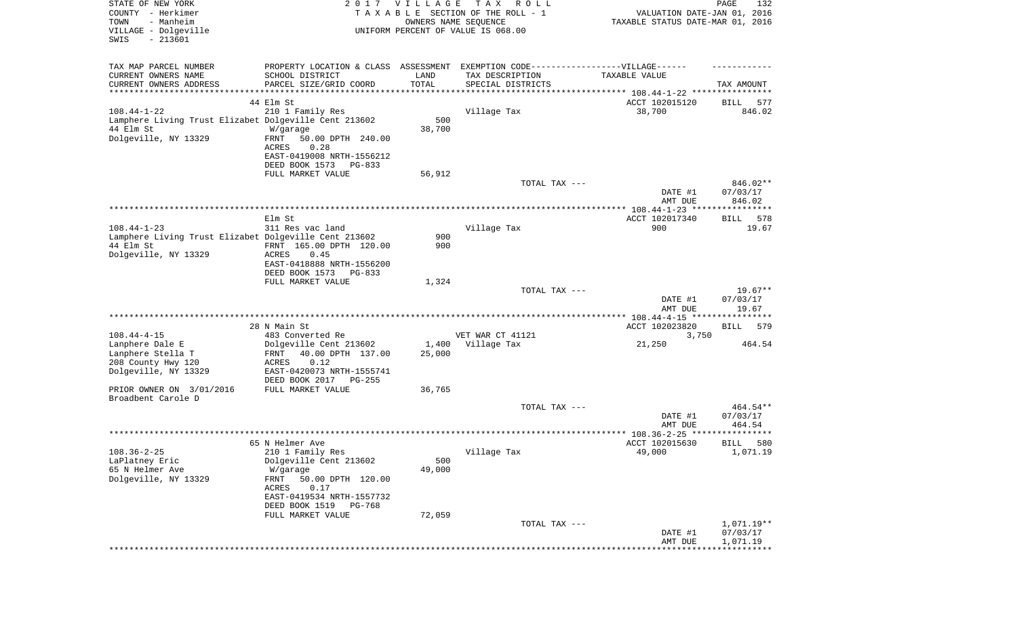| STATE OF NEW YORK<br>COUNTY - Herkimer<br>TOWN<br>- Manheim<br>VILLAGE - Dolgeville<br>SWIS<br>$-213601$        |                                                                                                                                                                                                       | 2017 VILLAGE<br>OWNERS NAME SEQUENCE | T A X<br>R O L L<br>TAXABLE SECTION OF THE ROLL - 1<br>UNIFORM PERCENT OF VALUE IS 068.00 | VALUATION DATE-JAN 01, 2016<br>TAXABLE STATUS DATE-MAR 01, 2016 | PAGE<br>132                        |
|-----------------------------------------------------------------------------------------------------------------|-------------------------------------------------------------------------------------------------------------------------------------------------------------------------------------------------------|--------------------------------------|-------------------------------------------------------------------------------------------|-----------------------------------------------------------------|------------------------------------|
| TAX MAP PARCEL NUMBER<br>CURRENT OWNERS NAME<br>CURRENT OWNERS ADDRESS<br>***********************               | PROPERTY LOCATION & CLASS ASSESSMENT EXEMPTION CODE----------------VILLAGE------<br>SCHOOL DISTRICT<br>PARCEL SIZE/GRID COORD<br>* * * * * * * * * * * * * * * * * * *                                | LAND<br>TOTAL<br>***********         | TAX DESCRIPTION<br>SPECIAL DISTRICTS                                                      | TAXABLE VALUE                                                   | TAX AMOUNT                         |
| $108.44 - 1 - 22$<br>Lamphere Living Trust Elizabet Dolgeville Cent 213602<br>44 Elm St<br>Dolgeville, NY 13329 | 44 Elm St<br>210 1 Family Res<br>W/garage<br>FRNT<br>50.00 DPTH 240.00<br>ACRES<br>0.28<br>EAST-0419008 NRTH-1556212<br>DEED BOOK 1573<br>PG-833<br>FULL MARKET VALUE                                 | 500<br>38,700<br>56,912              | Village Tax                                                                               | ACCT 102015120<br>38,700                                        | 577<br>BILL<br>846.02              |
|                                                                                                                 |                                                                                                                                                                                                       |                                      | TOTAL TAX ---                                                                             | DATE #1                                                         | 846.02**<br>07/03/17               |
|                                                                                                                 | Elm St                                                                                                                                                                                                |                                      |                                                                                           | AMT DUE<br>ACCT 102017340                                       | 846.02<br>BILL<br>578              |
| $108.44 - 1 - 23$<br>Lamphere Living Trust Elizabet Dolgeville Cent 213602<br>44 Elm St<br>Dolgeville, NY 13329 | 311 Res vac land<br>FRNT 165.00 DPTH 120.00<br>ACRES<br>0.45<br>EAST-0418888 NRTH-1556200<br>DEED BOOK 1573<br>PG-833                                                                                 | 900<br>900                           | Village Tax                                                                               | 900                                                             | 19.67                              |
|                                                                                                                 | FULL MARKET VALUE                                                                                                                                                                                     | 1,324                                | TOTAL TAX ---                                                                             | DATE #1<br>AMT DUE                                              | $19.67**$<br>07/03/17<br>19.67     |
|                                                                                                                 | 28 N Main St                                                                                                                                                                                          |                                      |                                                                                           | ************* 108.44-4-15 *****************<br>ACCT 102023820   | 579<br>BILL                        |
| $108.44 - 4 - 15$<br>Lanphere Dale E<br>Lanphere Stella T<br>208 County Hwy 120<br>Dolgeville, NY 13329         | 483 Converted Re<br>Dolgeville Cent 213602<br>40.00 DPTH 137.00<br>FRNT<br>ACRES<br>0.12<br>EAST-0420073 NRTH-1555741<br>DEED BOOK 2017 PG-255                                                        | 25,000                               | VET WAR CT 41121<br>1,400 Village Tax                                                     | 3,750<br>21,250                                                 | 464.54                             |
| PRIOR OWNER ON 3/01/2016<br>Broadbent Carole D                                                                  | FULL MARKET VALUE                                                                                                                                                                                     | 36,765                               | TOTAL TAX ---                                                                             |                                                                 | $464.54**$                         |
|                                                                                                                 |                                                                                                                                                                                                       |                                      |                                                                                           | DATE #1<br>AMT DUE                                              | 07/03/17<br>464.54                 |
|                                                                                                                 |                                                                                                                                                                                                       |                                      |                                                                                           |                                                                 | * * * * * *                        |
| $108.36 - 2 - 25$<br>LaPlatney Eric<br>65 N Helmer Ave<br>Dolgeville, NY 13329                                  | 65 N Helmer Ave<br>210 1 Family Res<br>Dolgeville Cent 213602<br>W/garage<br>FRNT<br>50.00 DPTH 120.00<br>ACRES<br>0.17<br>EAST-0419534 NRTH-1557732<br>DEED BOOK 1519<br>PG-768<br>FULL MARKET VALUE | 500<br>49,000<br>72,059              | Village Tax                                                                               | ACCT 102015630<br>49,000                                        | 580<br>BILL<br>1,071.19            |
|                                                                                                                 |                                                                                                                                                                                                       |                                      | TOTAL TAX ---                                                                             | DATE #1<br>AMT DUE                                              | 1,071.19**<br>07/03/17<br>1,071.19 |
|                                                                                                                 |                                                                                                                                                                                                       |                                      |                                                                                           |                                                                 |                                    |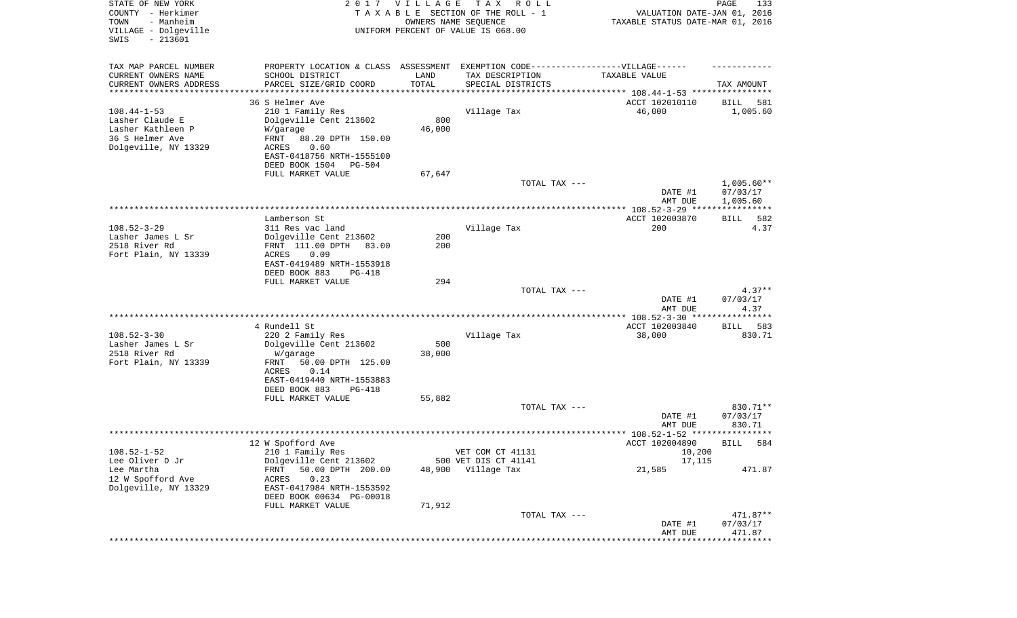| STATE OF NEW YORK<br>COUNTY - Herkimer<br>TOWN<br>- Manheim<br>VILLAGE - Dolgeville<br>SWIS<br>$-213601$ |                                                       | 2017 VILLAGE<br>OWNERS NAME SEQUENCE | T A X<br>ROLL<br>TAXABLE SECTION OF THE ROLL - 1<br>UNIFORM PERCENT OF VALUE IS 068.00 | VALUATION DATE-JAN 01, 2016<br>TAXABLE STATUS DATE-MAR 01, 2016 | PAGE<br>133          |
|----------------------------------------------------------------------------------------------------------|-------------------------------------------------------|--------------------------------------|----------------------------------------------------------------------------------------|-----------------------------------------------------------------|----------------------|
| TAX MAP PARCEL NUMBER                                                                                    |                                                       |                                      | PROPERTY LOCATION & CLASS ASSESSMENT EXEMPTION CODE----------------VILLAGE------       |                                                                 |                      |
| CURRENT OWNERS NAME                                                                                      | SCHOOL DISTRICT                                       | LAND                                 | TAX DESCRIPTION                                                                        | TAXABLE VALUE                                                   |                      |
| CURRENT OWNERS ADDRESS<br>********************                                                           | PARCEL SIZE/GRID COORD                                | TOTAL                                | SPECIAL DISTRICTS                                                                      |                                                                 | TAX AMOUNT           |
|                                                                                                          | 36 S Helmer Ave                                       |                                      |                                                                                        | ACCT 102010110                                                  | 581<br>BILL          |
| $108.44 - 1 - 53$                                                                                        | 210 1 Family Res                                      |                                      | Village Tax                                                                            | 46,000                                                          | 1,005.60             |
| Lasher Claude E                                                                                          | Dolgeville Cent 213602                                | 800                                  |                                                                                        |                                                                 |                      |
| Lasher Kathleen P                                                                                        | W/garage                                              | 46,000                               |                                                                                        |                                                                 |                      |
| 36 S Helmer Ave                                                                                          | FRNT<br>88.20 DPTH 150.00                             |                                      |                                                                                        |                                                                 |                      |
| Dolgeville, NY 13329                                                                                     | ACRES<br>0.60                                         |                                      |                                                                                        |                                                                 |                      |
|                                                                                                          | EAST-0418756 NRTH-1555100<br>DEED BOOK 1504<br>PG-504 |                                      |                                                                                        |                                                                 |                      |
|                                                                                                          | FULL MARKET VALUE                                     | 67,647                               |                                                                                        |                                                                 |                      |
|                                                                                                          |                                                       |                                      | TOTAL TAX ---                                                                          |                                                                 | $1,005.60**$         |
|                                                                                                          |                                                       |                                      |                                                                                        | DATE #1<br>AMT DUE                                              | 07/03/17<br>1,005.60 |
|                                                                                                          |                                                       |                                      |                                                                                        |                                                                 |                      |
|                                                                                                          | Lamberson St                                          |                                      |                                                                                        | ACCT 102003870                                                  | BILL<br>582          |
| $108.52 - 3 - 29$<br>Lasher James L Sr                                                                   | 311 Res vac land<br>Dolgeville Cent 213602            | 200                                  | Village Tax                                                                            | 200                                                             | 4.37                 |
| 2518 River Rd                                                                                            | FRNT 111.00 DPTH<br>83.00                             | 200                                  |                                                                                        |                                                                 |                      |
| Fort Plain, NY 13339                                                                                     | ACRES<br>0.09                                         |                                      |                                                                                        |                                                                 |                      |
|                                                                                                          | EAST-0419489 NRTH-1553918                             |                                      |                                                                                        |                                                                 |                      |
|                                                                                                          | DEED BOOK 883<br>PG-418                               |                                      |                                                                                        |                                                                 |                      |
|                                                                                                          | FULL MARKET VALUE                                     | 294                                  |                                                                                        |                                                                 |                      |
|                                                                                                          |                                                       |                                      | TOTAL TAX ---                                                                          |                                                                 | $4.37**$             |
|                                                                                                          |                                                       |                                      |                                                                                        | DATE #1<br>AMT DUE                                              | 07/03/17<br>4.37     |
|                                                                                                          |                                                       |                                      |                                                                                        | *********** 108.52-3-30 ****************                        |                      |
|                                                                                                          | 4 Rundell St                                          |                                      |                                                                                        | ACCT 102003840                                                  | 583<br>BILL          |
| $108.52 - 3 - 30$                                                                                        | 220 2 Family Res                                      |                                      | Village Tax                                                                            | 38,000                                                          | 830.71               |
| Lasher James L Sr                                                                                        | Dolgeville Cent 213602                                | 500                                  |                                                                                        |                                                                 |                      |
| 2518 River Rd                                                                                            | W/garage                                              | 38,000                               |                                                                                        |                                                                 |                      |
| Fort Plain, NY 13339                                                                                     | FRNT<br>50.00 DPTH 125.00                             |                                      |                                                                                        |                                                                 |                      |
|                                                                                                          | ACRES<br>0.14<br>EAST-0419440 NRTH-1553883            |                                      |                                                                                        |                                                                 |                      |
|                                                                                                          | DEED BOOK 883<br>PG-418                               |                                      |                                                                                        |                                                                 |                      |
|                                                                                                          | FULL MARKET VALUE                                     | 55,882                               |                                                                                        |                                                                 |                      |
|                                                                                                          |                                                       |                                      | TOTAL TAX ---                                                                          |                                                                 | 830.71**             |
|                                                                                                          |                                                       |                                      |                                                                                        | DATE #1                                                         | 07/03/17             |
|                                                                                                          |                                                       |                                      |                                                                                        | AMT DUE                                                         | 830.71               |
|                                                                                                          |                                                       |                                      |                                                                                        |                                                                 | ****                 |
| $108.52 - 1 - 52$                                                                                        | 12 W Spofford Ave<br>210 1 Family Res                 |                                      | VET COM CT 41131                                                                       | ACCT 102004890<br>10,200                                        | 584<br>BILL          |
| Lee Oliver D Jr                                                                                          | Dolgeville Cent 213602                                |                                      | 500 VET DIS CT 41141                                                                   | 17,115                                                          |                      |
| Lee Martha                                                                                               | 50.00 DPTH 200.00<br><b>FRNT</b>                      | 48,900                               | Village Tax                                                                            | 21,585                                                          | 471.87               |
| 12 W Spofford Ave                                                                                        | 0.23<br>ACRES                                         |                                      |                                                                                        |                                                                 |                      |
| Dolgeville, NY 13329                                                                                     | EAST-0417984 NRTH-1553592                             |                                      |                                                                                        |                                                                 |                      |
|                                                                                                          | DEED BOOK 00634 PG-00018                              |                                      |                                                                                        |                                                                 |                      |
|                                                                                                          | FULL MARKET VALUE                                     | 71,912                               |                                                                                        |                                                                 |                      |
|                                                                                                          |                                                       |                                      | TOTAL TAX ---                                                                          | DATE #1                                                         | 471.87**<br>07/03/17 |
|                                                                                                          |                                                       |                                      |                                                                                        | AMT DUE                                                         | 471.87               |
|                                                                                                          |                                                       |                                      |                                                                                        | **************************                                      |                      |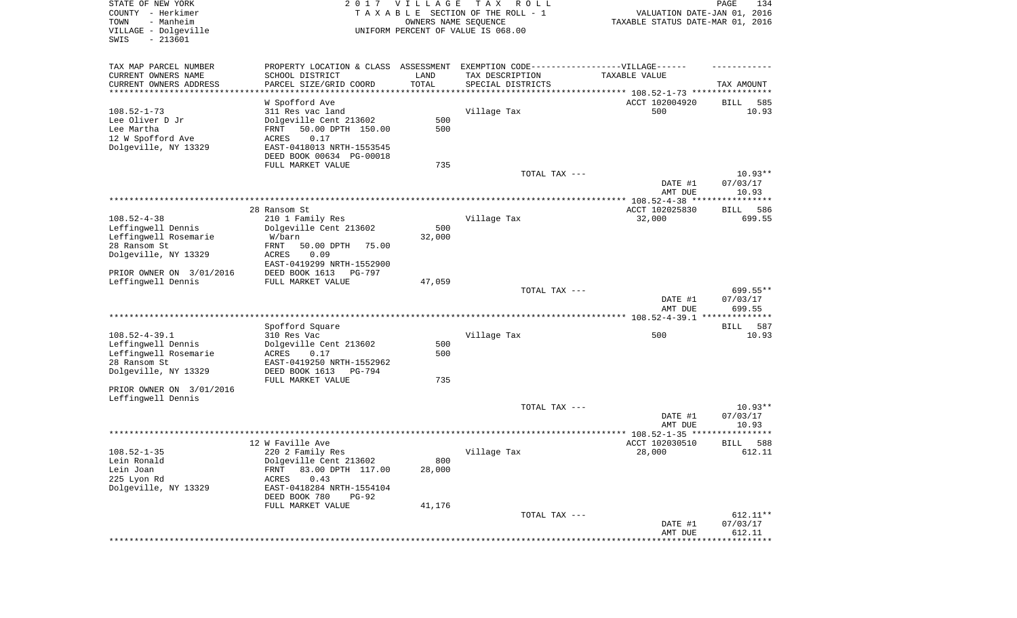| STATE OF NEW YORK<br>COUNTY - Herkimer<br>- Manheim<br>TOWN<br>VILLAGE - Dolgeville<br>SWIS<br>$-213601$ |                                                                                                      | 2017 VILLAGE<br>OWNERS NAME SEQUENCE | T A X<br>R O L L<br>TAXABLE SECTION OF THE ROLL - 1<br>UNIFORM PERCENT OF VALUE IS 068.00 | VALUATION DATE-JAN 01, 2016<br>TAXABLE STATUS DATE-MAR 01, 2016 | PAGE<br>134        |
|----------------------------------------------------------------------------------------------------------|------------------------------------------------------------------------------------------------------|--------------------------------------|-------------------------------------------------------------------------------------------|-----------------------------------------------------------------|--------------------|
| TAX MAP PARCEL NUMBER<br>CURRENT OWNERS NAME                                                             | PROPERTY LOCATION & CLASS ASSESSMENT EXEMPTION CODE-----------------VILLAGE------<br>SCHOOL DISTRICT | LAND                                 | TAX DESCRIPTION                                                                           | TAXABLE VALUE                                                   |                    |
| CURRENT OWNERS ADDRESS<br>*********************                                                          | PARCEL SIZE/GRID COORD<br>***********************                                                    | TOTAL                                | SPECIAL DISTRICTS                                                                         |                                                                 | TAX AMOUNT         |
|                                                                                                          | W Spofford Ave                                                                                       |                                      |                                                                                           | ACCT 102004920                                                  | BILL<br>585        |
| $108.52 - 1 - 73$                                                                                        | 311 Res vac land                                                                                     |                                      | Village Tax                                                                               | 500                                                             | 10.93              |
| Lee Oliver D Jr                                                                                          | Dolgeville Cent 213602                                                                               | 500                                  |                                                                                           |                                                                 |                    |
| Lee Martha                                                                                               | 50.00 DPTH 150.00<br>FRNT                                                                            | 500                                  |                                                                                           |                                                                 |                    |
| 12 W Spofford Ave                                                                                        | ACRES<br>0.17                                                                                        |                                      |                                                                                           |                                                                 |                    |
| Dolgeville, NY 13329                                                                                     | EAST-0418013 NRTH-1553545                                                                            |                                      |                                                                                           |                                                                 |                    |
|                                                                                                          | DEED BOOK 00634 PG-00018                                                                             |                                      |                                                                                           |                                                                 |                    |
|                                                                                                          | FULL MARKET VALUE                                                                                    | 735                                  |                                                                                           |                                                                 |                    |
|                                                                                                          |                                                                                                      |                                      | TOTAL TAX ---                                                                             |                                                                 | $10.93**$          |
|                                                                                                          |                                                                                                      |                                      |                                                                                           | DATE #1<br>AMT DUE                                              | 07/03/17<br>10.93  |
|                                                                                                          |                                                                                                      |                                      |                                                                                           |                                                                 |                    |
|                                                                                                          | 28 Ransom St.                                                                                        |                                      |                                                                                           | ACCT 102025830                                                  | 586<br>BILL        |
| $108.52 - 4 - 38$                                                                                        | 210 1 Family Res                                                                                     |                                      | Village Tax                                                                               | 32,000                                                          | 699.55             |
| Leffingwell Dennis                                                                                       | Dolgeville Cent 213602                                                                               | 500                                  |                                                                                           |                                                                 |                    |
| Leffingwell Rosemarie                                                                                    | W/barn                                                                                               | 32,000                               |                                                                                           |                                                                 |                    |
| 28 Ransom St                                                                                             | FRNT<br>50.00 DPTH<br>75.00                                                                          |                                      |                                                                                           |                                                                 |                    |
| Dolgeville, NY 13329                                                                                     | <b>ACRES</b><br>0.09<br>EAST-0419299 NRTH-1552900                                                    |                                      |                                                                                           |                                                                 |                    |
| PRIOR OWNER ON 3/01/2016                                                                                 | DEED BOOK 1613<br>PG-797                                                                             |                                      |                                                                                           |                                                                 |                    |
| Leffingwell Dennis                                                                                       | FULL MARKET VALUE                                                                                    | 47,059                               |                                                                                           |                                                                 |                    |
|                                                                                                          |                                                                                                      |                                      | TOTAL TAX ---                                                                             |                                                                 | 699.55**           |
|                                                                                                          |                                                                                                      |                                      |                                                                                           | DATE #1                                                         | 07/03/17           |
|                                                                                                          |                                                                                                      |                                      |                                                                                           | AMT DUE                                                         | 699.55             |
|                                                                                                          | Spofford Square                                                                                      |                                      |                                                                                           |                                                                 | 587<br>BILL        |
| $108.52 - 4 - 39.1$                                                                                      | 310 Res Vac                                                                                          |                                      | Village Tax                                                                               | 500                                                             | 10.93              |
| Leffingwell Dennis                                                                                       | Dolgeville Cent 213602                                                                               | 500                                  |                                                                                           |                                                                 |                    |
| Leffingwell Rosemarie                                                                                    | ACRES<br>0.17                                                                                        | 500                                  |                                                                                           |                                                                 |                    |
| 28 Ransom St                                                                                             | EAST-0419250 NRTH-1552962                                                                            |                                      |                                                                                           |                                                                 |                    |
| Dolgeville, NY 13329                                                                                     | DEED BOOK 1613<br><b>PG-794</b>                                                                      |                                      |                                                                                           |                                                                 |                    |
|                                                                                                          | FULL MARKET VALUE                                                                                    | 735                                  |                                                                                           |                                                                 |                    |
| PRIOR OWNER ON 3/01/2016<br>Leffingwell Dennis                                                           |                                                                                                      |                                      |                                                                                           |                                                                 |                    |
|                                                                                                          |                                                                                                      |                                      | TOTAL TAX ---                                                                             |                                                                 | $10.93**$          |
|                                                                                                          |                                                                                                      |                                      |                                                                                           | DATE #1                                                         | 07/03/17           |
|                                                                                                          |                                                                                                      |                                      |                                                                                           | AMT DUE                                                         | 10.93              |
|                                                                                                          |                                                                                                      |                                      |                                                                                           |                                                                 |                    |
|                                                                                                          | 12 W Faville Ave                                                                                     |                                      |                                                                                           | ACCT 102030510                                                  | 588<br>BILL        |
| $108.52 - 1 - 35$<br>Lein Ronald                                                                         | 220 2 Family Res<br>Dolgeville Cent 213602                                                           | 800                                  | Village Tax                                                                               | 28,000                                                          | 612.11             |
| Lein Joan                                                                                                | 83.00 DPTH 117.00<br><b>FRNT</b>                                                                     | 28,000                               |                                                                                           |                                                                 |                    |
| 225 Lyon Rd                                                                                              | 0.43<br>ACRES                                                                                        |                                      |                                                                                           |                                                                 |                    |
| Dolgeville, NY 13329                                                                                     | EAST-0418284 NRTH-1554104                                                                            |                                      |                                                                                           |                                                                 |                    |
|                                                                                                          | DEED BOOK 780<br>$PG-92$                                                                             |                                      |                                                                                           |                                                                 |                    |
|                                                                                                          | FULL MARKET VALUE                                                                                    | 41,176                               |                                                                                           |                                                                 |                    |
|                                                                                                          |                                                                                                      |                                      | TOTAL TAX ---                                                                             |                                                                 | 612.11**           |
|                                                                                                          |                                                                                                      |                                      |                                                                                           | DATE #1                                                         | 07/03/17<br>612.11 |
|                                                                                                          |                                                                                                      |                                      |                                                                                           | AMT DUE<br>**************************                           |                    |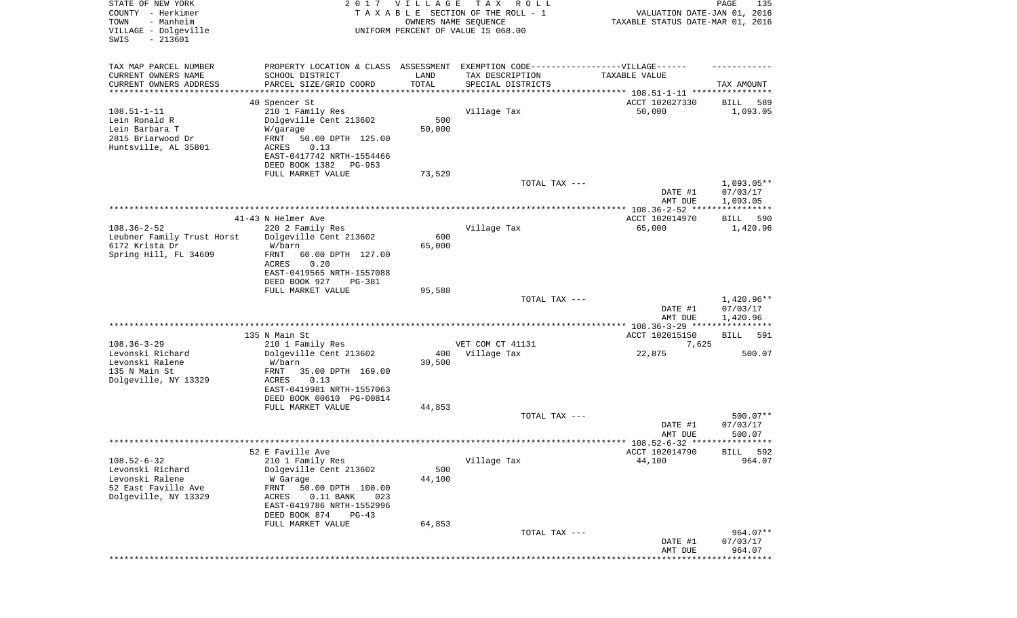| STATE OF NEW YORK<br>COUNTY - Herkimer<br>TOWN<br>- Manheim<br>VILLAGE - Dolgeville<br>$-213601$<br>SWIS | 2017                                                     | VILLAGE       | T A X<br>R O L L<br>TAXABLE SECTION OF THE ROLL - 1<br>OWNERS NAME SEQUENCE<br>UNIFORM PERCENT OF VALUE IS 068.00 | VALUATION DATE-JAN 01, 2016<br>TAXABLE STATUS DATE-MAR 01, 2016  | PAGE<br>135             |
|----------------------------------------------------------------------------------------------------------|----------------------------------------------------------|---------------|-------------------------------------------------------------------------------------------------------------------|------------------------------------------------------------------|-------------------------|
| TAX MAP PARCEL NUMBER                                                                                    |                                                          |               | PROPERTY LOCATION & CLASS ASSESSMENT EXEMPTION CODE-----------------VILLAGE------                                 |                                                                  |                         |
| CURRENT OWNERS NAME<br>CURRENT OWNERS ADDRESS                                                            | SCHOOL DISTRICT<br>PARCEL SIZE/GRID COORD                | LAND<br>TOTAL | TAX DESCRIPTION                                                                                                   | TAXABLE VALUE                                                    | TAX AMOUNT              |
| *******************                                                                                      |                                                          |               | SPECIAL DISTRICTS                                                                                                 | ********************************** 108.51-1-11 ***************** |                         |
|                                                                                                          | 40 Spencer St                                            |               |                                                                                                                   | ACCT 102027330                                                   | 589<br>BILL             |
| $108.51 - 1 - 11$                                                                                        | 210 1 Family Res                                         |               | Village Tax                                                                                                       | 50,000                                                           | 1,093.05                |
| Lein Ronald R<br>Lein Barbara T                                                                          | Dolgeville Cent 213602                                   | 500<br>50,000 |                                                                                                                   |                                                                  |                         |
| 2815 Briarwood Dr                                                                                        | W/garage<br>FRNT<br>50.00 DPTH 125.00                    |               |                                                                                                                   |                                                                  |                         |
| Huntsville, AL 35801                                                                                     | 0.13<br>ACRES                                            |               |                                                                                                                   |                                                                  |                         |
|                                                                                                          | EAST-0417742 NRTH-1554466                                |               |                                                                                                                   |                                                                  |                         |
|                                                                                                          | DEED BOOK 1382<br>PG-953                                 |               |                                                                                                                   |                                                                  |                         |
|                                                                                                          | FULL MARKET VALUE                                        | 73,529        | TOTAL TAX ---                                                                                                     |                                                                  | $1,093.05**$            |
|                                                                                                          |                                                          |               |                                                                                                                   | DATE #1                                                          | 07/03/17                |
|                                                                                                          |                                                          |               |                                                                                                                   | AMT DUE                                                          | 1,093.05                |
|                                                                                                          |                                                          |               |                                                                                                                   |                                                                  |                         |
| $108.36 - 2 - 52$                                                                                        | 41-43 N Helmer Ave<br>220 2 Family Res                   |               | Village Tax                                                                                                       | ACCT 102014970<br>65,000                                         | BILL<br>590<br>1,420.96 |
| Leubner Family Trust Horst                                                                               | Dolgeville Cent 213602                                   | 600           |                                                                                                                   |                                                                  |                         |
| 6172 Krista Dr                                                                                           | W/barn                                                   | 65,000        |                                                                                                                   |                                                                  |                         |
| Spring Hill, FL 34609                                                                                    | FRNT<br>60.00 DPTH 127.00                                |               |                                                                                                                   |                                                                  |                         |
|                                                                                                          | ACRES<br>0.20<br>EAST-0419565 NRTH-1557088               |               |                                                                                                                   |                                                                  |                         |
|                                                                                                          | DEED BOOK 927<br>PG-381                                  |               |                                                                                                                   |                                                                  |                         |
|                                                                                                          | FULL MARKET VALUE                                        | 95,588        |                                                                                                                   |                                                                  |                         |
|                                                                                                          |                                                          |               | TOTAL TAX ---                                                                                                     | DATE #1                                                          | 1,420.96**<br>07/03/17  |
|                                                                                                          |                                                          |               |                                                                                                                   | AMT DUE                                                          | 1,420.96                |
|                                                                                                          |                                                          |               |                                                                                                                   | ************** 108.36-3-29 ****************                      |                         |
|                                                                                                          | 135 N Main St                                            |               |                                                                                                                   | ACCT 102015150                                                   | BILL<br>591             |
| $108.36 - 3 - 29$<br>Levonski Richard                                                                    | 210 1 Family Res<br>Dolgeville Cent 213602               | 400           | VET COM CT 41131<br>Village Tax                                                                                   | 7,625<br>22,875                                                  | 500.07                  |
| Levonski Ralene                                                                                          | W/barn                                                   | 30,500        |                                                                                                                   |                                                                  |                         |
| 135 N Main St                                                                                            | FRNT<br>35.00 DPTH 169.00                                |               |                                                                                                                   |                                                                  |                         |
| Dolgeville, NY 13329                                                                                     | <b>ACRES</b><br>0.13                                     |               |                                                                                                                   |                                                                  |                         |
|                                                                                                          | EAST-0419981 NRTH-1557063                                |               |                                                                                                                   |                                                                  |                         |
|                                                                                                          | DEED BOOK 00610 PG-00814<br>FULL MARKET VALUE            | 44,853        |                                                                                                                   |                                                                  |                         |
|                                                                                                          |                                                          |               | TOTAL TAX ---                                                                                                     |                                                                  | $500.07**$              |
|                                                                                                          |                                                          |               |                                                                                                                   | DATE #1                                                          | 07/03/17                |
|                                                                                                          |                                                          |               |                                                                                                                   | AMT DUE                                                          | 500.07                  |
|                                                                                                          | 52 E Faville Ave                                         |               |                                                                                                                   | ACCT 102014790                                                   | 592<br>BILL             |
| $108.52 - 6 - 32$                                                                                        | 210 1 Family Res                                         |               | Village Tax                                                                                                       | 44,100                                                           | 964.07                  |
| Levonski Richard                                                                                         | Dolgeville Cent 213602                                   | 500           |                                                                                                                   |                                                                  |                         |
| Levonski Ralene                                                                                          | W Garage                                                 | 44,100        |                                                                                                                   |                                                                  |                         |
| 52 East Faville Ave<br>Dolgeville, NY 13329                                                              | FRNT<br>50.00 DPTH 100.00<br>ACRES<br>$0.11$ BANK<br>023 |               |                                                                                                                   |                                                                  |                         |
|                                                                                                          | EAST-0419786 NRTH-1552996                                |               |                                                                                                                   |                                                                  |                         |
|                                                                                                          | DEED BOOK 874<br>$PG-43$                                 |               |                                                                                                                   |                                                                  |                         |
|                                                                                                          | FULL MARKET VALUE                                        | 64,853        |                                                                                                                   |                                                                  |                         |
|                                                                                                          |                                                          |               | TOTAL TAX ---                                                                                                     | DATE #1                                                          | 964.07**<br>07/03/17    |
|                                                                                                          |                                                          |               |                                                                                                                   | AMT DUE                                                          | 964.07                  |
|                                                                                                          |                                                          |               |                                                                                                                   |                                                                  | * * * * * * * * * * * * |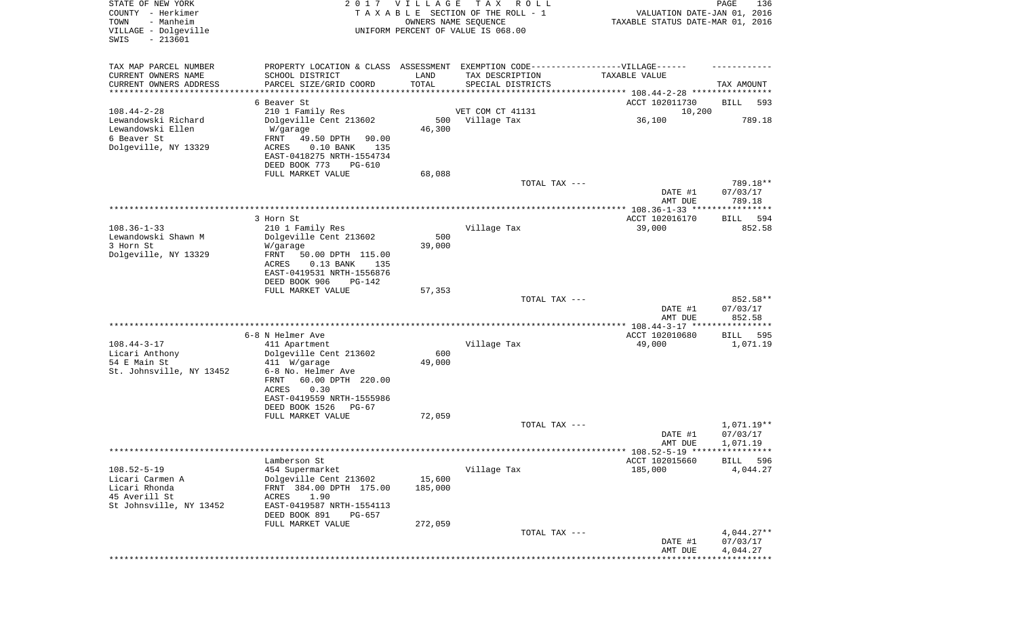| STATE OF NEW YORK<br>COUNTY - Herkimer<br>- Manheim<br>TOWN<br>VILLAGE - Dolgeville<br>$-213601$<br>SWIS |                                                                                   | 2017 VILLAGE  | T A X<br>R O L L<br>TAXABLE SECTION OF THE ROLL - 1<br>OWNERS NAME SEQUENCE<br>UNIFORM PERCENT OF VALUE IS 068.00 | VALUATION DATE-JAN 01, 2016<br>TAXABLE STATUS DATE-MAR 01, 2016 | PAGE<br>136                     |
|----------------------------------------------------------------------------------------------------------|-----------------------------------------------------------------------------------|---------------|-------------------------------------------------------------------------------------------------------------------|-----------------------------------------------------------------|---------------------------------|
| TAX MAP PARCEL NUMBER                                                                                    | PROPERTY LOCATION & CLASS ASSESSMENT EXEMPTION CODE-----------------VILLAGE------ |               |                                                                                                                   |                                                                 |                                 |
| CURRENT OWNERS NAME<br>CURRENT OWNERS ADDRESS                                                            | SCHOOL DISTRICT<br>PARCEL SIZE/GRID COORD                                         | LAND<br>TOTAL | TAX DESCRIPTION<br>SPECIAL DISTRICTS                                                                              | TAXABLE VALUE                                                   | TAX AMOUNT                      |
| *********************                                                                                    |                                                                                   |               |                                                                                                                   |                                                                 |                                 |
|                                                                                                          | 6 Beaver St                                                                       |               |                                                                                                                   | ACCT 102011730                                                  | BILL<br>593                     |
| $108.44 - 2 - 28$                                                                                        | 210 1 Family Res                                                                  |               | VET COM CT 41131                                                                                                  | 10,200                                                          |                                 |
| Lewandowski Richard<br>Lewandowski Ellen                                                                 | Dolgeville Cent 213602<br>W/garage                                                | 46,300        | 500 Village Tax                                                                                                   | 36,100                                                          | 789.18                          |
| 6 Beaver St                                                                                              | FRNT<br>49.50 DPTH<br>90.00                                                       |               |                                                                                                                   |                                                                 |                                 |
| Dolgeville, NY 13329                                                                                     | $0.10$ BANK<br>ACRES<br>135                                                       |               |                                                                                                                   |                                                                 |                                 |
|                                                                                                          | EAST-0418275 NRTH-1554734                                                         |               |                                                                                                                   |                                                                 |                                 |
|                                                                                                          | DEED BOOK 773<br><b>PG-610</b>                                                    |               |                                                                                                                   |                                                                 |                                 |
|                                                                                                          | FULL MARKET VALUE                                                                 | 68,088        | TOTAL TAX ---                                                                                                     |                                                                 | 789.18**                        |
|                                                                                                          |                                                                                   |               |                                                                                                                   | DATE #1                                                         | 07/03/17                        |
|                                                                                                          |                                                                                   |               |                                                                                                                   | AMT DUE                                                         | 789.18                          |
|                                                                                                          |                                                                                   |               |                                                                                                                   |                                                                 |                                 |
| $108.36 - 1 - 33$                                                                                        | 3 Horn St<br>210 1 Family Res                                                     |               | Village Tax                                                                                                       | ACCT 102016170<br>39,000                                        | 594<br>BILL<br>852.58           |
| Lewandowski Shawn M                                                                                      | Dolgeville Cent 213602                                                            | 500           |                                                                                                                   |                                                                 |                                 |
| 3 Horn St                                                                                                | W/garage                                                                          | 39,000        |                                                                                                                   |                                                                 |                                 |
| Dolgeville, NY 13329                                                                                     | FRNT<br>50.00 DPTH 115.00                                                         |               |                                                                                                                   |                                                                 |                                 |
|                                                                                                          | ACRES<br>$0.13$ BANK<br>135                                                       |               |                                                                                                                   |                                                                 |                                 |
|                                                                                                          | EAST-0419531 NRTH-1556876<br>DEED BOOK 906<br>$PG-142$                            |               |                                                                                                                   |                                                                 |                                 |
|                                                                                                          | FULL MARKET VALUE                                                                 | 57,353        |                                                                                                                   |                                                                 |                                 |
|                                                                                                          |                                                                                   |               | TOTAL TAX ---                                                                                                     |                                                                 | 852.58**                        |
|                                                                                                          |                                                                                   |               |                                                                                                                   | DATE #1                                                         | 07/03/17                        |
|                                                                                                          |                                                                                   |               |                                                                                                                   | AMT DUE                                                         | 852.58<br>* * * * * * * * * * * |
|                                                                                                          | 6-8 N Helmer Ave                                                                  |               |                                                                                                                   | ACCT 102010680                                                  | BILL<br>595                     |
| $108.44 - 3 - 17$                                                                                        | 411 Apartment                                                                     |               | Village Tax                                                                                                       | 49,000                                                          | 1,071.19                        |
| Licari Anthony                                                                                           | Dolgeville Cent 213602                                                            | 600           |                                                                                                                   |                                                                 |                                 |
| 54 E Main St<br>St. Johnsville, NY 13452                                                                 | 411 W/garage<br>6-8 No. Helmer Ave                                                | 49,000        |                                                                                                                   |                                                                 |                                 |
|                                                                                                          | FRNT<br>60.00 DPTH 220.00                                                         |               |                                                                                                                   |                                                                 |                                 |
|                                                                                                          | ACRES<br>0.30                                                                     |               |                                                                                                                   |                                                                 |                                 |
|                                                                                                          | EAST-0419559 NRTH-1555986                                                         |               |                                                                                                                   |                                                                 |                                 |
|                                                                                                          | DEED BOOK 1526<br>$PG-67$<br>FULL MARKET VALUE                                    | 72,059        |                                                                                                                   |                                                                 |                                 |
|                                                                                                          |                                                                                   |               | TOTAL TAX ---                                                                                                     |                                                                 | 1,071.19**                      |
|                                                                                                          |                                                                                   |               |                                                                                                                   | DATE #1                                                         | 07/03/17                        |
|                                                                                                          |                                                                                   |               |                                                                                                                   | AMT DUE                                                         | 1,071.19                        |
|                                                                                                          |                                                                                   |               |                                                                                                                   | ***** 108.52-5-19 *****************                             |                                 |
| $108.52 - 5 - 19$                                                                                        | Lamberson St<br>454 Supermarket                                                   |               | Village Tax                                                                                                       | ACCT 102015660<br>185,000                                       | <b>BILL</b><br>596<br>4,044.27  |
| Licari Carmen A                                                                                          | Dolgeville Cent 213602                                                            | 15,600        |                                                                                                                   |                                                                 |                                 |
| Licari Rhonda                                                                                            | FRNT 384.00 DPTH 175.00                                                           | 185,000       |                                                                                                                   |                                                                 |                                 |
| 45 Averill St                                                                                            | ACRES<br>1.90                                                                     |               |                                                                                                                   |                                                                 |                                 |
| St Johnsville, NY 13452                                                                                  | EAST-0419587 NRTH-1554113<br>DEED BOOK 891<br>PG-657                              |               |                                                                                                                   |                                                                 |                                 |
|                                                                                                          | FULL MARKET VALUE                                                                 | 272,059       |                                                                                                                   |                                                                 |                                 |
|                                                                                                          |                                                                                   |               | TOTAL TAX ---                                                                                                     |                                                                 | $4,044.27**$                    |
|                                                                                                          |                                                                                   |               |                                                                                                                   | DATE #1                                                         | 07/03/17                        |
|                                                                                                          |                                                                                   |               |                                                                                                                   | AMT DUE                                                         | 4,044.27<br>******              |
|                                                                                                          |                                                                                   |               |                                                                                                                   |                                                                 |                                 |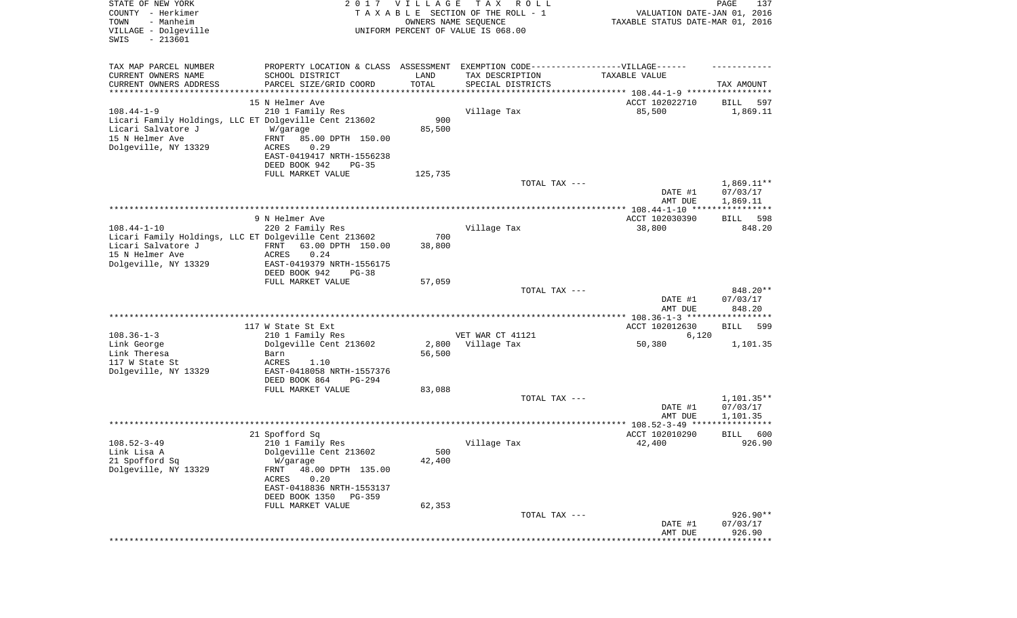| TAX MAP PARCEL NUMBER<br>PROPERTY LOCATION & CLASS ASSESSMENT EXEMPTION CODE----------------VILLAGE------<br>CURRENT OWNERS NAME<br>SCHOOL DISTRICT<br>TAX DESCRIPTION<br>LAND<br>TAXABLE VALUE<br>TOTAL<br>CURRENT OWNERS ADDRESS<br>PARCEL SIZE/GRID COORD<br>SPECIAL DISTRICTS<br>TAX AMOUNT<br>**********************<br>********************************** 108.44-1-9 *****************<br>15 N Helmer Ave<br>ACCT 102022710<br>597<br>BILL<br>$108.44 - 1 - 9$<br>210 1 Family Res<br>Village Tax<br>85,500<br>1,869.11<br>900<br>Licari Family Holdings, LLC ET Dolgeville Cent 213602<br>Licari Salvatore J<br>85,500<br>W/garage<br>15 N Helmer Ave<br>FRNT<br>85.00 DPTH 150.00<br>Dolgeville, NY 13329<br>0.29<br>ACRES<br>EAST-0419417 NRTH-1556238<br>DEED BOOK 942<br>$PG-35$<br>FULL MARKET VALUE<br>125,735<br>TOTAL TAX ---<br>$1,869.11**$<br>07/03/17<br>DATE #1<br>AMT DUE<br>1,869.11<br>9 N Helmer Ave<br>ACCT 102030390<br>BILL<br>598<br>$108.44 - 1 - 10$<br>220 2 Family Res<br>Village Tax<br>38,800<br>848.20<br>Licari Family Holdings, LLC ET Dolgeville Cent 213602<br>700<br>Licari Salvatore J<br>FRNT<br>63.00 DPTH 150.00<br>38,800<br>15 N Helmer Ave<br>ACRES<br>0.24<br>Dolgeville, NY 13329<br>EAST-0419379 NRTH-1556175<br>DEED BOOK 942<br>$PG-38$<br>FULL MARKET VALUE<br>57,059<br>848.20**<br>TOTAL TAX ---<br>07/03/17<br>DATE #1<br>848.20<br>AMT DUE<br>************* 108.36-1-3 ******************<br>117 W State St Ext<br>ACCT 102012630<br><b>BILL</b><br>599<br>$108.36 - 1 - 3$<br>VET WAR CT 41121<br>210 1 Family Res<br>6,120<br>Link George<br>Dolgeville Cent 213602<br>2,800<br>Village Tax<br>50,380<br>1,101.35<br>56,500<br>Link Theresa<br>Barn<br>117 W State St<br><b>ACRES</b><br>1.10<br>Dolgeville, NY 13329<br>EAST-0418058 NRTH-1557376<br>DEED BOOK 864<br>PG-294<br>FULL MARKET VALUE<br>83,088<br>TOTAL TAX ---<br>$1,101.35**$<br>07/03/17<br>DATE #1<br>AMT DUE<br>1,101.35<br>21 Spofford Sq<br>ACCT 102010290<br>600<br>BILL<br>$108.52 - 3 - 49$<br>Village Tax<br>42,400<br>926.90<br>210 1 Family Res<br>500<br>Dolgeville Cent 213602<br>Link Lisa A<br>21 Spofford Sq<br>42,400<br>W/garage<br>Dolgeville, NY 13329<br>48.00 DPTH 135.00<br>FRNT<br>ACRES<br>0.20<br>EAST-0418836 NRTH-1553137<br>DEED BOOK 1350<br>PG-359<br>FULL MARKET VALUE<br>62,353<br>926.90**<br>TOTAL TAX ---<br>07/03/17<br>DATE #1<br>AMT DUE<br>926.90<br>************** | STATE OF NEW YORK<br>COUNTY - Herkimer<br>TOWN<br>- Manheim<br>VILLAGE - Dolgeville<br>SWIS<br>$-213601$ | 2017 | <b>VILLAGE</b><br>OWNERS NAME SEQUENCE | T A X<br>R O L L<br>TAXABLE SECTION OF THE ROLL - 1<br>UNIFORM PERCENT OF VALUE IS 068.00 | VALUATION DATE-JAN 01, 2016<br>TAXABLE STATUS DATE-MAR 01, 2016 | PAGE<br>137 |
|----------------------------------------------------------------------------------------------------------------------------------------------------------------------------------------------------------------------------------------------------------------------------------------------------------------------------------------------------------------------------------------------------------------------------------------------------------------------------------------------------------------------------------------------------------------------------------------------------------------------------------------------------------------------------------------------------------------------------------------------------------------------------------------------------------------------------------------------------------------------------------------------------------------------------------------------------------------------------------------------------------------------------------------------------------------------------------------------------------------------------------------------------------------------------------------------------------------------------------------------------------------------------------------------------------------------------------------------------------------------------------------------------------------------------------------------------------------------------------------------------------------------------------------------------------------------------------------------------------------------------------------------------------------------------------------------------------------------------------------------------------------------------------------------------------------------------------------------------------------------------------------------------------------------------------------------------------------------------------------------------------------------------------------------------------------------------------------------------------------------------------------------------------------------------------------------------------------------------------------------------------------------------------------------------------------------------------------------------------------------------------------------------------------------------------------|----------------------------------------------------------------------------------------------------------|------|----------------------------------------|-------------------------------------------------------------------------------------------|-----------------------------------------------------------------|-------------|
|                                                                                                                                                                                                                                                                                                                                                                                                                                                                                                                                                                                                                                                                                                                                                                                                                                                                                                                                                                                                                                                                                                                                                                                                                                                                                                                                                                                                                                                                                                                                                                                                                                                                                                                                                                                                                                                                                                                                                                                                                                                                                                                                                                                                                                                                                                                                                                                                                                        |                                                                                                          |      |                                        |                                                                                           |                                                                 |             |
|                                                                                                                                                                                                                                                                                                                                                                                                                                                                                                                                                                                                                                                                                                                                                                                                                                                                                                                                                                                                                                                                                                                                                                                                                                                                                                                                                                                                                                                                                                                                                                                                                                                                                                                                                                                                                                                                                                                                                                                                                                                                                                                                                                                                                                                                                                                                                                                                                                        |                                                                                                          |      |                                        |                                                                                           |                                                                 |             |
|                                                                                                                                                                                                                                                                                                                                                                                                                                                                                                                                                                                                                                                                                                                                                                                                                                                                                                                                                                                                                                                                                                                                                                                                                                                                                                                                                                                                                                                                                                                                                                                                                                                                                                                                                                                                                                                                                                                                                                                                                                                                                                                                                                                                                                                                                                                                                                                                                                        |                                                                                                          |      |                                        |                                                                                           |                                                                 |             |
|                                                                                                                                                                                                                                                                                                                                                                                                                                                                                                                                                                                                                                                                                                                                                                                                                                                                                                                                                                                                                                                                                                                                                                                                                                                                                                                                                                                                                                                                                                                                                                                                                                                                                                                                                                                                                                                                                                                                                                                                                                                                                                                                                                                                                                                                                                                                                                                                                                        |                                                                                                          |      |                                        |                                                                                           |                                                                 |             |
|                                                                                                                                                                                                                                                                                                                                                                                                                                                                                                                                                                                                                                                                                                                                                                                                                                                                                                                                                                                                                                                                                                                                                                                                                                                                                                                                                                                                                                                                                                                                                                                                                                                                                                                                                                                                                                                                                                                                                                                                                                                                                                                                                                                                                                                                                                                                                                                                                                        |                                                                                                          |      |                                        |                                                                                           |                                                                 |             |
|                                                                                                                                                                                                                                                                                                                                                                                                                                                                                                                                                                                                                                                                                                                                                                                                                                                                                                                                                                                                                                                                                                                                                                                                                                                                                                                                                                                                                                                                                                                                                                                                                                                                                                                                                                                                                                                                                                                                                                                                                                                                                                                                                                                                                                                                                                                                                                                                                                        |                                                                                                          |      |                                        |                                                                                           |                                                                 |             |
|                                                                                                                                                                                                                                                                                                                                                                                                                                                                                                                                                                                                                                                                                                                                                                                                                                                                                                                                                                                                                                                                                                                                                                                                                                                                                                                                                                                                                                                                                                                                                                                                                                                                                                                                                                                                                                                                                                                                                                                                                                                                                                                                                                                                                                                                                                                                                                                                                                        |                                                                                                          |      |                                        |                                                                                           |                                                                 |             |
|                                                                                                                                                                                                                                                                                                                                                                                                                                                                                                                                                                                                                                                                                                                                                                                                                                                                                                                                                                                                                                                                                                                                                                                                                                                                                                                                                                                                                                                                                                                                                                                                                                                                                                                                                                                                                                                                                                                                                                                                                                                                                                                                                                                                                                                                                                                                                                                                                                        |                                                                                                          |      |                                        |                                                                                           |                                                                 |             |
|                                                                                                                                                                                                                                                                                                                                                                                                                                                                                                                                                                                                                                                                                                                                                                                                                                                                                                                                                                                                                                                                                                                                                                                                                                                                                                                                                                                                                                                                                                                                                                                                                                                                                                                                                                                                                                                                                                                                                                                                                                                                                                                                                                                                                                                                                                                                                                                                                                        |                                                                                                          |      |                                        |                                                                                           |                                                                 |             |
|                                                                                                                                                                                                                                                                                                                                                                                                                                                                                                                                                                                                                                                                                                                                                                                                                                                                                                                                                                                                                                                                                                                                                                                                                                                                                                                                                                                                                                                                                                                                                                                                                                                                                                                                                                                                                                                                                                                                                                                                                                                                                                                                                                                                                                                                                                                                                                                                                                        |                                                                                                          |      |                                        |                                                                                           |                                                                 |             |
|                                                                                                                                                                                                                                                                                                                                                                                                                                                                                                                                                                                                                                                                                                                                                                                                                                                                                                                                                                                                                                                                                                                                                                                                                                                                                                                                                                                                                                                                                                                                                                                                                                                                                                                                                                                                                                                                                                                                                                                                                                                                                                                                                                                                                                                                                                                                                                                                                                        |                                                                                                          |      |                                        |                                                                                           |                                                                 |             |
|                                                                                                                                                                                                                                                                                                                                                                                                                                                                                                                                                                                                                                                                                                                                                                                                                                                                                                                                                                                                                                                                                                                                                                                                                                                                                                                                                                                                                                                                                                                                                                                                                                                                                                                                                                                                                                                                                                                                                                                                                                                                                                                                                                                                                                                                                                                                                                                                                                        |                                                                                                          |      |                                        |                                                                                           |                                                                 |             |
|                                                                                                                                                                                                                                                                                                                                                                                                                                                                                                                                                                                                                                                                                                                                                                                                                                                                                                                                                                                                                                                                                                                                                                                                                                                                                                                                                                                                                                                                                                                                                                                                                                                                                                                                                                                                                                                                                                                                                                                                                                                                                                                                                                                                                                                                                                                                                                                                                                        |                                                                                                          |      |                                        |                                                                                           |                                                                 |             |
|                                                                                                                                                                                                                                                                                                                                                                                                                                                                                                                                                                                                                                                                                                                                                                                                                                                                                                                                                                                                                                                                                                                                                                                                                                                                                                                                                                                                                                                                                                                                                                                                                                                                                                                                                                                                                                                                                                                                                                                                                                                                                                                                                                                                                                                                                                                                                                                                                                        |                                                                                                          |      |                                        |                                                                                           |                                                                 |             |
|                                                                                                                                                                                                                                                                                                                                                                                                                                                                                                                                                                                                                                                                                                                                                                                                                                                                                                                                                                                                                                                                                                                                                                                                                                                                                                                                                                                                                                                                                                                                                                                                                                                                                                                                                                                                                                                                                                                                                                                                                                                                                                                                                                                                                                                                                                                                                                                                                                        |                                                                                                          |      |                                        |                                                                                           |                                                                 |             |
|                                                                                                                                                                                                                                                                                                                                                                                                                                                                                                                                                                                                                                                                                                                                                                                                                                                                                                                                                                                                                                                                                                                                                                                                                                                                                                                                                                                                                                                                                                                                                                                                                                                                                                                                                                                                                                                                                                                                                                                                                                                                                                                                                                                                                                                                                                                                                                                                                                        |                                                                                                          |      |                                        |                                                                                           |                                                                 |             |
|                                                                                                                                                                                                                                                                                                                                                                                                                                                                                                                                                                                                                                                                                                                                                                                                                                                                                                                                                                                                                                                                                                                                                                                                                                                                                                                                                                                                                                                                                                                                                                                                                                                                                                                                                                                                                                                                                                                                                                                                                                                                                                                                                                                                                                                                                                                                                                                                                                        |                                                                                                          |      |                                        |                                                                                           |                                                                 |             |
|                                                                                                                                                                                                                                                                                                                                                                                                                                                                                                                                                                                                                                                                                                                                                                                                                                                                                                                                                                                                                                                                                                                                                                                                                                                                                                                                                                                                                                                                                                                                                                                                                                                                                                                                                                                                                                                                                                                                                                                                                                                                                                                                                                                                                                                                                                                                                                                                                                        |                                                                                                          |      |                                        |                                                                                           |                                                                 |             |
|                                                                                                                                                                                                                                                                                                                                                                                                                                                                                                                                                                                                                                                                                                                                                                                                                                                                                                                                                                                                                                                                                                                                                                                                                                                                                                                                                                                                                                                                                                                                                                                                                                                                                                                                                                                                                                                                                                                                                                                                                                                                                                                                                                                                                                                                                                                                                                                                                                        |                                                                                                          |      |                                        |                                                                                           |                                                                 |             |
|                                                                                                                                                                                                                                                                                                                                                                                                                                                                                                                                                                                                                                                                                                                                                                                                                                                                                                                                                                                                                                                                                                                                                                                                                                                                                                                                                                                                                                                                                                                                                                                                                                                                                                                                                                                                                                                                                                                                                                                                                                                                                                                                                                                                                                                                                                                                                                                                                                        |                                                                                                          |      |                                        |                                                                                           |                                                                 |             |
|                                                                                                                                                                                                                                                                                                                                                                                                                                                                                                                                                                                                                                                                                                                                                                                                                                                                                                                                                                                                                                                                                                                                                                                                                                                                                                                                                                                                                                                                                                                                                                                                                                                                                                                                                                                                                                                                                                                                                                                                                                                                                                                                                                                                                                                                                                                                                                                                                                        |                                                                                                          |      |                                        |                                                                                           |                                                                 |             |
|                                                                                                                                                                                                                                                                                                                                                                                                                                                                                                                                                                                                                                                                                                                                                                                                                                                                                                                                                                                                                                                                                                                                                                                                                                                                                                                                                                                                                                                                                                                                                                                                                                                                                                                                                                                                                                                                                                                                                                                                                                                                                                                                                                                                                                                                                                                                                                                                                                        |                                                                                                          |      |                                        |                                                                                           |                                                                 |             |
|                                                                                                                                                                                                                                                                                                                                                                                                                                                                                                                                                                                                                                                                                                                                                                                                                                                                                                                                                                                                                                                                                                                                                                                                                                                                                                                                                                                                                                                                                                                                                                                                                                                                                                                                                                                                                                                                                                                                                                                                                                                                                                                                                                                                                                                                                                                                                                                                                                        |                                                                                                          |      |                                        |                                                                                           |                                                                 |             |
|                                                                                                                                                                                                                                                                                                                                                                                                                                                                                                                                                                                                                                                                                                                                                                                                                                                                                                                                                                                                                                                                                                                                                                                                                                                                                                                                                                                                                                                                                                                                                                                                                                                                                                                                                                                                                                                                                                                                                                                                                                                                                                                                                                                                                                                                                                                                                                                                                                        |                                                                                                          |      |                                        |                                                                                           |                                                                 |             |
|                                                                                                                                                                                                                                                                                                                                                                                                                                                                                                                                                                                                                                                                                                                                                                                                                                                                                                                                                                                                                                                                                                                                                                                                                                                                                                                                                                                                                                                                                                                                                                                                                                                                                                                                                                                                                                                                                                                                                                                                                                                                                                                                                                                                                                                                                                                                                                                                                                        |                                                                                                          |      |                                        |                                                                                           |                                                                 |             |
|                                                                                                                                                                                                                                                                                                                                                                                                                                                                                                                                                                                                                                                                                                                                                                                                                                                                                                                                                                                                                                                                                                                                                                                                                                                                                                                                                                                                                                                                                                                                                                                                                                                                                                                                                                                                                                                                                                                                                                                                                                                                                                                                                                                                                                                                                                                                                                                                                                        |                                                                                                          |      |                                        |                                                                                           |                                                                 |             |
|                                                                                                                                                                                                                                                                                                                                                                                                                                                                                                                                                                                                                                                                                                                                                                                                                                                                                                                                                                                                                                                                                                                                                                                                                                                                                                                                                                                                                                                                                                                                                                                                                                                                                                                                                                                                                                                                                                                                                                                                                                                                                                                                                                                                                                                                                                                                                                                                                                        |                                                                                                          |      |                                        |                                                                                           |                                                                 |             |
|                                                                                                                                                                                                                                                                                                                                                                                                                                                                                                                                                                                                                                                                                                                                                                                                                                                                                                                                                                                                                                                                                                                                                                                                                                                                                                                                                                                                                                                                                                                                                                                                                                                                                                                                                                                                                                                                                                                                                                                                                                                                                                                                                                                                                                                                                                                                                                                                                                        |                                                                                                          |      |                                        |                                                                                           |                                                                 |             |
|                                                                                                                                                                                                                                                                                                                                                                                                                                                                                                                                                                                                                                                                                                                                                                                                                                                                                                                                                                                                                                                                                                                                                                                                                                                                                                                                                                                                                                                                                                                                                                                                                                                                                                                                                                                                                                                                                                                                                                                                                                                                                                                                                                                                                                                                                                                                                                                                                                        |                                                                                                          |      |                                        |                                                                                           |                                                                 |             |
|                                                                                                                                                                                                                                                                                                                                                                                                                                                                                                                                                                                                                                                                                                                                                                                                                                                                                                                                                                                                                                                                                                                                                                                                                                                                                                                                                                                                                                                                                                                                                                                                                                                                                                                                                                                                                                                                                                                                                                                                                                                                                                                                                                                                                                                                                                                                                                                                                                        |                                                                                                          |      |                                        |                                                                                           |                                                                 |             |
|                                                                                                                                                                                                                                                                                                                                                                                                                                                                                                                                                                                                                                                                                                                                                                                                                                                                                                                                                                                                                                                                                                                                                                                                                                                                                                                                                                                                                                                                                                                                                                                                                                                                                                                                                                                                                                                                                                                                                                                                                                                                                                                                                                                                                                                                                                                                                                                                                                        |                                                                                                          |      |                                        |                                                                                           |                                                                 |             |
|                                                                                                                                                                                                                                                                                                                                                                                                                                                                                                                                                                                                                                                                                                                                                                                                                                                                                                                                                                                                                                                                                                                                                                                                                                                                                                                                                                                                                                                                                                                                                                                                                                                                                                                                                                                                                                                                                                                                                                                                                                                                                                                                                                                                                                                                                                                                                                                                                                        |                                                                                                          |      |                                        |                                                                                           |                                                                 |             |
|                                                                                                                                                                                                                                                                                                                                                                                                                                                                                                                                                                                                                                                                                                                                                                                                                                                                                                                                                                                                                                                                                                                                                                                                                                                                                                                                                                                                                                                                                                                                                                                                                                                                                                                                                                                                                                                                                                                                                                                                                                                                                                                                                                                                                                                                                                                                                                                                                                        |                                                                                                          |      |                                        |                                                                                           |                                                                 |             |
|                                                                                                                                                                                                                                                                                                                                                                                                                                                                                                                                                                                                                                                                                                                                                                                                                                                                                                                                                                                                                                                                                                                                                                                                                                                                                                                                                                                                                                                                                                                                                                                                                                                                                                                                                                                                                                                                                                                                                                                                                                                                                                                                                                                                                                                                                                                                                                                                                                        |                                                                                                          |      |                                        |                                                                                           |                                                                 |             |
|                                                                                                                                                                                                                                                                                                                                                                                                                                                                                                                                                                                                                                                                                                                                                                                                                                                                                                                                                                                                                                                                                                                                                                                                                                                                                                                                                                                                                                                                                                                                                                                                                                                                                                                                                                                                                                                                                                                                                                                                                                                                                                                                                                                                                                                                                                                                                                                                                                        |                                                                                                          |      |                                        |                                                                                           |                                                                 |             |
|                                                                                                                                                                                                                                                                                                                                                                                                                                                                                                                                                                                                                                                                                                                                                                                                                                                                                                                                                                                                                                                                                                                                                                                                                                                                                                                                                                                                                                                                                                                                                                                                                                                                                                                                                                                                                                                                                                                                                                                                                                                                                                                                                                                                                                                                                                                                                                                                                                        |                                                                                                          |      |                                        |                                                                                           |                                                                 |             |
|                                                                                                                                                                                                                                                                                                                                                                                                                                                                                                                                                                                                                                                                                                                                                                                                                                                                                                                                                                                                                                                                                                                                                                                                                                                                                                                                                                                                                                                                                                                                                                                                                                                                                                                                                                                                                                                                                                                                                                                                                                                                                                                                                                                                                                                                                                                                                                                                                                        |                                                                                                          |      |                                        |                                                                                           |                                                                 |             |
|                                                                                                                                                                                                                                                                                                                                                                                                                                                                                                                                                                                                                                                                                                                                                                                                                                                                                                                                                                                                                                                                                                                                                                                                                                                                                                                                                                                                                                                                                                                                                                                                                                                                                                                                                                                                                                                                                                                                                                                                                                                                                                                                                                                                                                                                                                                                                                                                                                        |                                                                                                          |      |                                        |                                                                                           |                                                                 |             |
|                                                                                                                                                                                                                                                                                                                                                                                                                                                                                                                                                                                                                                                                                                                                                                                                                                                                                                                                                                                                                                                                                                                                                                                                                                                                                                                                                                                                                                                                                                                                                                                                                                                                                                                                                                                                                                                                                                                                                                                                                                                                                                                                                                                                                                                                                                                                                                                                                                        |                                                                                                          |      |                                        |                                                                                           |                                                                 |             |
|                                                                                                                                                                                                                                                                                                                                                                                                                                                                                                                                                                                                                                                                                                                                                                                                                                                                                                                                                                                                                                                                                                                                                                                                                                                                                                                                                                                                                                                                                                                                                                                                                                                                                                                                                                                                                                                                                                                                                                                                                                                                                                                                                                                                                                                                                                                                                                                                                                        |                                                                                                          |      |                                        |                                                                                           |                                                                 |             |
|                                                                                                                                                                                                                                                                                                                                                                                                                                                                                                                                                                                                                                                                                                                                                                                                                                                                                                                                                                                                                                                                                                                                                                                                                                                                                                                                                                                                                                                                                                                                                                                                                                                                                                                                                                                                                                                                                                                                                                                                                                                                                                                                                                                                                                                                                                                                                                                                                                        |                                                                                                          |      |                                        |                                                                                           |                                                                 |             |
|                                                                                                                                                                                                                                                                                                                                                                                                                                                                                                                                                                                                                                                                                                                                                                                                                                                                                                                                                                                                                                                                                                                                                                                                                                                                                                                                                                                                                                                                                                                                                                                                                                                                                                                                                                                                                                                                                                                                                                                                                                                                                                                                                                                                                                                                                                                                                                                                                                        |                                                                                                          |      |                                        |                                                                                           |                                                                 |             |
|                                                                                                                                                                                                                                                                                                                                                                                                                                                                                                                                                                                                                                                                                                                                                                                                                                                                                                                                                                                                                                                                                                                                                                                                                                                                                                                                                                                                                                                                                                                                                                                                                                                                                                                                                                                                                                                                                                                                                                                                                                                                                                                                                                                                                                                                                                                                                                                                                                        |                                                                                                          |      |                                        |                                                                                           |                                                                 |             |
|                                                                                                                                                                                                                                                                                                                                                                                                                                                                                                                                                                                                                                                                                                                                                                                                                                                                                                                                                                                                                                                                                                                                                                                                                                                                                                                                                                                                                                                                                                                                                                                                                                                                                                                                                                                                                                                                                                                                                                                                                                                                                                                                                                                                                                                                                                                                                                                                                                        |                                                                                                          |      |                                        |                                                                                           |                                                                 |             |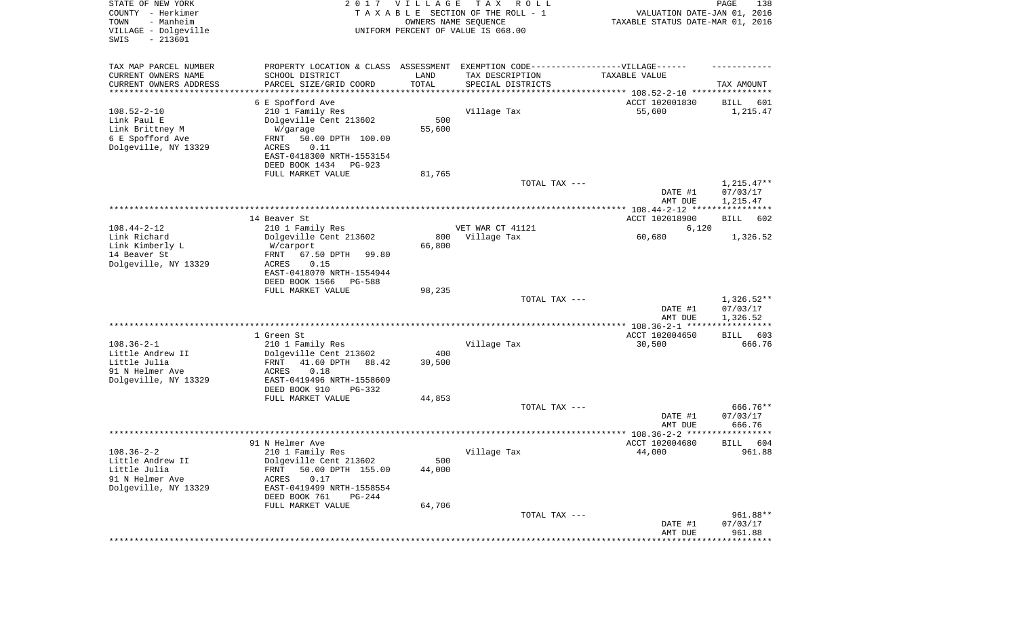| STATE OF NEW YORK<br>COUNTY - Herkimer<br>- Manheim<br>TOWN<br>VILLAGE - Dolgeville<br>$-213601$<br>SWIS |                                                                                   | 2017 VILLAGE<br>OWNERS NAME SEQUENCE | T A X<br>R O L L<br>TAXABLE SECTION OF THE ROLL - 1<br>UNIFORM PERCENT OF VALUE IS 068.00 | VALUATION DATE-JAN 01, 2016<br>TAXABLE STATUS DATE-MAR 01, 2016 | PAGE<br>138              |
|----------------------------------------------------------------------------------------------------------|-----------------------------------------------------------------------------------|--------------------------------------|-------------------------------------------------------------------------------------------|-----------------------------------------------------------------|--------------------------|
| TAX MAP PARCEL NUMBER                                                                                    | PROPERTY LOCATION & CLASS ASSESSMENT EXEMPTION CODE-----------------VILLAGE------ |                                      |                                                                                           |                                                                 |                          |
| CURRENT OWNERS NAME                                                                                      | SCHOOL DISTRICT                                                                   | LAND                                 | TAX DESCRIPTION                                                                           | TAXABLE VALUE                                                   |                          |
| CURRENT OWNERS ADDRESS<br>*********************                                                          | PARCEL SIZE/GRID COORD                                                            | TOTAL<br>***********                 | SPECIAL DISTRICTS                                                                         |                                                                 | TAX AMOUNT               |
|                                                                                                          | 6 E Spofford Ave                                                                  |                                      |                                                                                           | ACCT 102001830                                                  | 601<br>BILL              |
| $108.52 - 2 - 10$                                                                                        | 210 1 Family Res                                                                  |                                      | Village Tax                                                                               | 55,600                                                          | 1,215.47                 |
| Link Paul E                                                                                              | Dolgeville Cent 213602                                                            | 500                                  |                                                                                           |                                                                 |                          |
| Link Brittney M                                                                                          | W/garage                                                                          | 55,600                               |                                                                                           |                                                                 |                          |
| 6 E Spofford Ave<br>Dolgeville, NY 13329                                                                 | 50.00 DPTH 100.00<br>FRNT<br>0.11                                                 |                                      |                                                                                           |                                                                 |                          |
|                                                                                                          | ACRES<br>EAST-0418300 NRTH-1553154                                                |                                      |                                                                                           |                                                                 |                          |
|                                                                                                          | DEED BOOK 1434<br>PG-923                                                          |                                      |                                                                                           |                                                                 |                          |
|                                                                                                          | FULL MARKET VALUE                                                                 | 81,765                               |                                                                                           |                                                                 |                          |
|                                                                                                          |                                                                                   |                                      | TOTAL TAX ---                                                                             |                                                                 | $1,215.47**$             |
|                                                                                                          |                                                                                   |                                      |                                                                                           | DATE #1                                                         | 07/03/17                 |
|                                                                                                          |                                                                                   |                                      |                                                                                           | AMT DUE                                                         | 1,215.47                 |
|                                                                                                          | 14 Beaver St                                                                      |                                      |                                                                                           | ACCT 102018900                                                  | BILL<br>602              |
| $108.44 - 2 - 12$                                                                                        | 210 1 Family Res                                                                  |                                      | VET WAR CT 41121                                                                          | 6,120                                                           |                          |
| Link Richard                                                                                             | Dolgeville Cent 213602                                                            | 800                                  | Village Tax                                                                               | 60,680                                                          | 1,326.52                 |
| Link Kimberly L<br>14 Beaver St                                                                          | W/carport<br>67.50 DPTH                                                           | 66,800                               |                                                                                           |                                                                 |                          |
| Dolgeville, NY 13329                                                                                     | FRNT<br>99.80<br>ACRES<br>0.15                                                    |                                      |                                                                                           |                                                                 |                          |
|                                                                                                          | EAST-0418070 NRTH-1554944                                                         |                                      |                                                                                           |                                                                 |                          |
|                                                                                                          | DEED BOOK 1566<br><b>PG-588</b>                                                   |                                      |                                                                                           |                                                                 |                          |
|                                                                                                          | FULL MARKET VALUE                                                                 | 98,235                               |                                                                                           |                                                                 |                          |
|                                                                                                          |                                                                                   |                                      | TOTAL TAX ---                                                                             | DATE #1                                                         | $1,326.52**$<br>07/03/17 |
|                                                                                                          |                                                                                   |                                      |                                                                                           | AMT DUE                                                         | 1,326.52                 |
|                                                                                                          |                                                                                   |                                      |                                                                                           |                                                                 | ***********              |
|                                                                                                          | 1 Green St                                                                        |                                      |                                                                                           | ACCT 102004650                                                  | 603<br>BILL              |
| $108.36 - 2 - 1$<br>Little Andrew II                                                                     | 210 1 Family Res                                                                  | 400                                  | Village Tax                                                                               | 30,500                                                          | 666.76                   |
| Little Julia                                                                                             | Dolgeville Cent 213602<br>FRNT<br>41.60 DPTH<br>88.42                             | 30,500                               |                                                                                           |                                                                 |                          |
| 91 N Helmer Ave                                                                                          | ACRES<br>0.18                                                                     |                                      |                                                                                           |                                                                 |                          |
| Dolgeville, NY 13329                                                                                     | EAST-0419496 NRTH-1558609                                                         |                                      |                                                                                           |                                                                 |                          |
|                                                                                                          | DEED BOOK 910<br>PG-332                                                           |                                      |                                                                                           |                                                                 |                          |
|                                                                                                          | FULL MARKET VALUE                                                                 | 44,853                               | TOTAL TAX ---                                                                             |                                                                 | 666.76**                 |
|                                                                                                          |                                                                                   |                                      |                                                                                           | DATE #1                                                         | 07/03/17                 |
|                                                                                                          |                                                                                   |                                      |                                                                                           | AMT DUE                                                         | 666.76                   |
|                                                                                                          |                                                                                   |                                      |                                                                                           |                                                                 | * * * * *                |
|                                                                                                          | 91 N Helmer Ave                                                                   |                                      |                                                                                           | ACCT 102004680                                                  | 604<br>BILL              |
| $108.36 - 2 - 2$<br>Little Andrew II                                                                     | 210 1 Family Res<br>Dolgeville Cent 213602                                        | 500                                  | Village Tax                                                                               | 44,000                                                          | 961.88                   |
| Little Julia                                                                                             | 50.00 DPTH 155.00<br>FRNT                                                         | 44,000                               |                                                                                           |                                                                 |                          |
| 91 N Helmer Ave                                                                                          | 0.17<br>ACRES                                                                     |                                      |                                                                                           |                                                                 |                          |
| Dolgeville, NY 13329                                                                                     | EAST-0419499 NRTH-1558554                                                         |                                      |                                                                                           |                                                                 |                          |
|                                                                                                          | DEED BOOK 761<br>PG-244                                                           |                                      |                                                                                           |                                                                 |                          |
|                                                                                                          | FULL MARKET VALUE                                                                 | 64,706                               | TOTAL TAX ---                                                                             |                                                                 | 961.88**                 |
|                                                                                                          |                                                                                   |                                      |                                                                                           | DATE #1                                                         | 07/03/17                 |
|                                                                                                          |                                                                                   |                                      |                                                                                           | AMT DUE                                                         | 961.88                   |
|                                                                                                          |                                                                                   |                                      |                                                                                           |                                                                 | ***********              |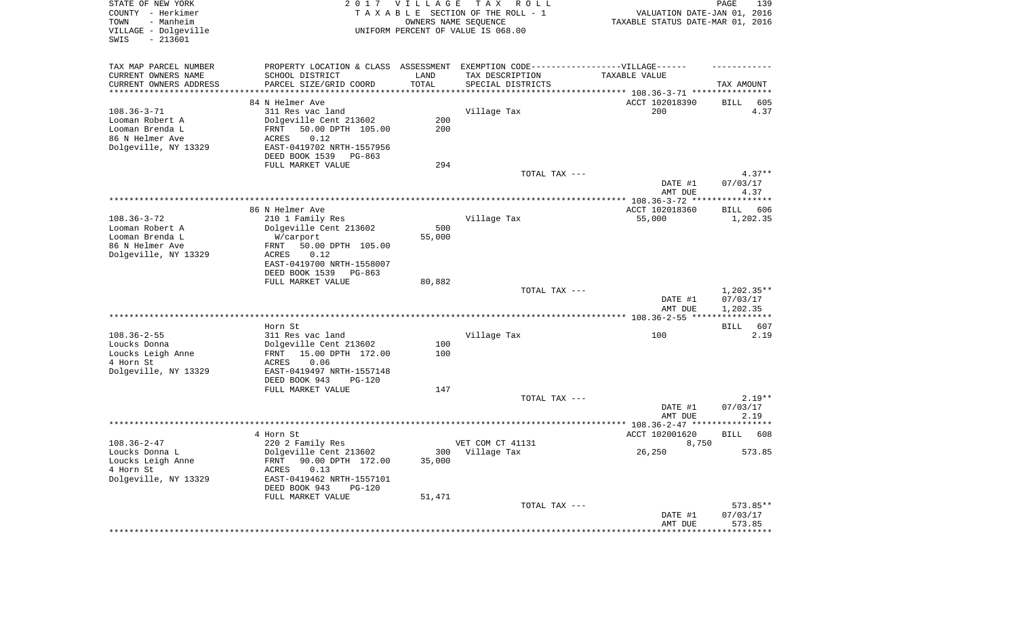| STATE OF NEW YORK<br>COUNTY - Herkimer<br>- Manheim<br>TOWN<br>VILLAGE - Dolgeville<br>SWIS<br>$-213601$ |                                                                                   | 2017 VILLAGE         | T A X<br>R O L L<br>TAXABLE SECTION OF THE ROLL - 1<br>OWNERS NAME SEQUENCE<br>UNIFORM PERCENT OF VALUE IS 068.00 | VALUATION DATE-JAN 01, 2016<br>TAXABLE STATUS DATE-MAR 01, 2016 | PAGE<br>139                          |
|----------------------------------------------------------------------------------------------------------|-----------------------------------------------------------------------------------|----------------------|-------------------------------------------------------------------------------------------------------------------|-----------------------------------------------------------------|--------------------------------------|
| TAX MAP PARCEL NUMBER                                                                                    | PROPERTY LOCATION & CLASS ASSESSMENT EXEMPTION CODE-----------------VILLAGE------ |                      |                                                                                                                   |                                                                 |                                      |
| CURRENT OWNERS NAME                                                                                      | SCHOOL DISTRICT                                                                   | LAND                 | TAX DESCRIPTION                                                                                                   | TAXABLE VALUE                                                   |                                      |
| CURRENT OWNERS ADDRESS<br>*********************                                                          | PARCEL SIZE/GRID COORD                                                            | TOTAL<br>*********** | SPECIAL DISTRICTS<br>************************************* 108.36-3-71 *****************                          |                                                                 | TAX AMOUNT                           |
|                                                                                                          | 84 N Helmer Ave                                                                   |                      |                                                                                                                   | ACCT 102018390                                                  | BILL<br>605                          |
| $108.36 - 3 - 71$                                                                                        | 311 Res vac land                                                                  |                      | Village Tax                                                                                                       | 200                                                             | 4.37                                 |
| Looman Robert A                                                                                          | Dolgeville Cent 213602                                                            | 200                  |                                                                                                                   |                                                                 |                                      |
| Looman Brenda L                                                                                          | 50.00 DPTH 105.00<br>FRNT                                                         | 200                  |                                                                                                                   |                                                                 |                                      |
| 86 N Helmer Ave<br>Dolgeville, NY 13329                                                                  | 0.12<br>ACRES<br>EAST-0419702 NRTH-1557956                                        |                      |                                                                                                                   |                                                                 |                                      |
|                                                                                                          | DEED BOOK 1539<br>PG-863                                                          |                      |                                                                                                                   |                                                                 |                                      |
|                                                                                                          | FULL MARKET VALUE                                                                 | 294                  |                                                                                                                   |                                                                 |                                      |
|                                                                                                          |                                                                                   |                      | TOTAL TAX ---                                                                                                     |                                                                 | $4.37**$                             |
|                                                                                                          |                                                                                   |                      |                                                                                                                   | DATE #1                                                         | 07/03/17                             |
|                                                                                                          |                                                                                   |                      |                                                                                                                   | AMT DUE                                                         | 4.37                                 |
|                                                                                                          | 86 N Helmer Ave                                                                   |                      |                                                                                                                   | ACCT 102018360                                                  | BILL<br>606                          |
| $108.36 - 3 - 72$                                                                                        | 210 1 Family Res                                                                  |                      | Village Tax                                                                                                       | 55,000                                                          | 1,202.35                             |
| Looman Robert A                                                                                          | Dolgeville Cent 213602                                                            | 500                  |                                                                                                                   |                                                                 |                                      |
| Looman Brenda L<br>86 N Helmer Ave                                                                       | W/carport<br>50.00 DPTH 105.00<br>FRNT                                            | 55,000               |                                                                                                                   |                                                                 |                                      |
| Dolgeville, NY 13329                                                                                     | <b>ACRES</b><br>0.12                                                              |                      |                                                                                                                   |                                                                 |                                      |
|                                                                                                          | EAST-0419700 NRTH-1558007                                                         |                      |                                                                                                                   |                                                                 |                                      |
|                                                                                                          | DEED BOOK 1539<br>$PG-863$                                                        |                      |                                                                                                                   |                                                                 |                                      |
|                                                                                                          | FULL MARKET VALUE                                                                 | 80,882               |                                                                                                                   |                                                                 |                                      |
|                                                                                                          |                                                                                   |                      | TOTAL TAX ---                                                                                                     | DATE #1<br>AMT DUE                                              | $1,202.35**$<br>07/03/17<br>1,202.35 |
|                                                                                                          |                                                                                   |                      |                                                                                                                   |                                                                 | ***********                          |
|                                                                                                          | Horn St                                                                           |                      |                                                                                                                   |                                                                 | BILL<br>607                          |
| $108.36 - 2 - 55$<br>Loucks Donna                                                                        | 311 Res vac land<br>Dolgeville Cent 213602                                        | 100                  | Village Tax                                                                                                       | 100                                                             | 2.19                                 |
| Loucks Leigh Anne                                                                                        | 15.00 DPTH 172.00<br>FRNT                                                         | 100                  |                                                                                                                   |                                                                 |                                      |
| 4 Horn St                                                                                                | ACRES<br>0.06                                                                     |                      |                                                                                                                   |                                                                 |                                      |
| Dolgeville, NY 13329                                                                                     | EAST-0419497 NRTH-1557148                                                         |                      |                                                                                                                   |                                                                 |                                      |
|                                                                                                          | DEED BOOK 943<br><b>PG-120</b>                                                    |                      |                                                                                                                   |                                                                 |                                      |
|                                                                                                          | FULL MARKET VALUE                                                                 | 147                  | TOTAL TAX ---                                                                                                     |                                                                 | $2.19**$                             |
|                                                                                                          |                                                                                   |                      |                                                                                                                   | DATE #1                                                         | 07/03/17                             |
|                                                                                                          |                                                                                   |                      |                                                                                                                   | AMT DUE                                                         | 2.19                                 |
|                                                                                                          |                                                                                   |                      |                                                                                                                   |                                                                 |                                      |
| $108.36 - 2 - 47$                                                                                        | 4 Horn St                                                                         |                      | VET COM CT 41131                                                                                                  | ACCT 102001620<br>8,750                                         | 608<br>BILL                          |
| Loucks Donna L                                                                                           | 220 2 Family Res<br>Dolgeville Cent 213602                                        |                      | 300 Village Tax                                                                                                   | 26,250                                                          | 573.85                               |
| Loucks Leigh Anne                                                                                        | FRNT 90.00 DPTH 172.00                                                            | 35,000               |                                                                                                                   |                                                                 |                                      |
| 4 Horn St<br>Dolgeville, NY 13329                                                                        | ACRES<br>0.13<br>EAST-0419462 NRTH-1557101                                        |                      |                                                                                                                   |                                                                 |                                      |
|                                                                                                          | DEED BOOK 943<br>PG-120                                                           |                      |                                                                                                                   |                                                                 |                                      |
|                                                                                                          | FULL MARKET VALUE                                                                 | 51,471               | TOTAL TAX ---                                                                                                     |                                                                 | 573.85**                             |
|                                                                                                          |                                                                                   |                      |                                                                                                                   | DATE #1                                                         | 07/03/17                             |
|                                                                                                          |                                                                                   |                      |                                                                                                                   | AMT DUE                                                         | 573.85                               |
|                                                                                                          |                                                                                   |                      |                                                                                                                   |                                                                 |                                      |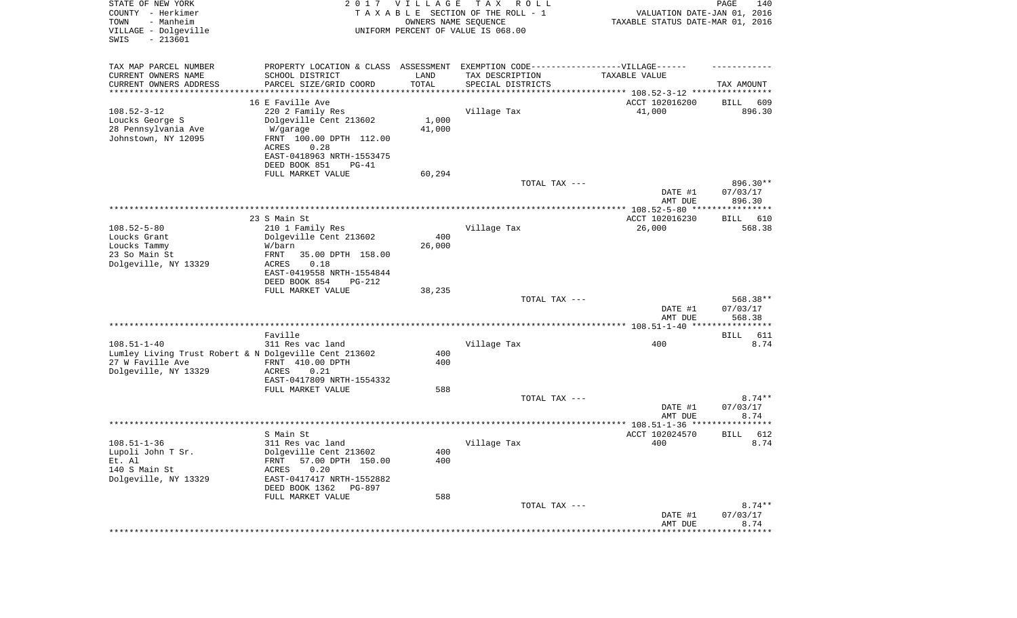| STATE OF NEW YORK<br>COUNTY - Herkimer<br>- Manheim<br>TOWN<br>VILLAGE - Dolgeville<br>SWIS<br>$-213601$ | 2017                                       | <b>VILLAGE</b><br>OWNERS NAME SEQUENCE | T A X<br>R O L L<br>TAXABLE SECTION OF THE ROLL - 1<br>UNIFORM PERCENT OF VALUE IS 068.00 | VALUATION DATE-JAN 01, 2016<br>TAXABLE STATUS DATE-MAR 01, 2016 | PAGE<br>140                |
|----------------------------------------------------------------------------------------------------------|--------------------------------------------|----------------------------------------|-------------------------------------------------------------------------------------------|-----------------------------------------------------------------|----------------------------|
| TAX MAP PARCEL NUMBER                                                                                    | PROPERTY LOCATION & CLASS ASSESSMENT       |                                        | EXEMPTION CODE-----------------VILLAGE------                                              |                                                                 |                            |
| CURRENT OWNERS NAME<br>CURRENT OWNERS ADDRESS                                                            | SCHOOL DISTRICT<br>PARCEL SIZE/GRID COORD  | LAND<br>TOTAL                          | TAX DESCRIPTION<br>SPECIAL DISTRICTS                                                      | TAXABLE VALUE                                                   | TAX AMOUNT                 |
| *********************                                                                                    |                                            |                                        | ********************************* 108.52-3-12 ****************                            |                                                                 |                            |
|                                                                                                          | 16 E Faville Ave                           |                                        |                                                                                           | ACCT 102016200                                                  | 609<br>BILL                |
| $108.52 - 3 - 12$                                                                                        | 220 2 Family Res                           |                                        | Village Tax                                                                               | 41,000                                                          | 896.30                     |
| Loucks George S                                                                                          | Dolgeville Cent 213602                     | 1,000                                  |                                                                                           |                                                                 |                            |
| 28 Pennsylvania Ave                                                                                      | W/garage                                   | 41,000                                 |                                                                                           |                                                                 |                            |
| Johnstown, NY 12095                                                                                      | FRNT 100.00 DPTH 112.00                    |                                        |                                                                                           |                                                                 |                            |
|                                                                                                          | ACRES<br>0.28<br>EAST-0418963 NRTH-1553475 |                                        |                                                                                           |                                                                 |                            |
|                                                                                                          | DEED BOOK 851<br>$PG-41$                   |                                        |                                                                                           |                                                                 |                            |
|                                                                                                          | FULL MARKET VALUE                          | 60,294                                 |                                                                                           |                                                                 |                            |
|                                                                                                          |                                            |                                        | TOTAL TAX ---                                                                             |                                                                 | 896.30**                   |
|                                                                                                          |                                            |                                        |                                                                                           | DATE #1<br>AMT DUE                                              | 07/03/17<br>896.30         |
|                                                                                                          |                                            |                                        |                                                                                           |                                                                 |                            |
|                                                                                                          | 23 S Main St                               |                                        |                                                                                           | ACCT 102016230                                                  | BILL 610                   |
| $108.52 - 5 - 80$<br>Loucks Grant                                                                        | 210 1 Family Res<br>Dolgeville Cent 213602 | 400                                    | Village Tax                                                                               | 26,000                                                          | 568.38                     |
| Loucks Tammy                                                                                             | W/barn                                     | 26,000                                 |                                                                                           |                                                                 |                            |
| 23 So Main St                                                                                            | 35.00 DPTH 158.00<br>FRNT                  |                                        |                                                                                           |                                                                 |                            |
| Dolgeville, NY 13329                                                                                     | ACRES<br>0.18                              |                                        |                                                                                           |                                                                 |                            |
|                                                                                                          | EAST-0419558 NRTH-1554844                  |                                        |                                                                                           |                                                                 |                            |
|                                                                                                          | DEED BOOK 854<br>PG-212                    |                                        |                                                                                           |                                                                 |                            |
|                                                                                                          | FULL MARKET VALUE                          | 38,235                                 | TOTAL TAX ---                                                                             |                                                                 | 568.38**                   |
|                                                                                                          |                                            |                                        |                                                                                           | DATE #1<br>AMT DUE                                              | 07/03/17<br>568.38         |
|                                                                                                          |                                            |                                        |                                                                                           |                                                                 |                            |
|                                                                                                          | Faville                                    |                                        |                                                                                           |                                                                 | 611<br>BILL                |
| $108.51 - 1 - 40$                                                                                        | 311 Res vac land                           |                                        | Village Tax                                                                               | 400                                                             | 8.74                       |
| Lumley Living Trust Robert & N Dolgeville Cent 213602                                                    |                                            | 400                                    |                                                                                           |                                                                 |                            |
| 27 W Faville Ave                                                                                         | FRNT 410.00 DPTH                           | 400                                    |                                                                                           |                                                                 |                            |
| Dolgeville, NY 13329                                                                                     | ACRES<br>0.21<br>EAST-0417809 NRTH-1554332 |                                        |                                                                                           |                                                                 |                            |
|                                                                                                          | FULL MARKET VALUE                          | 588                                    |                                                                                           |                                                                 |                            |
|                                                                                                          |                                            |                                        | TOTAL TAX ---                                                                             |                                                                 | $8.74**$                   |
|                                                                                                          |                                            |                                        |                                                                                           | DATE #1                                                         | 07/03/17                   |
|                                                                                                          |                                            |                                        |                                                                                           | AMT DUE                                                         | 8.74                       |
|                                                                                                          |                                            |                                        |                                                                                           |                                                                 |                            |
| $108.51 - 1 - 36$                                                                                        | S Main St<br>311 Res vac land              |                                        |                                                                                           | ACCT 102024570<br>400                                           | 612<br><b>BILL</b><br>8.74 |
| Lupoli John T Sr.                                                                                        | Dolgeville Cent 213602                     | 400                                    | Village Tax                                                                               |                                                                 |                            |
| Et. Al                                                                                                   | FRNT 57.00 DPTH 150.00                     | 400                                    |                                                                                           |                                                                 |                            |
| 140 S Main St                                                                                            | 0.20<br>ACRES                              |                                        |                                                                                           |                                                                 |                            |
| Dolgeville, NY 13329                                                                                     | EAST-0417417 NRTH-1552882                  |                                        |                                                                                           |                                                                 |                            |
|                                                                                                          | DEED BOOK 1362 PG-897                      |                                        |                                                                                           |                                                                 |                            |
|                                                                                                          | FULL MARKET VALUE                          | 588                                    |                                                                                           |                                                                 |                            |
|                                                                                                          |                                            |                                        | TOTAL TAX ---                                                                             | DATE #1                                                         | $8.74**$<br>07/03/17       |
|                                                                                                          |                                            |                                        |                                                                                           | AMT DUE                                                         | 8.74                       |
|                                                                                                          |                                            |                                        |                                                                                           | ********************                                            | ************               |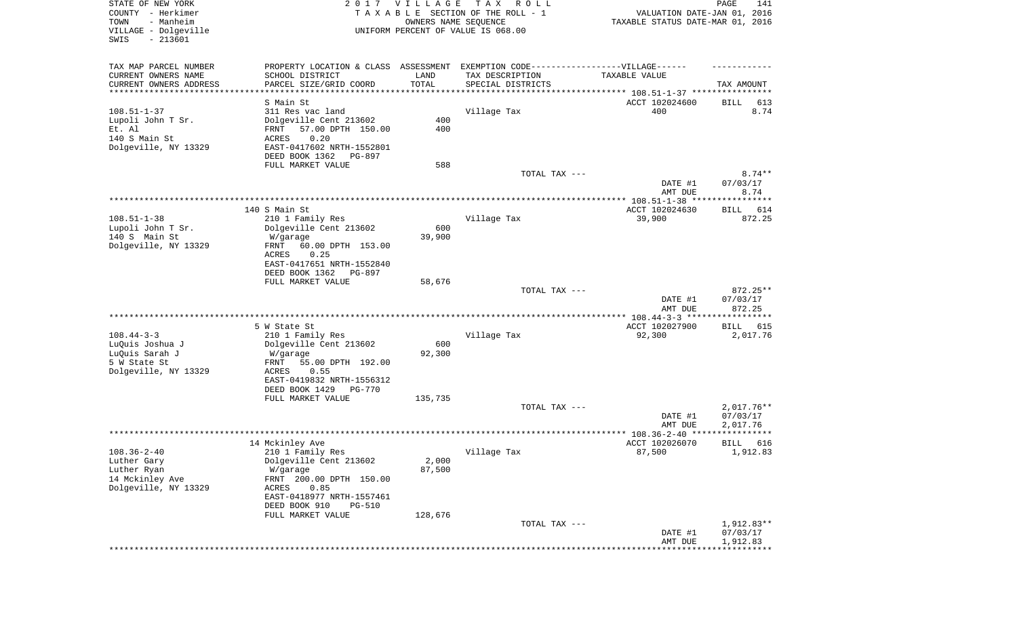| TAX MAP PARCEL NUMBER<br>PROPERTY LOCATION & CLASS ASSESSMENT EXEMPTION CODE----------------VILLAGE------<br>CURRENT OWNERS NAME<br>SCHOOL DISTRICT<br>LAND<br>TAX DESCRIPTION<br>TAXABLE VALUE<br>TOTAL<br>CURRENT OWNERS ADDRESS<br>PARCEL SIZE/GRID COORD<br>SPECIAL DISTRICTS<br>TAX AMOUNT<br>**********************<br>***********<br>S Main St<br>ACCT 102024600<br>BILL<br>613<br>$108.51 - 1 - 37$<br>311 Res vac land<br>Village Tax<br>400<br>8.74<br>Lupoli John T Sr.<br>Dolgeville Cent 213602<br>400<br>Et. Al<br>57.00 DPTH 150.00<br>400<br>FRNT<br>140 S Main St<br>0.20<br><b>ACRES</b><br>Dolgeville, NY 13329<br>EAST-0417602 NRTH-1552801<br>DEED BOOK 1362<br>PG-897<br>FULL MARKET VALUE<br>588<br>TOTAL TAX ---<br>$8.74**$<br>DATE #1<br>07/03/17<br>8.74<br>AMT DUE<br>140 S Main St<br>ACCT 102024630<br>614<br>BILL<br>$108.51 - 1 - 38$<br>210 1 Family Res<br>Village Tax<br>39,900<br>872.25<br>Lupoli John T Sr.<br>Dolgeville Cent 213602<br>600<br>140 S Main St<br>39,900<br>W/garage<br>Dolgeville, NY 13329<br>60.00 DPTH 153.00<br>FRNT<br>ACRES<br>0.25<br>EAST-0417651 NRTH-1552840<br>DEED BOOK 1362<br><b>PG-897</b><br>FULL MARKET VALUE<br>58,676<br>$872.25**$<br>TOTAL TAX ---<br>07/03/17<br>DATE #1<br>872.25<br>AMT DUE<br>************ 108.44-3-3 ******************<br>5 W State St<br>ACCT 102027900<br>BILL<br>615<br>$108.44 - 3 - 3$<br>210 1 Family Res<br>Village Tax<br>92,300<br>2,017.76<br>600<br>LuQuis Joshua J<br>Dolgeville Cent 213602<br>92,300<br>LuQuis Sarah J<br>W/garage<br>5 W State St<br>55.00 DPTH 192.00<br>FRNT<br>Dolgeville, NY 13329<br><b>ACRES</b><br>0.55<br>EAST-0419832 NRTH-1556312<br>DEED BOOK 1429<br><b>PG-770</b><br>FULL MARKET VALUE<br>135,735<br>$2,017.76**$<br>TOTAL TAX ---<br>DATE #1<br>07/03/17<br>AMT DUE<br>2,017.76<br>*****<br>14 Mckinley Ave<br>ACCT 102026070<br>616<br>BILL<br>87,500<br>1,912.83<br>$108.36 - 2 - 40$<br>210 1 Family Res<br>Village Tax<br>Dolgeville Cent 213602<br>Luther Gary<br>2,000<br>87,500<br>Luther Ryan<br>W/garage<br>14 Mckinley Ave<br>FRNT 200.00 DPTH 150.00<br>Dolgeville, NY 13329<br>0.85<br>ACRES<br>EAST-0418977 NRTH-1557461<br>DEED BOOK 910<br>PG-510<br>FULL MARKET VALUE<br>128,676<br>1,912.83**<br>TOTAL TAX ---<br>DATE #1<br>07/03/17<br>AMT DUE<br>1,912.83<br>***************** | STATE OF NEW YORK<br>COUNTY - Herkimer<br>- Manheim<br>TOWN<br>VILLAGE - Dolgeville<br>SWIS<br>$-213601$ | 2017 VILLAGE<br>OWNERS NAME SEQUENCE | T A X<br>R O L L<br>TAXABLE SECTION OF THE ROLL - 1<br>UNIFORM PERCENT OF VALUE IS 068.00 | VALUATION DATE-JAN 01, 2016<br>TAXABLE STATUS DATE-MAR 01, 2016 | PAGE<br>141 |
|--------------------------------------------------------------------------------------------------------------------------------------------------------------------------------------------------------------------------------------------------------------------------------------------------------------------------------------------------------------------------------------------------------------------------------------------------------------------------------------------------------------------------------------------------------------------------------------------------------------------------------------------------------------------------------------------------------------------------------------------------------------------------------------------------------------------------------------------------------------------------------------------------------------------------------------------------------------------------------------------------------------------------------------------------------------------------------------------------------------------------------------------------------------------------------------------------------------------------------------------------------------------------------------------------------------------------------------------------------------------------------------------------------------------------------------------------------------------------------------------------------------------------------------------------------------------------------------------------------------------------------------------------------------------------------------------------------------------------------------------------------------------------------------------------------------------------------------------------------------------------------------------------------------------------------------------------------------------------------------------------------------------------------------------------------------------------------------------------------------------------------------------------------------------------------------------------------------------------------------------------------------------------------------------------------------------------------------------------|----------------------------------------------------------------------------------------------------------|--------------------------------------|-------------------------------------------------------------------------------------------|-----------------------------------------------------------------|-------------|
|                                                                                                                                                                                                                                                                                                                                                                                                                                                                                                                                                                                                                                                                                                                                                                                                                                                                                                                                                                                                                                                                                                                                                                                                                                                                                                                                                                                                                                                                                                                                                                                                                                                                                                                                                                                                                                                                                                                                                                                                                                                                                                                                                                                                                                                                                                                                                  |                                                                                                          |                                      |                                                                                           |                                                                 |             |
|                                                                                                                                                                                                                                                                                                                                                                                                                                                                                                                                                                                                                                                                                                                                                                                                                                                                                                                                                                                                                                                                                                                                                                                                                                                                                                                                                                                                                                                                                                                                                                                                                                                                                                                                                                                                                                                                                                                                                                                                                                                                                                                                                                                                                                                                                                                                                  |                                                                                                          |                                      |                                                                                           |                                                                 |             |
|                                                                                                                                                                                                                                                                                                                                                                                                                                                                                                                                                                                                                                                                                                                                                                                                                                                                                                                                                                                                                                                                                                                                                                                                                                                                                                                                                                                                                                                                                                                                                                                                                                                                                                                                                                                                                                                                                                                                                                                                                                                                                                                                                                                                                                                                                                                                                  |                                                                                                          |                                      |                                                                                           |                                                                 |             |
|                                                                                                                                                                                                                                                                                                                                                                                                                                                                                                                                                                                                                                                                                                                                                                                                                                                                                                                                                                                                                                                                                                                                                                                                                                                                                                                                                                                                                                                                                                                                                                                                                                                                                                                                                                                                                                                                                                                                                                                                                                                                                                                                                                                                                                                                                                                                                  |                                                                                                          |                                      |                                                                                           |                                                                 |             |
|                                                                                                                                                                                                                                                                                                                                                                                                                                                                                                                                                                                                                                                                                                                                                                                                                                                                                                                                                                                                                                                                                                                                                                                                                                                                                                                                                                                                                                                                                                                                                                                                                                                                                                                                                                                                                                                                                                                                                                                                                                                                                                                                                                                                                                                                                                                                                  |                                                                                                          |                                      |                                                                                           |                                                                 |             |
|                                                                                                                                                                                                                                                                                                                                                                                                                                                                                                                                                                                                                                                                                                                                                                                                                                                                                                                                                                                                                                                                                                                                                                                                                                                                                                                                                                                                                                                                                                                                                                                                                                                                                                                                                                                                                                                                                                                                                                                                                                                                                                                                                                                                                                                                                                                                                  |                                                                                                          |                                      |                                                                                           |                                                                 |             |
|                                                                                                                                                                                                                                                                                                                                                                                                                                                                                                                                                                                                                                                                                                                                                                                                                                                                                                                                                                                                                                                                                                                                                                                                                                                                                                                                                                                                                                                                                                                                                                                                                                                                                                                                                                                                                                                                                                                                                                                                                                                                                                                                                                                                                                                                                                                                                  |                                                                                                          |                                      |                                                                                           |                                                                 |             |
|                                                                                                                                                                                                                                                                                                                                                                                                                                                                                                                                                                                                                                                                                                                                                                                                                                                                                                                                                                                                                                                                                                                                                                                                                                                                                                                                                                                                                                                                                                                                                                                                                                                                                                                                                                                                                                                                                                                                                                                                                                                                                                                                                                                                                                                                                                                                                  |                                                                                                          |                                      |                                                                                           |                                                                 |             |
|                                                                                                                                                                                                                                                                                                                                                                                                                                                                                                                                                                                                                                                                                                                                                                                                                                                                                                                                                                                                                                                                                                                                                                                                                                                                                                                                                                                                                                                                                                                                                                                                                                                                                                                                                                                                                                                                                                                                                                                                                                                                                                                                                                                                                                                                                                                                                  |                                                                                                          |                                      |                                                                                           |                                                                 |             |
|                                                                                                                                                                                                                                                                                                                                                                                                                                                                                                                                                                                                                                                                                                                                                                                                                                                                                                                                                                                                                                                                                                                                                                                                                                                                                                                                                                                                                                                                                                                                                                                                                                                                                                                                                                                                                                                                                                                                                                                                                                                                                                                                                                                                                                                                                                                                                  |                                                                                                          |                                      |                                                                                           |                                                                 |             |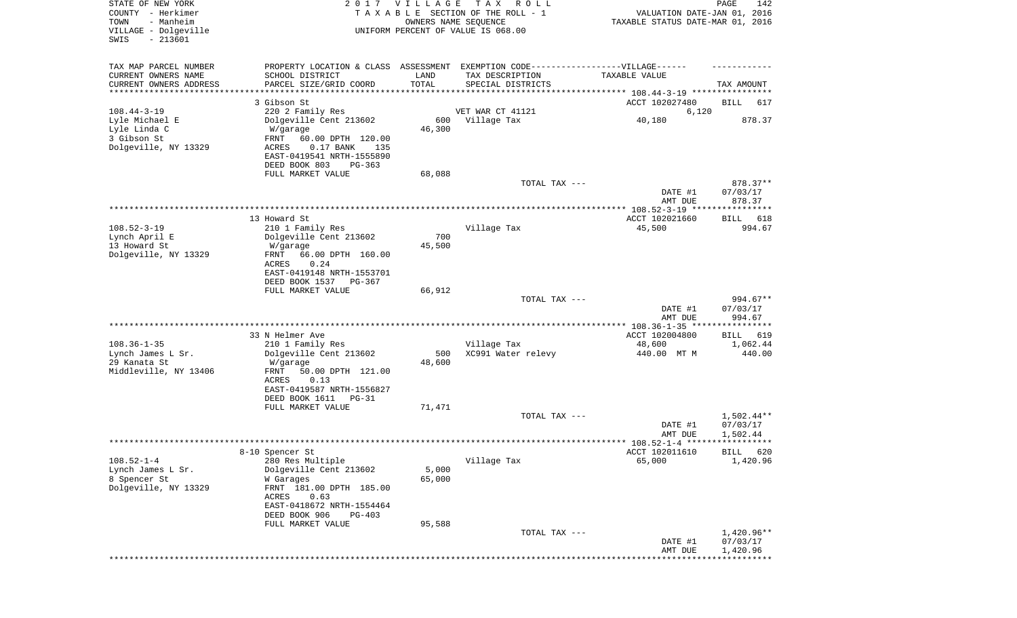| STATE OF NEW YORK<br>COUNTY - Herkimer<br>- Manheim<br>TOWN<br>VILLAGE - Dolgeville<br>$-213601$<br>SWIS |                                                          | 2017 VILLAGE<br>OWNERS NAME SEQUENCE | T A X<br>R O L L<br>TAXABLE SECTION OF THE ROLL - 1<br>UNIFORM PERCENT OF VALUE IS 068.00 | VALUATION DATE-JAN 01, 2016<br>TAXABLE STATUS DATE-MAR 01, 2016 | PAGE<br>142                    |
|----------------------------------------------------------------------------------------------------------|----------------------------------------------------------|--------------------------------------|-------------------------------------------------------------------------------------------|-----------------------------------------------------------------|--------------------------------|
| TAX MAP PARCEL NUMBER                                                                                    |                                                          |                                      | PROPERTY LOCATION & CLASS ASSESSMENT EXEMPTION CODE-----------------VILLAGE------         |                                                                 |                                |
| CURRENT OWNERS NAME                                                                                      | SCHOOL DISTRICT                                          | LAND                                 | TAX DESCRIPTION                                                                           | TAXABLE VALUE                                                   |                                |
| CURRENT OWNERS ADDRESS<br>********************                                                           | PARCEL SIZE/GRID COORD                                   | TOTAL                                | SPECIAL DISTRICTS                                                                         |                                                                 | TAX AMOUNT                     |
|                                                                                                          | 3 Gibson St                                              |                                      |                                                                                           | ACCT 102027480                                                  | BILL<br>617                    |
| $108.44 - 3 - 19$                                                                                        | 220 2 Family Res                                         |                                      | VET WAR CT 41121                                                                          | 6,120                                                           |                                |
| Lyle Michael E                                                                                           | Dolgeville Cent 213602                                   | 600                                  | Village Tax                                                                               | 40,180                                                          | 878.37                         |
| Lyle Linda C                                                                                             | W/garage                                                 | 46,300                               |                                                                                           |                                                                 |                                |
| 3 Gibson St<br>Dolgeville, NY 13329                                                                      | FRNT<br>60.00 DPTH 120.00<br>ACRES<br>$0.17$ BANK<br>135 |                                      |                                                                                           |                                                                 |                                |
|                                                                                                          | EAST-0419541 NRTH-1555890                                |                                      |                                                                                           |                                                                 |                                |
|                                                                                                          | DEED BOOK 803<br>PG-363                                  |                                      |                                                                                           |                                                                 |                                |
|                                                                                                          | FULL MARKET VALUE                                        | 68,088                               |                                                                                           |                                                                 |                                |
|                                                                                                          |                                                          |                                      | TOTAL TAX ---                                                                             | DATE #1<br>AMT DUE                                              | 878.37**<br>07/03/17<br>878.37 |
|                                                                                                          |                                                          |                                      |                                                                                           |                                                                 |                                |
|                                                                                                          | 13 Howard St                                             |                                      |                                                                                           | ACCT 102021660                                                  | BILL<br>618                    |
| $108.52 - 3 - 19$                                                                                        | 210 1 Family Res                                         |                                      | Village Tax                                                                               | 45,500                                                          | 994.67                         |
| Lynch April E                                                                                            | Dolgeville Cent 213602                                   | 700                                  |                                                                                           |                                                                 |                                |
| 13 Howard St<br>Dolgeville, NY 13329                                                                     | W/garage<br>FRNT<br>66.00 DPTH 160.00                    | 45,500                               |                                                                                           |                                                                 |                                |
|                                                                                                          | ACRES<br>0.24                                            |                                      |                                                                                           |                                                                 |                                |
|                                                                                                          | EAST-0419148 NRTH-1553701                                |                                      |                                                                                           |                                                                 |                                |
|                                                                                                          | DEED BOOK 1537<br>PG-367                                 |                                      |                                                                                           |                                                                 |                                |
|                                                                                                          | FULL MARKET VALUE                                        | 66,912                               | TOTAL TAX ---                                                                             |                                                                 | 994.67**                       |
|                                                                                                          |                                                          |                                      |                                                                                           | DATE #1                                                         | 07/03/17                       |
|                                                                                                          |                                                          |                                      |                                                                                           | AMT DUE                                                         | 994.67                         |
|                                                                                                          |                                                          |                                      |                                                                                           |                                                                 |                                |
| $108.36 - 1 - 35$                                                                                        | 33 N Helmer Ave                                          |                                      |                                                                                           | ACCT 102004800                                                  | 619<br>BILL                    |
| Lynch James L Sr.                                                                                        | 210 1 Family Res<br>Dolgeville Cent 213602               | 500                                  | Village Tax<br>XC991 Water relevy                                                         | 48,600<br>440.00 MT M                                           | 1,062.44<br>440.00             |
| 29 Kanata St                                                                                             | W/garage                                                 | 48,600                               |                                                                                           |                                                                 |                                |
| Middleville, NY 13406                                                                                    | FRNT<br>50.00 DPTH 121.00                                |                                      |                                                                                           |                                                                 |                                |
|                                                                                                          | ACRES<br>0.13                                            |                                      |                                                                                           |                                                                 |                                |
|                                                                                                          | EAST-0419587 NRTH-1556827<br>DEED BOOK 1611<br>$PG-31$   |                                      |                                                                                           |                                                                 |                                |
|                                                                                                          | FULL MARKET VALUE                                        | 71,471                               |                                                                                           |                                                                 |                                |
|                                                                                                          |                                                          |                                      | TOTAL TAX ---                                                                             |                                                                 | $1,502.44**$                   |
|                                                                                                          |                                                          |                                      |                                                                                           | DATE #1                                                         | 07/03/17                       |
|                                                                                                          |                                                          |                                      |                                                                                           | AMT DUE                                                         | 1,502.44                       |
|                                                                                                          | 8-10 Spencer St                                          |                                      |                                                                                           | ACCT 102011610                                                  | BILL 620                       |
| $108.52 - 1 - 4$                                                                                         | 280 Res Multiple                                         |                                      | Village Tax                                                                               | 65,000                                                          | 1,420.96                       |
| Lynch James L Sr.                                                                                        | Dolgeville Cent 213602                                   | 5,000                                |                                                                                           |                                                                 |                                |
| 8 Spencer St                                                                                             | W Garages                                                | 65,000                               |                                                                                           |                                                                 |                                |
| Dolgeville, NY 13329                                                                                     | FRNT 181.00 DPTH 185.00<br>ACRES<br>0.63                 |                                      |                                                                                           |                                                                 |                                |
|                                                                                                          | EAST-0418672 NRTH-1554464                                |                                      |                                                                                           |                                                                 |                                |
|                                                                                                          | DEED BOOK 906<br>PG-403                                  |                                      |                                                                                           |                                                                 |                                |
|                                                                                                          | FULL MARKET VALUE                                        | 95,588                               |                                                                                           |                                                                 |                                |
|                                                                                                          |                                                          |                                      | TOTAL TAX ---                                                                             | DATE #1                                                         | $1,420.96**$<br>07/03/17       |
|                                                                                                          |                                                          |                                      |                                                                                           | AMT DUE                                                         | 1,420.96                       |
|                                                                                                          |                                                          |                                      |                                                                                           |                                                                 | *******                        |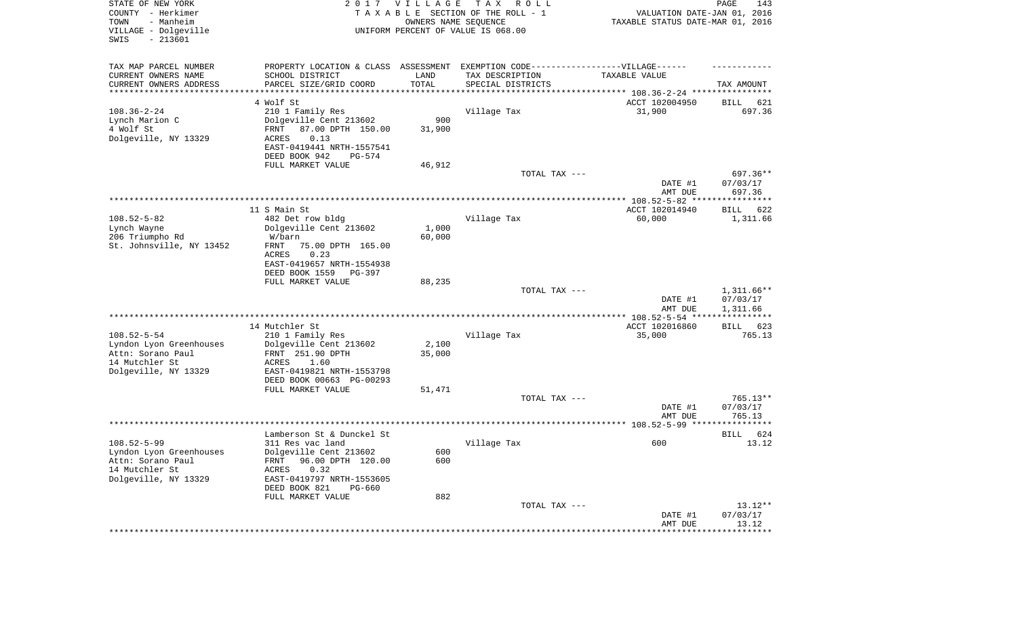| STATE OF NEW YORK<br>COUNTY - Herkimer<br>- Manheim<br>TOWN<br>VILLAGE - Dolgeville<br>SWIS<br>$-213601$ |                                                                                  | 2017 VILLAGE                   | T A X<br>R O L L<br>TAXABLE SECTION OF THE ROLL - 1<br>OWNERS NAME SEQUENCE<br>UNIFORM PERCENT OF VALUE IS 068.00 | VALUATION DATE-JAN 01, 2016<br>TAXABLE STATUS DATE-MAR 01, 2016    | PAGE<br>143                  |
|----------------------------------------------------------------------------------------------------------|----------------------------------------------------------------------------------|--------------------------------|-------------------------------------------------------------------------------------------------------------------|--------------------------------------------------------------------|------------------------------|
| TAX MAP PARCEL NUMBER                                                                                    | PROPERTY LOCATION & CLASS ASSESSMENT EXEMPTION CODE----------------VILLAGE------ |                                |                                                                                                                   |                                                                    |                              |
| CURRENT OWNERS NAME                                                                                      | SCHOOL DISTRICT                                                                  | LAND                           | TAX DESCRIPTION                                                                                                   | TAXABLE VALUE                                                      |                              |
| CURRENT OWNERS ADDRESS<br>*********************                                                          | PARCEL SIZE/GRID COORD                                                           | TOTAL<br>* * * * * * * * * * * | SPECIAL DISTRICTS                                                                                                 | ************************************* 108.36-2-24 **************** | TAX AMOUNT                   |
|                                                                                                          | 4 Wolf St                                                                        |                                |                                                                                                                   | ACCT 102004950                                                     | 621<br>BILL                  |
| $108.36 - 2 - 24$                                                                                        | 210 1 Family Res                                                                 |                                | Village Tax                                                                                                       | 31,900                                                             | 697.36                       |
| Lynch Marion C                                                                                           | Dolgeville Cent 213602                                                           | 900                            |                                                                                                                   |                                                                    |                              |
| 4 Wolf St                                                                                                | 87.00 DPTH 150.00<br>FRNT                                                        | 31,900                         |                                                                                                                   |                                                                    |                              |
| Dolgeville, NY 13329                                                                                     | <b>ACRES</b><br>0.13<br>EAST-0419441 NRTH-1557541                                |                                |                                                                                                                   |                                                                    |                              |
|                                                                                                          | DEED BOOK 942<br>PG-574                                                          |                                |                                                                                                                   |                                                                    |                              |
|                                                                                                          | FULL MARKET VALUE                                                                | 46,912                         |                                                                                                                   |                                                                    |                              |
|                                                                                                          |                                                                                  |                                | TOTAL TAX ---                                                                                                     |                                                                    | 697.36**                     |
|                                                                                                          |                                                                                  |                                |                                                                                                                   | DATE #1<br>AMT DUE                                                 | 07/03/17<br>697.36           |
|                                                                                                          |                                                                                  |                                |                                                                                                                   |                                                                    |                              |
|                                                                                                          | 11 S Main St                                                                     |                                |                                                                                                                   | ACCT 102014940                                                     | BILL<br>622                  |
| $108.52 - 5 - 82$                                                                                        | 482 Det row bldg                                                                 |                                | Village Tax                                                                                                       | 60,000                                                             | 1,311.66                     |
| Lynch Wayne<br>206 Triumpho Rd                                                                           | Dolgeville Cent 213602<br>W/barn                                                 | 1,000<br>60,000                |                                                                                                                   |                                                                    |                              |
| St. Johnsville, NY 13452                                                                                 | FRNT<br>75.00 DPTH 165.00                                                        |                                |                                                                                                                   |                                                                    |                              |
|                                                                                                          | <b>ACRES</b><br>0.23                                                             |                                |                                                                                                                   |                                                                    |                              |
|                                                                                                          | EAST-0419657 NRTH-1554938                                                        |                                |                                                                                                                   |                                                                    |                              |
|                                                                                                          | DEED BOOK 1559<br>$PG-397$                                                       |                                |                                                                                                                   |                                                                    |                              |
|                                                                                                          | FULL MARKET VALUE                                                                | 88,235                         | TOTAL TAX ---                                                                                                     |                                                                    | $1,311.66**$                 |
|                                                                                                          |                                                                                  |                                |                                                                                                                   | DATE #1                                                            | 07/03/17                     |
|                                                                                                          |                                                                                  |                                |                                                                                                                   | AMT DUE                                                            | 1,311.66                     |
|                                                                                                          |                                                                                  |                                |                                                                                                                   | ************* 108.52-5-54 ****                                     | ***********                  |
| $108.52 - 5 - 54$                                                                                        | 14 Mutchler St<br>210 1 Family Res                                               |                                | Village Tax                                                                                                       | ACCT 102016860<br>35,000                                           | <b>BILL</b><br>623<br>765.13 |
| Lyndon Lyon Greenhouses                                                                                  | Dolgeville Cent 213602                                                           | 2,100                          |                                                                                                                   |                                                                    |                              |
| Attn: Sorano Paul                                                                                        | FRNT 251.90 DPTH                                                                 | 35,000                         |                                                                                                                   |                                                                    |                              |
| 14 Mutchler St                                                                                           | <b>ACRES</b><br>1.60                                                             |                                |                                                                                                                   |                                                                    |                              |
| Dolgeville, NY 13329                                                                                     | EAST-0419821 NRTH-1553798<br>DEED BOOK 00663 PG-00293                            |                                |                                                                                                                   |                                                                    |                              |
|                                                                                                          | FULL MARKET VALUE                                                                | 51,471                         |                                                                                                                   |                                                                    |                              |
|                                                                                                          |                                                                                  |                                | TOTAL TAX ---                                                                                                     |                                                                    | 765.13**                     |
|                                                                                                          |                                                                                  |                                |                                                                                                                   | DATE #1                                                            | 07/03/17                     |
|                                                                                                          |                                                                                  |                                |                                                                                                                   | AMT DUE                                                            | 765.13                       |
|                                                                                                          | Lamberson St & Dunckel St                                                        |                                |                                                                                                                   |                                                                    | 624<br>BILL                  |
| $108.52 - 5 - 99$                                                                                        | 311 Res vac land                                                                 |                                | Village Tax                                                                                                       | 600                                                                | 13.12                        |
| Lyndon Lyon Greenhouses                                                                                  | Dolgeville Cent 213602                                                           | 600                            |                                                                                                                   |                                                                    |                              |
| Attn: Sorano Paul<br>14 Mutchler St                                                                      | FRNT 96.00 DPTH 120.00<br>0.32                                                   | 600                            |                                                                                                                   |                                                                    |                              |
| Dolgeville, NY 13329                                                                                     | ACRES<br>EAST-0419797 NRTH-1553605                                               |                                |                                                                                                                   |                                                                    |                              |
|                                                                                                          | DEED BOOK 821<br>$PG-660$                                                        |                                |                                                                                                                   |                                                                    |                              |
|                                                                                                          | FULL MARKET VALUE                                                                | 882                            |                                                                                                                   |                                                                    |                              |
|                                                                                                          |                                                                                  |                                | TOTAL TAX ---                                                                                                     |                                                                    | $13.12**$                    |
|                                                                                                          |                                                                                  |                                |                                                                                                                   | DATE #1<br>AMT DUE                                                 | 07/03/17<br>13.12            |
|                                                                                                          |                                                                                  |                                |                                                                                                                   | ***********************************                                |                              |
|                                                                                                          |                                                                                  |                                |                                                                                                                   |                                                                    |                              |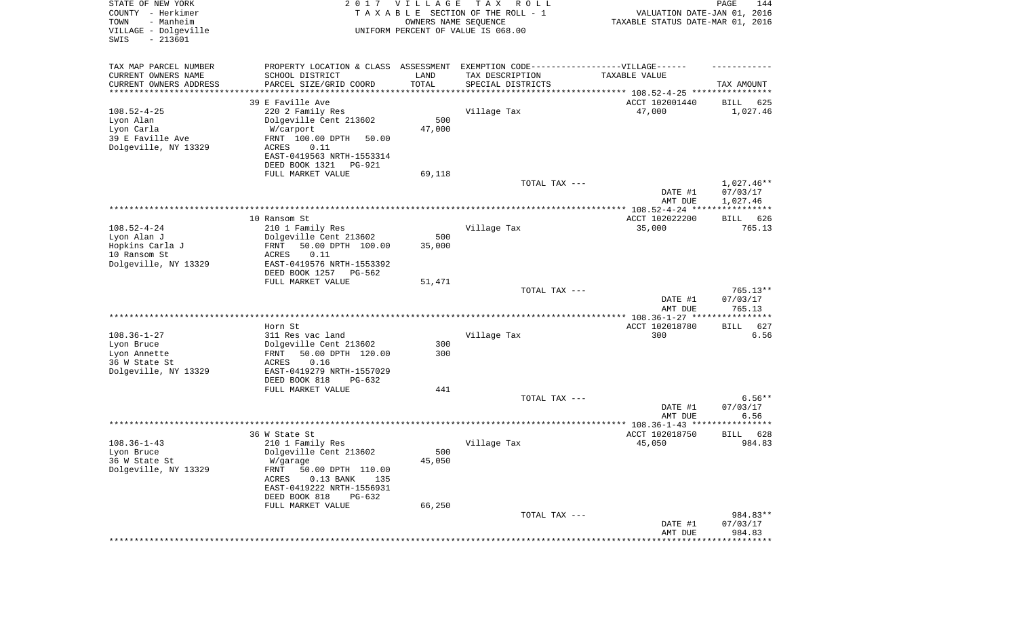| STATE OF NEW YORK<br>COUNTY - Herkimer<br>- Manheim<br>TOWN<br>VILLAGE - Dolgeville<br>SWIS<br>$-213601$ | 2017                                                                              | <b>VILLAGE</b><br>OWNERS NAME SEQUENCE | T A X<br>R O L L<br>TAXABLE SECTION OF THE ROLL - 1<br>UNIFORM PERCENT OF VALUE IS 068.00 | VALUATION DATE-JAN 01, 2016<br>TAXABLE STATUS DATE-MAR 01, 2016 | 144<br>PAGE             |
|----------------------------------------------------------------------------------------------------------|-----------------------------------------------------------------------------------|----------------------------------------|-------------------------------------------------------------------------------------------|-----------------------------------------------------------------|-------------------------|
| TAX MAP PARCEL NUMBER                                                                                    | PROPERTY LOCATION & CLASS ASSESSMENT EXEMPTION CODE-----------------VILLAGE------ |                                        |                                                                                           |                                                                 |                         |
| CURRENT OWNERS NAME                                                                                      | SCHOOL DISTRICT                                                                   | LAND                                   | TAX DESCRIPTION                                                                           | TAXABLE VALUE                                                   |                         |
| CURRENT OWNERS ADDRESS<br>********************                                                           | PARCEL SIZE/GRID COORD                                                            | TOTAL                                  | SPECIAL DISTRICTS                                                                         |                                                                 | TAX AMOUNT              |
|                                                                                                          | 39 E Faville Ave                                                                  |                                        |                                                                                           | ACCT 102001440                                                  | 625<br>BILL             |
| $108.52 - 4 - 25$                                                                                        | 220 2 Family Res                                                                  |                                        | Village Tax                                                                               | 47,000                                                          | 1,027.46                |
| Lyon Alan                                                                                                | Dolgeville Cent 213602                                                            | 500                                    |                                                                                           |                                                                 |                         |
| Lyon Carla                                                                                               | W/carport                                                                         | 47,000                                 |                                                                                           |                                                                 |                         |
| 39 E Faville Ave                                                                                         | FRNT 100.00 DPTH<br>50.00                                                         |                                        |                                                                                           |                                                                 |                         |
| Dolgeville, NY 13329                                                                                     | ACRES<br>0.11<br>EAST-0419563 NRTH-1553314                                        |                                        |                                                                                           |                                                                 |                         |
|                                                                                                          | DEED BOOK 1321<br>PG-921                                                          |                                        |                                                                                           |                                                                 |                         |
|                                                                                                          | FULL MARKET VALUE                                                                 | 69,118                                 |                                                                                           |                                                                 |                         |
|                                                                                                          |                                                                                   |                                        | TOTAL TAX ---                                                                             |                                                                 | 1,027.46**              |
|                                                                                                          |                                                                                   |                                        |                                                                                           | DATE #1                                                         | 07/03/17                |
|                                                                                                          |                                                                                   |                                        |                                                                                           | AMT DUE                                                         | 1,027.46                |
|                                                                                                          | 10 Ransom St                                                                      |                                        |                                                                                           | ACCT 102022200                                                  | 626<br>BILL             |
| $108.52 - 4 - 24$                                                                                        | 210 1 Family Res                                                                  |                                        | Village Tax                                                                               | 35,000                                                          | 765.13                  |
| Lyon Alan J                                                                                              | Dolgeville Cent 213602                                                            | 500                                    |                                                                                           |                                                                 |                         |
| Hopkins Carla J                                                                                          | 50.00 DPTH 100.00<br>FRNT                                                         | 35,000                                 |                                                                                           |                                                                 |                         |
| 10 Ransom St                                                                                             | <b>ACRES</b><br>0.11                                                              |                                        |                                                                                           |                                                                 |                         |
| Dolgeville, NY 13329                                                                                     | EAST-0419576 NRTH-1553392                                                         |                                        |                                                                                           |                                                                 |                         |
|                                                                                                          | DEED BOOK 1257<br>PG-562<br>FULL MARKET VALUE                                     | 51,471                                 |                                                                                           |                                                                 |                         |
|                                                                                                          |                                                                                   |                                        | TOTAL TAX ---                                                                             |                                                                 | $765.13**$              |
|                                                                                                          |                                                                                   |                                        |                                                                                           | DATE #1                                                         | 07/03/17                |
|                                                                                                          |                                                                                   |                                        |                                                                                           | AMT DUE                                                         | 765.13                  |
|                                                                                                          |                                                                                   |                                        |                                                                                           | *************** 108.36-1-27 *****************                   |                         |
| $108.36 - 1 - 27$                                                                                        | Horn St<br>311 Res vac land                                                       |                                        | Village Tax                                                                               | ACCT 102018780<br>300                                           | 627<br>BILL<br>6.56     |
| Lyon Bruce                                                                                               | Dolgeville Cent 213602                                                            | 300                                    |                                                                                           |                                                                 |                         |
| Lyon Annette                                                                                             | 50.00 DPTH 120.00<br>FRNT                                                         | 300                                    |                                                                                           |                                                                 |                         |
| 36 W State St                                                                                            | <b>ACRES</b><br>0.16                                                              |                                        |                                                                                           |                                                                 |                         |
| Dolgeville, NY 13329                                                                                     | EAST-0419279 NRTH-1557029                                                         |                                        |                                                                                           |                                                                 |                         |
|                                                                                                          | DEED BOOK 818<br>$PG-632$                                                         | 441                                    |                                                                                           |                                                                 |                         |
|                                                                                                          | FULL MARKET VALUE                                                                 |                                        | TOTAL TAX ---                                                                             |                                                                 | $6.56**$                |
|                                                                                                          |                                                                                   |                                        |                                                                                           | DATE #1                                                         | 07/03/17                |
|                                                                                                          |                                                                                   |                                        |                                                                                           | AMT DUE                                                         | 6.56                    |
|                                                                                                          |                                                                                   |                                        |                                                                                           |                                                                 |                         |
|                                                                                                          | 36 W State St                                                                     |                                        |                                                                                           | ACCT 102018750                                                  | 628<br>BILL             |
| $108.36 - 1 - 43$<br>Lyon Bruce                                                                          | 210 1 Family Res<br>Dolgeville Cent 213602                                        | 500                                    | Village Tax                                                                               | 45,050                                                          | 984.83                  |
| 36 W State St                                                                                            | W/garage                                                                          | 45,050                                 |                                                                                           |                                                                 |                         |
| Dolgeville, NY 13329                                                                                     | FRNT<br>50.00 DPTH 110.00                                                         |                                        |                                                                                           |                                                                 |                         |
|                                                                                                          | ACRES<br>$0.13$ BANK<br>135                                                       |                                        |                                                                                           |                                                                 |                         |
|                                                                                                          | EAST-0419222 NRTH-1556931                                                         |                                        |                                                                                           |                                                                 |                         |
|                                                                                                          | DEED BOOK 818<br>PG-632                                                           |                                        |                                                                                           |                                                                 |                         |
|                                                                                                          | FULL MARKET VALUE                                                                 | 66,250                                 | TOTAL TAX ---                                                                             |                                                                 | 984.83**                |
|                                                                                                          |                                                                                   |                                        |                                                                                           | DATE #1                                                         | 07/03/17                |
|                                                                                                          |                                                                                   |                                        |                                                                                           | AMT DUE                                                         | 984.83                  |
|                                                                                                          |                                                                                   |                                        |                                                                                           |                                                                 | * * * * * * * * * * * * |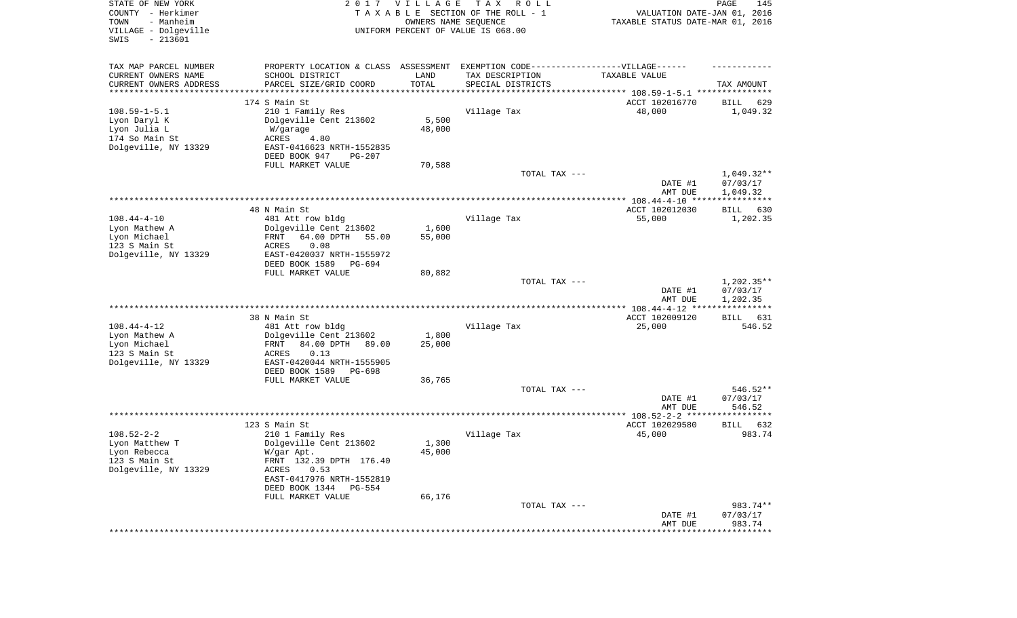| STATE OF NEW YORK<br>COUNTY - Herkimer<br>- Manheim<br>TOWN<br>VILLAGE - Dolgeville            | 2 0 1 7                                                                                                                                                                                             | <b>VILLAGE</b><br>OWNERS NAME SEQUENCE | T A X<br>R O L L<br>TAXABLE SECTION OF THE ROLL - 1<br>UNIFORM PERCENT OF VALUE IS 068.00 | VALUATION DATE-JAN 01, 2016<br>TAXABLE STATUS DATE-MAR 01, 2016 | 145<br>PAGE                          |
|------------------------------------------------------------------------------------------------|-----------------------------------------------------------------------------------------------------------------------------------------------------------------------------------------------------|----------------------------------------|-------------------------------------------------------------------------------------------|-----------------------------------------------------------------|--------------------------------------|
| SWIS<br>$-213601$                                                                              |                                                                                                                                                                                                     |                                        |                                                                                           |                                                                 |                                      |
| TAX MAP PARCEL NUMBER<br>CURRENT OWNERS NAME<br>CURRENT OWNERS ADDRESS<br>******************** | PROPERTY LOCATION & CLASS ASSESSMENT<br>SCHOOL DISTRICT<br>PARCEL SIZE/GRID COORD                                                                                                                   | LAND<br>TOTAL                          | EXEMPTION CODE------------------VILLAGE------<br>TAX DESCRIPTION<br>SPECIAL DISTRICTS     | TAXABLE VALUE                                                   | TAX AMOUNT                           |
| $108.59 - 1 - 5.1$<br>Lyon Daryl K<br>Lyon Julia L<br>174 So Main St<br>Dolgeville, NY 13329   | 174 S Main St<br>210 1 Family Res<br>Dolgeville Cent 213602<br>W/garage<br>ACRES<br>4.80<br>EAST-0416623 NRTH-1552835<br>DEED BOOK 947<br>$PG-207$<br>FULL MARKET VALUE                             | 5,500<br>48,000<br>70,588              | Village Tax                                                                               | ACCT 102016770<br>48,000                                        | 629<br>BILL<br>1,049.32              |
|                                                                                                |                                                                                                                                                                                                     |                                        | TOTAL TAX ---                                                                             | DATE #1<br>AMT DUE                                              | $1,049.32**$<br>07/03/17             |
|                                                                                                |                                                                                                                                                                                                     |                                        |                                                                                           |                                                                 | 1,049.32                             |
| $108.44 - 4 - 10$<br>Lyon Mathew A<br>Lyon Michael<br>123 S Main St<br>Dolgeville, NY 13329    | 48 N Main St<br>481 Att row bldg<br>Dolgeville Cent 213602<br>64.00 DPTH<br>FRNT<br>55.00<br>0.08<br>ACRES<br>EAST-0420037 NRTH-1555972<br>DEED BOOK 1589<br>PG-694<br>FULL MARKET VALUE            | 1,600<br>55,000<br>80,882              | Village Tax                                                                               | ACCT 102012030<br>55,000                                        | 630<br>BILL<br>1,202.35              |
|                                                                                                |                                                                                                                                                                                                     |                                        | TOTAL TAX ---                                                                             | DATE #1<br>AMT DUE                                              | $1,202.35**$<br>07/03/17<br>1,202.35 |
|                                                                                                |                                                                                                                                                                                                     |                                        |                                                                                           |                                                                 |                                      |
| $108.44 - 4 - 12$<br>Lyon Mathew A<br>Lyon Michael<br>123 S Main St<br>Dolgeville, NY 13329    | 38 N Main St<br>481 Att row bldg<br>Dolgeville Cent 213602<br>84.00 DPTH<br>89.00<br>FRNT<br>ACRES<br>0.13<br>EAST-0420044 NRTH-1555905<br>DEED BOOK 1589<br>PG-698                                 | 1,800<br>25,000                        | Village Tax                                                                               | ACCT 102009120<br>25,000                                        | BILL 631<br>546.52                   |
|                                                                                                | FULL MARKET VALUE                                                                                                                                                                                   | 36,765                                 |                                                                                           |                                                                 |                                      |
|                                                                                                |                                                                                                                                                                                                     |                                        | TOTAL TAX ---                                                                             | DATE #1<br>AMT DUE                                              | 546.52**<br>07/03/17<br>546.52       |
|                                                                                                |                                                                                                                                                                                                     |                                        |                                                                                           |                                                                 |                                      |
| $108.52 - 2 - 2$<br>Lyon Matthew T<br>Lyon Rebecca<br>123 S Main St<br>Dolgeville, NY 13329    | 123 S Main St<br>210 1 Family Res<br>Dolgeville Cent 213602<br>W/gar Apt.<br>FRNT 132.39 DPTH 176.40<br>ACRES<br>0.53<br>EAST-0417976 NRTH-1552819<br>DEED BOOK 1344<br>PG-554<br>FULL MARKET VALUE | 1,300<br>45,000<br>66,176              | Village Tax                                                                               | ACCT 102029580<br>45,000                                        | BILL<br>632<br>983.74                |
|                                                                                                |                                                                                                                                                                                                     |                                        | TOTAL TAX ---                                                                             | DATE #1<br>AMT DUE                                              | 983.74**<br>07/03/17<br>983.74       |
|                                                                                                |                                                                                                                                                                                                     |                                        |                                                                                           | ********************                                            | **************                       |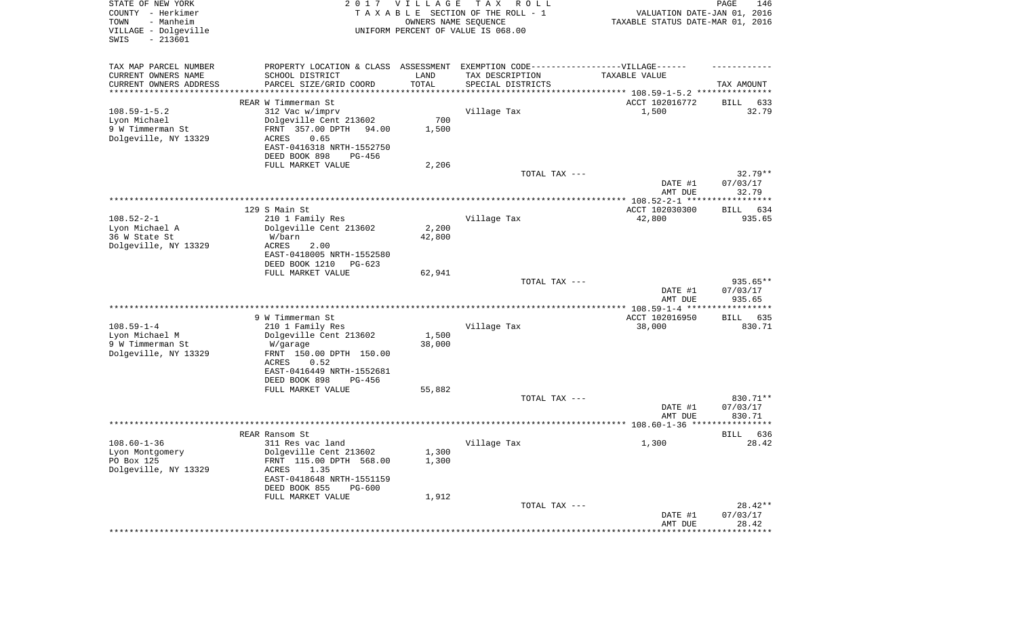| STATE OF NEW YORK<br>COUNTY - Herkimer<br>TOWN<br>- Manheim<br>VILLAGE - Dolgeville |                                                                                                     | 2017 VILLAGE<br>OWNERS NAME SEQUENCE | TAX ROLL<br>TAXABLE SECTION OF THE ROLL - 1<br>UNIFORM PERCENT OF VALUE IS 068.00 | VALUATION DATE-JAN 01, 2016<br>TAXABLE STATUS DATE-MAR 01, 2016 | PAGE<br>146           |
|-------------------------------------------------------------------------------------|-----------------------------------------------------------------------------------------------------|--------------------------------------|-----------------------------------------------------------------------------------|-----------------------------------------------------------------|-----------------------|
| $-213601$<br>SWIS                                                                   |                                                                                                     |                                      |                                                                                   |                                                                 |                       |
| TAX MAP PARCEL NUMBER<br>CURRENT OWNERS NAME                                        | PROPERTY LOCATION & CLASS ASSESSMENT EXEMPTION CODE----------------VILLAGE------<br>SCHOOL DISTRICT | LAND                                 |                                                                                   | TAXABLE VALUE                                                   |                       |
| CURRENT OWNERS ADDRESS<br>*******************                                       | PARCEL SIZE/GRID COORD                                                                              | TOTAL                                | TAX DESCRIPTION<br>SPECIAL DISTRICTS                                              | **************************** 108.59-1-5.2 ***************       | TAX AMOUNT            |
|                                                                                     | REAR W Timmerman St                                                                                 |                                      |                                                                                   | ACCT 102016772                                                  | BILL<br>633           |
| $108.59 - 1 - 5.2$                                                                  | 312 Vac w/imprv                                                                                     |                                      | Village Tax                                                                       | 1,500                                                           | 32.79                 |
| Lyon Michael                                                                        | Dolgeville Cent 213602                                                                              | 700                                  |                                                                                   |                                                                 |                       |
| 9 W Timmerman St                                                                    | FRNT 357.00 DPTH<br>94.00                                                                           | 1,500                                |                                                                                   |                                                                 |                       |
| Dolgeville, NY 13329                                                                | ACRES<br>0.65<br>EAST-0416318 NRTH-1552750<br>DEED BOOK 898<br>PG-456                               |                                      |                                                                                   |                                                                 |                       |
|                                                                                     | FULL MARKET VALUE                                                                                   | 2,206                                |                                                                                   |                                                                 |                       |
|                                                                                     |                                                                                                     |                                      | TOTAL TAX ---                                                                     |                                                                 | $32.79**$             |
|                                                                                     |                                                                                                     |                                      |                                                                                   | DATE #1<br>AMT DUE                                              | 07/03/17<br>32.79     |
|                                                                                     |                                                                                                     |                                      |                                                                                   |                                                                 |                       |
| $108.52 - 2 - 1$                                                                    | 129 S Main St<br>210 1 Family Res                                                                   |                                      | Village Tax                                                                       | ACCT 102030300<br>42,800                                        | BILL<br>634<br>935.65 |
| Lyon Michael A                                                                      | Dolgeville Cent 213602                                                                              | 2,200                                |                                                                                   |                                                                 |                       |
| 36 W State St                                                                       | W/barn                                                                                              | 42,800                               |                                                                                   |                                                                 |                       |
| Dolgeville, NY 13329                                                                | <b>ACRES</b><br>2.00                                                                                |                                      |                                                                                   |                                                                 |                       |
|                                                                                     | EAST-0418005 NRTH-1552580<br>DEED BOOK 1210<br>PG-623                                               |                                      |                                                                                   |                                                                 |                       |
|                                                                                     | FULL MARKET VALUE                                                                                   | 62,941                               | TOTAL TAX ---                                                                     |                                                                 | 935.65**              |
|                                                                                     |                                                                                                     |                                      |                                                                                   | DATE #1<br>AMT DUE                                              | 07/03/17<br>935.65    |
|                                                                                     |                                                                                                     |                                      |                                                                                   |                                                                 |                       |
|                                                                                     | 9 W Timmerman St                                                                                    |                                      |                                                                                   | ACCT 102016950                                                  | BILL<br>635           |
| $108.59 - 1 - 4$                                                                    | 210 1 Family Res                                                                                    |                                      | Village Tax                                                                       | 38,000                                                          | 830.71                |
| Lyon Michael M<br>9 W Timmerman St                                                  | Dolgeville Cent 213602<br>W/garage                                                                  | 1,500<br>38,000                      |                                                                                   |                                                                 |                       |
| Dolgeville, NY 13329                                                                | FRNT 150.00 DPTH 150.00                                                                             |                                      |                                                                                   |                                                                 |                       |
|                                                                                     | ACRES<br>0.52                                                                                       |                                      |                                                                                   |                                                                 |                       |
|                                                                                     | EAST-0416449 NRTH-1552681                                                                           |                                      |                                                                                   |                                                                 |                       |
|                                                                                     | DEED BOOK 898<br>PG-456                                                                             |                                      |                                                                                   |                                                                 |                       |
|                                                                                     | FULL MARKET VALUE                                                                                   | 55,882                               | TOTAL TAX ---                                                                     |                                                                 | 830.71**              |
|                                                                                     |                                                                                                     |                                      |                                                                                   | DATE #1                                                         | 07/03/17              |
|                                                                                     |                                                                                                     |                                      |                                                                                   | AMT DUE                                                         | 830.71                |
|                                                                                     |                                                                                                     |                                      |                                                                                   |                                                                 |                       |
| $108.60 - 1 - 36$                                                                   | REAR Ransom St<br>311 Res vac land                                                                  |                                      | Village Tax                                                                       | 1,300                                                           | 636<br>BILL<br>28.42  |
| Lyon Montgomery                                                                     | Dolgeville Cent 213602                                                                              | 1,300                                |                                                                                   |                                                                 |                       |
| PO Box 125                                                                          | FRNT 115.00 DPTH 568.00                                                                             | 1,300                                |                                                                                   |                                                                 |                       |
| Dolgeville, NY 13329                                                                | ACRES<br>1.35                                                                                       |                                      |                                                                                   |                                                                 |                       |
|                                                                                     | EAST-0418648 NRTH-1551159<br>DEED BOOK 855<br><b>PG-600</b>                                         |                                      |                                                                                   |                                                                 |                       |
|                                                                                     | FULL MARKET VALUE                                                                                   | 1,912                                | TOTAL TAX ---                                                                     |                                                                 | $28.42**$             |
|                                                                                     |                                                                                                     |                                      |                                                                                   | DATE #1<br>AMT DUE                                              | 07/03/17<br>28.42     |
|                                                                                     |                                                                                                     |                                      |                                                                                   | ********************                                            | *************         |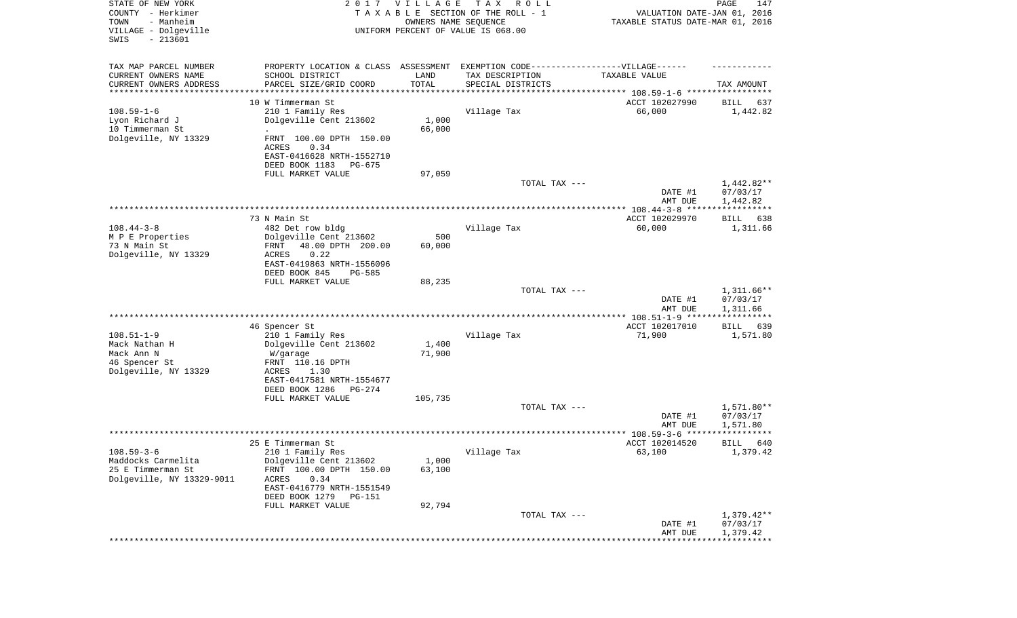| STATE OF NEW YORK<br>COUNTY - Herkimer<br>- Manheim<br>TOWN<br>VILLAGE - Dolgeville<br>SWIS<br>$-213601$ |                                                                                                      | 2017 VILLAGE<br>OWNERS NAME SEQUENCE | T A X<br>R O L L<br>TAXABLE SECTION OF THE ROLL - 1<br>UNIFORM PERCENT OF VALUE IS 068.00 | VALUATION DATE-JAN 01, 2016<br>TAXABLE STATUS DATE-MAR 01, 2016 | PAGE<br>147             |
|----------------------------------------------------------------------------------------------------------|------------------------------------------------------------------------------------------------------|--------------------------------------|-------------------------------------------------------------------------------------------|-----------------------------------------------------------------|-------------------------|
| TAX MAP PARCEL NUMBER<br>CURRENT OWNERS NAME                                                             | PROPERTY LOCATION & CLASS ASSESSMENT EXEMPTION CODE-----------------VILLAGE------<br>SCHOOL DISTRICT | LAND                                 | TAX DESCRIPTION                                                                           | TAXABLE VALUE                                                   |                         |
| CURRENT OWNERS ADDRESS<br>********************                                                           | PARCEL SIZE/GRID COORD                                                                               | TOTAL                                | SPECIAL DISTRICTS                                                                         | ********************************* 108.59-1-6 *****************  | TAX AMOUNT              |
|                                                                                                          | 10 W Timmerman St                                                                                    |                                      |                                                                                           | ACCT 102027990                                                  | 637<br>BILL             |
| $108.59 - 1 - 6$                                                                                         | 210 1 Family Res                                                                                     |                                      | Village Tax                                                                               | 66,000                                                          | 1,442.82                |
| Lyon Richard J                                                                                           | Dolgeville Cent 213602                                                                               | 1,000                                |                                                                                           |                                                                 |                         |
| 10 Timmerman St                                                                                          | $\ddot{\phantom{0}}$                                                                                 | 66,000                               |                                                                                           |                                                                 |                         |
| Dolgeville, NY 13329                                                                                     | FRNT 100.00 DPTH 150.00<br>ACRES<br>0.34                                                             |                                      |                                                                                           |                                                                 |                         |
|                                                                                                          | EAST-0416628 NRTH-1552710                                                                            |                                      |                                                                                           |                                                                 |                         |
|                                                                                                          | DEED BOOK 1183<br>PG-675                                                                             |                                      |                                                                                           |                                                                 |                         |
|                                                                                                          | FULL MARKET VALUE                                                                                    | 97,059                               |                                                                                           |                                                                 |                         |
|                                                                                                          |                                                                                                      |                                      | TOTAL TAX ---                                                                             |                                                                 | $1,442.82**$            |
|                                                                                                          |                                                                                                      |                                      |                                                                                           | DATE #1<br>AMT DUE                                              | 07/03/17<br>1,442.82    |
|                                                                                                          |                                                                                                      |                                      |                                                                                           |                                                                 |                         |
|                                                                                                          | 73 N Main St                                                                                         |                                      |                                                                                           | ACCT 102029970                                                  | BILL<br>638             |
| $108.44 - 3 - 8$                                                                                         | 482 Det row bldg                                                                                     |                                      | Village Tax                                                                               | 60,000                                                          | 1,311.66                |
| M P E Properties<br>73 N Main St                                                                         | Dolgeville Cent 213602<br>48.00 DPTH 200.00<br>FRNT                                                  | 500<br>60,000                        |                                                                                           |                                                                 |                         |
| Dolgeville, NY 13329                                                                                     | ACRES<br>0.22                                                                                        |                                      |                                                                                           |                                                                 |                         |
|                                                                                                          | EAST-0419863 NRTH-1556096                                                                            |                                      |                                                                                           |                                                                 |                         |
|                                                                                                          | DEED BOOK 845<br>$PG-585$                                                                            |                                      |                                                                                           |                                                                 |                         |
|                                                                                                          | FULL MARKET VALUE                                                                                    | 88,235                               | TOTAL TAX ---                                                                             |                                                                 | $1,311.66**$            |
|                                                                                                          |                                                                                                      |                                      |                                                                                           | DATE #1                                                         | 07/03/17                |
|                                                                                                          |                                                                                                      |                                      |                                                                                           | AMT DUE                                                         | 1,311.66                |
|                                                                                                          |                                                                                                      |                                      |                                                                                           | ********** 108.51-1-9 *****                                     | ***********             |
| $108.51 - 1 - 9$                                                                                         | 46 Spencer St<br>210 1 Family Res                                                                    |                                      | Village Tax                                                                               | ACCT 102017010<br>71,900                                        | 639<br>BILL<br>1,571.80 |
| Mack Nathan H                                                                                            | Dolgeville Cent 213602                                                                               | 1,400                                |                                                                                           |                                                                 |                         |
| Mack Ann N                                                                                               | W/garage                                                                                             | 71,900                               |                                                                                           |                                                                 |                         |
| 46 Spencer St                                                                                            | FRNT 110.16 DPTH                                                                                     |                                      |                                                                                           |                                                                 |                         |
| Dolgeville, NY 13329                                                                                     | ACRES<br>1.30<br>EAST-0417581 NRTH-1554677                                                           |                                      |                                                                                           |                                                                 |                         |
|                                                                                                          | DEED BOOK 1286<br>PG-274                                                                             |                                      |                                                                                           |                                                                 |                         |
|                                                                                                          | FULL MARKET VALUE                                                                                    | 105,735                              |                                                                                           |                                                                 |                         |
|                                                                                                          |                                                                                                      |                                      | TOTAL TAX ---                                                                             |                                                                 | 1,571.80**              |
|                                                                                                          |                                                                                                      |                                      |                                                                                           | DATE #1                                                         | 07/03/17                |
|                                                                                                          |                                                                                                      |                                      |                                                                                           | AMT DUE<br>******************* 108.59-3-6 *****                 | 1,571.80<br>* * * *     |
|                                                                                                          | 25 E Timmerman St                                                                                    |                                      |                                                                                           | ACCT 102014520                                                  | 640<br>BILL             |
| $108.59 - 3 - 6$                                                                                         | 210 1 Family Res                                                                                     |                                      | Village Tax                                                                               | 63,100                                                          | 1,379.42                |
| Maddocks Carmelita<br>25 E Timmerman St                                                                  | Dolgeville Cent 213602<br>FRNT 100.00 DPTH 150.00                                                    | 1,000<br>63,100                      |                                                                                           |                                                                 |                         |
| Dolgeville, NY 13329-9011                                                                                | ACRES<br>0.34                                                                                        |                                      |                                                                                           |                                                                 |                         |
|                                                                                                          | EAST-0416779 NRTH-1551549                                                                            |                                      |                                                                                           |                                                                 |                         |
|                                                                                                          | DEED BOOK 1279 PG-151                                                                                |                                      |                                                                                           |                                                                 |                         |
|                                                                                                          | FULL MARKET VALUE                                                                                    | 92,794                               |                                                                                           |                                                                 | $1,379.42**$            |
|                                                                                                          |                                                                                                      |                                      | TOTAL TAX ---                                                                             | DATE #1                                                         | 07/03/17                |
|                                                                                                          |                                                                                                      |                                      |                                                                                           | AMT DUE                                                         | 1,379.42                |
|                                                                                                          |                                                                                                      |                                      |                                                                                           |                                                                 |                         |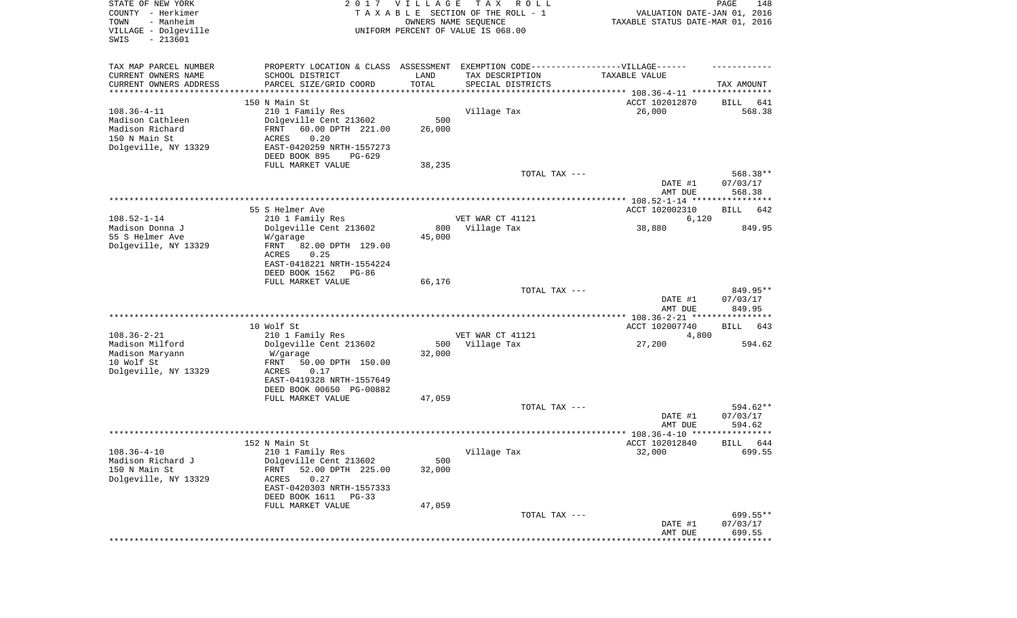| STATE OF NEW YORK<br>COUNTY - Herkimer<br>- Manheim<br>TOWN<br>VILLAGE - Dolgeville<br>SWIS<br>$-213601$ |                                                                                  | 2017 VILLAGE<br>OWNERS NAME SEQUENCE | T A X<br>R O L L<br>TAXABLE SECTION OF THE ROLL - 1<br>UNIFORM PERCENT OF VALUE IS 068.00 | VALUATION DATE-JAN 01, 2016<br>TAXABLE STATUS DATE-MAR 01, 2016 | PAGE<br>148        |
|----------------------------------------------------------------------------------------------------------|----------------------------------------------------------------------------------|--------------------------------------|-------------------------------------------------------------------------------------------|-----------------------------------------------------------------|--------------------|
| TAX MAP PARCEL NUMBER                                                                                    | PROPERTY LOCATION & CLASS ASSESSMENT EXEMPTION CODE----------------VILLAGE------ |                                      |                                                                                           |                                                                 |                    |
| CURRENT OWNERS NAME                                                                                      | SCHOOL DISTRICT                                                                  | LAND                                 | TAX DESCRIPTION                                                                           | TAXABLE VALUE                                                   |                    |
| CURRENT OWNERS ADDRESS<br>*********************                                                          | PARCEL SIZE/GRID COORD                                                           | TOTAL<br>**********                  | SPECIAL DISTRICTS                                                                         |                                                                 | TAX AMOUNT         |
|                                                                                                          | 150 N Main St                                                                    |                                      |                                                                                           | ACCT 102012870                                                  | BILL<br>641        |
| $108.36 - 4 - 11$                                                                                        | 210 1 Family Res                                                                 |                                      | Village Tax                                                                               | 26,000                                                          | 568.38             |
| Madison Cathleen                                                                                         | Dolgeville Cent 213602                                                           | 500                                  |                                                                                           |                                                                 |                    |
| Madison Richard                                                                                          | FRNT<br>60.00 DPTH 221.00                                                        | 26,000                               |                                                                                           |                                                                 |                    |
| 150 N Main St                                                                                            | 0.20<br>ACRES                                                                    |                                      |                                                                                           |                                                                 |                    |
| Dolgeville, NY 13329                                                                                     | EAST-0420259 NRTH-1557273                                                        |                                      |                                                                                           |                                                                 |                    |
|                                                                                                          | DEED BOOK 895<br>PG-629                                                          |                                      |                                                                                           |                                                                 |                    |
|                                                                                                          | FULL MARKET VALUE                                                                | 38,235                               | TOTAL TAX ---                                                                             |                                                                 | 568.38**           |
|                                                                                                          |                                                                                  |                                      |                                                                                           | DATE #1<br>AMT DUE                                              | 07/03/17<br>568.38 |
|                                                                                                          |                                                                                  |                                      |                                                                                           |                                                                 |                    |
|                                                                                                          | 55 S Helmer Ave                                                                  |                                      |                                                                                           | ACCT 102002310                                                  | <b>BILL</b><br>642 |
| $108.52 - 1 - 14$                                                                                        | 210 1 Family Res                                                                 |                                      | VET WAR CT 41121                                                                          | 6,120                                                           |                    |
| Madison Donna J                                                                                          | Dolgeville Cent 213602                                                           | 800                                  | Village Tax                                                                               | 38,880                                                          | 849.95             |
| 55 S Helmer Ave<br>Dolgeville, NY 13329                                                                  | W/garage<br>FRNT<br>82.00 DPTH 129.00                                            | 45,000                               |                                                                                           |                                                                 |                    |
|                                                                                                          | ACRES<br>0.25                                                                    |                                      |                                                                                           |                                                                 |                    |
|                                                                                                          | EAST-0418221 NRTH-1554224                                                        |                                      |                                                                                           |                                                                 |                    |
|                                                                                                          | DEED BOOK 1562<br>PG-86                                                          |                                      |                                                                                           |                                                                 |                    |
|                                                                                                          | FULL MARKET VALUE                                                                | 66,176                               |                                                                                           |                                                                 |                    |
|                                                                                                          |                                                                                  |                                      | TOTAL TAX ---                                                                             |                                                                 | 849.95**           |
|                                                                                                          |                                                                                  |                                      |                                                                                           | DATE #1<br>AMT DUE                                              | 07/03/17<br>849.95 |
|                                                                                                          |                                                                                  |                                      |                                                                                           | ************* 108.36-2-21 ****************                      |                    |
|                                                                                                          | 10 Wolf St                                                                       |                                      |                                                                                           | ACCT 102007740                                                  | BILL<br>643        |
| $108.36 - 2 - 21$                                                                                        | 210 1 Family Res                                                                 |                                      | VET WAR CT 41121                                                                          | 4,800                                                           |                    |
| Madison Milford<br>Madison Maryann                                                                       | Dolgeville Cent 213602<br>W/garage                                               | 500<br>32,000                        | Village Tax                                                                               | 27,200                                                          | 594.62             |
| 10 Wolf St                                                                                               | FRNT<br>50.00 DPTH 150.00                                                        |                                      |                                                                                           |                                                                 |                    |
| Dolgeville, NY 13329                                                                                     | ACRES<br>0.17                                                                    |                                      |                                                                                           |                                                                 |                    |
|                                                                                                          | EAST-0419328 NRTH-1557649                                                        |                                      |                                                                                           |                                                                 |                    |
|                                                                                                          | DEED BOOK 00650 PG-00882                                                         |                                      |                                                                                           |                                                                 |                    |
|                                                                                                          | FULL MARKET VALUE                                                                | 47,059                               |                                                                                           |                                                                 |                    |
|                                                                                                          |                                                                                  |                                      | TOTAL TAX ---                                                                             |                                                                 | 594.62**           |
|                                                                                                          |                                                                                  |                                      |                                                                                           | DATE #1<br>AMT DUE                                              | 07/03/17<br>594.62 |
|                                                                                                          |                                                                                  |                                      |                                                                                           |                                                                 | $***$ * * *        |
|                                                                                                          | 152 N Main St                                                                    |                                      |                                                                                           | ACCT 102012840                                                  | 644<br>BILL        |
| $108.36 - 4 - 10$                                                                                        | 210 1 Family Res                                                                 |                                      | Village Tax                                                                               | 32,000                                                          | 699.55             |
| Madison Richard J                                                                                        | Dolgeville Cent 213602                                                           | 500                                  |                                                                                           |                                                                 |                    |
| 150 N Main St                                                                                            | 52.00 DPTH 225.00<br><b>FRNT</b>                                                 | 32,000                               |                                                                                           |                                                                 |                    |
| Dolgeville, NY 13329                                                                                     | 0.27<br>ACRES                                                                    |                                      |                                                                                           |                                                                 |                    |
|                                                                                                          | EAST-0420303 NRTH-1557333                                                        |                                      |                                                                                           |                                                                 |                    |
|                                                                                                          | DEED BOOK 1611<br>PG-33<br>FULL MARKET VALUE                                     | 47,059                               |                                                                                           |                                                                 |                    |
|                                                                                                          |                                                                                  |                                      | TOTAL TAX ---                                                                             |                                                                 | 699.55**           |
|                                                                                                          |                                                                                  |                                      |                                                                                           | DATE #1                                                         | 07/03/17           |
|                                                                                                          |                                                                                  |                                      |                                                                                           | AMT DUE                                                         | 699.55             |
|                                                                                                          |                                                                                  |                                      |                                                                                           |                                                                 |                    |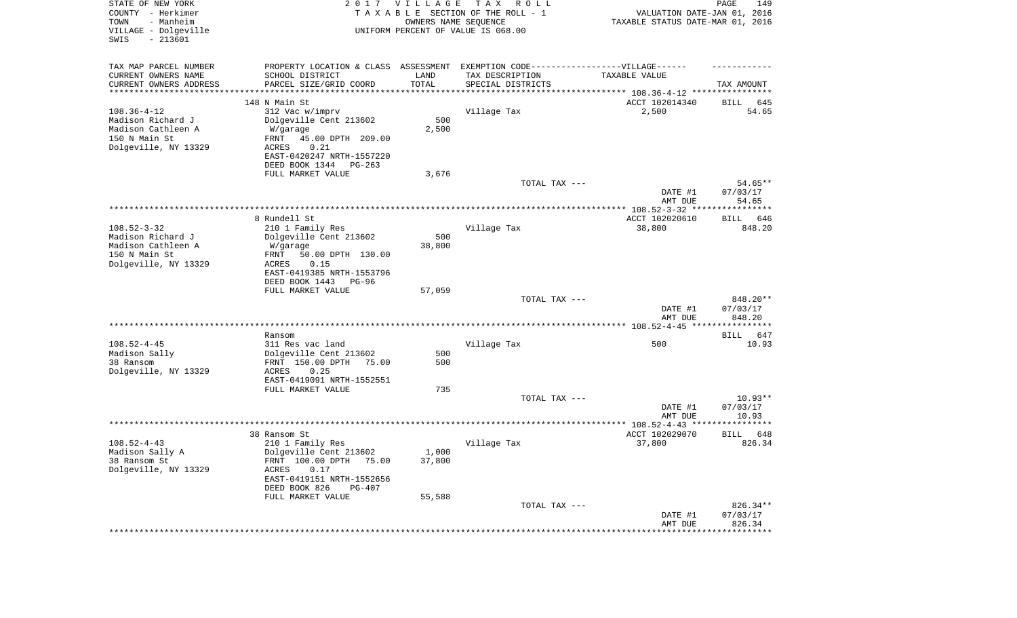| STATE OF NEW YORK<br>COUNTY - Herkimer<br>- Manheim<br>TOWN<br>VILLAGE - Dolgeville<br>SWIS<br>$-213601$ |                                                                                                                                                                                      | 2017 VILLAGE<br>OWNERS NAME SEQUENCE | T A X<br>R O L L<br>TAXABLE SECTION OF THE ROLL - 1<br>UNIFORM PERCENT OF VALUE IS 068.00                                | VALUATION DATE-JAN 01, 2016<br>TAXABLE STATUS DATE-MAR 01, 2016 | PAGE<br>149                    |
|----------------------------------------------------------------------------------------------------------|--------------------------------------------------------------------------------------------------------------------------------------------------------------------------------------|--------------------------------------|--------------------------------------------------------------------------------------------------------------------------|-----------------------------------------------------------------|--------------------------------|
| TAX MAP PARCEL NUMBER<br>CURRENT OWNERS NAME<br>CURRENT OWNERS ADDRESS<br>*********************          | SCHOOL DISTRICT<br>PARCEL SIZE/GRID COORD<br>*******************                                                                                                                     | LAND<br>TOTAL<br>***********         | PROPERTY LOCATION & CLASS ASSESSMENT EXEMPTION CODE----------------VILLAGE------<br>TAX DESCRIPTION<br>SPECIAL DISTRICTS | TAXABLE VALUE                                                   | TAX AMOUNT                     |
| $108.36 - 4 - 12$<br>Madison Richard J<br>Madison Cathleen A<br>150 N Main St<br>Dolgeville, NY 13329    | 148 N Main St<br>312 Vac w/imprv<br>Dolgeville Cent 213602<br>W/garage<br>45.00 DPTH 209.00<br>FRNT<br>0.21<br>ACRES<br>EAST-0420247 NRTH-1557220<br>DEED BOOK 1344<br>PG-263        | 500<br>2,500                         | Village Tax                                                                                                              | ACCT 102014340<br>2,500                                         | BILL<br>645<br>54.65           |
|                                                                                                          | FULL MARKET VALUE                                                                                                                                                                    | 3,676                                | TOTAL TAX ---                                                                                                            | DATE #1<br>AMT DUE                                              | 54.65**<br>07/03/17<br>54.65   |
|                                                                                                          |                                                                                                                                                                                      |                                      |                                                                                                                          |                                                                 |                                |
| $108.52 - 3 - 32$<br>Madison Richard J<br>Madison Cathleen A<br>150 N Main St<br>Dolgeville, NY 13329    | 8 Rundell St<br>210 1 Family Res<br>Dolgeville Cent 213602<br>W/garage<br>50.00 DPTH 130.00<br>FRNT<br>ACRES<br>0.15<br>EAST-0419385 NRTH-1553796<br>DEED BOOK 1443<br>PG-96         | 500<br>38,800                        | Village Tax                                                                                                              | ACCT 102020610<br>38,800                                        | BILL 646<br>848.20             |
|                                                                                                          | FULL MARKET VALUE                                                                                                                                                                    | 57,059                               |                                                                                                                          |                                                                 |                                |
|                                                                                                          |                                                                                                                                                                                      |                                      | TOTAL TAX ---                                                                                                            | DATE #1<br>AMT DUE                                              | 848.20**<br>07/03/17<br>848.20 |
|                                                                                                          |                                                                                                                                                                                      |                                      |                                                                                                                          |                                                                 |                                |
| $108.52 - 4 - 45$<br>Madison Sally<br>38 Ransom<br>Dolgeville, NY 13329                                  | Ransom<br>311 Res vac land<br>Dolgeville Cent 213602<br>FRNT 150.00 DPTH<br>75.00<br>ACRES<br>0.25<br>EAST-0419091 NRTH-1552551<br>FULL MARKET VALUE                                 | 500<br>500<br>735                    | Village Tax                                                                                                              | 500                                                             | BILL 647<br>10.93              |
|                                                                                                          |                                                                                                                                                                                      |                                      | TOTAL TAX ---                                                                                                            | DATE #1<br>AMT DUE                                              | $10.93**$<br>07/03/17<br>10.93 |
|                                                                                                          |                                                                                                                                                                                      |                                      |                                                                                                                          |                                                                 |                                |
| $108.52 - 4 - 43$<br>Madison Sally A<br>38 Ransom St<br>Dolgeville, NY 13329                             | 38 Ransom St<br>210 1 Family Res<br>Dolgeville Cent 213602<br>FRNT 100.00 DPTH 75.00<br>ACRES<br>0.17<br>EAST-0419151 NRTH-1552656<br>DEED BOOK 826<br>$PG-407$<br>FULL MARKET VALUE | 1,000<br>37,800<br>55,588            | Village Tax                                                                                                              | ACCT 102029070<br>37,800                                        | 648<br><b>BILL</b><br>826.34   |
|                                                                                                          |                                                                                                                                                                                      |                                      | TOTAL TAX ---                                                                                                            | DATE #1<br>AMT DUE<br>***********************************       | 826.34**<br>07/03/17<br>826.34 |
|                                                                                                          |                                                                                                                                                                                      |                                      |                                                                                                                          |                                                                 |                                |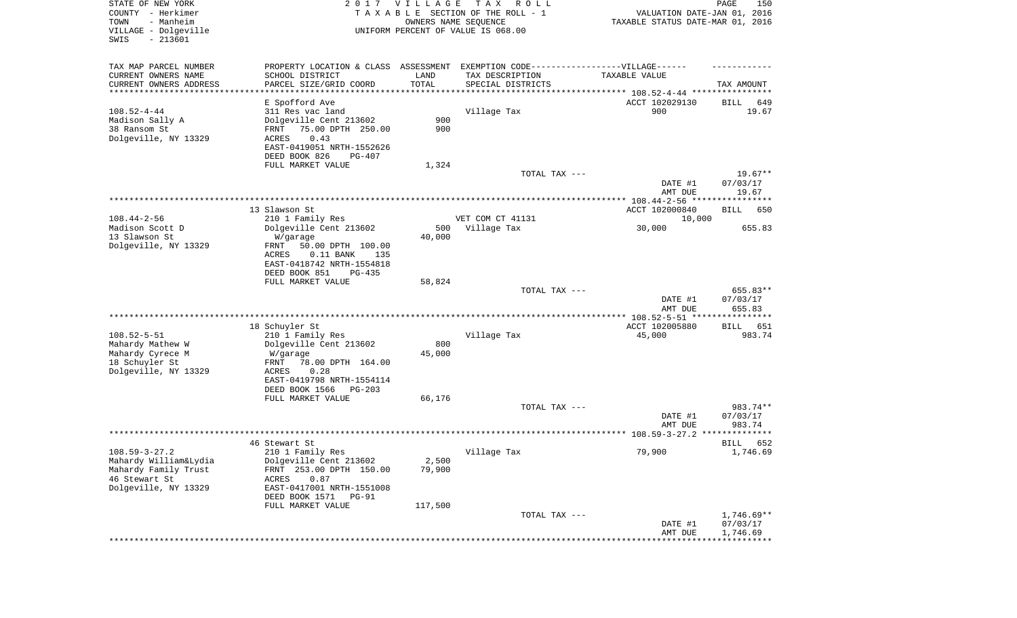| STATE OF NEW YORK<br>COUNTY - Herkimer<br>- Manheim<br>TOWN<br>VILLAGE - Dolgeville<br>SWIS<br>$-213601$ |                                                                                   | 2017 VILLAGE<br>OWNERS NAME SEQUENCE | T A X<br>R O L L<br>TAXABLE SECTION OF THE ROLL - 1<br>UNIFORM PERCENT OF VALUE IS 068.00 | VALUATION DATE-JAN 01, 2016<br>TAXABLE STATUS DATE-MAR 01, 2016 | PAGE<br>150        |
|----------------------------------------------------------------------------------------------------------|-----------------------------------------------------------------------------------|--------------------------------------|-------------------------------------------------------------------------------------------|-----------------------------------------------------------------|--------------------|
| TAX MAP PARCEL NUMBER                                                                                    | PROPERTY LOCATION & CLASS ASSESSMENT EXEMPTION CODE-----------------VILLAGE------ |                                      |                                                                                           |                                                                 |                    |
| CURRENT OWNERS NAME                                                                                      | SCHOOL DISTRICT                                                                   | LAND                                 | TAX DESCRIPTION                                                                           | TAXABLE VALUE                                                   |                    |
| CURRENT OWNERS ADDRESS<br>*********************                                                          | PARCEL SIZE/GRID COORD<br>********************                                    | TOTAL<br>* * * * * * * * * * *       | SPECIAL DISTRICTS                                                                         | ********************************* 108.52-4-44 ****************  | TAX AMOUNT         |
|                                                                                                          | E Spofford Ave                                                                    |                                      |                                                                                           | ACCT 102029130                                                  | BILL<br>649        |
| $108.52 - 4 - 44$                                                                                        | 311 Res vac land                                                                  |                                      | Village Tax                                                                               | 900                                                             | 19.67              |
| Madison Sally A                                                                                          | Dolgeville Cent 213602                                                            | 900                                  |                                                                                           |                                                                 |                    |
| 38 Ransom St                                                                                             | 75.00 DPTH 250.00<br>FRNT                                                         | 900                                  |                                                                                           |                                                                 |                    |
| Dolgeville, NY 13329                                                                                     | 0.43<br>ACRES                                                                     |                                      |                                                                                           |                                                                 |                    |
|                                                                                                          | EAST-0419051 NRTH-1552626                                                         |                                      |                                                                                           |                                                                 |                    |
|                                                                                                          | DEED BOOK 826<br>PG-407                                                           |                                      |                                                                                           |                                                                 |                    |
|                                                                                                          | FULL MARKET VALUE                                                                 | 1,324                                | TOTAL TAX ---                                                                             |                                                                 | $19.67**$          |
|                                                                                                          |                                                                                   |                                      |                                                                                           | DATE #1<br>AMT DUE                                              | 07/03/17<br>19.67  |
|                                                                                                          |                                                                                   |                                      |                                                                                           |                                                                 |                    |
|                                                                                                          | 13 Slawson St                                                                     |                                      |                                                                                           | ACCT 102000840                                                  | <b>BILL</b><br>650 |
| $108.44 - 2 - 56$                                                                                        | 210 1 Family Res                                                                  |                                      | VET COM CT 41131                                                                          | 10,000                                                          |                    |
| Madison Scott D                                                                                          | Dolgeville Cent 213602                                                            | 500                                  | Village Tax                                                                               | 30,000                                                          | 655.83             |
| 13 Slawson St<br>Dolgeville, NY 13329                                                                    | W/garage<br>FRNT                                                                  | 40,000                               |                                                                                           |                                                                 |                    |
|                                                                                                          | 50.00 DPTH 100.00<br>ACRES<br>$0.11$ BANK<br>135                                  |                                      |                                                                                           |                                                                 |                    |
|                                                                                                          | EAST-0418742 NRTH-1554818                                                         |                                      |                                                                                           |                                                                 |                    |
|                                                                                                          | DEED BOOK 851<br>$PG-435$                                                         |                                      |                                                                                           |                                                                 |                    |
|                                                                                                          | FULL MARKET VALUE                                                                 | 58,824                               |                                                                                           |                                                                 |                    |
|                                                                                                          |                                                                                   |                                      | TOTAL TAX ---                                                                             |                                                                 | 655.83**           |
|                                                                                                          |                                                                                   |                                      |                                                                                           | DATE #1<br>AMT DUE                                              | 07/03/17<br>655.83 |
|                                                                                                          |                                                                                   |                                      |                                                                                           | ************* 108.52-5-51 *****************                     |                    |
|                                                                                                          | 18 Schuyler St                                                                    |                                      |                                                                                           | ACCT 102005880                                                  | 651<br>BILL        |
| $108.52 - 5 - 51$                                                                                        | 210 1 Family Res                                                                  |                                      | Village Tax                                                                               | 45,000                                                          | 983.74             |
| Mahardy Mathew W                                                                                         | Dolgeville Cent 213602                                                            | 800                                  |                                                                                           |                                                                 |                    |
| Mahardy Cyrece M                                                                                         | W/garage                                                                          | 45,000                               |                                                                                           |                                                                 |                    |
| 18 Schuyler St<br>Dolgeville, NY 13329                                                                   | FRNT<br>78.00 DPTH 164.00<br>ACRES<br>0.28                                        |                                      |                                                                                           |                                                                 |                    |
|                                                                                                          | EAST-0419798 NRTH-1554114                                                         |                                      |                                                                                           |                                                                 |                    |
|                                                                                                          | DEED BOOK 1566<br>PG-203                                                          |                                      |                                                                                           |                                                                 |                    |
|                                                                                                          | FULL MARKET VALUE                                                                 | 66,176                               |                                                                                           |                                                                 |                    |
|                                                                                                          |                                                                                   |                                      | TOTAL TAX ---                                                                             |                                                                 | 983.74**           |
|                                                                                                          |                                                                                   |                                      |                                                                                           | DATE #1                                                         | 07/03/17           |
|                                                                                                          |                                                                                   |                                      |                                                                                           | AMT DUE                                                         | 983.74             |
|                                                                                                          | 46 Stewart St                                                                     |                                      |                                                                                           |                                                                 | 652<br>BILL        |
| $108.59 - 3 - 27.2$                                                                                      | 210 1 Family Res                                                                  |                                      | Village Tax                                                                               | 79,900                                                          | 1,746.69           |
| Mahardy William&Lydia                                                                                    | Dolgeville Cent 213602                                                            | 2,500                                |                                                                                           |                                                                 |                    |
| Mahardy Family Trust                                                                                     | FRNT 253.00 DPTH 150.00                                                           | 79,900                               |                                                                                           |                                                                 |                    |
| 46 Stewart St                                                                                            | <b>ACRES</b><br>0.87                                                              |                                      |                                                                                           |                                                                 |                    |
| Dolgeville, NY 13329                                                                                     | EAST-0417001 NRTH-1551008                                                         |                                      |                                                                                           |                                                                 |                    |
|                                                                                                          | DEED BOOK 1571<br><b>PG-91</b>                                                    |                                      |                                                                                           |                                                                 |                    |
|                                                                                                          | FULL MARKET VALUE                                                                 | 117,500                              | TOTAL TAX ---                                                                             |                                                                 | $1,746.69**$       |
|                                                                                                          |                                                                                   |                                      |                                                                                           | DATE #1                                                         | 07/03/17           |
|                                                                                                          |                                                                                   |                                      |                                                                                           | AMT DUE                                                         | 1,746.69           |
|                                                                                                          |                                                                                   |                                      |                                                                                           |                                                                 |                    |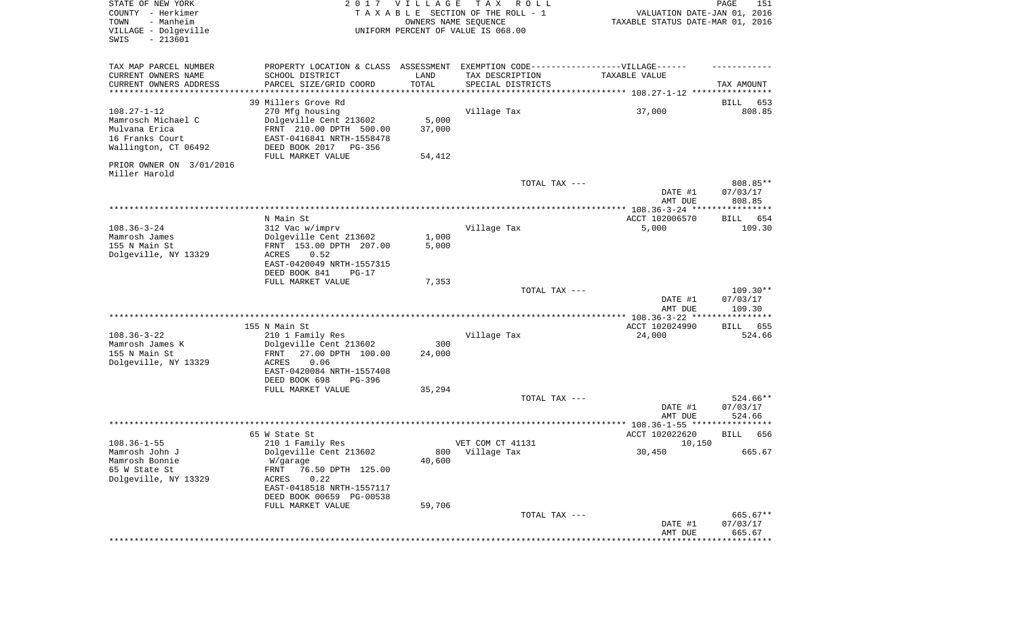| STATE OF NEW YORK<br>COUNTY - Herkimer<br>- Manheim<br>TOWN<br>VILLAGE - Dolgeville<br>$-213601$<br>SWIS |                                            | 2017 VILLAGE<br>OWNERS NAME SEQUENCE | T A X<br>R O L L<br>TAXABLE SECTION OF THE ROLL - 1<br>UNIFORM PERCENT OF VALUE IS 068.00 | VALUATION DATE-JAN 01, 2016<br>TAXABLE STATUS DATE-MAR 01, 2016 | PAGE<br>151            |
|----------------------------------------------------------------------------------------------------------|--------------------------------------------|--------------------------------------|-------------------------------------------------------------------------------------------|-----------------------------------------------------------------|------------------------|
| TAX MAP PARCEL NUMBER                                                                                    | PROPERTY LOCATION & CLASS ASSESSMENT       |                                      |                                                                                           | EXEMPTION CODE------------------VILLAGE------                   |                        |
| CURRENT OWNERS NAME<br>CURRENT OWNERS ADDRESS                                                            | SCHOOL DISTRICT<br>PARCEL SIZE/GRID COORD  | LAND<br>TOTAL                        | TAX DESCRIPTION<br>SPECIAL DISTRICTS                                                      | TAXABLE VALUE                                                   | TAX AMOUNT             |
| *********************                                                                                    |                                            | ***********                          |                                                                                           |                                                                 |                        |
|                                                                                                          | 39 Millers Grove Rd                        |                                      |                                                                                           |                                                                 | BILL<br>653            |
| $108.27 - 1 - 12$                                                                                        | 270 Mfg housing                            |                                      | Village Tax                                                                               | 37,000                                                          | 808.85                 |
| Mamrosch Michael C                                                                                       | Dolgeville Cent 213602                     | 5,000                                |                                                                                           |                                                                 |                        |
| Mulvana Erica                                                                                            | FRNT 210.00 DPTH 500.00                    | 37,000                               |                                                                                           |                                                                 |                        |
| 16 Franks Court                                                                                          | EAST-0416841 NRTH-1558478                  |                                      |                                                                                           |                                                                 |                        |
| Wallington, CT 06492                                                                                     | DEED BOOK 2017 PG-356                      |                                      |                                                                                           |                                                                 |                        |
| PRIOR OWNER ON 3/01/2016                                                                                 | FULL MARKET VALUE                          | 54,412                               |                                                                                           |                                                                 |                        |
| Miller Harold                                                                                            |                                            |                                      |                                                                                           |                                                                 |                        |
|                                                                                                          |                                            |                                      | TOTAL TAX ---                                                                             |                                                                 | 808.85**               |
|                                                                                                          |                                            |                                      |                                                                                           | DATE #1                                                         | 07/03/17               |
|                                                                                                          |                                            |                                      |                                                                                           | AMT DUE                                                         | 808.85                 |
|                                                                                                          |                                            |                                      |                                                                                           |                                                                 |                        |
| $108.36 - 3 - 24$                                                                                        | N Main St<br>312 Vac w/imprv               |                                      | Village Tax                                                                               | ACCT 102006570<br>5,000                                         | 654<br>BILL<br>109.30  |
| Mamrosh James                                                                                            | Dolgeville Cent 213602                     | 1,000                                |                                                                                           |                                                                 |                        |
| 155 N Main St                                                                                            | FRNT 153.00 DPTH 207.00                    | 5,000                                |                                                                                           |                                                                 |                        |
| Dolgeville, NY 13329                                                                                     | ACRES<br>0.52                              |                                      |                                                                                           |                                                                 |                        |
|                                                                                                          | EAST-0420049 NRTH-1557315                  |                                      |                                                                                           |                                                                 |                        |
|                                                                                                          | DEED BOOK 841<br>$PG-17$                   |                                      |                                                                                           |                                                                 |                        |
|                                                                                                          | FULL MARKET VALUE                          | 7,353                                |                                                                                           |                                                                 |                        |
|                                                                                                          |                                            |                                      | TOTAL TAX ---                                                                             | DATE #1                                                         | $109.30**$<br>07/03/17 |
|                                                                                                          |                                            |                                      |                                                                                           | AMT DUE                                                         | 109.30                 |
|                                                                                                          |                                            |                                      |                                                                                           | *************** 108.36-3-22 ****************                    |                        |
|                                                                                                          | 155 N Main St                              |                                      |                                                                                           | ACCT 102024990                                                  | <b>BILL</b><br>655     |
| $108.36 - 3 - 22$                                                                                        | 210 1 Family Res                           |                                      | Village Tax                                                                               | 24,000                                                          | 524.66                 |
| Mamrosh James K                                                                                          | Dolgeville Cent 213602                     | 300                                  |                                                                                           |                                                                 |                        |
| 155 N Main St                                                                                            | 27.00 DPTH 100.00<br>FRNT                  | 24,000                               |                                                                                           |                                                                 |                        |
| Dolgeville, NY 13329                                                                                     | 0.06<br>ACRES<br>EAST-0420084 NRTH-1557408 |                                      |                                                                                           |                                                                 |                        |
|                                                                                                          | DEED BOOK 698<br>PG-396                    |                                      |                                                                                           |                                                                 |                        |
|                                                                                                          | FULL MARKET VALUE                          | 35,294                               |                                                                                           |                                                                 |                        |
|                                                                                                          |                                            |                                      | TOTAL TAX ---                                                                             |                                                                 | 524.66**               |
|                                                                                                          |                                            |                                      |                                                                                           | DATE #1                                                         | 07/03/17               |
|                                                                                                          |                                            |                                      |                                                                                           | AMT DUE                                                         | 524.66                 |
|                                                                                                          |                                            |                                      |                                                                                           |                                                                 |                        |
| $108.36 - 1 - 55$                                                                                        | 65 W State St<br>210 1 Family Res          |                                      | VET COM CT 41131                                                                          | ACCT 102022620<br>10,150                                        | 656<br>BILL            |
| Mamrosh John J                                                                                           | Dolgeville Cent 213602                     |                                      | 800 Village Tax                                                                           | 30,450                                                          | 665.67                 |
| Mamrosh Bonnie                                                                                           | W/garage                                   | 40,600                               |                                                                                           |                                                                 |                        |
| 65 W State St                                                                                            | FRNT<br>76.50 DPTH 125.00                  |                                      |                                                                                           |                                                                 |                        |
| Dolgeville, NY 13329                                                                                     | 0.22<br>ACRES                              |                                      |                                                                                           |                                                                 |                        |
|                                                                                                          | EAST-0418518 NRTH-1557117                  |                                      |                                                                                           |                                                                 |                        |
|                                                                                                          | DEED BOOK 00659 PG-00538                   |                                      |                                                                                           |                                                                 |                        |
|                                                                                                          | FULL MARKET VALUE                          | 59,706                               |                                                                                           |                                                                 | 665.67**               |
|                                                                                                          |                                            |                                      | TOTAL TAX ---                                                                             | DATE #1                                                         | 07/03/17               |
|                                                                                                          |                                            |                                      |                                                                                           | AMT DUE                                                         | 665.67                 |
|                                                                                                          |                                            |                                      |                                                                                           |                                                                 |                        |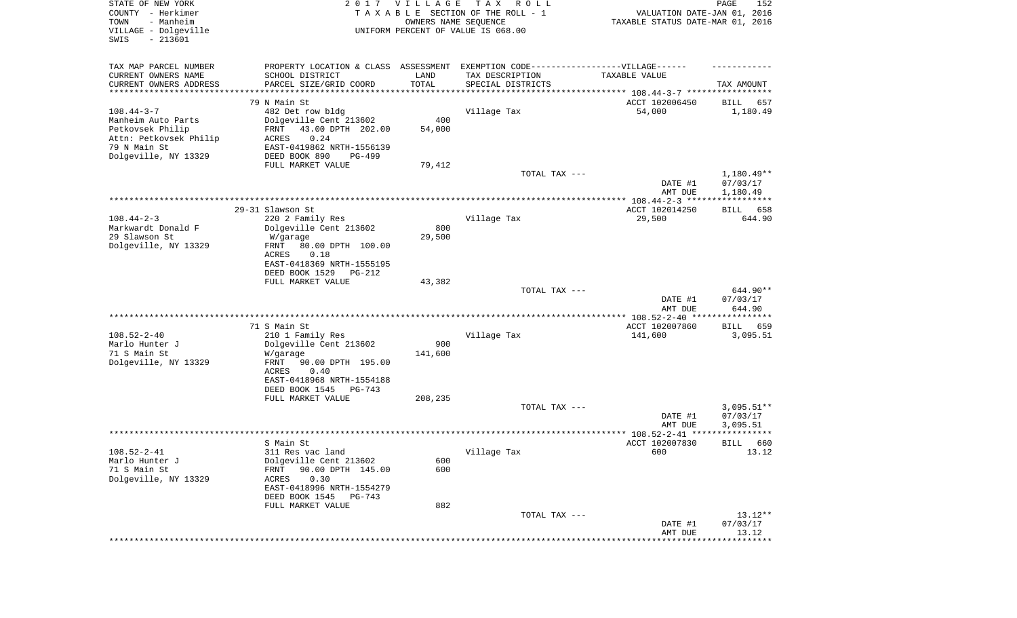| STATE OF NEW YORK<br>COUNTY - Herkimer<br>- Manheim<br>TOWN<br>VILLAGE - Dolgeville<br>SWIS<br>$-213601$ |                                                                                  | 2017 VILLAGE<br>OWNERS NAME SEQUENCE | T A X<br>R O L L<br>TAXABLE SECTION OF THE ROLL - 1<br>UNIFORM PERCENT OF VALUE IS 068.00 | VALUATION DATE-JAN 01, 2016<br>TAXABLE STATUS DATE-MAR 01, 2016 | PAGE<br>152              |
|----------------------------------------------------------------------------------------------------------|----------------------------------------------------------------------------------|--------------------------------------|-------------------------------------------------------------------------------------------|-----------------------------------------------------------------|--------------------------|
| TAX MAP PARCEL NUMBER                                                                                    | PROPERTY LOCATION & CLASS ASSESSMENT EXEMPTION CODE----------------VILLAGE------ |                                      |                                                                                           |                                                                 |                          |
| CURRENT OWNERS NAME<br>CURRENT OWNERS ADDRESS                                                            | SCHOOL DISTRICT<br>PARCEL SIZE/GRID COORD                                        | LAND<br>TOTAL                        | TAX DESCRIPTION<br>SPECIAL DISTRICTS                                                      | TAXABLE VALUE                                                   | TAX AMOUNT               |
| *********************                                                                                    |                                                                                  | * * * * * * * * * * *                |                                                                                           |                                                                 |                          |
|                                                                                                          | 79 N Main St                                                                     |                                      |                                                                                           | ACCT 102006450                                                  | 657<br>BILL              |
| $108.44 - 3 - 7$                                                                                         | 482 Det row bldg                                                                 |                                      | Village Tax                                                                               | 54,000                                                          | 1,180.49                 |
| Manheim Auto Parts                                                                                       | Dolgeville Cent 213602<br>FRNT                                                   | 400                                  |                                                                                           |                                                                 |                          |
| Petkovsek Philip<br>Attn: Petkovsek Philip                                                               | 43.00 DPTH 202.00<br>0.24<br>ACRES                                               | 54,000                               |                                                                                           |                                                                 |                          |
| 79 N Main St                                                                                             | EAST-0419862 NRTH-1556139                                                        |                                      |                                                                                           |                                                                 |                          |
| Dolgeville, NY 13329                                                                                     | DEED BOOK 890<br>PG-499                                                          |                                      |                                                                                           |                                                                 |                          |
|                                                                                                          | FULL MARKET VALUE                                                                | 79,412                               |                                                                                           |                                                                 |                          |
|                                                                                                          |                                                                                  |                                      | TOTAL TAX ---                                                                             | DATE #1                                                         | $1,180.49**$<br>07/03/17 |
|                                                                                                          |                                                                                  |                                      |                                                                                           | AMT DUE                                                         | 1,180.49                 |
|                                                                                                          | 29-31 Slawson St                                                                 |                                      |                                                                                           | ACCT 102014250                                                  | 658<br>BILL              |
| $108.44 - 2 - 3$                                                                                         | 220 2 Family Res                                                                 |                                      | Village Tax                                                                               | 29,500                                                          | 644.90                   |
| Markwardt Donald F                                                                                       | Dolgeville Cent 213602                                                           | 800                                  |                                                                                           |                                                                 |                          |
| 29 Slawson St                                                                                            | W/garage                                                                         | 29,500                               |                                                                                           |                                                                 |                          |
| Dolgeville, NY 13329                                                                                     | FRNT<br>80.00 DPTH 100.00                                                        |                                      |                                                                                           |                                                                 |                          |
|                                                                                                          | ACRES<br>0.18                                                                    |                                      |                                                                                           |                                                                 |                          |
|                                                                                                          | EAST-0418369 NRTH-1555195                                                        |                                      |                                                                                           |                                                                 |                          |
|                                                                                                          | DEED BOOK 1529<br>$PG-212$                                                       |                                      |                                                                                           |                                                                 |                          |
|                                                                                                          | FULL MARKET VALUE                                                                | 43,382                               |                                                                                           |                                                                 | 644.90**                 |
|                                                                                                          |                                                                                  |                                      | TOTAL TAX ---                                                                             | DATE #1                                                         | 07/03/17                 |
|                                                                                                          |                                                                                  |                                      |                                                                                           | AMT DUE                                                         | 644.90                   |
|                                                                                                          |                                                                                  |                                      |                                                                                           | *********** 108.52-2-40 *****************                       |                          |
|                                                                                                          | 71 S Main St                                                                     |                                      |                                                                                           | ACCT 102007860                                                  | 659<br>BILL              |
| $108.52 - 2 - 40$                                                                                        | 210 1 Family Res                                                                 |                                      | Village Tax                                                                               | 141,600                                                         | 3,095.51                 |
| Marlo Hunter J                                                                                           | Dolgeville Cent 213602                                                           | 900                                  |                                                                                           |                                                                 |                          |
| 71 S Main St                                                                                             | W/garage                                                                         | 141,600                              |                                                                                           |                                                                 |                          |
| Dolgeville, NY 13329                                                                                     | FRNT<br>90.00 DPTH 195.00                                                        |                                      |                                                                                           |                                                                 |                          |
|                                                                                                          | ACRES<br>0.40                                                                    |                                      |                                                                                           |                                                                 |                          |
|                                                                                                          | EAST-0418968 NRTH-1554188<br>DEED BOOK 1545<br>PG-743                            |                                      |                                                                                           |                                                                 |                          |
|                                                                                                          | FULL MARKET VALUE                                                                | 208,235                              |                                                                                           |                                                                 |                          |
|                                                                                                          |                                                                                  |                                      | TOTAL TAX ---                                                                             |                                                                 | $3,095.51**$             |
|                                                                                                          |                                                                                  |                                      |                                                                                           | DATE #1                                                         | 07/03/17                 |
|                                                                                                          |                                                                                  |                                      |                                                                                           | AMT DUE                                                         | 3,095.51                 |
|                                                                                                          |                                                                                  |                                      |                                                                                           |                                                                 | ******                   |
|                                                                                                          | S Main St                                                                        |                                      |                                                                                           | ACCT 102007830                                                  | 660<br>BILL              |
| $108.52 - 2 - 41$                                                                                        | 311 Res vac land                                                                 |                                      | Village Tax                                                                               | 600                                                             | 13.12                    |
| Marlo Hunter J                                                                                           | Dolgeville Cent 213602                                                           | 600                                  |                                                                                           |                                                                 |                          |
| 71 S Main St<br>Dolgeville, NY 13329                                                                     | 90.00 DPTH 145.00<br>FRNT                                                        | 600                                  |                                                                                           |                                                                 |                          |
|                                                                                                          | 0.30<br>ACRES<br>EAST-0418996 NRTH-1554279                                       |                                      |                                                                                           |                                                                 |                          |
|                                                                                                          | DEED BOOK 1545<br>PG-743                                                         |                                      |                                                                                           |                                                                 |                          |
|                                                                                                          | FULL MARKET VALUE                                                                | 882                                  |                                                                                           |                                                                 |                          |
|                                                                                                          |                                                                                  |                                      | TOTAL TAX ---                                                                             |                                                                 | $13.12**$                |
|                                                                                                          |                                                                                  |                                      |                                                                                           | DATE #1                                                         | 07/03/17                 |
|                                                                                                          |                                                                                  |                                      |                                                                                           | AMT DUE                                                         | 13.12                    |
|                                                                                                          |                                                                                  |                                      |                                                                                           | **************************                                      |                          |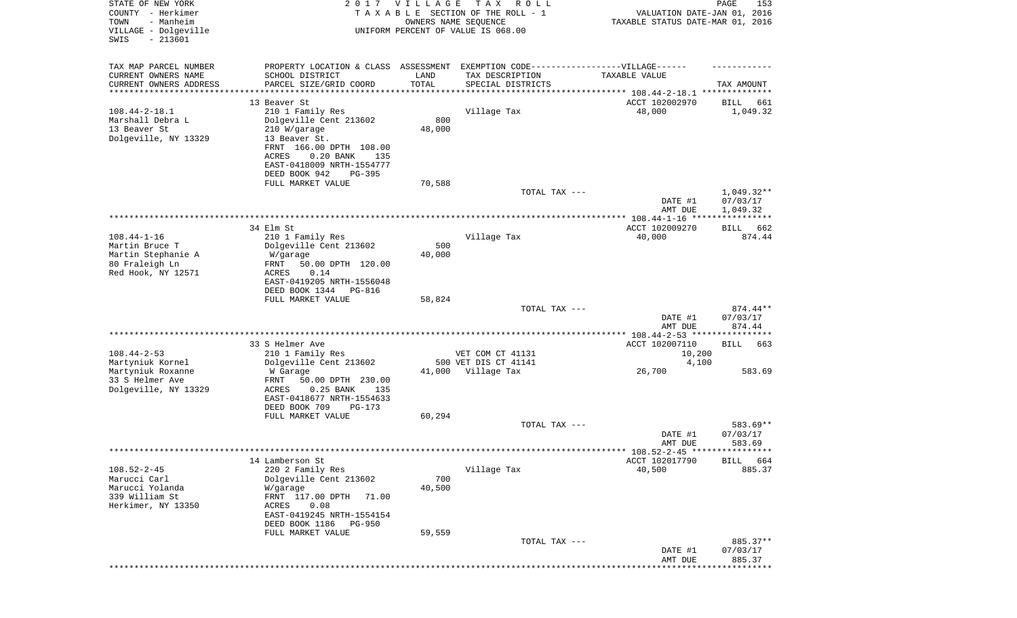| STATE OF NEW YORK<br>COUNTY - Herkimer<br>- Manheim<br>TOWN<br>VILLAGE - Dolgeville<br>$-213601$<br>SWIS | 2017                                                                              | VILLAGE<br>OWNERS NAME SEQUENCE | T A X<br>R O L L<br>TAXABLE SECTION OF THE ROLL - 1<br>UNIFORM PERCENT OF VALUE IS 068.00 | VALUATION DATE-JAN 01, 2016<br>TAXABLE STATUS DATE-MAR 01, 2016 | PAGE<br>153             |
|----------------------------------------------------------------------------------------------------------|-----------------------------------------------------------------------------------|---------------------------------|-------------------------------------------------------------------------------------------|-----------------------------------------------------------------|-------------------------|
| TAX MAP PARCEL NUMBER                                                                                    | PROPERTY LOCATION & CLASS ASSESSMENT EXEMPTION CODE-----------------VILLAGE------ |                                 |                                                                                           |                                                                 |                         |
| CURRENT OWNERS NAME                                                                                      | SCHOOL DISTRICT                                                                   | LAND                            | TAX DESCRIPTION                                                                           | TAXABLE VALUE                                                   |                         |
| CURRENT OWNERS ADDRESS<br>********************                                                           | PARCEL SIZE/GRID COORD                                                            | TOTAL                           | SPECIAL DISTRICTS                                                                         |                                                                 | TAX AMOUNT              |
|                                                                                                          |                                                                                   |                                 |                                                                                           |                                                                 |                         |
| $108.44 - 2 - 18.1$                                                                                      | 13 Beaver St<br>210 1 Family Res                                                  |                                 | Village Tax                                                                               | ACCT 102002970<br>48,000                                        | BILL<br>661<br>1,049.32 |
| Marshall Debra L                                                                                         | Dolgeville Cent 213602                                                            | 800                             |                                                                                           |                                                                 |                         |
| 13 Beaver St                                                                                             | 210 W/garage                                                                      | 48,000                          |                                                                                           |                                                                 |                         |
| Dolgeville, NY 13329                                                                                     | 13 Beaver St.                                                                     |                                 |                                                                                           |                                                                 |                         |
|                                                                                                          | FRNT 166.00 DPTH 108.00                                                           |                                 |                                                                                           |                                                                 |                         |
|                                                                                                          | ACRES<br>$0.20$ BANK<br>135                                                       |                                 |                                                                                           |                                                                 |                         |
|                                                                                                          | EAST-0418009 NRTH-1554777<br>DEED BOOK 942<br>PG-395                              |                                 |                                                                                           |                                                                 |                         |
|                                                                                                          | FULL MARKET VALUE                                                                 | 70,588                          |                                                                                           |                                                                 |                         |
|                                                                                                          |                                                                                   |                                 | TOTAL TAX ---                                                                             |                                                                 | $1,049.32**$            |
|                                                                                                          |                                                                                   |                                 |                                                                                           | DATE #1                                                         | 07/03/17                |
|                                                                                                          |                                                                                   |                                 |                                                                                           | AMT DUE                                                         | 1,049.32                |
|                                                                                                          |                                                                                   |                                 |                                                                                           |                                                                 |                         |
| $108.44 - 1 - 16$                                                                                        | 34 Elm St                                                                         |                                 | Village Tax                                                                               | ACCT 102009270                                                  | 662<br>BILL<br>874.44   |
| Martin Bruce T                                                                                           | 210 1 Family Res<br>Dolgeville Cent 213602                                        | 500                             |                                                                                           | 40,000                                                          |                         |
| Martin Stephanie A                                                                                       | W/garage                                                                          | 40,000                          |                                                                                           |                                                                 |                         |
| 80 Fraleigh Ln                                                                                           | FRNT<br>50.00 DPTH 120.00                                                         |                                 |                                                                                           |                                                                 |                         |
| Red Hook, NY 12571                                                                                       | 0.14<br>ACRES                                                                     |                                 |                                                                                           |                                                                 |                         |
|                                                                                                          | EAST-0419205 NRTH-1556048                                                         |                                 |                                                                                           |                                                                 |                         |
|                                                                                                          | DEED BOOK 1344<br>PG-816<br>FULL MARKET VALUE                                     | 58,824                          |                                                                                           |                                                                 |                         |
|                                                                                                          |                                                                                   |                                 | TOTAL TAX ---                                                                             |                                                                 | 874.44**                |
|                                                                                                          |                                                                                   |                                 |                                                                                           | DATE #1<br>AMT DUE                                              | 07/03/17<br>874.44      |
|                                                                                                          |                                                                                   |                                 |                                                                                           |                                                                 |                         |
|                                                                                                          | 33 S Helmer Ave                                                                   |                                 |                                                                                           | ACCT 102007110                                                  | BILL<br>663             |
| $108.44 - 2 - 53$                                                                                        | 210 1 Family Res                                                                  |                                 | VET COM CT 41131                                                                          | 10,200                                                          |                         |
| Martyniuk Kornel                                                                                         | Dolgeville Cent 213602                                                            |                                 | 500 VET DIS CT 41141                                                                      | 4,100                                                           |                         |
| Martyniuk Roxanne                                                                                        | W Garage                                                                          | 41,000                          | Village Tax                                                                               | 26,700                                                          | 583.69                  |
| 33 S Helmer Ave                                                                                          | FRNT<br>50.00 DPTH 230.00                                                         |                                 |                                                                                           |                                                                 |                         |
| Dolgeville, NY 13329                                                                                     | $0.25$ BANK<br>ACRES<br>135<br>EAST-0418677 NRTH-1554633                          |                                 |                                                                                           |                                                                 |                         |
|                                                                                                          | DEED BOOK 709<br>PG-173                                                           |                                 |                                                                                           |                                                                 |                         |
|                                                                                                          | FULL MARKET VALUE                                                                 | 60,294                          |                                                                                           |                                                                 |                         |
|                                                                                                          |                                                                                   |                                 | TOTAL TAX ---                                                                             |                                                                 | 583.69**                |
|                                                                                                          |                                                                                   |                                 |                                                                                           | DATE #1                                                         | 07/03/17                |
|                                                                                                          |                                                                                   |                                 |                                                                                           | AMT DUE                                                         | 583.69                  |
|                                                                                                          | 14 Lamberson St                                                                   |                                 |                                                                                           | ******* 108.52-2-45 *****************<br>ACCT 102017790         | <b>BILL</b><br>664      |
| $108.52 - 2 - 45$                                                                                        | 220 2 Family Res                                                                  |                                 | Village Tax                                                                               | 40,500                                                          | 885.37                  |
| Marucci Carl                                                                                             | Dolgeville Cent 213602                                                            | 700                             |                                                                                           |                                                                 |                         |
| Marucci Yolanda                                                                                          | W/garage                                                                          | 40,500                          |                                                                                           |                                                                 |                         |
| 339 William St                                                                                           | FRNT 117.00 DPTH<br>71.00                                                         |                                 |                                                                                           |                                                                 |                         |
| Herkimer, NY 13350                                                                                       | 0.08<br>ACRES                                                                     |                                 |                                                                                           |                                                                 |                         |
|                                                                                                          | EAST-0419245 NRTH-1554154<br>DEED BOOK 1186<br><b>PG-950</b>                      |                                 |                                                                                           |                                                                 |                         |
|                                                                                                          | FULL MARKET VALUE                                                                 | 59,559                          |                                                                                           |                                                                 |                         |
|                                                                                                          |                                                                                   |                                 | TOTAL TAX ---                                                                             |                                                                 | 885.37**                |
|                                                                                                          |                                                                                   |                                 |                                                                                           | DATE #1                                                         | 07/03/17                |
|                                                                                                          |                                                                                   |                                 |                                                                                           | AMT DUE                                                         | 885.37                  |
|                                                                                                          |                                                                                   |                                 |                                                                                           |                                                                 |                         |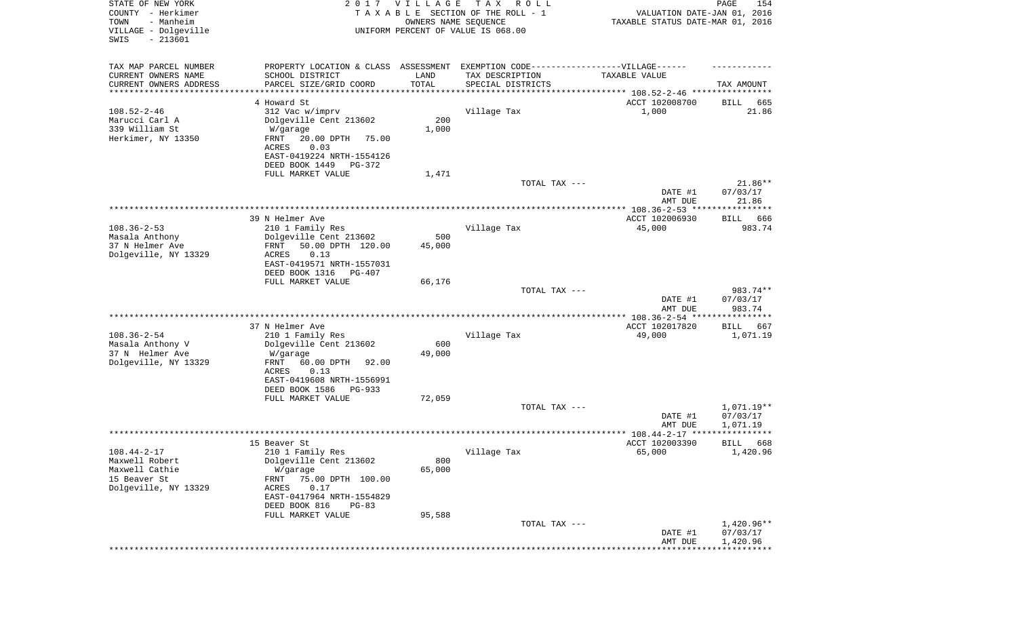| STATE OF NEW YORK<br>COUNTY - Herkimer<br>- Manheim<br>TOWN<br>VILLAGE - Dolgeville<br>SWIS<br>$-213601$ |                                                                                   | 2017 VILLAGE<br>OWNERS NAME SEQUENCE | T A X<br>R O L L<br>TAXABLE SECTION OF THE ROLL - 1<br>UNIFORM PERCENT OF VALUE IS 068.00 | VALUATION DATE-JAN 01, 2016<br>TAXABLE STATUS DATE-MAR 01, 2016 | PAGE<br>154             |
|----------------------------------------------------------------------------------------------------------|-----------------------------------------------------------------------------------|--------------------------------------|-------------------------------------------------------------------------------------------|-----------------------------------------------------------------|-------------------------|
| TAX MAP PARCEL NUMBER                                                                                    | PROPERTY LOCATION & CLASS ASSESSMENT EXEMPTION CODE-----------------VILLAGE------ |                                      |                                                                                           |                                                                 |                         |
| CURRENT OWNERS NAME                                                                                      | SCHOOL DISTRICT                                                                   | LAND                                 | TAX DESCRIPTION                                                                           | TAXABLE VALUE                                                   |                         |
| CURRENT OWNERS ADDRESS                                                                                   | PARCEL SIZE/GRID COORD                                                            | TOTAL                                | SPECIAL DISTRICTS                                                                         |                                                                 | TAX AMOUNT              |
| ********************                                                                                     |                                                                                   |                                      |                                                                                           |                                                                 |                         |
|                                                                                                          | 4 Howard St                                                                       |                                      |                                                                                           | ACCT 102008700                                                  | BILL<br>665             |
| $108.52 - 2 - 46$<br>Marucci Carl A                                                                      | 312 Vac w/imprv                                                                   |                                      | Village Tax                                                                               | 1,000                                                           | 21.86                   |
| 339 William St                                                                                           | Dolgeville Cent 213602<br>W/garage                                                | 200<br>1,000                         |                                                                                           |                                                                 |                         |
| Herkimer, NY 13350                                                                                       | FRNT<br>20.00 DPTH<br>75.00<br>0.03<br>ACRES                                      |                                      |                                                                                           |                                                                 |                         |
|                                                                                                          | EAST-0419224 NRTH-1554126<br>DEED BOOK 1449<br>PG-372                             |                                      |                                                                                           |                                                                 |                         |
|                                                                                                          | FULL MARKET VALUE                                                                 | 1,471                                |                                                                                           |                                                                 |                         |
|                                                                                                          |                                                                                   |                                      | TOTAL TAX ---                                                                             |                                                                 | 21.86**                 |
|                                                                                                          |                                                                                   |                                      |                                                                                           | DATE #1<br>AMT DUE                                              | 07/03/17<br>21.86       |
|                                                                                                          |                                                                                   |                                      |                                                                                           |                                                                 |                         |
|                                                                                                          | 39 N Helmer Ave                                                                   |                                      |                                                                                           | ACCT 102006930                                                  | 666<br>BILL             |
| $108.36 - 2 - 53$<br>Masala Anthony                                                                      | 210 1 Family Res<br>Dolgeville Cent 213602                                        | 500                                  | Village Tax                                                                               | 45,000                                                          | 983.74                  |
| 37 N Helmer Ave                                                                                          | 50.00 DPTH 120.00<br>FRNT                                                         | 45,000                               |                                                                                           |                                                                 |                         |
| Dolgeville, NY 13329                                                                                     | ACRES<br>0.13                                                                     |                                      |                                                                                           |                                                                 |                         |
|                                                                                                          | EAST-0419571 NRTH-1557031<br>DEED BOOK 1316<br>PG-407                             |                                      |                                                                                           |                                                                 |                         |
|                                                                                                          | FULL MARKET VALUE                                                                 | 66,176                               |                                                                                           |                                                                 |                         |
|                                                                                                          |                                                                                   |                                      | TOTAL TAX ---                                                                             |                                                                 | 983.74**                |
|                                                                                                          |                                                                                   |                                      |                                                                                           | DATE #1<br>AMT DUE                                              | 07/03/17<br>983.74      |
|                                                                                                          |                                                                                   |                                      |                                                                                           | ************ 108.36-2-54 ****                                   | * * * * * * * * * * * * |
|                                                                                                          | 37 N Helmer Ave                                                                   |                                      |                                                                                           | ACCT 102017820                                                  | BILL<br>667             |
| $108.36 - 2 - 54$                                                                                        | 210 1 Family Res                                                                  |                                      | Village Tax                                                                               | 49,000                                                          | 1,071.19                |
| Masala Anthony V                                                                                         | Dolgeville Cent 213602                                                            | 600                                  |                                                                                           |                                                                 |                         |
| 37 N Helmer Ave                                                                                          | W/garage                                                                          | 49,000                               |                                                                                           |                                                                 |                         |
| Dolgeville, NY 13329                                                                                     | FRNT<br>60.00 DPTH<br>92.00<br>ACRES<br>0.13                                      |                                      |                                                                                           |                                                                 |                         |
|                                                                                                          | EAST-0419608 NRTH-1556991                                                         |                                      |                                                                                           |                                                                 |                         |
|                                                                                                          | DEED BOOK 1586<br>PG-933                                                          |                                      |                                                                                           |                                                                 |                         |
|                                                                                                          | FULL MARKET VALUE                                                                 | 72,059                               |                                                                                           |                                                                 |                         |
|                                                                                                          |                                                                                   |                                      | TOTAL TAX ---                                                                             |                                                                 | 1,071.19**              |
|                                                                                                          |                                                                                   |                                      |                                                                                           | DATE #1<br>AMT DUE                                              | 07/03/17<br>1,071.19    |
|                                                                                                          |                                                                                   |                                      |                                                                                           | ***************** 108.44-2-17 ****                              | ****                    |
|                                                                                                          | 15 Beaver St                                                                      |                                      |                                                                                           | ACCT 102003390                                                  | 668<br>BILL             |
| $108.44 - 2 - 17$                                                                                        | 210 1 Family Res                                                                  |                                      | Village Tax                                                                               | 65,000                                                          | 1,420.96                |
| Maxwell Robert                                                                                           | Dolgeville Cent 213602                                                            | 800                                  |                                                                                           |                                                                 |                         |
| Maxwell Cathie<br>15 Beaver St                                                                           | W/garage<br>FRNT                                                                  | 65,000                               |                                                                                           |                                                                 |                         |
| Dolgeville, NY 13329                                                                                     | 75.00 DPTH 100.00<br>ACRES<br>0.17                                                |                                      |                                                                                           |                                                                 |                         |
|                                                                                                          | EAST-0417964 NRTH-1554829                                                         |                                      |                                                                                           |                                                                 |                         |
|                                                                                                          | DEED BOOK 816<br>$PG-83$                                                          |                                      |                                                                                           |                                                                 |                         |
|                                                                                                          | FULL MARKET VALUE                                                                 | 95,588                               |                                                                                           |                                                                 |                         |
|                                                                                                          |                                                                                   |                                      | TOTAL TAX ---                                                                             |                                                                 | 1,420.96**              |
|                                                                                                          |                                                                                   |                                      |                                                                                           | DATE #1<br>AMT DUE                                              | 07/03/17<br>1,420.96    |
|                                                                                                          |                                                                                   |                                      |                                                                                           |                                                                 |                         |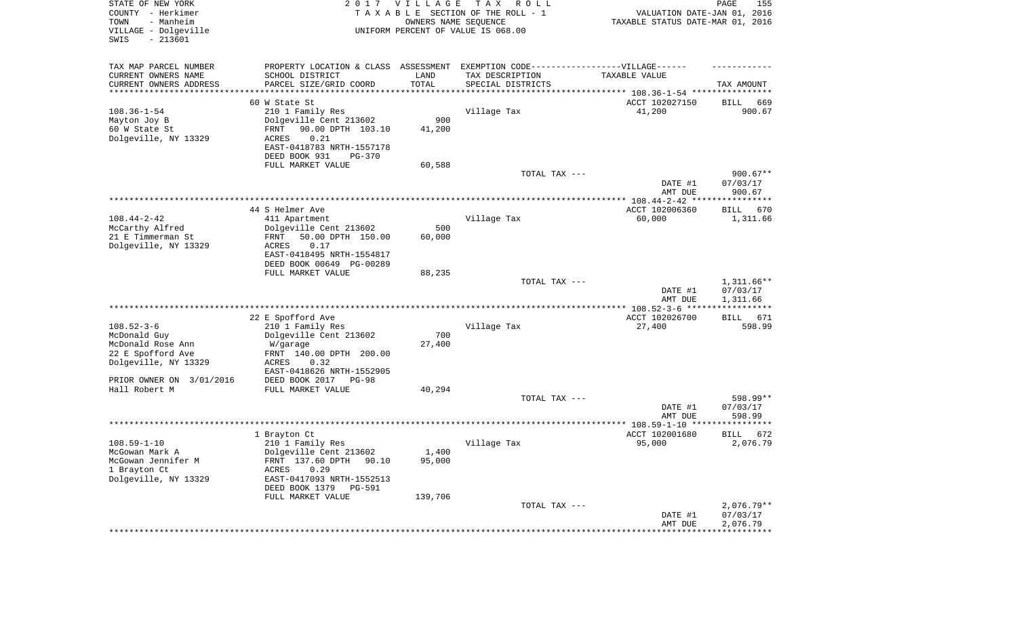| STATE OF NEW YORK<br>COUNTY - Herkimer<br>TOWN<br>- Manheim<br>VILLAGE - Dolgeville<br>SWIS<br>$-213601$ | 2017                                                | <b>VILLAGE</b><br>OWNERS NAME SEQUENCE | T A X<br>R O L L<br>TAXABLE SECTION OF THE ROLL - 1<br>UNIFORM PERCENT OF VALUE IS 068.00 | VALUATION DATE-JAN 01, 2016<br>TAXABLE STATUS DATE-MAR 01, 2016 | 155<br>PAGE              |
|----------------------------------------------------------------------------------------------------------|-----------------------------------------------------|----------------------------------------|-------------------------------------------------------------------------------------------|-----------------------------------------------------------------|--------------------------|
| TAX MAP PARCEL NUMBER                                                                                    | PROPERTY LOCATION & CLASS ASSESSMENT                |                                        | EXEMPTION CODE-----------------VILLAGE------                                              |                                                                 |                          |
| CURRENT OWNERS NAME<br>CURRENT OWNERS ADDRESS                                                            | SCHOOL DISTRICT<br>PARCEL SIZE/GRID COORD           | LAND<br>TOTAL                          | TAX DESCRIPTION<br>SPECIAL DISTRICTS                                                      | TAXABLE VALUE                                                   | TAX AMOUNT               |
| ********************                                                                                     |                                                     |                                        |                                                                                           |                                                                 |                          |
|                                                                                                          | 60 W State St                                       |                                        |                                                                                           | ACCT 102027150                                                  | 669<br>BILL              |
| $108.36 - 1 - 54$<br>Mayton Joy B                                                                        | 210 1 Family Res                                    | 900                                    | Village Tax                                                                               | 41,200                                                          | 900.67                   |
| 60 W State St                                                                                            | Dolgeville Cent 213602<br>90.00 DPTH 103.10<br>FRNT | 41,200                                 |                                                                                           |                                                                 |                          |
| Dolgeville, NY 13329                                                                                     | <b>ACRES</b><br>0.21                                |                                        |                                                                                           |                                                                 |                          |
|                                                                                                          | EAST-0418783 NRTH-1557178                           |                                        |                                                                                           |                                                                 |                          |
|                                                                                                          | DEED BOOK 931<br>$PG-370$                           |                                        |                                                                                           |                                                                 |                          |
|                                                                                                          | FULL MARKET VALUE                                   | 60,588                                 |                                                                                           |                                                                 |                          |
|                                                                                                          |                                                     |                                        | TOTAL TAX ---                                                                             | DATE #1                                                         | $900.67**$<br>07/03/17   |
|                                                                                                          |                                                     |                                        |                                                                                           | AMT DUE                                                         | 900.67                   |
|                                                                                                          |                                                     |                                        |                                                                                           |                                                                 |                          |
|                                                                                                          | 44 S Helmer Ave                                     |                                        |                                                                                           | ACCT 102006360                                                  | BILL<br>670              |
| $108.44 - 2 - 42$                                                                                        | 411 Apartment                                       |                                        | Village Tax                                                                               | 60,000                                                          | 1,311.66                 |
| McCarthy Alfred<br>21 E Timmerman St                                                                     | Dolgeville Cent 213602<br>50.00 DPTH 150.00<br>FRNT | 500<br>60,000                          |                                                                                           |                                                                 |                          |
| Dolgeville, NY 13329                                                                                     | 0.17<br>ACRES                                       |                                        |                                                                                           |                                                                 |                          |
|                                                                                                          | EAST-0418495 NRTH-1554817                           |                                        |                                                                                           |                                                                 |                          |
|                                                                                                          | DEED BOOK 00649 PG-00289                            |                                        |                                                                                           |                                                                 |                          |
|                                                                                                          | FULL MARKET VALUE                                   | 88,235                                 | TOTAL TAX ---                                                                             |                                                                 |                          |
|                                                                                                          |                                                     |                                        |                                                                                           | DATE #1                                                         | $1,311.66**$<br>07/03/17 |
|                                                                                                          |                                                     |                                        |                                                                                           | AMT DUE                                                         | 1,311.66                 |
|                                                                                                          |                                                     |                                        |                                                                                           |                                                                 |                          |
|                                                                                                          | 22 E Spofford Ave                                   |                                        |                                                                                           | ACCT 102026700                                                  | <b>BILL</b><br>671       |
| $108.52 - 3 - 6$<br>McDonald Guy                                                                         | 210 1 Family Res<br>Dolgeville Cent 213602          | 700                                    | Village Tax                                                                               | 27,400                                                          | 598.99                   |
| McDonald Rose Ann                                                                                        | W/garage                                            | 27,400                                 |                                                                                           |                                                                 |                          |
| 22 E Spofford Ave                                                                                        | FRNT 140.00 DPTH 200.00                             |                                        |                                                                                           |                                                                 |                          |
| Dolgeville, NY 13329                                                                                     | <b>ACRES</b><br>0.32                                |                                        |                                                                                           |                                                                 |                          |
|                                                                                                          | EAST-0418626 NRTH-1552905                           |                                        |                                                                                           |                                                                 |                          |
| PRIOR OWNER ON 3/01/2016<br>Hall Robert M                                                                | DEED BOOK 2017<br>$PG-98$<br>FULL MARKET VALUE      | 40,294                                 |                                                                                           |                                                                 |                          |
|                                                                                                          |                                                     |                                        | TOTAL TAX ---                                                                             |                                                                 | 598.99**                 |
|                                                                                                          |                                                     |                                        |                                                                                           | DATE #1                                                         | 07/03/17                 |
|                                                                                                          |                                                     |                                        |                                                                                           | AMT DUE                                                         | 598.99                   |
|                                                                                                          |                                                     |                                        |                                                                                           | **************** 108.59-1-10 ******                             | *********                |
| $108.59 - 1 - 10$                                                                                        | 1 Brayton Ct<br>210 1 Family Res                    |                                        | Village Tax                                                                               | ACCT 102001680<br>95,000                                        | BILL<br>672<br>2,076.79  |
| McGowan Mark A                                                                                           | Dolgeville Cent 213602                              | 1,400                                  |                                                                                           |                                                                 |                          |
| McGowan Jennifer M                                                                                       | FRNT 137.60 DPTH 90.10                              | 95,000                                 |                                                                                           |                                                                 |                          |
| 1 Brayton Ct                                                                                             | ACRES<br>0.29                                       |                                        |                                                                                           |                                                                 |                          |
| Dolgeville, NY 13329                                                                                     | EAST-0417093 NRTH-1552513                           |                                        |                                                                                           |                                                                 |                          |
|                                                                                                          | DEED BOOK 1379<br>PG-591<br>FULL MARKET VALUE       | 139,706                                |                                                                                           |                                                                 |                          |
|                                                                                                          |                                                     |                                        | TOTAL TAX ---                                                                             |                                                                 | $2,076.79**$             |
|                                                                                                          |                                                     |                                        |                                                                                           | DATE #1                                                         | 07/03/17                 |
|                                                                                                          |                                                     |                                        |                                                                                           | AMT DUE                                                         | 2,076.79                 |
|                                                                                                          |                                                     |                                        |                                                                                           |                                                                 |                          |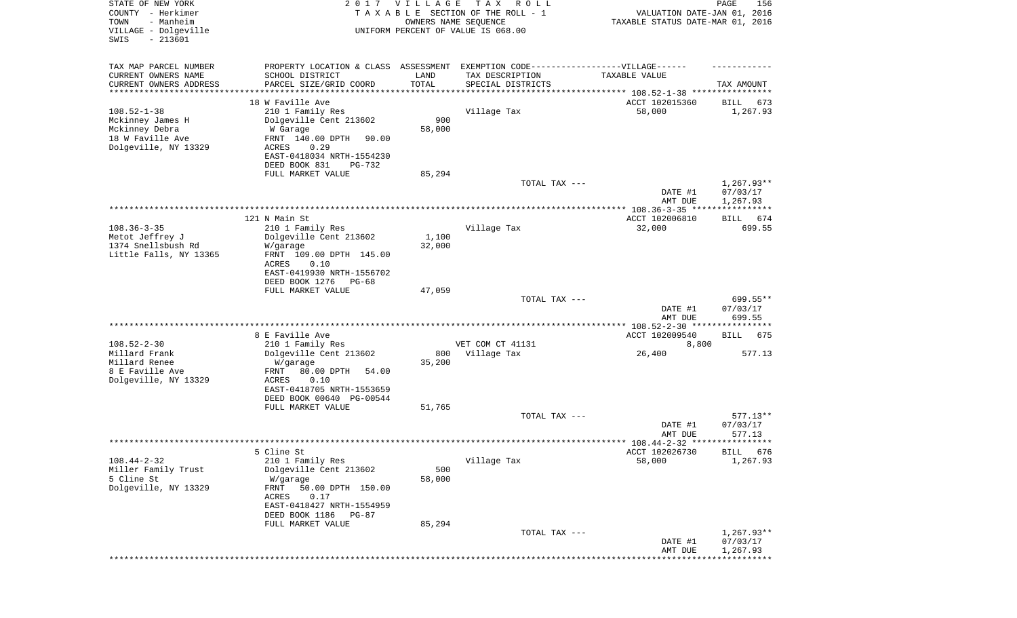| STATE OF NEW YORK<br>COUNTY - Herkimer<br>- Manheim<br>TOWN<br>VILLAGE - Dolgeville<br>SWIS<br>$-213601$ | 2017                                                 | <b>VILLAGE</b><br>OWNERS NAME SEQUENCE | T A X<br>R O L L<br>TAXABLE SECTION OF THE ROLL - 1<br>UNIFORM PERCENT OF VALUE IS 068.00 | VALUATION DATE-JAN 01, 2016<br>TAXABLE STATUS DATE-MAR 01, 2016  | PAGE<br>156              |
|----------------------------------------------------------------------------------------------------------|------------------------------------------------------|----------------------------------------|-------------------------------------------------------------------------------------------|------------------------------------------------------------------|--------------------------|
| TAX MAP PARCEL NUMBER                                                                                    | PROPERTY LOCATION & CLASS ASSESSMENT                 |                                        | EXEMPTION CODE------------------VILLAGE------                                             |                                                                  |                          |
| CURRENT OWNERS NAME                                                                                      | SCHOOL DISTRICT                                      | LAND                                   | TAX DESCRIPTION                                                                           | TAXABLE VALUE                                                    |                          |
| CURRENT OWNERS ADDRESS<br>*********************                                                          | PARCEL SIZE/GRID COORD                               | TOTAL<br>* * * * * * * * * * *         | SPECIAL DISTRICTS                                                                         |                                                                  | TAX AMOUNT               |
|                                                                                                          | 18 W Faville Ave                                     |                                        |                                                                                           | ACCT 102015360                                                   | 673<br>BILL              |
| $108.52 - 1 - 38$                                                                                        | 210 1 Family Res                                     |                                        | Village Tax                                                                               | 58,000                                                           | 1,267.93                 |
| Mckinney James H                                                                                         | Dolgeville Cent 213602                               | 900                                    |                                                                                           |                                                                  |                          |
| Mckinney Debra<br>18 W Faville Ave                                                                       | W Garage                                             | 58,000                                 |                                                                                           |                                                                  |                          |
| Dolgeville, NY 13329                                                                                     | FRNT 140.00 DPTH<br>90.00<br>ACRES<br>0.29           |                                        |                                                                                           |                                                                  |                          |
|                                                                                                          | EAST-0418034 NRTH-1554230                            |                                        |                                                                                           |                                                                  |                          |
|                                                                                                          | DEED BOOK 831<br>PG-732                              |                                        |                                                                                           |                                                                  |                          |
|                                                                                                          | FULL MARKET VALUE                                    | 85,294                                 |                                                                                           |                                                                  |                          |
|                                                                                                          |                                                      |                                        | TOTAL TAX ---                                                                             | DATE #1                                                          | $1,267.93**$<br>07/03/17 |
|                                                                                                          |                                                      |                                        |                                                                                           | AMT DUE                                                          | 1,267.93                 |
|                                                                                                          | 121 N Main St                                        |                                        |                                                                                           | ACCT 102006810                                                   | BILL 674                 |
| $108.36 - 3 - 35$                                                                                        | 210 1 Family Res                                     |                                        | Village Tax                                                                               | 32,000                                                           | 699.55                   |
| Metot Jeffrey J                                                                                          | Dolgeville Cent 213602                               | 1,100                                  |                                                                                           |                                                                  |                          |
| 1374 Snellsbush Rd<br>Little Falls, NY 13365                                                             | W/garage<br>FRNT 109.00 DPTH 145.00                  | 32,000                                 |                                                                                           |                                                                  |                          |
|                                                                                                          | ACRES<br>0.10                                        |                                        |                                                                                           |                                                                  |                          |
|                                                                                                          | EAST-0419930 NRTH-1556702                            |                                        |                                                                                           |                                                                  |                          |
|                                                                                                          | DEED BOOK 1276<br>PG-68                              |                                        |                                                                                           |                                                                  |                          |
|                                                                                                          | FULL MARKET VALUE                                    | 47,059                                 | TOTAL TAX ---                                                                             |                                                                  | 699.55**                 |
|                                                                                                          |                                                      |                                        |                                                                                           | DATE #1                                                          | 07/03/17                 |
|                                                                                                          |                                                      |                                        |                                                                                           | AMT DUE                                                          | 699.55                   |
|                                                                                                          | 8 E Faville Ave                                      |                                        |                                                                                           | **************** 108.52-2-30 *****************<br>ACCT 102009540 | BILL<br>675              |
| $108.52 - 2 - 30$                                                                                        | 210 1 Family Res                                     |                                        | VET COM CT 41131                                                                          | 8,800                                                            |                          |
| Millard Frank                                                                                            | Dolgeville Cent 213602                               | 800                                    | Village Tax                                                                               | 26,400                                                           | 577.13                   |
| Millard Renee                                                                                            | W/garage                                             | 35,200                                 |                                                                                           |                                                                  |                          |
| 8 E Faville Ave<br>Dolgeville, NY 13329                                                                  | FRNT<br>80.00 DPTH<br>54.00<br>ACRES<br>0.10         |                                        |                                                                                           |                                                                  |                          |
|                                                                                                          | EAST-0418705 NRTH-1553659                            |                                        |                                                                                           |                                                                  |                          |
|                                                                                                          | DEED BOOK 00640 PG-00544                             |                                        |                                                                                           |                                                                  |                          |
|                                                                                                          | FULL MARKET VALUE                                    | 51,765                                 |                                                                                           |                                                                  |                          |
|                                                                                                          |                                                      |                                        | TOTAL TAX ---                                                                             | DATE #1                                                          | $577.13**$<br>07/03/17   |
|                                                                                                          |                                                      |                                        |                                                                                           | AMT DUE                                                          | 577.13                   |
|                                                                                                          |                                                      |                                        |                                                                                           |                                                                  |                          |
|                                                                                                          | 5 Cline St                                           |                                        |                                                                                           | ACCT 102026730                                                   | BILL 676                 |
| $108.44 - 2 - 32$<br>Miller Family Trust                                                                 | 210 1 Family Res<br>Dolgeville Cent 213602           | 500                                    | Village Tax                                                                               | 58,000                                                           | 1,267.93                 |
| 5 Cline St                                                                                               | W/garage                                             | 58,000                                 |                                                                                           |                                                                  |                          |
| Dolgeville, NY 13329                                                                                     | FRNT<br>50.00 DPTH 150.00                            |                                        |                                                                                           |                                                                  |                          |
|                                                                                                          | ACRES<br>0.17                                        |                                        |                                                                                           |                                                                  |                          |
|                                                                                                          | EAST-0418427 NRTH-1554959<br>DEED BOOK 1186<br>PG-87 |                                        |                                                                                           |                                                                  |                          |
|                                                                                                          | FULL MARKET VALUE                                    | 85,294                                 |                                                                                           |                                                                  |                          |
|                                                                                                          |                                                      |                                        | TOTAL TAX ---                                                                             |                                                                  | $1,267.93**$             |
|                                                                                                          |                                                      |                                        |                                                                                           | DATE #1<br>AMT DUE                                               | 07/03/17<br>1,267.93     |
|                                                                                                          |                                                      |                                        |                                                                                           |                                                                  | * * * * * * * * * * *    |
|                                                                                                          |                                                      |                                        |                                                                                           |                                                                  |                          |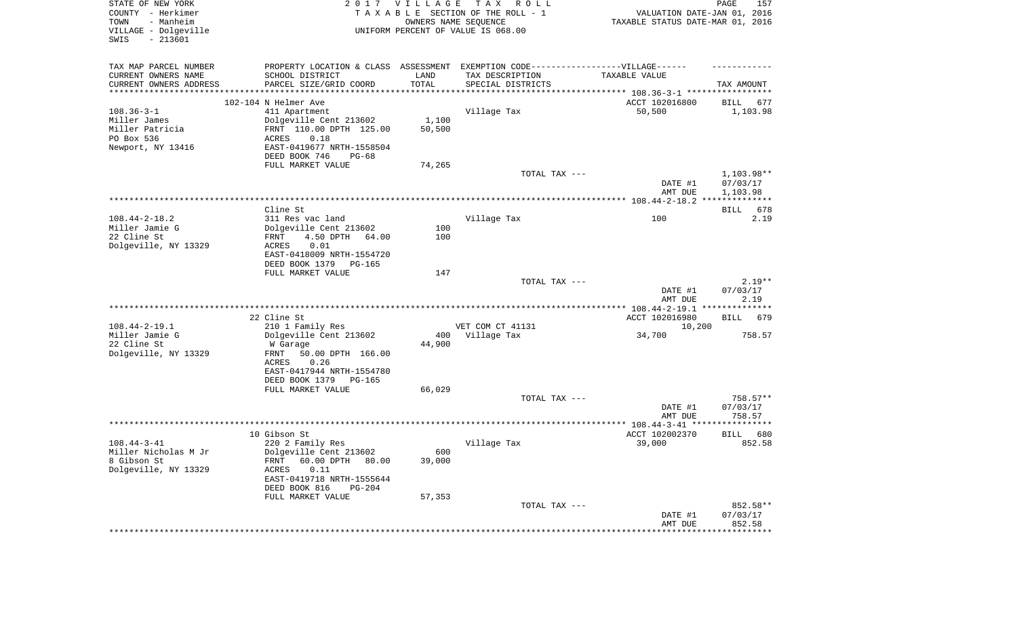| STATE OF NEW YORK<br>COUNTY - Herkimer<br>- Manheim<br>TOWN<br>VILLAGE - Dolgeville<br>SWIS<br>$-213601$ |                                                                                                                                                                      | 2017 VILLAGE<br>OWNERS NAME SEQUENCE | T A X<br>ROLL<br>TAXABLE SECTION OF THE ROLL - 1<br>UNIFORM PERCENT OF VALUE IS 068.00 | VALUATION DATE-JAN 01, 2016<br>TAXABLE STATUS DATE-MAR 01, 2016 | PAGE<br>157                        |
|----------------------------------------------------------------------------------------------------------|----------------------------------------------------------------------------------------------------------------------------------------------------------------------|--------------------------------------|----------------------------------------------------------------------------------------|-----------------------------------------------------------------|------------------------------------|
| TAX MAP PARCEL NUMBER<br>CURRENT OWNERS NAME<br>CURRENT OWNERS ADDRESS                                   | PROPERTY LOCATION & CLASS ASSESSMENT EXEMPTION CODE-----------------VILLAGE------<br>SCHOOL DISTRICT<br>PARCEL SIZE/GRID COORD                                       | LAND<br>TOTAL                        | TAX DESCRIPTION<br>SPECIAL DISTRICTS                                                   | TAXABLE VALUE                                                   | TAX AMOUNT                         |
| ********************                                                                                     | ****************                                                                                                                                                     |                                      |                                                                                        |                                                                 |                                    |
| $108.36 - 3 - 1$<br>Miller James<br>Miller Patricia<br>PO Box 536<br>Newport, NY 13416                   | 102-104 N Helmer Ave<br>411 Apartment<br>Dolgeville Cent 213602<br>FRNT 110.00 DPTH 125.00<br>ACRES<br>0.18<br>EAST-0419677 NRTH-1558504<br>DEED BOOK 746<br>PG-68   | 1,100<br>50,500                      | Village Tax                                                                            | ACCT 102016800<br>50,500                                        | BILL<br>677<br>1,103.98            |
|                                                                                                          | FULL MARKET VALUE                                                                                                                                                    | 74,265                               |                                                                                        |                                                                 |                                    |
|                                                                                                          |                                                                                                                                                                      |                                      | TOTAL TAX ---                                                                          | DATE #1<br>AMT DUE                                              | 1,103.98**<br>07/03/17<br>1,103.98 |
|                                                                                                          |                                                                                                                                                                      |                                      |                                                                                        |                                                                 |                                    |
|                                                                                                          | Cline St                                                                                                                                                             |                                      |                                                                                        |                                                                 | 678<br>BILL                        |
| $108.44 - 2 - 18.2$<br>Miller Jamie G<br>22 Cline St<br>Dolgeville, NY 13329                             | 311 Res vac land<br>Dolgeville Cent 213602<br>4.50 DPTH<br>FRNT<br>64.00<br>ACRES<br>0.01                                                                            | 100<br>100                           | Village Tax                                                                            | 100                                                             | 2.19                               |
|                                                                                                          | EAST-0418009 NRTH-1554720<br>DEED BOOK 1379<br>PG-165<br>FULL MARKET VALUE                                                                                           | 147                                  |                                                                                        |                                                                 |                                    |
|                                                                                                          |                                                                                                                                                                      |                                      | TOTAL TAX ---                                                                          | DATE #1<br>AMT DUE                                              | $2.19**$<br>07/03/17<br>2.19       |
|                                                                                                          |                                                                                                                                                                      |                                      |                                                                                        |                                                                 |                                    |
|                                                                                                          | 22 Cline St                                                                                                                                                          |                                      |                                                                                        | ACCT 102016980                                                  | BILL<br>679                        |
| $108.44 - 2 - 19.1$                                                                                      | 210 1 Family Res                                                                                                                                                     |                                      | VET COM CT 41131                                                                       | 10,200                                                          |                                    |
| Miller Jamie G<br>22 Cline St<br>Dolgeville, NY 13329                                                    | Dolgeville Cent 213602<br>W Garage<br>FRNT<br>50.00 DPTH 166.00<br>ACRES<br>0.26<br>EAST-0417944 NRTH-1554780                                                        | 400<br>44,900                        | Village Tax                                                                            | 34,700                                                          | 758.57                             |
|                                                                                                          | DEED BOOK 1379<br>PG-165                                                                                                                                             |                                      |                                                                                        |                                                                 |                                    |
|                                                                                                          | FULL MARKET VALUE                                                                                                                                                    | 66,029                               | TOTAL TAX ---                                                                          | DATE #1                                                         | 758.57**<br>07/03/17               |
|                                                                                                          |                                                                                                                                                                      |                                      |                                                                                        | AMT DUE                                                         | 758.57                             |
|                                                                                                          | 10 Gibson St                                                                                                                                                         |                                      |                                                                                        | ACCT 102002370                                                  | 680<br><b>BILL</b>                 |
| $108.44 - 3 - 41$<br>Miller Nicholas M Jr<br>8 Gibson St<br>Dolgeville, NY 13329                         | 220 2 Family Res<br>Dolgeville Cent 213602<br>60.00 DPTH 80.00<br>FRNT<br>ACRES<br>0.11<br>EAST-0419718 NRTH-1555644<br>DEED BOOK 816<br>PG-204<br>FULL MARKET VALUE | 600<br>39,000<br>57,353              | Village Tax                                                                            | 39,000                                                          | 852.58                             |
|                                                                                                          |                                                                                                                                                                      |                                      | TOTAL TAX ---                                                                          | DATE #1<br>AMT DUE                                              | 852.58**<br>07/03/17<br>852.58     |
|                                                                                                          |                                                                                                                                                                      |                                      |                                                                                        |                                                                 |                                    |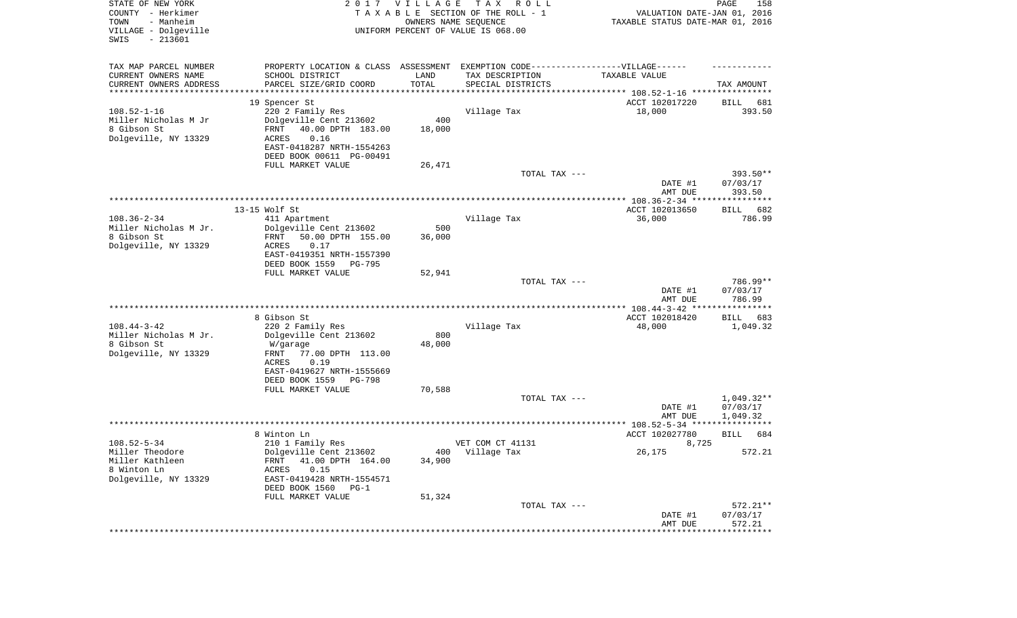| STATE OF NEW YORK<br>COUNTY - Herkimer<br>- Manheim<br>TOWN<br>VILLAGE - Dolgeville<br>SWIS<br>$-213601$ |                                                                                   | 2017 VILLAGE<br>OWNERS NAME SEQUENCE | T A X<br>R O L L<br>TAXABLE SECTION OF THE ROLL - 1<br>UNIFORM PERCENT OF VALUE IS 068.00 | VALUATION DATE-JAN 01, 2016<br>TAXABLE STATUS DATE-MAR 01, 2016 | PAGE<br>158           |
|----------------------------------------------------------------------------------------------------------|-----------------------------------------------------------------------------------|--------------------------------------|-------------------------------------------------------------------------------------------|-----------------------------------------------------------------|-----------------------|
| TAX MAP PARCEL NUMBER                                                                                    | PROPERTY LOCATION & CLASS ASSESSMENT EXEMPTION CODE-----------------VILLAGE------ |                                      |                                                                                           |                                                                 |                       |
| CURRENT OWNERS NAME<br>CURRENT OWNERS ADDRESS                                                            | SCHOOL DISTRICT<br>PARCEL SIZE/GRID COORD                                         | LAND<br>TOTAL                        | TAX DESCRIPTION<br>SPECIAL DISTRICTS                                                      | TAXABLE VALUE                                                   | TAX AMOUNT            |
| ********************                                                                                     |                                                                                   | **********                           |                                                                                           | ********************************* 108.52-1-16 ****************  |                       |
| $108.52 - 1 - 16$                                                                                        | 19 Spencer St<br>220 2 Family Res                                                 |                                      | Village Tax                                                                               | ACCT 102017220<br>18,000                                        | BILL<br>681<br>393.50 |
| Miller Nicholas M Jr                                                                                     | Dolgeville Cent 213602                                                            | 400                                  |                                                                                           |                                                                 |                       |
| 8 Gibson St                                                                                              | FRNT<br>40.00 DPTH 183.00                                                         | 18,000                               |                                                                                           |                                                                 |                       |
| Dolgeville, NY 13329                                                                                     | ACRES<br>0.16                                                                     |                                      |                                                                                           |                                                                 |                       |
|                                                                                                          | EAST-0418287 NRTH-1554263                                                         |                                      |                                                                                           |                                                                 |                       |
|                                                                                                          | DEED BOOK 00611 PG-00491                                                          |                                      |                                                                                           |                                                                 |                       |
|                                                                                                          | FULL MARKET VALUE                                                                 | 26,471                               |                                                                                           |                                                                 |                       |
|                                                                                                          |                                                                                   |                                      | TOTAL TAX ---                                                                             | DATE #1                                                         | 393.50**<br>07/03/17  |
|                                                                                                          |                                                                                   |                                      |                                                                                           | AMT DUE                                                         | 393.50                |
|                                                                                                          |                                                                                   |                                      |                                                                                           |                                                                 |                       |
|                                                                                                          | 13-15 Wolf St                                                                     |                                      |                                                                                           | ACCT 102013650                                                  | 682<br>BILL           |
| $108.36 - 2 - 34$<br>Miller Nicholas M Jr.                                                               | 411 Apartment<br>Dolgeville Cent 213602                                           | 500                                  | Village Tax                                                                               | 36,000                                                          | 786.99                |
| 8 Gibson St                                                                                              | 50.00 DPTH 155.00<br>FRNT                                                         | 36,000                               |                                                                                           |                                                                 |                       |
| Dolgeville, NY 13329                                                                                     | 0.17<br>ACRES                                                                     |                                      |                                                                                           |                                                                 |                       |
|                                                                                                          | EAST-0419351 NRTH-1557390                                                         |                                      |                                                                                           |                                                                 |                       |
|                                                                                                          | DEED BOOK 1559<br>PG-795                                                          |                                      |                                                                                           |                                                                 |                       |
|                                                                                                          | FULL MARKET VALUE                                                                 | 52,941                               |                                                                                           |                                                                 |                       |
|                                                                                                          |                                                                                   |                                      | TOTAL TAX ---                                                                             | DATE #1                                                         | 786.99**              |
|                                                                                                          |                                                                                   |                                      |                                                                                           | AMT DUE                                                         | 07/03/17<br>786.99    |
|                                                                                                          |                                                                                   |                                      |                                                                                           |                                                                 |                       |
|                                                                                                          | 8 Gibson St                                                                       |                                      |                                                                                           | ACCT 102018420                                                  | BILL<br>683           |
| $108.44 - 3 - 42$                                                                                        | 220 2 Family Res                                                                  |                                      | Village Tax                                                                               | 48,000                                                          | 1,049.32              |
| Miller Nicholas M Jr.                                                                                    | Dolgeville Cent 213602                                                            | 800                                  |                                                                                           |                                                                 |                       |
| 8 Gibson St                                                                                              | W/garage                                                                          | 48,000                               |                                                                                           |                                                                 |                       |
| Dolgeville, NY 13329                                                                                     | 77.00 DPTH 113.00<br>FRNT<br>ACRES<br>0.19                                        |                                      |                                                                                           |                                                                 |                       |
|                                                                                                          | EAST-0419627 NRTH-1555669                                                         |                                      |                                                                                           |                                                                 |                       |
|                                                                                                          | DEED BOOK 1559<br>PG-798                                                          |                                      |                                                                                           |                                                                 |                       |
|                                                                                                          | FULL MARKET VALUE                                                                 | 70,588                               |                                                                                           |                                                                 |                       |
|                                                                                                          |                                                                                   |                                      | TOTAL TAX ---                                                                             |                                                                 | $1,049.32**$          |
|                                                                                                          |                                                                                   |                                      |                                                                                           | DATE #1                                                         | 07/03/17              |
|                                                                                                          |                                                                                   |                                      |                                                                                           | AMT DUE                                                         | 1,049.32              |
|                                                                                                          | 8 Winton Ln                                                                       |                                      |                                                                                           | ACCT 102027780                                                  | 684<br><b>BILL</b>    |
| $108.52 - 5 - 34$                                                                                        | 210 1 Family Res                                                                  |                                      | VET COM CT 41131                                                                          | 8,725                                                           |                       |
| Miller Theodore                                                                                          | Dolgeville Cent 213602                                                            |                                      | 400 Village Tax                                                                           | 26,175                                                          | 572.21                |
| Miller Kathleen                                                                                          | 41.00 DPTH 164.00<br>FRNT                                                         | 34,900                               |                                                                                           |                                                                 |                       |
| 8 Winton Ln                                                                                              | 0.15<br>ACRES                                                                     |                                      |                                                                                           |                                                                 |                       |
| Dolgeville, NY 13329                                                                                     | EAST-0419428 NRTH-1554571                                                         |                                      |                                                                                           |                                                                 |                       |
|                                                                                                          | DEED BOOK 1560<br>$PG-1$<br>FULL MARKET VALUE                                     | 51,324                               |                                                                                           |                                                                 |                       |
|                                                                                                          |                                                                                   |                                      | TOTAL TAX ---                                                                             |                                                                 | $572.21**$            |
|                                                                                                          |                                                                                   |                                      |                                                                                           | DATE #1                                                         | 07/03/17              |
|                                                                                                          |                                                                                   |                                      |                                                                                           | AMT DUE                                                         | 572.21                |
|                                                                                                          |                                                                                   |                                      |                                                                                           |                                                                 |                       |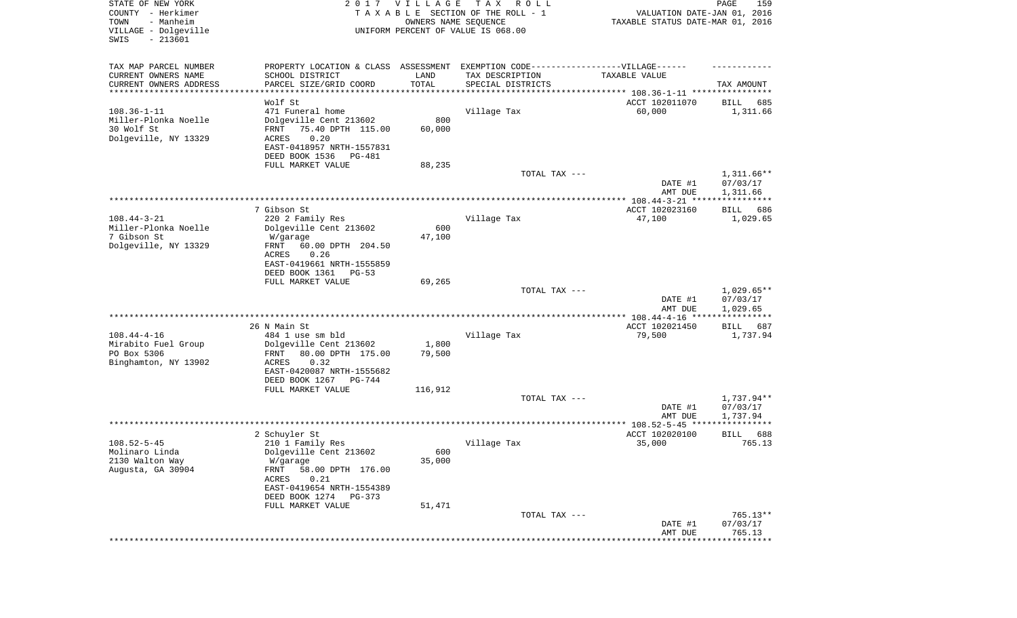| STATE OF NEW YORK<br>COUNTY - Herkimer<br>- Manheim<br>TOWN<br>VILLAGE - Dolgeville<br>SWIS<br>$-213601$ |                                                                                  | 2017 VILLAGE<br>OWNERS NAME SEQUENCE | T A X<br>R O L L<br>TAXABLE SECTION OF THE ROLL - 1<br>UNIFORM PERCENT OF VALUE IS 068.00 | VALUATION DATE-JAN 01, 2016<br>TAXABLE STATUS DATE-MAR 01, 2016 | PAGE<br>159                          |
|----------------------------------------------------------------------------------------------------------|----------------------------------------------------------------------------------|--------------------------------------|-------------------------------------------------------------------------------------------|-----------------------------------------------------------------|--------------------------------------|
| TAX MAP PARCEL NUMBER                                                                                    | PROPERTY LOCATION & CLASS ASSESSMENT EXEMPTION CODE----------------VILLAGE------ |                                      |                                                                                           |                                                                 |                                      |
| CURRENT OWNERS NAME                                                                                      | SCHOOL DISTRICT                                                                  | LAND<br>TOTAL                        | TAX DESCRIPTION                                                                           | TAXABLE VALUE                                                   |                                      |
| CURRENT OWNERS ADDRESS<br>*********************                                                          | PARCEL SIZE/GRID COORD                                                           |                                      | SPECIAL DISTRICTS                                                                         |                                                                 | TAX AMOUNT                           |
|                                                                                                          | Wolf St                                                                          |                                      |                                                                                           | ACCT 102011070                                                  | 685<br>BILL                          |
| $108.36 - 1 - 11$                                                                                        | 471 Funeral home                                                                 |                                      | Village Tax                                                                               | 60,000                                                          | 1,311.66                             |
| Miller-Plonka Noelle                                                                                     | Dolgeville Cent 213602                                                           | 800                                  |                                                                                           |                                                                 |                                      |
| 30 Wolf St<br>Dolgeville, NY 13329                                                                       | 75.40 DPTH 115.00<br>FRNT<br>0.20<br><b>ACRES</b>                                | 60,000                               |                                                                                           |                                                                 |                                      |
|                                                                                                          | EAST-0418957 NRTH-1557831                                                        |                                      |                                                                                           |                                                                 |                                      |
|                                                                                                          | DEED BOOK 1536<br>PG-481                                                         |                                      |                                                                                           |                                                                 |                                      |
|                                                                                                          | FULL MARKET VALUE                                                                | 88,235                               |                                                                                           |                                                                 |                                      |
|                                                                                                          |                                                                                  |                                      | TOTAL TAX ---                                                                             | DATE #1<br>AMT DUE                                              | $1,311.66**$<br>07/03/17<br>1,311.66 |
|                                                                                                          |                                                                                  |                                      |                                                                                           |                                                                 |                                      |
|                                                                                                          | 7 Gibson St                                                                      |                                      |                                                                                           | ACCT 102023160                                                  | BILL<br>686                          |
| $108.44 - 3 - 21$                                                                                        | 220 2 Family Res                                                                 |                                      | Village Tax                                                                               | 47,100                                                          | 1,029.65                             |
| Miller-Plonka Noelle<br>7 Gibson St                                                                      | Dolgeville Cent 213602<br>W/garage                                               | 600<br>47,100                        |                                                                                           |                                                                 |                                      |
| Dolgeville, NY 13329                                                                                     | 60.00 DPTH 204.50<br>FRNT                                                        |                                      |                                                                                           |                                                                 |                                      |
|                                                                                                          | ACRES<br>0.26                                                                    |                                      |                                                                                           |                                                                 |                                      |
|                                                                                                          | EAST-0419661 NRTH-1555859                                                        |                                      |                                                                                           |                                                                 |                                      |
|                                                                                                          | DEED BOOK 1361<br>PG-53<br>FULL MARKET VALUE                                     | 69,265                               |                                                                                           |                                                                 |                                      |
|                                                                                                          |                                                                                  |                                      | TOTAL TAX ---                                                                             |                                                                 | $1,029.65**$                         |
|                                                                                                          |                                                                                  |                                      |                                                                                           | DATE #1<br>AMT DUE                                              | 07/03/17<br>1,029.65                 |
|                                                                                                          | ***************************                                                      |                                      | *********************************                                                         | ************ 108.44-4-16 ****                                   | * * * * * * * * * * *                |
| $108.44 - 4 - 16$                                                                                        | 26 N Main St<br>484 1 use sm bld                                                 |                                      | Village Tax                                                                               | ACCT 102021450<br>79,500                                        | BILL<br>687<br>1,737.94              |
| Mirabito Fuel Group                                                                                      | Dolgeville Cent 213602                                                           | 1,800                                |                                                                                           |                                                                 |                                      |
| PO Box 5306                                                                                              | 80.00 DPTH 175.00<br>FRNT                                                        | 79,500                               |                                                                                           |                                                                 |                                      |
| Binghamton, NY 13902                                                                                     | ACRES<br>0.32                                                                    |                                      |                                                                                           |                                                                 |                                      |
|                                                                                                          | EAST-0420087 NRTH-1555682<br>DEED BOOK 1267<br>PG-744                            |                                      |                                                                                           |                                                                 |                                      |
|                                                                                                          | FULL MARKET VALUE                                                                | 116,912                              |                                                                                           |                                                                 |                                      |
|                                                                                                          |                                                                                  |                                      | TOTAL TAX ---                                                                             |                                                                 | 1,737.94**                           |
|                                                                                                          |                                                                                  |                                      |                                                                                           | DATE #1                                                         | 07/03/17                             |
|                                                                                                          |                                                                                  |                                      |                                                                                           | AMT DUE                                                         | 1,737.94                             |
|                                                                                                          | 2 Schuyler St                                                                    |                                      |                                                                                           | ACCT 102020100                                                  | 688<br>BILL                          |
| $108.52 - 5 - 45$                                                                                        | 210 1 Family Res                                                                 |                                      | Village Tax                                                                               | 35,000                                                          | 765.13                               |
| Molinaro Linda                                                                                           | Dolgeville Cent 213602                                                           | 600                                  |                                                                                           |                                                                 |                                      |
| 2130 Walton Way<br>Augusta, GA 30904                                                                     | W/garage<br>58.00 DPTH 176.00<br>FRNT                                            | 35,000                               |                                                                                           |                                                                 |                                      |
|                                                                                                          | ACRES<br>0.21                                                                    |                                      |                                                                                           |                                                                 |                                      |
|                                                                                                          | EAST-0419654 NRTH-1554389                                                        |                                      |                                                                                           |                                                                 |                                      |
|                                                                                                          | DEED BOOK 1274<br>PG-373                                                         |                                      |                                                                                           |                                                                 |                                      |
|                                                                                                          | FULL MARKET VALUE                                                                | 51,471                               | TOTAL TAX ---                                                                             |                                                                 | 765.13**                             |
|                                                                                                          |                                                                                  |                                      |                                                                                           | DATE #1                                                         | 07/03/17                             |
|                                                                                                          |                                                                                  |                                      |                                                                                           | AMT DUE                                                         | 765.13                               |
|                                                                                                          |                                                                                  |                                      |                                                                                           |                                                                 | **********                           |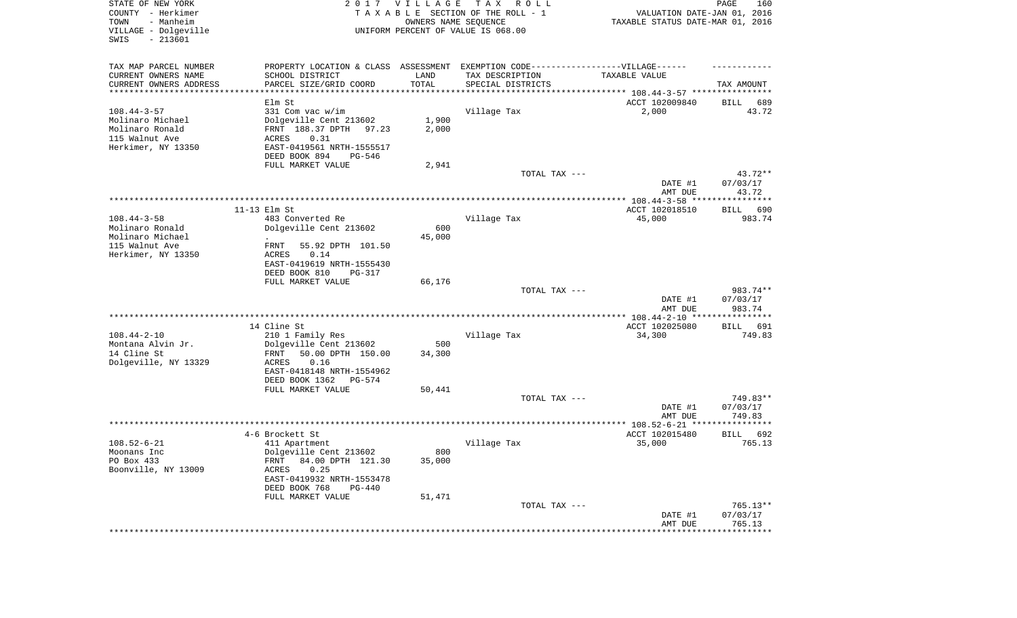| STATE OF NEW YORK<br>COUNTY - Herkimer<br>- Manheim<br>TOWN<br>VILLAGE - Dolgeville<br>SWIS<br>$-213601$ |                                                                                                                                                                                    | 2017 VILLAGE<br>OWNERS NAME SEQUENCE | T A X<br>R O L L<br>TAXABLE SECTION OF THE ROLL - 1<br>UNIFORM PERCENT OF VALUE IS 068.00 | VALUATION DATE-JAN 01, 2016<br>TAXABLE STATUS DATE-MAR 01, 2016             | PAGE<br>160                      |
|----------------------------------------------------------------------------------------------------------|------------------------------------------------------------------------------------------------------------------------------------------------------------------------------------|--------------------------------------|-------------------------------------------------------------------------------------------|-----------------------------------------------------------------------------|----------------------------------|
| TAX MAP PARCEL NUMBER<br>CURRENT OWNERS NAME<br>CURRENT OWNERS ADDRESS<br>*********************          | PROPERTY LOCATION & CLASS ASSESSMENT<br>SCHOOL DISTRICT<br>PARCEL SIZE/GRID COORD                                                                                                  | LAND<br>TOTAL                        | EXEMPTION CODE-----------------VILLAGE------<br>TAX DESCRIPTION<br>SPECIAL DISTRICTS      | TAXABLE VALUE<br>***************************** 108.44-3-57 **************** | TAX AMOUNT                       |
| $108.44 - 3 - 57$<br>Molinaro Michael<br>Molinaro Ronald<br>115 Walnut Ave<br>Herkimer, NY 13350         | Elm St<br>331 Com vac w/im<br>Dolgeville Cent 213602<br>FRNT 188.37 DPTH 97.23<br>ACRES<br>0.31<br>EAST-0419561 NRTH-1555517<br>DEED BOOK 894<br>PG-546<br>FULL MARKET VALUE       | 1,900<br>2,000<br>2,941              | Village Tax                                                                               | ACCT 102009840<br>2,000                                                     | BILL<br>689<br>43.72             |
|                                                                                                          |                                                                                                                                                                                    |                                      | TOTAL TAX ---                                                                             | DATE #1<br>AMT DUE                                                          | 43.72**<br>07/03/17<br>43.72     |
|                                                                                                          |                                                                                                                                                                                    |                                      |                                                                                           |                                                                             |                                  |
| $108.44 - 3 - 58$<br>Molinaro Ronald<br>Molinaro Michael<br>115 Walnut Ave<br>Herkimer, NY 13350         | $11-13$ Elm St<br>483 Converted Re<br>Dolgeville Cent 213602<br>55.92 DPTH 101.50<br>FRNT<br>ACRES<br>0.14<br>EAST-0419619 NRTH-1555430<br>DEED BOOK 810<br>PG-317                 | 600<br>45,000                        | Village Tax                                                                               | ACCT 102018510<br>45,000                                                    | BILL<br>690<br>983.74            |
|                                                                                                          | FULL MARKET VALUE                                                                                                                                                                  | 66,176                               |                                                                                           |                                                                             |                                  |
|                                                                                                          |                                                                                                                                                                                    |                                      | TOTAL TAX ---                                                                             | DATE #1<br>AMT DUE                                                          | 983.74**<br>07/03/17<br>983.74   |
|                                                                                                          | 14 Cline St                                                                                                                                                                        |                                      |                                                                                           | *************** 108.44-2-10 *****************<br>ACCT 102025080             | BILL<br>691                      |
| $108.44 - 2 - 10$<br>Montana Alvin Jr.<br>14 Cline St<br>Dolgeville, NY 13329                            | 210 1 Family Res<br>Dolgeville Cent 213602<br>50.00 DPTH 150.00<br>FRNT<br>ACRES<br>0.16<br>EAST-0418148 NRTH-1554962<br>DEED BOOK 1362<br>PG-574<br>FULL MARKET VALUE             | 500<br>34,300<br>50,441              | Village Tax                                                                               | 34,300                                                                      | 749.83                           |
|                                                                                                          |                                                                                                                                                                                    |                                      | TOTAL TAX ---                                                                             | DATE #1<br>AMT DUE                                                          | 749.83**<br>07/03/17<br>749.83   |
|                                                                                                          |                                                                                                                                                                                    |                                      |                                                                                           |                                                                             |                                  |
| $108.52 - 6 - 21$<br>Moonans Inc<br>PO Box 433<br>Boonville, NY 13009                                    | 4-6 Brockett St<br>411 Apartment<br>Dolgeville Cent 213602<br>FRNT 84.00 DPTH 121.30<br>ACRES<br>0.25<br>EAST-0419932 NRTH-1553478<br>DEED BOOK 768<br>PG-440<br>FULL MARKET VALUE | 800<br>35,000<br>51,471              | Village Tax                                                                               | ACCT 102015480<br>35,000                                                    | 692<br><b>BILL</b><br>765.13     |
|                                                                                                          |                                                                                                                                                                                    |                                      | TOTAL TAX ---                                                                             | DATE #1<br>AMT DUE                                                          | $765.13**$<br>07/03/17<br>765.13 |
|                                                                                                          |                                                                                                                                                                                    |                                      |                                                                                           |                                                                             |                                  |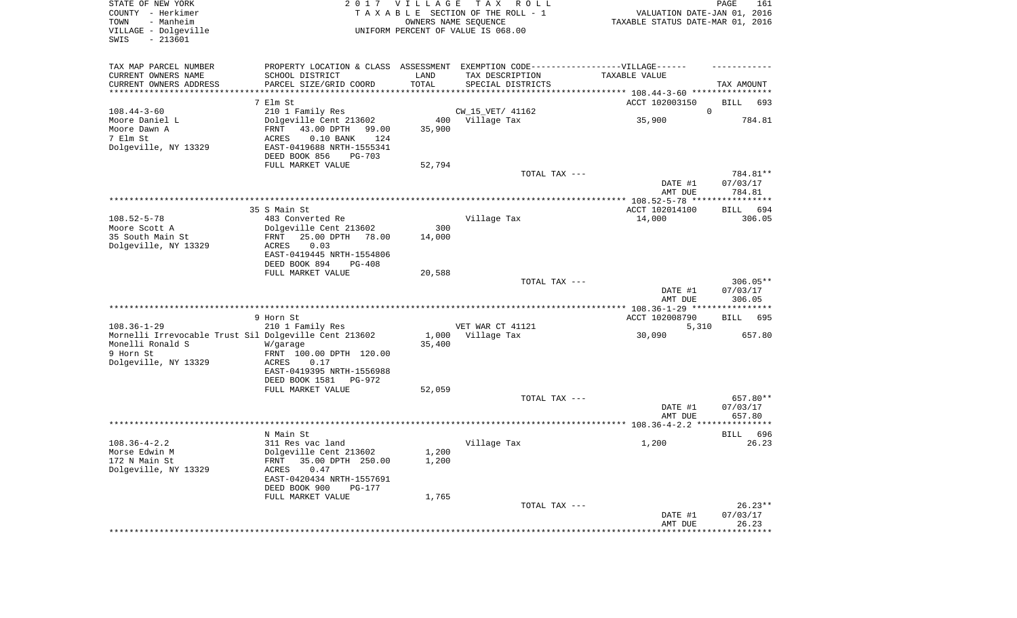| STATE OF NEW YORK<br>COUNTY - Herkimer<br>- Manheim<br>TOWN<br>VILLAGE - Dolgeville<br>$-213601$<br>SWIS                            |                                                                                                                                                                                                          | 2017 VILLAGE            | T A X<br>ROLL<br>TAXABLE SECTION OF THE ROLL - 1<br>OWNERS NAME SEQUENCE<br>UNIFORM PERCENT OF VALUE IS 068.00                                           | VALUATION DATE-JAN 01, 2016<br>TAXABLE STATUS DATE-MAR 01, 2016 | PAGE<br>161                          |
|-------------------------------------------------------------------------------------------------------------------------------------|----------------------------------------------------------------------------------------------------------------------------------------------------------------------------------------------------------|-------------------------|----------------------------------------------------------------------------------------------------------------------------------------------------------|-----------------------------------------------------------------|--------------------------------------|
| TAX MAP PARCEL NUMBER<br>CURRENT OWNERS NAME<br>CURRENT OWNERS ADDRESS<br>*********************                                     | PROPERTY LOCATION & CLASS ASSESSMENT<br>SCHOOL DISTRICT<br>PARCEL SIZE/GRID COORD                                                                                                                        | LAND<br>TOTAL           | EXEMPTION CODE------------------VILLAGE------<br>TAX DESCRIPTION<br>SPECIAL DISTRICTS<br>********************************** 108.44-3-60 **************** | TAXABLE VALUE                                                   | TAX AMOUNT                           |
| $108.44 - 3 - 60$<br>Moore Daniel L<br>Moore Dawn A<br>7 Elm St<br>Dolgeville, NY 13329                                             | 7 Elm St<br>210 1 Family Res<br>Dolgeville Cent 213602<br>43.00 DPTH<br>FRNT<br>99.00<br><b>ACRES</b><br>$0.10$ BANK<br>124<br>EAST-0419688 NRTH-1555341<br>DEED BOOK 856<br>PG-703<br>FULL MARKET VALUE | 35,900<br>52,794        | CW_15_VET/ 41162<br>400 Village Tax                                                                                                                      | ACCT 102003150<br>35,900                                        | BILL<br>693<br>$\mathbf 0$<br>784.81 |
|                                                                                                                                     |                                                                                                                                                                                                          |                         | TOTAL TAX ---                                                                                                                                            | DATE #1<br>AMT DUE                                              | 784.81**<br>07/03/17<br>784.81       |
|                                                                                                                                     |                                                                                                                                                                                                          |                         |                                                                                                                                                          |                                                                 |                                      |
| $108.52 - 5 - 78$<br>Moore Scott A<br>35 South Main St<br>Dolgeville, NY 13329                                                      | 35 S Main St<br>483 Converted Re<br>Dolgeville Cent 213602<br>25.00 DPTH<br>FRNT<br>78.00<br>0.03<br>ACRES<br>EAST-0419445 NRTH-1554806<br>DEED BOOK 894<br>PG-408                                       | 300<br>14,000           | Village Tax                                                                                                                                              | ACCT 102014100<br>14,000                                        | <b>BILL</b><br>694<br>306.05         |
|                                                                                                                                     | FULL MARKET VALUE                                                                                                                                                                                        | 20,588                  | TOTAL TAX ---                                                                                                                                            | DATE #1<br>AMT DUE                                              | $306.05**$<br>07/03/17<br>306.05     |
|                                                                                                                                     |                                                                                                                                                                                                          |                         |                                                                                                                                                          |                                                                 |                                      |
| $108.36 - 1 - 29$<br>Mornelli Irrevocable Trust Sil Dolgeville Cent 213602<br>Monelli Ronald S<br>9 Horn St<br>Dolgeville, NY 13329 | 9 Horn St<br>210 1 Family Res<br>W/garage<br>FRNT 100.00 DPTH 120.00<br>ACRES<br>0.17<br>EAST-0419395 NRTH-1556988<br>DEED BOOK 1581<br>PG-972                                                           | 1,000<br>35,400         | VET WAR CT 41121<br>Village Tax                                                                                                                          | ACCT 102008790<br>5,310<br>30,090                               | BILL<br>695<br>657.80                |
|                                                                                                                                     | FULL MARKET VALUE                                                                                                                                                                                        | 52,059                  | TOTAL TAX ---                                                                                                                                            | DATE #1                                                         | 657.80**<br>07/03/17                 |
|                                                                                                                                     |                                                                                                                                                                                                          |                         |                                                                                                                                                          | AMT DUE                                                         | 657.80                               |
| $108.36 - 4 - 2.2$<br>Morse Edwin M<br>172 N Main St<br>Dolgeville, NY 13329                                                        | N Main St<br>311 Res vac land<br>Dolgeville Cent 213602<br>35.00 DPTH 250.00<br>FRNT<br>0.47<br>ACRES<br>EAST-0420434 NRTH-1557691<br>DEED BOOK 900<br>PG-177<br>FULL MARKET VALUE                       | 1,200<br>1,200<br>1,765 | Village Tax                                                                                                                                              | 1,200                                                           | 696<br><b>BILL</b><br>26.23          |
|                                                                                                                                     |                                                                                                                                                                                                          |                         | TOTAL TAX ---                                                                                                                                            | DATE #1                                                         | $26.23**$<br>07/03/17                |
|                                                                                                                                     |                                                                                                                                                                                                          |                         |                                                                                                                                                          | AMT DUE<br>******************                                   | 26.23<br>* * * * * * * * * * * * * * |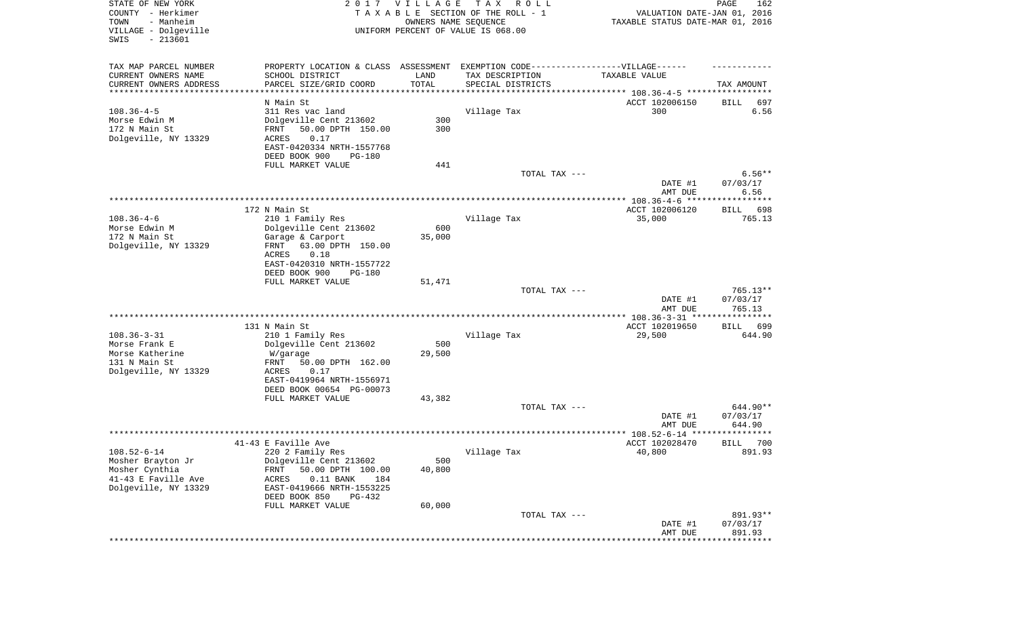| STATE OF NEW YORK<br>COUNTY - Herkimer<br>- Manheim<br>TOWN<br>VILLAGE - Dolgeville<br>SWIS<br>$-213601$ |                                                                                   | 2017 VILLAGE<br>OWNERS NAME SEQUENCE | T A X<br>R O L L<br>TAXABLE SECTION OF THE ROLL - 1<br>UNIFORM PERCENT OF VALUE IS 068.00 | VALUATION DATE-JAN 01, 2016<br>TAXABLE STATUS DATE-MAR 01, 2016 | PAGE<br>162           |
|----------------------------------------------------------------------------------------------------------|-----------------------------------------------------------------------------------|--------------------------------------|-------------------------------------------------------------------------------------------|-----------------------------------------------------------------|-----------------------|
| TAX MAP PARCEL NUMBER                                                                                    | PROPERTY LOCATION & CLASS ASSESSMENT EXEMPTION CODE-----------------VILLAGE------ |                                      |                                                                                           |                                                                 |                       |
| CURRENT OWNERS NAME                                                                                      | SCHOOL DISTRICT                                                                   | LAND<br>TOTAL                        | TAX DESCRIPTION                                                                           | TAXABLE VALUE                                                   |                       |
| CURRENT OWNERS ADDRESS<br>*********************                                                          | PARCEL SIZE/GRID COORD<br>***********************                                 | * * * * * * * * * * *                | SPECIAL DISTRICTS                                                                         | ********************************* 108.36-4-5 *****************  | TAX AMOUNT            |
|                                                                                                          | N Main St                                                                         |                                      |                                                                                           | ACCT 102006150                                                  | 697<br>BILL           |
| $108.36 - 4 - 5$                                                                                         | 311 Res vac land                                                                  |                                      | Village Tax                                                                               | 300                                                             | 6.56                  |
| Morse Edwin M                                                                                            | Dolgeville Cent 213602                                                            | 300                                  |                                                                                           |                                                                 |                       |
| 172 N Main St                                                                                            | 50.00 DPTH 150.00<br>FRNT                                                         | 300                                  |                                                                                           |                                                                 |                       |
| Dolgeville, NY 13329                                                                                     | ACRES<br>0.17<br>EAST-0420334 NRTH-1557768                                        |                                      |                                                                                           |                                                                 |                       |
|                                                                                                          | DEED BOOK 900<br>PG-180                                                           |                                      |                                                                                           |                                                                 |                       |
|                                                                                                          | FULL MARKET VALUE                                                                 | 441                                  |                                                                                           |                                                                 |                       |
|                                                                                                          |                                                                                   |                                      | TOTAL TAX ---                                                                             |                                                                 | $6.56**$              |
|                                                                                                          |                                                                                   |                                      |                                                                                           | DATE #1                                                         | 07/03/17              |
|                                                                                                          |                                                                                   |                                      |                                                                                           | AMT DUE                                                         | 6.56                  |
|                                                                                                          | 172 N Main St                                                                     |                                      |                                                                                           | ACCT 102006120                                                  | 698<br>BILL           |
| $108.36 - 4 - 6$                                                                                         | 210 1 Family Res                                                                  |                                      | Village Tax                                                                               | 35,000                                                          | 765.13                |
| Morse Edwin M                                                                                            | Dolgeville Cent 213602                                                            | 600                                  |                                                                                           |                                                                 |                       |
| 172 N Main St                                                                                            | Garage & Carport                                                                  | 35,000                               |                                                                                           |                                                                 |                       |
| Dolgeville, NY 13329                                                                                     | 63.00 DPTH 150.00<br>FRNT                                                         |                                      |                                                                                           |                                                                 |                       |
|                                                                                                          | ACRES<br>0.18<br>EAST-0420310 NRTH-1557722                                        |                                      |                                                                                           |                                                                 |                       |
|                                                                                                          | DEED BOOK 900<br>PG-180                                                           |                                      |                                                                                           |                                                                 |                       |
|                                                                                                          | FULL MARKET VALUE                                                                 | 51,471                               |                                                                                           |                                                                 |                       |
|                                                                                                          |                                                                                   |                                      | TOTAL TAX ---                                                                             |                                                                 | $765.13**$            |
|                                                                                                          |                                                                                   |                                      |                                                                                           | DATE #1<br>AMT DUE                                              | 07/03/17<br>765.13    |
|                                                                                                          |                                                                                   |                                      |                                                                                           | ************* 108.36-3-31 *****************                     |                       |
| $108.36 - 3 - 31$                                                                                        | 131 N Main St<br>210 1 Family Res                                                 |                                      | Village Tax                                                                               | ACCT 102019650<br>29,500                                        | 699<br>BILL<br>644.90 |
| Morse Frank E                                                                                            | Dolgeville Cent 213602                                                            | 500                                  |                                                                                           |                                                                 |                       |
| Morse Katherine                                                                                          | W/garage                                                                          | 29,500                               |                                                                                           |                                                                 |                       |
| 131 N Main St                                                                                            | FRNT<br>50.00 DPTH 162.00                                                         |                                      |                                                                                           |                                                                 |                       |
| Dolgeville, NY 13329                                                                                     | ACRES<br>0.17                                                                     |                                      |                                                                                           |                                                                 |                       |
|                                                                                                          | EAST-0419964 NRTH-1556971                                                         |                                      |                                                                                           |                                                                 |                       |
|                                                                                                          | DEED BOOK 00654 PG-00073<br>FULL MARKET VALUE                                     | 43,382                               |                                                                                           |                                                                 |                       |
|                                                                                                          |                                                                                   |                                      | TOTAL TAX ---                                                                             |                                                                 | 644.90**              |
|                                                                                                          |                                                                                   |                                      |                                                                                           | DATE #1                                                         | 07/03/17              |
|                                                                                                          |                                                                                   |                                      |                                                                                           | AMT DUE                                                         | 644.90                |
|                                                                                                          |                                                                                   |                                      |                                                                                           |                                                                 | ******                |
| $108.52 - 6 - 14$                                                                                        | 41-43 E Faville Ave<br>220 2 Family Res                                           |                                      |                                                                                           | ACCT 102028470<br>40,800                                        | 700<br>BILL<br>891.93 |
| Mosher Brayton Jr                                                                                        | Dolgeville Cent 213602                                                            | 500                                  | Village Tax                                                                               |                                                                 |                       |
| Mosher Cynthia                                                                                           | 50.00 DPTH 100.00<br><b>FRNT</b>                                                  | 40,800                               |                                                                                           |                                                                 |                       |
| 41-43 E Faville Ave                                                                                      | <b>ACRES</b><br>$0.11$ BANK<br>184                                                |                                      |                                                                                           |                                                                 |                       |
| Dolgeville, NY 13329                                                                                     | EAST-0419666 NRTH-1553225                                                         |                                      |                                                                                           |                                                                 |                       |
|                                                                                                          | DEED BOOK 850<br>PG-432                                                           |                                      |                                                                                           |                                                                 |                       |
|                                                                                                          | FULL MARKET VALUE                                                                 | 60,000                               | TOTAL TAX ---                                                                             |                                                                 | 891.93**              |
|                                                                                                          |                                                                                   |                                      |                                                                                           | DATE #1                                                         | 07/03/17              |
|                                                                                                          |                                                                                   |                                      |                                                                                           | AMT DUE                                                         | 891.93                |
|                                                                                                          |                                                                                   |                                      |                                                                                           |                                                                 | ******************    |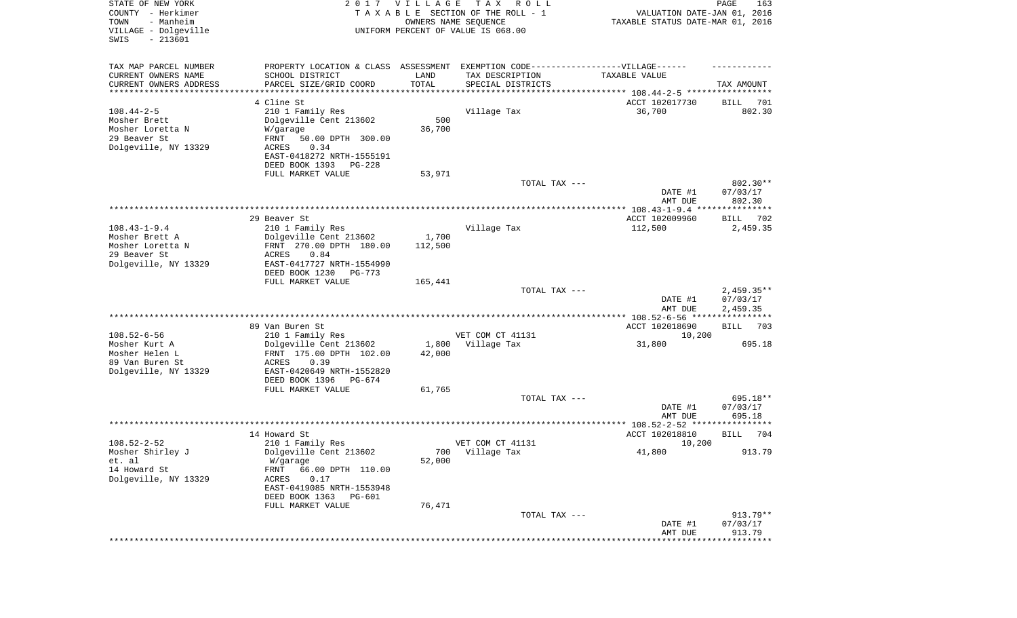| STATE OF NEW YORK<br>COUNTY - Herkimer<br>- Manheim<br>TOWN<br>VILLAGE - Dolgeville<br>$-213601$<br>SWIS |                                                                                   | 2017 VILLAGE<br>OWNERS NAME SEQUENCE | T A X<br>R O L L<br>TAXABLE SECTION OF THE ROLL - 1<br>UNIFORM PERCENT OF VALUE IS 068.00 | VALUATION DATE-JAN 01, 2016<br>TAXABLE STATUS DATE-MAR 01, 2016 | PAGE<br>163                         |
|----------------------------------------------------------------------------------------------------------|-----------------------------------------------------------------------------------|--------------------------------------|-------------------------------------------------------------------------------------------|-----------------------------------------------------------------|-------------------------------------|
| TAX MAP PARCEL NUMBER                                                                                    | PROPERTY LOCATION & CLASS ASSESSMENT EXEMPTION CODE-----------------VILLAGE------ |                                      |                                                                                           |                                                                 |                                     |
| CURRENT OWNERS NAME                                                                                      | SCHOOL DISTRICT                                                                   | LAND                                 | TAX DESCRIPTION                                                                           | TAXABLE VALUE                                                   |                                     |
| CURRENT OWNERS ADDRESS                                                                                   | PARCEL SIZE/GRID COORD                                                            | TOTAL                                | SPECIAL DISTRICTS                                                                         |                                                                 | TAX AMOUNT                          |
| *********************                                                                                    | * * * * * * * * * * * * * * * * *                                                 | * * * * * * * * * * *                |                                                                                           |                                                                 |                                     |
| $108.44 - 2 - 5$                                                                                         | 4 Cline St                                                                        |                                      |                                                                                           | ACCT 102017730                                                  | BILL<br>701<br>802.30               |
| Mosher Brett                                                                                             | 210 1 Family Res<br>Dolgeville Cent 213602                                        | 500                                  | Village Tax                                                                               | 36,700                                                          |                                     |
| Mosher Loretta N                                                                                         | W/garage                                                                          | 36,700                               |                                                                                           |                                                                 |                                     |
| 29 Beaver St                                                                                             | FRNT<br>50.00 DPTH 300.00                                                         |                                      |                                                                                           |                                                                 |                                     |
| Dolgeville, NY 13329                                                                                     | 0.34<br>ACRES                                                                     |                                      |                                                                                           |                                                                 |                                     |
|                                                                                                          | EAST-0418272 NRTH-1555191                                                         |                                      |                                                                                           |                                                                 |                                     |
|                                                                                                          | DEED BOOK 1393<br>PG-228                                                          |                                      |                                                                                           |                                                                 |                                     |
|                                                                                                          | FULL MARKET VALUE                                                                 | 53,971                               |                                                                                           |                                                                 |                                     |
|                                                                                                          |                                                                                   |                                      | TOTAL TAX ---                                                                             | DATE #1                                                         | 802.30**<br>07/03/17                |
|                                                                                                          |                                                                                   |                                      |                                                                                           | AMT DUE                                                         | 802.30                              |
|                                                                                                          |                                                                                   |                                      |                                                                                           |                                                                 |                                     |
|                                                                                                          | 29 Beaver St                                                                      |                                      |                                                                                           | ACCT 102009960                                                  | BILL<br>702                         |
| $108.43 - 1 - 9.4$                                                                                       | 210 1 Family Res                                                                  |                                      | Village Tax                                                                               | 112,500                                                         | 2,459.35                            |
| Mosher Brett A                                                                                           | Dolgeville Cent 213602                                                            | 1,700                                |                                                                                           |                                                                 |                                     |
| Mosher Loretta N                                                                                         | FRNT 270.00 DPTH 180.00                                                           | 112,500                              |                                                                                           |                                                                 |                                     |
| 29 Beaver St<br>Dolgeville, NY 13329                                                                     | ACRES<br>0.84<br>EAST-0417727 NRTH-1554990                                        |                                      |                                                                                           |                                                                 |                                     |
|                                                                                                          | DEED BOOK 1230<br>PG-773                                                          |                                      |                                                                                           |                                                                 |                                     |
|                                                                                                          | FULL MARKET VALUE                                                                 | 165,441                              |                                                                                           |                                                                 |                                     |
|                                                                                                          |                                                                                   |                                      | TOTAL TAX ---                                                                             |                                                                 | $2,459.35**$                        |
|                                                                                                          |                                                                                   |                                      |                                                                                           | DATE #1                                                         | 07/03/17                            |
|                                                                                                          |                                                                                   |                                      |                                                                                           | AMT DUE<br>************** 108.52-6-56 *****************         | 2,459.35                            |
|                                                                                                          | 89 Van Buren St                                                                   |                                      |                                                                                           | ACCT 102018690                                                  | <b>BILL</b><br>703                  |
| $108.52 - 6 - 56$                                                                                        | 210 1 Family Res                                                                  |                                      | VET COM CT 41131                                                                          | 10,200                                                          |                                     |
| Mosher Kurt A                                                                                            | Dolgeville Cent 213602                                                            |                                      | 1,800 Village Tax                                                                         | 31,800                                                          | 695.18                              |
| Mosher Helen L                                                                                           | FRNT 175.00 DPTH 102.00                                                           | 42,000                               |                                                                                           |                                                                 |                                     |
| 89 Van Buren St                                                                                          | ACRES<br>0.39                                                                     |                                      |                                                                                           |                                                                 |                                     |
| Dolgeville, NY 13329                                                                                     | EAST-0420649 NRTH-1552820                                                         |                                      |                                                                                           |                                                                 |                                     |
|                                                                                                          | DEED BOOK 1396<br>PG-674<br>FULL MARKET VALUE                                     | 61,765                               |                                                                                           |                                                                 |                                     |
|                                                                                                          |                                                                                   |                                      | TOTAL TAX ---                                                                             |                                                                 | 695.18**                            |
|                                                                                                          |                                                                                   |                                      |                                                                                           | DATE #1                                                         | 07/03/17                            |
|                                                                                                          |                                                                                   |                                      |                                                                                           | AMT DUE                                                         | 695.18                              |
|                                                                                                          |                                                                                   |                                      |                                                                                           |                                                                 |                                     |
|                                                                                                          | 14 Howard St                                                                      |                                      |                                                                                           | ACCT 102018810                                                  | 704<br><b>BILL</b>                  |
| $108.52 - 2 - 52$<br>Mosher Shirley J                                                                    | 210 1 Family Res<br>Dolgeville Cent 213602                                        |                                      | VET COM CT 41131                                                                          | 10,200                                                          | 913.79                              |
| et. al                                                                                                   | W/garage                                                                          | 52,000                               | 700 Village Tax                                                                           | 41,800                                                          |                                     |
| 14 Howard St                                                                                             | 66.00 DPTH 110.00<br>FRNT                                                         |                                      |                                                                                           |                                                                 |                                     |
| Dolgeville, NY 13329                                                                                     | 0.17<br>ACRES                                                                     |                                      |                                                                                           |                                                                 |                                     |
|                                                                                                          | EAST-0419085 NRTH-1553948                                                         |                                      |                                                                                           |                                                                 |                                     |
|                                                                                                          | DEED BOOK 1363<br>PG-601                                                          |                                      |                                                                                           |                                                                 |                                     |
|                                                                                                          | FULL MARKET VALUE                                                                 | 76,471                               |                                                                                           |                                                                 |                                     |
|                                                                                                          |                                                                                   |                                      | TOTAL TAX ---                                                                             | DATE #1                                                         | $913.79**$<br>07/03/17              |
|                                                                                                          |                                                                                   |                                      |                                                                                           | AMT DUE                                                         | 913.79                              |
|                                                                                                          |                                                                                   |                                      |                                                                                           |                                                                 | * * * * * * * * * * * * * * * * * * |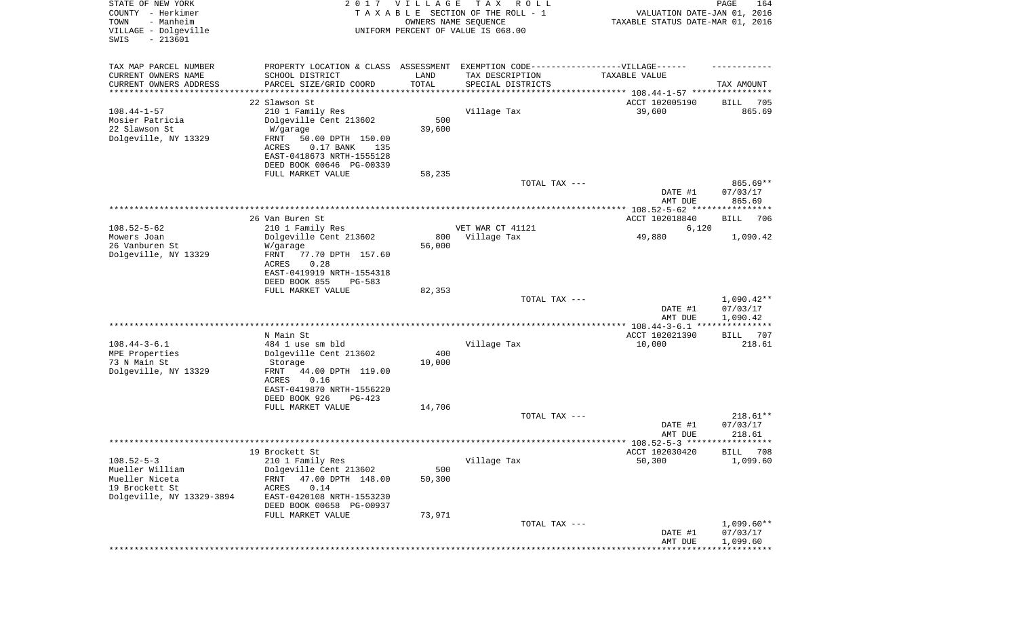| STATE OF NEW YORK<br>COUNTY - Herkimer<br>- Manheim<br>TOWN<br>VILLAGE - Dolgeville<br>$-213601$<br>SWIS | 2017                                                | <b>VILLAGE</b><br>OWNERS NAME SEQUENCE | T A X<br>R O L L<br>TAXABLE SECTION OF THE ROLL - 1<br>UNIFORM PERCENT OF VALUE IS 068.00 | VALUATION DATE-JAN 01, 2016<br>TAXABLE STATUS DATE-MAR 01, 2016 | PAGE<br>164           |
|----------------------------------------------------------------------------------------------------------|-----------------------------------------------------|----------------------------------------|-------------------------------------------------------------------------------------------|-----------------------------------------------------------------|-----------------------|
| TAX MAP PARCEL NUMBER                                                                                    | PROPERTY LOCATION & CLASS ASSESSMENT                |                                        | EXEMPTION CODE------------------VILLAGE------                                             |                                                                 |                       |
| CURRENT OWNERS NAME                                                                                      | SCHOOL DISTRICT                                     | LAND                                   | TAX DESCRIPTION                                                                           | TAXABLE VALUE                                                   |                       |
| CURRENT OWNERS ADDRESS                                                                                   | PARCEL SIZE/GRID COORD                              | TOTAL                                  | SPECIAL DISTRICTS                                                                         |                                                                 | TAX AMOUNT            |
| *********************                                                                                    |                                                     |                                        |                                                                                           |                                                                 |                       |
|                                                                                                          | 22 Slawson St                                       |                                        |                                                                                           | ACCT 102005190                                                  | 705<br>BILL           |
| $108.44 - 1 - 57$                                                                                        | 210 1 Family Res                                    |                                        | Village Tax                                                                               | 39,600                                                          | 865.69                |
| Mosier Patricia<br>22 Slawson St                                                                         | Dolgeville Cent 213602                              | 500<br>39,600                          |                                                                                           |                                                                 |                       |
| Dolgeville, NY 13329                                                                                     | W/garage<br>FRNT<br>50.00 DPTH 150.00               |                                        |                                                                                           |                                                                 |                       |
|                                                                                                          | $0.17$ BANK<br><b>ACRES</b><br>135                  |                                        |                                                                                           |                                                                 |                       |
|                                                                                                          | EAST-0418673 NRTH-1555128                           |                                        |                                                                                           |                                                                 |                       |
|                                                                                                          | DEED BOOK 00646 PG-00339                            |                                        |                                                                                           |                                                                 |                       |
|                                                                                                          | FULL MARKET VALUE                                   | 58,235                                 |                                                                                           |                                                                 |                       |
|                                                                                                          |                                                     |                                        | TOTAL TAX ---                                                                             |                                                                 | 865.69**              |
|                                                                                                          |                                                     |                                        |                                                                                           | DATE #1                                                         | 07/03/17              |
|                                                                                                          | 26 Van Buren St                                     |                                        |                                                                                           | AMT DUE<br>ACCT 102018840                                       | 865.69<br>706<br>BILL |
| $108.52 - 5 - 62$                                                                                        | 210 1 Family Res                                    |                                        | VET WAR CT 41121                                                                          | 6,120                                                           |                       |
| Mowers Joan                                                                                              | Dolgeville Cent 213602                              | 800                                    | Village Tax                                                                               | 49,880                                                          | 1,090.42              |
| 26 Vanburen St                                                                                           | W/garage                                            | 56,000                                 |                                                                                           |                                                                 |                       |
| Dolgeville, NY 13329                                                                                     | FRNT<br>77.70 DPTH 157.60                           |                                        |                                                                                           |                                                                 |                       |
|                                                                                                          | ACRES<br>0.28                                       |                                        |                                                                                           |                                                                 |                       |
|                                                                                                          | EAST-0419919 NRTH-1554318                           |                                        |                                                                                           |                                                                 |                       |
|                                                                                                          | DEED BOOK 855<br><b>PG-583</b><br>FULL MARKET VALUE | 82,353                                 |                                                                                           |                                                                 |                       |
|                                                                                                          |                                                     |                                        | TOTAL TAX ---                                                                             |                                                                 | $1,090.42**$          |
|                                                                                                          |                                                     |                                        |                                                                                           | DATE #1                                                         | 07/03/17              |
|                                                                                                          |                                                     |                                        |                                                                                           | AMT DUE                                                         | 1,090.42              |
|                                                                                                          |                                                     |                                        |                                                                                           |                                                                 | ***********           |
|                                                                                                          | N Main St                                           |                                        |                                                                                           | ACCT 102021390                                                  | 707<br>BILL           |
| $108.44 - 3 - 6.1$                                                                                       | 484 1 use sm bld                                    |                                        | Village Tax                                                                               | 10,000                                                          | 218.61                |
| MPE Properties<br>73 N Main St                                                                           | Dolgeville Cent 213602                              | 400                                    |                                                                                           |                                                                 |                       |
| Dolgeville, NY 13329                                                                                     | Storage<br>FRNT<br>44.00 DPTH 119.00                | 10,000                                 |                                                                                           |                                                                 |                       |
|                                                                                                          | ACRES<br>0.16                                       |                                        |                                                                                           |                                                                 |                       |
|                                                                                                          | EAST-0419870 NRTH-1556220                           |                                        |                                                                                           |                                                                 |                       |
|                                                                                                          | DEED BOOK 926<br>$PG-423$                           |                                        |                                                                                           |                                                                 |                       |
|                                                                                                          | FULL MARKET VALUE                                   | 14,706                                 |                                                                                           |                                                                 |                       |
|                                                                                                          |                                                     |                                        | TOTAL TAX ---                                                                             |                                                                 | $218.61**$            |
|                                                                                                          |                                                     |                                        |                                                                                           | DATE #1                                                         | 07/03/17              |
|                                                                                                          |                                                     |                                        |                                                                                           | AMT DUE                                                         | 218.61                |
|                                                                                                          | 19 Brockett St                                      |                                        |                                                                                           | ACCT 102030420                                                  | BILL 708              |
| $108.52 - 5 - 3$                                                                                         | 210 1 Family Res                                    |                                        | Village Tax                                                                               | 50,300                                                          | 1,099.60              |
| Mueller William                                                                                          | Dolgeville Cent 213602                              | 500                                    |                                                                                           |                                                                 |                       |
| Mueller Niceta                                                                                           | FRNT<br>47.00 DPTH 148.00                           | 50,300                                 |                                                                                           |                                                                 |                       |
| 19 Brockett St                                                                                           | 0.14<br>ACRES                                       |                                        |                                                                                           |                                                                 |                       |
| Dolgeville, NY 13329-3894                                                                                | EAST-0420108 NRTH-1553230                           |                                        |                                                                                           |                                                                 |                       |
|                                                                                                          | DEED BOOK 00658 PG-00937                            |                                        |                                                                                           |                                                                 |                       |
|                                                                                                          | FULL MARKET VALUE                                   | 73,971                                 | TOTAL TAX ---                                                                             |                                                                 | $1,099.60**$          |
|                                                                                                          |                                                     |                                        |                                                                                           | DATE #1                                                         | 07/03/17              |
|                                                                                                          |                                                     |                                        |                                                                                           | AMT DUE                                                         | 1,099.60              |
|                                                                                                          |                                                     |                                        |                                                                                           |                                                                 |                       |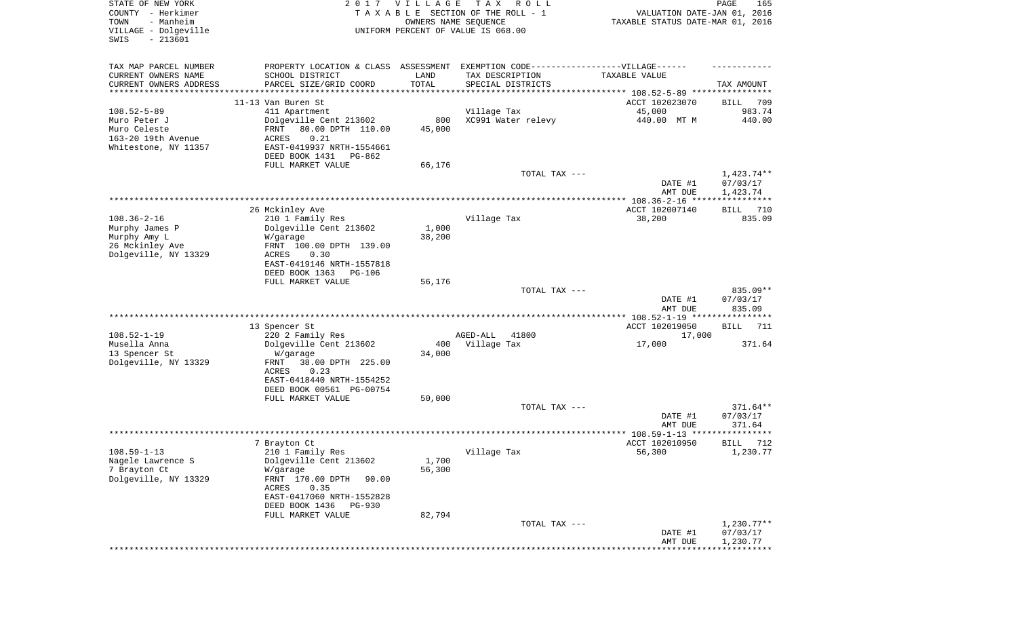| STATE OF NEW YORK<br>COUNTY - Herkimer<br>TOWN<br>- Manheim<br>VILLAGE - Dolgeville<br>SWIS<br>$-213601$ | 2017                                                                                                                                                                                                      | VILLAGE                   | T A X<br>R O L L<br>TAXABLE SECTION OF THE ROLL - 1<br>OWNERS NAME SEQUENCE<br>UNIFORM PERCENT OF VALUE IS 068.00                                                                            | VALUATION DATE-JAN 01, 2016<br>TAXABLE STATUS DATE-MAR 01, 2016 | PAGE<br>165                        |
|----------------------------------------------------------------------------------------------------------|-----------------------------------------------------------------------------------------------------------------------------------------------------------------------------------------------------------|---------------------------|----------------------------------------------------------------------------------------------------------------------------------------------------------------------------------------------|-----------------------------------------------------------------|------------------------------------|
| TAX MAP PARCEL NUMBER<br>CURRENT OWNERS NAME<br>CURRENT OWNERS ADDRESS<br>********************           | SCHOOL DISTRICT<br>PARCEL SIZE/GRID COORD                                                                                                                                                                 | LAND<br>TOTAL             | PROPERTY LOCATION & CLASS ASSESSMENT EXEMPTION CODE----------------VILLAGE------<br>TAX DESCRIPTION<br>SPECIAL DISTRICTS<br>*********************************** 108.52-5-89 **************** | TAXABLE VALUE                                                   | TAX AMOUNT                         |
|                                                                                                          | 11-13 Van Buren St                                                                                                                                                                                        |                           |                                                                                                                                                                                              | ACCT 102023070                                                  | 709<br>BILL                        |
| $108.52 - 5 - 89$<br>Muro Peter J<br>Muro Celeste<br>163-20 19th Avenue<br>Whitestone, NY 11357          | 411 Apartment<br>Dolgeville Cent 213602<br>80.00 DPTH 110.00<br>FRNT<br>0.21<br>ACRES<br>EAST-0419937 NRTH-1554661<br>DEED BOOK 1431<br>PG-862                                                            | 800<br>45,000             | Village Tax<br>XC991 Water relevy                                                                                                                                                            | 45,000<br>440.00 MT M                                           | 983.74<br>440.00                   |
|                                                                                                          | FULL MARKET VALUE                                                                                                                                                                                         | 66,176                    | TOTAL TAX ---                                                                                                                                                                                | DATE #1<br>AMT DUE                                              | 1,423.74**<br>07/03/17<br>1,423.74 |
|                                                                                                          |                                                                                                                                                                                                           |                           |                                                                                                                                                                                              |                                                                 |                                    |
| $108.36 - 2 - 16$<br>Murphy James P<br>Murphy Amy L<br>26 Mckinley Ave<br>Dolgeville, NY 13329           | 26 Mckinley Ave<br>210 1 Family Res<br>Dolgeville Cent 213602<br>W/garage<br>FRNT 100.00 DPTH 139.00<br>ACRES<br>0.30<br>EAST-0419146 NRTH-1557818                                                        | 1,000<br>38,200           | Village Tax                                                                                                                                                                                  | ACCT 102007140<br>38,200                                        | 710<br>BILL<br>835.09              |
|                                                                                                          | DEED BOOK 1363<br>PG-106<br>FULL MARKET VALUE                                                                                                                                                             | 56,176                    | TOTAL TAX ---                                                                                                                                                                                | DATE #1<br>AMT DUE                                              | $835.09**$<br>07/03/17<br>835.09   |
|                                                                                                          |                                                                                                                                                                                                           |                           |                                                                                                                                                                                              | *************** 108.52-1-19 *****************                   |                                    |
| $108.52 - 1 - 19$<br>Musella Anna<br>13 Spencer St<br>Dolgeville, NY 13329                               | 13 Spencer St<br>220 2 Family Res<br>Dolgeville Cent 213602<br>W/garage<br>FRNT<br>38.00 DPTH 225.00<br>ACRES<br>0.23<br>EAST-0418440 NRTH-1554252                                                        | 400<br>34,000             | AGED-ALL<br>41800<br>Village Tax                                                                                                                                                             | ACCT 102019050<br>17,000<br>17,000                              | 711<br>BILL<br>371.64              |
|                                                                                                          | DEED BOOK 00561 PG-00754<br>FULL MARKET VALUE                                                                                                                                                             | 50,000                    |                                                                                                                                                                                              |                                                                 |                                    |
|                                                                                                          |                                                                                                                                                                                                           |                           | TOTAL TAX ---                                                                                                                                                                                | DATE #1<br>AMT DUE                                              | $371.64**$<br>07/03/17<br>371.64   |
|                                                                                                          |                                                                                                                                                                                                           |                           |                                                                                                                                                                                              |                                                                 |                                    |
| $108.59 - 1 - 13$<br>Nagele Lawrence S<br>7 Brayton Ct<br>Dolgeville, NY 13329                           | 7 Brayton Ct<br>210 1 Family Res<br>Dolgeville Cent 213602<br>W/garage<br>FRNT 170.00 DPTH<br>90.00<br>ACRES<br>0.35<br>EAST-0417060 NRTH-1552828<br>DEED BOOK 1436<br><b>PG-930</b><br>FULL MARKET VALUE | 1,700<br>56,300<br>82,794 | Village Tax                                                                                                                                                                                  | ACCT 102010950<br>56,300                                        | BILL<br>712<br>1,230.77            |
|                                                                                                          |                                                                                                                                                                                                           |                           | TOTAL TAX ---                                                                                                                                                                                |                                                                 | $1,230.77**$                       |
|                                                                                                          |                                                                                                                                                                                                           |                           |                                                                                                                                                                                              | DATE #1<br>AMT DUE<br>*********                                 | 07/03/17<br>1,230.77               |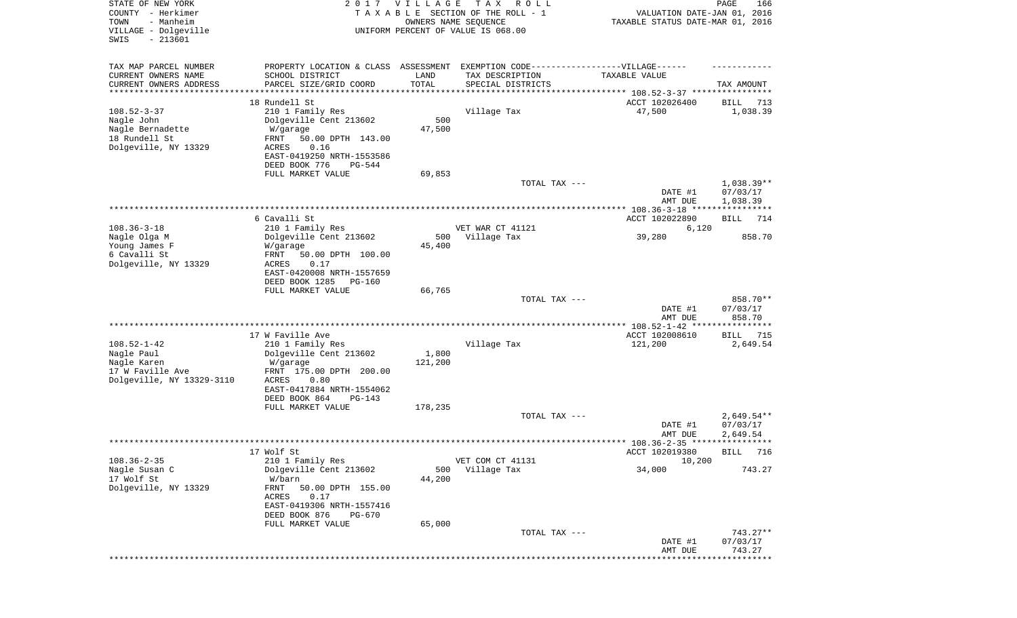| STATE OF NEW YORK<br>COUNTY - Herkimer<br>- Manheim<br>TOWN<br>VILLAGE - Dolgeville<br>$-213601$<br>SWIS | 2017                                                 | VILLAGE                        | T A X<br>R O L L<br>TAXABLE SECTION OF THE ROLL - 1<br>OWNERS NAME SEQUENCE<br>UNIFORM PERCENT OF VALUE IS 068.00 | VALUATION DATE-JAN 01, 2016<br>TAXABLE STATUS DATE-MAR 01, 2016 | PAGE<br>166       |
|----------------------------------------------------------------------------------------------------------|------------------------------------------------------|--------------------------------|-------------------------------------------------------------------------------------------------------------------|-----------------------------------------------------------------|-------------------|
| TAX MAP PARCEL NUMBER                                                                                    | PROPERTY LOCATION & CLASS ASSESSMENT                 |                                | EXEMPTION CODE-----------------VILLAGE------                                                                      |                                                                 |                   |
| CURRENT OWNERS NAME                                                                                      | SCHOOL DISTRICT                                      | LAND                           | TAX DESCRIPTION                                                                                                   | TAXABLE VALUE                                                   |                   |
| CURRENT OWNERS ADDRESS<br>*********************                                                          | PARCEL SIZE/GRID COORD                               | TOTAL<br>* * * * * * * * * * * | SPECIAL DISTRICTS                                                                                                 |                                                                 | TAX AMOUNT        |
|                                                                                                          | 18 Rundell St                                        |                                |                                                                                                                   | ACCT 102026400                                                  | BILL<br>713       |
| $108.52 - 3 - 37$                                                                                        | 210 1 Family Res                                     |                                | Village Tax                                                                                                       | 47,500                                                          | 1,038.39          |
| Nagle John<br>Nagle Bernadette                                                                           | Dolgeville Cent 213602<br>W/garage                   | 500<br>47,500                  |                                                                                                                   |                                                                 |                   |
| 18 Rundell St                                                                                            | FRNT<br>50.00 DPTH 143.00                            |                                |                                                                                                                   |                                                                 |                   |
| Dolgeville, NY 13329                                                                                     | 0.16<br>ACRES                                        |                                |                                                                                                                   |                                                                 |                   |
|                                                                                                          | EAST-0419250 NRTH-1553586                            |                                |                                                                                                                   |                                                                 |                   |
|                                                                                                          | DEED BOOK 776<br>PG-544<br>FULL MARKET VALUE         | 69,853                         |                                                                                                                   |                                                                 |                   |
|                                                                                                          |                                                      |                                | TOTAL TAX ---                                                                                                     |                                                                 | $1,038.39**$      |
|                                                                                                          |                                                      |                                |                                                                                                                   | DATE #1                                                         | 07/03/17          |
|                                                                                                          |                                                      |                                |                                                                                                                   | AMT DUE                                                         | 1,038.39          |
|                                                                                                          | 6 Cavalli St                                         |                                |                                                                                                                   | ACCT 102022890                                                  | 714<br>BILL       |
| $108.36 - 3 - 18$                                                                                        | 210 1 Family Res                                     |                                | VET WAR CT 41121                                                                                                  | 6,120                                                           |                   |
| Nagle Olga M                                                                                             | Dolgeville Cent 213602                               | 500                            | Village Tax                                                                                                       | 39,280                                                          | 858.70            |
| Young James F<br>6 Cavalli St                                                                            | W/garage<br>FRNT<br>50.00 DPTH 100.00                | 45,400                         |                                                                                                                   |                                                                 |                   |
| Dolgeville, NY 13329                                                                                     | ACRES<br>0.17                                        |                                |                                                                                                                   |                                                                 |                   |
|                                                                                                          | EAST-0420008 NRTH-1557659                            |                                |                                                                                                                   |                                                                 |                   |
|                                                                                                          | DEED BOOK 1285<br><b>PG-160</b><br>FULL MARKET VALUE | 66,765                         |                                                                                                                   |                                                                 |                   |
|                                                                                                          |                                                      |                                | TOTAL TAX ---                                                                                                     |                                                                 | 858.70**          |
|                                                                                                          |                                                      |                                |                                                                                                                   | DATE #1                                                         | 07/03/17          |
|                                                                                                          |                                                      |                                |                                                                                                                   | AMT DUE                                                         | 858.70            |
|                                                                                                          | 17 W Faville Ave                                     |                                |                                                                                                                   | ACCT 102008610                                                  | BILL<br>715       |
| $108.52 - 1 - 42$                                                                                        | 210 1 Family Res                                     |                                | Village Tax                                                                                                       | 121,200                                                         | 2,649.54          |
| Nagle Paul                                                                                               | Dolgeville Cent 213602                               | 1,800                          |                                                                                                                   |                                                                 |                   |
| Nagle Karen<br>17 W Faville Ave                                                                          | W/garage<br>FRNT 175.00 DPTH 200.00                  | 121,200                        |                                                                                                                   |                                                                 |                   |
| Dolgeville, NY 13329-3110                                                                                | ACRES<br>0.80                                        |                                |                                                                                                                   |                                                                 |                   |
|                                                                                                          | EAST-0417884 NRTH-1554062                            |                                |                                                                                                                   |                                                                 |                   |
|                                                                                                          | DEED BOOK 864<br>$PG-143$                            |                                |                                                                                                                   |                                                                 |                   |
|                                                                                                          | FULL MARKET VALUE                                    | 178,235                        | TOTAL TAX ---                                                                                                     |                                                                 | $2,649.54**$      |
|                                                                                                          |                                                      |                                |                                                                                                                   | DATE #1                                                         | 07/03/17          |
|                                                                                                          |                                                      |                                |                                                                                                                   | AMT DUE                                                         | 2,649.54          |
|                                                                                                          | 17 Wolf St                                           |                                |                                                                                                                   | ACCT 102019380                                                  | BILL 716          |
| $108.36 - 2 - 35$                                                                                        | 210 1 Family Res                                     |                                | VET COM CT 41131                                                                                                  | 10,200                                                          |                   |
| Nagle Susan C                                                                                            | Dolgeville Cent 213602                               | 500                            | Village Tax                                                                                                       | 34,000                                                          | 743.27            |
| 17 Wolf St                                                                                               | W/barn                                               | 44,200                         |                                                                                                                   |                                                                 |                   |
| Dolgeville, NY 13329                                                                                     | FRNT<br>50.00 DPTH 155.00<br>ACRES<br>0.17           |                                |                                                                                                                   |                                                                 |                   |
|                                                                                                          | EAST-0419306 NRTH-1557416                            |                                |                                                                                                                   |                                                                 |                   |
|                                                                                                          | DEED BOOK 876<br>PG-670                              |                                |                                                                                                                   |                                                                 |                   |
|                                                                                                          | FULL MARKET VALUE                                    | 65,000                         | TOTAL TAX ---                                                                                                     |                                                                 | 743.27**          |
|                                                                                                          |                                                      |                                |                                                                                                                   | DATE #1                                                         | 07/03/17          |
|                                                                                                          |                                                      |                                |                                                                                                                   | AMT DUE                                                         | 743.27            |
|                                                                                                          |                                                      |                                |                                                                                                                   |                                                                 | * * * * * * * * * |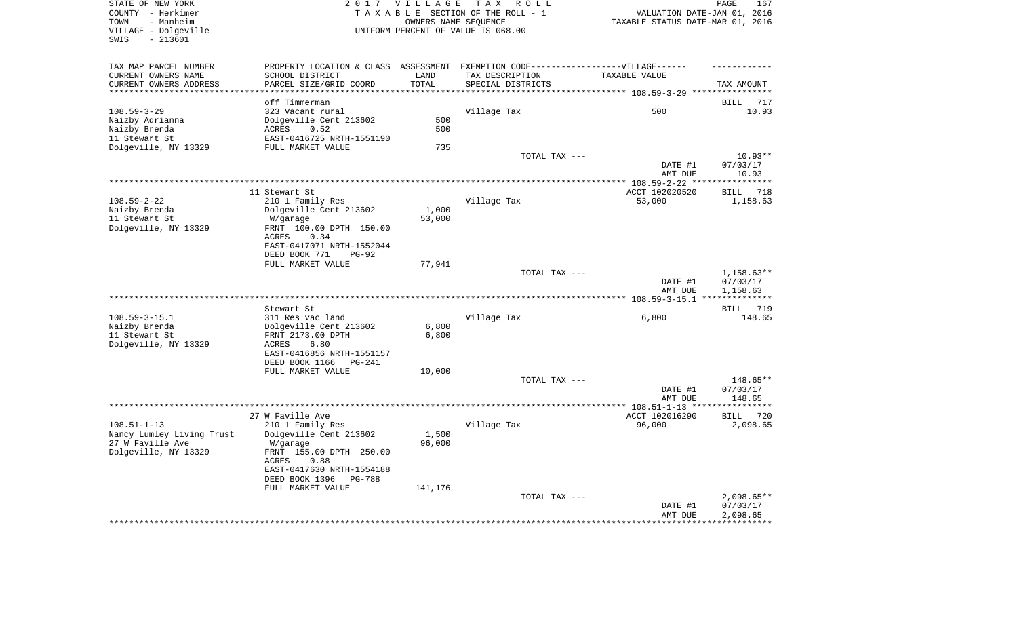| VILLAGE - Dolgeville<br>$-213601$<br>SWIS          |                                                                                   |                 | TAXABLE SECTION OF THE ROLL - 1<br>OWNERS NAME SEQUENCE<br>UNIFORM PERCENT OF VALUE IS 068.00 | VALUATION DATE-JAN 01, 2016<br>TAXABLE STATUS DATE-MAR 01, 2016 |                                                            |
|----------------------------------------------------|-----------------------------------------------------------------------------------|-----------------|-----------------------------------------------------------------------------------------------|-----------------------------------------------------------------|------------------------------------------------------------|
| TAX MAP PARCEL NUMBER                              | PROPERTY LOCATION & CLASS ASSESSMENT EXEMPTION CODE-----------------VILLAGE------ |                 |                                                                                               |                                                                 |                                                            |
| CURRENT OWNERS NAME                                | SCHOOL DISTRICT                                                                   | LAND<br>TOTAL   | TAX DESCRIPTION                                                                               | TAXABLE VALUE                                                   |                                                            |
| CURRENT OWNERS ADDRESS<br>************************ | PARCEL SIZE/GRID COORD                                                            |                 | SPECIAL DISTRICTS                                                                             |                                                                 | TAX AMOUNT                                                 |
|                                                    | off Timmerman                                                                     |                 |                                                                                               |                                                                 | BILL<br>717                                                |
| $108.59 - 3 - 29$                                  | 323 Vacant rural                                                                  |                 | Village Tax                                                                                   | 500                                                             | 10.93                                                      |
| Naizby Adrianna                                    | Dolgeville Cent 213602                                                            | 500             |                                                                                               |                                                                 |                                                            |
| Naizby Brenda                                      | ACRES<br>0.52                                                                     | 500             |                                                                                               |                                                                 |                                                            |
| 11 Stewart St                                      | EAST-0416725 NRTH-1551190                                                         |                 |                                                                                               |                                                                 |                                                            |
| Dolgeville, NY 13329                               | FULL MARKET VALUE                                                                 | 735             |                                                                                               |                                                                 |                                                            |
|                                                    |                                                                                   |                 | TOTAL TAX ---                                                                                 |                                                                 | $10.93**$                                                  |
|                                                    |                                                                                   |                 |                                                                                               | DATE #1                                                         | 07/03/17                                                   |
|                                                    |                                                                                   |                 |                                                                                               | AMT DUE                                                         | 10.93                                                      |
|                                                    |                                                                                   |                 |                                                                                               |                                                                 | **********                                                 |
|                                                    | 11 Stewart St                                                                     |                 |                                                                                               | ACCT 102020520                                                  | 718<br>BILL                                                |
| $108.59 - 2 - 22$                                  | 210 1 Family Res                                                                  |                 | Village Tax                                                                                   | 53,000                                                          | 1,158.63                                                   |
| Naizby Brenda                                      | Dolgeville Cent 213602                                                            | 1,000<br>53,000 |                                                                                               |                                                                 |                                                            |
| 11 Stewart St<br>Dolgeville, NY 13329              | W/garage<br>FRNT 100.00 DPTH 150.00                                               |                 |                                                                                               |                                                                 |                                                            |
|                                                    | <b>ACRES</b><br>0.34                                                              |                 |                                                                                               |                                                                 |                                                            |
|                                                    | EAST-0417071 NRTH-1552044                                                         |                 |                                                                                               |                                                                 |                                                            |
|                                                    | DEED BOOK 771<br>$PG-92$                                                          |                 |                                                                                               |                                                                 |                                                            |
|                                                    | FULL MARKET VALUE                                                                 | 77,941          |                                                                                               |                                                                 |                                                            |
|                                                    |                                                                                   |                 |                                                                                               |                                                                 |                                                            |
|                                                    |                                                                                   |                 |                                                                                               |                                                                 |                                                            |
|                                                    |                                                                                   |                 | TOTAL TAX ---                                                                                 |                                                                 |                                                            |
|                                                    |                                                                                   |                 |                                                                                               | DATE #1<br>AMT DUE                                              |                                                            |
|                                                    |                                                                                   |                 |                                                                                               |                                                                 |                                                            |
|                                                    | Stewart St                                                                        |                 |                                                                                               |                                                                 |                                                            |
| $108.59 - 3 - 15.1$                                | 311 Res vac land                                                                  |                 | Village Tax                                                                                   | 6,800                                                           |                                                            |
| Naizby Brenda                                      | Dolgeville Cent 213602                                                            | 6,800           |                                                                                               |                                                                 |                                                            |
| 11 Stewart St                                      | FRNT 2173.00 DPTH                                                                 | 6,800           |                                                                                               |                                                                 |                                                            |
| Dolgeville, NY 13329                               | ACRES<br>6.80                                                                     |                 |                                                                                               |                                                                 | $1,158.63**$<br>07/03/17<br>1,158.63<br>BILL 719<br>148.65 |
|                                                    | EAST-0416856 NRTH-1551157                                                         |                 |                                                                                               |                                                                 |                                                            |
|                                                    | DEED BOOK 1166 PG-241                                                             |                 |                                                                                               |                                                                 |                                                            |
|                                                    | FULL MARKET VALUE                                                                 | 10,000          |                                                                                               |                                                                 |                                                            |
|                                                    |                                                                                   |                 | TOTAL TAX ---                                                                                 |                                                                 | 148.65**                                                   |
|                                                    |                                                                                   |                 |                                                                                               | DATE #1                                                         | 07/03/17                                                   |
|                                                    |                                                                                   |                 |                                                                                               | AMT DUE                                                         | 148.65                                                     |
|                                                    |                                                                                   |                 |                                                                                               |                                                                 |                                                            |
|                                                    | 27 W Faville Ave                                                                  |                 |                                                                                               | ACCT 102016290                                                  | BILL                                                       |
| $108.51 - 1 - 13$                                  | 210 1 Family Res                                                                  |                 | Village Tax                                                                                   | 96,000                                                          |                                                            |
| Nancy Lumley Living Trust                          | Dolgeville Cent 213602                                                            | 1,500           |                                                                                               |                                                                 |                                                            |
| 27 W Faville Ave                                   | W/garage                                                                          | 96,000          |                                                                                               |                                                                 |                                                            |
| Dolgeville, NY 13329                               | FRNT 155.00 DPTH 250.00                                                           |                 |                                                                                               |                                                                 |                                                            |
|                                                    | 0.88<br>ACRES                                                                     |                 |                                                                                               |                                                                 |                                                            |
|                                                    | EAST-0417630 NRTH-1554188<br>DEED BOOK 1396 PG-788                                |                 |                                                                                               |                                                                 |                                                            |
|                                                    | FULL MARKET VALUE                                                                 | 141,176         |                                                                                               |                                                                 |                                                            |
|                                                    |                                                                                   |                 | TOTAL TAX ---                                                                                 |                                                                 |                                                            |
|                                                    |                                                                                   |                 |                                                                                               | DATE #1                                                         | 720<br>2,098.65<br>$2,098.65**$<br>07/03/17                |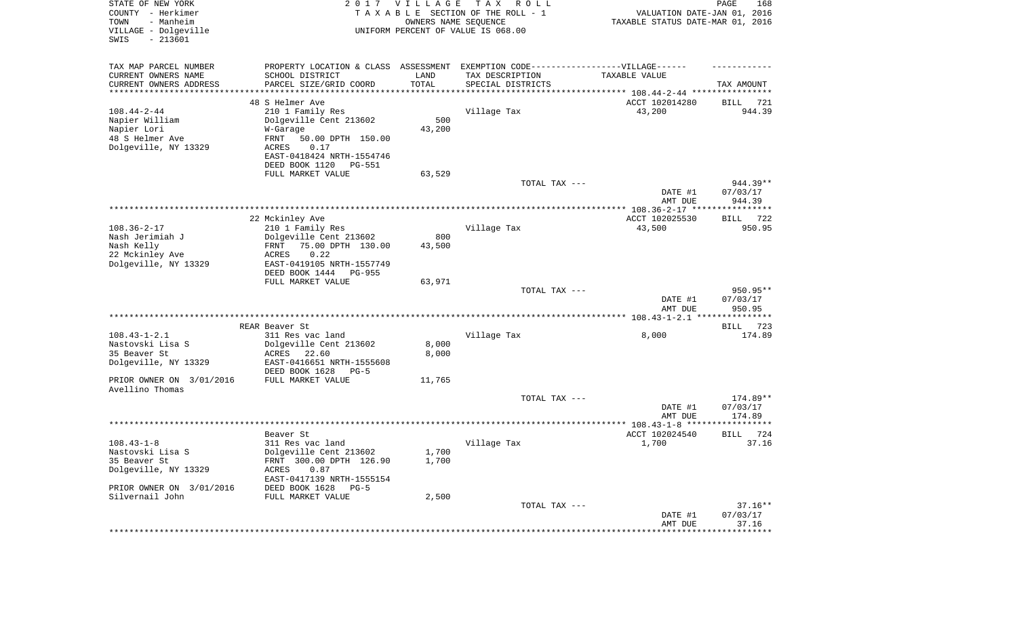| STATE OF NEW YORK<br>COUNTY - Herkimer<br>- Manheim<br>TOWN<br>VILLAGE - Dolgeville<br>$-213601$<br>SWIS | 2017                                                 | <b>VILLAGE</b><br>OWNERS NAME SEQUENCE | T A X<br>R O L L<br>TAXABLE SECTION OF THE ROLL - 1<br>UNIFORM PERCENT OF VALUE IS 068.00 | VALUATION DATE-JAN 01, 2016<br>TAXABLE STATUS DATE-MAR 01, 2016 | PAGE<br>168          |
|----------------------------------------------------------------------------------------------------------|------------------------------------------------------|----------------------------------------|-------------------------------------------------------------------------------------------|-----------------------------------------------------------------|----------------------|
| TAX MAP PARCEL NUMBER                                                                                    | PROPERTY LOCATION & CLASS ASSESSMENT                 |                                        | EXEMPTION CODE-----------------VILLAGE------                                              |                                                                 |                      |
| CURRENT OWNERS NAME                                                                                      | SCHOOL DISTRICT                                      | LAND                                   | TAX DESCRIPTION                                                                           | TAXABLE VALUE                                                   |                      |
| CURRENT OWNERS ADDRESS<br>*********************                                                          | PARCEL SIZE/GRID COORD<br>*******************        | TOTAL<br>***********                   | SPECIAL DISTRICTS                                                                         |                                                                 | TAX AMOUNT           |
|                                                                                                          | 48 S Helmer Ave                                      |                                        |                                                                                           | ACCT 102014280                                                  | BILL<br>721          |
| $108.44 - 2 - 44$                                                                                        | 210 1 Family Res                                     |                                        | Village Tax                                                                               | 43,200                                                          | 944.39               |
| Napier William                                                                                           | Dolgeville Cent 213602                               | 500                                    |                                                                                           |                                                                 |                      |
| Napier Lori                                                                                              | W-Garage                                             | 43,200                                 |                                                                                           |                                                                 |                      |
| 48 S Helmer Ave                                                                                          | FRNT<br>50.00 DPTH 150.00                            |                                        |                                                                                           |                                                                 |                      |
| Dolgeville, NY 13329                                                                                     | 0.17<br>ACRES<br>EAST-0418424 NRTH-1554746           |                                        |                                                                                           |                                                                 |                      |
|                                                                                                          | DEED BOOK 1120<br><b>PG-551</b>                      |                                        |                                                                                           |                                                                 |                      |
|                                                                                                          | FULL MARKET VALUE                                    | 63,529                                 |                                                                                           |                                                                 |                      |
|                                                                                                          |                                                      |                                        | TOTAL TAX ---                                                                             |                                                                 | $944.39**$           |
|                                                                                                          |                                                      |                                        |                                                                                           | DATE #1<br>AMT DUE                                              | 07/03/17<br>944.39   |
|                                                                                                          | 22 Mckinley Ave                                      |                                        |                                                                                           | ACCT 102025530                                                  | 722<br>BILL          |
| $108.36 - 2 - 17$                                                                                        | 210 1 Family Res                                     |                                        | Village Tax                                                                               | 43,500                                                          | 950.95               |
| Nash Jerimiah J                                                                                          | Dolgeville Cent 213602                               | 800                                    |                                                                                           |                                                                 |                      |
| Nash Kelly                                                                                               | 75.00 DPTH 130.00<br>FRNT                            | 43,500                                 |                                                                                           |                                                                 |                      |
| 22 Mckinley Ave                                                                                          | ACRES<br>0.22                                        |                                        |                                                                                           |                                                                 |                      |
| Dolgeville, NY 13329                                                                                     | EAST-0419105 NRTH-1557749                            |                                        |                                                                                           |                                                                 |                      |
|                                                                                                          | DEED BOOK 1444<br><b>PG-955</b><br>FULL MARKET VALUE | 63,971                                 |                                                                                           |                                                                 |                      |
|                                                                                                          |                                                      |                                        | TOTAL TAX ---                                                                             |                                                                 | 950.95**             |
|                                                                                                          |                                                      |                                        |                                                                                           | DATE #1<br>AMT DUE                                              | 07/03/17<br>950.95   |
|                                                                                                          |                                                      |                                        |                                                                                           |                                                                 |                      |
|                                                                                                          | REAR Beaver St                                       |                                        |                                                                                           |                                                                 | 723<br>BILL          |
| $108.43 - 1 - 2.1$<br>Nastovski Lisa S                                                                   | 311 Res vac land<br>Dolgeville Cent 213602           | 8,000                                  | Village Tax                                                                               | 8,000                                                           | 174.89               |
| 35 Beaver St                                                                                             | ACRES<br>22.60                                       | 8,000                                  |                                                                                           |                                                                 |                      |
| Dolgeville, NY 13329                                                                                     | EAST-0416651 NRTH-1555608                            |                                        |                                                                                           |                                                                 |                      |
|                                                                                                          | DEED BOOK 1628<br>$PG-5$                             |                                        |                                                                                           |                                                                 |                      |
| PRIOR OWNER ON 3/01/2016                                                                                 | FULL MARKET VALUE                                    | 11,765                                 |                                                                                           |                                                                 |                      |
| Avellino Thomas                                                                                          |                                                      |                                        |                                                                                           |                                                                 |                      |
|                                                                                                          |                                                      |                                        | TOTAL TAX ---                                                                             | DATE #1                                                         | 174.89**<br>07/03/17 |
|                                                                                                          |                                                      |                                        |                                                                                           | AMT DUE                                                         | 174.89               |
|                                                                                                          |                                                      |                                        |                                                                                           |                                                                 |                      |
|                                                                                                          | Beaver St                                            |                                        |                                                                                           | ACCT 102024540                                                  | 724<br><b>BILL</b>   |
| $108.43 - 1 - 8$                                                                                         | 311 Res vac land                                     |                                        | Village Tax                                                                               | 1,700                                                           | 37.16                |
| Nastovski Lisa S                                                                                         | Dolgeville Cent 213602                               | 1,700                                  |                                                                                           |                                                                 |                      |
| 35 Beaver St<br>Dolgeville, NY 13329                                                                     | FRNT 300.00 DPTH 126.90<br>ACRES<br>0.87             | 1,700                                  |                                                                                           |                                                                 |                      |
|                                                                                                          | EAST-0417139 NRTH-1555154                            |                                        |                                                                                           |                                                                 |                      |
| PRIOR OWNER ON 3/01/2016                                                                                 | DEED BOOK 1628<br>$PG-5$                             |                                        |                                                                                           |                                                                 |                      |
| Silvernail John                                                                                          | FULL MARKET VALUE                                    | 2,500                                  |                                                                                           |                                                                 |                      |
|                                                                                                          |                                                      |                                        | TOTAL TAX ---                                                                             |                                                                 | $37.16**$            |
|                                                                                                          |                                                      |                                        |                                                                                           | DATE #1<br>AMT DUE                                              | 07/03/17<br>37.16    |
|                                                                                                          |                                                      |                                        |                                                                                           | ******************                                              | **************       |
|                                                                                                          |                                                      |                                        |                                                                                           |                                                                 |                      |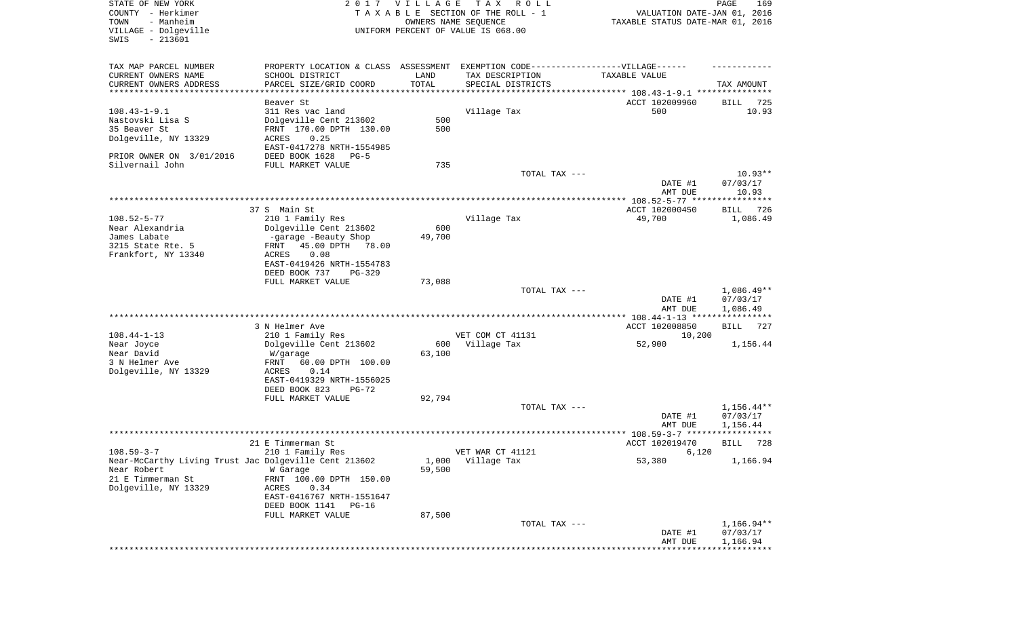| STATE OF NEW YORK<br>COUNTY - Herkimer<br>- Manheim<br>TOWN<br>VILLAGE - Dolgeville<br>SWIS<br>$-213601$                              |                                                                                                                                                                                          | 2017 VILLAGE<br>OWNERS NAME SEQUENCE | T A X<br>R O L L<br>TAXABLE SECTION OF THE ROLL - 1<br>UNIFORM PERCENT OF VALUE IS 068.00                                | VALUATION DATE-JAN 01, 2016<br>TAXABLE STATUS DATE-MAR 01, 2016        | PAGE<br>169                          |
|---------------------------------------------------------------------------------------------------------------------------------------|------------------------------------------------------------------------------------------------------------------------------------------------------------------------------------------|--------------------------------------|--------------------------------------------------------------------------------------------------------------------------|------------------------------------------------------------------------|--------------------------------------|
| TAX MAP PARCEL NUMBER<br>CURRENT OWNERS NAME<br>CURRENT OWNERS ADDRESS<br>**********************                                      | SCHOOL DISTRICT<br>PARCEL SIZE/GRID COORD                                                                                                                                                | LAND<br>TOTAL                        | PROPERTY LOCATION & CLASS ASSESSMENT EXEMPTION CODE----------------VILLAGE------<br>TAX DESCRIPTION<br>SPECIAL DISTRICTS | TAXABLE VALUE                                                          | TAX AMOUNT                           |
| $108.43 - 1 - 9.1$<br>Nastovski Lisa S<br>35 Beaver St<br>Dolgeville, NY 13329<br>PRIOR OWNER ON 3/01/2016<br>Silvernail John         | Beaver St<br>311 Res vac land<br>Dolgeville Cent 213602<br>FRNT 170.00 DPTH 130.00<br><b>ACRES</b><br>0.25<br>EAST-0417278 NRTH-1554985<br>DEED BOOK 1628<br>$PG-5$<br>FULL MARKET VALUE | 500<br>500<br>735                    | Village Tax                                                                                                              | ACCT 102009960<br>500                                                  | BILL<br>725<br>10.93                 |
|                                                                                                                                       |                                                                                                                                                                                          |                                      | TOTAL TAX ---                                                                                                            | DATE #1<br>AMT DUE                                                     | $10.93**$<br>07/03/17<br>10.93       |
| $108.52 - 5 - 77$<br>Near Alexandria<br>James Labate                                                                                  | 37 S Main St<br>210 1 Family Res<br>Dolgeville Cent 213602<br>-garage -Beauty Shop                                                                                                       | 600<br>49,700                        | Village Tax                                                                                                              | ACCT 102000450<br>49,700                                               | BILL<br>726<br>1,086.49              |
| 3215 State Rte. 5<br>Frankfort, NY 13340                                                                                              | 45.00 DPTH<br>FRNT<br>78.00<br>ACRES<br>0.08<br>EAST-0419426 NRTH-1554783<br>DEED BOOK 737<br>$PG-329$<br>FULL MARKET VALUE                                                              | 73,088                               |                                                                                                                          |                                                                        |                                      |
|                                                                                                                                       |                                                                                                                                                                                          |                                      | TOTAL TAX ---                                                                                                            | DATE #1<br>AMT DUE                                                     | $1,086.49**$<br>07/03/17<br>1,086.49 |
| $108.44 - 1 - 13$                                                                                                                     | 3 N Helmer Ave<br>210 1 Family Res                                                                                                                                                       |                                      | VET COM CT 41131                                                                                                         | ************ 108.44-1-13 *****************<br>ACCT 102008850<br>10,200 | <b>BILL</b><br>727                   |
| Near Joyce<br>Near David<br>3 N Helmer Ave<br>Dolgeville, NY 13329                                                                    | Dolgeville Cent 213602<br>W/garage<br>FRNT<br>60.00 DPTH 100.00<br>ACRES<br>0.14<br>EAST-0419329 NRTH-1556025<br>DEED BOOK 823<br>$PG-72$                                                | 600<br>63,100                        | Village Tax                                                                                                              | 52,900                                                                 | 1,156.44                             |
|                                                                                                                                       | FULL MARKET VALUE                                                                                                                                                                        | 92,794                               | TOTAL TAX ---                                                                                                            | DATE #1<br>AMT DUE                                                     | $1,156.44**$<br>07/03/17<br>1,156.44 |
|                                                                                                                                       | 21 E Timmerman St                                                                                                                                                                        |                                      |                                                                                                                          | ACCT 102019470                                                         | *****                                |
| $108.59 - 3 - 7$<br>Near-McCarthy Living Trust Jac Dolgeville Cent 213602<br>Near Robert<br>21 E Timmerman St<br>Dolgeville, NY 13329 | 210 1 Family Res<br>W Garage<br>FRNT 100.00 DPTH 150.00<br>0.34<br>ACRES<br>EAST-0416767 NRTH-1551647<br>DEED BOOK 1141<br>$PG-16$                                                       | 1,000<br>59,500                      | VET WAR CT 41121<br>Village Tax                                                                                          | 6,120<br>53,380                                                        | 728<br>BILL<br>1,166.94              |
|                                                                                                                                       | FULL MARKET VALUE                                                                                                                                                                        | 87,500                               | TOTAL TAX ---                                                                                                            | DATE #1                                                                | 1,166.94**<br>07/03/17               |
|                                                                                                                                       |                                                                                                                                                                                          |                                      |                                                                                                                          | AMT DUE<br>****************************                                | 1,166.94                             |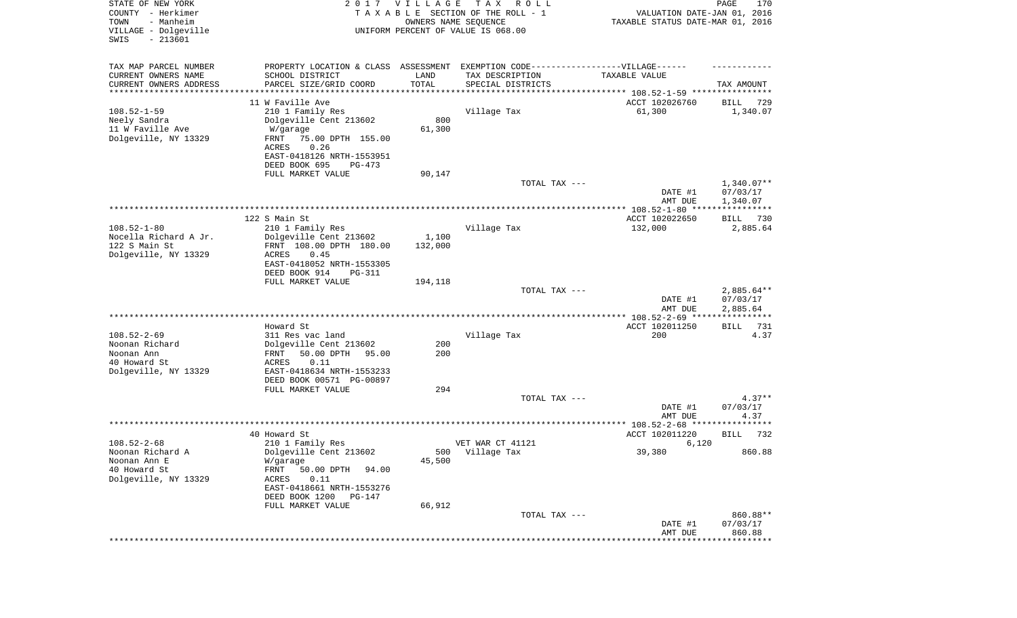| STATE OF NEW YORK<br>COUNTY - Herkimer<br>- Manheim<br>TOWN<br>VILLAGE - Dolgeville<br>SWIS<br>$-213601$ |                                                                                   | 2017 VILLAGE<br>OWNERS NAME SEQUENCE | T A X<br>R O L L<br>TAXABLE SECTION OF THE ROLL - 1<br>UNIFORM PERCENT OF VALUE IS 068.00 | VALUATION DATE-JAN 01, 2016<br>TAXABLE STATUS DATE-MAR 01, 2016 | PAGE<br>170                       |
|----------------------------------------------------------------------------------------------------------|-----------------------------------------------------------------------------------|--------------------------------------|-------------------------------------------------------------------------------------------|-----------------------------------------------------------------|-----------------------------------|
| TAX MAP PARCEL NUMBER                                                                                    | PROPERTY LOCATION & CLASS ASSESSMENT EXEMPTION CODE-----------------VILLAGE------ |                                      |                                                                                           |                                                                 |                                   |
| CURRENT OWNERS NAME                                                                                      | SCHOOL DISTRICT                                                                   | LAND                                 | TAX DESCRIPTION                                                                           | TAXABLE VALUE                                                   |                                   |
| CURRENT OWNERS ADDRESS<br>********************                                                           | PARCEL SIZE/GRID COORD<br>****************                                        | TOTAL<br>**********                  | SPECIAL DISTRICTS<br>********************************* 108.52-1-59 ****************       |                                                                 | TAX AMOUNT                        |
|                                                                                                          | 11 W Faville Ave                                                                  |                                      |                                                                                           | ACCT 102026760                                                  | 729<br>BILL                       |
| $108.52 - 1 - 59$                                                                                        | 210 1 Family Res                                                                  |                                      | Village Tax                                                                               | 61,300                                                          | 1,340.07                          |
| Neely Sandra                                                                                             | Dolgeville Cent 213602                                                            | 800                                  |                                                                                           |                                                                 |                                   |
| 11 W Faville Ave                                                                                         | W/garage                                                                          | 61,300                               |                                                                                           |                                                                 |                                   |
| Dolgeville, NY 13329                                                                                     | 75.00 DPTH 155.00<br>FRNT                                                         |                                      |                                                                                           |                                                                 |                                   |
|                                                                                                          | 0.26<br>ACRES                                                                     |                                      |                                                                                           |                                                                 |                                   |
|                                                                                                          | EAST-0418126 NRTH-1553951                                                         |                                      |                                                                                           |                                                                 |                                   |
|                                                                                                          | DEED BOOK 695<br>PG-473                                                           |                                      |                                                                                           |                                                                 |                                   |
|                                                                                                          | FULL MARKET VALUE                                                                 | 90,147                               |                                                                                           |                                                                 |                                   |
|                                                                                                          |                                                                                   |                                      | TOTAL TAX ---                                                                             | DATE #1                                                         | $1,340.07**$<br>07/03/17          |
|                                                                                                          |                                                                                   |                                      |                                                                                           | AMT DUE                                                         | 1,340.07                          |
|                                                                                                          |                                                                                   |                                      |                                                                                           |                                                                 |                                   |
|                                                                                                          | 122 S Main St                                                                     |                                      |                                                                                           | ACCT 102022650                                                  | BILL<br>730                       |
| $108.52 - 1 - 80$                                                                                        | 210 1 Family Res                                                                  |                                      | Village Tax                                                                               | 132,000                                                         | 2,885.64                          |
| Nocella Richard A Jr.                                                                                    | Dolgeville Cent 213602                                                            | 1,100                                |                                                                                           |                                                                 |                                   |
| 122 S Main St                                                                                            | FRNT 108.00 DPTH 180.00                                                           | 132,000                              |                                                                                           |                                                                 |                                   |
| Dolgeville, NY 13329                                                                                     | ACRES<br>0.45                                                                     |                                      |                                                                                           |                                                                 |                                   |
|                                                                                                          | EAST-0418052 NRTH-1553305                                                         |                                      |                                                                                           |                                                                 |                                   |
|                                                                                                          | DEED BOOK 914<br>PG-311<br>FULL MARKET VALUE                                      | 194,118                              |                                                                                           |                                                                 |                                   |
|                                                                                                          |                                                                                   |                                      | TOTAL TAX ---                                                                             |                                                                 | $2,885.64**$                      |
|                                                                                                          |                                                                                   |                                      |                                                                                           | DATE #1                                                         | 07/03/17                          |
|                                                                                                          |                                                                                   |                                      |                                                                                           | AMT DUE                                                         | 2,885.64                          |
|                                                                                                          |                                                                                   |                                      |                                                                                           |                                                                 | ************                      |
|                                                                                                          | Howard St                                                                         |                                      |                                                                                           | ACCT 102011250                                                  | 731<br>BILL                       |
| $108.52 - 2 - 69$                                                                                        | 311 Res vac land                                                                  |                                      | Village Tax                                                                               | 200                                                             | 4.37                              |
| Noonan Richard                                                                                           | Dolgeville Cent 213602                                                            | 200                                  |                                                                                           |                                                                 |                                   |
| Noonan Ann                                                                                               | 50.00 DPTH<br>95.00<br>FRNT                                                       | 200                                  |                                                                                           |                                                                 |                                   |
| 40 Howard St<br>Dolgeville, NY 13329                                                                     | ACRES<br>0.11<br>EAST-0418634 NRTH-1553233                                        |                                      |                                                                                           |                                                                 |                                   |
|                                                                                                          | DEED BOOK 00571 PG-00897                                                          |                                      |                                                                                           |                                                                 |                                   |
|                                                                                                          | FULL MARKET VALUE                                                                 | 294                                  |                                                                                           |                                                                 |                                   |
|                                                                                                          |                                                                                   |                                      | TOTAL TAX ---                                                                             |                                                                 | $4.37**$                          |
|                                                                                                          |                                                                                   |                                      |                                                                                           | DATE #1                                                         | 07/03/17                          |
|                                                                                                          |                                                                                   |                                      |                                                                                           | AMT DUE                                                         | 4.37                              |
|                                                                                                          |                                                                                   |                                      |                                                                                           |                                                                 |                                   |
|                                                                                                          | 40 Howard St                                                                      |                                      |                                                                                           | ACCT 102011220                                                  | 732<br><b>BILL</b>                |
| $108.52 - 2 - 68$                                                                                        | 210 1 Family Res                                                                  |                                      | VET WAR CT 41121                                                                          | 6,120                                                           |                                   |
| Noonan Richard A<br>Noonan Ann E                                                                         | Dolgeville Cent 213602<br>W/garage                                                | 45,500                               | 500 Village Tax                                                                           | 39,380                                                          | 860.88                            |
| 40 Howard St                                                                                             | 50.00 DPTH<br>94.00<br>FRNT                                                       |                                      |                                                                                           |                                                                 |                                   |
| Dolgeville, NY 13329                                                                                     | 0.11<br>ACRES                                                                     |                                      |                                                                                           |                                                                 |                                   |
|                                                                                                          | EAST-0418661 NRTH-1553276                                                         |                                      |                                                                                           |                                                                 |                                   |
|                                                                                                          | DEED BOOK 1200<br>PG-147                                                          |                                      |                                                                                           |                                                                 |                                   |
|                                                                                                          | FULL MARKET VALUE                                                                 | 66,912                               |                                                                                           |                                                                 |                                   |
|                                                                                                          |                                                                                   |                                      | TOTAL TAX ---                                                                             |                                                                 | 860.88**                          |
|                                                                                                          |                                                                                   |                                      |                                                                                           | DATE #1                                                         | 07/03/17                          |
|                                                                                                          |                                                                                   |                                      |                                                                                           | AMT DUE                                                         | 860.88<br>* * * * * * * * * * * * |
|                                                                                                          |                                                                                   |                                      |                                                                                           |                                                                 |                                   |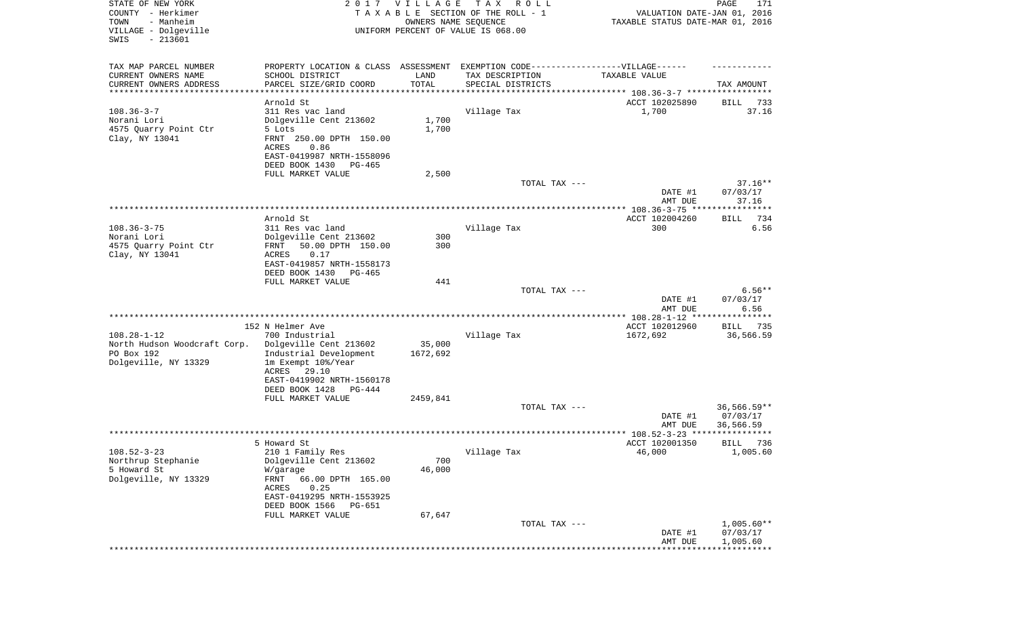| STATE OF NEW YORK<br>COUNTY - Herkimer<br>- Manheim<br>TOWN<br>VILLAGE - Dolgeville<br>SWIS<br>$-213601$ |                                                                                                      | 2017 VILLAGE<br>OWNERS NAME SEQUENCE | TAX ROLL<br>TAXABLE SECTION OF THE ROLL - 1<br>UNIFORM PERCENT OF VALUE IS 068.00 | VALUATION DATE-JAN 01, 2016<br>TAXABLE STATUS DATE-MAR 01, 2016 | PAGE<br>171       |
|----------------------------------------------------------------------------------------------------------|------------------------------------------------------------------------------------------------------|--------------------------------------|-----------------------------------------------------------------------------------|-----------------------------------------------------------------|-------------------|
| TAX MAP PARCEL NUMBER<br>CURRENT OWNERS NAME                                                             | PROPERTY LOCATION & CLASS ASSESSMENT EXEMPTION CODE-----------------VILLAGE------<br>SCHOOL DISTRICT | LAND                                 | TAX DESCRIPTION                                                                   | TAXABLE VALUE                                                   |                   |
| CURRENT OWNERS ADDRESS                                                                                   | PARCEL SIZE/GRID COORD                                                                               | TOTAL                                | SPECIAL DISTRICTS                                                                 |                                                                 | TAX AMOUNT        |
| **********************                                                                                   | *******************                                                                                  |                                      |                                                                                   |                                                                 |                   |
|                                                                                                          | Arnold St                                                                                            |                                      |                                                                                   | ACCT 102025890                                                  | BILL<br>733       |
| $108.36 - 3 - 7$<br>Norani Lori                                                                          | 311 Res vac land<br>Dolgeville Cent 213602                                                           | 1,700                                | Village Tax                                                                       | 1,700                                                           | 37.16             |
| 4575 Quarry Point Ctr                                                                                    | 5 Lots                                                                                               | 1,700                                |                                                                                   |                                                                 |                   |
| Clay, NY 13041                                                                                           | FRNT 250.00 DPTH 150.00<br>ACRES<br>0.86                                                             |                                      |                                                                                   |                                                                 |                   |
|                                                                                                          | EAST-0419987 NRTH-1558096<br>DEED BOOK 1430<br>PG-465                                                |                                      |                                                                                   |                                                                 |                   |
|                                                                                                          | FULL MARKET VALUE                                                                                    | 2,500                                |                                                                                   |                                                                 |                   |
|                                                                                                          |                                                                                                      |                                      | TOTAL TAX ---                                                                     |                                                                 | $37.16**$         |
|                                                                                                          |                                                                                                      |                                      |                                                                                   | DATE #1<br>AMT DUE                                              | 07/03/17<br>37.16 |
|                                                                                                          |                                                                                                      |                                      |                                                                                   |                                                                 |                   |
|                                                                                                          | Arnold St                                                                                            |                                      |                                                                                   | ACCT 102004260                                                  | 734<br>BILL       |
| $108.36 - 3 - 75$<br>Norani Lori                                                                         | 311 Res vac land<br>Dolgeville Cent 213602                                                           | 300                                  | Village Tax                                                                       | 300                                                             | 6.56              |
| 4575 Quarry Point Ctr                                                                                    | 50.00 DPTH 150.00<br>FRNT                                                                            | 300                                  |                                                                                   |                                                                 |                   |
| Clay, NY 13041                                                                                           | 0.17<br>ACRES<br>EAST-0419857 NRTH-1558173                                                           |                                      |                                                                                   |                                                                 |                   |
|                                                                                                          | DEED BOOK 1430<br>PG-465                                                                             |                                      |                                                                                   |                                                                 |                   |
|                                                                                                          | FULL MARKET VALUE                                                                                    | 441                                  |                                                                                   |                                                                 | $6.56**$          |
|                                                                                                          |                                                                                                      |                                      | TOTAL TAX ---                                                                     | DATE #1                                                         | 07/03/17          |
|                                                                                                          |                                                                                                      |                                      |                                                                                   | AMT DUE                                                         | 6.56              |
|                                                                                                          |                                                                                                      |                                      |                                                                                   | ************* 108.28-1-12 *****************                     |                   |
| $108.28 - 1 - 12$                                                                                        | 152 N Helmer Ave                                                                                     |                                      |                                                                                   | ACCT 102012960                                                  | 735<br>BILL       |
| North Hudson Woodcraft Corp.                                                                             | 700 Industrial<br>Dolgeville Cent 213602                                                             | 35,000                               | Village Tax                                                                       | 1672,692                                                        | 36,566.59         |
| PO Box 192                                                                                               | Industrial Development                                                                               | 1672,692                             |                                                                                   |                                                                 |                   |
| Dolgeville, NY 13329                                                                                     | 1m Exempt 10%/Year                                                                                   |                                      |                                                                                   |                                                                 |                   |
|                                                                                                          | ACRES<br>29.10                                                                                       |                                      |                                                                                   |                                                                 |                   |
|                                                                                                          | EAST-0419902 NRTH-1560178<br>DEED BOOK 1428<br>PG-444                                                |                                      |                                                                                   |                                                                 |                   |
|                                                                                                          | FULL MARKET VALUE                                                                                    | 2459,841                             |                                                                                   |                                                                 |                   |
|                                                                                                          |                                                                                                      |                                      | TOTAL TAX ---                                                                     |                                                                 | 36,566.59**       |
|                                                                                                          |                                                                                                      |                                      |                                                                                   | DATE #1                                                         | 07/03/17          |
|                                                                                                          |                                                                                                      |                                      |                                                                                   | AMT DUE                                                         | 36,566.59         |
|                                                                                                          | 5 Howard St                                                                                          |                                      |                                                                                   | ACCT 102001350                                                  | 736<br>BILL       |
| $108.52 - 3 - 23$                                                                                        | 210 1 Family Res                                                                                     |                                      | Village Tax                                                                       | 46,000                                                          | 1,005.60          |
| Northrup Stephanie                                                                                       | Dolgeville Cent 213602                                                                               | 700                                  |                                                                                   |                                                                 |                   |
| 5 Howard St<br>Dolgeville, NY 13329                                                                      | W/garage<br>FRNT<br>66.00 DPTH 165.00                                                                | 46,000                               |                                                                                   |                                                                 |                   |
|                                                                                                          | ACRES<br>0.25<br>EAST-0419295 NRTH-1553925                                                           |                                      |                                                                                   |                                                                 |                   |
|                                                                                                          | DEED BOOK 1566<br>PG-651                                                                             |                                      |                                                                                   |                                                                 |                   |
|                                                                                                          | FULL MARKET VALUE                                                                                    | 67,647                               |                                                                                   |                                                                 |                   |
|                                                                                                          |                                                                                                      |                                      | TOTAL TAX ---                                                                     |                                                                 | $1,005.60**$      |
|                                                                                                          |                                                                                                      |                                      |                                                                                   | DATE #1                                                         | 07/03/17          |
|                                                                                                          |                                                                                                      |                                      |                                                                                   | AMT DUE<br>*****************************                        | 1,005.60          |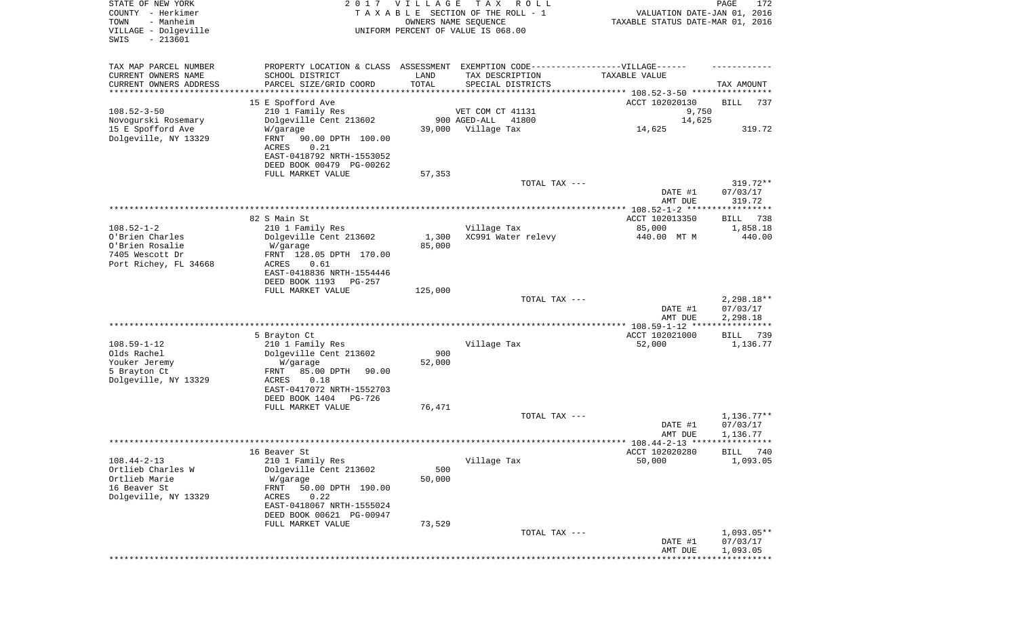| STATE OF NEW YORK<br>COUNTY - Herkimer<br>- Manheim<br>TOWN<br>VILLAGE - Dolgeville<br>$-213601$<br>SWIS |                                                                                                                          | 2017 VILLAGE    | T A X<br>R O L L<br>TAXABLE SECTION OF THE ROLL - 1<br>OWNERS NAME SEQUENCE<br>UNIFORM PERCENT OF VALUE IS 068.00         | VALUATION DATE-JAN 01, 2016<br>TAXABLE STATUS DATE-MAR 01, 2016 | PAGE<br>172                          |
|----------------------------------------------------------------------------------------------------------|--------------------------------------------------------------------------------------------------------------------------|-----------------|---------------------------------------------------------------------------------------------------------------------------|-----------------------------------------------------------------|--------------------------------------|
| TAX MAP PARCEL NUMBER<br>CURRENT OWNERS NAME<br>CURRENT OWNERS ADDRESS<br>********************           | SCHOOL DISTRICT<br>PARCEL SIZE/GRID COORD<br>**********************                                                      | LAND<br>TOTAL   | PROPERTY LOCATION & CLASS ASSESSMENT EXEMPTION CODE-----------------VILLAGE------<br>TAX DESCRIPTION<br>SPECIAL DISTRICTS | TAXABLE VALUE                                                   | TAX AMOUNT                           |
| $108.52 - 3 - 50$<br>Novogurski Rosemary<br>15 E Spofford Ave                                            | 15 E Spofford Ave<br>210 1 Family Res<br>Dolgeville Cent 213602<br>W/garage                                              | 39,000          | VET COM CT 41131<br>900 AGED-ALL<br>41800<br>Village Tax                                                                  | ACCT 102020130<br>9,750<br>14,625<br>14,625                     | BILL<br>737<br>319.72                |
| Dolgeville, NY 13329                                                                                     | FRNT<br>90.00 DPTH 100.00<br>ACRES<br>0.21<br>EAST-0418792 NRTH-1553052<br>DEED BOOK 00479 PG-00262<br>FULL MARKET VALUE | 57,353          |                                                                                                                           |                                                                 |                                      |
|                                                                                                          |                                                                                                                          |                 | TOTAL TAX ---                                                                                                             | DATE #1<br>AMT DUE                                              | 319.72**<br>07/03/17<br>319.72       |
|                                                                                                          |                                                                                                                          |                 |                                                                                                                           |                                                                 |                                      |
| $108.52 - 1 - 2$                                                                                         | 82 S Main St<br>210 1 Family Res                                                                                         |                 | Village Tax                                                                                                               | ACCT 102013350<br>85,000                                        | BILL<br>738<br>1,858.18              |
| O'Brien Charles<br>O'Brien Rosalie<br>7405 Wescott Dr                                                    | Dolgeville Cent 213602<br>W/garage<br>FRNT 128.05 DPTH 170.00                                                            | 1,300<br>85,000 | XC991 Water relevy                                                                                                        | 440.00 MT M                                                     | 440.00                               |
| Port Richey, FL 34668                                                                                    | ACRES<br>0.61<br>EAST-0418836 NRTH-1554446<br>DEED BOOK 1193<br>PG-257                                                   |                 |                                                                                                                           |                                                                 |                                      |
|                                                                                                          | FULL MARKET VALUE                                                                                                        | 125,000         | TOTAL TAX ---                                                                                                             | DATE #1<br>AMT DUE                                              | $2,298.18**$<br>07/03/17<br>2,298.18 |
|                                                                                                          |                                                                                                                          |                 |                                                                                                                           |                                                                 |                                      |
| $108.59 - 1 - 12$                                                                                        | 5 Brayton Ct<br>210 1 Family Res                                                                                         |                 | Village Tax                                                                                                               | ACCT 102021000<br>52,000                                        | 739<br>BILL<br>1,136.77              |
| Olds Rachel<br>Youker Jeremy<br>5 Brayton Ct                                                             | Dolgeville Cent 213602<br>W/garage<br>85.00 DPTH<br>FRNT<br>90.00                                                        | 900<br>52,000   |                                                                                                                           |                                                                 |                                      |
| Dolgeville, NY 13329                                                                                     | 0.18<br>ACRES<br>EAST-0417072 NRTH-1552703<br>DEED BOOK 1404<br>PG-726                                                   | 76,471          |                                                                                                                           |                                                                 |                                      |
|                                                                                                          | FULL MARKET VALUE                                                                                                        |                 | TOTAL TAX ---                                                                                                             | DATE #1<br>AMT DUE                                              | $1,136.77**$<br>07/03/17<br>1,136.77 |
|                                                                                                          |                                                                                                                          |                 |                                                                                                                           |                                                                 |                                      |
|                                                                                                          | 16 Beaver St                                                                                                             |                 |                                                                                                                           | ACCT 102020280                                                  | BILL 740                             |
| $108.44 - 2 - 13$<br>Ortlieb Charles W<br>Ortlieb Marie<br>16 Beaver St                                  | 210 1 Family Res<br>Dolgeville Cent 213602<br>W/garage<br>FRNT<br>50.00 DPTH 190.00                                      | 500<br>50,000   | Village Tax                                                                                                               | 50,000                                                          | 1,093.05                             |
| Dolgeville, NY 13329                                                                                     | 0.22<br>ACRES<br>EAST-0418067 NRTH-1555024<br>DEED BOOK 00621 PG-00947                                                   |                 |                                                                                                                           |                                                                 |                                      |
|                                                                                                          | FULL MARKET VALUE                                                                                                        | 73,529          |                                                                                                                           |                                                                 |                                      |
|                                                                                                          |                                                                                                                          |                 | TOTAL TAX ---                                                                                                             | DATE #1<br>AMT DUE                                              | $1,093.05**$<br>07/03/17<br>1,093.05 |
|                                                                                                          |                                                                                                                          |                 |                                                                                                                           |                                                                 | ************                         |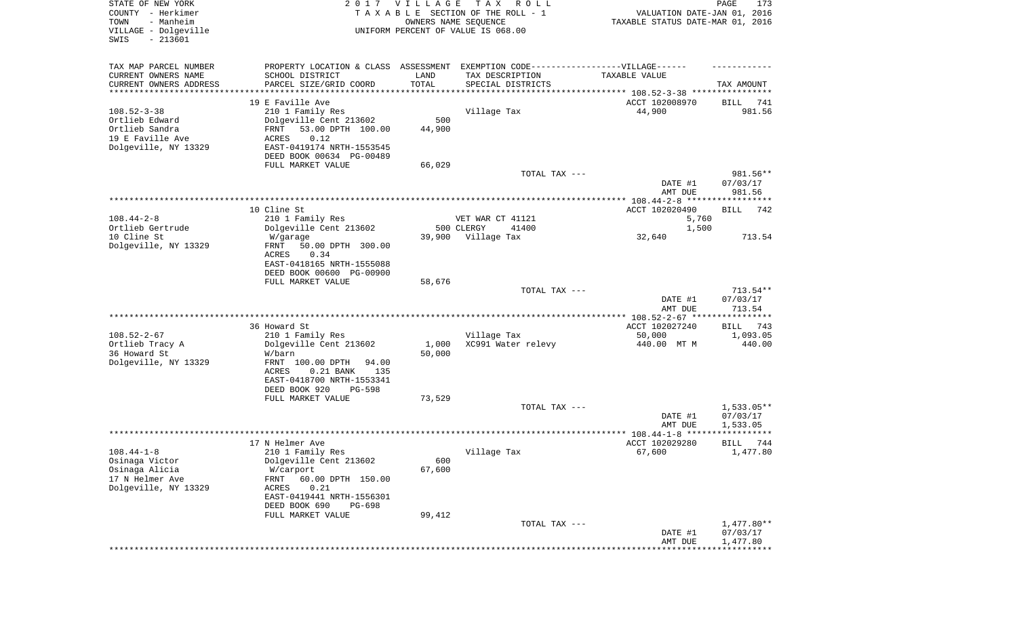| STATE OF NEW YORK<br>COUNTY - Herkimer<br>- Manheim<br>TOWN<br>VILLAGE - Dolgeville |                                                                                  | 2017 VILLAGE<br>OWNERS NAME SEQUENCE | T A X<br>R O L L<br>TAXABLE SECTION OF THE ROLL - 1<br>UNIFORM PERCENT OF VALUE IS 068.00 | VALUATION DATE-JAN 01, 2016<br>TAXABLE STATUS DATE-MAR 01, 2016 | PAGE<br>173            |
|-------------------------------------------------------------------------------------|----------------------------------------------------------------------------------|--------------------------------------|-------------------------------------------------------------------------------------------|-----------------------------------------------------------------|------------------------|
| $-213601$<br>SWIS                                                                   |                                                                                  |                                      |                                                                                           |                                                                 |                        |
| TAX MAP PARCEL NUMBER                                                               | PROPERTY LOCATION & CLASS ASSESSMENT EXEMPTION CODE----------------VILLAGE------ |                                      |                                                                                           |                                                                 |                        |
| CURRENT OWNERS NAME                                                                 | SCHOOL DISTRICT                                                                  | LAND                                 | TAX DESCRIPTION                                                                           | TAXABLE VALUE                                                   |                        |
| CURRENT OWNERS ADDRESS<br>*********************                                     | PARCEL SIZE/GRID COORD<br>************************                               | TOTAL                                | SPECIAL DISTRICTS                                                                         |                                                                 | TAX AMOUNT             |
|                                                                                     | 19 E Faville Ave                                                                 |                                      |                                                                                           | ACCT 102008970                                                  | BILL<br>741            |
| $108.52 - 3 - 38$                                                                   | 210 1 Family Res                                                                 |                                      | Village Tax                                                                               | 44,900                                                          | 981.56                 |
| Ortlieb Edward                                                                      | Dolgeville Cent 213602                                                           | 500                                  |                                                                                           |                                                                 |                        |
| Ortlieb Sandra                                                                      | FRNT<br>53.00 DPTH 100.00                                                        | 44,900                               |                                                                                           |                                                                 |                        |
| 19 E Faville Ave                                                                    | 0.12<br>ACRES                                                                    |                                      |                                                                                           |                                                                 |                        |
| Dolgeville, NY 13329                                                                | EAST-0419174 NRTH-1553545                                                        |                                      |                                                                                           |                                                                 |                        |
|                                                                                     | DEED BOOK 00634 PG-00489                                                         |                                      |                                                                                           |                                                                 |                        |
|                                                                                     | FULL MARKET VALUE                                                                | 66,029                               | TOTAL TAX ---                                                                             |                                                                 | 981.56**               |
|                                                                                     |                                                                                  |                                      |                                                                                           | DATE #1                                                         | 07/03/17               |
|                                                                                     |                                                                                  |                                      |                                                                                           | AMT DUE                                                         | 981.56                 |
|                                                                                     |                                                                                  |                                      |                                                                                           |                                                                 |                        |
|                                                                                     | 10 Cline St                                                                      |                                      |                                                                                           | ACCT 102020490                                                  | <b>BILL</b><br>742     |
| $108.44 - 2 - 8$                                                                    | 210 1 Family Res                                                                 |                                      | VET WAR CT 41121                                                                          | 5,760                                                           |                        |
| Ortlieb Gertrude<br>10 Cline St                                                     | Dolgeville Cent 213602<br>W/garage                                               |                                      | 500 CLERGY<br>41400<br>39,900 Village Tax                                                 | 1,500<br>32,640                                                 | 713.54                 |
| Dolgeville, NY 13329                                                                | FRNT<br>50.00 DPTH 300.00                                                        |                                      |                                                                                           |                                                                 |                        |
|                                                                                     | 0.34<br>ACRES                                                                    |                                      |                                                                                           |                                                                 |                        |
|                                                                                     | EAST-0418165 NRTH-1555088                                                        |                                      |                                                                                           |                                                                 |                        |
|                                                                                     | DEED BOOK 00600 PG-00900                                                         |                                      |                                                                                           |                                                                 |                        |
|                                                                                     | FULL MARKET VALUE                                                                | 58,676                               | TOTAL TAX ---                                                                             |                                                                 | $713.54**$             |
|                                                                                     |                                                                                  |                                      |                                                                                           | DATE #1                                                         | 07/03/17               |
|                                                                                     |                                                                                  |                                      |                                                                                           | AMT DUE                                                         | 713.54                 |
|                                                                                     |                                                                                  |                                      |                                                                                           | ************* 108.52-2-67 *****************                     |                        |
|                                                                                     | 36 Howard St                                                                     |                                      |                                                                                           | ACCT 102027240                                                  | 743<br>BILL            |
| $108.52 - 2 - 67$                                                                   | 210 1 Family Res                                                                 |                                      | Village Tax                                                                               | 50,000                                                          | 1,093.05               |
| Ortlieb Tracy A<br>36 Howard St                                                     | Dolgeville Cent 213602<br>W/barn                                                 | 1,000<br>50,000                      | XC991 Water relevy                                                                        | 440.00 MT M                                                     | 440.00                 |
| Dolgeville, NY 13329                                                                | FRNT 100.00 DPTH<br>94.00                                                        |                                      |                                                                                           |                                                                 |                        |
|                                                                                     | ACRES<br>$0.21$ BANK<br>135                                                      |                                      |                                                                                           |                                                                 |                        |
|                                                                                     | EAST-0418700 NRTH-1553341                                                        |                                      |                                                                                           |                                                                 |                        |
|                                                                                     | DEED BOOK 920<br>PG-598                                                          |                                      |                                                                                           |                                                                 |                        |
|                                                                                     | FULL MARKET VALUE                                                                | 73,529                               |                                                                                           |                                                                 |                        |
|                                                                                     |                                                                                  |                                      | TOTAL TAX ---                                                                             |                                                                 | 1,533.05**<br>07/03/17 |
|                                                                                     |                                                                                  |                                      |                                                                                           | DATE #1<br>AMT DUE                                              | 1,533.05               |
|                                                                                     |                                                                                  |                                      |                                                                                           |                                                                 | ****                   |
|                                                                                     | 17 N Helmer Ave                                                                  |                                      |                                                                                           | ACCT 102029280                                                  | BILL<br>744            |
| $108.44 - 1 - 8$                                                                    | 210 1 Family Res                                                                 |                                      | Village Tax                                                                               | 67,600                                                          | 1,477.80               |
| Osinaga Victor                                                                      | Dolgeville Cent 213602                                                           | 600                                  |                                                                                           |                                                                 |                        |
| Osinaga Alicia<br>17 N Helmer Ave                                                   | W/carport                                                                        | 67,600                               |                                                                                           |                                                                 |                        |
| Dolgeville, NY 13329                                                                | FRNT<br>60.00 DPTH 150.00<br>ACRES<br>0.21                                       |                                      |                                                                                           |                                                                 |                        |
|                                                                                     | EAST-0419441 NRTH-1556301                                                        |                                      |                                                                                           |                                                                 |                        |
|                                                                                     | DEED BOOK 690<br>PG-698                                                          |                                      |                                                                                           |                                                                 |                        |
|                                                                                     | FULL MARKET VALUE                                                                | 99,412                               |                                                                                           |                                                                 |                        |
|                                                                                     |                                                                                  |                                      | TOTAL TAX ---                                                                             |                                                                 | 1,477.80**             |
|                                                                                     |                                                                                  |                                      |                                                                                           | DATE #1<br>AMT DUE                                              | 07/03/17<br>1,477.80   |
|                                                                                     |                                                                                  |                                      |                                                                                           |                                                                 |                        |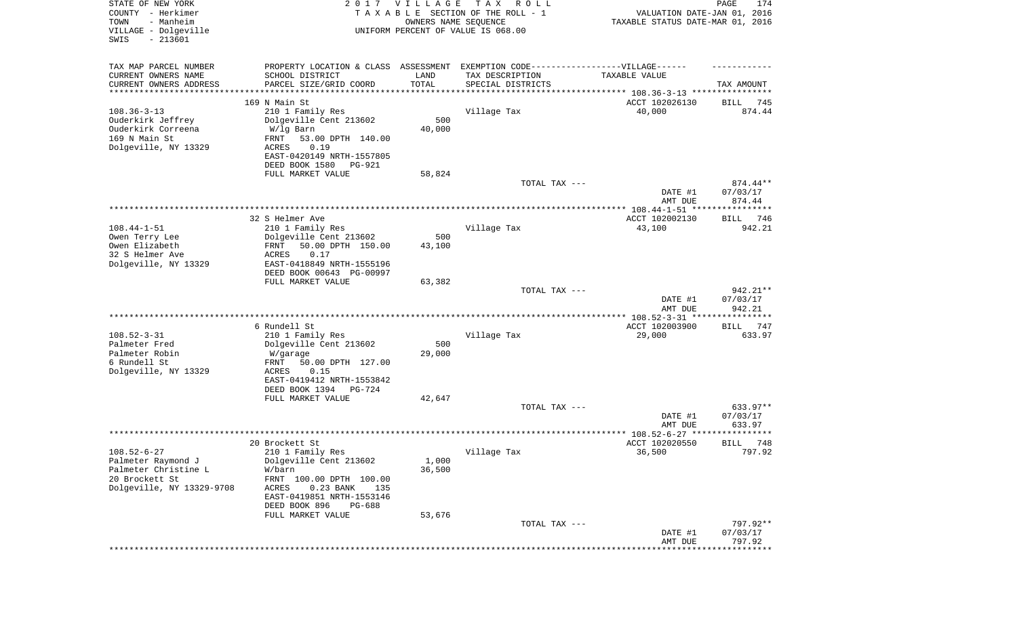| STATE OF NEW YORK<br>COUNTY - Herkimer<br>- Manheim<br>TOWN<br>VILLAGE - Dolgeville<br>$-213601$<br>SWIS |                                                                                                      | 2017 VILLAGE<br>OWNERS NAME SEQUENCE | T A X<br>R O L L<br>TAXABLE SECTION OF THE ROLL - 1<br>UNIFORM PERCENT OF VALUE IS 068.00 | VALUATION DATE-JAN 01, 2016<br>TAXABLE STATUS DATE-MAR 01, 2016 | PAGE<br>174           |
|----------------------------------------------------------------------------------------------------------|------------------------------------------------------------------------------------------------------|--------------------------------------|-------------------------------------------------------------------------------------------|-----------------------------------------------------------------|-----------------------|
| TAX MAP PARCEL NUMBER<br>CURRENT OWNERS NAME                                                             | PROPERTY LOCATION & CLASS ASSESSMENT EXEMPTION CODE-----------------VILLAGE------<br>SCHOOL DISTRICT | LAND                                 | TAX DESCRIPTION                                                                           | TAXABLE VALUE                                                   |                       |
| CURRENT OWNERS ADDRESS                                                                                   | PARCEL SIZE/GRID COORD                                                                               | TOTAL                                | SPECIAL DISTRICTS                                                                         |                                                                 | TAX AMOUNT            |
| ********************                                                                                     |                                                                                                      | **********                           | ********************************* 108.36-3-13 ****************                            |                                                                 |                       |
| $108.36 - 3 - 13$                                                                                        | 169 N Main St<br>210 1 Family Res                                                                    |                                      | Village Tax                                                                               | ACCT 102026130<br>40,000                                        | 745<br>BILL<br>874.44 |
| Ouderkirk Jeffrey                                                                                        | Dolgeville Cent 213602                                                                               | 500                                  |                                                                                           |                                                                 |                       |
| Ouderkirk Correena                                                                                       | W/lg Barn                                                                                            | 40,000                               |                                                                                           |                                                                 |                       |
| 169 N Main St                                                                                            | 53.00 DPTH 140.00<br>FRNT                                                                            |                                      |                                                                                           |                                                                 |                       |
| Dolgeville, NY 13329                                                                                     | ACRES<br>0.19<br>EAST-0420149 NRTH-1557805                                                           |                                      |                                                                                           |                                                                 |                       |
|                                                                                                          | DEED BOOK 1580<br>PG-921                                                                             |                                      |                                                                                           |                                                                 |                       |
|                                                                                                          | FULL MARKET VALUE                                                                                    | 58,824                               |                                                                                           |                                                                 |                       |
|                                                                                                          |                                                                                                      |                                      | TOTAL TAX ---                                                                             |                                                                 | $874.44**$            |
|                                                                                                          |                                                                                                      |                                      |                                                                                           | DATE #1                                                         | 07/03/17              |
|                                                                                                          |                                                                                                      |                                      |                                                                                           | AMT DUE                                                         | 874.44                |
|                                                                                                          | 32 S Helmer Ave                                                                                      |                                      |                                                                                           | ACCT 102002130                                                  | BILL<br>746           |
| $108.44 - 1 - 51$                                                                                        | 210 1 Family Res                                                                                     |                                      | Village Tax                                                                               | 43,100                                                          | 942.21                |
| Owen Terry Lee                                                                                           | Dolgeville Cent 213602                                                                               | 500                                  |                                                                                           |                                                                 |                       |
| Owen Elizabeth<br>32 S Helmer Ave                                                                        | 50.00 DPTH 150.00<br>FRNT<br>ACRES<br>0.17                                                           | 43,100                               |                                                                                           |                                                                 |                       |
| Dolgeville, NY 13329                                                                                     | EAST-0418849 NRTH-1555196                                                                            |                                      |                                                                                           |                                                                 |                       |
|                                                                                                          | DEED BOOK 00643 PG-00997                                                                             |                                      |                                                                                           |                                                                 |                       |
|                                                                                                          | FULL MARKET VALUE                                                                                    | 63,382                               |                                                                                           |                                                                 |                       |
|                                                                                                          |                                                                                                      |                                      | TOTAL TAX ---                                                                             | DATE #1                                                         | 942.21**<br>07/03/17  |
|                                                                                                          |                                                                                                      |                                      |                                                                                           | AMT DUE                                                         | 942.21                |
|                                                                                                          |                                                                                                      |                                      |                                                                                           | ********** 108.52-3-31 *****************                        |                       |
|                                                                                                          | 6 Rundell St                                                                                         |                                      |                                                                                           | ACCT 102003900                                                  | 747<br>BILL           |
| $108.52 - 3 - 31$<br>Palmeter Fred                                                                       | 210 1 Family Res<br>Dolgeville Cent 213602                                                           | 500                                  | Village Tax                                                                               | 29,000                                                          | 633.97                |
| Palmeter Robin                                                                                           | W/garage                                                                                             | 29,000                               |                                                                                           |                                                                 |                       |
| 6 Rundell St                                                                                             | FRNT<br>50.00 DPTH 127.00                                                                            |                                      |                                                                                           |                                                                 |                       |
| Dolgeville, NY 13329                                                                                     | ACRES<br>0.15                                                                                        |                                      |                                                                                           |                                                                 |                       |
|                                                                                                          | EAST-0419412 NRTH-1553842<br>DEED BOOK 1394<br>PG-724                                                |                                      |                                                                                           |                                                                 |                       |
|                                                                                                          | FULL MARKET VALUE                                                                                    | 42,647                               |                                                                                           |                                                                 |                       |
|                                                                                                          |                                                                                                      |                                      | TOTAL TAX ---                                                                             |                                                                 | 633.97**              |
|                                                                                                          |                                                                                                      |                                      |                                                                                           | DATE #1                                                         | 07/03/17              |
|                                                                                                          |                                                                                                      |                                      |                                                                                           | AMT DUE<br>****************** 108.52-6-27 ****                  | 633.97                |
|                                                                                                          | 20 Brockett St                                                                                       |                                      |                                                                                           | ACCT 102020550                                                  | 748<br>BILL           |
| $108.52 - 6 - 27$                                                                                        | 210 1 Family Res                                                                                     |                                      | Village Tax                                                                               | 36,500                                                          | 797.92                |
| Palmeter Raymond J                                                                                       | Dolgeville Cent 213602                                                                               | 1,000                                |                                                                                           |                                                                 |                       |
| Palmeter Christine L<br>20 Brockett St                                                                   | W/barn<br>FRNT 100.00 DPTH 100.00                                                                    | 36,500                               |                                                                                           |                                                                 |                       |
| Dolgeville, NY 13329-9708                                                                                | ACRES<br>$0.23$ BANK<br>135                                                                          |                                      |                                                                                           |                                                                 |                       |
|                                                                                                          | EAST-0419851 NRTH-1553146                                                                            |                                      |                                                                                           |                                                                 |                       |
|                                                                                                          | DEED BOOK 896<br><b>PG-688</b>                                                                       |                                      |                                                                                           |                                                                 |                       |
|                                                                                                          | FULL MARKET VALUE                                                                                    | 53,676                               | TOTAL TAX ---                                                                             |                                                                 | 797.92**              |
|                                                                                                          |                                                                                                      |                                      |                                                                                           | DATE #1                                                         | 07/03/17              |
|                                                                                                          |                                                                                                      |                                      |                                                                                           | AMT DUE                                                         | 797.92                |
|                                                                                                          |                                                                                                      |                                      |                                                                                           |                                                                 | ********              |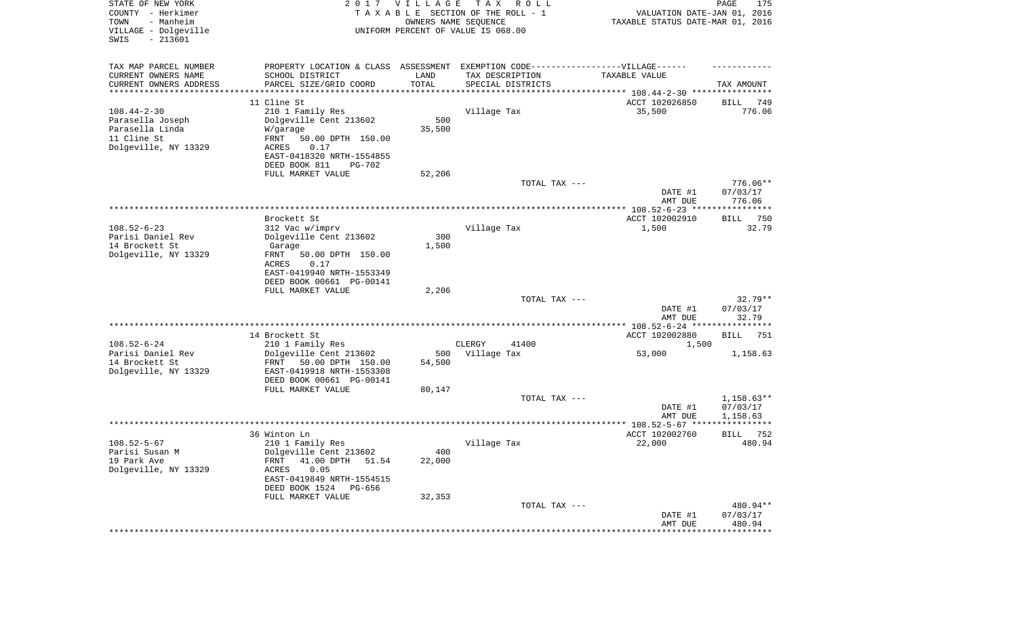| STATE OF NEW YORK<br>COUNTY - Herkimer<br>- Manheim<br>TOWN<br>VILLAGE - Dolgeville<br>$-213601$<br>SWIS | 2017                                                                                                                                                                               | <b>VILLAGE</b>          | T A X<br>R O L L<br>TAXABLE SECTION OF THE ROLL - 1<br>OWNERS NAME SEQUENCE<br>UNIFORM PERCENT OF VALUE IS 068.00 | VALUATION DATE-JAN 01, 2016<br>TAXABLE STATUS DATE-MAR 01, 2016             | 175<br>PAGE                          |
|----------------------------------------------------------------------------------------------------------|------------------------------------------------------------------------------------------------------------------------------------------------------------------------------------|-------------------------|-------------------------------------------------------------------------------------------------------------------|-----------------------------------------------------------------------------|--------------------------------------|
| TAX MAP PARCEL NUMBER<br>CURRENT OWNERS NAME<br>CURRENT OWNERS ADDRESS<br>*********************          | PROPERTY LOCATION & CLASS ASSESSMENT<br>SCHOOL DISTRICT<br>PARCEL SIZE/GRID COORD                                                                                                  | LAND<br>TOTAL           | EXEMPTION CODE-----------------VILLAGE------<br>TAX DESCRIPTION<br>SPECIAL DISTRICTS                              | TAXABLE VALUE<br>***************************** 108.44-2-30 **************** | TAX AMOUNT                           |
| $108.44 - 2 - 30$<br>Parasella Joseph<br>Parasella Linda<br>11 Cline St<br>Dolgeville, NY 13329          | 11 Cline St<br>210 1 Family Res<br>Dolgeville Cent 213602<br>W/garage<br>FRNT<br>50.00 DPTH 150.00<br>0.17<br>ACRES<br>EAST-0418320 NRTH-1554855<br>DEED BOOK 811<br><b>PG-702</b> | 500<br>35,500           | Village Tax                                                                                                       | ACCT 102026850<br>35,500                                                    | 749<br>BILL<br>776.06                |
|                                                                                                          | FULL MARKET VALUE                                                                                                                                                                  | 52,206                  | TOTAL TAX ---                                                                                                     | DATE #1<br>AMT DUE                                                          | 776.06**<br>07/03/17<br>776.06       |
|                                                                                                          |                                                                                                                                                                                    |                         |                                                                                                                   |                                                                             |                                      |
| $108.52 - 6 - 23$<br>Parisi Daniel Rev<br>14 Brockett St<br>Dolgeville, NY 13329                         | Brockett St<br>312 Vac w/imprv<br>Dolgeville Cent 213602<br>Garage<br>FRNT<br>50.00 DPTH 150.00<br><b>ACRES</b><br>0.17<br>EAST-0419940 NRTH-1553349<br>DEED BOOK 00661 PG-00141   | 300<br>1,500            | Village Tax                                                                                                       | ACCT 102002910<br>1,500                                                     | BILL 750<br>32.79                    |
|                                                                                                          | FULL MARKET VALUE                                                                                                                                                                  | 2,206                   |                                                                                                                   |                                                                             |                                      |
|                                                                                                          |                                                                                                                                                                                    |                         | TOTAL TAX ---                                                                                                     | DATE #1<br>AMT DUE                                                          | $32.79**$<br>07/03/17<br>32.79       |
|                                                                                                          |                                                                                                                                                                                    |                         |                                                                                                                   |                                                                             |                                      |
|                                                                                                          | 14 Brockett St                                                                                                                                                                     |                         |                                                                                                                   | ACCT 102002880                                                              | BILL<br>751                          |
| $108.52 - 6 - 24$<br>Parisi Daniel Rev<br>14 Brockett St<br>Dolgeville, NY 13329                         | 210 1 Family Res<br>Dolgeville Cent 213602<br>50.00 DPTH 150.00<br>FRNT<br>EAST-0419918 NRTH-1553308<br>DEED BOOK 00661 PG-00141<br>FULL MARKET VALUE                              | 500<br>54,500<br>80,147 | CLERGY<br>41400<br>Village Tax                                                                                    | 1,500<br>53,000                                                             | 1,158.63                             |
|                                                                                                          |                                                                                                                                                                                    |                         | TOTAL TAX ---                                                                                                     | DATE #1<br>AMT DUE                                                          | $1,158.63**$<br>07/03/17<br>1,158.63 |
|                                                                                                          |                                                                                                                                                                                    |                         |                                                                                                                   |                                                                             |                                      |
| $108.52 - 5 - 67$<br>Parisi Susan M<br>19 Park Ave<br>Dolgeville, NY 13329                               | 36 Winton Ln<br>210 1 Family Res<br>Dolgeville Cent 213602<br>FRNT 41.00 DPTH 51.54<br>ACRES<br>0.05<br>EAST-0419849 NRTH-1554515<br>DEED BOOK 1524 PG-656<br>FULL MARKET VALUE    | 400<br>22,000<br>32,353 | Village Tax                                                                                                       | ACCT 102002760<br>22,000                                                    | 752<br><b>BILL</b><br>480.94         |
|                                                                                                          |                                                                                                                                                                                    |                         | TOTAL TAX ---                                                                                                     | DATE #1<br>AMT DUE<br>**********************************                    | 480.94**<br>07/03/17<br>480.94       |
|                                                                                                          |                                                                                                                                                                                    |                         |                                                                                                                   |                                                                             |                                      |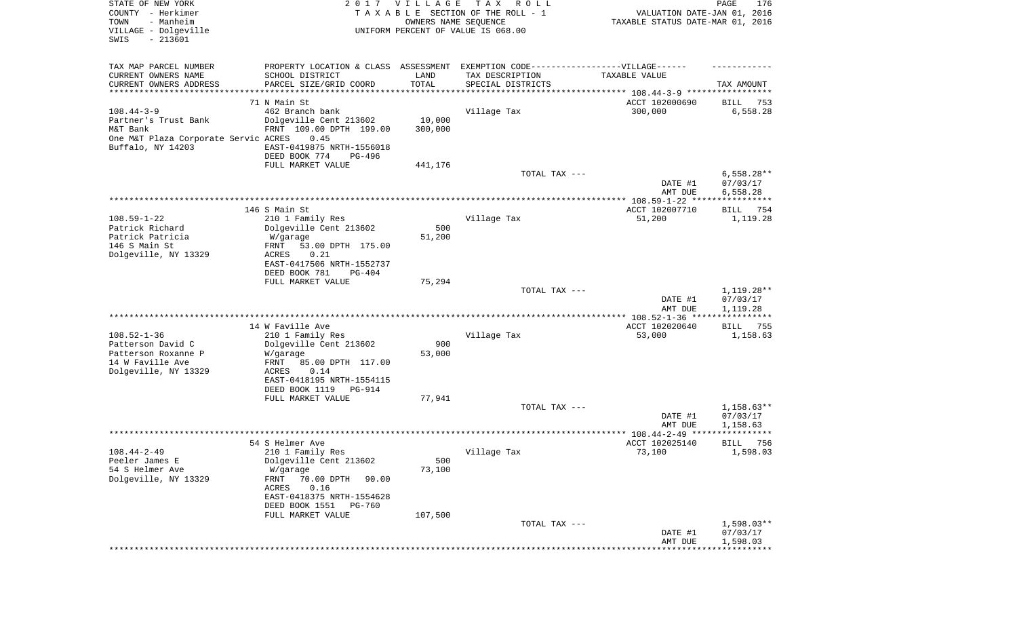| STATE OF NEW YORK<br>COUNTY - Herkimer<br>- Manheim<br>TOWN<br>VILLAGE - Dolgeville<br>SWIS<br>$-213601$ |                                                   | 2017 VILLAGE<br>OWNERS NAME SEQUENCE | T A X<br>R O L L<br>TAXABLE SECTION OF THE ROLL - 1<br>UNIFORM PERCENT OF VALUE IS 068.00 | VALUATION DATE-JAN 01, 2016<br>TAXABLE STATUS DATE-MAR 01, 2016 | PAGE<br>176                          |
|----------------------------------------------------------------------------------------------------------|---------------------------------------------------|--------------------------------------|-------------------------------------------------------------------------------------------|-----------------------------------------------------------------|--------------------------------------|
| TAX MAP PARCEL NUMBER                                                                                    |                                                   |                                      | PROPERTY LOCATION & CLASS ASSESSMENT EXEMPTION CODE-----------------VILLAGE------         |                                                                 |                                      |
| CURRENT OWNERS NAME<br>CURRENT OWNERS ADDRESS                                                            | SCHOOL DISTRICT<br>PARCEL SIZE/GRID COORD         | LAND<br>TOTAL                        | TAX DESCRIPTION<br>SPECIAL DISTRICTS                                                      | TAXABLE VALUE                                                   | TAX AMOUNT                           |
| **********************                                                                                   |                                                   | * * * * * * * * * * *                | ********************************** 108.44-3-9 *****************                           |                                                                 |                                      |
|                                                                                                          | 71 N Main St                                      |                                      |                                                                                           | ACCT 102000690                                                  | BILL<br>753                          |
| $108.44 - 3 - 9$                                                                                         | 462 Branch bank                                   |                                      | Village Tax                                                                               | 300,000                                                         | 6,558.28                             |
| Partner's Trust Bank<br>M&T Bank                                                                         | Dolgeville Cent 213602<br>FRNT 109.00 DPTH 199.00 | 10,000<br>300,000                    |                                                                                           |                                                                 |                                      |
| One M&T Plaza Corporate Servic ACRES                                                                     | 0.45                                              |                                      |                                                                                           |                                                                 |                                      |
| Buffalo, NY 14203                                                                                        | EAST-0419875 NRTH-1556018                         |                                      |                                                                                           |                                                                 |                                      |
|                                                                                                          | DEED BOOK 774<br>PG-496                           |                                      |                                                                                           |                                                                 |                                      |
|                                                                                                          | FULL MARKET VALUE                                 | 441,176                              |                                                                                           |                                                                 |                                      |
|                                                                                                          |                                                   |                                      | TOTAL TAX ---                                                                             | DATE #1<br>AMT DUE                                              | $6,558.28**$<br>07/03/17<br>6,558.28 |
|                                                                                                          |                                                   |                                      |                                                                                           |                                                                 |                                      |
|                                                                                                          | 146 S Main St                                     |                                      |                                                                                           | ACCT 102007710                                                  | BILL<br>754                          |
| $108.59 - 1 - 22$                                                                                        | 210 1 Family Res                                  |                                      | Village Tax                                                                               | 51,200                                                          | 1,119.28                             |
| Patrick Richard                                                                                          | Dolgeville Cent 213602                            | 500                                  |                                                                                           |                                                                 |                                      |
| Patrick Patricia<br>146 S Main St                                                                        | W/garage<br>53.00 DPTH 175.00<br>FRNT             | 51,200                               |                                                                                           |                                                                 |                                      |
| Dolgeville, NY 13329                                                                                     | 0.21<br>ACRES                                     |                                      |                                                                                           |                                                                 |                                      |
|                                                                                                          | EAST-0417506 NRTH-1552737                         |                                      |                                                                                           |                                                                 |                                      |
|                                                                                                          | DEED BOOK 781<br>PG-404                           |                                      |                                                                                           |                                                                 |                                      |
|                                                                                                          | FULL MARKET VALUE                                 | 75,294                               |                                                                                           |                                                                 | 1,119.28**                           |
|                                                                                                          |                                                   |                                      | TOTAL TAX ---                                                                             | DATE #1                                                         | 07/03/17                             |
|                                                                                                          |                                                   |                                      |                                                                                           | AMT DUE                                                         | 1,119.28                             |
|                                                                                                          |                                                   |                                      |                                                                                           | ************* 108.52-1-36 *****************                     |                                      |
|                                                                                                          | 14 W Faville Ave                                  |                                      |                                                                                           | ACCT 102020640                                                  | 755<br>BILL                          |
| $108.52 - 1 - 36$                                                                                        | 210 1 Family Res                                  | 900                                  | Village Tax                                                                               | 53,000                                                          | 1,158.63                             |
| Patterson David C<br>Patterson Roxanne P                                                                 | Dolgeville Cent 213602<br>W/garage                | 53,000                               |                                                                                           |                                                                 |                                      |
| 14 W Faville Ave                                                                                         | FRNT<br>85.00 DPTH 117.00                         |                                      |                                                                                           |                                                                 |                                      |
| Dolgeville, NY 13329                                                                                     | ACRES<br>0.14                                     |                                      |                                                                                           |                                                                 |                                      |
|                                                                                                          | EAST-0418195 NRTH-1554115                         |                                      |                                                                                           |                                                                 |                                      |
|                                                                                                          | DEED BOOK 1119<br>PG-914                          |                                      |                                                                                           |                                                                 |                                      |
|                                                                                                          | FULL MARKET VALUE                                 | 77,941                               | TOTAL TAX ---                                                                             |                                                                 | $1,158.63**$                         |
|                                                                                                          |                                                   |                                      |                                                                                           | DATE #1                                                         | 07/03/17                             |
|                                                                                                          |                                                   |                                      |                                                                                           | AMT DUE                                                         | 1,158.63                             |
|                                                                                                          |                                                   |                                      |                                                                                           |                                                                 | ************                         |
|                                                                                                          | 54 S Helmer Ave                                   |                                      |                                                                                           | ACCT 102025140                                                  | 756<br>BILL                          |
| $108.44 - 2 - 49$<br>Peeler James E                                                                      | 210 1 Family Res<br>Dolgeville Cent 213602        | 500                                  | Village Tax                                                                               | 73,100                                                          | 1,598.03                             |
| 54 S Helmer Ave                                                                                          | W/garage                                          | 73,100                               |                                                                                           |                                                                 |                                      |
| Dolgeville, NY 13329                                                                                     | FRNT<br>70.00 DPTH<br>90.00                       |                                      |                                                                                           |                                                                 |                                      |
|                                                                                                          | 0.16<br>ACRES                                     |                                      |                                                                                           |                                                                 |                                      |
|                                                                                                          | EAST-0418375 NRTH-1554628                         |                                      |                                                                                           |                                                                 |                                      |
|                                                                                                          | DEED BOOK 1551 PG-760<br>FULL MARKET VALUE        | 107,500                              |                                                                                           |                                                                 |                                      |
|                                                                                                          |                                                   |                                      | TOTAL TAX ---                                                                             |                                                                 | $1,598.03**$                         |
|                                                                                                          |                                                   |                                      |                                                                                           | DATE #1                                                         | 07/03/17                             |
|                                                                                                          |                                                   |                                      |                                                                                           | AMT DUE                                                         | 1,598.03                             |
|                                                                                                          |                                                   |                                      |                                                                                           | * * * * * * * * * * * * *                                       |                                      |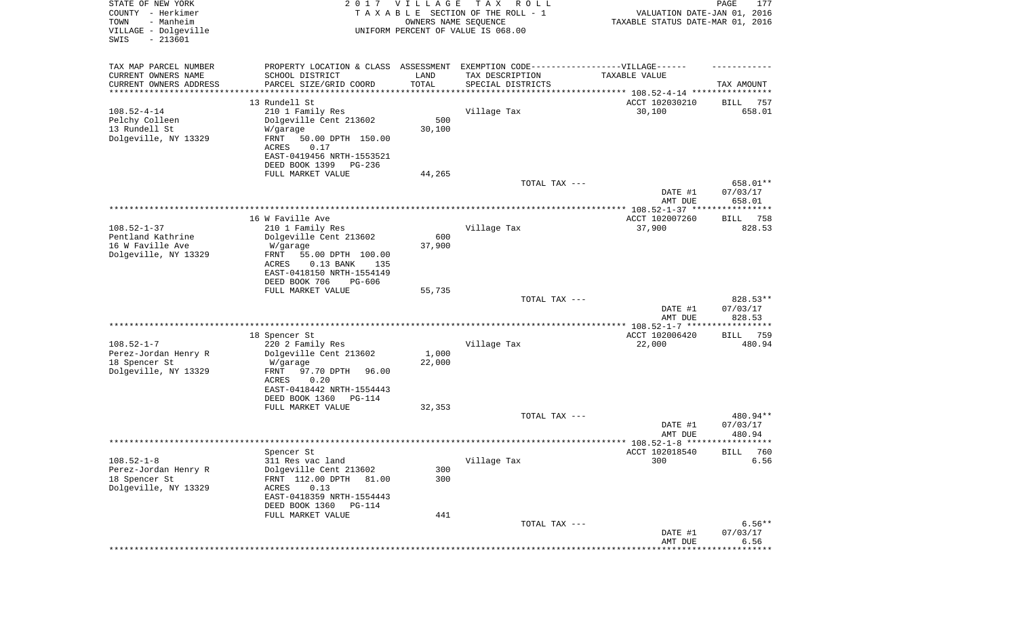| STATE OF NEW YORK<br>COUNTY - Herkimer<br>- Manheim<br>TOWN<br>VILLAGE - Dolgeville<br>$-213601$<br>SWIS | 2017                                                                              | <b>VILLAGE</b><br>OWNERS NAME SEQUENCE | T A X<br>R O L L<br>TAXABLE SECTION OF THE ROLL - 1<br>UNIFORM PERCENT OF VALUE IS 068.00 | VALUATION DATE-JAN 01, 2016<br>TAXABLE STATUS DATE-MAR 01, 2016 | PAGE<br>177           |
|----------------------------------------------------------------------------------------------------------|-----------------------------------------------------------------------------------|----------------------------------------|-------------------------------------------------------------------------------------------|-----------------------------------------------------------------|-----------------------|
| TAX MAP PARCEL NUMBER                                                                                    | PROPERTY LOCATION & CLASS ASSESSMENT EXEMPTION CODE-----------------VILLAGE------ |                                        |                                                                                           |                                                                 |                       |
| CURRENT OWNERS NAME<br>CURRENT OWNERS ADDRESS                                                            | SCHOOL DISTRICT<br>PARCEL SIZE/GRID COORD                                         | LAND<br>TOTAL                          | TAX DESCRIPTION<br>SPECIAL DISTRICTS                                                      | TAXABLE VALUE                                                   | TAX AMOUNT            |
| *********************                                                                                    | ******************                                                                | * * * * * * * * * * *                  |                                                                                           |                                                                 |                       |
|                                                                                                          | 13 Rundell St                                                                     |                                        |                                                                                           | ACCT 102030210                                                  | 757<br>BILL           |
| $108.52 - 4 - 14$                                                                                        | 210 1 Family Res                                                                  |                                        | Village Tax                                                                               | 30,100                                                          | 658.01                |
| Pelchy Colleen                                                                                           | Dolgeville Cent 213602                                                            | 500                                    |                                                                                           |                                                                 |                       |
| 13 Rundell St<br>Dolgeville, NY 13329                                                                    | W/garage<br>FRNT<br>50.00 DPTH 150.00                                             | 30,100                                 |                                                                                           |                                                                 |                       |
|                                                                                                          | 0.17<br>ACRES                                                                     |                                        |                                                                                           |                                                                 |                       |
|                                                                                                          | EAST-0419456 NRTH-1553521                                                         |                                        |                                                                                           |                                                                 |                       |
|                                                                                                          | DEED BOOK 1399<br>PG-236                                                          |                                        |                                                                                           |                                                                 |                       |
|                                                                                                          | FULL MARKET VALUE                                                                 | 44,265                                 |                                                                                           |                                                                 |                       |
|                                                                                                          |                                                                                   |                                        | TOTAL TAX ---                                                                             |                                                                 | 658.01**              |
|                                                                                                          |                                                                                   |                                        |                                                                                           | DATE #1<br>AMT DUE                                              | 07/03/17<br>658.01    |
|                                                                                                          |                                                                                   |                                        |                                                                                           |                                                                 |                       |
|                                                                                                          | 16 W Faville Ave                                                                  |                                        |                                                                                           | ACCT 102007260                                                  | 758<br>BILL           |
| $108.52 - 1 - 37$                                                                                        | 210 1 Family Res                                                                  |                                        | Village Tax                                                                               | 37,900                                                          | 828.53                |
| Pentland Kathrine<br>16 W Faville Ave                                                                    | Dolgeville Cent 213602<br>W/garage                                                | 600<br>37,900                          |                                                                                           |                                                                 |                       |
| Dolgeville, NY 13329                                                                                     | FRNT<br>55.00 DPTH 100.00                                                         |                                        |                                                                                           |                                                                 |                       |
|                                                                                                          | <b>ACRES</b><br>$0.13$ BANK<br>135                                                |                                        |                                                                                           |                                                                 |                       |
|                                                                                                          | EAST-0418150 NRTH-1554149                                                         |                                        |                                                                                           |                                                                 |                       |
|                                                                                                          | DEED BOOK 706<br><b>PG-606</b>                                                    |                                        |                                                                                           |                                                                 |                       |
|                                                                                                          | FULL MARKET VALUE                                                                 | 55,735                                 | TOTAL TAX ---                                                                             |                                                                 | 828.53**              |
|                                                                                                          |                                                                                   |                                        |                                                                                           | DATE #1                                                         | 07/03/17              |
|                                                                                                          |                                                                                   |                                        |                                                                                           | AMT DUE                                                         | 828.53                |
|                                                                                                          |                                                                                   |                                        |                                                                                           |                                                                 |                       |
| $108.52 - 1 - 7$                                                                                         | 18 Spencer St<br>220 2 Family Res                                                 |                                        | Village Tax                                                                               | ACCT 102006420<br>22,000                                        | 759<br>BILL<br>480.94 |
| Perez-Jordan Henry R                                                                                     | Dolgeville Cent 213602                                                            | 1,000                                  |                                                                                           |                                                                 |                       |
| 18 Spencer St                                                                                            | W/garage                                                                          | 22,000                                 |                                                                                           |                                                                 |                       |
| Dolgeville, NY 13329                                                                                     | FRNT<br>97.70 DPTH<br>96.00                                                       |                                        |                                                                                           |                                                                 |                       |
|                                                                                                          | ACRES<br>0.20                                                                     |                                        |                                                                                           |                                                                 |                       |
|                                                                                                          | EAST-0418442 NRTH-1554443<br>DEED BOOK 1360<br>PG-114                             |                                        |                                                                                           |                                                                 |                       |
|                                                                                                          | FULL MARKET VALUE                                                                 | 32,353                                 |                                                                                           |                                                                 |                       |
|                                                                                                          |                                                                                   |                                        | TOTAL TAX ---                                                                             |                                                                 | 480.94**              |
|                                                                                                          |                                                                                   |                                        |                                                                                           | DATE #1                                                         | 07/03/17              |
|                                                                                                          |                                                                                   |                                        |                                                                                           | AMT DUE                                                         | 480.94                |
|                                                                                                          | Spencer St                                                                        |                                        |                                                                                           | ACCT 102018540                                                  | <b>BILL</b><br>760    |
| $108.52 - 1 - 8$                                                                                         | 311 Res vac land                                                                  |                                        | Village Tax                                                                               | 300                                                             | 6.56                  |
| Perez-Jordan Henry R                                                                                     | Dolgeville Cent 213602                                                            | 300                                    |                                                                                           |                                                                 |                       |
| 18 Spencer St                                                                                            | FRNT 112.00 DPTH<br>81.00                                                         | 300                                    |                                                                                           |                                                                 |                       |
| Dolgeville, NY 13329                                                                                     | ACRES<br>0.13                                                                     |                                        |                                                                                           |                                                                 |                       |
|                                                                                                          | EAST-0418359 NRTH-1554443<br>DEED BOOK 1360<br>PG-114                             |                                        |                                                                                           |                                                                 |                       |
|                                                                                                          | FULL MARKET VALUE                                                                 | 441                                    |                                                                                           |                                                                 |                       |
|                                                                                                          |                                                                                   |                                        | TOTAL TAX ---                                                                             |                                                                 | $6.56**$              |
|                                                                                                          |                                                                                   |                                        |                                                                                           | DATE #1                                                         | 07/03/17              |
|                                                                                                          |                                                                                   |                                        |                                                                                           | AMT DUE                                                         | 6.56<br>* * * * * * * |
|                                                                                                          |                                                                                   |                                        |                                                                                           |                                                                 |                       |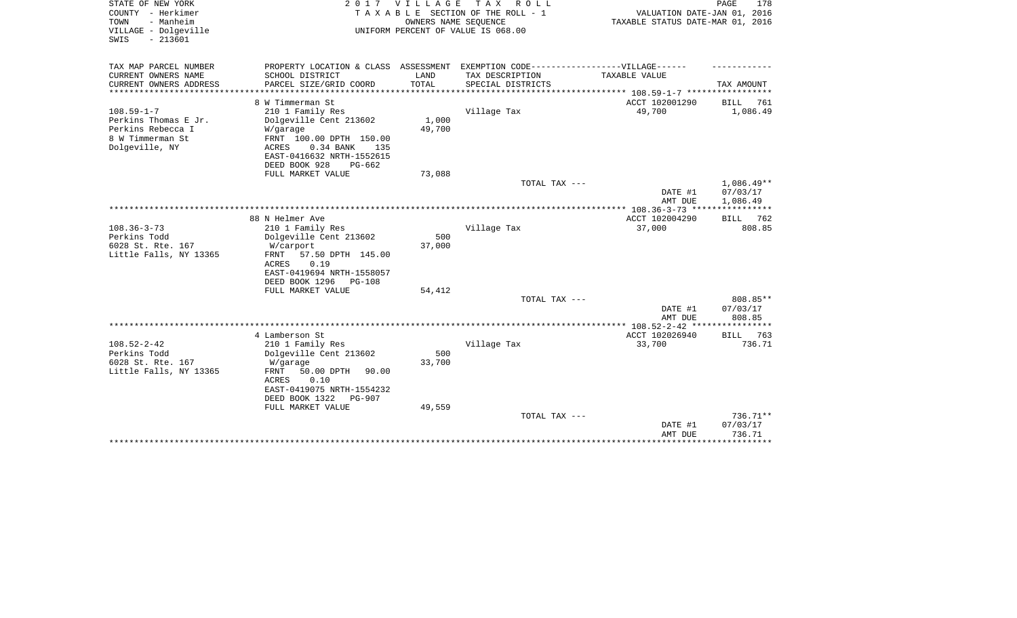| STATE OF NEW YORK<br>COUNTY - Herkimer<br>- Manheim<br>TOWN<br>VILLAGE - Dolgeville<br>$-213601$<br>SWIS | 2 0 1 7                                                                                                                                                                                                                     | <b>VILLAGE</b><br>OWNERS NAME SEQUENCE | T A X<br>R O L L<br>TAXABLE SECTION OF THE ROLL - 1<br>UNIFORM PERCENT OF VALUE IS 068.00 | VALUATION DATE-JAN 01, 2016<br>TAXABLE STATUS DATE-MAR 01, 2016 | PAGE<br>178                         |
|----------------------------------------------------------------------------------------------------------|-----------------------------------------------------------------------------------------------------------------------------------------------------------------------------------------------------------------------------|----------------------------------------|-------------------------------------------------------------------------------------------|-----------------------------------------------------------------|-------------------------------------|
| TAX MAP PARCEL NUMBER                                                                                    | PROPERTY LOCATION & CLASS                                                                                                                                                                                                   | ASSESSMENT                             | EXEMPTION CODE------------------VILLAGE------                                             |                                                                 |                                     |
| CURRENT OWNERS NAME<br>CURRENT OWNERS ADDRESS<br>*****************                                       | SCHOOL DISTRICT<br>PARCEL SIZE/GRID COORD                                                                                                                                                                                   | LAND<br>TOTAL                          | TAX DESCRIPTION<br>SPECIAL DISTRICTS                                                      | TAXABLE VALUE                                                   | TAX AMOUNT                          |
| $108.59 - 1 - 7$<br>Perkins Thomas E Jr.<br>Perkins Rebecca I<br>8 W Timmerman St<br>Dolgeville, NY      | 8 W Timmerman St<br>210 1 Family Res<br>Dolgeville Cent 213602<br>W/garage<br>FRNT 100.00 DPTH 150.00<br>ACRES<br>0.34 BANK<br>135                                                                                          | 1,000<br>49,700                        | Village Tax                                                                               | *********** 108.59-1-7 *******<br>ACCT 102001290<br>49,700      | 761<br>BILL<br>1,086.49             |
|                                                                                                          | EAST-0416632 NRTH-1552615<br>DEED BOOK 928<br>$PG-662$                                                                                                                                                                      |                                        |                                                                                           |                                                                 |                                     |
|                                                                                                          | FULL MARKET VALUE                                                                                                                                                                                                           | 73,088                                 | TOTAL TAX ---                                                                             |                                                                 | $1,086.49**$                        |
|                                                                                                          |                                                                                                                                                                                                                             |                                        |                                                                                           | DATE #1<br>AMT DUE                                              | 07/03/17<br>1,086.49<br>*********** |
|                                                                                                          | 88 N Helmer Ave                                                                                                                                                                                                             |                                        |                                                                                           | ACCT 102004290                                                  | 762<br><b>BILL</b>                  |
| $108.36 - 3 - 73$<br>Perkins Todd<br>6028 St. Rte. 167<br>Little Falls, NY 13365                         | 210 1 Family Res<br>Dolgeville Cent 213602<br>W/carport<br>57.50 DPTH 145.00<br>FRNT<br><b>ACRES</b><br>0.19<br>EAST-0419694 NRTH-1558057<br>DEED BOOK 1296<br><b>PG-108</b><br>FULL MARKET VALUE                           | 500<br>37,000<br>54,412                | Village Tax                                                                               | 37,000                                                          | 808.85                              |
|                                                                                                          |                                                                                                                                                                                                                             |                                        | TOTAL TAX ---                                                                             |                                                                 | 808.85**                            |
|                                                                                                          |                                                                                                                                                                                                                             |                                        |                                                                                           | DATE #1<br>AMT DUE                                              | 07/03/17<br>808.85                  |
|                                                                                                          | **************************************                                                                                                                                                                                      |                                        |                                                                                           | ******* 108.52-2-42 **                                          | ********                            |
| $108.52 - 2 - 42$<br>Perkins Todd<br>6028 St. Rte. 167<br>Little Falls, NY 13365                         | 4 Lamberson St<br>210 1 Family Res<br>Dolgeville Cent 213602<br>W/garage<br><b>FRNT</b><br>50.00 DPTH<br>90.00<br><b>ACRES</b><br>0.10<br>EAST-0419075 NRTH-1554232<br>DEED BOOK 1322<br><b>PG-907</b><br>FULL MARKET VALUE | 500<br>33,700<br>49,559                | Village Tax                                                                               | ACCT 102026940<br>33,700                                        | 763<br><b>BILL</b><br>736.71        |
|                                                                                                          |                                                                                                                                                                                                                             |                                        | TOTAL TAX ---                                                                             | DATE #1<br>AMT DUE                                              | $736.71**$<br>07/03/17<br>736.71    |
|                                                                                                          |                                                                                                                                                                                                                             |                                        |                                                                                           |                                                                 |                                     |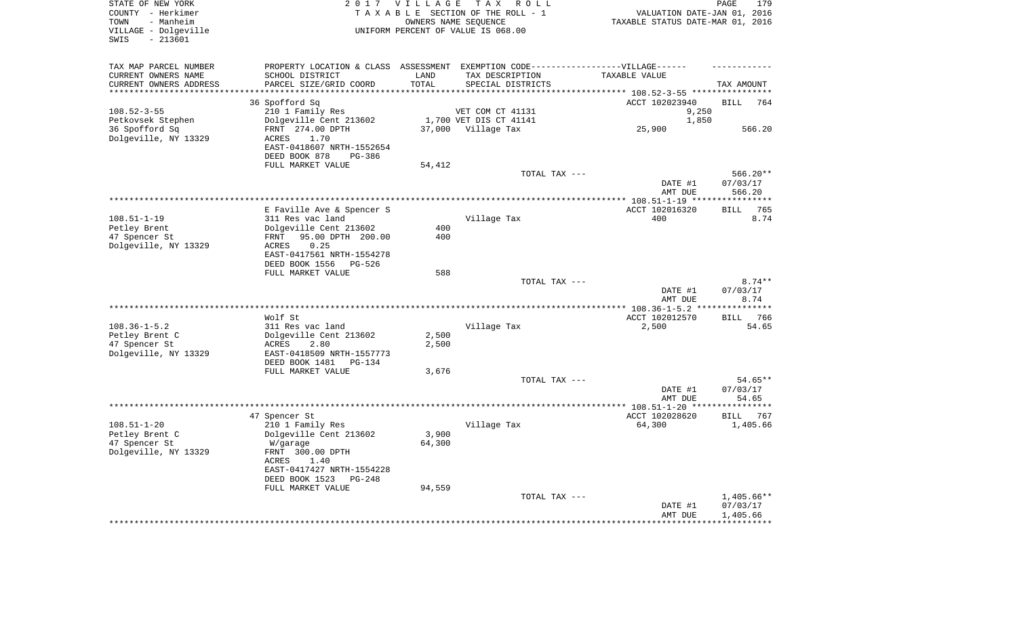| STATE OF NEW YORK<br>COUNTY - Herkimer<br>- Manheim<br>TOWN<br>VILLAGE - Dolgeville<br>$-213601$<br>SWIS |                                                                                   | 2017 VILLAGE | TAX ROLL<br>TAXABLE SECTION OF THE ROLL - 1<br>OWNERS NAME SEQUENCE<br>UNIFORM PERCENT OF VALUE IS 068.00 | VALUATION DATE-JAN 01, 2016<br>TAXABLE STATUS DATE-MAR 01, 2016 | PAGE<br>179           |
|----------------------------------------------------------------------------------------------------------|-----------------------------------------------------------------------------------|--------------|-----------------------------------------------------------------------------------------------------------|-----------------------------------------------------------------|-----------------------|
| TAX MAP PARCEL NUMBER                                                                                    | PROPERTY LOCATION & CLASS ASSESSMENT EXEMPTION CODE-----------------VILLAGE------ |              |                                                                                                           |                                                                 |                       |
| CURRENT OWNERS NAME                                                                                      | SCHOOL DISTRICT                                                                   | LAND         | TAX DESCRIPTION                                                                                           | TAXABLE VALUE                                                   |                       |
| CURRENT OWNERS ADDRESS                                                                                   | PARCEL SIZE/GRID COORD                                                            | TOTAL        | SPECIAL DISTRICTS                                                                                         |                                                                 | TAX AMOUNT            |
| *********************                                                                                    | ***********************                                                           | **********   |                                                                                                           |                                                                 |                       |
|                                                                                                          | 36 Spofford Sq                                                                    |              |                                                                                                           | ACCT 102023940                                                  | <b>BILL</b><br>764    |
| $108.52 - 3 - 55$                                                                                        | 210 1 Family Res                                                                  |              | VET COM CT 41131                                                                                          | 9,250                                                           |                       |
| Petkovsek Stephen                                                                                        | Dolgeville Cent 213602                                                            |              | 1,700 VET DIS CT 41141                                                                                    | 1,850                                                           |                       |
| 36 Spofford Sq                                                                                           | FRNT 274.00 DPTH<br>1.70                                                          |              | 37,000 Village Tax                                                                                        | 25,900                                                          | 566.20                |
| Dolgeville, NY 13329                                                                                     | ACRES<br>EAST-0418607 NRTH-1552654<br>DEED BOOK 878<br>PG-386                     |              |                                                                                                           |                                                                 |                       |
|                                                                                                          | FULL MARKET VALUE                                                                 | 54,412       |                                                                                                           |                                                                 |                       |
|                                                                                                          |                                                                                   |              | TOTAL TAX ---                                                                                             |                                                                 | $566.20**$            |
|                                                                                                          |                                                                                   |              |                                                                                                           | DATE #1                                                         | 07/03/17              |
|                                                                                                          |                                                                                   |              |                                                                                                           | AMT DUE                                                         | 566.20                |
|                                                                                                          |                                                                                   |              |                                                                                                           | *** 108.51-1-19 *****************                               |                       |
|                                                                                                          | E Faville Ave & Spencer S                                                         |              |                                                                                                           | ACCT 102016320                                                  | 765<br><b>BILL</b>    |
| $108.51 - 1 - 19$                                                                                        | 311 Res vac land                                                                  |              | Village Tax                                                                                               | 400                                                             | 8.74                  |
| Petley Brent                                                                                             | Dolgeville Cent 213602                                                            | 400          |                                                                                                           |                                                                 |                       |
| 47 Spencer St                                                                                            | 95.00 DPTH 200.00<br>FRNT                                                         | 400          |                                                                                                           |                                                                 |                       |
| Dolgeville, NY 13329                                                                                     | ACRES<br>0.25                                                                     |              |                                                                                                           |                                                                 |                       |
|                                                                                                          | EAST-0417561 NRTH-1554278<br>PG-526                                               |              |                                                                                                           |                                                                 |                       |
|                                                                                                          | DEED BOOK 1556<br>FULL MARKET VALUE                                               | 588          |                                                                                                           |                                                                 |                       |
|                                                                                                          |                                                                                   |              | TOTAL TAX ---                                                                                             |                                                                 | $8.74**$              |
|                                                                                                          |                                                                                   |              |                                                                                                           | DATE #1                                                         | 07/03/17              |
|                                                                                                          |                                                                                   |              |                                                                                                           | AMT DUE                                                         | 8.74                  |
|                                                                                                          |                                                                                   |              |                                                                                                           | $* 108.36 - 1 - 5.2 *$                                          | ******                |
|                                                                                                          | Wolf St                                                                           |              |                                                                                                           | ACCT 102012570                                                  | <b>BILL</b><br>766    |
| $108.36 - 1 - 5.2$                                                                                       | 311 Res vac land                                                                  |              | Village Tax                                                                                               | 2,500                                                           | 54.65                 |
| Petley Brent C                                                                                           | Dolgeville Cent 213602                                                            | 2,500        |                                                                                                           |                                                                 |                       |
| 47 Spencer St                                                                                            | ACRES<br>2.80                                                                     | 2,500        |                                                                                                           |                                                                 |                       |
| Dolgeville, NY 13329                                                                                     | EAST-0418509 NRTH-1557773                                                         |              |                                                                                                           |                                                                 |                       |
|                                                                                                          | DEED BOOK 1481<br>PG-134                                                          |              |                                                                                                           |                                                                 |                       |
|                                                                                                          | FULL MARKET VALUE                                                                 | 3,676        |                                                                                                           |                                                                 |                       |
|                                                                                                          |                                                                                   |              | TOTAL TAX ---                                                                                             | DATE #1                                                         | $54.65**$<br>07/03/17 |
|                                                                                                          |                                                                                   |              |                                                                                                           | AMT DUE                                                         | 54.65                 |
|                                                                                                          |                                                                                   |              |                                                                                                           | *** $108.51 - 1 - 20$ **                                        |                       |
|                                                                                                          | 47 Spencer St                                                                     |              |                                                                                                           | ACCT 102028620                                                  | 767<br><b>BILL</b>    |
| $108.51 - 1 - 20$                                                                                        | 210 1 Family Res                                                                  |              | Village Tax                                                                                               | 64,300                                                          | 1,405.66              |
| Petley Brent C                                                                                           | Dolgeville Cent 213602                                                            | 3,900        |                                                                                                           |                                                                 |                       |
| 47 Spencer St                                                                                            | W/garage                                                                          | 64,300       |                                                                                                           |                                                                 |                       |
| Dolgeville, NY 13329                                                                                     | FRNT 300.00 DPTH                                                                  |              |                                                                                                           |                                                                 |                       |
|                                                                                                          | ACRES<br>1.40                                                                     |              |                                                                                                           |                                                                 |                       |
|                                                                                                          | EAST-0417427 NRTH-1554228                                                         |              |                                                                                                           |                                                                 |                       |
|                                                                                                          | DEED BOOK 1523<br>$PG-248$                                                        |              |                                                                                                           |                                                                 |                       |
|                                                                                                          | FULL MARKET VALUE                                                                 | 94,559       | TOTAL TAX ---                                                                                             |                                                                 | 1,405.66**            |
|                                                                                                          |                                                                                   |              |                                                                                                           | DATE #1                                                         | 07/03/17              |
|                                                                                                          |                                                                                   |              |                                                                                                           | AMT DUE                                                         | 1,405.66              |
|                                                                                                          |                                                                                   |              |                                                                                                           |                                                                 |                       |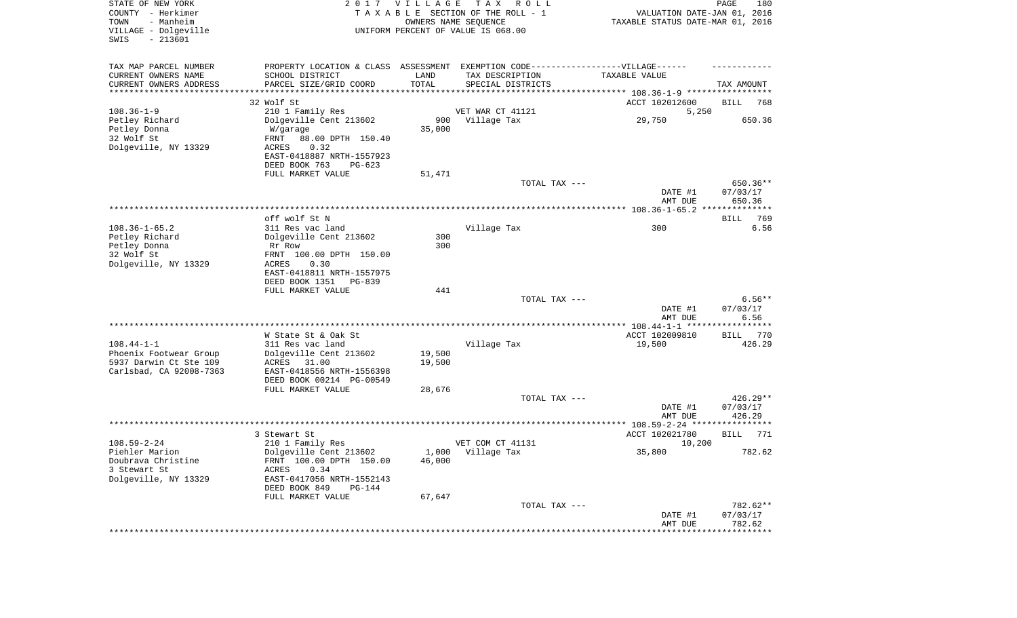| STATE OF NEW YORK<br>COUNTY - Herkimer<br>- Manheim<br>TOWN<br>VILLAGE - Dolgeville<br>SWIS<br>$-213601$ |                                                                                                      | 2017 VILLAGE | T A X<br>R O L L<br>TAXABLE SECTION OF THE ROLL - 1<br>OWNERS NAME SEQUENCE<br>UNIFORM PERCENT OF VALUE IS 068.00 | VALUATION DATE-JAN 01, 2016<br>TAXABLE STATUS DATE-MAR 01, 2016 | PAGE<br>180         |
|----------------------------------------------------------------------------------------------------------|------------------------------------------------------------------------------------------------------|--------------|-------------------------------------------------------------------------------------------------------------------|-----------------------------------------------------------------|---------------------|
| TAX MAP PARCEL NUMBER<br>CURRENT OWNERS NAME                                                             | PROPERTY LOCATION & CLASS ASSESSMENT EXEMPTION CODE-----------------VILLAGE------<br>SCHOOL DISTRICT | LAND         | TAX DESCRIPTION                                                                                                   | TAXABLE VALUE                                                   |                     |
| CURRENT OWNERS ADDRESS                                                                                   | PARCEL SIZE/GRID COORD                                                                               | TOTAL        | SPECIAL DISTRICTS                                                                                                 |                                                                 | TAX AMOUNT          |
| *********************                                                                                    | * * * * * * * * * * * * * * * *                                                                      |              |                                                                                                                   |                                                                 |                     |
| $108.36 - 1 - 9$                                                                                         | 32 Wolf St<br>210 1 Family Res                                                                       |              | VET WAR CT 41121                                                                                                  | ACCT 102012600<br>5,250                                         | BILL<br>768         |
| Petley Richard                                                                                           | Dolgeville Cent 213602                                                                               | 900          | Village Tax                                                                                                       | 29,750                                                          | 650.36              |
| Petley Donna                                                                                             | W/garage                                                                                             | 35,000       |                                                                                                                   |                                                                 |                     |
| 32 Wolf St                                                                                               | FRNT<br>88.00 DPTH 150.40                                                                            |              |                                                                                                                   |                                                                 |                     |
| Dolgeville, NY 13329                                                                                     | ACRES<br>0.32                                                                                        |              |                                                                                                                   |                                                                 |                     |
|                                                                                                          | EAST-0418887 NRTH-1557923                                                                            |              |                                                                                                                   |                                                                 |                     |
|                                                                                                          | DEED BOOK 763<br>$PG-623$<br>FULL MARKET VALUE                                                       | 51,471       |                                                                                                                   |                                                                 |                     |
|                                                                                                          |                                                                                                      |              | TOTAL TAX ---                                                                                                     |                                                                 | 650.36**            |
|                                                                                                          |                                                                                                      |              |                                                                                                                   | DATE #1                                                         | 07/03/17            |
|                                                                                                          |                                                                                                      |              |                                                                                                                   | AMT DUE                                                         | 650.36              |
|                                                                                                          |                                                                                                      |              |                                                                                                                   |                                                                 |                     |
| $108.36 - 1 - 65.2$                                                                                      | off wolf St N<br>311 Res vac land                                                                    |              | Village Tax                                                                                                       | 300                                                             | 769<br>BILL<br>6.56 |
| Petley Richard                                                                                           | Dolgeville Cent 213602                                                                               | 300          |                                                                                                                   |                                                                 |                     |
| Petley Donna                                                                                             | Rr Row                                                                                               | 300          |                                                                                                                   |                                                                 |                     |
| 32 Wolf St                                                                                               | FRNT 100.00 DPTH 150.00                                                                              |              |                                                                                                                   |                                                                 |                     |
| Dolgeville, NY 13329                                                                                     | ACRES<br>0.30                                                                                        |              |                                                                                                                   |                                                                 |                     |
|                                                                                                          | EAST-0418811 NRTH-1557975<br>DEED BOOK 1351 PG-839                                                   |              |                                                                                                                   |                                                                 |                     |
|                                                                                                          | FULL MARKET VALUE                                                                                    | 441          |                                                                                                                   |                                                                 |                     |
|                                                                                                          |                                                                                                      |              | TOTAL TAX ---                                                                                                     |                                                                 | $6.56**$            |
|                                                                                                          |                                                                                                      |              |                                                                                                                   | DATE #1                                                         | 07/03/17            |
|                                                                                                          |                                                                                                      |              |                                                                                                                   | AMT DUE                                                         | 6.56                |
|                                                                                                          | W State St & Oak St                                                                                  |              |                                                                                                                   | ACCT 102009810                                                  | BILL 770            |
| $108.44 - 1 - 1$                                                                                         | 311 Res vac land                                                                                     |              | Village Tax                                                                                                       | 19,500                                                          | 426.29              |
| Phoenix Footwear Group                                                                                   | Dolgeville Cent 213602                                                                               | 19,500       |                                                                                                                   |                                                                 |                     |
| 5937 Darwin Ct Ste 109                                                                                   | ACRES 31.00                                                                                          | 19,500       |                                                                                                                   |                                                                 |                     |
| Carlsbad, CA 92008-7363                                                                                  | EAST-0418556 NRTH-1556398                                                                            |              |                                                                                                                   |                                                                 |                     |
|                                                                                                          | DEED BOOK 00214 PG-00549<br>FULL MARKET VALUE                                                        | 28,676       |                                                                                                                   |                                                                 |                     |
|                                                                                                          |                                                                                                      |              | TOTAL TAX ---                                                                                                     |                                                                 | $426.29**$          |
|                                                                                                          |                                                                                                      |              |                                                                                                                   | DATE #1                                                         | 07/03/17            |
|                                                                                                          |                                                                                                      |              |                                                                                                                   | AMT DUE                                                         | 426.29              |
|                                                                                                          |                                                                                                      |              |                                                                                                                   |                                                                 |                     |
| $108.59 - 2 - 24$                                                                                        | 3 Stewart St                                                                                         |              | VET COM CT 41131                                                                                                  | ACCT 102021780                                                  | 771<br>BILL         |
| Piehler Marion                                                                                           | 210 1 Family Res<br>Dolgeville Cent 213602                                                           |              | 1,000 Village Tax                                                                                                 | 10,200<br>35,800                                                | 782.62              |
| Doubrava Christine                                                                                       | FRNT 100.00 DPTH 150.00                                                                              | 46,000       |                                                                                                                   |                                                                 |                     |
| 3 Stewart St                                                                                             | <b>ACRES</b><br>0.34                                                                                 |              |                                                                                                                   |                                                                 |                     |
| Dolgeville, NY 13329                                                                                     | EAST-0417056 NRTH-1552143                                                                            |              |                                                                                                                   |                                                                 |                     |
|                                                                                                          | DEED BOOK 849<br>PG-144                                                                              |              |                                                                                                                   |                                                                 |                     |
|                                                                                                          | FULL MARKET VALUE                                                                                    | 67,647       | TOTAL TAX ---                                                                                                     |                                                                 | 782.62**            |
|                                                                                                          |                                                                                                      |              |                                                                                                                   | DATE #1                                                         | 07/03/17            |
|                                                                                                          |                                                                                                      |              |                                                                                                                   | AMT DUE                                                         | 782.62              |
|                                                                                                          |                                                                                                      |              |                                                                                                                   |                                                                 |                     |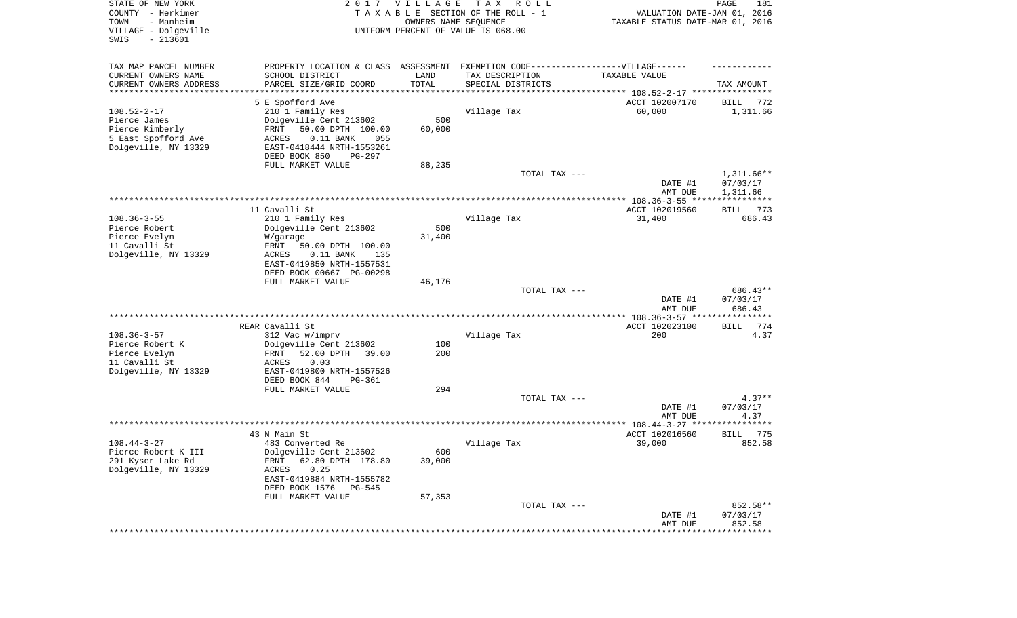| STATE OF NEW YORK<br>COUNTY - Herkimer<br>TOWN<br>- Manheim<br>VILLAGE - Dolgeville<br>SWIS<br>$-213601$ | 2017                                                                             | <b>VILLAGE</b> | T A X<br>R O L L<br>TAXABLE SECTION OF THE ROLL - 1<br>OWNERS NAME SEQUENCE<br>UNIFORM PERCENT OF VALUE IS 068.00 | VALUATION DATE-JAN 01, 2016<br>TAXABLE STATUS DATE-MAR 01, 2016      | PAGE<br>181              |
|----------------------------------------------------------------------------------------------------------|----------------------------------------------------------------------------------|----------------|-------------------------------------------------------------------------------------------------------------------|----------------------------------------------------------------------|--------------------------|
| TAX MAP PARCEL NUMBER                                                                                    | PROPERTY LOCATION & CLASS ASSESSMENT EXEMPTION CODE----------------VILLAGE------ |                |                                                                                                                   |                                                                      |                          |
| CURRENT OWNERS NAME                                                                                      | SCHOOL DISTRICT                                                                  | LAND           | TAX DESCRIPTION                                                                                                   | TAXABLE VALUE                                                        |                          |
| CURRENT OWNERS ADDRESS<br>*********************                                                          | PARCEL SIZE/GRID COORD<br>***********************************                    | TOTAL          | SPECIAL DISTRICTS                                                                                                 | ************************************** 108.52-2-17 ***************** | TAX AMOUNT               |
|                                                                                                          | 5 E Spofford Ave                                                                 |                |                                                                                                                   | ACCT 102007170                                                       | 772<br>BILL              |
| $108.52 - 2 - 17$                                                                                        | 210 1 Family Res                                                                 |                | Village Tax                                                                                                       | 60,000                                                               | 1,311.66                 |
| Pierce James                                                                                             | Dolgeville Cent 213602                                                           | 500            |                                                                                                                   |                                                                      |                          |
| Pierce Kimberly                                                                                          | FRNT<br>50.00 DPTH 100.00                                                        | 60,000         |                                                                                                                   |                                                                      |                          |
| 5 East Spofford Ave<br>Dolgeville, NY 13329                                                              | <b>ACRES</b><br>$0.11$ BANK<br>055<br>EAST-0418444 NRTH-1553261                  |                |                                                                                                                   |                                                                      |                          |
|                                                                                                          | DEED BOOK 850<br>PG-297                                                          |                |                                                                                                                   |                                                                      |                          |
|                                                                                                          | FULL MARKET VALUE                                                                | 88,235         |                                                                                                                   |                                                                      |                          |
|                                                                                                          |                                                                                  |                | TOTAL TAX ---                                                                                                     | DATE #1                                                              | $1,311.66**$<br>07/03/17 |
|                                                                                                          |                                                                                  |                |                                                                                                                   | AMT DUE                                                              | 1,311.66                 |
|                                                                                                          | 11 Cavalli St                                                                    |                |                                                                                                                   | ACCT 102019560                                                       | 773<br><b>BILL</b>       |
| $108.36 - 3 - 55$                                                                                        | 210 1 Family Res                                                                 |                | Village Tax                                                                                                       | 31,400                                                               | 686.43                   |
| Pierce Robert                                                                                            | Dolgeville Cent 213602                                                           | 500            |                                                                                                                   |                                                                      |                          |
| Pierce Evelyn                                                                                            | W/garage                                                                         | 31,400         |                                                                                                                   |                                                                      |                          |
| 11 Cavalli St                                                                                            | FRNT<br>50.00 DPTH 100.00                                                        |                |                                                                                                                   |                                                                      |                          |
| Dolgeville, NY 13329                                                                                     | <b>ACRES</b><br>$0.11$ BANK<br>135<br>EAST-0419850 NRTH-1557531                  |                |                                                                                                                   |                                                                      |                          |
|                                                                                                          | DEED BOOK 00667 PG-00298                                                         |                |                                                                                                                   |                                                                      |                          |
|                                                                                                          | FULL MARKET VALUE                                                                | 46,176         |                                                                                                                   |                                                                      |                          |
|                                                                                                          |                                                                                  |                | TOTAL TAX ---                                                                                                     | DATE #1                                                              | 686.43**<br>07/03/17     |
|                                                                                                          |                                                                                  |                |                                                                                                                   | AMT DUE<br>************* 108.36-3-57 ****************                | 686.43                   |
|                                                                                                          | REAR Cavalli St                                                                  |                |                                                                                                                   | ACCT 102023100                                                       | 774<br>BILL              |
| $108.36 - 3 - 57$                                                                                        | 312 Vac w/imprv                                                                  |                | Village Tax                                                                                                       | 200                                                                  | 4.37                     |
| Pierce Robert K                                                                                          | Dolgeville Cent 213602                                                           | 100            |                                                                                                                   |                                                                      |                          |
| Pierce Evelyn                                                                                            | 52.00 DPTH<br>39.00<br>FRNT                                                      | 200            |                                                                                                                   |                                                                      |                          |
| 11 Cavalli St<br>Dolgeville, NY 13329                                                                    | <b>ACRES</b><br>0.03<br>EAST-0419800 NRTH-1557526                                |                |                                                                                                                   |                                                                      |                          |
|                                                                                                          | DEED BOOK 844<br>PG-361                                                          |                |                                                                                                                   |                                                                      |                          |
|                                                                                                          | FULL MARKET VALUE                                                                | 294            |                                                                                                                   |                                                                      |                          |
|                                                                                                          |                                                                                  |                | TOTAL TAX ---                                                                                                     |                                                                      | $4.37**$                 |
|                                                                                                          |                                                                                  |                |                                                                                                                   | DATE #1<br>AMT DUE                                                   | 07/03/17<br>4.37         |
|                                                                                                          |                                                                                  |                |                                                                                                                   |                                                                      | **********               |
|                                                                                                          | 43 N Main St                                                                     |                |                                                                                                                   | ACCT 102016560                                                       | 775<br>BILL              |
| $108.44 - 3 - 27$                                                                                        | 483 Converted Re                                                                 |                | Village Tax                                                                                                       | 39,000                                                               | 852.58                   |
| Pierce Robert K III<br>291 Kyser Lake Rd                                                                 | Dolgeville Cent 213602<br>62.80 DPTH 178.80<br>FRNT                              | 600<br>39,000  |                                                                                                                   |                                                                      |                          |
| Dolgeville, NY 13329                                                                                     | ACRES<br>0.25                                                                    |                |                                                                                                                   |                                                                      |                          |
|                                                                                                          | EAST-0419884 NRTH-1555782                                                        |                |                                                                                                                   |                                                                      |                          |
|                                                                                                          | DEED BOOK 1576<br><b>PG-545</b>                                                  |                |                                                                                                                   |                                                                      |                          |
|                                                                                                          | FULL MARKET VALUE                                                                | 57,353         |                                                                                                                   |                                                                      |                          |
|                                                                                                          |                                                                                  |                | TOTAL TAX ---                                                                                                     | DATE #1                                                              | 852.58**<br>07/03/17     |
|                                                                                                          |                                                                                  |                |                                                                                                                   | AMT DUE                                                              | 852.58                   |
|                                                                                                          |                                                                                  |                |                                                                                                                   | *********************                                                | **************           |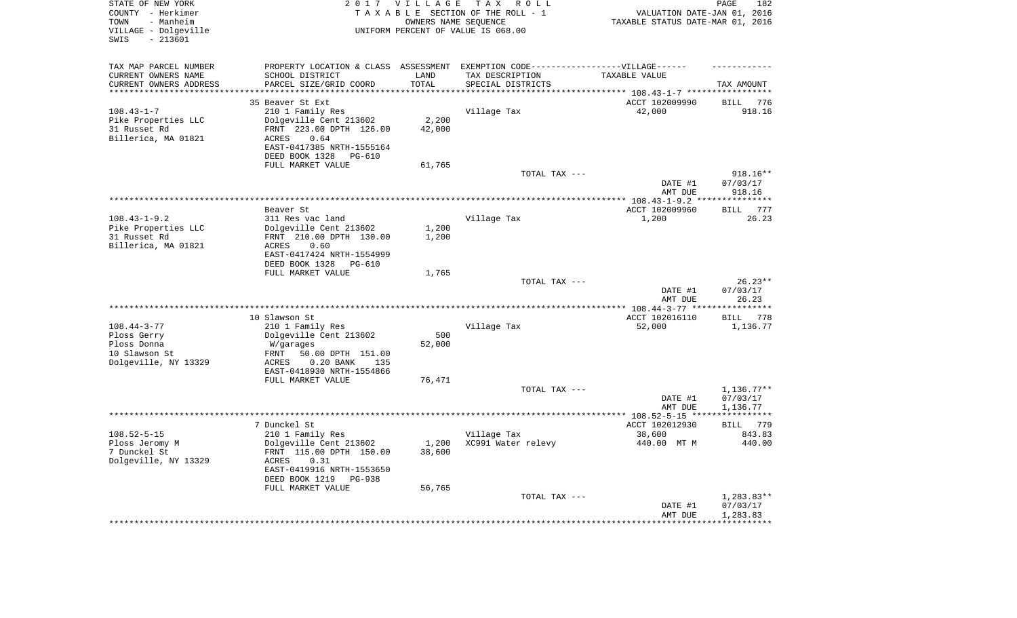| STATE OF NEW YORK<br>COUNTY - Herkimer<br>- Manheim<br>TOWN<br>VILLAGE - Dolgeville<br>$-213601$<br>SWIS |                                                                                                 | 2017 VILLAGE<br>OWNERS NAME SEQUENCE | T A X<br>R O L L<br>TAXABLE SECTION OF THE ROLL - 1<br>UNIFORM PERCENT OF VALUE IS 068.00 | VALUATION DATE-JAN 01, 2016<br>TAXABLE STATUS DATE-MAR 01, 2016 | PAGE<br>182              |
|----------------------------------------------------------------------------------------------------------|-------------------------------------------------------------------------------------------------|--------------------------------------|-------------------------------------------------------------------------------------------|-----------------------------------------------------------------|--------------------------|
| TAX MAP PARCEL NUMBER                                                                                    |                                                                                                 |                                      | PROPERTY LOCATION & CLASS ASSESSMENT EXEMPTION CODE-----------------VILLAGE------         |                                                                 |                          |
| CURRENT OWNERS NAME                                                                                      | SCHOOL DISTRICT                                                                                 | LAND                                 | TAX DESCRIPTION                                                                           | TAXABLE VALUE                                                   |                          |
| CURRENT OWNERS ADDRESS<br>*********************                                                          | PARCEL SIZE/GRID COORD<br>***********************                                               | TOTAL<br>*************               | SPECIAL DISTRICTS                                                                         |                                                                 | TAX AMOUNT               |
|                                                                                                          | 35 Beaver St Ext                                                                                |                                      |                                                                                           | ACCT 102009990                                                  | BILL<br>776              |
| $108.43 - 1 - 7$                                                                                         | 210 1 Family Res                                                                                |                                      | Village Tax                                                                               | 42,000                                                          | 918.16                   |
| Pike Properties LLC                                                                                      | Dolgeville Cent 213602                                                                          | 2,200                                |                                                                                           |                                                                 |                          |
| 31 Russet Rd                                                                                             | FRNT 223.00 DPTH 126.00                                                                         | 42,000                               |                                                                                           |                                                                 |                          |
| Billerica, MA 01821                                                                                      | 0.64<br>ACRES<br>EAST-0417385 NRTH-1555164                                                      |                                      |                                                                                           |                                                                 |                          |
|                                                                                                          | DEED BOOK 1328<br>PG-610<br>FULL MARKET VALUE                                                   | 61,765                               |                                                                                           |                                                                 |                          |
|                                                                                                          |                                                                                                 |                                      | TOTAL TAX ---                                                                             |                                                                 | 918.16**                 |
|                                                                                                          |                                                                                                 |                                      |                                                                                           | DATE #1<br>AMT DUE                                              | 07/03/17<br>918.16       |
|                                                                                                          |                                                                                                 |                                      |                                                                                           |                                                                 |                          |
|                                                                                                          | Beaver St                                                                                       |                                      |                                                                                           | ACCT 102009960                                                  | 777<br><b>BILL</b>       |
| $108.43 - 1 - 9.2$                                                                                       | 311 Res vac land<br>Dolgeville Cent 213602                                                      | 1,200                                | Village Tax                                                                               | 1,200                                                           | 26.23                    |
| Pike Properties LLC<br>31 Russet Rd                                                                      | FRNT 210.00 DPTH 130.00                                                                         | 1,200                                |                                                                                           |                                                                 |                          |
| Billerica, MA 01821                                                                                      | <b>ACRES</b><br>0.60                                                                            |                                      |                                                                                           |                                                                 |                          |
|                                                                                                          | EAST-0417424 NRTH-1554999<br>DEED BOOK 1328<br><b>PG-610</b>                                    |                                      |                                                                                           |                                                                 |                          |
|                                                                                                          | FULL MARKET VALUE                                                                               | 1,765                                |                                                                                           |                                                                 |                          |
|                                                                                                          |                                                                                                 |                                      | TOTAL TAX ---                                                                             |                                                                 | $26.23**$                |
|                                                                                                          |                                                                                                 |                                      |                                                                                           | DATE #1<br>AMT DUE                                              | 07/03/17<br>26.23        |
|                                                                                                          |                                                                                                 |                                      |                                                                                           |                                                                 | **********               |
|                                                                                                          | 10 Slawson St                                                                                   |                                      |                                                                                           | ACCT 102016110                                                  | 778<br>BILL              |
| $108.44 - 3 - 77$                                                                                        | 210 1 Family Res                                                                                |                                      | Village Tax                                                                               | 52,000                                                          | 1,136.77                 |
| Ploss Gerry<br>Ploss Donna                                                                               | Dolgeville Cent 213602<br>W/garages                                                             | 500<br>52,000                        |                                                                                           |                                                                 |                          |
| 10 Slawson St                                                                                            | 50.00 DPTH 151.00<br>FRNT                                                                       |                                      |                                                                                           |                                                                 |                          |
| Dolgeville, NY 13329                                                                                     | <b>ACRES</b><br>$0.20$ BANK<br>135                                                              |                                      |                                                                                           |                                                                 |                          |
|                                                                                                          | EAST-0418930 NRTH-1554866                                                                       |                                      |                                                                                           |                                                                 |                          |
|                                                                                                          | FULL MARKET VALUE                                                                               | 76,471                               |                                                                                           |                                                                 |                          |
|                                                                                                          |                                                                                                 |                                      | TOTAL TAX ---                                                                             | DATE #1                                                         | $1,136.77**$<br>07/03/17 |
|                                                                                                          |                                                                                                 |                                      |                                                                                           | AMT DUE                                                         | 1,136.77                 |
|                                                                                                          |                                                                                                 |                                      |                                                                                           |                                                                 | * * * * * * * * * * * *  |
|                                                                                                          | 7 Dunckel St                                                                                    |                                      |                                                                                           | ACCT 102012930                                                  | 779<br>BILL              |
| $108.52 - 5 - 15$                                                                                        | 210 1 Family Res                                                                                |                                      | Village Tax                                                                               | 38,600                                                          | 843.83                   |
| Ploss Jeromy M<br>7 Dunckel St<br>Dolgeville, NY 13329                                                   | Dolgeville Cent 213602<br>FRNT 115.00 DPTH 150.00<br>ACRES<br>0.31<br>EAST-0419916 NRTH-1553650 | 1,200<br>38,600                      | XC991 Water relevy                                                                        | 440.00 MT M                                                     | 440.00                   |
|                                                                                                          | DEED BOOK 1219<br>PG-938<br>FULL MARKET VALUE                                                   |                                      |                                                                                           |                                                                 |                          |
|                                                                                                          |                                                                                                 | 56,765                               | TOTAL TAX ---                                                                             |                                                                 | $1,283.83**$             |
|                                                                                                          |                                                                                                 |                                      |                                                                                           | DATE #1<br>AMT DUE                                              | 07/03/17<br>1,283.83     |
|                                                                                                          |                                                                                                 |                                      |                                                                                           |                                                                 | * * * * * * * * * * *    |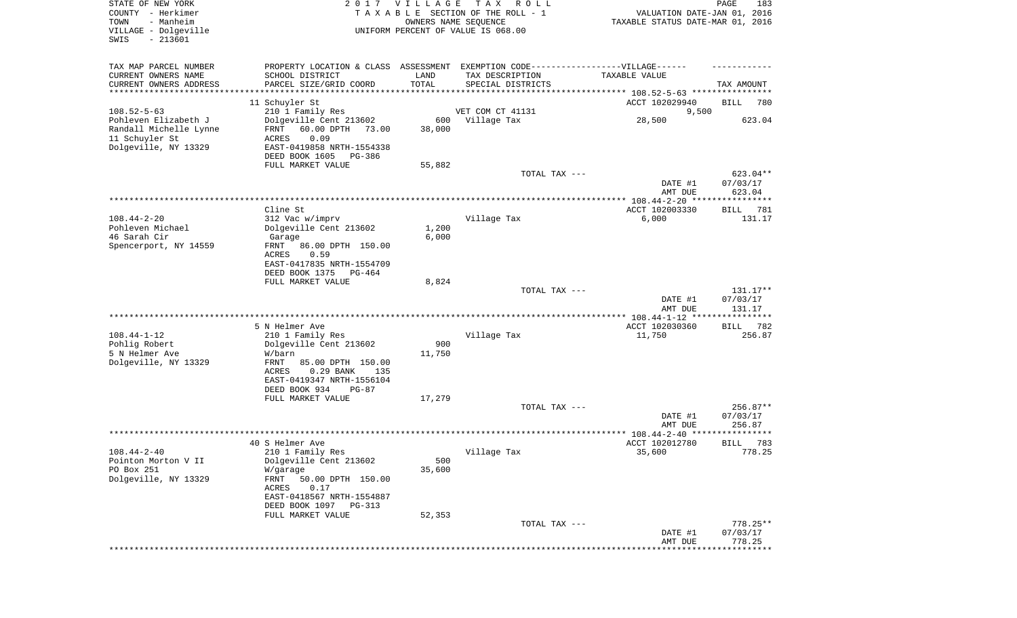| STATE OF NEW YORK<br>COUNTY - Herkimer<br>- Manheim<br>TOWN<br>VILLAGE - Dolgeville<br>$-213601$<br>SWIS |                                                                                                                                                                                                       | 2017 VILLAGE            | T A X<br>ROLL<br>TAXABLE SECTION OF THE ROLL - 1<br>OWNERS NAME SEQUENCE<br>UNIFORM PERCENT OF VALUE IS 068.00 | VALUATION DATE-JAN 01, 2016<br>TAXABLE STATUS DATE-MAR 01, 2016 | PAGE<br>183                      |
|----------------------------------------------------------------------------------------------------------|-------------------------------------------------------------------------------------------------------------------------------------------------------------------------------------------------------|-------------------------|----------------------------------------------------------------------------------------------------------------|-----------------------------------------------------------------|----------------------------------|
| TAX MAP PARCEL NUMBER<br>CURRENT OWNERS NAME<br>CURRENT OWNERS ADDRESS<br>*********************          | PROPERTY LOCATION & CLASS ASSESSMENT<br>SCHOOL DISTRICT<br>PARCEL SIZE/GRID COORD                                                                                                                     | LAND<br>TOTAL           | EXEMPTION CODE------------------VILLAGE------<br>TAX DESCRIPTION<br>SPECIAL DISTRICTS                          | TAXABLE VALUE                                                   | TAX AMOUNT                       |
| $108.52 - 5 - 63$                                                                                        | 11 Schuyler St<br>210 1 Family Res                                                                                                                                                                    |                         | VET COM CT 41131                                                                                               | ACCT 102029940<br>9,500                                         | BILL<br>780                      |
| Pohleven Elizabeth J<br>Randall Michelle Lynne<br>11 Schuyler St<br>Dolgeville, NY 13329                 | Dolgeville Cent 213602<br>FRNT<br>60.00 DPTH 73.00<br>0.09<br><b>ACRES</b><br>EAST-0419858 NRTH-1554338<br>DEED BOOK 1605<br>PG-386                                                                   | 600<br>38,000           | Village Tax                                                                                                    | 28,500                                                          | 623.04                           |
|                                                                                                          | FULL MARKET VALUE                                                                                                                                                                                     | 55,882                  |                                                                                                                |                                                                 |                                  |
|                                                                                                          |                                                                                                                                                                                                       |                         | TOTAL TAX ---                                                                                                  | DATE #1<br>AMT DUE                                              | 623.04**<br>07/03/17<br>623.04   |
|                                                                                                          |                                                                                                                                                                                                       |                         |                                                                                                                |                                                                 |                                  |
| $108.44 - 2 - 20$<br>Pohleven Michael<br>46 Sarah Cir<br>Spencerport, NY 14559                           | Cline St<br>312 Vac w/imprv<br>Dolgeville Cent 213602<br>Garage<br>FRNT<br>86.00 DPTH 150.00                                                                                                          | 1,200<br>6,000          | Village Tax                                                                                                    | ACCT 102003330<br>6,000                                         | BILL<br>781<br>131.17            |
|                                                                                                          | ACRES<br>0.59<br>EAST-0417835 NRTH-1554709<br>DEED BOOK 1375<br>PG-464<br>FULL MARKET VALUE                                                                                                           | 8,824                   |                                                                                                                |                                                                 |                                  |
|                                                                                                          |                                                                                                                                                                                                       |                         | TOTAL TAX ---                                                                                                  | DATE #1<br>AMT DUE                                              | 131.17**<br>07/03/17<br>131.17   |
|                                                                                                          |                                                                                                                                                                                                       |                         |                                                                                                                | ************ 108.44-1-12 ****************                       |                                  |
| $108.44 - 1 - 12$<br>Pohlig Robert<br>5 N Helmer Ave<br>Dolgeville, NY 13329                             | 5 N Helmer Ave<br>210 1 Family Res<br>Dolgeville Cent 213602<br>W/barn<br>FRNT<br>85.00 DPTH 150.00<br>0.29 BANK<br>ACRES<br>135<br>EAST-0419347 NRTH-1556104<br>DEED BOOK 934<br>PG-87               | 900<br>11,750           | Village Tax                                                                                                    | ACCT 102030360<br>11,750                                        | 782<br>BILL<br>256.87            |
|                                                                                                          | FULL MARKET VALUE                                                                                                                                                                                     | 17,279                  |                                                                                                                |                                                                 |                                  |
|                                                                                                          |                                                                                                                                                                                                       |                         | TOTAL TAX ---                                                                                                  | DATE #1<br>AMT DUE                                              | $256.87**$<br>07/03/17<br>256.87 |
|                                                                                                          |                                                                                                                                                                                                       |                         |                                                                                                                |                                                                 |                                  |
| $108.44 - 2 - 40$<br>Pointon Morton V II<br>PO Box 251<br>Dolgeville, NY 13329                           | 40 S Helmer Ave<br>210 1 Family Res<br>Dolgeville Cent 213602<br>W/garage<br>50.00 DPTH 150.00<br>FRNT<br>0.17<br>ACRES<br>EAST-0418567 NRTH-1554887<br>DEED BOOK 1097<br>PG-313<br>FULL MARKET VALUE | 500<br>35,600<br>52,353 | Village Tax                                                                                                    | ACCT 102012780<br>35,600                                        | 783<br>BILL<br>778.25            |
|                                                                                                          |                                                                                                                                                                                                       |                         | TOTAL TAX ---                                                                                                  | DATE #1<br>AMT DUE                                              | $778.25**$<br>07/03/17<br>778.25 |
|                                                                                                          |                                                                                                                                                                                                       |                         |                                                                                                                |                                                                 | * * * * * * * * * *              |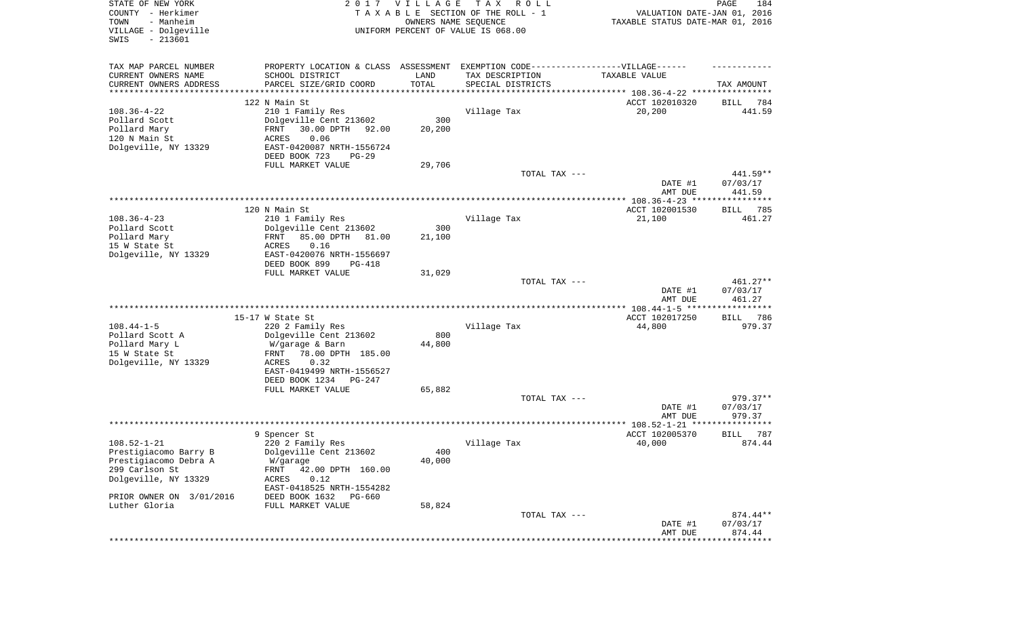| STATE OF NEW YORK<br>COUNTY - Herkimer<br>- Manheim<br>TOWN<br>VILLAGE - Dolgeville<br>SWIS<br>$-213601$ |                                                                                   | 2017 VILLAGE<br>OWNERS NAME SEQUENCE | T A X<br>R O L L<br>TAXABLE SECTION OF THE ROLL - 1<br>UNIFORM PERCENT OF VALUE IS 068.00 | VALUATION DATE-JAN 01, 2016<br>TAXABLE STATUS DATE-MAR 01, 2016 | PAGE<br>184                    |
|----------------------------------------------------------------------------------------------------------|-----------------------------------------------------------------------------------|--------------------------------------|-------------------------------------------------------------------------------------------|-----------------------------------------------------------------|--------------------------------|
| TAX MAP PARCEL NUMBER                                                                                    | PROPERTY LOCATION & CLASS ASSESSMENT EXEMPTION CODE-----------------VILLAGE------ |                                      |                                                                                           |                                                                 |                                |
| CURRENT OWNERS NAME                                                                                      | SCHOOL DISTRICT                                                                   | LAND                                 | TAX DESCRIPTION                                                                           | TAXABLE VALUE                                                   |                                |
| CURRENT OWNERS ADDRESS<br>********************                                                           | PARCEL SIZE/GRID COORD                                                            | TOTAL                                | SPECIAL DISTRICTS                                                                         |                                                                 | TAX AMOUNT                     |
|                                                                                                          | 122 N Main St                                                                     |                                      |                                                                                           | ACCT 102010320                                                  | 784<br>BILL                    |
| $108.36 - 4 - 22$                                                                                        | 210 1 Family Res                                                                  |                                      | Village Tax                                                                               | 20,200                                                          | 441.59                         |
| Pollard Scott                                                                                            | Dolgeville Cent 213602                                                            | 300                                  |                                                                                           |                                                                 |                                |
| Pollard Mary                                                                                             | 30.00 DPTH<br>FRNT<br>92.00                                                       | 20,200                               |                                                                                           |                                                                 |                                |
| 120 N Main St                                                                                            | ACRES<br>0.06                                                                     |                                      |                                                                                           |                                                                 |                                |
| Dolgeville, NY 13329                                                                                     | EAST-0420087 NRTH-1556724                                                         |                                      |                                                                                           |                                                                 |                                |
|                                                                                                          | DEED BOOK 723<br>$PG-29$                                                          |                                      |                                                                                           |                                                                 |                                |
|                                                                                                          | FULL MARKET VALUE                                                                 | 29,706                               |                                                                                           |                                                                 |                                |
|                                                                                                          |                                                                                   |                                      | TOTAL TAX ---                                                                             | DATE #1<br>AMT DUE                                              | 441.59**<br>07/03/17<br>441.59 |
|                                                                                                          |                                                                                   |                                      |                                                                                           |                                                                 |                                |
|                                                                                                          | 120 N Main St                                                                     |                                      |                                                                                           | ACCT 102001530                                                  | 785<br>BILL                    |
| $108.36 - 4 - 23$                                                                                        | 210 1 Family Res                                                                  |                                      | Village Tax                                                                               | 21,100                                                          | 461.27                         |
| Pollard Scott                                                                                            | Dolgeville Cent 213602                                                            | 300                                  |                                                                                           |                                                                 |                                |
| Pollard Mary                                                                                             | 85.00 DPTH<br>FRNT<br>81.00                                                       | 21,100                               |                                                                                           |                                                                 |                                |
| 15 W State St                                                                                            | 0.16<br>ACRES                                                                     |                                      |                                                                                           |                                                                 |                                |
| Dolgeville, NY 13329                                                                                     | EAST-0420076 NRTH-1556697<br>DEED BOOK 899<br>PG-418                              |                                      |                                                                                           |                                                                 |                                |
|                                                                                                          | FULL MARKET VALUE                                                                 | 31,029                               |                                                                                           |                                                                 |                                |
|                                                                                                          |                                                                                   |                                      | TOTAL TAX ---                                                                             |                                                                 | $461.27**$                     |
|                                                                                                          |                                                                                   |                                      |                                                                                           | DATE #1<br>AMT DUE                                              | 07/03/17<br>461.27             |
|                                                                                                          |                                                                                   |                                      |                                                                                           |                                                                 |                                |
|                                                                                                          | 15-17 W State St                                                                  |                                      |                                                                                           | ACCT 102017250                                                  | BILL<br>786                    |
| $108.44 - 1 - 5$                                                                                         | 220 2 Family Res                                                                  | 800                                  | Village Tax                                                                               | 44,800                                                          | 979.37                         |
| Pollard Scott A<br>Pollard Mary L                                                                        | Dolgeville Cent 213602<br>W/garage & Barn                                         | 44,800                               |                                                                                           |                                                                 |                                |
| 15 W State St                                                                                            | 78.00 DPTH 185.00<br>FRNT                                                         |                                      |                                                                                           |                                                                 |                                |
| Dolgeville, NY 13329                                                                                     | ACRES<br>0.32                                                                     |                                      |                                                                                           |                                                                 |                                |
|                                                                                                          | EAST-0419499 NRTH-1556527                                                         |                                      |                                                                                           |                                                                 |                                |
|                                                                                                          | DEED BOOK 1234<br>PG-247                                                          |                                      |                                                                                           |                                                                 |                                |
|                                                                                                          | FULL MARKET VALUE                                                                 | 65,882                               |                                                                                           |                                                                 |                                |
|                                                                                                          |                                                                                   |                                      | TOTAL TAX ---                                                                             |                                                                 | 979.37**                       |
|                                                                                                          |                                                                                   |                                      |                                                                                           | DATE #1<br>AMT DUE                                              | 07/03/17<br>979.37             |
|                                                                                                          |                                                                                   |                                      |                                                                                           | ************** 108.52-1-21                                      | ****************               |
|                                                                                                          | 9 Spencer St                                                                      |                                      |                                                                                           | ACCT 102005370                                                  | 787<br><b>BILL</b>             |
| $108.52 - 1 - 21$                                                                                        | 220 2 Family Res                                                                  |                                      | Village Tax                                                                               | 40,000                                                          | 874.44                         |
| Prestigiacomo Barry B                                                                                    | Dolgeville Cent 213602                                                            | 400                                  |                                                                                           |                                                                 |                                |
| Prestigiacomo Debra A                                                                                    | W/garage                                                                          | 40,000                               |                                                                                           |                                                                 |                                |
| 299 Carlson St                                                                                           | FRNT<br>42.00 DPTH 160.00                                                         |                                      |                                                                                           |                                                                 |                                |
| Dolgeville, NY 13329                                                                                     | 0.12<br>ACRES<br>EAST-0418525 NRTH-1554282                                        |                                      |                                                                                           |                                                                 |                                |
| PRIOR OWNER ON 3/01/2016                                                                                 | DEED BOOK 1632<br>PG-660                                                          |                                      |                                                                                           |                                                                 |                                |
| Luther Gloria                                                                                            | FULL MARKET VALUE                                                                 | 58,824                               |                                                                                           |                                                                 |                                |
|                                                                                                          |                                                                                   |                                      | TOTAL TAX ---                                                                             |                                                                 | $874.44**$                     |
|                                                                                                          |                                                                                   |                                      |                                                                                           | DATE #1                                                         | 07/03/17                       |
|                                                                                                          |                                                                                   |                                      |                                                                                           | AMT DUE                                                         | 874.44                         |
|                                                                                                          |                                                                                   |                                      |                                                                                           |                                                                 |                                |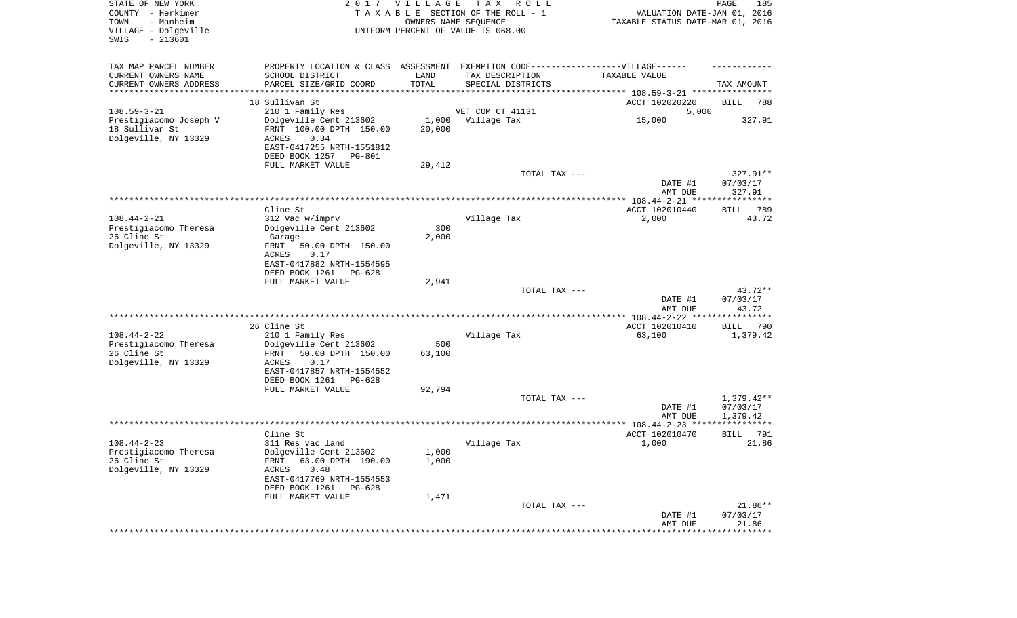| STATE OF NEW YORK<br>COUNTY - Herkimer<br>- Manheim<br>TOWN<br>VILLAGE - Dolgeville<br>$-213601$<br>SWIS |                                                                                   | 2017 VILLAGE  | T A X<br>R O L L<br>TAXABLE SECTION OF THE ROLL - 1<br>OWNERS NAME SEQUENCE<br>UNIFORM PERCENT OF VALUE IS 068.00 | VALUATION DATE-JAN 01, 2016<br>TAXABLE STATUS DATE-MAR 01, 2016 | PAGE<br>185                    |
|----------------------------------------------------------------------------------------------------------|-----------------------------------------------------------------------------------|---------------|-------------------------------------------------------------------------------------------------------------------|-----------------------------------------------------------------|--------------------------------|
| TAX MAP PARCEL NUMBER<br>CURRENT OWNERS NAME<br>CURRENT OWNERS ADDRESS                                   | PROPERTY LOCATION & CLASS ASSESSMENT<br>SCHOOL DISTRICT<br>PARCEL SIZE/GRID COORD | LAND<br>TOTAL | EXEMPTION CODE------------------VILLAGE------<br>TAX DESCRIPTION<br>SPECIAL DISTRICTS                             | TAXABLE VALUE                                                   | TAX AMOUNT                     |
| *********************                                                                                    |                                                                                   | **********    |                                                                                                                   |                                                                 |                                |
| $108.59 - 3 - 21$                                                                                        | 18 Sullivan St                                                                    |               | VET COM CT 41131                                                                                                  | ACCT 102020220                                                  | BILL<br>788                    |
| Prestigiacomo Joseph V                                                                                   | 210 1 Family Res<br>Dolgeville Cent 213602                                        | 1,000         | Village Tax                                                                                                       | 5,000<br>15,000                                                 | 327.91                         |
| 18 Sullivan St                                                                                           | FRNT 100.00 DPTH 150.00                                                           | 20,000        |                                                                                                                   |                                                                 |                                |
| Dolgeville, NY 13329                                                                                     | ACRES<br>0.34                                                                     |               |                                                                                                                   |                                                                 |                                |
|                                                                                                          | EAST-0417255 NRTH-1551812                                                         |               |                                                                                                                   |                                                                 |                                |
|                                                                                                          | DEED BOOK 1257<br>PG-801                                                          |               |                                                                                                                   |                                                                 |                                |
|                                                                                                          | FULL MARKET VALUE                                                                 | 29,412        |                                                                                                                   |                                                                 |                                |
|                                                                                                          |                                                                                   |               | TOTAL TAX ---                                                                                                     | DATE #1                                                         | 327.91**<br>07/03/17           |
|                                                                                                          |                                                                                   |               |                                                                                                                   | AMT DUE                                                         | 327.91                         |
|                                                                                                          |                                                                                   |               |                                                                                                                   |                                                                 |                                |
|                                                                                                          | Cline St                                                                          |               |                                                                                                                   | ACCT 102010440                                                  | 789<br>BILL                    |
| $108.44 - 2 - 21$                                                                                        | 312 Vac w/imprv                                                                   |               | Village Tax                                                                                                       | 2,000                                                           | 43.72                          |
| Prestigiacomo Theresa                                                                                    | Dolgeville Cent 213602                                                            | 300           |                                                                                                                   |                                                                 |                                |
| 26 Cline St<br>Dolgeville, NY 13329                                                                      | Garage<br>FRNT<br>50.00 DPTH 150.00                                               | 2,000         |                                                                                                                   |                                                                 |                                |
|                                                                                                          | ACRES<br>0.17                                                                     |               |                                                                                                                   |                                                                 |                                |
|                                                                                                          | EAST-0417882 NRTH-1554595                                                         |               |                                                                                                                   |                                                                 |                                |
|                                                                                                          | DEED BOOK 1261<br>PG-628                                                          |               |                                                                                                                   |                                                                 |                                |
|                                                                                                          | FULL MARKET VALUE                                                                 | 2,941         |                                                                                                                   |                                                                 |                                |
|                                                                                                          |                                                                                   |               | TOTAL TAX ---                                                                                                     | DATE #1                                                         | 43.72**<br>07/03/17            |
|                                                                                                          |                                                                                   |               |                                                                                                                   | AMT DUE<br>*********** 108.44-2-22 *****                        | 43.72<br>* * * * * * * * * * * |
|                                                                                                          | 26 Cline St                                                                       |               |                                                                                                                   | ACCT 102010410                                                  | <b>BILL</b><br>790             |
| $108.44 - 2 - 22$                                                                                        | 210 1 Family Res                                                                  |               | Village Tax                                                                                                       | 63,100                                                          | 1,379.42                       |
| Prestigiacomo Theresa                                                                                    | Dolgeville Cent 213602                                                            | 500           |                                                                                                                   |                                                                 |                                |
| 26 Cline St                                                                                              | FRNT<br>50.00 DPTH 150.00                                                         | 63,100        |                                                                                                                   |                                                                 |                                |
| Dolgeville, NY 13329                                                                                     | ACRES<br>0.17                                                                     |               |                                                                                                                   |                                                                 |                                |
|                                                                                                          | EAST-0417857 NRTH-1554552                                                         |               |                                                                                                                   |                                                                 |                                |
|                                                                                                          | DEED BOOK 1261<br>PG-628<br>FULL MARKET VALUE                                     | 92,794        |                                                                                                                   |                                                                 |                                |
|                                                                                                          |                                                                                   |               | TOTAL TAX ---                                                                                                     |                                                                 | $1,379.42**$                   |
|                                                                                                          |                                                                                   |               |                                                                                                                   | DATE #1                                                         | 07/03/17                       |
|                                                                                                          |                                                                                   |               |                                                                                                                   | AMT DUE                                                         | 1,379.42                       |
|                                                                                                          |                                                                                   |               |                                                                                                                   |                                                                 |                                |
| $108.44 - 2 - 23$                                                                                        | Cline St<br>311 Res vac land                                                      |               |                                                                                                                   | ACCT 102010470<br>1,000                                         | 791<br>BILL<br>21.86           |
| Prestigiacomo Theresa                                                                                    | Dolgeville Cent 213602                                                            | 1,000         | Village Tax                                                                                                       |                                                                 |                                |
| 26 Cline St                                                                                              | 63.00 DPTH 190.00<br>FRNT                                                         | 1,000         |                                                                                                                   |                                                                 |                                |
| Dolgeville, NY 13329                                                                                     | ACRES<br>0.48                                                                     |               |                                                                                                                   |                                                                 |                                |
|                                                                                                          | EAST-0417769 NRTH-1554553                                                         |               |                                                                                                                   |                                                                 |                                |
|                                                                                                          | DEED BOOK 1261 PG-628                                                             |               |                                                                                                                   |                                                                 |                                |
|                                                                                                          | FULL MARKET VALUE                                                                 | 1,471         |                                                                                                                   |                                                                 | 21.86**                        |
|                                                                                                          |                                                                                   |               | TOTAL TAX ---                                                                                                     | DATE #1                                                         | 07/03/17                       |
|                                                                                                          |                                                                                   |               |                                                                                                                   | AMT DUE                                                         | 21.86                          |
|                                                                                                          |                                                                                   |               |                                                                                                                   | ******************                                              | **************                 |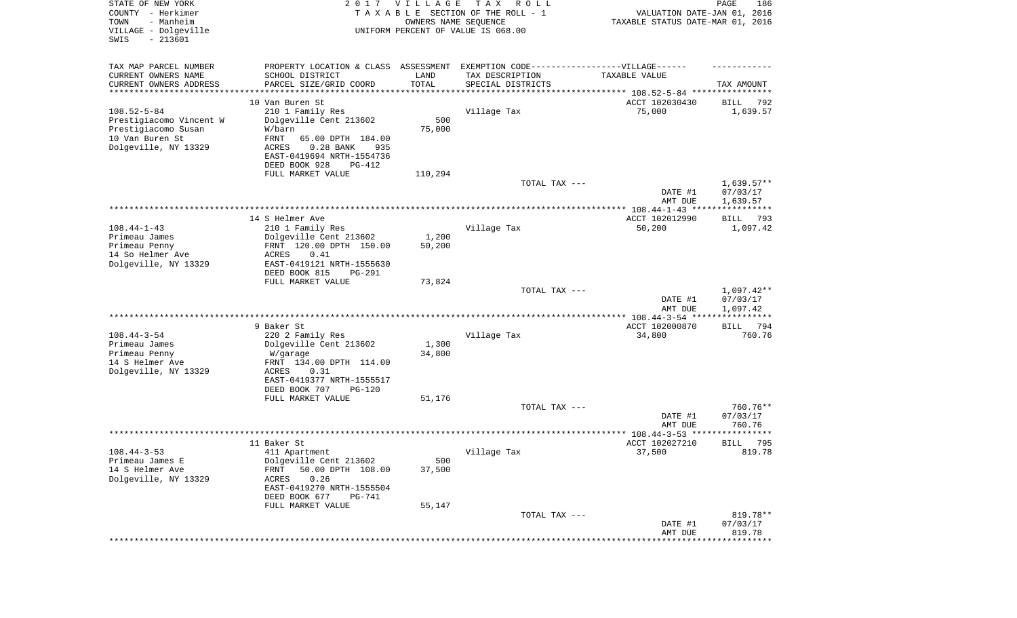| STATE OF NEW YORK<br>COUNTY - Herkimer<br>- Manheim<br>TOWN<br>VILLAGE - Dolgeville<br>$-213601$<br>SWIS |                                                                                                      | 2017 VILLAGE<br>OWNERS NAME SEQUENCE | T A X<br>R O L L<br>TAXABLE SECTION OF THE ROLL - 1<br>UNIFORM PERCENT OF VALUE IS 068.00 | VALUATION DATE-JAN 01, 2016<br>TAXABLE STATUS DATE-MAR 01, 2016                  | PAGE<br>186             |
|----------------------------------------------------------------------------------------------------------|------------------------------------------------------------------------------------------------------|--------------------------------------|-------------------------------------------------------------------------------------------|----------------------------------------------------------------------------------|-------------------------|
| TAX MAP PARCEL NUMBER<br>CURRENT OWNERS NAME                                                             | PROPERTY LOCATION & CLASS ASSESSMENT EXEMPTION CODE-----------------VILLAGE------<br>SCHOOL DISTRICT | LAND                                 | TAX DESCRIPTION                                                                           | TAXABLE VALUE                                                                    |                         |
| CURRENT OWNERS ADDRESS<br>********************                                                           | PARCEL SIZE/GRID COORD                                                                               | TOTAL<br>* * * * * * * * * * *       | SPECIAL DISTRICTS                                                                         |                                                                                  | TAX AMOUNT              |
|                                                                                                          | 10 Van Buren St                                                                                      |                                      |                                                                                           | ********************************* 108.52-5-84 ****************<br>ACCT 102030430 | 792                     |
| $108.52 - 5 - 84$                                                                                        | 210 1 Family Res                                                                                     |                                      | Village Tax                                                                               | 75,000                                                                           | BILL<br>1,639.57        |
| Prestigiacomo Vincent W                                                                                  | Dolgeville Cent 213602                                                                               | 500                                  |                                                                                           |                                                                                  |                         |
| Prestigiacomo Susan                                                                                      | W/barn                                                                                               | 75,000                               |                                                                                           |                                                                                  |                         |
| 10 Van Buren St                                                                                          | FRNT<br>65.00 DPTH 184.00                                                                            |                                      |                                                                                           |                                                                                  |                         |
| Dolgeville, NY 13329                                                                                     | ACRES<br>$0.28$ BANK<br>935                                                                          |                                      |                                                                                           |                                                                                  |                         |
|                                                                                                          | EAST-0419694 NRTH-1554736<br>DEED BOOK 928<br>PG-412                                                 |                                      |                                                                                           |                                                                                  |                         |
|                                                                                                          | FULL MARKET VALUE                                                                                    | 110,294                              |                                                                                           |                                                                                  |                         |
|                                                                                                          |                                                                                                      |                                      | TOTAL TAX ---                                                                             |                                                                                  | $1,639.57**$            |
|                                                                                                          |                                                                                                      |                                      |                                                                                           | DATE #1                                                                          | 07/03/17                |
|                                                                                                          |                                                                                                      |                                      |                                                                                           | AMT DUE                                                                          | 1,639.57                |
|                                                                                                          | 14 S Helmer Ave                                                                                      |                                      |                                                                                           | ACCT 102012990                                                                   | BILL<br>793             |
| $108.44 - 1 - 43$                                                                                        | 210 1 Family Res                                                                                     |                                      | Village Tax                                                                               | 50,200                                                                           | 1,097.42                |
| Primeau James                                                                                            | Dolgeville Cent 213602                                                                               | 1,200                                |                                                                                           |                                                                                  |                         |
| Primeau Penny                                                                                            | FRNT 120.00 DPTH 150.00                                                                              | 50,200                               |                                                                                           |                                                                                  |                         |
| 14 So Helmer Ave                                                                                         | ACRES<br>0.41                                                                                        |                                      |                                                                                           |                                                                                  |                         |
| Dolgeville, NY 13329                                                                                     | EAST-0419121 NRTH-1555630<br>DEED BOOK 815<br>PG-291                                                 |                                      |                                                                                           |                                                                                  |                         |
|                                                                                                          | FULL MARKET VALUE                                                                                    | 73,824                               |                                                                                           |                                                                                  |                         |
|                                                                                                          |                                                                                                      |                                      | TOTAL TAX ---                                                                             |                                                                                  | $1,097.42**$            |
|                                                                                                          |                                                                                                      |                                      |                                                                                           | DATE #1                                                                          | 07/03/17                |
|                                                                                                          |                                                                                                      |                                      |                                                                                           | AMT DUE<br>********** 108.44-3-54 ****                                           | 1,097.42<br>*********** |
|                                                                                                          | 9 Baker St                                                                                           |                                      |                                                                                           | ACCT 102000870                                                                   | 794<br>BILL             |
| $108.44 - 3 - 54$                                                                                        | 220 2 Family Res                                                                                     |                                      | Village Tax                                                                               | 34,800                                                                           | 760.76                  |
| Primeau James                                                                                            | Dolgeville Cent 213602                                                                               | 1,300                                |                                                                                           |                                                                                  |                         |
| Primeau Penny                                                                                            | W/garage                                                                                             | 34,800                               |                                                                                           |                                                                                  |                         |
| 14 S Helmer Ave<br>Dolgeville, NY 13329                                                                  | FRNT 134.00 DPTH 114.00<br>ACRES<br>0.31                                                             |                                      |                                                                                           |                                                                                  |                         |
|                                                                                                          | EAST-0419377 NRTH-1555517                                                                            |                                      |                                                                                           |                                                                                  |                         |
|                                                                                                          | DEED BOOK 707<br>PG-120                                                                              |                                      |                                                                                           |                                                                                  |                         |
|                                                                                                          | FULL MARKET VALUE                                                                                    | 51,176                               |                                                                                           |                                                                                  |                         |
|                                                                                                          |                                                                                                      |                                      | TOTAL TAX ---                                                                             | DATE #1                                                                          | 760.76**<br>07/03/17    |
|                                                                                                          |                                                                                                      |                                      |                                                                                           | AMT DUE                                                                          | 760.76                  |
|                                                                                                          |                                                                                                      |                                      |                                                                                           |                                                                                  | * * * * * *             |
|                                                                                                          | 11 Baker St                                                                                          |                                      |                                                                                           | ACCT 102027210                                                                   | 795<br>BILL             |
| $108.44 - 3 - 53$                                                                                        | 411 Apartment                                                                                        |                                      | Village Tax                                                                               | 37,500                                                                           | 819.78                  |
| Primeau James E<br>14 S Helmer Ave                                                                       | Dolgeville Cent 213602<br>50.00 DPTH 108.00<br>FRNT                                                  | 500<br>37,500                        |                                                                                           |                                                                                  |                         |
| Dolgeville, NY 13329                                                                                     | ACRES<br>0.26                                                                                        |                                      |                                                                                           |                                                                                  |                         |
|                                                                                                          | EAST-0419270 NRTH-1555504                                                                            |                                      |                                                                                           |                                                                                  |                         |
|                                                                                                          | DEED BOOK 677<br>PG-741                                                                              |                                      |                                                                                           |                                                                                  |                         |
|                                                                                                          | FULL MARKET VALUE                                                                                    | 55,147                               | TOTAL TAX ---                                                                             |                                                                                  |                         |
|                                                                                                          |                                                                                                      |                                      |                                                                                           | DATE #1                                                                          | 819.78**<br>07/03/17    |
|                                                                                                          |                                                                                                      |                                      |                                                                                           | AMT DUE                                                                          | 819.78                  |
|                                                                                                          |                                                                                                      |                                      |                                                                                           |                                                                                  | ***********             |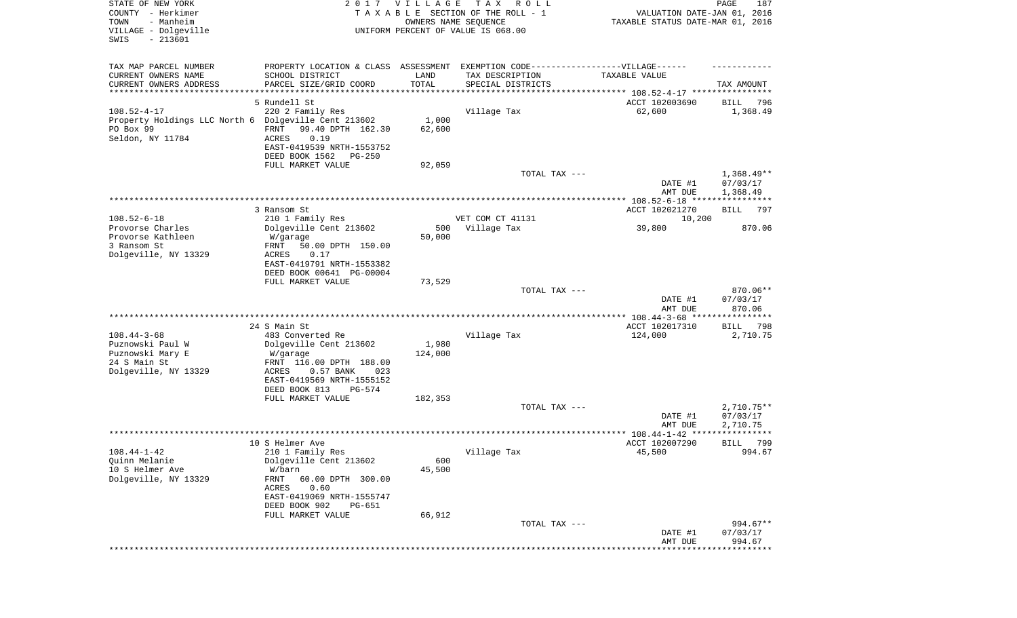| STATE OF NEW YORK<br>COUNTY - Herkimer<br>- Manheim<br>TOWN<br>VILLAGE - Dolgeville<br>SWIS<br>$-213601$   |                                                                                                             | 2017 VILLAGE<br>OWNERS NAME SEQUENCE | T A X<br>R O L L<br>TAXABLE SECTION OF THE ROLL - 1<br>UNIFORM PERCENT OF VALUE IS 068.00            | VALUATION DATE-JAN 01, 2016<br>TAXABLE STATUS DATE-MAR 01, 2016 | PAGE<br>187                          |
|------------------------------------------------------------------------------------------------------------|-------------------------------------------------------------------------------------------------------------|--------------------------------------|------------------------------------------------------------------------------------------------------|-----------------------------------------------------------------|--------------------------------------|
| TAX MAP PARCEL NUMBER<br>CURRENT OWNERS NAME                                                               | SCHOOL DISTRICT                                                                                             | LAND                                 | PROPERTY LOCATION & CLASS ASSESSMENT EXEMPTION CODE-----------------VILLAGE------<br>TAX DESCRIPTION | TAXABLE VALUE                                                   |                                      |
| CURRENT OWNERS ADDRESS                                                                                     | PARCEL SIZE/GRID COORD                                                                                      | TOTAL                                | SPECIAL DISTRICTS                                                                                    |                                                                 | TAX AMOUNT                           |
| *********************                                                                                      |                                                                                                             | **********                           | ********************************* 108.52-4-17 ****************                                       |                                                                 |                                      |
| $108.52 - 4 - 17$<br>Property Holdings LLC North 6 Dolgeville Cent 213602<br>PO Box 99<br>Seldon, NY 11784 | 5 Rundell St<br>220 2 Family Res<br>FRNT<br>99.40 DPTH 162.30<br>0.19<br>ACRES<br>EAST-0419539 NRTH-1553752 | 1,000<br>62,600                      | Village Tax                                                                                          | ACCT 102003690<br>62,600                                        | BILL<br>796<br>1,368.49              |
|                                                                                                            | DEED BOOK 1562<br>PG-250                                                                                    |                                      |                                                                                                      |                                                                 |                                      |
|                                                                                                            | FULL MARKET VALUE                                                                                           | 92,059                               |                                                                                                      |                                                                 |                                      |
|                                                                                                            |                                                                                                             |                                      | TOTAL TAX ---                                                                                        | DATE #1<br>AMT DUE                                              | $1,368.49**$<br>07/03/17<br>1,368.49 |
|                                                                                                            |                                                                                                             |                                      |                                                                                                      |                                                                 |                                      |
|                                                                                                            | 3 Ransom St                                                                                                 |                                      |                                                                                                      | ACCT 102021270                                                  | <b>BILL</b><br>797                   |
| $108.52 - 6 - 18$                                                                                          | 210 1 Family Res                                                                                            |                                      | VET COM CT 41131                                                                                     | 10,200                                                          |                                      |
| Provorse Charles<br>Provorse Kathleen<br>3 Ransom St                                                       | Dolgeville Cent 213602<br>W/garage<br>50.00 DPTH 150.00<br>FRNT                                             | 500<br>50,000                        | Village Tax                                                                                          | 39,800                                                          | 870.06                               |
| Dolgeville, NY 13329                                                                                       | ACRES<br>0.17<br>EAST-0419791 NRTH-1553382<br>DEED BOOK 00641 PG-00004                                      |                                      |                                                                                                      |                                                                 |                                      |
|                                                                                                            | FULL MARKET VALUE                                                                                           | 73,529                               | TOTAL TAX ---                                                                                        |                                                                 | 870.06**                             |
|                                                                                                            |                                                                                                             |                                      |                                                                                                      | DATE #1<br>AMT DUE                                              | 07/03/17<br>870.06                   |
|                                                                                                            |                                                                                                             |                                      |                                                                                                      | *********** 108.44-3-68 *****************                       |                                      |
| $108.44 - 3 - 68$<br>Puznowski Paul W                                                                      | 24 S Main St<br>483 Converted Re                                                                            | 1,980                                | Village Tax                                                                                          | ACCT 102017310<br>124,000                                       | 798<br>BILL<br>2,710.75              |
| Puznowski Mary E<br>24 S Main St                                                                           | Dolgeville Cent 213602<br>W/garage<br>FRNT 116.00 DPTH 188.00                                               | 124,000                              |                                                                                                      |                                                                 |                                      |
| Dolgeville, NY 13329                                                                                       | ACRES<br>0.57 BANK<br>023<br>EAST-0419569 NRTH-1555152                                                      |                                      |                                                                                                      |                                                                 |                                      |
|                                                                                                            | DEED BOOK 813<br>PG-574                                                                                     |                                      |                                                                                                      |                                                                 |                                      |
|                                                                                                            | FULL MARKET VALUE                                                                                           | 182,353                              | TOTAL TAX ---                                                                                        | DATE #1                                                         | $2,710.75**$<br>07/03/17             |
|                                                                                                            |                                                                                                             |                                      |                                                                                                      | AMT DUE                                                         | 2,710.75                             |
|                                                                                                            |                                                                                                             |                                      |                                                                                                      |                                                                 | ****                                 |
|                                                                                                            | 10 S Helmer Ave                                                                                             |                                      |                                                                                                      | ACCT 102007290                                                  | 799<br>BILL                          |
| $108.44 - 1 - 42$<br>Quinn Melanie                                                                         | 210 1 Family Res<br>Dolgeville Cent 213602                                                                  | 600                                  | Village Tax                                                                                          | 45,500                                                          | 994.67                               |
| 10 S Helmer Ave                                                                                            | W/barn                                                                                                      | 45,500                               |                                                                                                      |                                                                 |                                      |
| Dolgeville, NY 13329                                                                                       | FRNT<br>60.00 DPTH 300.00<br>ACRES<br>0.60<br>EAST-0419069 NRTH-1555747                                     |                                      |                                                                                                      |                                                                 |                                      |
|                                                                                                            | DEED BOOK 902<br><b>PG-651</b>                                                                              |                                      |                                                                                                      |                                                                 |                                      |
|                                                                                                            | FULL MARKET VALUE                                                                                           | 66,912                               |                                                                                                      |                                                                 |                                      |
|                                                                                                            |                                                                                                             |                                      | TOTAL TAX ---                                                                                        | DATE #1<br>AMT DUE                                              | 994.67**<br>07/03/17<br>994.67       |
|                                                                                                            |                                                                                                             |                                      |                                                                                                      |                                                                 |                                      |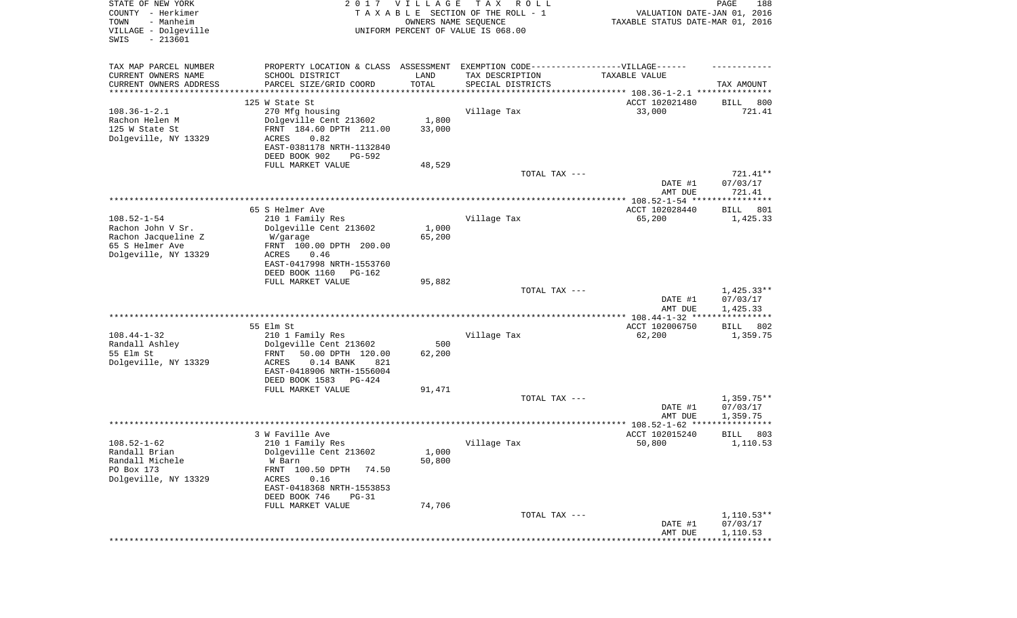| STATE OF NEW YORK<br>COUNTY - Herkimer<br>- Manheim<br>TOWN<br>VILLAGE - Dolgeville<br>SWIS<br>$-213601$ |                                                                                  | 2017 VILLAGE<br>OWNERS NAME SEQUENCE | TAX ROLL<br>TAXABLE SECTION OF THE ROLL - 1<br>UNIFORM PERCENT OF VALUE IS 068.00 | VALUATION DATE-JAN 01, 2016<br>TAXABLE STATUS DATE-MAR 01, 2016      | PAGE<br>188              |
|----------------------------------------------------------------------------------------------------------|----------------------------------------------------------------------------------|--------------------------------------|-----------------------------------------------------------------------------------|----------------------------------------------------------------------|--------------------------|
| TAX MAP PARCEL NUMBER                                                                                    | PROPERTY LOCATION & CLASS ASSESSMENT EXEMPTION CODE----------------VILLAGE------ |                                      |                                                                                   |                                                                      |                          |
| CURRENT OWNERS NAME                                                                                      | SCHOOL DISTRICT                                                                  | LAND                                 | TAX DESCRIPTION                                                                   | TAXABLE VALUE                                                        |                          |
| CURRENT OWNERS ADDRESS<br>********************                                                           | PARCEL SIZE/GRID COORD                                                           | TOTAL<br>* * * * * * * * * * *       | SPECIAL DISTRICTS                                                                 | ************************************** 108.36-1-2.1 **************** | TAX AMOUNT               |
|                                                                                                          | 125 W State St                                                                   |                                      |                                                                                   | ACCT 102021480                                                       | BILL<br>800              |
| $108.36 - 1 - 2.1$                                                                                       | 270 Mfg housing                                                                  |                                      | Village Tax                                                                       | 33,000                                                               | 721.41                   |
| Rachon Helen M                                                                                           | Dolgeville Cent 213602                                                           | 1,800                                |                                                                                   |                                                                      |                          |
| 125 W State St                                                                                           | FRNT 184.60 DPTH 211.00                                                          | 33,000                               |                                                                                   |                                                                      |                          |
| Dolgeville, NY 13329                                                                                     | ACRES<br>0.82                                                                    |                                      |                                                                                   |                                                                      |                          |
|                                                                                                          | EAST-0381178 NRTH-1132840<br>DEED BOOK 902<br>PG-592                             |                                      |                                                                                   |                                                                      |                          |
|                                                                                                          | FULL MARKET VALUE                                                                | 48,529                               |                                                                                   |                                                                      |                          |
|                                                                                                          |                                                                                  |                                      | TOTAL TAX ---                                                                     |                                                                      | 721.41**                 |
|                                                                                                          |                                                                                  |                                      |                                                                                   | DATE #1                                                              | 07/03/17                 |
|                                                                                                          |                                                                                  |                                      |                                                                                   | AMT DUE                                                              | 721.41                   |
|                                                                                                          | 65 S Helmer Ave                                                                  |                                      |                                                                                   | ACCT 102028440                                                       | BILL<br>801              |
| $108.52 - 1 - 54$                                                                                        | 210 1 Family Res                                                                 |                                      | Village Tax                                                                       | 65,200                                                               | 1,425.33                 |
| Rachon John V Sr.                                                                                        | Dolgeville Cent 213602                                                           | 1,000                                |                                                                                   |                                                                      |                          |
| Rachon Jacqueline Z                                                                                      | W/garage                                                                         | 65,200                               |                                                                                   |                                                                      |                          |
| 65 S Helmer Ave<br>Dolgeville, NY 13329                                                                  | FRNT 100.00 DPTH 200.00<br>ACRES<br>0.46                                         |                                      |                                                                                   |                                                                      |                          |
|                                                                                                          | EAST-0417998 NRTH-1553760                                                        |                                      |                                                                                   |                                                                      |                          |
|                                                                                                          | DEED BOOK 1160<br>PG-162                                                         |                                      |                                                                                   |                                                                      |                          |
|                                                                                                          | FULL MARKET VALUE                                                                | 95,882                               |                                                                                   |                                                                      |                          |
|                                                                                                          |                                                                                  |                                      | TOTAL TAX ---                                                                     |                                                                      | $1,425.33**$             |
|                                                                                                          |                                                                                  |                                      |                                                                                   | DATE #1<br>AMT DUE                                                   | 07/03/17<br>1,425.33     |
|                                                                                                          |                                                                                  |                                      |                                                                                   | ************* 108.44-1-32 ****                                       | * * * * * * * * * * *    |
|                                                                                                          | 55 Elm St                                                                        |                                      |                                                                                   | ACCT 102006750                                                       | 802<br>BILL              |
| $108.44 - 1 - 32$                                                                                        | 210 1 Family Res                                                                 |                                      | Village Tax                                                                       | 62,200                                                               | 1,359.75                 |
| Randall Ashley<br>55 Elm St                                                                              | Dolgeville Cent 213602<br>50.00 DPTH 120.00<br>FRNT                              | 500<br>62,200                        |                                                                                   |                                                                      |                          |
| Dolgeville, NY 13329                                                                                     | ACRES<br>$0.14$ BANK<br>821                                                      |                                      |                                                                                   |                                                                      |                          |
|                                                                                                          | EAST-0418906 NRTH-1556004                                                        |                                      |                                                                                   |                                                                      |                          |
|                                                                                                          | DEED BOOK 1583<br>PG-424                                                         |                                      |                                                                                   |                                                                      |                          |
|                                                                                                          | FULL MARKET VALUE                                                                | 91,471                               |                                                                                   |                                                                      |                          |
|                                                                                                          |                                                                                  |                                      | TOTAL TAX ---                                                                     | DATE #1                                                              | $1,359.75**$<br>07/03/17 |
|                                                                                                          |                                                                                  |                                      |                                                                                   | AMT DUE                                                              | 1,359.75                 |
|                                                                                                          |                                                                                  |                                      |                                                                                   |                                                                      |                          |
|                                                                                                          | 3 W Faville Ave                                                                  |                                      |                                                                                   | ACCT 102015240                                                       | BILL<br>803              |
| $108.52 - 1 - 62$                                                                                        | 210 1 Family Res                                                                 |                                      | Village Tax                                                                       | 50,800                                                               | 1,110.53                 |
| Randall Brian<br>Randall Michele                                                                         | Dolgeville Cent 213602<br>W Barn                                                 | 1,000<br>50,800                      |                                                                                   |                                                                      |                          |
| PO Box 173                                                                                               | FRNT 100.50 DPTH<br>74.50                                                        |                                      |                                                                                   |                                                                      |                          |
| Dolgeville, NY 13329                                                                                     | ACRES<br>0.16                                                                    |                                      |                                                                                   |                                                                      |                          |
|                                                                                                          | EAST-0418368 NRTH-1553853                                                        |                                      |                                                                                   |                                                                      |                          |
|                                                                                                          | DEED BOOK 746<br>$PG-31$                                                         |                                      |                                                                                   |                                                                      |                          |
|                                                                                                          | FULL MARKET VALUE                                                                | 74,706                               | TOTAL TAX ---                                                                     |                                                                      | $1,110.53**$             |
|                                                                                                          |                                                                                  |                                      |                                                                                   | DATE #1                                                              | 07/03/17                 |
|                                                                                                          |                                                                                  |                                      |                                                                                   | AMT DUE                                                              | 1,110.53                 |
|                                                                                                          |                                                                                  |                                      |                                                                                   |                                                                      |                          |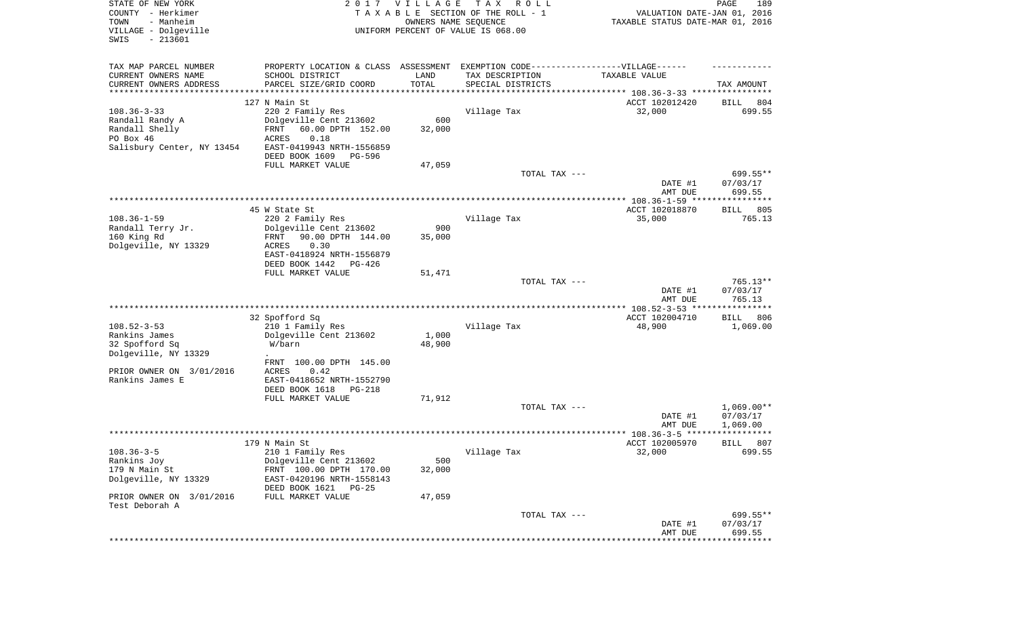| STATE OF NEW YORK<br>COUNTY - Herkimer<br>- Manheim<br>TOWN<br>VILLAGE - Dolgeville<br>SWIS<br>$-213601$ | 2017                                                                              | VILLAGE<br>OWNERS NAME SEQUENCE | T A X<br>R O L L<br>TAXABLE SECTION OF THE ROLL - 1<br>UNIFORM PERCENT OF VALUE IS 068.00 | VALUATION DATE-JAN 01, 2016<br>TAXABLE STATUS DATE-MAR 01, 2016 | PAGE<br>189                    |
|----------------------------------------------------------------------------------------------------------|-----------------------------------------------------------------------------------|---------------------------------|-------------------------------------------------------------------------------------------|-----------------------------------------------------------------|--------------------------------|
| TAX MAP PARCEL NUMBER                                                                                    | PROPERTY LOCATION & CLASS ASSESSMENT EXEMPTION CODE-----------------VILLAGE------ |                                 |                                                                                           |                                                                 |                                |
| CURRENT OWNERS NAME                                                                                      | SCHOOL DISTRICT                                                                   | LAND                            | TAX DESCRIPTION                                                                           | TAXABLE VALUE                                                   |                                |
| CURRENT OWNERS ADDRESS<br>**********************                                                         | PARCEL SIZE/GRID COORD                                                            | TOTAL                           | SPECIAL DISTRICTS                                                                         |                                                                 | TAX AMOUNT                     |
|                                                                                                          | 127 N Main St                                                                     |                                 |                                                                                           | ACCT 102012420                                                  | 804<br>BILL                    |
| $108.36 - 3 - 33$                                                                                        | 220 2 Family Res                                                                  |                                 | Village Tax                                                                               | 32,000                                                          | 699.55                         |
| Randall Randy A                                                                                          | Dolgeville Cent 213602                                                            | 600                             |                                                                                           |                                                                 |                                |
| Randall Shelly<br>PO Box 46                                                                              | 60.00 DPTH 152.00<br>FRNT<br>ACRES<br>0.18                                        | 32,000                          |                                                                                           |                                                                 |                                |
| Salisbury Center, NY 13454                                                                               | EAST-0419943 NRTH-1556859                                                         |                                 |                                                                                           |                                                                 |                                |
|                                                                                                          | DEED BOOK 1609<br>PG-596                                                          |                                 |                                                                                           |                                                                 |                                |
|                                                                                                          | FULL MARKET VALUE                                                                 | 47,059                          |                                                                                           |                                                                 |                                |
|                                                                                                          |                                                                                   |                                 | TOTAL TAX ---                                                                             | DATE #1<br>AMT DUE                                              | 699.55**<br>07/03/17<br>699.55 |
|                                                                                                          |                                                                                   |                                 |                                                                                           |                                                                 |                                |
|                                                                                                          | 45 W State St                                                                     |                                 |                                                                                           | ACCT 102018870                                                  | 805<br>BILL                    |
| $108.36 - 1 - 59$<br>Randall Terry Jr.                                                                   | 220 2 Family Res                                                                  | 900                             | Village Tax                                                                               | 35,000                                                          | 765.13                         |
| 160 King Rd                                                                                              | Dolgeville Cent 213602<br>90.00 DPTH 144.00<br>FRNT                               | 35,000                          |                                                                                           |                                                                 |                                |
| Dolgeville, NY 13329                                                                                     | 0.30<br>ACRES                                                                     |                                 |                                                                                           |                                                                 |                                |
|                                                                                                          | EAST-0418924 NRTH-1556879                                                         |                                 |                                                                                           |                                                                 |                                |
|                                                                                                          | DEED BOOK 1442<br>$PG-426$<br>FULL MARKET VALUE                                   | 51,471                          |                                                                                           |                                                                 |                                |
|                                                                                                          |                                                                                   |                                 | TOTAL TAX ---                                                                             |                                                                 | $765.13**$                     |
|                                                                                                          |                                                                                   |                                 |                                                                                           | DATE #1<br>AMT DUE                                              | 07/03/17<br>765.13             |
|                                                                                                          |                                                                                   |                                 |                                                                                           |                                                                 |                                |
| $108.52 - 3 - 53$                                                                                        | 32 Spofford Sq<br>210 1 Family Res                                                |                                 | Village Tax                                                                               | ACCT 102004710<br>48,900                                        | <b>BILL</b><br>806<br>1,069.00 |
| Rankins James                                                                                            | Dolgeville Cent 213602                                                            | 1,000                           |                                                                                           |                                                                 |                                |
| 32 Spofford Sq<br>Dolgeville, NY 13329                                                                   | W/barn<br>$\ddot{\phantom{0}}$                                                    | 48,900                          |                                                                                           |                                                                 |                                |
|                                                                                                          | 100.00 DPTH 145.00<br>FRNT                                                        |                                 |                                                                                           |                                                                 |                                |
| PRIOR OWNER ON 3/01/2016                                                                                 | ACRES<br>0.42                                                                     |                                 |                                                                                           |                                                                 |                                |
| Rankins James E                                                                                          | EAST-0418652 NRTH-1552790<br>DEED BOOK 1618<br>PG-218                             |                                 |                                                                                           |                                                                 |                                |
|                                                                                                          | FULL MARKET VALUE                                                                 | 71,912                          |                                                                                           |                                                                 |                                |
|                                                                                                          |                                                                                   |                                 | TOTAL TAX ---                                                                             |                                                                 | $1,069.00**$                   |
|                                                                                                          |                                                                                   |                                 |                                                                                           | DATE #1                                                         | 07/03/17                       |
|                                                                                                          |                                                                                   |                                 |                                                                                           | AMT DUE                                                         | 1,069.00<br>******             |
| $108.36 - 3 - 5$                                                                                         | 179 N Main St<br>210 1 Family Res                                                 |                                 | Village Tax                                                                               | ACCT 102005970<br>32,000                                        | 807<br>BILL<br>699.55          |
| Rankins Joy                                                                                              | Dolgeville Cent 213602                                                            | 500                             |                                                                                           |                                                                 |                                |
| 179 N Main St                                                                                            | FRNT 100.00 DPTH 170.00                                                           | 32,000                          |                                                                                           |                                                                 |                                |
| Dolgeville, NY 13329                                                                                     | EAST-0420196 NRTH-1558143                                                         |                                 |                                                                                           |                                                                 |                                |
| PRIOR OWNER ON 3/01/2016<br>Test Deborah A                                                               | DEED BOOK 1621<br>PG-25<br>FULL MARKET VALUE                                      | 47,059                          |                                                                                           |                                                                 |                                |
|                                                                                                          |                                                                                   |                                 | TOTAL TAX ---                                                                             |                                                                 | 699.55**                       |
|                                                                                                          |                                                                                   |                                 |                                                                                           | DATE #1<br>AMT DUE                                              | 07/03/17<br>699.55             |
|                                                                                                          |                                                                                   |                                 |                                                                                           |                                                                 | * * * * * * * * * * * * * *    |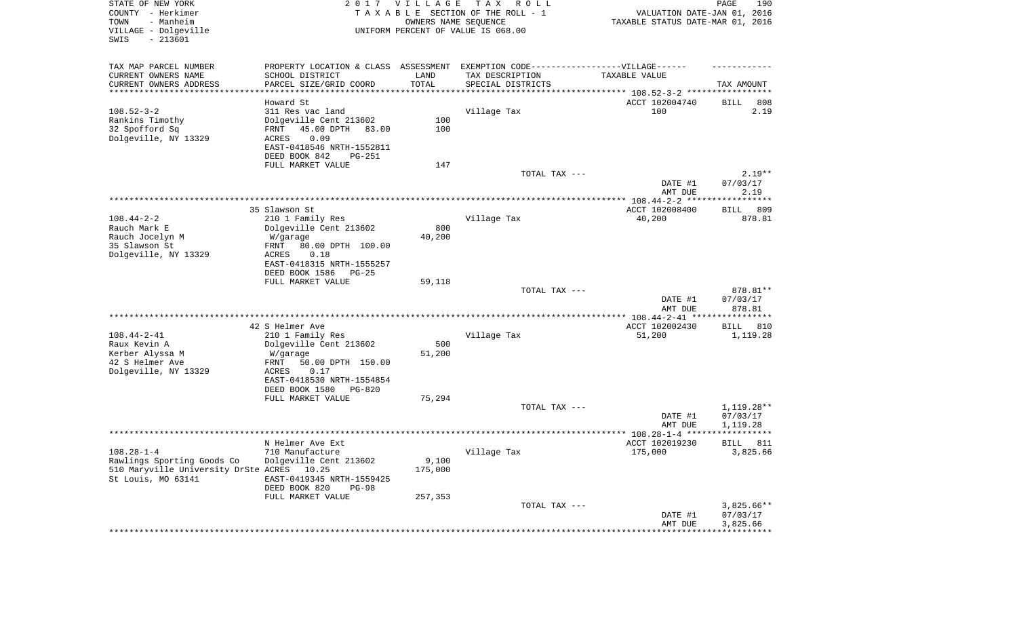| STATE OF NEW YORK<br>COUNTY - Herkimer<br>TOWN<br>- Manheim<br>VILLAGE - Dolgeville<br>SWIS<br>$-213601$ |                                                                                  | 2017 VILLAGE<br>OWNERS NAME SEQUENCE | T A X<br>R O L L<br>TAXABLE SECTION OF THE ROLL - 1<br>UNIFORM PERCENT OF VALUE IS 068.00 | VALUATION DATE-JAN 01, 2016<br>TAXABLE STATUS DATE-MAR 01, 2016 | 190<br>PAGE             |
|----------------------------------------------------------------------------------------------------------|----------------------------------------------------------------------------------|--------------------------------------|-------------------------------------------------------------------------------------------|-----------------------------------------------------------------|-------------------------|
| TAX MAP PARCEL NUMBER                                                                                    | PROPERTY LOCATION & CLASS ASSESSMENT EXEMPTION CODE----------------VILLAGE------ |                                      |                                                                                           |                                                                 |                         |
| CURRENT OWNERS NAME<br>CURRENT OWNERS ADDRESS                                                            | SCHOOL DISTRICT<br>PARCEL SIZE/GRID COORD                                        | LAND<br>TOTAL                        | TAX DESCRIPTION<br>SPECIAL DISTRICTS                                                      | TAXABLE VALUE                                                   | TAX AMOUNT              |
| ***********************                                                                                  | ********************                                                             | ***********                          |                                                                                           |                                                                 |                         |
|                                                                                                          | Howard St                                                                        |                                      |                                                                                           | ACCT 102004740                                                  | 808<br>BILL             |
| $108.52 - 3 - 2$<br>Rankins Timothy                                                                      | 311 Res vac land<br>Dolgeville Cent 213602                                       | 100                                  | Village Tax                                                                               | 100                                                             | 2.19                    |
| 32 Spofford Sq                                                                                           | 45.00 DPTH<br>83.00<br>FRNT                                                      | 100                                  |                                                                                           |                                                                 |                         |
| Dolgeville, NY 13329                                                                                     | 0.09<br><b>ACRES</b>                                                             |                                      |                                                                                           |                                                                 |                         |
|                                                                                                          | EAST-0418546 NRTH-1552811                                                        |                                      |                                                                                           |                                                                 |                         |
|                                                                                                          | DEED BOOK 842<br>PG-251                                                          |                                      |                                                                                           |                                                                 |                         |
|                                                                                                          | FULL MARKET VALUE                                                                | 147                                  | TOTAL TAX ---                                                                             |                                                                 | $2.19**$                |
|                                                                                                          |                                                                                  |                                      |                                                                                           | DATE #1                                                         | 07/03/17                |
|                                                                                                          |                                                                                  |                                      |                                                                                           | AMT DUE                                                         | 2.19                    |
|                                                                                                          |                                                                                  |                                      |                                                                                           |                                                                 |                         |
| $108.44 - 2 - 2$                                                                                         | 35 Slawson St<br>210 1 Family Res                                                |                                      | Village Tax                                                                               | ACCT 102008400<br>40,200                                        | 809<br>BILL<br>878.81   |
| Rauch Mark E                                                                                             | Dolgeville Cent 213602                                                           | 800                                  |                                                                                           |                                                                 |                         |
| Rauch Jocelyn M                                                                                          | W/garage                                                                         | 40,200                               |                                                                                           |                                                                 |                         |
| 35 Slawson St                                                                                            | 80.00 DPTH 100.00<br>FRNT                                                        |                                      |                                                                                           |                                                                 |                         |
| Dolgeville, NY 13329                                                                                     | ACRES<br>0.18<br>EAST-0418315 NRTH-1555257                                       |                                      |                                                                                           |                                                                 |                         |
|                                                                                                          | DEED BOOK 1586<br>$PG-25$                                                        |                                      |                                                                                           |                                                                 |                         |
|                                                                                                          | FULL MARKET VALUE                                                                | 59,118                               |                                                                                           |                                                                 |                         |
|                                                                                                          |                                                                                  |                                      | TOTAL TAX ---                                                                             |                                                                 | 878.81**                |
|                                                                                                          |                                                                                  |                                      |                                                                                           | DATE #1                                                         | 07/03/17                |
|                                                                                                          |                                                                                  |                                      |                                                                                           | AMT DUE<br>*************** 108.44-2-41 *****************        | 878.81                  |
|                                                                                                          | 42 S Helmer Ave                                                                  |                                      |                                                                                           | ACCT 102002430                                                  | BILL<br>810             |
| $108.44 - 2 - 41$                                                                                        | 210 1 Family Res                                                                 |                                      | Village Tax                                                                               | 51,200                                                          | 1,119.28                |
| Raux Kevin A                                                                                             | Dolgeville Cent 213602                                                           | 500                                  |                                                                                           |                                                                 |                         |
| Kerber Alyssa M<br>42 S Helmer Ave                                                                       | W/garage<br>FRNT<br>50.00 DPTH 150.00                                            | 51,200                               |                                                                                           |                                                                 |                         |
| Dolgeville, NY 13329                                                                                     | ACRES<br>0.17                                                                    |                                      |                                                                                           |                                                                 |                         |
|                                                                                                          | EAST-0418530 NRTH-1554854                                                        |                                      |                                                                                           |                                                                 |                         |
|                                                                                                          | DEED BOOK 1580<br>PG-820                                                         |                                      |                                                                                           |                                                                 |                         |
|                                                                                                          | FULL MARKET VALUE                                                                | 75,294                               | TOTAL TAX ---                                                                             |                                                                 | 1,119.28**              |
|                                                                                                          |                                                                                  |                                      |                                                                                           | DATE #1                                                         | 07/03/17                |
|                                                                                                          |                                                                                  |                                      |                                                                                           | AMT DUE                                                         | 1,119.28                |
|                                                                                                          |                                                                                  |                                      |                                                                                           |                                                                 | ***********             |
| $108.28 - 1 - 4$                                                                                         | N Helmer Ave Ext                                                                 |                                      |                                                                                           | ACCT 102019230<br>175,000                                       | 811<br>BILL<br>3,825.66 |
| Rawlings Sporting Goods Co                                                                               | 710 Manufacture<br>Dolgeville Cent 213602                                        | 9,100                                | Village Tax                                                                               |                                                                 |                         |
| 510 Maryville University DrSte ACRES 10.25                                                               |                                                                                  | 175,000                              |                                                                                           |                                                                 |                         |
| St Louis, MO 63141                                                                                       | EAST-0419345 NRTH-1559425                                                        |                                      |                                                                                           |                                                                 |                         |
|                                                                                                          | DEED BOOK 820<br><b>PG-98</b>                                                    |                                      |                                                                                           |                                                                 |                         |
|                                                                                                          | FULL MARKET VALUE                                                                | 257,353                              | TOTAL TAX ---                                                                             |                                                                 | $3,825.66**$            |
|                                                                                                          |                                                                                  |                                      |                                                                                           | DATE #1                                                         | 07/03/17                |
|                                                                                                          |                                                                                  |                                      |                                                                                           | AMT DUE                                                         | 3,825.66                |
|                                                                                                          |                                                                                  |                                      | *****************************                                                             | *****************                                               |                         |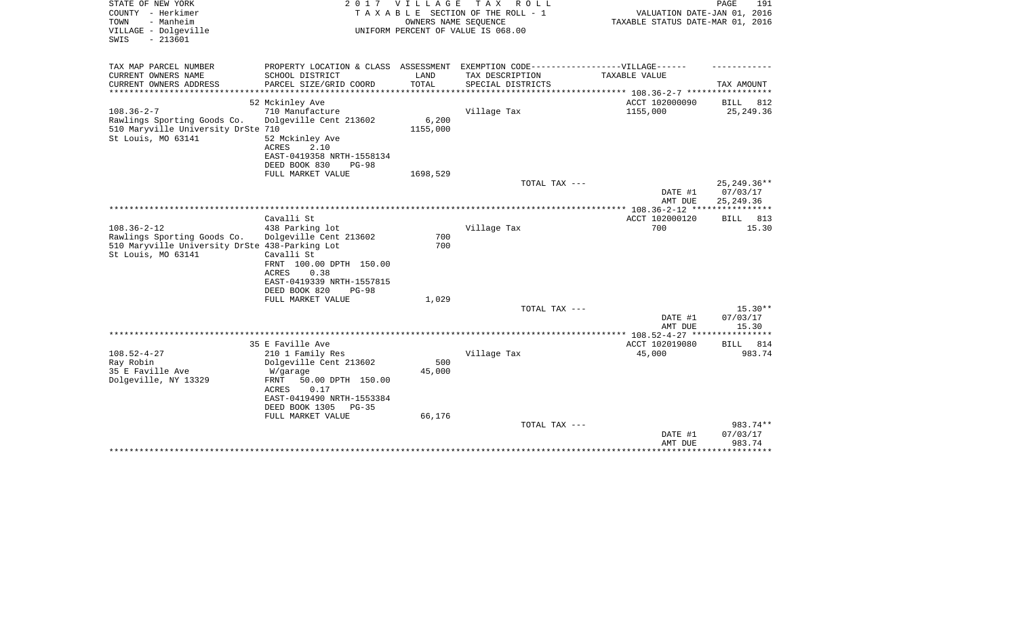| STATE OF NEW YORK<br>COUNTY - Herkimer<br>- Manheim<br>TOWN<br>VILLAGE - Dolgeville<br>$-213601$<br>SWIS |                                                        | 2017 VILLAGE<br>OWNERS NAME SEQUENCE | TAX ROLL<br>TAXABLE SECTION OF THE ROLL - 1<br>UNIFORM PERCENT OF VALUE IS 068.00 | VALUATION DATE-JAN 01, 2016<br>TAXABLE STATUS DATE-MAR 01, 2016                   | PAGE<br>191                 |
|----------------------------------------------------------------------------------------------------------|--------------------------------------------------------|--------------------------------------|-----------------------------------------------------------------------------------|-----------------------------------------------------------------------------------|-----------------------------|
| TAX MAP PARCEL NUMBER                                                                                    |                                                        |                                      | PROPERTY LOCATION & CLASS ASSESSMENT EXEMPTION CODE-----------------VILLAGE------ |                                                                                   |                             |
| CURRENT OWNERS NAME<br>CURRENT OWNERS ADDRESS<br>*******************                                     | SCHOOL DISTRICT<br>PARCEL SIZE/GRID COORD              | LAND<br>TOTAL                        | TAX DESCRIPTION<br>SPECIAL DISTRICTS                                              | TAXABLE VALUE                                                                     | TAX AMOUNT                  |
|                                                                                                          | 52 Mckinley Ave                                        |                                      |                                                                                   | ********************************* 108.36-2-7 ******************<br>ACCT 102000090 | BILL<br>812                 |
| $108.36 - 2 - 7$                                                                                         | 710 Manufacture                                        |                                      | Village Tax                                                                       | 1155,000                                                                          | 25, 249.36                  |
| Rawlings Sporting Goods Co.                                                                              | Dolgeville Cent 213602                                 | 6,200                                |                                                                                   |                                                                                   |                             |
| 510 Maryville University DrSte 710                                                                       |                                                        | 1155,000                             |                                                                                   |                                                                                   |                             |
| St Louis, MO 63141                                                                                       | 52 Mckinley Ave<br>ACRES<br>2.10                       |                                      |                                                                                   |                                                                                   |                             |
|                                                                                                          | EAST-0419358 NRTH-1558134<br>DEED BOOK 830<br>$PG-98$  |                                      |                                                                                   |                                                                                   |                             |
|                                                                                                          | FULL MARKET VALUE                                      | 1698,529                             |                                                                                   |                                                                                   |                             |
|                                                                                                          |                                                        |                                      | TOTAL TAX ---                                                                     |                                                                                   | 25, 249. 36**               |
|                                                                                                          |                                                        |                                      |                                                                                   | DATE #1                                                                           | 07/03/17                    |
|                                                                                                          |                                                        |                                      |                                                                                   | AMT DUE                                                                           | 25, 249.36                  |
|                                                                                                          | Cavalli St                                             |                                      |                                                                                   | ACCT 102000120                                                                    |                             |
| $108.36 - 2 - 12$                                                                                        | 438 Parking lot                                        |                                      | Village Tax                                                                       | 700                                                                               | 813<br><b>BILL</b><br>15.30 |
| Rawlings Sporting Goods Co.                                                                              | Dolgeville Cent 213602                                 | 700                                  |                                                                                   |                                                                                   |                             |
| 510 Maryville University DrSte 438-Parking Lot                                                           |                                                        | 700                                  |                                                                                   |                                                                                   |                             |
| St Louis, MO 63141                                                                                       | Cavalli St                                             |                                      |                                                                                   |                                                                                   |                             |
|                                                                                                          | FRNT 100.00 DPTH 150.00                                |                                      |                                                                                   |                                                                                   |                             |
|                                                                                                          | 0.38<br>ACRES                                          |                                      |                                                                                   |                                                                                   |                             |
|                                                                                                          | EAST-0419339 NRTH-1557815                              |                                      |                                                                                   |                                                                                   |                             |
|                                                                                                          | DEED BOOK 820<br>$PG-98$                               |                                      |                                                                                   |                                                                                   |                             |
|                                                                                                          | FULL MARKET VALUE                                      | 1,029                                |                                                                                   |                                                                                   |                             |
|                                                                                                          |                                                        |                                      | TOTAL TAX ---                                                                     | DATE #1                                                                           | $15.30**$<br>07/03/17       |
|                                                                                                          |                                                        |                                      |                                                                                   | AMT DUE                                                                           | 15.30                       |
|                                                                                                          |                                                        |                                      |                                                                                   | *************** 108.52-4-27 ****                                                  | * * * * * * * *             |
|                                                                                                          | 35 E Faville Ave                                       |                                      |                                                                                   | ACCT 102019080                                                                    | <b>BILL</b><br>814          |
| $108.52 - 4 - 27$                                                                                        | 210 1 Family Res                                       |                                      | Village Tax                                                                       | 45,000                                                                            | 983.74                      |
| Ray Robin                                                                                                | Dolgeville Cent 213602                                 | 500                                  |                                                                                   |                                                                                   |                             |
| 35 E Faville Ave                                                                                         | W/garage                                               | 45,000                               |                                                                                   |                                                                                   |                             |
| Dolgeville, NY 13329                                                                                     | FRNT<br>50.00 DPTH 150.00                              |                                      |                                                                                   |                                                                                   |                             |
|                                                                                                          | ACRES<br>0.17                                          |                                      |                                                                                   |                                                                                   |                             |
|                                                                                                          | EAST-0419490 NRTH-1553384<br>DEED BOOK 1305<br>$PG-35$ |                                      |                                                                                   |                                                                                   |                             |
|                                                                                                          | FULL MARKET VALUE                                      | 66,176                               |                                                                                   |                                                                                   |                             |
|                                                                                                          |                                                        |                                      | TOTAL TAX ---                                                                     |                                                                                   | 983.74**                    |
|                                                                                                          |                                                        |                                      |                                                                                   | DATE #1                                                                           | 07/03/17                    |
|                                                                                                          |                                                        |                                      |                                                                                   | AMT DUE                                                                           | 983.74                      |
|                                                                                                          |                                                        |                                      |                                                                                   |                                                                                   |                             |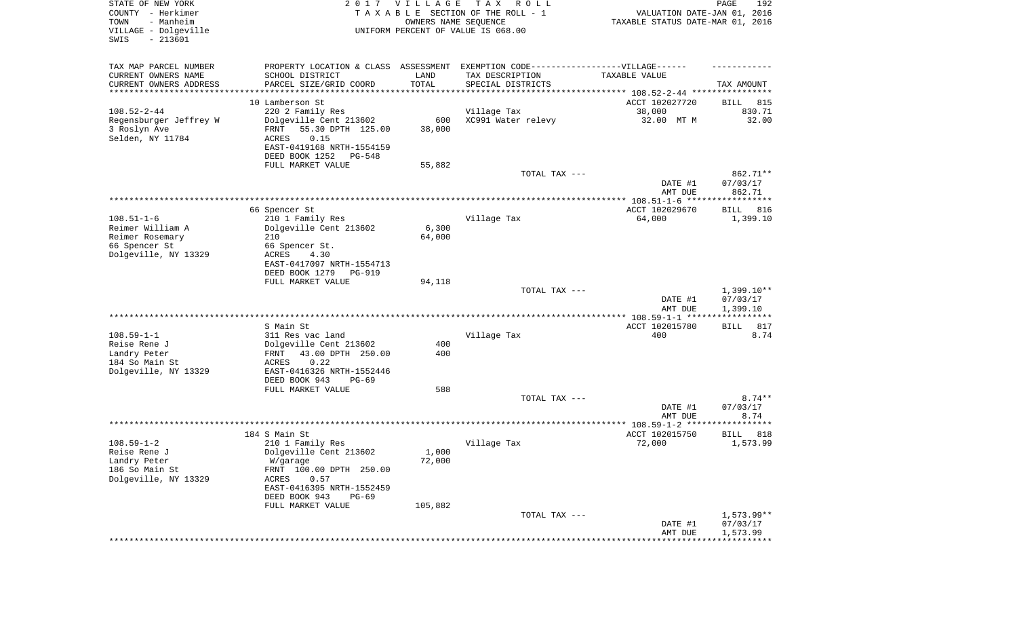| STATE OF NEW YORK<br>COUNTY - Herkimer<br>- Manheim<br>TOWN<br>VILLAGE - Dolgeville<br>SWIS<br>$-213601$ |                                                                                   | 2017 VILLAGE<br>OWNERS NAME SEQUENCE | T A X<br>R O L L<br>TAXABLE SECTION OF THE ROLL - 1<br>UNIFORM PERCENT OF VALUE IS 068.00 | VALUATION DATE-JAN 01, 2016<br>TAXABLE STATUS DATE-MAR 01, 2016 | PAGE<br>192              |
|----------------------------------------------------------------------------------------------------------|-----------------------------------------------------------------------------------|--------------------------------------|-------------------------------------------------------------------------------------------|-----------------------------------------------------------------|--------------------------|
| TAX MAP PARCEL NUMBER                                                                                    | PROPERTY LOCATION & CLASS ASSESSMENT EXEMPTION CODE-----------------VILLAGE------ |                                      |                                                                                           |                                                                 |                          |
| CURRENT OWNERS NAME                                                                                      | SCHOOL DISTRICT                                                                   | LAND                                 | TAX DESCRIPTION                                                                           | TAXABLE VALUE                                                   |                          |
| CURRENT OWNERS ADDRESS<br>********************                                                           | PARCEL SIZE/GRID COORD<br>*****************                                       | TOTAL<br>* * * * * * * * * * *       | SPECIAL DISTRICTS<br>************************************** 108.52-2-44 ***************** |                                                                 | TAX AMOUNT               |
|                                                                                                          | 10 Lamberson St                                                                   |                                      |                                                                                           | ACCT 102027720                                                  | 815<br>BILL              |
| $108.52 - 2 - 44$                                                                                        | 220 2 Family Res                                                                  |                                      | Village Tax                                                                               | 38,000                                                          | 830.71                   |
| Regensburger Jeffrey W                                                                                   | Dolgeville Cent 213602                                                            | 600                                  | XC991 Water relevy                                                                        | 32.00 MT M                                                      | 32.00                    |
| 3 Roslyn Ave                                                                                             | 55.30 DPTH 125.00<br>FRNT                                                         | 38,000                               |                                                                                           |                                                                 |                          |
| Selden, NY 11784                                                                                         | ACRES<br>0.15                                                                     |                                      |                                                                                           |                                                                 |                          |
|                                                                                                          | EAST-0419168 NRTH-1554159<br>DEED BOOK 1252<br>PG-548                             |                                      |                                                                                           |                                                                 |                          |
|                                                                                                          | FULL MARKET VALUE                                                                 | 55,882                               |                                                                                           |                                                                 |                          |
|                                                                                                          |                                                                                   |                                      | TOTAL TAX ---                                                                             |                                                                 | 862.71**                 |
|                                                                                                          |                                                                                   |                                      |                                                                                           | DATE #1                                                         | 07/03/17                 |
|                                                                                                          |                                                                                   |                                      |                                                                                           | AMT DUE                                                         | 862.71                   |
|                                                                                                          | 66 Spencer St                                                                     |                                      |                                                                                           | ACCT 102029670                                                  | 816<br>BILL              |
| $108.51 - 1 - 6$                                                                                         | 210 1 Family Res                                                                  |                                      | Village Tax                                                                               | 64,000                                                          | 1,399.10                 |
| Reimer William A                                                                                         | Dolgeville Cent 213602                                                            | 6,300                                |                                                                                           |                                                                 |                          |
| Reimer Rosemary                                                                                          | 210                                                                               | 64,000                               |                                                                                           |                                                                 |                          |
| 66 Spencer St<br>Dolgeville, NY 13329                                                                    | 66 Spencer St.<br>ACRES<br>4.30                                                   |                                      |                                                                                           |                                                                 |                          |
|                                                                                                          | EAST-0417097 NRTH-1554713                                                         |                                      |                                                                                           |                                                                 |                          |
|                                                                                                          | DEED BOOK 1279<br>PG-919                                                          |                                      |                                                                                           |                                                                 |                          |
|                                                                                                          | FULL MARKET VALUE                                                                 | 94,118                               |                                                                                           |                                                                 |                          |
|                                                                                                          |                                                                                   |                                      | TOTAL TAX ---                                                                             |                                                                 | $1,399.10**$<br>07/03/17 |
|                                                                                                          |                                                                                   |                                      |                                                                                           | DATE #1<br>AMT DUE                                              | 1,399.10                 |
|                                                                                                          |                                                                                   |                                      |                                                                                           | ************** 108.59-1-1 *****                                 | * * * * * * * * * * * *  |
|                                                                                                          | S Main St                                                                         |                                      |                                                                                           | ACCT 102015780                                                  | 817<br>BILL              |
| $108.59 - 1 - 1$                                                                                         | 311 Res vac land                                                                  |                                      | Village Tax                                                                               | 400                                                             | 8.74                     |
| Reise Rene J<br>Landry Peter                                                                             | Dolgeville Cent 213602<br>43.00 DPTH 250.00<br>FRNT                               | 400<br>400                           |                                                                                           |                                                                 |                          |
| 184 So Main St                                                                                           | 0.22<br>ACRES                                                                     |                                      |                                                                                           |                                                                 |                          |
| Dolgeville, NY 13329                                                                                     | EAST-0416326 NRTH-1552446                                                         |                                      |                                                                                           |                                                                 |                          |
|                                                                                                          | DEED BOOK 943<br>PG-69                                                            |                                      |                                                                                           |                                                                 |                          |
|                                                                                                          | FULL MARKET VALUE                                                                 | 588                                  |                                                                                           |                                                                 |                          |
|                                                                                                          |                                                                                   |                                      | TOTAL TAX ---                                                                             | DATE #1                                                         | $8.74**$<br>07/03/17     |
|                                                                                                          |                                                                                   |                                      |                                                                                           | AMT DUE                                                         | 8.74                     |
|                                                                                                          |                                                                                   |                                      |                                                                                           |                                                                 |                          |
|                                                                                                          | 184 S Main St                                                                     |                                      |                                                                                           | ACCT 102015750                                                  | 818<br>BILL              |
| $108.59 - 1 - 2$                                                                                         | 210 1 Family Res                                                                  |                                      | Village Tax                                                                               | 72,000                                                          | 1,573.99                 |
| Reise Rene J<br>Landry Peter                                                                             | Dolgeville Cent 213602<br>W/garage                                                | 1,000<br>72,000                      |                                                                                           |                                                                 |                          |
| 186 So Main St                                                                                           | FRNT 100.00 DPTH 250.00                                                           |                                      |                                                                                           |                                                                 |                          |
| Dolgeville, NY 13329                                                                                     | ACRES<br>0.57                                                                     |                                      |                                                                                           |                                                                 |                          |
|                                                                                                          | EAST-0416395 NRTH-1552459                                                         |                                      |                                                                                           |                                                                 |                          |
|                                                                                                          | DEED BOOK 943<br>PG-69<br>FULL MARKET VALUE                                       |                                      |                                                                                           |                                                                 |                          |
|                                                                                                          |                                                                                   | 105,882                              | TOTAL TAX ---                                                                             |                                                                 | $1,573.99**$             |
|                                                                                                          |                                                                                   |                                      |                                                                                           | DATE #1                                                         | 07/03/17                 |
|                                                                                                          |                                                                                   |                                      |                                                                                           | AMT DUE                                                         | 1,573.99                 |
|                                                                                                          |                                                                                   |                                      |                                                                                           |                                                                 |                          |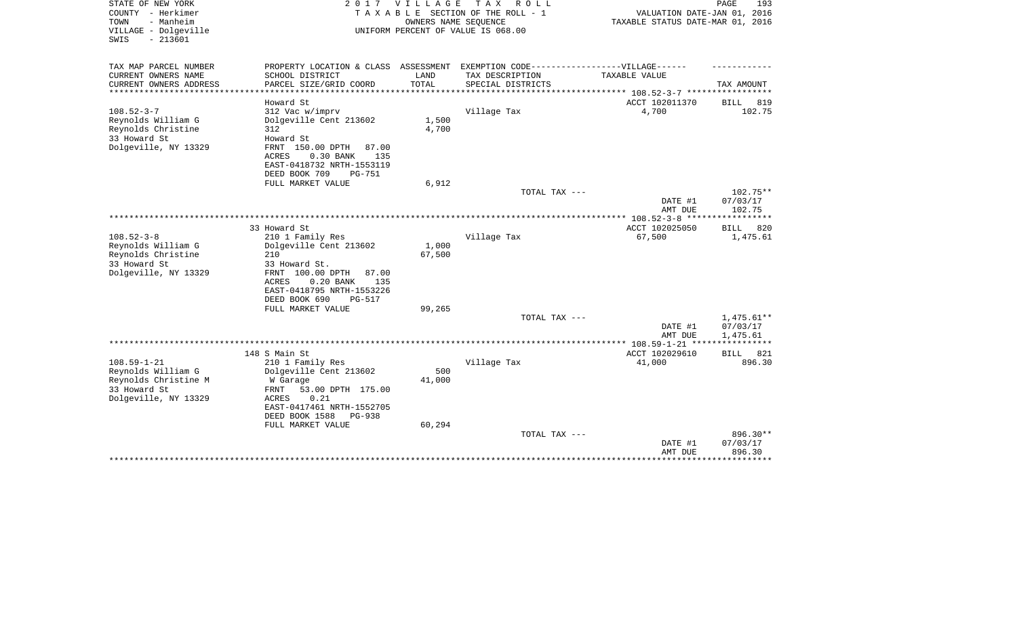| STATE OF NEW YORK<br>COUNTY - Herkimer<br>- Manheim<br>TOWN<br>VILLAGE - Dolgeville<br>$-213601$<br>SWIS | 2 0 1 7                                                       | VILLAGE<br>OWNERS NAME SEQUENCE | T A X<br>R O L L<br>TAXABLE SECTION OF THE ROLL - 1<br>UNIFORM PERCENT OF VALUE IS 068.00 | VALUATION DATE-JAN 01, 2016<br>TAXABLE STATUS DATE-MAR 01, 2016 | PAGE<br>193             |
|----------------------------------------------------------------------------------------------------------|---------------------------------------------------------------|---------------------------------|-------------------------------------------------------------------------------------------|-----------------------------------------------------------------|-------------------------|
| TAX MAP PARCEL NUMBER                                                                                    | PROPERTY LOCATION & CLASS                                     |                                 | ASSESSMENT EXEMPTION CODE------------------VILLAGE------                                  |                                                                 |                         |
| CURRENT OWNERS NAME<br>CURRENT OWNERS ADDRESS                                                            | SCHOOL DISTRICT<br>PARCEL SIZE/GRID COORD                     | LAND<br>TOTAL                   | TAX DESCRIPTION<br>SPECIAL DISTRICTS                                                      | TAXABLE VALUE                                                   | TAX AMOUNT              |
| *************                                                                                            | ******************                                            |                                 |                                                                                           | ********* 108.52-3-7 *****                                      | ************            |
|                                                                                                          | Howard St                                                     |                                 |                                                                                           | ACCT 102011370                                                  | <b>BILL</b><br>819      |
| $108.52 - 3 - 7$                                                                                         | 312 Vac w/imprv                                               |                                 | Village Tax                                                                               | 4,700                                                           | 102.75                  |
| Reynolds William G                                                                                       | Dolgeville Cent 213602                                        | 1,500                           |                                                                                           |                                                                 |                         |
| Reynolds Christine                                                                                       | 312                                                           | 4,700                           |                                                                                           |                                                                 |                         |
| 33 Howard St<br>Dolgeville, NY 13329                                                                     | Howard St<br>FRNT<br>150.00 DPTH<br>87.00                     |                                 |                                                                                           |                                                                 |                         |
|                                                                                                          | <b>ACRES</b><br>0.30 BANK<br>135                              |                                 |                                                                                           |                                                                 |                         |
|                                                                                                          | EAST-0418732 NRTH-1553119                                     |                                 |                                                                                           |                                                                 |                         |
|                                                                                                          | DEED BOOK 709<br><b>PG-751</b>                                |                                 |                                                                                           |                                                                 |                         |
|                                                                                                          | FULL MARKET VALUE                                             | 6,912                           |                                                                                           |                                                                 |                         |
|                                                                                                          |                                                               |                                 | TOTAL TAX ---                                                                             |                                                                 | 102.75**                |
|                                                                                                          |                                                               |                                 |                                                                                           | DATE #1                                                         | 07/03/17                |
|                                                                                                          |                                                               |                                 |                                                                                           | AMT DUE<br>**** $108.52 - 3 - 8$ ***                            | 102.75<br>*********     |
|                                                                                                          | 33 Howard St                                                  |                                 |                                                                                           | ACCT 102025050                                                  | <b>BILL</b><br>820      |
| $108.52 - 3 - 8$                                                                                         | 210 1 Family Res                                              |                                 | Village Tax                                                                               | 67,500                                                          | 1,475.61                |
| Reynolds William G                                                                                       | Dolgeville Cent 213602                                        | 1,000                           |                                                                                           |                                                                 |                         |
| Reynolds Christine                                                                                       | 210                                                           | 67,500                          |                                                                                           |                                                                 |                         |
| 33 Howard St                                                                                             | 33 Howard St.                                                 |                                 |                                                                                           |                                                                 |                         |
| Dolgeville, NY 13329                                                                                     | FRNT 100.00 DPTH<br>87.00                                     |                                 |                                                                                           |                                                                 |                         |
|                                                                                                          | <b>ACRES</b><br>0.20 BANK<br>135<br>EAST-0418795 NRTH-1553226 |                                 |                                                                                           |                                                                 |                         |
|                                                                                                          | DEED BOOK 690<br>PG-517                                       |                                 |                                                                                           |                                                                 |                         |
|                                                                                                          | FULL MARKET VALUE                                             | 99,265                          |                                                                                           |                                                                 |                         |
|                                                                                                          |                                                               |                                 | TOTAL TAX ---                                                                             |                                                                 | 1,475.61**              |
|                                                                                                          |                                                               |                                 |                                                                                           | DATE #1                                                         | 07/03/17                |
|                                                                                                          |                                                               |                                 |                                                                                           | AMT DUE                                                         | 1,475.61<br>* * * * * * |
|                                                                                                          | 148 S Main St                                                 |                                 |                                                                                           | ACCT 102029610                                                  | 821<br>BILL             |
| $108.59 - 1 - 21$                                                                                        | 210 1 Family Res                                              |                                 | Village Tax                                                                               | 41,000                                                          | 896.30                  |
| Reynolds William G                                                                                       | Dolgeville Cent 213602                                        | 500                             |                                                                                           |                                                                 |                         |
| Reynolds Christine M                                                                                     | W Garage                                                      | 41,000                          |                                                                                           |                                                                 |                         |
| 33 Howard St                                                                                             | FRNT<br>53.00 DPTH 175.00                                     |                                 |                                                                                           |                                                                 |                         |
| Dolgeville, NY 13329                                                                                     | 0.21<br>ACRES                                                 |                                 |                                                                                           |                                                                 |                         |
|                                                                                                          | EAST-0417461 NRTH-1552705                                     |                                 |                                                                                           |                                                                 |                         |
|                                                                                                          | DEED BOOK 1588<br><b>PG-938</b><br>FULL MARKET VALUE          | 60,294                          |                                                                                           |                                                                 |                         |
|                                                                                                          |                                                               |                                 | TOTAL TAX ---                                                                             |                                                                 | 896.30**                |
|                                                                                                          |                                                               |                                 |                                                                                           | DATE #1                                                         | 07/03/17                |
|                                                                                                          |                                                               |                                 |                                                                                           | AMT DUE                                                         | 896.30                  |
|                                                                                                          |                                                               |                                 |                                                                                           |                                                                 | ********                |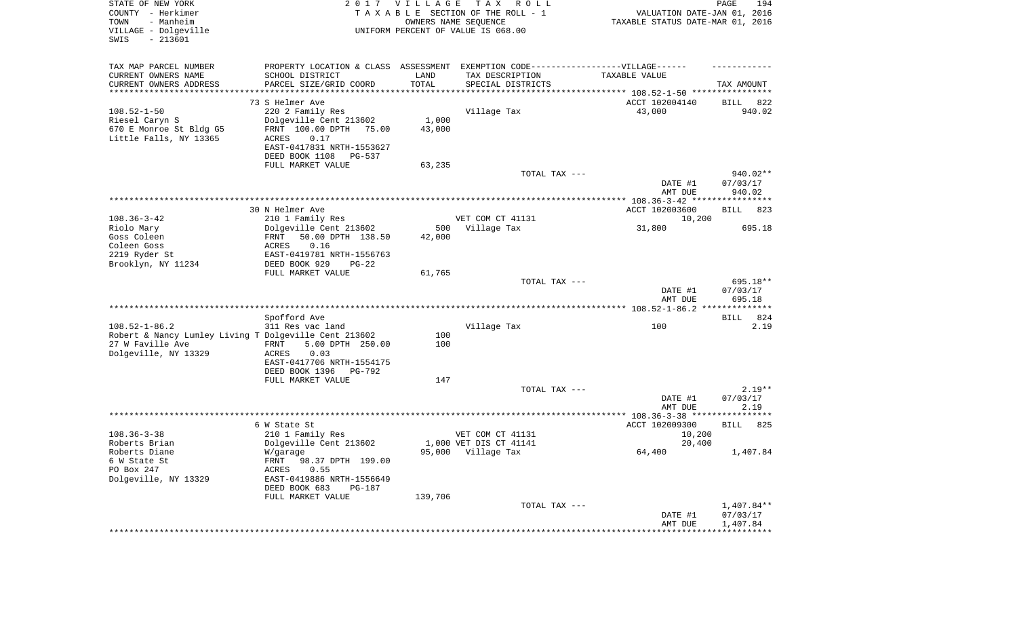| STATE OF NEW YORK<br>COUNTY - Herkimer<br>- Manheim<br>TOWN<br>VILLAGE - Dolgeville<br>SWIS<br>$-213601$ |                                                       | 2017 VILLAGE | T A X<br>R O L L<br>TAXABLE SECTION OF THE ROLL - 1<br>OWNERS NAME SEQUENCE<br>UNIFORM PERCENT OF VALUE IS 068.00 | VALUATION DATE-JAN 01, 2016<br>TAXABLE STATUS DATE-MAR 01, 2016 | PAGE<br>194                    |
|----------------------------------------------------------------------------------------------------------|-------------------------------------------------------|--------------|-------------------------------------------------------------------------------------------------------------------|-----------------------------------------------------------------|--------------------------------|
| TAX MAP PARCEL NUMBER                                                                                    |                                                       |              | PROPERTY LOCATION & CLASS ASSESSMENT EXEMPTION CODE----------------VILLAGE------                                  |                                                                 |                                |
| CURRENT OWNERS NAME                                                                                      | SCHOOL DISTRICT                                       | LAND         | TAX DESCRIPTION                                                                                                   | TAXABLE VALUE                                                   |                                |
| CURRENT OWNERS ADDRESS<br>**********************                                                         | PARCEL SIZE/GRID COORD                                | TOTAL        | SPECIAL DISTRICTS                                                                                                 |                                                                 | TAX AMOUNT                     |
|                                                                                                          | 73 S Helmer Ave                                       |              |                                                                                                                   | ACCT 102004140                                                  | BILL<br>822                    |
| $108.52 - 1 - 50$                                                                                        | 220 2 Family Res                                      |              | Village Tax                                                                                                       | 43,000                                                          | 940.02                         |
| Riesel Caryn S                                                                                           | Dolgeville Cent 213602                                | 1,000        |                                                                                                                   |                                                                 |                                |
| 670 E Monroe St Bldg G5                                                                                  | FRNT 100.00 DPTH 75.00                                | 43,000       |                                                                                                                   |                                                                 |                                |
| Little Falls, NY 13365                                                                                   | ACRES<br>0.17                                         |              |                                                                                                                   |                                                                 |                                |
|                                                                                                          | EAST-0417831 NRTH-1553627<br>DEED BOOK 1108<br>PG-537 |              |                                                                                                                   |                                                                 |                                |
|                                                                                                          | FULL MARKET VALUE                                     | 63,235       |                                                                                                                   |                                                                 |                                |
|                                                                                                          |                                                       |              | TOTAL TAX ---                                                                                                     |                                                                 | 940.02**                       |
|                                                                                                          |                                                       |              |                                                                                                                   | DATE #1                                                         | 07/03/17                       |
|                                                                                                          |                                                       |              |                                                                                                                   | AMT DUE                                                         | 940.02                         |
|                                                                                                          | 30 N Helmer Ave                                       |              |                                                                                                                   | ACCT 102003600                                                  | <b>BILL</b><br>823             |
| $108.36 - 3 - 42$                                                                                        | 210 1 Family Res                                      |              | VET COM CT 41131                                                                                                  | 10,200                                                          |                                |
| Riolo Mary                                                                                               | Dolgeville Cent 213602                                | 500          | Village Tax                                                                                                       | 31,800                                                          | 695.18                         |
| Goss Coleen                                                                                              | 50.00 DPTH 138.50<br>FRNT                             | 42,000       |                                                                                                                   |                                                                 |                                |
| Coleen Goss<br>2219 Ryder St                                                                             | 0.16<br>ACRES<br>EAST-0419781 NRTH-1556763            |              |                                                                                                                   |                                                                 |                                |
| Brooklyn, NY 11234                                                                                       | DEED BOOK 929<br>$PG-22$                              |              |                                                                                                                   |                                                                 |                                |
|                                                                                                          | FULL MARKET VALUE                                     | 61,765       |                                                                                                                   |                                                                 |                                |
|                                                                                                          |                                                       |              | TOTAL TAX ---                                                                                                     | DATE #1<br>AMT DUE                                              | 695.18**<br>07/03/17<br>695.18 |
|                                                                                                          |                                                       |              |                                                                                                                   |                                                                 |                                |
|                                                                                                          | Spofford Ave                                          |              |                                                                                                                   |                                                                 | BILL<br>824                    |
| $108.52 - 1 - 86.2$                                                                                      | 311 Res vac land                                      |              | Village Tax                                                                                                       | 100                                                             | 2.19                           |
| Robert & Nancy Lumley Living T Dolgeville Cent 213602<br>27 W Faville Ave                                | 5.00 DPTH 250.00<br>FRNT                              | 100<br>100   |                                                                                                                   |                                                                 |                                |
| Dolgeville, NY 13329                                                                                     | ACRES<br>0.03                                         |              |                                                                                                                   |                                                                 |                                |
|                                                                                                          | EAST-0417706 NRTH-1554175                             |              |                                                                                                                   |                                                                 |                                |
|                                                                                                          | DEED BOOK 1396<br>PG-792                              |              |                                                                                                                   |                                                                 |                                |
|                                                                                                          | FULL MARKET VALUE                                     | 147          | TOTAL TAX ---                                                                                                     |                                                                 | $2.19**$                       |
|                                                                                                          |                                                       |              |                                                                                                                   | DATE #1                                                         | 07/03/17                       |
|                                                                                                          |                                                       |              |                                                                                                                   | AMT DUE                                                         | 2.19                           |
|                                                                                                          |                                                       |              |                                                                                                                   |                                                                 |                                |
|                                                                                                          | 6 W State St                                          |              |                                                                                                                   | ACCT 102009300                                                  | 825<br>BILL                    |
| $108.36 - 3 - 38$<br>Roberts Brian                                                                       | 210 1 Family Res<br>Dolgeville Cent 213602            |              | VET COM CT 41131<br>1,000 VET DIS CT 41141                                                                        | 10,200<br>20,400                                                |                                |
| Roberts Diane                                                                                            | W/garage                                              |              | 95,000 Village Tax                                                                                                | 64,400                                                          | 1,407.84                       |
| 6 W State St                                                                                             | FRNT 98.37 DPTH 199.00                                |              |                                                                                                                   |                                                                 |                                |
| PO Box 247                                                                                               | 0.55<br>ACRES                                         |              |                                                                                                                   |                                                                 |                                |
| Dolgeville, NY 13329                                                                                     | EAST-0419886 NRTH-1556649<br>DEED BOOK 683<br>PG-187  |              |                                                                                                                   |                                                                 |                                |
|                                                                                                          | FULL MARKET VALUE                                     | 139,706      |                                                                                                                   |                                                                 |                                |
|                                                                                                          |                                                       |              | TOTAL TAX ---                                                                                                     | DATE #1                                                         | 1,407.84**<br>07/03/17         |
|                                                                                                          |                                                       |              |                                                                                                                   | AMT DUE                                                         | 1,407.84                       |
|                                                                                                          |                                                       |              |                                                                                                                   | **********************************                              |                                |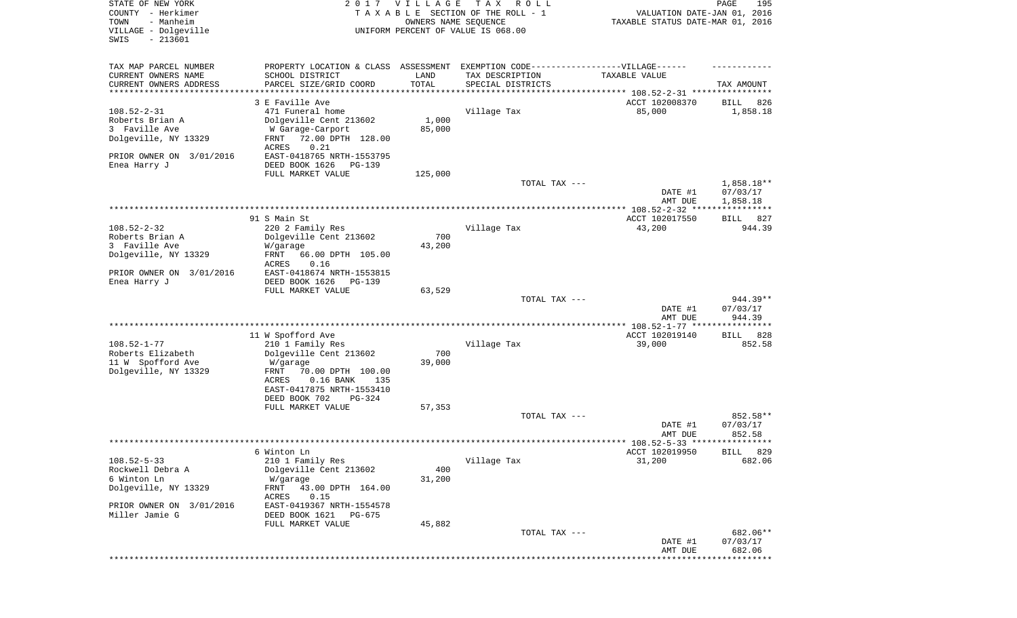| TAX MAP PARCEL NUMBER<br>EXEMPTION CODE------------------VILLAGE------<br>PROPERTY LOCATION & CLASS ASSESSMENT<br>CURRENT OWNERS NAME<br>SCHOOL DISTRICT<br>LAND<br>TAX DESCRIPTION<br>TAXABLE VALUE                                                                                                                                                                                                    |     |
|---------------------------------------------------------------------------------------------------------------------------------------------------------------------------------------------------------------------------------------------------------------------------------------------------------------------------------------------------------------------------------------------------------|-----|
| CURRENT OWNERS ADDRESS<br>PARCEL SIZE/GRID COORD<br>TOTAL<br>SPECIAL DISTRICTS<br>TAX AMOUNT<br>*********************<br>* * * * * * * * * * *                                                                                                                                                                                                                                                          |     |
| 3 E Faville Ave<br>ACCT 102008370<br>BILL<br>$108.52 - 2 - 31$<br>471 Funeral home<br>Village Tax<br>85,000<br>1,858.18<br>Roberts Brian A<br>Dolgeville Cent 213602<br>1,000<br>3 Faville Ave<br>85,000<br>W Garage-Carport<br>Dolgeville, NY 13329<br>72.00 DPTH 128.00<br>FRNT<br>0.21<br>ACRES<br>PRIOR OWNER ON 3/01/2016<br>EAST-0418765 NRTH-1553795<br>Enea Harry J<br>DEED BOOK 1626<br>PG-139 | 826 |
| FULL MARKET VALUE<br>125,000<br>1,858.18**<br>TOTAL TAX ---<br>07/03/17<br>DATE #1<br>AMT DUE<br>1,858.18                                                                                                                                                                                                                                                                                               |     |
| ***********<br>91 S Main St<br>ACCT 102017550<br>BILL 827<br>$108.52 - 2 - 32$<br>220 2 Family Res<br>Village Tax<br>43,200<br>944.39                                                                                                                                                                                                                                                                   |     |
| 700<br>Roberts Brian A<br>Dolgeville Cent 213602<br>3 Faville Ave<br>43,200<br>W/garage<br>Dolgeville, NY 13329<br>FRNT<br>66.00 DPTH 105.00<br><b>ACRES</b><br>0.16<br>PRIOR OWNER ON 3/01/2016<br>EAST-0418674 NRTH-1553815<br>Enea Harry J<br>DEED BOOK 1626<br>PG-139                                                                                                                               |     |
| FULL MARKET VALUE<br>63,529<br>TOTAL TAX ---<br>944.39**<br>DATE #1<br>07/03/17<br>944.39<br>AMT DUE                                                                                                                                                                                                                                                                                                    |     |
|                                                                                                                                                                                                                                                                                                                                                                                                         |     |
| 11 W Spofford Ave<br>ACCT 102019140<br>828<br>BILL<br>$108.52 - 1 - 77$<br>Village Tax<br>210 1 Family Res<br>39,000<br>852.58<br>Roberts Elizabeth<br>700<br>Dolgeville Cent 213602<br>11 W Spofford Ave<br>39,000<br>W/garage<br>Dolgeville, NY 13329<br>FRNT<br>70.00 DPTH 100.00<br>$0.16$ BANK<br>ACRES<br>135<br>EAST-0417875 NRTH-1553410<br>DEED BOOK 702<br>PG-324                             |     |
| FULL MARKET VALUE<br>57,353<br>TOTAL TAX ---<br>852.58**<br>07/03/17<br>DATE #1<br>852.58<br>AMT DUE                                                                                                                                                                                                                                                                                                    |     |
|                                                                                                                                                                                                                                                                                                                                                                                                         |     |
| ACCT 102019950<br>BILL 829<br>6 Winton Ln<br>$108.52 - 5 - 33$<br>210 1 Family Res<br>Village Tax<br>31,200<br>682.06<br>Rockwell Debra A<br>Dolgeville Cent 213602<br>400<br>6 Winton Ln<br>31,200<br>W/garage<br>Dolgeville, NY 13329<br>43.00 DPTH 164.00<br>FRNT<br>ACRES<br>0.15<br>PRIOR OWNER ON 3/01/2016<br>EAST-0419367 NRTH-1554578                                                          |     |
| Miller Jamie G<br>DEED BOOK 1621<br>PG-675<br>45,882<br>FULL MARKET VALUE<br>682.06**<br>TOTAL TAX ---                                                                                                                                                                                                                                                                                                  |     |
| DATE #1<br>07/03/17<br>AMT DUE<br>682.06<br>*********************************                                                                                                                                                                                                                                                                                                                           |     |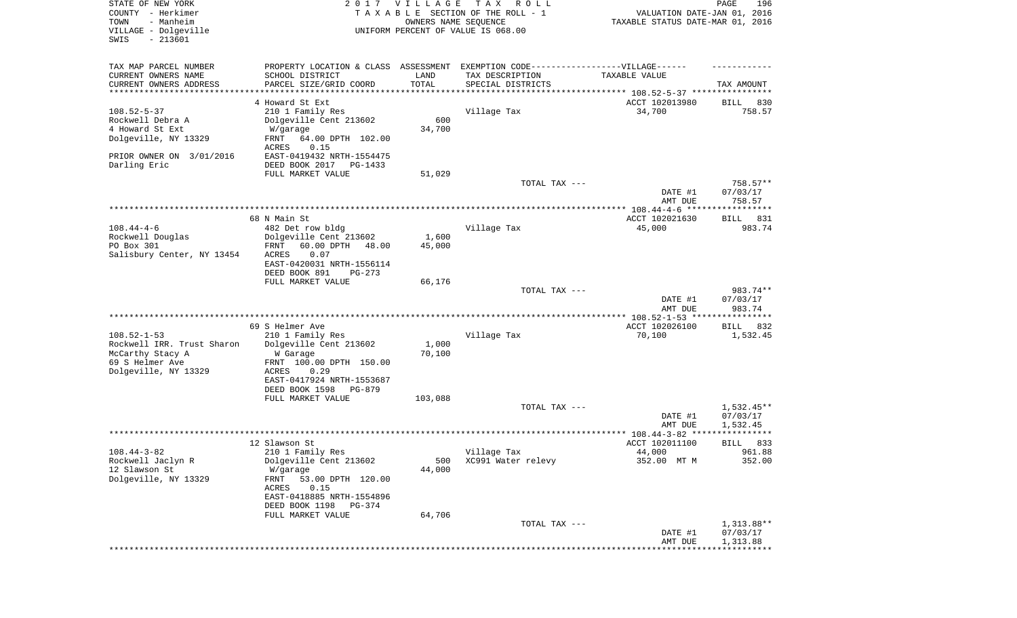| STATE OF NEW YORK<br>COUNTY - Herkimer<br>- Manheim<br>TOWN<br>VILLAGE - Dolgeville<br>SWIS<br>$-213601$                     |                                                                                                                                                                                                        | 2017 VILLAGE<br>OWNERS NAME SEQUENCE | TAX ROLL<br>TAXABLE SECTION OF THE ROLL - 1<br>UNIFORM PERCENT OF VALUE IS 068.00 | VALUATION DATE-JAN 01, 2016<br>TAXABLE STATUS DATE-MAR 01, 2016 | PAGE<br>196                        |
|------------------------------------------------------------------------------------------------------------------------------|--------------------------------------------------------------------------------------------------------------------------------------------------------------------------------------------------------|--------------------------------------|-----------------------------------------------------------------------------------|-----------------------------------------------------------------|------------------------------------|
| TAX MAP PARCEL NUMBER<br>CURRENT OWNERS NAME<br>CURRENT OWNERS ADDRESS<br>********************                               | PROPERTY LOCATION & CLASS ASSESSMENT EXEMPTION CODE----------------VILLAGE------<br>SCHOOL DISTRICT<br>PARCEL SIZE/GRID COORD                                                                          | LAND<br>TOTAL<br>**********          | TAX DESCRIPTION<br>SPECIAL DISTRICTS                                              | TAXABLE VALUE                                                   | TAX AMOUNT                         |
| $108.52 - 5 - 37$<br>Rockwell Debra A<br>4 Howard St Ext<br>Dolgeville, NY 13329<br>PRIOR OWNER ON 3/01/2016<br>Darling Eric | 4 Howard St Ext<br>210 1 Family Res<br>Dolgeville Cent 213602<br>W/garage<br>FRNT<br>64.00 DPTH 102.00<br>0.15<br>ACRES<br>EAST-0419432 NRTH-1554475<br>DEED BOOK 2017<br>PG-1433<br>FULL MARKET VALUE | 600<br>34,700<br>51,029              | Village Tax                                                                       | ACCT 102013980<br>34,700                                        | 830<br>BILL<br>758.57              |
|                                                                                                                              |                                                                                                                                                                                                        |                                      | TOTAL TAX ---                                                                     | DATE #1                                                         | $758.57**$<br>07/03/17             |
|                                                                                                                              |                                                                                                                                                                                                        |                                      |                                                                                   | AMT DUE                                                         | 758.57                             |
|                                                                                                                              | 68 N Main St                                                                                                                                                                                           |                                      |                                                                                   | ACCT 102021630                                                  | BILL 831                           |
| $108.44 - 4 - 6$<br>Rockwell Douglas<br>PO Box 301<br>Salisbury Center, NY 13454                                             | 482 Det row bldg<br>Dolgeville Cent 213602<br>FRNT<br>60.00 DPTH<br>48.00<br>ACRES<br>0.07<br>EAST-0420031 NRTH-1556114<br>DEED BOOK 891<br>$PG-273$                                                   | 1,600<br>45,000                      | Village Tax                                                                       | 45,000                                                          | 983.74                             |
|                                                                                                                              | FULL MARKET VALUE                                                                                                                                                                                      | 66,176                               | TOTAL TAX ---                                                                     | DATE #1<br>AMT DUE                                              | 983.74**<br>07/03/17<br>983.74     |
|                                                                                                                              |                                                                                                                                                                                                        |                                      |                                                                                   | ************ 108.52-1-53 ****************                       |                                    |
| $108.52 - 1 - 53$<br>Rockwell IRR. Trust Sharon<br>McCarthy Stacy A<br>69 S Helmer Ave<br>Dolgeville, NY 13329               | 69 S Helmer Ave<br>210 1 Family Res<br>Dolgeville Cent 213602<br>W Garage<br>FRNT 100.00 DPTH 150.00<br><b>ACRES</b><br>0.29<br>EAST-0417924 NRTH-1553687<br>DEED BOOK 1598<br>PG-879                  | 1,000<br>70,100                      | Village Tax                                                                       | ACCT 102026100<br>70,100                                        | <b>BILL</b><br>832<br>1,532.45     |
|                                                                                                                              | FULL MARKET VALUE                                                                                                                                                                                      | 103,088                              | TOTAL TAX ---                                                                     | DATE #1<br>AMT DUE                                              | $1,532.45**$<br>07/03/17           |
|                                                                                                                              |                                                                                                                                                                                                        |                                      |                                                                                   |                                                                 | 1,532.45<br>*****                  |
| $108.44 - 3 - 82$<br>Rockwell Jaclyn R<br>12 Slawson St<br>Dolgeville, NY 13329                                              | 12 Slawson St<br>210 1 Family Res<br>Dolgeville Cent 213602<br>W/garage<br>53.00 DPTH 120.00<br>FRNT<br>0.15<br>ACRES<br>EAST-0418885 NRTH-1554896<br>DEED BOOK 1198<br>PG-374<br>FULL MARKET VALUE    | 500<br>44,000<br>64,706              | Village Tax<br>XC991 Water relevy                                                 | ACCT 102011100<br>44,000<br>352.00 MT M                         | 833<br>BILL<br>961.88<br>352.00    |
|                                                                                                                              |                                                                                                                                                                                                        |                                      | TOTAL TAX ---                                                                     | DATE #1<br>AMT DUE                                              | 1,313.88**<br>07/03/17<br>1,313.88 |
|                                                                                                                              |                                                                                                                                                                                                        |                                      |                                                                                   |                                                                 |                                    |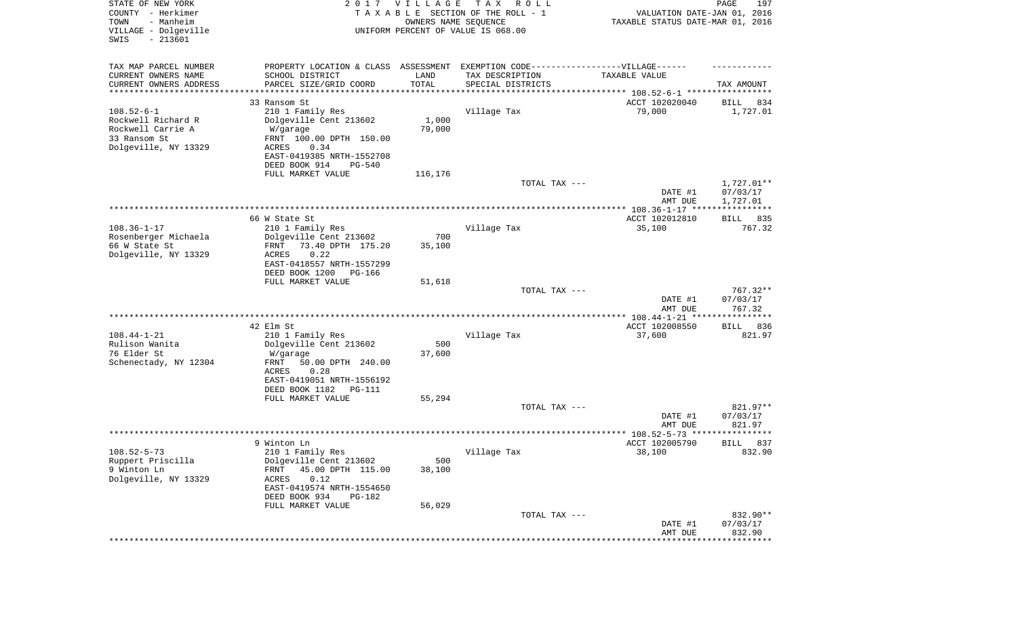| STATE OF NEW YORK<br>COUNTY - Herkimer<br>- Manheim<br>TOWN<br>VILLAGE - Dolgeville<br>SWIS<br>$-213601$ |                                                                                                      | 2017 VILLAGE<br>OWNERS NAME SEQUENCE | T A X<br>R O L L<br>TAXABLE SECTION OF THE ROLL - 1<br>UNIFORM PERCENT OF VALUE IS 068.00 | VALUATION DATE-JAN 01, 2016<br>TAXABLE STATUS DATE-MAR 01, 2016 | PAGE<br>197         |
|----------------------------------------------------------------------------------------------------------|------------------------------------------------------------------------------------------------------|--------------------------------------|-------------------------------------------------------------------------------------------|-----------------------------------------------------------------|---------------------|
| TAX MAP PARCEL NUMBER<br>CURRENT OWNERS NAME                                                             | PROPERTY LOCATION & CLASS ASSESSMENT EXEMPTION CODE-----------------VILLAGE------<br>SCHOOL DISTRICT | LAND                                 | TAX DESCRIPTION                                                                           | TAXABLE VALUE                                                   |                     |
| CURRENT OWNERS ADDRESS                                                                                   | PARCEL SIZE/GRID COORD                                                                               | TOTAL                                | SPECIAL DISTRICTS                                                                         |                                                                 | TAX AMOUNT          |
| ********************                                                                                     | *****************                                                                                    |                                      |                                                                                           | ********************************* 108.52-6-1 *************      |                     |
|                                                                                                          | 33 Ransom St                                                                                         |                                      |                                                                                           | ACCT 102020040                                                  | 834<br>BILL         |
| $108.52 - 6 - 1$                                                                                         | 210 1 Family Res                                                                                     |                                      | Village Tax                                                                               | 79,000                                                          | 1,727.01            |
| Rockwell Richard R                                                                                       | Dolgeville Cent 213602                                                                               | 1,000                                |                                                                                           |                                                                 |                     |
| Rockwell Carrie A                                                                                        | W/garage                                                                                             | 79,000                               |                                                                                           |                                                                 |                     |
| 33 Ransom St                                                                                             | FRNT 100.00 DPTH 150.00                                                                              |                                      |                                                                                           |                                                                 |                     |
| Dolgeville, NY 13329                                                                                     | 0.34<br>ACRES                                                                                        |                                      |                                                                                           |                                                                 |                     |
|                                                                                                          | EAST-0419385 NRTH-1552708                                                                            |                                      |                                                                                           |                                                                 |                     |
|                                                                                                          | DEED BOOK 914<br>PG-540                                                                              |                                      |                                                                                           |                                                                 |                     |
|                                                                                                          | FULL MARKET VALUE                                                                                    | 116,176                              |                                                                                           |                                                                 |                     |
|                                                                                                          |                                                                                                      |                                      | TOTAL TAX ---                                                                             |                                                                 | 1,727.01**          |
|                                                                                                          |                                                                                                      |                                      |                                                                                           | DATE #1                                                         | 07/03/17            |
|                                                                                                          |                                                                                                      |                                      |                                                                                           | AMT DUE                                                         | 1,727.01            |
|                                                                                                          | 66 W State St                                                                                        |                                      |                                                                                           | ACCT 102012810                                                  | BILL 835            |
| $108.36 - 1 - 17$                                                                                        | 210 1 Family Res                                                                                     |                                      |                                                                                           |                                                                 | 767.32              |
| Rosenberger Michaela                                                                                     | Dolgeville Cent 213602                                                                               | 700                                  | Village Tax                                                                               | 35,100                                                          |                     |
| 66 W State St                                                                                            | 73.40 DPTH 175.20<br>FRNT                                                                            | 35,100                               |                                                                                           |                                                                 |                     |
| Dolgeville, NY 13329                                                                                     | 0.22<br>ACRES                                                                                        |                                      |                                                                                           |                                                                 |                     |
|                                                                                                          | EAST-0418557 NRTH-1557299                                                                            |                                      |                                                                                           |                                                                 |                     |
|                                                                                                          | DEED BOOK 1200<br>PG-166                                                                             |                                      |                                                                                           |                                                                 |                     |
|                                                                                                          | FULL MARKET VALUE                                                                                    | 51,618                               |                                                                                           |                                                                 |                     |
|                                                                                                          |                                                                                                      |                                      | TOTAL TAX ---                                                                             |                                                                 | 767.32**            |
|                                                                                                          |                                                                                                      |                                      |                                                                                           | DATE #1                                                         | 07/03/17            |
|                                                                                                          |                                                                                                      |                                      |                                                                                           | AMT DUE                                                         | 767.32              |
|                                                                                                          |                                                                                                      |                                      |                                                                                           | ************* 108.44-1-21 *****************                     |                     |
|                                                                                                          | 42 Elm St                                                                                            |                                      |                                                                                           | ACCT 102008550                                                  | 836<br>BILL         |
| $108.44 - 1 - 21$                                                                                        | 210 1 Family Res                                                                                     |                                      | Village Tax                                                                               | 37,600                                                          | 821.97              |
| Rulison Wanita                                                                                           | Dolgeville Cent 213602                                                                               | 500                                  |                                                                                           |                                                                 |                     |
| 76 Elder St                                                                                              | W/garage                                                                                             | 37,600                               |                                                                                           |                                                                 |                     |
| Schenectady, NY 12304                                                                                    | FRNT<br>50.00 DPTH 240.00                                                                            |                                      |                                                                                           |                                                                 |                     |
|                                                                                                          | ACRES<br>0.28                                                                                        |                                      |                                                                                           |                                                                 |                     |
|                                                                                                          | EAST-0419051 NRTH-1556192                                                                            |                                      |                                                                                           |                                                                 |                     |
|                                                                                                          | DEED BOOK 1182<br>PG-111                                                                             |                                      |                                                                                           |                                                                 |                     |
|                                                                                                          | FULL MARKET VALUE                                                                                    | 55,294                               |                                                                                           |                                                                 |                     |
|                                                                                                          |                                                                                                      |                                      | TOTAL TAX ---                                                                             |                                                                 | 821.97**            |
|                                                                                                          |                                                                                                      |                                      |                                                                                           | DATE #1                                                         | 07/03/17            |
|                                                                                                          |                                                                                                      |                                      |                                                                                           | AMT DUE                                                         | 821.97              |
|                                                                                                          |                                                                                                      |                                      |                                                                                           | ******************* 108.52-5-73 ****                            | ************        |
|                                                                                                          | 9 Winton Ln                                                                                          |                                      |                                                                                           | ACCT 102005790                                                  | 837<br>BILL         |
| $108.52 - 5 - 73$                                                                                        | 210 1 Family Res                                                                                     |                                      | Village Tax                                                                               | 38,100                                                          | 832.90              |
| Ruppert Priscilla                                                                                        | Dolgeville Cent 213602                                                                               | 500                                  |                                                                                           |                                                                 |                     |
| 9 Winton Ln                                                                                              | 45.00 DPTH 115.00<br><b>FRNT</b>                                                                     | 38,100                               |                                                                                           |                                                                 |                     |
| Dolgeville, NY 13329                                                                                     | 0.12<br>ACRES                                                                                        |                                      |                                                                                           |                                                                 |                     |
|                                                                                                          | EAST-0419574 NRTH-1554650                                                                            |                                      |                                                                                           |                                                                 |                     |
|                                                                                                          | DEED BOOK 934<br>PG-182                                                                              |                                      |                                                                                           |                                                                 |                     |
|                                                                                                          | FULL MARKET VALUE                                                                                    | 56,029                               |                                                                                           |                                                                 |                     |
|                                                                                                          |                                                                                                      |                                      | TOTAL TAX ---                                                                             |                                                                 | 832.90**            |
|                                                                                                          |                                                                                                      |                                      |                                                                                           | DATE #1                                                         | 07/03/17            |
|                                                                                                          |                                                                                                      |                                      |                                                                                           | AMT DUE                                                         | 832.90              |
|                                                                                                          |                                                                                                      |                                      |                                                                                           |                                                                 | * * * * * * * * * * |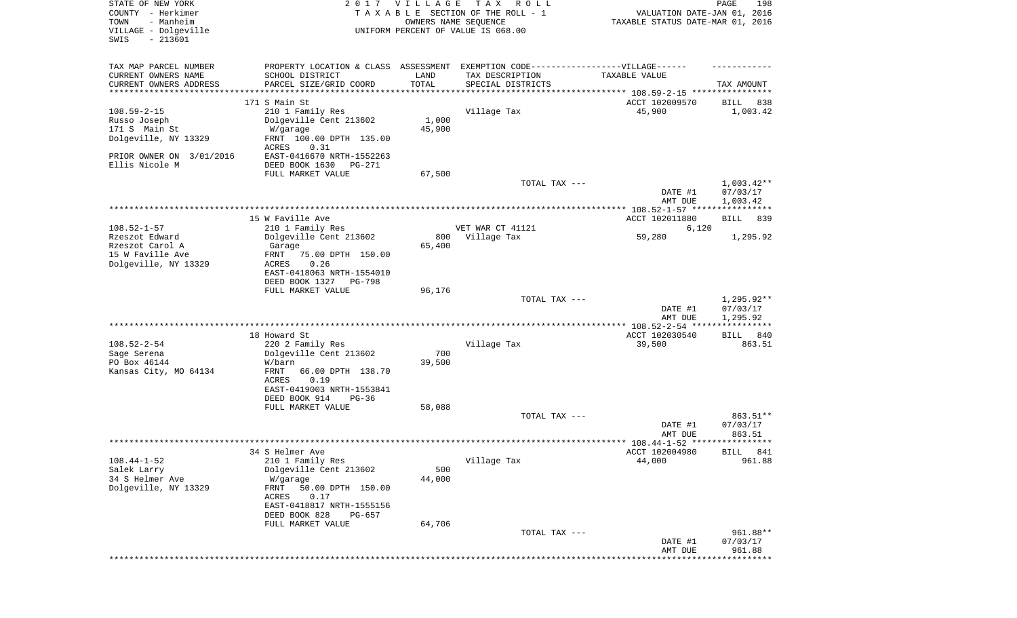| STATE OF NEW YORK<br>COUNTY - Herkimer<br>TOWN<br>- Manheim<br>VILLAGE - Dolgeville | 2017                                                                                                    | <b>VILLAGE</b><br>OWNERS NAME SEQUENCE | T A X<br>R O L L<br>TAXABLE SECTION OF THE ROLL - 1<br>UNIFORM PERCENT OF VALUE IS 068.00 | VALUATION DATE-JAN 01, 2016<br>TAXABLE STATUS DATE-MAR 01, 2016 | 198<br>PAGE                          |
|-------------------------------------------------------------------------------------|---------------------------------------------------------------------------------------------------------|----------------------------------------|-------------------------------------------------------------------------------------------|-----------------------------------------------------------------|--------------------------------------|
| $-213601$<br>SWIS                                                                   |                                                                                                         |                                        |                                                                                           |                                                                 |                                      |
| TAX MAP PARCEL NUMBER<br>CURRENT OWNERS NAME<br>CURRENT OWNERS ADDRESS              | PROPERTY LOCATION & CLASS ASSESSMENT<br>SCHOOL DISTRICT<br>PARCEL SIZE/GRID COORD<br>****************** | LAND<br>TOTAL                          | EXEMPTION CODE------------------VILLAGE------<br>TAX DESCRIPTION<br>SPECIAL DISTRICTS     | TAXABLE VALUE                                                   | TAX AMOUNT                           |
| **********************                                                              | 171 S Main St                                                                                           | * * * * * * * * * * *                  |                                                                                           | ACCT 102009570                                                  | BILL<br>838                          |
| $108.59 - 2 - 15$<br>Russo Joseph                                                   | 210 1 Family Res<br>Dolgeville Cent 213602                                                              | 1,000                                  | Village Tax                                                                               | 45,900                                                          | 1,003.42                             |
| 171 S Main St<br>Dolgeville, NY 13329                                               | W/garage<br>FRNT 100.00 DPTH 135.00<br>ACRES<br>0.31                                                    | 45,900                                 |                                                                                           |                                                                 |                                      |
| PRIOR OWNER ON 3/01/2016<br>Ellis Nicole M                                          | EAST-0416670 NRTH-1552263<br>DEED BOOK 1630<br>PG-271                                                   |                                        |                                                                                           |                                                                 |                                      |
|                                                                                     | FULL MARKET VALUE                                                                                       | 67,500                                 |                                                                                           |                                                                 |                                      |
|                                                                                     |                                                                                                         |                                        | TOTAL TAX ---                                                                             | DATE #1<br>AMT DUE                                              | $1,003.42**$<br>07/03/17<br>1,003.42 |
|                                                                                     |                                                                                                         |                                        |                                                                                           |                                                                 |                                      |
| $108.52 - 1 - 57$                                                                   | 15 W Faville Ave<br>210 1 Family Res                                                                    |                                        | VET WAR CT 41121                                                                          | ACCT 102011880<br>6,120                                         | BILL<br>839                          |
| Rzeszot Edward<br>Rzeszot Carol A                                                   | Dolgeville Cent 213602<br>Garage                                                                        | 800<br>65,400                          | Village Tax                                                                               | 59,280                                                          | 1,295.92                             |
| 15 W Faville Ave<br>Dolgeville, NY 13329                                            | FRNT<br>75.00 DPTH 150.00<br>ACRES<br>0.26<br>EAST-0418063 NRTH-1554010<br>DEED BOOK 1327<br>PG-798     |                                        |                                                                                           |                                                                 |                                      |
|                                                                                     | FULL MARKET VALUE                                                                                       | 96,176                                 | TOTAL TAX ---                                                                             | DATE #1                                                         | $1,295.92**$<br>07/03/17             |
|                                                                                     |                                                                                                         |                                        |                                                                                           | AMT DUE                                                         | 1,295.92<br>***********              |
| $108.52 - 2 - 54$                                                                   | 18 Howard St<br>220 2 Family Res                                                                        |                                        | Village Tax                                                                               | ACCT 102030540<br>39,500                                        | 840<br>BILL<br>863.51                |
| Sage Serena                                                                         | Dolgeville Cent 213602                                                                                  | 700                                    |                                                                                           |                                                                 |                                      |
| PO Box 46144<br>Kansas City, MO 64134                                               | W/barn<br>FRNT<br>66.00 DPTH 138.70<br>ACRES<br>0.19<br>EAST-0419003 NRTH-1553841                       | 39,500                                 |                                                                                           |                                                                 |                                      |
|                                                                                     | DEED BOOK 914<br>$PG-36$                                                                                |                                        |                                                                                           |                                                                 |                                      |
|                                                                                     | FULL MARKET VALUE                                                                                       | 58,088                                 | TOTAL TAX ---                                                                             |                                                                 | 863.51**                             |
|                                                                                     |                                                                                                         |                                        |                                                                                           | DATE #1<br>AMT DUE                                              | 07/03/17<br>863.51                   |
|                                                                                     |                                                                                                         |                                        |                                                                                           |                                                                 |                                      |
| $108.44 - 1 - 52$<br>Salek Larry                                                    | 34 S Helmer Ave<br>210 1 Family Res<br>Dolgeville Cent 213602                                           | 500                                    | Village Tax                                                                               | ACCT 102004980<br>44,000                                        | BILL 841<br>961.88                   |
| 34 S Helmer Ave<br>Dolgeville, NY 13329                                             | W/garage<br>FRNT<br>50.00 DPTH 150.00<br>ACRES<br>0.17                                                  | 44,000                                 |                                                                                           |                                                                 |                                      |
|                                                                                     | EAST-0418817 NRTH-1555156<br>DEED BOOK 828<br>PG-657                                                    |                                        |                                                                                           |                                                                 |                                      |
|                                                                                     | FULL MARKET VALUE                                                                                       | 64,706                                 | TOTAL TAX ---                                                                             | DATE #1                                                         | 961.88**<br>07/03/17                 |
|                                                                                     |                                                                                                         |                                        |                                                                                           | AMT DUE<br>******************************                       | 961.88                               |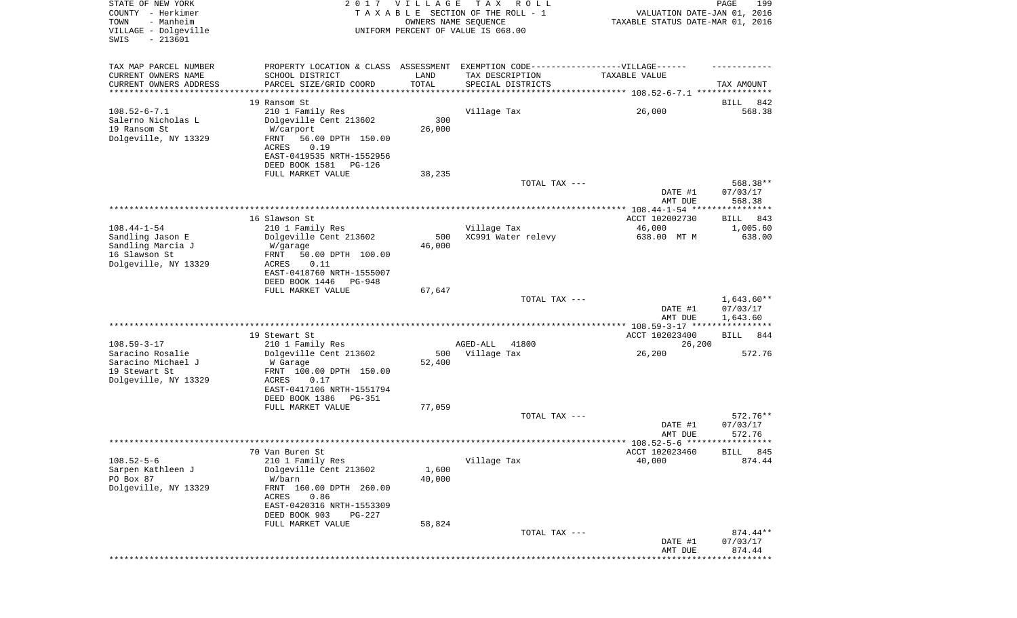| STATE OF NEW YORK<br>COUNTY - Herkimer<br>- Manheim<br>TOWN<br>VILLAGE - Dolgeville<br>$-213601$<br>SWIS | 2017                                                            | VILLAGE<br>OWNERS NAME SEQUENCE | T A X<br>R O L L<br>TAXABLE SECTION OF THE ROLL - 1<br>UNIFORM PERCENT OF VALUE IS 068.00 | VALUATION DATE-JAN 01, 2016<br>TAXABLE STATUS DATE-MAR 01, 2016 | 199<br>PAGE           |
|----------------------------------------------------------------------------------------------------------|-----------------------------------------------------------------|---------------------------------|-------------------------------------------------------------------------------------------|-----------------------------------------------------------------|-----------------------|
| TAX MAP PARCEL NUMBER                                                                                    |                                                                 |                                 | PROPERTY LOCATION & CLASS ASSESSMENT EXEMPTION CODE----------------VILLAGE------          |                                                                 |                       |
| CURRENT OWNERS NAME                                                                                      | SCHOOL DISTRICT                                                 | LAND                            | TAX DESCRIPTION                                                                           | TAXABLE VALUE                                                   |                       |
| CURRENT OWNERS ADDRESS<br>********************                                                           | PARCEL SIZE/GRID COORD<br>* * * * * * * * * * * * * * * * * * * | TOTAL<br>*************          | SPECIAL DISTRICTS                                                                         |                                                                 | TAX AMOUNT            |
|                                                                                                          | 19 Ransom St                                                    |                                 |                                                                                           |                                                                 | 842<br>BILL           |
| $108.52 - 6 - 7.1$                                                                                       | 210 1 Family Res                                                |                                 | Village Tax                                                                               | 26,000                                                          | 568.38                |
| Salerno Nicholas L                                                                                       | Dolgeville Cent 213602                                          | 300                             |                                                                                           |                                                                 |                       |
| 19 Ransom St<br>Dolgeville, NY 13329                                                                     | W/carport<br>FRNT<br>56.00 DPTH 150.00                          | 26,000                          |                                                                                           |                                                                 |                       |
|                                                                                                          | 0.19<br>ACRES                                                   |                                 |                                                                                           |                                                                 |                       |
|                                                                                                          | EAST-0419535 NRTH-1552956                                       |                                 |                                                                                           |                                                                 |                       |
|                                                                                                          | DEED BOOK 1581<br>PG-126<br>FULL MARKET VALUE                   | 38,235                          |                                                                                           |                                                                 |                       |
|                                                                                                          |                                                                 |                                 | TOTAL TAX ---                                                                             |                                                                 | 568.38**              |
|                                                                                                          |                                                                 |                                 |                                                                                           | DATE #1                                                         | 07/03/17              |
|                                                                                                          |                                                                 |                                 |                                                                                           | AMT DUE                                                         | 568.38                |
|                                                                                                          | 16 Slawson St                                                   |                                 |                                                                                           | ACCT 102002730                                                  | BILL<br>843           |
| $108.44 - 1 - 54$                                                                                        | 210 1 Family Res                                                |                                 | Village Tax                                                                               | 46,000                                                          | 1,005.60              |
| Sandling Jason E                                                                                         | Dolgeville Cent 213602                                          | 500                             | XC991 Water relevy                                                                        | 638.00 MT M                                                     | 638.00                |
| Sandling Marcia J<br>16 Slawson St                                                                       | W/garage<br>FRNT<br>50.00 DPTH 100.00                           | 46,000                          |                                                                                           |                                                                 |                       |
| Dolgeville, NY 13329                                                                                     | ACRES<br>0.11                                                   |                                 |                                                                                           |                                                                 |                       |
|                                                                                                          | EAST-0418760 NRTH-1555007                                       |                                 |                                                                                           |                                                                 |                       |
|                                                                                                          | DEED BOOK 1446<br>PG-948<br>FULL MARKET VALUE                   | 67,647                          |                                                                                           |                                                                 |                       |
|                                                                                                          |                                                                 |                                 | TOTAL TAX ---                                                                             |                                                                 | $1,643.60**$          |
|                                                                                                          |                                                                 |                                 |                                                                                           | DATE #1                                                         | 07/03/17              |
|                                                                                                          |                                                                 |                                 |                                                                                           | AMT DUE                                                         | 1,643.60              |
|                                                                                                          | 19 Stewart St                                                   |                                 |                                                                                           | ACCT 102023400                                                  | BILL<br>844           |
| $108.59 - 3 - 17$                                                                                        | 210 1 Family Res                                                |                                 | AGED-ALL<br>41800                                                                         | 26,200                                                          |                       |
| Saracino Rosalie<br>Saracino Michael J                                                                   | Dolgeville Cent 213602<br>W Garage                              | 500<br>52,400                   | Village Tax                                                                               | 26,200                                                          | 572.76                |
| 19 Stewart St                                                                                            | FRNT 100.00 DPTH 150.00                                         |                                 |                                                                                           |                                                                 |                       |
| Dolgeville, NY 13329                                                                                     | <b>ACRES</b><br>0.17                                            |                                 |                                                                                           |                                                                 |                       |
|                                                                                                          | EAST-0417106 NRTH-1551794                                       |                                 |                                                                                           |                                                                 |                       |
|                                                                                                          | DEED BOOK 1386<br>PG-351<br>FULL MARKET VALUE                   | 77,059                          |                                                                                           |                                                                 |                       |
|                                                                                                          |                                                                 |                                 | TOTAL TAX ---                                                                             |                                                                 | 572.76**              |
|                                                                                                          |                                                                 |                                 |                                                                                           | DATE #1                                                         | 07/03/17              |
|                                                                                                          |                                                                 |                                 |                                                                                           | AMT DUE                                                         | 572.76                |
|                                                                                                          | 70 Van Buren St                                                 |                                 |                                                                                           | ACCT 102023460                                                  | BILL 845              |
| $108.52 - 5 - 6$                                                                                         | 210 1 Family Res                                                |                                 | Village Tax                                                                               | 40,000                                                          | 874.44                |
| Sarpen Kathleen J<br>PO Box 87                                                                           | Dolgeville Cent 213602<br>W/barn                                | 1,600<br>40,000                 |                                                                                           |                                                                 |                       |
| Dolgeville, NY 13329                                                                                     | FRNT 160.00 DPTH 260.00                                         |                                 |                                                                                           |                                                                 |                       |
|                                                                                                          | ACRES<br>0.86                                                   |                                 |                                                                                           |                                                                 |                       |
|                                                                                                          | EAST-0420316 NRTH-1553309                                       |                                 |                                                                                           |                                                                 |                       |
|                                                                                                          | DEED BOOK 903<br>PG-227<br>FULL MARKET VALUE                    | 58,824                          |                                                                                           |                                                                 |                       |
|                                                                                                          |                                                                 |                                 | TOTAL TAX ---                                                                             |                                                                 | 874.44**              |
|                                                                                                          |                                                                 |                                 |                                                                                           | DATE #1                                                         | 07/03/17              |
|                                                                                                          |                                                                 |                                 |                                                                                           | AMT DUE                                                         | 874.44<br>*********** |
|                                                                                                          |                                                                 |                                 |                                                                                           |                                                                 |                       |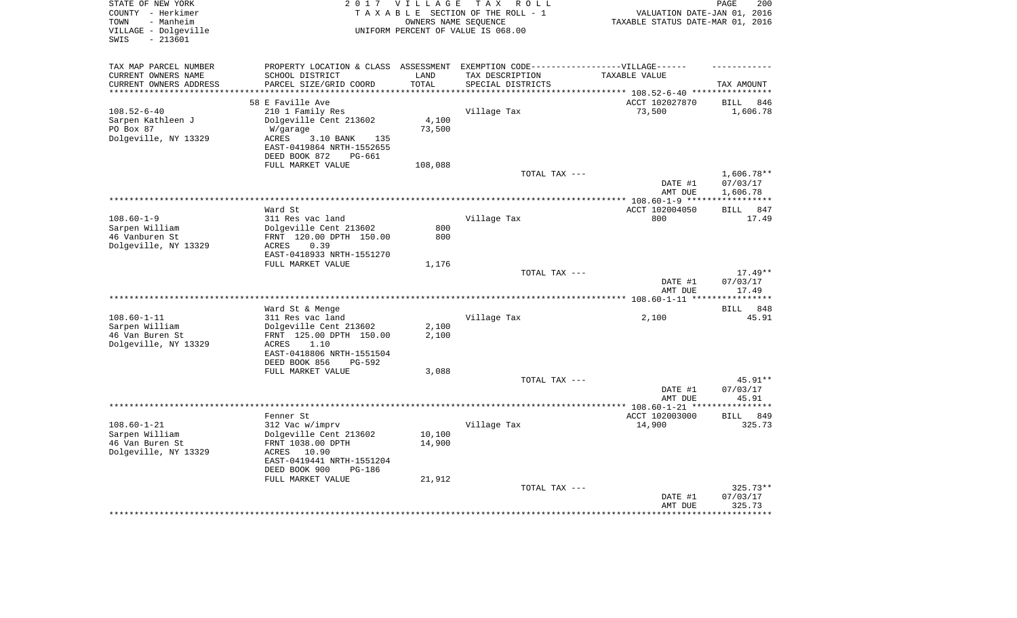| STATE OF NEW YORK<br>COUNTY - Herkimer<br>- Manheim<br>TOWN<br>VILLAGE - Dolgeville<br>$-213601$<br>SWIS |                                                                                   | 2017 VILLAGE  | TAX ROLL<br>TAXABLE SECTION OF THE ROLL - 1<br>OWNERS NAME SEOUENCE<br>UNIFORM PERCENT OF VALUE IS 068.00 | VALUATION DATE-JAN 01, 2016<br>TAXABLE STATUS DATE-MAR 01, 2016 | PAGE<br>200                    |
|----------------------------------------------------------------------------------------------------------|-----------------------------------------------------------------------------------|---------------|-----------------------------------------------------------------------------------------------------------|-----------------------------------------------------------------|--------------------------------|
| TAX MAP PARCEL NUMBER                                                                                    | PROPERTY LOCATION & CLASS ASSESSMENT EXEMPTION CODE-----------------VILLAGE------ |               |                                                                                                           |                                                                 |                                |
| CURRENT OWNERS NAME<br>CURRENT OWNERS ADDRESS                                                            | SCHOOL DISTRICT<br>PARCEL SIZE/GRID COORD                                         | LAND<br>TOTAL | TAX DESCRIPTION<br>SPECIAL DISTRICTS                                                                      | TAXABLE VALUE                                                   | TAX AMOUNT                     |
|                                                                                                          |                                                                                   |               |                                                                                                           | *********** 108.52-6-40 ****                                    |                                |
| $108.52 - 6 - 40$                                                                                        | 58 E Faville Ave<br>210 1 Family Res                                              |               | Village Tax                                                                                               | ACCT 102027870<br>73,500                                        | <b>BILL</b><br>846<br>1,606.78 |
| Sarpen Kathleen J                                                                                        | Dolgeville Cent 213602                                                            | 4,100         |                                                                                                           |                                                                 |                                |
| PO Box 87                                                                                                | W/garage                                                                          | 73,500        |                                                                                                           |                                                                 |                                |
| Dolgeville, NY 13329                                                                                     | <b>ACRES</b><br>3.10 BANK<br>135                                                  |               |                                                                                                           |                                                                 |                                |
|                                                                                                          | EAST-0419864 NRTH-1552655                                                         |               |                                                                                                           |                                                                 |                                |
|                                                                                                          | DEED BOOK 872<br>PG-661                                                           |               |                                                                                                           |                                                                 |                                |
|                                                                                                          | FULL MARKET VALUE                                                                 | 108,088       | TOTAL TAX ---                                                                                             |                                                                 | $1,606.78**$                   |
|                                                                                                          |                                                                                   |               |                                                                                                           | DATE #1                                                         | 07/03/17                       |
|                                                                                                          |                                                                                   |               |                                                                                                           | AMT DUE                                                         | 1,606.78                       |
|                                                                                                          |                                                                                   |               | ************************************                                                                      | ************ 108.60-1-9 ****                                    | ***********                    |
|                                                                                                          | Ward St                                                                           |               |                                                                                                           | ACCT 102004050                                                  | 847<br><b>BILL</b>             |
| $108.60 - 1 - 9$                                                                                         | 311 Res vac land                                                                  |               | Village Tax                                                                                               | 800                                                             | 17.49                          |
| Sarpen William<br>46 Vanburen St                                                                         | Dolgeville Cent 213602                                                            | 800<br>800    |                                                                                                           |                                                                 |                                |
| Dolgeville, NY 13329                                                                                     | FRNT 120.00 DPTH 150.00<br>0.39<br><b>ACRES</b>                                   |               |                                                                                                           |                                                                 |                                |
|                                                                                                          | EAST-0418933 NRTH-1551270                                                         |               |                                                                                                           |                                                                 |                                |
|                                                                                                          | FULL MARKET VALUE                                                                 | 1,176         |                                                                                                           |                                                                 |                                |
|                                                                                                          |                                                                                   |               | TOTAL TAX ---                                                                                             |                                                                 | $17.49**$                      |
|                                                                                                          |                                                                                   |               |                                                                                                           | DATE #1                                                         | 07/03/17                       |
|                                                                                                          |                                                                                   |               |                                                                                                           | AMT DUE                                                         | 17.49<br>**********            |
|                                                                                                          | Ward St & Menge                                                                   |               |                                                                                                           |                                                                 | <b>BILL</b><br>848             |
| $108.60 - 1 - 11$                                                                                        | 311 Res vac land                                                                  |               | Village Tax                                                                                               | 2,100                                                           | 45.91                          |
| Sarpen William                                                                                           | Dolgeville Cent 213602                                                            | 2,100         |                                                                                                           |                                                                 |                                |
| 46 Van Buren St                                                                                          | FRNT 125.00 DPTH 150.00                                                           | 2,100         |                                                                                                           |                                                                 |                                |
| Dolgeville, NY 13329                                                                                     | 1.10<br>ACRES                                                                     |               |                                                                                                           |                                                                 |                                |
|                                                                                                          | EAST-0418806 NRTH-1551504                                                         |               |                                                                                                           |                                                                 |                                |
|                                                                                                          | DEED BOOK 856<br>PG-592<br>FULL MARKET VALUE                                      | 3,088         |                                                                                                           |                                                                 |                                |
|                                                                                                          |                                                                                   |               | TOTAL TAX ---                                                                                             |                                                                 | 45.91**                        |
|                                                                                                          |                                                                                   |               |                                                                                                           | DATE #1                                                         | 07/03/17                       |
|                                                                                                          |                                                                                   |               |                                                                                                           | AMT DUE                                                         | 45.91                          |
|                                                                                                          |                                                                                   |               |                                                                                                           |                                                                 | *******                        |
|                                                                                                          | Fenner St                                                                         |               |                                                                                                           | ACCT 102003000                                                  | <b>BILL</b><br>849             |
| $108.60 - 1 - 21$<br>Sarpen William                                                                      | 312 Vac w/imprv<br>Dolgeville Cent 213602                                         | 10,100        | Village Tax                                                                                               | 14,900                                                          | 325.73                         |
| 46 Van Buren St                                                                                          | FRNT 1038.00 DPTH                                                                 | 14,900        |                                                                                                           |                                                                 |                                |
| Dolgeville, NY 13329                                                                                     | ACRES 10.90                                                                       |               |                                                                                                           |                                                                 |                                |
|                                                                                                          | EAST-0419441 NRTH-1551204                                                         |               |                                                                                                           |                                                                 |                                |
|                                                                                                          | DEED BOOK 900<br>$PG-186$                                                         |               |                                                                                                           |                                                                 |                                |
|                                                                                                          | FULL MARKET VALUE                                                                 | 21,912        |                                                                                                           |                                                                 |                                |
|                                                                                                          |                                                                                   |               | TOTAL TAX ---                                                                                             |                                                                 | 325.73**                       |
|                                                                                                          |                                                                                   |               |                                                                                                           | DATE #1<br>AMT DUE                                              | 07/03/17<br>325.73             |
|                                                                                                          |                                                                                   |               |                                                                                                           |                                                                 |                                |
|                                                                                                          |                                                                                   |               |                                                                                                           |                                                                 |                                |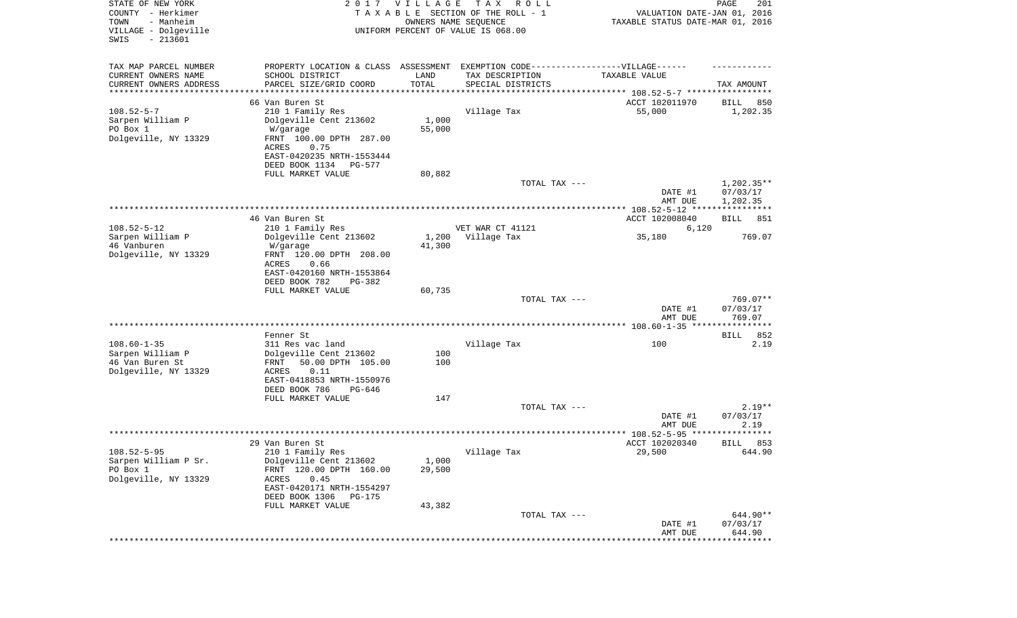| STATE OF NEW YORK<br>COUNTY - Herkimer<br>TOWN<br>- Manheim<br>VILLAGE - Dolgeville<br>SWIS<br>$-213601$ |                                                                                   | 2017 VILLAGE<br>OWNERS NAME SEQUENCE | T A X<br>R O L L<br>TAXABLE SECTION OF THE ROLL - 1<br>UNIFORM PERCENT OF VALUE IS 068.00 | VALUATION DATE-JAN 01, 2016<br>TAXABLE STATUS DATE-MAR 01, 2016 | PAGE<br>201              |
|----------------------------------------------------------------------------------------------------------|-----------------------------------------------------------------------------------|--------------------------------------|-------------------------------------------------------------------------------------------|-----------------------------------------------------------------|--------------------------|
| TAX MAP PARCEL NUMBER                                                                                    | PROPERTY LOCATION & CLASS ASSESSMENT EXEMPTION CODE-----------------VILLAGE------ |                                      |                                                                                           |                                                                 |                          |
| CURRENT OWNERS NAME                                                                                      | SCHOOL DISTRICT                                                                   | LAND                                 | TAX DESCRIPTION                                                                           | TAXABLE VALUE                                                   |                          |
| CURRENT OWNERS ADDRESS<br>*********************                                                          | PARCEL SIZE/GRID COORD                                                            | TOTAL<br>***********                 | SPECIAL DISTRICTS                                                                         |                                                                 | TAX AMOUNT               |
|                                                                                                          | 66 Van Buren St                                                                   |                                      |                                                                                           | ACCT 102011970                                                  | 850<br>BILL              |
| $108.52 - 5 - 7$                                                                                         | 210 1 Family Res                                                                  |                                      | Village Tax                                                                               | 55,000                                                          | 1,202.35                 |
| Sarpen William P                                                                                         | Dolgeville Cent 213602                                                            | 1,000                                |                                                                                           |                                                                 |                          |
| PO Box 1                                                                                                 | W/garage                                                                          | 55,000                               |                                                                                           |                                                                 |                          |
| Dolgeville, NY 13329                                                                                     | FRNT 100.00 DPTH 287.00<br>ACRES<br>0.75                                          |                                      |                                                                                           |                                                                 |                          |
|                                                                                                          | EAST-0420235 NRTH-1553444                                                         |                                      |                                                                                           |                                                                 |                          |
|                                                                                                          | DEED BOOK 1134<br>PG-577                                                          |                                      |                                                                                           |                                                                 |                          |
|                                                                                                          | FULL MARKET VALUE                                                                 | 80,882                               |                                                                                           |                                                                 |                          |
|                                                                                                          |                                                                                   |                                      | TOTAL TAX ---                                                                             | DATE #1                                                         | $1,202.35**$<br>07/03/17 |
|                                                                                                          |                                                                                   |                                      |                                                                                           | AMT DUE                                                         | 1,202.35                 |
|                                                                                                          |                                                                                   |                                      |                                                                                           |                                                                 |                          |
|                                                                                                          | 46 Van Buren St                                                                   |                                      |                                                                                           | ACCT 102008040                                                  | BILL<br>851              |
| $108.52 - 5 - 12$                                                                                        | 210 1 Family Res                                                                  |                                      | VET WAR CT 41121                                                                          | 6,120                                                           | 769.07                   |
| Sarpen William P<br>46 Vanburen                                                                          | Dolgeville Cent 213602<br>W/garage                                                | 1,200<br>41,300                      | Village Tax                                                                               | 35,180                                                          |                          |
| Dolgeville, NY 13329                                                                                     | FRNT 120.00 DPTH 208.00                                                           |                                      |                                                                                           |                                                                 |                          |
|                                                                                                          | ACRES<br>0.66                                                                     |                                      |                                                                                           |                                                                 |                          |
|                                                                                                          | EAST-0420160 NRTH-1553864<br>DEED BOOK 782                                        |                                      |                                                                                           |                                                                 |                          |
|                                                                                                          | PG-382<br>FULL MARKET VALUE                                                       | 60,735                               |                                                                                           |                                                                 |                          |
|                                                                                                          |                                                                                   |                                      | TOTAL TAX ---                                                                             |                                                                 | 769.07**                 |
|                                                                                                          |                                                                                   |                                      |                                                                                           | DATE #1                                                         | 07/03/17                 |
|                                                                                                          |                                                                                   |                                      |                                                                                           | AMT DUE                                                         | 769.07                   |
|                                                                                                          | Fenner St                                                                         |                                      |                                                                                           |                                                                 | 852<br>BILL              |
| $108.60 - 1 - 35$                                                                                        | 311 Res vac land                                                                  |                                      | Village Tax                                                                               | 100                                                             | 2.19                     |
| Sarpen William P                                                                                         | Dolgeville Cent 213602                                                            | 100                                  |                                                                                           |                                                                 |                          |
| 46 Van Buren St                                                                                          | FRNT<br>50.00 DPTH 105.00                                                         | 100                                  |                                                                                           |                                                                 |                          |
| Dolgeville, NY 13329                                                                                     | ACRES<br>0.11<br>EAST-0418853 NRTH-1550976                                        |                                      |                                                                                           |                                                                 |                          |
|                                                                                                          | DEED BOOK 786<br>PG-646                                                           |                                      |                                                                                           |                                                                 |                          |
|                                                                                                          | FULL MARKET VALUE                                                                 | 147                                  |                                                                                           |                                                                 |                          |
|                                                                                                          |                                                                                   |                                      | TOTAL TAX ---                                                                             |                                                                 | $2.19**$                 |
|                                                                                                          |                                                                                   |                                      |                                                                                           | DATE #1<br>AMT DUE                                              | 07/03/17<br>2.19         |
|                                                                                                          |                                                                                   |                                      |                                                                                           |                                                                 | * * * * * *              |
|                                                                                                          | 29 Van Buren St                                                                   |                                      |                                                                                           | ACCT 102020340                                                  | 853<br>BILL              |
| $108.52 - 5 - 95$                                                                                        | 210 1 Family Res                                                                  |                                      | Village Tax                                                                               | 29,500                                                          | 644.90                   |
| Sarpen William P Sr.<br>PO Box 1                                                                         | Dolgeville Cent 213602<br>FRNT 120.00 DPTH 160.00                                 | 1,000<br>29,500                      |                                                                                           |                                                                 |                          |
| Dolgeville, NY 13329                                                                                     | ACRES<br>0.45                                                                     |                                      |                                                                                           |                                                                 |                          |
|                                                                                                          | EAST-0420171 NRTH-1554297                                                         |                                      |                                                                                           |                                                                 |                          |
|                                                                                                          | DEED BOOK 1306<br>PG-175                                                          |                                      |                                                                                           |                                                                 |                          |
|                                                                                                          | FULL MARKET VALUE                                                                 | 43,382                               | TOTAL TAX ---                                                                             |                                                                 | 644.90**                 |
|                                                                                                          |                                                                                   |                                      |                                                                                           | DATE #1                                                         | 07/03/17                 |
|                                                                                                          |                                                                                   |                                      |                                                                                           | AMT DUE                                                         | 644.90                   |
|                                                                                                          |                                                                                   |                                      |                                                                                           |                                                                 | *********                |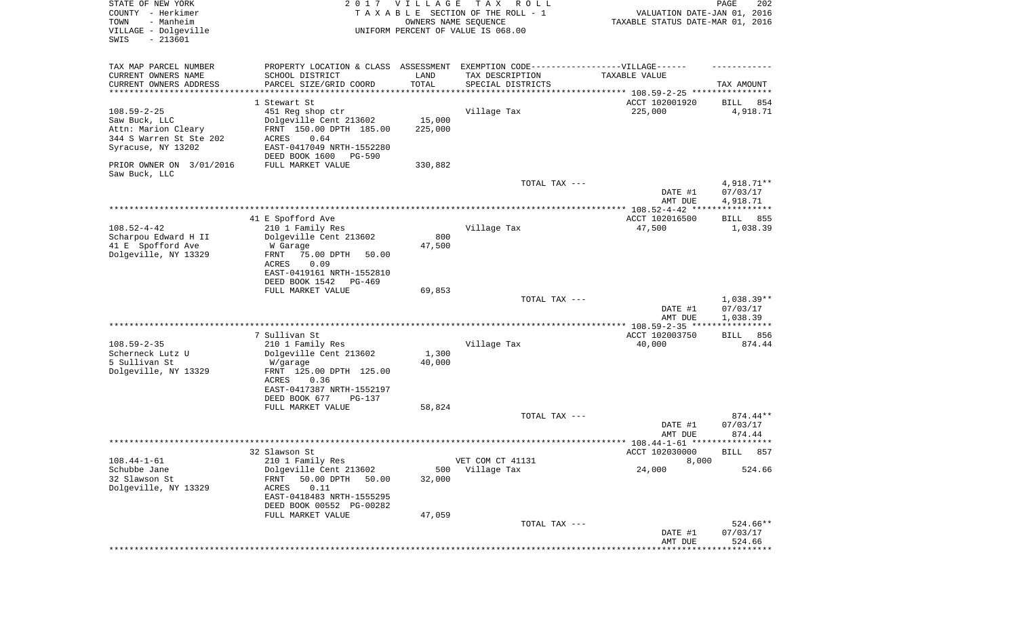| STATE OF NEW YORK<br>COUNTY - Herkimer<br>TOWN<br>- Manheim<br>VILLAGE - Dolgeville<br>SWIS<br>$-213601$   | 2017                                                                                                                                       | <b>VILLAGE</b>    | T A X<br>R O L L<br>TAXABLE SECTION OF THE ROLL - 1<br>OWNERS NAME SEQUENCE<br>UNIFORM PERCENT OF VALUE IS 068.00 | VALUATION DATE-JAN 01, 2016<br>TAXABLE STATUS DATE-MAR 01, 2016 | PAGE<br>202                         |
|------------------------------------------------------------------------------------------------------------|--------------------------------------------------------------------------------------------------------------------------------------------|-------------------|-------------------------------------------------------------------------------------------------------------------|-----------------------------------------------------------------|-------------------------------------|
| TAX MAP PARCEL NUMBER                                                                                      | PROPERTY LOCATION & CLASS ASSESSMENT EXEMPTION CODE-----------------VILLAGE------                                                          |                   |                                                                                                                   |                                                                 |                                     |
| CURRENT OWNERS NAME<br>CURRENT OWNERS ADDRESS                                                              | SCHOOL DISTRICT<br>PARCEL SIZE/GRID COORD                                                                                                  | LAND<br>TOTAL     | TAX DESCRIPTION<br>SPECIAL DISTRICTS                                                                              | TAXABLE VALUE                                                   | TAX AMOUNT                          |
| **********************                                                                                     |                                                                                                                                            |                   |                                                                                                                   |                                                                 |                                     |
| $108.59 - 2 - 25$<br>Saw Buck, LLC<br>Attn: Marion Cleary<br>344 S Warren St Ste 202<br>Syracuse, NY 13202 | 1 Stewart St<br>451 Reg shop ctr<br>Dolgeville Cent 213602<br>FRNT 150.00 DPTH 185.00<br><b>ACRES</b><br>0.64<br>EAST-0417049 NRTH-1552280 | 15,000<br>225,000 | Village Tax                                                                                                       | ACCT 102001920<br>225,000                                       | 854<br>BILL<br>4,918.71             |
| PRIOR OWNER ON 3/01/2016                                                                                   | DEED BOOK 1600<br><b>PG-590</b><br>FULL MARKET VALUE                                                                                       | 330,882           |                                                                                                                   |                                                                 |                                     |
| Saw Buck, LLC                                                                                              |                                                                                                                                            |                   | TOTAL TAX ---                                                                                                     | DATE #1                                                         | 4,918.71**<br>07/03/17              |
|                                                                                                            |                                                                                                                                            |                   |                                                                                                                   | AMT DUE                                                         | 4,918.71                            |
|                                                                                                            | 41 E Spofford Ave                                                                                                                          |                   |                                                                                                                   | ACCT 102016500                                                  | BILL<br>855                         |
| $108.52 - 4 - 42$<br>Scharpou Edward H II<br>41 E Spofford Ave<br>Dolgeville, NY 13329                     | 210 1 Family Res<br>Dolgeville Cent 213602<br>W Garage<br>75.00 DPTH<br>FRNT<br>50.00<br>ACRES<br>0.09<br>EAST-0419161 NRTH-1552810        | 800<br>47,500     | Village Tax                                                                                                       | 47,500                                                          | 1,038.39                            |
|                                                                                                            | DEED BOOK 1542<br>PG-469                                                                                                                   |                   |                                                                                                                   |                                                                 |                                     |
|                                                                                                            | FULL MARKET VALUE                                                                                                                          | 69,853            | TOTAL TAX ---                                                                                                     |                                                                 | $1,038.39**$                        |
|                                                                                                            |                                                                                                                                            |                   |                                                                                                                   | DATE #1<br>AMT DUE                                              | 07/03/17<br>1,038.39<br>*********** |
|                                                                                                            | 7 Sullivan St                                                                                                                              |                   |                                                                                                                   | ACCT 102003750                                                  | 856<br>BILL                         |
| $108.59 - 2 - 35$<br>Scherneck Lutz U<br>5 Sullivan St<br>Dolgeville, NY 13329                             | 210 1 Family Res<br>Dolgeville Cent 213602<br>W/garage<br>FRNT 125.00 DPTH 125.00                                                          | 1,300<br>40,000   | Village Tax                                                                                                       | 40,000                                                          | 874.44                              |
|                                                                                                            | ACRES<br>0.36<br>EAST-0417387 NRTH-1552197<br>DEED BOOK 677<br>$PG-137$<br>FULL MARKET VALUE                                               | 58,824            |                                                                                                                   |                                                                 |                                     |
|                                                                                                            |                                                                                                                                            |                   | TOTAL TAX ---                                                                                                     | DATE #1<br>AMT DUE                                              | 874.44**<br>07/03/17<br>874.44      |
|                                                                                                            |                                                                                                                                            |                   |                                                                                                                   |                                                                 |                                     |
| $108.44 - 1 - 61$                                                                                          | 32 Slawson St<br>210 1 Family Res                                                                                                          |                   | VET COM CT 41131                                                                                                  | ACCT 102030000<br>8,000                                         | 857<br>BILL                         |
| Schubbe Jane<br>32 Slawson St<br>Dolgeville, NY 13329                                                      | Dolgeville Cent 213602<br>50.00 DPTH<br>FRNT<br>50.00<br>0.11<br>ACRES<br>EAST-0418483 NRTH-1555295<br>DEED BOOK 00552 PG-00282            | 500<br>32,000     | Village Tax                                                                                                       | 24,000                                                          | 524.66                              |
|                                                                                                            | FULL MARKET VALUE                                                                                                                          | 47,059            | TOTAL TAX ---                                                                                                     | DATE #1                                                         | 524.66**<br>07/03/17                |
|                                                                                                            |                                                                                                                                            |                   |                                                                                                                   | AMT DUE                                                         | 524.66<br>* * * * * * * * *         |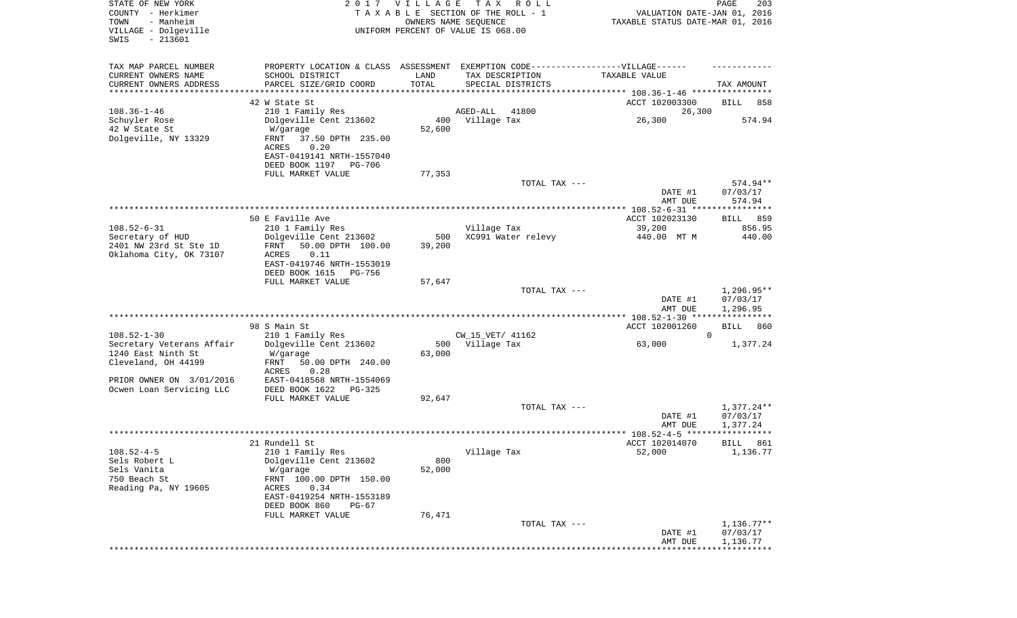| STATE OF NEW YORK<br>COUNTY - Herkimer<br>- Manheim<br>TOWN<br>VILLAGE - Dolgeville<br>SWIS<br>$-213601$                |                                                                                                                                                                                    | 2017 VILLAGE            | T A X<br>R O L L<br>TAXABLE SECTION OF THE ROLL - 1<br>OWNERS NAME SEQUENCE<br>UNIFORM PERCENT OF VALUE IS 068.00        | VALUATION DATE-JAN 01, 2016<br>TAXABLE STATUS DATE-MAR 01, 2016 | PAGE<br>203                          |
|-------------------------------------------------------------------------------------------------------------------------|------------------------------------------------------------------------------------------------------------------------------------------------------------------------------------|-------------------------|--------------------------------------------------------------------------------------------------------------------------|-----------------------------------------------------------------|--------------------------------------|
| TAX MAP PARCEL NUMBER<br>CURRENT OWNERS NAME<br>CURRENT OWNERS ADDRESS<br>********************                          | SCHOOL DISTRICT<br>PARCEL SIZE/GRID COORD<br>42 W State St                                                                                                                         | LAND<br>TOTAL           | PROPERTY LOCATION & CLASS ASSESSMENT EXEMPTION CODE----------------VILLAGE------<br>TAX DESCRIPTION<br>SPECIAL DISTRICTS | TAXABLE VALUE<br>ACCT 102003300                                 | TAX AMOUNT<br><b>BILL</b><br>858     |
| $108.36 - 1 - 46$<br>Schuyler Rose<br>42 W State St<br>Dolgeville, NY 13329                                             | 210 1 Family Res<br>Dolgeville Cent 213602<br>W/garage<br>FRNT<br>37.50 DPTH 235.00<br>ACRES<br>0.20<br>EAST-0419141 NRTH-1557040<br>DEED BOOK 1197<br>PG-706<br>FULL MARKET VALUE | 400<br>52,600<br>77,353 | AGED-ALL<br>41800<br>Village Tax                                                                                         | 26,300<br>26,300                                                | 574.94                               |
|                                                                                                                         |                                                                                                                                                                                    |                         | TOTAL TAX ---                                                                                                            | DATE #1<br>AMT DUE                                              | 574.94**<br>07/03/17<br>574.94       |
|                                                                                                                         |                                                                                                                                                                                    |                         |                                                                                                                          |                                                                 |                                      |
|                                                                                                                         | 50 E Faville Ave                                                                                                                                                                   |                         |                                                                                                                          | ACCT 102023130                                                  | BILL 859                             |
| $108.52 - 6 - 31$<br>Secretary of HUD                                                                                   | 210 1 Family Res<br>Dolgeville Cent 213602                                                                                                                                         | 500                     | Village Tax<br>XC991 Water relevy                                                                                        | 39,200<br>440.00 MT M                                           | 856.95<br>440.00                     |
| 2401 NW 23rd St Ste 1D<br>Oklahoma City, OK 73107                                                                       | FRNT<br>50.00 DPTH 100.00<br>ACRES<br>0.11<br>EAST-0419746 NRTH-1553019<br>DEED BOOK 1615<br>PG-756<br>FULL MARKET VALUE                                                           | 39,200<br>57,647        |                                                                                                                          |                                                                 |                                      |
|                                                                                                                         |                                                                                                                                                                                    |                         | TOTAL TAX ---                                                                                                            | DATE #1<br>AMT DUE                                              | $1,296.95**$<br>07/03/17<br>1,296.95 |
|                                                                                                                         |                                                                                                                                                                                    |                         |                                                                                                                          | ************ 108.52-1-30 ***********                            |                                      |
|                                                                                                                         | 98 S Main St                                                                                                                                                                       |                         |                                                                                                                          | ACCT 102001260                                                  | BILL<br>860                          |
| $108.52 - 1 - 30$<br>Secretary Veterans Affair<br>1240 East Ninth St<br>Cleveland, OH 44199<br>PRIOR OWNER ON 3/01/2016 | 210 1 Family Res<br>Dolgeville Cent 213602<br>W/garage<br>FRNT<br>50.00 DPTH 240.00<br>ACRES<br>0.28<br>EAST-0418568 NRTH-1554069                                                  | 63,000                  | CW_15_VET/ 41162<br>500 Village Tax                                                                                      | $\Omega$<br>63,000                                              | 1,377.24                             |
| Ocwen Loan Servicing LLC                                                                                                | DEED BOOK 1622<br>PG-325                                                                                                                                                           |                         |                                                                                                                          |                                                                 |                                      |
|                                                                                                                         | FULL MARKET VALUE                                                                                                                                                                  | 92,647                  | TOTAL TAX ---                                                                                                            | DATE #1<br>AMT DUE                                              | $1,377.24**$<br>07/03/17<br>1,377.24 |
|                                                                                                                         |                                                                                                                                                                                    |                         |                                                                                                                          |                                                                 | ******                               |
| $108.52 - 4 - 5$<br>Sels Robert L<br>Sels Vanita<br>750 Beach St<br>Reading Pa, NY 19605                                | 21 Rundell St<br>210 1 Family Res<br>Dolgeville Cent 213602<br>W/garage<br>FRNT 100.00 DPTH 150.00<br>0.34<br>ACRES<br>EAST-0419254 NRTH-1553189<br>DEED BOOK 860<br>$PG-67$       | 800<br>52,000           | Village Tax                                                                                                              | ACCT 102014070<br>52,000                                        | 861<br>BILL<br>1,136.77              |
|                                                                                                                         | FULL MARKET VALUE                                                                                                                                                                  | 76,471                  |                                                                                                                          |                                                                 |                                      |
|                                                                                                                         |                                                                                                                                                                                    |                         | TOTAL TAX ---                                                                                                            | DATE #1<br>AMT DUE                                              | $1,136.77**$<br>07/03/17<br>1,136.77 |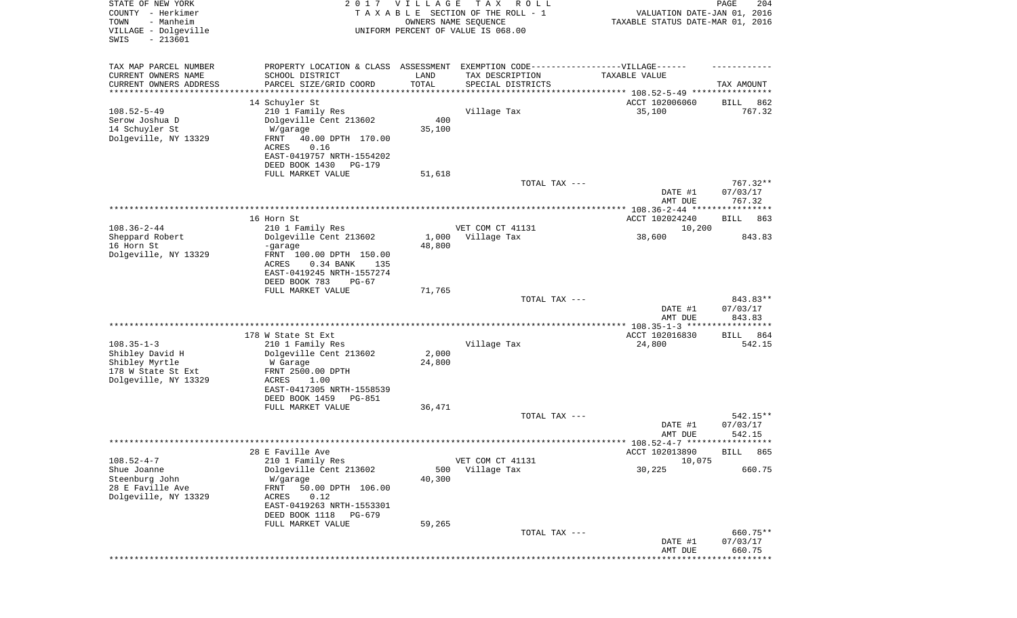| STATE OF NEW YORK<br>COUNTY - Herkimer<br>- Manheim<br>TOWN<br>VILLAGE - Dolgeville<br>$-213601$<br>SWIS | 2017                                            | VILLAGE         | T A X<br>R O L L<br>TAXABLE SECTION OF THE ROLL - 1<br>OWNERS NAME SEQUENCE<br>UNIFORM PERCENT OF VALUE IS 068.00 | VALUATION DATE-JAN 01, 2016<br>TAXABLE STATUS DATE-MAR 01, 2016 | 204<br>PAGE          |
|----------------------------------------------------------------------------------------------------------|-------------------------------------------------|-----------------|-------------------------------------------------------------------------------------------------------------------|-----------------------------------------------------------------|----------------------|
| TAX MAP PARCEL NUMBER                                                                                    |                                                 |                 | PROPERTY LOCATION & CLASS ASSESSMENT EXEMPTION CODE-----------------VILLAGE------                                 |                                                                 |                      |
| CURRENT OWNERS NAME                                                                                      | SCHOOL DISTRICT                                 | LAND            | TAX DESCRIPTION                                                                                                   | TAXABLE VALUE                                                   |                      |
| CURRENT OWNERS ADDRESS<br>*********************                                                          | PARCEL SIZE/GRID COORD<br>********************* | TOTAL           | SPECIAL DISTRICTS                                                                                                 |                                                                 | TAX AMOUNT           |
|                                                                                                          | 14 Schuyler St                                  |                 |                                                                                                                   | ACCT 102006060                                                  | 862<br>BILL          |
| $108.52 - 5 - 49$                                                                                        | 210 1 Family Res                                |                 | Village Tax                                                                                                       | 35,100                                                          | 767.32               |
| Serow Joshua D                                                                                           | Dolgeville Cent 213602                          | 400             |                                                                                                                   |                                                                 |                      |
| 14 Schuyler St                                                                                           | W/garage                                        | 35,100          |                                                                                                                   |                                                                 |                      |
| Dolgeville, NY 13329                                                                                     | FRNT<br>40.00 DPTH 170.00<br>ACRES<br>0.16      |                 |                                                                                                                   |                                                                 |                      |
|                                                                                                          | EAST-0419757 NRTH-1554202                       |                 |                                                                                                                   |                                                                 |                      |
|                                                                                                          | DEED BOOK 1430<br>PG-179                        |                 |                                                                                                                   |                                                                 |                      |
|                                                                                                          | FULL MARKET VALUE                               | 51,618          |                                                                                                                   |                                                                 |                      |
|                                                                                                          |                                                 |                 | TOTAL TAX ---                                                                                                     |                                                                 | 767.32**<br>07/03/17 |
|                                                                                                          |                                                 |                 |                                                                                                                   | DATE #1<br>AMT DUE                                              | 767.32               |
|                                                                                                          |                                                 |                 |                                                                                                                   |                                                                 |                      |
|                                                                                                          | 16 Horn St                                      |                 |                                                                                                                   | ACCT 102024240                                                  | BILL<br>863          |
| $108.36 - 2 - 44$                                                                                        | 210 1 Family Res                                |                 | VET COM CT 41131                                                                                                  | 10,200                                                          |                      |
| Sheppard Robert<br>16 Horn St                                                                            | Dolgeville Cent 213602<br>-garage               | 1,000<br>48,800 | Village Tax                                                                                                       | 38,600                                                          | 843.83               |
| Dolgeville, NY 13329                                                                                     | FRNT 100.00 DPTH 150.00                         |                 |                                                                                                                   |                                                                 |                      |
|                                                                                                          | ACRES<br>0.34 BANK<br>135                       |                 |                                                                                                                   |                                                                 |                      |
|                                                                                                          | EAST-0419245 NRTH-1557274                       |                 |                                                                                                                   |                                                                 |                      |
|                                                                                                          | DEED BOOK 783<br>$PG-67$<br>FULL MARKET VALUE   | 71,765          |                                                                                                                   |                                                                 |                      |
|                                                                                                          |                                                 |                 | TOTAL TAX ---                                                                                                     |                                                                 | 843.83**             |
|                                                                                                          |                                                 |                 |                                                                                                                   | DATE #1                                                         | 07/03/17             |
|                                                                                                          |                                                 |                 |                                                                                                                   | AMT DUE                                                         | 843.83               |
|                                                                                                          | 178 W State St Ext                              |                 |                                                                                                                   | ACCT 102016830                                                  | 864<br>BILL          |
| $108.35 - 1 - 3$                                                                                         | 210 1 Family Res                                |                 | Village Tax                                                                                                       | 24,800                                                          | 542.15               |
| Shibley David H                                                                                          | Dolgeville Cent 213602                          | 2,000           |                                                                                                                   |                                                                 |                      |
| Shibley Myrtle                                                                                           | W Garage                                        | 24,800          |                                                                                                                   |                                                                 |                      |
| 178 W State St Ext<br>Dolgeville, NY 13329                                                               | FRNT 2500.00 DPTH<br>ACRES<br>1.00              |                 |                                                                                                                   |                                                                 |                      |
|                                                                                                          | EAST-0417305 NRTH-1558539                       |                 |                                                                                                                   |                                                                 |                      |
|                                                                                                          | DEED BOOK 1459<br>PG-851                        |                 |                                                                                                                   |                                                                 |                      |
|                                                                                                          | FULL MARKET VALUE                               | 36,471          |                                                                                                                   |                                                                 |                      |
|                                                                                                          |                                                 |                 | TOTAL TAX ---                                                                                                     | DATE #1                                                         | 542.15**<br>07/03/17 |
|                                                                                                          |                                                 |                 |                                                                                                                   | AMT DUE                                                         | 542.15               |
|                                                                                                          |                                                 |                 |                                                                                                                   |                                                                 |                      |
|                                                                                                          | 28 E Faville Ave                                |                 |                                                                                                                   | ACCT 102013890                                                  | BILL 865             |
| $108.52 - 4 - 7$<br>Shue Joanne                                                                          | 210 1 Family Res<br>Dolgeville Cent 213602      | 500             | VET COM CT 41131<br>Village Tax                                                                                   | 10,075<br>30,225                                                | 660.75               |
| Steenburg John                                                                                           | W/garage                                        | 40,300          |                                                                                                                   |                                                                 |                      |
| 28 E Faville Ave                                                                                         | FRNT<br>50.00 DPTH 106.00                       |                 |                                                                                                                   |                                                                 |                      |
| Dolgeville, NY 13329                                                                                     | 0.12<br>ACRES                                   |                 |                                                                                                                   |                                                                 |                      |
|                                                                                                          | EAST-0419263 NRTH-1553301<br>DEED BOOK 1118     |                 |                                                                                                                   |                                                                 |                      |
|                                                                                                          | PG-679<br>FULL MARKET VALUE                     | 59,265          |                                                                                                                   |                                                                 |                      |
|                                                                                                          |                                                 |                 | TOTAL TAX ---                                                                                                     |                                                                 | 660.75**             |
|                                                                                                          |                                                 |                 |                                                                                                                   | DATE #1                                                         | 07/03/17             |
|                                                                                                          |                                                 |                 |                                                                                                                   | AMT DUE                                                         | 660.75<br>*********  |
|                                                                                                          |                                                 |                 |                                                                                                                   |                                                                 |                      |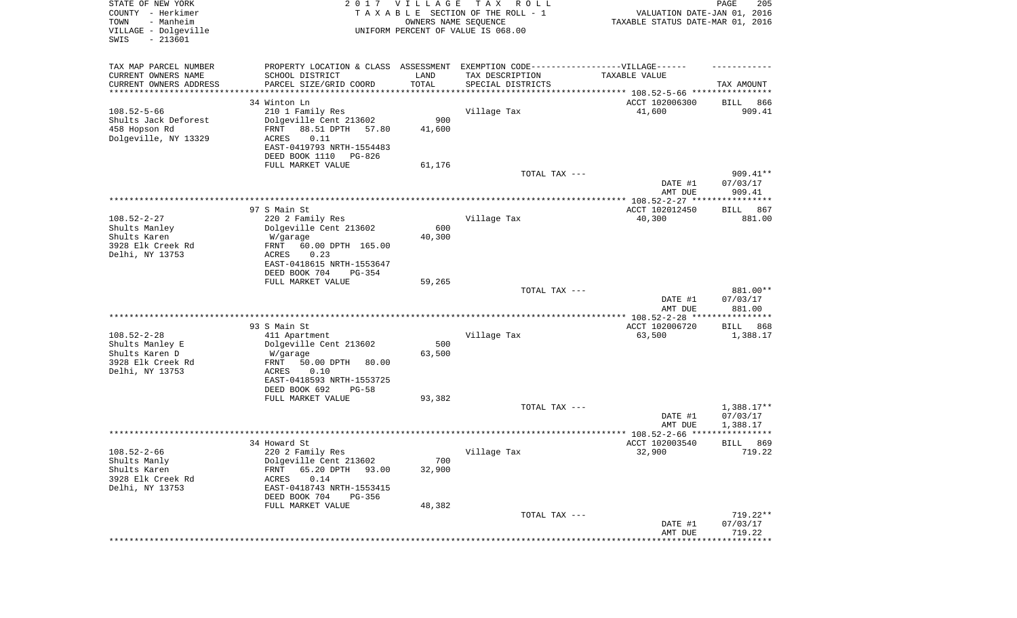| STATE OF NEW YORK<br>COUNTY - Herkimer<br>- Manheim<br>TOWN<br>VILLAGE - Dolgeville<br>SWIS<br>$-213601$ |                                                                                                     | 2017 VILLAGE<br>OWNERS NAME SEQUENCE | T A X<br>R O L L<br>TAXABLE SECTION OF THE ROLL - 1<br>UNIFORM PERCENT OF VALUE IS 068.00 | VALUATION DATE-JAN 01, 2016<br>TAXABLE STATUS DATE-MAR 01, 2016 | PAGE<br>205              |
|----------------------------------------------------------------------------------------------------------|-----------------------------------------------------------------------------------------------------|--------------------------------------|-------------------------------------------------------------------------------------------|-----------------------------------------------------------------|--------------------------|
| TAX MAP PARCEL NUMBER<br>CURRENT OWNERS NAME                                                             | PROPERTY LOCATION & CLASS ASSESSMENT EXEMPTION CODE----------------VILLAGE------<br>SCHOOL DISTRICT | LAND                                 | TAX DESCRIPTION                                                                           | TAXABLE VALUE                                                   |                          |
| CURRENT OWNERS ADDRESS                                                                                   | PARCEL SIZE/GRID COORD                                                                              | TOTAL                                | SPECIAL DISTRICTS                                                                         |                                                                 | TAX AMOUNT               |
| ********************                                                                                     |                                                                                                     |                                      |                                                                                           |                                                                 |                          |
| $108.52 - 5 - 66$                                                                                        | 34 Winton Ln                                                                                        |                                      | Village Tax                                                                               | ACCT 102006300                                                  | BILL<br>866<br>909.41    |
| Shults Jack Deforest                                                                                     | 210 1 Family Res<br>Dolgeville Cent 213602                                                          | 900                                  |                                                                                           | 41,600                                                          |                          |
| 458 Hopson Rd                                                                                            | FRNT<br>88.51 DPTH<br>57.80                                                                         | 41,600                               |                                                                                           |                                                                 |                          |
| Dolgeville, NY 13329                                                                                     | ACRES<br>0.11                                                                                       |                                      |                                                                                           |                                                                 |                          |
|                                                                                                          | EAST-0419793 NRTH-1554483                                                                           |                                      |                                                                                           |                                                                 |                          |
|                                                                                                          | DEED BOOK 1110<br>PG-826                                                                            |                                      |                                                                                           |                                                                 |                          |
|                                                                                                          | FULL MARKET VALUE                                                                                   | 61,176                               |                                                                                           |                                                                 |                          |
|                                                                                                          |                                                                                                     |                                      | TOTAL TAX ---                                                                             |                                                                 | 909.41**                 |
|                                                                                                          |                                                                                                     |                                      |                                                                                           | DATE #1<br>AMT DUE                                              | 07/03/17<br>909.41       |
|                                                                                                          |                                                                                                     |                                      |                                                                                           |                                                                 |                          |
|                                                                                                          | 97 S Main St                                                                                        |                                      |                                                                                           | ACCT 102012450                                                  | <b>BILL</b><br>867       |
| $108.52 - 2 - 27$                                                                                        | 220 2 Family Res                                                                                    |                                      | Village Tax                                                                               | 40,300                                                          | 881.00                   |
| Shults Manley                                                                                            | Dolgeville Cent 213602                                                                              | 600                                  |                                                                                           |                                                                 |                          |
| Shults Karen                                                                                             | W/garage                                                                                            | 40,300                               |                                                                                           |                                                                 |                          |
| 3928 Elk Creek Rd                                                                                        | FRNT<br>60.00 DPTH 165.00                                                                           |                                      |                                                                                           |                                                                 |                          |
| Delhi, NY 13753                                                                                          | ACRES<br>0.23<br>EAST-0418615 NRTH-1553647                                                          |                                      |                                                                                           |                                                                 |                          |
|                                                                                                          | DEED BOOK 704<br>PG-354                                                                             |                                      |                                                                                           |                                                                 |                          |
|                                                                                                          | FULL MARKET VALUE                                                                                   | 59,265                               |                                                                                           |                                                                 |                          |
|                                                                                                          |                                                                                                     |                                      | TOTAL TAX ---                                                                             |                                                                 | 881.00**                 |
|                                                                                                          |                                                                                                     |                                      |                                                                                           | DATE #1                                                         | 07/03/17                 |
|                                                                                                          |                                                                                                     |                                      | **********************************                                                        | AMT DUE                                                         | 881.00                   |
|                                                                                                          | 93 S Main St                                                                                        |                                      |                                                                                           | ********** 108.52-2-28 ****************<br>ACCT 102006720       | 868<br>BILL              |
| $108.52 - 2 - 28$                                                                                        | 411 Apartment                                                                                       |                                      | Village Tax                                                                               | 63,500                                                          | 1,388.17                 |
| Shults Manley E                                                                                          | Dolgeville Cent 213602                                                                              | 500                                  |                                                                                           |                                                                 |                          |
| Shults Karen D                                                                                           | W/garage                                                                                            | 63,500                               |                                                                                           |                                                                 |                          |
| 3928 Elk Creek Rd                                                                                        | FRNT<br>50.00 DPTH<br>80.00                                                                         |                                      |                                                                                           |                                                                 |                          |
| Delhi, NY 13753                                                                                          | ACRES<br>0.10                                                                                       |                                      |                                                                                           |                                                                 |                          |
|                                                                                                          | EAST-0418593 NRTH-1553725                                                                           |                                      |                                                                                           |                                                                 |                          |
|                                                                                                          | DEED BOOK 692<br>$PG-58$<br>FULL MARKET VALUE                                                       | 93,382                               |                                                                                           |                                                                 |                          |
|                                                                                                          |                                                                                                     |                                      | TOTAL TAX ---                                                                             |                                                                 | $1,388.17**$             |
|                                                                                                          |                                                                                                     |                                      |                                                                                           | DATE #1                                                         | 07/03/17                 |
|                                                                                                          |                                                                                                     |                                      |                                                                                           | AMT DUE                                                         | 1,388.17                 |
|                                                                                                          |                                                                                                     |                                      |                                                                                           | ****************** 108.52-2-66 ****                             | ****                     |
|                                                                                                          | 34 Howard St                                                                                        |                                      |                                                                                           | ACCT 102003540                                                  | 869<br>BILL              |
| $108.52 - 2 - 66$                                                                                        | 220 2 Family Res                                                                                    |                                      | Village Tax                                                                               | 32,900                                                          | 719.22                   |
| Shults Manly                                                                                             | Dolgeville Cent 213602                                                                              | 700                                  |                                                                                           |                                                                 |                          |
| Shults Karen<br>3928 Elk Creek Rd                                                                        | 65.20 DPTH<br>FRNT<br>93.00<br>0.14<br>ACRES                                                        | 32,900                               |                                                                                           |                                                                 |                          |
| Delhi, NY 13753                                                                                          | EAST-0418743 NRTH-1553415                                                                           |                                      |                                                                                           |                                                                 |                          |
|                                                                                                          | DEED BOOK 704<br>PG-356                                                                             |                                      |                                                                                           |                                                                 |                          |
|                                                                                                          | FULL MARKET VALUE                                                                                   | 48,382                               |                                                                                           |                                                                 |                          |
|                                                                                                          |                                                                                                     |                                      | TOTAL TAX ---                                                                             |                                                                 | 719.22**                 |
|                                                                                                          |                                                                                                     |                                      |                                                                                           | DATE #1                                                         | 07/03/17                 |
|                                                                                                          |                                                                                                     |                                      |                                                                                           | AMT DUE                                                         | 719.22<br>************** |
|                                                                                                          |                                                                                                     |                                      |                                                                                           |                                                                 |                          |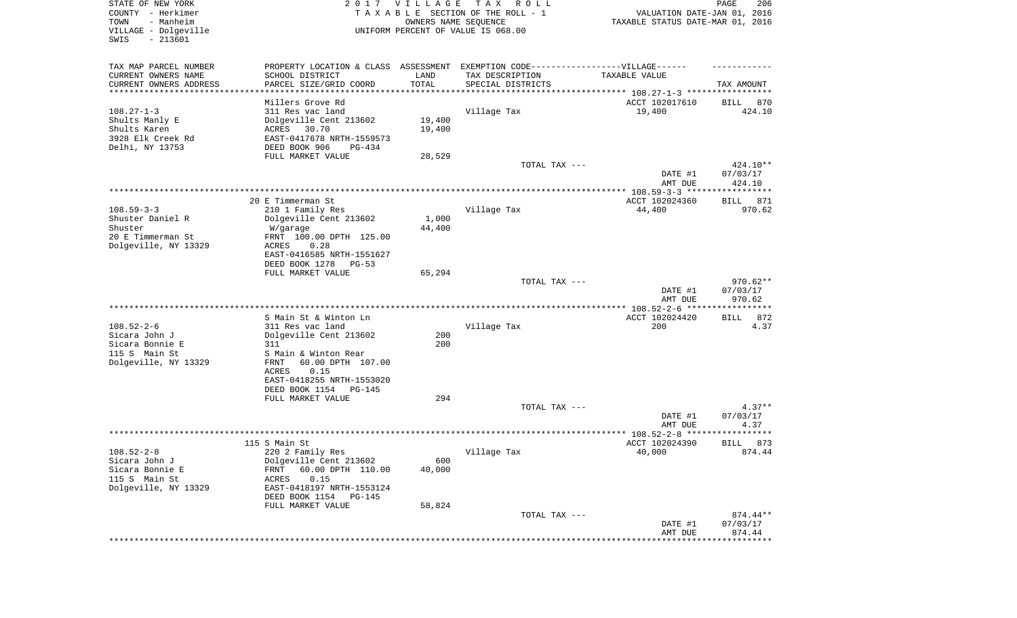| STATE OF NEW YORK<br>COUNTY - Herkimer<br>TOWN<br>- Manheim<br>VILLAGE - Dolgeville<br>$-213601$<br>SWIS | 2017                                                                             | V I L L A G E | T A X<br>R O L L<br>TAXABLE SECTION OF THE ROLL - 1<br>OWNERS NAME SEQUENCE<br>UNIFORM PERCENT OF VALUE IS 068.00 | VALUATION DATE-JAN 01, 2016<br>TAXABLE STATUS DATE-MAR 01, 2016   | PAGE<br>206  |
|----------------------------------------------------------------------------------------------------------|----------------------------------------------------------------------------------|---------------|-------------------------------------------------------------------------------------------------------------------|-------------------------------------------------------------------|--------------|
|                                                                                                          |                                                                                  |               |                                                                                                                   |                                                                   |              |
| TAX MAP PARCEL NUMBER                                                                                    | PROPERTY LOCATION & CLASS ASSESSMENT EXEMPTION CODE----------------VILLAGE------ |               |                                                                                                                   |                                                                   |              |
| CURRENT OWNERS NAME                                                                                      | SCHOOL DISTRICT                                                                  | LAND          | TAX DESCRIPTION                                                                                                   | TAXABLE VALUE                                                     |              |
| CURRENT OWNERS ADDRESS<br>*********************                                                          | PARCEL SIZE/GRID COORD                                                           | TOTAL         | SPECIAL DISTRICTS                                                                                                 | ************************************ 108.27-1-3 ***************** | TAX AMOUNT   |
|                                                                                                          | Millers Grove Rd                                                                 |               |                                                                                                                   | ACCT 102017610                                                    | 870<br>BILL  |
| $108.27 - 1 - 3$                                                                                         | 311 Res vac land                                                                 |               | Village Tax                                                                                                       | 19,400                                                            | 424.10       |
| Shults Manly E                                                                                           | Dolgeville Cent 213602                                                           | 19,400        |                                                                                                                   |                                                                   |              |
| Shults Karen                                                                                             | 30.70<br>ACRES                                                                   | 19,400        |                                                                                                                   |                                                                   |              |
| 3928 Elk Creek Rd                                                                                        | EAST-0417678 NRTH-1559573                                                        |               |                                                                                                                   |                                                                   |              |
| Delhi, NY 13753                                                                                          | DEED BOOK 906<br>PG-434                                                          |               |                                                                                                                   |                                                                   |              |
|                                                                                                          | FULL MARKET VALUE                                                                | 28,529        | TOTAL TAX ---                                                                                                     |                                                                   | 424.10**     |
|                                                                                                          |                                                                                  |               |                                                                                                                   | DATE #1                                                           | 07/03/17     |
|                                                                                                          |                                                                                  |               |                                                                                                                   | AMT DUE                                                           | 424.10       |
|                                                                                                          |                                                                                  |               |                                                                                                                   |                                                                   |              |
|                                                                                                          | 20 E Timmerman St                                                                |               |                                                                                                                   | ACCT 102024360                                                    | 871<br>BILL  |
| $108.59 - 3 - 3$                                                                                         | 210 1 Family Res                                                                 |               | Village Tax                                                                                                       | 44,400                                                            | 970.62       |
| Shuster Daniel R                                                                                         | Dolgeville Cent 213602                                                           | 1,000         |                                                                                                                   |                                                                   |              |
| Shuster                                                                                                  | W/garage                                                                         | 44,400        |                                                                                                                   |                                                                   |              |
| 20 E Timmerman St                                                                                        | FRNT 100.00 DPTH 125.00<br>ACRES<br>0.28                                         |               |                                                                                                                   |                                                                   |              |
| Dolgeville, NY 13329                                                                                     | EAST-0416585 NRTH-1551627                                                        |               |                                                                                                                   |                                                                   |              |
|                                                                                                          | DEED BOOK 1278<br>$PG-53$                                                        |               |                                                                                                                   |                                                                   |              |
|                                                                                                          | FULL MARKET VALUE                                                                | 65,294        |                                                                                                                   |                                                                   |              |
|                                                                                                          |                                                                                  |               | TOTAL TAX ---                                                                                                     |                                                                   | $970.62**$   |
|                                                                                                          |                                                                                  |               |                                                                                                                   | DATE #1                                                           | 07/03/17     |
|                                                                                                          |                                                                                  |               |                                                                                                                   | AMT DUE                                                           | 970.62       |
|                                                                                                          | S Main St & Winton Ln                                                            |               |                                                                                                                   | ACCT 102024420                                                    | 872<br>BILL  |
| $108.52 - 2 - 6$                                                                                         | 311 Res vac land                                                                 |               | Village Tax                                                                                                       | 200                                                               | 4.37         |
| Sicara John J                                                                                            | Dolgeville Cent 213602                                                           | 200           |                                                                                                                   |                                                                   |              |
| Sicara Bonnie E                                                                                          | 311                                                                              | 200           |                                                                                                                   |                                                                   |              |
| 115 S Main St                                                                                            | S Main & Winton Rear                                                             |               |                                                                                                                   |                                                                   |              |
| Dolgeville, NY 13329                                                                                     | 60.00 DPTH 107.00<br>FRNT                                                        |               |                                                                                                                   |                                                                   |              |
|                                                                                                          | 0.15<br>ACRES                                                                    |               |                                                                                                                   |                                                                   |              |
|                                                                                                          | EAST-0418255 NRTH-1553020                                                        |               |                                                                                                                   |                                                                   |              |
|                                                                                                          | DEED BOOK 1154<br>PG-145                                                         | 294           |                                                                                                                   |                                                                   |              |
|                                                                                                          | FULL MARKET VALUE                                                                |               | TOTAL TAX ---                                                                                                     |                                                                   | $4.37**$     |
|                                                                                                          |                                                                                  |               |                                                                                                                   | DATE #1                                                           | 07/03/17     |
|                                                                                                          |                                                                                  |               |                                                                                                                   | AMT DUE                                                           | 4.37         |
|                                                                                                          |                                                                                  |               |                                                                                                                   | ******************* 108.52-2-8 *****                              | ***********  |
|                                                                                                          | 115 S Main St                                                                    |               |                                                                                                                   | ACCT 102024390                                                    | 873<br>BILL  |
| $108.52 - 2 - 8$                                                                                         | 220 2 Family Res                                                                 |               | Village Tax                                                                                                       | 40,000                                                            | 874.44       |
| Sicara John J<br>Sicara Bonnie E                                                                         | Dolgeville Cent 213602<br>60.00 DPTH 110.00<br>FRNT                              | 600<br>40,000 |                                                                                                                   |                                                                   |              |
| 115 S Main St                                                                                            | 0.15<br>ACRES                                                                    |               |                                                                                                                   |                                                                   |              |
| Dolgeville, NY 13329                                                                                     | EAST-0418197 NRTH-1553124                                                        |               |                                                                                                                   |                                                                   |              |
|                                                                                                          | DEED BOOK 1154<br><b>PG-145</b>                                                  |               |                                                                                                                   |                                                                   |              |
|                                                                                                          | FULL MARKET VALUE                                                                | 58,824        |                                                                                                                   |                                                                   |              |
|                                                                                                          |                                                                                  |               | TOTAL TAX ---                                                                                                     |                                                                   | $874.44**$   |
|                                                                                                          |                                                                                  |               |                                                                                                                   | DATE #1                                                           | 07/03/17     |
|                                                                                                          |                                                                                  |               |                                                                                                                   | AMT DUE                                                           | 874.44       |
|                                                                                                          |                                                                                  |               |                                                                                                                   |                                                                   | ************ |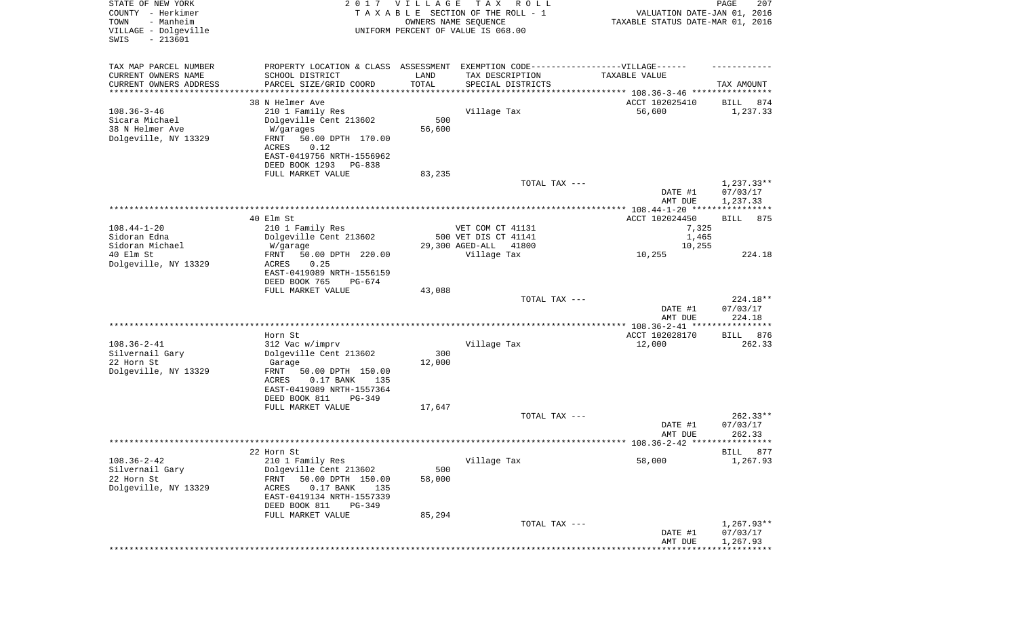| STATE OF NEW YORK<br>COUNTY - Herkimer<br>- Manheim<br>TOWN<br>VILLAGE - Dolgeville<br>$-213601$<br>SWIS |                                                                                   | 2017 VILLAGE<br>OWNERS NAME SEQUENCE | T A X<br>R O L L<br>TAXABLE SECTION OF THE ROLL - 1<br>UNIFORM PERCENT OF VALUE IS 068.00 | VALUATION DATE-JAN 01, 2016<br>TAXABLE STATUS DATE-MAR 01, 2016 | PAGE<br>207              |
|----------------------------------------------------------------------------------------------------------|-----------------------------------------------------------------------------------|--------------------------------------|-------------------------------------------------------------------------------------------|-----------------------------------------------------------------|--------------------------|
| TAX MAP PARCEL NUMBER                                                                                    | PROPERTY LOCATION & CLASS ASSESSMENT EXEMPTION CODE-----------------VILLAGE------ |                                      |                                                                                           |                                                                 |                          |
| CURRENT OWNERS NAME                                                                                      | SCHOOL DISTRICT                                                                   | LAND<br>TOTAL                        | TAX DESCRIPTION                                                                           | TAXABLE VALUE                                                   |                          |
| CURRENT OWNERS ADDRESS<br>*********************                                                          | PARCEL SIZE/GRID COORD<br>*******************                                     | * * * * * * * * * * *                | SPECIAL DISTRICTS                                                                         |                                                                 | TAX AMOUNT               |
|                                                                                                          | 38 N Helmer Ave                                                                   |                                      |                                                                                           | ACCT 102025410                                                  | BILL<br>874              |
| $108.36 - 3 - 46$                                                                                        | 210 1 Family Res                                                                  |                                      | Village Tax                                                                               | 56,600                                                          | 1,237.33                 |
| Sicara Michael                                                                                           | Dolgeville Cent 213602                                                            | 500                                  |                                                                                           |                                                                 |                          |
| 38 N Helmer Ave                                                                                          | W/garages                                                                         | 56,600                               |                                                                                           |                                                                 |                          |
| Dolgeville, NY 13329                                                                                     | FRNT<br>50.00 DPTH 170.00<br>ACRES<br>0.12                                        |                                      |                                                                                           |                                                                 |                          |
|                                                                                                          | EAST-0419756 NRTH-1556962                                                         |                                      |                                                                                           |                                                                 |                          |
|                                                                                                          | DEED BOOK 1293<br>PG-838                                                          |                                      |                                                                                           |                                                                 |                          |
|                                                                                                          | FULL MARKET VALUE                                                                 | 83,235                               |                                                                                           |                                                                 |                          |
|                                                                                                          |                                                                                   |                                      | TOTAL TAX ---                                                                             |                                                                 | $1,237.33**$             |
|                                                                                                          |                                                                                   |                                      |                                                                                           | DATE #1<br>AMT DUE                                              | 07/03/17<br>1,237.33     |
|                                                                                                          | 40 Elm St                                                                         |                                      |                                                                                           | ACCT 102024450                                                  | BILL<br>875              |
| $108.44 - 1 - 20$                                                                                        | 210 1 Family Res                                                                  |                                      | VET COM CT 41131                                                                          | 7,325                                                           |                          |
| Sidoran Edna                                                                                             | Dolgeville Cent 213602                                                            |                                      | 500 VET DIS CT 41141                                                                      | 1,465                                                           |                          |
| Sidoran Michael                                                                                          | W/garage                                                                          |                                      | 29,300 AGED-ALL<br>41800                                                                  | 10,255                                                          |                          |
| 40 Elm St<br>Dolgeville, NY 13329                                                                        | FRNT<br>50.00 DPTH 220.00<br>ACRES<br>0.25                                        |                                      | Village Tax                                                                               | 10,255                                                          | 224.18                   |
|                                                                                                          | EAST-0419089 NRTH-1556159                                                         |                                      |                                                                                           |                                                                 |                          |
|                                                                                                          | DEED BOOK 765<br>$PG-674$                                                         |                                      |                                                                                           |                                                                 |                          |
|                                                                                                          | FULL MARKET VALUE                                                                 | 43,088                               |                                                                                           |                                                                 |                          |
|                                                                                                          |                                                                                   |                                      | TOTAL TAX ---                                                                             |                                                                 | 224.18**                 |
|                                                                                                          |                                                                                   |                                      |                                                                                           | DATE #1<br>AMT DUE                                              | 07/03/17<br>224.18       |
|                                                                                                          |                                                                                   |                                      |                                                                                           |                                                                 |                          |
|                                                                                                          | Horn St                                                                           |                                      |                                                                                           | ACCT 102028170                                                  | 876<br>BILL              |
| $108.36 - 2 - 41$                                                                                        | 312 Vac w/imprv                                                                   |                                      | Village Tax                                                                               | 12,000                                                          | 262.33                   |
| Silvernail Gary                                                                                          | Dolgeville Cent 213602                                                            | 300                                  |                                                                                           |                                                                 |                          |
| 22 Horn St<br>Dolgeville, NY 13329                                                                       | Garage<br>FRNT<br>50.00 DPTH 150.00                                               | 12,000                               |                                                                                           |                                                                 |                          |
|                                                                                                          | ACRES<br>$0.17$ BANK<br>135                                                       |                                      |                                                                                           |                                                                 |                          |
|                                                                                                          | EAST-0419089 NRTH-1557364                                                         |                                      |                                                                                           |                                                                 |                          |
|                                                                                                          | DEED BOOK 811<br>$PG-349$                                                         |                                      |                                                                                           |                                                                 |                          |
|                                                                                                          | FULL MARKET VALUE                                                                 | 17,647                               |                                                                                           |                                                                 |                          |
|                                                                                                          |                                                                                   |                                      | TOTAL TAX ---                                                                             | DATE #1                                                         | $262.33**$<br>07/03/17   |
|                                                                                                          |                                                                                   |                                      |                                                                                           | AMT DUE                                                         | 262.33                   |
|                                                                                                          |                                                                                   |                                      |                                                                                           |                                                                 |                          |
|                                                                                                          | 22 Horn St                                                                        |                                      |                                                                                           |                                                                 | BILL 877                 |
| $108.36 - 2 - 42$                                                                                        | 210 1 Family Res                                                                  |                                      | Village Tax                                                                               | 58,000                                                          | 1,267.93                 |
| Silvernail Gary<br>22 Horn St                                                                            | Dolgeville Cent 213602<br>50.00 DPTH 150.00<br>FRNT                               | 500<br>58,000                        |                                                                                           |                                                                 |                          |
| Dolgeville, NY 13329                                                                                     | $0.17$ BANK<br>ACRES<br>135                                                       |                                      |                                                                                           |                                                                 |                          |
|                                                                                                          | EAST-0419134 NRTH-1557339                                                         |                                      |                                                                                           |                                                                 |                          |
|                                                                                                          | DEED BOOK 811<br>PG-349                                                           |                                      |                                                                                           |                                                                 |                          |
|                                                                                                          | FULL MARKET VALUE                                                                 | 85,294                               |                                                                                           |                                                                 |                          |
|                                                                                                          |                                                                                   |                                      | TOTAL TAX ---                                                                             | DATE #1                                                         | $1,267.93**$<br>07/03/17 |
|                                                                                                          |                                                                                   |                                      |                                                                                           | AMT DUE                                                         | 1,267.93                 |
|                                                                                                          |                                                                                   |                                      |                                                                                           |                                                                 |                          |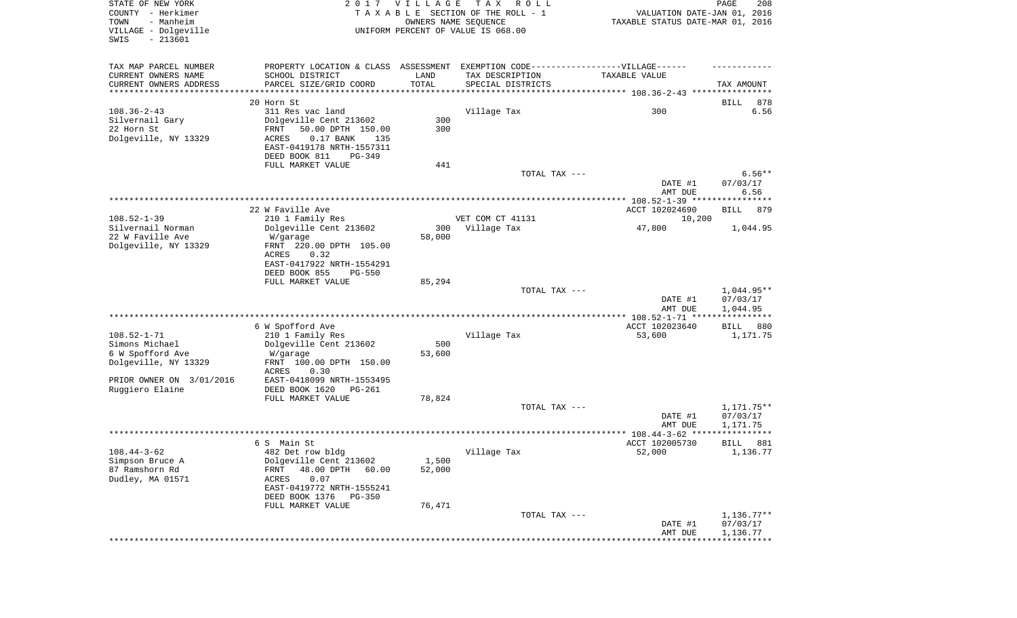| STATE OF NEW YORK<br>COUNTY - Herkimer<br>- Manheim<br>TOWN<br>VILLAGE - Dolgeville<br>SWIS<br>$-213601$ |                                                                                  | 2017 VILLAGE         | T A X<br>R O L L<br>TAXABLE SECTION OF THE ROLL - 1<br>OWNERS NAME SEQUENCE<br>UNIFORM PERCENT OF VALUE IS 068.00 | VALUATION DATE-JAN 01, 2016<br>TAXABLE STATUS DATE-MAR 01, 2016 | PAGE<br>208                       |
|----------------------------------------------------------------------------------------------------------|----------------------------------------------------------------------------------|----------------------|-------------------------------------------------------------------------------------------------------------------|-----------------------------------------------------------------|-----------------------------------|
| TAX MAP PARCEL NUMBER                                                                                    | PROPERTY LOCATION & CLASS ASSESSMENT EXEMPTION CODE----------------VILLAGE------ |                      |                                                                                                                   |                                                                 |                                   |
| CURRENT OWNERS NAME                                                                                      | SCHOOL DISTRICT                                                                  | LAND                 | TAX DESCRIPTION                                                                                                   | TAXABLE VALUE                                                   |                                   |
| CURRENT OWNERS ADDRESS<br>*********************                                                          | PARCEL SIZE/GRID COORD<br>*******************                                    | TOTAL<br>*********** | SPECIAL DISTRICTS                                                                                                 |                                                                 | TAX AMOUNT                        |
|                                                                                                          | 20 Horn St                                                                       |                      |                                                                                                                   |                                                                 | 878<br>BILL                       |
| $108.36 - 2 - 43$                                                                                        | 311 Res vac land                                                                 |                      | Village Tax                                                                                                       | 300                                                             | 6.56                              |
| Silvernail Gary                                                                                          | Dolgeville Cent 213602                                                           | 300                  |                                                                                                                   |                                                                 |                                   |
| 22 Horn St                                                                                               | 50.00 DPTH 150.00<br>FRNT                                                        | 300                  |                                                                                                                   |                                                                 |                                   |
| Dolgeville, NY 13329                                                                                     | ACRES<br>$0.17$ BANK<br>135<br>EAST-0419178 NRTH-1557311                         |                      |                                                                                                                   |                                                                 |                                   |
|                                                                                                          | DEED BOOK 811<br>PG-349                                                          |                      |                                                                                                                   |                                                                 |                                   |
|                                                                                                          | FULL MARKET VALUE                                                                | 441                  |                                                                                                                   |                                                                 |                                   |
|                                                                                                          |                                                                                  |                      | TOTAL TAX ---                                                                                                     |                                                                 | $6.56**$                          |
|                                                                                                          |                                                                                  |                      |                                                                                                                   | DATE #1                                                         | 07/03/17                          |
|                                                                                                          |                                                                                  |                      |                                                                                                                   | AMT DUE                                                         | 6.56                              |
|                                                                                                          | 22 W Faville Ave                                                                 |                      |                                                                                                                   | ACCT 102024690                                                  | <b>BILL</b><br>879                |
| $108.52 - 1 - 39$                                                                                        | 210 1 Family Res                                                                 |                      | VET COM CT 41131                                                                                                  | 10,200                                                          |                                   |
| Silvernail Norman                                                                                        | Dolgeville Cent 213602                                                           | 300                  | Village Tax                                                                                                       | 47,800                                                          | 1,044.95                          |
| 22 W Faville Ave<br>Dolgeville, NY 13329                                                                 | W/garage<br>FRNT 220.00 DPTH 105.00                                              | 58,000               |                                                                                                                   |                                                                 |                                   |
|                                                                                                          | ACRES<br>0.32                                                                    |                      |                                                                                                                   |                                                                 |                                   |
|                                                                                                          | EAST-0417922 NRTH-1554291                                                        |                      |                                                                                                                   |                                                                 |                                   |
|                                                                                                          | DEED BOOK 855<br><b>PG-550</b>                                                   |                      |                                                                                                                   |                                                                 |                                   |
|                                                                                                          | FULL MARKET VALUE                                                                | 85,294               |                                                                                                                   |                                                                 | 1,044.95**                        |
|                                                                                                          |                                                                                  |                      | TOTAL TAX ---                                                                                                     | DATE #1                                                         | 07/03/17                          |
|                                                                                                          |                                                                                  |                      |                                                                                                                   | AMT DUE                                                         | 1,044.95                          |
|                                                                                                          |                                                                                  |                      |                                                                                                                   | ************* 108.52-1-71 *****************                     |                                   |
|                                                                                                          | 6 W Spofford Ave                                                                 |                      |                                                                                                                   | ACCT 102023640                                                  | 880<br>BILL                       |
| $108.52 - 1 - 71$<br>Simons Michael                                                                      | 210 1 Family Res<br>Dolgeville Cent 213602                                       | 500                  | Village Tax                                                                                                       | 53,600                                                          | 1,171.75                          |
| 6 W Spofford Ave                                                                                         | W/garage                                                                         | 53,600               |                                                                                                                   |                                                                 |                                   |
| Dolgeville, NY 13329                                                                                     | FRNT 100.00 DPTH 150.00                                                          |                      |                                                                                                                   |                                                                 |                                   |
|                                                                                                          | ACRES<br>0.30                                                                    |                      |                                                                                                                   |                                                                 |                                   |
| PRIOR OWNER ON 3/01/2016<br>Ruggiero Elaine                                                              | EAST-0418099 NRTH-1553495<br>DEED BOOK 1620<br>PG-261                            |                      |                                                                                                                   |                                                                 |                                   |
|                                                                                                          | FULL MARKET VALUE                                                                | 78,824               |                                                                                                                   |                                                                 |                                   |
|                                                                                                          |                                                                                  |                      | TOTAL TAX ---                                                                                                     |                                                                 | 1,171.75**                        |
|                                                                                                          |                                                                                  |                      |                                                                                                                   | DATE #1                                                         | 07/03/17                          |
|                                                                                                          |                                                                                  |                      |                                                                                                                   | AMT DUE                                                         | 1,171.75<br>* * * * * * * * * * * |
|                                                                                                          | 6 S – Main St                                                                    |                      |                                                                                                                   | ACCT 102005730                                                  | 881<br>BILL                       |
| $108.44 - 3 - 62$                                                                                        | 482 Det row bldg                                                                 |                      | Village Tax                                                                                                       | 52,000                                                          | 1,136.77                          |
| Simpson Bruce A                                                                                          | Dolgeville Cent 213602                                                           | 1,500                |                                                                                                                   |                                                                 |                                   |
| 87 Ramshorn Rd                                                                                           | 48.00 DPTH<br>FRNT<br>60.00                                                      | 52,000               |                                                                                                                   |                                                                 |                                   |
| Dudley, MA 01571                                                                                         | 0.07<br>ACRES<br>EAST-0419772 NRTH-1555241                                       |                      |                                                                                                                   |                                                                 |                                   |
|                                                                                                          | DEED BOOK 1376<br>$PG-350$                                                       |                      |                                                                                                                   |                                                                 |                                   |
|                                                                                                          | FULL MARKET VALUE                                                                | 76,471               |                                                                                                                   |                                                                 |                                   |
|                                                                                                          |                                                                                  |                      | TOTAL TAX ---                                                                                                     |                                                                 | $1,136.77**$                      |
|                                                                                                          |                                                                                  |                      |                                                                                                                   | DATE #1<br>AMT DUE                                              | 07/03/17<br>1,136.77              |
|                                                                                                          |                                                                                  |                      |                                                                                                                   |                                                                 |                                   |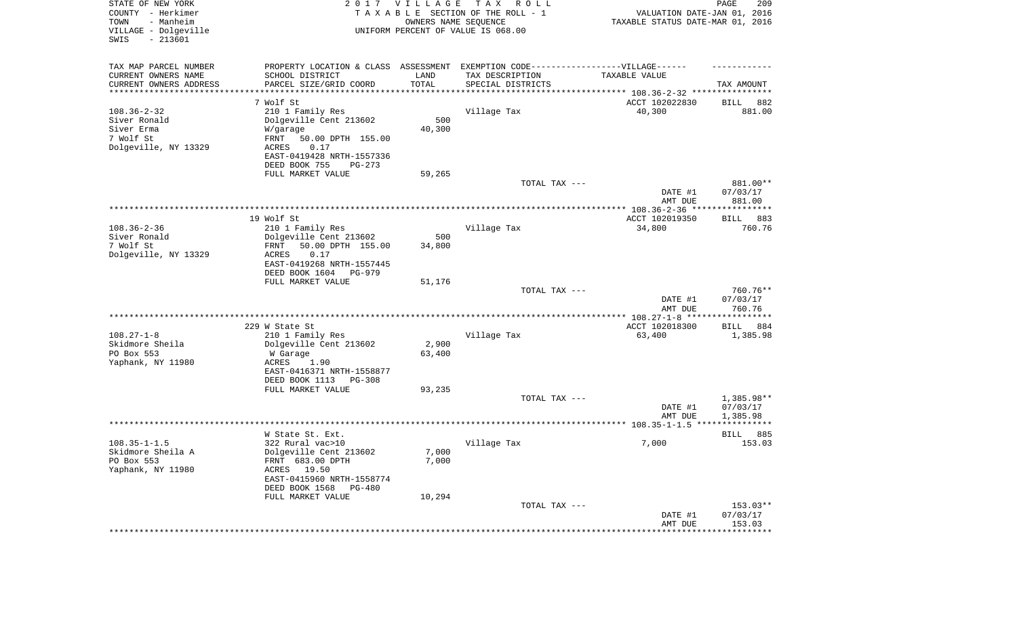| STATE OF NEW YORK<br>COUNTY - Herkimer<br>TOWN<br>- Manheim<br>VILLAGE - Dolgeville<br>$-213601$<br>SWIS | 2 0 1 7                                      | <b>VILLAGE</b><br>OWNERS NAME SEQUENCE | TAX ROLL<br>TAXABLE SECTION OF THE ROLL - 1<br>UNIFORM PERCENT OF VALUE IS 068.00 | VALUATION DATE-JAN 01, 2016<br>TAXABLE STATUS DATE-MAR 01, 2016              | 209<br>PAGE          |
|----------------------------------------------------------------------------------------------------------|----------------------------------------------|----------------------------------------|-----------------------------------------------------------------------------------|------------------------------------------------------------------------------|----------------------|
|                                                                                                          |                                              |                                        |                                                                                   |                                                                              |                      |
| TAX MAP PARCEL NUMBER                                                                                    | PROPERTY LOCATION & CLASS ASSESSMENT         |                                        | EXEMPTION CODE-----------------VILLAGE------                                      |                                                                              |                      |
| CURRENT OWNERS NAME                                                                                      | SCHOOL DISTRICT                              | LAND                                   | TAX DESCRIPTION                                                                   | TAXABLE VALUE                                                                |                      |
| CURRENT OWNERS ADDRESS<br>*********************                                                          | PARCEL SIZE/GRID COORD                       | TOTAL<br>* * * * * * * * * * *         | SPECIAL DISTRICTS                                                                 |                                                                              | TAX AMOUNT           |
|                                                                                                          | 7 Wolf St                                    |                                        |                                                                                   | ***************************** 108.36-2-32 ****************<br>ACCT 102022830 | 882<br>BILL          |
| $108.36 - 2 - 32$                                                                                        | 210 1 Family Res                             |                                        | Village Tax                                                                       | 40,300                                                                       | 881.00               |
| Siver Ronald                                                                                             | Dolgeville Cent 213602                       | 500                                    |                                                                                   |                                                                              |                      |
| Siver Erma                                                                                               | W/garage                                     | 40,300                                 |                                                                                   |                                                                              |                      |
| 7 Wolf St                                                                                                | FRNT<br>50.00 DPTH 155.00                    |                                        |                                                                                   |                                                                              |                      |
| Dolgeville, NY 13329                                                                                     | 0.17<br>ACRES                                |                                        |                                                                                   |                                                                              |                      |
|                                                                                                          | EAST-0419428 NRTH-1557336                    |                                        |                                                                                   |                                                                              |                      |
|                                                                                                          | DEED BOOK 755<br>PG-273<br>FULL MARKET VALUE | 59,265                                 |                                                                                   |                                                                              |                      |
|                                                                                                          |                                              |                                        | TOTAL TAX ---                                                                     |                                                                              | 881.00**             |
|                                                                                                          |                                              |                                        |                                                                                   | DATE #1                                                                      | 07/03/17             |
|                                                                                                          |                                              |                                        |                                                                                   | AMT DUE                                                                      | 881.00               |
|                                                                                                          |                                              |                                        |                                                                                   |                                                                              |                      |
| $108.36 - 2 - 36$                                                                                        | 19 Wolf St                                   |                                        |                                                                                   | ACCT 102019350                                                               | BILL<br>883          |
| Siver Ronald                                                                                             | 210 1 Family Res<br>Dolgeville Cent 213602   | 500                                    | Village Tax                                                                       | 34,800                                                                       | 760.76               |
| 7 Wolf St                                                                                                | 50.00 DPTH 155.00<br>FRNT                    | 34,800                                 |                                                                                   |                                                                              |                      |
| Dolgeville, NY 13329                                                                                     | ACRES<br>0.17                                |                                        |                                                                                   |                                                                              |                      |
|                                                                                                          | EAST-0419268 NRTH-1557445                    |                                        |                                                                                   |                                                                              |                      |
|                                                                                                          | DEED BOOK 1604<br><b>PG-979</b>              |                                        |                                                                                   |                                                                              |                      |
|                                                                                                          | FULL MARKET VALUE                            | 51,176                                 | TOTAL TAX ---                                                                     |                                                                              | 760.76**             |
|                                                                                                          |                                              |                                        |                                                                                   | DATE #1                                                                      | 07/03/17             |
|                                                                                                          |                                              |                                        |                                                                                   | AMT DUE                                                                      | 760.76               |
|                                                                                                          |                                              |                                        |                                                                                   | *************** 108.27-1-8 ******************                                |                      |
|                                                                                                          | 229 W State St                               |                                        |                                                                                   | ACCT 102018300                                                               | BILL<br>884          |
| $108.27 - 1 - 8$                                                                                         | 210 1 Family Res                             |                                        | Village Tax                                                                       | 63,400                                                                       | 1,385.98             |
| Skidmore Sheila<br>PO Box 553                                                                            | Dolgeville Cent 213602<br>W Garage           | 2,900<br>63,400                        |                                                                                   |                                                                              |                      |
| Yaphank, NY 11980                                                                                        | ACRES<br>1.90                                |                                        |                                                                                   |                                                                              |                      |
|                                                                                                          | EAST-0416371 NRTH-1558877                    |                                        |                                                                                   |                                                                              |                      |
|                                                                                                          | DEED BOOK 1113<br>PG-308                     |                                        |                                                                                   |                                                                              |                      |
|                                                                                                          | FULL MARKET VALUE                            | 93,235                                 |                                                                                   |                                                                              |                      |
|                                                                                                          |                                              |                                        | TOTAL TAX ---                                                                     |                                                                              | $1,385.98**$         |
|                                                                                                          |                                              |                                        |                                                                                   | DATE #1<br>AMT DUE                                                           | 07/03/17<br>1,385.98 |
|                                                                                                          |                                              |                                        |                                                                                   |                                                                              |                      |
|                                                                                                          | W State St. Ext.                             |                                        |                                                                                   |                                                                              | 885<br>BILL          |
| $108.35 - 1 - 1.5$                                                                                       | 322 Rural vac>10                             |                                        | Village Tax                                                                       | 7,000                                                                        | 153.03               |
| Skidmore Sheila A                                                                                        | Dolgeville Cent 213602                       | 7,000                                  |                                                                                   |                                                                              |                      |
| PO Box 553                                                                                               | FRNT 683.00 DPTH                             | 7,000                                  |                                                                                   |                                                                              |                      |
| Yaphank, NY 11980                                                                                        | ACRES 19.50<br>EAST-0415960 NRTH-1558774     |                                        |                                                                                   |                                                                              |                      |
|                                                                                                          | DEED BOOK 1568<br>PG-480                     |                                        |                                                                                   |                                                                              |                      |
|                                                                                                          | FULL MARKET VALUE                            | 10,294                                 |                                                                                   |                                                                              |                      |
|                                                                                                          |                                              |                                        | TOTAL TAX ---                                                                     |                                                                              | $153.03**$           |
|                                                                                                          |                                              |                                        |                                                                                   | DATE #1                                                                      | 07/03/17             |
|                                                                                                          |                                              |                                        |                                                                                   | AMT DUE                                                                      | 153.03               |
|                                                                                                          |                                              |                                        |                                                                                   | **********************************                                           |                      |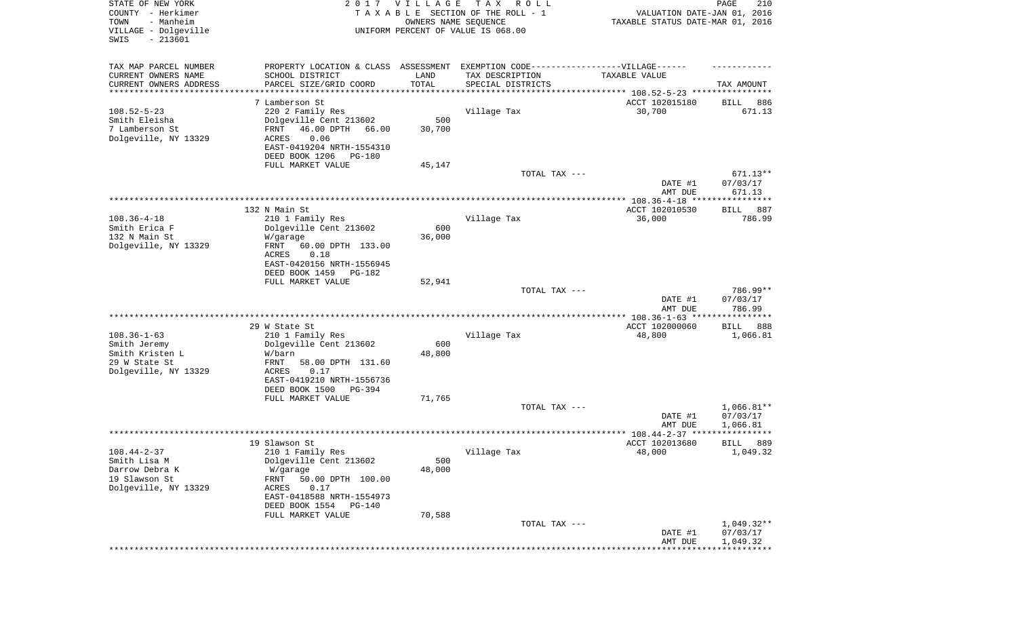| STATE OF NEW YORK<br>COUNTY - Herkimer<br>- Manheim<br>TOWN<br>VILLAGE - Dolgeville<br>SWIS<br>$-213601$ |                                                                                                                                                                                                     | 2017 VILLAGE<br>OWNERS NAME SEQUENCE | T A X<br>R O L L<br>TAXABLE SECTION OF THE ROLL - 1<br>UNIFORM PERCENT OF VALUE IS 068.00            | VALUATION DATE-JAN 01, 2016<br>TAXABLE STATUS DATE-MAR 01, 2016 | PAGE<br>210                          |
|----------------------------------------------------------------------------------------------------------|-----------------------------------------------------------------------------------------------------------------------------------------------------------------------------------------------------|--------------------------------------|------------------------------------------------------------------------------------------------------|-----------------------------------------------------------------|--------------------------------------|
| TAX MAP PARCEL NUMBER<br>CURRENT OWNERS NAME                                                             | SCHOOL DISTRICT                                                                                                                                                                                     | LAND                                 | PROPERTY LOCATION & CLASS ASSESSMENT EXEMPTION CODE-----------------VILLAGE------<br>TAX DESCRIPTION | TAXABLE VALUE                                                   |                                      |
| CURRENT OWNERS ADDRESS<br>********************                                                           | PARCEL SIZE/GRID COORD                                                                                                                                                                              | TOTAL                                | SPECIAL DISTRICTS                                                                                    |                                                                 | TAX AMOUNT                           |
|                                                                                                          | 7 Lamberson St                                                                                                                                                                                      |                                      |                                                                                                      | ACCT 102015180                                                  | BILL<br>886                          |
| $108.52 - 5 - 23$<br>Smith Eleisha<br>7 Lamberson St<br>Dolgeville, NY 13329                             | 220 2 Family Res<br>Dolgeville Cent 213602<br>FRNT<br>46.00 DPTH<br>66.00<br>0.06<br>ACRES<br>EAST-0419204 NRTH-1554310                                                                             | 500<br>30,700                        | Village Tax                                                                                          | 30,700                                                          | 671.13                               |
|                                                                                                          | DEED BOOK 1206<br>PG-180                                                                                                                                                                            |                                      |                                                                                                      |                                                                 |                                      |
|                                                                                                          | FULL MARKET VALUE                                                                                                                                                                                   | 45,147                               | TOTAL TAX ---                                                                                        | DATE #1<br>AMT DUE                                              | $671.13**$<br>07/03/17<br>671.13     |
|                                                                                                          |                                                                                                                                                                                                     |                                      |                                                                                                      |                                                                 |                                      |
| $108.36 - 4 - 18$<br>Smith Erica F                                                                       | 132 N Main St<br>210 1 Family Res<br>Dolgeville Cent 213602                                                                                                                                         | 600                                  | Village Tax                                                                                          | ACCT 102010530<br>36,000                                        | 887<br>BILL<br>786.99                |
| 132 N Main St<br>Dolgeville, NY 13329                                                                    | W/garage<br>FRNT<br>60.00 DPTH 133.00<br>ACRES<br>0.18<br>EAST-0420156 NRTH-1556945<br>DEED BOOK 1459<br>PG-182                                                                                     | 36,000                               |                                                                                                      |                                                                 |                                      |
|                                                                                                          | FULL MARKET VALUE                                                                                                                                                                                   | 52,941                               | TOTAL TAX ---                                                                                        | DATE #1<br>AMT DUE                                              | 786.99**<br>07/03/17<br>786.99       |
|                                                                                                          |                                                                                                                                                                                                     |                                      |                                                                                                      | *********** 108.36-1-63 *****************                       |                                      |
| $108.36 - 1 - 63$<br>Smith Jeremy<br>Smith Kristen L<br>29 W State St<br>Dolgeville, NY 13329            | 29 W State St<br>210 1 Family Res<br>Dolgeville Cent 213602<br>W/barn<br>FRNT<br>58.00 DPTH 131.60<br>ACRES<br>0.17<br>EAST-0419210 NRTH-1556736<br>DEED BOOK 1500<br>PG-394                        | 600<br>48,800                        | Village Tax                                                                                          | ACCT 102000060<br>48,800                                        | 888<br>BILL<br>1,066.81              |
|                                                                                                          | FULL MARKET VALUE                                                                                                                                                                                   | 71,765                               |                                                                                                      |                                                                 |                                      |
|                                                                                                          |                                                                                                                                                                                                     |                                      | TOTAL TAX ---                                                                                        | DATE #1<br>AMT DUE                                              | $1,066.81**$<br>07/03/17<br>1,066.81 |
|                                                                                                          |                                                                                                                                                                                                     |                                      |                                                                                                      | ******************* 108.44-2-37 ****                            | * * * * *                            |
| $108.44 - 2 - 37$<br>Smith Lisa M<br>Darrow Debra K<br>19 Slawson St<br>Dolgeville, NY 13329             | 19 Slawson St<br>210 1 Family Res<br>Dolgeville Cent 213602<br>W/garage<br>FRNT<br>50.00 DPTH 100.00<br>ACRES<br>0.17<br>EAST-0418588 NRTH-1554973<br>DEED BOOK 1554<br>PG-140<br>FULL MARKET VALUE | 500<br>48,000<br>70,588              | Village Tax                                                                                          | ACCT 102013680<br>48,000                                        | 889<br>BILL<br>1,049.32              |
|                                                                                                          |                                                                                                                                                                                                     |                                      | TOTAL TAX ---                                                                                        | DATE #1                                                         | $1,049.32**$<br>07/03/17             |
|                                                                                                          |                                                                                                                                                                                                     |                                      |                                                                                                      | AMT DUE                                                         | 1,049.32                             |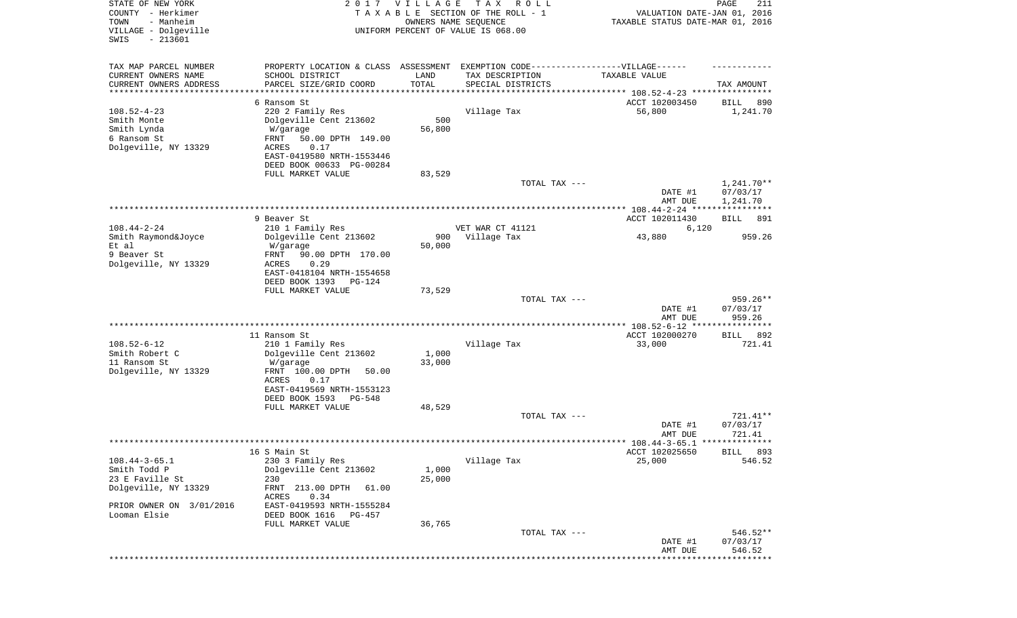| STATE OF NEW YORK<br>COUNTY - Herkimer<br>TOWN<br>- Manheim<br>VILLAGE - Dolgeville<br>$-213601$<br>SWIS | 2017                                                  | <b>VILLAGE</b> | T A X<br>R O L L<br>TAXABLE SECTION OF THE ROLL - 1<br>OWNERS NAME SEQUENCE<br>UNIFORM PERCENT OF VALUE IS 068.00 | VALUATION DATE-JAN 01, 2016<br>TAXABLE STATUS DATE-MAR 01, 2016 | PAGE<br>211            |
|----------------------------------------------------------------------------------------------------------|-------------------------------------------------------|----------------|-------------------------------------------------------------------------------------------------------------------|-----------------------------------------------------------------|------------------------|
| TAX MAP PARCEL NUMBER                                                                                    |                                                       |                | PROPERTY LOCATION & CLASS ASSESSMENT EXEMPTION CODE-----------------VILLAGE------                                 |                                                                 |                        |
| CURRENT OWNERS NAME<br>CURRENT OWNERS ADDRESS                                                            | SCHOOL DISTRICT<br>PARCEL SIZE/GRID COORD             | LAND<br>TOTAL  | TAX DESCRIPTION<br>SPECIAL DISTRICTS                                                                              | TAXABLE VALUE                                                   | TAX AMOUNT             |
| ********************                                                                                     |                                                       |                |                                                                                                                   | ********************************* 108.52-4-23 *******           |                        |
|                                                                                                          | 6 Ransom St                                           |                |                                                                                                                   | ACCT 102003450                                                  | 890<br>BILL            |
| $108.52 - 4 - 23$<br>Smith Monte                                                                         | 220 2 Family Res<br>Dolgeville Cent 213602            | 500            | Village Tax                                                                                                       | 56,800                                                          | 1,241.70               |
| Smith Lynda<br>6 Ransom St                                                                               | W/garage<br>FRNT<br>50.00 DPTH 149.00                 | 56,800         |                                                                                                                   |                                                                 |                        |
| Dolgeville, NY 13329                                                                                     | ACRES<br>0.17                                         |                |                                                                                                                   |                                                                 |                        |
|                                                                                                          | EAST-0419580 NRTH-1553446<br>DEED BOOK 00633 PG-00284 |                |                                                                                                                   |                                                                 |                        |
|                                                                                                          | FULL MARKET VALUE                                     | 83,529         |                                                                                                                   |                                                                 |                        |
|                                                                                                          |                                                       |                | TOTAL TAX ---                                                                                                     | DATE #1                                                         | 1,241.70**<br>07/03/17 |
|                                                                                                          |                                                       |                |                                                                                                                   | AMT DUE<br>**************** 108.44-2-24 *****************       | 1,241.70               |
|                                                                                                          | 9 Beaver St                                           |                |                                                                                                                   | ACCT 102011430                                                  | BILL<br>891            |
| $108.44 - 2 - 24$                                                                                        | 210 1 Family Res                                      |                | VET WAR CT 41121                                                                                                  | 6,120                                                           |                        |
| Smith Raymond&Joyce                                                                                      | Dolgeville Cent 213602                                | 900            | Village Tax                                                                                                       | 43,880                                                          | 959.26                 |
| Et al                                                                                                    | W/garage                                              | 50,000         |                                                                                                                   |                                                                 |                        |
| 9 Beaver St                                                                                              | 90.00 DPTH 170.00<br>FRNT                             |                |                                                                                                                   |                                                                 |                        |
| Dolgeville, NY 13329                                                                                     | ACRES<br>0.29<br>EAST-0418104 NRTH-1554658            |                |                                                                                                                   |                                                                 |                        |
|                                                                                                          | DEED BOOK 1393<br>$PG-124$                            |                |                                                                                                                   |                                                                 |                        |
|                                                                                                          | FULL MARKET VALUE                                     | 73,529         |                                                                                                                   |                                                                 |                        |
|                                                                                                          |                                                       |                | TOTAL TAX ---                                                                                                     |                                                                 | $959.26**$             |
|                                                                                                          |                                                       |                |                                                                                                                   | DATE #1                                                         | 07/03/17               |
|                                                                                                          |                                                       |                |                                                                                                                   | AMT DUE                                                         | 959.26                 |
|                                                                                                          | 11 Ransom St                                          |                |                                                                                                                   | ACCT 102000270                                                  | 892<br>BILL            |
| $108.52 - 6 - 12$                                                                                        | 210 1 Family Res                                      |                | Village Tax                                                                                                       | 33,000                                                          | 721.41                 |
| Smith Robert C                                                                                           | Dolgeville Cent 213602                                | 1,000          |                                                                                                                   |                                                                 |                        |
| 11 Ransom St                                                                                             | W/garage                                              | 33,000         |                                                                                                                   |                                                                 |                        |
| Dolgeville, NY 13329                                                                                     | FRNT 100.00 DPTH<br>50.00                             |                |                                                                                                                   |                                                                 |                        |
|                                                                                                          | ACRES<br>0.17                                         |                |                                                                                                                   |                                                                 |                        |
|                                                                                                          | EAST-0419569 NRTH-1553123<br>DEED BOOK 1593<br>PG-548 |                |                                                                                                                   |                                                                 |                        |
|                                                                                                          | FULL MARKET VALUE                                     | 48,529         |                                                                                                                   |                                                                 |                        |
|                                                                                                          |                                                       |                | TOTAL TAX ---                                                                                                     |                                                                 | 721.41**               |
|                                                                                                          |                                                       |                |                                                                                                                   | DATE #1                                                         | 07/03/17               |
|                                                                                                          |                                                       |                |                                                                                                                   | AMT DUE                                                         | 721.41                 |
|                                                                                                          |                                                       |                |                                                                                                                   |                                                                 |                        |
|                                                                                                          | 16 S Main St                                          |                |                                                                                                                   | ACCT 102025650                                                  | BILL 893               |
| $108.44 - 3 - 65.1$<br>Smith Todd P                                                                      | 230 3 Family Res<br>Dolgeville Cent 213602            | 1,000          | Village Tax                                                                                                       | 25,000                                                          | 546.52                 |
| 23 E Faville St                                                                                          | 230                                                   | 25,000         |                                                                                                                   |                                                                 |                        |
| Dolgeville, NY 13329                                                                                     | FRNT 213.00 DPTH<br>61.00<br>ACRES<br>0.34            |                |                                                                                                                   |                                                                 |                        |
| PRIOR OWNER ON 3/01/2016<br>Looman Elsie                                                                 | EAST-0419593 NRTH-1555284<br>DEED BOOK 1616<br>PG-457 |                |                                                                                                                   |                                                                 |                        |
|                                                                                                          | FULL MARKET VALUE                                     | 36,765         |                                                                                                                   |                                                                 |                        |
|                                                                                                          |                                                       |                | TOTAL TAX ---                                                                                                     |                                                                 | 546.52**               |
|                                                                                                          |                                                       |                |                                                                                                                   | DATE #1<br>AMT DUE                                              | 07/03/17<br>546.52     |
|                                                                                                          |                                                       |                |                                                                                                                   |                                                                 | * * * * * * * * * * *  |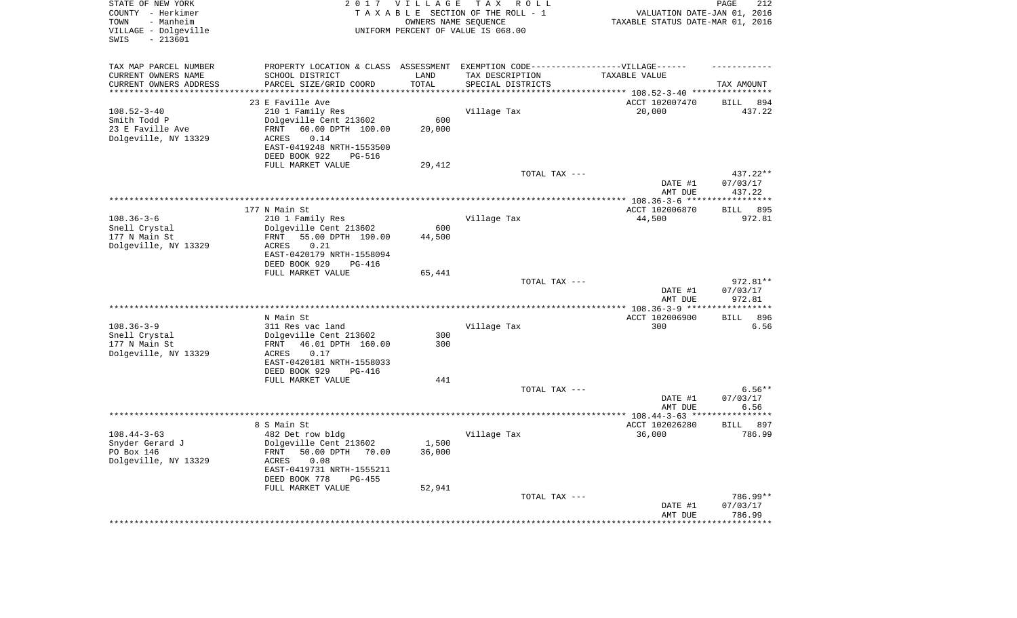| STATE OF NEW YORK<br>COUNTY - Herkimer<br>- Manheim<br>TOWN<br>VILLAGE - Dolgeville<br>$-213601$<br>SWIS |                                                                        | 2017 VILLAGE<br>OWNERS NAME SEQUENCE | T A X<br>R O L L<br>TAXABLE SECTION OF THE ROLL - 1<br>UNIFORM PERCENT OF VALUE IS 068.00 | VALUATION DATE-JAN 01, 2016<br>TAXABLE STATUS DATE-MAR 01, 2016 | PAGE<br>212          |
|----------------------------------------------------------------------------------------------------------|------------------------------------------------------------------------|--------------------------------------|-------------------------------------------------------------------------------------------|-----------------------------------------------------------------|----------------------|
| TAX MAP PARCEL NUMBER                                                                                    |                                                                        |                                      | PROPERTY LOCATION & CLASS ASSESSMENT EXEMPTION CODE-----------------VILLAGE------         |                                                                 |                      |
| CURRENT OWNERS NAME                                                                                      | SCHOOL DISTRICT                                                        | LAND                                 | TAX DESCRIPTION                                                                           | TAXABLE VALUE                                                   |                      |
| CURRENT OWNERS ADDRESS<br>********************                                                           | PARCEL SIZE/GRID COORD                                                 | TOTAL<br>********                    | SPECIAL DISTRICTS                                                                         | ******************************** 108.52-3-40 *****************  | TAX AMOUNT           |
|                                                                                                          | 23 E Faville Ave                                                       |                                      |                                                                                           | ACCT 102007470                                                  | <b>BILL</b><br>894   |
| $108.52 - 3 - 40$                                                                                        | 210 1 Family Res                                                       |                                      | Village Tax                                                                               | 20,000                                                          | 437.22               |
| Smith Todd P                                                                                             | Dolgeville Cent 213602                                                 | 600                                  |                                                                                           |                                                                 |                      |
| 23 E Faville Ave                                                                                         | FRNT<br>60.00 DPTH 100.00                                              | 20,000                               |                                                                                           |                                                                 |                      |
| Dolgeville, NY 13329                                                                                     | 0.14<br>ACRES<br>EAST-0419248 NRTH-1553500                             |                                      |                                                                                           |                                                                 |                      |
|                                                                                                          | DEED BOOK 922<br><b>PG-516</b>                                         |                                      |                                                                                           |                                                                 |                      |
|                                                                                                          | FULL MARKET VALUE                                                      | 29,412                               |                                                                                           |                                                                 |                      |
|                                                                                                          |                                                                        |                                      | TOTAL TAX ---                                                                             | DATE #1                                                         | 437.22**<br>07/03/17 |
|                                                                                                          |                                                                        |                                      |                                                                                           | AMT DUE                                                         | 437.22               |
|                                                                                                          |                                                                        |                                      |                                                                                           | ********* 108.36-3-6 *****                                      | ************         |
|                                                                                                          | 177 N Main St                                                          |                                      |                                                                                           | ACCT 102006870                                                  | 895<br><b>BILL</b>   |
| $108.36 - 3 - 6$                                                                                         | 210 1 Family Res                                                       |                                      | Village Tax                                                                               | 44,500                                                          | 972.81               |
| Snell Crystal                                                                                            | Dolgeville Cent 213602                                                 | 600                                  |                                                                                           |                                                                 |                      |
| 177 N Main St                                                                                            | 55.00 DPTH 190.00<br>FRNT<br>0.21<br>ACRES                             | 44,500                               |                                                                                           |                                                                 |                      |
| Dolgeville, NY 13329                                                                                     | EAST-0420179 NRTH-1558094<br>DEED BOOK 929<br><b>PG-416</b>            |                                      |                                                                                           |                                                                 |                      |
|                                                                                                          | FULL MARKET VALUE                                                      | 65,441                               |                                                                                           |                                                                 |                      |
|                                                                                                          |                                                                        |                                      | TOTAL TAX ---                                                                             |                                                                 | 972.81**             |
|                                                                                                          |                                                                        |                                      |                                                                                           | DATE #1<br>AMT DUE                                              | 07/03/17<br>972.81   |
|                                                                                                          |                                                                        |                                      |                                                                                           | *************** 108.36-3-9 ***                                  | **********           |
|                                                                                                          | N Main St                                                              |                                      |                                                                                           | ACCT 102006900                                                  | 896<br><b>BILL</b>   |
| $108.36 - 3 - 9$<br>Snell Crystal                                                                        | 311 Res vac land<br>Dolgeville Cent 213602                             | 300                                  | Village Tax                                                                               | 300                                                             | 6.56                 |
| 177 N Main St                                                                                            | 46.01 DPTH 160.00<br>FRNT                                              | 300                                  |                                                                                           |                                                                 |                      |
| Dolgeville, NY 13329                                                                                     | 0.17<br>ACRES                                                          |                                      |                                                                                           |                                                                 |                      |
|                                                                                                          | EAST-0420181 NRTH-1558033                                              |                                      |                                                                                           |                                                                 |                      |
|                                                                                                          | DEED BOOK 929<br><b>PG-416</b>                                         |                                      |                                                                                           |                                                                 |                      |
|                                                                                                          | FULL MARKET VALUE                                                      | 441                                  |                                                                                           |                                                                 |                      |
|                                                                                                          |                                                                        |                                      | TOTAL TAX ---                                                                             |                                                                 | $6.56**$             |
|                                                                                                          |                                                                        |                                      |                                                                                           | DATE #1<br>AMT DUE                                              | 07/03/17<br>6.56     |
|                                                                                                          |                                                                        |                                      |                                                                                           | *************** 108.44-3-63 ***                                 | ********             |
|                                                                                                          | 8 S Main St                                                            |                                      |                                                                                           | ACCT 102026280                                                  | BILL 897             |
| $108.44 - 3 - 63$                                                                                        | 482 Det row bldg                                                       |                                      | Village Tax                                                                               | 36,000                                                          | 786.99               |
| Snyder Gerard J<br>PO Box 146<br>Dolgeville, NY 13329                                                    | Dolgeville Cent 213602<br>50.00 DPTH<br>FRNT<br>70.00<br>ACRES<br>0.08 | 1,500<br>36,000                      |                                                                                           |                                                                 |                      |
|                                                                                                          | EAST-0419731 NRTH-1555211<br>DEED BOOK 778<br>$PG-455$                 |                                      |                                                                                           |                                                                 |                      |
|                                                                                                          | FULL MARKET VALUE                                                      | 52,941                               | TOTAL TAX ---                                                                             |                                                                 | 786.99**             |
|                                                                                                          |                                                                        |                                      |                                                                                           | DATE #1<br>AMT DUE                                              | 07/03/17<br>786.99   |
|                                                                                                          |                                                                        |                                      |                                                                                           |                                                                 | ********             |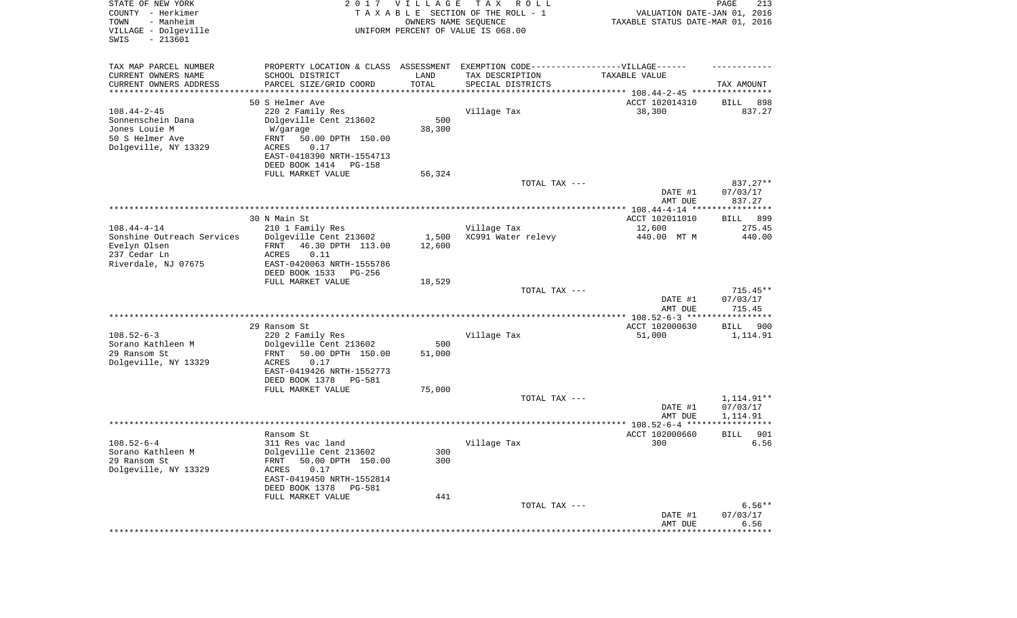| STATE OF NEW YORK<br>COUNTY - Herkimer<br>- Manheim<br>TOWN<br>VILLAGE - Dolgeville<br>SWIS<br>$-213601$ | 2017                                                                             | <b>VILLAGE</b> | T A X<br>R O L L<br>TAXABLE SECTION OF THE ROLL - 1<br>OWNERS NAME SEQUENCE<br>UNIFORM PERCENT OF VALUE IS 068.00 | VALUATION DATE-JAN 01, 2016<br>TAXABLE STATUS DATE-MAR 01, 2016 | PAGE<br>213           |
|----------------------------------------------------------------------------------------------------------|----------------------------------------------------------------------------------|----------------|-------------------------------------------------------------------------------------------------------------------|-----------------------------------------------------------------|-----------------------|
| TAX MAP PARCEL NUMBER                                                                                    | PROPERTY LOCATION & CLASS ASSESSMENT EXEMPTION CODE----------------VILLAGE------ |                |                                                                                                                   |                                                                 |                       |
| CURRENT OWNERS NAME<br>CURRENT OWNERS ADDRESS                                                            | SCHOOL DISTRICT<br>PARCEL SIZE/GRID COORD                                        | LAND<br>TOTAL  | TAX DESCRIPTION<br>SPECIAL DISTRICTS                                                                              | TAXABLE VALUE                                                   | TAX AMOUNT            |
| ********************                                                                                     |                                                                                  |                |                                                                                                                   |                                                                 |                       |
| $108.44 - 2 - 45$                                                                                        | 50 S Helmer Ave<br>220 2 Family Res                                              |                | Village Tax                                                                                                       | ACCT 102014310<br>38,300                                        | 898<br>BILL<br>837.27 |
| Sonnenschein Dana                                                                                        | Dolgeville Cent 213602                                                           | 500            |                                                                                                                   |                                                                 |                       |
| Jones Louie M                                                                                            | W/garage                                                                         | 38,300         |                                                                                                                   |                                                                 |                       |
| 50 S Helmer Ave                                                                                          | FRNT<br>50.00 DPTH 150.00                                                        |                |                                                                                                                   |                                                                 |                       |
| Dolgeville, NY 13329                                                                                     | 0.17<br>ACRES                                                                    |                |                                                                                                                   |                                                                 |                       |
|                                                                                                          | EAST-0418390 NRTH-1554713                                                        |                |                                                                                                                   |                                                                 |                       |
|                                                                                                          | DEED BOOK 1414<br><b>PG-158</b>                                                  |                |                                                                                                                   |                                                                 |                       |
|                                                                                                          | FULL MARKET VALUE                                                                | 56,324         |                                                                                                                   |                                                                 |                       |
|                                                                                                          |                                                                                  |                | TOTAL TAX ---                                                                                                     |                                                                 | 837.27**              |
|                                                                                                          |                                                                                  |                |                                                                                                                   | DATE #1                                                         | 07/03/17              |
|                                                                                                          |                                                                                  |                |                                                                                                                   | AMT DUE                                                         | 837.27                |
|                                                                                                          |                                                                                  |                |                                                                                                                   |                                                                 |                       |
| $108.44 - 4 - 14$                                                                                        | 30 N Main St                                                                     |                |                                                                                                                   | ACCT 102011010                                                  | 899<br>BILL<br>275.45 |
| Sonshine Outreach Services                                                                               | 210 1 Family Res<br>Dolgeville Cent 213602                                       | 1,500          | Village Tax<br>XC991 Water relevy                                                                                 | 12,600<br>440.00 MT M                                           | 440.00                |
| Evelyn Olsen                                                                                             | FRNT<br>46.30 DPTH 113.00                                                        | 12,600         |                                                                                                                   |                                                                 |                       |
| 237 Cedar Ln                                                                                             | ACRES<br>0.11                                                                    |                |                                                                                                                   |                                                                 |                       |
| Riverdale, NJ 07675                                                                                      | EAST-0420063 NRTH-1555786                                                        |                |                                                                                                                   |                                                                 |                       |
|                                                                                                          | DEED BOOK 1533<br>PG-256                                                         |                |                                                                                                                   |                                                                 |                       |
|                                                                                                          | FULL MARKET VALUE                                                                | 18,529         |                                                                                                                   |                                                                 |                       |
|                                                                                                          |                                                                                  |                | TOTAL TAX ---                                                                                                     |                                                                 | $715.45**$            |
|                                                                                                          |                                                                                  |                |                                                                                                                   | DATE #1                                                         | 07/03/17              |
|                                                                                                          |                                                                                  |                |                                                                                                                   | AMT DUE                                                         | 715.45                |
|                                                                                                          |                                                                                  |                |                                                                                                                   | ************* 108.52-6-3 ******************                     |                       |
|                                                                                                          | 29 Ransom St                                                                     |                |                                                                                                                   | ACCT 102000630                                                  | BILL<br>900           |
| $108.52 - 6 - 3$                                                                                         | 220 2 Family Res                                                                 |                | Village Tax                                                                                                       | 51,000                                                          | 1,114.91              |
| Sorano Kathleen M                                                                                        | Dolgeville Cent 213602                                                           | 500            |                                                                                                                   |                                                                 |                       |
| 29 Ransom St                                                                                             | 50.00 DPTH 150.00<br>FRNT<br><b>ACRES</b><br>0.17                                | 51,000         |                                                                                                                   |                                                                 |                       |
| Dolgeville, NY 13329                                                                                     | EAST-0419426 NRTH-1552773                                                        |                |                                                                                                                   |                                                                 |                       |
|                                                                                                          | DEED BOOK 1378<br>PG-581                                                         |                |                                                                                                                   |                                                                 |                       |
|                                                                                                          | FULL MARKET VALUE                                                                | 75,000         |                                                                                                                   |                                                                 |                       |
|                                                                                                          |                                                                                  |                | TOTAL TAX ---                                                                                                     |                                                                 | 1,114.91**            |
|                                                                                                          |                                                                                  |                |                                                                                                                   | DATE #1                                                         | 07/03/17              |
|                                                                                                          |                                                                                  |                |                                                                                                                   | AMT DUE                                                         | 1,114.91              |
|                                                                                                          |                                                                                  |                |                                                                                                                   |                                                                 | ************          |
|                                                                                                          | Ransom St                                                                        |                |                                                                                                                   | ACCT 102000660                                                  | 901<br><b>BILL</b>    |
| $108.52 - 6 - 4$                                                                                         | 311 Res vac land                                                                 |                | Village Tax                                                                                                       | 300                                                             | 6.56                  |
| Sorano Kathleen M                                                                                        | Dolgeville Cent 213602                                                           | 300            |                                                                                                                   |                                                                 |                       |
| 29 Ransom St                                                                                             | 50.00 DPTH 150.00<br>FRNT                                                        | 300            |                                                                                                                   |                                                                 |                       |
| Dolgeville, NY 13329                                                                                     | ACRES<br>0.17                                                                    |                |                                                                                                                   |                                                                 |                       |
|                                                                                                          | EAST-0419450 NRTH-1552814                                                        |                |                                                                                                                   |                                                                 |                       |
|                                                                                                          | DEED BOOK 1378<br>PG-581<br>FULL MARKET VALUE                                    | 441            |                                                                                                                   |                                                                 |                       |
|                                                                                                          |                                                                                  |                | TOTAL TAX ---                                                                                                     |                                                                 | $6.56**$              |
|                                                                                                          |                                                                                  |                |                                                                                                                   | DATE #1                                                         | 07/03/17              |
|                                                                                                          |                                                                                  |                |                                                                                                                   | AMT DUE                                                         | 6.56                  |
|                                                                                                          |                                                                                  |                |                                                                                                                   | ******************                                              | *************         |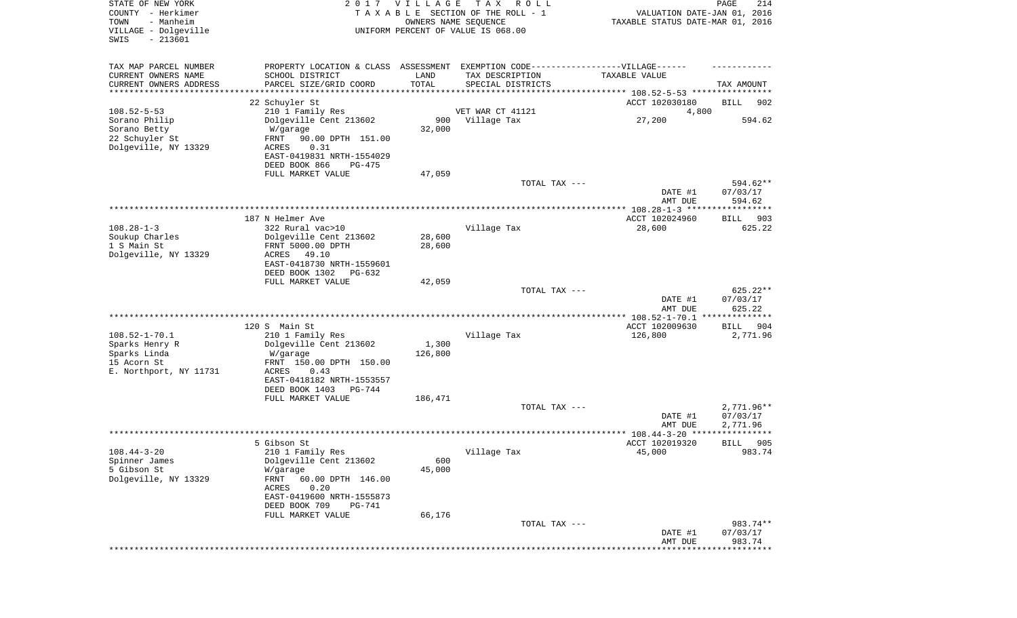| STATE OF NEW YORK<br>COUNTY - Herkimer<br>- Manheim<br>TOWN<br>VILLAGE - Dolgeville<br>SWIS<br>$-213601$ |                                               | 2017 VILLAGE  | T A X<br>R O L L<br>TAXABLE SECTION OF THE ROLL - 1<br>OWNERS NAME SEQUENCE<br>UNIFORM PERCENT OF VALUE IS 068.00 | VALUATION DATE-JAN 01, 2016<br>TAXABLE STATUS DATE-MAR 01, 2016 | PAGE<br>214             |
|----------------------------------------------------------------------------------------------------------|-----------------------------------------------|---------------|-------------------------------------------------------------------------------------------------------------------|-----------------------------------------------------------------|-------------------------|
| TAX MAP PARCEL NUMBER                                                                                    |                                               |               | PROPERTY LOCATION & CLASS ASSESSMENT EXEMPTION CODE-----------------VILLAGE------                                 |                                                                 |                         |
| CURRENT OWNERS NAME<br>CURRENT OWNERS ADDRESS                                                            | SCHOOL DISTRICT<br>PARCEL SIZE/GRID COORD     | LAND<br>TOTAL | TAX DESCRIPTION<br>SPECIAL DISTRICTS                                                                              | TAXABLE VALUE                                                   | TAX AMOUNT              |
| ********************                                                                                     |                                               |               |                                                                                                                   |                                                                 |                         |
|                                                                                                          | 22 Schuyler St                                |               |                                                                                                                   | ACCT 102030180                                                  | BILL<br>902             |
| $108.52 - 5 - 53$                                                                                        | 210 1 Family Res                              |               | VET WAR CT 41121                                                                                                  | 4,800                                                           |                         |
| Sorano Philip<br>Sorano Betty                                                                            | Dolgeville Cent 213602<br>W/garage            | 900<br>32,000 | Village Tax                                                                                                       | 27,200                                                          | 594.62                  |
| 22 Schuyler St                                                                                           | 90.00 DPTH 151.00<br>FRNT                     |               |                                                                                                                   |                                                                 |                         |
| Dolgeville, NY 13329                                                                                     | 0.31<br>ACRES                                 |               |                                                                                                                   |                                                                 |                         |
|                                                                                                          | EAST-0419831 NRTH-1554029                     |               |                                                                                                                   |                                                                 |                         |
|                                                                                                          | DEED BOOK 866<br>PG-475<br>FULL MARKET VALUE  | 47,059        |                                                                                                                   |                                                                 |                         |
|                                                                                                          |                                               |               | TOTAL TAX ---                                                                                                     |                                                                 | 594.62**                |
|                                                                                                          |                                               |               |                                                                                                                   | DATE #1                                                         | 07/03/17                |
|                                                                                                          |                                               |               |                                                                                                                   | AMT DUE                                                         | 594.62                  |
|                                                                                                          | 187 N Helmer Ave                              |               |                                                                                                                   | ACCT 102024960                                                  | BILL<br>903             |
| $108.28 - 1 - 3$                                                                                         | 322 Rural vac>10                              |               | Village Tax                                                                                                       | 28,600                                                          | 625.22                  |
| Soukup Charles                                                                                           | Dolgeville Cent 213602                        | 28,600        |                                                                                                                   |                                                                 |                         |
| 1 S Main St                                                                                              | FRNT 5000.00 DPTH                             | 28,600        |                                                                                                                   |                                                                 |                         |
| Dolgeville, NY 13329                                                                                     | ACRES<br>49.10<br>EAST-0418730 NRTH-1559601   |               |                                                                                                                   |                                                                 |                         |
|                                                                                                          | DEED BOOK 1302<br>PG-632                      |               |                                                                                                                   |                                                                 |                         |
|                                                                                                          | FULL MARKET VALUE                             | 42,059        |                                                                                                                   |                                                                 |                         |
|                                                                                                          |                                               |               | TOTAL TAX ---                                                                                                     |                                                                 | 625.22**                |
|                                                                                                          |                                               |               |                                                                                                                   | DATE #1<br>AMT DUE                                              | 07/03/17<br>625.22      |
|                                                                                                          |                                               |               |                                                                                                                   | ********** 108.52-1-70.1 **************                         |                         |
|                                                                                                          | 120 S Main St                                 |               |                                                                                                                   | ACCT 102009630                                                  | 904<br>BILL             |
| $108.52 - 1 - 70.1$                                                                                      | 210 1 Family Res                              | 1,300         | Village Tax                                                                                                       | 126,800                                                         | 2,771.96                |
| Sparks Henry R<br>Sparks Linda                                                                           | Dolgeville Cent 213602<br>W/garage            | 126,800       |                                                                                                                   |                                                                 |                         |
| 15 Acorn St                                                                                              | FRNT 150.00 DPTH 150.00                       |               |                                                                                                                   |                                                                 |                         |
| E. Northport, NY 11731                                                                                   | ACRES<br>0.43                                 |               |                                                                                                                   |                                                                 |                         |
|                                                                                                          | EAST-0418182 NRTH-1553557                     |               |                                                                                                                   |                                                                 |                         |
|                                                                                                          | DEED BOOK 1403<br>PG-744<br>FULL MARKET VALUE | 186,471       |                                                                                                                   |                                                                 |                         |
|                                                                                                          |                                               |               | TOTAL TAX ---                                                                                                     |                                                                 | $2,771.96**$            |
|                                                                                                          |                                               |               |                                                                                                                   | DATE #1                                                         | 07/03/17                |
|                                                                                                          |                                               |               |                                                                                                                   | AMT DUE                                                         | 2,771.96<br>* * * * * * |
|                                                                                                          | 5 Gibson St                                   |               |                                                                                                                   | ACCT 102019320                                                  | 905<br>BILL             |
| $108.44 - 3 - 20$                                                                                        | 210 1 Family Res                              |               | Village Tax                                                                                                       | 45,000                                                          | 983.74                  |
| Spinner James                                                                                            | Dolgeville Cent 213602                        | 600           |                                                                                                                   |                                                                 |                         |
| 5 Gibson St<br>Dolgeville, NY 13329                                                                      | W/garage<br>FRNT                              | 45,000        |                                                                                                                   |                                                                 |                         |
|                                                                                                          | 60.00 DPTH 146.00<br>ACRES<br>0.20            |               |                                                                                                                   |                                                                 |                         |
|                                                                                                          | EAST-0419600 NRTH-1555873                     |               |                                                                                                                   |                                                                 |                         |
|                                                                                                          | DEED BOOK 709<br>PG-741                       |               |                                                                                                                   |                                                                 |                         |
|                                                                                                          | FULL MARKET VALUE                             | 66,176        |                                                                                                                   |                                                                 | 983.74**                |
|                                                                                                          |                                               |               | TOTAL TAX ---                                                                                                     | DATE #1                                                         | 07/03/17                |
|                                                                                                          |                                               |               |                                                                                                                   | AMT DUE                                                         | 983.74                  |
|                                                                                                          |                                               |               |                                                                                                                   |                                                                 |                         |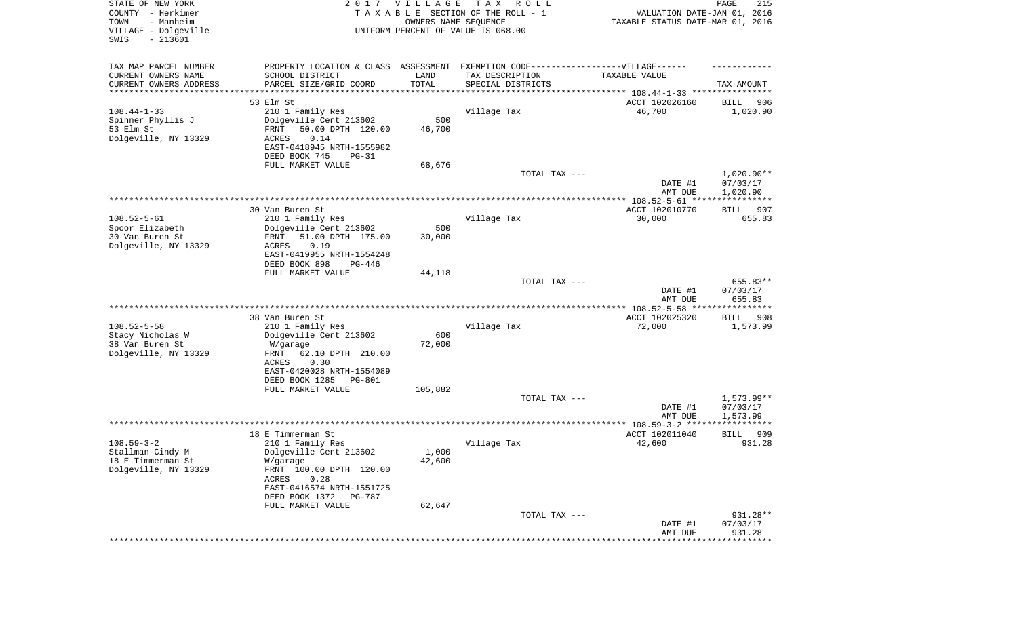| STATE OF NEW YORK<br>COUNTY - Herkimer<br>- Manheim<br>TOWN<br>VILLAGE - Dolgeville<br>SWIS<br>$-213601$ |                                                                                                      | 2017 VILLAGE<br>OWNERS NAME SEQUENCE | T A X<br>R O L L<br>TAXABLE SECTION OF THE ROLL - 1<br>UNIFORM PERCENT OF VALUE IS 068.00 | VALUATION DATE-JAN 01, 2016<br>TAXABLE STATUS DATE-MAR 01, 2016 | PAGE<br>215              |
|----------------------------------------------------------------------------------------------------------|------------------------------------------------------------------------------------------------------|--------------------------------------|-------------------------------------------------------------------------------------------|-----------------------------------------------------------------|--------------------------|
| TAX MAP PARCEL NUMBER<br>CURRENT OWNERS NAME                                                             | PROPERTY LOCATION & CLASS ASSESSMENT EXEMPTION CODE-----------------VILLAGE------<br>SCHOOL DISTRICT | LAND                                 | TAX DESCRIPTION                                                                           | TAXABLE VALUE                                                   |                          |
| CURRENT OWNERS ADDRESS<br>*******************                                                            | PARCEL SIZE/GRID COORD                                                                               | TOTAL                                | SPECIAL DISTRICTS                                                                         | ************************************** 108.44-1-33 *********    | TAX AMOUNT               |
|                                                                                                          | 53 Elm St                                                                                            |                                      |                                                                                           | ACCT 102026160                                                  | 906<br>BILL              |
| $108.44 - 1 - 33$                                                                                        | 210 1 Family Res                                                                                     |                                      | Village Tax                                                                               | 46,700                                                          | 1,020.90                 |
| Spinner Phyllis J                                                                                        | Dolgeville Cent 213602                                                                               | 500                                  |                                                                                           |                                                                 |                          |
| 53 Elm St                                                                                                | 50.00 DPTH 120.00<br>FRNT                                                                            | 46,700                               |                                                                                           |                                                                 |                          |
| Dolgeville, NY 13329                                                                                     | ACRES<br>0.14                                                                                        |                                      |                                                                                           |                                                                 |                          |
|                                                                                                          | EAST-0418945 NRTH-1555982<br>DEED BOOK 745<br>$PG-31$                                                |                                      |                                                                                           |                                                                 |                          |
|                                                                                                          | FULL MARKET VALUE                                                                                    | 68,676                               |                                                                                           |                                                                 |                          |
|                                                                                                          |                                                                                                      |                                      | TOTAL TAX ---                                                                             | DATE #1                                                         | $1,020.90**$<br>07/03/17 |
|                                                                                                          |                                                                                                      |                                      |                                                                                           | AMT DUE                                                         | 1,020.90                 |
|                                                                                                          | 30 Van Buren St                                                                                      |                                      |                                                                                           | ACCT 102010770                                                  | 907<br>BILL              |
| $108.52 - 5 - 61$                                                                                        | 210 1 Family Res                                                                                     |                                      | Village Tax                                                                               | 30,000                                                          | 655.83                   |
| Spoor Elizabeth                                                                                          | Dolgeville Cent 213602                                                                               | 500                                  |                                                                                           |                                                                 |                          |
| 30 Van Buren St                                                                                          | 51.00 DPTH 175.00<br>FRNT                                                                            | 30,000                               |                                                                                           |                                                                 |                          |
| Dolgeville, NY 13329                                                                                     | 0.19<br>ACRES                                                                                        |                                      |                                                                                           |                                                                 |                          |
|                                                                                                          | EAST-0419955 NRTH-1554248<br>DEED BOOK 898<br>$PG-446$                                               |                                      |                                                                                           |                                                                 |                          |
|                                                                                                          | FULL MARKET VALUE                                                                                    | 44,118                               |                                                                                           |                                                                 |                          |
|                                                                                                          |                                                                                                      |                                      | TOTAL TAX ---                                                                             |                                                                 | 655.83**                 |
|                                                                                                          |                                                                                                      |                                      |                                                                                           | DATE #1<br>AMT DUE                                              | 07/03/17<br>655.83       |
|                                                                                                          | 38 Van Buren St                                                                                      |                                      |                                                                                           | ACCT 102025320                                                  | BILL<br>908              |
| $108.52 - 5 - 58$                                                                                        | 210 1 Family Res                                                                                     |                                      | Village Tax                                                                               | 72,000                                                          | 1,573.99                 |
| Stacy Nicholas W                                                                                         | Dolgeville Cent 213602                                                                               | 600                                  |                                                                                           |                                                                 |                          |
| 38 Van Buren St                                                                                          | W/garage                                                                                             | 72,000                               |                                                                                           |                                                                 |                          |
| Dolgeville, NY 13329                                                                                     | <b>FRNT</b><br>62.10 DPTH 210.00                                                                     |                                      |                                                                                           |                                                                 |                          |
|                                                                                                          | ACRES<br>0.30<br>EAST-0420028 NRTH-1554089                                                           |                                      |                                                                                           |                                                                 |                          |
|                                                                                                          | DEED BOOK 1285<br>PG-801                                                                             |                                      |                                                                                           |                                                                 |                          |
|                                                                                                          | FULL MARKET VALUE                                                                                    | 105,882                              |                                                                                           |                                                                 |                          |
|                                                                                                          |                                                                                                      |                                      | TOTAL TAX ---                                                                             |                                                                 | $1,573.99**$             |
|                                                                                                          |                                                                                                      |                                      |                                                                                           | DATE #1                                                         | 07/03/17                 |
|                                                                                                          |                                                                                                      |                                      |                                                                                           | AMT DUE                                                         | 1,573.99<br>***********  |
|                                                                                                          | 18 E Timmerman St                                                                                    |                                      |                                                                                           | ACCT 102011040                                                  | 909<br><b>BILL</b>       |
| $108.59 - 3 - 2$                                                                                         | 210 1 Family Res                                                                                     |                                      | Village Tax                                                                               | 42,600                                                          | 931.28                   |
| Stallman Cindy M                                                                                         | Dolgeville Cent 213602                                                                               | 1,000                                |                                                                                           |                                                                 |                          |
| 18 E Timmerman St                                                                                        | W/garage                                                                                             | 42,600                               |                                                                                           |                                                                 |                          |
| Dolgeville, NY 13329                                                                                     | FRNT 100.00 DPTH 120.00<br>ACRES<br>0.28                                                             |                                      |                                                                                           |                                                                 |                          |
|                                                                                                          | EAST-0416574 NRTH-1551725                                                                            |                                      |                                                                                           |                                                                 |                          |
|                                                                                                          | DEED BOOK 1372<br>PG-787                                                                             |                                      |                                                                                           |                                                                 |                          |
|                                                                                                          | FULL MARKET VALUE                                                                                    | 62,647                               |                                                                                           |                                                                 |                          |
|                                                                                                          |                                                                                                      |                                      | TOTAL TAX ---                                                                             |                                                                 | 931.28**                 |
|                                                                                                          |                                                                                                      |                                      |                                                                                           | DATE #1<br>AMT DUE                                              | 07/03/17<br>931.28       |
|                                                                                                          |                                                                                                      |                                      |                                                                                           |                                                                 | ************             |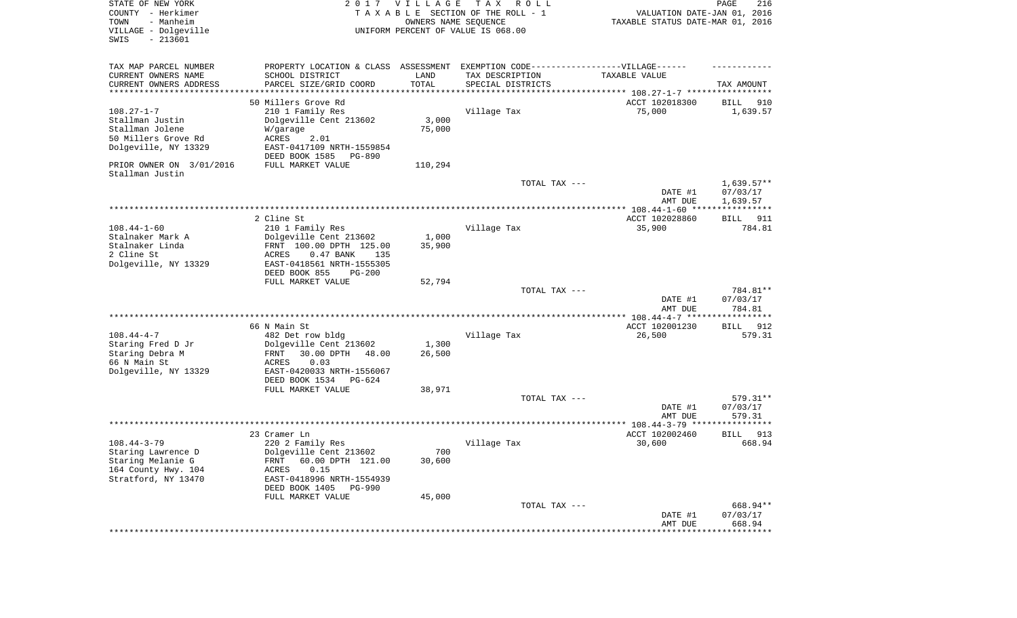| COUNTY - Herkimer<br>- Manheim<br>TOWN<br>VILLAGE - Dolgeville<br>SWIS<br>$-213601$ |                                                                                   | <b>VILLAGE</b><br>OWNERS NAME SEQUENCE | TAXABLE SECTION OF THE ROLL - 1<br>UNIFORM PERCENT OF VALUE IS 068.00 | VALUATION DATE-JAN 01, 2016<br>TAXABLE STATUS DATE-MAR 01, 2016      |                      |
|-------------------------------------------------------------------------------------|-----------------------------------------------------------------------------------|----------------------------------------|-----------------------------------------------------------------------|----------------------------------------------------------------------|----------------------|
|                                                                                     |                                                                                   |                                        |                                                                       |                                                                      |                      |
| TAX MAP PARCEL NUMBER                                                               | PROPERTY LOCATION & CLASS ASSESSMENT EXEMPTION CODE-----------------VILLAGE------ |                                        |                                                                       |                                                                      |                      |
| CURRENT OWNERS NAME                                                                 | SCHOOL DISTRICT                                                                   | LAND                                   | TAX DESCRIPTION                                                       | TAXABLE VALUE                                                        |                      |
| CURRENT OWNERS ADDRESS<br>*********************                                     | PARCEL SIZE/GRID COORD                                                            | TOTAL<br>**********                    | SPECIAL DISTRICTS                                                     | ************************************** 108.27-1-7 ****************** | TAX AMOUNT           |
|                                                                                     | 50 Millers Grove Rd                                                               |                                        |                                                                       | ACCT 102018300                                                       | 910<br>BILL          |
| $108.27 - 1 - 7$                                                                    | 210 1 Family Res                                                                  |                                        | Village Tax                                                           | 75,000                                                               | 1,639.57             |
| Stallman Justin                                                                     | Dolgeville Cent 213602                                                            | 3,000                                  |                                                                       |                                                                      |                      |
| Stallman Jolene<br>50 Millers Grove Rd                                              | W/garage                                                                          | 75,000                                 |                                                                       |                                                                      |                      |
| Dolgeville, NY 13329                                                                | ACRES<br>2.01<br>EAST-0417109 NRTH-1559854                                        |                                        |                                                                       |                                                                      |                      |
|                                                                                     | DEED BOOK 1585<br>PG-890                                                          |                                        |                                                                       |                                                                      |                      |
| PRIOR OWNER ON 3/01/2016<br>Stallman Justin                                         | FULL MARKET VALUE                                                                 | 110,294                                |                                                                       |                                                                      |                      |
|                                                                                     |                                                                                   |                                        | TOTAL TAX ---                                                         |                                                                      | $1,639.57**$         |
|                                                                                     |                                                                                   |                                        |                                                                       | DATE #1<br>AMT DUE                                                   | 07/03/17<br>1,639.57 |
|                                                                                     | 2 Cline St                                                                        |                                        |                                                                       | ACCT 102028860                                                       | 911<br>BILL          |
| $108.44 - 1 - 60$                                                                   | 210 1 Family Res                                                                  |                                        | Village Tax                                                           | 35,900                                                               | 784.81               |
| Stalnaker Mark A                                                                    | Dolgeville Cent 213602                                                            | 1,000                                  |                                                                       |                                                                      |                      |
| Stalnaker Linda                                                                     | FRNT 100.00 DPTH 125.00                                                           | 35,900                                 |                                                                       |                                                                      |                      |
| 2 Cline St<br>Dolgeville, NY 13329                                                  | ACRES<br>$0.47$ BANK<br>135<br>EAST-0418561 NRTH-1555305                          |                                        |                                                                       |                                                                      |                      |
|                                                                                     | DEED BOOK 855<br>$PG-200$                                                         |                                        |                                                                       |                                                                      |                      |
|                                                                                     | FULL MARKET VALUE                                                                 | 52,794                                 |                                                                       |                                                                      |                      |
|                                                                                     |                                                                                   |                                        | TOTAL TAX ---                                                         |                                                                      | 784.81**             |
|                                                                                     |                                                                                   |                                        |                                                                       | DATE #1                                                              | 07/03/17             |
|                                                                                     |                                                                                   |                                        |                                                                       | AMT DUE<br>************** 108.44-4-7 ******************              | 784.81               |
|                                                                                     | 66 N Main St                                                                      |                                        |                                                                       | ACCT 102001230                                                       | 912<br>BILL          |
| $108.44 - 4 - 7$                                                                    | 482 Det row bldg                                                                  |                                        | Village Tax                                                           | 26,500                                                               | 579.31               |
| Staring Fred D Jr                                                                   | Dolgeville Cent 213602                                                            | 1,300                                  |                                                                       |                                                                      |                      |
| Staring Debra M<br>66 N Main St                                                     | 30.00 DPTH<br>48.00<br>FRNT                                                       | 26,500                                 |                                                                       |                                                                      |                      |
| Dolgeville, NY 13329                                                                | <b>ACRES</b><br>0.03<br>EAST-0420033 NRTH-1556067                                 |                                        |                                                                       |                                                                      |                      |
|                                                                                     | DEED BOOK 1534<br>PG-624                                                          |                                        |                                                                       |                                                                      |                      |
|                                                                                     | FULL MARKET VALUE                                                                 | 38,971                                 |                                                                       |                                                                      |                      |
|                                                                                     |                                                                                   |                                        | TOTAL TAX ---                                                         |                                                                      | 579.31**             |
|                                                                                     |                                                                                   |                                        |                                                                       | DATE #1                                                              | 07/03/17<br>579.31   |
|                                                                                     |                                                                                   |                                        |                                                                       | AMT DUE                                                              |                      |
|                                                                                     | 23 Cramer Ln                                                                      |                                        |                                                                       | ACCT 102002460                                                       | 913<br>BILL          |
| $108.44 - 3 - 79$                                                                   | 220 2 Family Res                                                                  |                                        | Village Tax                                                           | 30,600                                                               | 668.94               |
| Staring Lawrence D                                                                  | Dolgeville Cent 213602                                                            | 700                                    |                                                                       |                                                                      |                      |
| Staring Melanie G<br>164 County Hwy. 104                                            | 60.00 DPTH 121.00<br>FRNT<br>ACRES<br>0.15                                        | 30,600                                 |                                                                       |                                                                      |                      |
| Stratford, NY 13470                                                                 | EAST-0418996 NRTH-1554939                                                         |                                        |                                                                       |                                                                      |                      |
|                                                                                     | DEED BOOK 1405<br><b>PG-990</b>                                                   |                                        |                                                                       |                                                                      |                      |
|                                                                                     | FULL MARKET VALUE                                                                 | 45,000                                 |                                                                       |                                                                      |                      |
|                                                                                     |                                                                                   |                                        | TOTAL TAX ---                                                         |                                                                      | 668.94**             |
|                                                                                     |                                                                                   |                                        |                                                                       | DATE #1<br>AMT DUE                                                   | 07/03/17<br>668.94   |
|                                                                                     |                                                                                   |                                        |                                                                       | *********************************                                    |                      |
|                                                                                     |                                                                                   |                                        |                                                                       |                                                                      |                      |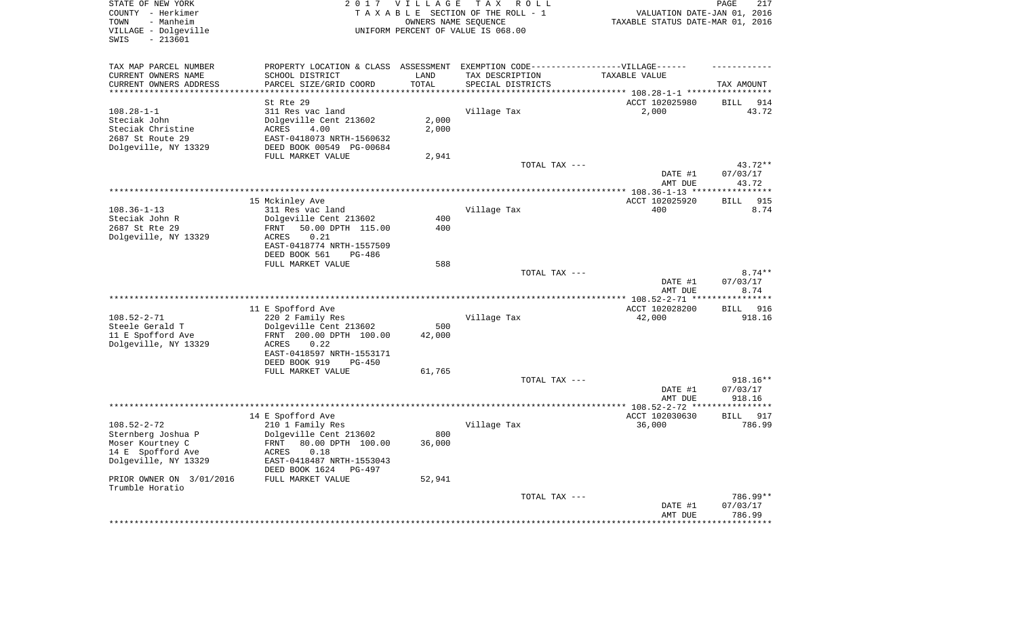| STATE OF NEW YORK<br>COUNTY - Herkimer<br>- Manheim<br>TOWN<br>VILLAGE - Dolgeville<br>SWIS<br>$-213601$ |                                                                                   | 2017 VILLAGE<br>OWNERS NAME SEQUENCE | TAX ROLL<br>TAXABLE SECTION OF THE ROLL - 1<br>UNIFORM PERCENT OF VALUE IS 068.00 | VALUATION DATE-JAN 01, 2016<br>TAXABLE STATUS DATE-MAR 01, 2016 | PAGE<br>217                  |
|----------------------------------------------------------------------------------------------------------|-----------------------------------------------------------------------------------|--------------------------------------|-----------------------------------------------------------------------------------|-----------------------------------------------------------------|------------------------------|
| TAX MAP PARCEL NUMBER                                                                                    | PROPERTY LOCATION & CLASS ASSESSMENT EXEMPTION CODE-----------------VILLAGE------ |                                      |                                                                                   |                                                                 |                              |
| CURRENT OWNERS NAME                                                                                      | SCHOOL DISTRICT                                                                   | LAND                                 | TAX DESCRIPTION                                                                   | TAXABLE VALUE                                                   |                              |
| CURRENT OWNERS ADDRESS<br>**********************                                                         | PARCEL SIZE/GRID COORD<br>***********************                                 | TOTAL                                | SPECIAL DISTRICTS                                                                 |                                                                 | TAX AMOUNT                   |
|                                                                                                          | St Rte 29                                                                         |                                      |                                                                                   | ACCT 102025980                                                  | BILL<br>914                  |
| $108.28 - 1 - 1$                                                                                         | 311 Res vac land                                                                  |                                      | Village Tax                                                                       | 2,000                                                           | 43.72                        |
| Steciak John                                                                                             | Dolgeville Cent 213602                                                            | 2,000                                |                                                                                   |                                                                 |                              |
| Steciak Christine                                                                                        | ACRES<br>4.00                                                                     | 2,000                                |                                                                                   |                                                                 |                              |
| 2687 St Route 29                                                                                         | EAST-0418073 NRTH-1560632                                                         |                                      |                                                                                   |                                                                 |                              |
| Dolgeville, NY 13329                                                                                     | DEED BOOK 00549 PG-00684                                                          |                                      |                                                                                   |                                                                 |                              |
|                                                                                                          | FULL MARKET VALUE                                                                 | 2,941                                | TOTAL TAX ---                                                                     |                                                                 | 43.72**                      |
|                                                                                                          |                                                                                   |                                      |                                                                                   | DATE #1<br>AMT DUE                                              | 07/03/17<br>43.72            |
|                                                                                                          |                                                                                   |                                      |                                                                                   |                                                                 |                              |
|                                                                                                          | 15 Mckinley Ave                                                                   |                                      |                                                                                   | ACCT 102025920                                                  | BILL<br>915                  |
| $108.36 - 1 - 13$                                                                                        | 311 Res vac land                                                                  |                                      | Village Tax                                                                       | 400                                                             | 8.74                         |
| Steciak John R<br>2687 St Rte 29                                                                         | Dolgeville Cent 213602<br>50.00 DPTH 115.00<br>FRNT                               | 400<br>400                           |                                                                                   |                                                                 |                              |
| Dolgeville, NY 13329                                                                                     | ACRES<br>0.21                                                                     |                                      |                                                                                   |                                                                 |                              |
|                                                                                                          | EAST-0418774 NRTH-1557509                                                         |                                      |                                                                                   |                                                                 |                              |
|                                                                                                          | DEED BOOK 561<br>PG-486                                                           |                                      |                                                                                   |                                                                 |                              |
|                                                                                                          | FULL MARKET VALUE                                                                 | 588                                  |                                                                                   |                                                                 |                              |
|                                                                                                          |                                                                                   |                                      | TOTAL TAX ---                                                                     | DATE #1<br>AMT DUE                                              | $8.74**$<br>07/03/17<br>8.74 |
|                                                                                                          |                                                                                   |                                      |                                                                                   |                                                                 |                              |
|                                                                                                          | 11 E Spofford Ave                                                                 |                                      |                                                                                   | ACCT 102028200                                                  | 916<br>BILL                  |
| $108.52 - 2 - 71$                                                                                        | 220 2 Family Res                                                                  |                                      | Village Tax                                                                       | 42,000                                                          | 918.16                       |
| Steele Gerald T                                                                                          | Dolgeville Cent 213602                                                            | 500                                  |                                                                                   |                                                                 |                              |
| 11 E Spofford Ave                                                                                        | FRNT 200.00 DPTH 100.00<br>ACRES<br>0.22                                          | 42,000                               |                                                                                   |                                                                 |                              |
| Dolgeville, NY 13329                                                                                     | EAST-0418597 NRTH-1553171                                                         |                                      |                                                                                   |                                                                 |                              |
|                                                                                                          | DEED BOOK 919<br>PG-450                                                           |                                      |                                                                                   |                                                                 |                              |
|                                                                                                          | FULL MARKET VALUE                                                                 | 61,765                               |                                                                                   |                                                                 |                              |
|                                                                                                          |                                                                                   |                                      | TOTAL TAX ---                                                                     |                                                                 | 918.16**                     |
|                                                                                                          |                                                                                   |                                      |                                                                                   | DATE #1                                                         | 07/03/17                     |
|                                                                                                          |                                                                                   |                                      |                                                                                   | AMT DUE                                                         | 918.16                       |
|                                                                                                          | 14 E Spofford Ave                                                                 |                                      |                                                                                   | ACCT 102030630                                                  | 917<br>BILL                  |
| $108.52 - 2 - 72$                                                                                        | 210 1 Family Res                                                                  |                                      | Village Tax                                                                       | 36,000                                                          | 786.99                       |
| Sternberg Joshua P                                                                                       | Dolgeville Cent 213602                                                            | 800                                  |                                                                                   |                                                                 |                              |
| Moser Kourtney C                                                                                         | FRNT 80.00 DPTH 100.00                                                            | 36,000                               |                                                                                   |                                                                 |                              |
| 14 E Spofford Ave<br>Dolgeville, NY 13329                                                                | ACRES 0.18<br>EAST-0418487 NRTH-1553043                                           |                                      |                                                                                   |                                                                 |                              |
|                                                                                                          | DEED BOOK 1624 PG-497                                                             |                                      |                                                                                   |                                                                 |                              |
| PRIOR OWNER ON 3/01/2016<br>Trumble Horatio                                                              | FULL MARKET VALUE                                                                 | 52,941                               |                                                                                   |                                                                 |                              |
|                                                                                                          |                                                                                   |                                      | TOTAL TAX ---                                                                     |                                                                 | 786.99**                     |
|                                                                                                          |                                                                                   |                                      |                                                                                   | DATE #1                                                         | 07/03/17                     |
|                                                                                                          |                                                                                   |                                      |                                                                                   | AMT DUE                                                         | 786.99                       |
|                                                                                                          |                                                                                   |                                      |                                                                                   |                                                                 |                              |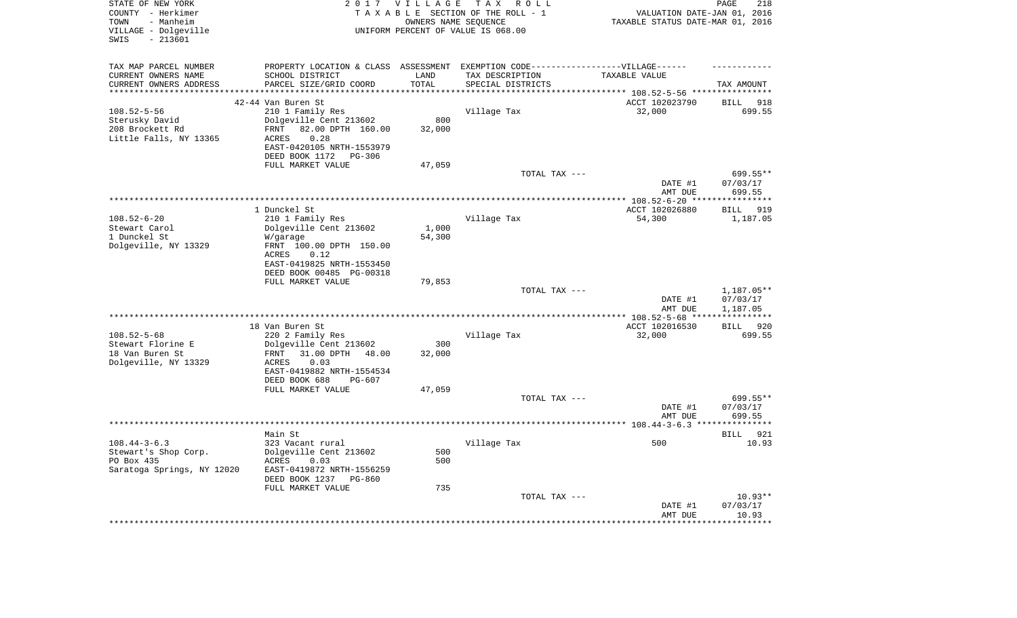| STATE OF NEW YORK<br>COUNTY - Herkimer<br>- Manheim<br>TOWN<br>VILLAGE - Dolgeville<br>$-213601$<br>SWIS |                                                                                   | 2017 VILLAGE        | TAX ROLL<br>TAXABLE SECTION OF THE ROLL - 1<br>OWNERS NAME SEQUENCE<br>UNIFORM PERCENT OF VALUE IS 068.00 | VALUATION DATE-JAN 01, 2016<br>TAXABLE STATUS DATE-MAR 01, 2016 | PAGE<br>218           |
|----------------------------------------------------------------------------------------------------------|-----------------------------------------------------------------------------------|---------------------|-----------------------------------------------------------------------------------------------------------|-----------------------------------------------------------------|-----------------------|
| TAX MAP PARCEL NUMBER                                                                                    | PROPERTY LOCATION & CLASS ASSESSMENT EXEMPTION CODE-----------------VILLAGE------ |                     |                                                                                                           |                                                                 |                       |
| CURRENT OWNERS NAME                                                                                      | SCHOOL DISTRICT                                                                   | LAND                | TAX DESCRIPTION                                                                                           | TAXABLE VALUE                                                   |                       |
| CURRENT OWNERS ADDRESS<br>*********************                                                          | PARCEL SIZE/GRID COORD<br>***************************                             | TOTAL<br>********** | SPECIAL DISTRICTS                                                                                         |                                                                 | TAX AMOUNT            |
|                                                                                                          | 42-44 Van Buren St                                                                |                     |                                                                                                           | ACCT 102023790                                                  | <b>BILL</b><br>918    |
| $108.52 - 5 - 56$                                                                                        | 210 1 Family Res                                                                  |                     | Village Tax                                                                                               | 32,000                                                          | 699.55                |
| Sterusky David                                                                                           | Dolgeville Cent 213602                                                            | 800                 |                                                                                                           |                                                                 |                       |
| 208 Brockett Rd                                                                                          | 82.00 DPTH 160.00<br>FRNT                                                         | 32,000              |                                                                                                           |                                                                 |                       |
| Little Falls, NY 13365                                                                                   | 0.28<br>ACRES                                                                     |                     |                                                                                                           |                                                                 |                       |
|                                                                                                          | EAST-0420105 NRTH-1553979                                                         |                     |                                                                                                           |                                                                 |                       |
|                                                                                                          | DEED BOOK 1172<br>PG-306                                                          |                     |                                                                                                           |                                                                 |                       |
|                                                                                                          | FULL MARKET VALUE                                                                 | 47,059              |                                                                                                           |                                                                 |                       |
|                                                                                                          |                                                                                   |                     | TOTAL TAX ---                                                                                             |                                                                 | 699.55**              |
|                                                                                                          |                                                                                   |                     |                                                                                                           | DATE #1<br>AMT DUE                                              | 07/03/17<br>699.55    |
|                                                                                                          |                                                                                   |                     |                                                                                                           | ************* 108.52-6-20 ****                                  | * * * * * * * * * * * |
|                                                                                                          | 1 Dunckel St                                                                      |                     |                                                                                                           | ACCT 102026880                                                  | 919<br><b>BILL</b>    |
| $108.52 - 6 - 20$                                                                                        | 210 1 Family Res                                                                  |                     | Village Tax                                                                                               | 54,300                                                          | 1,187.05              |
| Stewart Carol                                                                                            | Dolgeville Cent 213602                                                            | 1,000               |                                                                                                           |                                                                 |                       |
| 1 Dunckel St                                                                                             | W/garage                                                                          | 54,300              |                                                                                                           |                                                                 |                       |
| Dolgeville, NY 13329                                                                                     | FRNT 100.00 DPTH 150.00                                                           |                     |                                                                                                           |                                                                 |                       |
|                                                                                                          | ACRES<br>0.12<br>EAST-0419825 NRTH-1553450                                        |                     |                                                                                                           |                                                                 |                       |
|                                                                                                          | DEED BOOK 00485 PG-00318                                                          |                     |                                                                                                           |                                                                 |                       |
|                                                                                                          | FULL MARKET VALUE                                                                 | 79,853              |                                                                                                           |                                                                 |                       |
|                                                                                                          |                                                                                   |                     | TOTAL TAX ---                                                                                             |                                                                 | 1,187.05**            |
|                                                                                                          |                                                                                   |                     |                                                                                                           | DATE #1                                                         | 07/03/17              |
|                                                                                                          |                                                                                   |                     |                                                                                                           | AMT DUE                                                         | 1,187.05              |
|                                                                                                          |                                                                                   |                     |                                                                                                           |                                                                 |                       |
| $108.52 - 5 - 68$                                                                                        | 18 Van Buren St<br>220 2 Family Res                                               |                     |                                                                                                           | ACCT 102016530<br>32,000                                        | BILL 920<br>699.55    |
| Stewart Florine E                                                                                        | Dolgeville Cent 213602                                                            | 300                 | Village Tax                                                                                               |                                                                 |                       |
| 18 Van Buren St                                                                                          | 31.00 DPTH<br>FRNT<br>48.00                                                       | 32,000              |                                                                                                           |                                                                 |                       |
| Dolgeville, NY 13329                                                                                     | 0.03<br>ACRES                                                                     |                     |                                                                                                           |                                                                 |                       |
|                                                                                                          | EAST-0419882 NRTH-1554534                                                         |                     |                                                                                                           |                                                                 |                       |
|                                                                                                          | DEED BOOK 688<br>PG-607                                                           |                     |                                                                                                           |                                                                 |                       |
|                                                                                                          | FULL MARKET VALUE                                                                 | 47,059              |                                                                                                           |                                                                 |                       |
|                                                                                                          |                                                                                   |                     | TOTAL TAX ---                                                                                             |                                                                 | 699.55**              |
|                                                                                                          |                                                                                   |                     |                                                                                                           | DATE #1<br>AMT DUE                                              | 07/03/17<br>699.55    |
|                                                                                                          |                                                                                   |                     | ************************                                                                                  | ********** 108.44-3-6.3 **                                      |                       |
|                                                                                                          | Main St                                                                           |                     |                                                                                                           |                                                                 | <b>BILL</b><br>921    |
| $108.44 - 3 - 6.3$                                                                                       | 323 Vacant rural                                                                  |                     | Village Tax                                                                                               | 500                                                             | 10.93                 |
| Stewart's Shop Corp.                                                                                     | Dolgeville Cent 213602                                                            | 500                 |                                                                                                           |                                                                 |                       |
| PO Box 435                                                                                               | ACRES<br>0.03                                                                     | 500                 |                                                                                                           |                                                                 |                       |
| Saratoga Springs, NY 12020                                                                               | EAST-0419872 NRTH-1556259                                                         |                     |                                                                                                           |                                                                 |                       |
|                                                                                                          | DEED BOOK 1237<br>$PG-860$                                                        | 735                 |                                                                                                           |                                                                 |                       |
|                                                                                                          | FULL MARKET VALUE                                                                 |                     | TOTAL TAX ---                                                                                             |                                                                 | $10.93**$             |
|                                                                                                          |                                                                                   |                     |                                                                                                           | DATE #1                                                         | 07/03/17              |
|                                                                                                          |                                                                                   |                     |                                                                                                           | AMT DUE                                                         | 10.93                 |
|                                                                                                          |                                                                                   |                     |                                                                                                           |                                                                 |                       |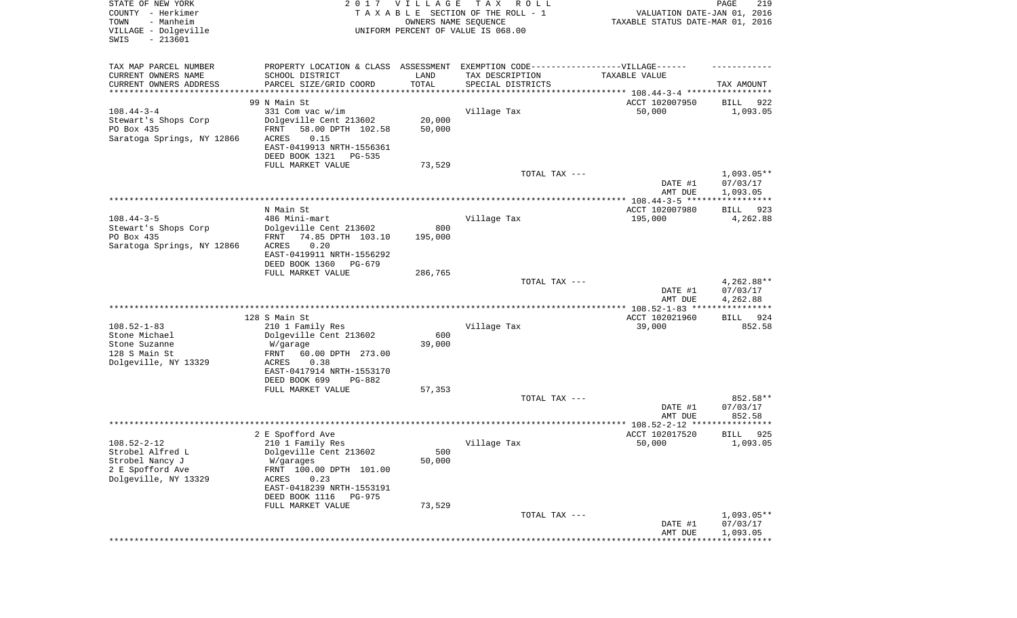| STATE OF NEW YORK<br>COUNTY - Herkimer<br>TOWN<br>- Manheim<br>VILLAGE - Dolgeville<br>SWIS<br>$-213601$ |                                                                                                                                | 2017 VILLAGE<br>OWNERS NAME SEQUENCE | T A X<br>R O L L<br>TAXABLE SECTION OF THE ROLL - 1<br>UNIFORM PERCENT OF VALUE IS 068.00 | VALUATION DATE-JAN 01, 2016<br>TAXABLE STATUS DATE-MAR 01, 2016 | PAGE<br>219                          |
|----------------------------------------------------------------------------------------------------------|--------------------------------------------------------------------------------------------------------------------------------|--------------------------------------|-------------------------------------------------------------------------------------------|-----------------------------------------------------------------|--------------------------------------|
| TAX MAP PARCEL NUMBER<br>CURRENT OWNERS NAME<br>CURRENT OWNERS ADDRESS                                   | PROPERTY LOCATION & CLASS ASSESSMENT EXEMPTION CODE-----------------VILLAGE------<br>SCHOOL DISTRICT<br>PARCEL SIZE/GRID COORD | LAND<br>TOTAL                        | TAX DESCRIPTION<br>SPECIAL DISTRICTS                                                      | TAXABLE VALUE                                                   | TAX AMOUNT                           |
| *********************                                                                                    |                                                                                                                                |                                      |                                                                                           | ********************************** 108.44-3-4 ***************** |                                      |
|                                                                                                          | 99 N Main St                                                                                                                   |                                      |                                                                                           | ACCT 102007950                                                  | BILL<br>922                          |
| $108.44 - 3 - 4$                                                                                         | 331 Com vac w/im                                                                                                               |                                      | Village Tax                                                                               | 50,000                                                          | 1,093.05                             |
| Stewart's Shops Corp<br>PO Box 435                                                                       | Dolgeville Cent 213602<br>58.00 DPTH 102.58<br>FRNT                                                                            | 20,000<br>50,000                     |                                                                                           |                                                                 |                                      |
| Saratoga Springs, NY 12866                                                                               | ACRES<br>0.15                                                                                                                  |                                      |                                                                                           |                                                                 |                                      |
|                                                                                                          | EAST-0419913 NRTH-1556361                                                                                                      |                                      |                                                                                           |                                                                 |                                      |
|                                                                                                          | DEED BOOK 1321<br>PG-535                                                                                                       |                                      |                                                                                           |                                                                 |                                      |
|                                                                                                          | FULL MARKET VALUE                                                                                                              | 73,529                               |                                                                                           |                                                                 |                                      |
|                                                                                                          |                                                                                                                                |                                      | TOTAL TAX ---                                                                             | DATE #1                                                         | $1,093.05**$<br>07/03/17             |
|                                                                                                          |                                                                                                                                |                                      |                                                                                           | AMT DUE                                                         | 1,093.05                             |
|                                                                                                          | N Main St                                                                                                                      |                                      |                                                                                           | ACCT 102007980                                                  | 923<br>BILL                          |
| $108.44 - 3 - 5$                                                                                         | 486 Mini-mart                                                                                                                  |                                      | Village Tax                                                                               | 195,000                                                         | 4,262.88                             |
| Stewart's Shops Corp                                                                                     | Dolgeville Cent 213602                                                                                                         | 800                                  |                                                                                           |                                                                 |                                      |
| PO Box 435                                                                                               | 74.85 DPTH 103.10<br>FRNT                                                                                                      | 195,000                              |                                                                                           |                                                                 |                                      |
| Saratoga Springs, NY 12866                                                                               | 0.20<br>ACRES                                                                                                                  |                                      |                                                                                           |                                                                 |                                      |
|                                                                                                          | EAST-0419911 NRTH-1556292                                                                                                      |                                      |                                                                                           |                                                                 |                                      |
|                                                                                                          | DEED BOOK 1360<br>PG-679                                                                                                       |                                      |                                                                                           |                                                                 |                                      |
|                                                                                                          | FULL MARKET VALUE                                                                                                              | 286,765                              |                                                                                           |                                                                 |                                      |
|                                                                                                          |                                                                                                                                |                                      | TOTAL TAX ---                                                                             | DATE #1<br>AMT DUE                                              | $4,262.88**$<br>07/03/17<br>4,262.88 |
|                                                                                                          |                                                                                                                                |                                      |                                                                                           |                                                                 |                                      |
|                                                                                                          | 128 S Main St                                                                                                                  |                                      |                                                                                           | ACCT 102021960                                                  | BILL<br>924                          |
| $108.52 - 1 - 83$                                                                                        | 210 1 Family Res                                                                                                               |                                      | Village Tax                                                                               | 39,000                                                          | 852.58                               |
| Stone Michael                                                                                            | Dolgeville Cent 213602                                                                                                         | 600                                  |                                                                                           |                                                                 |                                      |
| Stone Suzanne<br>128 S Main St                                                                           | W/garage<br>FRNT<br>60.00 DPTH 273.00                                                                                          | 39,000                               |                                                                                           |                                                                 |                                      |
| Dolgeville, NY 13329                                                                                     | ACRES<br>0.38                                                                                                                  |                                      |                                                                                           |                                                                 |                                      |
|                                                                                                          | EAST-0417914 NRTH-1553170                                                                                                      |                                      |                                                                                           |                                                                 |                                      |
|                                                                                                          | DEED BOOK 699<br>PG-882                                                                                                        |                                      |                                                                                           |                                                                 |                                      |
|                                                                                                          | FULL MARKET VALUE                                                                                                              | 57,353                               |                                                                                           |                                                                 |                                      |
|                                                                                                          |                                                                                                                                |                                      | TOTAL TAX ---                                                                             |                                                                 | 852.58**                             |
|                                                                                                          |                                                                                                                                |                                      |                                                                                           | DATE #1                                                         | 07/03/17                             |
|                                                                                                          |                                                                                                                                |                                      |                                                                                           | AMT DUE                                                         | 852.58                               |
|                                                                                                          | 2 E Spofford Ave                                                                                                               |                                      |                                                                                           | ************** 108.52-2-12 *****************<br>ACCT 102017520  | 925<br>BILL                          |
| $108.52 - 2 - 12$                                                                                        | 210 1 Family Res                                                                                                               |                                      | Village Tax                                                                               | 50,000                                                          | 1,093.05                             |
| Strobel Alfred L                                                                                         | Dolgeville Cent 213602                                                                                                         | 500                                  |                                                                                           |                                                                 |                                      |
| Strobel Nancy J                                                                                          | W/garages                                                                                                                      | 50,000                               |                                                                                           |                                                                 |                                      |
| 2 E Spofford Ave                                                                                         | FRNT 100.00 DPTH 101.00                                                                                                        |                                      |                                                                                           |                                                                 |                                      |
| Dolgeville, NY 13329                                                                                     | ACRES<br>0.23                                                                                                                  |                                      |                                                                                           |                                                                 |                                      |
|                                                                                                          | EAST-0418239 NRTH-1553191                                                                                                      |                                      |                                                                                           |                                                                 |                                      |
|                                                                                                          | DEED BOOK 1116<br>PG-975                                                                                                       |                                      |                                                                                           |                                                                 |                                      |
|                                                                                                          | FULL MARKET VALUE                                                                                                              | 73,529                               |                                                                                           |                                                                 | $1,093.05**$                         |
|                                                                                                          |                                                                                                                                |                                      | TOTAL TAX ---                                                                             | DATE #1                                                         | 07/03/17                             |
|                                                                                                          |                                                                                                                                |                                      |                                                                                           | AMT DUE                                                         | 1,093.05                             |
|                                                                                                          |                                                                                                                                |                                      |                                                                                           |                                                                 |                                      |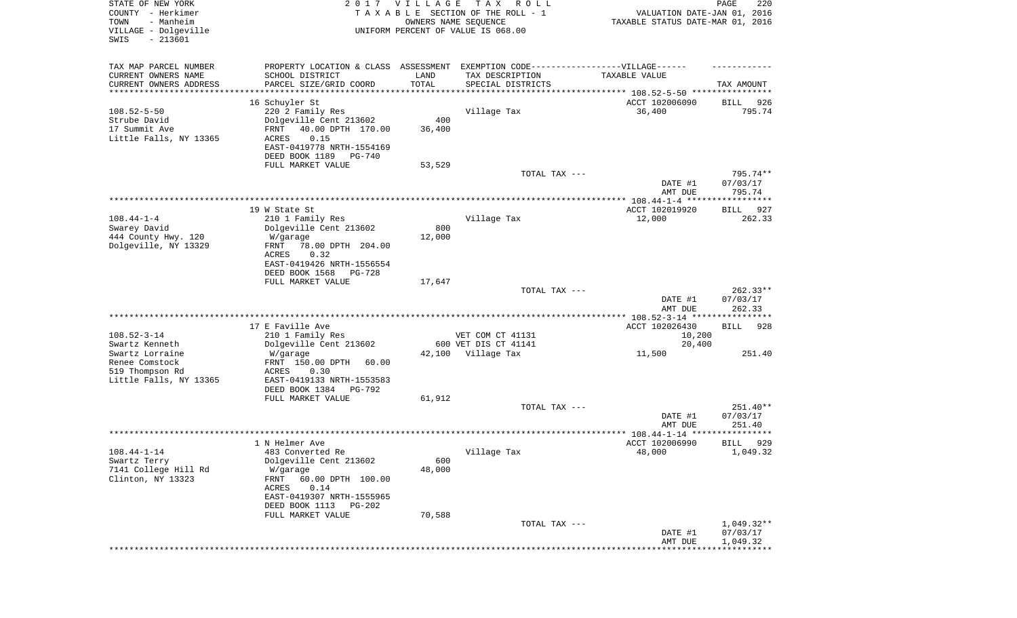| STATE OF NEW YORK<br>COUNTY - Herkimer<br>- Manheim<br>TOWN<br>VILLAGE - Dolgeville<br>SWIS<br>$-213601$ |                                                                                                                 | 2017 VILLAGE<br>OWNERS NAME SEQUENCE | T A X<br>R O L L<br>TAXABLE SECTION OF THE ROLL - 1<br>UNIFORM PERCENT OF VALUE IS 068.00                                | VALUATION DATE-JAN 01, 2016<br>TAXABLE STATUS DATE-MAR 01, 2016 | PAGE<br>220                          |
|----------------------------------------------------------------------------------------------------------|-----------------------------------------------------------------------------------------------------------------|--------------------------------------|--------------------------------------------------------------------------------------------------------------------------|-----------------------------------------------------------------|--------------------------------------|
| TAX MAP PARCEL NUMBER<br>CURRENT OWNERS NAME<br>CURRENT OWNERS ADDRESS                                   | SCHOOL DISTRICT<br>PARCEL SIZE/GRID COORD                                                                       | LAND<br>TOTAL                        | PROPERTY LOCATION & CLASS ASSESSMENT EXEMPTION CODE----------------VILLAGE------<br>TAX DESCRIPTION<br>SPECIAL DISTRICTS | TAXABLE VALUE                                                   | TAX AMOUNT                           |
| *********************                                                                                    |                                                                                                                 | * * * * * * * * * * *                |                                                                                                                          |                                                                 |                                      |
| $108.52 - 5 - 50$<br>Strube David                                                                        | 16 Schuyler St<br>220 2 Family Res<br>Dolgeville Cent 213602                                                    | 400                                  | Village Tax                                                                                                              | ACCT 102006090<br>36,400                                        | BILL<br>926<br>795.74                |
| 17 Summit Ave<br>Little Falls, NY 13365                                                                  | FRNT<br>40.00 DPTH 170.00<br>ACRES<br>0.15<br>EAST-0419778 NRTH-1554169<br>DEED BOOK 1189<br>PG-740             | 36,400                               |                                                                                                                          |                                                                 |                                      |
|                                                                                                          | FULL MARKET VALUE                                                                                               | 53,529                               | TOTAL TAX ---                                                                                                            | DATE #1                                                         | 795.74**<br>07/03/17                 |
|                                                                                                          |                                                                                                                 |                                      |                                                                                                                          | AMT DUE                                                         | 795.74                               |
|                                                                                                          | 19 W State St                                                                                                   |                                      |                                                                                                                          |                                                                 |                                      |
| $108.44 - 1 - 4$<br>Swarey David                                                                         | 210 1 Family Res<br>Dolgeville Cent 213602                                                                      | 800                                  | Village Tax                                                                                                              | ACCT 102019920<br>12,000                                        | <b>BILL</b><br>927<br>262.33         |
| 444 County Hwy. 120<br>Dolgeville, NY 13329                                                              | W/garage<br>78.00 DPTH 204.00<br>FRNT<br>ACRES<br>0.32<br>EAST-0419426 NRTH-1556554                             | 12,000                               |                                                                                                                          |                                                                 |                                      |
|                                                                                                          | DEED BOOK 1568<br>PG-728<br>FULL MARKET VALUE                                                                   | 17,647                               |                                                                                                                          |                                                                 |                                      |
|                                                                                                          |                                                                                                                 |                                      | TOTAL TAX ---                                                                                                            | DATE #1                                                         | $262.33**$<br>07/03/17               |
|                                                                                                          |                                                                                                                 |                                      |                                                                                                                          | AMT DUE<br>************* 108.52-3-14 *****************          | 262.33                               |
|                                                                                                          | 17 E Faville Ave                                                                                                |                                      |                                                                                                                          | ACCT 102026430                                                  | <b>BILL</b><br>928                   |
| $108.52 - 3 - 14$                                                                                        | 210 1 Family Res                                                                                                |                                      | VET COM CT 41131                                                                                                         | 10,200                                                          |                                      |
| Swartz Kenneth                                                                                           | Dolgeville Cent 213602                                                                                          |                                      | 600 VET DIS CT 41141                                                                                                     | 20,400                                                          |                                      |
| Swartz Lorraine<br>Renee Comstock<br>519 Thompson Rd                                                     | W/garage<br>FRNT 150.00 DPTH<br>60.00<br>ACRES<br>0.30                                                          | 42,100                               | Village Tax                                                                                                              | 11,500                                                          | 251.40                               |
| Little Falls, NY 13365                                                                                   | EAST-0419133 NRTH-1553583<br>DEED BOOK 1384<br>PG-792                                                           |                                      |                                                                                                                          |                                                                 |                                      |
|                                                                                                          | FULL MARKET VALUE                                                                                               | 61,912                               |                                                                                                                          |                                                                 |                                      |
|                                                                                                          |                                                                                                                 |                                      | TOTAL TAX ---                                                                                                            | DATE #1<br>AMT DUE                                              | 251.40**<br>07/03/17<br>251.40       |
|                                                                                                          |                                                                                                                 |                                      |                                                                                                                          |                                                                 |                                      |
|                                                                                                          | 1 N Helmer Ave                                                                                                  |                                      |                                                                                                                          | ACCT 102006990                                                  | 929<br>BILL                          |
| $108.44 - 1 - 14$<br>Swartz Terry<br>7141 College Hill Rd                                                | 483 Converted Re<br>Dolgeville Cent 213602                                                                      | 600<br>48,000                        | Village Tax                                                                                                              | 48,000                                                          | 1,049.32                             |
| Clinton, NY 13323                                                                                        | W/garage<br>60.00 DPTH 100.00<br>FRNT<br>0.14<br>ACRES<br>EAST-0419307 NRTH-1555965<br>DEED BOOK 1113<br>PG-202 |                                      |                                                                                                                          |                                                                 |                                      |
|                                                                                                          | FULL MARKET VALUE                                                                                               | 70,588                               |                                                                                                                          |                                                                 |                                      |
|                                                                                                          |                                                                                                                 |                                      | TOTAL TAX ---                                                                                                            | DATE #1<br>AMT DUE                                              | $1,049.32**$<br>07/03/17<br>1,049.32 |
|                                                                                                          |                                                                                                                 |                                      |                                                                                                                          |                                                                 |                                      |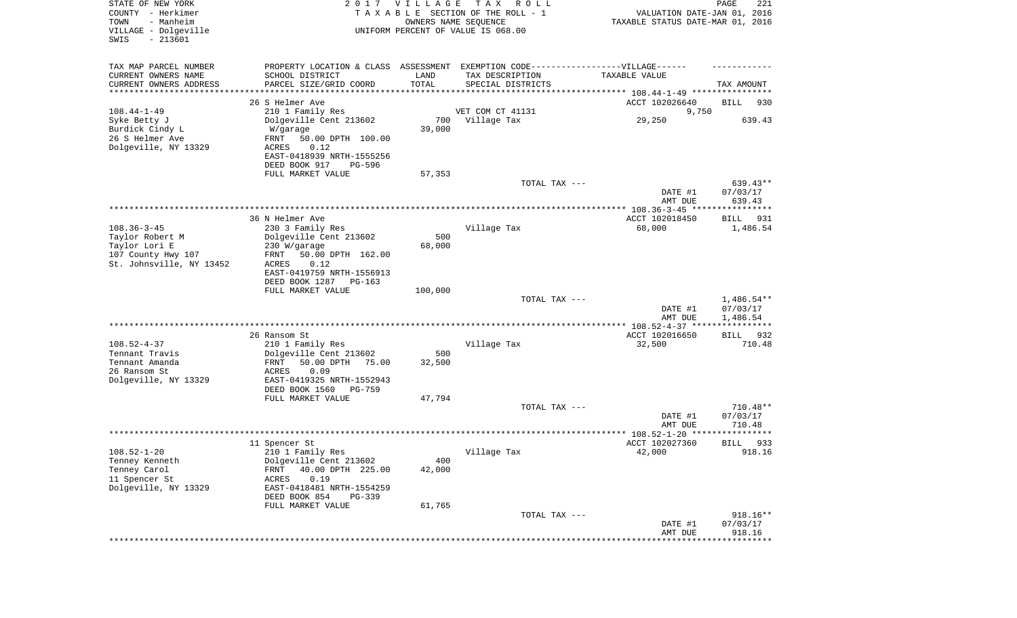| STATE OF NEW YORK<br>COUNTY - Herkimer<br>- Manheim<br>TOWN<br>VILLAGE - Dolgeville<br>SWIS<br>$-213601$ |                                                                                  | 2017 VILLAGE<br>OWNERS NAME SEQUENCE | T A X<br>R O L L<br>TAXABLE SECTION OF THE ROLL - 1<br>UNIFORM PERCENT OF VALUE IS 068.00 | VALUATION DATE-JAN 01, 2016<br>TAXABLE STATUS DATE-MAR 01, 2016 | PAGE<br>221          |
|----------------------------------------------------------------------------------------------------------|----------------------------------------------------------------------------------|--------------------------------------|-------------------------------------------------------------------------------------------|-----------------------------------------------------------------|----------------------|
| TAX MAP PARCEL NUMBER                                                                                    | PROPERTY LOCATION & CLASS ASSESSMENT EXEMPTION CODE----------------VILLAGE------ |                                      |                                                                                           |                                                                 |                      |
| CURRENT OWNERS NAME                                                                                      | SCHOOL DISTRICT                                                                  | LAND                                 | TAX DESCRIPTION                                                                           | TAXABLE VALUE                                                   |                      |
| CURRENT OWNERS ADDRESS<br>******************                                                             | PARCEL SIZE/GRID COORD                                                           | TOTAL                                | SPECIAL DISTRICTS                                                                         |                                                                 | TAX AMOUNT           |
|                                                                                                          | 26 S Helmer Ave                                                                  |                                      |                                                                                           | ACCT 102026640                                                  | BILL<br>930          |
| $108.44 - 1 - 49$                                                                                        | 210 1 Family Res                                                                 |                                      | VET COM CT 41131                                                                          | 9,750                                                           |                      |
| Syke Betty J                                                                                             | Dolgeville Cent 213602                                                           | 700                                  | Village Tax                                                                               | 29,250                                                          | 639.43               |
| Burdick Cindy L                                                                                          | W/garage                                                                         | 39,000                               |                                                                                           |                                                                 |                      |
| 26 S Helmer Ave                                                                                          | 50.00 DPTH 100.00<br>FRNT                                                        |                                      |                                                                                           |                                                                 |                      |
| Dolgeville, NY 13329                                                                                     | ACRES<br>0.12<br>EAST-0418939 NRTH-1555256                                       |                                      |                                                                                           |                                                                 |                      |
|                                                                                                          | DEED BOOK 917<br>PG-596                                                          |                                      |                                                                                           |                                                                 |                      |
|                                                                                                          | FULL MARKET VALUE                                                                | 57,353                               |                                                                                           |                                                                 |                      |
|                                                                                                          |                                                                                  |                                      | TOTAL TAX ---                                                                             |                                                                 | 639.43**             |
|                                                                                                          |                                                                                  |                                      |                                                                                           | DATE #1                                                         | 07/03/17             |
|                                                                                                          |                                                                                  |                                      |                                                                                           | AMT DUE                                                         | 639.43               |
|                                                                                                          | 36 N Helmer Ave                                                                  |                                      |                                                                                           | ACCT 102018450                                                  | 931<br>BILL          |
| $108.36 - 3 - 45$                                                                                        | 230 3 Family Res                                                                 |                                      | Village Tax                                                                               | 68,000                                                          | 1,486.54             |
| Taylor Robert M                                                                                          | Dolgeville Cent 213602                                                           | 500                                  |                                                                                           |                                                                 |                      |
| Taylor Lori E                                                                                            | 230 W/garage                                                                     | 68,000                               |                                                                                           |                                                                 |                      |
| 107 County Hwy 107<br>St. Johnsville, NY 13452                                                           | 50.00 DPTH 162.00<br>FRNT<br>ACRES<br>0.12                                       |                                      |                                                                                           |                                                                 |                      |
|                                                                                                          | EAST-0419759 NRTH-1556913                                                        |                                      |                                                                                           |                                                                 |                      |
|                                                                                                          | DEED BOOK 1287<br>$PG-163$                                                       |                                      |                                                                                           |                                                                 |                      |
|                                                                                                          | FULL MARKET VALUE                                                                | 100,000                              |                                                                                           |                                                                 |                      |
|                                                                                                          |                                                                                  |                                      | TOTAL TAX ---                                                                             |                                                                 | $1,486.54**$         |
|                                                                                                          |                                                                                  |                                      |                                                                                           | DATE #1<br>AMT DUE                                              | 07/03/17<br>1,486.54 |
|                                                                                                          |                                                                                  |                                      |                                                                                           |                                                                 |                      |
|                                                                                                          | 26 Ransom St                                                                     |                                      |                                                                                           | ACCT 102016650                                                  | 932<br>BILL          |
| $108.52 - 4 - 37$                                                                                        | 210 1 Family Res                                                                 |                                      | Village Tax                                                                               | 32,500                                                          | 710.48               |
| Tennant Travis                                                                                           | Dolgeville Cent 213602                                                           | 500                                  |                                                                                           |                                                                 |                      |
| Tennant Amanda                                                                                           | FRNT<br>50.00 DPTH<br>75.00<br>ACRES                                             | 32,500                               |                                                                                           |                                                                 |                      |
| 26 Ransom St<br>Dolgeville, NY 13329                                                                     | 0.09<br>EAST-0419325 NRTH-1552943                                                |                                      |                                                                                           |                                                                 |                      |
|                                                                                                          | DEED BOOK 1560<br>PG-759                                                         |                                      |                                                                                           |                                                                 |                      |
|                                                                                                          | FULL MARKET VALUE                                                                | 47,794                               |                                                                                           |                                                                 |                      |
|                                                                                                          |                                                                                  |                                      | TOTAL TAX ---                                                                             |                                                                 | $710.48**$           |
|                                                                                                          |                                                                                  |                                      |                                                                                           | DATE #1                                                         | 07/03/17             |
|                                                                                                          |                                                                                  |                                      |                                                                                           | AMT DUE<br>*****                                                | 710.48<br>******     |
|                                                                                                          | 11 Spencer St                                                                    |                                      |                                                                                           | ACCT 102027360                                                  | 933<br>BILL          |
| $108.52 - 1 - 20$                                                                                        | 210 1 Family Res                                                                 |                                      | Village Tax                                                                               | 42,000                                                          | 918.16               |
| Tenney Kenneth                                                                                           | Dolgeville Cent 213602                                                           | 400                                  |                                                                                           |                                                                 |                      |
| Tenney Carol                                                                                             | 40.00 DPTH 225.00<br>FRNT                                                        | 42,000                               |                                                                                           |                                                                 |                      |
| 11 Spencer St                                                                                            | 0.19<br>ACRES<br>EAST-0418481 NRTH-1554259                                       |                                      |                                                                                           |                                                                 |                      |
| Dolgeville, NY 13329                                                                                     | DEED BOOK 854<br>PG-339                                                          |                                      |                                                                                           |                                                                 |                      |
|                                                                                                          | FULL MARKET VALUE                                                                | 61,765                               |                                                                                           |                                                                 |                      |
|                                                                                                          |                                                                                  |                                      | TOTAL TAX ---                                                                             |                                                                 | $918.16**$           |
|                                                                                                          |                                                                                  |                                      |                                                                                           | DATE #1                                                         | 07/03/17             |
|                                                                                                          |                                                                                  |                                      |                                                                                           | AMT DUE                                                         | 918.16               |
|                                                                                                          |                                                                                  |                                      |                                                                                           |                                                                 |                      |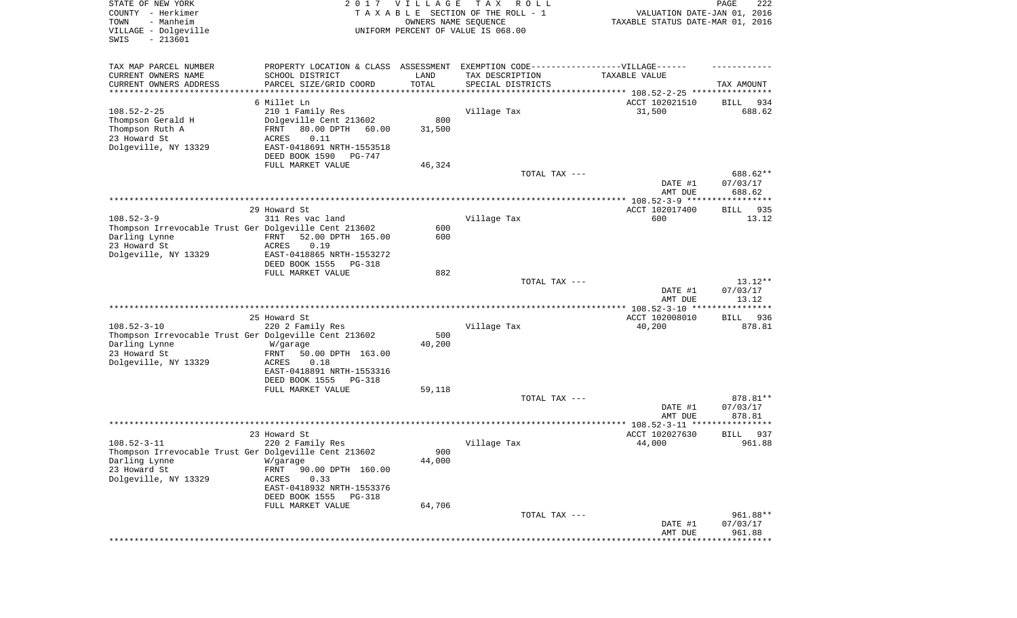| STATE OF NEW YORK<br>COUNTY - Herkimer<br>- Manheim<br>TOWN<br>VILLAGE - Dolgeville<br>SWIS<br>$-213601$ | 2017                                                                             | <b>VILLAGE</b><br>OWNERS NAME SEQUENCE | T A X<br>R O L L<br>TAXABLE SECTION OF THE ROLL - 1<br>UNIFORM PERCENT OF VALUE IS 068.00 | VALUATION DATE-JAN 01, 2016<br>TAXABLE STATUS DATE-MAR 01, 2016   | 222<br>PAGE                    |
|----------------------------------------------------------------------------------------------------------|----------------------------------------------------------------------------------|----------------------------------------|-------------------------------------------------------------------------------------------|-------------------------------------------------------------------|--------------------------------|
| TAX MAP PARCEL NUMBER                                                                                    | PROPERTY LOCATION & CLASS ASSESSMENT EXEMPTION CODE----------------VILLAGE------ |                                        |                                                                                           |                                                                   |                                |
| CURRENT OWNERS NAME                                                                                      | SCHOOL DISTRICT                                                                  | LAND                                   | TAX DESCRIPTION                                                                           | TAXABLE VALUE                                                     |                                |
| CURRENT OWNERS ADDRESS<br>*********************                                                          | PARCEL SIZE/GRID COORD                                                           | TOTAL<br>* * * * * * * * * * *         | SPECIAL DISTRICTS                                                                         | ************************************ 108.52-2-25 **************** | TAX AMOUNT                     |
|                                                                                                          | 6 Millet Ln                                                                      |                                        |                                                                                           | ACCT 102021510                                                    | 934<br>BILL                    |
| $108.52 - 2 - 25$                                                                                        | 210 1 Family Res                                                                 |                                        | Village Tax                                                                               | 31,500                                                            | 688.62                         |
| Thompson Gerald H                                                                                        | Dolgeville Cent 213602                                                           | 800                                    |                                                                                           |                                                                   |                                |
| Thompson Ruth A<br>23 Howard St                                                                          | 80.00 DPTH<br>FRNT<br>60.00                                                      | 31,500                                 |                                                                                           |                                                                   |                                |
| Dolgeville, NY 13329                                                                                     | ACRES<br>0.11<br>EAST-0418691 NRTH-1553518                                       |                                        |                                                                                           |                                                                   |                                |
|                                                                                                          | DEED BOOK 1590<br>PG-747                                                         |                                        |                                                                                           |                                                                   |                                |
|                                                                                                          | FULL MARKET VALUE                                                                | 46,324                                 |                                                                                           |                                                                   |                                |
|                                                                                                          |                                                                                  |                                        | TOTAL TAX ---                                                                             | DATE #1<br>AMT DUE                                                | 688.62**<br>07/03/17<br>688.62 |
|                                                                                                          |                                                                                  |                                        |                                                                                           |                                                                   |                                |
|                                                                                                          | 29 Howard St                                                                     |                                        |                                                                                           | ACCT 102017400                                                    | 935<br>BILL                    |
| $108.52 - 3 - 9$                                                                                         | 311 Res vac land                                                                 |                                        | Village Tax                                                                               | 600                                                               | 13.12                          |
| Thompson Irrevocable Trust Ger Dolgeville Cent 213602<br>Darling Lynne                                   | 52.00 DPTH 165.00<br>FRNT                                                        | 600<br>600                             |                                                                                           |                                                                   |                                |
| 23 Howard St                                                                                             | 0.19<br>ACRES                                                                    |                                        |                                                                                           |                                                                   |                                |
| Dolgeville, NY 13329                                                                                     | EAST-0418865 NRTH-1553272                                                        |                                        |                                                                                           |                                                                   |                                |
|                                                                                                          | DEED BOOK 1555<br>PG-318                                                         |                                        |                                                                                           |                                                                   |                                |
|                                                                                                          | FULL MARKET VALUE                                                                | 882                                    | TOTAL TAX ---                                                                             |                                                                   | $13.12**$                      |
|                                                                                                          |                                                                                  |                                        |                                                                                           | DATE #1<br>AMT DUE                                                | 07/03/17<br>13.12              |
|                                                                                                          |                                                                                  |                                        |                                                                                           |                                                                   |                                |
| $108.52 - 3 - 10$                                                                                        | 25 Howard St<br>220 2 Family Res                                                 |                                        | Village Tax                                                                               | ACCT 102008010<br>40,200                                          | <b>BILL</b><br>936<br>878.81   |
| Thompson Irrevocable Trust Ger Dolgeville Cent 213602                                                    |                                                                                  | 500                                    |                                                                                           |                                                                   |                                |
| Darling Lynne                                                                                            | W/garage                                                                         | 40,200                                 |                                                                                           |                                                                   |                                |
| 23 Howard St                                                                                             | 50.00 DPTH 163.00<br>FRNT                                                        |                                        |                                                                                           |                                                                   |                                |
| Dolgeville, NY 13329                                                                                     | <b>ACRES</b><br>0.18                                                             |                                        |                                                                                           |                                                                   |                                |
|                                                                                                          | EAST-0418891 NRTH-1553316<br>DEED BOOK 1555<br>PG-318                            |                                        |                                                                                           |                                                                   |                                |
|                                                                                                          | FULL MARKET VALUE                                                                | 59,118                                 |                                                                                           |                                                                   |                                |
|                                                                                                          |                                                                                  |                                        | TOTAL TAX ---                                                                             |                                                                   | 878.81**                       |
|                                                                                                          |                                                                                  |                                        |                                                                                           | DATE #1                                                           | 07/03/17                       |
|                                                                                                          |                                                                                  |                                        |                                                                                           | AMT DUE                                                           | 878.81<br>****************     |
|                                                                                                          | 23 Howard St                                                                     |                                        |                                                                                           | ACCT 102027630                                                    | 937<br>BILL                    |
| $108.52 - 3 - 11$                                                                                        | 220 2 Family Res                                                                 |                                        | Village Tax                                                                               | 44,000                                                            | 961.88                         |
| Thompson Irrevocable Trust Ger Dolgeville Cent 213602                                                    |                                                                                  | 900                                    |                                                                                           |                                                                   |                                |
| Darling Lynne<br>23 Howard St                                                                            | W/garage<br>FRNT<br>90.00 DPTH 160.00                                            | 44,000                                 |                                                                                           |                                                                   |                                |
| Dolgeville, NY 13329                                                                                     | ACRES<br>0.33                                                                    |                                        |                                                                                           |                                                                   |                                |
|                                                                                                          | EAST-0418932 NRTH-1553376                                                        |                                        |                                                                                           |                                                                   |                                |
|                                                                                                          | DEED BOOK 1555<br>PG-318                                                         |                                        |                                                                                           |                                                                   |                                |
|                                                                                                          | FULL MARKET VALUE                                                                | 64,706                                 | TOTAL TAX ---                                                                             |                                                                   | 961.88**                       |
|                                                                                                          |                                                                                  |                                        |                                                                                           | DATE #1                                                           | 07/03/17                       |
|                                                                                                          |                                                                                  |                                        |                                                                                           | AMT DUE                                                           | 961.88                         |
|                                                                                                          |                                                                                  |                                        |                                                                                           |                                                                   | *********                      |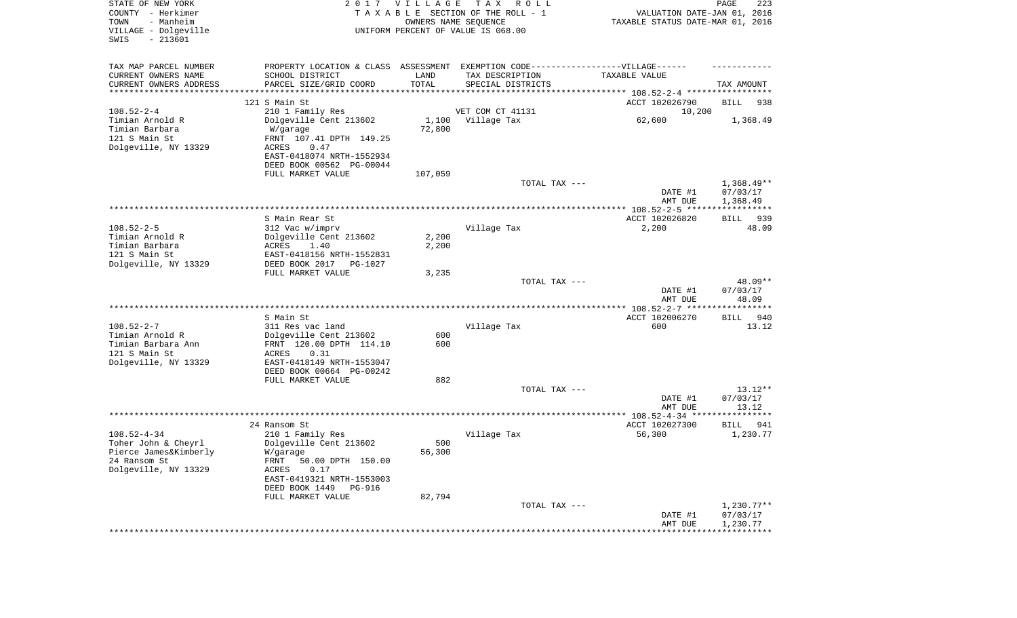| STATE OF NEW YORK<br>COUNTY - Herkimer<br>- Manheim<br>TOWN<br>VILLAGE - Dolgeville<br>$-213601$<br>SWIS |                                                                                                      | 2017 VILLAGE   | T A X<br>R O L L<br>TAXABLE SECTION OF THE ROLL - 1<br>OWNERS NAME SEQUENCE<br>UNIFORM PERCENT OF VALUE IS 068.00 | VALUATION DATE-JAN 01, 2016<br>TAXABLE STATUS DATE-MAR 01, 2016 | PAGE<br>223              |
|----------------------------------------------------------------------------------------------------------|------------------------------------------------------------------------------------------------------|----------------|-------------------------------------------------------------------------------------------------------------------|-----------------------------------------------------------------|--------------------------|
| TAX MAP PARCEL NUMBER<br>CURRENT OWNERS NAME                                                             | PROPERTY LOCATION & CLASS ASSESSMENT EXEMPTION CODE-----------------VILLAGE------<br>SCHOOL DISTRICT | LAND           | TAX DESCRIPTION                                                                                                   | TAXABLE VALUE                                                   |                          |
| CURRENT OWNERS ADDRESS<br>*********************                                                          | PARCEL SIZE/GRID COORD                                                                               | TOTAL          | SPECIAL DISTRICTS                                                                                                 |                                                                 | TAX AMOUNT               |
|                                                                                                          | 121 S Main St                                                                                        |                |                                                                                                                   | ACCT 102026790                                                  | BILL<br>938              |
| $108.52 - 2 - 4$                                                                                         | 210 1 Family Res                                                                                     |                | VET COM CT 41131                                                                                                  | 10,200                                                          |                          |
| Timian Arnold R                                                                                          | Dolgeville Cent 213602                                                                               |                | 1,100 Village Tax                                                                                                 | 62,600                                                          | 1,368.49                 |
| Timian Barbara                                                                                           | W/garage                                                                                             | 72,800         |                                                                                                                   |                                                                 |                          |
| 121 S Main St                                                                                            | FRNT 107.41 DPTH 149.25                                                                              |                |                                                                                                                   |                                                                 |                          |
| Dolgeville, NY 13329                                                                                     | ACRES<br>0.47                                                                                        |                |                                                                                                                   |                                                                 |                          |
|                                                                                                          | EAST-0418074 NRTH-1552934                                                                            |                |                                                                                                                   |                                                                 |                          |
|                                                                                                          | DEED BOOK 00562 PG-00044<br>FULL MARKET VALUE                                                        | 107,059        |                                                                                                                   |                                                                 |                          |
|                                                                                                          |                                                                                                      |                | TOTAL TAX ---                                                                                                     |                                                                 | $1,368.49**$             |
|                                                                                                          |                                                                                                      |                |                                                                                                                   | DATE #1                                                         | 07/03/17                 |
|                                                                                                          |                                                                                                      |                |                                                                                                                   | AMT DUE                                                         | 1,368.49                 |
|                                                                                                          |                                                                                                      |                |                                                                                                                   |                                                                 |                          |
|                                                                                                          | S Main Rear St                                                                                       |                |                                                                                                                   | ACCT 102026820                                                  | 939<br>BILL              |
| $108.52 - 2 - 5$                                                                                         | 312 Vac w/imprv                                                                                      |                | Village Tax                                                                                                       | 2,200                                                           | 48.09                    |
| Timian Arnold R<br>Timian Barbara                                                                        | Dolgeville Cent 213602<br>1.40<br>ACRES                                                              | 2,200<br>2,200 |                                                                                                                   |                                                                 |                          |
| 121 S Main St                                                                                            | EAST-0418156 NRTH-1552831                                                                            |                |                                                                                                                   |                                                                 |                          |
| Dolgeville, NY 13329                                                                                     | DEED BOOK 2017 PG-1027                                                                               |                |                                                                                                                   |                                                                 |                          |
|                                                                                                          | FULL MARKET VALUE                                                                                    | 3,235          |                                                                                                                   |                                                                 |                          |
|                                                                                                          |                                                                                                      |                | TOTAL TAX ---                                                                                                     |                                                                 | 48.09**                  |
|                                                                                                          |                                                                                                      |                |                                                                                                                   | DATE #1                                                         | 07/03/17                 |
|                                                                                                          |                                                                                                      |                |                                                                                                                   | AMT DUE                                                         | 48.09                    |
|                                                                                                          | S Main St                                                                                            |                |                                                                                                                   | ACCT 102006270                                                  | <b>BILL</b><br>940       |
| $108.52 - 2 - 7$                                                                                         | 311 Res vac land                                                                                     |                | Village Tax                                                                                                       | 600                                                             | 13.12                    |
| Timian Arnold R                                                                                          | Dolgeville Cent 213602                                                                               | 600            |                                                                                                                   |                                                                 |                          |
| Timian Barbara Ann                                                                                       | FRNT 120.00 DPTH 114.10                                                                              | 600            |                                                                                                                   |                                                                 |                          |
| 121 S Main St                                                                                            | ACRES<br>0.31                                                                                        |                |                                                                                                                   |                                                                 |                          |
| Dolgeville, NY 13329                                                                                     | EAST-0418149 NRTH-1553047                                                                            |                |                                                                                                                   |                                                                 |                          |
|                                                                                                          | DEED BOOK 00664 PG-00242<br>FULL MARKET VALUE                                                        | 882            |                                                                                                                   |                                                                 |                          |
|                                                                                                          |                                                                                                      |                | TOTAL TAX ---                                                                                                     |                                                                 | $13.12**$                |
|                                                                                                          |                                                                                                      |                |                                                                                                                   | DATE #1                                                         | 07/03/17                 |
|                                                                                                          |                                                                                                      |                |                                                                                                                   | AMT DUE                                                         | 13.12                    |
|                                                                                                          |                                                                                                      |                |                                                                                                                   |                                                                 |                          |
|                                                                                                          | 24 Ransom St                                                                                         |                |                                                                                                                   | ACCT 102027300                                                  | BILL<br>941              |
| $108.52 - 4 - 34$                                                                                        | 210 1 Family Res                                                                                     |                | Village Tax                                                                                                       | 56,300                                                          | 1,230.77                 |
| Toher John & Cheyrl<br>Pierce James&Kimberly                                                             | Dolgeville Cent 213602<br>W/garage                                                                   | 500<br>56,300  |                                                                                                                   |                                                                 |                          |
| 24 Ransom St                                                                                             | FRNT 50.00 DPTH 150.00                                                                               |                |                                                                                                                   |                                                                 |                          |
| Dolgeville, NY 13329                                                                                     | 0.17<br>ACRES                                                                                        |                |                                                                                                                   |                                                                 |                          |
|                                                                                                          | EAST-0419321 NRTH-1553003                                                                            |                |                                                                                                                   |                                                                 |                          |
|                                                                                                          | DEED BOOK 1449 PG-916                                                                                |                |                                                                                                                   |                                                                 |                          |
|                                                                                                          | FULL MARKET VALUE                                                                                    | 82,794         |                                                                                                                   |                                                                 |                          |
|                                                                                                          |                                                                                                      |                | TOTAL TAX ---                                                                                                     | DATE #1                                                         | $1,230.77**$<br>07/03/17 |
|                                                                                                          |                                                                                                      |                |                                                                                                                   | AMT DUE                                                         | 1,230.77                 |
|                                                                                                          |                                                                                                      |                |                                                                                                                   |                                                                 |                          |
|                                                                                                          |                                                                                                      |                |                                                                                                                   |                                                                 |                          |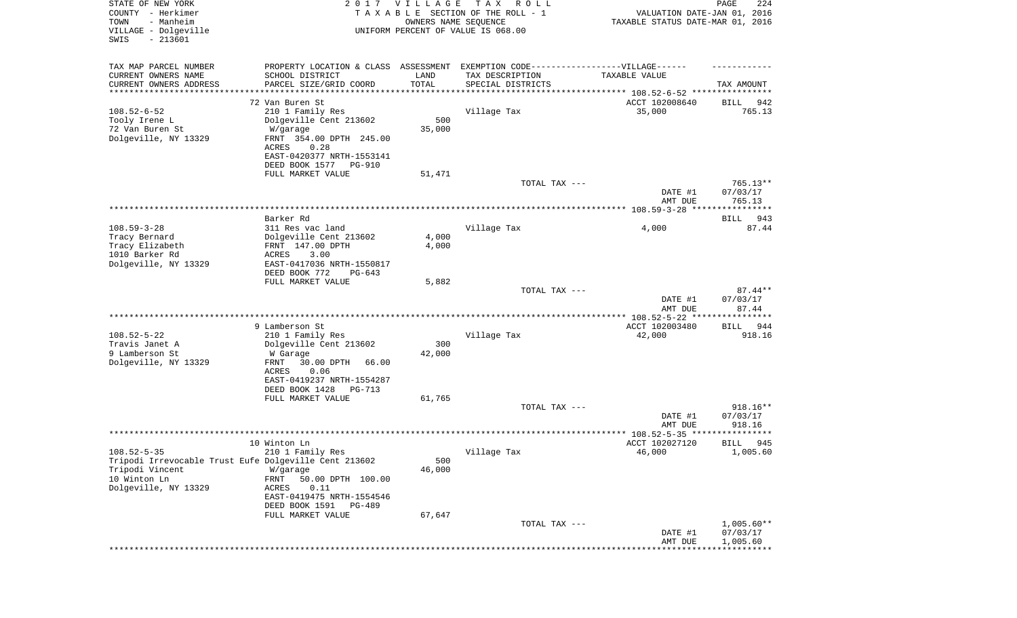| STATE OF NEW YORK<br>COUNTY - Herkimer<br>- Manheim<br>TOWN<br>VILLAGE - Dolgeville<br>SWIS<br>$-213601$ | 2017                                                                                              | <b>VILLAGE</b><br>OWNERS NAME SEQUENCE | T A X<br>R O L L<br>TAXABLE SECTION OF THE ROLL - 1<br>UNIFORM PERCENT OF VALUE IS 068.00 | VALUATION DATE-JAN 01, 2016<br>TAXABLE STATUS DATE-MAR 01, 2016 | 224<br>PAGE                    |
|----------------------------------------------------------------------------------------------------------|---------------------------------------------------------------------------------------------------|----------------------------------------|-------------------------------------------------------------------------------------------|-----------------------------------------------------------------|--------------------------------|
| TAX MAP PARCEL NUMBER                                                                                    | PROPERTY LOCATION & CLASS ASSESSMENT EXEMPTION CODE----------------VILLAGE------                  |                                        |                                                                                           |                                                                 |                                |
| CURRENT OWNERS NAME<br>CURRENT OWNERS ADDRESS                                                            | SCHOOL DISTRICT<br>PARCEL SIZE/GRID COORD                                                         | LAND<br>TOTAL                          | TAX DESCRIPTION<br>SPECIAL DISTRICTS                                                      | TAXABLE VALUE                                                   | TAX AMOUNT                     |
| ********************                                                                                     |                                                                                                   |                                        |                                                                                           |                                                                 |                                |
| $108.52 - 6 - 52$<br>Tooly Irene L<br>72 Van Buren St                                                    | 72 Van Buren St<br>210 1 Family Res<br>Dolgeville Cent 213602<br>W/garage                         | 500<br>35,000                          | Village Tax                                                                               | ACCT 102008640<br>35,000                                        | 942<br>BILL<br>765.13          |
| Dolgeville, NY 13329                                                                                     | FRNT 354.00 DPTH 245.00<br>ACRES<br>0.28<br>EAST-0420377 NRTH-1553141<br>DEED BOOK 1577<br>PG-910 |                                        |                                                                                           |                                                                 |                                |
|                                                                                                          | FULL MARKET VALUE                                                                                 | 51,471                                 |                                                                                           |                                                                 |                                |
|                                                                                                          |                                                                                                   |                                        | TOTAL TAX ---                                                                             | DATE #1<br>AMT DUE                                              | 765.13**<br>07/03/17<br>765.13 |
|                                                                                                          |                                                                                                   |                                        |                                                                                           |                                                                 |                                |
|                                                                                                          | Barker Rd                                                                                         |                                        |                                                                                           |                                                                 | 943<br>BILL                    |
| $108.59 - 3 - 28$                                                                                        | 311 Res vac land                                                                                  |                                        | Village Tax                                                                               | 4,000                                                           | 87.44                          |
| Tracy Bernard                                                                                            | Dolgeville Cent 213602                                                                            | 4,000                                  |                                                                                           |                                                                 |                                |
| Tracy Elizabeth                                                                                          | FRNT 147.00 DPTH                                                                                  | 4,000                                  |                                                                                           |                                                                 |                                |
| 1010 Barker Rd                                                                                           | <b>ACRES</b><br>3.00                                                                              |                                        |                                                                                           |                                                                 |                                |
| Dolgeville, NY 13329                                                                                     | EAST-0417036 NRTH-1550817<br>DEED BOOK 772<br>$PG-643$                                            |                                        |                                                                                           |                                                                 |                                |
|                                                                                                          | FULL MARKET VALUE                                                                                 | 5,882                                  |                                                                                           |                                                                 |                                |
|                                                                                                          |                                                                                                   |                                        | TOTAL TAX ---                                                                             | DATE #1                                                         | $87.44**$<br>07/03/17          |
|                                                                                                          |                                                                                                   |                                        |                                                                                           | AMT DUE                                                         | 87.44                          |
|                                                                                                          |                                                                                                   |                                        | *******************************                                                           | *********** 108.52-5-22 ****                                    | *******                        |
|                                                                                                          | 9 Lamberson St                                                                                    |                                        |                                                                                           | ACCT 102003480                                                  | 944<br>BILL                    |
| $108.52 - 5 - 22$                                                                                        | 210 1 Family Res                                                                                  |                                        | Village Tax                                                                               | 42,000                                                          | 918.16                         |
| Travis Janet A                                                                                           | Dolgeville Cent 213602                                                                            | 300                                    |                                                                                           |                                                                 |                                |
| 9 Lamberson St                                                                                           | W Garage                                                                                          | 42,000                                 |                                                                                           |                                                                 |                                |
| Dolgeville, NY 13329                                                                                     | FRNT<br>30.00 DPTH<br>66.00                                                                       |                                        |                                                                                           |                                                                 |                                |
|                                                                                                          | ACRES<br>0.06<br>EAST-0419237 NRTH-1554287                                                        |                                        |                                                                                           |                                                                 |                                |
|                                                                                                          | DEED BOOK 1428<br>PG-713                                                                          |                                        |                                                                                           |                                                                 |                                |
|                                                                                                          | FULL MARKET VALUE                                                                                 | 61,765                                 |                                                                                           |                                                                 |                                |
|                                                                                                          |                                                                                                   |                                        | TOTAL TAX ---                                                                             |                                                                 | 918.16**                       |
|                                                                                                          |                                                                                                   |                                        |                                                                                           | DATE #1                                                         | 07/03/17                       |
|                                                                                                          |                                                                                                   |                                        |                                                                                           | AMT DUE                                                         | 918.16                         |
|                                                                                                          |                                                                                                   |                                        |                                                                                           | ***************** 108.52-5-35 ********                          | *****                          |
| $108.52 - 5 - 35$                                                                                        | 10 Winton Ln                                                                                      |                                        |                                                                                           | ACCT 102027120<br>46,000                                        | 945<br>BILL<br>1,005.60        |
| Tripodi Irrevocable Trust Eufe Dolgeville Cent 213602                                                    | 210 1 Family Res                                                                                  | 500                                    | Village Tax                                                                               |                                                                 |                                |
| Tripodi Vincent                                                                                          | W/garage                                                                                          | 46,000                                 |                                                                                           |                                                                 |                                |
| 10 Winton Ln                                                                                             | FRNT<br>50.00 DPTH 100.00                                                                         |                                        |                                                                                           |                                                                 |                                |
| Dolgeville, NY 13329                                                                                     | ACRES<br>0.11                                                                                     |                                        |                                                                                           |                                                                 |                                |
|                                                                                                          | EAST-0419475 NRTH-1554546                                                                         |                                        |                                                                                           |                                                                 |                                |
|                                                                                                          | DEED BOOK 1591<br><b>PG-489</b>                                                                   |                                        |                                                                                           |                                                                 |                                |
|                                                                                                          | FULL MARKET VALUE                                                                                 | 67,647                                 |                                                                                           |                                                                 |                                |
|                                                                                                          |                                                                                                   |                                        | TOTAL TAX ---                                                                             | DATE #1                                                         | $1,005.60**$<br>07/03/17       |
|                                                                                                          |                                                                                                   |                                        |                                                                                           | AMT DUE                                                         | 1,005.60                       |
|                                                                                                          |                                                                                                   |                                        |                                                                                           |                                                                 |                                |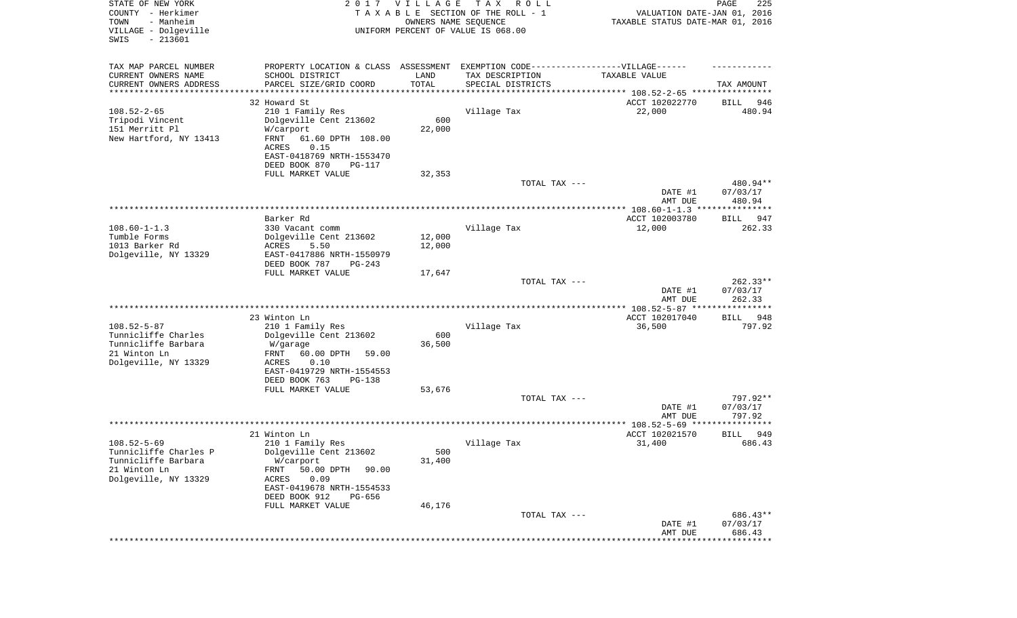| STATE OF NEW YORK<br>COUNTY - Herkimer<br>- Manheim<br>TOWN<br>VILLAGE - Dolgeville<br>SWIS<br>$-213601$ |                                                                                   | 2017 VILLAGE<br>OWNERS NAME SEQUENCE | TAX ROLL<br>TAXABLE SECTION OF THE ROLL - 1<br>UNIFORM PERCENT OF VALUE IS 068.00 | VALUATION DATE-JAN 01, 2016<br>TAXABLE STATUS DATE-MAR 01, 2016 | PAGE<br>225           |
|----------------------------------------------------------------------------------------------------------|-----------------------------------------------------------------------------------|--------------------------------------|-----------------------------------------------------------------------------------|-----------------------------------------------------------------|-----------------------|
| TAX MAP PARCEL NUMBER                                                                                    | PROPERTY LOCATION & CLASS ASSESSMENT EXEMPTION CODE-----------------VILLAGE------ |                                      |                                                                                   |                                                                 |                       |
| CURRENT OWNERS NAME                                                                                      | SCHOOL DISTRICT                                                                   | LAND                                 | TAX DESCRIPTION                                                                   | TAXABLE VALUE                                                   |                       |
| CURRENT OWNERS ADDRESS<br>********************                                                           | PARCEL SIZE/GRID COORD                                                            | TOTAL                                | SPECIAL DISTRICTS                                                                 |                                                                 | TAX AMOUNT            |
|                                                                                                          | 32 Howard St                                                                      |                                      |                                                                                   | ACCT 102022770                                                  | BILL<br>946           |
| $108.52 - 2 - 65$                                                                                        | 210 1 Family Res                                                                  |                                      | Village Tax                                                                       | 22,000                                                          | 480.94                |
| Tripodi Vincent                                                                                          | Dolgeville Cent 213602                                                            | 600                                  |                                                                                   |                                                                 |                       |
| 151 Merritt Pl                                                                                           | W/carport                                                                         | 22,000                               |                                                                                   |                                                                 |                       |
| New Hartford, NY 13413                                                                                   | FRNT<br>61.60 DPTH 108.00<br><b>ACRES</b><br>0.15                                 |                                      |                                                                                   |                                                                 |                       |
|                                                                                                          | EAST-0418769 NRTH-1553470                                                         |                                      |                                                                                   |                                                                 |                       |
|                                                                                                          | DEED BOOK 870<br>PG-117                                                           |                                      |                                                                                   |                                                                 |                       |
|                                                                                                          | FULL MARKET VALUE                                                                 | 32,353                               |                                                                                   |                                                                 |                       |
|                                                                                                          |                                                                                   |                                      | TOTAL TAX ---                                                                     |                                                                 | 480.94**              |
|                                                                                                          |                                                                                   |                                      |                                                                                   | DATE #1<br>AMT DUE                                              | 07/03/17<br>480.94    |
|                                                                                                          | Barker Rd                                                                         |                                      |                                                                                   | ACCT 102003780                                                  |                       |
| $108.60 - 1 - 1.3$                                                                                       | 330 Vacant comm                                                                   |                                      | Village Tax                                                                       | 12,000                                                          | BILL<br>947<br>262.33 |
| Tumble Forms                                                                                             | Dolgeville Cent 213602                                                            | 12,000                               |                                                                                   |                                                                 |                       |
| 1013 Barker Rd                                                                                           | 5.50<br>ACRES                                                                     | 12,000                               |                                                                                   |                                                                 |                       |
| Dolgeville, NY 13329                                                                                     | EAST-0417886 NRTH-1550979                                                         |                                      |                                                                                   |                                                                 |                       |
|                                                                                                          | DEED BOOK 787<br>$PG-243$                                                         |                                      |                                                                                   |                                                                 |                       |
|                                                                                                          | FULL MARKET VALUE                                                                 | 17,647                               | TOTAL TAX ---                                                                     |                                                                 | $262.33**$            |
|                                                                                                          |                                                                                   |                                      |                                                                                   | DATE #1<br>AMT DUE                                              | 07/03/17<br>262.33    |
|                                                                                                          |                                                                                   |                                      |                                                                                   |                                                                 |                       |
|                                                                                                          | 23 Winton Ln                                                                      |                                      |                                                                                   | ACCT 102017040                                                  | BILL<br>948           |
| $108.52 - 5 - 87$<br>Tunnicliffe Charles                                                                 | 210 1 Family Res<br>Dolgeville Cent 213602                                        | 600                                  | Village Tax                                                                       | 36,500                                                          | 797.92                |
| Tunnicliffe Barbara                                                                                      | W/garage                                                                          | 36,500                               |                                                                                   |                                                                 |                       |
| 21 Winton Ln                                                                                             | 60.00 DPTH<br>FRNT<br>59.00                                                       |                                      |                                                                                   |                                                                 |                       |
| Dolgeville, NY 13329                                                                                     | ACRES<br>0.10                                                                     |                                      |                                                                                   |                                                                 |                       |
|                                                                                                          | EAST-0419729 NRTH-1554553                                                         |                                      |                                                                                   |                                                                 |                       |
|                                                                                                          | DEED BOOK 763<br>PG-138                                                           |                                      |                                                                                   |                                                                 |                       |
|                                                                                                          | FULL MARKET VALUE                                                                 | 53,676                               | TOTAL TAX ---                                                                     |                                                                 | 797.92**              |
|                                                                                                          |                                                                                   |                                      |                                                                                   | DATE #1                                                         | 07/03/17              |
|                                                                                                          |                                                                                   |                                      |                                                                                   | AMT DUE                                                         | 797.92                |
|                                                                                                          |                                                                                   |                                      |                                                                                   |                                                                 |                       |
|                                                                                                          | 21 Winton Ln                                                                      |                                      |                                                                                   | ACCT 102021570                                                  | 949<br>BILL           |
| $108.52 - 5 - 69$<br>Tunnicliffe Charles P                                                               | 210 1 Family Res<br>Dolgeville Cent 213602                                        | 500                                  | Village Tax                                                                       | 31,400                                                          | 686.43                |
| Tunnicliffe Barbara                                                                                      | W/carport                                                                         | 31,400                               |                                                                                   |                                                                 |                       |
| 21 Winton Ln                                                                                             | 50.00 DPTH<br>90.00<br>FRNT                                                       |                                      |                                                                                   |                                                                 |                       |
| Dolgeville, NY 13329                                                                                     | 0.09<br>ACRES                                                                     |                                      |                                                                                   |                                                                 |                       |
|                                                                                                          | EAST-0419678 NRTH-1554533                                                         |                                      |                                                                                   |                                                                 |                       |
|                                                                                                          | DEED BOOK 912<br>PG-656<br>FULL MARKET VALUE                                      | 46,176                               |                                                                                   |                                                                 |                       |
|                                                                                                          |                                                                                   |                                      | TOTAL TAX ---                                                                     |                                                                 | 686.43**              |
|                                                                                                          |                                                                                   |                                      |                                                                                   | DATE #1                                                         | 07/03/17              |
|                                                                                                          |                                                                                   |                                      |                                                                                   | AMT DUE                                                         | 686.43                |
|                                                                                                          |                                                                                   |                                      |                                                                                   |                                                                 | * * * * * * * * *     |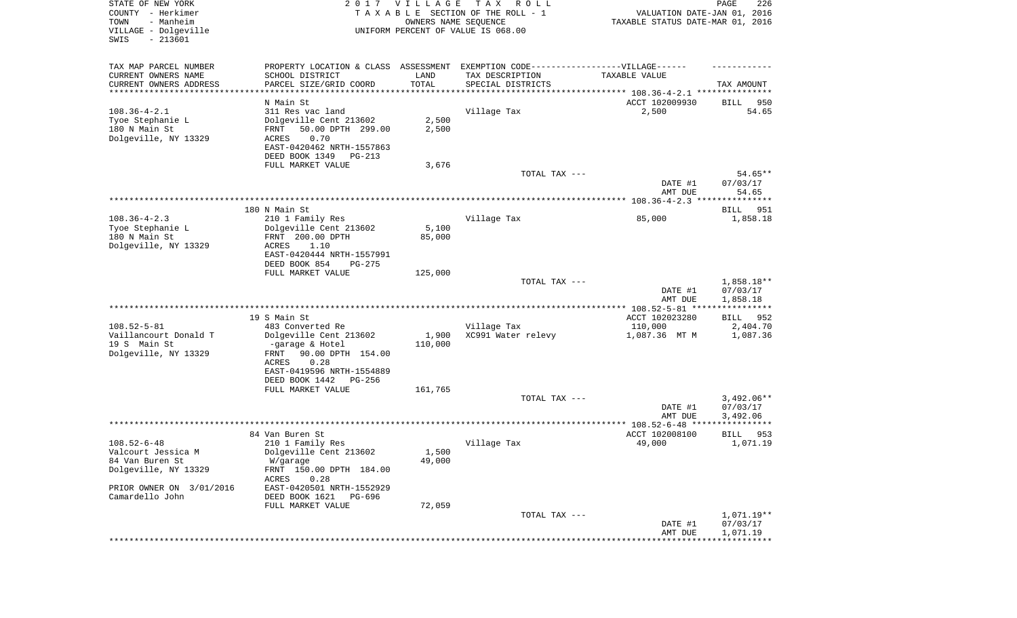| STATE OF NEW YORK<br>COUNTY - Herkimer<br>- Manheim<br>TOWN<br>VILLAGE - Dolgeville<br>SWIS<br>$-213601$ |                                                                                   | 2017 VILLAGE<br>OWNERS NAME SEQUENCE | T A X<br>R O L L<br>TAXABLE SECTION OF THE ROLL - 1<br>UNIFORM PERCENT OF VALUE IS 068.00 | VALUATION DATE-JAN 01, 2016<br>TAXABLE STATUS DATE-MAR 01, 2016    | PAGE<br>226             |
|----------------------------------------------------------------------------------------------------------|-----------------------------------------------------------------------------------|--------------------------------------|-------------------------------------------------------------------------------------------|--------------------------------------------------------------------|-------------------------|
| TAX MAP PARCEL NUMBER                                                                                    | PROPERTY LOCATION & CLASS ASSESSMENT EXEMPTION CODE-----------------VILLAGE------ |                                      |                                                                                           |                                                                    |                         |
| CURRENT OWNERS NAME                                                                                      | SCHOOL DISTRICT                                                                   | LAND                                 | TAX DESCRIPTION                                                                           | TAXABLE VALUE                                                      |                         |
| CURRENT OWNERS ADDRESS<br>*********************                                                          | PARCEL SIZE/GRID COORD<br>*******************                                     | TOTAL<br>**********                  | SPECIAL DISTRICTS                                                                         | ************************************* 108.36-4-2.1 *************** | TAX AMOUNT              |
|                                                                                                          | N Main St                                                                         |                                      |                                                                                           | ACCT 102009930                                                     | BILL<br>950             |
| $108.36 - 4 - 2.1$                                                                                       | 311 Res vac land                                                                  |                                      | Village Tax                                                                               | 2,500                                                              | 54.65                   |
| Tyoe Stephanie L                                                                                         | Dolgeville Cent 213602                                                            | 2,500                                |                                                                                           |                                                                    |                         |
| 180 N Main St                                                                                            | 50.00 DPTH 299.00<br>FRNT                                                         | 2,500                                |                                                                                           |                                                                    |                         |
| Dolgeville, NY 13329                                                                                     | 0.70<br>ACRES                                                                     |                                      |                                                                                           |                                                                    |                         |
|                                                                                                          | EAST-0420462 NRTH-1557863<br>DEED BOOK 1349<br>PG-213                             |                                      |                                                                                           |                                                                    |                         |
|                                                                                                          | FULL MARKET VALUE                                                                 | 3,676                                |                                                                                           |                                                                    |                         |
|                                                                                                          |                                                                                   |                                      | TOTAL TAX ---                                                                             |                                                                    | $54.65**$               |
|                                                                                                          |                                                                                   |                                      |                                                                                           | DATE #1                                                            | 07/03/17                |
|                                                                                                          |                                                                                   |                                      |                                                                                           | AMT DUE                                                            | 54.65                   |
|                                                                                                          |                                                                                   |                                      |                                                                                           |                                                                    |                         |
| $108.36 - 4 - 2.3$                                                                                       | 180 N Main St<br>210 1 Family Res                                                 |                                      | Village Tax                                                                               | 85,000                                                             | 951<br>BILL<br>1,858.18 |
| Tyoe Stephanie L                                                                                         | Dolgeville Cent 213602                                                            | 5,100                                |                                                                                           |                                                                    |                         |
| 180 N Main St                                                                                            | FRNT 200.00 DPTH                                                                  | 85,000                               |                                                                                           |                                                                    |                         |
| Dolgeville, NY 13329                                                                                     | 1.10<br>ACRES                                                                     |                                      |                                                                                           |                                                                    |                         |
|                                                                                                          | EAST-0420444 NRTH-1557991                                                         |                                      |                                                                                           |                                                                    |                         |
|                                                                                                          | DEED BOOK 854<br>$PG-275$<br>FULL MARKET VALUE                                    | 125,000                              |                                                                                           |                                                                    |                         |
|                                                                                                          |                                                                                   |                                      | TOTAL TAX ---                                                                             |                                                                    | 1,858.18**              |
|                                                                                                          |                                                                                   |                                      |                                                                                           | DATE #1<br>AMT DUE                                                 | 07/03/17<br>1,858.18    |
|                                                                                                          |                                                                                   |                                      |                                                                                           |                                                                    |                         |
|                                                                                                          | 19 S Main St                                                                      |                                      |                                                                                           | ACCT 102023280                                                     | BILL<br>952             |
| $108.52 - 5 - 81$<br>Vaillancourt Donald T                                                               | 483 Converted Re<br>Dolgeville Cent 213602                                        | 1,900                                | Village Tax<br>XC991 Water relevy                                                         | 110,000<br>1,087.36 MT M                                           | 2,404.70<br>1,087.36    |
| 19 S Main St<br>Dolgeville, NY 13329                                                                     | -garage & Hotel<br>90.00 DPTH 154.00<br>FRNT                                      | 110,000                              |                                                                                           |                                                                    |                         |
|                                                                                                          | ACRES<br>0.28                                                                     |                                      |                                                                                           |                                                                    |                         |
|                                                                                                          | EAST-0419596 NRTH-1554889<br>DEED BOOK 1442<br>PG-256                             |                                      |                                                                                           |                                                                    |                         |
|                                                                                                          | FULL MARKET VALUE                                                                 | 161,765                              |                                                                                           |                                                                    |                         |
|                                                                                                          |                                                                                   |                                      | TOTAL TAX ---                                                                             |                                                                    | $3,492.06**$            |
|                                                                                                          |                                                                                   |                                      |                                                                                           | DATE #1                                                            | 07/03/17                |
|                                                                                                          |                                                                                   |                                      |                                                                                           | AMT DUE                                                            | 3,492.06                |
|                                                                                                          |                                                                                   |                                      |                                                                                           | ACCT 102008100                                                     | ***********<br>953      |
| $108.52 - 6 - 48$                                                                                        | 84 Van Buren St<br>210 1 Family Res                                               |                                      | Village Tax                                                                               | 49,000                                                             | BILL<br>1,071.19        |
| Valcourt Jessica M                                                                                       | Dolgeville Cent 213602                                                            | 1,500                                |                                                                                           |                                                                    |                         |
| 84 Van Buren St                                                                                          | W/garage                                                                          | 49,000                               |                                                                                           |                                                                    |                         |
| Dolgeville, NY 13329                                                                                     | FRNT 150.00 DPTH 184.00                                                           |                                      |                                                                                           |                                                                    |                         |
|                                                                                                          | 0.28<br>ACRES                                                                     |                                      |                                                                                           |                                                                    |                         |
| PRIOR OWNER ON 3/01/2016<br>Camardello John                                                              | EAST-0420501 NRTH-1552929<br>DEED BOOK 1621 PG-696                                |                                      |                                                                                           |                                                                    |                         |
|                                                                                                          | FULL MARKET VALUE                                                                 | 72,059                               |                                                                                           |                                                                    |                         |
|                                                                                                          |                                                                                   |                                      | TOTAL TAX ---                                                                             |                                                                    | 1,071.19**              |
|                                                                                                          |                                                                                   |                                      |                                                                                           | DATE #1                                                            | 07/03/17                |
|                                                                                                          |                                                                                   |                                      |                                                                                           | AMT DUE                                                            | 1,071.19                |
|                                                                                                          |                                                                                   |                                      |                                                                                           |                                                                    |                         |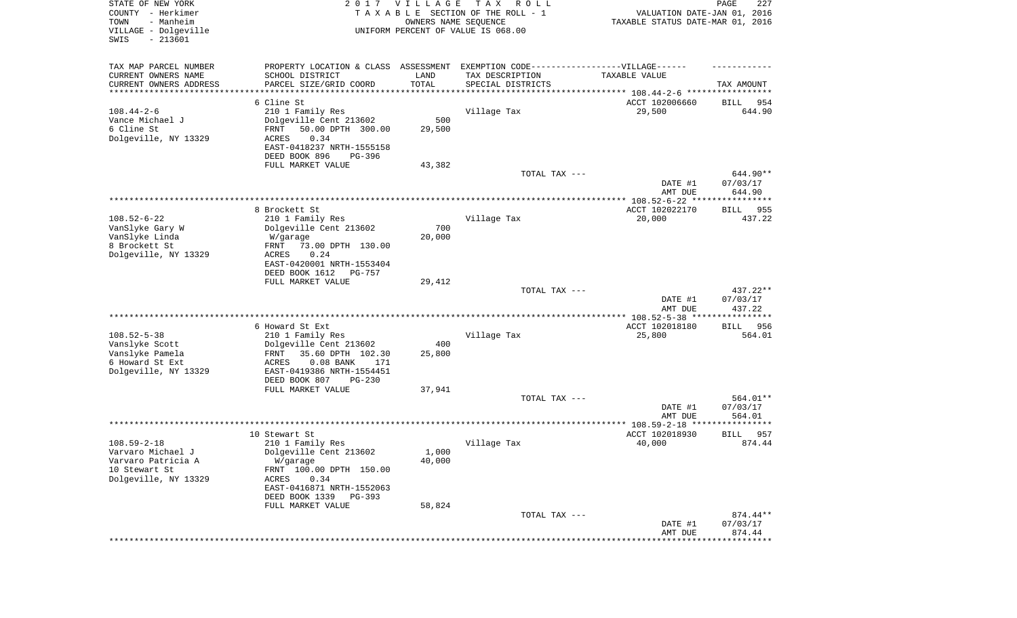| STATE OF NEW YORK<br>COUNTY - Herkimer<br>- Manheim<br>TOWN<br>VILLAGE - Dolgeville<br>SWIS<br>$-213601$ |                                                                                  | 2017 VILLAGE<br>OWNERS NAME SEQUENCE | T A X<br>R O L L<br>TAXABLE SECTION OF THE ROLL - 1<br>UNIFORM PERCENT OF VALUE IS 068.00 | VALUATION DATE-JAN 01, 2016<br>TAXABLE STATUS DATE-MAR 01, 2016 | PAGE<br>227                     |
|----------------------------------------------------------------------------------------------------------|----------------------------------------------------------------------------------|--------------------------------------|-------------------------------------------------------------------------------------------|-----------------------------------------------------------------|---------------------------------|
| TAX MAP PARCEL NUMBER                                                                                    | PROPERTY LOCATION & CLASS ASSESSMENT EXEMPTION CODE----------------VILLAGE------ |                                      |                                                                                           |                                                                 |                                 |
| CURRENT OWNERS NAME                                                                                      | SCHOOL DISTRICT                                                                  | LAND                                 | TAX DESCRIPTION                                                                           | TAXABLE VALUE                                                   |                                 |
| CURRENT OWNERS ADDRESS<br>********************                                                           | PARCEL SIZE/GRID COORD<br>****************                                       | TOTAL<br>**********                  | SPECIAL DISTRICTS                                                                         |                                                                 | TAX AMOUNT                      |
|                                                                                                          | 6 Cline St                                                                       |                                      |                                                                                           | ACCT 102006660                                                  | BILL<br>954                     |
| $108.44 - 2 - 6$                                                                                         | 210 1 Family Res                                                                 |                                      | Village Tax                                                                               | 29,500                                                          | 644.90                          |
| Vance Michael J                                                                                          | Dolgeville Cent 213602                                                           | 500                                  |                                                                                           |                                                                 |                                 |
| 6 Cline St                                                                                               | 50.00 DPTH 300.00<br>FRNT                                                        | 29,500                               |                                                                                           |                                                                 |                                 |
| Dolgeville, NY 13329                                                                                     | 0.34<br>ACRES                                                                    |                                      |                                                                                           |                                                                 |                                 |
|                                                                                                          | EAST-0418237 NRTH-1555158<br>DEED BOOK 896<br>PG-396                             |                                      |                                                                                           |                                                                 |                                 |
|                                                                                                          | FULL MARKET VALUE                                                                | 43,382                               |                                                                                           |                                                                 |                                 |
|                                                                                                          |                                                                                  |                                      | TOTAL TAX ---                                                                             |                                                                 | 644.90**                        |
|                                                                                                          |                                                                                  |                                      |                                                                                           | DATE #1                                                         | 07/03/17                        |
|                                                                                                          |                                                                                  |                                      |                                                                                           | AMT DUE                                                         | 644.90                          |
|                                                                                                          | 8 Brockett St                                                                    |                                      |                                                                                           | ACCT 102022170                                                  | 955<br>BILL                     |
| $108.52 - 6 - 22$                                                                                        | 210 1 Family Res                                                                 |                                      | Village Tax                                                                               | 20,000                                                          | 437.22                          |
| VanSlyke Gary W                                                                                          | Dolgeville Cent 213602                                                           | 700                                  |                                                                                           |                                                                 |                                 |
| VanSlyke Linda                                                                                           | W/garage                                                                         | 20,000                               |                                                                                           |                                                                 |                                 |
| 8 Brockett St                                                                                            | 73.00 DPTH 130.00<br>FRNT                                                        |                                      |                                                                                           |                                                                 |                                 |
| Dolgeville, NY 13329                                                                                     | ACRES<br>0.24                                                                    |                                      |                                                                                           |                                                                 |                                 |
|                                                                                                          | EAST-0420001 NRTH-1553404<br>DEED BOOK 1612<br><b>PG-757</b>                     |                                      |                                                                                           |                                                                 |                                 |
|                                                                                                          | FULL MARKET VALUE                                                                | 29,412                               |                                                                                           |                                                                 |                                 |
|                                                                                                          |                                                                                  |                                      | TOTAL TAX ---                                                                             |                                                                 | $437.22**$                      |
|                                                                                                          |                                                                                  |                                      |                                                                                           | DATE #1                                                         | 07/03/17                        |
|                                                                                                          |                                                                                  |                                      |                                                                                           | AMT DUE<br>************ 108.52-5-38 *****                       | 437.22<br>* * * * * * * * * * * |
|                                                                                                          | 6 Howard St Ext                                                                  |                                      |                                                                                           | ACCT 102018180                                                  | 956<br>BILL                     |
| $108.52 - 5 - 38$                                                                                        | 210 1 Family Res                                                                 |                                      | Village Tax                                                                               | 25,800                                                          | 564.01                          |
| Vanslyke Scott                                                                                           | Dolgeville Cent 213602                                                           | 400                                  |                                                                                           |                                                                 |                                 |
| Vanslyke Pamela                                                                                          | 35.60 DPTH 102.30<br>FRNT                                                        | 25,800                               |                                                                                           |                                                                 |                                 |
| 6 Howard St Ext                                                                                          | $0.08$ BANK<br>ACRES<br>171                                                      |                                      |                                                                                           |                                                                 |                                 |
| Dolgeville, NY 13329                                                                                     | EAST-0419386 NRTH-1554451<br>DEED BOOK 807<br>$PG-230$                           |                                      |                                                                                           |                                                                 |                                 |
|                                                                                                          | FULL MARKET VALUE                                                                | 37,941                               |                                                                                           |                                                                 |                                 |
|                                                                                                          |                                                                                  |                                      | TOTAL TAX ---                                                                             |                                                                 | 564.01**                        |
|                                                                                                          |                                                                                  |                                      |                                                                                           | DATE #1                                                         | 07/03/17                        |
|                                                                                                          |                                                                                  |                                      |                                                                                           | AMT DUE                                                         | 564.01                          |
|                                                                                                          | 10 Stewart St                                                                    |                                      |                                                                                           | ACCT 102018930                                                  | 957<br>BILL                     |
| $108.59 - 2 - 18$                                                                                        | 210 1 Family Res                                                                 |                                      | Village Tax                                                                               | 40,000                                                          | 874.44                          |
| Varvaro Michael J                                                                                        | Dolgeville Cent 213602                                                           | 1,000                                |                                                                                           |                                                                 |                                 |
| Varvaro Patricia A                                                                                       | W/garage                                                                         | 40,000                               |                                                                                           |                                                                 |                                 |
| 10 Stewart St                                                                                            | FRNT 100.00 DPTH 150.00                                                          |                                      |                                                                                           |                                                                 |                                 |
| Dolgeville, NY 13329                                                                                     | 0.34<br>ACRES                                                                    |                                      |                                                                                           |                                                                 |                                 |
|                                                                                                          | EAST-0416871 NRTH-1552063<br>DEED BOOK 1339 PG-393                               |                                      |                                                                                           |                                                                 |                                 |
|                                                                                                          | FULL MARKET VALUE                                                                | 58,824                               |                                                                                           |                                                                 |                                 |
|                                                                                                          |                                                                                  |                                      | TOTAL TAX ---                                                                             |                                                                 | 874.44**                        |
|                                                                                                          |                                                                                  |                                      |                                                                                           | DATE #1                                                         | 07/03/17                        |
|                                                                                                          |                                                                                  |                                      |                                                                                           | AMT DUE                                                         | 874.44<br>**********            |
|                                                                                                          |                                                                                  |                                      |                                                                                           |                                                                 |                                 |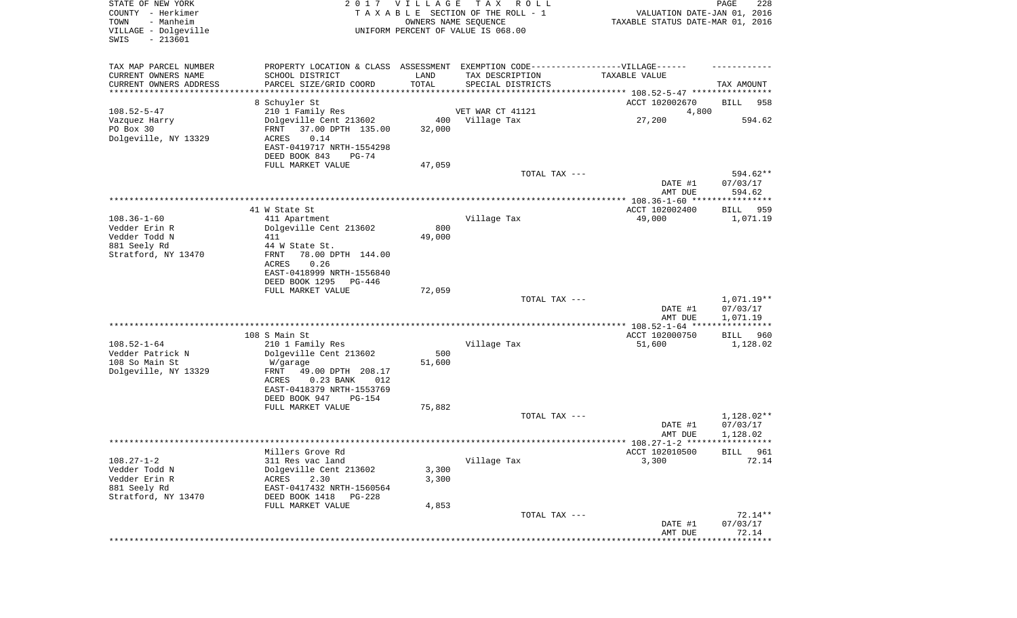| STATE OF NEW YORK<br>COUNTY - Herkimer<br>TOWN<br>- Manheim<br>VILLAGE - Dolgeville<br>SWIS<br>$-213601$ |                                                          | 2017 VILLAGE   | T A X<br>R O L L<br>TAXABLE SECTION OF THE ROLL - 1<br>OWNERS NAME SEQUENCE<br>UNIFORM PERCENT OF VALUE IS 068.00 | VALUATION DATE-JAN 01, 2016<br>TAXABLE STATUS DATE-MAR 01, 2016 | PAGE<br>228          |
|----------------------------------------------------------------------------------------------------------|----------------------------------------------------------|----------------|-------------------------------------------------------------------------------------------------------------------|-----------------------------------------------------------------|----------------------|
| TAX MAP PARCEL NUMBER                                                                                    |                                                          |                | PROPERTY LOCATION & CLASS ASSESSMENT EXEMPTION CODE-----------------VILLAGE------                                 |                                                                 |                      |
| CURRENT OWNERS NAME<br>CURRENT OWNERS ADDRESS                                                            | SCHOOL DISTRICT<br>PARCEL SIZE/GRID COORD                | LAND<br>TOTAL  | TAX DESCRIPTION<br>SPECIAL DISTRICTS                                                                              | TAXABLE VALUE                                                   | TAX AMOUNT           |
| ********************                                                                                     |                                                          |                |                                                                                                                   |                                                                 |                      |
|                                                                                                          | 8 Schuyler St                                            |                |                                                                                                                   | ACCT 102002670                                                  | BILL<br>958          |
| $108.52 - 5 - 47$                                                                                        | 210 1 Family Res                                         |                | VET WAR CT 41121                                                                                                  | 4,800                                                           |                      |
| Vazquez Harry                                                                                            | Dolgeville Cent 213602                                   | 400            | Village Tax                                                                                                       | 27,200                                                          | 594.62               |
| PO Box 30<br>Dolgeville, NY 13329                                                                        | 37.00 DPTH 135.00<br>FRNT<br>0.14<br>ACRES               | 32,000         |                                                                                                                   |                                                                 |                      |
|                                                                                                          | EAST-0419717 NRTH-1554298                                |                |                                                                                                                   |                                                                 |                      |
|                                                                                                          | DEED BOOK 843<br>PG-74                                   |                |                                                                                                                   |                                                                 |                      |
|                                                                                                          | FULL MARKET VALUE                                        | 47,059         |                                                                                                                   |                                                                 |                      |
|                                                                                                          |                                                          |                | TOTAL TAX ---                                                                                                     |                                                                 | 594.62**             |
|                                                                                                          |                                                          |                |                                                                                                                   | DATE #1<br>AMT DUE                                              | 07/03/17<br>594.62   |
|                                                                                                          |                                                          |                |                                                                                                                   |                                                                 |                      |
|                                                                                                          | 41 W State St                                            |                |                                                                                                                   | ACCT 102002400                                                  | BILL<br>959          |
| $108.36 - 1 - 60$                                                                                        | 411 Apartment                                            |                | Village Tax                                                                                                       | 49,000                                                          | 1,071.19             |
| Vedder Erin R<br>Vedder Todd N                                                                           | Dolgeville Cent 213602<br>411                            | 800<br>49,000  |                                                                                                                   |                                                                 |                      |
| 881 Seely Rd                                                                                             | 44 W State St.                                           |                |                                                                                                                   |                                                                 |                      |
| Stratford, NY 13470                                                                                      | FRNT<br>78.00 DPTH 144.00                                |                |                                                                                                                   |                                                                 |                      |
|                                                                                                          | ACRES<br>0.26                                            |                |                                                                                                                   |                                                                 |                      |
|                                                                                                          | EAST-0418999 NRTH-1556840                                |                |                                                                                                                   |                                                                 |                      |
|                                                                                                          | DEED BOOK 1295<br>PG-446<br>FULL MARKET VALUE            | 72,059         |                                                                                                                   |                                                                 |                      |
|                                                                                                          |                                                          |                | TOTAL TAX ---                                                                                                     |                                                                 | 1,071.19**           |
|                                                                                                          |                                                          |                |                                                                                                                   | DATE #1                                                         | 07/03/17             |
|                                                                                                          |                                                          |                |                                                                                                                   | AMT DUE                                                         | 1,071.19             |
|                                                                                                          | 108 S Main St                                            |                |                                                                                                                   | ACCT 102000750                                                  | BILL<br>960          |
| $108.52 - 1 - 64$                                                                                        | 210 1 Family Res                                         |                | Village Tax                                                                                                       | 51,600                                                          | 1,128.02             |
| Vedder Patrick N                                                                                         | Dolgeville Cent 213602                                   | 500            |                                                                                                                   |                                                                 |                      |
| 108 So Main St                                                                                           | W/garage                                                 | 51,600         |                                                                                                                   |                                                                 |                      |
| Dolgeville, NY 13329                                                                                     | FRNT<br>49.00 DPTH 208.17<br>ACRES<br>$0.23$ BANK<br>012 |                |                                                                                                                   |                                                                 |                      |
|                                                                                                          | EAST-0418379 NRTH-1553769                                |                |                                                                                                                   |                                                                 |                      |
|                                                                                                          | DEED BOOK 947<br><b>PG-154</b>                           |                |                                                                                                                   |                                                                 |                      |
|                                                                                                          | FULL MARKET VALUE                                        | 75,882         |                                                                                                                   |                                                                 |                      |
|                                                                                                          |                                                          |                | TOTAL TAX ---                                                                                                     |                                                                 | 1,128.02**           |
|                                                                                                          |                                                          |                |                                                                                                                   | DATE #1<br>AMT DUE                                              | 07/03/17<br>1,128.02 |
|                                                                                                          |                                                          |                |                                                                                                                   |                                                                 |                      |
|                                                                                                          | Millers Grove Rd                                         |                |                                                                                                                   | ACCT 102010500                                                  | BILL 961             |
| $108.27 - 1 - 2$                                                                                         | 311 Res vac land                                         |                | Village Tax                                                                                                       | 3,300                                                           | 72.14                |
| Vedder Todd N<br>Vedder Erin R                                                                           | Dolgeville Cent 213602<br>2.30<br>ACRES                  | 3,300<br>3,300 |                                                                                                                   |                                                                 |                      |
| 881 Seely Rd                                                                                             | EAST-0417432 NRTH-1560564                                |                |                                                                                                                   |                                                                 |                      |
| Stratford, NY 13470                                                                                      | DEED BOOK 1418<br>PG-228                                 |                |                                                                                                                   |                                                                 |                      |
|                                                                                                          | FULL MARKET VALUE                                        | 4,853          |                                                                                                                   |                                                                 |                      |
|                                                                                                          |                                                          |                | TOTAL TAX ---                                                                                                     |                                                                 | $72.14**$            |
|                                                                                                          |                                                          |                |                                                                                                                   | DATE #1<br>AMT DUE                                              | 07/03/17<br>72.14    |
|                                                                                                          |                                                          |                |                                                                                                                   |                                                                 | ***********          |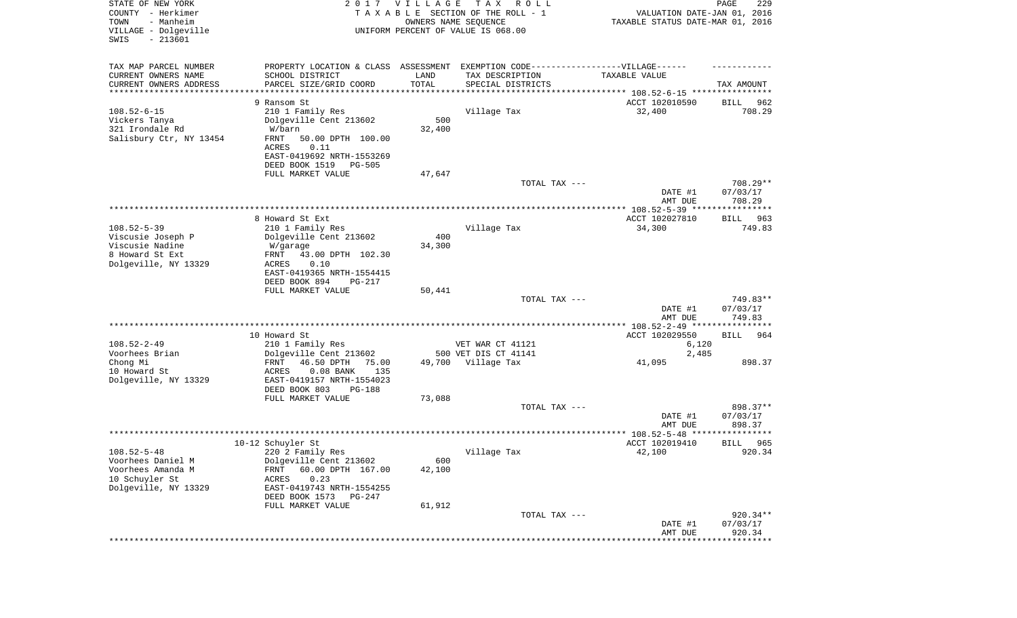| STATE OF NEW YORK<br>COUNTY - Herkimer<br>- Manheim<br>TOWN<br>VILLAGE - Dolgeville<br>SWIS<br>$-213601$ |                                                                                  | 2017 VILLAGE | T A X<br>R O L L<br>TAXABLE SECTION OF THE ROLL - 1<br>OWNERS NAME SEQUENCE<br>UNIFORM PERCENT OF VALUE IS 068.00 | VALUATION DATE-JAN 01, 2016<br>TAXABLE STATUS DATE-MAR 01, 2016  | PAGE<br>229           |
|----------------------------------------------------------------------------------------------------------|----------------------------------------------------------------------------------|--------------|-------------------------------------------------------------------------------------------------------------------|------------------------------------------------------------------|-----------------------|
| TAX MAP PARCEL NUMBER                                                                                    | PROPERTY LOCATION & CLASS ASSESSMENT EXEMPTION CODE----------------VILLAGE------ |              |                                                                                                                   |                                                                  |                       |
| CURRENT OWNERS NAME                                                                                      | SCHOOL DISTRICT                                                                  | LAND         | TAX DESCRIPTION                                                                                                   | TAXABLE VALUE                                                    |                       |
| CURRENT OWNERS ADDRESS<br>********************                                                           | PARCEL SIZE/GRID COORD                                                           | TOTAL        | SPECIAL DISTRICTS                                                                                                 |                                                                  | TAX AMOUNT            |
|                                                                                                          | 9 Ransom St                                                                      |              |                                                                                                                   | ACCT 102010590                                                   | BILL<br>962           |
| $108.52 - 6 - 15$                                                                                        | 210 1 Family Res                                                                 |              | Village Tax                                                                                                       | 32,400                                                           | 708.29                |
| Vickers Tanya                                                                                            | Dolgeville Cent 213602                                                           | 500          |                                                                                                                   |                                                                  |                       |
| 321 Irondale Rd                                                                                          | W/barn                                                                           | 32,400       |                                                                                                                   |                                                                  |                       |
| Salisbury Ctr, NY 13454                                                                                  | FRNT<br>50.00 DPTH 100.00                                                        |              |                                                                                                                   |                                                                  |                       |
|                                                                                                          | ACRES<br>0.11                                                                    |              |                                                                                                                   |                                                                  |                       |
|                                                                                                          | EAST-0419692 NRTH-1553269<br>DEED BOOK 1519<br>$PG-505$                          |              |                                                                                                                   |                                                                  |                       |
|                                                                                                          | FULL MARKET VALUE                                                                | 47,647       |                                                                                                                   |                                                                  |                       |
|                                                                                                          |                                                                                  |              | TOTAL TAX ---                                                                                                     |                                                                  | 708.29**              |
|                                                                                                          |                                                                                  |              |                                                                                                                   | DATE #1                                                          | 07/03/17              |
|                                                                                                          |                                                                                  |              |                                                                                                                   | AMT DUE                                                          | 708.29                |
|                                                                                                          | 8 Howard St Ext                                                                  |              |                                                                                                                   | ACCT 102027810                                                   |                       |
| $108.52 - 5 - 39$                                                                                        | 210 1 Family Res                                                                 |              | Village Tax                                                                                                       | 34,300                                                           | BILL<br>963<br>749.83 |
| Viscusie Joseph P                                                                                        | Dolgeville Cent 213602                                                           | 400          |                                                                                                                   |                                                                  |                       |
| Viscusie Nadine                                                                                          | W/garage                                                                         | 34,300       |                                                                                                                   |                                                                  |                       |
| 8 Howard St Ext                                                                                          | FRNT<br>43.00 DPTH 102.30                                                        |              |                                                                                                                   |                                                                  |                       |
| Dolgeville, NY 13329                                                                                     | ACRES<br>0.10                                                                    |              |                                                                                                                   |                                                                  |                       |
|                                                                                                          | EAST-0419365 NRTH-1554415<br>DEED BOOK 894<br><b>PG-217</b>                      |              |                                                                                                                   |                                                                  |                       |
|                                                                                                          | FULL MARKET VALUE                                                                | 50,441       |                                                                                                                   |                                                                  |                       |
|                                                                                                          |                                                                                  |              | TOTAL TAX ---                                                                                                     |                                                                  | 749.83**              |
|                                                                                                          |                                                                                  |              |                                                                                                                   | DATE #1                                                          | 07/03/17              |
|                                                                                                          |                                                                                  |              |                                                                                                                   | AMT DUE                                                          | 749.83                |
|                                                                                                          | 10 Howard St                                                                     |              |                                                                                                                   | ***************** 108.52-2-49 ****************<br>ACCT 102029550 | 964<br>BILL           |
| $108.52 - 2 - 49$                                                                                        | 210 1 Family Res                                                                 |              | VET WAR CT 41121                                                                                                  | 6,120                                                            |                       |
| Voorhees Brian                                                                                           | Dolgeville Cent 213602                                                           |              | 500 VET DIS CT 41141                                                                                              | 2,485                                                            |                       |
| Chong Mi                                                                                                 | FRNT<br>46.50 DPTH<br>75.00                                                      |              | 49,700 Village Tax                                                                                                | 41,095                                                           | 898.37                |
| 10 Howard St                                                                                             | ACRES<br>$0.08$ BANK<br>135                                                      |              |                                                                                                                   |                                                                  |                       |
| Dolgeville, NY 13329                                                                                     | EAST-0419157 NRTH-1554023                                                        |              |                                                                                                                   |                                                                  |                       |
|                                                                                                          | DEED BOOK 803<br>PG-188<br>FULL MARKET VALUE                                     | 73,088       |                                                                                                                   |                                                                  |                       |
|                                                                                                          |                                                                                  |              | TOTAL TAX ---                                                                                                     |                                                                  | 898.37**              |
|                                                                                                          |                                                                                  |              |                                                                                                                   | DATE #1                                                          | 07/03/17              |
|                                                                                                          |                                                                                  |              |                                                                                                                   | AMT DUE                                                          | 898.37                |
|                                                                                                          |                                                                                  |              |                                                                                                                   |                                                                  | *****                 |
| $108.52 - 5 - 48$                                                                                        | 10-12 Schuyler St<br>220 2 Family Res                                            |              | Village Tax                                                                                                       | ACCT 102019410<br>42,100                                         | 965<br>BILL<br>920.34 |
| Voorhees Daniel M                                                                                        | Dolgeville Cent 213602                                                           | 600          |                                                                                                                   |                                                                  |                       |
| Voorhees Amanda M                                                                                        | 60.00 DPTH 167.00<br>FRNT                                                        | 42,100       |                                                                                                                   |                                                                  |                       |
| 10 Schuyler St                                                                                           | ACRES<br>0.23                                                                    |              |                                                                                                                   |                                                                  |                       |
| Dolgeville, NY 13329                                                                                     | EAST-0419743 NRTH-1554255                                                        |              |                                                                                                                   |                                                                  |                       |
|                                                                                                          | DEED BOOK 1573<br>PG-247                                                         |              |                                                                                                                   |                                                                  |                       |
|                                                                                                          | FULL MARKET VALUE                                                                | 61,912       | TOTAL TAX ---                                                                                                     |                                                                  | 920.34**              |
|                                                                                                          |                                                                                  |              |                                                                                                                   | DATE #1                                                          | 07/03/17              |
|                                                                                                          |                                                                                  |              |                                                                                                                   | AMT DUE                                                          | 920.34                |
|                                                                                                          |                                                                                  |              |                                                                                                                   |                                                                  | ********              |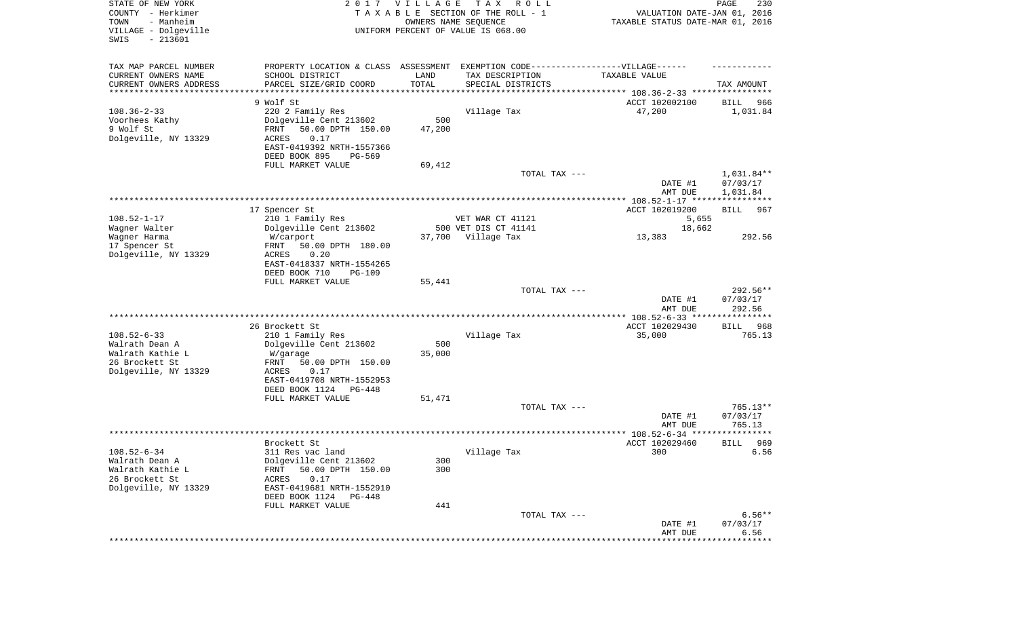| STATE OF NEW YORK<br>COUNTY - Herkimer<br>- Manheim<br>TOWN<br>VILLAGE - Dolgeville<br>SWIS<br>$-213601$ |                                                                                  | 2017 VILLAGE | T A X<br>R O L L<br>TAXABLE SECTION OF THE ROLL - 1<br>OWNERS NAME SEQUENCE<br>UNIFORM PERCENT OF VALUE IS 068.00 | VALUATION DATE-JAN 01, 2016<br>TAXABLE STATUS DATE-MAR 01, 2016      | PAGE<br>230          |
|----------------------------------------------------------------------------------------------------------|----------------------------------------------------------------------------------|--------------|-------------------------------------------------------------------------------------------------------------------|----------------------------------------------------------------------|----------------------|
| TAX MAP PARCEL NUMBER                                                                                    | PROPERTY LOCATION & CLASS ASSESSMENT EXEMPTION CODE----------------VILLAGE------ |              |                                                                                                                   |                                                                      |                      |
| CURRENT OWNERS NAME                                                                                      | SCHOOL DISTRICT                                                                  | LAND         | TAX DESCRIPTION                                                                                                   | TAXABLE VALUE                                                        |                      |
| CURRENT OWNERS ADDRESS<br>********************                                                           | PARCEL SIZE/GRID COORD                                                           | TOTAL        | SPECIAL DISTRICTS                                                                                                 | ************************************** 108.36-2-33 ***************** | TAX AMOUNT           |
|                                                                                                          | 9 Wolf St                                                                        |              |                                                                                                                   | ACCT 102002100                                                       | BILL<br>966          |
| $108.36 - 2 - 33$                                                                                        | 220 2 Family Res                                                                 |              | Village Tax                                                                                                       | 47,200                                                               | 1,031.84             |
| Voorhees Kathy                                                                                           | Dolgeville Cent 213602                                                           | 500          |                                                                                                                   |                                                                      |                      |
| 9 Wolf St                                                                                                | FRNT<br>50.00 DPTH 150.00                                                        | 47,200       |                                                                                                                   |                                                                      |                      |
| Dolgeville, NY 13329                                                                                     | ACRES<br>0.17<br>EAST-0419392 NRTH-1557366                                       |              |                                                                                                                   |                                                                      |                      |
|                                                                                                          | DEED BOOK 895<br>PG-569                                                          |              |                                                                                                                   |                                                                      |                      |
|                                                                                                          | FULL MARKET VALUE                                                                | 69,412       |                                                                                                                   |                                                                      |                      |
|                                                                                                          |                                                                                  |              | TOTAL TAX ---                                                                                                     |                                                                      | 1,031.84**           |
|                                                                                                          |                                                                                  |              |                                                                                                                   | DATE #1                                                              | 07/03/17             |
|                                                                                                          |                                                                                  |              |                                                                                                                   | AMT DUE                                                              | 1,031.84             |
|                                                                                                          | 17 Spencer St                                                                    |              |                                                                                                                   | ACCT 102019200                                                       | <b>BILL</b><br>967   |
| $108.52 - 1 - 17$                                                                                        | 210 1 Family Res                                                                 |              | VET WAR CT 41121                                                                                                  | 5,655                                                                |                      |
| Wagner Walter                                                                                            | Dolgeville Cent 213602                                                           |              | 500 VET DIS CT 41141                                                                                              | 18,662                                                               |                      |
| Wagner Harma                                                                                             | W/carport                                                                        | 37,700       | Village Tax                                                                                                       | 13,383                                                               | 292.56               |
| 17 Spencer St<br>Dolgeville, NY 13329                                                                    | 50.00 DPTH 180.00<br>FRNT<br>ACRES<br>0.20                                       |              |                                                                                                                   |                                                                      |                      |
|                                                                                                          | EAST-0418337 NRTH-1554265                                                        |              |                                                                                                                   |                                                                      |                      |
|                                                                                                          | DEED BOOK 710<br>$PG-109$                                                        |              |                                                                                                                   |                                                                      |                      |
|                                                                                                          | FULL MARKET VALUE                                                                | 55,441       |                                                                                                                   |                                                                      |                      |
|                                                                                                          |                                                                                  |              | TOTAL TAX ---                                                                                                     | DATE #1                                                              | 292.56**<br>07/03/17 |
|                                                                                                          |                                                                                  |              |                                                                                                                   | AMT DUE                                                              | 292.56               |
|                                                                                                          |                                                                                  |              |                                                                                                                   | *********** 108.52-6-33 *****************                            |                      |
|                                                                                                          | 26 Brockett St                                                                   |              |                                                                                                                   | ACCT 102029430                                                       | 968<br>BILL          |
| $108.52 - 6 - 33$<br>Walrath Dean A                                                                      | 210 1 Family Res                                                                 | 500          | Village Tax                                                                                                       | 35,000                                                               | 765.13               |
| Walrath Kathie L                                                                                         | Dolgeville Cent 213602<br>W/garage                                               | 35,000       |                                                                                                                   |                                                                      |                      |
| 26 Brockett St                                                                                           | FRNT<br>50.00 DPTH 150.00                                                        |              |                                                                                                                   |                                                                      |                      |
| Dolgeville, NY 13329                                                                                     | ACRES<br>0.17                                                                    |              |                                                                                                                   |                                                                      |                      |
|                                                                                                          | EAST-0419708 NRTH-1552953                                                        |              |                                                                                                                   |                                                                      |                      |
|                                                                                                          | DEED BOOK 1124<br>PG-448<br>FULL MARKET VALUE                                    | 51,471       |                                                                                                                   |                                                                      |                      |
|                                                                                                          |                                                                                  |              | TOTAL TAX ---                                                                                                     |                                                                      | $765.13**$           |
|                                                                                                          |                                                                                  |              |                                                                                                                   | DATE #1                                                              | 07/03/17             |
|                                                                                                          |                                                                                  |              |                                                                                                                   | AMT DUE                                                              | 765.13               |
|                                                                                                          |                                                                                  |              |                                                                                                                   |                                                                      | ******               |
| $108.52 - 6 - 34$                                                                                        | Brockett St<br>311 Res vac land                                                  |              | Village Tax                                                                                                       | ACCT 102029460<br>300                                                | 969<br>BILL<br>6.56  |
| Walrath Dean A                                                                                           | Dolgeville Cent 213602                                                           | 300          |                                                                                                                   |                                                                      |                      |
| Walrath Kathie L                                                                                         | 50.00 DPTH 150.00<br>FRNT                                                        | 300          |                                                                                                                   |                                                                      |                      |
| 26 Brockett St                                                                                           | 0.17<br>ACRES                                                                    |              |                                                                                                                   |                                                                      |                      |
| Dolgeville, NY 13329                                                                                     | EAST-0419681 NRTH-1552910                                                        |              |                                                                                                                   |                                                                      |                      |
|                                                                                                          | DEED BOOK 1124<br>PG-448<br>FULL MARKET VALUE                                    | 441          |                                                                                                                   |                                                                      |                      |
|                                                                                                          |                                                                                  |              | TOTAL TAX ---                                                                                                     |                                                                      | $6.56**$             |
|                                                                                                          |                                                                                  |              |                                                                                                                   | DATE #1                                                              | 07/03/17             |
|                                                                                                          |                                                                                  |              |                                                                                                                   | AMT DUE                                                              | 6.56                 |
|                                                                                                          |                                                                                  |              |                                                                                                                   |                                                                      |                      |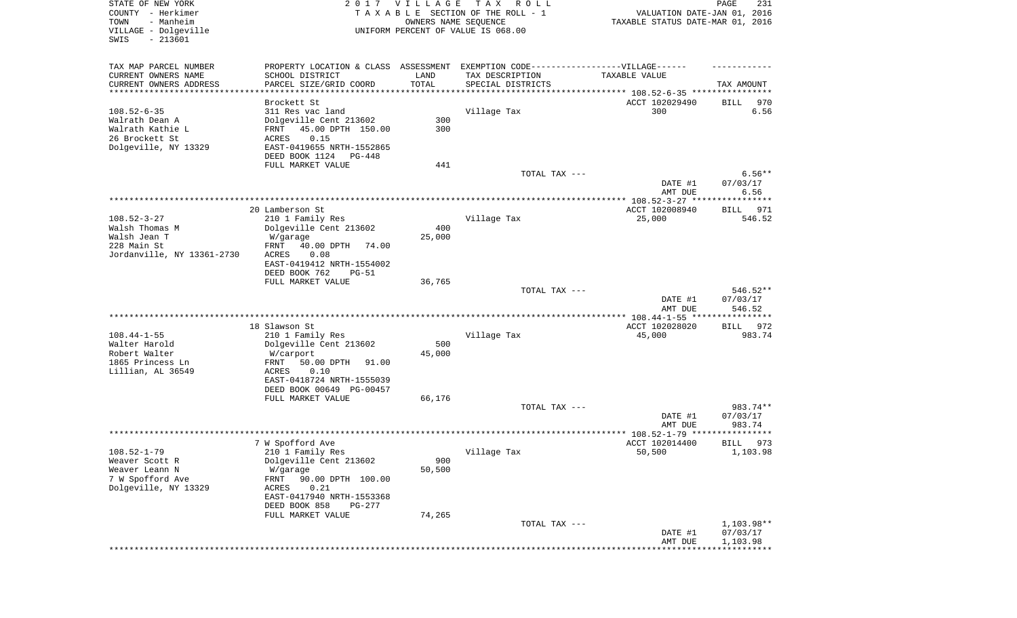| STATE OF NEW YORK<br>COUNTY - Herkimer<br>TOWN<br>- Manheim<br>VILLAGE - Dolgeville<br>SWIS<br>$-213601$ | 2017                                                                                                                                                             | <b>VILLAGE</b><br>OWNERS NAME SEQUENCE | T A X<br>R O L L<br>TAXABLE SECTION OF THE ROLL - 1<br>UNIFORM PERCENT OF VALUE IS 068.00              | VALUATION DATE-JAN 01, 2016<br>TAXABLE STATUS DATE-MAR 01, 2016 | PAGE<br>231                         |
|----------------------------------------------------------------------------------------------------------|------------------------------------------------------------------------------------------------------------------------------------------------------------------|----------------------------------------|--------------------------------------------------------------------------------------------------------|-----------------------------------------------------------------|-------------------------------------|
| TAX MAP PARCEL NUMBER<br>CURRENT OWNERS NAME<br>CURRENT OWNERS ADDRESS<br>**********************         | PROPERTY LOCATION & CLASS ASSESSMENT EXEMPTION CODE----------------VILLAGE------<br>SCHOOL DISTRICT<br>PARCEL SIZE/GRID COORD                                    | LAND<br>TOTAL                          | TAX DESCRIPTION<br>SPECIAL DISTRICTS<br>********************************* 108.52-6-35 **************** | TAXABLE VALUE                                                   | TAX AMOUNT                          |
| $108.52 - 6 - 35$<br>Walrath Dean A<br>Walrath Kathie L<br>26 Brockett St<br>Dolgeville, NY 13329        | Brockett St<br>311 Res vac land<br>Dolgeville Cent 213602<br>45.00 DPTH 150.00<br>FRNT<br>ACRES<br>0.15<br>EAST-0419655 NRTH-1552865<br>DEED BOOK 1124<br>PG-448 | 300<br>300                             | Village Tax                                                                                            | ACCT 102029490<br>300                                           | BILL<br>970<br>6.56                 |
|                                                                                                          | FULL MARKET VALUE                                                                                                                                                | 441                                    | TOTAL TAX ---                                                                                          | DATE #1<br>AMT DUE                                              | $6.56**$<br>07/03/17<br>6.56        |
|                                                                                                          |                                                                                                                                                                  |                                        |                                                                                                        |                                                                 |                                     |
| $108.52 - 3 - 27$<br>Walsh Thomas M<br>Walsh Jean T<br>228 Main St<br>Jordanville, NY 13361-2730         | 20 Lamberson St<br>210 1 Family Res<br>Dolgeville Cent 213602<br>W/garage<br>40.00 DPTH<br>FRNT<br>74.00<br>ACRES<br>0.08<br>EAST-0419412 NRTH-1554002           | 400<br>25,000                          | Village Tax                                                                                            | ACCT 102008940<br>25,000                                        | 971<br>BILL<br>546.52               |
|                                                                                                          | DEED BOOK 762<br>$PG-51$<br>FULL MARKET VALUE                                                                                                                    | 36,765                                 | TOTAL TAX ---                                                                                          | DATE #1<br>AMT DUE                                              | 546.52**<br>07/03/17<br>546.52      |
|                                                                                                          |                                                                                                                                                                  |                                        |                                                                                                        | *********** 108.44-1-55 *****************                       |                                     |
| $108.44 - 1 - 55$<br>Walter Harold<br>Robert Walter<br>1865 Princess Ln<br>Lillian, AL 36549             | 18 Slawson St<br>210 1 Family Res<br>Dolgeville Cent 213602<br>W/carport<br>FRNT<br>50.00 DPTH<br>91.00<br>ACRES<br>0.10<br>EAST-0418724 NRTH-1555039            | 500<br>45,000                          | Village Tax                                                                                            | ACCT 102028020<br>45,000                                        | 972<br>BILL<br>983.74               |
|                                                                                                          | DEED BOOK 00649 PG-00457<br>FULL MARKET VALUE                                                                                                                    | 66,176                                 | TOTAL TAX ---                                                                                          | DATE #1                                                         | 983.74**<br>07/03/17                |
|                                                                                                          |                                                                                                                                                                  |                                        |                                                                                                        | AMT DUE<br>***************** 108.52-1-79 **********             | 983.74<br>*****                     |
|                                                                                                          | 7 W Spofford Ave                                                                                                                                                 |                                        |                                                                                                        | ACCT 102014400                                                  | 973<br>BILL                         |
| $108.52 - 1 - 79$<br>Weaver Scott R<br>Weaver Leann N<br>7 W Spofford Ave<br>Dolgeville, NY 13329        | 210 1 Family Res<br>Dolgeville Cent 213602<br>W/garage<br>90.00 DPTH 100.00<br>FRNT<br>0.21<br>ACRES<br>EAST-0417940 NRTH-1553368                                | 900<br>50,500                          | Village Tax                                                                                            | 50,500                                                          | 1,103.98                            |
|                                                                                                          | DEED BOOK 858<br>PG-277<br>FULL MARKET VALUE                                                                                                                     | 74,265                                 | TOTAL TAX ---                                                                                          |                                                                 | 1,103.98**                          |
|                                                                                                          |                                                                                                                                                                  |                                        |                                                                                                        | DATE #1<br>AMT DUE<br>* * * * * * * * * * * * * * * * *         | 07/03/17<br>1,103.98<br>*********** |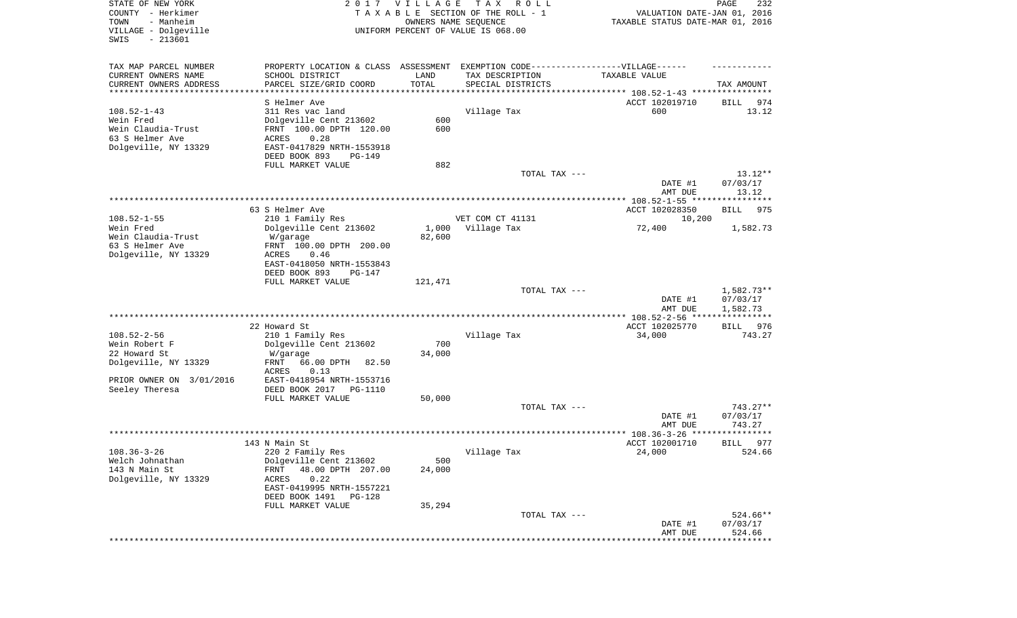| STATE OF NEW YORK<br>COUNTY - Herkimer<br>- Manheim<br>TOWN<br>VILLAGE - Dolgeville<br>SWIS<br>$-213601$ |                                                                                   | 2017 VILLAGE<br>OWNERS NAME SEQUENCE | T A X<br>R O L L<br>TAXABLE SECTION OF THE ROLL - 1<br>UNIFORM PERCENT OF VALUE IS 068.00 | VALUATION DATE-JAN 01, 2016<br>TAXABLE STATUS DATE-MAR 01, 2016                  | PAGE<br>232                          |
|----------------------------------------------------------------------------------------------------------|-----------------------------------------------------------------------------------|--------------------------------------|-------------------------------------------------------------------------------------------|----------------------------------------------------------------------------------|--------------------------------------|
| TAX MAP PARCEL NUMBER                                                                                    | PROPERTY LOCATION & CLASS ASSESSMENT EXEMPTION CODE-----------------VILLAGE------ |                                      |                                                                                           |                                                                                  |                                      |
| CURRENT OWNERS NAME                                                                                      | SCHOOL DISTRICT                                                                   | LAND                                 | TAX DESCRIPTION                                                                           | TAXABLE VALUE                                                                    |                                      |
| CURRENT OWNERS ADDRESS<br>**********************                                                         | PARCEL SIZE/GRID COORD<br>********************                                    | TOTAL<br>* * * * * * * * * * *       | SPECIAL DISTRICTS                                                                         |                                                                                  | TAX AMOUNT                           |
|                                                                                                          | S Helmer Ave                                                                      |                                      |                                                                                           | ********************************* 108.52-1-43 ****************<br>ACCT 102019710 | BILL<br>974                          |
| $108.52 - 1 - 43$                                                                                        | 311 Res vac land                                                                  |                                      | Village Tax                                                                               | 600                                                                              | 13.12                                |
| Wein Fred                                                                                                | Dolgeville Cent 213602                                                            | 600                                  |                                                                                           |                                                                                  |                                      |
| Wein Claudia-Trust                                                                                       | FRNT 100.00 DPTH 120.00                                                           | 600                                  |                                                                                           |                                                                                  |                                      |
| 63 S Helmer Ave                                                                                          | 0.28<br>ACRES                                                                     |                                      |                                                                                           |                                                                                  |                                      |
| Dolgeville, NY 13329                                                                                     | EAST-0417829 NRTH-1553918                                                         |                                      |                                                                                           |                                                                                  |                                      |
|                                                                                                          | DEED BOOK 893<br>PG-149                                                           |                                      |                                                                                           |                                                                                  |                                      |
|                                                                                                          | FULL MARKET VALUE                                                                 | 882                                  |                                                                                           |                                                                                  |                                      |
|                                                                                                          |                                                                                   |                                      | TOTAL TAX ---                                                                             | DATE #1<br>AMT DUE                                                               | $13.12**$<br>07/03/17<br>13.12       |
|                                                                                                          |                                                                                   |                                      |                                                                                           |                                                                                  |                                      |
|                                                                                                          | 63 S Helmer Ave                                                                   |                                      |                                                                                           | ACCT 102028350                                                                   | 975<br>BILL                          |
| $108.52 - 1 - 55$                                                                                        | 210 1 Family Res                                                                  |                                      | VET COM CT 41131                                                                          | 10,200                                                                           |                                      |
| Wein Fred                                                                                                | Dolgeville Cent 213602                                                            | 1,000                                | Village Tax                                                                               | 72,400                                                                           | 1,582.73                             |
| Wein Claudia-Trust                                                                                       | W/garage                                                                          | 82,600                               |                                                                                           |                                                                                  |                                      |
| 63 S Helmer Ave<br>Dolgeville, NY 13329                                                                  | FRNT 100.00 DPTH 200.00<br>0.46<br>ACRES                                          |                                      |                                                                                           |                                                                                  |                                      |
|                                                                                                          | EAST-0418050 NRTH-1553843                                                         |                                      |                                                                                           |                                                                                  |                                      |
|                                                                                                          | DEED BOOK 893<br>$PG-147$                                                         |                                      |                                                                                           |                                                                                  |                                      |
|                                                                                                          | FULL MARKET VALUE                                                                 | 121,471                              |                                                                                           |                                                                                  |                                      |
|                                                                                                          |                                                                                   |                                      | TOTAL TAX ---                                                                             |                                                                                  | 1,582.73**                           |
|                                                                                                          |                                                                                   |                                      |                                                                                           | DATE #1<br>AMT DUE                                                               | 07/03/17<br>1,582.73<br>************ |
|                                                                                                          | 22 Howard St                                                                      |                                      |                                                                                           | ************* 108.52-2-56 ****<br>ACCT 102025770                                 | 976<br>BILL                          |
| $108.52 - 2 - 56$                                                                                        | 210 1 Family Res                                                                  |                                      | Village Tax                                                                               | 34,000                                                                           | 743.27                               |
| Wein Robert F                                                                                            | Dolgeville Cent 213602                                                            | 700                                  |                                                                                           |                                                                                  |                                      |
| 22 Howard St                                                                                             | W/garage                                                                          | 34,000                               |                                                                                           |                                                                                  |                                      |
| Dolgeville, NY 13329                                                                                     | FRNT<br>66.00 DPTH<br>82.50                                                       |                                      |                                                                                           |                                                                                  |                                      |
|                                                                                                          | ACRES<br>0.13                                                                     |                                      |                                                                                           |                                                                                  |                                      |
| PRIOR OWNER ON 3/01/2016                                                                                 | EAST-0418954 NRTH-1553716                                                         |                                      |                                                                                           |                                                                                  |                                      |
| Seeley Theresa                                                                                           | DEED BOOK 2017 PG-1110<br>FULL MARKET VALUE                                       | 50,000                               |                                                                                           |                                                                                  |                                      |
|                                                                                                          |                                                                                   |                                      | TOTAL TAX ---                                                                             |                                                                                  | 743.27**                             |
|                                                                                                          |                                                                                   |                                      |                                                                                           | DATE #1                                                                          | 07/03/17                             |
|                                                                                                          |                                                                                   |                                      |                                                                                           | AMT DUE                                                                          | 743.27                               |
|                                                                                                          |                                                                                   |                                      |                                                                                           |                                                                                  |                                      |
|                                                                                                          | 143 N Main St                                                                     |                                      |                                                                                           | ACCT 102001710                                                                   | 977<br>BILL                          |
| $108.36 - 3 - 26$<br>Welch Johnathan                                                                     | 220 2 Family Res<br>Dolgeville Cent 213602                                        | 500                                  | Village Tax                                                                               | 24,000                                                                           | 524.66                               |
| 143 N Main St                                                                                            | 48.00 DPTH 207.00<br><b>FRNT</b>                                                  | 24,000                               |                                                                                           |                                                                                  |                                      |
| Dolgeville, NY 13329                                                                                     | 0.22<br>ACRES                                                                     |                                      |                                                                                           |                                                                                  |                                      |
|                                                                                                          | EAST-0419995 NRTH-1557221                                                         |                                      |                                                                                           |                                                                                  |                                      |
|                                                                                                          | DEED BOOK 1491<br>PG-128                                                          |                                      |                                                                                           |                                                                                  |                                      |
|                                                                                                          | FULL MARKET VALUE                                                                 | 35,294                               |                                                                                           |                                                                                  |                                      |
|                                                                                                          |                                                                                   |                                      | TOTAL TAX ---                                                                             |                                                                                  | 524.66**                             |
|                                                                                                          |                                                                                   |                                      |                                                                                           | DATE #1<br>AMT DUE                                                               | 07/03/17<br>524.66                   |
|                                                                                                          |                                                                                   |                                      |                                                                                           |                                                                                  | ************                         |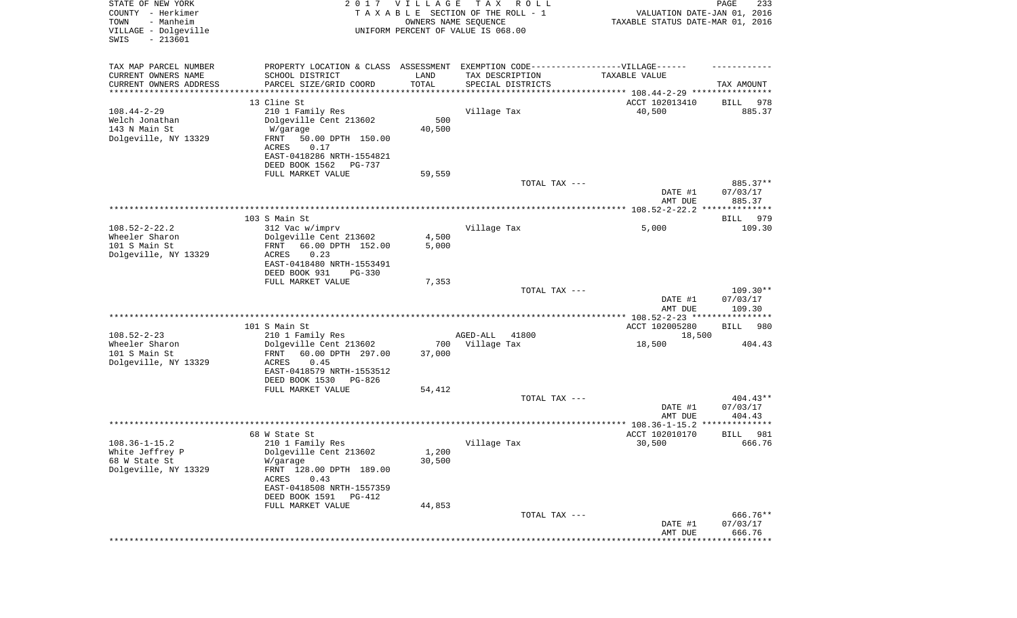| STATE OF NEW YORK<br>COUNTY - Herkimer<br>- Manheim<br>TOWN<br>VILLAGE - Dolgeville<br>SWIS<br>$-213601$ | 2017 VILLAGE                                                                     |        | T A X<br>R O L L<br>TAXABLE SECTION OF THE ROLL - 1<br>OWNERS NAME SEQUENCE<br>UNIFORM PERCENT OF VALUE IS 068.00 | VALUATION DATE-JAN 01, 2016<br>TAXABLE STATUS DATE-MAR 01, 2016 | PAGE<br>233              |
|----------------------------------------------------------------------------------------------------------|----------------------------------------------------------------------------------|--------|-------------------------------------------------------------------------------------------------------------------|-----------------------------------------------------------------|--------------------------|
| TAX MAP PARCEL NUMBER                                                                                    | PROPERTY LOCATION & CLASS ASSESSMENT EXEMPTION CODE----------------VILLAGE------ |        |                                                                                                                   |                                                                 |                          |
| CURRENT OWNERS NAME                                                                                      | SCHOOL DISTRICT                                                                  | LAND   | TAX DESCRIPTION                                                                                                   | TAXABLE VALUE                                                   |                          |
| CURRENT OWNERS ADDRESS<br>*********************                                                          | PARCEL SIZE/GRID COORD                                                           | TOTAL  | SPECIAL DISTRICTS                                                                                                 |                                                                 | TAX AMOUNT               |
|                                                                                                          | 13 Cline St                                                                      |        |                                                                                                                   | ACCT 102013410                                                  |                          |
| $108.44 - 2 - 29$                                                                                        | 210 1 Family Res                                                                 |        | Village Tax                                                                                                       | 40,500                                                          | 978<br>BILL<br>885.37    |
| Welch Jonathan                                                                                           | Dolgeville Cent 213602                                                           | 500    |                                                                                                                   |                                                                 |                          |
| 143 N Main St                                                                                            | W/garage                                                                         | 40,500 |                                                                                                                   |                                                                 |                          |
| Dolgeville, NY 13329                                                                                     | FRNT<br>50.00 DPTH 150.00                                                        |        |                                                                                                                   |                                                                 |                          |
|                                                                                                          | 0.17<br>ACRES                                                                    |        |                                                                                                                   |                                                                 |                          |
|                                                                                                          | EAST-0418286 NRTH-1554821                                                        |        |                                                                                                                   |                                                                 |                          |
|                                                                                                          | DEED BOOK 1562<br>PG-737                                                         |        |                                                                                                                   |                                                                 |                          |
|                                                                                                          | FULL MARKET VALUE                                                                | 59,559 | TOTAL TAX ---                                                                                                     |                                                                 | 885.37**                 |
|                                                                                                          |                                                                                  |        |                                                                                                                   | DATE #1                                                         | 07/03/17                 |
|                                                                                                          |                                                                                  |        |                                                                                                                   | AMT DUE                                                         | 885.37                   |
|                                                                                                          |                                                                                  |        |                                                                                                                   |                                                                 |                          |
|                                                                                                          | 103 S Main St                                                                    |        |                                                                                                                   |                                                                 | BILL<br>979              |
| $108.52 - 2 - 22.2$<br>Wheeler Sharon                                                                    | 312 Vac w/imprv<br>Dolgeville Cent 213602                                        | 4,500  | Village Tax                                                                                                       | 5,000                                                           | 109.30                   |
| 101 S Main St                                                                                            | 66.00 DPTH 152.00<br>FRNT                                                        | 5,000  |                                                                                                                   |                                                                 |                          |
| Dolgeville, NY 13329                                                                                     | ACRES<br>0.23                                                                    |        |                                                                                                                   |                                                                 |                          |
|                                                                                                          | EAST-0418480 NRTH-1553491                                                        |        |                                                                                                                   |                                                                 |                          |
|                                                                                                          | DEED BOOK 931<br>$PG-330$                                                        |        |                                                                                                                   |                                                                 |                          |
|                                                                                                          | FULL MARKET VALUE                                                                | 7,353  |                                                                                                                   |                                                                 |                          |
|                                                                                                          |                                                                                  |        | TOTAL TAX ---                                                                                                     | DATE #1                                                         | $109.30**$<br>07/03/17   |
|                                                                                                          |                                                                                  |        |                                                                                                                   | AMT DUE                                                         | 109.30                   |
|                                                                                                          |                                                                                  |        |                                                                                                                   | *************** 108.52-2-23 ****************                    |                          |
|                                                                                                          | 101 S Main St                                                                    |        |                                                                                                                   | ACCT 102005280                                                  | <b>BILL</b><br>980       |
| $108.52 - 2 - 23$                                                                                        | 210 1 Family Res                                                                 |        | AGED-ALL<br>41800                                                                                                 | 18,500                                                          |                          |
| Wheeler Sharon                                                                                           | Dolgeville Cent 213602                                                           | 700    | Village Tax                                                                                                       | 18,500                                                          | 404.43                   |
| 101 S Main St                                                                                            | 60.00 DPTH 297.00<br>FRNT                                                        | 37,000 |                                                                                                                   |                                                                 |                          |
| Dolgeville, NY 13329                                                                                     | ACRES<br>0.45<br>EAST-0418579 NRTH-1553512                                       |        |                                                                                                                   |                                                                 |                          |
|                                                                                                          | DEED BOOK 1530<br>PG-826                                                         |        |                                                                                                                   |                                                                 |                          |
|                                                                                                          | FULL MARKET VALUE                                                                | 54,412 |                                                                                                                   |                                                                 |                          |
|                                                                                                          |                                                                                  |        | TOTAL TAX ---                                                                                                     |                                                                 | $404.43**$               |
|                                                                                                          |                                                                                  |        |                                                                                                                   | DATE #1                                                         | 07/03/17                 |
|                                                                                                          |                                                                                  |        |                                                                                                                   | AMT DUE                                                         | 404.43<br>************** |
|                                                                                                          | 68 W State St                                                                    |        |                                                                                                                   | ACCT 102010170                                                  | 981<br>BILL              |
| $108.36 - 1 - 15.2$                                                                                      | 210 1 Family Res                                                                 |        | Village Tax                                                                                                       | 30,500                                                          | 666.76                   |
| White Jeffrey P                                                                                          | Dolgeville Cent 213602                                                           | 1,200  |                                                                                                                   |                                                                 |                          |
| 68 W State St                                                                                            | W/garage                                                                         | 30,500 |                                                                                                                   |                                                                 |                          |
| Dolgeville, NY 13329                                                                                     | FRNT 128.00 DPTH 189.00                                                          |        |                                                                                                                   |                                                                 |                          |
|                                                                                                          | 0.43<br>ACRES                                                                    |        |                                                                                                                   |                                                                 |                          |
|                                                                                                          | EAST-0418508 NRTH-1557359<br>DEED BOOK 1591<br>PG-412                            |        |                                                                                                                   |                                                                 |                          |
|                                                                                                          | FULL MARKET VALUE                                                                | 44,853 |                                                                                                                   |                                                                 |                          |
|                                                                                                          |                                                                                  |        | TOTAL TAX ---                                                                                                     |                                                                 | 666.76**                 |
|                                                                                                          |                                                                                  |        |                                                                                                                   | DATE #1                                                         | 07/03/17                 |
|                                                                                                          |                                                                                  |        |                                                                                                                   | AMT DUE                                                         | 666.76                   |
|                                                                                                          |                                                                                  |        |                                                                                                                   |                                                                 | *************            |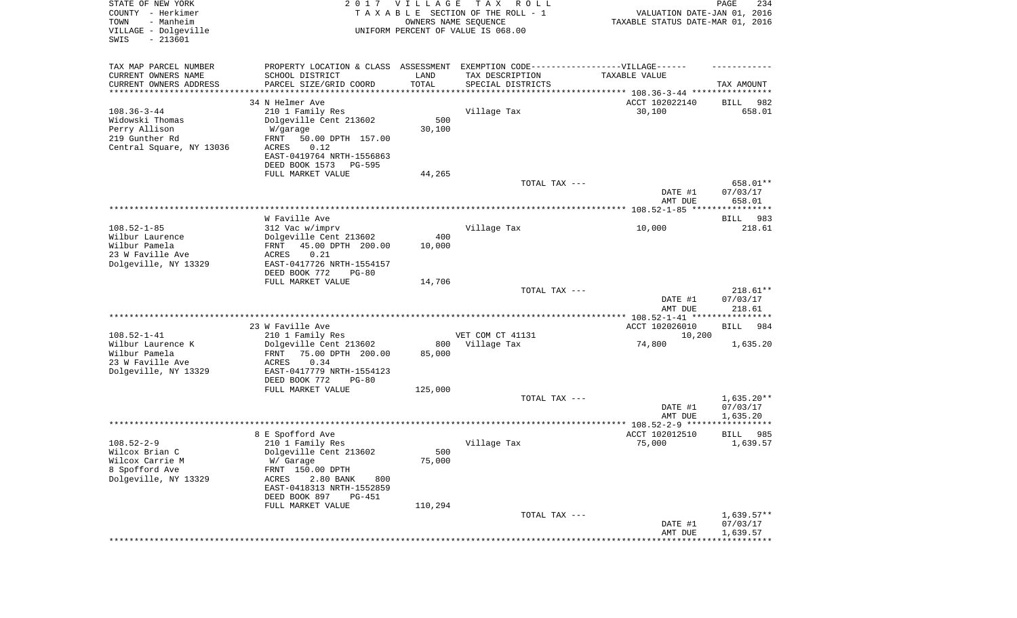| STATE OF NEW YORK<br>COUNTY - Herkimer<br>- Manheim<br>TOWN<br>VILLAGE - Dolgeville<br>SWIS<br>$-213601$ | 2017                                                                             | <b>VILLAGE</b><br>OWNERS NAME SEQUENCE | T A X<br>R O L L<br>TAXABLE SECTION OF THE ROLL - 1<br>UNIFORM PERCENT OF VALUE IS 068.00 | VALUATION DATE-JAN 01, 2016<br>TAXABLE STATUS DATE-MAR 01, 2016 | PAGE<br>234                       |
|----------------------------------------------------------------------------------------------------------|----------------------------------------------------------------------------------|----------------------------------------|-------------------------------------------------------------------------------------------|-----------------------------------------------------------------|-----------------------------------|
| TAX MAP PARCEL NUMBER                                                                                    | PROPERTY LOCATION & CLASS ASSESSMENT EXEMPTION CODE----------------VILLAGE------ |                                        |                                                                                           |                                                                 |                                   |
| CURRENT OWNERS NAME                                                                                      | SCHOOL DISTRICT                                                                  | LAND<br>TOTAL                          | TAX DESCRIPTION                                                                           | TAXABLE VALUE                                                   |                                   |
| CURRENT OWNERS ADDRESS<br>*********************                                                          | PARCEL SIZE/GRID COORD                                                           |                                        | SPECIAL DISTRICTS                                                                         |                                                                 | TAX AMOUNT                        |
|                                                                                                          | 34 N Helmer Ave                                                                  |                                        |                                                                                           | ACCT 102022140                                                  | 982<br>BILL                       |
| $108.36 - 3 - 44$                                                                                        | 210 1 Family Res                                                                 |                                        | Village Tax                                                                               | 30,100                                                          | 658.01                            |
| Widowski Thomas                                                                                          | Dolgeville Cent 213602                                                           | 500                                    |                                                                                           |                                                                 |                                   |
| Perry Allison                                                                                            | W/garage                                                                         | 30,100                                 |                                                                                           |                                                                 |                                   |
| 219 Gunther Rd<br>Central Square, NY 13036                                                               | FRNT<br>50.00 DPTH 157.00<br>0.12<br>ACRES                                       |                                        |                                                                                           |                                                                 |                                   |
|                                                                                                          | EAST-0419764 NRTH-1556863                                                        |                                        |                                                                                           |                                                                 |                                   |
|                                                                                                          | DEED BOOK 1573<br>PG-595                                                         |                                        |                                                                                           |                                                                 |                                   |
|                                                                                                          | FULL MARKET VALUE                                                                | 44,265                                 |                                                                                           |                                                                 |                                   |
|                                                                                                          |                                                                                  |                                        | TOTAL TAX ---                                                                             |                                                                 | 658.01**                          |
|                                                                                                          |                                                                                  |                                        |                                                                                           | DATE #1                                                         | 07/03/17                          |
|                                                                                                          |                                                                                  |                                        |                                                                                           | AMT DUE                                                         | 658.01                            |
|                                                                                                          | W Faville Ave                                                                    |                                        |                                                                                           |                                                                 | 983<br>BILL                       |
| $108.52 - 1 - 85$                                                                                        | 312 Vac w/imprv                                                                  |                                        | Village Tax                                                                               | 10,000                                                          | 218.61                            |
| Wilbur Laurence                                                                                          | Dolgeville Cent 213602                                                           | 400                                    |                                                                                           |                                                                 |                                   |
| Wilbur Pamela                                                                                            | 45.00 DPTH 200.00<br>FRNT                                                        | 10,000                                 |                                                                                           |                                                                 |                                   |
| 23 W Faville Ave                                                                                         | <b>ACRES</b><br>0.21<br>EAST-0417726 NRTH-1554157                                |                                        |                                                                                           |                                                                 |                                   |
| Dolgeville, NY 13329                                                                                     | DEED BOOK 772<br>$PG-80$                                                         |                                        |                                                                                           |                                                                 |                                   |
|                                                                                                          | FULL MARKET VALUE                                                                | 14,706                                 |                                                                                           |                                                                 |                                   |
|                                                                                                          |                                                                                  |                                        | TOTAL TAX ---                                                                             |                                                                 | $218.61**$                        |
|                                                                                                          |                                                                                  |                                        |                                                                                           | DATE #1                                                         | 07/03/17                          |
|                                                                                                          |                                                                                  |                                        |                                                                                           | AMT DUE<br>*************** 108.52-1-41 *****************        | 218.61                            |
|                                                                                                          | 23 W Faville Ave                                                                 |                                        |                                                                                           | ACCT 102026010                                                  | <b>BILL</b><br>984                |
| $108.52 - 1 - 41$                                                                                        | 210 1 Family Res                                                                 |                                        | VET COM CT 41131                                                                          | 10,200                                                          |                                   |
| Wilbur Laurence K                                                                                        | Dolgeville Cent 213602                                                           | 800                                    | Village Tax                                                                               | 74,800                                                          | 1,635.20                          |
| Wilbur Pamela                                                                                            | 75.00 DPTH 200.00<br>FRNT                                                        | 85,000                                 |                                                                                           |                                                                 |                                   |
| 23 W Faville Ave                                                                                         | <b>ACRES</b><br>0.34<br>EAST-0417779 NRTH-1554123                                |                                        |                                                                                           |                                                                 |                                   |
| Dolgeville, NY 13329                                                                                     | DEED BOOK 772<br>$PG-80$                                                         |                                        |                                                                                           |                                                                 |                                   |
|                                                                                                          | FULL MARKET VALUE                                                                | 125,000                                |                                                                                           |                                                                 |                                   |
|                                                                                                          |                                                                                  |                                        | TOTAL TAX ---                                                                             |                                                                 | $1,635.20**$                      |
|                                                                                                          |                                                                                  |                                        |                                                                                           | DATE #1                                                         | 07/03/17                          |
|                                                                                                          |                                                                                  |                                        |                                                                                           | AMT DUE                                                         | 1,635.20                          |
|                                                                                                          | 8 E Spofford Ave                                                                 |                                        |                                                                                           | ACCT 102012510                                                  | BILL<br>985                       |
| $108.52 - 2 - 9$                                                                                         | 210 1 Family Res                                                                 |                                        | Village Tax                                                                               | 75,000                                                          | 1,639.57                          |
| Wilcox Brian C                                                                                           | Dolgeville Cent 213602                                                           | 500                                    |                                                                                           |                                                                 |                                   |
| Wilcox Carrie M                                                                                          | W/ Garage                                                                        | 75,000                                 |                                                                                           |                                                                 |                                   |
| 8 Spofford Ave                                                                                           | FRNT 150.00 DPTH                                                                 |                                        |                                                                                           |                                                                 |                                   |
| Dolgeville, NY 13329                                                                                     | ACRES<br>2.80 BANK<br>800                                                        |                                        |                                                                                           |                                                                 |                                   |
|                                                                                                          | EAST-0418313 NRTH-1552859<br>DEED BOOK 897<br><b>PG-451</b>                      |                                        |                                                                                           |                                                                 |                                   |
|                                                                                                          | FULL MARKET VALUE                                                                | 110,294                                |                                                                                           |                                                                 |                                   |
|                                                                                                          |                                                                                  |                                        | TOTAL TAX ---                                                                             |                                                                 | $1,639.57**$                      |
|                                                                                                          |                                                                                  |                                        |                                                                                           | DATE #1                                                         | 07/03/17                          |
|                                                                                                          |                                                                                  |                                        |                                                                                           | AMT DUE                                                         | 1,639.57<br>* * * * * * * * * * * |
|                                                                                                          |                                                                                  |                                        |                                                                                           |                                                                 |                                   |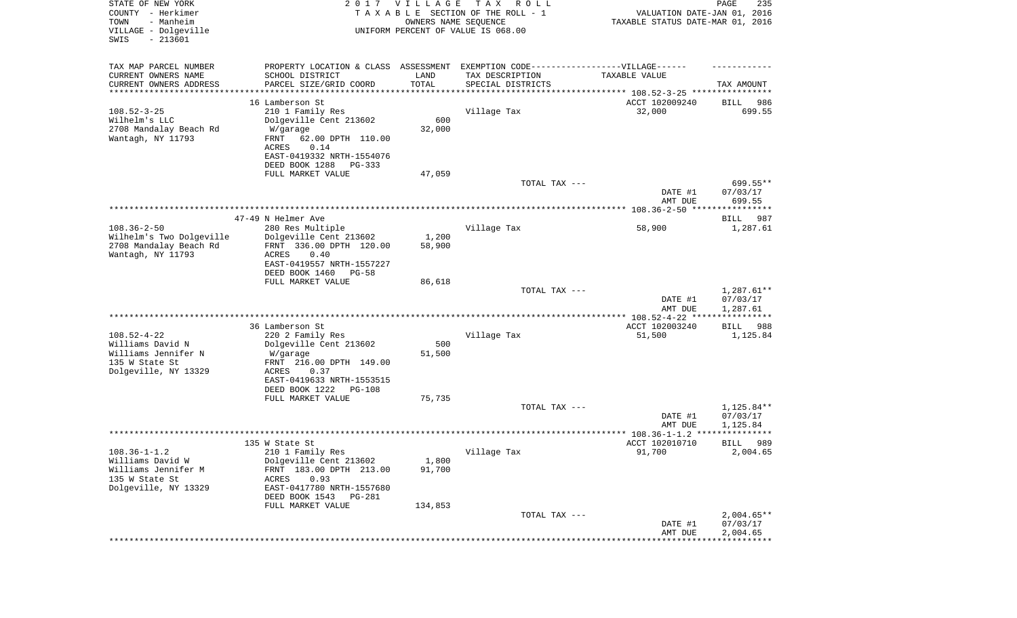| STATE OF NEW YORK<br>COUNTY - Herkimer<br>- Manheim<br>TOWN<br>VILLAGE - Dolgeville<br>SWIS<br>$-213601$ |                                                                                   | 2017 VILLAGE<br>OWNERS NAME SEQUENCE | T A X<br>R O L L<br>TAXABLE SECTION OF THE ROLL - 1<br>UNIFORM PERCENT OF VALUE IS 068.00 | VALUATION DATE-JAN 01, 2016<br>TAXABLE STATUS DATE-MAR 01, 2016 | PAGE<br>235              |
|----------------------------------------------------------------------------------------------------------|-----------------------------------------------------------------------------------|--------------------------------------|-------------------------------------------------------------------------------------------|-----------------------------------------------------------------|--------------------------|
| TAX MAP PARCEL NUMBER                                                                                    | PROPERTY LOCATION & CLASS ASSESSMENT EXEMPTION CODE-----------------VILLAGE------ |                                      |                                                                                           |                                                                 |                          |
| CURRENT OWNERS NAME                                                                                      | SCHOOL DISTRICT                                                                   | LAND                                 | TAX DESCRIPTION                                                                           | TAXABLE VALUE                                                   |                          |
| CURRENT OWNERS ADDRESS<br>********************                                                           | PARCEL SIZE/GRID COORD<br>*****************                                       | TOTAL<br>* * * * * * * * * * *       | SPECIAL DISTRICTS                                                                         |                                                                 | TAX AMOUNT               |
|                                                                                                          | 16 Lamberson St                                                                   |                                      |                                                                                           | ACCT 102009240                                                  | 986<br>BILL              |
| $108.52 - 3 - 25$                                                                                        | 210 1 Family Res                                                                  |                                      | Village Tax                                                                               | 32,000                                                          | 699.55                   |
| Wilhelm's LLC                                                                                            | Dolgeville Cent 213602                                                            | 600                                  |                                                                                           |                                                                 |                          |
| 2708 Mandalay Beach Rd                                                                                   | W/garage                                                                          | 32,000                               |                                                                                           |                                                                 |                          |
| Wantagh, NY 11793                                                                                        | FRNT<br>62.00 DPTH 110.00                                                         |                                      |                                                                                           |                                                                 |                          |
|                                                                                                          | ACRES<br>0.14                                                                     |                                      |                                                                                           |                                                                 |                          |
|                                                                                                          | EAST-0419332 NRTH-1554076                                                         |                                      |                                                                                           |                                                                 |                          |
|                                                                                                          | DEED BOOK 1288<br>PG-333                                                          |                                      |                                                                                           |                                                                 |                          |
|                                                                                                          | FULL MARKET VALUE                                                                 | 47,059                               | TOTAL TAX ---                                                                             |                                                                 | 699.55**                 |
|                                                                                                          |                                                                                   |                                      |                                                                                           | DATE #1                                                         | 07/03/17                 |
|                                                                                                          |                                                                                   |                                      |                                                                                           | AMT DUE                                                         | 699.55                   |
|                                                                                                          |                                                                                   |                                      |                                                                                           |                                                                 |                          |
|                                                                                                          | 47-49 N Helmer Ave                                                                |                                      |                                                                                           |                                                                 | 987<br>BILL              |
| $108.36 - 2 - 50$                                                                                        | 280 Res Multiple                                                                  |                                      | Village Tax                                                                               | 58,900                                                          | 1,287.61                 |
| Wilhelm's Two Dolgeville                                                                                 | Dolgeville Cent 213602                                                            | 1,200                                |                                                                                           |                                                                 |                          |
| 2708 Mandalay Beach Rd                                                                                   | FRNT 336.00 DPTH 120.00                                                           | 58,900                               |                                                                                           |                                                                 |                          |
| Wantagh, NY 11793                                                                                        | ACRES<br>0.40<br>EAST-0419557 NRTH-1557227                                        |                                      |                                                                                           |                                                                 |                          |
|                                                                                                          | DEED BOOK 1460<br>$PG-58$                                                         |                                      |                                                                                           |                                                                 |                          |
|                                                                                                          | FULL MARKET VALUE                                                                 | 86,618                               |                                                                                           |                                                                 |                          |
|                                                                                                          |                                                                                   |                                      | TOTAL TAX ---                                                                             |                                                                 | $1,287.61**$             |
|                                                                                                          |                                                                                   |                                      |                                                                                           | DATE #1                                                         | 07/03/17                 |
|                                                                                                          |                                                                                   |                                      |                                                                                           | AMT DUE                                                         | 1,287.61<br>************ |
|                                                                                                          | 36 Lamberson St                                                                   |                                      |                                                                                           | ************* 108.52-4-22 ****<br>ACCT 102003240                | 988<br>BILL              |
| $108.52 - 4 - 22$                                                                                        | 220 2 Family Res                                                                  |                                      | Village Tax                                                                               | 51,500                                                          | 1,125.84                 |
| Williams David N                                                                                         | Dolgeville Cent 213602                                                            | 500                                  |                                                                                           |                                                                 |                          |
| Williams Jennifer N                                                                                      | W/garage                                                                          | 51,500                               |                                                                                           |                                                                 |                          |
| 135 W State St                                                                                           | FRNT 216.00 DPTH 149.00                                                           |                                      |                                                                                           |                                                                 |                          |
| Dolgeville, NY 13329                                                                                     | ACRES<br>0.37                                                                     |                                      |                                                                                           |                                                                 |                          |
|                                                                                                          | EAST-0419633 NRTH-1553515                                                         |                                      |                                                                                           |                                                                 |                          |
|                                                                                                          | DEED BOOK 1222<br>PG-108                                                          |                                      |                                                                                           |                                                                 |                          |
|                                                                                                          | FULL MARKET VALUE                                                                 | 75,735                               | TOTAL TAX ---                                                                             |                                                                 | 1,125.84**               |
|                                                                                                          |                                                                                   |                                      |                                                                                           | DATE #1                                                         | 07/03/17                 |
|                                                                                                          |                                                                                   |                                      |                                                                                           | AMT DUE                                                         | 1,125.84                 |
|                                                                                                          |                                                                                   |                                      |                                                                                           |                                                                 | *****                    |
|                                                                                                          | 135 W State St                                                                    |                                      |                                                                                           | ACCT 102010710                                                  | 989<br>BILL              |
| $108.36 - 1 - 1.2$                                                                                       | 210 1 Family Res                                                                  |                                      | Village Tax                                                                               | 91,700                                                          | 2,004.65                 |
| Williams David W                                                                                         | Dolgeville Cent 213602                                                            | 1,800                                |                                                                                           |                                                                 |                          |
| Williams Jennifer M<br>135 W State St                                                                    | FRNT 183.00 DPTH 213.00<br>ACRES<br>0.93                                          | 91,700                               |                                                                                           |                                                                 |                          |
| Dolgeville, NY 13329                                                                                     | EAST-0417780 NRTH-1557680                                                         |                                      |                                                                                           |                                                                 |                          |
|                                                                                                          | DEED BOOK 1543<br>PG-281                                                          |                                      |                                                                                           |                                                                 |                          |
|                                                                                                          | FULL MARKET VALUE                                                                 | 134,853                              |                                                                                           |                                                                 |                          |
|                                                                                                          |                                                                                   |                                      | TOTAL TAX ---                                                                             |                                                                 | $2,004.65**$             |
|                                                                                                          |                                                                                   |                                      |                                                                                           | DATE #1                                                         | 07/03/17                 |
|                                                                                                          |                                                                                   |                                      |                                                                                           | AMT DUE                                                         | 2,004.65                 |
|                                                                                                          |                                                                                   |                                      |                                                                                           |                                                                 |                          |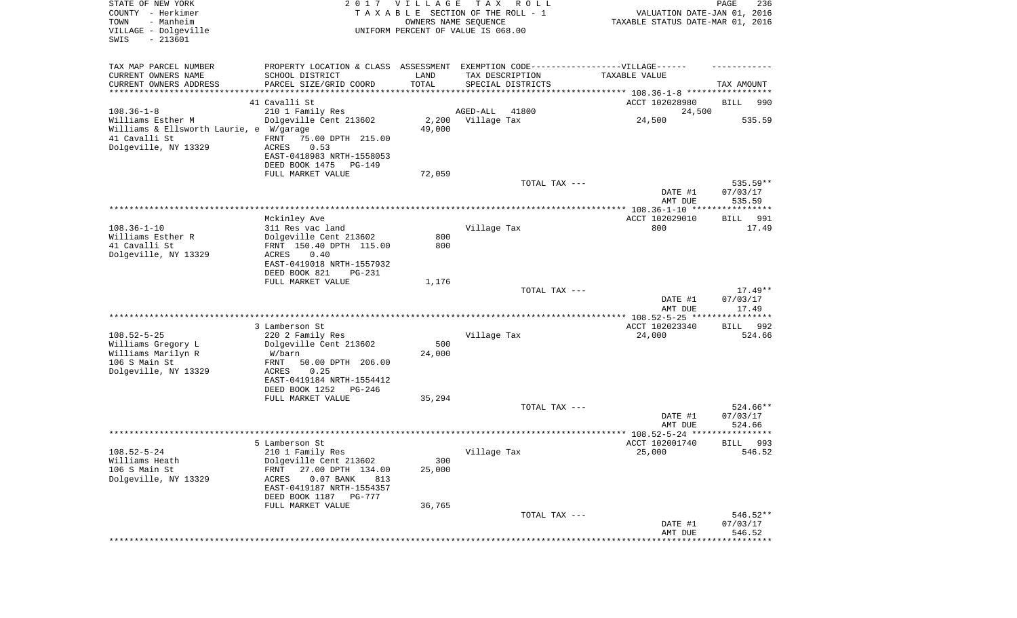| STATE OF NEW YORK<br>COUNTY - Herkimer<br>- Manheim<br>TOWN<br>VILLAGE - Dolgeville<br>$-213601$<br>SWIS |                                                       | 2017 VILLAGE<br>OWNERS NAME SEQUENCE | T A X<br>R O L L<br>TAXABLE SECTION OF THE ROLL - 1<br>UNIFORM PERCENT OF VALUE IS 068.00 | VALUATION DATE-JAN 01, 2016<br>TAXABLE STATUS DATE-MAR 01, 2016 | PAGE<br>236           |
|----------------------------------------------------------------------------------------------------------|-------------------------------------------------------|--------------------------------------|-------------------------------------------------------------------------------------------|-----------------------------------------------------------------|-----------------------|
| TAX MAP PARCEL NUMBER                                                                                    | PROPERTY LOCATION & CLASS ASSESSMENT                  |                                      | EXEMPTION CODE------------------VILLAGE------                                             |                                                                 |                       |
| CURRENT OWNERS NAME                                                                                      | SCHOOL DISTRICT                                       | LAND                                 | TAX DESCRIPTION                                                                           | TAXABLE VALUE                                                   |                       |
| CURRENT OWNERS ADDRESS<br>***********************                                                        | PARCEL SIZE/GRID COORD                                | TOTAL                                | SPECIAL DISTRICTS                                                                         |                                                                 | TAX AMOUNT            |
|                                                                                                          | 41 Cavalli St                                         |                                      |                                                                                           | ACCT 102028980                                                  | BILL<br>990           |
| $108.36 - 1 - 8$                                                                                         | 210 1 Family Res                                      |                                      | AGED-ALL<br>41800                                                                         | 24,500                                                          |                       |
| Williams Esther M                                                                                        | Dolgeville Cent 213602                                | 2,200                                | Village Tax                                                                               | 24,500                                                          | 535.59                |
| Williams & Ellsworth Laurie, e W/garage                                                                  |                                                       | 49,000                               |                                                                                           |                                                                 |                       |
| 41 Cavalli St                                                                                            | FRNT<br>75.00 DPTH 215.00                             |                                      |                                                                                           |                                                                 |                       |
| Dolgeville, NY 13329                                                                                     | 0.53<br>ACRES<br>EAST-0418983 NRTH-1558053            |                                      |                                                                                           |                                                                 |                       |
|                                                                                                          | DEED BOOK 1475<br>PG-149                              |                                      |                                                                                           |                                                                 |                       |
|                                                                                                          | FULL MARKET VALUE                                     | 72,059                               |                                                                                           |                                                                 |                       |
|                                                                                                          |                                                       |                                      | TOTAL TAX ---                                                                             |                                                                 | 535.59**              |
|                                                                                                          |                                                       |                                      |                                                                                           | DATE #1                                                         | 07/03/17              |
|                                                                                                          |                                                       |                                      |                                                                                           | AMT DUE                                                         | 535.59                |
|                                                                                                          | Mckinley Ave                                          |                                      |                                                                                           | ACCT 102029010                                                  | 991<br>BILL           |
| $108.36 - 1 - 10$                                                                                        | 311 Res vac land                                      |                                      | Village Tax                                                                               | 800                                                             | 17.49                 |
| Williams Esther R                                                                                        | Dolgeville Cent 213602                                | 800                                  |                                                                                           |                                                                 |                       |
| 41 Cavalli St                                                                                            | FRNT 150.40 DPTH 115.00                               | 800                                  |                                                                                           |                                                                 |                       |
| Dolgeville, NY 13329                                                                                     | ACRES<br>0.40                                         |                                      |                                                                                           |                                                                 |                       |
|                                                                                                          | EAST-0419018 NRTH-1557932<br>DEED BOOK 821<br>PG-231  |                                      |                                                                                           |                                                                 |                       |
|                                                                                                          | FULL MARKET VALUE                                     | 1,176                                |                                                                                           |                                                                 |                       |
|                                                                                                          |                                                       |                                      | TOTAL TAX ---                                                                             |                                                                 | $17.49**$             |
|                                                                                                          |                                                       |                                      |                                                                                           | DATE #1                                                         | 07/03/17              |
|                                                                                                          |                                                       |                                      |                                                                                           | AMT DUE                                                         | 17.49                 |
|                                                                                                          | 3 Lamberson St                                        |                                      |                                                                                           | ************ 108.52-5-25 *****************<br>ACCT 102023340    | 992                   |
| $108.52 - 5 - 25$                                                                                        | 220 2 Family Res                                      |                                      | Village Tax                                                                               | 24,000                                                          | BILL<br>524.66        |
| Williams Gregory L                                                                                       | Dolgeville Cent 213602                                | 500                                  |                                                                                           |                                                                 |                       |
| Williams Marilyn R                                                                                       | W/barn                                                | 24,000                               |                                                                                           |                                                                 |                       |
| 106 S Main St                                                                                            | FRNT<br>50.00 DPTH 206.00                             |                                      |                                                                                           |                                                                 |                       |
| Dolgeville, NY 13329                                                                                     | ACRES<br>0.25                                         |                                      |                                                                                           |                                                                 |                       |
|                                                                                                          | EAST-0419184 NRTH-1554412<br>DEED BOOK 1252<br>PG-246 |                                      |                                                                                           |                                                                 |                       |
|                                                                                                          | FULL MARKET VALUE                                     | 35,294                               |                                                                                           |                                                                 |                       |
|                                                                                                          |                                                       |                                      | TOTAL TAX ---                                                                             |                                                                 | $524.66**$            |
|                                                                                                          |                                                       |                                      |                                                                                           | DATE #1                                                         | 07/03/17              |
|                                                                                                          |                                                       |                                      |                                                                                           | AMT DUE                                                         | 524.66                |
|                                                                                                          |                                                       |                                      |                                                                                           | ***************** 108.52-5-24 ********                          | ****                  |
| $108.52 - 5 - 24$                                                                                        | 5 Lamberson St<br>210 1 Family Res                    |                                      | Village Tax                                                                               | ACCT 102001740<br>25,000                                        | 993<br>BILL<br>546.52 |
| Williams Heath                                                                                           | Dolgeville Cent 213602                                | 300                                  |                                                                                           |                                                                 |                       |
| 106 S Main St                                                                                            | 27.00 DPTH 134.00<br>FRNT                             | 25,000                               |                                                                                           |                                                                 |                       |
| Dolgeville, NY 13329                                                                                     | $0.07$ BANK<br>ACRES<br>813                           |                                      |                                                                                           |                                                                 |                       |
|                                                                                                          | EAST-0419187 NRTH-1554357                             |                                      |                                                                                           |                                                                 |                       |
|                                                                                                          | DEED BOOK 1187<br>PG-777<br>FULL MARKET VALUE         |                                      |                                                                                           |                                                                 |                       |
|                                                                                                          |                                                       | 36,765                               | TOTAL TAX ---                                                                             |                                                                 | 546.52**              |
|                                                                                                          |                                                       |                                      |                                                                                           | DATE #1                                                         | 07/03/17              |
|                                                                                                          |                                                       |                                      |                                                                                           | AMT DUE                                                         | 546.52                |
|                                                                                                          |                                                       |                                      |                                                                                           |                                                                 |                       |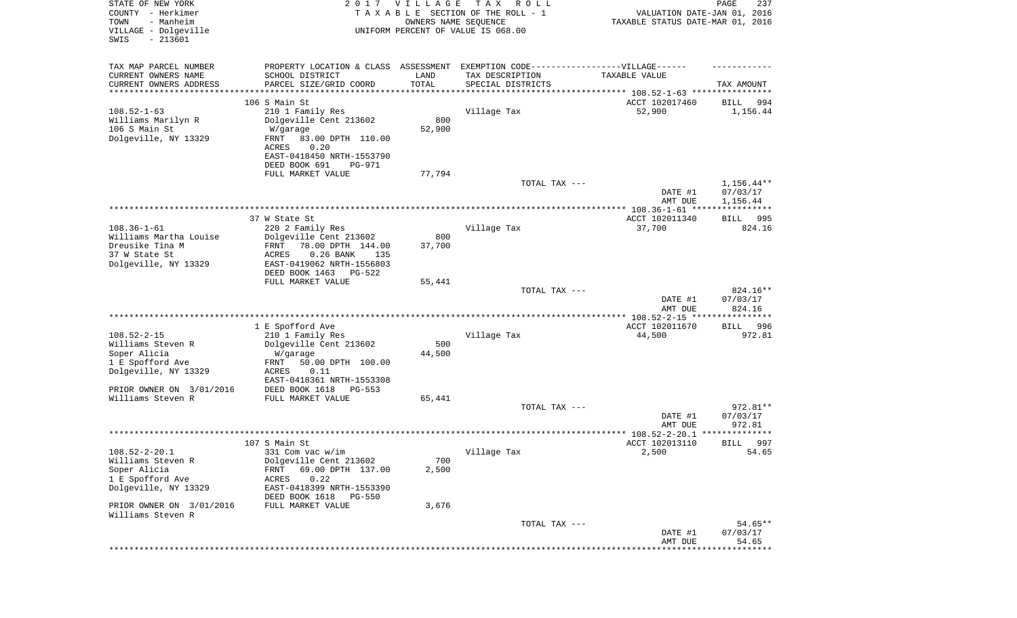| STATE OF NEW YORK<br>COUNTY - Herkimer<br>- Manheim<br>TOWN<br>VILLAGE - Dolgeville<br>$-213601$<br>SWIS |                                                                                  | 2017 VILLAGE<br>OWNERS NAME SEQUENCE | T A X<br>R O L L<br>TAXABLE SECTION OF THE ROLL - 1<br>UNIFORM PERCENT OF VALUE IS 068.00 | VALUATION DATE-JAN 01, 2016<br>TAXABLE STATUS DATE-MAR 01, 2016 | PAGE<br>237        |
|----------------------------------------------------------------------------------------------------------|----------------------------------------------------------------------------------|--------------------------------------|-------------------------------------------------------------------------------------------|-----------------------------------------------------------------|--------------------|
| TAX MAP PARCEL NUMBER                                                                                    | PROPERTY LOCATION & CLASS ASSESSMENT EXEMPTION CODE----------------VILLAGE------ |                                      |                                                                                           |                                                                 |                    |
| CURRENT OWNERS NAME                                                                                      | SCHOOL DISTRICT                                                                  | LAND                                 | TAX DESCRIPTION                                                                           | TAXABLE VALUE                                                   |                    |
| CURRENT OWNERS ADDRESS<br>*********************                                                          | PARCEL SIZE/GRID COORD<br>******************                                     | TOTAL<br>***********                 | SPECIAL DISTRICTS                                                                         |                                                                 | TAX AMOUNT         |
|                                                                                                          | 106 S Main St                                                                    |                                      |                                                                                           | ACCT 102017460                                                  | 994<br>BILL        |
| $108.52 - 1 - 63$                                                                                        | 210 1 Family Res                                                                 |                                      | Village Tax                                                                               | 52,900                                                          | 1,156.44           |
| Williams Marilyn R                                                                                       | Dolgeville Cent 213602                                                           | 800                                  |                                                                                           |                                                                 |                    |
| 106 S Main St                                                                                            | W/garage                                                                         | 52,900                               |                                                                                           |                                                                 |                    |
| Dolgeville, NY 13329                                                                                     | FRNT<br>83.00 DPTH 110.00                                                        |                                      |                                                                                           |                                                                 |                    |
|                                                                                                          | 0.20<br>ACRES                                                                    |                                      |                                                                                           |                                                                 |                    |
|                                                                                                          | EAST-0418450 NRTH-1553790<br>DEED BOOK 691<br>PG-971                             |                                      |                                                                                           |                                                                 |                    |
|                                                                                                          | FULL MARKET VALUE                                                                | 77,794                               |                                                                                           |                                                                 |                    |
|                                                                                                          |                                                                                  |                                      | TOTAL TAX ---                                                                             |                                                                 | $1,156.44**$       |
|                                                                                                          |                                                                                  |                                      |                                                                                           | DATE #1                                                         | 07/03/17           |
|                                                                                                          |                                                                                  |                                      |                                                                                           | AMT DUE                                                         | 1,156.44           |
|                                                                                                          | 37 W State St                                                                    |                                      |                                                                                           | ACCT 102011340                                                  | 995<br>BILL        |
| $108.36 - 1 - 61$                                                                                        | 220 2 Family Res                                                                 |                                      | Village Tax                                                                               | 37,700                                                          | 824.16             |
| Williams Martha Louise                                                                                   | Dolgeville Cent 213602                                                           | 800                                  |                                                                                           |                                                                 |                    |
| Dreusike Tina M                                                                                          | FRNT<br>78.00 DPTH 144.00                                                        | 37,700                               |                                                                                           |                                                                 |                    |
| 37 W State St                                                                                            | ACRES<br>$0.26$ BANK<br>135                                                      |                                      |                                                                                           |                                                                 |                    |
| Dolgeville, NY 13329                                                                                     | EAST-0419062 NRTH-1556803<br>DEED BOOK 1463<br>PG-522                            |                                      |                                                                                           |                                                                 |                    |
|                                                                                                          | FULL MARKET VALUE                                                                | 55,441                               |                                                                                           |                                                                 |                    |
|                                                                                                          |                                                                                  |                                      | TOTAL TAX ---                                                                             |                                                                 | 824.16**           |
|                                                                                                          |                                                                                  |                                      |                                                                                           | DATE #1                                                         | 07/03/17           |
|                                                                                                          |                                                                                  |                                      |                                                                                           | AMT DUE                                                         | 824.16             |
|                                                                                                          | 1 E Spofford Ave                                                                 |                                      |                                                                                           | ************ 108.52-2-15 *****************<br>ACCT 102011670    | <b>BILL</b><br>996 |
| $108.52 - 2 - 15$                                                                                        | 210 1 Family Res                                                                 |                                      | Village Tax                                                                               | 44,500                                                          | 972.81             |
| Williams Steven R                                                                                        | Dolgeville Cent 213602                                                           | 500                                  |                                                                                           |                                                                 |                    |
| Soper Alicia                                                                                             | W/garage                                                                         | 44,500                               |                                                                                           |                                                                 |                    |
| 1 E Spofford Ave                                                                                         | FRNT<br>50.00 DPTH 100.00                                                        |                                      |                                                                                           |                                                                 |                    |
| Dolgeville, NY 13329                                                                                     | ACRES<br>0.11<br>EAST-0418361 NRTH-1553308                                       |                                      |                                                                                           |                                                                 |                    |
| PRIOR OWNER ON 3/01/2016                                                                                 | DEED BOOK 1618<br>PG-553                                                         |                                      |                                                                                           |                                                                 |                    |
| Williams Steven R                                                                                        | FULL MARKET VALUE                                                                | 65,441                               |                                                                                           |                                                                 |                    |
|                                                                                                          |                                                                                  |                                      | TOTAL TAX ---                                                                             |                                                                 | 972.81**           |
|                                                                                                          |                                                                                  |                                      |                                                                                           | DATE #1                                                         | 07/03/17           |
|                                                                                                          |                                                                                  |                                      |                                                                                           | AMT DUE                                                         | 972.81<br>******   |
|                                                                                                          | 107 S Main St                                                                    |                                      |                                                                                           | ACCT 102013110                                                  | 997<br>BILL        |
| $108.52 - 2 - 20.1$                                                                                      | 331 Com vac w/im                                                                 |                                      | Village Tax                                                                               | 2,500                                                           | 54.65              |
| Williams Steven R                                                                                        | Dolgeville Cent 213602                                                           | 700                                  |                                                                                           |                                                                 |                    |
| Soper Alicia                                                                                             | 69.00 DPTH 137.00<br>FRNT                                                        | 2,500                                |                                                                                           |                                                                 |                    |
| 1 E Spofford Ave<br>Dolgeville, NY 13329                                                                 | ACRES<br>0.22<br>EAST-0418399 NRTH-1553390                                       |                                      |                                                                                           |                                                                 |                    |
|                                                                                                          | DEED BOOK 1618<br>PG-550                                                         |                                      |                                                                                           |                                                                 |                    |
| PRIOR OWNER ON 3/01/2016                                                                                 | FULL MARKET VALUE                                                                | 3,676                                |                                                                                           |                                                                 |                    |
| Williams Steven R                                                                                        |                                                                                  |                                      |                                                                                           |                                                                 |                    |
|                                                                                                          |                                                                                  |                                      | TOTAL TAX ---                                                                             |                                                                 | $54.65**$          |
|                                                                                                          |                                                                                  |                                      |                                                                                           | DATE #1<br>AMT DUE                                              | 07/03/17<br>54.65  |
|                                                                                                          |                                                                                  |                                      |                                                                                           |                                                                 | **********         |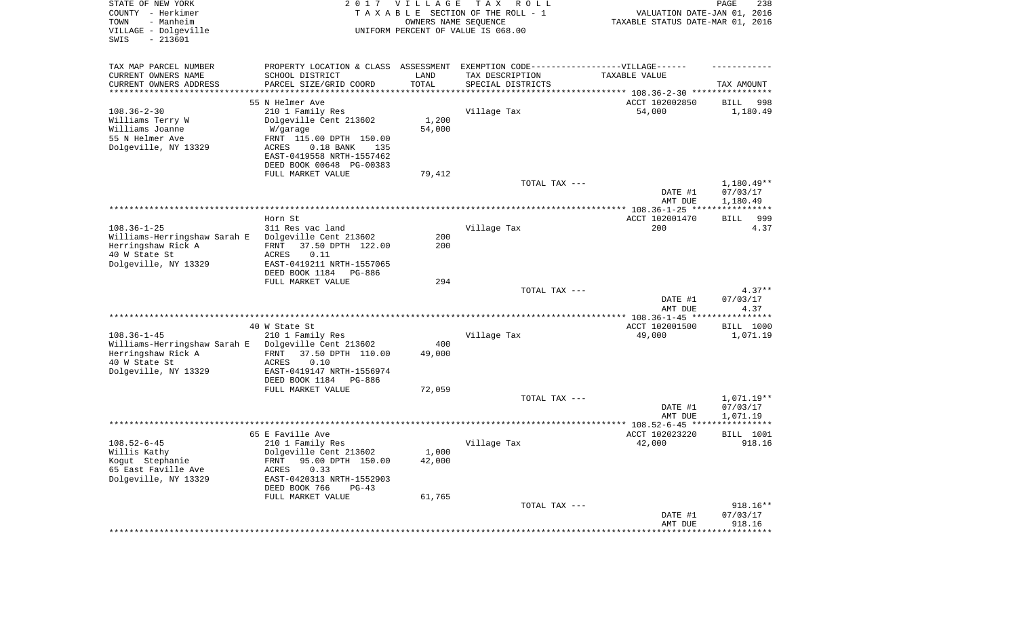| STATE OF NEW YORK<br>COUNTY - Herkimer<br>- Manheim<br>TOWN<br>VILLAGE - Dolgeville<br>$-213601$<br>SWIS         | 2017                                                                                                                                                                      | <b>VILLAGE</b><br>OWNERS NAME SEQUENCE | T A X<br>R O L L<br>TAXABLE SECTION OF THE ROLL - 1<br>UNIFORM PERCENT OF VALUE IS 068.00 | VALUATION DATE-JAN 01, 2016<br>TAXABLE STATUS DATE-MAR 01, 2016 | PAGE<br>238                        |
|------------------------------------------------------------------------------------------------------------------|---------------------------------------------------------------------------------------------------------------------------------------------------------------------------|----------------------------------------|-------------------------------------------------------------------------------------------|-----------------------------------------------------------------|------------------------------------|
| TAX MAP PARCEL NUMBER<br>CURRENT OWNERS NAME<br>CURRENT OWNERS ADDRESS<br>*********************                  | PROPERTY LOCATION & CLASS ASSESSMENT<br>SCHOOL DISTRICT<br>PARCEL SIZE/GRID COORD                                                                                         | LAND<br>TOTAL                          | EXEMPTION CODE------------------VILLAGE------<br>TAX DESCRIPTION<br>SPECIAL DISTRICTS     | TAXABLE VALUE                                                   | TAX AMOUNT                         |
|                                                                                                                  | 55 N Helmer Ave                                                                                                                                                           |                                        |                                                                                           |                                                                 |                                    |
| $108.36 - 2 - 30$<br>Williams Terry W<br>Williams Joanne<br>55 N Helmer Ave<br>Dolgeville, NY 13329              | 210 1 Family Res<br>Dolgeville Cent 213602<br>W/garage<br>FRNT 115.00 DPTH 150.00<br>ACRES<br>$0.18$ BANK<br>135<br>EAST-0419558 NRTH-1557462<br>DEED BOOK 00648 PG-00383 | 1,200<br>54,000                        | Village Tax                                                                               | ACCT 102002850<br>54,000                                        | 998<br>BILL<br>1,180.49            |
|                                                                                                                  | FULL MARKET VALUE                                                                                                                                                         | 79,412                                 |                                                                                           |                                                                 |                                    |
|                                                                                                                  |                                                                                                                                                                           |                                        | TOTAL TAX ---                                                                             | DATE #1<br>AMT DUE                                              | 1,180.49**<br>07/03/17<br>1,180.49 |
|                                                                                                                  |                                                                                                                                                                           |                                        |                                                                                           |                                                                 |                                    |
| $108.36 - 1 - 25$<br>Williams-Herringshaw Sarah E<br>Herringshaw Rick A<br>40 W State St<br>Dolgeville, NY 13329 | Horn St<br>311 Res vac land<br>Dolgeville Cent 213602<br>37.50 DPTH 122.00<br>FRNT<br>ACRES<br>0.11<br>EAST-0419211 NRTH-1557065<br>DEED BOOK 1184<br>PG-886              | 200<br>200                             | Village Tax                                                                               | ACCT 102001470<br>200                                           | 999<br>BILL<br>4.37                |
|                                                                                                                  | FULL MARKET VALUE                                                                                                                                                         | 294                                    |                                                                                           |                                                                 |                                    |
|                                                                                                                  |                                                                                                                                                                           |                                        | TOTAL TAX ---                                                                             | DATE #1<br>AMT DUE                                              | $4.37**$<br>07/03/17<br>4.37       |
|                                                                                                                  |                                                                                                                                                                           |                                        |                                                                                           | *************** 108.36-1-45 *****************                   |                                    |
|                                                                                                                  | 40 W State St                                                                                                                                                             |                                        |                                                                                           | ACCT 102001500                                                  | BILL 1000                          |
| $108.36 - 1 - 45$<br>Williams-Herringshaw Sarah E<br>Herringshaw Rick A<br>40 W State St<br>Dolgeville, NY 13329 | 210 1 Family Res<br>Dolgeville Cent 213602<br>37.50 DPTH 110.00<br>FRNT<br>ACRES<br>0.10<br>EAST-0419147 NRTH-1556974<br>DEED BOOK 1184<br>PG-886                         | 400<br>49,000                          | Village Tax                                                                               | 49,000                                                          | 1,071.19                           |
|                                                                                                                  | FULL MARKET VALUE                                                                                                                                                         | 72,059                                 | TOTAL TAX ---                                                                             | DATE #1                                                         | 1,071.19**<br>07/03/17             |
|                                                                                                                  |                                                                                                                                                                           |                                        |                                                                                           | AMT DUE                                                         | 1,071.19                           |
|                                                                                                                  | 65 E Faville Ave                                                                                                                                                          |                                        |                                                                                           | ACCT 102023220                                                  | <b>BILL</b> 1001                   |
| $108.52 - 6 - 45$<br>Willis Kathy<br>Kogut Stephanie<br>65 East Faville Ave<br>Dolgeville, NY 13329              | 210 1 Family Res<br>Dolgeville Cent 213602<br>FRNT 95.00 DPTH 150.00<br>ACRES<br>0.33<br>EAST-0420313 NRTH-1552903<br>DEED BOOK 766<br>$PG-43$<br>FULL MARKET VALUE       | 1,000<br>42,000<br>61,765              | Village Tax                                                                               | 42,000                                                          | 918.16                             |
|                                                                                                                  |                                                                                                                                                                           |                                        | TOTAL TAX ---                                                                             | DATE #1<br>AMT DUE                                              | $918.16**$<br>07/03/17<br>918.16   |
|                                                                                                                  |                                                                                                                                                                           |                                        |                                                                                           |                                                                 |                                    |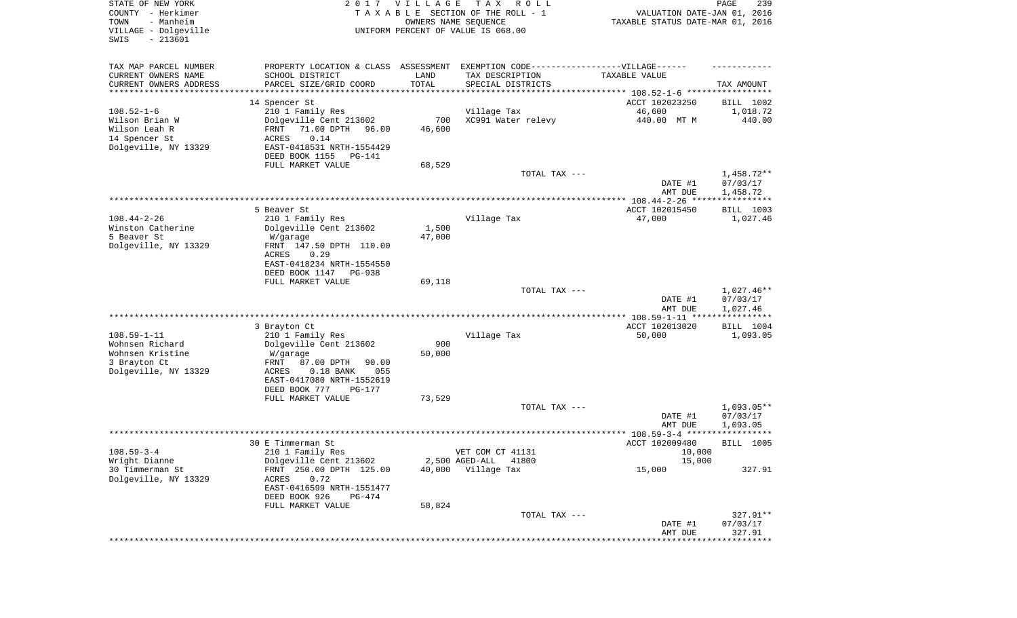| STATE OF NEW YORK<br>COUNTY - Herkimer<br>- Manheim<br>TOWN<br>VILLAGE - Dolgeville<br>SWIS<br>$-213601$ | 2017                                         | VILLAGE<br>OWNERS NAME SEQUENCE | T A X<br>R O L L<br>TAXABLE SECTION OF THE ROLL - 1<br>UNIFORM PERCENT OF VALUE IS 068.00 | VALUATION DATE-JAN 01, 2016<br>TAXABLE STATUS DATE-MAR 01, 2016 | PAGE<br>239                 |
|----------------------------------------------------------------------------------------------------------|----------------------------------------------|---------------------------------|-------------------------------------------------------------------------------------------|-----------------------------------------------------------------|-----------------------------|
| TAX MAP PARCEL NUMBER                                                                                    | PROPERTY LOCATION & CLASS ASSESSMENT         |                                 | EXEMPTION CODE------------------VILLAGE------                                             |                                                                 |                             |
| CURRENT OWNERS NAME                                                                                      | SCHOOL DISTRICT                              | LAND                            | TAX DESCRIPTION                                                                           | TAXABLE VALUE                                                   |                             |
| CURRENT OWNERS ADDRESS<br>******************                                                             | PARCEL SIZE/GRID COORD                       | TOTAL                           | SPECIAL DISTRICTS                                                                         |                                                                 | TAX AMOUNT                  |
|                                                                                                          | 14 Spencer St                                |                                 |                                                                                           | ACCT 102023250                                                  | BILL 1002                   |
| $108.52 - 1 - 6$                                                                                         | 210 1 Family Res                             |                                 | Village Tax                                                                               | 46,600                                                          | 1,018.72                    |
| Wilson Brian W                                                                                           | Dolgeville Cent 213602                       | 700                             | XC991 Water relevy                                                                        | 440.00 MT M                                                     | 440.00                      |
| Wilson Leah R                                                                                            | 71.00 DPTH<br>FRNT<br>96.00                  | 46,600                          |                                                                                           |                                                                 |                             |
| 14 Spencer St<br>Dolgeville, NY 13329                                                                    | 0.14<br>ACRES<br>EAST-0418531 NRTH-1554429   |                                 |                                                                                           |                                                                 |                             |
|                                                                                                          | DEED BOOK 1155<br>PG-141                     |                                 |                                                                                           |                                                                 |                             |
|                                                                                                          | FULL MARKET VALUE                            | 68,529                          |                                                                                           |                                                                 |                             |
|                                                                                                          |                                              |                                 | TOTAL TAX ---                                                                             | DATE #1                                                         | $1,458.72**$<br>07/03/17    |
|                                                                                                          |                                              |                                 |                                                                                           | AMT DUE                                                         | 1,458.72                    |
|                                                                                                          | 5 Beaver St                                  |                                 |                                                                                           | ACCT 102015450                                                  | BILL 1003                   |
| $108.44 - 2 - 26$                                                                                        | 210 1 Family Res                             |                                 | Village Tax                                                                               | 47,000                                                          | 1,027.46                    |
| Winston Catherine                                                                                        | Dolgeville Cent 213602                       | 1,500                           |                                                                                           |                                                                 |                             |
| 5 Beaver St<br>Dolgeville, NY 13329                                                                      | W/garage<br>FRNT 147.50 DPTH 110.00          | 47,000                          |                                                                                           |                                                                 |                             |
|                                                                                                          | ACRES<br>0.29                                |                                 |                                                                                           |                                                                 |                             |
|                                                                                                          | EAST-0418234 NRTH-1554550                    |                                 |                                                                                           |                                                                 |                             |
|                                                                                                          | DEED BOOK 1147<br><b>PG-938</b>              |                                 |                                                                                           |                                                                 |                             |
|                                                                                                          | FULL MARKET VALUE                            | 69,118                          |                                                                                           |                                                                 |                             |
|                                                                                                          |                                              |                                 | TOTAL TAX ---                                                                             | DATE #1                                                         | $1,027.46**$<br>07/03/17    |
|                                                                                                          |                                              |                                 |                                                                                           | AMT DUE                                                         | 1,027.46                    |
|                                                                                                          |                                              |                                 |                                                                                           | ********** 108.59-1-11 *****************                        |                             |
|                                                                                                          | 3 Brayton Ct                                 |                                 |                                                                                           | ACCT 102013020                                                  | BILL 1004                   |
| $108.59 - 1 - 11$<br>Wohnsen Richard                                                                     | 210 1 Family Res<br>Dolgeville Cent 213602   | 900                             | Village Tax                                                                               | 50,000                                                          | 1,093.05                    |
| Wohnsen Kristine                                                                                         | W/garage                                     | 50,000                          |                                                                                           |                                                                 |                             |
| 3 Brayton Ct                                                                                             | FRNT<br>87.00 DPTH<br>90.00                  |                                 |                                                                                           |                                                                 |                             |
| Dolgeville, NY 13329                                                                                     | $0.18$ BANK<br>ACRES<br>055                  |                                 |                                                                                           |                                                                 |                             |
|                                                                                                          | EAST-0417080 NRTH-1552619                    |                                 |                                                                                           |                                                                 |                             |
|                                                                                                          | DEED BOOK 777<br>PG-177<br>FULL MARKET VALUE | 73,529                          |                                                                                           |                                                                 |                             |
|                                                                                                          |                                              |                                 | TOTAL TAX ---                                                                             |                                                                 | $1,093.05**$                |
|                                                                                                          |                                              |                                 |                                                                                           | DATE #1                                                         | 07/03/17                    |
|                                                                                                          |                                              |                                 |                                                                                           | AMT DUE                                                         | 1,093.05                    |
|                                                                                                          | 30 E Timmerman St                            |                                 |                                                                                           | ACCT 102009480                                                  | * * * * * * *<br>BILL 1005  |
| $108.59 - 3 - 4$                                                                                         | 210 1 Family Res                             |                                 | VET COM CT 41131                                                                          | 10,000                                                          |                             |
| Wright Dianne                                                                                            | Dolgeville Cent 213602                       |                                 | 2,500 AGED-ALL 41800                                                                      | 15,000                                                          |                             |
| 30 Timmerman St                                                                                          | FRNT 250.00 DPTH 125.00                      | 40,000                          | Village Tax                                                                               | 15,000                                                          | 327.91                      |
| Dolgeville, NY 13329                                                                                     | 0.72<br>ACRES<br>EAST-0416599 NRTH-1551477   |                                 |                                                                                           |                                                                 |                             |
|                                                                                                          | DEED BOOK 926<br>PG-474                      |                                 |                                                                                           |                                                                 |                             |
|                                                                                                          | FULL MARKET VALUE                            | 58,824                          | TOTAL TAX ---                                                                             |                                                                 | 327.91**                    |
|                                                                                                          |                                              |                                 |                                                                                           | DATE #1                                                         | 07/03/17                    |
|                                                                                                          |                                              |                                 |                                                                                           | AMT DUE                                                         | 327.91                      |
|                                                                                                          |                                              |                                 |                                                                                           |                                                                 | * * * * * * * * * * * * * * |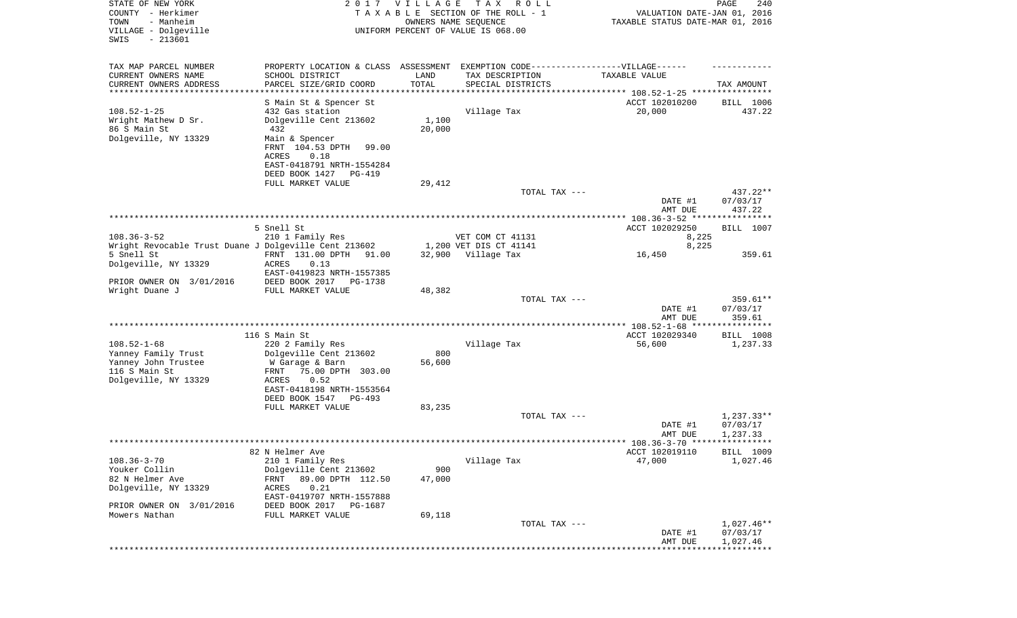| STATE OF NEW YORK<br>COUNTY - Herkimer<br>- Manheim<br>TOWN<br>VILLAGE - Dolgeville |                                                | 2017 VILLAGE | T A X<br>R O L L<br>TAXABLE SECTION OF THE ROLL - 1<br>OWNERS NAME SEQUENCE<br>UNIFORM PERCENT OF VALUE IS 068.00 | VALUATION DATE-JAN 01, 2016<br>TAXABLE STATUS DATE-MAR 01, 2016 | 240<br>PAGE              |
|-------------------------------------------------------------------------------------|------------------------------------------------|--------------|-------------------------------------------------------------------------------------------------------------------|-----------------------------------------------------------------|--------------------------|
| $-213601$<br>SWIS                                                                   |                                                |              |                                                                                                                   |                                                                 |                          |
| TAX MAP PARCEL NUMBER                                                               |                                                |              | PROPERTY LOCATION & CLASS ASSESSMENT EXEMPTION CODE----------------VILLAGE------                                  |                                                                 |                          |
| CURRENT OWNERS NAME                                                                 | SCHOOL DISTRICT                                | LAND         | TAX DESCRIPTION                                                                                                   | TAXABLE VALUE                                                   |                          |
| CURRENT OWNERS ADDRESS<br>***********************                                   | PARCEL SIZE/GRID COORD<br>******************** | TOTAL        | SPECIAL DISTRICTS                                                                                                 |                                                                 | TAX AMOUNT               |
|                                                                                     | S Main St & Spencer St                         |              |                                                                                                                   | ACCT 102010200                                                  | BILL 1006                |
| $108.52 - 1 - 25$                                                                   | 432 Gas station                                |              | Village Tax                                                                                                       | 20,000                                                          | 437.22                   |
| Wright Mathew D Sr.                                                                 | Dolgeville Cent 213602                         | 1,100        |                                                                                                                   |                                                                 |                          |
| 86 S Main St                                                                        | 432                                            | 20,000       |                                                                                                                   |                                                                 |                          |
| Dolgeville, NY 13329                                                                | Main & Spencer                                 |              |                                                                                                                   |                                                                 |                          |
|                                                                                     | FRNT 104.53 DPTH<br>99.00                      |              |                                                                                                                   |                                                                 |                          |
|                                                                                     | ACRES<br>0.18<br>EAST-0418791 NRTH-1554284     |              |                                                                                                                   |                                                                 |                          |
|                                                                                     | DEED BOOK 1427<br>PG-419                       |              |                                                                                                                   |                                                                 |                          |
|                                                                                     | FULL MARKET VALUE                              | 29,412       |                                                                                                                   |                                                                 |                          |
|                                                                                     |                                                |              | TOTAL TAX ---                                                                                                     |                                                                 | 437.22**                 |
|                                                                                     |                                                |              |                                                                                                                   | DATE #1<br>AMT DUE                                              | 07/03/17<br>437.22       |
|                                                                                     |                                                |              |                                                                                                                   |                                                                 |                          |
| $108.36 - 3 - 52$                                                                   | 5 Snell St<br>210 1 Family Res                 |              | VET COM CT 41131                                                                                                  | ACCT 102029250<br>8,225                                         | BILL 1007                |
| Wright Revocable Trust Duane J Dolgeville Cent 213602                               |                                                |              | 1,200 VET DIS CT 41141                                                                                            | 8,225                                                           |                          |
| 5 Snell St                                                                          | FRNT 131.00 DPTH<br>91.00                      |              | 32,900 Village Tax                                                                                                | 16,450                                                          | 359.61                   |
| Dolgeville, NY 13329                                                                | ACRES<br>0.13                                  |              |                                                                                                                   |                                                                 |                          |
|                                                                                     | EAST-0419823 NRTH-1557385                      |              |                                                                                                                   |                                                                 |                          |
| PRIOR OWNER ON 3/01/2016                                                            | DEED BOOK 2017 PG-1738                         |              |                                                                                                                   |                                                                 |                          |
| Wright Duane J                                                                      | FULL MARKET VALUE                              | 48,382       | TOTAL TAX ---                                                                                                     |                                                                 | $359.61**$               |
|                                                                                     |                                                |              |                                                                                                                   | DATE #1                                                         | 07/03/17                 |
|                                                                                     |                                                |              |                                                                                                                   | AMT DUE                                                         | 359.61                   |
|                                                                                     |                                                |              |                                                                                                                   |                                                                 |                          |
| $108.52 - 1 - 68$                                                                   | 116 S Main St                                  |              |                                                                                                                   | ACCT 102029340                                                  | BILL 1008                |
| Yanney Family Trust                                                                 | 220 2 Family Res<br>Dolgeville Cent 213602     | 800          | Village Tax                                                                                                       | 56,600                                                          | 1,237.33                 |
| Yanney John Trustee                                                                 | W Garage & Barn                                | 56,600       |                                                                                                                   |                                                                 |                          |
| 116 S Main St                                                                       | 75.00 DPTH 303.00<br>FRNT                      |              |                                                                                                                   |                                                                 |                          |
| Dolgeville, NY 13329                                                                | 0.52<br>ACRES                                  |              |                                                                                                                   |                                                                 |                          |
|                                                                                     | EAST-0418198 NRTH-1553564                      |              |                                                                                                                   |                                                                 |                          |
|                                                                                     | DEED BOOK 1547<br>PG-493<br>FULL MARKET VALUE  | 83,235       |                                                                                                                   |                                                                 |                          |
|                                                                                     |                                                |              | TOTAL TAX ---                                                                                                     |                                                                 | $1,237.33**$             |
|                                                                                     |                                                |              |                                                                                                                   | DATE #1                                                         | 07/03/17                 |
|                                                                                     |                                                |              |                                                                                                                   | AMT DUE                                                         | 1,237.33                 |
|                                                                                     |                                                |              |                                                                                                                   |                                                                 |                          |
| $108.36 - 3 - 70$                                                                   | 82 N Helmer Ave                                |              |                                                                                                                   | ACCT 102019110<br>47,000                                        | BILL 1009<br>1,027.46    |
| Youker Collin                                                                       | 210 1 Family Res<br>Dolgeville Cent 213602     | 900          | Village Tax                                                                                                       |                                                                 |                          |
| 82 N Helmer Ave                                                                     | 89.00 DPTH 112.50<br>FRNT                      | 47,000       |                                                                                                                   |                                                                 |                          |
| Dolgeville, NY 13329                                                                | 0.21<br>ACRES                                  |              |                                                                                                                   |                                                                 |                          |
|                                                                                     | EAST-0419707 NRTH-1557888                      |              |                                                                                                                   |                                                                 |                          |
| PRIOR OWNER ON 3/01/2016                                                            | DEED BOOK 2017<br>PG-1687                      |              |                                                                                                                   |                                                                 |                          |
| Mowers Nathan                                                                       | FULL MARKET VALUE                              | 69,118       |                                                                                                                   |                                                                 |                          |
|                                                                                     |                                                |              | TOTAL TAX ---                                                                                                     | DATE #1                                                         | $1,027.46**$<br>07/03/17 |
|                                                                                     |                                                |              |                                                                                                                   | AMT DUE                                                         | 1,027.46                 |
|                                                                                     |                                                |              |                                                                                                                   |                                                                 |                          |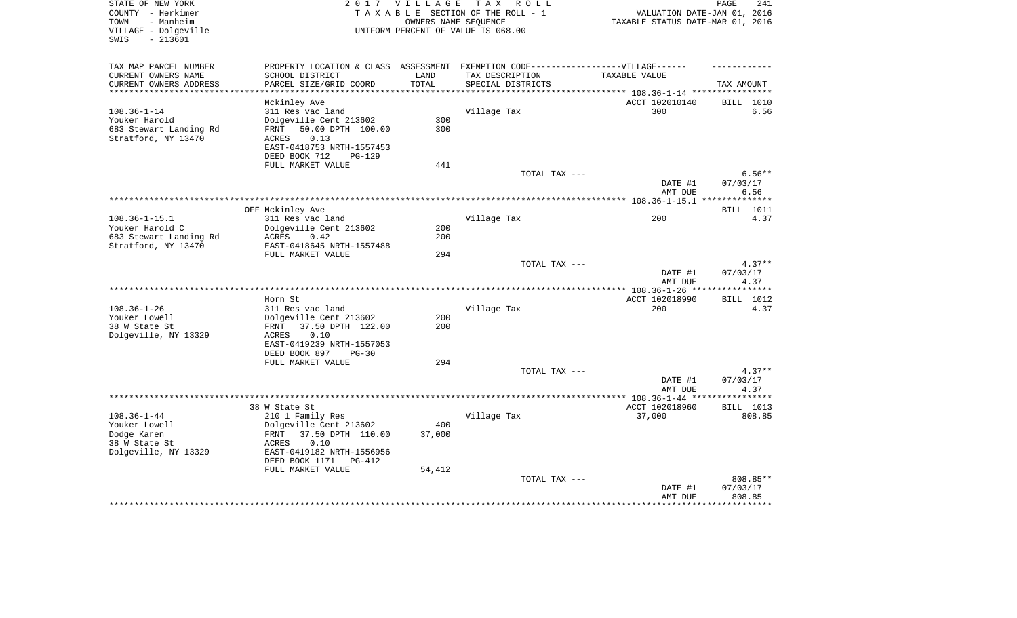| - Manheim<br>TAXABLE STATUS DATE-MAR 01, 2016<br>TOWN<br>OWNERS NAME SEOUENCE<br>VILLAGE - Dolgeville<br>UNIFORM PERCENT OF VALUE IS 068.00<br>$-213601$<br>SWIS |                           |
|------------------------------------------------------------------------------------------------------------------------------------------------------------------|---------------------------|
| TAX MAP PARCEL NUMBER<br>PROPERTY LOCATION & CLASS ASSESSMENT<br>EXEMPTION CODE------------------VILLAGE------                                                   |                           |
| CURRENT OWNERS NAME<br>SCHOOL DISTRICT<br>LAND<br>TAX DESCRIPTION<br>TAXABLE VALUE                                                                               |                           |
| CURRENT OWNERS ADDRESS<br>PARCEL SIZE/GRID COORD<br>TOTAL<br>SPECIAL DISTRICTS<br>***********************                                                        | TAX AMOUNT                |
| Mckinley Ave<br>ACCT 102010140                                                                                                                                   | BILL 1010                 |
| $108.36 - 1 - 14$<br>300<br>311 Res vac land<br>Village Tax                                                                                                      | 6.56                      |
| Youker Harold<br>Dolgeville Cent 213602<br>300                                                                                                                   |                           |
| 50.00 DPTH 100.00<br>300<br>683 Stewart Landing Rd<br>FRNT                                                                                                       |                           |
| Stratford, NY 13470<br>ACRES<br>0.13                                                                                                                             |                           |
| EAST-0418753 NRTH-1557453                                                                                                                                        |                           |
| DEED BOOK 712<br><b>PG-129</b>                                                                                                                                   |                           |
| FULL MARKET VALUE<br>441<br>TOTAL TAX ---                                                                                                                        | $6.56**$                  |
| DATE #1                                                                                                                                                          | 07/03/17                  |
| AMT DUE                                                                                                                                                          | 6.56                      |
|                                                                                                                                                                  |                           |
| OFF Mckinley Ave                                                                                                                                                 | BILL 1011                 |
| $108.36 - 1 - 15.1$<br>311 Res vac land<br>200<br>Village Tax                                                                                                    | 4.37                      |
| Youker Harold C<br>Dolgeville Cent 213602<br>200<br>200<br>683 Stewart Landing Rd<br>ACRES<br>0.42                                                               |                           |
| Stratford, NY 13470<br>EAST-0418645 NRTH-1557488                                                                                                                 |                           |
| FULL MARKET VALUE<br>294                                                                                                                                         |                           |
| TOTAL TAX ---                                                                                                                                                    | $4.37**$                  |
| DATE #1                                                                                                                                                          | 07/03/17                  |
| AMT DUE                                                                                                                                                          | 4.37<br>* * * * * * * * * |
| Horn St<br>ACCT 102018990                                                                                                                                        | BILL 1012                 |
| $108.36 - 1 - 26$<br>311 Res vac land<br>Village Tax<br>200                                                                                                      | 4.37                      |
| Youker Lowell<br>200<br>Dolgeville Cent 213602                                                                                                                   |                           |
| 38 W State St<br>FRNT<br>37.50 DPTH 122.00<br>200                                                                                                                |                           |
| Dolgeville, NY 13329<br><b>ACRES</b><br>0.10                                                                                                                     |                           |
| EAST-0419239 NRTH-1557053                                                                                                                                        |                           |
| DEED BOOK 897<br>$PG-30$<br>FULL MARKET VALUE<br>294                                                                                                             |                           |
| TOTAL TAX ---                                                                                                                                                    | $4.37**$                  |
| DATE #1                                                                                                                                                          | 07/03/17                  |
| AMT DUE                                                                                                                                                          | 4.37                      |
| *** $108.36 - 1 - 44$ **                                                                                                                                         | *******                   |
| 38 W State St<br>ACCT 102018960                                                                                                                                  | <b>BILL</b> 1013          |
| $108.36 - 1 - 44$<br>Village Tax<br>37,000<br>210 1 Family Res<br>400<br>Youker Lowell<br>Dolgeville Cent 213602                                                 | 808.85                    |
| Dodge Karen<br>37.50 DPTH 110.00<br>37,000<br>FRNT                                                                                                               |                           |
| 38 W State St<br>0.10<br>ACRES                                                                                                                                   |                           |
| Dolgeville, NY 13329<br>EAST-0419182 NRTH-1556956                                                                                                                |                           |
| DEED BOOK 1171<br>PG-412                                                                                                                                         |                           |
| FULL MARKET VALUE<br>54,412                                                                                                                                      |                           |
| TOTAL TAX ---                                                                                                                                                    | 808.85**                  |
| DATE #1<br>AMT DUE                                                                                                                                               | 07/03/17<br>808.85        |
|                                                                                                                                                                  | ********                  |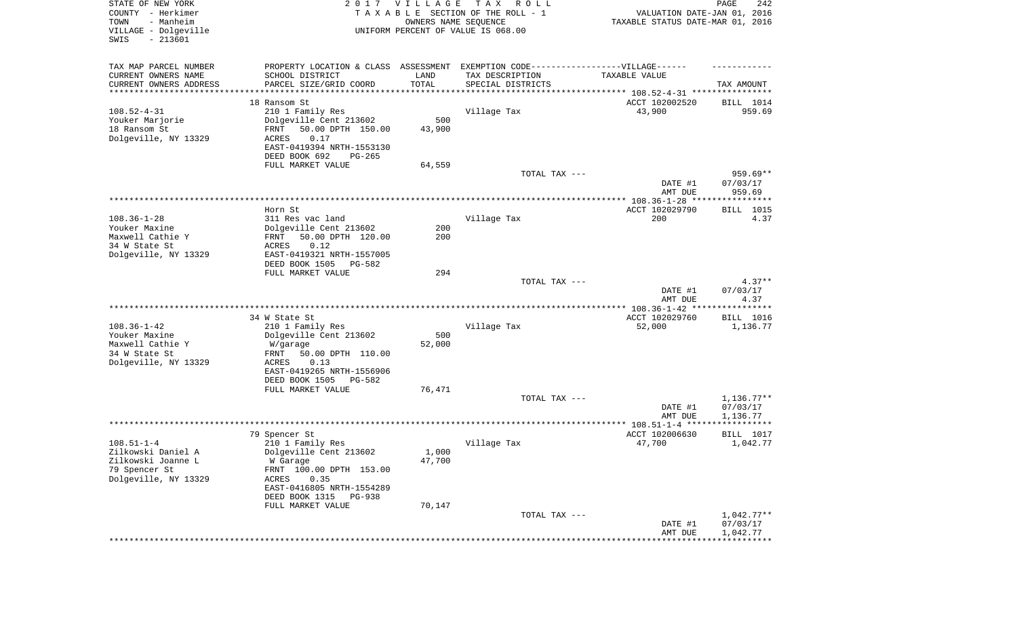| STATE OF NEW YORK<br>COUNTY - Herkimer<br>TOWN<br>- Manheim<br>VILLAGE - Dolgeville<br>SWIS<br>$-213601$ |                                                                                  | 2017 VILLAGE<br>OWNERS NAME SEQUENCE | T A X<br>R O L L<br>TAXABLE SECTION OF THE ROLL - 1<br>UNIFORM PERCENT OF VALUE IS 068.00 | VALUATION DATE-JAN 01, 2016<br>TAXABLE STATUS DATE-MAR 01, 2016 | PAGE<br>242                      |
|----------------------------------------------------------------------------------------------------------|----------------------------------------------------------------------------------|--------------------------------------|-------------------------------------------------------------------------------------------|-----------------------------------------------------------------|----------------------------------|
| TAX MAP PARCEL NUMBER                                                                                    | PROPERTY LOCATION & CLASS ASSESSMENT EXEMPTION CODE----------------VILLAGE------ |                                      |                                                                                           |                                                                 |                                  |
| CURRENT OWNERS NAME                                                                                      | SCHOOL DISTRICT                                                                  | LAND                                 | TAX DESCRIPTION                                                                           | TAXABLE VALUE                                                   |                                  |
| CURRENT OWNERS ADDRESS<br>********************                                                           | PARCEL SIZE/GRID COORD                                                           | TOTAL                                | SPECIAL DISTRICTS                                                                         | ********************************* 108.52-4-31 ****************  | TAX AMOUNT                       |
|                                                                                                          | 18 Ransom St                                                                     |                                      |                                                                                           | ACCT 102002520                                                  | BILL 1014                        |
| $108.52 - 4 - 31$                                                                                        | 210 1 Family Res                                                                 |                                      | Village Tax                                                                               | 43,900                                                          | 959.69                           |
| Youker Marjorie                                                                                          | Dolgeville Cent 213602                                                           | 500                                  |                                                                                           |                                                                 |                                  |
| 18 Ransom St<br>Dolgeville, NY 13329                                                                     | 50.00 DPTH 150.00<br>FRNT<br><b>ACRES</b><br>0.17                                | 43,900                               |                                                                                           |                                                                 |                                  |
|                                                                                                          | EAST-0419394 NRTH-1553130                                                        |                                      |                                                                                           |                                                                 |                                  |
|                                                                                                          | DEED BOOK 692<br>$PG-265$                                                        |                                      |                                                                                           |                                                                 |                                  |
|                                                                                                          | FULL MARKET VALUE                                                                | 64,559                               |                                                                                           |                                                                 |                                  |
|                                                                                                          |                                                                                  |                                      | TOTAL TAX ---                                                                             | DATE #1<br>AMT DUE                                              | $959.69**$<br>07/03/17<br>959.69 |
|                                                                                                          |                                                                                  |                                      |                                                                                           |                                                                 |                                  |
|                                                                                                          | Horn St                                                                          |                                      |                                                                                           | ACCT 102029790                                                  | BILL 1015                        |
| $108.36 - 1 - 28$                                                                                        | 311 Res vac land                                                                 |                                      | Village Tax                                                                               | 200                                                             | 4.37                             |
| Youker Maxine<br>Maxwell Cathie Y                                                                        | Dolgeville Cent 213602<br>50.00 DPTH 120.00<br>FRNT                              | 200<br>200                           |                                                                                           |                                                                 |                                  |
| 34 W State St                                                                                            | 0.12<br>ACRES                                                                    |                                      |                                                                                           |                                                                 |                                  |
| Dolgeville, NY 13329                                                                                     | EAST-0419321 NRTH-1557005                                                        |                                      |                                                                                           |                                                                 |                                  |
|                                                                                                          | DEED BOOK 1505<br>$PG-582$<br>FULL MARKET VALUE                                  | 294                                  |                                                                                           |                                                                 |                                  |
|                                                                                                          |                                                                                  |                                      | TOTAL TAX ---                                                                             |                                                                 | $4.37**$                         |
|                                                                                                          |                                                                                  |                                      |                                                                                           | DATE #1<br>AMT DUE                                              | 07/03/17<br>4.37                 |
|                                                                                                          | 34 W State St                                                                    |                                      |                                                                                           | ACCT 102029760                                                  | BILL 1016                        |
| $108.36 - 1 - 42$                                                                                        | 210 1 Family Res                                                                 |                                      | Village Tax                                                                               | 52,000                                                          | 1,136.77                         |
| Youker Maxine                                                                                            | Dolgeville Cent 213602                                                           | 500                                  |                                                                                           |                                                                 |                                  |
| Maxwell Cathie Y                                                                                         | W/garage                                                                         | 52,000                               |                                                                                           |                                                                 |                                  |
| 34 W State St<br>Dolgeville, NY 13329                                                                    | 50.00 DPTH 110.00<br>FRNT<br><b>ACRES</b><br>0.13                                |                                      |                                                                                           |                                                                 |                                  |
|                                                                                                          | EAST-0419265 NRTH-1556906                                                        |                                      |                                                                                           |                                                                 |                                  |
|                                                                                                          | DEED BOOK 1505<br>PG-582                                                         |                                      |                                                                                           |                                                                 |                                  |
|                                                                                                          | FULL MARKET VALUE                                                                | 76,471                               |                                                                                           |                                                                 |                                  |
|                                                                                                          |                                                                                  |                                      | TOTAL TAX ---                                                                             | DATE #1                                                         | $1,136.77**$<br>07/03/17         |
|                                                                                                          |                                                                                  |                                      |                                                                                           | AMT DUE                                                         | 1,136.77                         |
|                                                                                                          |                                                                                  |                                      |                                                                                           |                                                                 |                                  |
|                                                                                                          | 79 Spencer St                                                                    |                                      |                                                                                           | ACCT 102006630                                                  | BILL 1017                        |
| $108.51 - 1 - 4$<br>Zilkowski Daniel A                                                                   | 210 1 Family Res<br>Dolgeville Cent 213602                                       | 1,000                                | Village Tax                                                                               | 47,700                                                          | 1,042.77                         |
| Zilkowski Joanne L                                                                                       | W Garage                                                                         | 47,700                               |                                                                                           |                                                                 |                                  |
| 79 Spencer St                                                                                            | FRNT 100.00 DPTH 153.00                                                          |                                      |                                                                                           |                                                                 |                                  |
| Dolgeville, NY 13329                                                                                     | 0.35<br>ACRES<br>EAST-0416805 NRTH-1554289                                       |                                      |                                                                                           |                                                                 |                                  |
|                                                                                                          | DEED BOOK 1315<br>PG-938                                                         |                                      |                                                                                           |                                                                 |                                  |
|                                                                                                          | FULL MARKET VALUE                                                                | 70,147                               |                                                                                           |                                                                 |                                  |
|                                                                                                          |                                                                                  |                                      | TOTAL TAX ---                                                                             |                                                                 | $1,042.77**$                     |
|                                                                                                          |                                                                                  |                                      |                                                                                           | DATE #1<br>AMT DUE                                              | 07/03/17<br>1,042.77             |
|                                                                                                          |                                                                                  |                                      |                                                                                           |                                                                 |                                  |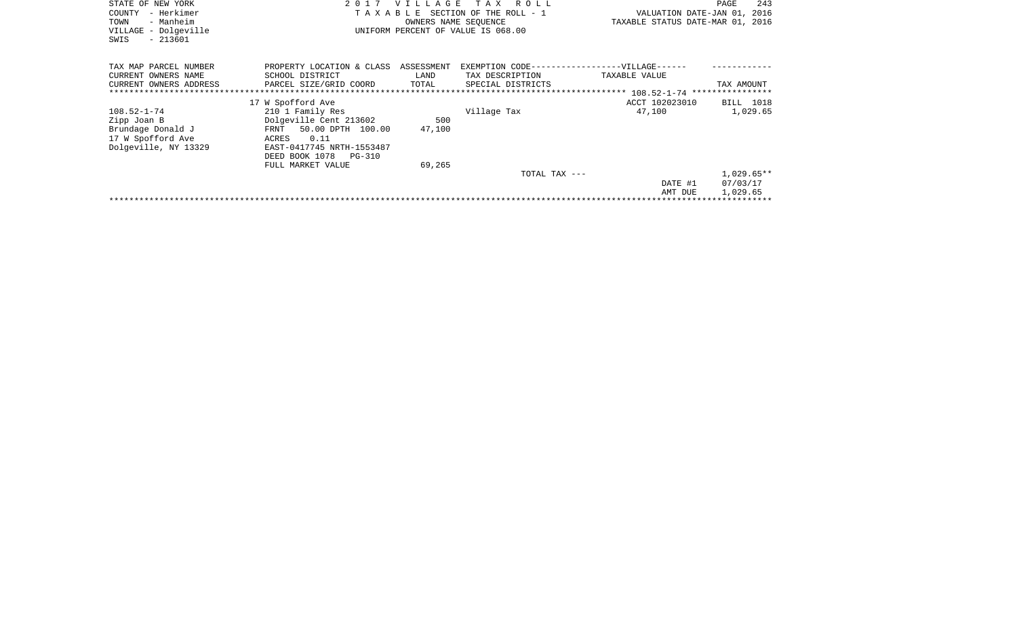| TAX MAP PARCEL NUMBER<br>ASSESSMENT<br>EXEMPTION CODE------------------VILLAGE------<br>PROPERTY LOCATION & CLASS<br>TAX DESCRIPTION<br>CURRENT OWNERS NAME<br>SCHOOL DISTRICT<br>LAND<br>TAXABLE VALUE<br>CURRENT OWNERS ADDRESS<br>PARCEL SIZE/GRID COORD<br>TOTAL<br>SPECIAL DISTRICTS<br>TAX AMOUNT<br>******************************<br>17 W Spofford Ave<br>ACCT 102023010<br><b>BILL</b> 1018<br>210 1 Family Res<br>Village Tax<br>108.52-1-74<br>47,100<br>1,029.65<br>Dolgeville Cent 213602<br>Zipp Joan B<br>500 | 243<br>VALUATION DATE-JAN 01, 2016<br>TAXABLE STATUS DATE-MAR 01, 2016 |
|------------------------------------------------------------------------------------------------------------------------------------------------------------------------------------------------------------------------------------------------------------------------------------------------------------------------------------------------------------------------------------------------------------------------------------------------------------------------------------------------------------------------------|------------------------------------------------------------------------|
|                                                                                                                                                                                                                                                                                                                                                                                                                                                                                                                              |                                                                        |
|                                                                                                                                                                                                                                                                                                                                                                                                                                                                                                                              |                                                                        |
| Brundage Donald J<br>50.00 DPTH 100.00<br>47,100<br>FRNT<br>17 W Spofford Ave<br>0.11<br>ACRES<br>Dolgeville, NY 13329<br>EAST-0417745 NRTH-1553487<br>DEED BOOK 1078<br>PG-310<br>69,265<br>FULL MARKET VALUE                                                                                                                                                                                                                                                                                                               |                                                                        |
| $1,029.65**$<br>TOTAL TAX ---<br>DATE #1<br>07/03/17<br>1,029.65<br>AMT DUE                                                                                                                                                                                                                                                                                                                                                                                                                                                  |                                                                        |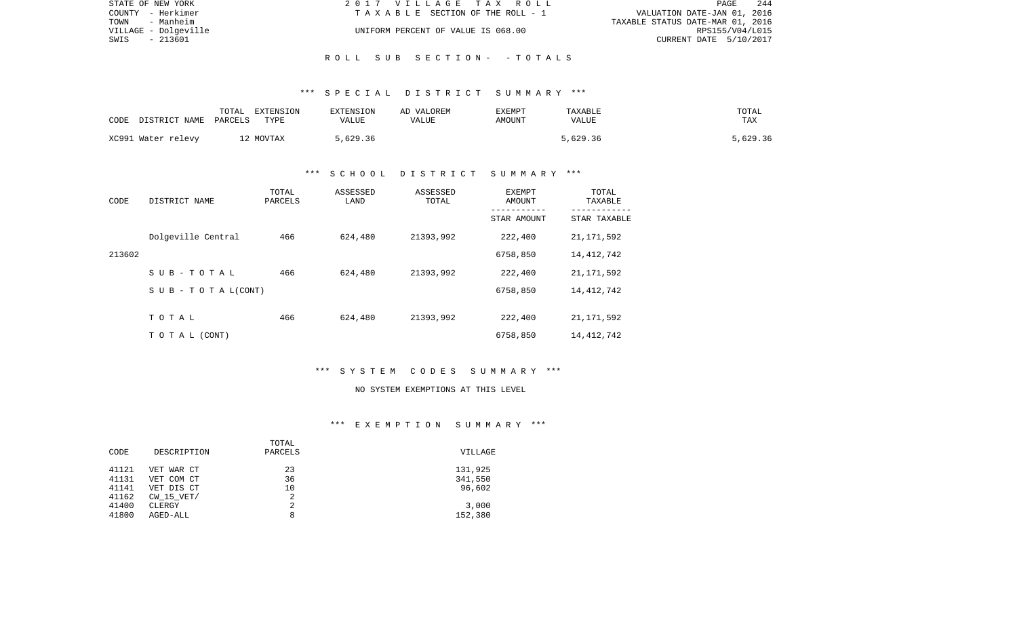| STATE OF NEW YORK    | 2017 VILLAGE TAX ROLL              | 244<br>PAGE                      |
|----------------------|------------------------------------|----------------------------------|
| COUNTY - Herkimer    | TAXABLE SECTION OF THE ROLL - 1    | VALUATION DATE-JAN 01, 2016      |
| TOWN<br>- Manheim    |                                    | TAXABLE STATUS DATE-MAR 01, 2016 |
| VILLAGE - Dolgeville | UNIFORM PERCENT OF VALUE IS 068.00 | RPS155/V04/L015                  |
| SWIS<br>- 213601     |                                    | CURRENT DATE 5/10/2017           |
|                      |                                    |                                  |

# \*\*\* S P E C I A L D I S T R I C T S U M M A R Y \*\*\*

R O L L S U B S E C T I O N - - T O T A L S

| CODE | DISTRICT NAME      | TOTAL<br>PARCELS | EXTENSION<br>TYPE     | EXTENSION<br>VALUE | AD VALOREM<br>VALUE | EXEMPT<br>AMOUNT | TAXABLE<br>VALUE | TOTAL<br>TAX |
|------|--------------------|------------------|-----------------------|--------------------|---------------------|------------------|------------------|--------------|
|      | XC991 Water relevy |                  | <sup>1</sup> 2 MOVTAX | 5,629.36           |                     |                  | 5,629.36         | 5,629.36     |

# \*\*\* S C H O O L D I S T R I C T S U M M A R Y \*\*\*

| CODE   | DISTRICT NAME                    | TOTAL<br>PARCELS | ASSESSED<br>LAND | ASSESSED<br>TOTAL | EXEMPT<br>AMOUNT<br>---------- | TOTAL<br>TAXABLE<br>----------- |
|--------|----------------------------------|------------------|------------------|-------------------|--------------------------------|---------------------------------|
|        |                                  |                  |                  |                   | STAR AMOUNT                    | STAR TAXABLE                    |
|        | Dolgeville Central               | 466              | 624,480          | 21393,992         | 222,400                        | 21, 171, 592                    |
| 213602 |                                  |                  |                  |                   | 6758,850                       | 14,412,742                      |
|        | SUB-TOTAL                        | 466              | 624,480          | 21393,992         | 222,400                        | 21, 171, 592                    |
|        | $S \cup B - T \cup T A L (CONT)$ |                  |                  |                   | 6758,850                       | 14, 412, 742                    |
|        | TOTAL                            | 466              | 624,480          | 21393,992         | 222,400                        | 21, 171, 592                    |
|        |                                  |                  |                  |                   |                                |                                 |
|        | TO TAL (CONT)                    |                  |                  |                   | 6758,850                       | 14, 412, 742                    |

# \*\*\* S Y S T E M C O D E S S U M M A R Y \*\*\*

#### NO SYSTEM EXEMPTIONS AT THIS LEVEL

### \*\*\* E X E M P T I O N S U M M A R Y \*\*\*

|       |             | TOTAL   |         |
|-------|-------------|---------|---------|
| CODE  | DESCRIPTION | PARCELS | VILLAGE |
| 41121 | VET WAR CT  | 23      | 131,925 |
| 41131 | VET COM CT  | 36      | 341,550 |
| 41141 | VET DIS CT  | 10      | 96,602  |
| 41162 | CW 15 VET/  | 2       |         |
| 41400 | CLERGY      | 2       | 3,000   |
| 41800 | AGED-ALL    | 8       | 152,380 |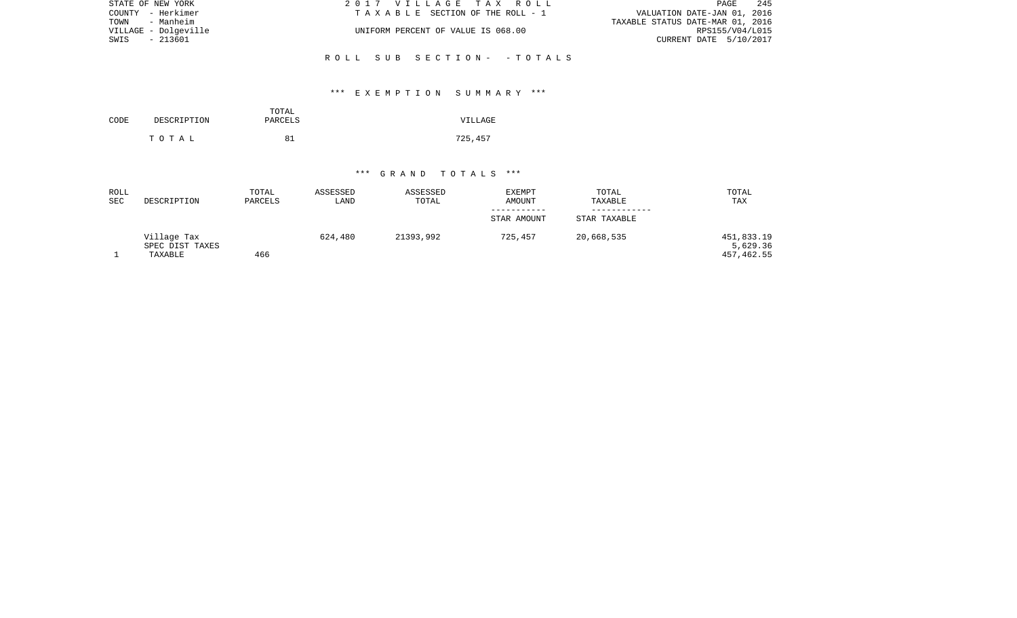| STATE OF NEW YORK    | 2017 VILLAGE TAX ROLL              | 245<br>PAGE                      |
|----------------------|------------------------------------|----------------------------------|
| COUNTY - Herkimer    | TAXABLE SECTION OF THE ROLL - 1    | VALUATION DATE-JAN 01, 2016      |
| TOWN<br>- Manheim    |                                    | TAXABLE STATUS DATE-MAR 01, 2016 |
| VILLAGE - Dolgeville | UNIFORM PERCENT OF VALUE IS 068.00 | RPS155/V04/L015                  |
| - 213601<br>SWIS     |                                    | CURRENT DATE 5/10/2017           |
|                      |                                    |                                  |
|                      | ROLL SUB SECTION- -TOTALS          |                                  |

# \*\*\* E X E M P T I O N S U M M A R Y \*\*\*

| CODE | DESCRIPTION | TOTAL<br>PARCELS | VILLAGE |  |  |
|------|-------------|------------------|---------|--|--|
|      | тотаь       | 81               | 725,457 |  |  |

### \*\*\* G R A N D T O T A L S \*\*\*

| ROLL<br><b>SEC</b> | DESCRIPTION                               | TOTAL<br>PARCELS | ASSESSED<br>LAND | ASSESSED<br>TOTAL | <b>EXEMPT</b><br><b>AMOUNT</b><br>----------- | TOTAL<br>TAXABLE | TOTAL<br>TAX                         |
|--------------------|-------------------------------------------|------------------|------------------|-------------------|-----------------------------------------------|------------------|--------------------------------------|
|                    |                                           |                  |                  |                   | STAR AMOUNT                                   | STAR TAXABLE     |                                      |
|                    | Village Tax<br>SPEC DIST TAXES<br>TAXABLE | 466              | 624,480          | 21393,992         | 725,457                                       | 20,668,535       | 451,833.19<br>5,629.36<br>457,462.55 |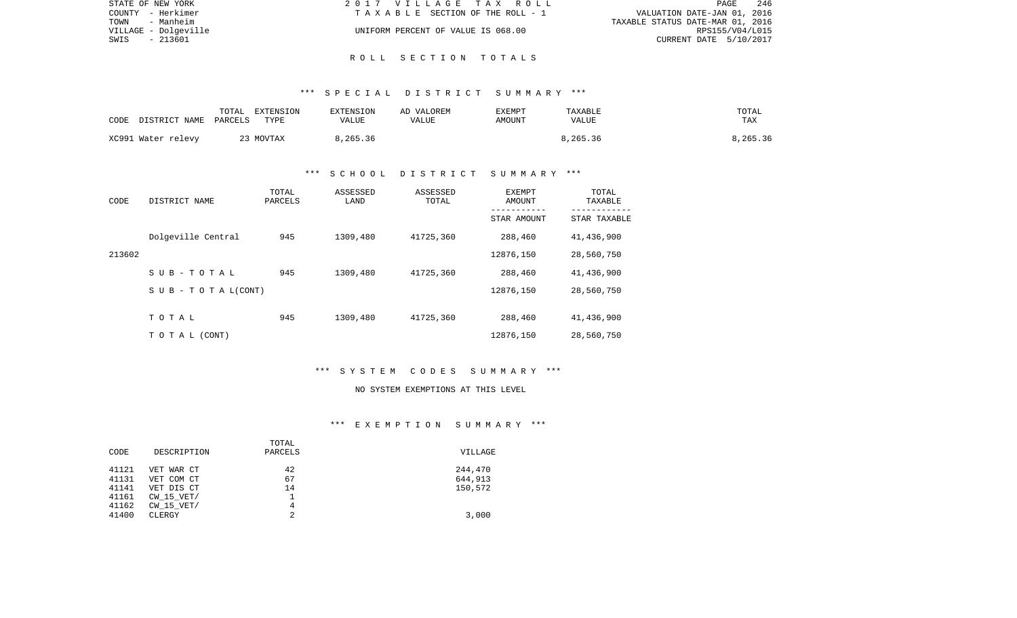| STATE OF NEW YORK    | 2017 VILLAGE TAX ROLL              | 246<br>PAGE                      |
|----------------------|------------------------------------|----------------------------------|
| COUNTY - Herkimer    | TAXABLE SECTION OF THE ROLL - 1    | VALUATION DATE-JAN 01, 2016      |
| TOWN<br>- Manheim    |                                    | TAXABLE STATUS DATE-MAR 01, 2016 |
| VILLAGE - Dolgeville | UNIFORM PERCENT OF VALUE IS 068.00 | RPS155/V04/L015                  |
| SWIS<br>- 213601     |                                    | CURRENT DATE 5/10/2017           |
|                      |                                    |                                  |

### \*\*\* S P E C I A L D I S T R I C T S U M M A R Y \*\*\*

R O L L S E C T I O N T O T A L S

| CODE | DISTRICT NAME PARCELS | TOTAL | EXTENSION<br>TYPE | <b>EXTENSION</b><br>VALUE | AD VALOREM<br>VALUE | <b>EXEMPT</b><br>AMOUNT | TAXABLE<br><b>VALUE</b> | TOTAL<br>TAX |
|------|-----------------------|-------|-------------------|---------------------------|---------------------|-------------------------|-------------------------|--------------|
|      | XC991 Water relevy    |       | 23 MOVTAX         | 8,265.36                  |                     |                         | 8,265.36                | 8,265.36     |

# \*\*\* S C H O O L D I S T R I C T S U M M A R Y \*\*\*

| CODE   | DISTRICT NAME                    | TOTAL<br>PARCELS | ASSESSED<br>LAND | ASSESSED<br>TOTAL | EXEMPT<br><b>AMOUNT</b> | TOTAL<br>TAXABLE |
|--------|----------------------------------|------------------|------------------|-------------------|-------------------------|------------------|
|        |                                  |                  |                  |                   | STAR AMOUNT             | STAR TAXABLE     |
|        | Dolgeville Central               | 945              | 1309,480         | 41725,360         | 288,460                 | 41,436,900       |
| 213602 |                                  |                  |                  |                   | 12876,150               | 28,560,750       |
|        | SUB-TOTAL                        | 945              | 1309,480         | 41725,360         | 288,460                 | 41,436,900       |
|        | $S \cup B - T \cup T A L (CONT)$ |                  |                  |                   | 12876,150               | 28,560,750       |
|        |                                  |                  |                  |                   |                         |                  |
|        | TOTAL                            | 945              | 1309,480         | 41725,360         | 288,460                 | 41,436,900       |
|        | T O T A L (CONT)                 |                  |                  |                   | 12876,150               | 28,560,750       |

### \*\*\* S Y S T E M C O D E S S U M M A R Y \*\*\*

#### NO SYSTEM EXEMPTIONS AT THIS LEVEL

### \*\*\* E X E M P T I O N S U M M A R Y \*\*\*

|       |                | TOTAL   |         |
|-------|----------------|---------|---------|
| CODE  | DESCRIPTION    | PARCELS | VILLAGE |
| 41121 | VET WAR CT     | 42      | 244,470 |
| 41131 | VET COM CT     | 67      | 644,913 |
| 41141 | VET DIS CT     | 14      | 150,572 |
| 41161 | $CW$ 15 $VET/$ |         |         |
| 41162 | $CW$ 15 $VET/$ | 4       |         |
| 41400 | CLERGY         | 2       | 3,000   |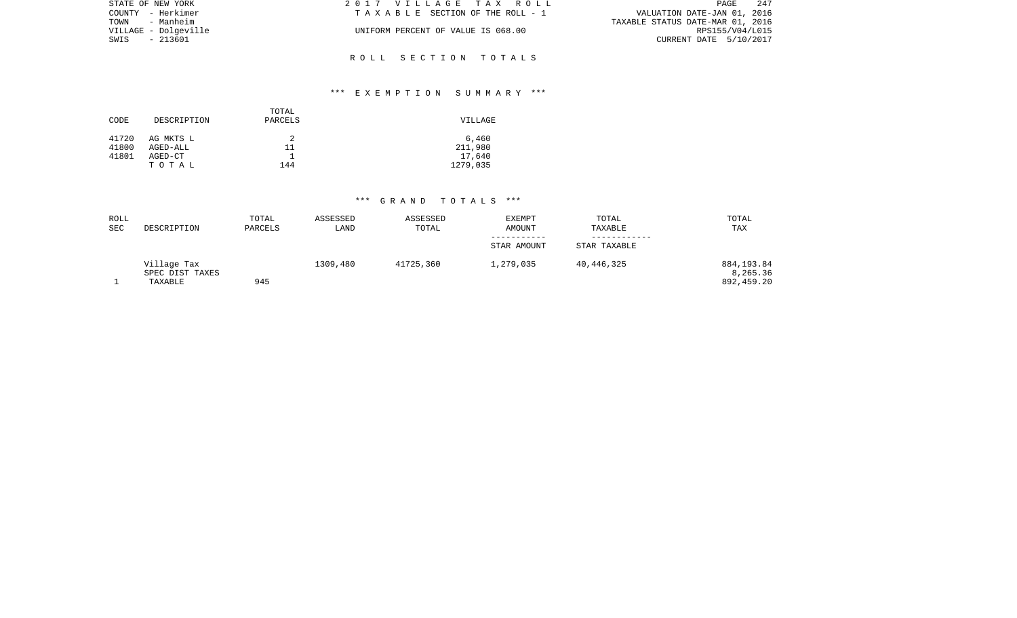| STATE OF NEW YORK    | 2017 VILLAGE TAX ROLL              | 247<br>PAGE                      |
|----------------------|------------------------------------|----------------------------------|
| COUNTY - Herkimer    | TAXABLE SECTION OF THE ROLL - 1    | VALUATION DATE-JAN 01, 2016      |
| TOWN - Manheim       |                                    | TAXABLE STATUS DATE-MAR 01, 2016 |
| VILLAGE - Dolgeville | UNIFORM PERCENT OF VALUE IS 068.00 | RPS155/V04/L015                  |
| SWIS<br>- 213601     |                                    | CURRENT DATE 5/10/2017           |
|                      |                                    |                                  |
|                      | ROLL SECTION TOTALS                |                                  |

# \*\*\* E X E M P T I O N S U M M A R Y \*\*\*

| CODE           | DESCRIPTION           | TOTAL<br>PARCELS | VILLAGE          |
|----------------|-----------------------|------------------|------------------|
| 41720<br>41800 | AG MKTS L<br>AGED-ALL | 2<br>11          | 6,460<br>211,980 |
| 41801          | AGED-CT               |                  | 17,640           |
|                | TOTAL                 | 144              | 1279,035         |

# \*\*\* G R A N D T O T A L S \*\*\*

| ROLL<br>SEC | DESCRIPTION     | TOTAL<br>PARCELS | ASSESSED<br>LAND | ASSESSED<br>TOTAL | <b>EXEMPT</b><br><b>AMOUNT</b> | TOTAL<br>TAXABLE | TOTAL<br>TAX |
|-------------|-----------------|------------------|------------------|-------------------|--------------------------------|------------------|--------------|
|             |                 |                  |                  |                   |                                |                  |              |
|             |                 |                  |                  |                   | STAR AMOUNT                    | STAR TAXABLE     |              |
|             | Village Tax     |                  | 1309,480         | 41725,360         | 1,279,035                      | 40,446,325       | 884,193.84   |
|             | SPEC DIST TAXES |                  |                  |                   |                                |                  | 8,265.36     |
|             | TAXABLE         | 945              |                  |                   |                                |                  | 892,459.20   |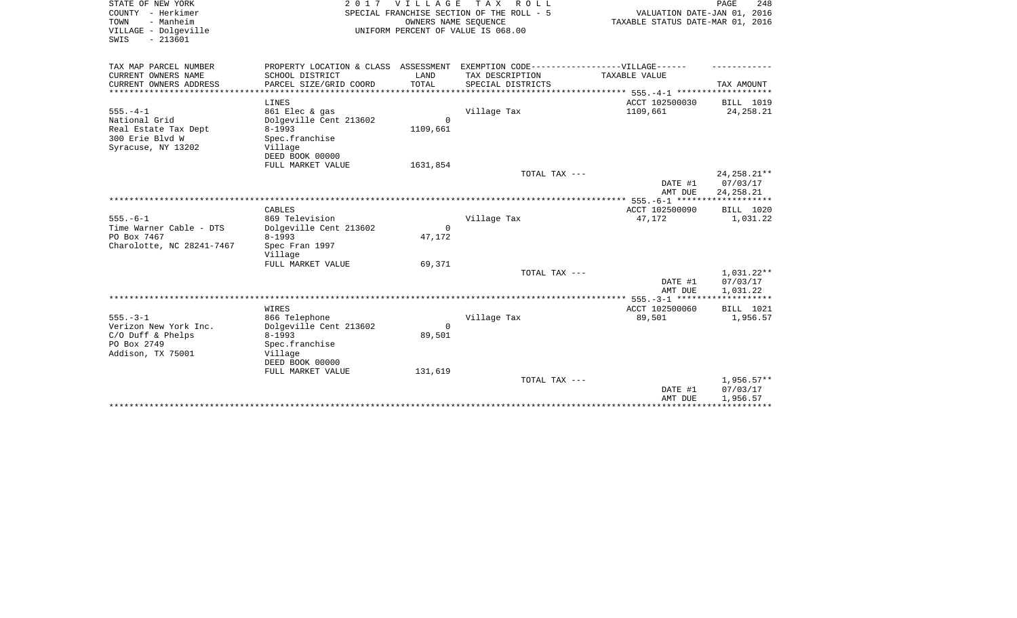| STATE OF NEW YORK                               |                                           | 2017 VILLAGE                     | TAX ROLL                                                                          |                | PAGE<br>248   |
|-------------------------------------------------|-------------------------------------------|----------------------------------|-----------------------------------------------------------------------------------|----------------|---------------|
| COUNTY - Herkimer                               | SPECIAL FRANCHISE SECTION OF THE ROLL - 5 | VALUATION DATE-JAN 01, 2016      |                                                                                   |                |               |
| - Manheim<br>TOWN                               |                                           | TAXABLE STATUS DATE-MAR 01, 2016 |                                                                                   |                |               |
| VILLAGE - Dolgeville                            |                                           |                                  | UNIFORM PERCENT OF VALUE IS 068.00                                                |                |               |
| SWIS<br>$-213601$                               |                                           |                                  |                                                                                   |                |               |
|                                                 |                                           |                                  |                                                                                   |                |               |
| TAX MAP PARCEL NUMBER                           |                                           |                                  | PROPERTY LOCATION & CLASS ASSESSMENT EXEMPTION CODE-----------------VILLAGE------ |                |               |
| CURRENT OWNERS NAME                             | SCHOOL DISTRICT                           | LAND                             | TAX DESCRIPTION                                                                   | TAXABLE VALUE  |               |
| CURRENT OWNERS ADDRESS<br>********************* | PARCEL SIZE/GRID COORD                    | TOTAL<br>****************        | SPECIAL DISTRICTS                                                                 |                | TAX AMOUNT    |
|                                                 |                                           |                                  |                                                                                   |                |               |
|                                                 | LINES                                     |                                  |                                                                                   | ACCT 102500030 | BILL 1019     |
| $555. - 4 - 1$                                  | 861 Elec & gas                            |                                  | Village Tax                                                                       | 1109,661       | 24, 258. 21   |
| National Grid                                   | Dolgeville Cent 213602                    | $\Omega$                         |                                                                                   |                |               |
| Real Estate Tax Dept                            | $8 - 1993$                                | 1109,661                         |                                                                                   |                |               |
| 300 Erie Blvd W                                 | Spec.franchise                            |                                  |                                                                                   |                |               |
| Syracuse, NY 13202                              | Village                                   |                                  |                                                                                   |                |               |
|                                                 | DEED BOOK 00000                           |                                  |                                                                                   |                |               |
|                                                 | FULL MARKET VALUE                         | 1631,854                         |                                                                                   |                |               |
|                                                 |                                           |                                  | TOTAL TAX ---                                                                     |                | 24, 258. 21** |
|                                                 |                                           |                                  |                                                                                   | DATE #1        | 07/03/17      |
|                                                 |                                           |                                  |                                                                                   | AMT DUE        | 24, 258. 21   |
|                                                 |                                           |                                  |                                                                                   |                |               |
|                                                 | CABLES                                    |                                  |                                                                                   | ACCT 102500090 | BILL 1020     |
| $555. - 6 - 1$                                  | 869 Television                            |                                  | Village Tax                                                                       | 47,172         | 1,031.22      |
| Time Warner Cable - DTS                         | Dolgeville Cent 213602                    | $\Omega$                         |                                                                                   |                |               |
| PO Box 7467                                     | $8 - 1993$                                | 47,172                           |                                                                                   |                |               |
| Charolotte, NC 28241-7467                       | Spec Fran 1997                            |                                  |                                                                                   |                |               |
|                                                 | Village                                   |                                  |                                                                                   |                |               |
|                                                 | FULL MARKET VALUE                         | 69,371                           |                                                                                   |                |               |
|                                                 |                                           |                                  | TOTAL TAX ---                                                                     |                | $1,031.22**$  |
|                                                 |                                           |                                  |                                                                                   | DATE #1        | 07/03/17      |
|                                                 |                                           |                                  |                                                                                   | AMT DUE        | 1,031.22      |
|                                                 |                                           |                                  |                                                                                   |                |               |
|                                                 | WIRES                                     |                                  |                                                                                   | ACCT 102500060 | BILL 1021     |
| $555. - 3 - 1$                                  | 866 Telephone                             |                                  | Village Tax                                                                       | 89,501         | 1,956.57      |
| Verizon New York Inc.                           | Dolgeville Cent 213602                    | $\mathbf 0$                      |                                                                                   |                |               |
| $C/O$ Duff & Phelps                             | $8 - 1993$                                | 89,501                           |                                                                                   |                |               |
| PO Box 2749                                     | Spec.franchise                            |                                  |                                                                                   |                |               |
| Addison, TX 75001                               | Village                                   |                                  |                                                                                   |                |               |
|                                                 | DEED BOOK 00000                           |                                  |                                                                                   |                |               |
|                                                 | FULL MARKET VALUE                         | 131,619                          |                                                                                   |                |               |
|                                                 |                                           |                                  | TOTAL TAX ---                                                                     |                | $1,956.57**$  |
|                                                 |                                           |                                  |                                                                                   | DATE #1        | 07/03/17      |
|                                                 |                                           |                                  |                                                                                   | AMT DUE        | 1,956.57      |
|                                                 |                                           |                                  |                                                                                   |                |               |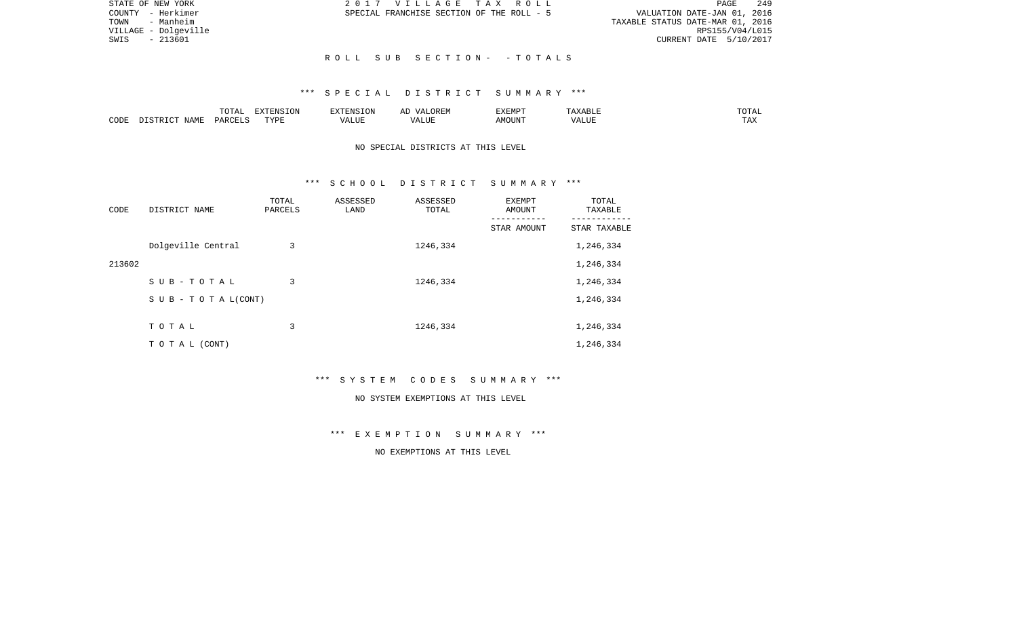| STATE OF NEW YORK    | 2017 VILLAGE TAX ROLL                     | 249<br>PAGE                      |
|----------------------|-------------------------------------------|----------------------------------|
| COUNTY - Herkimer    | SPECIAL FRANCHISE SECTION OF THE ROLL - 5 | VALUATION DATE-JAN 01, 2016      |
| - Manheim<br>TOWN    |                                           | TAXABLE STATUS DATE-MAR 01, 2016 |
| VILLAGE - Dolgeville |                                           | RPS155/V04/L015                  |
| - 213601<br>SWIS     |                                           | CURRENT DATE 5/10/2017           |
|                      |                                           |                                  |
|                      | ROLL SUB SECTION- - TOTALS                |                                  |

### \*\*\* S P E C I A L D I S T R I C T S U M M A R Y \*\*\*

|      |                            | .∪⊥⊓⊥         | $\blacksquare$<br>11 L<br>LUIN |               |            | EXEMPT       | ABL.                  | $m \wedge m$<br>. |
|------|----------------------------|---------------|--------------------------------|---------------|------------|--------------|-----------------------|-------------------|
| CODE | <b>ABST</b><br>. .<br>NAMP | <b>DARCFT</b> | TVDT                           | $\mathcal{L}$ | ,,,<br>שחד | OUN".<br>۱M۲ | $- - - - - -$<br>ALUI | $- - -$<br>. Ал   |

# NO SPECIAL DISTRICTS AT THIS LEVEL

### \*\*\* S C H O O L D I S T R I C T S U M M A R Y \*\*\*

| CODE   | DISTRICT NAME                    | TOTAL<br>PARCELS | ASSESSED<br>LAND | ASSESSED<br>TOTAL | <b>EXEMPT</b><br>AMOUNT | TOTAL<br>TAXABLE |
|--------|----------------------------------|------------------|------------------|-------------------|-------------------------|------------------|
|        |                                  |                  |                  |                   | STAR AMOUNT             | STAR TAXABLE     |
|        | Dolgeville Central               | 3                |                  | 1246,334          |                         | 1,246,334        |
| 213602 |                                  |                  |                  |                   |                         | 1,246,334        |
|        | SUB-TOTAL                        | 3                |                  | 1246,334          |                         | 1,246,334        |
|        | $S \cup B - T \cup T A L (CONT)$ |                  |                  |                   |                         | 1,246,334        |
|        |                                  |                  |                  |                   |                         |                  |
|        | TOTAL                            | 3                |                  | 1246,334          |                         | 1,246,334        |
|        | T O T A L (CONT)                 |                  |                  |                   |                         | 1,246,334        |

\*\*\* S Y S T E M C O D E S S U M M A R Y \*\*\*

#### NO SYSTEM EXEMPTIONS AT THIS LEVEL

\*\*\* E X E M P T I O N S U M M A R Y \*\*\*

# NO EXEMPTIONS AT THIS LEVEL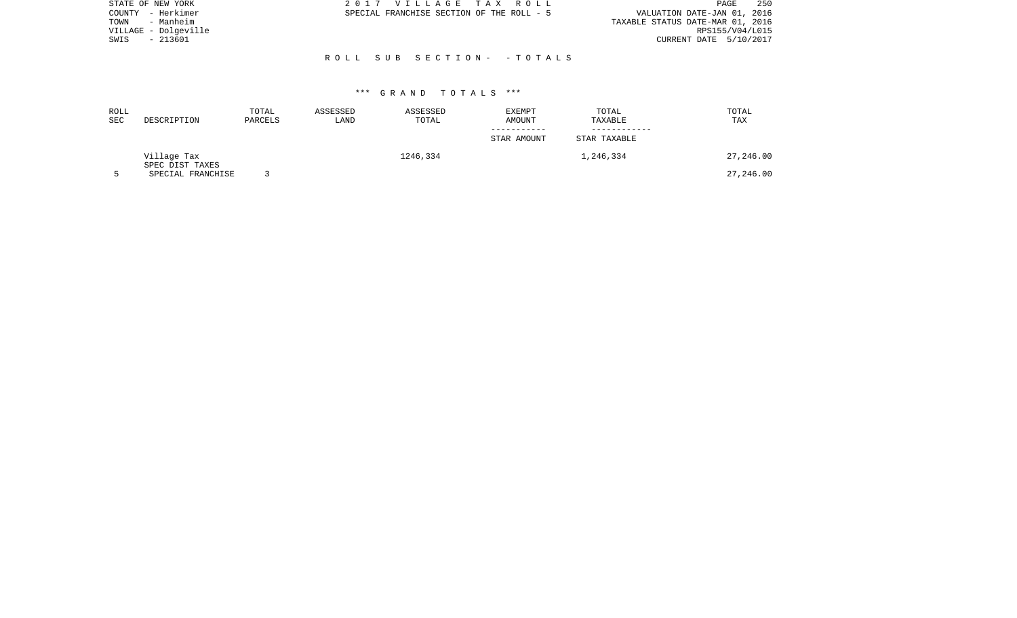| STATE OF NEW YORK    | 2017 VILLAGE TAX ROLL                     | - 250<br>PAGE                    |
|----------------------|-------------------------------------------|----------------------------------|
| - Herkimer<br>COUNTY | SPECIAL FRANCHISE SECTION OF THE ROLL - 5 | VALUATION DATE-JAN 01, 2016      |
| - Manheim<br>TOWN    |                                           | TAXABLE STATUS DATE-MAR 01, 2016 |
| VILLAGE - Dolgeville |                                           | RPS155/V04/L015                  |
| - 213601<br>SWIS     |                                           | CURRENT DATE 5/10/2017           |
|                      |                                           |                                  |
|                      | ROLL SUB SECTION- - TOTALS                |                                  |
|                      |                                           |                                  |

### \*\*\* G R A N D T O T A L S \*\*\*

| ROLL<br><b>SEC</b> | DESCRIPTION                    | TOTAL<br>PARCELS | ASSESSED<br>LAND | ASSESSED<br>TOTAL | <b>EXEMPT</b><br>AMOUNT | TOTAL<br>TAXABLE | TOTAL<br>TAX |
|--------------------|--------------------------------|------------------|------------------|-------------------|-------------------------|------------------|--------------|
|                    |                                |                  |                  |                   | STAR AMOUNT             | STAR TAXABLE     |              |
|                    | Village Tax<br>SPEC DIST TAXES |                  |                  | 1246,334          |                         | 1,246,334        | 27,246.00    |
|                    | SPECIAL FRANCHISE              |                  |                  |                   |                         |                  | 27,246.00    |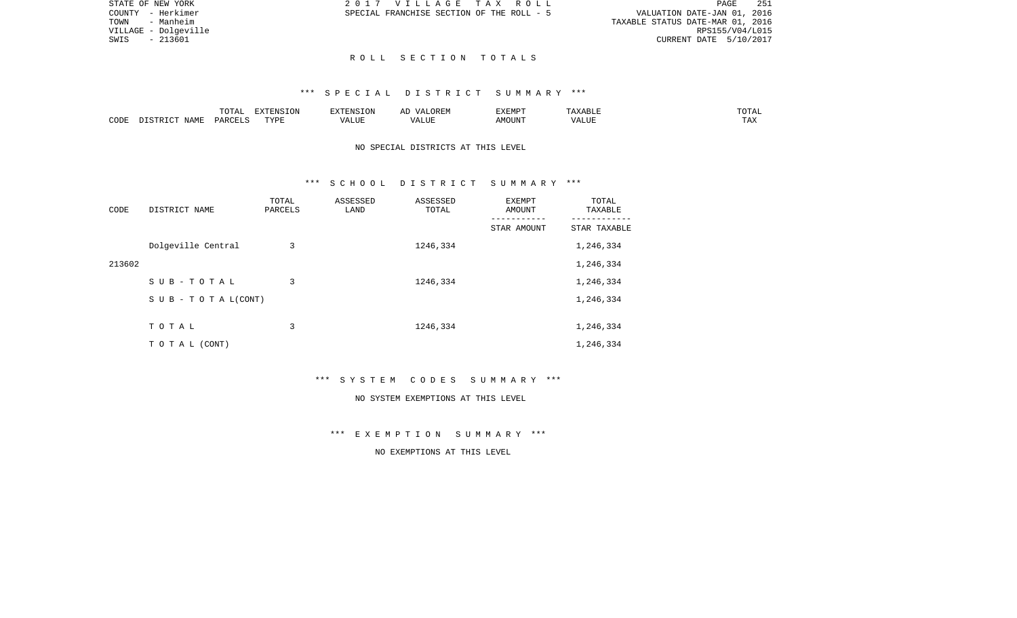| (ROLL       |  |                                  |                        | PAGE. | 251 |
|-------------|--|----------------------------------|------------------------|-------|-----|
| IE ROLL - 5 |  | VALUATION DATE-JAN 01, 2016      |                        |       |     |
|             |  | TAXABLE STATUS DATE-MAR 01, 2016 |                        |       |     |
|             |  |                                  | RPS155/V04/L015        |       |     |
|             |  |                                  | CURRENT DATE 5/10/2017 |       |     |

STATE OF NEW YORK 2017 VILLAGE TAX COUNTY - Herkimer SPECIAL FRANCHISE SECTION OF TH TOWN - Manheim VILLAGE - Dolgeville  $SWIS$  - 213601

### R O L L S E C T I O N T O T A L S

### \*\*\* S P E C I A L D I S T R I C T S U M M A R Y \*\*\*

|      |            | $m \wedge m \wedge$<br>LUIAL | EXTENSION |                                 | , 22 H.W | <b>EXEMPT</b> | ′ ∆BL∟n | $T \cap T \cap T$<br>TUTAL |
|------|------------|------------------------------|-----------|---------------------------------|----------|---------------|---------|----------------------------|
| CODE | AT<br>NAME | ים ב⊂                        | TVDI<br>. | $T$ $T$ $T$ $T$ $T$<br>$\cdots$ | LUI      | AMOUN'.       | 'ALU.   | <b>TIRES</b><br>⊥ A∠       |

# NO SPECIAL DISTRICTS AT THIS LEVEL

#### \*\*\* S C H O O L D I S T R I C T S U M M A R Y \*\*\*

| CODE   | DISTRICT NAME                    | TOTAL<br>PARCELS | ASSESSED<br>LAND | ASSESSED<br>TOTAL | EXEMPT<br>AMOUNT | TOTAL<br>TAXABLE |  |
|--------|----------------------------------|------------------|------------------|-------------------|------------------|------------------|--|
|        |                                  |                  |                  |                   | STAR AMOUNT      | STAR TAXABLE     |  |
|        | Dolgeville Central               | 3                |                  | 1246,334          |                  | 1,246,334        |  |
| 213602 |                                  |                  |                  |                   |                  | 1,246,334        |  |
|        | SUB-TOTAL                        | 3                |                  | 1246,334          |                  | 1,246,334        |  |
|        | $S \cup B - T \cup T A L (CONT)$ |                  |                  |                   |                  | 1,246,334        |  |
|        |                                  |                  |                  |                   |                  |                  |  |
|        | TOTAL                            | 3                |                  | 1246,334          |                  | 1,246,334        |  |
|        | TO TAL (CONT)                    |                  |                  |                   |                  | 1,246,334        |  |

\*\*\* S Y S T E M C O D E S S U M M A R Y \*\*\*

#### NO SYSTEM EXEMPTIONS AT THIS LEVEL

\*\*\* E X E M P T I O N S U M M A R Y \*\*\*

NO EXEMPTIONS AT THIS LEVEL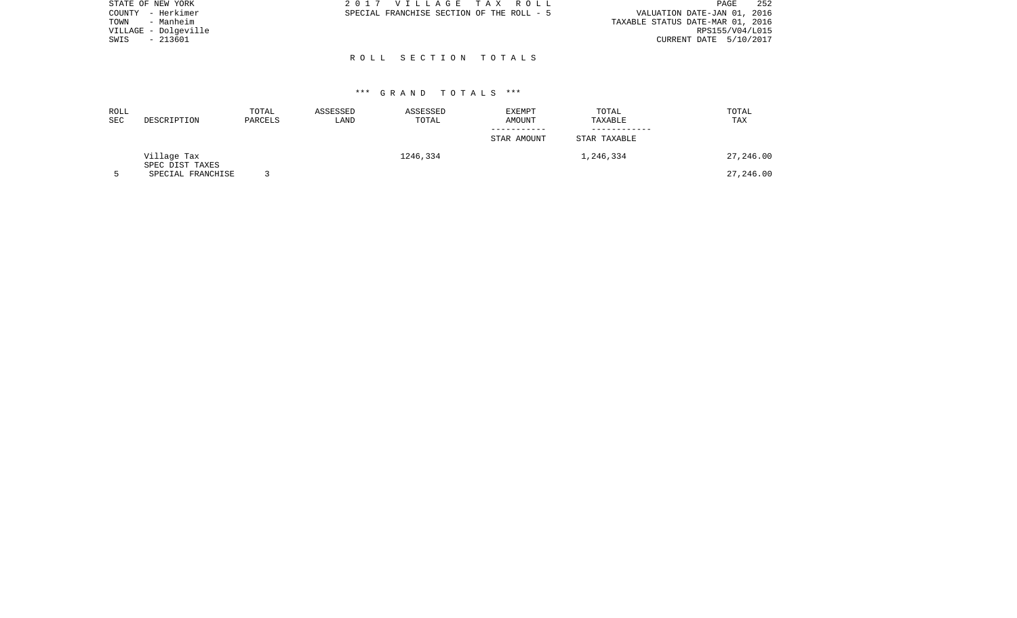| STATE OF NEW YORK    | 2017 VILLAGE TAX ROLL                     | 252<br>PAGE                      |
|----------------------|-------------------------------------------|----------------------------------|
| COUNTY - Herkimer    | SPECIAL FRANCHISE SECTION OF THE ROLL - 5 | VALUATION DATE-JAN 01, 2016      |
| TOWN<br>- Manheim    |                                           | TAXABLE STATUS DATE-MAR 01, 2016 |
| VILLAGE - Dolgeville |                                           | RPS155/V04/L015                  |
| - 213601<br>SWIS     |                                           | CURRENT DATE 5/10/2017           |
|                      |                                           |                                  |
|                      | ROLL SECTION TOTALS                       |                                  |

| ROLL<br>SEC | DESCRIPTION                    | TOTAL<br>PARCELS | ASSESSED<br>LAND | ASSESSED<br>TOTAL | <b>EXEMPT</b><br>AMOUNT | TOTAL<br>TAXABLE | TOTAL<br><b>TAX</b> |
|-------------|--------------------------------|------------------|------------------|-------------------|-------------------------|------------------|---------------------|
|             |                                |                  |                  |                   | STAR AMOUNT             | STAR TAXABLE     |                     |
|             | Village Tax<br>SPEC DIST TAXES |                  |                  | 1246,334          |                         | 1,246,334        | 27,246.00           |
|             | SPECIAL FRANCHISE              |                  |                  |                   |                         |                  | 27,246.00           |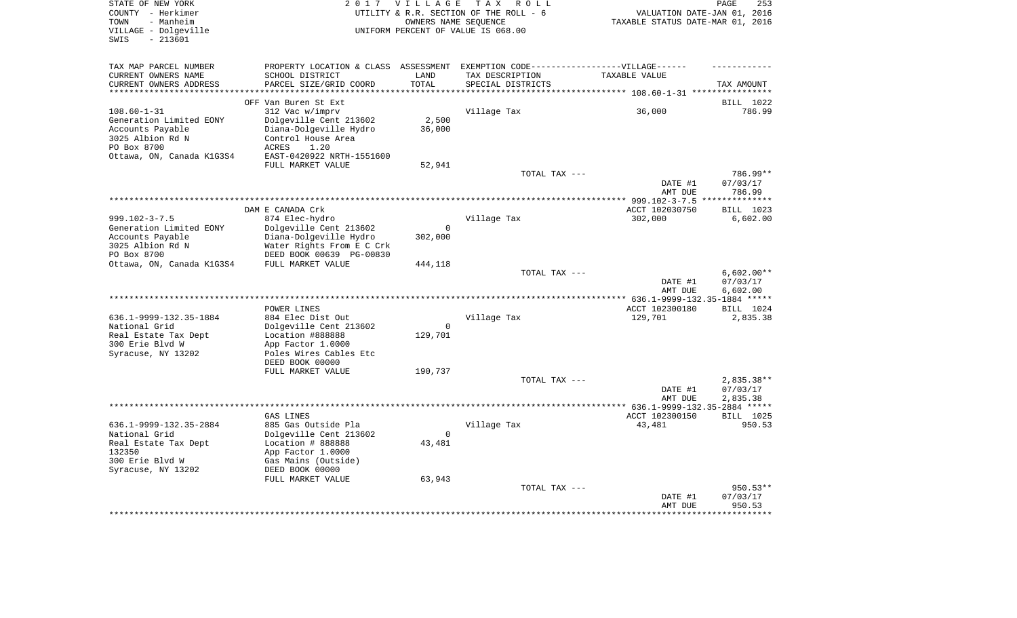| STATE OF NEW YORK                    |                                                                                   | 2017 VILLAGE         | T A X<br>R O L L                       |                                  | PAGE<br>253             |
|--------------------------------------|-----------------------------------------------------------------------------------|----------------------|----------------------------------------|----------------------------------|-------------------------|
| COUNTY - Herkimer                    |                                                                                   |                      | UTILITY & R.R. SECTION OF THE ROLL - 6 | VALUATION DATE-JAN 01, 2016      |                         |
| TOWN<br>- Manheim                    |                                                                                   | OWNERS NAME SEQUENCE |                                        | TAXABLE STATUS DATE-MAR 01, 2016 |                         |
| VILLAGE - Dolgeville                 |                                                                                   |                      | UNIFORM PERCENT OF VALUE IS 068.00     |                                  |                         |
| SWIS<br>$-213601$                    |                                                                                   |                      |                                        |                                  |                         |
|                                      |                                                                                   |                      |                                        |                                  |                         |
| TAX MAP PARCEL NUMBER                | PROPERTY LOCATION & CLASS ASSESSMENT EXEMPTION CODE-----------------VILLAGE------ |                      |                                        |                                  |                         |
| CURRENT OWNERS NAME                  | SCHOOL DISTRICT                                                                   | LAND                 | TAX DESCRIPTION                        | TAXABLE VALUE                    |                         |
| CURRENT OWNERS ADDRESS               | PARCEL SIZE/GRID COORD                                                            | TOTAL                | SPECIAL DISTRICTS                      |                                  | TAX AMOUNT              |
| *********************                | *************************                                                         | **********           |                                        |                                  |                         |
|                                      | OFF Van Buren St Ext                                                              |                      |                                        |                                  | BILL 1022               |
| $108.60 - 1 - 31$                    | 312 Vac w/imprv                                                                   |                      | Village Tax                            | 36,000                           | 786.99                  |
| Generation Limited EONY              | Dolgeville Cent 213602                                                            | 2,500                |                                        |                                  |                         |
| Accounts Payable<br>3025 Albion Rd N | Diana-Dolgeville Hydro<br>Control House Area                                      | 36,000               |                                        |                                  |                         |
| PO Box 8700                          | 1.20<br>ACRES                                                                     |                      |                                        |                                  |                         |
| Ottawa, ON, Canada K1G3S4            | EAST-0420922 NRTH-1551600                                                         |                      |                                        |                                  |                         |
|                                      | FULL MARKET VALUE                                                                 | 52,941               |                                        |                                  |                         |
|                                      |                                                                                   |                      | TOTAL TAX ---                          |                                  | 786.99**                |
|                                      |                                                                                   |                      |                                        | DATE #1                          | 07/03/17                |
|                                      |                                                                                   |                      |                                        | AMT DUE                          | 786.99                  |
|                                      |                                                                                   |                      |                                        | ****************** 999.102-3-7.5 | * * * * * * * * * * * * |
|                                      | DAM E CANADA Crk                                                                  |                      |                                        | ACCT 102030750                   | BILL 1023               |
| $999.102 - 3 - 7.5$                  | 874 Elec-hydro                                                                    |                      | Village Tax                            | 302,000                          | 6,602.00                |
| Generation Limited EONY              | Dolgeville Cent 213602                                                            | $\mathbf 0$          |                                        |                                  |                         |
| Accounts Payable                     | Diana-Dolgeville Hydro                                                            | 302,000              |                                        |                                  |                         |
| 3025 Albion Rd N                     | Water Rights From E C Crk                                                         |                      |                                        |                                  |                         |
| PO Box 8700                          | DEED BOOK 00639 PG-00830                                                          |                      |                                        |                                  |                         |
| Ottawa, ON, Canada K1G3S4            | FULL MARKET VALUE                                                                 | 444,118              |                                        |                                  |                         |
|                                      |                                                                                   |                      | TOTAL TAX ---                          |                                  | $6,602.00**$            |
|                                      |                                                                                   |                      |                                        | DATE #1                          | 07/03/17                |
|                                      |                                                                                   |                      |                                        | AMT DUE                          | 6,602.00                |
|                                      | POWER LINES                                                                       |                      |                                        | ACCT 102300180                   | BILL 1024               |
| 636.1-9999-132.35-1884               | 884 Elec Dist Out                                                                 |                      | Village Tax                            | 129,701                          | 2,835.38                |
| National Grid                        | Dolgeville Cent 213602                                                            | $\mathbf 0$          |                                        |                                  |                         |
| Real Estate Tax Dept                 | Location #888888                                                                  | 129,701              |                                        |                                  |                         |
| 300 Erie Blvd W                      | App Factor 1.0000                                                                 |                      |                                        |                                  |                         |
| Syracuse, NY 13202                   | Poles Wires Cables Etc                                                            |                      |                                        |                                  |                         |
|                                      | DEED BOOK 00000                                                                   |                      |                                        |                                  |                         |
|                                      | FULL MARKET VALUE                                                                 | 190,737              |                                        |                                  |                         |
|                                      |                                                                                   |                      | TOTAL TAX ---                          |                                  | $2,835.38**$            |
|                                      |                                                                                   |                      |                                        | DATE #1                          | 07/03/17                |
|                                      |                                                                                   |                      |                                        | AMT DUE                          | 2,835.38                |
|                                      |                                                                                   |                      |                                        |                                  |                         |
|                                      | GAS LINES                                                                         |                      |                                        | ACCT 102300150                   | BILL 1025               |
| 636.1-9999-132.35-2884               | 885 Gas Outside Pla                                                               |                      | Village Tax                            | 43,481                           | 950.53                  |
| National Grid                        | Dolgeville Cent 213602                                                            | 0                    |                                        |                                  |                         |
| Real Estate Tax Dept<br>132350       | Location # 888888                                                                 | 43,481               |                                        |                                  |                         |
| 300 Erie Blvd W                      | App Factor 1.0000<br>Gas Mains (Outside)                                          |                      |                                        |                                  |                         |
| Syracuse, NY 13202                   | DEED BOOK 00000                                                                   |                      |                                        |                                  |                         |
|                                      | FULL MARKET VALUE                                                                 | 63,943               |                                        |                                  |                         |
|                                      |                                                                                   |                      | TOTAL TAX ---                          |                                  | $950.53**$              |
|                                      |                                                                                   |                      |                                        | DATE #1                          | 07/03/17                |
|                                      |                                                                                   |                      |                                        | AMT DUE                          | 950.53                  |
|                                      |                                                                                   |                      |                                        |                                  | * * * * * * * * *       |
|                                      |                                                                                   |                      |                                        |                                  |                         |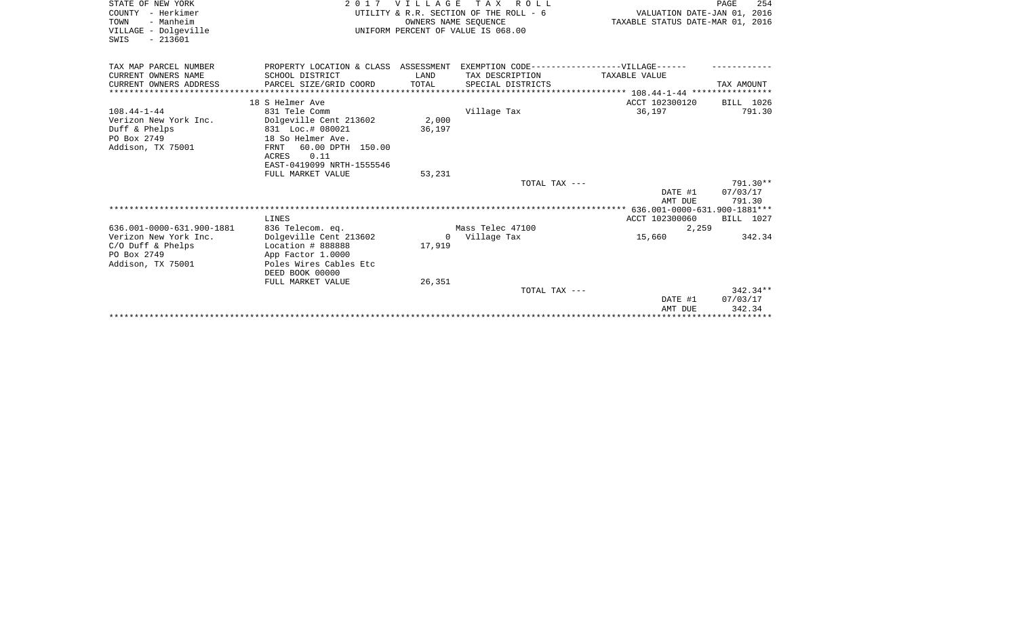| STATE OF NEW YORK                         |                                                                                   |        | 2017 VILLAGE TAX ROLL                                      |                                  | 254<br>PAGE |
|-------------------------------------------|-----------------------------------------------------------------------------------|--------|------------------------------------------------------------|----------------------------------|-------------|
| COUNTY - Herkimer                         |                                                                                   |        | UTILITY & R.R. SECTION OF THE ROLL - 6                     | VALUATION DATE-JAN 01, 2016      |             |
| TOWN<br>- Manheim<br>VILLAGE - Dolgeville |                                                                                   |        | OWNERS NAME SEOUENCE<br>UNIFORM PERCENT OF VALUE IS 068.00 | TAXABLE STATUS DATE-MAR 01, 2016 |             |
| $-213601$<br>SWIS                         |                                                                                   |        |                                                            |                                  |             |
|                                           |                                                                                   |        |                                                            |                                  |             |
| TAX MAP PARCEL NUMBER                     | PROPERTY LOCATION & CLASS ASSESSMENT EXEMPTION CODE-----------------VILLAGE------ |        |                                                            |                                  |             |
| CURRENT OWNERS NAME                       | SCHOOL DISTRICT                                                                   | LAND   | TAX DESCRIPTION                                            | TAXABLE VALUE                    |             |
| CURRENT OWNERS ADDRESS                    | PARCEL SIZE/GRID COORD                                                            | TOTAL  | SPECIAL DISTRICTS                                          |                                  | TAX AMOUNT  |
| **************************                |                                                                                   |        |                                                            |                                  |             |
|                                           | 18 S Helmer Ave                                                                   |        |                                                            | ACCT 102300120                   | BILL 1026   |
| $108.44 - 1 - 44$                         | 831 Tele Comm                                                                     |        | Village Tax                                                | 36,197                           | 791.30      |
| Verizon New York Inc.                     | Dolgeville Cent 213602                                                            | 2,000  |                                                            |                                  |             |
| Duff & Phelps                             | 831 Loc.# 080021                                                                  | 36,197 |                                                            |                                  |             |
| PO Box 2749                               | 18 So Helmer Ave.                                                                 |        |                                                            |                                  |             |
| Addison, TX 75001                         | 60.00 DPTH 150.00<br>FRNT                                                         |        |                                                            |                                  |             |
|                                           | 0.11<br>ACRES                                                                     |        |                                                            |                                  |             |
|                                           | EAST-0419099 NRTH-1555546                                                         |        |                                                            |                                  |             |
|                                           | FULL MARKET VALUE                                                                 | 53,231 |                                                            |                                  |             |
|                                           |                                                                                   |        | TOTAL TAX ---                                              |                                  | 791.30**    |
|                                           |                                                                                   |        |                                                            | DATE #1                          | 07/03/17    |
|                                           |                                                                                   |        |                                                            | AMT DUE                          | 791.30      |
|                                           |                                                                                   |        |                                                            |                                  |             |
|                                           | LINES                                                                             |        |                                                            | ACCT 102300060                   | BILL 1027   |
| 636.001-0000-631.900-1881                 | 836 Telecom. eq.                                                                  |        | Mass Telec 47100                                           | 2,259                            |             |
| Verizon New York Inc.                     | Dolgeville Cent 213602                                                            |        | 0 Village Tax                                              | 15,660                           | 342.34      |
| $C/O$ Duff & Phelps                       | Location # 888888                                                                 | 17,919 |                                                            |                                  |             |
| PO Box 2749                               | App Factor 1.0000                                                                 |        |                                                            |                                  |             |
| Addison, TX 75001                         | Poles Wires Cables Etc                                                            |        |                                                            |                                  |             |
|                                           | DEED BOOK 00000                                                                   |        |                                                            |                                  |             |
|                                           | FULL MARKET VALUE                                                                 | 26,351 | TOTAL TAX ---                                              |                                  | $342.34**$  |
|                                           |                                                                                   |        |                                                            | DATE #1                          | 07/03/17    |
|                                           |                                                                                   |        |                                                            | AMT DUE                          | 342.34      |
|                                           |                                                                                   |        |                                                            |                                  |             |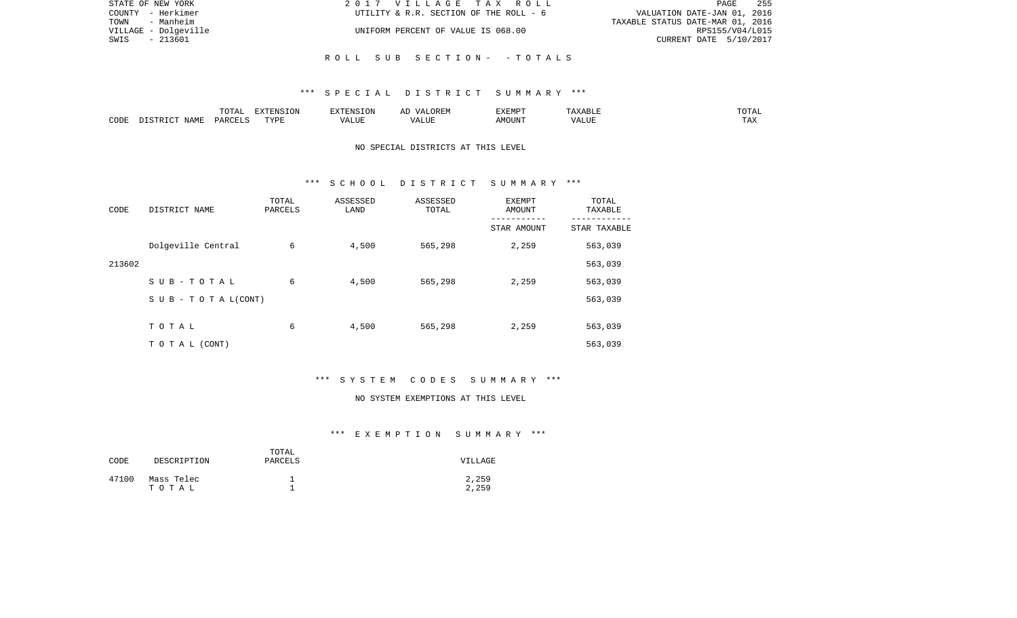| STATE OF NEW YORK    | 2017 VILLAGE TAX ROLL                  | 255<br>PAGE                      |
|----------------------|----------------------------------------|----------------------------------|
| COUNTY - Herkimer    | UTILITY & R.R. SECTION OF THE ROLL - 6 | VALUATION DATE-JAN 01, 2016      |
| TOWN - Manheim       |                                        | TAXABLE STATUS DATE-MAR 01, 2016 |
| VILLAGE - Dolgeville | UNIFORM PERCENT OF VALUE IS 068.00     | RPS155/V04/L015                  |
| - 213601<br>SWIS     |                                        | CURRENT DATE 5/10/2017           |
|                      |                                        |                                  |
|                      | ROLL SUB SECTION- - TOTALS             |                                  |

|      |             |               | $\blacksquare$<br>11 L<br>. ON |     | EXEMPT        | ABL.           | $m \wedge m$<br>$  -$ |
|------|-------------|---------------|--------------------------------|-----|---------------|----------------|-----------------------|
| CODE | NAME<br>. . | <b>DARCET</b> | TVDI                           | ,,, | 'תוזר.<br>∆M∩ | . <del>.</del> | $- - -$<br>.AZ        |

# NO SPECIAL DISTRICTS AT THIS LEVEL

#### \*\*\* S C H O O L D I S T R I C T S U M M A R Y \*\*\*

| CODE   | DISTRICT NAME                    | TOTAL<br>PARCELS | ASSESSED<br>LAND | ASSESSED<br>TOTAL | <b>EXEMPT</b><br>AMOUNT | TOTAL<br>TAXABLE |
|--------|----------------------------------|------------------|------------------|-------------------|-------------------------|------------------|
|        |                                  |                  |                  |                   | STAR AMOUNT             | STAR TAXABLE     |
|        | Dolgeville Central               | 6                | 4,500            | 565,298           | 2,259                   | 563,039          |
| 213602 |                                  |                  |                  |                   |                         | 563,039          |
|        | SUB-TOTAL                        | 6                | 4,500            | 565,298           | 2,259                   | 563,039          |
|        | $S \cup B - T \cup T A L (CONT)$ |                  |                  |                   |                         | 563,039          |
|        |                                  |                  |                  |                   |                         |                  |
|        | TOTAL                            | 6                | 4,500            | 565,298           | 2,259                   | 563,039          |
|        | T O T A L (CONT)                 |                  |                  |                   |                         | 563,039          |

# \*\*\* S Y S T E M C O D E S S U M M A R Y \*\*\*

#### NO SYSTEM EXEMPTIONS AT THIS LEVEL

# \*\*\* E X E M P T I O N S U M M A R Y \*\*\*

| CODE  | DESCRIPTION         | TOTAL<br>PARCELS | VILLAGE        |
|-------|---------------------|------------------|----------------|
| 47100 | Mass Telec<br>тотаь |                  | 2,259<br>2,259 |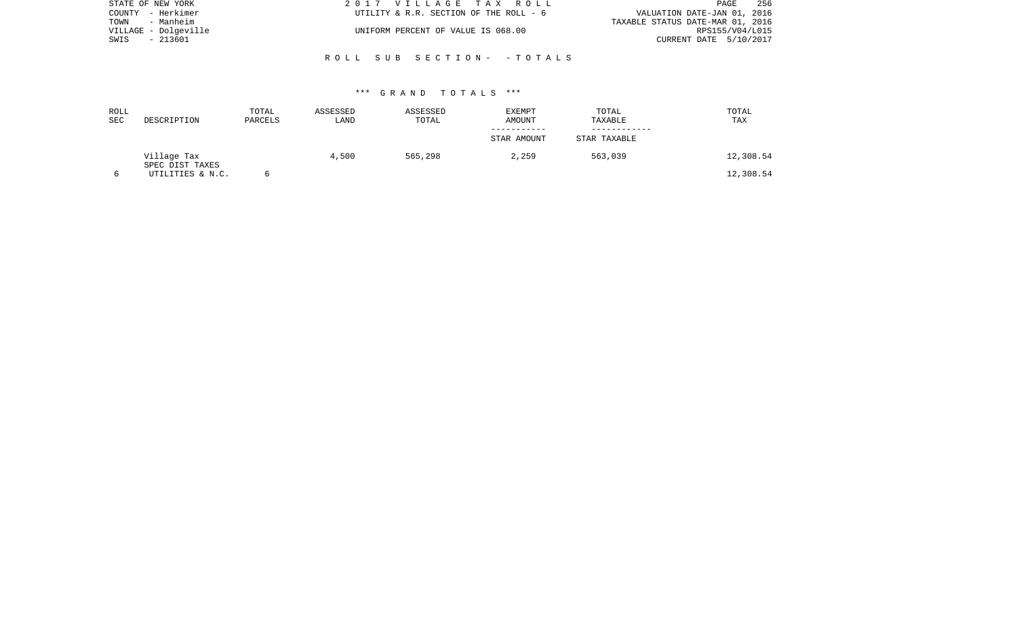| STATE OF NEW YORK    | 2017 VILLAGE TAX ROLL                  | 256<br>PAGE                      |
|----------------------|----------------------------------------|----------------------------------|
| COUNTY - Herkimer    | UTILITY & R.R. SECTION OF THE ROLL - 6 | VALUATION DATE-JAN 01, 2016      |
| TOWN<br>- Manheim    |                                        | TAXABLE STATUS DATE-MAR 01, 2016 |
| VILLAGE - Dolgeville | UNIFORM PERCENT OF VALUE IS 068.00     | RPS155/V04/L015                  |
| - 213601<br>SWIS     |                                        | CURRENT DATE 5/10/2017           |
|                      |                                        |                                  |
|                      | ROLL SUB SECTION- -TOTALS              |                                  |

| ROLL<br><b>SEC</b> | DESCRIPTION                    | TOTAL<br>PARCELS | ASSESSED<br>LAND | ASSESSED<br>TOTAL | <b>EXEMPT</b><br><b>AMOUNT</b> | TOTAL<br>TAXABLE | TOTAL<br>TAX |
|--------------------|--------------------------------|------------------|------------------|-------------------|--------------------------------|------------------|--------------|
|                    |                                |                  |                  |                   | STAR AMOUNT                    | STAR TAXABLE     |              |
|                    | Village Tax<br>SPEC DIST TAXES |                  | 4,500            | 565,298           | 2,259                          | 563,039          | 12,308.54    |
|                    | UTILITIES & N.C.               |                  |                  |                   |                                |                  | 12,308.54    |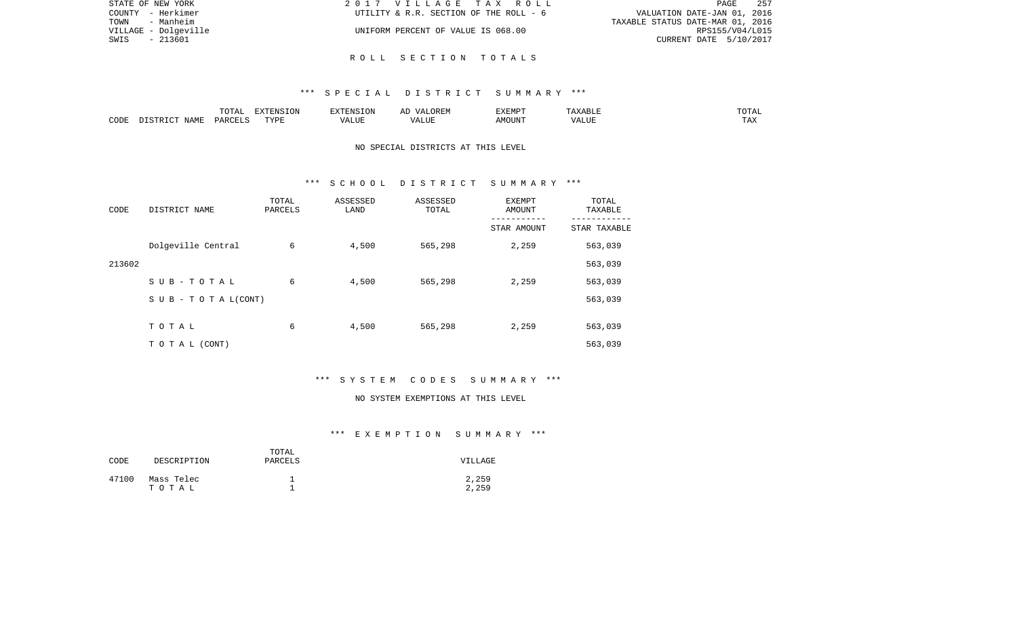| STATE OF NEW YORK    | 2017 VILLAGE TAX ROLL                  | 257<br>PAGE                      |
|----------------------|----------------------------------------|----------------------------------|
| COUNTY - Herkimer    | UTILITY & R.R. SECTION OF THE ROLL - 6 | VALUATION DATE-JAN 01, 2016      |
| TOWN<br>- Manheim    |                                        | TAXABLE STATUS DATE-MAR 01, 2016 |
| VILLAGE - Dolgeville | UNIFORM PERCENT OF VALUE IS 068.00     | RPS155/V04/L015                  |
| - 213601<br>SWIS     |                                        | CURRENT DATE 5/10/2017           |
|                      |                                        |                                  |

R O L L S E C T I O N T O T A L S

|      |             | $T$ $\cap$ $T$ $\cap$ $\cap$ $\cap$<br>$\cdots$<br>. U 1 1 1 1 | <b>ELVELENTO TONT</b> |      | : רר<br>$\sqrt{4}$<br>JREM | <b>F.X F.M D T</b><br>. | <u>.</u> | $n \cap m \geq n$<br>--- |
|------|-------------|----------------------------------------------------------------|-----------------------|------|----------------------------|-------------------------|----------|--------------------------|
| CODE | <b>JAME</b> | DARCELS                                                        | TVDL<br>.             | ALUE | $\sqrt{ }$<br>LUP          | AMOUN".                 | 'ALUE    | $m \times n$<br>⊥⊷∠      |

# NO SPECIAL DISTRICTS AT THIS LEVEL

#### \*\*\* S C H O O L D I S T R I C T S U M M A R Y \*\*\*

| CODE   | DISTRICT NAME                    | TOTAL<br>PARCELS | ASSESSED<br>LAND | ASSESSED<br>TOTAL | <b>EXEMPT</b><br>AMOUNT | TOTAL<br>TAXABLE |
|--------|----------------------------------|------------------|------------------|-------------------|-------------------------|------------------|
|        |                                  |                  |                  |                   | STAR AMOUNT             | STAR TAXABLE     |
|        | Dolgeville Central               | 6                | 4,500            | 565,298           | 2,259                   | 563,039          |
| 213602 |                                  |                  |                  |                   |                         | 563,039          |
|        | SUB-TOTAL                        | 6                | 4,500            | 565,298           | 2,259                   | 563,039          |
|        | $S \cup B - T \cup T A L (CONT)$ |                  |                  |                   |                         | 563,039          |
|        |                                  |                  |                  |                   |                         |                  |
|        | TOTAL                            | 6                | 4,500            | 565,298           | 2,259                   | 563,039          |
|        | T O T A L (CONT)                 |                  |                  |                   |                         | 563,039          |

# \*\*\* S Y S T E M C O D E S S U M M A R Y \*\*\*

#### NO SYSTEM EXEMPTIONS AT THIS LEVEL

# \*\*\* E X E M P T I O N S U M M A R Y \*\*\*

| CODE  | DESCRIPTION         | TOTAL<br>PARCELS | VILLAGE        |
|-------|---------------------|------------------|----------------|
| 47100 | Mass Telec<br>тотаь |                  | 2,259<br>2,259 |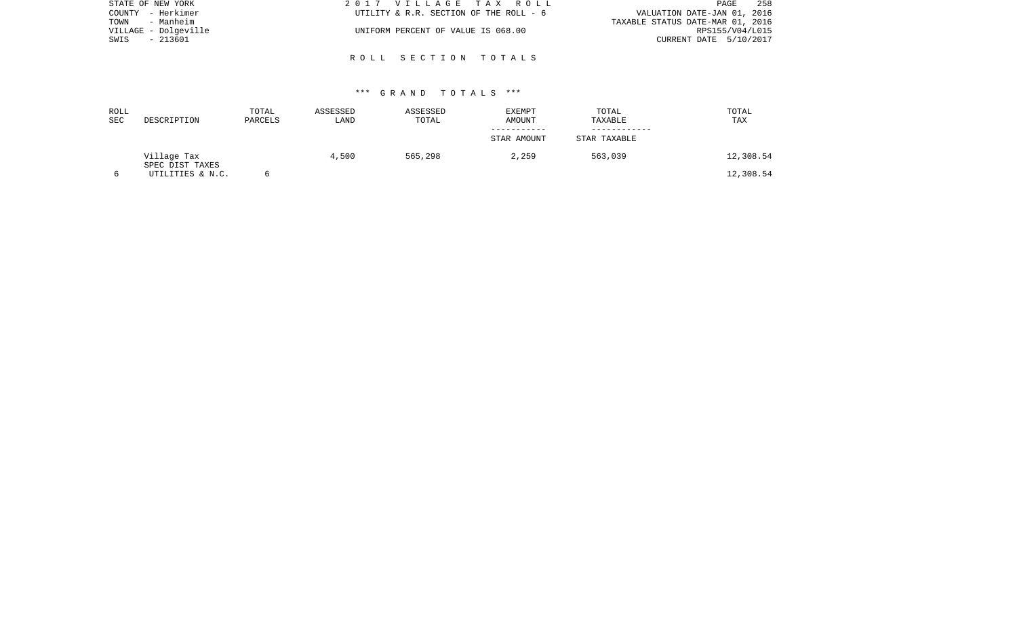| STATE OF NEW YORK    | 2017 VILLAGE TAX ROLL                  | 258<br>PAGE                      |
|----------------------|----------------------------------------|----------------------------------|
| COUNTY - Herkimer    | UTILITY & R.R. SECTION OF THE ROLL - 6 | VALUATION DATE-JAN 01, 2016      |
| TOWN<br>- Manheim    |                                        | TAXABLE STATUS DATE-MAR 01, 2016 |
| VILLAGE - Dolgeville | UNIFORM PERCENT OF VALUE IS 068.00     | RPS155/V04/L015                  |
| - 213601<br>SWIS     |                                        | CURRENT DATE 5/10/2017           |
|                      |                                        |                                  |
|                      | ROLL SECTION TOTALS                    |                                  |

| ROLL<br>SEC | DESCRIPTION                    | TOTAL<br>PARCELS | ASSESSED<br>LAND | ASSESSED<br>TOTAL | <b>EXEMPT</b><br><b>AMOUNT</b> | TOTAL<br>TAXABLE | TOTAL<br>TAX |
|-------------|--------------------------------|------------------|------------------|-------------------|--------------------------------|------------------|--------------|
|             |                                |                  |                  |                   | STAR AMOUNT                    | STAR TAXABLE     |              |
|             | Village Tax<br>SPEC DIST TAXES |                  | 4,500            | 565,298           | 2,259                          | 563,039          | 12,308.54    |
|             | UTILITIES & N.C.               |                  |                  |                   |                                |                  | 12,308.54    |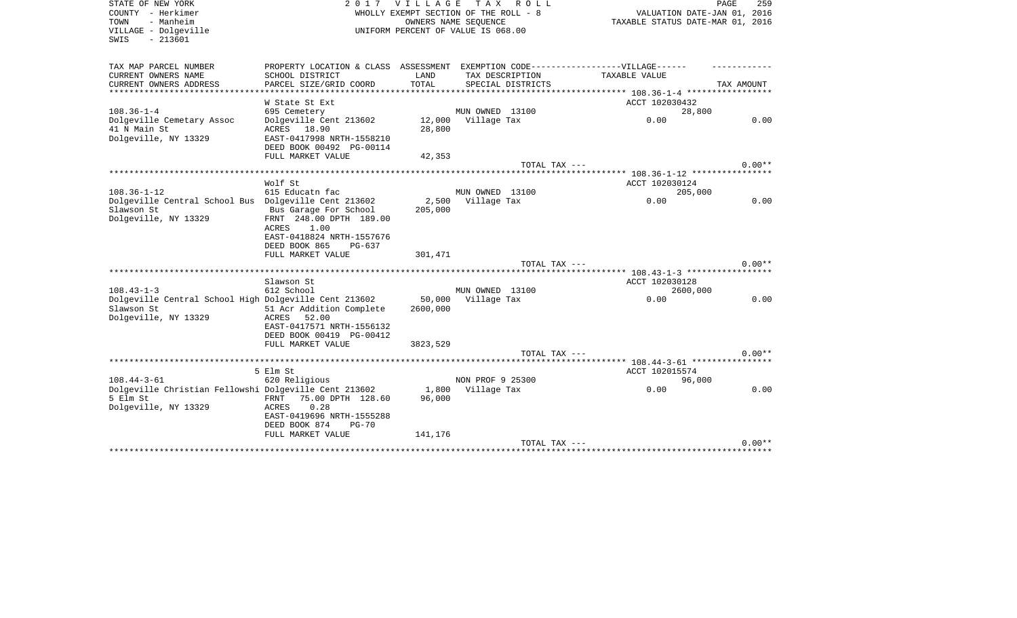| STATE OF NEW YORK<br>COUNTY - Herkimer<br>- Manheim<br>TOWN<br>VILLAGE - Dolgeville | 2017                                                                             | <b>VILLAGE</b> | T A X<br>R O L L<br>WHOLLY EXEMPT SECTION OF THE ROLL - 8<br>OWNERS NAME SEQUENCE<br>UNIFORM PERCENT OF VALUE IS 068.00 | VALUATION DATE-JAN 01, 2016<br>TAXABLE STATUS DATE-MAR 01, 2016 | PAGE<br>259 |
|-------------------------------------------------------------------------------------|----------------------------------------------------------------------------------|----------------|-------------------------------------------------------------------------------------------------------------------------|-----------------------------------------------------------------|-------------|
| $-213601$<br>SWIS                                                                   |                                                                                  |                |                                                                                                                         |                                                                 |             |
| TAX MAP PARCEL NUMBER                                                               | PROPERTY LOCATION & CLASS ASSESSMENT EXEMPTION CODE----------------VILLAGE------ |                |                                                                                                                         |                                                                 |             |
| CURRENT OWNERS NAME                                                                 | SCHOOL DISTRICT                                                                  | LAND           | TAX DESCRIPTION                                                                                                         | TAXABLE VALUE                                                   |             |
| CURRENT OWNERS ADDRESS                                                              | PARCEL SIZE/GRID COORD<br>**********************                                 | TOTAL          | SPECIAL DISTRICTS                                                                                                       |                                                                 | TAX AMOUNT  |
|                                                                                     | W State St Ext                                                                   |                |                                                                                                                         | ACCT 102030432                                                  |             |
| $108.36 - 1 - 4$                                                                    | 695 Cemetery                                                                     |                | MUN OWNED 13100                                                                                                         | 28,800                                                          |             |
| Dolgeville Cemetary Assoc                                                           | Dolgeville Cent 213602                                                           | 12,000         | Village Tax                                                                                                             | 0.00                                                            | 0.00        |
| 41 N Main St                                                                        | ACRES 18.90                                                                      | 28,800         |                                                                                                                         |                                                                 |             |
| Dolgeville, NY 13329                                                                | EAST-0417998 NRTH-1558210                                                        |                |                                                                                                                         |                                                                 |             |
|                                                                                     | DEED BOOK 00492 PG-00114                                                         |                |                                                                                                                         |                                                                 |             |
|                                                                                     | FULL MARKET VALUE                                                                | 42,353         |                                                                                                                         |                                                                 |             |
|                                                                                     |                                                                                  |                | TOTAL TAX ---                                                                                                           |                                                                 | $0.00**$    |
|                                                                                     | Wolf St                                                                          |                |                                                                                                                         | ACCT 102030124                                                  |             |
| $108.36 - 1 - 12$                                                                   | 615 Educatn fac                                                                  |                | MUN OWNED 13100                                                                                                         | 205,000                                                         |             |
| Dolgeville Central School Bus Dolgeville Cent 213602                                |                                                                                  | 2,500          | Village Tax                                                                                                             | 0.00                                                            | 0.00        |
| Slawson St                                                                          | Bus Garage For School                                                            | 205,000        |                                                                                                                         |                                                                 |             |
| Dolgeville, NY 13329                                                                | FRNT 248.00 DPTH 189.00                                                          |                |                                                                                                                         |                                                                 |             |
|                                                                                     | 1.00<br>ACRES                                                                    |                |                                                                                                                         |                                                                 |             |
|                                                                                     | EAST-0418824 NRTH-1557676                                                        |                |                                                                                                                         |                                                                 |             |
|                                                                                     | DEED BOOK 865<br>PG-637<br>FULL MARKET VALUE                                     | 301,471        |                                                                                                                         |                                                                 |             |
|                                                                                     |                                                                                  |                | TOTAL TAX ---                                                                                                           |                                                                 | $0.00**$    |
|                                                                                     |                                                                                  |                |                                                                                                                         |                                                                 |             |
|                                                                                     | Slawson St                                                                       |                |                                                                                                                         | ACCT 102030128                                                  |             |
| $108.43 - 1 - 3$                                                                    | 612 School                                                                       |                | MUN OWNED 13100                                                                                                         | 2600,000                                                        |             |
| Dolgeville Central School High Dolgeville Cent 213602                               |                                                                                  | 50,000         | Village Tax                                                                                                             | 0.00                                                            | 0.00        |
| Slawson St                                                                          | 51 Acr Addition Complete                                                         | 2600,000       |                                                                                                                         |                                                                 |             |
| Dolgeville, NY 13329                                                                | 52.00<br>ACRES                                                                   |                |                                                                                                                         |                                                                 |             |
|                                                                                     | EAST-0417571 NRTH-1556132<br>DEED BOOK 00419 PG-00412                            |                |                                                                                                                         |                                                                 |             |
|                                                                                     | FULL MARKET VALUE                                                                | 3823,529       |                                                                                                                         |                                                                 |             |
|                                                                                     |                                                                                  |                | TOTAL TAX ---                                                                                                           |                                                                 | $0.00**$    |
|                                                                                     |                                                                                  |                |                                                                                                                         |                                                                 |             |
|                                                                                     | 5 Elm St                                                                         |                |                                                                                                                         | ACCT 102015574                                                  |             |
| $108.44 - 3 - 61$                                                                   | 620 Religious                                                                    |                | NON PROF 9 25300                                                                                                        | 96,000                                                          |             |
| Dolgeville Christian Fellowshi Dolgeville Cent 213602                               |                                                                                  | 1,800          | Village Tax                                                                                                             | 0.00                                                            | 0.00        |
| 5 Elm St<br>Dolgeville, NY 13329                                                    | 75.00 DPTH 128.60<br>FRNT<br>0.28<br>ACRES                                       | 96,000         |                                                                                                                         |                                                                 |             |
|                                                                                     | EAST-0419696 NRTH-1555288                                                        |                |                                                                                                                         |                                                                 |             |
|                                                                                     | DEED BOOK 874<br>$PG-70$                                                         |                |                                                                                                                         |                                                                 |             |
|                                                                                     | FULL MARKET VALUE                                                                | 141,176        |                                                                                                                         |                                                                 |             |
|                                                                                     |                                                                                  |                | TOTAL TAX ---                                                                                                           |                                                                 | $0.00**$    |
|                                                                                     |                                                                                  |                |                                                                                                                         |                                                                 |             |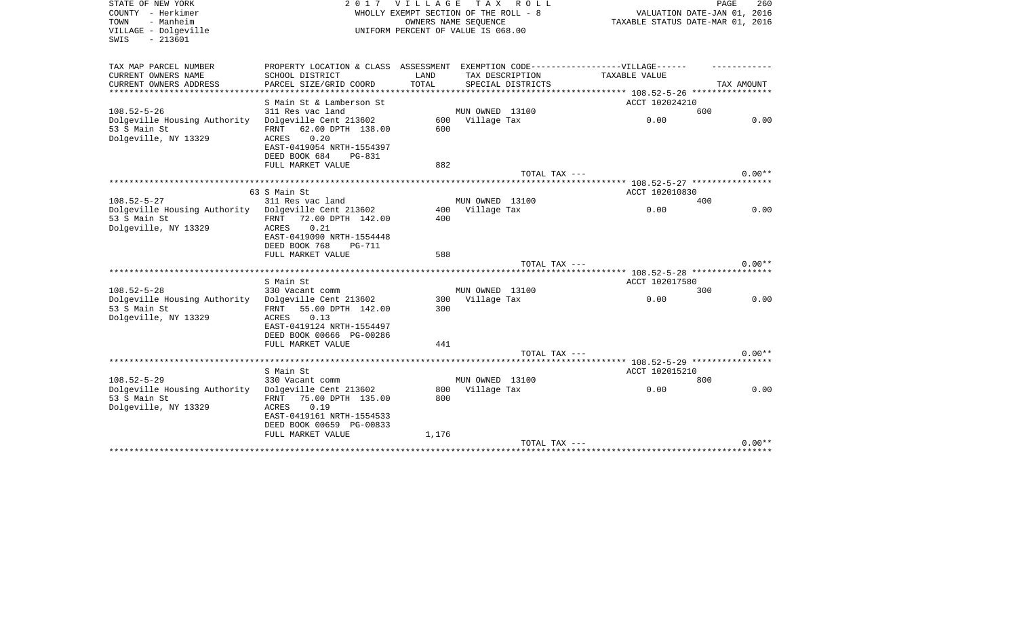| STATE OF NEW YORK                         | 2 0 1 7                                                                           | V I L L A G E | T A X<br>R O L L                      |                                                            | PAGE<br>260 |
|-------------------------------------------|-----------------------------------------------------------------------------------|---------------|---------------------------------------|------------------------------------------------------------|-------------|
| COUNTY - Herkimer                         |                                                                                   |               | WHOLLY EXEMPT SECTION OF THE ROLL - 8 | VALUATION DATE-JAN 01, 2016                                |             |
| - Manheim<br>TOWN                         |                                                                                   |               | OWNERS NAME SEQUENCE                  | TAXABLE STATUS DATE-MAR 01, 2016                           |             |
| VILLAGE - Dolgeville<br>$-213601$<br>SWIS |                                                                                   |               | UNIFORM PERCENT OF VALUE IS 068.00    |                                                            |             |
|                                           |                                                                                   |               |                                       |                                                            |             |
|                                           |                                                                                   |               |                                       |                                                            |             |
| TAX MAP PARCEL NUMBER                     | PROPERTY LOCATION & CLASS ASSESSMENT EXEMPTION CODE-----------------VILLAGE------ |               |                                       |                                                            |             |
| CURRENT OWNERS NAME                       | SCHOOL DISTRICT                                                                   | LAND          | TAX DESCRIPTION                       | TAXABLE VALUE                                              |             |
| CURRENT OWNERS ADDRESS                    | PARCEL SIZE/GRID COORD                                                            | TOTAL         | SPECIAL DISTRICTS                     |                                                            | TAX AMOUNT  |
| *********************                     |                                                                                   |               |                                       |                                                            |             |
|                                           | S Main St & Lamberson St                                                          |               |                                       | ACCT 102024210                                             |             |
| $108.52 - 5 - 26$                         | 311 Res vac land                                                                  |               | MUN OWNED 13100                       | 600                                                        |             |
| Dolgeville Housing Authority              | Dolgeville Cent 213602                                                            |               | 600 Village Tax                       | 0.00                                                       | 0.00        |
| 53 S Main St                              | 62.00 DPTH 138.00<br>FRNT                                                         | 600           |                                       |                                                            |             |
| Dolgeville, NY 13329                      | 0.20<br>ACRES                                                                     |               |                                       |                                                            |             |
|                                           | EAST-0419054 NRTH-1554397                                                         |               |                                       |                                                            |             |
|                                           | DEED BOOK 684<br>PG-831                                                           |               |                                       |                                                            |             |
|                                           | FULL MARKET VALUE                                                                 | 882           |                                       |                                                            |             |
|                                           |                                                                                   |               | TOTAL TAX ---                         |                                                            | $0.00**$    |
|                                           |                                                                                   |               |                                       | ***************************** 108.52-5-27 **************** |             |
| $108.52 - 5 - 27$                         | 63 S Main St<br>311 Res vac land                                                  |               | MUN OWNED 13100                       | ACCT 102010830                                             |             |
| Dolgeville Housing Authority              | Dolgeville Cent 213602                                                            | 400           | Village Tax                           | 400<br>0.00                                                | 0.00        |
| 53 S Main St                              | 72.00 DPTH 142.00<br>FRNT                                                         | 400           |                                       |                                                            |             |
| Dolgeville, NY 13329                      | 0.21<br>ACRES                                                                     |               |                                       |                                                            |             |
|                                           | EAST-0419090 NRTH-1554448                                                         |               |                                       |                                                            |             |
|                                           | DEED BOOK 768<br><b>PG-711</b>                                                    |               |                                       |                                                            |             |
|                                           | FULL MARKET VALUE                                                                 | 588           |                                       |                                                            |             |
|                                           |                                                                                   |               | TOTAL TAX ---                         |                                                            | $0.00**$    |
|                                           |                                                                                   |               |                                       | ****** 108.52-5-28 *****************                       |             |
|                                           | S Main St                                                                         |               |                                       | ACCT 102017580                                             |             |
| $108.52 - 5 - 28$                         | 330 Vacant comm                                                                   |               | MUN OWNED 13100                       | 300                                                        |             |
| Dolgeville Housing Authority              | Dolgeville Cent 213602                                                            | 300           | Village Tax                           | 0.00                                                       | 0.00        |
| 53 S Main St                              | 55.00 DPTH 142.00<br>FRNT                                                         | 300           |                                       |                                                            |             |
| Dolgeville, NY 13329                      | 0.13<br>ACRES                                                                     |               |                                       |                                                            |             |
|                                           | EAST-0419124 NRTH-1554497                                                         |               |                                       |                                                            |             |
|                                           | DEED BOOK 00666 PG-00286                                                          |               |                                       |                                                            |             |
|                                           | FULL MARKET VALUE                                                                 | 441           |                                       |                                                            |             |
|                                           |                                                                                   |               | TOTAL TAX ---                         |                                                            | $0.00**$    |
|                                           |                                                                                   |               |                                       |                                                            |             |
|                                           | S Main St                                                                         |               |                                       | ACCT 102015210                                             |             |
| $108.52 - 5 - 29$                         | 330 Vacant comm                                                                   |               | MUN OWNED 13100                       | 800                                                        |             |
| Dolgeville Housing Authority              | Dolgeville Cent 213602                                                            | 800           | Village Tax                           | 0.00                                                       | 0.00        |
| 53 S Main St                              | 75.00 DPTH 135.00<br>FRNT                                                         | 800           |                                       |                                                            |             |
| Dolgeville, NY 13329                      | 0.19<br>ACRES                                                                     |               |                                       |                                                            |             |
|                                           | EAST-0419161 NRTH-1554533                                                         |               |                                       |                                                            |             |
|                                           | DEED BOOK 00659 PG-00833                                                          |               |                                       |                                                            |             |
|                                           | FULL MARKET VALUE                                                                 | 1,176         |                                       |                                                            |             |
|                                           |                                                                                   |               | TOTAL TAX ---                         |                                                            | $0.00**$    |
| ********************                      |                                                                                   |               |                                       |                                                            |             |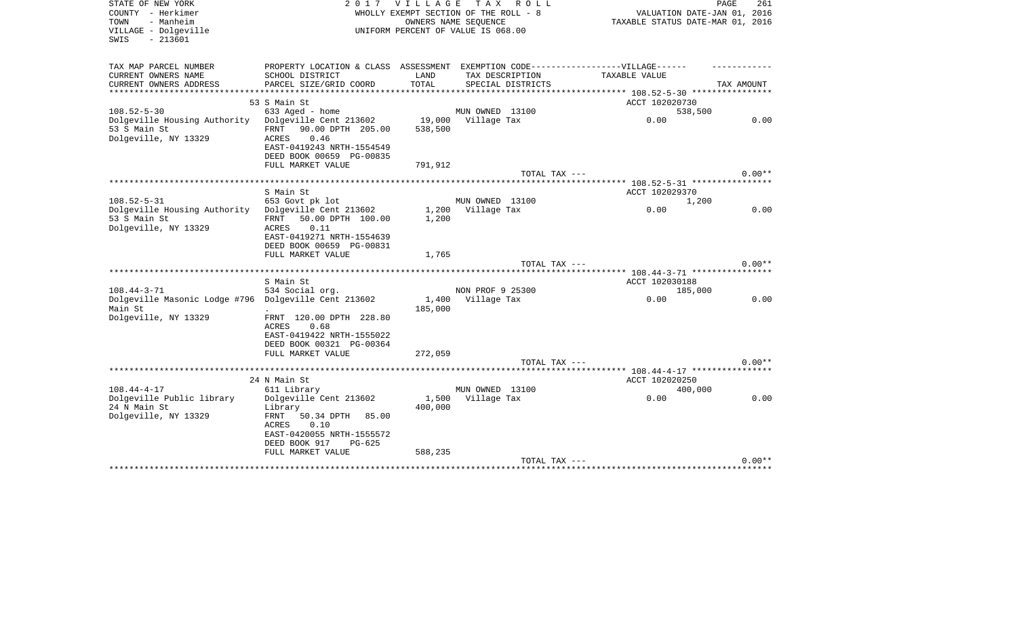| STATE OF NEW YORK<br>COUNTY - Herkimer<br>- Manheim<br>TOWN               | 2017                                       | <b>VILLAGE</b>     | TAX ROLL<br>WHOLLY EXEMPT SECTION OF THE ROLL - 8<br>OWNERS NAME SEQUENCE | VALUATION DATE-JAN 01, 2016<br>TAXABLE STATUS DATE-MAR 01, 2016  | 261<br>PAGE |
|---------------------------------------------------------------------------|--------------------------------------------|--------------------|---------------------------------------------------------------------------|------------------------------------------------------------------|-------------|
| VILLAGE - Dolgeville<br>$-213601$<br>SWIS                                 |                                            |                    | UNIFORM PERCENT OF VALUE IS 068.00                                        |                                                                  |             |
| TAX MAP PARCEL NUMBER                                                     | PROPERTY LOCATION & CLASS ASSESSMENT       |                    |                                                                           | EXEMPTION CODE------------------VILLAGE------                    |             |
| CURRENT OWNERS NAME                                                       | SCHOOL DISTRICT                            | LAND               | TAX DESCRIPTION                                                           | TAXABLE VALUE                                                    |             |
| CURRENT OWNERS ADDRESS                                                    | PARCEL SIZE/GRID COORD                     | TOTAL              | SPECIAL DISTRICTS                                                         |                                                                  | TAX AMOUNT  |
|                                                                           | 53 S Main St                               | ****************** |                                                                           | **************** 108.52-5-30 *****************<br>ACCT 102020730 |             |
| $108.52 - 5 - 30$                                                         | 633 Aged - home                            |                    | MUN OWNED 13100                                                           | 538,500                                                          |             |
| Dolgeville Housing Authority                                              | Dolgeville Cent 213602                     |                    | 19,000 Village Tax                                                        | 0.00                                                             | 0.00        |
| 53 S Main St                                                              | 90.00 DPTH 205.00<br>FRNT                  | 538,500            |                                                                           |                                                                  |             |
| Dolgeville, NY 13329                                                      | 0.46<br>ACRES                              |                    |                                                                           |                                                                  |             |
|                                                                           | EAST-0419243 NRTH-1554549                  |                    |                                                                           |                                                                  |             |
|                                                                           | DEED BOOK 00659 PG-00835                   |                    |                                                                           |                                                                  |             |
|                                                                           | FULL MARKET VALUE                          | 791,912            |                                                                           |                                                                  | $0.00**$    |
|                                                                           | *************************                  |                    | TOTAL TAX ---                                                             | ******* 108.52-5-31 ****************                             |             |
|                                                                           | S Main St                                  |                    |                                                                           | ACCT 102029370                                                   |             |
| $108.52 - 5 - 31$                                                         | 653 Govt pk lot                            |                    | MUN OWNED 13100                                                           | 1,200                                                            |             |
| Dolgeville Housing Authority                                              | Dolgeville Cent 213602                     |                    | 1,200 Village Tax                                                         | 0.00                                                             | 0.00        |
| 53 S Main St                                                              | FRNT 50.00 DPTH 100.00                     | 1,200              |                                                                           |                                                                  |             |
| Dolgeville, NY 13329                                                      | 0.11<br>ACRES<br>EAST-0419271 NRTH-1554639 |                    |                                                                           |                                                                  |             |
|                                                                           | DEED BOOK 00659 PG-00831                   |                    |                                                                           |                                                                  |             |
|                                                                           | FULL MARKET VALUE                          | 1,765              |                                                                           |                                                                  |             |
|                                                                           |                                            |                    | TOTAL TAX ---                                                             |                                                                  | $0.00**$    |
|                                                                           |                                            |                    |                                                                           |                                                                  |             |
|                                                                           | S Main St                                  |                    |                                                                           | ACCT 102030188                                                   |             |
| $108.44 - 3 - 71$<br>Dolgeville Masonic Lodge #796 Dolgeville Cent 213602 | 534 Social org.                            | 1,400              | NON PROF 9 25300<br>Village Tax                                           | 185,000<br>0.00                                                  | 0.00        |
| Main St                                                                   |                                            | 185,000            |                                                                           |                                                                  |             |
| Dolgeville, NY 13329                                                      | FRNT 120.00 DPTH 228.80                    |                    |                                                                           |                                                                  |             |
|                                                                           | 0.68<br>ACRES                              |                    |                                                                           |                                                                  |             |
|                                                                           | EAST-0419422 NRTH-1555022                  |                    |                                                                           |                                                                  |             |
|                                                                           | DEED BOOK 00321 PG-00364                   |                    |                                                                           |                                                                  |             |
|                                                                           | FULL MARKET VALUE                          | 272,059            | TOTAL TAX ---                                                             |                                                                  | $0.00**$    |
|                                                                           |                                            |                    |                                                                           |                                                                  |             |
|                                                                           | 24 N Main St                               |                    |                                                                           | ACCT 102020250                                                   |             |
| $108.44 - 4 - 17$                                                         | 611 Library                                |                    | MUN OWNED 13100                                                           | 400,000                                                          |             |
| Dolgeville Public library                                                 | Dolgeville Cent 213602                     |                    | 1,500 Village Tax                                                         | 0.00                                                             | 0.00        |
| 24 N Main St                                                              | Library                                    | 400,000            |                                                                           |                                                                  |             |
| Dolgeville, NY 13329                                                      | FRNT<br>50.34 DPTH 85.00<br>ACRES<br>0.10  |                    |                                                                           |                                                                  |             |
|                                                                           | EAST-0420055 NRTH-1555572                  |                    |                                                                           |                                                                  |             |
|                                                                           | DEED BOOK 917<br>PG-625                    |                    |                                                                           |                                                                  |             |
|                                                                           | FULL MARKET VALUE                          | 588,235            |                                                                           |                                                                  |             |
|                                                                           |                                            |                    | TOTAL TAX ---                                                             |                                                                  | $0.00**$    |
|                                                                           |                                            |                    |                                                                           |                                                                  |             |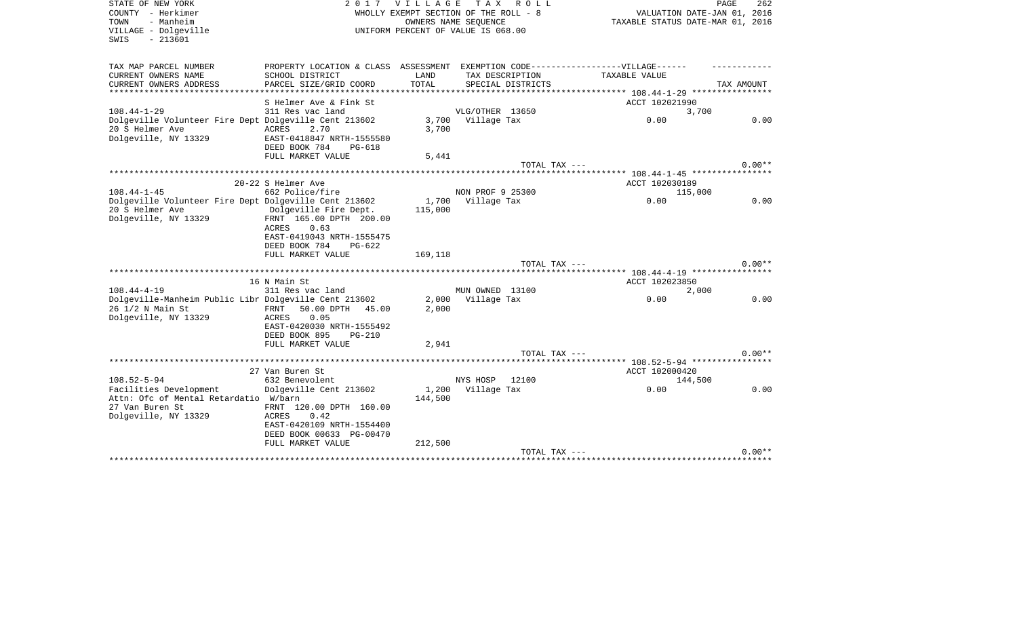| STATE OF NEW YORK<br>COUNTY - Herkimer<br>- Manheim<br>TOWN<br>VILLAGE - Dolgeville<br>$-213601$<br>SWIS |                                                                                   | 2017 VILLAGE          | TAX ROLL<br>WHOLLY EXEMPT SECTION OF THE ROLL - 8<br>OWNERS NAME SEQUENCE<br>UNIFORM PERCENT OF VALUE IS 068.00 |                                             | PAGE<br>262<br>VALUATION DATE-JAN 01, 2016<br>TAXABLE STATUS DATE-MAR 01, 2016 |
|----------------------------------------------------------------------------------------------------------|-----------------------------------------------------------------------------------|-----------------------|-----------------------------------------------------------------------------------------------------------------|---------------------------------------------|--------------------------------------------------------------------------------|
| TAX MAP PARCEL NUMBER                                                                                    | PROPERTY LOCATION & CLASS ASSESSMENT EXEMPTION CODE-----------------VILLAGE------ |                       |                                                                                                                 |                                             |                                                                                |
| CURRENT OWNERS NAME                                                                                      | SCHOOL DISTRICT                                                                   | LAND                  | TAX DESCRIPTION                                                                                                 | TAXABLE VALUE                               |                                                                                |
| CURRENT OWNERS ADDRESS<br>* * * * * * * * * * * * * * * * *                                              | PARCEL SIZE/GRID COORD<br>******************                                      | TOTAL<br>************ | SPECIAL DISTRICTS                                                                                               | ************* 108.44-1-29 ***************** | TAX AMOUNT                                                                     |
|                                                                                                          | S Helmer Ave & Fink St                                                            |                       |                                                                                                                 | ACCT 102021990                              |                                                                                |
| $108.44 - 1 - 29$                                                                                        | 311 Res vac land                                                                  |                       | VLG/OTHER 13650                                                                                                 |                                             | 3,700                                                                          |
| Dolgeville Volunteer Fire Dept Dolgeville Cent 213602<br>20 S Helmer Ave                                 | <b>ACRES</b><br>2.70                                                              | 3,700<br>3,700        | Village Tax                                                                                                     | 0.00                                        | 0.00                                                                           |
| Dolgeville, NY 13329                                                                                     | EAST-0418847 NRTH-1555580<br>DEED BOOK 784<br>$PG-618$                            |                       |                                                                                                                 |                                             |                                                                                |
|                                                                                                          | FULL MARKET VALUE                                                                 | 5,441                 | TOTAL TAX ---                                                                                                   |                                             | $0.00**$                                                                       |
|                                                                                                          |                                                                                   |                       |                                                                                                                 |                                             |                                                                                |
|                                                                                                          | 20-22 S Helmer Ave                                                                |                       |                                                                                                                 | ACCT 102030189                              |                                                                                |
| $108.44 - 1 - 45$                                                                                        | 662 Police/fire                                                                   |                       | NON PROF 9 25300                                                                                                |                                             | 115,000                                                                        |
| Dolgeville Volunteer Fire Dept Dolgeville Cent 213602                                                    |                                                                                   | 1,700                 | Village Tax                                                                                                     | 0.00                                        | 0.00                                                                           |
| 20 S Helmer Ave                                                                                          | Dolgeville Fire Dept.                                                             | 115,000               |                                                                                                                 |                                             |                                                                                |
| Dolgeville, NY 13329                                                                                     | FRNT 165.00 DPTH 200.00<br><b>ACRES</b><br>0.63<br>EAST-0419043 NRTH-1555475      |                       |                                                                                                                 |                                             |                                                                                |
|                                                                                                          | DEED BOOK 784<br>$PG-622$                                                         |                       |                                                                                                                 |                                             |                                                                                |
|                                                                                                          | FULL MARKET VALUE                                                                 | 169,118               | TOTAL TAX ---                                                                                                   |                                             | $0.00**$                                                                       |
|                                                                                                          | **************************                                                        |                       |                                                                                                                 |                                             |                                                                                |
|                                                                                                          | 16 N Main St                                                                      |                       |                                                                                                                 | ACCT 102023850                              |                                                                                |
| $108.44 - 4 - 19$                                                                                        | 311 Res vac land                                                                  |                       | MUN OWNED 13100                                                                                                 |                                             | 2,000                                                                          |
| Dolgeville-Manheim Public Libr Dolgeville Cent 213602                                                    |                                                                                   | 2,000                 | Village Tax                                                                                                     | 0.00                                        | 0.00                                                                           |
| 26 1/2 N Main St<br>Dolgeville, NY 13329                                                                 | 50.00 DPTH<br>FRNT<br>45.00<br>0.05<br>ACRES                                      | 2,000                 |                                                                                                                 |                                             |                                                                                |
|                                                                                                          | EAST-0420030 NRTH-1555492<br>DEED BOOK 895<br>$PG-210$<br>FULL MARKET VALUE       | 2,941                 |                                                                                                                 |                                             |                                                                                |
|                                                                                                          |                                                                                   |                       | $TOTAL$ $TAX$ $---$                                                                                             |                                             | $0.00**$                                                                       |
|                                                                                                          |                                                                                   |                       |                                                                                                                 | ********* 108.52-5-94 *****************     |                                                                                |
|                                                                                                          | 27 Van Buren St                                                                   |                       |                                                                                                                 | ACCT 102000420                              |                                                                                |
| $108.52 - 5 - 94$                                                                                        | 632 Benevolent                                                                    |                       | NYS HOSP<br>12100                                                                                               |                                             | 144,500                                                                        |
| Facilities Development<br>Attn: Ofc of Mental Retardatio W/barn<br>27 Van Buren St                       | Dolgeville Cent 213602<br>FRNT 120.00 DPTH 160.00                                 | 1,200<br>144,500      | Village Tax                                                                                                     | 0.00                                        | 0.00                                                                           |
| Dolgeville, NY 13329                                                                                     | 0.42<br>ACRES<br>EAST-0420109 NRTH-1554400<br>DEED BOOK 00633 PG-00470            |                       |                                                                                                                 |                                             |                                                                                |
|                                                                                                          | FULL MARKET VALUE                                                                 | 212,500               |                                                                                                                 |                                             |                                                                                |
|                                                                                                          |                                                                                   |                       | TOTAL TAX ---                                                                                                   |                                             | $0.00**$                                                                       |
|                                                                                                          |                                                                                   |                       |                                                                                                                 |                                             |                                                                                |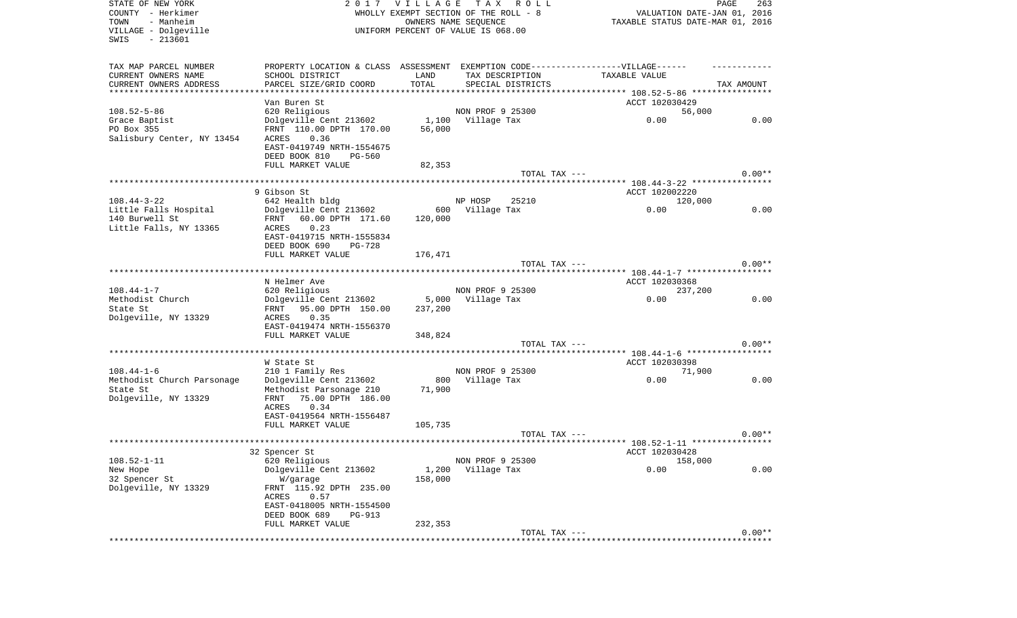| STATE OF NEW YORK          | 2017                                                                             | V I L L A G E | T A X<br>R O L L                      |                                      | PAGE<br>263 |
|----------------------------|----------------------------------------------------------------------------------|---------------|---------------------------------------|--------------------------------------|-------------|
| COUNTY - Herkimer          |                                                                                  |               | WHOLLY EXEMPT SECTION OF THE ROLL - 8 | VALUATION DATE-JAN 01, 2016          |             |
| TOWN<br>- Manheim          |                                                                                  |               | OWNERS NAME SEQUENCE                  | TAXABLE STATUS DATE-MAR 01, 2016     |             |
| VILLAGE - Dolgeville       |                                                                                  |               | UNIFORM PERCENT OF VALUE IS 068.00    |                                      |             |
| SWIS<br>$-213601$          |                                                                                  |               |                                       |                                      |             |
|                            |                                                                                  |               |                                       |                                      |             |
|                            |                                                                                  |               |                                       |                                      |             |
| TAX MAP PARCEL NUMBER      | PROPERTY LOCATION & CLASS ASSESSMENT EXEMPTION CODE----------------VILLAGE------ |               |                                       |                                      |             |
| CURRENT OWNERS NAME        | SCHOOL DISTRICT                                                                  | LAND          | TAX DESCRIPTION                       | TAXABLE VALUE                        |             |
| CURRENT OWNERS ADDRESS     | PARCEL SIZE/GRID COORD                                                           | TOTAL         | SPECIAL DISTRICTS                     |                                      | TAX AMOUNT  |
| *************************  |                                                                                  |               |                                       |                                      |             |
|                            | Van Buren St                                                                     |               |                                       | ACCT 102030429                       |             |
| $108.52 - 5 - 86$          | 620 Religious                                                                    |               | NON PROF 9 25300                      | 56,000                               |             |
| Grace Baptist              | Dolgeville Cent 213602                                                           | 1,100         | Village Tax                           | 0.00                                 | 0.00        |
| PO Box 355                 | FRNT 110.00 DPTH 170.00                                                          | 56,000        |                                       |                                      |             |
| Salisbury Center, NY 13454 | ACRES<br>0.36                                                                    |               |                                       |                                      |             |
|                            | EAST-0419749 NRTH-1554675                                                        |               |                                       |                                      |             |
|                            | DEED BOOK 810<br>PG-560                                                          |               |                                       |                                      |             |
|                            | FULL MARKET VALUE                                                                | 82,353        |                                       |                                      |             |
|                            |                                                                                  |               | TOTAL TAX ---                         |                                      | $0.00**$    |
|                            |                                                                                  |               |                                       |                                      |             |
|                            | 9 Gibson St                                                                      |               |                                       | ACCT 102002220                       |             |
|                            |                                                                                  |               |                                       |                                      |             |
| $108.44 - 3 - 22$          | 642 Health bldg                                                                  |               | NP HOSP<br>25210                      | 120,000                              |             |
| Little Falls Hospital      | Dolgeville Cent 213602                                                           | 600           | Village Tax                           | 0.00                                 | 0.00        |
| 140 Burwell St             | 60.00 DPTH 171.60<br>FRNT                                                        | 120,000       |                                       |                                      |             |
| Little Falls, NY 13365     | ACRES<br>0.23                                                                    |               |                                       |                                      |             |
|                            | EAST-0419715 NRTH-1555834                                                        |               |                                       |                                      |             |
|                            | DEED BOOK 690<br>PG-728                                                          |               |                                       |                                      |             |
|                            | FULL MARKET VALUE                                                                | 176,471       |                                       |                                      |             |
|                            |                                                                                  |               | TOTAL TAX ---                         |                                      | $0.00**$    |
|                            |                                                                                  |               |                                       | ****** 108.44-1-7 ****************** |             |
|                            | N Helmer Ave                                                                     |               |                                       | ACCT 102030368                       |             |
| $108.44 - 1 - 7$           | 620 Religious                                                                    |               | NON PROF 9 25300                      | 237,200                              |             |
| Methodist Church           | Dolgeville Cent 213602                                                           | 5,000         | Village Tax                           | 0.00                                 | 0.00        |
| State St                   | 95.00 DPTH 150.00<br>FRNT                                                        | 237,200       |                                       |                                      |             |
| Dolgeville, NY 13329       | 0.35<br>ACRES                                                                    |               |                                       |                                      |             |
|                            | EAST-0419474 NRTH-1556370                                                        |               |                                       |                                      |             |
|                            | FULL MARKET VALUE                                                                | 348,824       |                                       |                                      |             |
|                            |                                                                                  |               | TOTAL TAX ---                         |                                      | $0.00**$    |
|                            |                                                                                  |               |                                       |                                      |             |
|                            | W State St                                                                       |               |                                       | ACCT 102030398                       |             |
| $108.44 - 1 - 6$           | 210 1 Family Res                                                                 |               | NON PROF 9 25300                      | 71,900                               |             |
| Methodist Church Parsonage | Dolgeville Cent 213602                                                           | 800           | Village Tax                           | 0.00                                 | 0.00        |
| State St                   | Methodist Parsonage 210                                                          | 71,900        |                                       |                                      |             |
| Dolgeville, NY 13329       | 75.00 DPTH 186.00<br>FRNT                                                        |               |                                       |                                      |             |
|                            | ACRES<br>0.34                                                                    |               |                                       |                                      |             |
|                            |                                                                                  |               |                                       |                                      |             |
|                            | EAST-0419564 NRTH-1556487                                                        |               |                                       |                                      |             |
|                            | FULL MARKET VALUE                                                                | 105,735       |                                       |                                      |             |
|                            |                                                                                  |               | TOTAL TAX ---                         |                                      | $0.00**$    |
|                            |                                                                                  |               |                                       |                                      |             |
|                            | 32 Spencer St                                                                    |               |                                       | ACCT 102030428                       |             |
| $108.52 - 1 - 11$          | 620 Religious                                                                    |               | NON PROF 9 25300                      | 158,000                              |             |
| New Hope                   | Dolgeville Cent 213602                                                           | 1,200         | Village Tax                           | 0.00                                 | 0.00        |
| 32 Spencer St              | W/garage                                                                         | 158,000       |                                       |                                      |             |
| Dolgeville, NY 13329       | FRNT 115.92 DPTH 235.00                                                          |               |                                       |                                      |             |
|                            | 0.57<br>ACRES                                                                    |               |                                       |                                      |             |
|                            | EAST-0418005 NRTH-1554500                                                        |               |                                       |                                      |             |
|                            | DEED BOOK 689<br>PG-913                                                          |               |                                       |                                      |             |
|                            | FULL MARKET VALUE                                                                | 232,353       |                                       |                                      |             |
|                            |                                                                                  |               | TOTAL TAX ---                         |                                      | $0.00**$    |
|                            |                                                                                  |               | **************                        |                                      |             |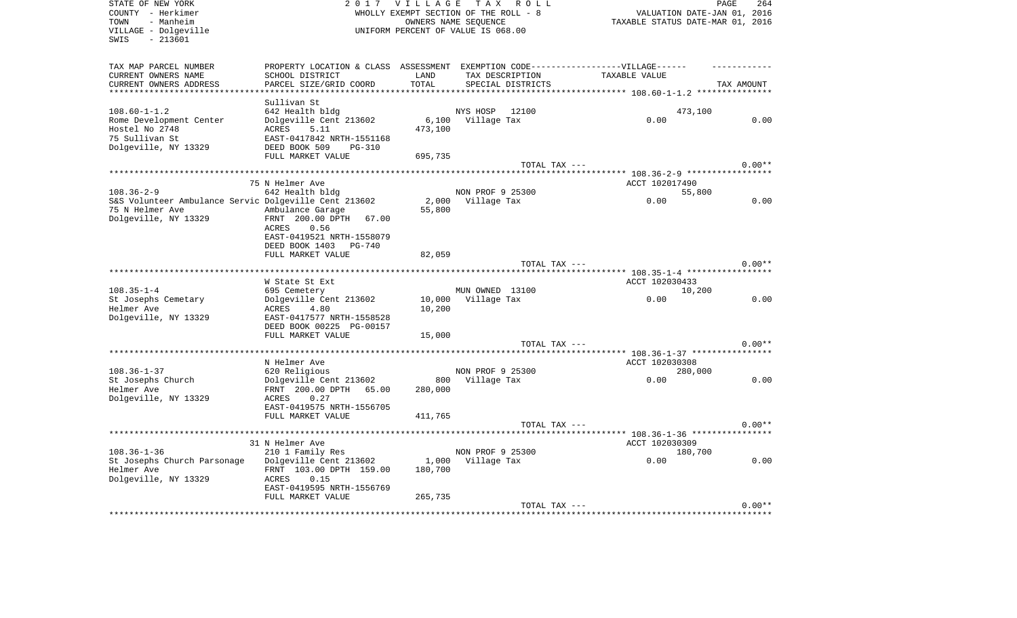| STATE OF NEW YORK<br>COUNTY - Herkimer<br>- Manheim<br>TOWN<br>VILLAGE - Dolgeville<br>$-213601$<br>SWIS | 2 0 1 7                                                     | <b>VILLAGE</b> | TAX ROLL<br>WHOLLY EXEMPT SECTION OF THE ROLL - 8<br>OWNERS NAME SEQUENCE<br>UNIFORM PERCENT OF VALUE IS 068.00 |                                                                                   | PAGE<br>264<br>VALUATION DATE-JAN 01, 2016<br>TAXABLE STATUS DATE-MAR 01, 2016 |
|----------------------------------------------------------------------------------------------------------|-------------------------------------------------------------|----------------|-----------------------------------------------------------------------------------------------------------------|-----------------------------------------------------------------------------------|--------------------------------------------------------------------------------|
| TAX MAP PARCEL NUMBER                                                                                    |                                                             |                |                                                                                                                 | PROPERTY LOCATION & CLASS ASSESSMENT EXEMPTION CODE-----------------VILLAGE------ |                                                                                |
| CURRENT OWNERS NAME                                                                                      | SCHOOL DISTRICT                                             | LAND           | TAX DESCRIPTION                                                                                                 | TAXABLE VALUE                                                                     |                                                                                |
| CURRENT OWNERS ADDRESS                                                                                   | PARCEL SIZE/GRID COORD                                      | TOTAL          | SPECIAL DISTRICTS                                                                                               |                                                                                   | TAX AMOUNT                                                                     |
| ***********************                                                                                  |                                                             |                |                                                                                                                 |                                                                                   |                                                                                |
|                                                                                                          | Sullivan St                                                 |                |                                                                                                                 |                                                                                   |                                                                                |
| $108.60 - 1 - 1.2$                                                                                       | 642 Health bldg                                             |                | NYS HOSP<br>12100                                                                                               |                                                                                   | 473,100                                                                        |
| Rome Development Center                                                                                  | Dolgeville Cent 213602                                      | 6,100          | Village Tax                                                                                                     | 0.00                                                                              | 0.00                                                                           |
| Hostel No 2748<br>75 Sullivan St                                                                         | ACRES<br>5.11                                               | 473,100        |                                                                                                                 |                                                                                   |                                                                                |
| Dolgeville, NY 13329                                                                                     | EAST-0417842 NRTH-1551168<br>DEED BOOK 509<br><b>PG-310</b> |                |                                                                                                                 |                                                                                   |                                                                                |
|                                                                                                          | FULL MARKET VALUE                                           | 695,735        |                                                                                                                 |                                                                                   |                                                                                |
|                                                                                                          |                                                             |                | TOTAL TAX ---                                                                                                   |                                                                                   | $0.00**$                                                                       |
|                                                                                                          |                                                             |                |                                                                                                                 |                                                                                   |                                                                                |
|                                                                                                          | 75 N Helmer Ave                                             |                |                                                                                                                 | ACCT 102017490                                                                    |                                                                                |
| $108.36 - 2 - 9$                                                                                         | 642 Health bldg                                             |                | NON PROF 9 25300                                                                                                |                                                                                   | 55,800                                                                         |
| S&S Volunteer Ambulance Servic Dolgeville Cent 213602                                                    |                                                             |                | 2,000 Village Tax                                                                                               | 0.00                                                                              | 0.00                                                                           |
| 75 N Helmer Ave                                                                                          | Ambulance Garage                                            | 55,800         |                                                                                                                 |                                                                                   |                                                                                |
| Dolgeville, NY 13329                                                                                     | FRNT 200.00 DPTH 67.00                                      |                |                                                                                                                 |                                                                                   |                                                                                |
|                                                                                                          | ACRES<br>0.56                                               |                |                                                                                                                 |                                                                                   |                                                                                |
|                                                                                                          | EAST-0419521 NRTH-1558079                                   |                |                                                                                                                 |                                                                                   |                                                                                |
|                                                                                                          | DEED BOOK 1403<br>PG-740                                    |                |                                                                                                                 |                                                                                   |                                                                                |
|                                                                                                          | FULL MARKET VALUE                                           | 82,059         |                                                                                                                 |                                                                                   |                                                                                |
|                                                                                                          |                                                             |                | TOTAL TAX ---                                                                                                   |                                                                                   | $0.00**$                                                                       |
|                                                                                                          |                                                             |                |                                                                                                                 |                                                                                   |                                                                                |
|                                                                                                          | W State St Ext                                              |                |                                                                                                                 | ACCT 102030433                                                                    |                                                                                |
| $108.35 - 1 - 4$                                                                                         | 695 Cemetery                                                |                | MUN OWNED 13100                                                                                                 |                                                                                   | 10,200                                                                         |
| St Josephs Cemetary                                                                                      | Dolgeville Cent 213602                                      | 10,000         | Village Tax                                                                                                     | 0.00                                                                              | 0.00                                                                           |
| Helmer Ave                                                                                               | <b>ACRES</b><br>4.80                                        | 10,200         |                                                                                                                 |                                                                                   |                                                                                |
| Dolgeville, NY 13329                                                                                     | EAST-0417577 NRTH-1558528                                   |                |                                                                                                                 |                                                                                   |                                                                                |
|                                                                                                          | DEED BOOK 00225 PG-00157                                    |                |                                                                                                                 |                                                                                   |                                                                                |
|                                                                                                          | FULL MARKET VALUE                                           | 15,000         |                                                                                                                 |                                                                                   |                                                                                |
|                                                                                                          |                                                             |                | TOTAL TAX ---                                                                                                   |                                                                                   | $0.00**$                                                                       |
|                                                                                                          |                                                             |                |                                                                                                                 | ***************************** 108.36-1-37 ****************                        |                                                                                |
| $108.36 - 1 - 37$                                                                                        | N Helmer Ave                                                |                | NON PROF 9 25300                                                                                                | ACCT 102030308                                                                    |                                                                                |
| St Josephs Church                                                                                        | 620 Religious<br>Dolgeville Cent 213602                     |                | 800 Village Tax                                                                                                 | 0.00                                                                              | 280,000<br>0.00                                                                |
| Helmer Ave                                                                                               | FRNT 200.00 DPTH 65.00                                      | 280,000        |                                                                                                                 |                                                                                   |                                                                                |
| Dolgeville, NY 13329                                                                                     | 0.27<br>ACRES                                               |                |                                                                                                                 |                                                                                   |                                                                                |
|                                                                                                          | EAST-0419575 NRTH-1556705                                   |                |                                                                                                                 |                                                                                   |                                                                                |
|                                                                                                          | FULL MARKET VALUE                                           | 411,765        |                                                                                                                 |                                                                                   |                                                                                |
|                                                                                                          |                                                             |                | TOTAL TAX ---                                                                                                   |                                                                                   | $0.00**$                                                                       |
|                                                                                                          |                                                             |                |                                                                                                                 |                                                                                   |                                                                                |
|                                                                                                          | 31 N Helmer Ave                                             |                |                                                                                                                 | ACCT 102030309                                                                    |                                                                                |
| $108.36 - 1 - 36$                                                                                        | 210 1 Family Res                                            |                | NON PROF 9 25300                                                                                                |                                                                                   | 180,700                                                                        |
| St Josephs Church Parsonage                                                                              | Dolgeville Cent 213602                                      | 1,000          | Village Tax                                                                                                     | 0.00                                                                              | 0.00                                                                           |
| Helmer Ave                                                                                               | FRNT 103.00 DPTH 159.00                                     | 180,700        |                                                                                                                 |                                                                                   |                                                                                |
| Dolgeville, NY 13329                                                                                     | ACRES<br>0.15                                               |                |                                                                                                                 |                                                                                   |                                                                                |
|                                                                                                          | EAST-0419595 NRTH-1556769                                   |                |                                                                                                                 |                                                                                   |                                                                                |
|                                                                                                          | FULL MARKET VALUE                                           | 265,735        |                                                                                                                 |                                                                                   |                                                                                |
|                                                                                                          |                                                             |                | TOTAL TAX ---                                                                                                   |                                                                                   | $0.00**$                                                                       |
|                                                                                                          |                                                             |                |                                                                                                                 |                                                                                   |                                                                                |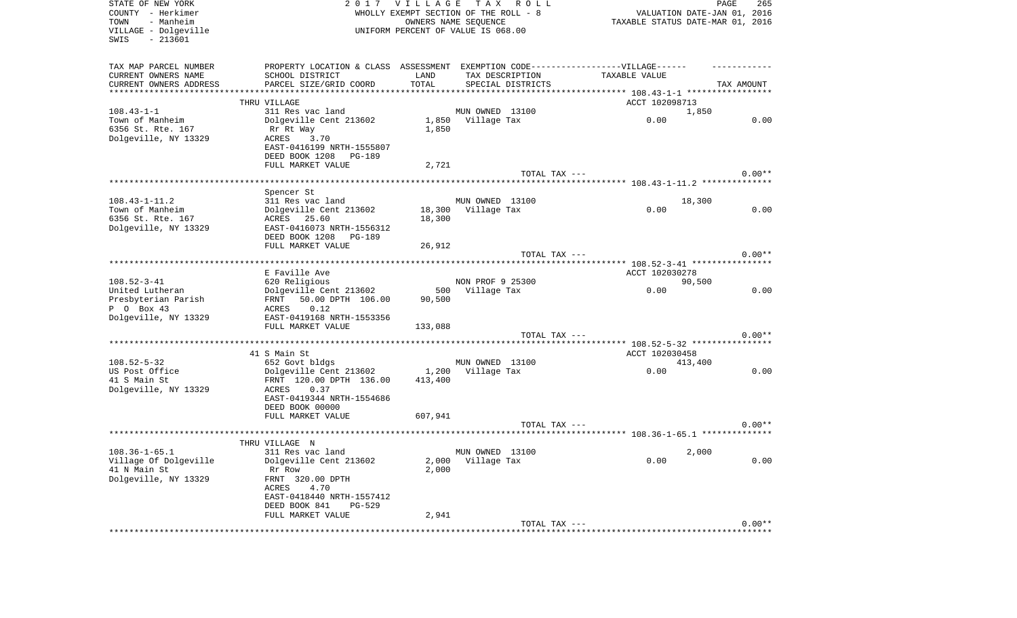| STATE OF NEW YORK<br>COUNTY - Herkimer<br>- Manheim<br>TOWN<br>VILLAGE - Dolgeville<br>$-213601$<br>SWIS |                                                                                                                                                   |                  | 2017 VILLAGE TAX ROLL<br>WHOLLY EXEMPT SECTION OF THE ROLL - 8<br>OWNERS NAME SEQUENCE<br>UNIFORM PERCENT OF VALUE IS 068.00 |                                      | PAGE<br>265<br>VALUATION DATE-JAN 01, 2016<br>TAXABLE STATUS DATE-MAR 01, 2016 |
|----------------------------------------------------------------------------------------------------------|---------------------------------------------------------------------------------------------------------------------------------------------------|------------------|------------------------------------------------------------------------------------------------------------------------------|--------------------------------------|--------------------------------------------------------------------------------|
| TAX MAP PARCEL NUMBER<br>CURRENT OWNERS NAME<br>CURRENT OWNERS ADDRESS<br>*************************      | PROPERTY LOCATION & CLASS ASSESSMENT EXEMPTION CODE----------------VILLAGE------<br>SCHOOL DISTRICT<br>PARCEL SIZE/GRID COORD                     | LAND<br>TOTAL    | TAX DESCRIPTION<br>SPECIAL DISTRICTS                                                                                         | TAXABLE VALUE                        | TAX AMOUNT                                                                     |
|                                                                                                          | THRU VILLAGE                                                                                                                                      |                  |                                                                                                                              | ACCT 102098713                       |                                                                                |
| $108.43 - 1 - 1$<br>Town of Manheim<br>6356 St. Rte. 167<br>Dolgeville, NY 13329                         | 311 Res vac land<br>Dolgeville Cent 213602<br>Rr Rt Way<br>ACRES<br>3.70<br>EAST-0416199 NRTH-1555807<br>DEED BOOK 1208 PG-189                    | 1,850            | MUN OWNED 13100<br>1,850 Village Tax                                                                                         | 0.00                                 | 1,850<br>0.00                                                                  |
|                                                                                                          | FULL MARKET VALUE                                                                                                                                 | 2,721            |                                                                                                                              |                                      |                                                                                |
|                                                                                                          |                                                                                                                                                   |                  | TOTAL TAX ---                                                                                                                |                                      | $0.00**$                                                                       |
| $108.43 - 1 - 11.2$<br>Town of Manheim                                                                   | Spencer St<br>311 Res vac land<br>Dolgeville Cent 213602                                                                                          |                  | MUN OWNED 13100<br>18,300 Village Tax                                                                                        | 0.00                                 | 18,300<br>0.00                                                                 |
| 6356 St. Rte. 167<br>Dolgeville, NY 13329                                                                | ACRES 25.60<br>EAST-0416073 NRTH-1556312<br>DEED BOOK 1208 PG-189<br>FULL MARKET VALUE                                                            | 18,300<br>26,912 |                                                                                                                              |                                      |                                                                                |
|                                                                                                          |                                                                                                                                                   |                  | TOTAL TAX ---                                                                                                                |                                      | $0.00**$                                                                       |
| $108.52 - 3 - 41$                                                                                        | E Faville Ave<br>620 Religious                                                                                                                    |                  | NON PROF 9 25300                                                                                                             | ACCT 102030278                       | 90,500                                                                         |
| United Lutheran<br>Presbyterian Parish<br>P 0 Box 43<br>Dolgeville, NY 13329                             | Dolgeville Cent 213602<br>FRNT<br>50.00 DPTH 106.00<br>0.12<br>ACRES<br>EAST-0419168 NRTH-1553356                                                 | 90,500           | 500 Village Tax                                                                                                              | 0.00                                 | 0.00                                                                           |
|                                                                                                          | FULL MARKET VALUE                                                                                                                                 | 133,088          |                                                                                                                              |                                      |                                                                                |
|                                                                                                          |                                                                                                                                                   |                  | TOTAL TAX ---                                                                                                                | ******* 108.52-5-32 **************** | $0.00**$                                                                       |
| $108.52 - 5 - 32$                                                                                        | 41 S Main St<br>652 Govt bldgs                                                                                                                    |                  | MUN OWNED 13100                                                                                                              | ACCT 102030458                       | 413,400                                                                        |
| US Post Office<br>41 S Main St<br>Dolgeville, NY 13329                                                   | Dolgeville Cent 213602<br>FRNT 120.00 DPTH 136.00<br>ACRES<br>0.37<br>EAST-0419344 NRTH-1554686<br>DEED BOOK 00000                                | 1,200<br>413,400 | Village Tax                                                                                                                  | 0.00                                 | 0.00                                                                           |
|                                                                                                          | FULL MARKET VALUE                                                                                                                                 | 607,941          |                                                                                                                              |                                      |                                                                                |
|                                                                                                          |                                                                                                                                                   |                  | TOTAL TAX ---                                                                                                                |                                      | $0.00**$                                                                       |
|                                                                                                          | THRU VILLAGE N                                                                                                                                    |                  |                                                                                                                              |                                      |                                                                                |
| $108.36 - 1 - 65.1$<br>Village Of Dolgeville<br>41 N Main St<br>Dolgeville, NY 13329                     | 311 Res vac land<br>Dolgeville Cent 213602<br>Rr Row<br>FRNT 320.00 DPTH<br>4.70<br>ACRES<br>EAST-0418440 NRTH-1557412<br>DEED BOOK 841<br>PG-529 | 2,000            | MUN OWNED 13100<br>2,000 Village Tax                                                                                         | 0.00                                 | 2,000<br>0.00                                                                  |
|                                                                                                          | FULL MARKET VALUE                                                                                                                                 | 2,941            | TOTAL TAX ---                                                                                                                |                                      | $0.00**$                                                                       |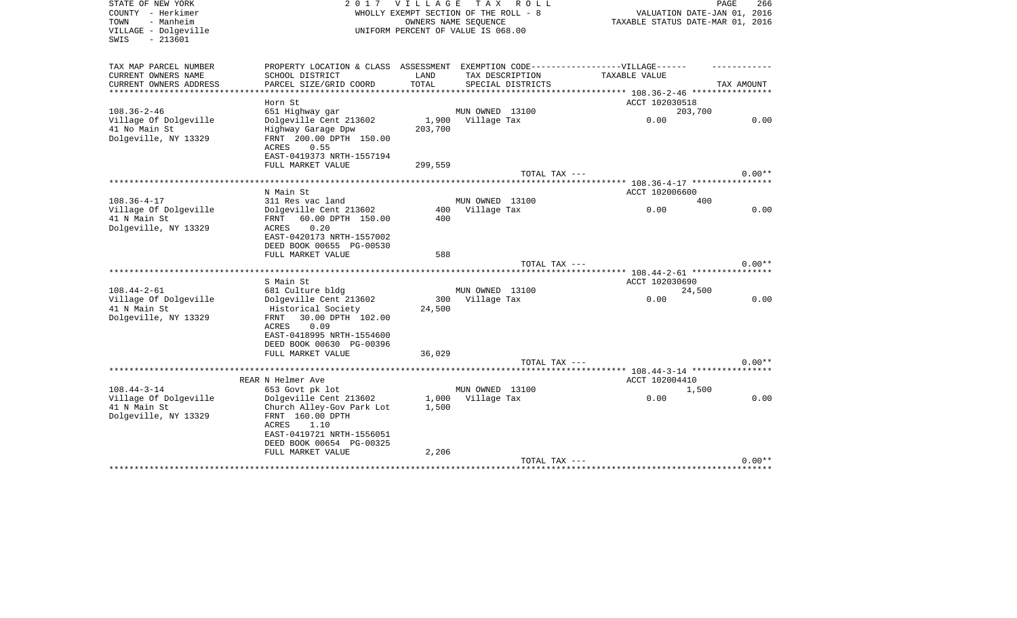| STATE OF NEW YORK<br>COUNTY - Herkimer<br>- Manheim<br>TOWN<br>VILLAGE - Dolgeville<br>$-213601$<br>SWIS |                                                       | 2017 VILLAGE<br>WHOLLY EXEMPT SECTION OF THE ROLL - 8<br>UNIFORM PERCENT OF VALUE IS 068.00 | OWNERS NAME SEOUENCE           | TAX ROLL                             |                                                                                                    | PAGE<br>266<br>VALUATION DATE-JAN 01, 2016<br>TAXABLE STATUS DATE-MAR 01, 2016 |
|----------------------------------------------------------------------------------------------------------|-------------------------------------------------------|---------------------------------------------------------------------------------------------|--------------------------------|--------------------------------------|----------------------------------------------------------------------------------------------------|--------------------------------------------------------------------------------|
| TAX MAP PARCEL NUMBER<br>CURRENT OWNERS NAME<br>SCHOOL DISTRICT                                          |                                                       | LAND                                                                                        |                                |                                      | PROPERTY LOCATION & CLASS ASSESSMENT EXEMPTION CODE-----------------VILLAGE------<br>TAXABLE VALUE |                                                                                |
| CURRENT OWNERS ADDRESS                                                                                   | PARCEL SIZE/GRID COORD                                | TOTAL                                                                                       |                                | TAX DESCRIPTION<br>SPECIAL DISTRICTS |                                                                                                    | TAX AMOUNT                                                                     |
|                                                                                                          |                                                       |                                                                                             |                                |                                      |                                                                                                    |                                                                                |
| Horn St                                                                                                  |                                                       |                                                                                             |                                |                                      | ACCT 102030518                                                                                     |                                                                                |
| $108.36 - 2 - 46$<br>651 Highway gar                                                                     |                                                       |                                                                                             | MUN OWNED 13100                |                                      |                                                                                                    | 203,700                                                                        |
| Village Of Dolgeville<br>41 No Main St                                                                   | Dolgeville Cent 213602                                | 203,700                                                                                     | 1,900 Village Tax              |                                      | 0.00                                                                                               | 0.00                                                                           |
| Dolgeville, NY 13329<br>ACRES                                                                            | Highway Garage Dpw<br>FRNT 200.00 DPTH 150.00<br>0.55 |                                                                                             |                                |                                      |                                                                                                    |                                                                                |
|                                                                                                          | EAST-0419373 NRTH-1557194                             |                                                                                             |                                |                                      |                                                                                                    |                                                                                |
|                                                                                                          | FULL MARKET VALUE                                     | 299,559                                                                                     |                                |                                      |                                                                                                    |                                                                                |
|                                                                                                          |                                                       |                                                                                             |                                | TOTAL TAX ---                        |                                                                                                    | $0.00**$                                                                       |
| N Main St                                                                                                |                                                       |                                                                                             |                                |                                      | ACCT 102006600                                                                                     |                                                                                |
| $108.36 - 4 - 17$<br>311 Res vac land                                                                    |                                                       |                                                                                             | MUN OWNED 13100                |                                      |                                                                                                    | 400                                                                            |
| Village Of Dolgeville                                                                                    | Dolgeville Cent 213602                                | 400                                                                                         | Village Tax                    |                                      | 0.00                                                                                               | 0.00                                                                           |
| 41 N Main St<br>FRNT                                                                                     | 60.00 DPTH 150.00                                     | 400                                                                                         |                                |                                      |                                                                                                    |                                                                                |
| Dolgeville, NY 13329<br>ACRES                                                                            | 0.20                                                  |                                                                                             |                                |                                      |                                                                                                    |                                                                                |
|                                                                                                          | EAST-0420173 NRTH-1557002<br>DEED BOOK 00655 PG-00530 |                                                                                             |                                |                                      |                                                                                                    |                                                                                |
| FULL MARKET VALUE                                                                                        |                                                       | 588                                                                                         |                                |                                      |                                                                                                    |                                                                                |
|                                                                                                          |                                                       |                                                                                             |                                | TOTAL TAX ---                        |                                                                                                    | $0.00**$                                                                       |
|                                                                                                          |                                                       |                                                                                             |                                |                                      |                                                                                                    |                                                                                |
| S Main St                                                                                                |                                                       |                                                                                             |                                |                                      | ACCT 102030690                                                                                     |                                                                                |
| $108.44 - 2 - 61$<br>681 Culture bldg<br>Village Of Dolgeville                                           | Dolgeville Cent 213602                                | 300                                                                                         | MUN OWNED 13100<br>Village Tax |                                      | 0.00                                                                                               | 24,500<br>0.00                                                                 |
| 41 N Main St                                                                                             | Historical Society                                    | 24,500                                                                                      |                                |                                      |                                                                                                    |                                                                                |
| Dolgeville, NY 13329<br>FRNT                                                                             | 30.00 DPTH 102.00                                     |                                                                                             |                                |                                      |                                                                                                    |                                                                                |
| ACRES                                                                                                    | 0.09                                                  |                                                                                             |                                |                                      |                                                                                                    |                                                                                |
|                                                                                                          | EAST-0418995 NRTH-1554600                             |                                                                                             |                                |                                      |                                                                                                    |                                                                                |
|                                                                                                          | DEED BOOK 00630 PG-00396                              |                                                                                             |                                |                                      |                                                                                                    |                                                                                |
| FULL MARKET VALUE                                                                                        |                                                       | 36,029                                                                                      |                                | TOTAL TAX ---                        |                                                                                                    | $0.00**$                                                                       |
|                                                                                                          |                                                       |                                                                                             |                                |                                      | ********* 108.44-3-14 *****************                                                            |                                                                                |
| REAR N Helmer Ave                                                                                        |                                                       |                                                                                             |                                |                                      | ACCT 102004410                                                                                     |                                                                                |
| $108.44 - 3 - 14$<br>653 Govt pk lot                                                                     |                                                       |                                                                                             | MUN OWNED 13100                |                                      |                                                                                                    | 1,500                                                                          |
| Village Of Dolgeville                                                                                    | Dolgeville Cent 213602                                |                                                                                             | 1,000 Village Tax              |                                      | 0.00                                                                                               | 0.00                                                                           |
| 41 N Main St<br>Dolgeville, NY 13329<br>FRNT 160.00 DPTH                                                 | Church Alley-Gov Park Lot                             | 1,500                                                                                       |                                |                                      |                                                                                                    |                                                                                |
| <b>ACRES</b>                                                                                             | 1.10                                                  |                                                                                             |                                |                                      |                                                                                                    |                                                                                |
|                                                                                                          | EAST-0419721 NRTH-1556051                             |                                                                                             |                                |                                      |                                                                                                    |                                                                                |
|                                                                                                          | DEED BOOK 00654 PG-00325                              |                                                                                             |                                |                                      |                                                                                                    |                                                                                |
| FULL MARKET VALUE                                                                                        |                                                       | 2,206                                                                                       |                                |                                      |                                                                                                    |                                                                                |
|                                                                                                          |                                                       |                                                                                             |                                | TOTAL TAX ---                        |                                                                                                    | $0.00**$                                                                       |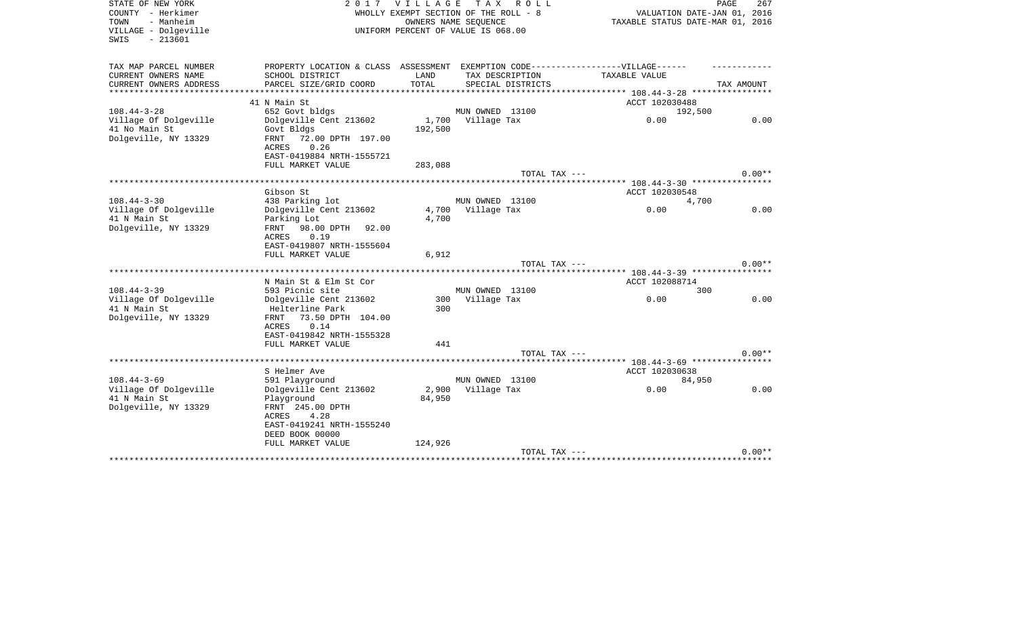| STATE OF NEW YORK<br>COUNTY - Herkimer<br>- Manheim<br>TOWN<br>VILLAGE - Dolgeville<br>$-213601$<br>SWIS |                                                                                                      | 2017 VILLAGE   | T A X<br>R O L L<br>WHOLLY EXEMPT SECTION OF THE ROLL - 8<br>OWNERS NAME SEQUENCE<br>UNIFORM PERCENT OF VALUE IS 068.00 | VALUATION DATE-JAN 01, 2016<br>TAXABLE STATUS DATE-MAR 01, 2016 | PAGE<br>267 |
|----------------------------------------------------------------------------------------------------------|------------------------------------------------------------------------------------------------------|----------------|-------------------------------------------------------------------------------------------------------------------------|-----------------------------------------------------------------|-------------|
| TAX MAP PARCEL NUMBER<br>CURRENT OWNERS NAME                                                             | PROPERTY LOCATION & CLASS ASSESSMENT EXEMPTION CODE-----------------VILLAGE------<br>SCHOOL DISTRICT | LAND           | TAX DESCRIPTION                                                                                                         | TAXABLE VALUE                                                   |             |
| CURRENT OWNERS ADDRESS                                                                                   | PARCEL SIZE/GRID COORD                                                                               | TOTAL          | SPECIAL DISTRICTS                                                                                                       |                                                                 | TAX AMOUNT  |
| ********************                                                                                     | ********************                                                                                 | ************** |                                                                                                                         | ********** 108.44-3-28 *****************                        |             |
|                                                                                                          | 41 N Main St                                                                                         |                |                                                                                                                         | ACCT 102030488                                                  |             |
| $108.44 - 3 - 28$                                                                                        | 652 Govt bldgs                                                                                       |                | MUN OWNED 13100                                                                                                         | 192,500                                                         |             |
| Village Of Dolgeville                                                                                    | Dolgeville Cent 213602                                                                               | 1,700          | Village Tax                                                                                                             | 0.00                                                            | 0.00        |
| 41 No Main St<br>Dolgeville, NY 13329                                                                    | Govt Bldgs<br><b>FRNT</b><br>72.00 DPTH 197.00                                                       | 192,500        |                                                                                                                         |                                                                 |             |
|                                                                                                          | ACRES<br>0.26                                                                                        |                |                                                                                                                         |                                                                 |             |
|                                                                                                          | EAST-0419884 NRTH-1555721                                                                            |                |                                                                                                                         |                                                                 |             |
|                                                                                                          | FULL MARKET VALUE                                                                                    | 283,088        |                                                                                                                         |                                                                 |             |
|                                                                                                          |                                                                                                      |                | TOTAL TAX ---                                                                                                           |                                                                 | $0.00**$    |
|                                                                                                          | *************************                                                                            |                |                                                                                                                         | ******************************** 108.44-3-30 *****************  |             |
| $108.44 - 3 - 30$                                                                                        | Gibson St<br>438 Parking lot                                                                         |                | MUN OWNED 13100                                                                                                         | ACCT 102030548                                                  |             |
| Village Of Dolgeville                                                                                    | Dolgeville Cent 213602                                                                               |                | 4,700 Village Tax                                                                                                       | 4,700<br>0.00                                                   | 0.00        |
| 41 N Main St                                                                                             | Parking Lot                                                                                          | 4,700          |                                                                                                                         |                                                                 |             |
| Dolgeville, NY 13329                                                                                     | FRNT 98.00 DPTH<br>92.00                                                                             |                |                                                                                                                         |                                                                 |             |
|                                                                                                          | 0.19<br>ACRES                                                                                        |                |                                                                                                                         |                                                                 |             |
|                                                                                                          | EAST-0419807 NRTH-1555604                                                                            |                |                                                                                                                         |                                                                 |             |
|                                                                                                          | FULL MARKET VALUE                                                                                    | 6,912          |                                                                                                                         |                                                                 |             |
|                                                                                                          | *******************************                                                                      |                | TOTAL TAX ---                                                                                                           |                                                                 | $0.00**$    |
|                                                                                                          | N Main St & Elm St Cor                                                                               |                |                                                                                                                         | ACCT 102088714                                                  |             |
| $108.44 - 3 - 39$                                                                                        | 593 Picnic site                                                                                      |                | MUN OWNED 13100                                                                                                         | 300                                                             |             |
| Village Of Dolgeville                                                                                    | Dolgeville Cent 213602                                                                               | 300            | Village Tax                                                                                                             | 0.00                                                            | 0.00        |
| 41 N Main St                                                                                             | Helterline Park                                                                                      | 300            |                                                                                                                         |                                                                 |             |
| Dolgeville, NY 13329                                                                                     | 73.50 DPTH 104.00<br><b>FRNT</b>                                                                     |                |                                                                                                                         |                                                                 |             |
|                                                                                                          | <b>ACRES</b><br>0.14                                                                                 |                |                                                                                                                         |                                                                 |             |
|                                                                                                          | EAST-0419842 NRTH-1555328<br>FULL MARKET VALUE                                                       | 441            |                                                                                                                         |                                                                 |             |
|                                                                                                          |                                                                                                      |                | TOTAL TAX ---                                                                                                           |                                                                 | $0.00**$    |
|                                                                                                          |                                                                                                      |                |                                                                                                                         | ******** 108.44-3-69 *****************                          |             |
|                                                                                                          | S Helmer Ave                                                                                         |                |                                                                                                                         | ACCT 102030638                                                  |             |
| $108.44 - 3 - 69$                                                                                        | 591 Playground                                                                                       |                | MUN OWNED 13100                                                                                                         | 84,950                                                          |             |
| Village Of Dolgeville                                                                                    | Dolgeville Cent 213602                                                                               |                | 2,900 Village Tax                                                                                                       | 0.00                                                            | 0.00        |
| 41 N Main St<br>Dolgeville, NY 13329                                                                     | Playground<br>FRNT 245.00 DPTH                                                                       | 84,950         |                                                                                                                         |                                                                 |             |
|                                                                                                          | ACRES<br>4.28                                                                                        |                |                                                                                                                         |                                                                 |             |
|                                                                                                          | EAST-0419241 NRTH-1555240                                                                            |                |                                                                                                                         |                                                                 |             |
|                                                                                                          | DEED BOOK 00000                                                                                      |                |                                                                                                                         |                                                                 |             |
|                                                                                                          | FULL MARKET VALUE                                                                                    | 124,926        |                                                                                                                         |                                                                 |             |
|                                                                                                          |                                                                                                      |                | TOTAL TAX ---                                                                                                           | **************************                                      | $0.00**$    |
|                                                                                                          |                                                                                                      |                |                                                                                                                         |                                                                 |             |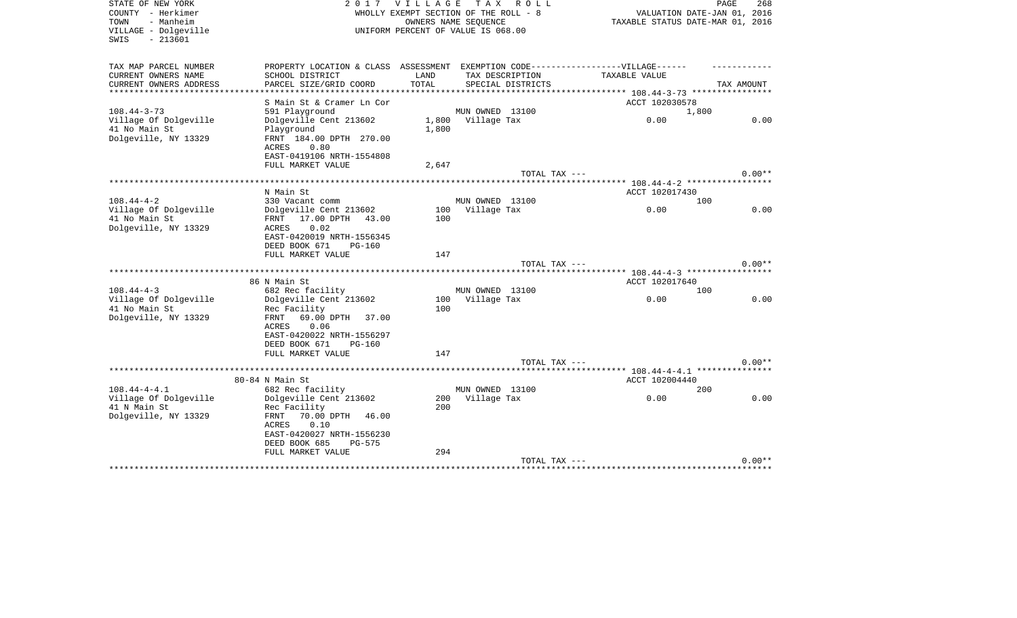| PROPERTY LOCATION & CLASS ASSESSMENT EXEMPTION CODE-----------------VILLAGE------<br>CURRENT OWNERS NAME<br>SCHOOL DISTRICT<br>LAND<br>TAX DESCRIPTION<br>TAXABLE VALUE<br>TOTAL<br>CURRENT OWNERS ADDRESS<br>PARCEL SIZE/GRID COORD<br>SPECIAL DISTRICTS<br>TAX AMOUNT<br>***************<br>************** 108.44-3-73 *****************<br>ACCT 102030578<br>S Main St & Cramer Ln Cor<br>591 Playground<br>MUN OWNED 13100<br>1,800<br>0.00<br>Village Of Dolgeville<br>Dolgeville Cent 213602<br>1,800 Village Tax<br>0.00<br>41 No Main St<br>Playground<br>1,800<br>Dolgeville, NY 13329<br>FRNT 184.00 DPTH 270.00<br>ACRES<br>0.80<br>EAST-0419106 NRTH-1554808<br>FULL MARKET VALUE<br>2,647<br>$0.00**$<br>TOTAL TAX ---<br>N Main St<br>ACCT 102017430<br>MUN OWNED 13100<br>$108.44 - 4 - 2$<br>330 Vacant comm<br>100<br>Village Of Dolgeville<br>Dolgeville Cent 213602<br>100<br>Village Tax<br>0.00<br>0.00<br>41 No Main St<br>17.00 DPTH 43.00<br>100<br>FRNT<br>0.02<br>ACRES<br>EAST-0420019 NRTH-1556345<br>DEED BOOK 671<br><b>PG-160</b><br>FULL MARKET VALUE<br>147<br>$0.00**$<br>TOTAL TAX ---<br>86 N Main St<br>ACCT 102017640<br>682 Rec facility<br>MUN OWNED 13100<br>100<br>0.00<br>0.00<br>Dolgeville Cent 213602<br>Village Tax<br>100<br>100<br>Rec Facility<br>Dolgeville, NY 13329<br>69.00 DPTH<br>FRNT<br>37.00<br>0.06<br>ACRES<br>EAST-0420022 NRTH-1556297<br>DEED BOOK 671<br><b>PG-160</b><br>FULL MARKET VALUE<br>147<br>$0.00**$<br>TOTAL TAX ---<br>******** 108.44-4-4.1 ****************<br>80-84 N Main St<br>ACCT 102004440<br>$108.44 - 4 - 4.1$<br>682 Rec facility<br>MUN OWNED 13100<br>200<br>Village Of Dolgeville<br>Dolgeville Cent 213602<br>200 Village Tax<br>0.00<br>0.00<br>41 N Main St<br>Rec Facility<br>200<br>Dolgeville, NY 13329<br>FRNT<br>70.00 DPTH 46.00<br>0.10<br>ACRES<br>EAST-0420027 NRTH-1556230<br>DEED BOOK 685<br>PG-575<br>294<br>FULL MARKET VALUE<br>TOTAL TAX ---<br>$0.00**$ | STATE OF NEW YORK<br>COUNTY - Herkimer<br>- Manheim<br>TOWN<br>VILLAGE - Dolgeville<br>$-213601$<br>SWIS | 2017 | <b>VILLAGE</b> | T A X<br>R O L L<br>WHOLLY EXEMPT SECTION OF THE ROLL - 8<br>OWNERS NAME SEOUENCE<br>UNIFORM PERCENT OF VALUE IS 068.00 | VALUATION DATE-JAN 01, 2016<br>TAXABLE STATUS DATE-MAR 01, 2016 | PAGE<br>268 |
|------------------------------------------------------------------------------------------------------------------------------------------------------------------------------------------------------------------------------------------------------------------------------------------------------------------------------------------------------------------------------------------------------------------------------------------------------------------------------------------------------------------------------------------------------------------------------------------------------------------------------------------------------------------------------------------------------------------------------------------------------------------------------------------------------------------------------------------------------------------------------------------------------------------------------------------------------------------------------------------------------------------------------------------------------------------------------------------------------------------------------------------------------------------------------------------------------------------------------------------------------------------------------------------------------------------------------------------------------------------------------------------------------------------------------------------------------------------------------------------------------------------------------------------------------------------------------------------------------------------------------------------------------------------------------------------------------------------------------------------------------------------------------------------------------------------------------------------------------------------------------------------------------------------------------------------------------------------------|----------------------------------------------------------------------------------------------------------|------|----------------|-------------------------------------------------------------------------------------------------------------------------|-----------------------------------------------------------------|-------------|
|                                                                                                                                                                                                                                                                                                                                                                                                                                                                                                                                                                                                                                                                                                                                                                                                                                                                                                                                                                                                                                                                                                                                                                                                                                                                                                                                                                                                                                                                                                                                                                                                                                                                                                                                                                                                                                                                                                                                                                        | TAX MAP PARCEL NUMBER                                                                                    |      |                |                                                                                                                         |                                                                 |             |
|                                                                                                                                                                                                                                                                                                                                                                                                                                                                                                                                                                                                                                                                                                                                                                                                                                                                                                                                                                                                                                                                                                                                                                                                                                                                                                                                                                                                                                                                                                                                                                                                                                                                                                                                                                                                                                                                                                                                                                        |                                                                                                          |      |                |                                                                                                                         |                                                                 |             |
|                                                                                                                                                                                                                                                                                                                                                                                                                                                                                                                                                                                                                                                                                                                                                                                                                                                                                                                                                                                                                                                                                                                                                                                                                                                                                                                                                                                                                                                                                                                                                                                                                                                                                                                                                                                                                                                                                                                                                                        |                                                                                                          |      |                |                                                                                                                         |                                                                 |             |
|                                                                                                                                                                                                                                                                                                                                                                                                                                                                                                                                                                                                                                                                                                                                                                                                                                                                                                                                                                                                                                                                                                                                                                                                                                                                                                                                                                                                                                                                                                                                                                                                                                                                                                                                                                                                                                                                                                                                                                        |                                                                                                          |      |                |                                                                                                                         |                                                                 |             |
|                                                                                                                                                                                                                                                                                                                                                                                                                                                                                                                                                                                                                                                                                                                                                                                                                                                                                                                                                                                                                                                                                                                                                                                                                                                                                                                                                                                                                                                                                                                                                                                                                                                                                                                                                                                                                                                                                                                                                                        | $108.44 - 3 - 73$                                                                                        |      |                |                                                                                                                         |                                                                 |             |
|                                                                                                                                                                                                                                                                                                                                                                                                                                                                                                                                                                                                                                                                                                                                                                                                                                                                                                                                                                                                                                                                                                                                                                                                                                                                                                                                                                                                                                                                                                                                                                                                                                                                                                                                                                                                                                                                                                                                                                        |                                                                                                          |      |                |                                                                                                                         |                                                                 |             |
|                                                                                                                                                                                                                                                                                                                                                                                                                                                                                                                                                                                                                                                                                                                                                                                                                                                                                                                                                                                                                                                                                                                                                                                                                                                                                                                                                                                                                                                                                                                                                                                                                                                                                                                                                                                                                                                                                                                                                                        |                                                                                                          |      |                |                                                                                                                         |                                                                 |             |
|                                                                                                                                                                                                                                                                                                                                                                                                                                                                                                                                                                                                                                                                                                                                                                                                                                                                                                                                                                                                                                                                                                                                                                                                                                                                                                                                                                                                                                                                                                                                                                                                                                                                                                                                                                                                                                                                                                                                                                        |                                                                                                          |      |                |                                                                                                                         |                                                                 |             |
|                                                                                                                                                                                                                                                                                                                                                                                                                                                                                                                                                                                                                                                                                                                                                                                                                                                                                                                                                                                                                                                                                                                                                                                                                                                                                                                                                                                                                                                                                                                                                                                                                                                                                                                                                                                                                                                                                                                                                                        |                                                                                                          |      |                |                                                                                                                         |                                                                 |             |
|                                                                                                                                                                                                                                                                                                                                                                                                                                                                                                                                                                                                                                                                                                                                                                                                                                                                                                                                                                                                                                                                                                                                                                                                                                                                                                                                                                                                                                                                                                                                                                                                                                                                                                                                                                                                                                                                                                                                                                        |                                                                                                          |      |                |                                                                                                                         |                                                                 |             |
|                                                                                                                                                                                                                                                                                                                                                                                                                                                                                                                                                                                                                                                                                                                                                                                                                                                                                                                                                                                                                                                                                                                                                                                                                                                                                                                                                                                                                                                                                                                                                                                                                                                                                                                                                                                                                                                                                                                                                                        |                                                                                                          |      |                |                                                                                                                         |                                                                 |             |
|                                                                                                                                                                                                                                                                                                                                                                                                                                                                                                                                                                                                                                                                                                                                                                                                                                                                                                                                                                                                                                                                                                                                                                                                                                                                                                                                                                                                                                                                                                                                                                                                                                                                                                                                                                                                                                                                                                                                                                        |                                                                                                          |      |                |                                                                                                                         |                                                                 |             |
|                                                                                                                                                                                                                                                                                                                                                                                                                                                                                                                                                                                                                                                                                                                                                                                                                                                                                                                                                                                                                                                                                                                                                                                                                                                                                                                                                                                                                                                                                                                                                                                                                                                                                                                                                                                                                                                                                                                                                                        |                                                                                                          |      |                |                                                                                                                         |                                                                 |             |
|                                                                                                                                                                                                                                                                                                                                                                                                                                                                                                                                                                                                                                                                                                                                                                                                                                                                                                                                                                                                                                                                                                                                                                                                                                                                                                                                                                                                                                                                                                                                                                                                                                                                                                                                                                                                                                                                                                                                                                        |                                                                                                          |      |                |                                                                                                                         |                                                                 |             |
|                                                                                                                                                                                                                                                                                                                                                                                                                                                                                                                                                                                                                                                                                                                                                                                                                                                                                                                                                                                                                                                                                                                                                                                                                                                                                                                                                                                                                                                                                                                                                                                                                                                                                                                                                                                                                                                                                                                                                                        |                                                                                                          |      |                |                                                                                                                         |                                                                 |             |
|                                                                                                                                                                                                                                                                                                                                                                                                                                                                                                                                                                                                                                                                                                                                                                                                                                                                                                                                                                                                                                                                                                                                                                                                                                                                                                                                                                                                                                                                                                                                                                                                                                                                                                                                                                                                                                                                                                                                                                        | Dolgeville, NY 13329                                                                                     |      |                |                                                                                                                         |                                                                 |             |
|                                                                                                                                                                                                                                                                                                                                                                                                                                                                                                                                                                                                                                                                                                                                                                                                                                                                                                                                                                                                                                                                                                                                                                                                                                                                                                                                                                                                                                                                                                                                                                                                                                                                                                                                                                                                                                                                                                                                                                        |                                                                                                          |      |                |                                                                                                                         |                                                                 |             |
|                                                                                                                                                                                                                                                                                                                                                                                                                                                                                                                                                                                                                                                                                                                                                                                                                                                                                                                                                                                                                                                                                                                                                                                                                                                                                                                                                                                                                                                                                                                                                                                                                                                                                                                                                                                                                                                                                                                                                                        |                                                                                                          |      |                |                                                                                                                         |                                                                 |             |
|                                                                                                                                                                                                                                                                                                                                                                                                                                                                                                                                                                                                                                                                                                                                                                                                                                                                                                                                                                                                                                                                                                                                                                                                                                                                                                                                                                                                                                                                                                                                                                                                                                                                                                                                                                                                                                                                                                                                                                        |                                                                                                          |      |                |                                                                                                                         |                                                                 |             |
|                                                                                                                                                                                                                                                                                                                                                                                                                                                                                                                                                                                                                                                                                                                                                                                                                                                                                                                                                                                                                                                                                                                                                                                                                                                                                                                                                                                                                                                                                                                                                                                                                                                                                                                                                                                                                                                                                                                                                                        |                                                                                                          |      |                |                                                                                                                         |                                                                 |             |
|                                                                                                                                                                                                                                                                                                                                                                                                                                                                                                                                                                                                                                                                                                                                                                                                                                                                                                                                                                                                                                                                                                                                                                                                                                                                                                                                                                                                                                                                                                                                                                                                                                                                                                                                                                                                                                                                                                                                                                        |                                                                                                          |      |                |                                                                                                                         |                                                                 |             |
|                                                                                                                                                                                                                                                                                                                                                                                                                                                                                                                                                                                                                                                                                                                                                                                                                                                                                                                                                                                                                                                                                                                                                                                                                                                                                                                                                                                                                                                                                                                                                                                                                                                                                                                                                                                                                                                                                                                                                                        | $108.44 - 4 - 3$                                                                                         |      |                |                                                                                                                         |                                                                 |             |
|                                                                                                                                                                                                                                                                                                                                                                                                                                                                                                                                                                                                                                                                                                                                                                                                                                                                                                                                                                                                                                                                                                                                                                                                                                                                                                                                                                                                                                                                                                                                                                                                                                                                                                                                                                                                                                                                                                                                                                        | Village Of Dolgeville                                                                                    |      |                |                                                                                                                         |                                                                 |             |
|                                                                                                                                                                                                                                                                                                                                                                                                                                                                                                                                                                                                                                                                                                                                                                                                                                                                                                                                                                                                                                                                                                                                                                                                                                                                                                                                                                                                                                                                                                                                                                                                                                                                                                                                                                                                                                                                                                                                                                        | 41 No Main St                                                                                            |      |                |                                                                                                                         |                                                                 |             |
|                                                                                                                                                                                                                                                                                                                                                                                                                                                                                                                                                                                                                                                                                                                                                                                                                                                                                                                                                                                                                                                                                                                                                                                                                                                                                                                                                                                                                                                                                                                                                                                                                                                                                                                                                                                                                                                                                                                                                                        |                                                                                                          |      |                |                                                                                                                         |                                                                 |             |
|                                                                                                                                                                                                                                                                                                                                                                                                                                                                                                                                                                                                                                                                                                                                                                                                                                                                                                                                                                                                                                                                                                                                                                                                                                                                                                                                                                                                                                                                                                                                                                                                                                                                                                                                                                                                                                                                                                                                                                        |                                                                                                          |      |                |                                                                                                                         |                                                                 |             |
|                                                                                                                                                                                                                                                                                                                                                                                                                                                                                                                                                                                                                                                                                                                                                                                                                                                                                                                                                                                                                                                                                                                                                                                                                                                                                                                                                                                                                                                                                                                                                                                                                                                                                                                                                                                                                                                                                                                                                                        |                                                                                                          |      |                |                                                                                                                         |                                                                 |             |
|                                                                                                                                                                                                                                                                                                                                                                                                                                                                                                                                                                                                                                                                                                                                                                                                                                                                                                                                                                                                                                                                                                                                                                                                                                                                                                                                                                                                                                                                                                                                                                                                                                                                                                                                                                                                                                                                                                                                                                        |                                                                                                          |      |                |                                                                                                                         |                                                                 |             |
|                                                                                                                                                                                                                                                                                                                                                                                                                                                                                                                                                                                                                                                                                                                                                                                                                                                                                                                                                                                                                                                                                                                                                                                                                                                                                                                                                                                                                                                                                                                                                                                                                                                                                                                                                                                                                                                                                                                                                                        |                                                                                                          |      |                |                                                                                                                         |                                                                 |             |
|                                                                                                                                                                                                                                                                                                                                                                                                                                                                                                                                                                                                                                                                                                                                                                                                                                                                                                                                                                                                                                                                                                                                                                                                                                                                                                                                                                                                                                                                                                                                                                                                                                                                                                                                                                                                                                                                                                                                                                        |                                                                                                          |      |                |                                                                                                                         |                                                                 |             |
|                                                                                                                                                                                                                                                                                                                                                                                                                                                                                                                                                                                                                                                                                                                                                                                                                                                                                                                                                                                                                                                                                                                                                                                                                                                                                                                                                                                                                                                                                                                                                                                                                                                                                                                                                                                                                                                                                                                                                                        |                                                                                                          |      |                |                                                                                                                         |                                                                 |             |
|                                                                                                                                                                                                                                                                                                                                                                                                                                                                                                                                                                                                                                                                                                                                                                                                                                                                                                                                                                                                                                                                                                                                                                                                                                                                                                                                                                                                                                                                                                                                                                                                                                                                                                                                                                                                                                                                                                                                                                        |                                                                                                          |      |                |                                                                                                                         |                                                                 |             |
|                                                                                                                                                                                                                                                                                                                                                                                                                                                                                                                                                                                                                                                                                                                                                                                                                                                                                                                                                                                                                                                                                                                                                                                                                                                                                                                                                                                                                                                                                                                                                                                                                                                                                                                                                                                                                                                                                                                                                                        |                                                                                                          |      |                |                                                                                                                         |                                                                 |             |
|                                                                                                                                                                                                                                                                                                                                                                                                                                                                                                                                                                                                                                                                                                                                                                                                                                                                                                                                                                                                                                                                                                                                                                                                                                                                                                                                                                                                                                                                                                                                                                                                                                                                                                                                                                                                                                                                                                                                                                        |                                                                                                          |      |                |                                                                                                                         |                                                                 |             |
|                                                                                                                                                                                                                                                                                                                                                                                                                                                                                                                                                                                                                                                                                                                                                                                                                                                                                                                                                                                                                                                                                                                                                                                                                                                                                                                                                                                                                                                                                                                                                                                                                                                                                                                                                                                                                                                                                                                                                                        |                                                                                                          |      |                |                                                                                                                         |                                                                 |             |
|                                                                                                                                                                                                                                                                                                                                                                                                                                                                                                                                                                                                                                                                                                                                                                                                                                                                                                                                                                                                                                                                                                                                                                                                                                                                                                                                                                                                                                                                                                                                                                                                                                                                                                                                                                                                                                                                                                                                                                        |                                                                                                          |      |                |                                                                                                                         |                                                                 |             |
|                                                                                                                                                                                                                                                                                                                                                                                                                                                                                                                                                                                                                                                                                                                                                                                                                                                                                                                                                                                                                                                                                                                                                                                                                                                                                                                                                                                                                                                                                                                                                                                                                                                                                                                                                                                                                                                                                                                                                                        |                                                                                                          |      |                |                                                                                                                         |                                                                 |             |
|                                                                                                                                                                                                                                                                                                                                                                                                                                                                                                                                                                                                                                                                                                                                                                                                                                                                                                                                                                                                                                                                                                                                                                                                                                                                                                                                                                                                                                                                                                                                                                                                                                                                                                                                                                                                                                                                                                                                                                        |                                                                                                          |      |                |                                                                                                                         |                                                                 |             |
|                                                                                                                                                                                                                                                                                                                                                                                                                                                                                                                                                                                                                                                                                                                                                                                                                                                                                                                                                                                                                                                                                                                                                                                                                                                                                                                                                                                                                                                                                                                                                                                                                                                                                                                                                                                                                                                                                                                                                                        |                                                                                                          |      |                |                                                                                                                         |                                                                 |             |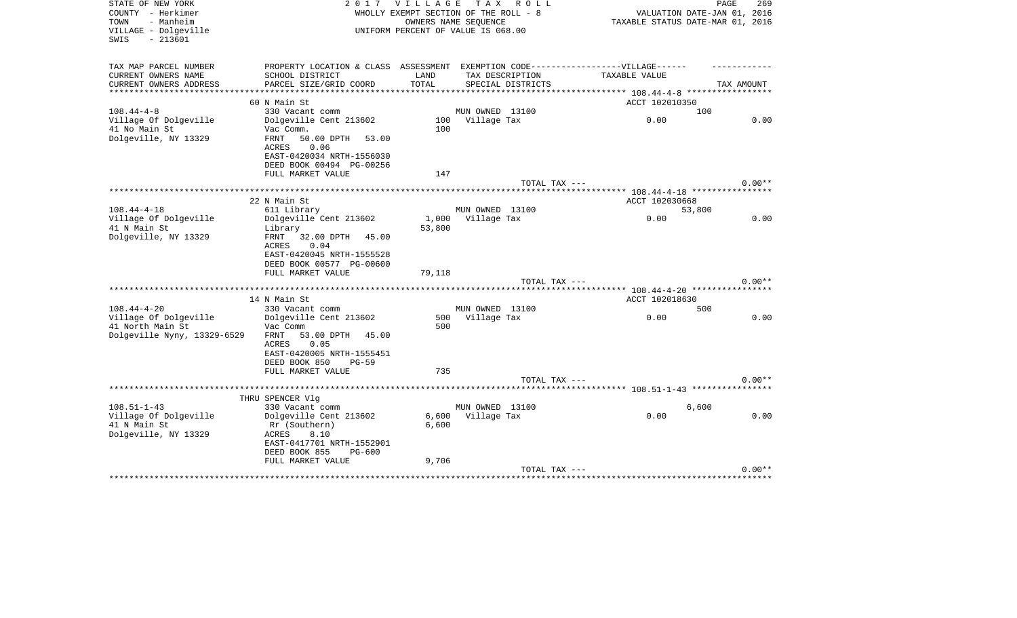| STATE OF NEW YORK<br>COUNTY - Herkimer<br>TOWN<br>- Manheim<br>VILLAGE - Dolgeville<br>$-213601$<br>SWIS |                                                                        | 2017 VILLAGE TAX ROLL<br>WHOLLY EXEMPT SECTION OF THE ROLL - 8<br>UNIFORM PERCENT OF VALUE IS 068.00 | OWNERS NAME SEOUENCE |                                      |                                               | PAGE<br>269<br>VALUATION DATE-JAN 01, 2016<br>TAXABLE STATUS DATE-MAR 01, 2016 |
|----------------------------------------------------------------------------------------------------------|------------------------------------------------------------------------|------------------------------------------------------------------------------------------------------|----------------------|--------------------------------------|-----------------------------------------------|--------------------------------------------------------------------------------|
| TAX MAP PARCEL NUMBER                                                                                    | PROPERTY LOCATION & CLASS ASSESSMENT                                   |                                                                                                      |                      |                                      | EXEMPTION CODE------------------VILLAGE------ |                                                                                |
| CURRENT OWNERS NAME<br>CURRENT OWNERS ADDRESS                                                            | SCHOOL DISTRICT<br>PARCEL SIZE/GRID COORD                              | LAND<br>TOTAL                                                                                        |                      | TAX DESCRIPTION<br>SPECIAL DISTRICTS | TAXABLE VALUE                                 | TAX AMOUNT                                                                     |
| ***********************                                                                                  |                                                                        |                                                                                                      |                      |                                      |                                               |                                                                                |
|                                                                                                          | 60 N Main St                                                           |                                                                                                      |                      |                                      | ACCT 102010350                                |                                                                                |
| $108.44 - 4 - 8$                                                                                         | 330 Vacant comm                                                        |                                                                                                      | MUN OWNED 13100      |                                      |                                               | 100                                                                            |
| Village Of Dolgeville                                                                                    | Dolgeville Cent 213602                                                 |                                                                                                      | 100 Village Tax      |                                      | 0.00                                          | 0.00                                                                           |
| 41 No Main St                                                                                            | Vac Comm.                                                              | 100                                                                                                  |                      |                                      |                                               |                                                                                |
| Dolgeville, NY 13329                                                                                     | FRNT<br>50.00 DPTH<br>53.00                                            |                                                                                                      |                      |                                      |                                               |                                                                                |
|                                                                                                          | <b>ACRES</b><br>0.06                                                   |                                                                                                      |                      |                                      |                                               |                                                                                |
|                                                                                                          | EAST-0420034 NRTH-1556030                                              |                                                                                                      |                      |                                      |                                               |                                                                                |
|                                                                                                          | DEED BOOK 00494 PG-00256<br>FULL MARKET VALUE                          | 147                                                                                                  |                      |                                      |                                               |                                                                                |
|                                                                                                          |                                                                        |                                                                                                      |                      | TOTAL TAX ---                        |                                               | $0.00**$                                                                       |
|                                                                                                          |                                                                        |                                                                                                      |                      |                                      |                                               |                                                                                |
|                                                                                                          | 22 N Main St                                                           |                                                                                                      |                      |                                      | ACCT 102030668                                |                                                                                |
| $108.44 - 4 - 18$                                                                                        | 611 Library                                                            |                                                                                                      | MUN OWNED 13100      |                                      |                                               | 53,800                                                                         |
| Village Of Dolgeville                                                                                    | Dolgeville Cent 213602                                                 |                                                                                                      | 1,000 Village Tax    |                                      | 0.00                                          | 0.00                                                                           |
| 41 N Main St                                                                                             | Library                                                                | 53,800                                                                                               |                      |                                      |                                               |                                                                                |
| Dolgeville, NY 13329                                                                                     | FRNT<br>32.00 DPTH 45.00<br>0.04<br>ACRES<br>EAST-0420045 NRTH-1555528 |                                                                                                      |                      |                                      |                                               |                                                                                |
|                                                                                                          | DEED BOOK 00577 PG-00600                                               |                                                                                                      |                      |                                      |                                               |                                                                                |
|                                                                                                          | FULL MARKET VALUE                                                      | 79,118                                                                                               |                      |                                      |                                               |                                                                                |
|                                                                                                          |                                                                        |                                                                                                      |                      | TOTAL TAX ---                        |                                               | $0.00**$                                                                       |
|                                                                                                          | 14 N Main St                                                           |                                                                                                      |                      |                                      | ACCT 102018630                                |                                                                                |
| $108.44 - 4 - 20$                                                                                        | 330 Vacant comm                                                        |                                                                                                      | MUN OWNED 13100      |                                      |                                               | 500                                                                            |
| Village Of Dolgeville                                                                                    | Dolgeville Cent 213602                                                 | 500                                                                                                  | Village Tax          |                                      | 0.00                                          | 0.00                                                                           |
| 41 North Main St                                                                                         | Vac Comm                                                               | 500                                                                                                  |                      |                                      |                                               |                                                                                |
| Dolgeville Nyny, 13329-6529                                                                              | FRNT<br>53.00 DPTH 45.00<br>0.05<br>ACRES                              |                                                                                                      |                      |                                      |                                               |                                                                                |
|                                                                                                          | EAST-0420005 NRTH-1555451                                              |                                                                                                      |                      |                                      |                                               |                                                                                |
|                                                                                                          | DEED BOOK 850<br>$PG-59$                                               |                                                                                                      |                      |                                      |                                               |                                                                                |
|                                                                                                          | FULL MARKET VALUE                                                      | 735                                                                                                  |                      |                                      |                                               |                                                                                |
|                                                                                                          |                                                                        |                                                                                                      |                      | TOTAL TAX ---                        |                                               | $0.00**$                                                                       |
|                                                                                                          |                                                                        |                                                                                                      |                      |                                      |                                               |                                                                                |
| $108.51 - 1 - 43$                                                                                        | THRU SPENCER Vlg<br>330 Vacant comm                                    |                                                                                                      | MUN OWNED 13100      |                                      |                                               | 6,600                                                                          |
| Village Of Dolgeville                                                                                    | Dolgeville Cent 213602                                                 | 6,600                                                                                                | Village Tax          |                                      | 0.00                                          | 0.00                                                                           |
| 41 N Main St                                                                                             | Rr (Southern)                                                          | 6,600                                                                                                |                      |                                      |                                               |                                                                                |
| Dolgeville, NY 13329                                                                                     | ACRES<br>8.10                                                          |                                                                                                      |                      |                                      |                                               |                                                                                |
|                                                                                                          | EAST-0417701 NRTH-1552901                                              |                                                                                                      |                      |                                      |                                               |                                                                                |
|                                                                                                          | DEED BOOK 855<br>PG-600                                                |                                                                                                      |                      |                                      |                                               |                                                                                |
|                                                                                                          | FULL MARKET VALUE                                                      | 9,706                                                                                                |                      |                                      |                                               |                                                                                |
|                                                                                                          |                                                                        |                                                                                                      |                      | TOTAL TAX ---                        |                                               | $0.00**$                                                                       |
|                                                                                                          |                                                                        |                                                                                                      |                      |                                      | ************************************          |                                                                                |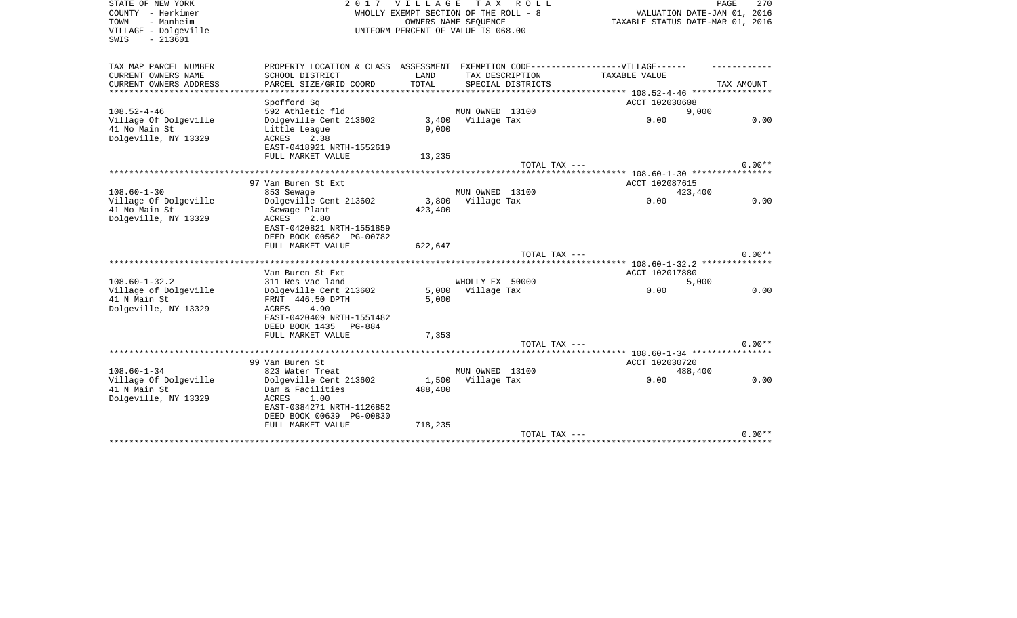| COUNTY - Herkimer<br>WHOLLY EXEMPT SECTION OF THE ROLL - 8<br>VALUATION DATE-JAN 01, 2016<br>- Manheim<br>OWNERS NAME SEOUENCE<br>TAXABLE STATUS DATE-MAR 01, 2016<br>TOWN<br>VILLAGE - Dolgeville<br>UNIFORM PERCENT OF VALUE IS 068.00<br>$-213601$<br>SWIS<br>TAX MAP PARCEL NUMBER<br>PROPERTY LOCATION & CLASS ASSESSMENT EXEMPTION CODE-----------------VILLAGE------<br>CURRENT OWNERS NAME<br>SCHOOL DISTRICT<br>LAND<br>TAX DESCRIPTION<br>TAXABLE VALUE<br>PARCEL SIZE/GRID COORD<br>TOTAL<br>CURRENT OWNERS ADDRESS<br>SPECIAL DISTRICTS<br>TAX AMOUNT<br>ACCT 102030608<br>Spofford Sq<br>$108.52 - 4 - 46$<br>592 Athletic fld<br>MUN OWNED 13100<br>9,000<br>Village Of Dolgeville<br>3,400<br>Village Tax<br>0.00<br>0.00<br>Dolgeville Cent 213602<br>41 No Main St<br>9,000<br>Little League<br>Dolgeville, NY 13329<br>2.38<br>ACRES<br>EAST-0418921 NRTH-1552619<br>FULL MARKET VALUE<br>13,235<br>$0.00**$<br>TOTAL TAX ---<br>97 Van Buren St Ext<br>ACCT 102087615<br>MUN OWNED 13100<br>$108.60 - 1 - 30$<br>853 Sewage<br>423,400<br>Village Of Dolgeville<br>Dolgeville Cent 213602<br>3,800<br>Village Tax<br>0.00<br>0.00<br>41 No Main St<br>423,400<br>Sewage Plant<br>Dolgeville, NY 13329<br>ACRES<br>2.80<br>EAST-0420821 NRTH-1551859<br>DEED BOOK 00562 PG-00782<br>FULL MARKET VALUE<br>622,647<br>$0.00**$<br>TOTAL TAX ---<br>***************** 108.60-1-32.2 **************<br>ACCT 102017880<br>Van Buren St Ext<br>$108.60 - 1 - 32.2$<br>WHOLLY EX 50000<br>311 Res vac land<br>5,000<br>5,000<br>Village Tax<br>0.00<br>Village of Dolgeville<br>Dolgeville Cent 213602<br>0.00<br>41 N Main St<br>FRNT 446.50 DPTH<br>5,000<br>Dolgeville, NY 13329<br>4.90<br>ACRES<br>EAST-0420409 NRTH-1551482<br>DEED BOOK 1435<br>PG-884<br>FULL MARKET VALUE<br>7,353<br>$0.00**$<br>TOTAL TAX ---<br>99 Van Buren St<br>ACCT 102030720<br>MUN OWNED 13100<br>$108.60 - 1 - 34$<br>823 Water Treat<br>488,400<br>0.00<br>0.00<br>Village Of Dolgeville<br>1,500<br>Village Tax<br>Dolgeville Cent 213602<br>41 N Main St<br>Dam & Facilities<br>488,400<br>Dolgeville, NY 13329<br>1.00<br>ACRES<br>EAST-0384271 NRTH-1126852<br>DEED BOOK 00639 PG-00830<br>FULL MARKET VALUE<br>718,235<br>$0.00**$<br>TOTAL TAX --- | STATE OF NEW YORK |  | 2017 VILLAGE | T A X<br>R O L L | PAGE<br>270 |
|---------------------------------------------------------------------------------------------------------------------------------------------------------------------------------------------------------------------------------------------------------------------------------------------------------------------------------------------------------------------------------------------------------------------------------------------------------------------------------------------------------------------------------------------------------------------------------------------------------------------------------------------------------------------------------------------------------------------------------------------------------------------------------------------------------------------------------------------------------------------------------------------------------------------------------------------------------------------------------------------------------------------------------------------------------------------------------------------------------------------------------------------------------------------------------------------------------------------------------------------------------------------------------------------------------------------------------------------------------------------------------------------------------------------------------------------------------------------------------------------------------------------------------------------------------------------------------------------------------------------------------------------------------------------------------------------------------------------------------------------------------------------------------------------------------------------------------------------------------------------------------------------------------------------------------------------------------------------------------------------------------------------------------------------------------------------------------------------------------------------------------------------------------------------------------------------------------------------------------------------------------|-------------------|--|--------------|------------------|-------------|
|                                                                                                                                                                                                                                                                                                                                                                                                                                                                                                                                                                                                                                                                                                                                                                                                                                                                                                                                                                                                                                                                                                                                                                                                                                                                                                                                                                                                                                                                                                                                                                                                                                                                                                                                                                                                                                                                                                                                                                                                                                                                                                                                                                                                                                                         |                   |  |              |                  |             |
|                                                                                                                                                                                                                                                                                                                                                                                                                                                                                                                                                                                                                                                                                                                                                                                                                                                                                                                                                                                                                                                                                                                                                                                                                                                                                                                                                                                                                                                                                                                                                                                                                                                                                                                                                                                                                                                                                                                                                                                                                                                                                                                                                                                                                                                         |                   |  |              |                  |             |
|                                                                                                                                                                                                                                                                                                                                                                                                                                                                                                                                                                                                                                                                                                                                                                                                                                                                                                                                                                                                                                                                                                                                                                                                                                                                                                                                                                                                                                                                                                                                                                                                                                                                                                                                                                                                                                                                                                                                                                                                                                                                                                                                                                                                                                                         |                   |  |              |                  |             |
|                                                                                                                                                                                                                                                                                                                                                                                                                                                                                                                                                                                                                                                                                                                                                                                                                                                                                                                                                                                                                                                                                                                                                                                                                                                                                                                                                                                                                                                                                                                                                                                                                                                                                                                                                                                                                                                                                                                                                                                                                                                                                                                                                                                                                                                         |                   |  |              |                  |             |
|                                                                                                                                                                                                                                                                                                                                                                                                                                                                                                                                                                                                                                                                                                                                                                                                                                                                                                                                                                                                                                                                                                                                                                                                                                                                                                                                                                                                                                                                                                                                                                                                                                                                                                                                                                                                                                                                                                                                                                                                                                                                                                                                                                                                                                                         |                   |  |              |                  |             |
|                                                                                                                                                                                                                                                                                                                                                                                                                                                                                                                                                                                                                                                                                                                                                                                                                                                                                                                                                                                                                                                                                                                                                                                                                                                                                                                                                                                                                                                                                                                                                                                                                                                                                                                                                                                                                                                                                                                                                                                                                                                                                                                                                                                                                                                         |                   |  |              |                  |             |
|                                                                                                                                                                                                                                                                                                                                                                                                                                                                                                                                                                                                                                                                                                                                                                                                                                                                                                                                                                                                                                                                                                                                                                                                                                                                                                                                                                                                                                                                                                                                                                                                                                                                                                                                                                                                                                                                                                                                                                                                                                                                                                                                                                                                                                                         |                   |  |              |                  |             |
|                                                                                                                                                                                                                                                                                                                                                                                                                                                                                                                                                                                                                                                                                                                                                                                                                                                                                                                                                                                                                                                                                                                                                                                                                                                                                                                                                                                                                                                                                                                                                                                                                                                                                                                                                                                                                                                                                                                                                                                                                                                                                                                                                                                                                                                         |                   |  |              |                  |             |
|                                                                                                                                                                                                                                                                                                                                                                                                                                                                                                                                                                                                                                                                                                                                                                                                                                                                                                                                                                                                                                                                                                                                                                                                                                                                                                                                                                                                                                                                                                                                                                                                                                                                                                                                                                                                                                                                                                                                                                                                                                                                                                                                                                                                                                                         |                   |  |              |                  |             |
|                                                                                                                                                                                                                                                                                                                                                                                                                                                                                                                                                                                                                                                                                                                                                                                                                                                                                                                                                                                                                                                                                                                                                                                                                                                                                                                                                                                                                                                                                                                                                                                                                                                                                                                                                                                                                                                                                                                                                                                                                                                                                                                                                                                                                                                         |                   |  |              |                  |             |
|                                                                                                                                                                                                                                                                                                                                                                                                                                                                                                                                                                                                                                                                                                                                                                                                                                                                                                                                                                                                                                                                                                                                                                                                                                                                                                                                                                                                                                                                                                                                                                                                                                                                                                                                                                                                                                                                                                                                                                                                                                                                                                                                                                                                                                                         |                   |  |              |                  |             |
|                                                                                                                                                                                                                                                                                                                                                                                                                                                                                                                                                                                                                                                                                                                                                                                                                                                                                                                                                                                                                                                                                                                                                                                                                                                                                                                                                                                                                                                                                                                                                                                                                                                                                                                                                                                                                                                                                                                                                                                                                                                                                                                                                                                                                                                         |                   |  |              |                  |             |
|                                                                                                                                                                                                                                                                                                                                                                                                                                                                                                                                                                                                                                                                                                                                                                                                                                                                                                                                                                                                                                                                                                                                                                                                                                                                                                                                                                                                                                                                                                                                                                                                                                                                                                                                                                                                                                                                                                                                                                                                                                                                                                                                                                                                                                                         |                   |  |              |                  |             |
|                                                                                                                                                                                                                                                                                                                                                                                                                                                                                                                                                                                                                                                                                                                                                                                                                                                                                                                                                                                                                                                                                                                                                                                                                                                                                                                                                                                                                                                                                                                                                                                                                                                                                                                                                                                                                                                                                                                                                                                                                                                                                                                                                                                                                                                         |                   |  |              |                  |             |
|                                                                                                                                                                                                                                                                                                                                                                                                                                                                                                                                                                                                                                                                                                                                                                                                                                                                                                                                                                                                                                                                                                                                                                                                                                                                                                                                                                                                                                                                                                                                                                                                                                                                                                                                                                                                                                                                                                                                                                                                                                                                                                                                                                                                                                                         |                   |  |              |                  |             |
|                                                                                                                                                                                                                                                                                                                                                                                                                                                                                                                                                                                                                                                                                                                                                                                                                                                                                                                                                                                                                                                                                                                                                                                                                                                                                                                                                                                                                                                                                                                                                                                                                                                                                                                                                                                                                                                                                                                                                                                                                                                                                                                                                                                                                                                         |                   |  |              |                  |             |
|                                                                                                                                                                                                                                                                                                                                                                                                                                                                                                                                                                                                                                                                                                                                                                                                                                                                                                                                                                                                                                                                                                                                                                                                                                                                                                                                                                                                                                                                                                                                                                                                                                                                                                                                                                                                                                                                                                                                                                                                                                                                                                                                                                                                                                                         |                   |  |              |                  |             |
|                                                                                                                                                                                                                                                                                                                                                                                                                                                                                                                                                                                                                                                                                                                                                                                                                                                                                                                                                                                                                                                                                                                                                                                                                                                                                                                                                                                                                                                                                                                                                                                                                                                                                                                                                                                                                                                                                                                                                                                                                                                                                                                                                                                                                                                         |                   |  |              |                  |             |
|                                                                                                                                                                                                                                                                                                                                                                                                                                                                                                                                                                                                                                                                                                                                                                                                                                                                                                                                                                                                                                                                                                                                                                                                                                                                                                                                                                                                                                                                                                                                                                                                                                                                                                                                                                                                                                                                                                                                                                                                                                                                                                                                                                                                                                                         |                   |  |              |                  |             |
|                                                                                                                                                                                                                                                                                                                                                                                                                                                                                                                                                                                                                                                                                                                                                                                                                                                                                                                                                                                                                                                                                                                                                                                                                                                                                                                                                                                                                                                                                                                                                                                                                                                                                                                                                                                                                                                                                                                                                                                                                                                                                                                                                                                                                                                         |                   |  |              |                  |             |
|                                                                                                                                                                                                                                                                                                                                                                                                                                                                                                                                                                                                                                                                                                                                                                                                                                                                                                                                                                                                                                                                                                                                                                                                                                                                                                                                                                                                                                                                                                                                                                                                                                                                                                                                                                                                                                                                                                                                                                                                                                                                                                                                                                                                                                                         |                   |  |              |                  |             |
|                                                                                                                                                                                                                                                                                                                                                                                                                                                                                                                                                                                                                                                                                                                                                                                                                                                                                                                                                                                                                                                                                                                                                                                                                                                                                                                                                                                                                                                                                                                                                                                                                                                                                                                                                                                                                                                                                                                                                                                                                                                                                                                                                                                                                                                         |                   |  |              |                  |             |
|                                                                                                                                                                                                                                                                                                                                                                                                                                                                                                                                                                                                                                                                                                                                                                                                                                                                                                                                                                                                                                                                                                                                                                                                                                                                                                                                                                                                                                                                                                                                                                                                                                                                                                                                                                                                                                                                                                                                                                                                                                                                                                                                                                                                                                                         |                   |  |              |                  |             |
|                                                                                                                                                                                                                                                                                                                                                                                                                                                                                                                                                                                                                                                                                                                                                                                                                                                                                                                                                                                                                                                                                                                                                                                                                                                                                                                                                                                                                                                                                                                                                                                                                                                                                                                                                                                                                                                                                                                                                                                                                                                                                                                                                                                                                                                         |                   |  |              |                  |             |
|                                                                                                                                                                                                                                                                                                                                                                                                                                                                                                                                                                                                                                                                                                                                                                                                                                                                                                                                                                                                                                                                                                                                                                                                                                                                                                                                                                                                                                                                                                                                                                                                                                                                                                                                                                                                                                                                                                                                                                                                                                                                                                                                                                                                                                                         |                   |  |              |                  |             |
|                                                                                                                                                                                                                                                                                                                                                                                                                                                                                                                                                                                                                                                                                                                                                                                                                                                                                                                                                                                                                                                                                                                                                                                                                                                                                                                                                                                                                                                                                                                                                                                                                                                                                                                                                                                                                                                                                                                                                                                                                                                                                                                                                                                                                                                         |                   |  |              |                  |             |
|                                                                                                                                                                                                                                                                                                                                                                                                                                                                                                                                                                                                                                                                                                                                                                                                                                                                                                                                                                                                                                                                                                                                                                                                                                                                                                                                                                                                                                                                                                                                                                                                                                                                                                                                                                                                                                                                                                                                                                                                                                                                                                                                                                                                                                                         |                   |  |              |                  |             |
|                                                                                                                                                                                                                                                                                                                                                                                                                                                                                                                                                                                                                                                                                                                                                                                                                                                                                                                                                                                                                                                                                                                                                                                                                                                                                                                                                                                                                                                                                                                                                                                                                                                                                                                                                                                                                                                                                                                                                                                                                                                                                                                                                                                                                                                         |                   |  |              |                  |             |
|                                                                                                                                                                                                                                                                                                                                                                                                                                                                                                                                                                                                                                                                                                                                                                                                                                                                                                                                                                                                                                                                                                                                                                                                                                                                                                                                                                                                                                                                                                                                                                                                                                                                                                                                                                                                                                                                                                                                                                                                                                                                                                                                                                                                                                                         |                   |  |              |                  |             |
|                                                                                                                                                                                                                                                                                                                                                                                                                                                                                                                                                                                                                                                                                                                                                                                                                                                                                                                                                                                                                                                                                                                                                                                                                                                                                                                                                                                                                                                                                                                                                                                                                                                                                                                                                                                                                                                                                                                                                                                                                                                                                                                                                                                                                                                         |                   |  |              |                  |             |
|                                                                                                                                                                                                                                                                                                                                                                                                                                                                                                                                                                                                                                                                                                                                                                                                                                                                                                                                                                                                                                                                                                                                                                                                                                                                                                                                                                                                                                                                                                                                                                                                                                                                                                                                                                                                                                                                                                                                                                                                                                                                                                                                                                                                                                                         |                   |  |              |                  |             |
|                                                                                                                                                                                                                                                                                                                                                                                                                                                                                                                                                                                                                                                                                                                                                                                                                                                                                                                                                                                                                                                                                                                                                                                                                                                                                                                                                                                                                                                                                                                                                                                                                                                                                                                                                                                                                                                                                                                                                                                                                                                                                                                                                                                                                                                         |                   |  |              |                  |             |
|                                                                                                                                                                                                                                                                                                                                                                                                                                                                                                                                                                                                                                                                                                                                                                                                                                                                                                                                                                                                                                                                                                                                                                                                                                                                                                                                                                                                                                                                                                                                                                                                                                                                                                                                                                                                                                                                                                                                                                                                                                                                                                                                                                                                                                                         |                   |  |              |                  |             |
|                                                                                                                                                                                                                                                                                                                                                                                                                                                                                                                                                                                                                                                                                                                                                                                                                                                                                                                                                                                                                                                                                                                                                                                                                                                                                                                                                                                                                                                                                                                                                                                                                                                                                                                                                                                                                                                                                                                                                                                                                                                                                                                                                                                                                                                         |                   |  |              |                  |             |
|                                                                                                                                                                                                                                                                                                                                                                                                                                                                                                                                                                                                                                                                                                                                                                                                                                                                                                                                                                                                                                                                                                                                                                                                                                                                                                                                                                                                                                                                                                                                                                                                                                                                                                                                                                                                                                                                                                                                                                                                                                                                                                                                                                                                                                                         |                   |  |              |                  |             |
|                                                                                                                                                                                                                                                                                                                                                                                                                                                                                                                                                                                                                                                                                                                                                                                                                                                                                                                                                                                                                                                                                                                                                                                                                                                                                                                                                                                                                                                                                                                                                                                                                                                                                                                                                                                                                                                                                                                                                                                                                                                                                                                                                                                                                                                         |                   |  |              |                  |             |
|                                                                                                                                                                                                                                                                                                                                                                                                                                                                                                                                                                                                                                                                                                                                                                                                                                                                                                                                                                                                                                                                                                                                                                                                                                                                                                                                                                                                                                                                                                                                                                                                                                                                                                                                                                                                                                                                                                                                                                                                                                                                                                                                                                                                                                                         |                   |  |              |                  |             |
|                                                                                                                                                                                                                                                                                                                                                                                                                                                                                                                                                                                                                                                                                                                                                                                                                                                                                                                                                                                                                                                                                                                                                                                                                                                                                                                                                                                                                                                                                                                                                                                                                                                                                                                                                                                                                                                                                                                                                                                                                                                                                                                                                                                                                                                         |                   |  |              |                  |             |
|                                                                                                                                                                                                                                                                                                                                                                                                                                                                                                                                                                                                                                                                                                                                                                                                                                                                                                                                                                                                                                                                                                                                                                                                                                                                                                                                                                                                                                                                                                                                                                                                                                                                                                                                                                                                                                                                                                                                                                                                                                                                                                                                                                                                                                                         |                   |  |              |                  |             |
|                                                                                                                                                                                                                                                                                                                                                                                                                                                                                                                                                                                                                                                                                                                                                                                                                                                                                                                                                                                                                                                                                                                                                                                                                                                                                                                                                                                                                                                                                                                                                                                                                                                                                                                                                                                                                                                                                                                                                                                                                                                                                                                                                                                                                                                         |                   |  |              |                  |             |
|                                                                                                                                                                                                                                                                                                                                                                                                                                                                                                                                                                                                                                                                                                                                                                                                                                                                                                                                                                                                                                                                                                                                                                                                                                                                                                                                                                                                                                                                                                                                                                                                                                                                                                                                                                                                                                                                                                                                                                                                                                                                                                                                                                                                                                                         |                   |  |              |                  |             |
|                                                                                                                                                                                                                                                                                                                                                                                                                                                                                                                                                                                                                                                                                                                                                                                                                                                                                                                                                                                                                                                                                                                                                                                                                                                                                                                                                                                                                                                                                                                                                                                                                                                                                                                                                                                                                                                                                                                                                                                                                                                                                                                                                                                                                                                         |                   |  |              |                  |             |
|                                                                                                                                                                                                                                                                                                                                                                                                                                                                                                                                                                                                                                                                                                                                                                                                                                                                                                                                                                                                                                                                                                                                                                                                                                                                                                                                                                                                                                                                                                                                                                                                                                                                                                                                                                                                                                                                                                                                                                                                                                                                                                                                                                                                                                                         |                   |  |              |                  |             |
|                                                                                                                                                                                                                                                                                                                                                                                                                                                                                                                                                                                                                                                                                                                                                                                                                                                                                                                                                                                                                                                                                                                                                                                                                                                                                                                                                                                                                                                                                                                                                                                                                                                                                                                                                                                                                                                                                                                                                                                                                                                                                                                                                                                                                                                         |                   |  |              |                  |             |
|                                                                                                                                                                                                                                                                                                                                                                                                                                                                                                                                                                                                                                                                                                                                                                                                                                                                                                                                                                                                                                                                                                                                                                                                                                                                                                                                                                                                                                                                                                                                                                                                                                                                                                                                                                                                                                                                                                                                                                                                                                                                                                                                                                                                                                                         |                   |  |              |                  |             |
|                                                                                                                                                                                                                                                                                                                                                                                                                                                                                                                                                                                                                                                                                                                                                                                                                                                                                                                                                                                                                                                                                                                                                                                                                                                                                                                                                                                                                                                                                                                                                                                                                                                                                                                                                                                                                                                                                                                                                                                                                                                                                                                                                                                                                                                         |                   |  |              |                  |             |
|                                                                                                                                                                                                                                                                                                                                                                                                                                                                                                                                                                                                                                                                                                                                                                                                                                                                                                                                                                                                                                                                                                                                                                                                                                                                                                                                                                                                                                                                                                                                                                                                                                                                                                                                                                                                                                                                                                                                                                                                                                                                                                                                                                                                                                                         |                   |  |              |                  |             |
|                                                                                                                                                                                                                                                                                                                                                                                                                                                                                                                                                                                                                                                                                                                                                                                                                                                                                                                                                                                                                                                                                                                                                                                                                                                                                                                                                                                                                                                                                                                                                                                                                                                                                                                                                                                                                                                                                                                                                                                                                                                                                                                                                                                                                                                         |                   |  |              |                  |             |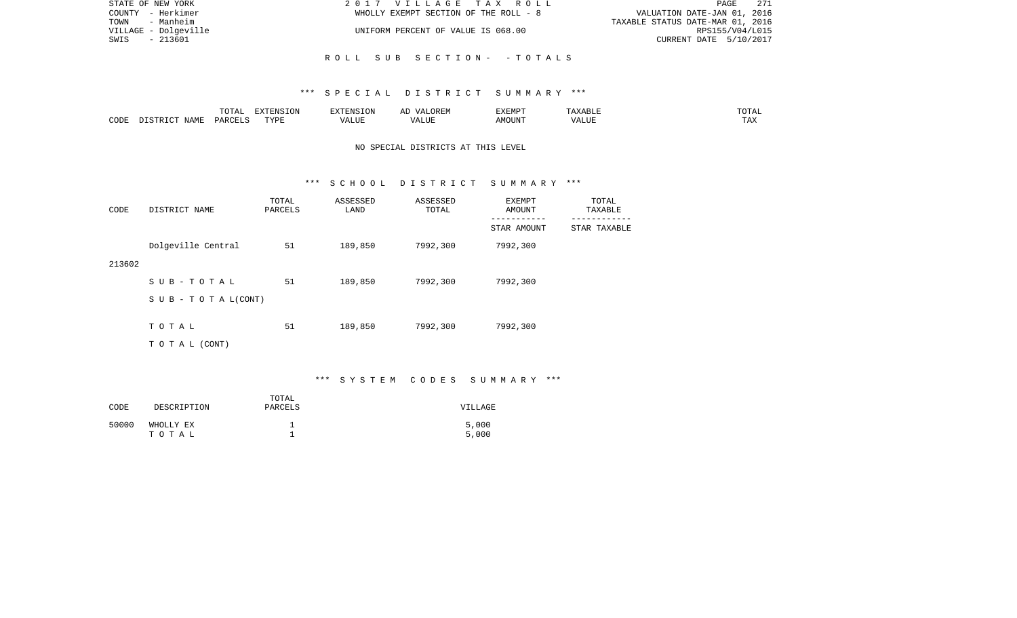| STATE OF NEW YORK    | 2017 VILLAGE TAX ROLL                 | 271<br>PAGE                      |
|----------------------|---------------------------------------|----------------------------------|
| COUNTY - Herkimer    | WHOLLY EXEMPT SECTION OF THE ROLL - 8 | VALUATION DATE-JAN 01, 2016      |
| TOWN<br>- Manheim    |                                       | TAXABLE STATUS DATE-MAR 01, 2016 |
| VILLAGE - Dolgeville | UNIFORM PERCENT OF VALUE IS 068.00    | RPS155/V04/L015                  |
| SWIS<br>- 213601     |                                       | CURRENT DATE 5/10/2017           |
|                      |                                       |                                  |
|                      | ROLL SUB SECTION- -TOTALS             |                                  |

|      |      | $m \wedge m \wedge n$<br>TATAT | <b>DENICE ONT</b><br>LUN | <b>GMC</b>                | 17 D<br>$\rightarrow$ | <b>EXEMPT</b>        | .                           | . סדעה                |
|------|------|--------------------------------|--------------------------|---------------------------|-----------------------|----------------------|-----------------------------|-----------------------|
| CODE | NAME | ∩ ¤ ∆ ∪                        | TVDI<br>.                | $\sim$ $  -$<br>۳ تا بلد. | ۳ تا سد.              | $0.56$ $0.75$ $0.75$ | ודד הא<br><u>уд</u><br>ALU! | m 7<br>L <i>L</i> 14. |

# NO SPECIAL DISTRICTS AT THIS LEVEL

#### \*\*\* S C H O O L D I S T R I C T S U M M A R Y \*\*\*

| CODE   | DISTRICT NAME                    | TOTAL<br>PARCELS | ASSESSED<br>LAND | ASSESSED<br>TOTAL | EXEMPT<br>AMOUNT         | TOTAL<br>TAXABLE         |
|--------|----------------------------------|------------------|------------------|-------------------|--------------------------|--------------------------|
|        |                                  |                  |                  |                   | ---------<br>STAR AMOUNT | --------<br>STAR TAXABLE |
|        | Dolgeville Central               | 51               | 189,850          | 7992,300          | 7992,300                 |                          |
| 213602 |                                  |                  |                  |                   |                          |                          |
|        | SUB-TOTAL                        | 51               | 189,850          | 7992,300          | 7992,300                 |                          |
|        | $S \cup B - T \cup T A L (CONT)$ |                  |                  |                   |                          |                          |
|        | TOTAL                            | 51               | 189,850          | 7992,300          | 7992,300                 |                          |
|        |                                  |                  |                  |                   |                          |                          |
|        | T O T A L (CONT)                 |                  |                  |                   |                          |                          |

# \*\*\* S Y S T E M C O D E S S U M M A R Y \*\*\*

| CODE  | DESCRIPTION        | TOTAL<br>PARCELS | VILLAGE        |
|-------|--------------------|------------------|----------------|
| 50000 | WHOLLY EX<br>тотаь |                  | 5,000<br>5,000 |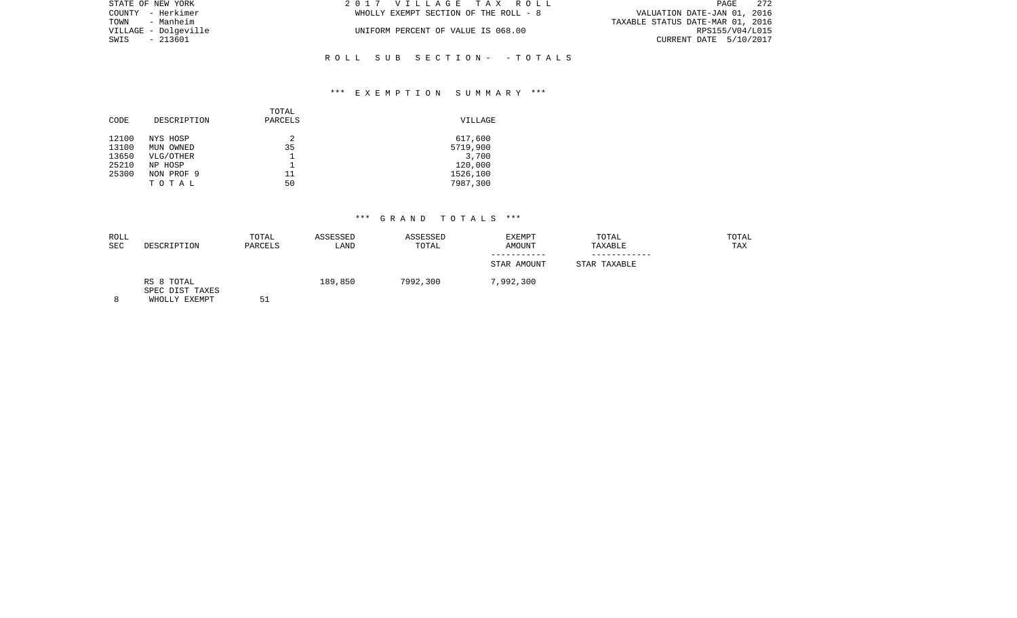| STATE OF NEW YORK    | 2017 VILLAGE TAX ROLL                 | 272<br>PAGE                      |
|----------------------|---------------------------------------|----------------------------------|
| COUNTY - Herkimer    | WHOLLY EXEMPT SECTION OF THE ROLL - 8 | VALUATION DATE-JAN 01, 2016      |
| TOWN - Manheim       |                                       | TAXABLE STATUS DATE-MAR 01, 2016 |
| VILLAGE - Dolqeville | UNIFORM PERCENT OF VALUE IS 068.00    | RPS155/V04/L015                  |
| SWIS - 213601        |                                       | CURRENT DATE 5/10/2017           |
|                      |                                       |                                  |

## \*\*\* E X E M P T I O N S U M M A R Y \*\*\*

R O L L S U B S E C T I O N - - T O T A L S

| TOTAL<br>DESCRIPTION<br>PARCELS<br>CODE | VILLAGE  |
|-----------------------------------------|----------|
| 12100<br>2<br>NYS HOSP                  | 617,600  |
| 13100<br>35<br>MUN OWNED                | 5719,900 |
| 13650<br>VLG/OTHER                      | 3,700    |
| 25210<br>NP HOSP                        | 120,000  |
| 25300<br>NON PROF 9<br>11               | 1526,100 |
| 50<br>TOTAL                             | 7987,300 |

| ROLL<br>SEC | DESCRIPTION                                    | TOTAL<br>PARCELS | ASSESSED<br>LAND | ASSESSED<br>TOTAL | EXEMPT<br>AMOUNT         | TOTAL<br>TAXABLE  | TOTAL<br>TAX |
|-------------|------------------------------------------------|------------------|------------------|-------------------|--------------------------|-------------------|--------------|
|             |                                                |                  |                  |                   | ---------<br>STAR AMOUNT | .<br>STAR TAXABLE |              |
| 8           | RS 8 TOTAL<br>SPEC DIST TAXES<br>WHOLLY EXEMPT | <b>F 1</b><br>ЪT | 189,850          | 7992,300          | 7,992,300                |                   |              |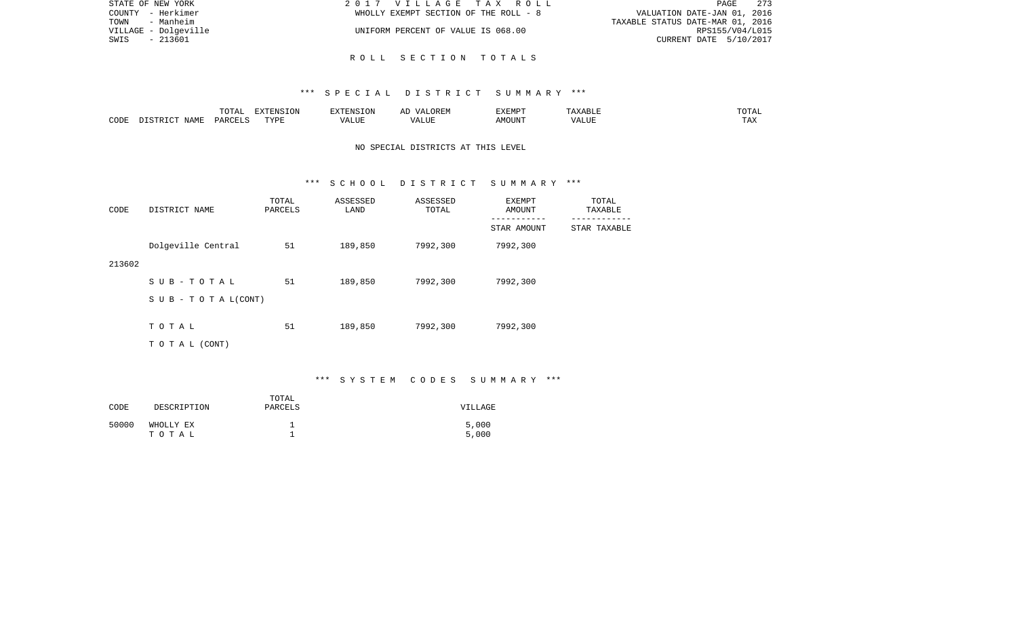| STATE OF NEW YORK    | 2017 VILLAGE TAX ROLL                 | 273<br>PAGE                      |
|----------------------|---------------------------------------|----------------------------------|
| COUNTY - Herkimer    | WHOLLY EXEMPT SECTION OF THE ROLL - 8 | VALUATION DATE-JAN 01, 2016      |
| TOWN<br>- Manheim    |                                       | TAXABLE STATUS DATE-MAR 01, 2016 |
| VILLAGE - Dolgeville | UNIFORM PERCENT OF VALUE IS 068.00    | RPS155/V04/L015                  |
| SWIS<br>- 213601     |                                       | CURRENT DATE 5/10/2017           |
|                      |                                       |                                  |

R O L L S E C T I O N T O T A L S

|      |             | $T$ $\cap$ $T$ $\cap$ $\cap$ $\cap$<br>$\cdots$<br>. U 1 1 1 1 | <b>ELVELENTO TONT</b> |      | : רר<br>$\sqrt{4}$<br>JREM | <b>F.X F.M D T</b><br>. | <u>.</u> | 50.55<br>---        |
|------|-------------|----------------------------------------------------------------|-----------------------|------|----------------------------|-------------------------|----------|---------------------|
| CODE | <b>JAME</b> | DARCELS                                                        | TVDL<br>.             | ALUE | $\sqrt{ }$<br>LUP          | AMOUN".                 | 'ALUE    | $m \times n$<br>⊥⊷∠ |

# NO SPECIAL DISTRICTS AT THIS LEVEL

#### \*\*\* S C H O O L D I S T R I C T S U M M A R Y \*\*\*

| CODE   | DISTRICT NAME                    | TOTAL<br>PARCELS | ASSESSED<br>LAND | ASSESSED<br>TOTAL | EXEMPT<br>AMOUNT         | TOTAL<br>TAXABLE        |
|--------|----------------------------------|------------------|------------------|-------------------|--------------------------|-------------------------|
|        |                                  |                  |                  |                   | ---------<br>STAR AMOUNT | -------<br>STAR TAXABLE |
|        | Dolgeville Central               | 51               | 189,850          | 7992,300          | 7992,300                 |                         |
| 213602 |                                  |                  |                  |                   |                          |                         |
|        | SUB-TOTAL                        | 51               | 189,850          | 7992,300          | 7992,300                 |                         |
|        | $S \cup B - T \cup T A L (CONT)$ |                  |                  |                   |                          |                         |
|        | TOTAL                            | 51               | 189,850          | 7992,300          | 7992,300                 |                         |
|        |                                  |                  |                  |                   |                          |                         |
|        | T O T A L (CONT)                 |                  |                  |                   |                          |                         |

# \*\*\* S Y S T E M C O D E S S U M M A R Y \*\*\*

| CODE  | DESCRIPTION        | TOTAL<br>PARCELS | VILLAGE        |
|-------|--------------------|------------------|----------------|
| 50000 | WHOLLY EX<br>тотаь |                  | 5,000<br>5,000 |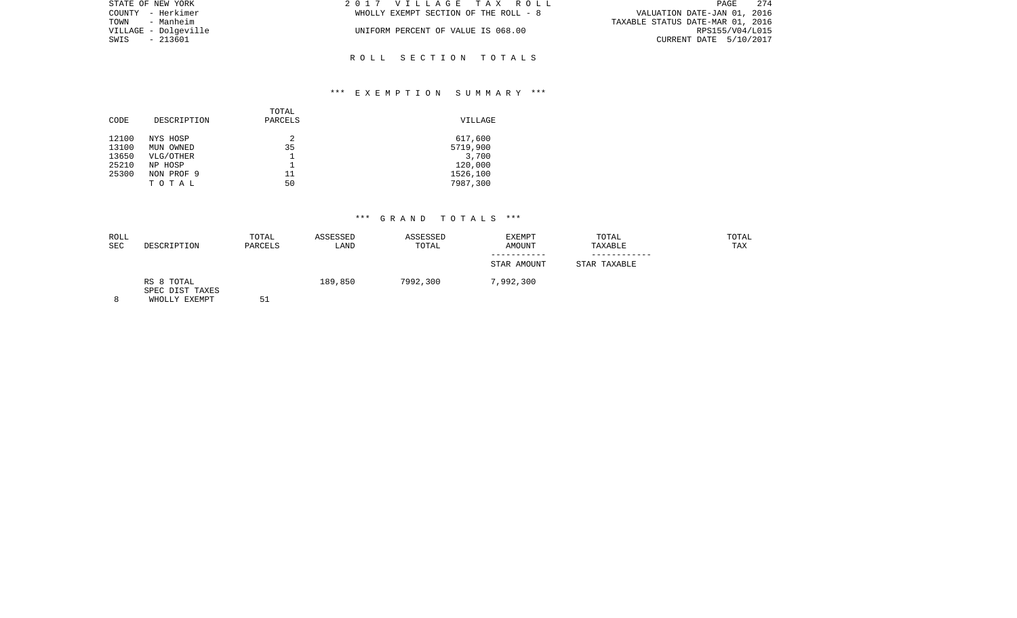| STATE OF NEW YORK    | 2017 VILLAGE TAX ROLL                 | 274<br>PAGE                      |
|----------------------|---------------------------------------|----------------------------------|
| COUNTY - Herkimer    | WHOLLY EXEMPT SECTION OF THE ROLL - 8 | VALUATION DATE-JAN 01, 2016      |
| - Manheim<br>TOWN    |                                       | TAXABLE STATUS DATE-MAR 01, 2016 |
| VILLAGE - Dolqeville | UNIFORM PERCENT OF VALUE IS 068.00    | RPS155/V04/L015                  |
| SWIS - 213601        |                                       | CURRENT DATE 5/10/2017           |
|                      |                                       |                                  |

R O L L S E C T I O N T O T A L S

## \*\*\* E X E M P T I O N S U M M A R Y \*\*\*

|       |             | TOTAL   |          |
|-------|-------------|---------|----------|
| CODE  | DESCRIPTION | PARCELS | VILLAGE  |
| 12100 | NYS HOSP    | 2       | 617,600  |
| 13100 | MUN OWNED   | 35      | 5719,900 |
| 13650 | VLG/OTHER   |         | 3,700    |
| 25210 | NP HOSP     |         | 120,000  |
| 25300 | NON PROF 9  | 11      | 1526,100 |
|       | TOTAL       | 50      | 7987,300 |
|       |             |         |          |

| ROLL<br><b>SEC</b> | DESCRIPTION                                    | TOTAL<br>PARCELS | ASSESSED<br>LAND | ASSESSED<br>TOTAL | EXEMPT<br>AMOUNT           | TOTAL<br>TAXABLE | TOTAL<br>TAX |
|--------------------|------------------------------------------------|------------------|------------------|-------------------|----------------------------|------------------|--------------|
|                    |                                                |                  |                  |                   | -----------<br>STAR AMOUNT | STAR TAXABLE     |              |
| 8                  | RS 8 TOTAL<br>SPEC DIST TAXES<br>WHOLLY EXEMPT | 51               | 189,850          | 7992,300          | 7,992,300                  |                  |              |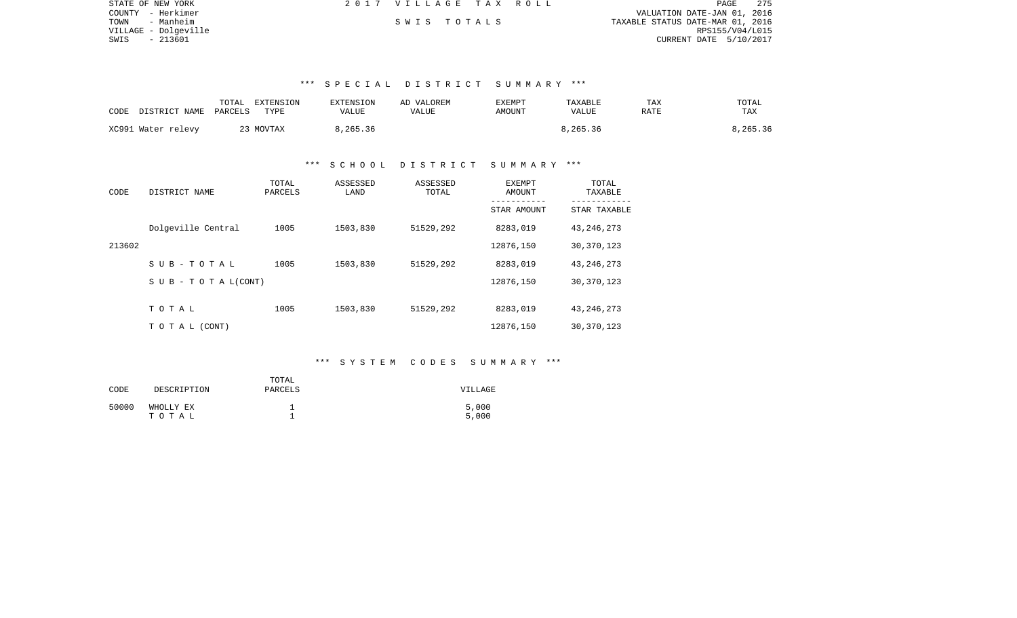| STATE OF NEW YORK    | 2017 VILLAGE TAX ROLL |  |                                  | PAGE            | 275 |
|----------------------|-----------------------|--|----------------------------------|-----------------|-----|
| COUNTY - Herkimer    |                       |  | VALUATION DATE-JAN 01, 2016      |                 |     |
| TOWN<br>- Manheim    | SWIS TOTALS           |  | TAXABLE STATUS DATE-MAR 01, 2016 |                 |     |
| VILLAGE - Dolqeville |                       |  |                                  | RPS155/V04/L015 |     |
| SWIS - 213601        |                       |  | CURRENT DATE 5/10/2017           |                 |     |

| CODE | DISTRICT NAME      | TOTAL<br>PARCELS | EXTENSION<br>TYPE | EXTENSION<br>VALUE | AD VALOREM<br>VALUE | EXEMPT<br>AMOUNT | <b>TAXABLE</b><br>VALUE | TAX<br>RATE | TOTAL<br>TAX |
|------|--------------------|------------------|-------------------|--------------------|---------------------|------------------|-------------------------|-------------|--------------|
|      | XC991 Water relevy |                  | 23 MOVTAX         | 8,265.36           |                     |                  | 8,265.36                |             | 8,265.36     |

### \*\*\* S C H O O L D I S T R I C T S U M M A R Y \*\*\*

| CODE   | DISTRICT NAME                    | TOTAL<br>PARCELS | ASSESSED<br>LAND | ASSESSED<br>TOTAL | EXEMPT<br>AMOUNT | TOTAL<br>TAXABLE |
|--------|----------------------------------|------------------|------------------|-------------------|------------------|------------------|
|        |                                  |                  |                  |                   | STAR AMOUNT      | STAR TAXABLE     |
|        | Dolgeville Central               | 1005             | 1503,830         | 51529,292         | 8283,019         | 43, 246, 273     |
| 213602 |                                  |                  |                  |                   | 12876,150        | 30, 370, 123     |
|        | SUB-TOTAL                        | 1005             | 1503,830         | 51529,292         | 8283,019         | 43, 246, 273     |
|        | $S \cup B - T \cup T A L (CONT)$ |                  |                  |                   | 12876,150        | 30, 370, 123     |
|        |                                  |                  |                  |                   |                  |                  |
|        | TOTAL                            | 1005             | 1503,830         | 51529,292         | 8283,019         | 43, 246, 273     |
|        | TO TAL (CONT)                    |                  |                  |                   | 12876,150        | 30, 370, 123     |

## \*\*\* S Y S T E M C O D E S S U M M A R Y \*\*\*

| CODE  | DESCRIPTION        | TOTAL<br>PARCELS | VILLAGE        |
|-------|--------------------|------------------|----------------|
| 50000 | WHOLLY EX<br>тотаь |                  | 5,000<br>5,000 |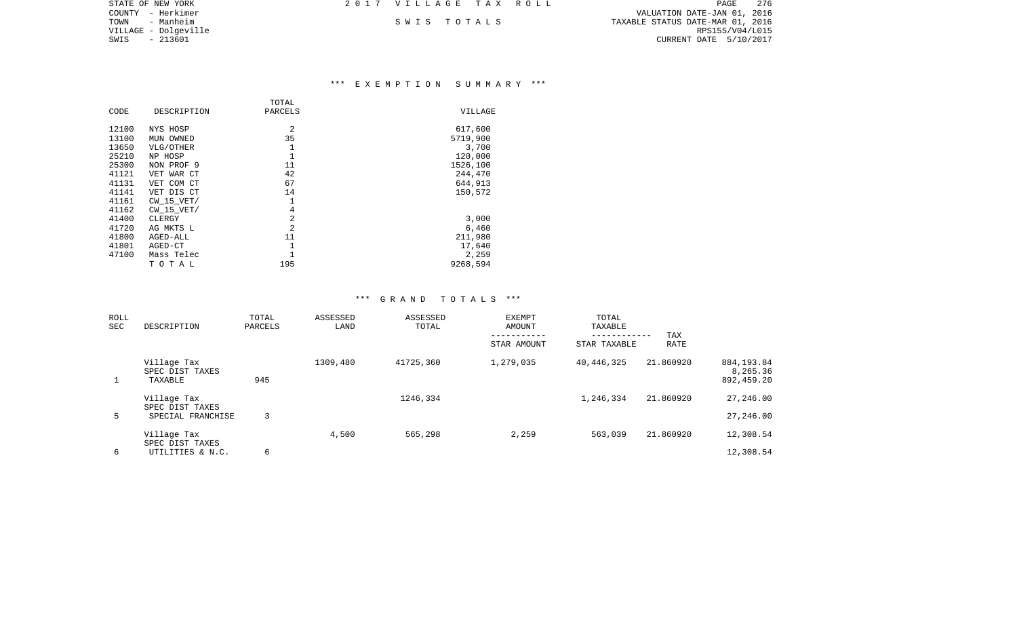| STATE OF NEW YORK    | 2017 VILLAGE TAX ROLL |  |                                  | PAGE | - 276 |
|----------------------|-----------------------|--|----------------------------------|------|-------|
| COUNTY - Herkimer    |                       |  | VALUATION DATE-JAN 01, 2016      |      |       |
| TOWN<br>- Manheim    | SWIS TOTALS           |  | TAXABLE STATUS DATE-MAR 01, 2016 |      |       |
| VILLAGE - Dolgeville |                       |  | RPS155/V04/L015                  |      |       |
| SWIS<br>- 213601     |                       |  | CURRENT DATE 5/10/2017           |      |       |
|                      |                       |  |                                  |      |       |

## \*\*\* E X E M P T I O N S U M M A R Y \*\*\*

| CODE  | DESCRIPTION    | TOTAL<br>PARCELS | <b>VILLAGE</b> |
|-------|----------------|------------------|----------------|
|       |                |                  |                |
| 12100 | NYS HOSP       | 2                | 617,600        |
| 13100 | MUN OWNED      | 35               | 5719,900       |
| 13650 | VLG/OTHER      | 1                | 3,700          |
| 25210 | NP HOSP        | 1                | 120,000        |
| 25300 | NON PROF 9     | 11               | 1526,100       |
| 41121 | VET WAR CT     | 42               | 244,470        |
| 41131 | VET COM CT     | 67               | 644,913        |
| 41141 | VET DIS CT     | 14               | 150,572        |
| 41161 | $CW$ 15 $VET/$ | 1                |                |
| 41162 | $CW$ 15 $VET/$ | $\overline{4}$   |                |
| 41400 | CLERGY         | $\overline{2}$   | 3,000          |
| 41720 | AG MKTS L      | 2                | 6,460          |
| 41800 | AGED-ALL       | 11               | 211,980        |
| 41801 | AGED-CT        | 1                | 17,640         |
| 47100 | Mass Telec     |                  | 2,259          |
|       | TOTAL          | 195              | 9268,594       |

| ROLL<br><b>SEC</b> | DESCRIPTION                                         | TOTAL<br>PARCELS | ASSESSED<br>LAND | ASSESSED<br>TOTAL | <b>EXEMPT</b><br>AMOUNT<br>-----------<br>STAR AMOUNT | TOTAL<br>TAXABLE<br>------------<br>STAR TAXABLE | TAX<br>RATE |                                       |
|--------------------|-----------------------------------------------------|------------------|------------------|-------------------|-------------------------------------------------------|--------------------------------------------------|-------------|---------------------------------------|
| $\mathbf{1}$       | Village Tax<br>SPEC DIST TAXES<br>TAXABLE           | 945              | 1309,480         | 41725,360         | 1,279,035                                             | 40,446,325                                       | 21.860920   | 884, 193.84<br>8,265.36<br>892,459.20 |
| 5                  | Village Tax<br>SPEC DIST TAXES<br>SPECIAL FRANCHISE | 3                |                  | 1246,334          |                                                       | 1,246,334                                        | 21.860920   | 27,246.00<br>27,246.00                |
| 6                  | Village Tax<br>SPEC DIST TAXES<br>UTILITIES & N.C.  | 6                | 4,500            | 565,298           | 2,259                                                 | 563,039                                          | 21.860920   | 12,308.54<br>12,308.54                |